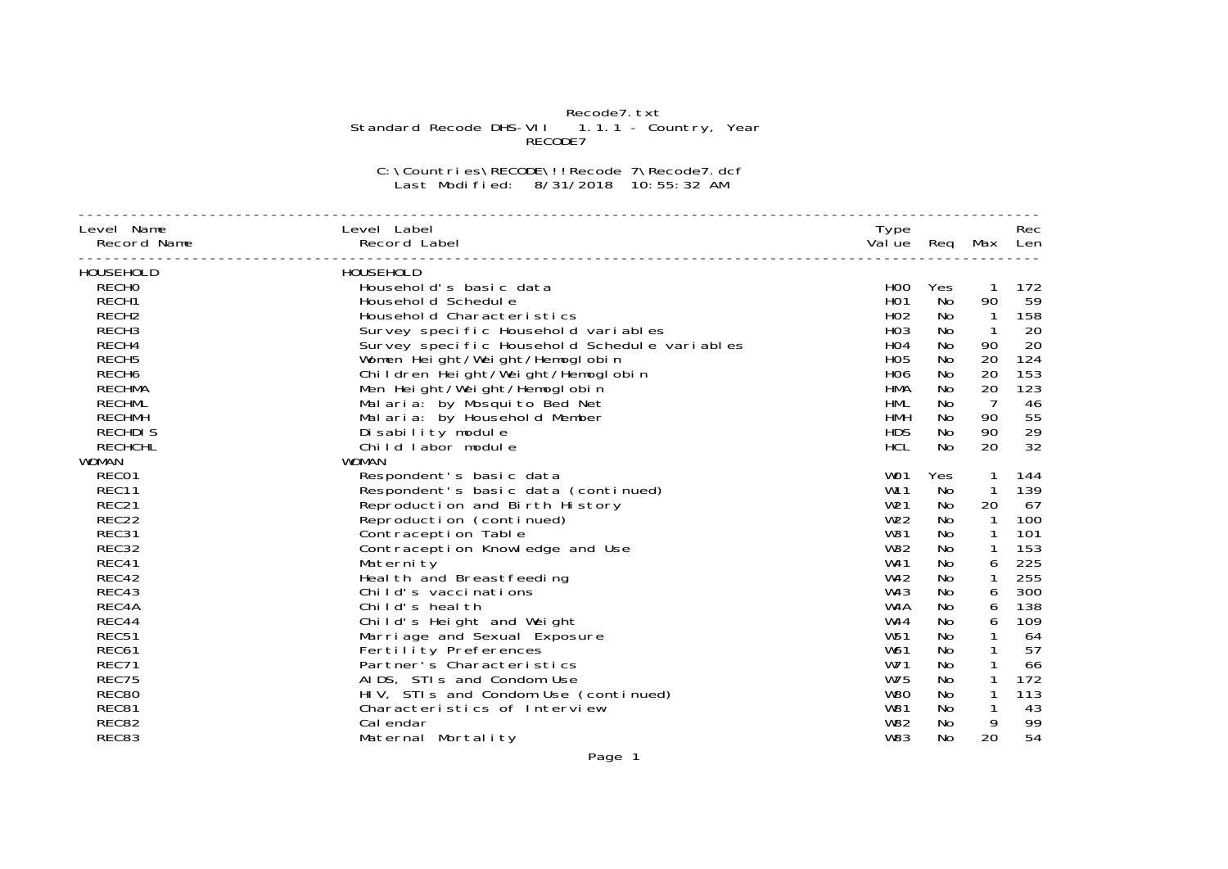## Recode7.txt<br>Standard Recode DHS-VII 1.1.1 - Country, Year<br>RECODE7

C:\Countries\RECODE\!!Recode 7\Recode7.dcf Last Modified: 8/31/2018 10:55:32 AM

| Level Name        | Level Label                                  | Type              |           |                | Rec |
|-------------------|----------------------------------------------|-------------------|-----------|----------------|-----|
| Record Name       | Record Label                                 | Value Req Max Len |           |                |     |
| HOUSEHOLD         | HOUSEHOLD                                    |                   |           |                |     |
| <b>RECHO</b>      | Household's basic data                       | H <sub>0</sub>    | Yes       | $\mathbf{1}$   | 172 |
| RECH1             | Household Schedule                           | H <sub>O</sub> 1  | No        | 90             | 59  |
| RECH <sub>2</sub> | Household Characteristics                    | H <sub>02</sub>   | No        | $\overline{1}$ | 158 |
| RECH <sub>3</sub> | Survey specific Household variables          | H <sub>O</sub> 3  | No        | $\mathbf{1}$   | 20  |
| RECH4             | Survey specific Household Schedule variables | H <sub>O</sub> 4  | No        | 90             | 20  |
| RECH <sub>5</sub> | Women Height/Weight/Hemoglobin               | H <sub>05</sub>   | No        | 20             | 124 |
| RECH <sub>6</sub> | Children Height/Weight/Hemoglobin            | <b>HO6</b>        | No        | 20             | 153 |
| <b>RECHMA</b>     | Men Height/Weight/Hemoglobin                 | <b>HMA</b>        | No        | 20             | 123 |
| <b>RECHML</b>     | Malaria: by Mosquito Bed Net                 | <b>HML</b>        | No        | $\overline{7}$ | 46  |
| <b>RECHMH</b>     | Malaria: by Household Member                 | <b>HMH</b>        | No        | 90             | 55  |
| <b>RECHDIS</b>    | Di sability module                           | <b>HDS</b>        | No        | 90             | 29  |
| <b>RECHCHL</b>    | Child labor module                           | <b>HCL</b>        | <b>No</b> | 20             | 32  |
| <b>WOMAN</b>      | <b>WOMAN</b>                                 |                   |           |                |     |
| RECO1             | Respondent's basic data                      | WO1               | Yes       | $\mathbf{1}$   | 144 |
| REC11             | Respondent's basic data (continued)          | W <sub>11</sub>   | No        | $\mathbf{1}$   | 139 |
| REC21             | Reproduction and Birth History               | W <sub>21</sub>   | No.       | 20             | 67  |
| REC22             | Reproduction (continued)                     | W <sub>22</sub>   | No.       | $\mathbf{1}$   | 100 |
| REC31             | Contraception Table                          | W31               | No.       | $\mathbf{1}$   | 101 |
| REC32             | Contraception Knowledge and Use              | W32               | No.       | $\mathbf{1}$   | 153 |
| REC41             | Maternity                                    | W41               | No        | 6              | 225 |
| REC42             | Heal th and Breastfeeding                    | W <sub>42</sub>   | No.       | $\mathbf{1}$   | 255 |
| REC43             | Child's vaccinations                         | W43               | No.       | 6              | 300 |
| REC4A             | Child's health                               | W4A               | No        | 6              | 138 |
| REC44             | Child's Height and Weight                    | W44               | No.       | 6              | 109 |
| REC51             | Marriage and Sexual Exposure                 | W <sub>51</sub>   | No        | $\mathbf{1}$   | 64  |
| REC61             | Fertility Preferences                        | W61               | No        |                | 57  |
| REC71             | Partner's Characteristics                    | W71               | No        |                | 66  |
| REC75             | AIDS, STIs and Condom Use                    | W75               | No        | $\mathbf{1}$   | 172 |
| <b>REC80</b>      | HIV, STIs and Condom Use (continued)         | W <sub>80</sub>   | No        | 1              | 113 |
| REC81             | Characteristics of Interview                 | W81               | No        | $\mathbf{1}$   | 43  |
| REC82             | Cal endar                                    | W82               | No        | 9              | 99  |
| REC83             | Maternal Mortality                           | <b>W83</b>        | No        | 20             | 54  |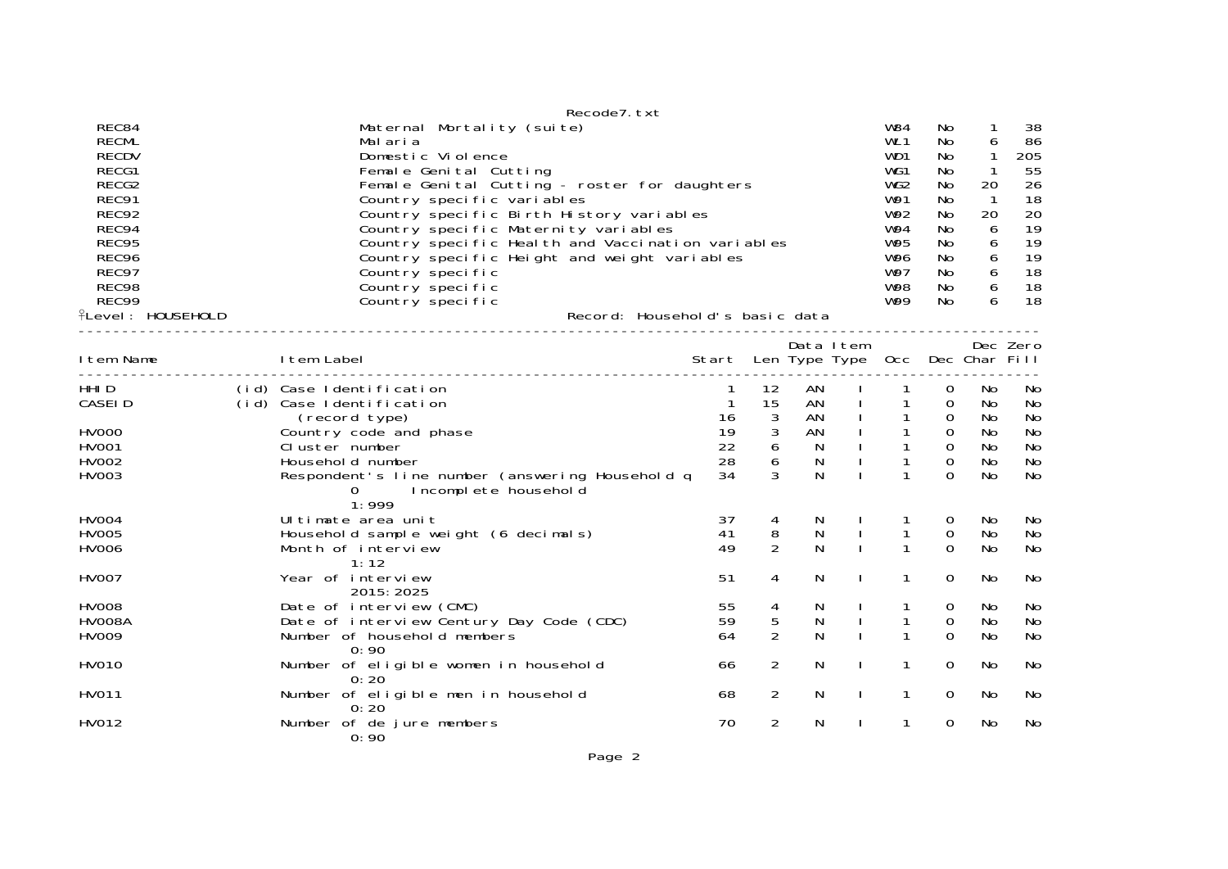|                                                                                                                                                             | Recode7.txt                                                                                                                                                                                                                                                                                                                                                                                                                                                                                                                                                                                                                  |                                       |                                          |                    |              |                                                   |                                                |                       |                                                                             |
|-------------------------------------------------------------------------------------------------------------------------------------------------------------|------------------------------------------------------------------------------------------------------------------------------------------------------------------------------------------------------------------------------------------------------------------------------------------------------------------------------------------------------------------------------------------------------------------------------------------------------------------------------------------------------------------------------------------------------------------------------------------------------------------------------|---------------------------------------|------------------------------------------|--------------------|--------------|---------------------------------------------------|------------------------------------------------|-----------------------|-----------------------------------------------------------------------------|
| REC84<br><b>RECML</b><br><b>RECDV</b><br>RECG1<br>RECG2<br>REC91<br>REC92<br>REC94<br>REC95<br>REC96<br>REC97<br>REC98<br>REC99<br><b>fLevel: HOUSEHOLD</b> | Maternal Mortality (suite)<br><b>W84</b><br>WL <sub>1</sub><br>Malaria<br>Domestic Violence<br>WD1<br>WG1<br>Female Genital Cutting<br>WG <sub>2</sub><br>Female Genital Cutting - roster for daughters<br>W91<br>Country specific variables<br>Country specific Birth History variables<br>W92<br>W94<br>Country specific Maternity variables<br>W95<br>Country specific Health and Vaccination variables<br>W96<br>Country specific Height and weight variables<br>W97<br>Country specific<br><b>W98</b><br>Country specific<br>W99<br>Country specific<br>Record: Household's basic data<br>----------------------------- |                                       |                                          |                    |              |                                                   |                                                |                       | 38<br>86<br>205<br>55<br>26<br>18<br>20<br>19<br>19<br>19<br>18<br>18<br>18 |
|                                                                                                                                                             |                                                                                                                                                                                                                                                                                                                                                                                                                                                                                                                                                                                                                              |                                       |                                          |                    |              |                                                   |                                                |                       |                                                                             |
| I tem Name                                                                                                                                                  | I tem Label<br>-------------------------------                                                                                                                                                                                                                                                                                                                                                                                                                                                                                                                                                                               | Start Len Type Type Occ Dec Char Fill |                                          | Data Item          |              |                                                   |                                                |                       | Dec Zero                                                                    |
| HHI D<br>CASEI D                                                                                                                                            | (id) Case Identification<br>(id) Case Identification<br>(record type)                                                                                                                                                                                                                                                                                                                                                                                                                                                                                                                                                        | 16                                    | 12<br>15<br>$\mathbf{3}$                 | AN<br>AN<br>AN     |              | $\mathbf{1}$                                      | 0<br>$\mathbf 0$<br>$\mathbf 0$                | No<br>No<br>No        | No<br>No<br>No                                                              |
| <b>HV000</b><br>HV001<br>HV002<br>HV003                                                                                                                     | Country code and phase<br>Cluster number<br>Household number<br>Respondent's line number (answering Household q<br>Incomplete household<br>O.<br>1:999                                                                                                                                                                                                                                                                                                                                                                                                                                                                       | 19<br>22<br>28<br>34                  | $\sqrt{3}$<br>$\boldsymbol{6}$<br>6<br>3 | AN<br>N.<br>N<br>N |              | $\mathbf{1}$<br>$\mathbf{1}$<br>1<br>$\mathbf{1}$ | $\mathsf O$<br>$\mathbf 0$<br>0<br>$\Omega$    | No<br>No<br>No<br>No  | No<br>No<br>No<br>No                                                        |
| <b>HV004</b><br><b>HV005</b><br>HV006                                                                                                                       | Ul timate area unit<br>Household sample weight (6 decimals)<br>Month of interview<br>1:12                                                                                                                                                                                                                                                                                                                                                                                                                                                                                                                                    | 37<br>41<br>49                        | 4<br>8<br>$\overline{2}$                 | N<br>N<br>N        |              | 1<br>1<br>1                                       | $\mathbf 0$<br>$\boldsymbol{0}$<br>$\mathbf 0$ | No<br>No<br><b>No</b> | No<br>No<br><b>No</b>                                                       |
| HV007                                                                                                                                                       | Year of interview<br>2015: 2025                                                                                                                                                                                                                                                                                                                                                                                                                                                                                                                                                                                              | 51                                    | 4                                        | N                  | $\mathbf{I}$ | $\mathbf{1}$                                      | 0                                              | No.                   | No                                                                          |
| <b>HV008</b><br>HVOO8A<br>HV009                                                                                                                             | Date of interview (CMC)<br>Date of interview Century Day Code (CDC)<br>Number of household members<br>0:90                                                                                                                                                                                                                                                                                                                                                                                                                                                                                                                   | 55<br>59<br>64                        | $\frac{4}{5}$<br>$\overline{2}$          | N<br>N<br>N        |              | $\mathbf{1}$<br>$\mathbf 1$                       | 0<br>$\mathbf 0$<br>$\Omega$                   | No<br>No<br>No        | No<br>No<br><b>No</b>                                                       |
| HV010                                                                                                                                                       | Number of eligible women in household<br>0:20                                                                                                                                                                                                                                                                                                                                                                                                                                                                                                                                                                                | 66                                    | 2                                        | N                  | $\mathbf{I}$ | 1                                                 | 0                                              | No                    | No                                                                          |
| HV011                                                                                                                                                       | Number of eligible men in household<br>0:20                                                                                                                                                                                                                                                                                                                                                                                                                                                                                                                                                                                  | 68                                    | 2                                        | N                  | $\mathbf{I}$ | 1                                                 | 0                                              | No                    | No                                                                          |
| HV012                                                                                                                                                       | Number of de jure members<br>0:90                                                                                                                                                                                                                                                                                                                                                                                                                                                                                                                                                                                            | 70                                    | 2                                        | N                  |              | 1                                                 | 0                                              | No                    | No                                                                          |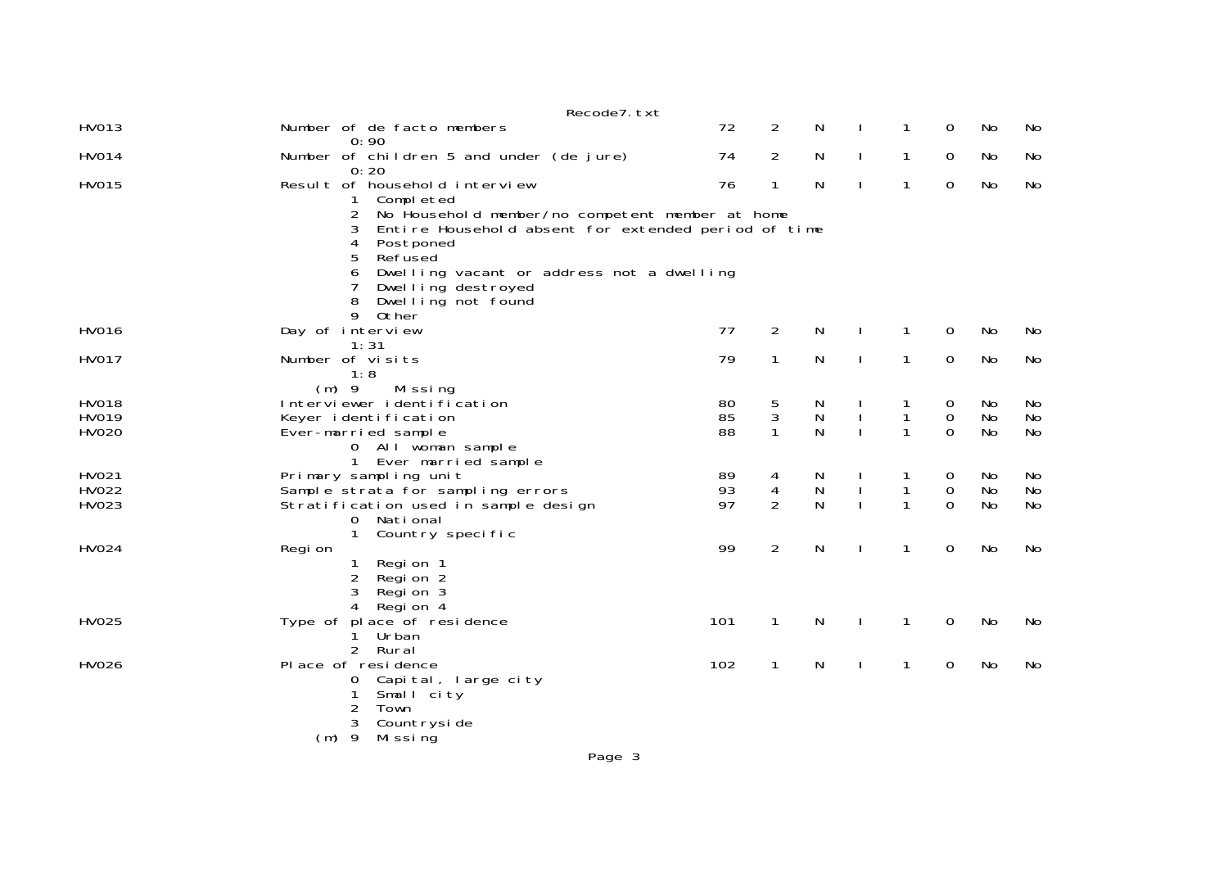|                       | Recode7.txt                                                                                                      |          |                               |                  |              |                   |                          |                 |          |
|-----------------------|------------------------------------------------------------------------------------------------------------------|----------|-------------------------------|------------------|--------------|-------------------|--------------------------|-----------------|----------|
| HV013                 | Number of de facto members<br>0:90                                                                               | 72       | 2                             | N                |              | 1                 | 0                        | No              | No       |
| <b>HV014</b>          | Number of children 5 and under (de jure)<br>0:20                                                                 | 74       | $\overline{2}$                | N                | $\mathbf{I}$ | $\mathbf{1}$      | 0                        | No              | No       |
| <b>HV015</b>          | Result of household interview<br>1<br>Completed                                                                  | 76       | 1                             | N                | $\mathbf{I}$ | 1                 | 0                        | No              | No       |
|                       | 2<br>No Household member/no competent member at home<br>Entire Household absent for extended period of time<br>3 |          |                               |                  |              |                   |                          |                 |          |
|                       | 4<br>Postponed<br>Refused<br>5                                                                                   |          |                               |                  |              |                   |                          |                 |          |
|                       | Dwelling vacant or address not a dwelling<br>6                                                                   |          |                               |                  |              |                   |                          |                 |          |
|                       | Dwelling destroyed<br>8<br>Dwelling not found                                                                    |          |                               |                  |              |                   |                          |                 |          |
| HV016                 | 9<br>Other<br>Day of interview                                                                                   | 77       | $\overline{2}$                | N                | $\mathbf{I}$ | $\mathbf{1}$      | 0                        | No              | No       |
| <b>HV017</b>          | 1:31<br>Number of visits                                                                                         | 79       | 1                             | N                | $\mathbf{I}$ | $\mathbf{1}$      | 0                        | No              | No       |
|                       | 1:8<br>$(m)$ 9<br>Mi ssi ng                                                                                      |          |                               |                  |              |                   |                          |                 |          |
| <b>HV018</b><br>HV019 | Interviewer identification<br>Keyer identification                                                               | 80<br>85 | $\frac{5}{3}$                 | N<br>N           |              | 1<br>$\mathbf{1}$ | 0<br>$\mathsf{O}\xspace$ | No<br><b>No</b> | No<br>No |
| HV020                 | Ever-married sample<br>0 All woman sample                                                                        | 88       | $\mathbf{1}$                  | N                |              | $\mathbf{1}$      | $\Omega$                 | <b>No</b>       | No       |
| HV021                 | 1 Ever married sample<br>Primary sampling unit                                                                   | 89       |                               |                  |              |                   |                          | No              | No       |
| HV022                 | Sample strata for sampling errors                                                                                | 93       | 4<br>$\overline{\mathcal{A}}$ | N<br>$\mathsf N$ |              | $\mathbf{1}$      | 0<br>$\mathsf{O}\xspace$ | No              | No       |
| HV023                 | Stratification used in sample design                                                                             | 97       | $\overline{2}$                | N                |              | $\mathbf{1}$      | $\Omega$                 | <b>No</b>       | No       |
|                       | 0 National<br>$\mathbf{1}$<br>Country specific                                                                   |          |                               |                  |              |                   |                          |                 |          |
| HV024                 | Regi on                                                                                                          | 99       | $\overline{2}$                | N                | $\mathbf{I}$ | 1                 | 0                        | No              | No       |
|                       | Region 1<br>1<br>2<br>Region 2                                                                                   |          |                               |                  |              |                   |                          |                 |          |
|                       | 3<br>Region 3<br>Regi on 4<br>4                                                                                  |          |                               |                  |              |                   |                          |                 |          |
| HV025                 | Type of place of residence<br>Urban<br>1.                                                                        | 101      | $\mathbf{1}$                  | N                | $\mathbf{I}$ | 1                 | 0                        | No              | No       |
|                       | $\mathcal{P}$<br>Rural                                                                                           |          |                               |                  |              |                   |                          |                 |          |
| <b>HV026</b>          | Place of residence<br>Capital, large city<br>0                                                                   | 102      | $\mathbf{1}$                  | N                | $\mathbf{I}$ | $\mathbf{1}$      | 0                        | No              | No       |
|                       | 1<br>Small city<br>$\overline{2}$<br>Town                                                                        |          |                               |                  |              |                   |                          |                 |          |
|                       | Countryside<br>3                                                                                                 |          |                               |                  |              |                   |                          |                 |          |
|                       | $(m)$ 9<br>Mi ssi ng                                                                                             |          |                               |                  |              |                   |                          |                 |          |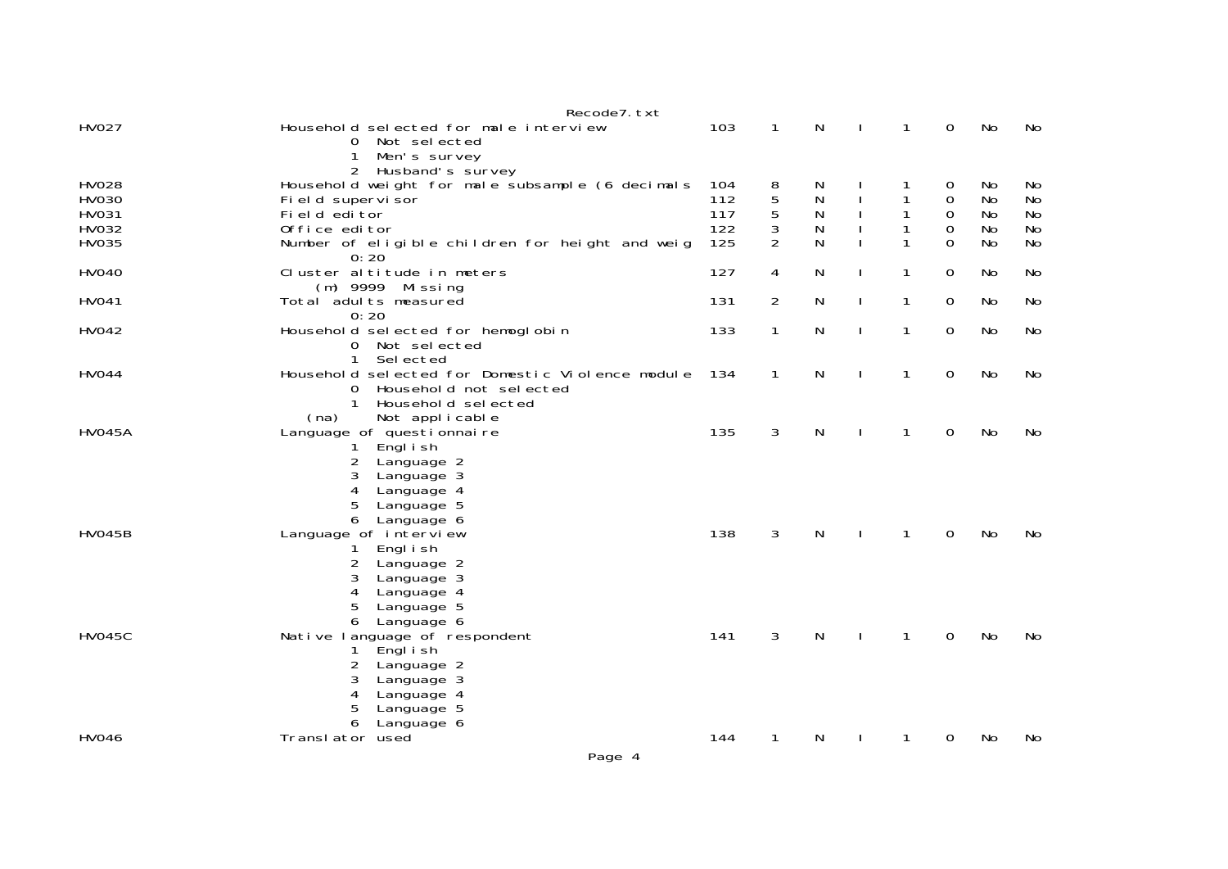|               | Recode7. txt                                                                                                                                                |     |                |   |              |              |             |           |           |
|---------------|-------------------------------------------------------------------------------------------------------------------------------------------------------------|-----|----------------|---|--------------|--------------|-------------|-----------|-----------|
| <b>HV027</b>  | Household selected for male interview<br>0 Not selected<br>1<br>Men's survey                                                                                | 103 | $\mathbf{1}$   | N |              | 1            | $\mathbf 0$ | No        | No        |
| <b>HV028</b>  | 2 Husband's survey<br>Household weight for male subsample (6 decimals                                                                                       | 104 | 8              | N |              |              | 0           | No.       | No        |
| <b>HV030</b>  | Fi el d supervi sor                                                                                                                                         | 112 | 5              | N |              | 1            | $\mathbf 0$ | No        | <b>No</b> |
| HV031         | Field editor                                                                                                                                                | 117 | 5              | N |              | 1            | 0           | No        | No        |
| HV032         | Office editor                                                                                                                                               | 122 | 3              | N |              | 1            | $\mathbf 0$ | No        | No        |
| HV035         | Number of eligible children for height and weig<br>0:20                                                                                                     | 125 | $\overline{2}$ | N |              |              | $\Omega$    | No        | <b>No</b> |
| <b>HV040</b>  | Cluster altitude in meters<br>(m) 9999 Missing                                                                                                              | 127 | 4              | N |              | 1            | 0           | No.       | No        |
| <b>HV041</b>  | Total adults measured<br>0:20                                                                                                                               | 131 | $\overline{2}$ | N | $\mathbf{I}$ | 1            | 0           | No        | No        |
| HV042         | Household selected for hemoglobin<br>0 Not selected<br>$\mathbf{1}$<br>Sel ected                                                                            | 133 | $\mathbf{1}$   | N | $\mathbf{I}$ | 1            | 0           | No        | No        |
| <b>HV044</b>  | Household selected for Domestic Violence module<br>Household not selected<br>0<br>Household selected<br>$\mathbf{1}$<br>Not applicable<br>(na)              | 134 | $\mathbf{1}$   | N |              | $\mathbf{1}$ | 0           | <b>No</b> | No        |
| <b>HVO45A</b> | Language of questionnaire<br>Engl i sh<br>2<br>Language 2<br>3<br>Language 3<br>4<br>Language 4<br>5<br>Language 5<br>6<br>Language 6                       | 135 | 3              | N |              | 1            | 0           | No        | No        |
| <b>HV045B</b> | Language of interview<br>Engl i sh<br>1.<br>2<br>Language 2<br>3<br>Language 3<br>4<br>Language 4<br>5<br>Language 5<br>Language 6<br>6                     | 138 | 3              | N |              | 1            | 0           | <b>No</b> | No        |
| <b>HV045C</b> | Native language of respondent<br>Engl i sh<br>1<br>$\overline{2}$<br>Language 2<br>3<br>Language 3<br>4<br>Language 4<br>5<br>Language 5<br>6<br>Language 6 | 141 | 3              | N | $\mathbf{I}$ | $\mathbf{1}$ | $\mathbf 0$ | <b>No</b> | <b>No</b> |
| <b>HV046</b>  | Translator used                                                                                                                                             | 144 | $\mathbf{1}$   | N |              | 1            | 0           | No        | No        |
|               | Page 4                                                                                                                                                      |     |                |   |              |              |             |           |           |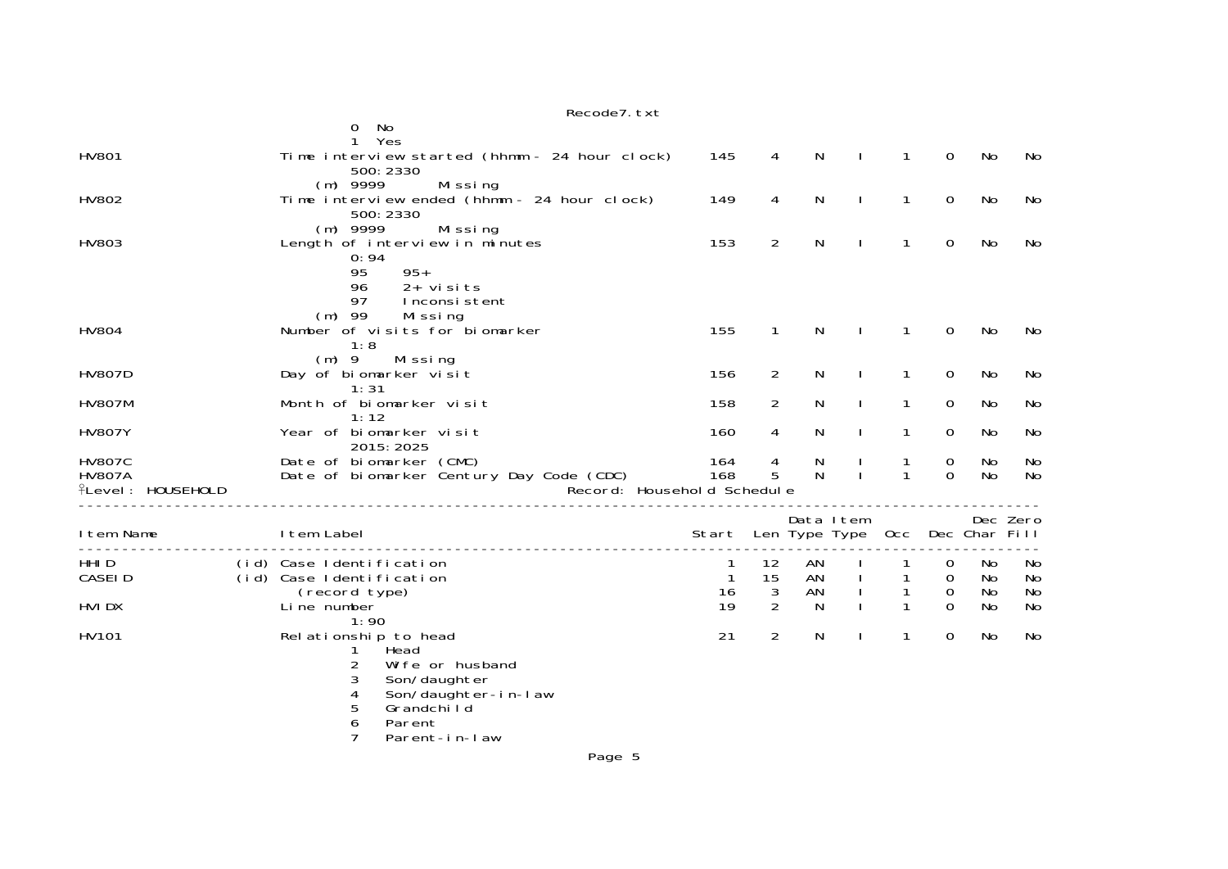|                                                            | Recode7. txt                                                                                                                                                                         |            |                     |                            |                              |              |               |                 |          |
|------------------------------------------------------------|--------------------------------------------------------------------------------------------------------------------------------------------------------------------------------------|------------|---------------------|----------------------------|------------------------------|--------------|---------------|-----------------|----------|
|                                                            | No<br>0<br>Yes                                                                                                                                                                       |            |                     |                            |                              |              |               |                 |          |
| <b>HV801</b>                                               | Time interview started (hhmm - 24 hour clock)<br>500: 2330                                                                                                                           | 145        | 4                   | N                          | $\mathbf{I}$                 | $\mathbf{1}$ | $\Omega$      | <b>No</b>       | No       |
| HV802                                                      | $(m)$ 9999<br>Missing<br>Time interview ended (hhmm - 24 hour clock)<br>500: 2330                                                                                                    | 149        | 4                   | N                          | $\mathbf{I}$                 | $\mathbf{1}$ | 0             | No              | No       |
| HV803                                                      | $(m)$ 9999<br>Missing<br>Length of interview in minutes<br>0:94<br>$95+$<br>95                                                                                                       | 153        | $\overline{2}$      | N                          |                              | $\mathbf{1}$ | $\mathbf 0$   | <b>No</b>       | No       |
| <b>HV804</b>                                               | 96<br>$2+$ visits<br>97<br>Inconsistent<br>$(m)$ 99<br>Missing<br>Number of visits for biomarker<br>1:8                                                                              | 155        | $\mathbf{1}$        | N                          |                              | 1            | $\Omega$      | <b>No</b>       | No       |
| <b>HV807D</b>                                              | $(m)$ 9<br>Mi ssi ng<br>Day of biomarker visit<br>1:31                                                                                                                               | 156        | 2                   | N                          | $\mathbf{I}$                 | $\mathbf{1}$ | 0             | No              | No       |
| <b>HV807M</b>                                              | Month of biomarker visit                                                                                                                                                             | 158        | $\overline{2}$      | N                          | $\mathbf{L}$                 | $\mathbf{1}$ | 0             | No              | No       |
| <b>HV807Y</b>                                              | 1:12<br>Year of biomarker visit<br>2015: 2025                                                                                                                                        | 160        | 4                   | N                          | $\mathbf{I}$                 | 1            | 0             | No              | No       |
| <b>HV807C</b><br><b>HV807A</b><br><b>fLevel: HOUSEHOLD</b> | Date of biomarker (CMC)<br>Date of biomarker Century Day Code (CDC)<br>Record: Household Schedule                                                                                    | 164<br>168 | 4<br>5              | N<br>N                     | $\mathbf{I}$<br>$\mathbf{I}$ | 1<br>1       | 0<br>$\Omega$ | No<br>No        | No<br>No |
| I tem Name                                                 | I tem Label                                                                                                                                                                          | Start      |                     | Data Item<br>Len Type Type |                              | 0cc          |               | Dec Char Fill   | Dec Zero |
| HHI D<br>CASEI D                                           | (id) Case Identification<br>(id) Case Identification                                                                                                                                 | 1<br>1     | 12<br>15            | AN<br>AN                   |                              | 1            | 0<br>0        | No<br><b>No</b> | No<br>No |
| HVI DX                                                     | (record type)<br>Li ne number                                                                                                                                                        | 16<br>19   | 3<br>$\overline{2}$ | AN<br>N                    |                              | 1<br>1       | 0<br>$\Omega$ | No<br>No        | No<br>No |
| HV101                                                      | 1:90<br>Rel ationship to head<br>Head<br>$\overline{c}$<br>Wi fe or husband<br>3<br>Son/daughter<br>Son/daughter-in-law<br>4<br>5<br>Grandchild<br>6<br>Parent<br>7<br>Parent-in-law | 21         | $\overline{2}$      | N                          | $\mathbf{I}$                 | $\mathbf{1}$ | 0             | No              | No       |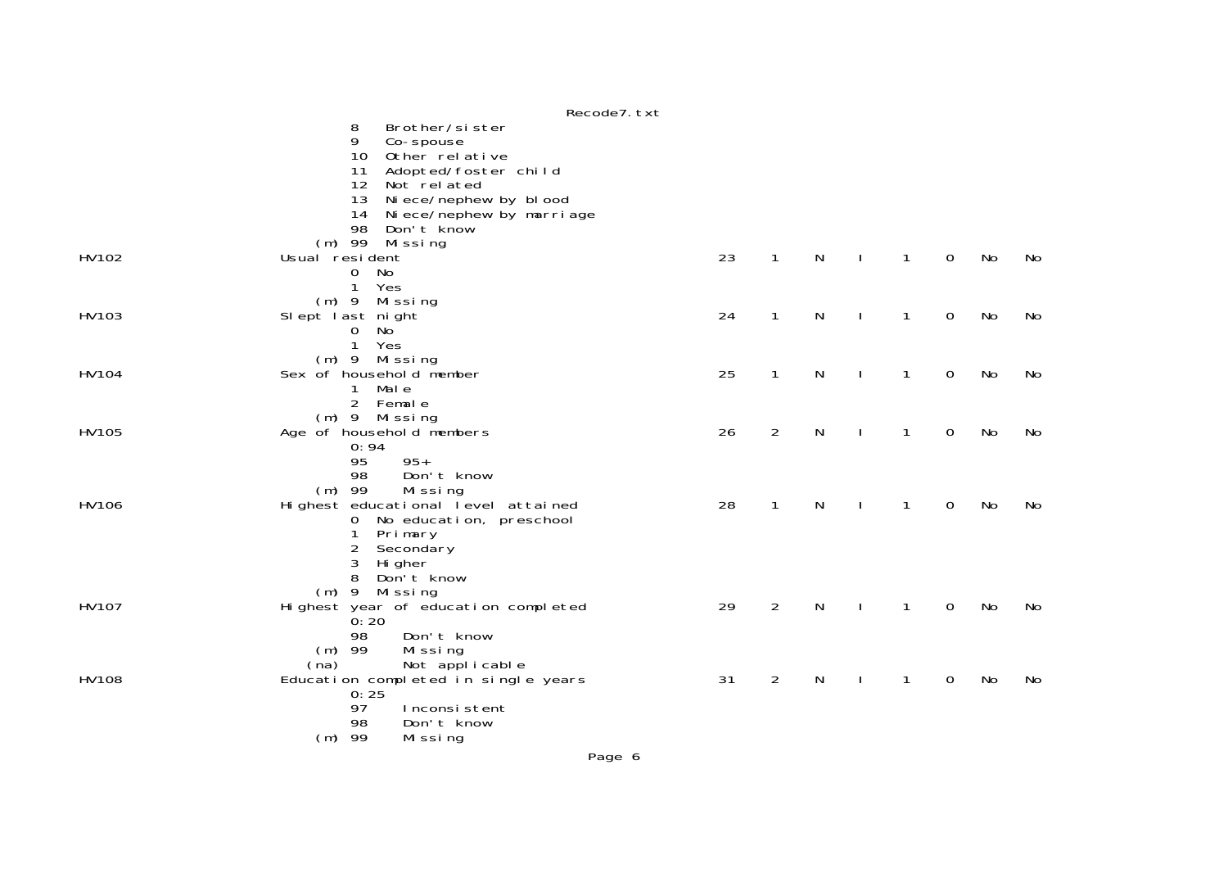|              | Recode7. txt                                                    |    |                |           |              |              |             |           |    |
|--------------|-----------------------------------------------------------------|----|----------------|-----------|--------------|--------------|-------------|-----------|----|
|              | 8<br>Brother/sister                                             |    |                |           |              |              |             |           |    |
|              | 9<br>Co-spouse                                                  |    |                |           |              |              |             |           |    |
|              | 10<br>Other relative                                            |    |                |           |              |              |             |           |    |
|              | 11<br>Adopted/foster child                                      |    |                |           |              |              |             |           |    |
|              | 12<br>Not related                                               |    |                |           |              |              |             |           |    |
|              | 13<br>Ni ece/nephew by blood                                    |    |                |           |              |              |             |           |    |
|              | Ni ece/nephew by marri age<br>14                                |    |                |           |              |              |             |           |    |
|              | 98<br>Don't know                                                |    |                |           |              |              |             |           |    |
| HV102        | (m) 99 Missing                                                  |    |                |           |              | $\mathbf{1}$ | $\mathbf 0$ |           |    |
|              | Usual resident<br>No                                            | 23 | $\mathbf{1}$   | ${\sf N}$ | $\mathbf{I}$ |              |             | No        | No |
|              | 0<br>$\mathbf{1}$<br>Yes                                        |    |                |           |              |              |             |           |    |
|              | $(m)$ 9 Missing                                                 |    |                |           |              |              |             |           |    |
| HV103        | Slept last night                                                | 24 | $\mathbf{1}$   | N         |              | $\mathbf{1}$ | $\mathbf 0$ | <b>No</b> | No |
|              | No<br>$\mathbf 0$                                               |    |                |           |              |              |             |           |    |
|              | $\mathbf{1}$<br>Yes                                             |    |                |           |              |              |             |           |    |
|              | (m) 9 Missing                                                   |    |                |           |              |              |             |           |    |
| HV104        | Sex of household member                                         | 25 | 1              | N         |              | 1            | $\mathbf 0$ | No        | No |
|              | Mal e<br>$\mathbf{1}$                                           |    |                |           |              |              |             |           |    |
|              | 2 Female                                                        |    |                |           |              |              |             |           |    |
|              | (m) 9 Missing                                                   |    |                |           |              |              |             |           |    |
| HV105        | Age of household members                                        | 26 | $\overline{2}$ | ${\sf N}$ |              | $\mathbf{1}$ | $\mathbf 0$ | No        | No |
|              | 0:94                                                            |    |                |           |              |              |             |           |    |
|              | 95<br>$95+$                                                     |    |                |           |              |              |             |           |    |
|              | Don't know<br>98                                                |    |                |           |              |              |             |           |    |
|              | $(m)$ 99<br>Missing                                             |    |                |           |              |              |             |           |    |
| HV106        | Highest educational level attained<br>0 No education, preschool | 28 | $\mathbf{1}$   | N         |              | $\mathbf{1}$ | $\mathbf 0$ | No        | No |
|              | Primary<br>1                                                    |    |                |           |              |              |             |           |    |
|              | $\overline{2}$<br>Secondary                                     |    |                |           |              |              |             |           |    |
|              | 3<br>Hi gher                                                    |    |                |           |              |              |             |           |    |
|              | 8<br>Don't know                                                 |    |                |           |              |              |             |           |    |
|              | $(m)$ 9 Missing                                                 |    |                |           |              |              |             |           |    |
| HV107        | Highest year of education completed                             | 29 | $\overline{2}$ | N         |              | $\mathbf{1}$ | $\mathbf 0$ | No        | No |
|              | 0:20                                                            |    |                |           |              |              |             |           |    |
|              | Don't know<br>98                                                |    |                |           |              |              |             |           |    |
|              | $(m)$ 99<br>Missing                                             |    |                |           |              |              |             |           |    |
|              | Not applicable<br>(na)                                          |    |                |           |              |              |             |           |    |
| <b>HV108</b> | Education completed in single years                             | 31 | $\overline{2}$ | N         |              | 1            | $\mathbf 0$ | No        | No |
|              | 0:25                                                            |    |                |           |              |              |             |           |    |
|              | 97<br>Inconsistent<br>98                                        |    |                |           |              |              |             |           |    |
|              | Don't know                                                      |    |                |           |              |              |             |           |    |
|              | $(m)$ 99<br>Missing                                             |    |                |           |              |              |             |           |    |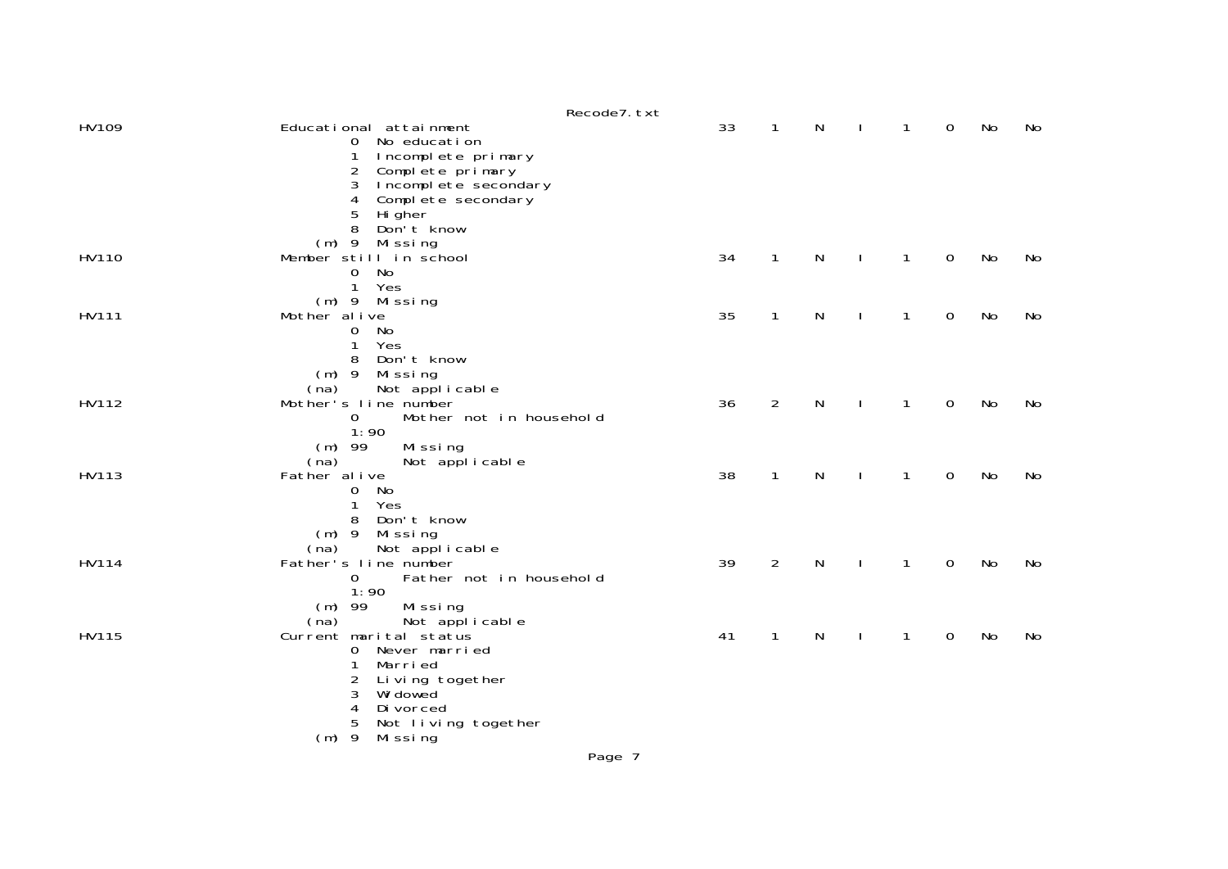|       |                                                                                                                                                                                         | Recode7. txt |    |                |              |              |              |             |    |    |
|-------|-----------------------------------------------------------------------------------------------------------------------------------------------------------------------------------------|--------------|----|----------------|--------------|--------------|--------------|-------------|----|----|
| HV109 | Educational attainment<br>0 No education<br>Incomplete primary<br>1<br>2<br>Complete primary<br>Incomplete secondary<br>3<br>Complete secondary<br>4<br>5<br>Hi gher<br>Don't know<br>8 |              | 33 | $\mathbf{1}$   | N            |              | 1            | 0           | No | No |
| HV110 | Missing<br>$(m)$ 9<br>Member still in school<br>$\mathbf 0$<br>No<br>$\mathbf{1}$<br>Yes<br>$(m)$ 9 Missing                                                                             |              | 34 | $\mathbf{1}$   | $\mathsf{N}$ | $\mathbf{I}$ | $\mathbf{1}$ | $\mathbf 0$ | No | No |
| HV111 | Mother alive<br>0<br>No<br>Yes<br>1<br>8<br>Don't know<br>Mi ssi ng<br>$(m)$ 9<br>Not applicable<br>(na)                                                                                |              | 35 | $\mathbf{1}$   | N            |              | 1            | $\mathbf 0$ | No | No |
| HV112 | Mother's line number<br>Mother not in household<br>$\mathbf{O}$<br>1:90<br>$(m)$ 99<br>Missing<br>Not applicable<br>(na)                                                                |              | 36 | $\overline{2}$ | N            |              | $\mathbf{1}$ | $\mathbf 0$ | No | No |
| HV113 | Father al ive<br>$\mathbf 0$<br>No<br>1<br>Yes<br>Don't know<br>8<br>$(m)$ 9<br>Mi ssi ng<br>Not applicable<br>(na)                                                                     |              | 38 | $\mathbf{1}$   | N            | <sup>1</sup> | 1            | $\mathbf 0$ | No | No |
| HV114 | Father's line number<br>$\Omega$<br>Father not in household<br>1:90<br>$(m)$ 99<br>Missing<br>(na)<br>Not applicable                                                                    |              | 39 | $\overline{2}$ | $\mathsf{N}$ | J.           | 1            | 0           | No | No |
| HV115 | Current marital status<br>Never married<br>$\mathbf 0$<br>1<br>Marri ed<br>Living together<br>2<br>Wi dowed<br>3<br>4<br>Di vorced<br>5<br>Not living together<br>$(m)$ 9<br>Mi ssi ng  |              | 41 | $\mathbf{1}$   | N            |              | 1            | 0           | No | No |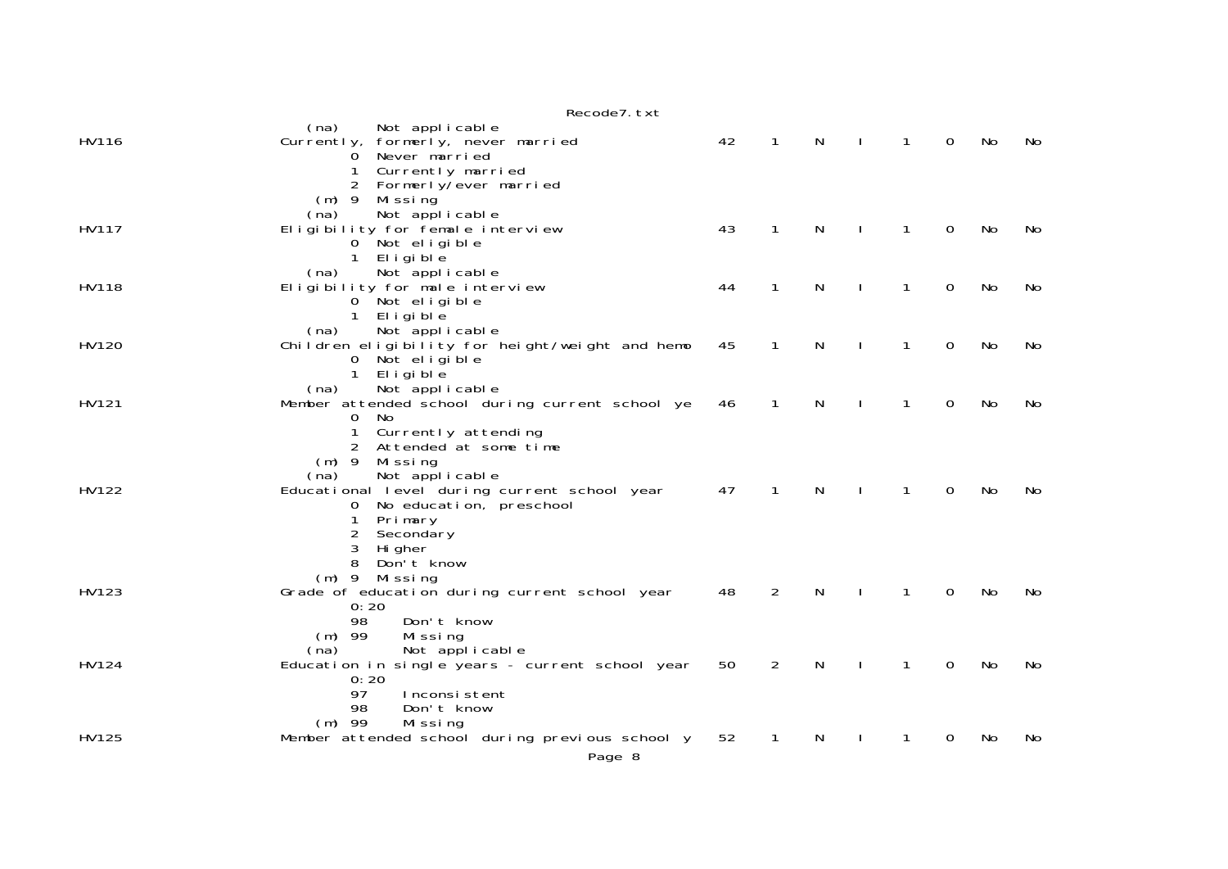|       | Recode7. txt                                                                                        |    |                |   |              |              |          |     |    |
|-------|-----------------------------------------------------------------------------------------------------|----|----------------|---|--------------|--------------|----------|-----|----|
| HV116 | (na)<br>Not applicable<br>Currently, formerly, never married<br>Never married<br>0                  | 42 | $\mathbf{1}$   | N | $\mathbf{I}$ | $\mathbf{1}$ | $\Omega$ | No  | No |
|       | Currently married<br>1<br>2<br>Formerly/ever married<br>$(m)$ 9<br>Missing                          |    |                |   |              |              |          |     |    |
| HV117 | Not applicable<br>(na)<br>Eligibility for female interview<br>0 Not eligible                        | 43 | $\mathbf{1}$   | N | $\mathbf{I}$ | $\mathbf{1}$ | 0        | No  | No |
| HV118 | 1 Eligible<br>Not applicable<br>(na)<br>Eligibility for male interview                              | 44 | 1              | N |              | 1            | 0        | No  | No |
|       | 0 Not eligible<br>1 Eligible<br>(na)<br>Not applicable                                              |    |                |   |              |              |          |     |    |
| HV120 | Children eligibility for height/weight and hemo<br>0 Not eligible<br>1 Eligible                     | 45 | 1              | N |              | 1            | 0        | No  | No |
| HV121 | Not applicable<br>(na)<br>Member attended school during current school ye<br>$\mathbf{O}$<br>No.    | 46 | $\mathbf{1}$   | N | $\mathbf{I}$ | $\mathbf{1}$ | 0        | No  | No |
|       | 1<br>Currently attending<br>Attended at some time<br>$(m)$ 9<br>Mi ssi ng<br>Not applicable<br>(na) |    |                |   |              |              |          |     |    |
| HV122 | Educational level during current school year<br>0 No education, preschool<br>Primary<br>1           | 47 | $\mathbf{1}$   | N | $\mathbf{I}$ | 1            | 0        | No  | No |
|       | $\overline{2}$<br>Secondary<br>3<br>Hi gher<br>8<br>Don't know                                      |    |                |   |              |              |          |     |    |
| HV123 | (m) 9 Missing<br>Grade of education during current school year<br>0:20                              | 48 | $\overline{2}$ | N |              | 1            | $\Omega$ | No  | No |
|       | 98<br>Don't know<br>$(m)$ 99<br>Missing<br>Not applicable<br>(na)                                   |    |                |   |              |              |          |     |    |
| HV124 | Education in single years - current school year<br>0:20<br>97<br>Inconsistent                       | 50 | $\overline{2}$ | N |              | 1            | 0        | No  | No |
| HV125 | 98<br>Don't know<br>$(m)$ 99<br>Missing<br>Member attended school during previous school y          | 52 | 1              | N |              | 1            | 0        | No. | No |
|       | Page 8                                                                                              |    |                |   |              |              |          |     |    |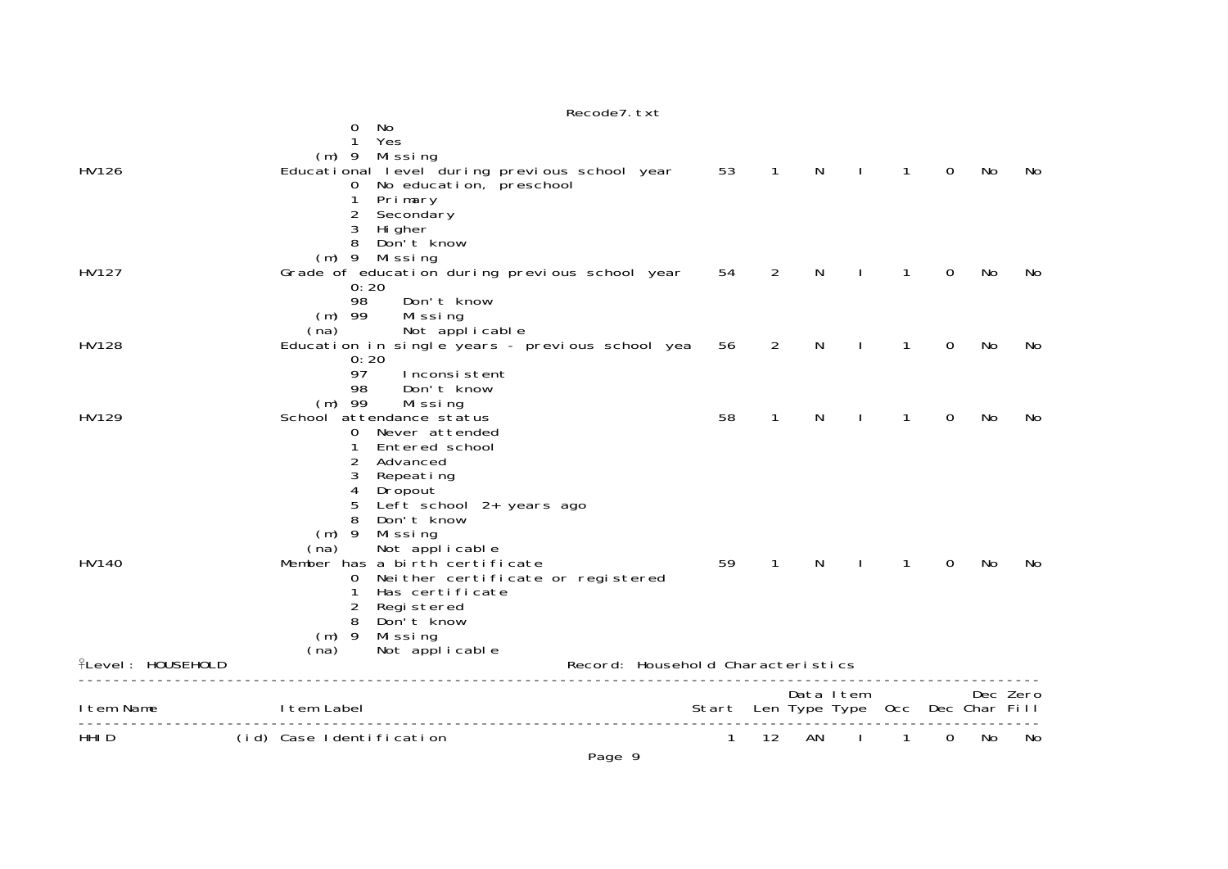|                   | No<br>0<br>1<br>Yes                                                        |                                       |                          |              |              |              |             |    |          |
|-------------------|----------------------------------------------------------------------------|---------------------------------------|--------------------------|--------------|--------------|--------------|-------------|----|----------|
|                   | $(m)$ 9<br>Mi ssi ng                                                       |                                       |                          |              |              |              |             |    |          |
| HV126             | Educational level during previous school year<br>0 No education, preschool | 53                                    | $\overline{\phantom{0}}$ | $\mathsf{N}$ | $\mathbf{I}$ | $\mathbf{1}$ | $\mathbf 0$ | No | No       |
|                   | 1<br>Primary                                                               |                                       |                          |              |              |              |             |    |          |
|                   | 2<br>Secondary                                                             |                                       |                          |              |              |              |             |    |          |
|                   | 3<br>Hi gher                                                               |                                       |                          |              |              |              |             |    |          |
|                   | 8<br>Don't know<br>$(m)$ 9 Missing                                         |                                       |                          |              |              |              |             |    |          |
| HV127             | Grade of education during previous school year                             | 54                                    | $\overline{2}$           | N            | $\mathbf{I}$ | $\mathbf{1}$ | $\mathbf 0$ | No | No       |
|                   | 0:20                                                                       |                                       |                          |              |              |              |             |    |          |
|                   | 98<br>Don't know                                                           |                                       |                          |              |              |              |             |    |          |
|                   | $(m)$ 99<br>Missing<br>(na)                                                |                                       |                          |              |              |              |             |    |          |
| HV128             | Not applicable<br>Education in single years - previous school yea          | 56                                    | $\overline{2}$           | N            |              | 1            | 0           | No | No       |
|                   | 0:20                                                                       |                                       |                          |              |              |              |             |    |          |
|                   | 97<br>Inconsistent                                                         |                                       |                          |              |              |              |             |    |          |
|                   | 98<br>Don't know<br>$(m)$ 99                                               |                                       |                          |              |              |              |             |    |          |
| HV129             | Missing<br>School attendance status                                        | 58                                    | 1                        | N            | $\mathbf{I}$ | 1            | 0           | No | No       |
|                   | Never attended<br>$\overline{0}$                                           |                                       |                          |              |              |              |             |    |          |
|                   | Entered school<br>1                                                        |                                       |                          |              |              |              |             |    |          |
|                   | 2<br>Advanced<br>3<br>Repeating                                            |                                       |                          |              |              |              |             |    |          |
|                   | 4<br>Dropout                                                               |                                       |                          |              |              |              |             |    |          |
|                   | 5<br>Left school 2+ years ago                                              |                                       |                          |              |              |              |             |    |          |
|                   | 8<br>Don't know                                                            |                                       |                          |              |              |              |             |    |          |
|                   | $(m)$ 9<br>Missing<br>Not applicable<br>(na)                               |                                       |                          |              |              |              |             |    |          |
| HV140             | Member has a birth certificate                                             | 59                                    | $\mathbf{1}$             | N            |              | $\mathbf{1}$ | $\mathbf 0$ | No | No       |
|                   | Nei ther certi ficate or registered<br>0                                   |                                       |                          |              |              |              |             |    |          |
|                   | Has certificate                                                            |                                       |                          |              |              |              |             |    |          |
|                   | 2<br>Registered<br>8<br>Don't know                                         |                                       |                          |              |              |              |             |    |          |
|                   | $(m)$ 9<br>Missing                                                         |                                       |                          |              |              |              |             |    |          |
|                   | Not applicable<br>(na)                                                     |                                       |                          |              |              |              |             |    |          |
| ♀Level: HOUSEHOLD |                                                                            | Record: Household Characteristics     |                          |              |              |              |             |    |          |
|                   |                                                                            |                                       |                          | Data Item    |              |              |             |    | Dec Zero |
| Item Name         | I tem Label                                                                | Start Len Type Type Occ Dec Char Fill |                          |              |              |              |             |    |          |
| HHI D             | (id) Case Identification                                                   | 1                                     | 12                       | AN           | $\mathbf{I}$ | 1            | 0           | No | No       |

## Recode7.txt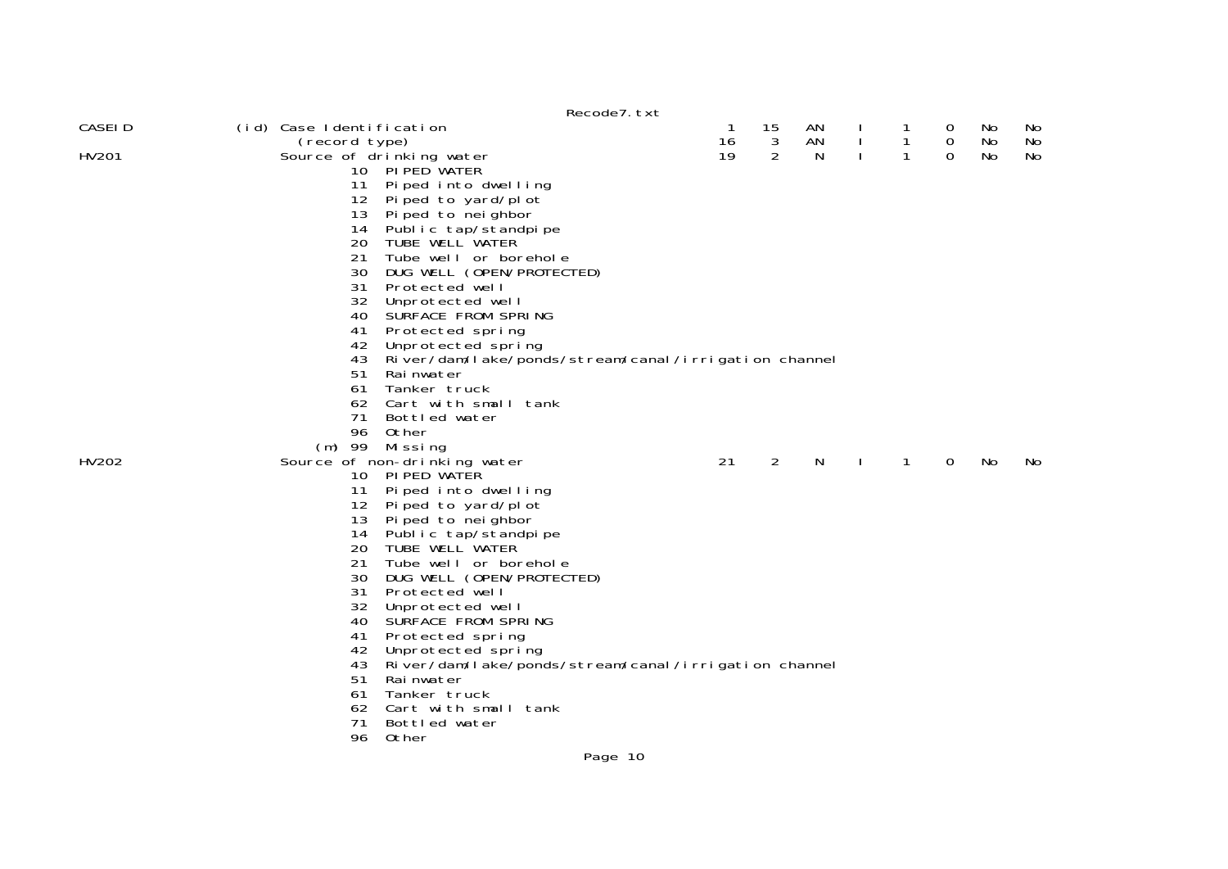|         |                          |                                                      | Recode7. txt |    |    |    |              |              |             |    |     |
|---------|--------------------------|------------------------------------------------------|--------------|----|----|----|--------------|--------------|-------------|----|-----|
| CASEI D | (id) Case Identification |                                                      |              | -1 | 15 | AN |              | 1            | 0           | No | NO. |
|         | (record type)            |                                                      |              | 16 | 3  | AN | $\mathbf{I}$ | $\mathbf{1}$ | $\mathbf 0$ | No | No  |
| HV201   |                          | Source of drinking water                             |              | 19 | 2  | N  | $\mathbf{I}$ | $\mathbf{1}$ | $\Omega$    | No | No  |
|         |                          | 10 PI PED WATER                                      |              |    |    |    |              |              |             |    |     |
|         | 11                       | Piped into dwelling                                  |              |    |    |    |              |              |             |    |     |
|         | 12                       | Piped to yard/plot                                   |              |    |    |    |              |              |             |    |     |
|         | 13                       | Piped to neighbor                                    |              |    |    |    |              |              |             |    |     |
|         | 14                       | Public tap/standpipe                                 |              |    |    |    |              |              |             |    |     |
|         | 20                       | TUBE WELL WATER                                      |              |    |    |    |              |              |             |    |     |
|         | 21                       | Tube well or borehole                                |              |    |    |    |              |              |             |    |     |
|         | 30                       | DUG WELL (OPEN/PROTECTED)                            |              |    |    |    |              |              |             |    |     |
|         | 31                       | Protected well                                       |              |    |    |    |              |              |             |    |     |
|         | 32                       | Unprotected well                                     |              |    |    |    |              |              |             |    |     |
|         | 40                       | SURFACE FROM SPRING                                  |              |    |    |    |              |              |             |    |     |
|         | 41                       | Protected spring                                     |              |    |    |    |              |              |             |    |     |
|         | 42                       | Unprotected spring                                   |              |    |    |    |              |              |             |    |     |
|         | 43                       | River/dam/lake/ponds/stream/canal/irrigation channel |              |    |    |    |              |              |             |    |     |
|         | 51                       | Rai nwater                                           |              |    |    |    |              |              |             |    |     |
|         | 61                       | Tanker truck                                         |              |    |    |    |              |              |             |    |     |
|         | 62                       | Cart with small tank                                 |              |    |    |    |              |              |             |    |     |
|         | 71                       | Bottled water                                        |              |    |    |    |              |              |             |    |     |
|         | 96                       | Other                                                |              |    |    |    |              |              |             |    |     |
|         |                          | (m) 99 Missing                                       |              |    |    |    |              |              |             |    |     |
| HV202   |                          | Source of non-drinking water                         |              | 21 | 2  | N  |              | 1            | 0           | No | No. |
|         |                          | 10 PIPED WATER                                       |              |    |    |    |              |              |             |    |     |
|         | 11                       | Piped into dwelling                                  |              |    |    |    |              |              |             |    |     |
|         | 12                       | Piped to yard/plot                                   |              |    |    |    |              |              |             |    |     |
|         | 13                       | Pi ped to nei ghbor                                  |              |    |    |    |              |              |             |    |     |
|         | 14                       | Public tap/standpipe                                 |              |    |    |    |              |              |             |    |     |
|         | 20                       | TUBE WELL WATER                                      |              |    |    |    |              |              |             |    |     |
|         | 21                       | Tube well or borehole                                |              |    |    |    |              |              |             |    |     |
|         | 30                       | DUG WELL (OPEN/PROTECTED)                            |              |    |    |    |              |              |             |    |     |
|         | 31                       | Protected well                                       |              |    |    |    |              |              |             |    |     |
|         | 32                       | Unprotected well                                     |              |    |    |    |              |              |             |    |     |
|         | 40                       | SURFACE FROM SPRING                                  |              |    |    |    |              |              |             |    |     |
|         | 41                       | Protected spring                                     |              |    |    |    |              |              |             |    |     |
|         | 42                       | Unprotected spring                                   |              |    |    |    |              |              |             |    |     |
|         | 43                       | River/dam/lake/ponds/stream/canal/irrigation channel |              |    |    |    |              |              |             |    |     |
|         | 51                       | Rai nwater                                           |              |    |    |    |              |              |             |    |     |
|         | 61                       | Tanker truck                                         |              |    |    |    |              |              |             |    |     |
|         | 62                       | Cart with small tank                                 |              |    |    |    |              |              |             |    |     |
|         | 71                       | Bottled water                                        |              |    |    |    |              |              |             |    |     |
|         | 96                       | Other                                                |              |    |    |    |              |              |             |    |     |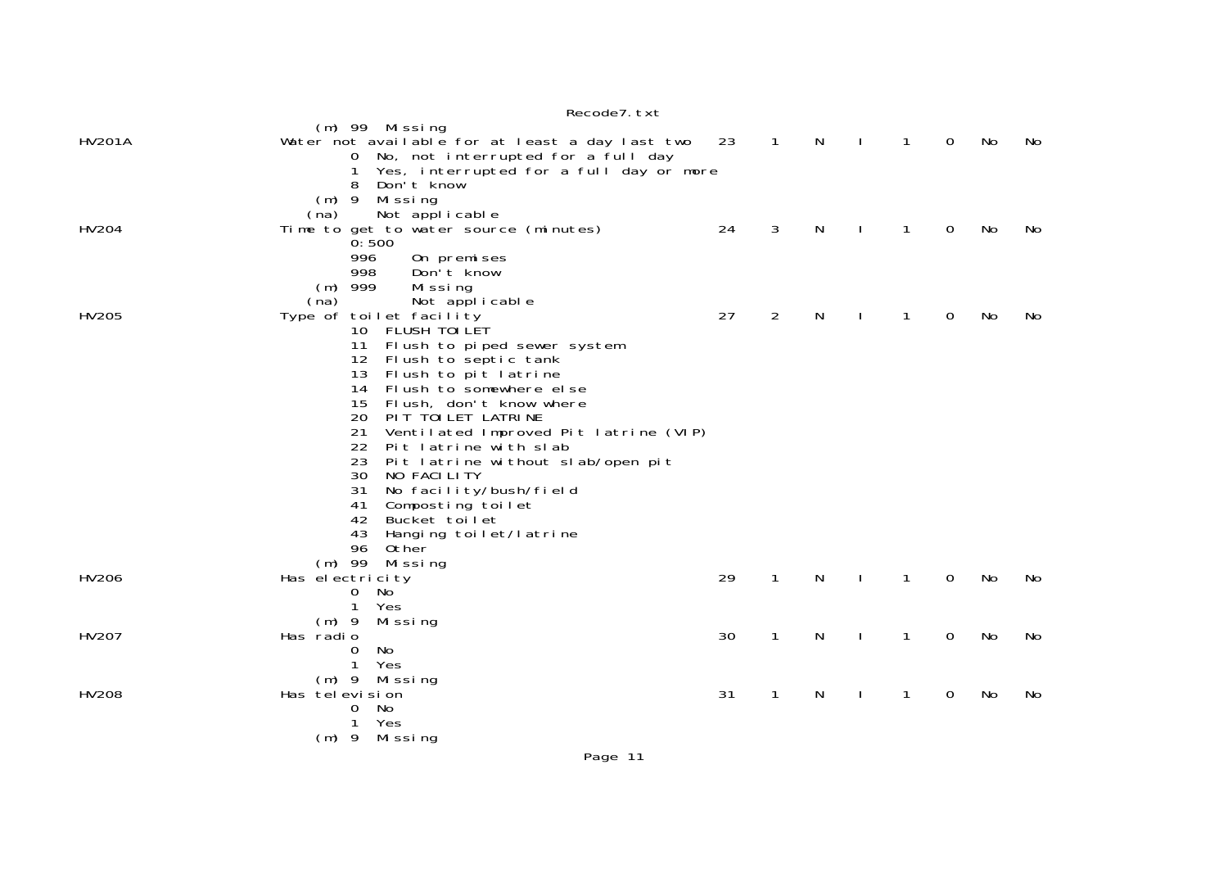|               | n                                                                                                           |    |                |   |              |              |   |           |     |
|---------------|-------------------------------------------------------------------------------------------------------------|----|----------------|---|--------------|--------------|---|-----------|-----|
| <b>HV201A</b> | $(m)$ 99 Missing<br>Water not available for at least a day last two<br>0 No, not interrupted for a full day | 23 | $\overline{1}$ | N | $\mathbf{I}$ | $\mathbf{1}$ | 0 | No        | No  |
|               | Yes, interrupted for a full day or more<br>$\mathbf 1$<br>Don't know<br>8                                   |    |                |   |              |              |   |           |     |
|               | $(m)$ 9<br>Missing<br>Not applicable<br>(na)                                                                |    |                |   |              |              |   |           |     |
| HV204         | Time to get to water source (minutes)<br>0:500                                                              | 24 | 3              | N |              | 1            | 0 | No        | No. |
|               | 996<br>On premises<br>998<br>Don't know                                                                     |    |                |   |              |              |   |           |     |
|               | $(m)$ 999<br>Missing<br>(na)<br>Not applicable                                                              |    |                |   |              |              |   |           |     |
| HV205         | Type of toilet facility<br>10 FLUSH TOI LET                                                                 | 27 | 2              | N |              | 1            | 0 | No        | No. |
|               | Flush to piped sewer system<br>11<br>Flush to septic tank<br>12 <sup>12</sup>                               |    |                |   |              |              |   |           |     |
|               | Flush to pit latrine<br>13                                                                                  |    |                |   |              |              |   |           |     |
|               | Flush to somewhere else<br>14<br>Flush, don't know where<br>15                                              |    |                |   |              |              |   |           |     |
|               | 20<br>PIT TOILET LATRINE<br>21<br>Ventilated Improved Pit latrine (VIP)                                     |    |                |   |              |              |   |           |     |
|               | 22<br>Pit latrine with slab<br>23<br>Pit latrine without slab/open pit                                      |    |                |   |              |              |   |           |     |
|               | 30<br>NO FACILITY                                                                                           |    |                |   |              |              |   |           |     |
|               | 31<br>No facility/bush/field<br>41<br>Composting toilet                                                     |    |                |   |              |              |   |           |     |
|               | 42<br>Bucket toilet<br>43<br>Hanging toilet/latrine                                                         |    |                |   |              |              |   |           |     |
|               | 96<br>Other                                                                                                 |    |                |   |              |              |   |           |     |
| HV206         | $(m)$ 99<br>Missing<br>Has electricity                                                                      | 29 | $\mathbf{1}$   | N |              | $\mathbf{1}$ | 0 | <b>No</b> | No  |
|               | 0<br>No<br>$\mathbf{1}$<br>Yes                                                                              |    |                |   |              |              |   |           |     |
|               | $(m)$ 9<br>Mi ssi ng                                                                                        |    |                |   |              |              |   |           |     |
| HV207         | Has radio<br>0<br>No.                                                                                       | 30 | 1              | N |              | 1            | 0 | No        | No  |
|               | 1<br>Yes<br>(m) 9 Missing                                                                                   |    |                |   |              |              |   |           |     |
| <b>HV208</b>  | Has television                                                                                              | 31 | 1              | N |              | $\mathbf{1}$ | 0 | No        | No  |
|               | 0<br>No<br>Yes<br>1                                                                                         |    |                |   |              |              |   |           |     |
|               | (m) 9 Missing                                                                                               |    |                |   |              |              |   |           |     |

## Recode7.txt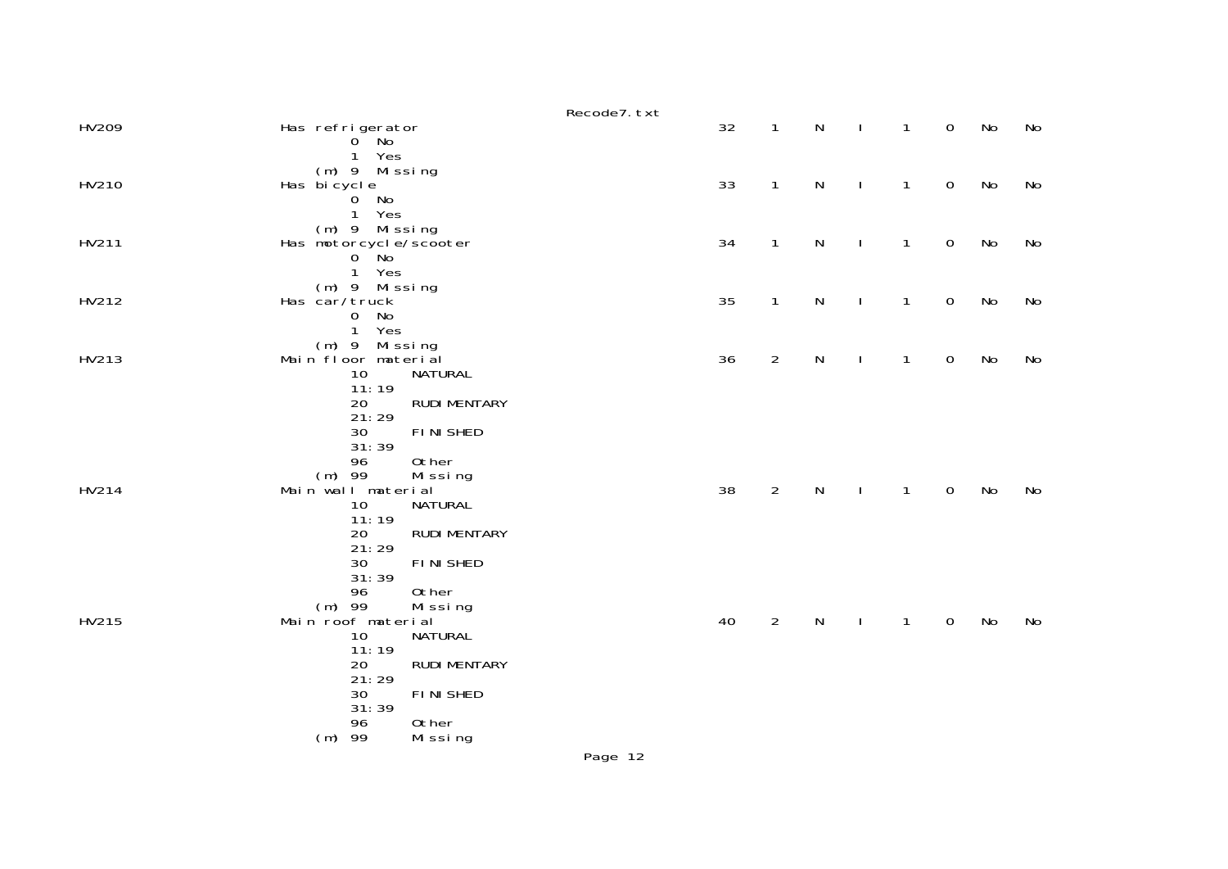|       |                                                                                                 | Recode7. txt |    |                |           |              |              |                     |    |    |
|-------|-------------------------------------------------------------------------------------------------|--------------|----|----------------|-----------|--------------|--------------|---------------------|----|----|
| HV209 | Has refrigerator<br>$0^{\circ}$ No<br>1 Yes                                                     |              | 32 | $\mathbf{1}$   | N         | $\mathbf{I}$ | 1            | $\mathbf 0$         | No | No |
| HV210 | (m) 9 Missing<br>Has bicycle<br>$\overline{0}$<br>No                                            |              | 33 | 1              | N         | $\mathbf{I}$ | 1            | $\mathsf{O}\xspace$ | No | No |
| HV211 | $\mathbf{1}$<br>Yes<br>(m) 9 Missing<br>Has motorcycle/scooter<br>$0$ No<br>$\mathbf{1}$<br>Yes |              | 34 | $\mathbf{1}$   | N         | $\mathbf{I}$ | $\mathbf{1}$ | $\mathsf{O}\xspace$ | No | No |
| HV212 | (m) 9 Missing<br>Has car/truck<br>No<br>0<br>$\mathbf{1}$<br>Yes                                |              | 35 | $\mathbf{1}$   | N         | $\mathbf{I}$ | $\mathbf{1}$ | $\mathbf 0$         | No | No |
| HV213 | $(m)$ 9<br>Missing<br>Main floor material<br>10<br>NATURAL<br>11:19                             |              | 36 | $\overline{2}$ | N         | $\mathbf{I}$ | 1            | $\mathbf 0$         | No | No |
|       | <b>RUDI MENTARY</b><br>20<br>21:29<br><b>FINISHED</b><br>30<br>31:39<br>96<br>0ther             |              |    |                |           |              |              |                     |    |    |
| HV214 | $(m)$ 99<br>Mi ssi ng<br>Main wall material<br>NATURAL<br>10<br>11:19                           |              | 38 | $\overline{2}$ | ${\sf N}$ | $\mathbf{I}$ | $\mathbf{1}$ | $\mathsf{O}\xspace$ | No | No |
|       | <b>RUDI MENTARY</b><br>20<br>21:29<br><b>FINISHED</b><br>30<br>31:39                            |              |    |                |           |              |              |                     |    |    |
| HV215 | 96<br>0ther<br>$(m)$ 99<br>Missing<br>Main roof material<br><b>NATURAL</b>                      |              | 40 | $\overline{2}$ | N         | $\mathbf{I}$ | $\mathbf{1}$ | $\mathbf 0$         | No | No |
|       | 10<br>11:19<br>20<br><b>RUDI MENTARY</b><br>21:29                                               |              |    |                |           |              |              |                     |    |    |
|       | <b>FINISHED</b><br>30<br>31:39<br>96<br>0ther<br>-99                                            |              |    |                |           |              |              |                     |    |    |
|       | (m)<br>Missing                                                                                  | Page 12      |    |                |           |              |              |                     |    |    |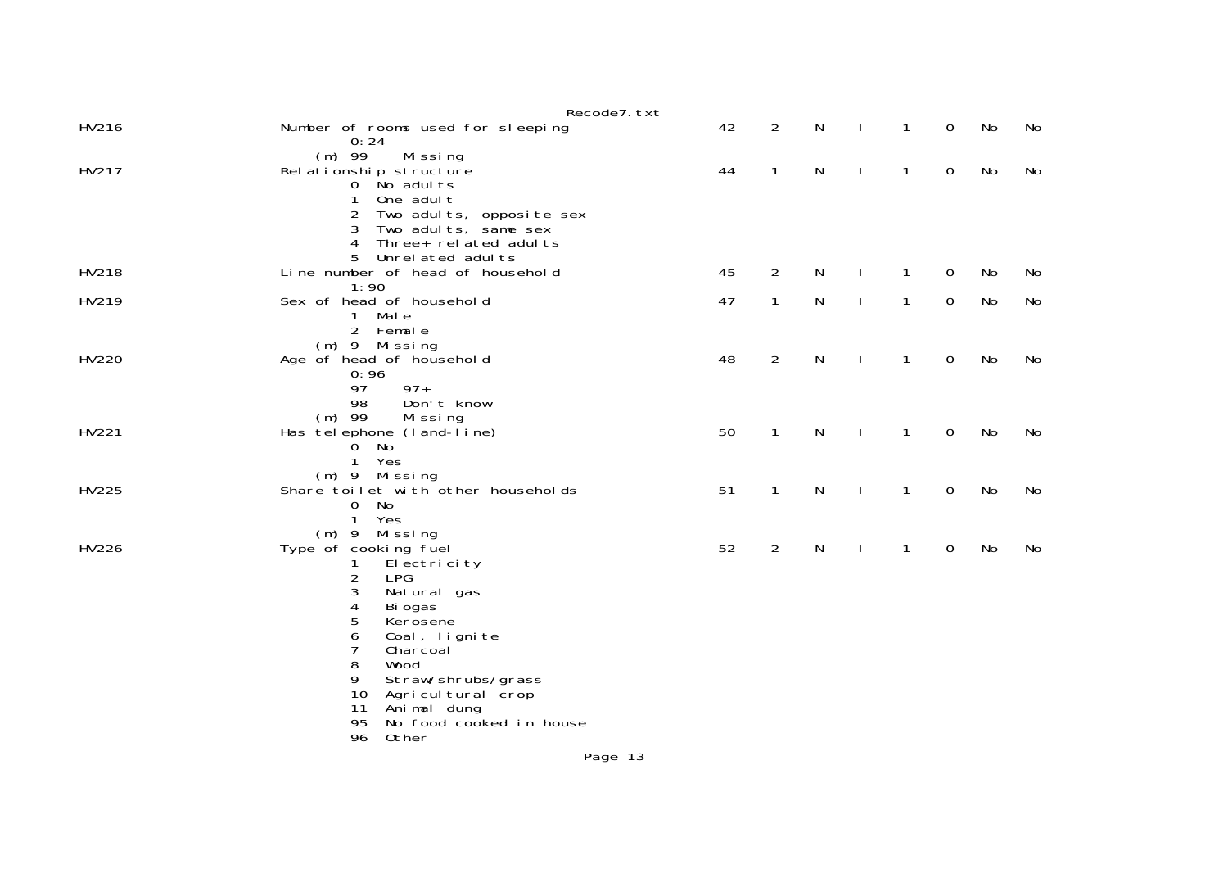|       | Recode7. txt                                                                                                                                                             |    |                |   |              |              |             |    |    |
|-------|--------------------------------------------------------------------------------------------------------------------------------------------------------------------------|----|----------------|---|--------------|--------------|-------------|----|----|
| HV216 | Number of rooms used for sleeping<br>0:24                                                                                                                                | 42 | $\overline{2}$ | N |              | $\mathbf{1}$ | $\mathbf 0$ | No | No |
| HV217 | $(m)$ 99<br>Missing<br>Rel ationship structure<br>0 No adults<br>One adul t<br>1                                                                                         | 44 | $\mathbf{1}$   | N | $\mathbf{I}$ | $\mathbf{1}$ | $\mathbf 0$ | No | No |
|       | 2<br>Two adults, opposite sex<br>3<br>Two adults, same sex<br>Three+ related adults<br>4<br>5<br>Unrel ated adul ts                                                      |    |                |   |              |              |             |    |    |
| HV218 | Line number of head of household<br>1:90                                                                                                                                 | 45 | 2              | N | ı            | $\mathbf{1}$ | $\mathbf 0$ | No | No |
| HV219 | Sex of head of household<br>1 Male<br>2 Female                                                                                                                           | 47 | $\mathbf{1}$   | N | ı            | $\mathbf{1}$ | $\mathbf 0$ | No | No |
| HV220 | (m) 9 Missing<br>Age of head of household<br>0:96<br>97<br>$97+$<br>98<br>Don't know                                                                                     | 48 | $\overline{2}$ | N | ı            | 1            | 0           | No | No |
| HV221 | $(m)$ 99<br>Missing<br>Has telephone (land-line)<br>$0$ No<br>$\mathbf{1}$<br>Yes                                                                                        | 50 | $\mathbf{1}$   | N |              | 1            | $\mathbf 0$ | No | No |
| HV225 | (m) 9 Missing<br>Share toilet with other households<br>No<br>$\mathbf{O}$<br>$\mathbf{1}$<br>Yes                                                                         | 51 | $\mathbf{1}$   | N | ı            | $\mathbf{1}$ | $\mathbf 0$ | No | No |
| HV226 | $(m)$ 9 Missing<br>Type of cooking fuel<br>El ectri ci ty<br>2<br><b>LPG</b><br>3<br>Natural gas<br>4<br>Bi ogas<br>5<br>Kerosene<br>6<br>Coal, lignite<br>7<br>Charcoal | 52 | $\overline{2}$ | N | J.           | $\mathbf{1}$ | $\mathbf 0$ | No | No |
|       | 8<br>Wood<br>9<br>Straw/shrubs/grass<br>10<br>Agricultural crop<br>Animal dung<br>11<br>95<br>No food cooked in house<br>96<br>0ther                                     |    |                |   |              |              |             |    |    |
|       | Page 13                                                                                                                                                                  |    |                |   |              |              |             |    |    |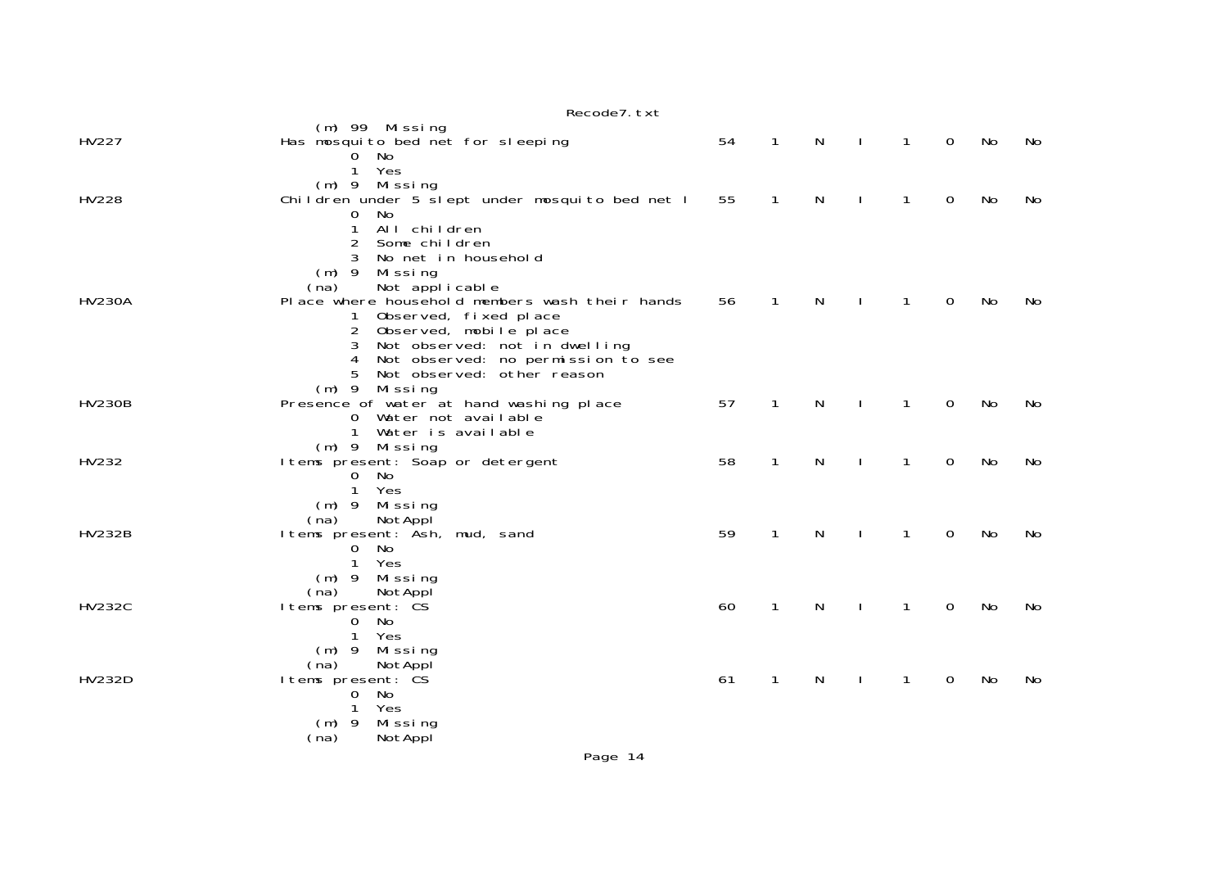|               | Recode7. txt                                                               |    |              |   |              |              |                |    |    |
|---------------|----------------------------------------------------------------------------|----|--------------|---|--------------|--------------|----------------|----|----|
| HV227         | $(m)$ 99 Missing<br>Has mosquito bed net for sleeping                      | 54 | $\mathbf{1}$ | N | $\mathbf{I}$ | $\mathbf{1}$ | $\overline{0}$ | No | No |
|               | 0 No                                                                       |    |              |   |              |              |                |    |    |
|               | 1 Yes<br>$(m)$ 9 Missing                                                   |    |              |   |              |              |                |    |    |
| HV228         | Children under 5 slept under mosquito bed net I                            | 55 | 1            | N |              | 1            | 0              | No | No |
|               | No<br>0<br>All children<br>1                                               |    |              |   |              |              |                |    |    |
|               | 2<br>Some children                                                         |    |              |   |              |              |                |    |    |
|               | 3<br>No net in household<br>(m) 9 Missing                                  |    |              |   |              |              |                |    |    |
|               | Not applicable<br>(na)                                                     |    |              |   |              |              |                |    |    |
| <b>HV230A</b> | Place where household members wash their hands                             | 56 | $\mathbf{1}$ | N |              | $\mathbf{1}$ | $\Omega$       | No | No |
|               | Observed, fixed place<br>2 Observed, mobile place                          |    |              |   |              |              |                |    |    |
|               | Not observed: not in dwelling<br>3                                         |    |              |   |              |              |                |    |    |
|               | Not observed: no permission to see<br>4<br>5<br>Not observed: other reason |    |              |   |              |              |                |    |    |
|               | (m) 9 Missing                                                              | 57 | $\mathbf{1}$ |   |              |              | $\mathbf 0$    |    |    |
| <b>HV230B</b> | Presence of water at hand washing place<br>0 Water not available           |    |              | N | $\mathbf{I}$ | $\mathbf{1}$ |                | No | No |
|               | $\mathbf{1}$<br>Water is available                                         |    |              |   |              |              |                |    |    |
| HV232         | (m) 9 Missing<br>I tems present: Soap or detergent                         | 58 | $\mathbf{1}$ | N |              | 1            | 0              | No | No |
|               | 0 No                                                                       |    |              |   |              |              |                |    |    |
|               | $\mathbf{1}$<br>Yes<br>(m) 9 Missing                                       |    |              |   |              |              |                |    |    |
|               | NotAppl<br>(na)                                                            |    |              |   |              |              |                |    |    |
| <b>HV232B</b> | I tems present: Ash, mud, sand<br>0 No                                     | 59 | $\mathbf{1}$ | N | $\mathbf{I}$ | $\mathbf{1}$ | 0              | No | No |
|               | Yes<br>$\mathbf{1}$                                                        |    |              |   |              |              |                |    |    |
|               | $(m)$ 9<br>Mi ssi ng<br>(na)<br>NotAppl                                    |    |              |   |              |              |                |    |    |
| <b>HV232C</b> | I tems present: CS                                                         | 60 | $\mathbf{1}$ | N |              | 1            | 0              | No | No |
|               | 0 No<br>Yes<br>$\mathbf{1}$                                                |    |              |   |              |              |                |    |    |
|               | $(m)$ 9 Missing                                                            |    |              |   |              |              |                |    |    |
| <b>HV232D</b> | (na)<br>NotAppl<br>I tems present: CS                                      | 61 | 1            | N |              | 1            | 0              | No | No |
|               | No<br>$\overline{0}$                                                       |    |              |   |              |              |                |    |    |
|               | Yes<br>1<br>Missing<br>$(m)$ 9                                             |    |              |   |              |              |                |    |    |
|               | NotAppl<br>(na)                                                            |    |              |   |              |              |                |    |    |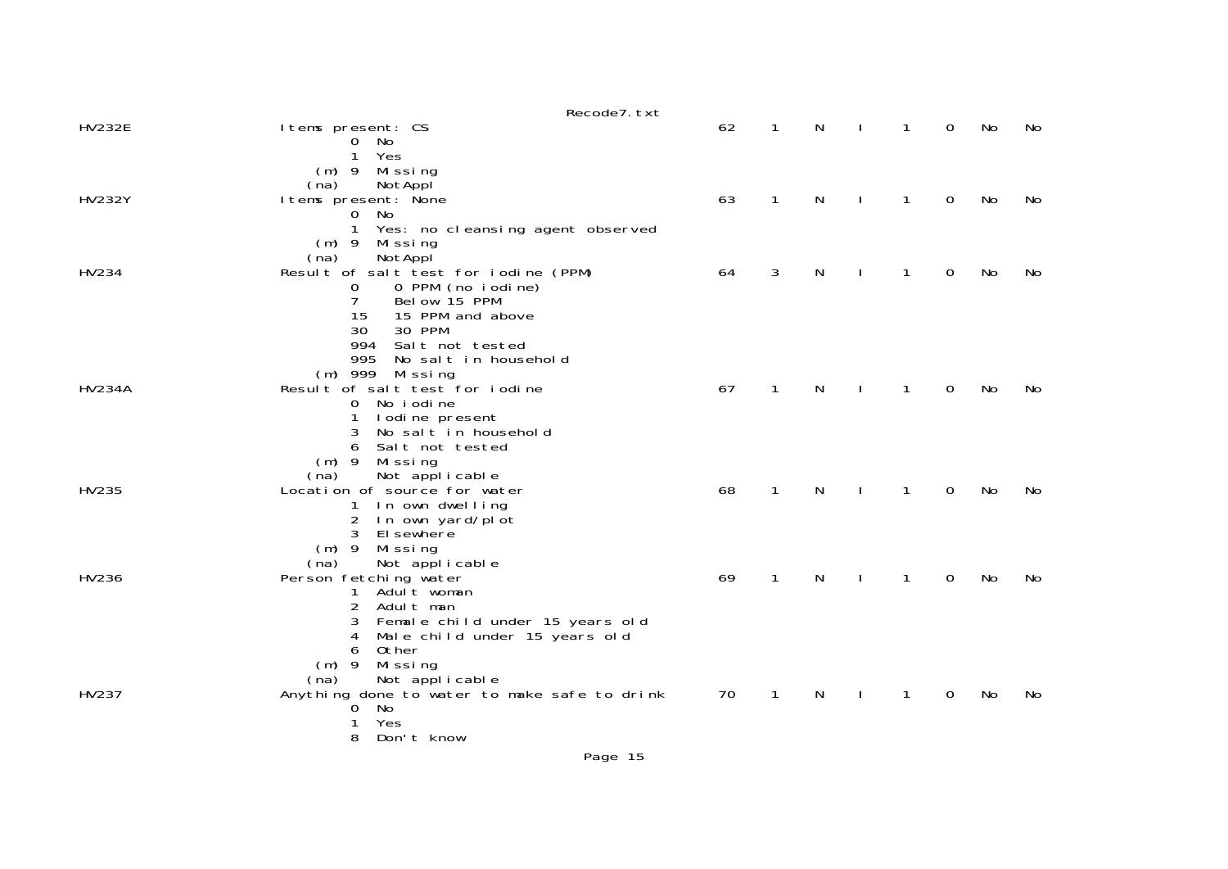|               | Recode7. txt                                                                                                                                                                                  |    |              |   |              |              |    |    |
|---------------|-----------------------------------------------------------------------------------------------------------------------------------------------------------------------------------------------|----|--------------|---|--------------|--------------|----|----|
| <b>HV232E</b> | I tems present: CS<br>0 No<br>1<br>Yes                                                                                                                                                        | 62 | $\mathbf{1}$ | N | $\mathbf{1}$ | $\mathbf{O}$ | No | No |
| <b>HV232Y</b> | $(m)$ 9<br>Missing<br>(na)<br>NotAppl<br>I tems present: None<br>No<br>$\overline{0}$                                                                                                         | 63 | $\mathbf{1}$ | N | 1            | 0            | No | No |
| HV234         | Yes: no cleansing agent observed<br>(m) 9 Missing<br>NotAppl<br>(na)<br>Result of salt test for iodine (PPM)<br>0 PPM (no iodine)<br>0<br>7<br>Below 15 PPM                                   | 64 | 3            | N | 1            | 0            | No | No |
| <b>HV234A</b> | 15<br>15 PPM and above<br>30<br>30 PPM<br>994<br>Salt not tested<br>995<br>No salt in household<br>(m) 999 Missing<br>Result of salt test for iodine<br>0 No i odi ne<br>I odine present<br>1 | 67 | $\mathbf{1}$ | N | 1            | 0            | No | No |
| HV235         | 3<br>No salt in household<br>Salt not tested<br>6<br>(m) 9 Missing<br>Not applicable<br>(na)<br>Location of source for water<br>1 In own dwelling<br>2<br>In own yard/plot<br>3<br>El sewhere | 68 | $\mathbf{1}$ | N | 1            | $\Omega$     | No | No |
| HV236         | (m) 9 Missing<br>(na)<br>Not applicable<br>Person fetching water<br>Aduľt woman<br>$\mathbf{1}$<br>2<br>Adult man<br>3 Female child under 15 years old<br>Male child under 15 years old<br>4  | 69 | $\mathbf{1}$ | N | 1            | 0            | No | No |
| HV237         | Other<br>6<br>$(m)$ 9<br>Missing<br>Not applicable<br>(na)<br>Anything done to water to make safe to drink<br>0 No<br>Yes<br>Don't know<br>8                                                  | 70 | $\mathbf{1}$ | N | $\mathbf{1}$ | 0            | No | No |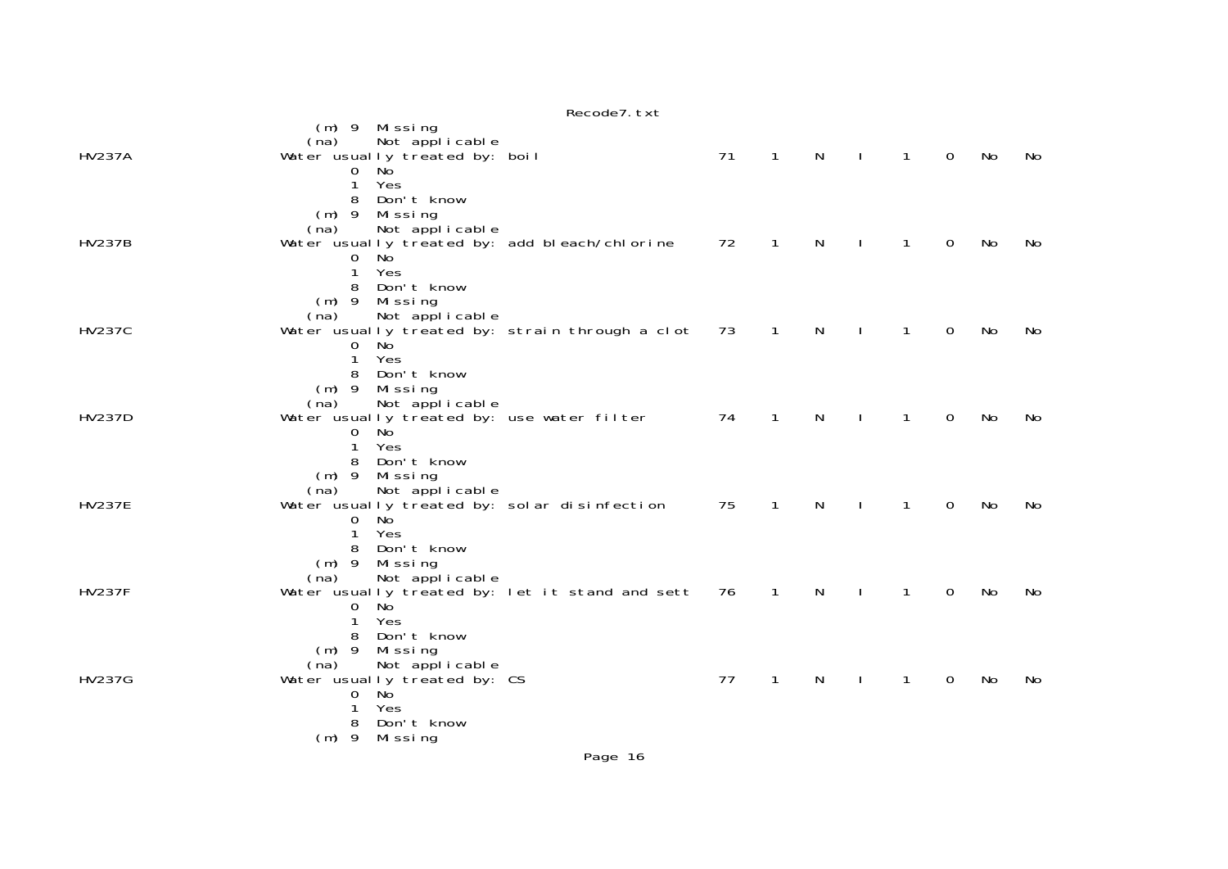|               | Recode7. txt                                                                                                                                                           |    |                |              |              |              |             |    |    |
|---------------|------------------------------------------------------------------------------------------------------------------------------------------------------------------------|----|----------------|--------------|--------------|--------------|-------------|----|----|
| <b>HV237A</b> | (m) 9 Missing<br>Not applicable<br>(na)<br>Water usually treated by: boil<br>$0$ No<br>Yes<br>$\mathbf{1}$<br>Don't know<br>8                                          | 71 | $\overline{1}$ | $\mathsf{N}$ | $\Box$       | $\mathbf{1}$ | $\mathbf 0$ | No | No |
| <b>HV237B</b> | $(m)$ 9<br>Missing<br>Not applicable<br>(na)<br>Water usually treated by: add bleach/chlorine<br>0 No<br>$\mathbf{1}$<br>Yes<br>Don't know<br>8                        | 72 | $\mathbf{1}$   | $\mathsf{N}$ | $\mathbf{I}$ | $\mathbf{1}$ | 0           | No | No |
| <b>HV237C</b> | $(m)$ 9<br>Missing<br>Not applicable<br>(na)<br>Water usually treated by: strain through a clot 73<br>$\overline{0}$<br>- No<br>$\mathbf{1}$<br>Yes<br>8<br>Don't know |    | $\overline{1}$ | N            | $\mathbf{I}$ | $\mathbf{1}$ | 0           | No | No |
| <b>HV237D</b> | $(m)$ 9<br>Missing<br>Not applicable<br>(na)<br>Water usually treated by: use water filter<br>No<br>$\mathbf{O}$<br>1<br>Yes<br>Don't know<br>8                        | 74 | $\mathbf{1}$   | $\mathsf{N}$ | $\mathbf{I}$ | $\mathbf{1}$ | 0           | No | No |
| <b>HV237E</b> | $(m)$ 9<br>Missing<br>Not applicable<br>(na)<br>Water usually treated by: solar disinfection<br>No<br>0<br>1<br>Yes<br>Don't know<br>8                                 | 75 | $\mathbf{1}$   | $\mathsf{N}$ | $\mathbf{I}$ | $\mathbf{1}$ | 0           | No | No |
| <b>HV237F</b> | $(m)$ 9<br>Missing<br>Not applicable<br>(na)<br>Water usually treated by: let it stand and sett<br>No<br>0<br>Yes<br>1<br>Don't know<br>8                              | 76 | $\mathbf{1}$   | $\mathsf{N}$ | $\mathbf{I}$ | $\mathbf{1}$ | 0           | No | No |
| <b>HV237G</b> | $(m)$ 9<br>Mi ssi ng<br>(na)<br>Not applicable<br>Water usually treated by: CS<br><b>No</b><br>0<br>Yes<br>1<br>8<br>Don't know<br>$(m)$ 9<br>Mi ssi ng                | 77 | $\mathbf{1}$   | N            | J.           | $\mathbf{1}$ | 0           | No | No |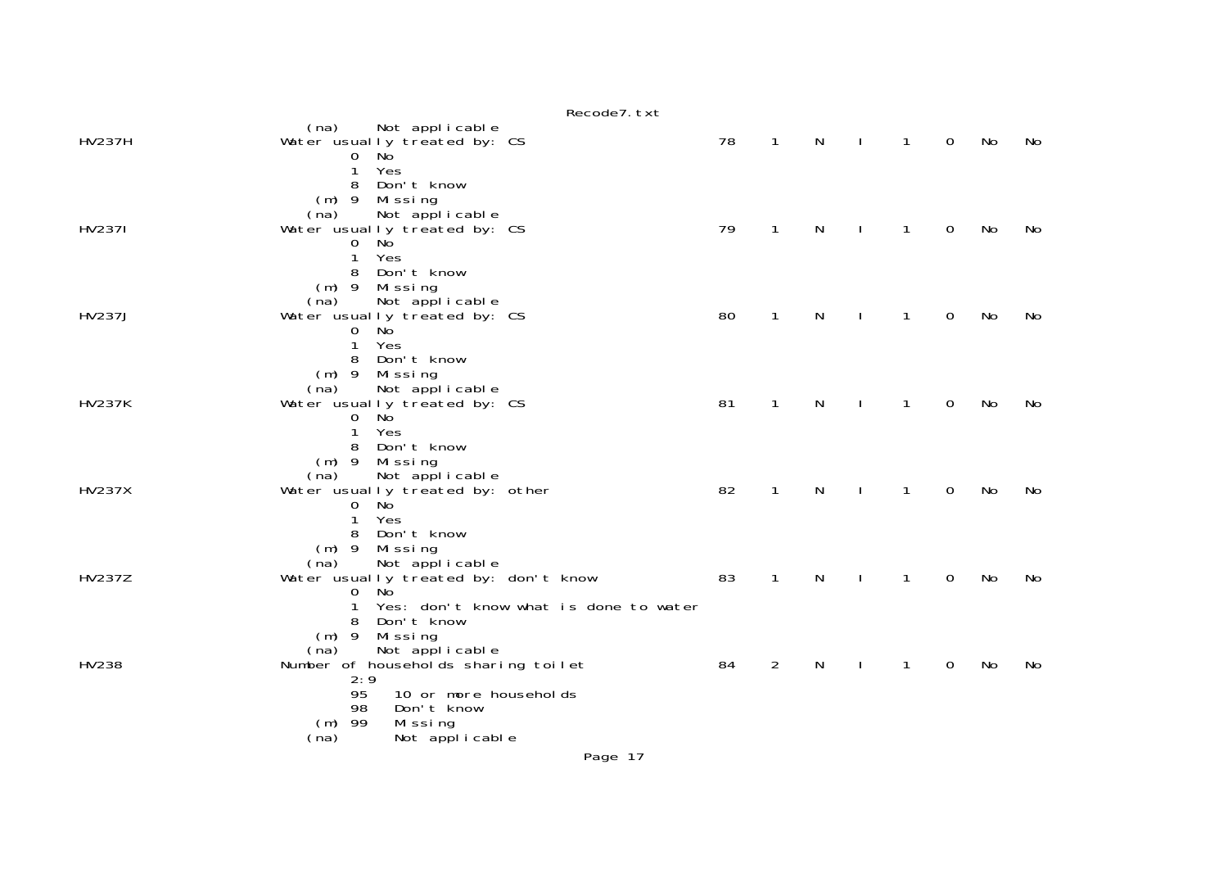|               | Recode7. txt                                                                     |    |                |              |                |              |             |    |    |
|---------------|----------------------------------------------------------------------------------|----|----------------|--------------|----------------|--------------|-------------|----|----|
| <b>HV237H</b> | (na)<br>Not applicable<br>Water usually treated by: CS                           | 78 | $\mathbf{1}$   | N            | $\blacksquare$ | $\mathbf{1}$ | $\mathbf 0$ | No | No |
|               | $0$ No<br>$\mathbf{1}$<br>Yes<br>Don't know<br>8                                 |    |                |              |                |              |             |    |    |
| <b>HV2371</b> | $(m)$ 9 Missing<br>(na)<br>Not applicable<br>Water usually treated by: CS        | 79 | $\mathbf{1}$   | $\mathsf{N}$ | $\mathbf{I}$   | $\mathbf{1}$ | $\mathbf 0$ | No | No |
|               | $0$ No<br>Yes<br>$\mathbf{1}$<br>Don't know<br>8                                 |    |                |              |                |              |             |    |    |
|               | (m) 9 Missing<br>(na)<br>Not applicable                                          |    |                |              |                |              |             |    |    |
| <b>HV237J</b> | Water usually treated by: CS<br>0 No<br>$\mathbf{1}$<br>Yes                      | 80 | $\mathbf{1}$   | N            | $\mathbf{I}$   | $\mathbf{1}$ | $\mathbf 0$ | No | No |
|               | 8 Don't know<br>$(m)$ 9 Missing<br>Not applicable<br>(na)                        |    |                |              |                |              |             |    |    |
| <b>HV237K</b> | Water usually treated by: CS<br><b>No</b><br>0                                   | 81 | $\mathbf{1}$   | $\mathsf{N}$ | $\mathbf{I}$   | $\mathbf{1}$ | $\mathbf 0$ | No | No |
|               | $\mathbf{1}$<br>Yes<br>8 Don't know<br>$(m)$ 9 Missing                           |    |                |              |                |              |             |    |    |
| <b>HV237X</b> | Not applicable<br>(na)<br>Water usually treated by: other<br>$0$ No              | 82 | $\mathbf{1}$   | $\mathsf{N}$ | $\mathbf{I}$   | $\mathbf{1}$ | $\mathbf 0$ | No | No |
|               | Yes<br>$\mathbf{1}$<br>Don't know<br>8                                           |    |                |              |                |              |             |    |    |
|               | (m) 9 Missing<br>(na)<br>Not applicable                                          |    |                |              |                |              |             |    |    |
| <b>HV237Z</b> | Water usually treated by: don't know<br>$0$ No                                   | 83 | $\mathbf{1}$   | $\mathsf{N}$ | $\mathbf{L}$   | $\mathbf{1}$ | $\mathbf 0$ | No | No |
|               | Yes: don't know what is done to water<br>1<br>Don't know<br>8<br>$(m)$ 9 Missing |    |                |              |                |              |             |    |    |
|               | Not applicable<br>(na)                                                           |    |                |              |                |              |             |    |    |
| HV238         | Number of households sharing toilet<br>2:9                                       | 84 | $\overline{2}$ | N            |                | 1            | 0           | No | No |
|               | 95<br>10 or more households<br>98<br>Don't know                                  |    |                |              |                |              |             |    |    |
|               | $(m)$ 99<br>Missing<br>(na)<br>Not applicable                                    |    |                |              |                |              |             |    |    |
|               | Page 17                                                                          |    |                |              |                |              |             |    |    |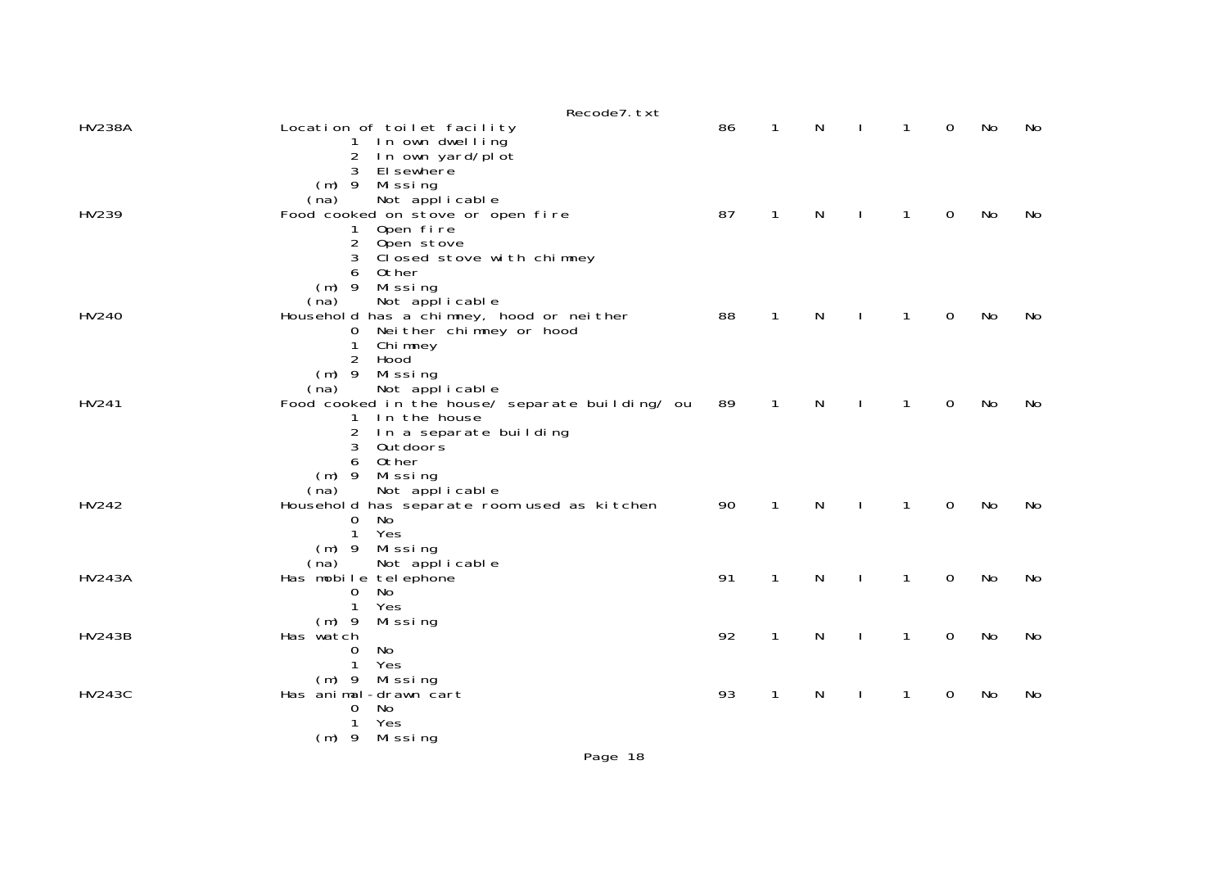|               | Recode7. txt                                                          |    |              |              |              |              |                |     |    |
|---------------|-----------------------------------------------------------------------|----|--------------|--------------|--------------|--------------|----------------|-----|----|
| <b>HV238A</b> | Location of toilet facility<br>1 In own dwelling                      | 86 | $\mathbf{1}$ | N.           | $\mathbf{L}$ | $\mathbf{1}$ | $\overline{0}$ | No. | No |
|               | In own yard/plot<br>$\overline{2}$<br>El sewhere<br>3                 |    |              |              |              |              |                |     |    |
|               | $(m)$ 9 Missing                                                       |    |              |              |              |              |                |     |    |
| HV239         | Not applicable<br>(na)<br>Food cooked on stove or open fire           | 87 | $\mathbf 1$  | N            | $\mathbf{I}$ | $\mathbf{1}$ | 0              | No  | No |
|               | Open fire<br>1                                                        |    |              |              |              |              |                |     |    |
|               | 2 Open stove                                                          |    |              |              |              |              |                |     |    |
|               | Closed stove with chimney<br>Other<br>6                               |    |              |              |              |              |                |     |    |
|               | $(m)$ 9 Missing                                                       |    |              |              |              |              |                |     |    |
|               | Not applicable<br>(na)                                                |    |              |              |              |              |                |     |    |
| HV240         | Household has a chimney, hood or neither                              | 88 | $\mathbf{1}$ | N            | $\mathbf{I}$ | $\mathbf{1}$ | $\mathbf 0$    | No  | No |
|               | Neither chimney or hood<br>0<br>Chi mney<br>1                         |    |              |              |              |              |                |     |    |
|               | Hood<br>2                                                             |    |              |              |              |              |                |     |    |
|               | $(m)$ 9 Missing                                                       |    |              |              |              |              |                |     |    |
| HV241         | Not applicable<br>(na)                                                | 89 | $\mathbf{1}$ | $\mathsf{N}$ | $\mathbf{I}$ | $\mathbf{1}$ | 0              | No  | No |
|               | Food cooked in the house/ separate building/ ou<br>In the house<br>1. |    |              |              |              |              |                |     |    |
|               | 2 In a separate building                                              |    |              |              |              |              |                |     |    |
|               | 3<br>Outdoors                                                         |    |              |              |              |              |                |     |    |
|               | Other<br>6<br>$(m)$ 9 Missing                                         |    |              |              |              |              |                |     |    |
|               | Not applicable<br>(na)                                                |    |              |              |              |              |                |     |    |
| HV242         | Household has separate room used as kitchen                           | 90 | $\mathbf{1}$ | N            |              | 1            | 0              | No  | No |
|               | No<br>0<br>Yes<br>1                                                   |    |              |              |              |              |                |     |    |
|               | $(m)$ 9 Missing                                                       |    |              |              |              |              |                |     |    |
|               | Not applicable<br>(na)                                                |    |              |              |              |              |                |     |    |
| <b>HV243A</b> | Has mobile telephone                                                  | 91 | $\mathbf{1}$ | N            |              | 1            | 0              | No  | No |
|               | $\mathbf 0$<br>No<br>$\mathbf{1}$<br>Yes                              |    |              |              |              |              |                |     |    |
|               | Missing<br>$(m)$ 9                                                    |    |              |              |              |              |                |     |    |
| <b>HV243B</b> | Has watch                                                             | 92 | $\mathbf{1}$ | N            | $\mathbf{I}$ | $\mathbf{1}$ | $\mathbf 0$    | No  | No |
|               | No<br>0<br>Yes<br>$\mathbf 1$                                         |    |              |              |              |              |                |     |    |
|               | Missing<br>$(m)$ 9                                                    |    |              |              |              |              |                |     |    |
| <b>HV243C</b> | Has animal-drawn cart                                                 | 93 | $\mathbf{1}$ | N            |              | 1            | 0              | No  | No |
|               | No<br>0                                                               |    |              |              |              |              |                |     |    |
|               | Yes<br>Missing<br>$(m)$ 9                                             |    |              |              |              |              |                |     |    |
|               |                                                                       |    |              |              |              |              |                |     |    |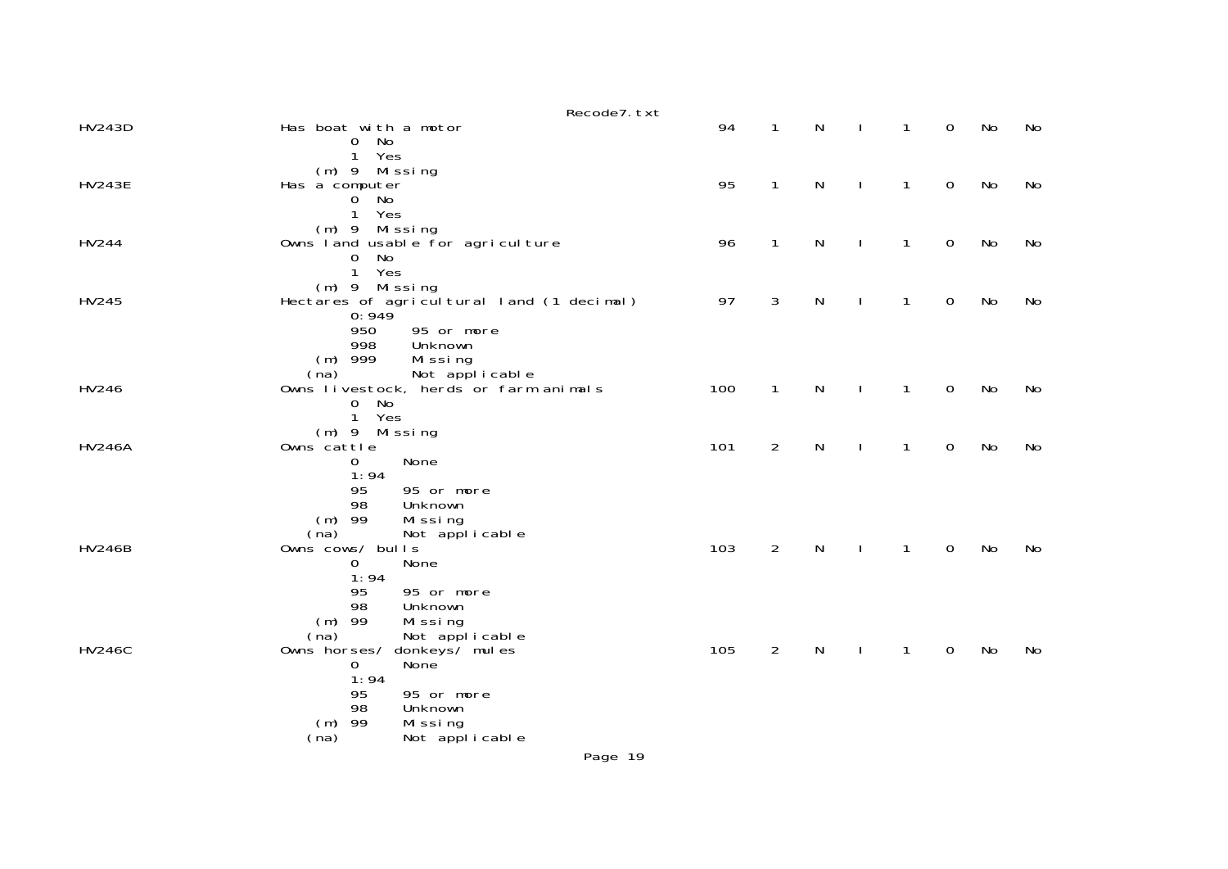|               | Recode7. txt                                                                                                                                           |     |                |              |              |              |                |    |    |
|---------------|--------------------------------------------------------------------------------------------------------------------------------------------------------|-----|----------------|--------------|--------------|--------------|----------------|----|----|
| <b>HV243D</b> | Has boat with a motor<br>No<br>0                                                                                                                       | 94  | $\mathbf{1}$   | $\mathsf{N}$ | $\mathbf{I}$ | $\mathbf{1}$ | $\overline{0}$ | No | No |
| <b>HV243E</b> | $\mathbf 1$<br>Yes<br>(m) 9 Missing<br>Has a computer<br>No<br>0<br>Yes<br>$\mathbf{1}$                                                                | 95  | $\mathbf{1}$   | N            | J.           | $\mathbf{1}$ | 0              | No | No |
| HV244         | $(m)$ 9 Missing<br>Owns land usable for agriculture<br>No<br>$\mathbf 0$<br>$\mathbf{1}$<br>Yes                                                        | 96  | $\mathbf{1}$   | N            | $\mathbf{I}$ | 1            | $\mathbf 0$    | No | No |
| HV245         | $(m)$ 9 Missing<br>Hectares of agricultural land (1 decimal)<br>0:949<br>950<br>95 or more<br>998<br>Unknown                                           | 97  | 3              | N            | J.           | 1            | $\mathbf 0$    | No | No |
| HV246         | $(m)$ 999<br>Missing<br>Not applicable<br>(na)<br>Owns livestock, herds or farm animals<br>0 No<br>$\mathbf{1}$<br>Yes                                 | 100 | $\mathbf{1}$   | N            | J.           | 1            | 0              | No | No |
| <b>HV246A</b> | (m) 9 Missing<br>Owns cattle<br>None<br>0                                                                                                              | 101 | $\overline{2}$ | ${\sf N}$    | $\mathbf{I}$ | $\mathbf{1}$ | $\mathbf 0$    | No | No |
|               | 1:94<br>95<br>95 or more<br>98<br>Unknown<br>$(m)$ 99<br>Missing<br>(na)<br>Not applicable                                                             |     |                |              |              |              |                |    |    |
| <b>HV246B</b> | Owns cows/ bulls<br>0<br>None<br>1:94                                                                                                                  | 103 | $\overline{2}$ | N            | J.           | 1            | 0              | No | No |
|               | 95<br>95 or more<br>98<br>Unknown<br>$(m)$ 99<br>Missing<br>(na)<br>Not applicable                                                                     |     |                |              |              |              |                |    |    |
| <b>HV246C</b> | Owns horses/<br>donkeys/ mules<br>None <sup>7</sup><br>0<br>1:94<br>95<br>95 or more<br>98<br>Unknown<br>$(m)$ 99<br>Missing<br>(na)<br>Not applicable | 105 | $\overline{2}$ | N            |              | $\mathbf{1}$ | $\mathbf 0$    | No | No |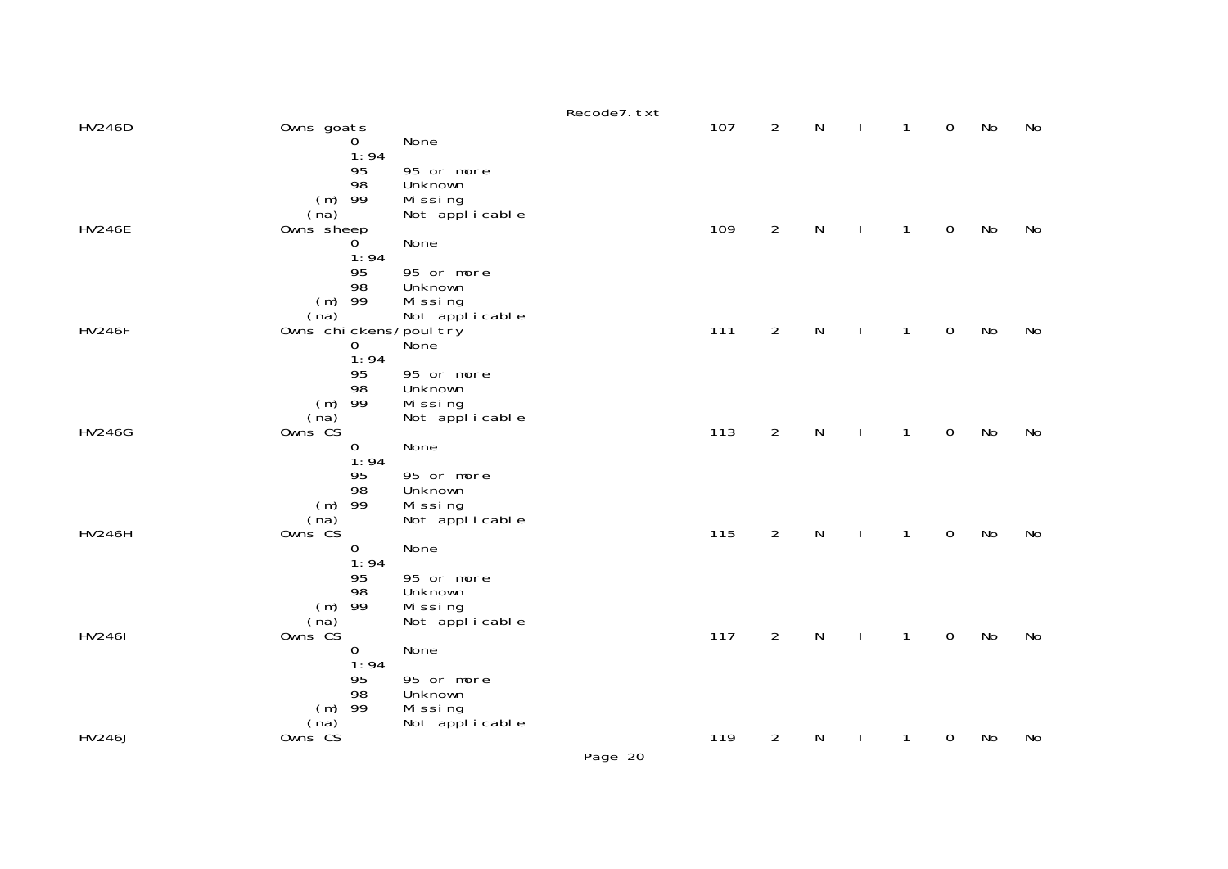|               |                                                                                    |                                                                                     | Recode7. txt |     |                |           |              |              |                     |           |    |
|---------------|------------------------------------------------------------------------------------|-------------------------------------------------------------------------------------|--------------|-----|----------------|-----------|--------------|--------------|---------------------|-----------|----|
| <b>HV246D</b> | Owns goats<br>0                                                                    | None                                                                                |              | 107 | $\overline{2}$ | ${\sf N}$ |              | 1            | $\mathbf 0$         | No        | No |
| <b>HV246E</b> | 1:94<br>95<br>98<br>$(m)$ 99<br>(na)<br>Owns sheep<br>$\overline{0}$<br>1:94<br>95 | 95 or more<br>Unknown<br>Missing<br>Not applicable<br>None<br>95 or more            |              | 109 | $\overline{2}$ | ${\sf N}$ |              | $\mathbf{1}$ | $\mathbf 0$         | <b>No</b> | No |
| <b>HV246F</b> | 98<br>$(m)$ 99<br>(na)<br>Owns chickens/poul try<br>$\mathbf 0$<br>1:94<br>95      | Unknown<br>Missing<br>Not applicable<br>None<br>95 or more                          |              | 111 | $\overline{2}$ | ${\sf N}$ |              | $\mathbf{1}$ | $\mathsf{O}\xspace$ | <b>No</b> | No |
| <b>HV246G</b> | 98<br>$(m)$ 99<br>(na)<br>Owns CS<br>0<br>1:94<br>95                               | Unknown<br>Mi ssi ng<br>Not applicable<br>None<br>95 or more                        |              | 113 | 2              | ${\sf N}$ | $\mathbf{I}$ | $\mathbf{1}$ | $\mathbf 0$         | No        | No |
| <b>HV246H</b> | 98<br>$(m)$ 99<br>(na)<br>Owns CS<br>0<br>1:94                                     | Unknown<br>Mi ssi ng<br>Not applicable<br>None                                      |              | 115 | $\overline{2}$ | ${\sf N}$ |              | $\mathbf{1}$ | $\mathsf{O}\xspace$ | No        | No |
| <b>HV2461</b> | 95<br>98<br>$(m)$ 99<br>(na)<br>Owns CS<br>0<br>1:94<br>95<br>98                   | 95 or more<br>Unknown<br>Missing<br>Not applicable<br>None<br>95 or more<br>Unknown |              | 117 | $\overline{2}$ | N         |              | 1            | 0                   | No        | No |
| <b>HV246J</b> | $(m)$ 99<br>(na)<br>Owns CS                                                        | Mi ssi ng<br>Not applicable                                                         |              | 119 | $\overline{2}$ | N         |              | 1            | 0                   | No        | No |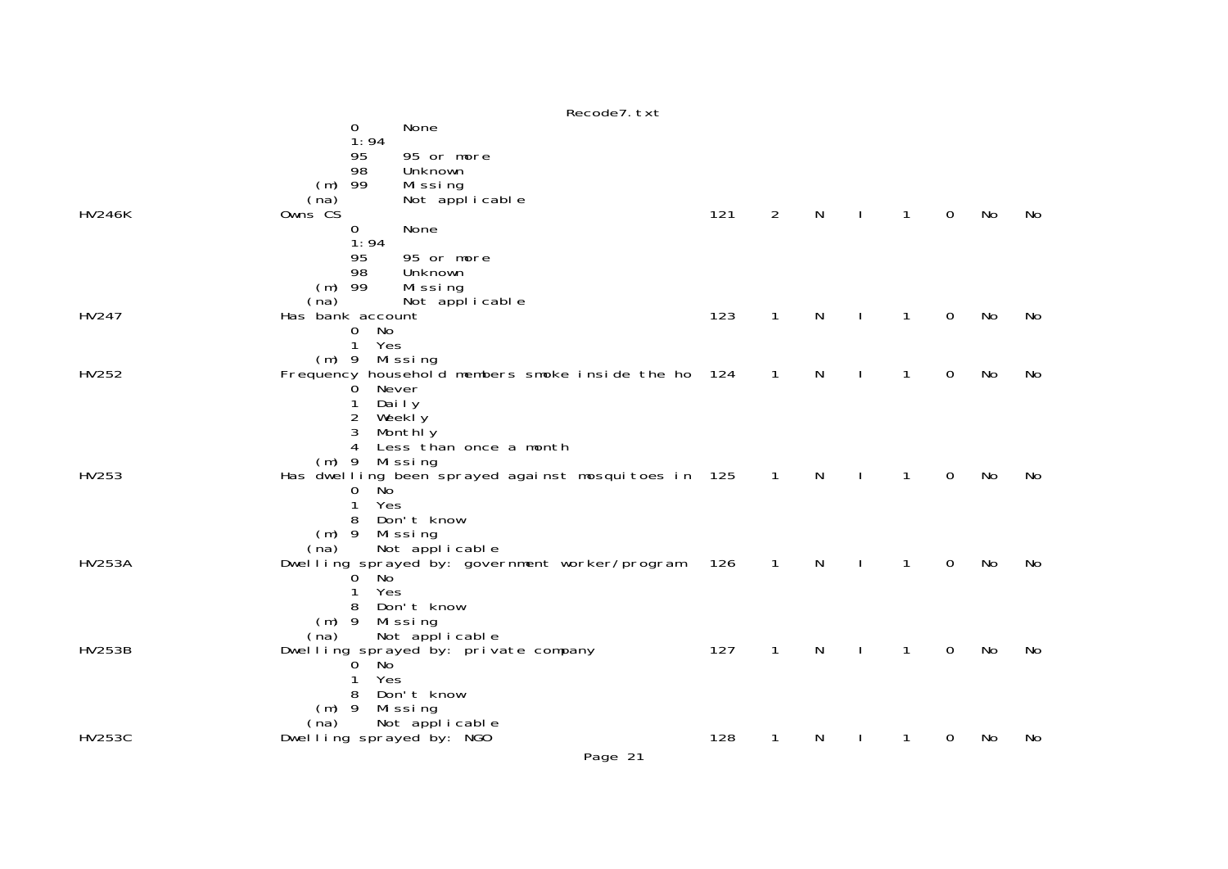|               |                  |                                                              |                                                               | NECOUET. LAL |     |                |   |              |              |             |    |    |
|---------------|------------------|--------------------------------------------------------------|---------------------------------------------------------------|--------------|-----|----------------|---|--------------|--------------|-------------|----|----|
|               |                  | 0                                                            | None                                                          |              |     |                |   |              |              |             |    |    |
| <b>HV246K</b> | (na)<br>Owns CS  | 1:94<br>95<br>98<br>$(m)$ 99                                 | 95 or more<br>Unknown<br>Missing<br>Not applicable            |              | 121 | $\overline{2}$ | N | $\mathbf{I}$ | 1            | 0           | No | No |
|               |                  | $\mathbf 0$                                                  | None                                                          |              |     |                |   |              |              |             |    |    |
|               | (na)             | 1:94<br>95<br>98<br>$(m)$ 99                                 | 95 or more<br>Unknown<br>Missing<br>Not applicable            |              |     |                |   |              |              |             |    |    |
| HV247         | Has bank account |                                                              |                                                               |              | 123 | $\mathbf{1}$   | N |              | 1            | 0           | No | No |
|               |                  | No<br>$\mathbf{O}$<br>Yes<br>$\mathbf{1}$<br>$(m)$ 9 Missing |                                                               |              |     |                |   |              |              |             |    |    |
| HV252         |                  |                                                              | Frequency household members smoke inside the ho 124           |              |     | $\mathbf{1}$   | N |              | 1            | $\mathbf 0$ | No | No |
|               |                  | 0<br>2<br>3<br>4<br>$(m)$ 9 Missing                          | Never<br>Daily<br>Weekly<br>Monthly<br>Less than once a month |              |     |                |   |              |              |             |    |    |
| HV253         |                  |                                                              | Has dwelling been sprayed against mosquitoes in 125           |              |     | $\overline{1}$ | N | $\mathbf{I}$ | $\mathbf{1}$ | $\mathbf 0$ | No | No |
|               | $(m)$ 9<br>(na)  | Ňо<br>0<br>Yes<br>1<br>8                                     | Don't know<br>Missing<br>Not applicable                       |              |     |                |   |              |              |             |    |    |
| <b>HV253A</b> |                  | ່ Noັ<br>$\mathbf{0}$                                        | Dwelling sprayed by: government worker/program                |              | 126 | $\mathbf{1}$   | N |              | $\mathbf{1}$ | 0           | No | No |
|               | $(m)$ 9<br>(na)  | Yes<br>1<br>8                                                | Don't know<br>Missing<br>Not applicable                       |              |     |                |   |              |              |             |    |    |
| <b>HV253B</b> | $(m)$ 9          | 0 No<br>Yes<br>8                                             | Dwelling sprayed by: private company<br>Don't know<br>Missing |              | 127 | 1              | N |              | 1            | 0           | No | No |
| <b>HV253C</b> | (na)             |                                                              | Not applicable<br>Dwelling sprayed by: NGO                    |              | 128 | 1              | N |              | 1            | 0           | No | No |
|               |                  |                                                              |                                                               |              |     |                |   |              |              |             |    |    |

Recode7.txt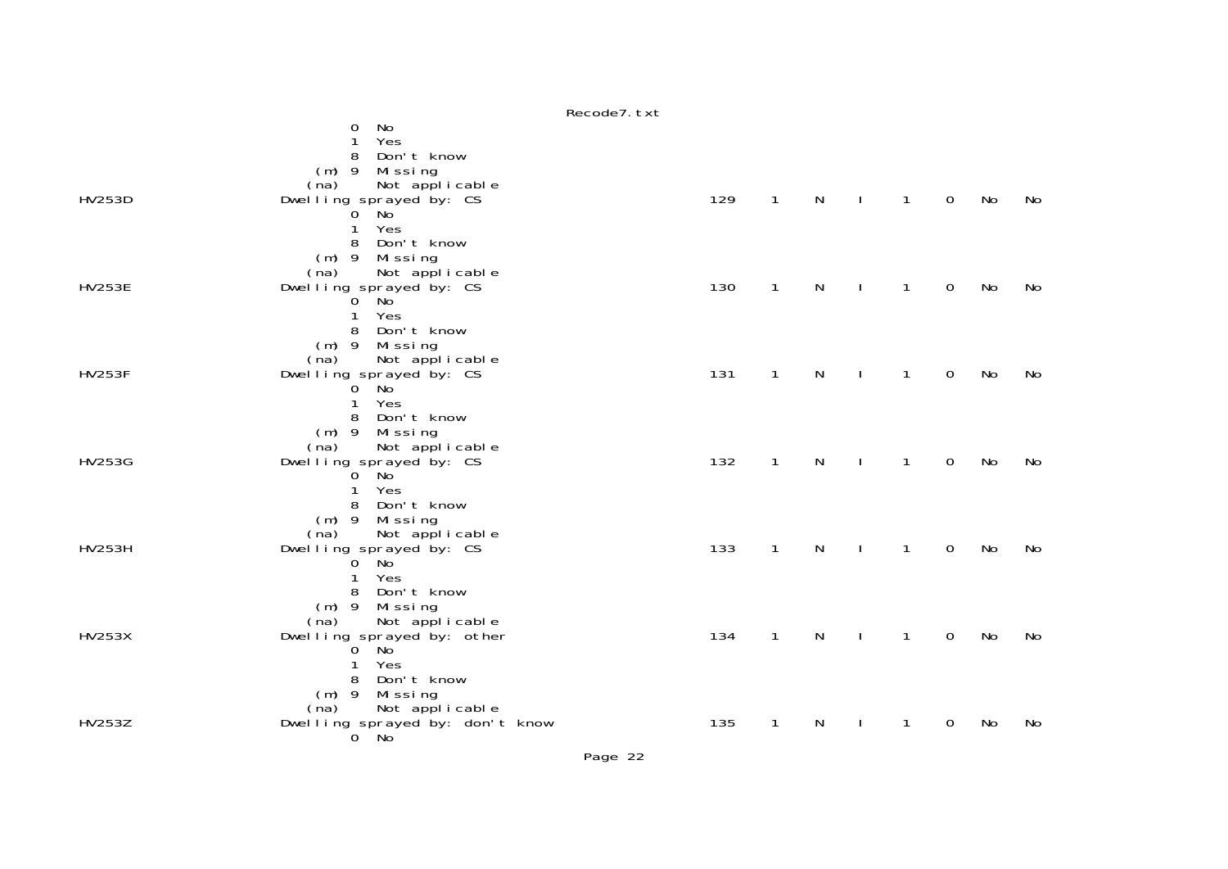Recode7.txtdiscovering the contract of the Northern State of the Northern State of the Northern State of the Northern State of the Northern State of the Northern State of the Northern State of the Northern State of the Northern State 1 Yes 8 Don't know (m) 9 Missing (na) Not applicable HV253D Dwelling sprayed by: CS 129 1 N I 1 0 No No ັ0 Noັ 1 Yes 8 Don't know (m) 9 Missing (na) Not applicable<br>HV253E Dwelling sprayed by: CS HV253E Dwelling sprayed by: CS 130 1 N I 1 0 No No 0 No 1 Yes 8 Don't know (m) 9 Missing (na) Not applicable<br>HV253F Dwelling sprayed by: CS HV253F Dwelling sprayed by: CS 131 1 N I 1 0 No No 0 No 1 Yes 8 Don't know (m) 9 Missing (na) Not applicable HV253G Dwelling sprayed by: CS 132 1 N I 1 0 No No 0 No 1 Yes 8 Don't know (m) 9 Missing (na) Not applicable HV253H Dwelling sprayed by: CS 133 1 N I 1 0 No No o No. 2008. In the North State of the North State of the North State of the North State of the North State of the North State of the North State of the North State of the North State of the North State of the North State o 1 Yes 8 Don't know (m) 9 Missing (na) Not applicable HV253X Dwelling sprayed by: other 134 1 N I 1 O No Nc<br> 0 No 1 Yes 8 Don't know (m) 9 Missing Not applicable HV253Z Dwelling sprayed by: don't know 135 1 N I 1 0 No No 0 No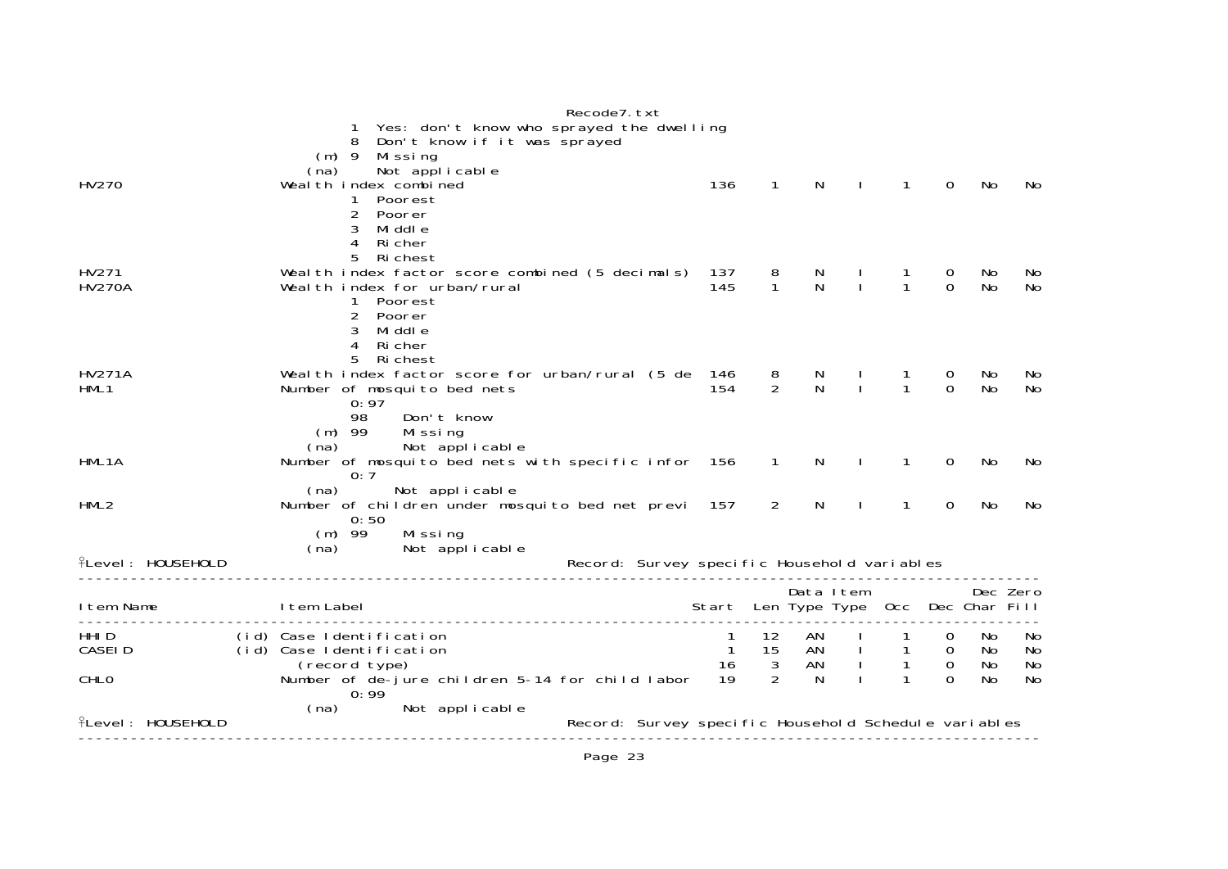|                          |                                                              |                             |                                          | Recode7. txt                                         |                                       |                         |                                                                                                                                                                                                                                                                                                            |              |              |                |           |           |
|--------------------------|--------------------------------------------------------------|-----------------------------|------------------------------------------|------------------------------------------------------|---------------------------------------|-------------------------|------------------------------------------------------------------------------------------------------------------------------------------------------------------------------------------------------------------------------------------------------------------------------------------------------------|--------------|--------------|----------------|-----------|-----------|
|                          |                                                              |                             | Yes: don't know who sprayed the dwelling |                                                      |                                       |                         |                                                                                                                                                                                                                                                                                                            |              |              |                |           |           |
|                          | 8                                                            |                             | Don't know if it was sprayed             |                                                      |                                       |                         |                                                                                                                                                                                                                                                                                                            |              |              |                |           |           |
|                          | $(m)$ 9<br>(na)                                              | Mi ssi ng<br>Not applicable |                                          |                                                      |                                       |                         |                                                                                                                                                                                                                                                                                                            |              |              |                |           |           |
| HV270                    | Weal th index combined                                       |                             |                                          |                                                      | 136                                   | $\mathbf{1}$            | N                                                                                                                                                                                                                                                                                                          |              | $\mathbf{1}$ | $\Omega$       | No        | No        |
|                          |                                                              | Poorest                     |                                          |                                                      |                                       |                         |                                                                                                                                                                                                                                                                                                            |              |              |                |           |           |
|                          | 2                                                            | Poorer                      |                                          |                                                      |                                       |                         |                                                                                                                                                                                                                                                                                                            |              |              |                |           |           |
|                          | 3                                                            | Mi ddl e                    |                                          |                                                      |                                       |                         |                                                                                                                                                                                                                                                                                                            |              |              |                |           |           |
|                          | 4                                                            | Ri cher                     |                                          |                                                      |                                       |                         |                                                                                                                                                                                                                                                                                                            |              |              |                |           |           |
|                          | 5                                                            | Ri chest                    |                                          |                                                      |                                       |                         |                                                                                                                                                                                                                                                                                                            |              |              |                |           |           |
| HV271                    | Weal th index factor score combined (5 decimals) 137         |                             |                                          |                                                      |                                       | $\frac{8}{1}$           | N<br>N                                                                                                                                                                                                                                                                                                     |              |              | 0              | No        | No        |
| <b>HV270A</b>            | Weal th index for urban/rural                                |                             |                                          |                                                      | 145                                   |                         |                                                                                                                                                                                                                                                                                                            | $\mathbf{I}$ |              | $\Omega$       | No        | No        |
|                          | $\mathbf{1}$                                                 | Poorest                     |                                          |                                                      |                                       |                         |                                                                                                                                                                                                                                                                                                            |              |              |                |           |           |
|                          | $\overline{2}$                                               | Poorer                      |                                          |                                                      |                                       |                         |                                                                                                                                                                                                                                                                                                            |              |              |                |           |           |
|                          | 3<br>$\overline{4}$                                          | Mi ddl e<br>Ri cher         |                                          |                                                      |                                       |                         |                                                                                                                                                                                                                                                                                                            |              |              |                |           |           |
|                          |                                                              | 5 Richest                   |                                          |                                                      |                                       |                         |                                                                                                                                                                                                                                                                                                            |              |              |                |           |           |
| <b>HV271A</b>            | Weal th index factor score for urban/rural (5 de 146         |                             |                                          |                                                      |                                       |                         |                                                                                                                                                                                                                                                                                                            |              |              | 0              | No        | No        |
| HML1                     | Number of mosquito bed nets                                  |                             |                                          |                                                      | 154                                   | $\frac{8}{2}$           | N<br>N                                                                                                                                                                                                                                                                                                     | $\mathbf{I}$ |              | $\Omega$       | <b>No</b> | No        |
|                          | 0:97                                                         |                             |                                          |                                                      |                                       |                         |                                                                                                                                                                                                                                                                                                            |              |              |                |           |           |
|                          | 98                                                           | Don't know                  |                                          |                                                      |                                       |                         |                                                                                                                                                                                                                                                                                                            |              |              |                |           |           |
|                          | $(m)$ 99                                                     | Missing                     |                                          |                                                      |                                       |                         |                                                                                                                                                                                                                                                                                                            |              |              |                |           |           |
|                          | (na)                                                         |                             | Not applicable                           |                                                      |                                       |                         |                                                                                                                                                                                                                                                                                                            |              |              |                |           |           |
| HML1A                    | Number of mosquito bed nets with specific infor 156 1<br>0:7 |                             |                                          |                                                      |                                       |                         | N.                                                                                                                                                                                                                                                                                                         | $\mathbf{I}$ | 1            | 0              | No        | No.       |
|                          | (na)                                                         |                             | Not applicable                           |                                                      |                                       |                         |                                                                                                                                                                                                                                                                                                            |              |              |                |           |           |
| HML2                     | Number of children under mosquito bed net previ 157          |                             |                                          |                                                      |                                       | 2                       | N                                                                                                                                                                                                                                                                                                          | $\mathbf{I}$ | $\mathbf{1}$ | 0              | No        | No        |
|                          | 0:50                                                         |                             |                                          |                                                      |                                       |                         |                                                                                                                                                                                                                                                                                                            |              |              |                |           |           |
|                          | $(m)$ 99                                                     | Missing                     |                                          |                                                      |                                       |                         |                                                                                                                                                                                                                                                                                                            |              |              |                |           |           |
|                          | (na)                                                         |                             | Not applicable                           |                                                      |                                       |                         |                                                                                                                                                                                                                                                                                                            |              |              |                |           |           |
| <b>fLevel: HOUSEHOLD</b> |                                                              |                             |                                          | Record: Survey specific Household variables          |                                       |                         |                                                                                                                                                                                                                                                                                                            |              |              |                |           |           |
|                          |                                                              |                             |                                          |                                                      |                                       |                         | Data Item                                                                                                                                                                                                                                                                                                  |              |              |                | Dec Zero  |           |
| I tem Name               | I tem Label                                                  |                             |                                          |                                                      | Start Len Type Type Occ Dec Char Fill |                         |                                                                                                                                                                                                                                                                                                            |              |              |                |           |           |
|                          |                                                              |                             |                                          |                                                      |                                       |                         |                                                                                                                                                                                                                                                                                                            |              |              |                |           |           |
| HHI D                    | (id) Case Identification                                     |                             |                                          |                                                      | -1                                    | 12                      | $\begin{array}{ccccccc}\n & - & - & - & \text{AN} & & & & \text{I} & & & \text{A} \\  & & \text{AN} & & \text{I} & & & \text{I} & & \text{A} \\  & & & \text{AN} & & \text{I} & & & \text{I} & & \text{I} & & \text{I} \\  & & & & & & & \text{I} & & & \text{I} & & \text{I} & & \text{I} \\ \end{array}$ |              |              | $\mathbf{O}$   | No        | No        |
| CASEI D                  | (id) Case Identification                                     |                             |                                          |                                                      | $\overline{1}$                        | 15                      |                                                                                                                                                                                                                                                                                                            |              |              | $\overline{0}$ | No        | No        |
|                          | (record type)                                                |                             |                                          |                                                      | 16                                    | $\overline{\mathbf{3}}$ |                                                                                                                                                                                                                                                                                                            |              |              | $\mathbf 0$    | No        | No        |
| CHLO                     | Number of de-jure children 5-14 for child labor<br>0:99      |                             |                                          |                                                      | 19                                    | $\mathcal{P}$           |                                                                                                                                                                                                                                                                                                            |              |              | $\Omega$       | No        | <b>No</b> |
|                          | (na)                                                         |                             | Not applicable                           |                                                      |                                       |                         |                                                                                                                                                                                                                                                                                                            |              |              |                |           |           |
| <b>fLevel: HOUSEHOLD</b> |                                                              |                             |                                          | Record: Survey specific Household Schedule variables |                                       |                         |                                                                                                                                                                                                                                                                                                            |              |              |                |           |           |
|                          |                                                              |                             |                                          |                                                      |                                       |                         |                                                                                                                                                                                                                                                                                                            |              |              |                |           |           |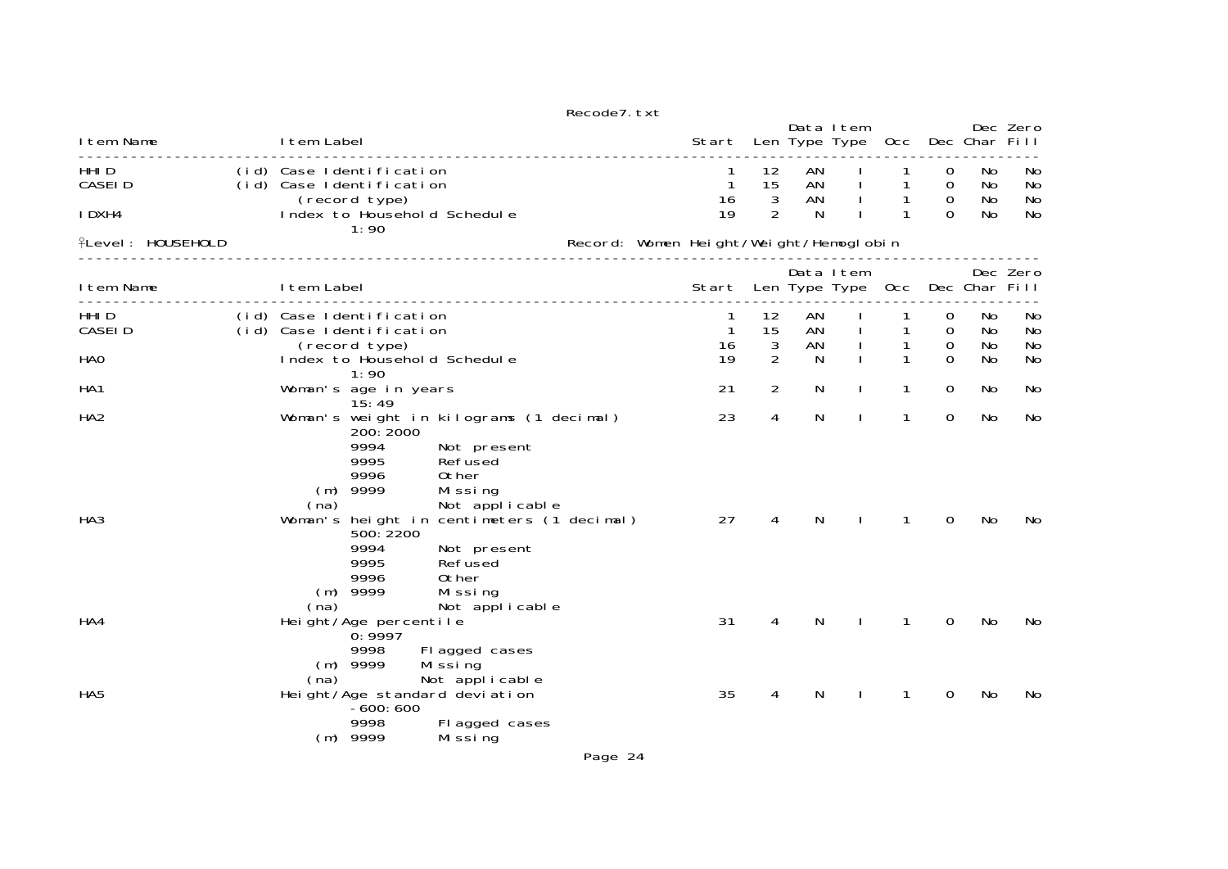|                                      |             |                                                                       |                                                                                                             | Recode7. txt                           |                               |                                 |                     |                                |                        |                                        |                      |                      |
|--------------------------------------|-------------|-----------------------------------------------------------------------|-------------------------------------------------------------------------------------------------------------|----------------------------------------|-------------------------------|---------------------------------|---------------------|--------------------------------|------------------------|----------------------------------------|----------------------|----------------------|
| I tem Name                           | I tem Label |                                                                       |                                                                                                             |                                        | Start                         |                                 |                     | Data I tem<br>Len Type Type    | 0cc                    |                                        | Dec Char Fill        | Dec Zero             |
| HHI D<br><b>CASEID</b>               |             | (id) Case Identification<br>(id) Case Identification                  |                                                                                                             |                                        | $\mathbf{1}$<br>16            | 12<br>15<br>3                   | AN<br>AN<br>AN      |                                | 1<br>$\mathbf{1}$<br>1 | $\Omega$<br>$\mathbf 0$<br>$\mathbf 0$ | No<br>No<br>No       | No<br>No<br>No       |
| I DXH4                               |             | (record type)<br>1:90                                                 | Index to Household Schedule                                                                                 |                                        | 19                            | 2                               | N                   |                                | 1                      | $\Omega$                               | No                   | No                   |
| <b>flevel: HOUSEHOLD</b>             |             |                                                                       |                                                                                                             | Record: Women Height/Weight/Hemoglobin |                               |                                 |                     |                                |                        |                                        |                      |                      |
| I tem Name                           | I tem Label |                                                                       |                                                                                                             |                                        | Start                         |                                 |                     | Data Item<br>Len Type Type Occ |                        |                                        | Dec Char Fill        | Dec Zero             |
| HHI D<br><b>CASEID</b><br><b>HAO</b> |             | (id) Case Identification<br>(id) Case Identification<br>(record type) | __________________<br>Index to Household Schedule                                                           |                                        | 1<br>$\mathbf{1}$<br>16<br>19 | 12<br>15<br>3<br>$\overline{2}$ | AN<br>AN<br>AN<br>N |                                | 1<br>1<br>1            | 0<br>$\overline{0}$<br>0<br>$\Omega$   | No<br>No<br>No<br>No | No<br>No<br>No<br>No |
| HA <sub>1</sub>                      |             | 1:90<br>Woman's age in years                                          |                                                                                                             |                                        | 21                            | 2                               | N                   | $\mathbf{I}$                   | 1                      | $\Omega$                               | No.                  | No                   |
| HA <sub>2</sub>                      | (na)        | 15:49<br>200: 2000<br>9994<br>9995<br>9996<br>$(m)$ 9999              | Woman's weight in kilograms (1 decimal)<br>Not present<br>Refused<br>0ther<br>Missing<br>Not applicable     |                                        | 23                            | 4                               | N                   |                                | 1                      | $\mathbf 0$                            | No                   | No                   |
| HA <sub>3</sub>                      | (na)        | 500: 2200<br>9994<br>9995<br>9996<br>$(m)$ 9999                       | Woman's height in centimeters (1 decimal)<br>Not present<br>Refused<br>0ther<br>Mi ssi ng<br>Not applicable |                                        | 27                            | 4                               | N                   |                                | 1                      | 0                                      | No                   | No                   |
| HA4                                  |             | Height/Age percentile<br>0:9997<br>9998                               | Fl agged cases                                                                                              |                                        | 31                            | 4                               | N                   | $\mathbf{I}$                   | $\mathbf{1}$           | $\mathbf 0$                            | No                   | No                   |
| HA <sub>5</sub>                      | (na)        | $(m)$ 9999<br>$-600:600$<br>9998<br>$(m)$ 9999                        | Mi ssi ng<br>Not applicable<br>Height/Age standard deviation<br>Fl agged cases<br>Mi ssi ng                 |                                        | 35                            | 4                               | N                   |                                | 1                      | 0                                      | No                   | No                   |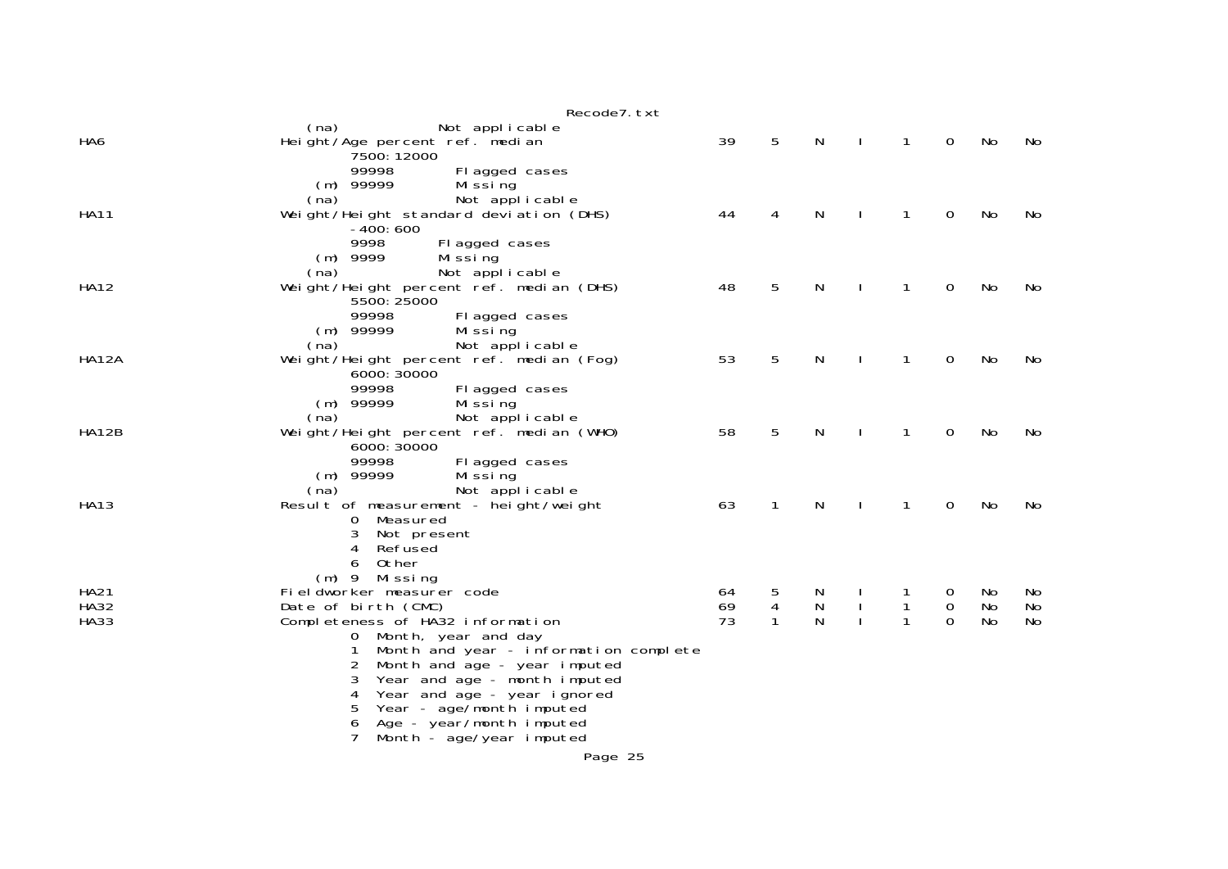|              | Recode7. txt                                                               |    |              |           |   |             |    |     |
|--------------|----------------------------------------------------------------------------|----|--------------|-----------|---|-------------|----|-----|
| HA6          | Not applicable<br>(na)<br>Height/Age percent ref. median                   | 39 | 5            | N         | 1 | 0           | No | No. |
|              | 7500: 12000                                                                |    |              |           |   |             |    |     |
|              | 99998<br>Fl agged cases                                                    |    |              |           |   |             |    |     |
|              | $(m)$ 99999<br>Mi ssi ng                                                   |    |              |           |   |             |    |     |
| <b>HA11</b>  | Not applicable<br>(na)<br>Weight/Height standard deviation (DHS)           | 44 | 4            | N         | 1 | 0           | No | No  |
|              | $-400:600$                                                                 |    |              |           |   |             |    |     |
|              | 9998<br>Fl agged cases                                                     |    |              |           |   |             |    |     |
|              | $(m)$ 9999<br>Mi ssi ng                                                    |    |              |           |   |             |    |     |
| <b>HA12</b>  | Not applicable<br>(na)<br>Weight/Height percent ref. median (DHS)          | 48 | 5            | N         | 1 | 0           | No | No  |
|              | 5500: 25000                                                                |    |              |           |   |             |    |     |
|              | 99998<br>Fl agged cases                                                    |    |              |           |   |             |    |     |
|              | $(m)$ 99999<br>Mi ssi ng                                                   |    |              |           |   |             |    |     |
| HA12A        | Not applicable<br>(na)<br>Weight/Height percent ref. median (Fog)          | 53 | 5            | N         | 1 | 0           | No | No  |
|              | 6000: 30000                                                                |    |              |           |   |             |    |     |
|              | 99998<br>Fl agged cases                                                    |    |              |           |   |             |    |     |
|              | $(m)$ 99999<br>Mi ssi ng                                                   |    |              |           |   |             |    |     |
| <b>HA12B</b> | Not applicable<br>(na)                                                     | 58 | 5            | N         | 1 | 0           | No |     |
|              | Weight/Height percent ref. median (WHO)<br>6000: 30000                     |    |              |           |   |             |    | No  |
|              | 99998<br>Fl agged cases                                                    |    |              |           |   |             |    |     |
|              | $(m)$ 99999<br>Mi ssi ng                                                   |    |              |           |   |             |    |     |
|              | (na)<br>Not applicable                                                     |    |              |           |   |             |    |     |
| HA13         | Result of measurement - height/weight<br>Measured<br>0                     | 63 | 1            | N         | 1 | 0           | No | No  |
|              | 3<br>Not present                                                           |    |              |           |   |             |    |     |
|              | Refused<br>4                                                               |    |              |           |   |             |    |     |
|              | Other<br>6                                                                 |    |              |           |   |             |    |     |
| <b>HA21</b>  | (m) 9 Missing<br>Fieldworker measurer code                                 | 64 | 5            | N         |   | $\sigma$    | No | No  |
| <b>HA32</b>  | Date of birth (CMC)                                                        | 69 | 4            | ${\sf N}$ | 1 | $\mathbf 0$ | No | No  |
| <b>HA33</b>  | Completeness of HA32 information                                           | 73 | $\mathbf{1}$ | N         | 1 | $\Omega$    | No | No  |
|              | 0 Month, year and day                                                      |    |              |           |   |             |    |     |
|              | Month and year - information complete<br>2<br>Month and age - year imputed |    |              |           |   |             |    |     |
|              | 3<br>Year and age - month imputed                                          |    |              |           |   |             |    |     |
|              | Year and age - year ignored<br>4                                           |    |              |           |   |             |    |     |
|              | Year - age/month imputed<br>5                                              |    |              |           |   |             |    |     |
|              | Age - year/month imputed<br>6<br>Month - age/year imputed                  |    |              |           |   |             |    |     |
|              | Page 25                                                                    |    |              |           |   |             |    |     |
|              |                                                                            |    |              |           |   |             |    |     |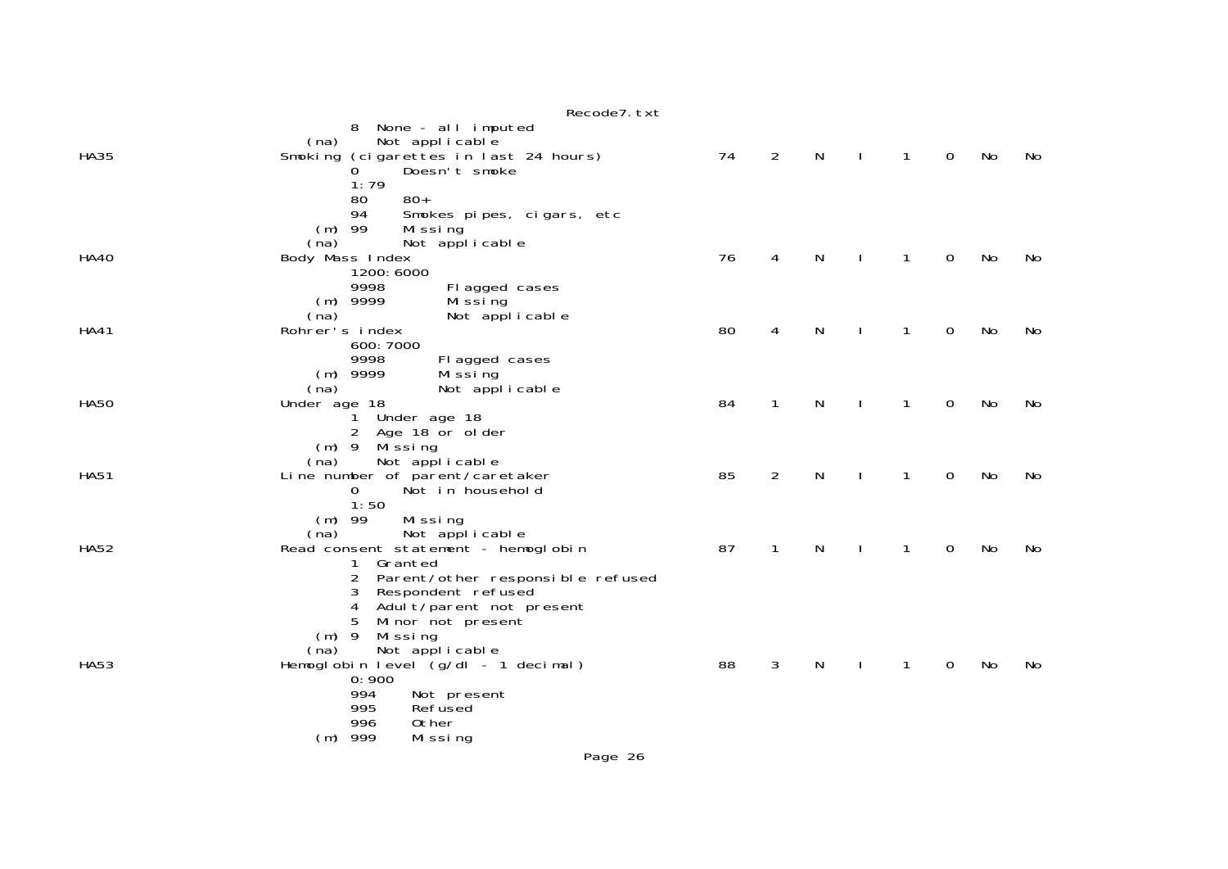|             | Recode7. txt                                                                                                                                                                                                                               |    |                |              |              |              |             |    |    |
|-------------|--------------------------------------------------------------------------------------------------------------------------------------------------------------------------------------------------------------------------------------------|----|----------------|--------------|--------------|--------------|-------------|----|----|
| <b>HA35</b> | 8 None - all imputed<br>Not applicable<br>(na)<br>Smoking (cigarettes in last 24 hours)<br>Doesn't smoke<br>$\Omega$<br>1:79                                                                                                               | 74 | $\overline{2}$ | $\mathsf{N}$ | $\mathbf{I}$ | $\mathbf{1}$ | $\mathbf 0$ | No | No |
| <b>HA40</b> | $80+$<br>80<br>Smokes pipes, cigars, etc<br>94<br>$(m)$ 99<br>Missing<br>Not applicable<br>(na)<br>Body Mass Index<br>1200: 6000<br>9998<br>Fl agged cases                                                                                 | 76 | 4              | $\mathsf{N}$ | $\mathbf{I}$ | $\mathbf{1}$ | 0           | No | No |
| <b>HA41</b> | $(m)$ 9999<br>Mi ssi ng<br>Not applicable<br>(na)<br>Rohrer's index<br>600: 7000<br>9998<br>Fl agged cases                                                                                                                                 | 80 | 4              | N            | <sup>1</sup> | $\mathbf{1}$ | 0           | No | No |
| <b>HA50</b> | $(m)$ 9999<br>Mi ssi ng<br>(na)<br>Not applicable<br>Under age 18<br>1 Under age 18<br>$\overline{2}$<br>Age 18 or older                                                                                                                   | 84 | $\mathbf{1}$   | N            |              | $\mathbf{1}$ | 0           | No | No |
| <b>HA51</b> | $(m)$ 9 Missing<br>Not applicable<br>(na)<br>Line number of parent/caretaker<br>$\overline{O}$<br>Not in household<br>1:50                                                                                                                 | 85 | 2              | N            |              | $\mathbf{1}$ | 0           | No | No |
| <b>HA52</b> | $(m)$ 99<br>Missing<br>(na)<br>Not applicable<br>Read consent statement - hemoglobin<br>1 Granted<br>2 Parent/other responsible refused<br>Respondent refused<br>3                                                                         | 87 | 1              | N            |              | $\mathbf{1}$ | 0           | No | No |
| <b>HA53</b> | Adul t/parent not present<br>4<br>Minor not present<br>5<br>$(m)$ 9<br>Mi ssi ng<br>Not applicable<br>(na)<br>Hemoglobin level (g/dl - 1 decimal)<br>0:900<br>994<br>Not present<br>995<br>Refused<br>996<br>Other<br>$(m)$ 999<br>Missing | 88 | 3              | N            |              | 1            | 0           | No | No |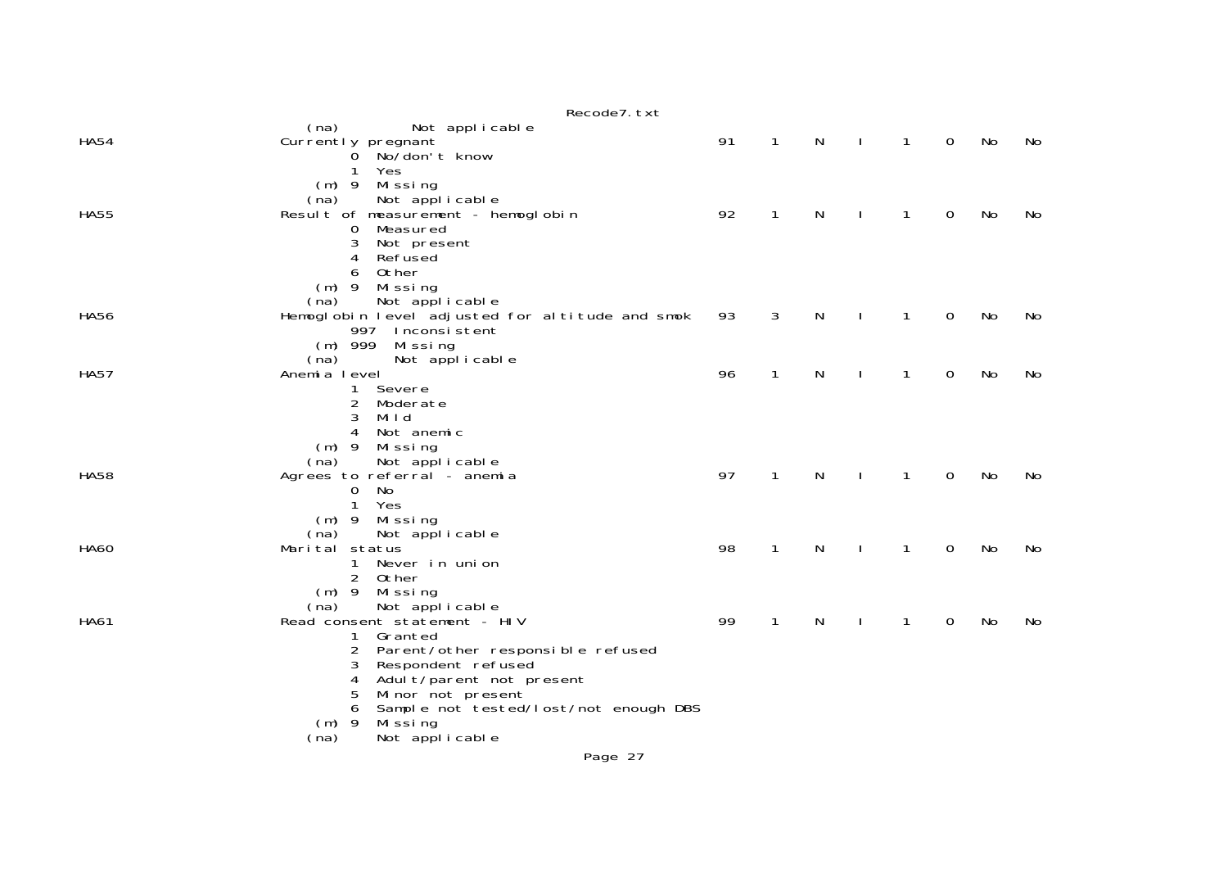|             | Recode7. txt                                                         |    |              |   |    |              |   |    |    |
|-------------|----------------------------------------------------------------------|----|--------------|---|----|--------------|---|----|----|
| <b>HA54</b> | (na)<br>Not applicable<br>Currently pregnant                         | 91 | $\mathbf{1}$ | N |    | 1            | 0 | No | No |
|             | No/don't know<br>0<br>Yes<br>1                                       |    |              |   |    |              |   |    |    |
|             | $(m)$ 9<br>Mi ssi ng<br>Not applicable<br>(na)                       |    |              |   |    |              |   |    |    |
| <b>HA55</b> | Result of measurement - hemoglobin<br>Measured<br>0                  | 92 | $\mathbf{1}$ | N |    | 1            | 0 | No | No |
|             | 3<br>Not present<br>Refused<br>4                                     |    |              |   |    |              |   |    |    |
|             | 0ther<br>6<br>$(m)$ 9<br>Missing                                     |    |              |   |    |              |   |    |    |
|             | Not applicable<br>(na)                                               |    |              |   |    | 1            |   | No |    |
| <b>HA56</b> | Hemoglobin level adjusted for altitude and smok<br>997 Inconsistent  | 93 | 3            | N |    |              | 0 |    | No |
|             | $(m)$ 999<br>Missing<br>(na)<br>Not applicable                       |    |              |   |    |              |   |    |    |
| <b>HA57</b> | Anemia level<br>1.<br>Severe                                         | 96 | 1            | N |    | $\mathbf{1}$ | 0 | No | No |
|             | 2<br>Moderate<br>Mild<br>3                                           |    |              |   |    |              |   |    |    |
|             | Not anemic<br>4<br>$(m)$ 9<br>Mi ssi ng                              |    |              |   |    |              |   |    |    |
| <b>HA58</b> | Not applicable<br>(na)<br>Agrees to referral - anemia                | 97 | $\mathbf{1}$ | N | J. | 1            | 0 | No | No |
|             | No<br>$\mathbf{O}$<br>Yes<br>1                                       |    |              |   |    |              |   |    |    |
|             | $(m)$ 9<br>Missing<br>(na)<br>Not applicable                         |    |              |   |    |              |   |    |    |
| <b>HA60</b> | Marital status<br>Never in union<br>1                                | 98 | $\mathbf{1}$ | N |    | 1            | 0 | No | No |
|             | 2<br>Other<br>(m) 9 Missing                                          |    |              |   |    |              |   |    |    |
| <b>HA61</b> | Not applicable<br>(na)<br>Read consent statement - HIV               | 99 | $\mathbf{1}$ | N |    | 1            | 0 | No | No |
|             | Granted<br>1.<br>Parent/other responsible refused<br>2               |    |              |   |    |              |   |    |    |
|             | Respondent refused<br>3<br>Adult/parent not present<br>4             |    |              |   |    |              |   |    |    |
|             | Minor not present<br>5<br>Sample not tested/lost/not enough DBS<br>6 |    |              |   |    |              |   |    |    |
|             | Mi ssi ng<br>$(m)$ 9<br>Not applicable<br>(na)                       |    |              |   |    |              |   |    |    |
|             |                                                                      |    |              |   |    |              |   |    |    |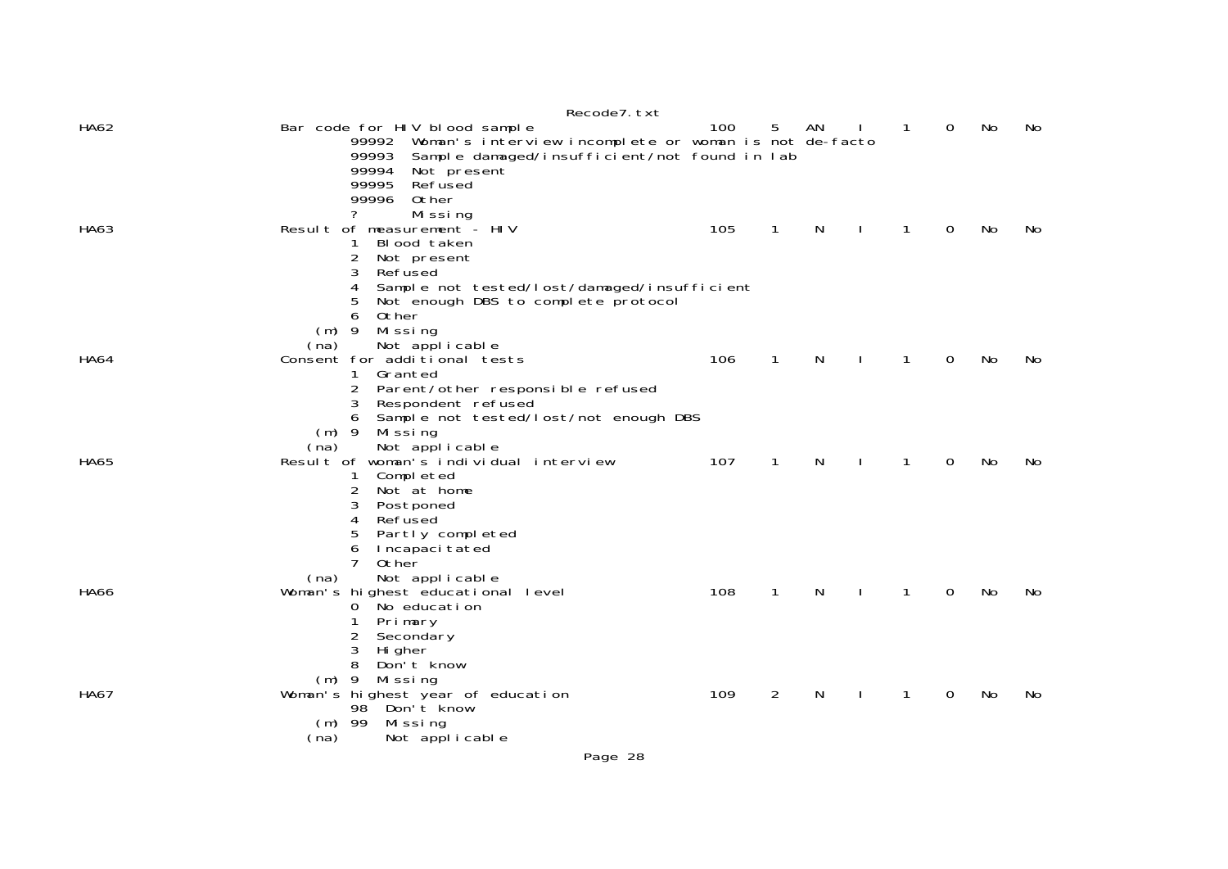|             | Recode7. txt                                                                  |     |                |              |              |                |          |    |     |
|-------------|-------------------------------------------------------------------------------|-----|----------------|--------------|--------------|----------------|----------|----|-----|
| HA62        | Bar code for HIV blood sample                                                 | 100 | 5              | AN           |              | $\overline{1}$ | 0        | No | No  |
|             | 99992 Woman's interview incomplete or woman is not de-facto                   |     |                |              |              |                |          |    |     |
|             | Sample damaged/insufficient/not found in lab<br>99993<br>99994<br>Not present |     |                |              |              |                |          |    |     |
|             | 99995<br>Refused                                                              |     |                |              |              |                |          |    |     |
|             | 99996<br>Other                                                                |     |                |              |              |                |          |    |     |
|             | ?<br>Missing                                                                  |     |                |              |              |                |          |    |     |
| HA63        | Result of measurement - HIV                                                   | 105 | $\mathbf{1}$   | $\mathsf{N}$ |              | $\mathbf{1}$   | $\Omega$ | No | No  |
|             | Blood taken<br>1.                                                             |     |                |              |              |                |          |    |     |
|             | 2<br>Not present<br>3<br>Refused                                              |     |                |              |              |                |          |    |     |
|             | 4<br>Sample not tested/lost/damaged/insufficient                              |     |                |              |              |                |          |    |     |
|             | 5<br>Not enough DBS to complete protocol                                      |     |                |              |              |                |          |    |     |
|             | Other<br>6                                                                    |     |                |              |              |                |          |    |     |
|             | $(m)$ 9<br>Missing                                                            |     |                |              |              |                |          |    |     |
|             | Not applicable<br>(na)                                                        |     |                |              |              |                |          |    |     |
| <b>HA64</b> | Consent for additional tests<br>Granted<br>1                                  | 106 | $\mathbf{1}$   | N            | $\mathbf{I}$ | $\mathbf{1}$   | 0        | No | No. |
|             | 2<br>Parent/other responsible refused                                         |     |                |              |              |                |          |    |     |
|             | Respondent refused<br>3                                                       |     |                |              |              |                |          |    |     |
|             | Sample not tested/lost/not enough DBS                                         |     |                |              |              |                |          |    |     |
|             | $(m)$ 9<br>Missing                                                            |     |                |              |              |                |          |    |     |
|             | Not applicable<br>(na)                                                        |     |                |              |              |                |          |    |     |
| <b>HA65</b> | Result of woman's individual interview                                        | 107 | 1              | N            |              | 1              | $\Omega$ | No | No  |
|             | Completed<br>1<br>2<br>Not at home                                            |     |                |              |              |                |          |    |     |
|             | 3<br>Postponed                                                                |     |                |              |              |                |          |    |     |
|             | Refused<br>4                                                                  |     |                |              |              |                |          |    |     |
|             | Partly completed<br>5                                                         |     |                |              |              |                |          |    |     |
|             | 6<br>Incapaci tated                                                           |     |                |              |              |                |          |    |     |
|             | 7<br>0ther                                                                    |     |                |              |              |                |          |    |     |
|             | Not applicable<br>(na)                                                        |     |                |              |              |                |          |    |     |
| <b>HA66</b> | Woman's highest educational level<br>0 No education                           | 108 | $\mathbf{1}$   | N            |              | $\mathbf{1}$   | 0        | No | No  |
|             | 1<br>Primary                                                                  |     |                |              |              |                |          |    |     |
|             | 2<br>Secondary                                                                |     |                |              |              |                |          |    |     |
|             | 3<br>Hi gher                                                                  |     |                |              |              |                |          |    |     |
|             | 8<br>Don't know                                                               |     |                |              |              |                |          |    |     |
|             | (m) 9 Missing                                                                 |     |                |              |              |                |          |    |     |
| <b>HA67</b> | Woman's highest year of education<br>Don't know<br>98                         | 109 | $\overline{2}$ | N            | $\mathbf{I}$ | 1              | 0        | No | No  |
|             | $(m)$ 99<br>Mi ssi ng                                                         |     |                |              |              |                |          |    |     |
|             | Not applicable<br>(na)                                                        |     |                |              |              |                |          |    |     |
|             |                                                                               |     |                |              |              |                |          |    |     |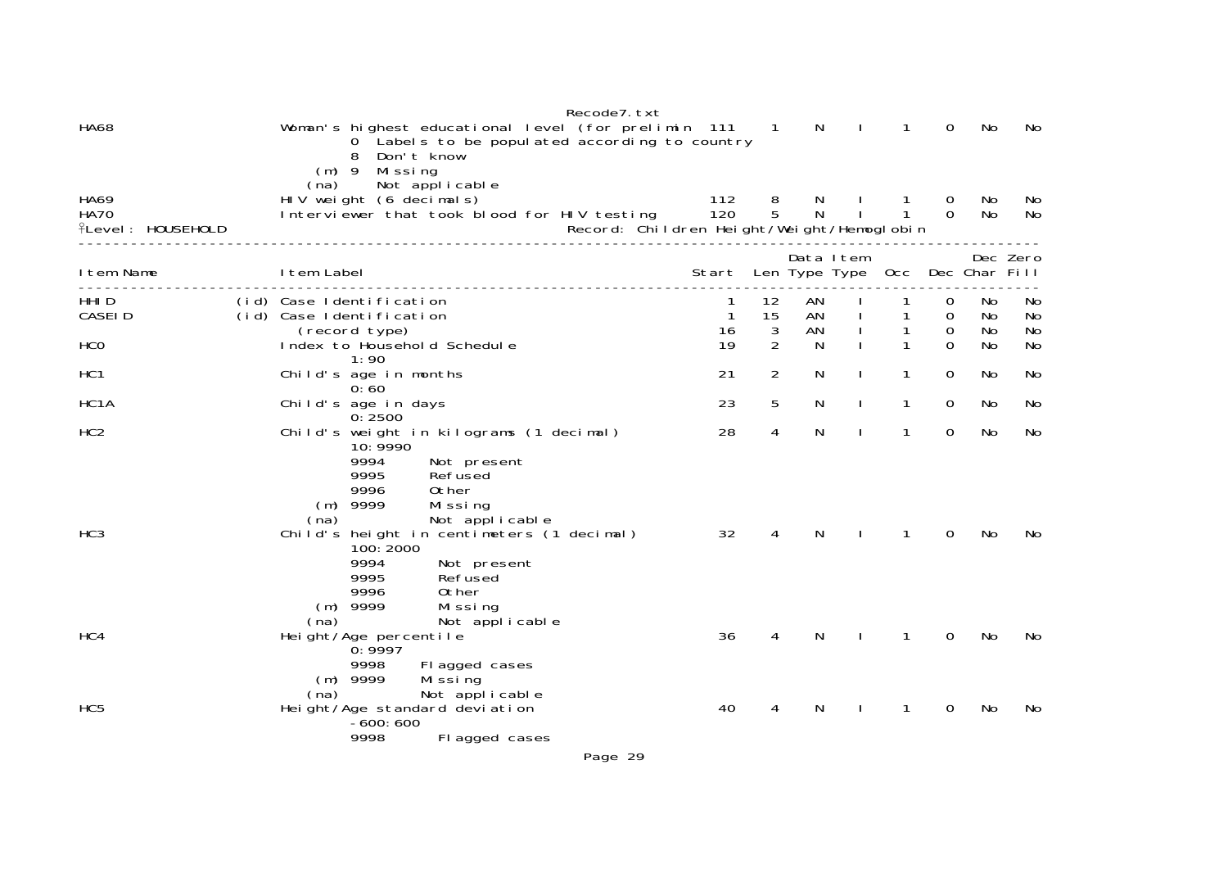|                                                        | Recode7. txt                                                                                                                                                         |              |                     |          |               |                              |               |               |           |
|--------------------------------------------------------|----------------------------------------------------------------------------------------------------------------------------------------------------------------------|--------------|---------------------|----------|---------------|------------------------------|---------------|---------------|-----------|
| <b>HA68</b>                                            | Woman's highest educational level (for prelimin 111 1<br>0 Labels to be populated according to country<br>Don't know<br>8<br>$(m)$ 9 Missing                         |              |                     | N        | -1            | $\mathbf{1}$                 | 0             | No            | No.       |
| <b>HA69</b><br><b>HA70</b><br><b>ILevel: HOUSEHOLD</b> | Not applicable<br>(na)<br>HIV weight (6 decimals)<br>Interviewer that took blood for HIV testing<br>Record: Children Height/Weight/Hemoglobin                        | 112<br>120   | 8<br>$\overline{5}$ | N.<br>N  | $\mathbf{I}$  | $\mathbf{1}$<br>$\mathbf{1}$ | 0<br>$\Omega$ | No.<br>No     | No.<br>No |
|                                                        |                                                                                                                                                                      |              |                     |          | Data Item     |                              |               |               | Dec Zero  |
| I tem Name                                             | I tem Label<br>.                                                                                                                                                     | Start        |                     |          | Len Type Type | 0cc                          |               | Dec Char Fill |           |
| HHI D<br>CASEI D                                       | (id) Case Identification<br>(id) Case Identification                                                                                                                 | $\mathbf{1}$ | 12<br>15            | AN<br>AN |               | 1                            | 0<br>0        | No.<br>No     | No<br>No  |
| HCO                                                    | (record type)<br>Index to Household Schedule                                                                                                                         | 16<br>19     | 3<br>2              | AN<br>N  |               | 1<br>1                       | 0<br>$\Omega$ | No<br>No      | No<br>No  |
| HC <sub>1</sub>                                        | 1:90<br>Child's age in months<br>0:60                                                                                                                                | 21           | $\overline{2}$      | N        |               | 1                            | 0             | No.           | No        |
| HC <sub>1</sub> A                                      | Child's age in days<br>0:2500                                                                                                                                        | 23           | 5                   | N        | J.            | 1                            | 0             | No            | No        |
| HC <sub>2</sub>                                        | Child's weight in kilograms (1 decimal)<br>10: 9990<br>9994<br>Not present<br>9995<br>Refused<br>9996<br>0ther<br>$(m)$ 9999<br>Missing<br>Not applicable<br>(na)    | 28           | 4                   | N        |               | $\mathbf{1}$                 | $\Omega$      | No            | No        |
| HC <sub>3</sub>                                        | Child's height in centimeters (1 decimal)<br>100: 2000<br>9994<br>Not present<br>9995<br>Refused<br>9996<br>0ther<br>$(m)$ 9999<br>Missing<br>Not applicable<br>(na) | 32           | 4                   | N        |               | $\mathbf{1}$                 | 0             | No            | No        |
| HC4                                                    | Height/Age percentile<br>0:9997<br>9998<br>Fl agged cases                                                                                                            | 36           | 4                   | N        |               | $\mathbf{1}$                 | 0             | No            | No        |
| HC <sub>5</sub>                                        | $(m)$ 9999<br>Mi ssi ng<br>Not applicable<br>(na)<br>Height/Age standard deviation<br>$-600:600$<br>9998<br>Fl agged cases                                           | 40           | 4                   | N        |               | 1                            | 0             | No            | No        |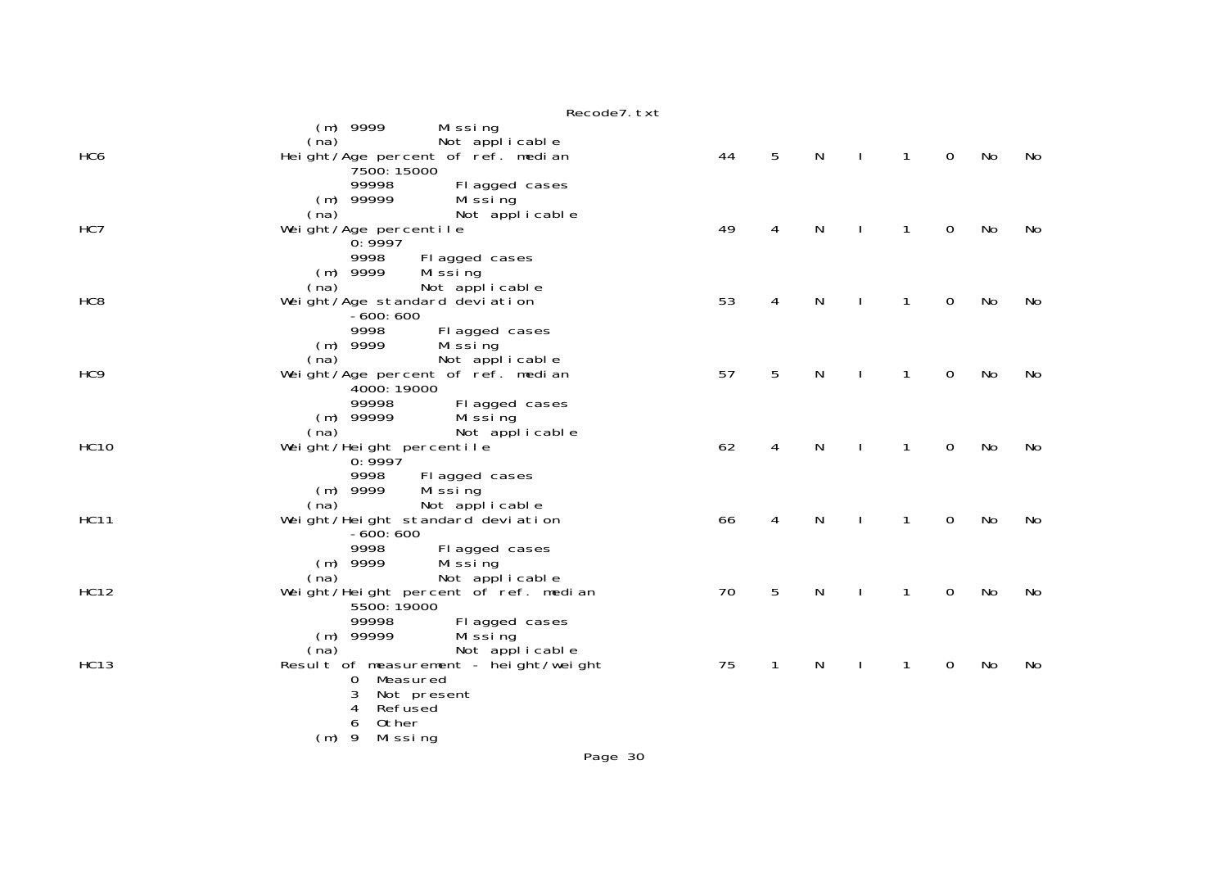|                 | Recode7. txt                                                                               |    |   |   |              |             |    |    |
|-----------------|--------------------------------------------------------------------------------------------|----|---|---|--------------|-------------|----|----|
| HC <sub>6</sub> | (m) 9999<br>Missing<br>Not applicable<br>(na)<br>Height/Age percent of ref. median         | 44 | 5 | N | $\mathbf{1}$ | $\mathbf 0$ | No | No |
|                 | 7500: 15000<br>99998<br>Fl agged cases<br>$(m)$ 99999<br>Mi ssi ng                         |    |   |   |              |             |    |    |
| HC7             | (na)<br>Not applicable<br>Weight/Age percentile<br>0:9997                                  | 49 | 4 | N | 1            | 0           | No | No |
|                 | 9998<br>Fl agged cases<br>$(m)$ 9999<br>Mi ssi ng<br>Not applicable<br>(na)                |    |   |   |              |             |    |    |
| HC <sub>8</sub> | Weight/Age standard deviation<br>$-600:600$<br>9998                                        | 53 | 4 | N | 1            | $\mathbf 0$ | No | No |
|                 | Fl agged cases<br>$(m)$ 9999<br>Mi ssi ng<br>(na)<br>Not applicable                        |    |   |   |              |             |    |    |
| HC <sub>9</sub> | Weight/Age percent of ref. median<br>4000: 19000<br>99998<br>Fl agged cases                | 57 | 5 | N | 1            | 0           | No | No |
| <b>HC10</b>     | $(m)$ 99999<br>Mi ssi ng<br>(na)<br>Not applicable<br>Weight/Height percentile             | 62 | 4 | N | 1            | $\mathbf 0$ | No | No |
|                 | 0:9997<br>9998<br>Fl agged cases<br>$(m)$ 9999<br>Mi ssi ng                                |    |   |   |              |             |    |    |
| <b>HC11</b>     | Not applicable<br>(na)<br>Weight/Height standard deviation<br>$-600:600$                   | 66 | 4 | N | 1            | 0           | No | No |
|                 | 9998<br>Fl agged cases<br>$(m)$ 9999<br>Mi ssi ng<br>Not applicable<br>(na)                |    |   |   |              |             |    |    |
| <b>HC12</b>     | Weight/Height percent of ref. median<br>5500: 19000                                        | 70 | 5 | N | 1            | $\mathbf 0$ | No | No |
|                 | 99998<br>Fl agged cases<br>$(m)$ 99999<br>Missing<br>(na)<br>Not applicable                |    |   |   |              |             |    |    |
| <b>HC13</b>     | Result of measurement - height/weight<br>Measured<br>O<br>3<br>Not present<br>Refused<br>4 | 75 | 1 | N | 1            | 0           | No | No |
|                 | 0ther<br>6<br>$(m)$ 9<br>Mi ssi ng                                                         |    |   |   |              |             |    |    |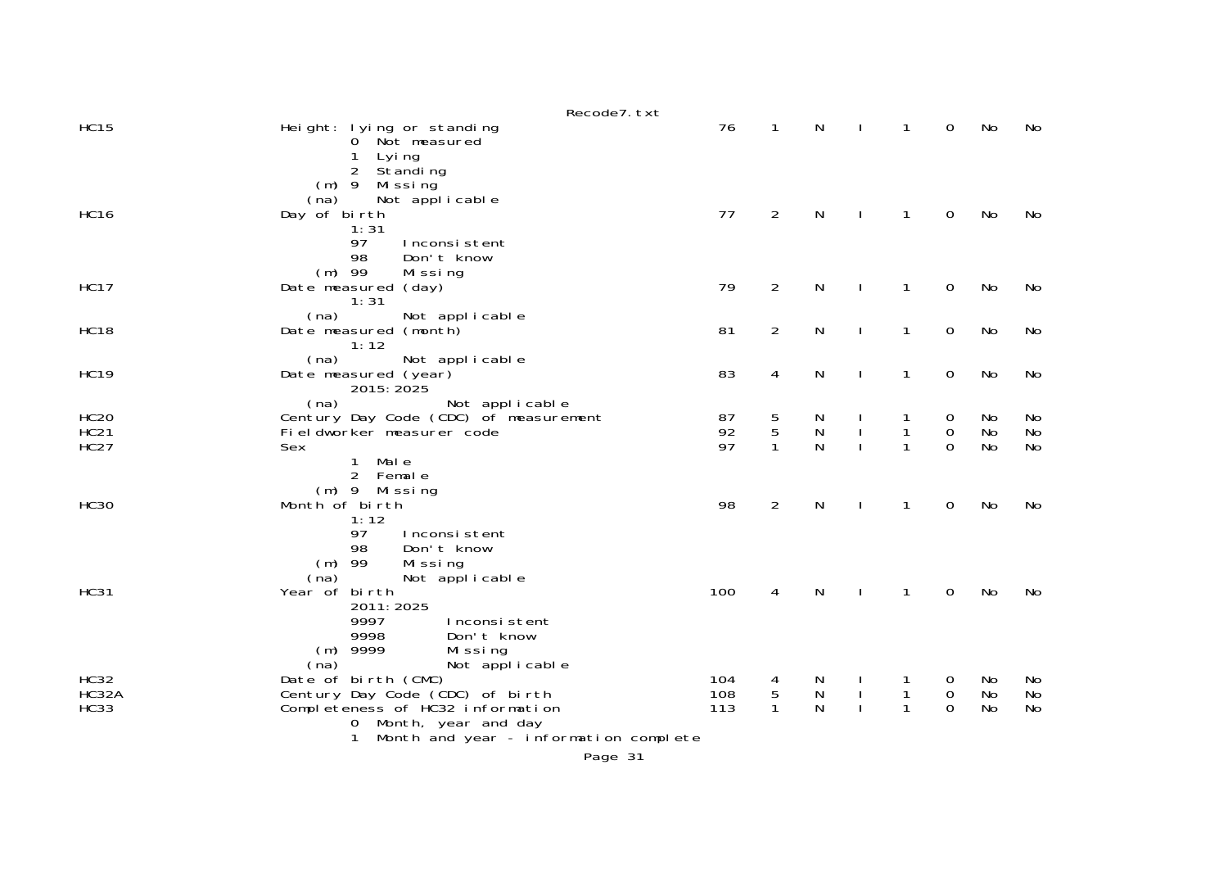|                                           | Recode7. txt                                                                                                                                                                                                                    |                   |                        |                     |              |                   |                              |                |                       |
|-------------------------------------------|---------------------------------------------------------------------------------------------------------------------------------------------------------------------------------------------------------------------------------|-------------------|------------------------|---------------------|--------------|-------------------|------------------------------|----------------|-----------------------|
| <b>HC15</b>                               | Height: lying or standing<br>0 Not measured<br>Lyi ng<br>1                                                                                                                                                                      | 76                | $\mathbf{1}$           | N                   |              | 1                 | $\mathbf 0$                  | No             | No                    |
| <b>HC16</b>                               | $\overline{2}$<br>Standing<br>$(m)$ 9 Missing<br>Not applicable<br>(na)<br>Day of birth<br>1:31<br>97<br>Inconsistent                                                                                                           | 77                | $\overline{2}$         | N                   |              | 1                 | $\mathbf 0$                  | No             | No                    |
| <b>HC17</b>                               | 98<br>Don't know<br>$(m)$ 99<br>Missing<br>Date measured (day)<br>1:31                                                                                                                                                          | 79                | $\overline{2}$         | N                   |              | 1                 | $\mathbf 0$                  | No             | No                    |
| <b>HC18</b>                               | (na)<br>Not applicable<br>Date measured (month)<br>1:12                                                                                                                                                                         | 81                | $\overline{2}$         | ${\sf N}$           | $\mathbf{I}$ | $\mathbf{1}$      | $\mathbf 0$                  | No             | No                    |
| <b>HC19</b>                               | (na)<br>Not applicable<br>Date measured (year)<br>2015: 2025                                                                                                                                                                    | 83                | 4                      | N                   | J.           | $\mathbf{1}$      | 0                            | No             | No                    |
| <b>HC20</b><br><b>HC21</b><br><b>HC27</b> | (na)<br>Not applicable<br>Century Day Code (CDC) of measurement<br>Fi el dworker measurer code<br>Sex                                                                                                                           | 87<br>92<br>97    | 5<br>5<br>$\mathbf{1}$ | N<br>N<br>N         |              | 1<br>1<br>1       | 0<br>$\mathbf 0$<br>$\Omega$ | No<br>No<br>No | No<br>No<br><b>No</b> |
| <b>HC30</b>                               | 1<br>Mal e<br>2 Female<br>$(m)$ 9 Missing<br>Month of birth<br>1:12                                                                                                                                                             | 98                | 2                      | N                   |              | 1                 | 0                            | No             | No                    |
| <b>HC31</b>                               | 97<br>Inconsistent<br>98<br>Don't know<br>$(m)$ 99<br>Missing<br>Not applicable<br>(na)<br>Year of birth<br>2011: 2025<br>9997<br>Inconsistent<br>9998<br>Don't know                                                            | 100               | 4                      | N                   |              | 1                 | 0                            | No             | No                    |
| HC32<br>HC32A<br><b>HC33</b>              | $(m)$ 9999<br>Missing<br>(na)<br>Not applicable<br>Date of birth (CMC)<br>Century Day Code (CDC) of birth<br>Completeness of HC32 information<br>0 Month, year and day<br>Month and year - information complete<br>$\mathbf{1}$ | 104<br>108<br>113 | 4<br>5<br>$\mathbf{1}$ | N<br>${\sf N}$<br>N |              | 1<br>$\mathbf{1}$ | 0<br>0<br>$\Omega$           | No<br>No<br>No | No<br>No<br>No        |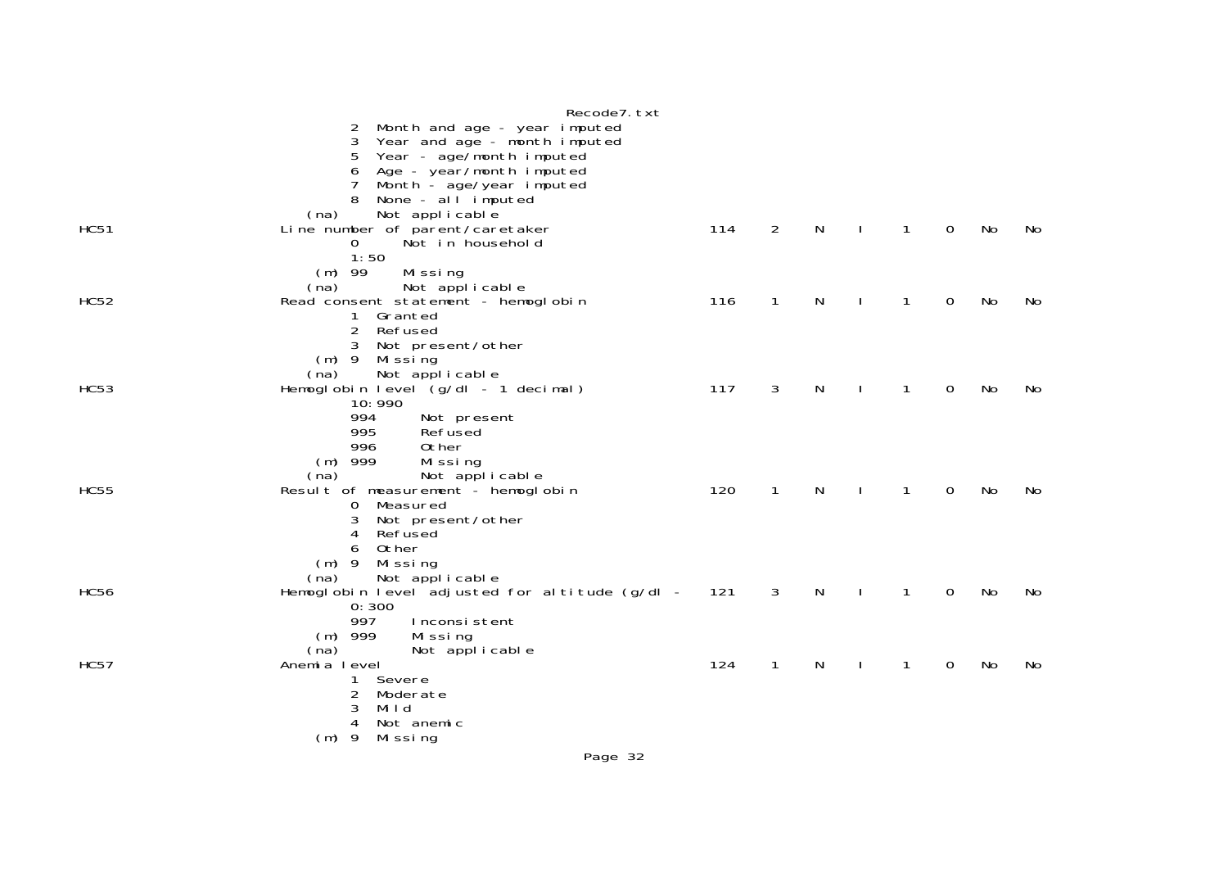|             | Recode7. txt                                                             |     |              |              |              |              |             |    |    |
|-------------|--------------------------------------------------------------------------|-----|--------------|--------------|--------------|--------------|-------------|----|----|
|             | Month and age - year imputed<br>2                                        |     |              |              |              |              |             |    |    |
|             | Year and age - month imputed<br>3                                        |     |              |              |              |              |             |    |    |
|             | Year - age/month imputed<br>5<br>Age - year/month imputed                |     |              |              |              |              |             |    |    |
|             | Month - age/year imputed<br>7                                            |     |              |              |              |              |             |    |    |
|             | None - al l imputed                                                      |     |              |              |              |              |             |    |    |
|             | Not applicable<br>(na)                                                   |     |              | $\mathsf{N}$ |              |              |             |    |    |
| <b>HC51</b> | Line number of parent/caretaker<br>$\Omega$<br>Not in household          | 114 | 2            |              |              | $\mathbf{1}$ | 0           | No | No |
|             | 1:50                                                                     |     |              |              |              |              |             |    |    |
|             | Missing<br>$(m)$ 99                                                      |     |              |              |              |              |             |    |    |
|             | Not applicable<br>(na)                                                   |     |              |              |              |              |             |    |    |
| <b>HC52</b> | Read consent statement - hemoglobin<br>Granted<br>$\mathbf{1}$           | 116 | 1            | N            |              | 1            | 0           | No | No |
|             | $\overline{2}$<br>Refused                                                |     |              |              |              |              |             |    |    |
|             | 3<br>Not present/other                                                   |     |              |              |              |              |             |    |    |
|             | $(m)$ 9<br>Mi ssi ng<br>Not applicable                                   |     |              |              |              |              |             |    |    |
| <b>HC53</b> | (na)<br>Hemoglobin level (g/dl - 1 decimal)                              | 117 | 3            | N            |              | 1            | 0           | No | No |
|             | 10:990                                                                   |     |              |              |              |              |             |    |    |
|             | 994<br>Not present                                                       |     |              |              |              |              |             |    |    |
|             | 995<br>Refused<br>996<br>Other                                           |     |              |              |              |              |             |    |    |
|             | $(m)$ 999<br>Mi ssi ng                                                   |     |              |              |              |              |             |    |    |
|             | Not applicable<br>(na)                                                   |     |              |              |              |              |             |    |    |
| <b>HC55</b> | Result of measurement - hemoglobin                                       | 120 | $\mathbf{1}$ | N            | $\mathbf{I}$ | $\mathbf{1}$ | 0           | No | No |
|             | Measured<br>0<br>Not present/other<br>3                                  |     |              |              |              |              |             |    |    |
|             | Refused<br>4                                                             |     |              |              |              |              |             |    |    |
|             | Other<br>6                                                               |     |              |              |              |              |             |    |    |
|             | (m) 9 Missing                                                            |     |              |              |              |              |             |    |    |
| <b>HC56</b> | Not applicable<br>(na)<br>Hemoglobin level adjusted for altitude (g/dl - | 121 | 3            | N            |              | 1            | $\mathbf 0$ | No | No |
|             | 0:300                                                                    |     |              |              |              |              |             |    |    |
|             | 997<br>Inconsistent                                                      |     |              |              |              |              |             |    |    |
|             | $(m)$ 999<br>Missing<br>(na)<br>Not applicable                           |     |              |              |              |              |             |    |    |
| <b>HC57</b> | Anemia level                                                             | 124 | $\mathbf{1}$ | N            |              | 1            | 0           | No | No |
|             | Severe<br>1.                                                             |     |              |              |              |              |             |    |    |
|             | 2<br>Moderate                                                            |     |              |              |              |              |             |    |    |
|             | 3<br>Mild<br>Not anemic<br>4                                             |     |              |              |              |              |             |    |    |
|             | $(m)$ 9<br>Mi ssi ng                                                     |     |              |              |              |              |             |    |    |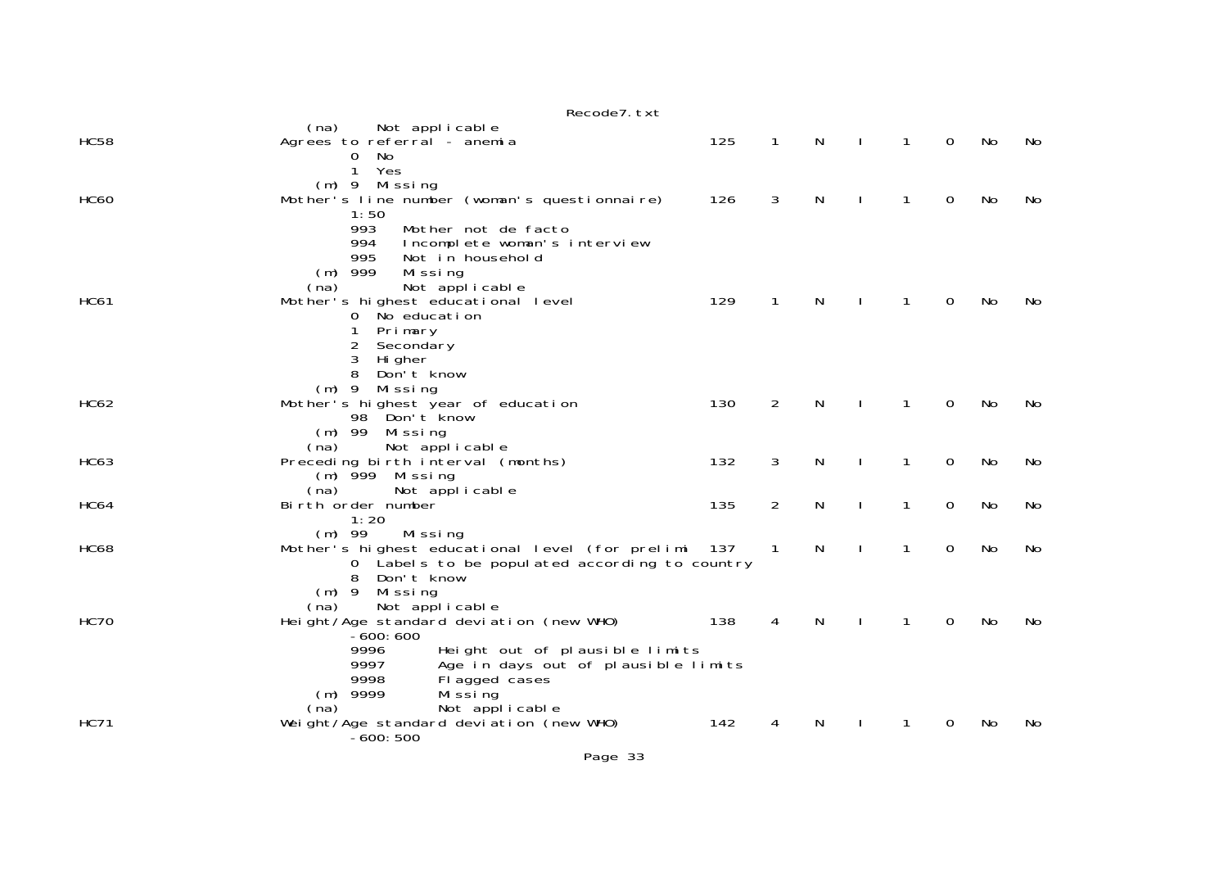|             | Recode7. txt                                                                                                                                                                                                                                                                                  |     |                            |   |              |              |             |    |    |
|-------------|-----------------------------------------------------------------------------------------------------------------------------------------------------------------------------------------------------------------------------------------------------------------------------------------------|-----|----------------------------|---|--------------|--------------|-------------|----|----|
| <b>HC58</b> | (na)<br>Not applicable<br>Agrees to referral - anemia                                                                                                                                                                                                                                         | 125 | $\mathbf{1}$               | N | $\mathbf{I}$ | 1            | 0           | No | No |
| <b>HC60</b> | 0<br>No<br>Yes<br>$\mathbf{1}$<br>(m) 9 Missing<br>Mother's line number (woman's questionnaire)<br>1:50                                                                                                                                                                                       | 126 | 3                          | N |              | 1            | 0           | No | No |
| <b>HC61</b> | 993<br>Mother not de facto<br>994<br>Incomplete woman's interview<br>995<br>Not in household<br>$(m)$ 999<br>Mi ssi ng<br>Not applicable<br>(na)<br>Mother's highest educational level<br>$\overline{0}$<br>No education<br>Primary<br>1<br>2<br>Secondary<br>3<br>Hi gher<br>8<br>Don't know | 129 | $\mathbf 1$                | N |              | $\mathbf{1}$ | 0           | No | No |
| <b>HC62</b> | Missing<br>$(m)$ 9<br>Mother's highest year of education<br>98 Don't know                                                                                                                                                                                                                     | 130 | $\overline{2}$             | N |              | 1            | 0           | No | No |
| <b>HC63</b> | $(m)$ 99<br>Mi ssi ng<br>Not applicable<br>(na)<br>Preceding birth interval (months)<br>$(m)$ 999 Missing                                                                                                                                                                                     | 132 | 3                          | N |              | 1            | 0           | No | No |
| <b>HC64</b> | (na)<br>Not applicable<br>Birth order number<br>1:20                                                                                                                                                                                                                                          | 135 | 2                          | N | $\mathbf{I}$ | 1            | 0           | No | No |
| <b>HC68</b> | $(m)$ 99<br>Mi ssi ng<br>Mother's highest educational level (for prelimi 137<br>0 Labels to be populated according to country<br>8<br>Don't know<br>$(m)$ 9<br>Missing                                                                                                                        |     | $\overline{\phantom{0}}$ 1 | N | $\mathbf{I}$ | 1            | $\mathbf 0$ | No | No |
| <b>HC70</b> | Not applicable<br>(na)<br>Height/Age standard deviation (new WHO)<br>$-600:600$<br>9996<br>Height out of plausible limits                                                                                                                                                                     | 138 | 4                          | N | $\mathbf{I}$ | $\mathbf{1}$ | 0           | No | No |
| <b>HC71</b> | 9997<br>Age in days out of plausible limits<br>9998<br>Flagged cases<br>$(m)$ 9999<br>Mi ssi ng<br>Not applicable<br>(na)<br>Weight/Age standard deviation (new WHO)<br>$-600:500$                                                                                                            | 142 | 4                          | N |              | 1            | 0           | No | No |

Page 33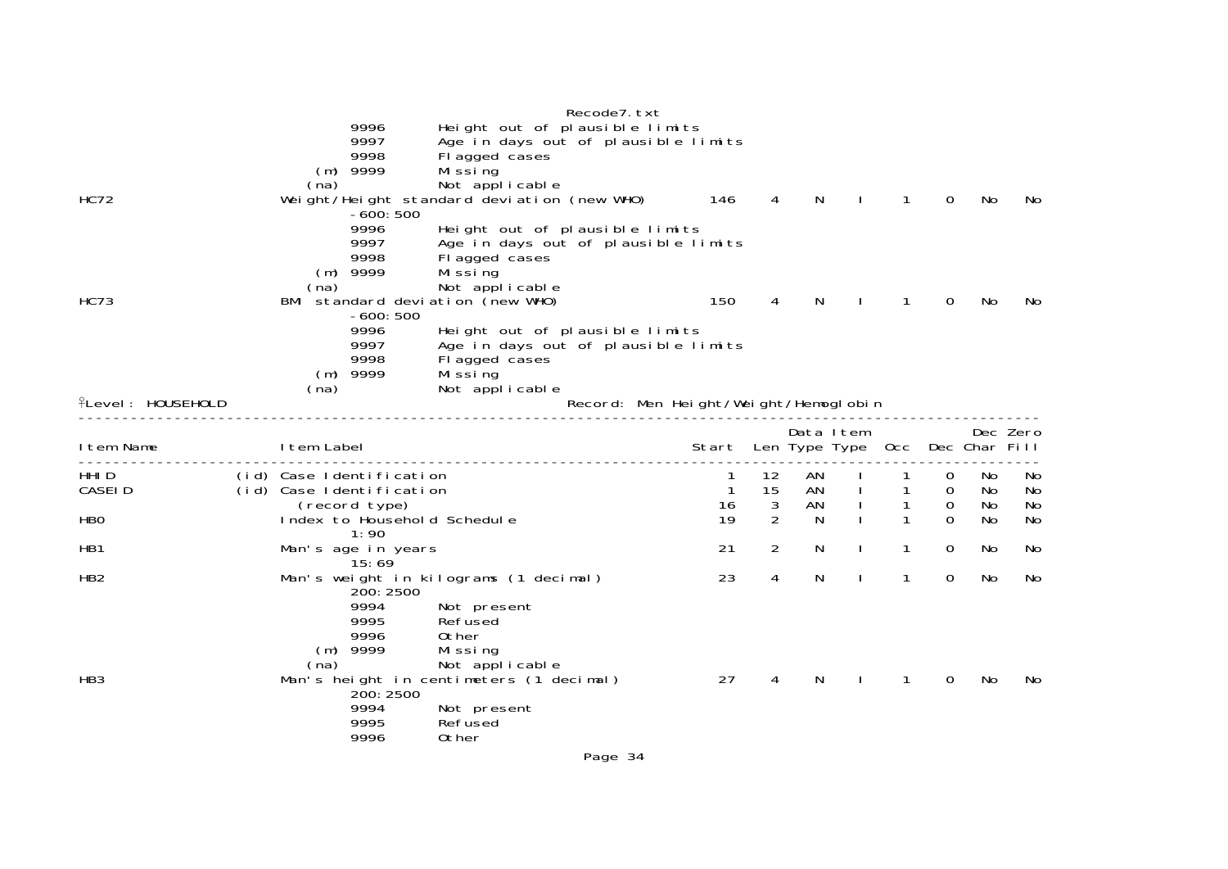|                          |            |            |                          |                                            | Recode7. txt                         |              |                |           |               |   |             |                   |          |
|--------------------------|------------|------------|--------------------------|--------------------------------------------|--------------------------------------|--------------|----------------|-----------|---------------|---|-------------|-------------------|----------|
|                          |            |            | 9996                     | Height out of plausible limits             |                                      |              |                |           |               |   |             |                   |          |
|                          |            |            | 9997                     | Age in days out of plausible limits        |                                      |              |                |           |               |   |             |                   |          |
|                          |            | $(m)$ 9999 | 9998                     | FI agged cases<br>Missing                  |                                      |              |                |           |               |   |             |                   |          |
|                          |            | (na)       |                          | Not applicable                             |                                      |              |                |           |               |   |             |                   |          |
| <b>HC72</b>              |            |            |                          | Weight/Height standard deviation (new WHO) |                                      | 146          | 4              | N         |               | 1 | 0           | No                | No       |
|                          |            |            | $-600:500$               |                                            |                                      |              |                |           |               |   |             |                   |          |
|                          |            |            | 9996                     | Height out of plausible limits             |                                      |              |                |           |               |   |             |                   |          |
|                          |            |            | 9997                     | Age in days out of plausible limits        |                                      |              |                |           |               |   |             |                   |          |
|                          |            | $(m)$ 9999 | 9998                     | Fl agged cases                             |                                      |              |                |           |               |   |             |                   |          |
|                          |            | (na)       |                          | Mi ssi ng<br>Not applicable                |                                      |              |                |           |               |   |             |                   |          |
| <b>HC73</b>              |            |            | $-600:500$               | BMI standard deviation (new WHO)           |                                      | 150          | 4              | N         |               | 1 | 0           | No                | No       |
|                          |            |            | 9996                     | Height out of plausible limits             |                                      |              |                |           |               |   |             |                   |          |
|                          |            |            | 9997                     | Age in days out of plausible limits        |                                      |              |                |           |               |   |             |                   |          |
|                          |            |            | 9998                     | Fl agged cases                             |                                      |              |                |           |               |   |             |                   |          |
|                          |            | $(m)$ 9999 |                          | Mi ssi ng                                  |                                      |              |                |           |               |   |             |                   |          |
| <b>flevel: HOUSEHOLD</b> |            | (na)       |                          | Not applicable                             | Record: Men Height/Weight/Hemoglobin |              |                |           |               |   |             |                   |          |
|                          |            |            |                          |                                            |                                      |              |                |           |               |   |             |                   |          |
|                          |            |            |                          |                                            |                                      |              |                | Data Item |               |   |             |                   | Dec Zero |
| I tem Name               | Item Label |            |                          |                                            |                                      | Start        |                |           | Len Type Type |   |             | Occ Dec Char Fill |          |
| HHI D                    |            |            | (id) Case Identification |                                            |                                      |              | 12             | AN        |               |   | 0           | No                | No       |
| <b>CASEID</b>            |            |            | (id) Case Identification |                                            |                                      | $\mathbf{1}$ | 15             | AN        |               | 1 | $\mathbf 0$ | No                | No       |
|                          |            |            | (record type)            |                                            |                                      | 16           | 3              | AN        |               | 1 | 0           | No                | No       |
| <b>HBO</b>               |            |            | 1:90                     | Index to Household Schedule                |                                      | 19           | $\overline{2}$ | N         |               | 1 | $\Omega$    | No                | No       |
| HB1                      |            |            | Man's age in years       |                                            |                                      | 21           | $\overline{2}$ | N.        |               | 1 | 0           | No.               | No       |
|                          |            |            | 15:69                    |                                            |                                      |              |                |           |               |   |             |                   |          |
| HB <sub>2</sub>          |            |            | 200: 2500                | Man's weight in kilograms (1 decimal)      |                                      | 23           | 4              | N         |               | 1 | $\Omega$    | No.               | No       |
|                          |            |            | 9994                     | Not present                                |                                      |              |                |           |               |   |             |                   |          |
|                          |            |            | 9995                     | Refused                                    |                                      |              |                |           |               |   |             |                   |          |
|                          |            |            | 9996                     | 0ther                                      |                                      |              |                |           |               |   |             |                   |          |
|                          |            | $(m)$ 9999 |                          | Missing                                    |                                      |              |                |           |               |   |             |                   |          |
| HB <sub>3</sub>          |            | (na)       |                          | Not applicable                             |                                      | 27           |                | N         |               |   | 0           | No                | No       |
|                          |            |            | 200: 2500                | Man's height in centimeters (1 decimal)    |                                      |              | 4              |           |               | 1 |             |                   |          |
|                          |            |            | 9994                     | Not present                                |                                      |              |                |           |               |   |             |                   |          |
|                          |            |            | 9995                     | Refused                                    |                                      |              |                |           |               |   |             |                   |          |
|                          |            |            | 9996                     | 0ther                                      |                                      |              |                |           |               |   |             |                   |          |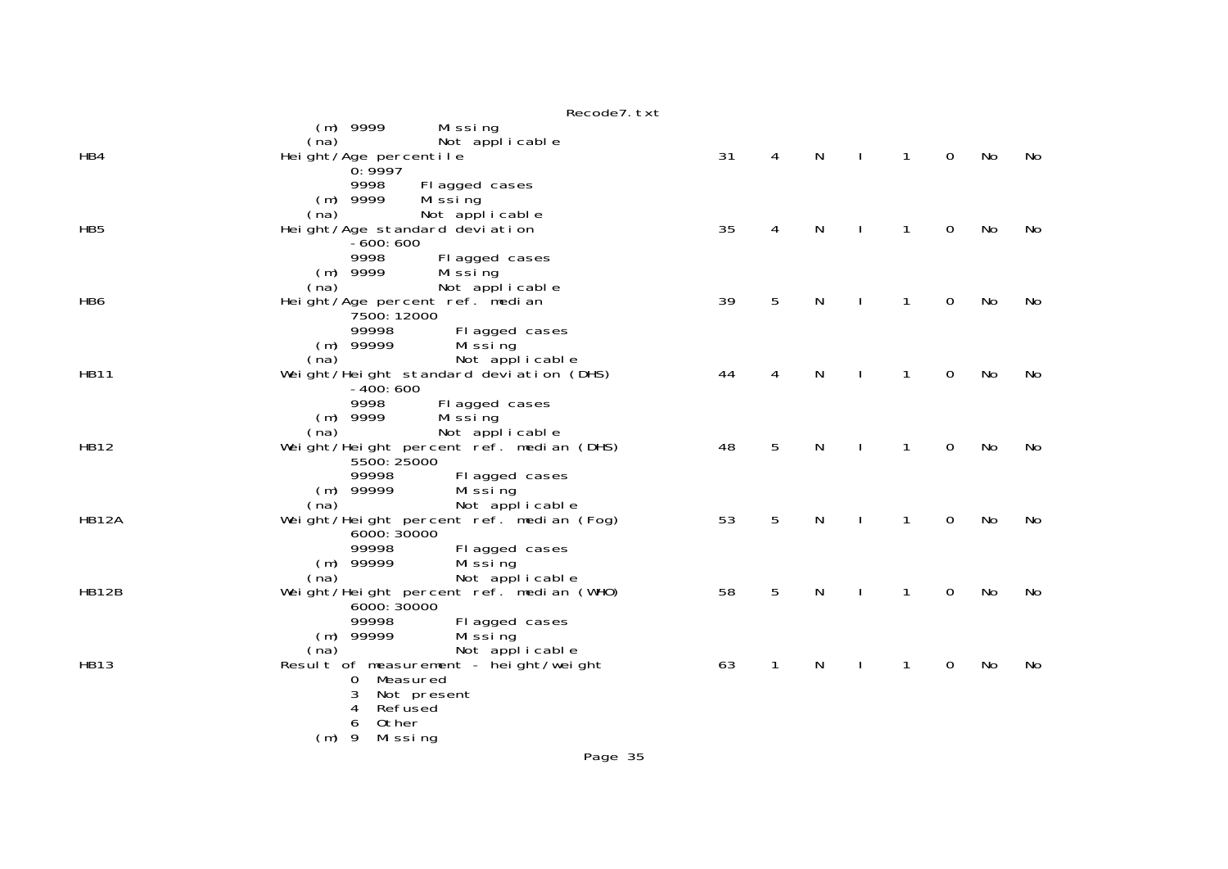|                 | Recode7. txt                                           |    |   |   |              |             |    |    |
|-----------------|--------------------------------------------------------|----|---|---|--------------|-------------|----|----|
|                 | $(m)$ 9999<br>Missing<br>Not applicable<br>(na)        |    |   |   |              |             |    |    |
| HB4             | Height/Age percentile<br>0:9997                        | 31 | 4 | N | $\mathbf{1}$ | $\mathbf 0$ | No | No |
|                 | 9998<br>Fl agged cases<br>$(m)$ 9999<br>Mi ssi ng      |    |   |   |              |             |    |    |
|                 | (na)<br>Not applicable                                 |    |   |   |              |             |    |    |
| HB <sub>5</sub> | Height/Age standard deviation<br>$-600:600$            | 35 | 4 | N | 1            | 0           | No | No |
|                 | 9998<br>Fl agged cases<br>$(m)$ 9999<br>Mi ssi ng      |    |   |   |              |             |    |    |
|                 | Not applicable<br>(na)                                 |    |   |   |              |             |    |    |
| HB6             | Height/Age percent ref. median<br>7500: 12000          | 39 | 5 | N | 1            | 0           | No | No |
|                 | 99998<br>Fl agged cases<br>$(m)$ 99999<br>Mi ssi ng    |    |   |   |              |             |    |    |
|                 | (na)<br>Not applicable                                 |    |   |   |              |             |    |    |
| <b>HB11</b>     | Weight/Height standard deviation (DHS)<br>$-400:600$   | 44 | 4 | N | 1            | 0           | No | No |
|                 | 9998<br>Fl agged cases<br>$(m)$ 9999<br>Mi ssi ng      |    |   |   |              |             |    |    |
| <b>HB12</b>     | Not applicable<br>(na)                                 | 48 | 5 | N | 1            | $\mathbf 0$ | No | No |
|                 | Weight/Height percent ref. median (DHS)<br>5500: 25000 |    |   |   |              |             |    |    |
|                 | 99998<br>Fl agged cases<br>$(m)$ 99999<br>Mi ssi ng    |    |   |   |              |             |    |    |
|                 | (na)<br>Not applicable                                 |    |   |   |              |             |    |    |
| <b>HB12A</b>    | Weight/Height percent ref. median (Fog)<br>6000: 30000 | 53 | 5 | N | 1            | $\Omega$    | No | No |
|                 | 99998<br>Fl agged cases                                |    |   |   |              |             |    |    |
|                 | $(m)$ 99999<br>Mi ssi ng                               |    |   |   |              |             |    |    |
|                 | (na)<br>Not applicable                                 |    |   |   |              |             |    |    |
| HB12B           | Weight/Height percent ref. median (WHO)<br>6000: 30000 | 58 | 5 | N | 1            | 0           | No | No |
|                 | 99998<br>Fl agged cases<br>$(m)$ 99999                 |    |   |   |              |             |    |    |
|                 | Mi ssi ng<br>(na)<br>Not applicable                    |    |   |   |              |             |    |    |
| <b>HB13</b>     | Result of measurement - height/weight                  | 63 | 1 | N | 1            | 0           | No | No |
|                 | Measured<br>0                                          |    |   |   |              |             |    |    |
|                 | 3<br>Not present                                       |    |   |   |              |             |    |    |
|                 | Refused<br>4<br>Other<br>6                             |    |   |   |              |             |    |    |
|                 | $(m)$ 9<br>Missing                                     |    |   |   |              |             |    |    |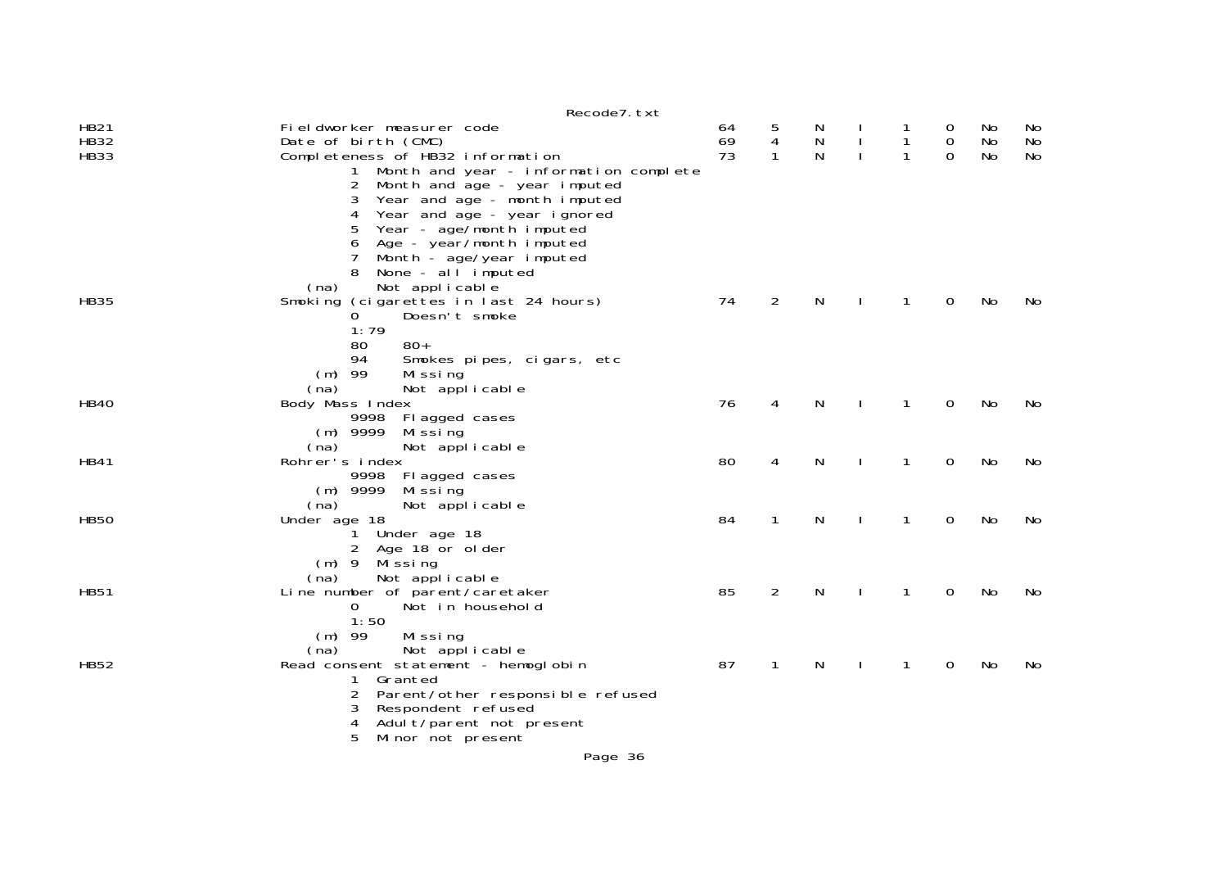|                                           | Recode7. txt                                                                                                                                                                                                                                       |                |                        |             |              |                        |                                           |                |                |
|-------------------------------------------|----------------------------------------------------------------------------------------------------------------------------------------------------------------------------------------------------------------------------------------------------|----------------|------------------------|-------------|--------------|------------------------|-------------------------------------------|----------------|----------------|
| <b>HB21</b><br><b>HB32</b><br><b>HB33</b> | Fieldworker measurer code<br>Date of birth (CMC)<br>Completeness of HB32 information                                                                                                                                                               | 64<br>69<br>73 | 5<br>4<br>$\mathbf{1}$ | N<br>N<br>N |              | 1<br>$\mathbf{1}$<br>1 | $\overline{O}$<br>$\mathbf 0$<br>$\Omega$ | No<br>No<br>No | No<br>No<br>No |
|                                           | Month and year - information complete<br>$\mathbf{1}$<br>$\overline{2}$<br>Month and age - year imputed<br>3<br>Year and age - month imputed<br>Year and age - year ignored<br>4<br>5<br>Year - age/month imputed<br>Age - year/month imputed<br>6 |                |                        |             |              |                        |                                           |                |                |
|                                           | Month - age/year imputed<br>7<br>None - all imputed<br>Not applicable<br>(na)                                                                                                                                                                      |                |                        |             |              |                        |                                           |                |                |
| <b>HB35</b>                               | Smoking (cigarettes in last 24 hours)<br>0<br>Doesn't smoke                                                                                                                                                                                        | 74             | $\overline{2}$         | N           |              | 1                      | 0                                         | No             | No             |
|                                           | 1:79<br>$80+$<br>80<br>94<br>Smokes pipes, cigars, etc<br>$(m)$ 99<br>Missing                                                                                                                                                                      |                |                        |             |              |                        |                                           |                |                |
| <b>HB40</b>                               | (na)<br>Not applicable<br>Body Mass Index<br>9998 Fl agged cases<br>$(m)$ 9999<br>Mi ssi ng                                                                                                                                                        | 76             | 4                      | N           |              | $\mathbf{1}$           | 0                                         | No             | No             |
| HB41                                      | (na)<br>Not applicable<br>Rohrer's index<br>Fl agged cases<br>9998<br>$(m)$ 9999<br>Mi ssi ng                                                                                                                                                      | 80             | 4                      | N           |              | 1                      | 0                                         | No             | No             |
| <b>HB50</b>                               | (na)<br>Not applicable<br>Under age 18<br>1 Under age 18                                                                                                                                                                                           | 84             | $\mathbf{1}$           | N           | <sup>1</sup> | $\mathbf{1}$           | 0                                         | No             | No             |
|                                           | 2 Age 18 or older<br>$(m)$ 9<br>Mi ssi ng<br>Not applicable<br>(na)                                                                                                                                                                                |                |                        |             |              |                        |                                           |                |                |
| <b>HB51</b>                               | Line number of parent/caretaker<br>Not in household<br>$\overline{0}$<br>1:50                                                                                                                                                                      | 85             | 2                      | N           |              | 1                      | 0                                         | No             | No             |
| <b>HB52</b>                               | $(m)$ 99<br>Missing<br>Not applicable<br>(na)<br>Read consent statement - hemoglobin                                                                                                                                                               | 87             | 1                      | N           |              | 1                      | 0                                         | No             | No             |
|                                           | $\mathbf{1}$<br>Granted<br>Parent/other responsible refused<br>2<br>Respondent refused<br>3<br>4<br>Adult/parent not present<br>Minor not present<br>5                                                                                             |                |                        |             |              |                        |                                           |                |                |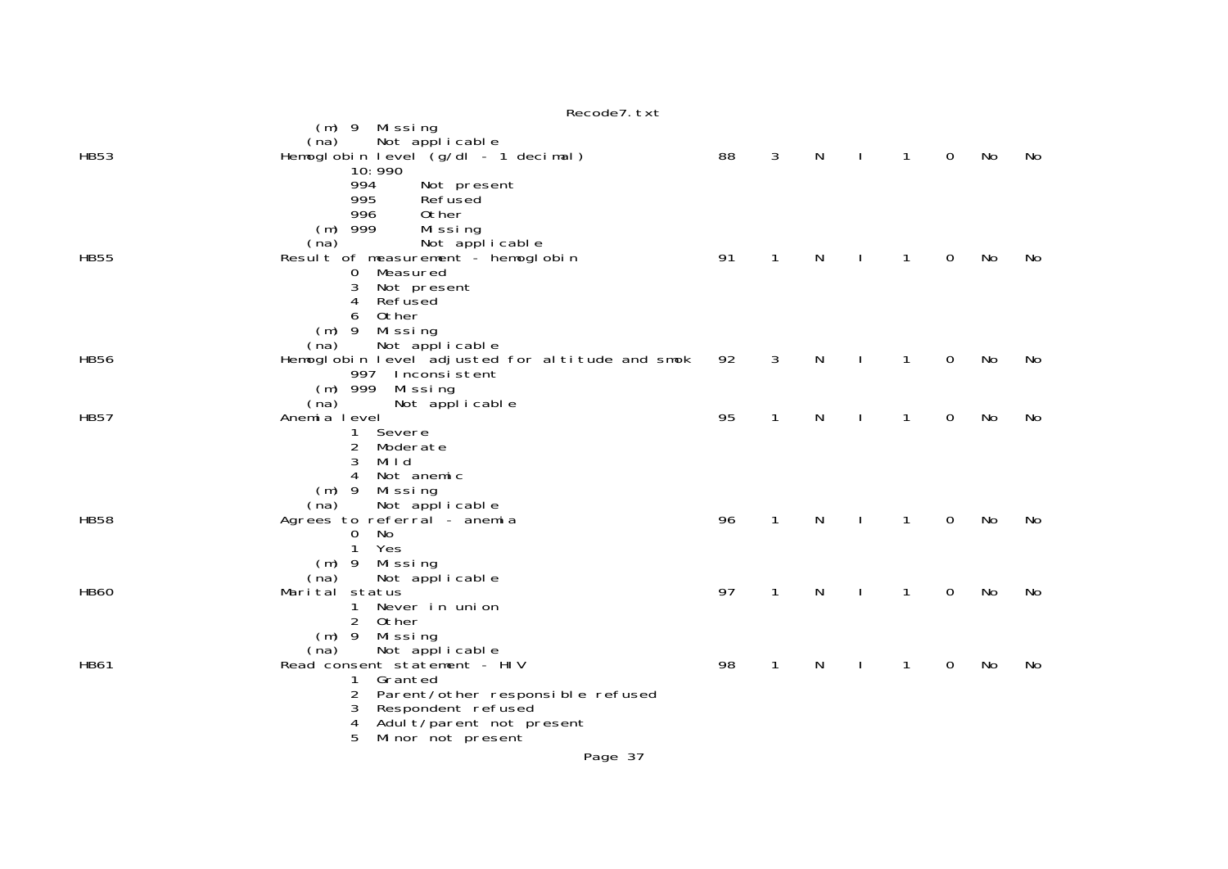|             | Recode7. txt                                         |    |              |   |              |              |             |    |    |
|-------------|------------------------------------------------------|----|--------------|---|--------------|--------------|-------------|----|----|
|             | (m) 9 Missing                                        |    |              |   |              |              |             |    |    |
|             | Not applicable<br>(na)                               |    |              |   |              |              |             |    |    |
| <b>HB53</b> | Hemoglobin level (g/dl - 1 decimal)                  | 88 | 3            | N | $\mathbf{L}$ | $\mathbf{1}$ | $\mathbf 0$ | No | No |
|             | 10:990                                               |    |              |   |              |              |             |    |    |
|             | 994<br>Not present                                   |    |              |   |              |              |             |    |    |
|             | 995<br>Refused                                       |    |              |   |              |              |             |    |    |
|             | 996<br>0ther                                         |    |              |   |              |              |             |    |    |
|             | $(m)$ 999<br>Missing<br>(na)                         |    |              |   |              |              |             |    |    |
| <b>HB55</b> | Not applicable<br>Result of measurement - hemoglobin | 91 | $\mathbf{1}$ | N | $\mathbf{L}$ | $\mathbf{1}$ | $\mathbf 0$ | No | No |
|             | Measured<br>0                                        |    |              |   |              |              |             |    |    |
|             | 3<br>Not present                                     |    |              |   |              |              |             |    |    |
|             | Refused<br>4                                         |    |              |   |              |              |             |    |    |
|             | Other<br>6                                           |    |              |   |              |              |             |    |    |
|             | $(m)$ 9<br>Missing                                   |    |              |   |              |              |             |    |    |
|             | Not applicable<br>(na)                               |    |              |   |              |              |             |    |    |
| <b>HB56</b> | Hemoglobin level adjusted for altitude and smok      | 92 | 3            | N |              | $\mathbf{1}$ | 0           | No | No |
|             | 997 Inconsistent                                     |    |              |   |              |              |             |    |    |
|             | $(m)$ 999<br>Missing                                 |    |              |   |              |              |             |    |    |
|             | (na)<br>Not applicable                               |    |              |   |              |              |             |    |    |
| <b>HB57</b> | Anemia level                                         | 95 | $\mathbf{1}$ | N |              | 1            | 0           | No | No |
|             | 1<br>Severe                                          |    |              |   |              |              |             |    |    |
|             | $\overline{2}$<br>Moderate<br>3<br>Mild              |    |              |   |              |              |             |    |    |
|             | Not anemic<br>4                                      |    |              |   |              |              |             |    |    |
|             | $(m)$ 9<br>Missing                                   |    |              |   |              |              |             |    |    |
|             | (na)<br>Not applicable                               |    |              |   |              |              |             |    |    |
| <b>HB58</b> | Agrees to referral - anemia                          | 96 | 1            | N |              | $\mathbf{1}$ | 0           | No | No |
|             | No<br>$\overline{0}$                                 |    |              |   |              |              |             |    |    |
|             | Yes<br>$\mathbf{1}$                                  |    |              |   |              |              |             |    |    |
|             | $(m)$ 9<br>Missing                                   |    |              |   |              |              |             |    |    |
|             | Not applicable<br>(na)                               |    |              |   |              |              |             |    |    |
| <b>HB60</b> | Marital status                                       | 97 | 1            | N |              | 1            | 0           | No | No |
|             | Never in union<br>1.                                 |    |              |   |              |              |             |    |    |
|             | 2<br>Other                                           |    |              |   |              |              |             |    |    |
|             | $(m)$ 9<br>Mi ssi ng                                 |    |              |   |              |              |             |    |    |
|             | Not applicable<br>(na)                               | 98 |              |   |              |              |             |    |    |
| <b>HB61</b> | Read consent statement - HIV<br>Granted<br>1         |    | $\mathbf{1}$ | N |              | 1            | 0           | No | No |
|             | $\overline{2}$<br>Parent/other responsible refused   |    |              |   |              |              |             |    |    |
|             | Respondent refused<br>3                              |    |              |   |              |              |             |    |    |
|             | Adult/parent not present<br>4                        |    |              |   |              |              |             |    |    |
|             | 5<br>Minor not present                               |    |              |   |              |              |             |    |    |
|             |                                                      |    |              |   |              |              |             |    |    |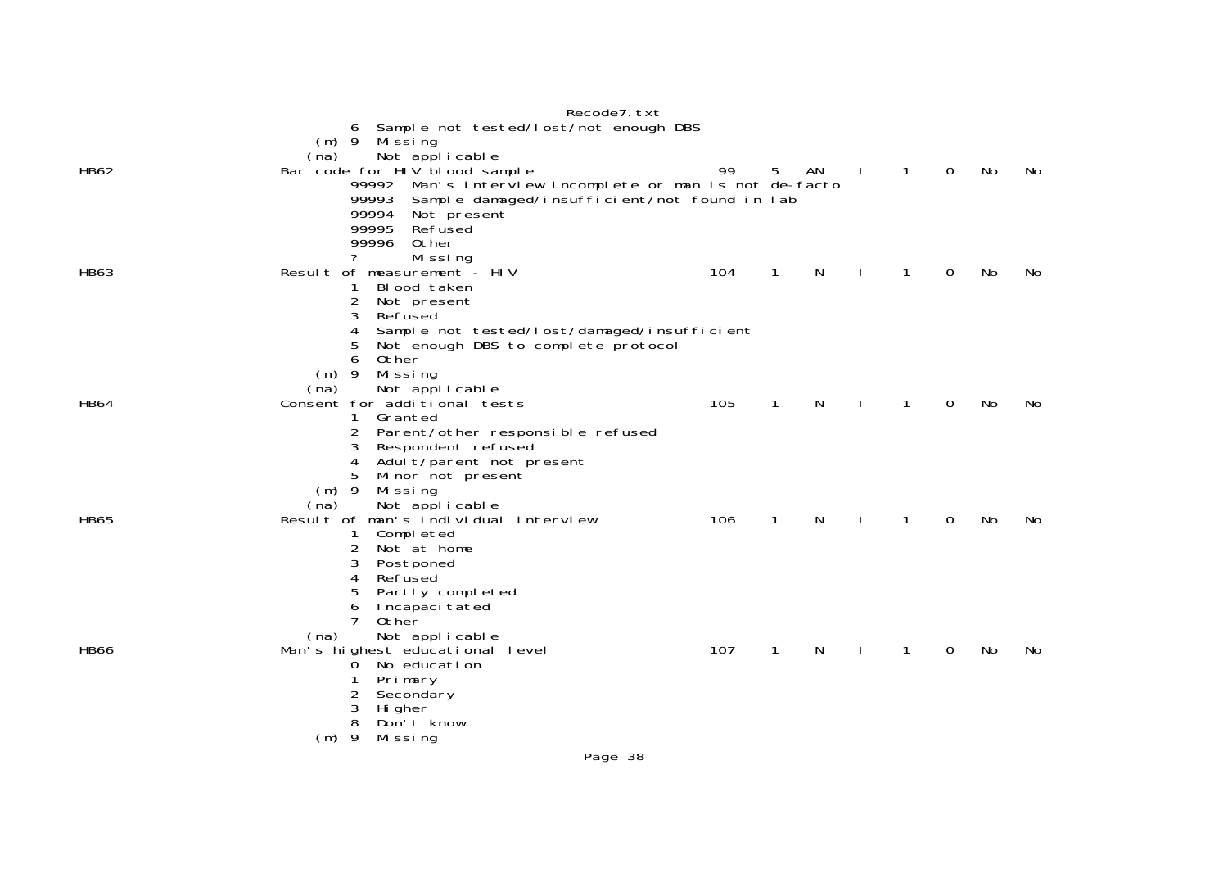|             | Recode7. txt                                                     |     |              |    |              |              |             |    |           |
|-------------|------------------------------------------------------------------|-----|--------------|----|--------------|--------------|-------------|----|-----------|
|             | 6 Sample not tested/lost/not enough DBS                          |     |              |    |              |              |             |    |           |
|             | $(m)$ 9 Missing                                                  |     |              |    |              |              |             |    |           |
| HB62        | Not applicable<br>(na)<br>Bar code for HIV blood sample          | 99  | 5            | AN | $\mathbf{I}$ | 1            | $\mathbf 0$ | No | No.       |
|             | 99992 Man's interview incomplete or man is not de-facto          |     |              |    |              |              |             |    |           |
|             | Sample damaged/insufficient/not found in lab<br>99993            |     |              |    |              |              |             |    |           |
|             | 99994<br>Not present                                             |     |              |    |              |              |             |    |           |
|             | 99995<br>Refused                                                 |     |              |    |              |              |             |    |           |
|             | 99996<br>Other<br>7<br>Missing                                   |     |              |    |              |              |             |    |           |
| <b>HB63</b> | Result of measurement - HIV                                      | 104 | $\mathbf{1}$ | N  |              | 1            | 0           | No | No        |
|             | Blood taken<br>1                                                 |     |              |    |              |              |             |    |           |
|             | 2<br>Not present                                                 |     |              |    |              |              |             |    |           |
|             | 3<br>Refused                                                     |     |              |    |              |              |             |    |           |
|             | 4<br>Sample not tested/lost/damaged/insufficient                 |     |              |    |              |              |             |    |           |
|             | 5<br>Not enough DBS to complete protocol<br>Other<br>6           |     |              |    |              |              |             |    |           |
|             | $(m)$ 9<br>Missing                                               |     |              |    |              |              |             |    |           |
|             | Not applicable<br>(na)                                           |     |              |    |              |              |             |    |           |
| <b>HB64</b> | Consent for additional tests                                     | 105 | 1            | N. |              | 1            | 0           | No | No.       |
|             | 1 Granted                                                        |     |              |    |              |              |             |    |           |
|             | 2<br>Parent/other responsible refused<br>3<br>Respondent refused |     |              |    |              |              |             |    |           |
|             | Adult/parent not present<br>4                                    |     |              |    |              |              |             |    |           |
|             | 5<br>Minor not present                                           |     |              |    |              |              |             |    |           |
|             | $(m)$ 9<br>Missing                                               |     |              |    |              |              |             |    |           |
|             | Not applicable<br>(na)                                           |     |              |    |              |              |             |    |           |
| <b>HB65</b> | Result of man's individual interview                             | 106 | $\mathbf{1}$ | N  | $\mathbf{I}$ | $\mathbf{1}$ | $\Omega$    | No | <b>No</b> |
|             | Completed<br>2<br>Not at home                                    |     |              |    |              |              |             |    |           |
|             | 3<br>Postponed                                                   |     |              |    |              |              |             |    |           |
|             | 4<br>Refused                                                     |     |              |    |              |              |             |    |           |
|             | 5<br>Partly completed                                            |     |              |    |              |              |             |    |           |
|             | Incapaci tated<br>6<br>$\overline{7}$                            |     |              |    |              |              |             |    |           |
|             | Other<br>Not applicable<br>(na)                                  |     |              |    |              |              |             |    |           |
| <b>HB66</b> | Man's highest educational level                                  | 107 | 1            | N. |              | 1            | 0           | No | No.       |
|             | No education<br>0                                                |     |              |    |              |              |             |    |           |
|             | Primary                                                          |     |              |    |              |              |             |    |           |
|             | 2<br>Secondary                                                   |     |              |    |              |              |             |    |           |
|             | 3<br>Hi gher<br>8<br>Don't know                                  |     |              |    |              |              |             |    |           |
|             | $(m)$ 9<br>Mi ssi ng                                             |     |              |    |              |              |             |    |           |
|             |                                                                  |     |              |    |              |              |             |    |           |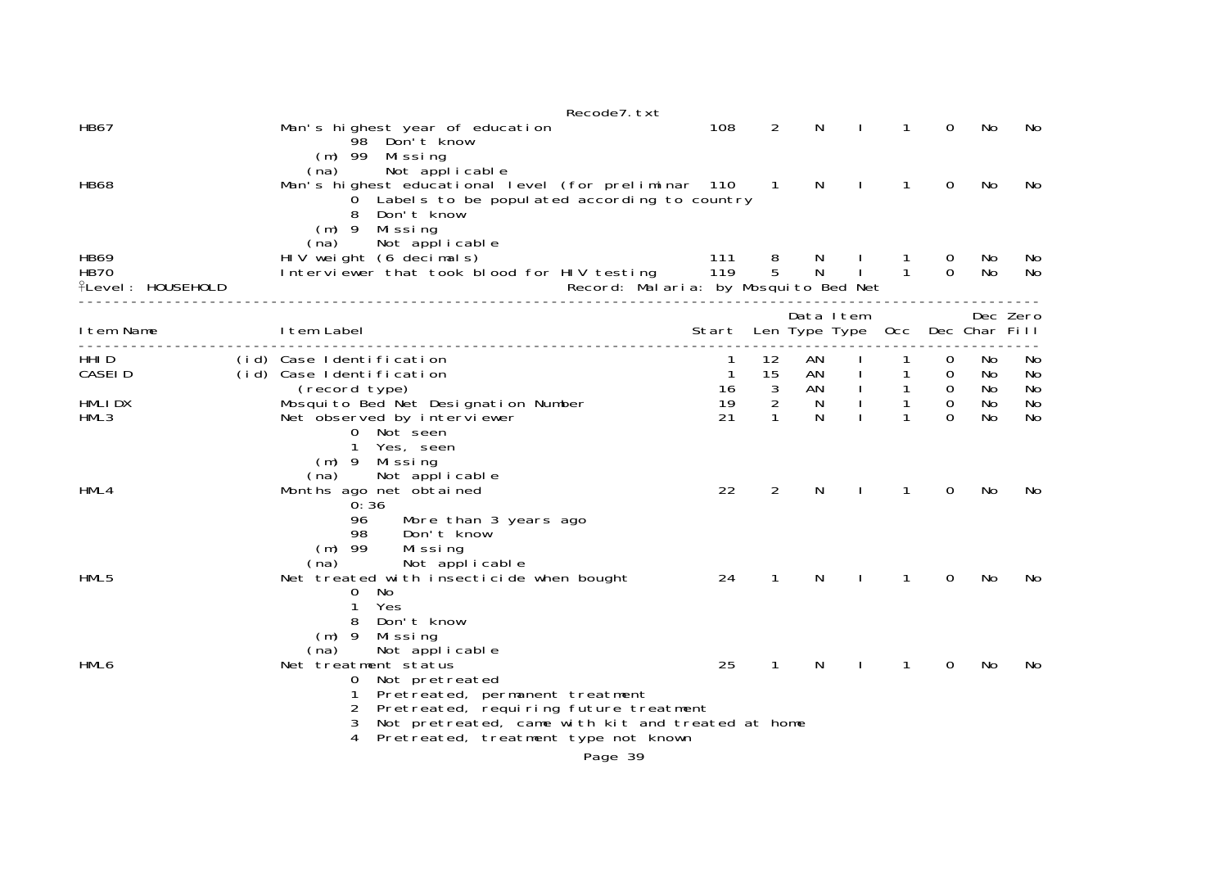|                                                        | Recode7. txt                                                                                                                                                                                                                                   |                                       |                                       |                    |                              |                       |                         |                |                |
|--------------------------------------------------------|------------------------------------------------------------------------------------------------------------------------------------------------------------------------------------------------------------------------------------------------|---------------------------------------|---------------------------------------|--------------------|------------------------------|-----------------------|-------------------------|----------------|----------------|
| <b>HB67</b>                                            | Man's highest year of education<br>98 Don't know                                                                                                                                                                                               | 108                                   | 2                                     | N                  |                              | 1                     | 0                       | No             | No             |
| <b>HB68</b>                                            | $(m)$ 99 Missing<br>Not applicable<br>(na)<br>Man's highest educational level (for preliminar 110 1<br>O Labels to be populated according to country<br>Don't know<br>8<br>$(m)$ 9 Missing                                                     |                                       |                                       | N                  | $\mathbf{I}$                 | $\mathbf{1}$          | 0                       | No             | No             |
| <b>HB69</b><br><b>HB70</b><br><b>flevel: HOUSEHOLD</b> | Not applicable<br>(na)<br>HIV weight (6 decimals)<br>Interviewer that took blood for HIV testing 119<br>Record: Malaria: by Mosquito Bed Net                                                                                                   | 111                                   | $\begin{array}{c} 8 \\ 5 \end{array}$ | N,<br>$\mathsf{N}$ | $-1$ and $-1$                | -1.<br>$\overline{1}$ | $\cup$<br>$\Omega$      | No.<br>No      | No.<br>No      |
| I tem Name                                             | I tem Label                                                                                                                                                                                                                                    | Start Len Type Type Occ Dec Char Fill |                                       |                    | Data Item                    |                       |                         |                | Dec Zero       |
| HHI D<br>CASEI D                                       | (id) Case Identification<br>(id) Case Identification<br>(record type)                                                                                                                                                                          | -1<br>$\mathbf{1}$<br>16              | 12<br>15<br>$\mathbf{3}$              | AN<br>AN<br>AN     | $\mathbf{I}$<br>$\mathbf{I}$ | 1<br>$\mathbf{1}$     | 0<br>0<br>$\mathbf 0$   | No<br>No<br>No | No<br>No<br>No |
| HMLI DX<br>HML3                                        | Mosquito Bed Net Designation Number<br>Net observed by interviewer<br>0 Not seen                                                                                                                                                               | 19<br>21                              | $\overline{2}$<br>1                   | N<br>N             |                              | $\mathbf{1}$          | $\mathbf 0$<br>$\Omega$ | No<br>No       | No<br>No       |
| HML4                                                   | 1<br>Yes, seen<br>(m) 9 Missing<br>Not applicable<br>(na)<br>Months ago net obtained<br>0:36<br>96<br>More than 3 years ago                                                                                                                    | 22                                    | $\overline{2}$                        | N                  |                              | 1                     | 0                       | No             | No             |
| HML5                                                   | Don't know<br>98<br>$(m)$ 99<br>Missing<br>Not applicable<br>(na)<br>Net treated with insecticide when bought<br>$\mathbf 0$<br>No<br>Yes<br>1<br>Don't know<br>8                                                                              | 24                                    | 1                                     | N.                 |                              | 1                     | 0                       | No             | No.            |
| HML6                                                   | $(m)$ 9<br>Mi ssi ng<br>Not applicable<br>(na)<br>Net treatment status<br>Not pretreated<br>0<br>Pretreated, permanent treatment<br>1<br>Pretreated, requiring future treatment<br>2<br>3<br>Not pretreated, came with kit and treated at home | 25                                    | $\mathbf{1}$                          | N                  |                              | 1                     | 0                       | No             | No             |
|                                                        | Pretreated, treatment type not known<br>4<br>Page 39                                                                                                                                                                                           |                                       |                                       |                    |                              |                       |                         |                |                |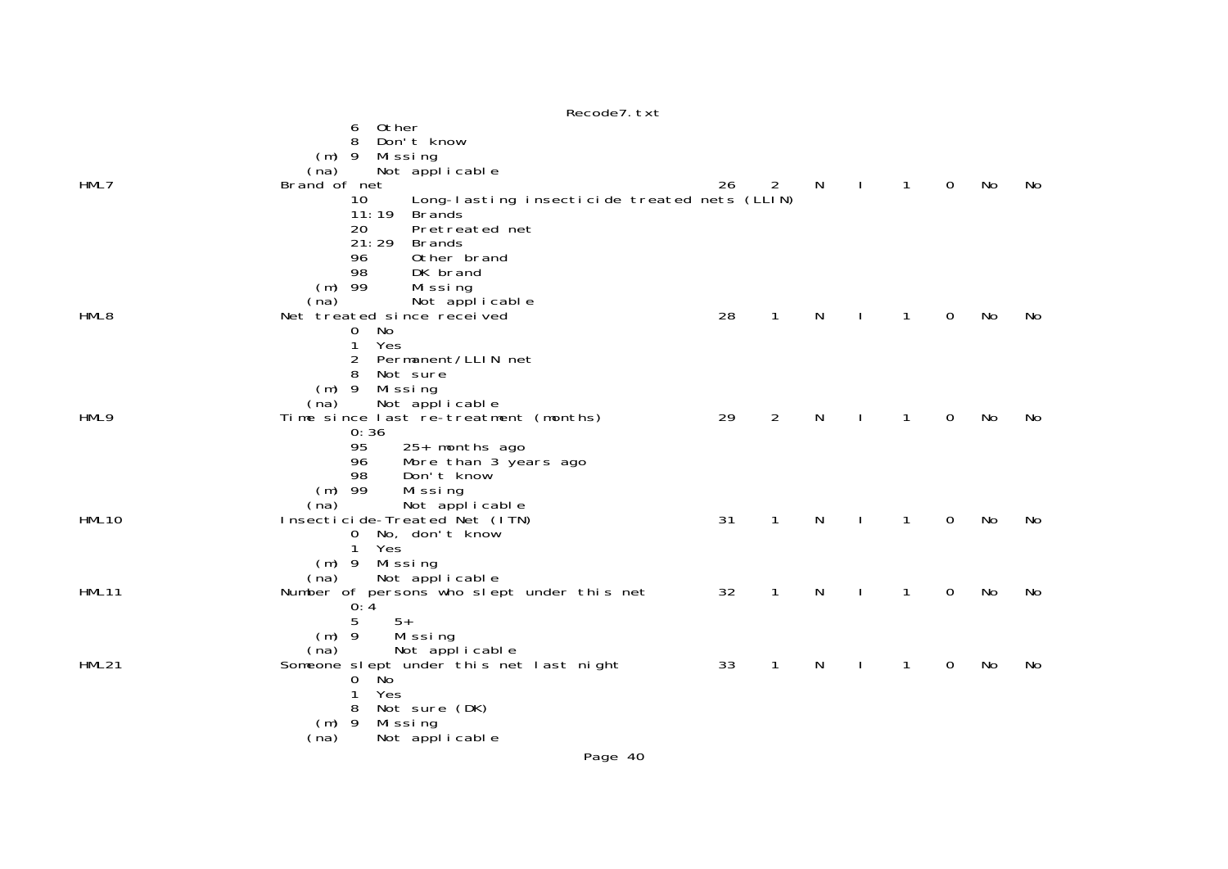| (na)                   |                                                                                                                                                                                                                                                                                                                                                                                                                                                                                                                                                                                                                                                                                                                                                                                                                                                                         |                            |                                                                        |                        |                |                                   |                                      |                      |
|------------------------|-------------------------------------------------------------------------------------------------------------------------------------------------------------------------------------------------------------------------------------------------------------------------------------------------------------------------------------------------------------------------------------------------------------------------------------------------------------------------------------------------------------------------------------------------------------------------------------------------------------------------------------------------------------------------------------------------------------------------------------------------------------------------------------------------------------------------------------------------------------------------|----------------------------|------------------------------------------------------------------------|------------------------|----------------|-----------------------------------|--------------------------------------|----------------------|
| Brand of net           | 26                                                                                                                                                                                                                                                                                                                                                                                                                                                                                                                                                                                                                                                                                                                                                                                                                                                                      | $\overline{2}$             |                                                                        | $\mathbf{I}$           | $\overline{1}$ | $\mathbf 0$                       | No                                   | No                   |
| 10                     |                                                                                                                                                                                                                                                                                                                                                                                                                                                                                                                                                                                                                                                                                                                                                                                                                                                                         |                            |                                                                        |                        |                |                                   |                                      |                      |
|                        |                                                                                                                                                                                                                                                                                                                                                                                                                                                                                                                                                                                                                                                                                                                                                                                                                                                                         |                            |                                                                        |                        |                |                                   |                                      |                      |
|                        |                                                                                                                                                                                                                                                                                                                                                                                                                                                                                                                                                                                                                                                                                                                                                                                                                                                                         |                            |                                                                        |                        |                |                                   |                                      |                      |
|                        |                                                                                                                                                                                                                                                                                                                                                                                                                                                                                                                                                                                                                                                                                                                                                                                                                                                                         |                            |                                                                        |                        |                |                                   |                                      |                      |
|                        |                                                                                                                                                                                                                                                                                                                                                                                                                                                                                                                                                                                                                                                                                                                                                                                                                                                                         |                            |                                                                        |                        |                |                                   |                                      |                      |
|                        |                                                                                                                                                                                                                                                                                                                                                                                                                                                                                                                                                                                                                                                                                                                                                                                                                                                                         |                            |                                                                        |                        |                |                                   |                                      |                      |
|                        |                                                                                                                                                                                                                                                                                                                                                                                                                                                                                                                                                                                                                                                                                                                                                                                                                                                                         |                            |                                                                        |                        |                |                                   |                                      |                      |
|                        |                                                                                                                                                                                                                                                                                                                                                                                                                                                                                                                                                                                                                                                                                                                                                                                                                                                                         |                            |                                                                        |                        |                |                                   |                                      | No                   |
|                        |                                                                                                                                                                                                                                                                                                                                                                                                                                                                                                                                                                                                                                                                                                                                                                                                                                                                         |                            |                                                                        |                        |                |                                   |                                      |                      |
|                        |                                                                                                                                                                                                                                                                                                                                                                                                                                                                                                                                                                                                                                                                                                                                                                                                                                                                         |                            |                                                                        |                        |                |                                   |                                      |                      |
|                        |                                                                                                                                                                                                                                                                                                                                                                                                                                                                                                                                                                                                                                                                                                                                                                                                                                                                         |                            |                                                                        |                        |                |                                   |                                      |                      |
| 8                      |                                                                                                                                                                                                                                                                                                                                                                                                                                                                                                                                                                                                                                                                                                                                                                                                                                                                         |                            |                                                                        |                        |                |                                   |                                      |                      |
| $(m)$ 9                |                                                                                                                                                                                                                                                                                                                                                                                                                                                                                                                                                                                                                                                                                                                                                                                                                                                                         |                            |                                                                        |                        |                |                                   |                                      |                      |
| (na)                   |                                                                                                                                                                                                                                                                                                                                                                                                                                                                                                                                                                                                                                                                                                                                                                                                                                                                         |                            |                                                                        |                        |                |                                   |                                      |                      |
|                        |                                                                                                                                                                                                                                                                                                                                                                                                                                                                                                                                                                                                                                                                                                                                                                                                                                                                         | 2                          | N                                                                      |                        | 1              | 0                                 | No                                   | No                   |
|                        |                                                                                                                                                                                                                                                                                                                                                                                                                                                                                                                                                                                                                                                                                                                                                                                                                                                                         |                            |                                                                        |                        |                |                                   |                                      |                      |
|                        |                                                                                                                                                                                                                                                                                                                                                                                                                                                                                                                                                                                                                                                                                                                                                                                                                                                                         |                            |                                                                        |                        |                |                                   |                                      |                      |
|                        |                                                                                                                                                                                                                                                                                                                                                                                                                                                                                                                                                                                                                                                                                                                                                                                                                                                                         |                            |                                                                        |                        |                |                                   |                                      |                      |
|                        |                                                                                                                                                                                                                                                                                                                                                                                                                                                                                                                                                                                                                                                                                                                                                                                                                                                                         |                            |                                                                        |                        |                |                                   |                                      |                      |
|                        |                                                                                                                                                                                                                                                                                                                                                                                                                                                                                                                                                                                                                                                                                                                                                                                                                                                                         |                            |                                                                        |                        |                |                                   |                                      |                      |
|                        |                                                                                                                                                                                                                                                                                                                                                                                                                                                                                                                                                                                                                                                                                                                                                                                                                                                                         |                            |                                                                        |                        |                |                                   |                                      | No                   |
|                        |                                                                                                                                                                                                                                                                                                                                                                                                                                                                                                                                                                                                                                                                                                                                                                                                                                                                         |                            |                                                                        |                        |                |                                   |                                      |                      |
| $\mathbf{1}$           |                                                                                                                                                                                                                                                                                                                                                                                                                                                                                                                                                                                                                                                                                                                                                                                                                                                                         |                            |                                                                        |                        |                |                                   |                                      |                      |
|                        |                                                                                                                                                                                                                                                                                                                                                                                                                                                                                                                                                                                                                                                                                                                                                                                                                                                                         |                            |                                                                        |                        |                |                                   |                                      |                      |
| Not applicable<br>(na) |                                                                                                                                                                                                                                                                                                                                                                                                                                                                                                                                                                                                                                                                                                                                                                                                                                                                         |                            |                                                                        |                        |                |                                   |                                      |                      |
|                        |                                                                                                                                                                                                                                                                                                                                                                                                                                                                                                                                                                                                                                                                                                                                                                                                                                                                         | 1                          |                                                                        |                        | $\mathbf{1}$   |                                   |                                      | No                   |
|                        |                                                                                                                                                                                                                                                                                                                                                                                                                                                                                                                                                                                                                                                                                                                                                                                                                                                                         |                            |                                                                        |                        |                |                                   |                                      |                      |
|                        |                                                                                                                                                                                                                                                                                                                                                                                                                                                                                                                                                                                                                                                                                                                                                                                                                                                                         |                            |                                                                        |                        |                |                                   |                                      |                      |
|                        |                                                                                                                                                                                                                                                                                                                                                                                                                                                                                                                                                                                                                                                                                                                                                                                                                                                                         |                            |                                                                        |                        |                |                                   |                                      |                      |
|                        |                                                                                                                                                                                                                                                                                                                                                                                                                                                                                                                                                                                                                                                                                                                                                                                                                                                                         |                            |                                                                        |                        |                |                                   |                                      | No.                  |
|                        |                                                                                                                                                                                                                                                                                                                                                                                                                                                                                                                                                                                                                                                                                                                                                                                                                                                                         |                            |                                                                        |                        |                |                                   |                                      |                      |
|                        |                                                                                                                                                                                                                                                                                                                                                                                                                                                                                                                                                                                                                                                                                                                                                                                                                                                                         |                            |                                                                        |                        |                |                                   |                                      |                      |
| 8                      |                                                                                                                                                                                                                                                                                                                                                                                                                                                                                                                                                                                                                                                                                                                                                                                                                                                                         |                            |                                                                        |                        |                |                                   |                                      |                      |
|                        |                                                                                                                                                                                                                                                                                                                                                                                                                                                                                                                                                                                                                                                                                                                                                                                                                                                                         |                            |                                                                        |                        |                |                                   |                                      |                      |
| Not applicable<br>(na) |                                                                                                                                                                                                                                                                                                                                                                                                                                                                                                                                                                                                                                                                                                                                                                                                                                                                         |                            |                                                                        |                        |                |                                   |                                      |                      |
|                        | Other<br>6<br>8<br>Don't know<br>$(m)$ 9<br>Mi ssi ng<br>Not applicable<br>11:19<br><b>Brands</b><br>20<br>Pretreated net<br>21:29<br><b>Brands</b><br>96<br>Other brand<br>98<br>DK brand<br>-99<br>Missing<br>(m)<br>(na)<br>Not applicable<br>Net treated since received<br>No<br>0<br>1<br>Yes<br>2<br>Permanent/LLIN net<br>Not sure<br>Missing<br>Not applicable<br>Time since last re-treatment (months)<br>0:36<br>95<br>25+ months ago<br>96<br>More than 3 years ago<br>Don't know<br>98<br>$(m)$ 99<br>Missing<br>(na)<br>Not applicable<br>Insecticide-Treated Net (ITN)<br>0 No, don't know<br>Yes<br>$(m)$ 9<br>Missing<br>Number of persons who slept under this net<br>0:4<br>5<br>$5+$<br>$(m)$ 9<br>Missing<br>Not applicable<br>(na)<br>Someone slept under this net last night<br>.<br>No<br>0<br>1<br>Yes<br>Not sure (DK)<br>$(m)$ 9<br>Mi ssi ng | 28<br>29<br>31<br>32<br>33 | Long-lasting insecticide treated nets (LLIN)<br>1<br>1<br>$\mathbf{1}$ | N,<br>N<br>N<br>N<br>N |                | 1<br>$\mathbf{1}$<br>$\mathbf{1}$ | $\mathbf 0$<br>0<br>$\mathbf 0$<br>0 | No<br>No<br>No<br>No |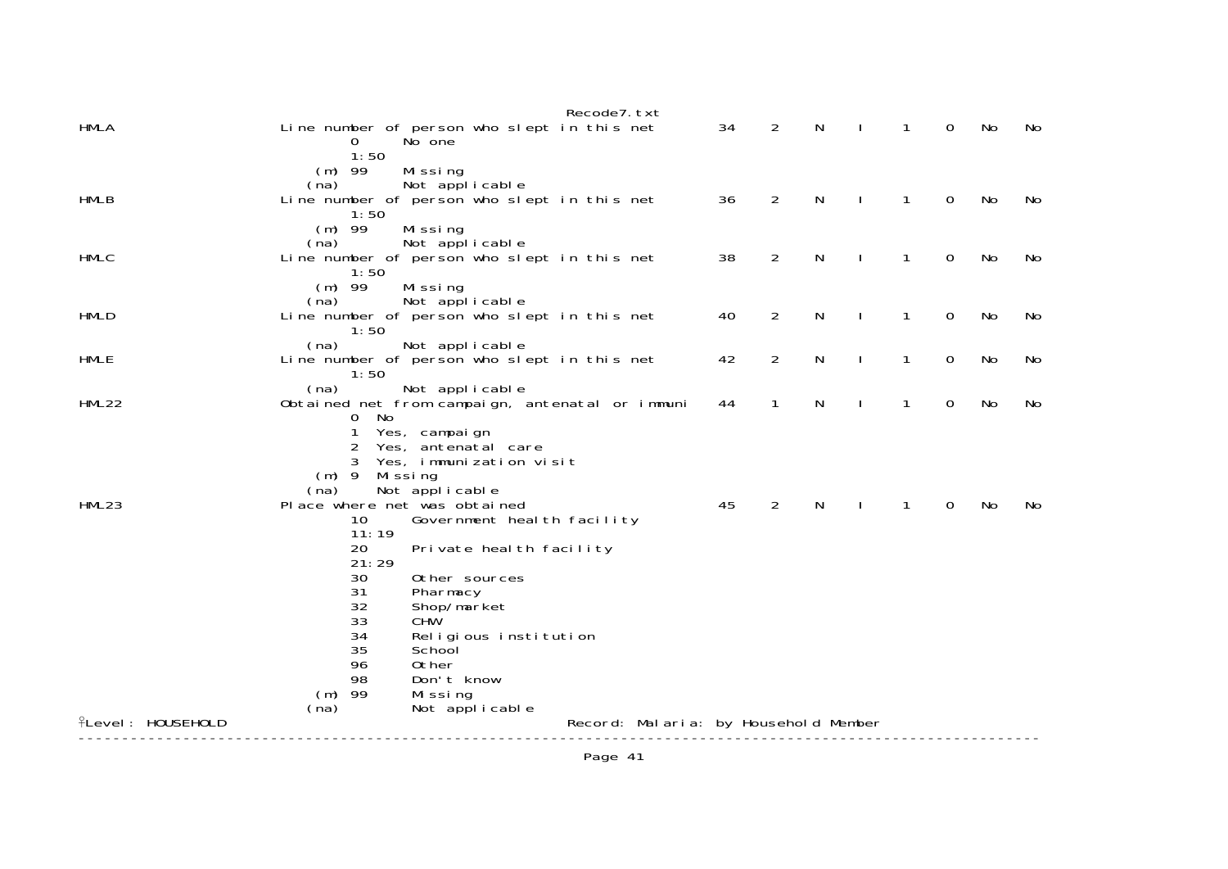| $\overline{2}$<br>Line number of person who slept in this net<br>34<br>N<br>0<br>No<br>1<br>No<br>No one<br>0<br>1:50<br>$(m)$ 99<br>Missing<br>(na)<br>Not applicable<br>36<br>$\overline{2}$<br>N<br>0<br>1<br>No<br>Line number of person who slept in this net<br>No<br>1:50<br>$(m)$ 99<br>Missing<br>Not applicable<br>(na)<br>Line number of person who slept in this net<br>38<br>2<br>N<br>0<br>1<br>No<br>No<br>1:50<br>$(m)$ 99<br>Missing<br>Not applicable<br>(na)<br>$\overline{2}$<br><b>HMLD</b><br>Line number of person who slept in this net<br>40<br>N<br>1<br>0<br>No<br><sup>1</sup><br>No<br>1:50<br>(na)<br>Not applicable<br><b>HMLE</b><br>Line number of person who slept in this net<br>$\overline{2}$<br>0<br>42<br>N<br>$\mathbf{1}$<br>No<br>$\mathbf{I}$<br>No<br>1:50<br>(na)<br>Not applicable<br>N<br>$\mathbf{1}$<br>0<br>Obtained net from campaign, antenatal or immuni<br>44<br>$\mathbf{1}$<br>No<br>J.<br>No<br>0 No<br>Yes, campaign<br>2<br>Yes, antenatal care<br>Yes, immunization visit<br>3<br>$(m)$ 9<br>Missing<br>(na)<br>Not applicable<br>45<br>$\overline{2}$<br>N<br>0<br>No<br>Place where net was obtained<br>1<br>No<br>Government heal th facility<br>10<br>11:19<br>20<br>Private heal th facility<br>21:29<br>30<br>Other sources<br>31<br>Pharmacy<br>32<br>Shop/market<br>CHW<br>33<br>34<br>Religious institution<br>35<br>School<br>96<br>0ther<br>98<br>Don't know<br>$(m)$ 99<br>Missing<br>(na)<br>Not applicable<br><b>ILevel: HOUSEHOLD</b><br>Record: Malaria: by Household Member |              | Recode7. txt |  |  |  |  |
|----------------------------------------------------------------------------------------------------------------------------------------------------------------------------------------------------------------------------------------------------------------------------------------------------------------------------------------------------------------------------------------------------------------------------------------------------------------------------------------------------------------------------------------------------------------------------------------------------------------------------------------------------------------------------------------------------------------------------------------------------------------------------------------------------------------------------------------------------------------------------------------------------------------------------------------------------------------------------------------------------------------------------------------------------------------------------------------------------------------------------------------------------------------------------------------------------------------------------------------------------------------------------------------------------------------------------------------------------------------------------------------------------------------------------------------------------------------------------------------------------------------------------------------------------------|--------------|--------------|--|--|--|--|
|                                                                                                                                                                                                                                                                                                                                                                                                                                                                                                                                                                                                                                                                                                                                                                                                                                                                                                                                                                                                                                                                                                                                                                                                                                                                                                                                                                                                                                                                                                                                                          | <b>HMLA</b>  |              |  |  |  |  |
|                                                                                                                                                                                                                                                                                                                                                                                                                                                                                                                                                                                                                                                                                                                                                                                                                                                                                                                                                                                                                                                                                                                                                                                                                                                                                                                                                                                                                                                                                                                                                          |              |              |  |  |  |  |
|                                                                                                                                                                                                                                                                                                                                                                                                                                                                                                                                                                                                                                                                                                                                                                                                                                                                                                                                                                                                                                                                                                                                                                                                                                                                                                                                                                                                                                                                                                                                                          |              |              |  |  |  |  |
|                                                                                                                                                                                                                                                                                                                                                                                                                                                                                                                                                                                                                                                                                                                                                                                                                                                                                                                                                                                                                                                                                                                                                                                                                                                                                                                                                                                                                                                                                                                                                          | <b>HMLB</b>  |              |  |  |  |  |
|                                                                                                                                                                                                                                                                                                                                                                                                                                                                                                                                                                                                                                                                                                                                                                                                                                                                                                                                                                                                                                                                                                                                                                                                                                                                                                                                                                                                                                                                                                                                                          |              |              |  |  |  |  |
|                                                                                                                                                                                                                                                                                                                                                                                                                                                                                                                                                                                                                                                                                                                                                                                                                                                                                                                                                                                                                                                                                                                                                                                                                                                                                                                                                                                                                                                                                                                                                          |              |              |  |  |  |  |
|                                                                                                                                                                                                                                                                                                                                                                                                                                                                                                                                                                                                                                                                                                                                                                                                                                                                                                                                                                                                                                                                                                                                                                                                                                                                                                                                                                                                                                                                                                                                                          | <b>HMLC</b>  |              |  |  |  |  |
|                                                                                                                                                                                                                                                                                                                                                                                                                                                                                                                                                                                                                                                                                                                                                                                                                                                                                                                                                                                                                                                                                                                                                                                                                                                                                                                                                                                                                                                                                                                                                          |              |              |  |  |  |  |
|                                                                                                                                                                                                                                                                                                                                                                                                                                                                                                                                                                                                                                                                                                                                                                                                                                                                                                                                                                                                                                                                                                                                                                                                                                                                                                                                                                                                                                                                                                                                                          |              |              |  |  |  |  |
|                                                                                                                                                                                                                                                                                                                                                                                                                                                                                                                                                                                                                                                                                                                                                                                                                                                                                                                                                                                                                                                                                                                                                                                                                                                                                                                                                                                                                                                                                                                                                          |              |              |  |  |  |  |
|                                                                                                                                                                                                                                                                                                                                                                                                                                                                                                                                                                                                                                                                                                                                                                                                                                                                                                                                                                                                                                                                                                                                                                                                                                                                                                                                                                                                                                                                                                                                                          |              |              |  |  |  |  |
|                                                                                                                                                                                                                                                                                                                                                                                                                                                                                                                                                                                                                                                                                                                                                                                                                                                                                                                                                                                                                                                                                                                                                                                                                                                                                                                                                                                                                                                                                                                                                          |              |              |  |  |  |  |
|                                                                                                                                                                                                                                                                                                                                                                                                                                                                                                                                                                                                                                                                                                                                                                                                                                                                                                                                                                                                                                                                                                                                                                                                                                                                                                                                                                                                                                                                                                                                                          |              |              |  |  |  |  |
|                                                                                                                                                                                                                                                                                                                                                                                                                                                                                                                                                                                                                                                                                                                                                                                                                                                                                                                                                                                                                                                                                                                                                                                                                                                                                                                                                                                                                                                                                                                                                          | <b>HML22</b> |              |  |  |  |  |
|                                                                                                                                                                                                                                                                                                                                                                                                                                                                                                                                                                                                                                                                                                                                                                                                                                                                                                                                                                                                                                                                                                                                                                                                                                                                                                                                                                                                                                                                                                                                                          |              |              |  |  |  |  |
|                                                                                                                                                                                                                                                                                                                                                                                                                                                                                                                                                                                                                                                                                                                                                                                                                                                                                                                                                                                                                                                                                                                                                                                                                                                                                                                                                                                                                                                                                                                                                          |              |              |  |  |  |  |
|                                                                                                                                                                                                                                                                                                                                                                                                                                                                                                                                                                                                                                                                                                                                                                                                                                                                                                                                                                                                                                                                                                                                                                                                                                                                                                                                                                                                                                                                                                                                                          |              |              |  |  |  |  |
|                                                                                                                                                                                                                                                                                                                                                                                                                                                                                                                                                                                                                                                                                                                                                                                                                                                                                                                                                                                                                                                                                                                                                                                                                                                                                                                                                                                                                                                                                                                                                          |              |              |  |  |  |  |
|                                                                                                                                                                                                                                                                                                                                                                                                                                                                                                                                                                                                                                                                                                                                                                                                                                                                                                                                                                                                                                                                                                                                                                                                                                                                                                                                                                                                                                                                                                                                                          | HML23        |              |  |  |  |  |
|                                                                                                                                                                                                                                                                                                                                                                                                                                                                                                                                                                                                                                                                                                                                                                                                                                                                                                                                                                                                                                                                                                                                                                                                                                                                                                                                                                                                                                                                                                                                                          |              |              |  |  |  |  |
|                                                                                                                                                                                                                                                                                                                                                                                                                                                                                                                                                                                                                                                                                                                                                                                                                                                                                                                                                                                                                                                                                                                                                                                                                                                                                                                                                                                                                                                                                                                                                          |              |              |  |  |  |  |
|                                                                                                                                                                                                                                                                                                                                                                                                                                                                                                                                                                                                                                                                                                                                                                                                                                                                                                                                                                                                                                                                                                                                                                                                                                                                                                                                                                                                                                                                                                                                                          |              |              |  |  |  |  |
|                                                                                                                                                                                                                                                                                                                                                                                                                                                                                                                                                                                                                                                                                                                                                                                                                                                                                                                                                                                                                                                                                                                                                                                                                                                                                                                                                                                                                                                                                                                                                          |              |              |  |  |  |  |
|                                                                                                                                                                                                                                                                                                                                                                                                                                                                                                                                                                                                                                                                                                                                                                                                                                                                                                                                                                                                                                                                                                                                                                                                                                                                                                                                                                                                                                                                                                                                                          |              |              |  |  |  |  |
|                                                                                                                                                                                                                                                                                                                                                                                                                                                                                                                                                                                                                                                                                                                                                                                                                                                                                                                                                                                                                                                                                                                                                                                                                                                                                                                                                                                                                                                                                                                                                          |              |              |  |  |  |  |
|                                                                                                                                                                                                                                                                                                                                                                                                                                                                                                                                                                                                                                                                                                                                                                                                                                                                                                                                                                                                                                                                                                                                                                                                                                                                                                                                                                                                                                                                                                                                                          |              |              |  |  |  |  |
|                                                                                                                                                                                                                                                                                                                                                                                                                                                                                                                                                                                                                                                                                                                                                                                                                                                                                                                                                                                                                                                                                                                                                                                                                                                                                                                                                                                                                                                                                                                                                          |              |              |  |  |  |  |
|                                                                                                                                                                                                                                                                                                                                                                                                                                                                                                                                                                                                                                                                                                                                                                                                                                                                                                                                                                                                                                                                                                                                                                                                                                                                                                                                                                                                                                                                                                                                                          |              |              |  |  |  |  |
|                                                                                                                                                                                                                                                                                                                                                                                                                                                                                                                                                                                                                                                                                                                                                                                                                                                                                                                                                                                                                                                                                                                                                                                                                                                                                                                                                                                                                                                                                                                                                          |              |              |  |  |  |  |
|                                                                                                                                                                                                                                                                                                                                                                                                                                                                                                                                                                                                                                                                                                                                                                                                                                                                                                                                                                                                                                                                                                                                                                                                                                                                                                                                                                                                                                                                                                                                                          |              |              |  |  |  |  |
|                                                                                                                                                                                                                                                                                                                                                                                                                                                                                                                                                                                                                                                                                                                                                                                                                                                                                                                                                                                                                                                                                                                                                                                                                                                                                                                                                                                                                                                                                                                                                          |              |              |  |  |  |  |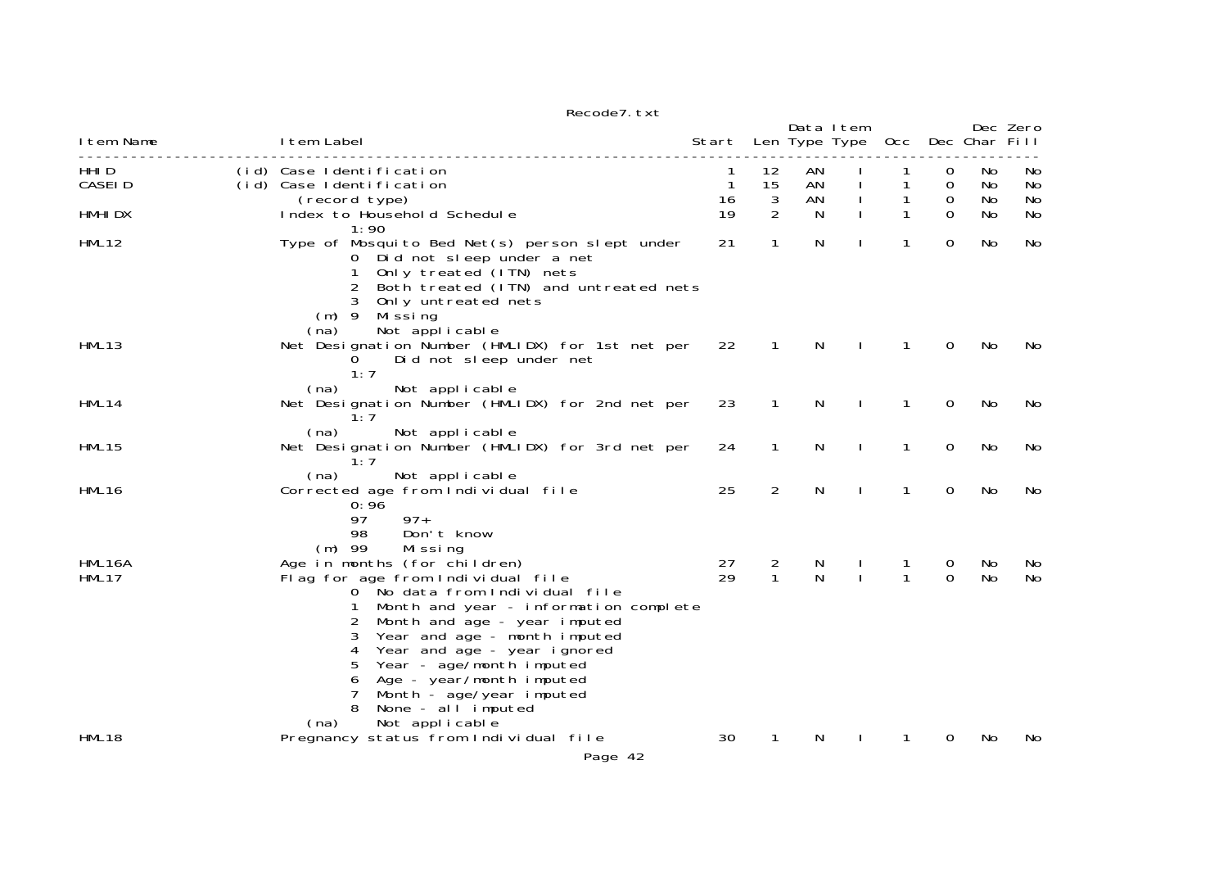|                  |                                                                                                                                                                                                                                                                                                                                                                                                                                                 | Recode7. txt |                        |                   |                            |                   |                    |                |                |
|------------------|-------------------------------------------------------------------------------------------------------------------------------------------------------------------------------------------------------------------------------------------------------------------------------------------------------------------------------------------------------------------------------------------------------------------------------------------------|--------------|------------------------|-------------------|----------------------------|-------------------|--------------------|----------------|----------------|
| I tem Name       | I tem Label                                                                                                                                                                                                                                                                                                                                                                                                                                     |              | Start                  |                   | Data Item<br>Len Type Type | Occ Dec Char Fill |                    |                | Dec Zero       |
| HHI D<br>CASEI D | (id) Case Identification<br>(id) Case Identification<br>(record type)                                                                                                                                                                                                                                                                                                                                                                           |              | 1<br>$\mathbf 1$<br>16 | 12<br>15<br>3     | AN<br>AN<br>AN             | 1                 | 0<br>$\Omega$<br>0 | No<br>No<br>No | No<br>No<br>No |
| HMHI DX          | Index to Household Schedule<br>1:90                                                                                                                                                                                                                                                                                                                                                                                                             |              | 19                     | $\overline{2}$    | N                          |                   | $\Omega$           | No             | No             |
| HML12            | Type of Mosquito Bed Net(s) person slept under<br>0 Did not sleep under a net<br>$\mathbf{1}$<br>Only treated (ITN) nets<br>Both treated (ITN) and untreated nets<br>Only untreated nets<br>3<br>$(m)$ 9 Missing                                                                                                                                                                                                                                |              | 21                     | 1                 | N                          | 1                 | 0                  | No             | No             |
| HML13            | Not applicable<br>(na)<br>Net Designation Number (HMLIDX) for 1st net per<br>Did not sleep under net<br>0<br>1:7                                                                                                                                                                                                                                                                                                                                |              | 22                     | $\mathbf{1}$      | N                          | 1                 | $\mathbf 0$        | No             | No             |
| HML14            | (na)<br>Not applicable<br>Net Designation Number (HMLIDX) for 2nd net per<br>1:7                                                                                                                                                                                                                                                                                                                                                                |              | 23                     | 1                 | N                          | 1                 | 0                  | No.            | No             |
| HML15            | (na)<br>Not applicable<br>Net Designation Number (HMLIDX) for 3rd net per<br>1:7                                                                                                                                                                                                                                                                                                                                                                |              | 24                     | $\mathbf{1}$      | N                          | 1                 | 0                  | No             | No             |
| HML16            | (na)<br>Not applicable<br>Corrected age from Individual file<br>0:96<br>$97+$<br>97<br>Don't know<br>98                                                                                                                                                                                                                                                                                                                                         |              | 25                     | $\overline{2}$    | N                          | 1                 | 0                  | No             | No             |
| HML16A<br>HML17  | $(m)$ 99<br>Missing<br>Age in months (for children)<br>Flag for age from Individual file<br>0 No data from Individual file<br>Month and year - information complete<br>1<br>2<br>Month and age - year imputed<br>Year and age - month imputed<br>3<br>Year and age - year ignored<br>4<br>Year - age/month imputed<br>5<br>Age - year/month imputed<br>6<br>7<br>Month - age/year imputed<br>None - al l imputed<br>8<br>Not applicable<br>(na) |              | 27<br>29               | 2<br>$\mathbf{1}$ | N<br>N                     | 1<br>$\mathbf{1}$ | 0<br>$\Omega$      | No<br>No       | No<br>No       |
| HML18            | Pregnancy status from Individual file                                                                                                                                                                                                                                                                                                                                                                                                           | Page 42      | 30                     | 1                 | N                          |                   | 0                  | No             | No             |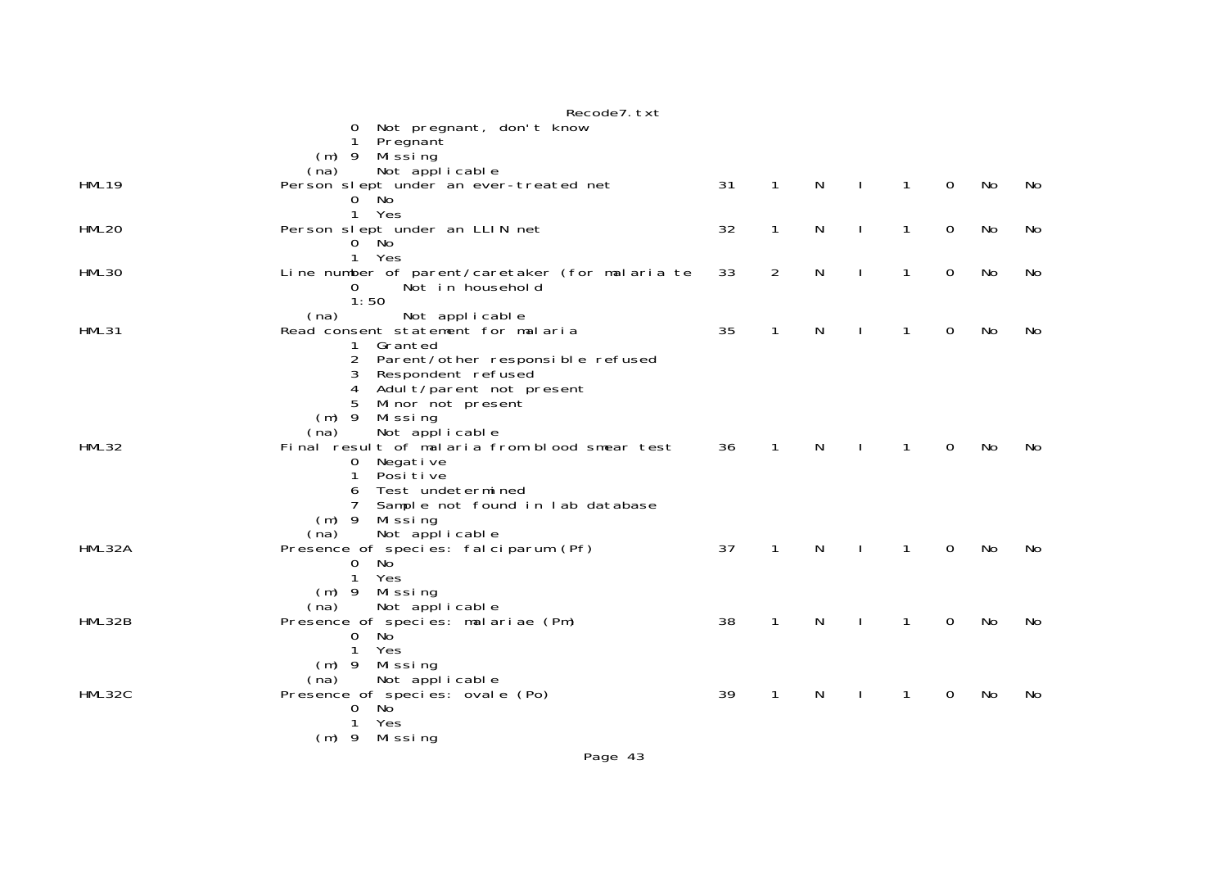|              | Recode7. txt                                                            |    |              |              |              |              |   |    |    |
|--------------|-------------------------------------------------------------------------|----|--------------|--------------|--------------|--------------|---|----|----|
|              | Not pregnant, don't know<br>0                                           |    |              |              |              |              |   |    |    |
|              | Pregnant<br>1                                                           |    |              |              |              |              |   |    |    |
|              | $(m)$ 9<br>Mi ssi ng<br>Not applicable<br>(na)                          |    |              |              |              |              |   |    |    |
| <b>HML19</b> | Person slept under an ever-treated net                                  | 31 | 1            | $\mathsf{N}$ | $\mathbf{I}$ | $\mathbf{1}$ | 0 | No | No |
|              | 0 No                                                                    |    |              |              |              |              |   |    |    |
|              | Yes<br>$\mathbf{1}$                                                     |    |              |              |              |              |   |    |    |
| <b>HML20</b> | Person slept under an LLIN net                                          | 32 | 1            | $\mathsf{N}$ | $\mathbf{I}$ | $\mathbf{1}$ | 0 | No | No |
|              | 0 No                                                                    |    |              |              |              |              |   |    |    |
|              | 1<br>Yes                                                                |    |              |              |              |              |   |    |    |
| HML30        | Line number of parent/caretaker (for malaria te                         | 33 | 2            | $\mathsf{N}$ | $\mathbf{I}$ | $\mathbf{1}$ | 0 | No | No |
|              | Not in household<br>0                                                   |    |              |              |              |              |   |    |    |
|              | 1:50<br>(na)<br>Not applicable                                          |    |              |              |              |              |   |    |    |
| HML31        | Read consent statement for malaria                                      | 35 | 1            | N            |              | 1            | 0 | No | No |
|              | 1 Granted                                                               |    |              |              |              |              |   |    |    |
|              | 2<br>Parent/other responsible refused                                   |    |              |              |              |              |   |    |    |
|              | 3<br>Respondent refused                                                 |    |              |              |              |              |   |    |    |
|              | 4<br>Adul t/parent not present                                          |    |              |              |              |              |   |    |    |
|              | 5<br>Minor not present                                                  |    |              |              |              |              |   |    |    |
|              | $(m)$ 9<br>Missing                                                      |    |              |              |              |              |   |    |    |
| HML32        | Not applicable<br>(na)<br>Final result of malaria from blood smear test | 36 | $\mathbf{1}$ | N            | $\perp$      | $\mathbf{1}$ | 0 | No | No |
|              | 0<br>Negative                                                           |    |              |              |              |              |   |    |    |
|              | Posi ti ve<br>1                                                         |    |              |              |              |              |   |    |    |
|              | Test undetermined<br>6                                                  |    |              |              |              |              |   |    |    |
|              | $\overline{7}$<br>Sample not found in lab database                      |    |              |              |              |              |   |    |    |
|              | $(m)$ 9 Missing                                                         |    |              |              |              |              |   |    |    |
|              | Not applicable<br>(na)                                                  |    |              |              |              |              |   |    |    |
| HML32A       | Presence of species: falciparum (Pf)<br>$\overline{0}$<br>No            | 37 | 1            | N            | $\mathbf{I}$ | $\mathbf{1}$ | 0 | No | No |
|              | $\mathbf{1}$<br>Yes                                                     |    |              |              |              |              |   |    |    |
|              | (m) 9 Missing                                                           |    |              |              |              |              |   |    |    |
|              | Not applicable<br>(na)                                                  |    |              |              |              |              |   |    |    |
| HML32B       | Presence of species: malariae (Pm)                                      | 38 | 1            | N            | $\mathbf{I}$ | $\mathbf{1}$ | 0 | No | No |
|              | 0 No                                                                    |    |              |              |              |              |   |    |    |
|              | $\mathbf{1}$<br>Yes                                                     |    |              |              |              |              |   |    |    |
|              | $(m)$ 9<br>Missing<br>Not applicable<br>(na)                            |    |              |              |              |              |   |    |    |
| HML32C       | Presence of species: ovale (Po)                                         | 39 | 1            | N            |              | 1            | 0 | No | No |
|              | No<br>0                                                                 |    |              |              |              |              |   |    |    |
|              | Yes<br>1                                                                |    |              |              |              |              |   |    |    |
|              | (m) 9 Missing                                                           |    |              |              |              |              |   |    |    |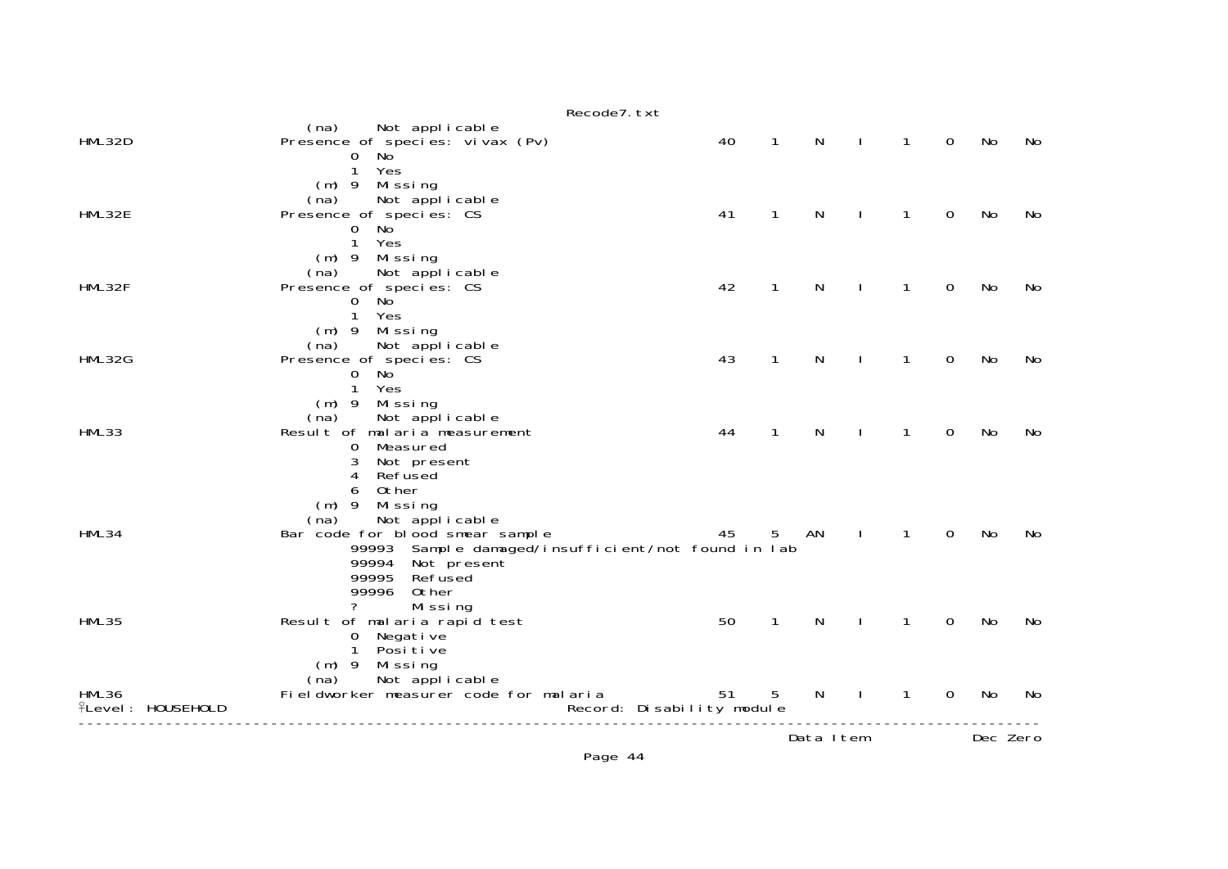|                                   | Recode7. txt                                                                                                                                                                                                           |                                 |                 |              |                |                |                |          |     |
|-----------------------------------|------------------------------------------------------------------------------------------------------------------------------------------------------------------------------------------------------------------------|---------------------------------|-----------------|--------------|----------------|----------------|----------------|----------|-----|
| HML32D                            | (na)<br>Not applicable<br>Presence of species: vivax (Pv)<br>0 No                                                                                                                                                      | 40                              | $\mathbf{1}$    | N            | $\perp$        | $\mathbf{1}$   | $\overline{0}$ | No       | No  |
| HML32E                            | 1 Yes<br>(m) 9 Missing<br>Not applicable<br>(na)<br>Presence of species: CS<br>$\overline{0}$<br>No<br>1 Yes                                                                                                           | 41                              | $\mathbf{1}$    | N            | $\blacksquare$ | $\mathbf{1}$   | $\Omega$       | No       | No. |
| HML32F                            | $(m)$ 9 Missing<br>Not applicable<br>(na)<br>Presence of species: CS<br>$\mathbf{0}$<br>No<br>1 Yes                                                                                                                    | 42                              | $\mathbf{1}$    | N            |                | $\mathbf{1}$   | $\mathbf 0$    | No       | No  |
| HML32G                            | $(m)$ 9 Missing<br>Not applicable<br>(na)<br>Presence of species: CS<br>$0$ No<br>1 Yes                                                                                                                                | 43                              | $\mathbf{1}$    | N            | $\blacksquare$ | $\mathbf{1}$   | $\overline{0}$ | No       | No  |
| HML33                             | (m) 9 Missing<br>(na)<br>Not applicable<br>Result of malaria measurement<br>Measured<br>$\mathbf{0}$<br>3<br>Not present                                                                                               | 44                              | $\mathbf{1}$    | N            | $\mathbf{I}$   | $\mathbf{1}$   | $\mathbf 0$    | No       | No  |
| HML34                             | 4 Refused<br>Other<br>6<br>(m) 9 Missing<br>Not applicable<br>(na)<br>Bar code for blood smear sample<br>99993 Sample damaged/insufficient/not found in lab<br>99994 Not present<br>99995<br>Refused<br>99996<br>Other | 45                              | 5               | AN           | $\mathbf{I}$   | $\overline{1}$ | $\Omega$       | No       | No  |
| <b>HML35</b>                      | ?<br>Missing<br>Result of malaria rapid test<br>Negati ve<br>$\mathbf 0$<br>1 Positive                                                                                                                                 | 50                              | $\mathbf{1}$    | N            | $\mathbf{I}$   | $\mathbf{1}$   | $\overline{0}$ | No       | No  |
| HML36<br><b>flevel: HOUSEHOLD</b> | $(m)$ 9 Missing<br>Not applicable<br>(na)<br>Fieldworker measurer code for malaria                                                                                                                                     | 51<br>Record: Disability module | $5\phantom{.0}$ | $\mathsf{N}$ | $\sim$ 1.      | $\overline{1}$ | $\overline{0}$ | No       | No  |
|                                   |                                                                                                                                                                                                                        |                                 |                 | Data Item    |                |                |                | Dec Zero |     |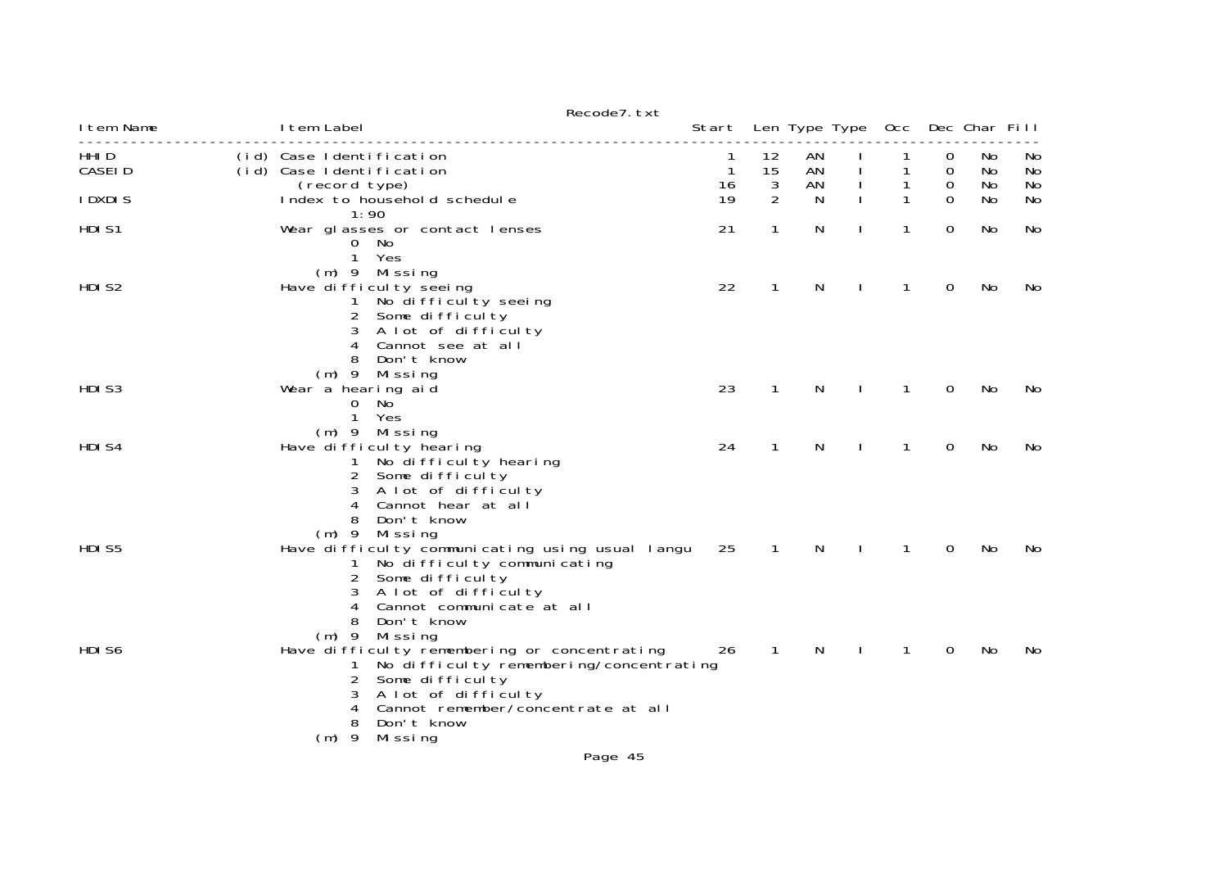|                  |                                                                                                                                                                                                                                                         | Recode7. txt |                         |                          |                |              |        |                                       |                |                |
|------------------|---------------------------------------------------------------------------------------------------------------------------------------------------------------------------------------------------------------------------------------------------------|--------------|-------------------------|--------------------------|----------------|--------------|--------|---------------------------------------|----------------|----------------|
| I tem Name       | I tem Label                                                                                                                                                                                                                                             |              |                         |                          |                |              |        | Start Len Type Type Occ Dec Char Fill |                |                |
| HHI D<br>CASEI D | (id) Case Identification<br>(id) Case Identification<br>(record type)                                                                                                                                                                                   |              | 1<br>$\mathbf{1}$<br>16 | 12<br>15<br>$\mathbf{3}$ | AN<br>AN<br>AN |              | 1<br>1 | 0<br>0<br>0                           | No<br>No<br>No | No<br>No<br>No |
| <b>IDXDIS</b>    | Index to household schedule<br>1:90                                                                                                                                                                                                                     |              | 19                      | 2                        | N              |              | 1      | $\Omega$                              | No             | No             |
| HDI S1           | Wear glasses or contact lenses<br>0 No<br>$\mathbf{1}$<br>Yes<br>$(m)$ 9 Missing                                                                                                                                                                        |              | 21                      | $\mathbf{1}$             | N              |              | 1      | $\Omega$                              | No             | No             |
| HDI S2           | Have difficulty seeing<br>No difficulty seeing<br>$\mathbf{1}$<br>2 Some difficulty<br>A lot of difficulty<br>3<br>4<br>Cannot see at all<br>8<br>Don't know<br>$(m)$ 9 Missing                                                                         |              | 22                      | 1                        | N              |              | 1      | 0                                     | No             | No             |
| HDI S3           | Wear a hearing aid<br>$\overline{0}$<br>No<br>$\mathbf{1}$<br>Yes                                                                                                                                                                                       |              | 23                      | $\mathbf{1}$             | N              |              | 1      | $\Omega$                              | No             | No             |
| HDI S4           | $(m)$ 9 Missing<br>Have difficulty hearing<br>No difficulty hearing<br>$\mathbf{1}$<br>$\overline{2}$<br>Some difficulty<br>A lot of difficulty<br>3<br>4<br>Cannot hear at all<br>8<br>Don't know                                                      |              | 24                      | $\mathbf{1}$             | N              |              | 1      | 0                                     | No             | No             |
| HDI S5           | $(m)$ 9<br>Mi ssi ng<br>Have difficulty communicating using usual langu<br>No difficulty communicating<br>1<br>$\overline{2}$<br>Some difficulty<br>A lot of difficulty<br>3<br>Cannot communicate at all<br>4<br>8<br>Don't know<br>Missing<br>$(m)$ 9 |              | 25                      | $\mathbf{1}$             | N              |              | 1      | $\mathbf 0$                           | No             | No             |
| HDI S6           | Have difficulty remembering or concentrating<br>No difficulty remembering/concentrating<br>1<br>2<br>Some difficulty<br>A lot of difficulty<br>3<br>Cannot remember/concentrate at all<br>4<br>8<br>Don't know<br>- 9<br>Mi ssi ng<br>(m)               |              | 26                      | $\overline{1}$           | N              | $\mathbf{I}$ | 1      | $\mathbf 0$                           | No             | No.            |
|                  |                                                                                                                                                                                                                                                         | Page 45      |                         |                          |                |              |        |                                       |                |                |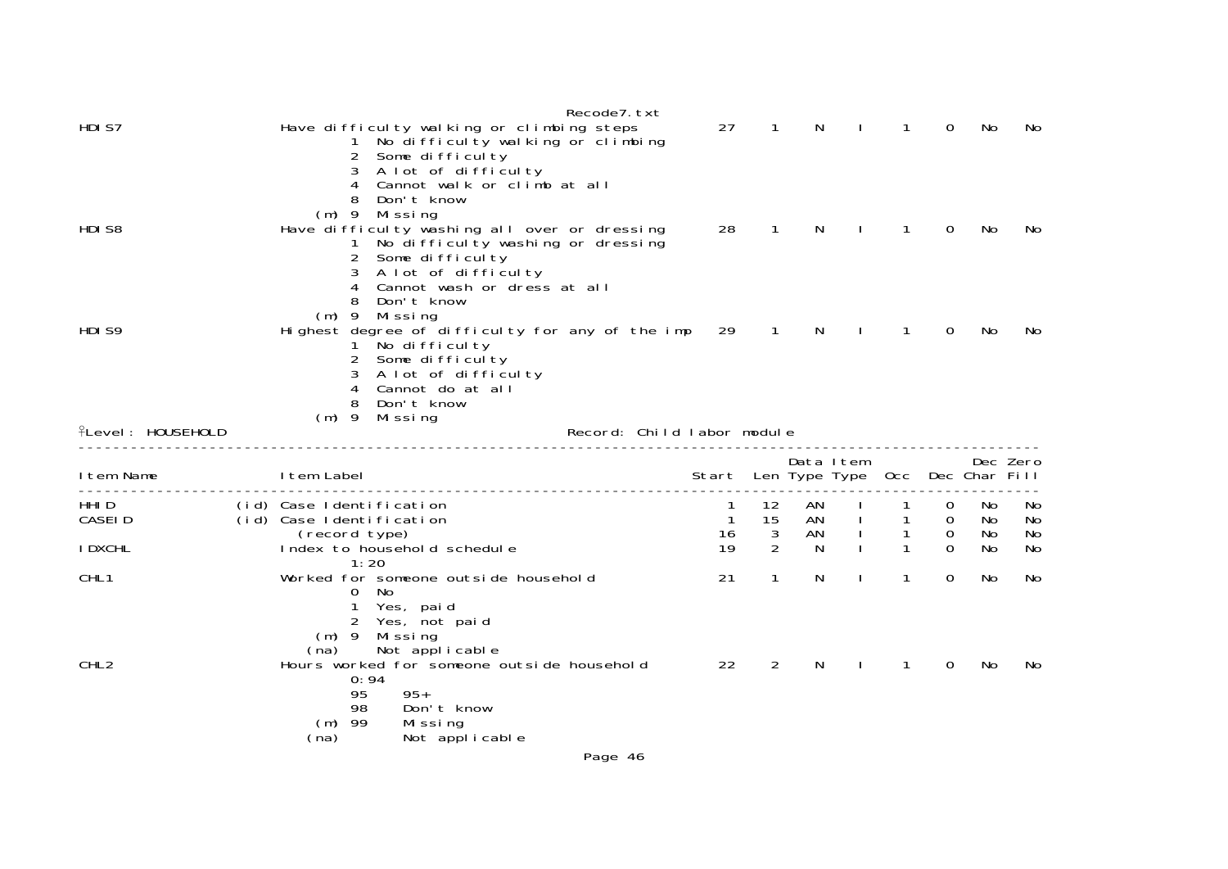| 27<br>HDI S7<br>Have difficulty walking or climbing steps<br>$\mathbf 1$<br>No difficulty walking or climbing<br>$\overline{2}$<br>Some difficulty<br>A lot of difficulty<br>3<br>Cannot walk or climb at all<br>4<br>Don't know<br>$(m)$ 9<br>Mi ssi ng<br>28<br>HDI S8<br>Have difficulty washing all over or dressing<br>$\mathbf{1}$<br>No difficulty washing or dressing<br>1<br>$\overline{2}$<br>Some difficulty<br>A lot of difficulty<br>3<br>Cannot wash or dress at all<br>4<br>Don't know<br>$(m)$ 9<br>Mi ssi ng<br>HDI S9<br>Highest degree of difficulty for any of the imp<br>29<br>$\sqrt{1}$<br>1 No difficulty<br>2<br>Some difficulty<br>A lot of difficulty<br>3<br>Cannot do at all<br>4<br>8<br>Don't know<br>$(m)$ 9<br>Mi ssi ng<br><b>ILevel: HOUSEHOLD</b><br>Record: Child labor module<br>I tem Name<br>I tem Label<br>Start<br>HHI D<br>(id) Case Identification<br>12<br>1<br><b>CASEID</b><br>15<br>(id) Case Identification<br>$\mathbf{1}$<br>3<br>(record type)<br>AN<br>16<br>$\mathcal{P}$<br><b>I DXCHL</b><br>19<br>Index to household schedule<br>1:20<br>CHL <sub>1</sub><br>1<br>Worked for someone outside household<br>21<br>No<br>0<br>Yes, paid<br>2<br>Yes, not paid<br>$(m)$ 9<br>Mi ssi ng<br>Not applicable<br>(na)<br>CHL <sub>2</sub><br>2<br>Hours worked for someone outside household<br>22<br>0:94<br>95<br>$95+$<br>98<br>Don't know<br>$(m)$ 99<br>Missing |                                |  |              |                   |               |                |                 |
|----------------------------------------------------------------------------------------------------------------------------------------------------------------------------------------------------------------------------------------------------------------------------------------------------------------------------------------------------------------------------------------------------------------------------------------------------------------------------------------------------------------------------------------------------------------------------------------------------------------------------------------------------------------------------------------------------------------------------------------------------------------------------------------------------------------------------------------------------------------------------------------------------------------------------------------------------------------------------------------------------------------------------------------------------------------------------------------------------------------------------------------------------------------------------------------------------------------------------------------------------------------------------------------------------------------------------------------------------------------------------------------------------------------------|--------------------------------|--|--------------|-------------------|---------------|----------------|-----------------|
|                                                                                                                                                                                                                                                                                                                                                                                                                                                                                                                                                                                                                                                                                                                                                                                                                                                                                                                                                                                                                                                                                                                                                                                                                                                                                                                                                                                                                      | N                              |  |              | 1                 | 0             | No             | No              |
|                                                                                                                                                                                                                                                                                                                                                                                                                                                                                                                                                                                                                                                                                                                                                                                                                                                                                                                                                                                                                                                                                                                                                                                                                                                                                                                                                                                                                      | N                              |  | $\mathbf{I}$ | $\mathbf{1}$      | 0             | No             | No              |
|                                                                                                                                                                                                                                                                                                                                                                                                                                                                                                                                                                                                                                                                                                                                                                                                                                                                                                                                                                                                                                                                                                                                                                                                                                                                                                                                                                                                                      |                                |  |              |                   |               |                |                 |
|                                                                                                                                                                                                                                                                                                                                                                                                                                                                                                                                                                                                                                                                                                                                                                                                                                                                                                                                                                                                                                                                                                                                                                                                                                                                                                                                                                                                                      | N                              |  |              | 1                 | 0             | No             | No              |
|                                                                                                                                                                                                                                                                                                                                                                                                                                                                                                                                                                                                                                                                                                                                                                                                                                                                                                                                                                                                                                                                                                                                                                                                                                                                                                                                                                                                                      |                                |  |              |                   |               |                |                 |
|                                                                                                                                                                                                                                                                                                                                                                                                                                                                                                                                                                                                                                                                                                                                                                                                                                                                                                                                                                                                                                                                                                                                                                                                                                                                                                                                                                                                                      | Data Item<br>Len Type Type Occ |  |              |                   | Dec Char Fill |                | Dec Zero        |
|                                                                                                                                                                                                                                                                                                                                                                                                                                                                                                                                                                                                                                                                                                                                                                                                                                                                                                                                                                                                                                                                                                                                                                                                                                                                                                                                                                                                                      | AN<br>AN                       |  |              | $\mathbf{1}$<br>1 | 0<br>0<br>0   | No<br>No<br>No | No.<br>No<br>No |
|                                                                                                                                                                                                                                                                                                                                                                                                                                                                                                                                                                                                                                                                                                                                                                                                                                                                                                                                                                                                                                                                                                                                                                                                                                                                                                                                                                                                                      | N                              |  |              | $\mathbf{1}$      | $\Omega$      | No             | No              |
|                                                                                                                                                                                                                                                                                                                                                                                                                                                                                                                                                                                                                                                                                                                                                                                                                                                                                                                                                                                                                                                                                                                                                                                                                                                                                                                                                                                                                      | N                              |  |              | 1                 | $\Omega$      | No             | No              |
| (na)<br>Not applicable                                                                                                                                                                                                                                                                                                                                                                                                                                                                                                                                                                                                                                                                                                                                                                                                                                                                                                                                                                                                                                                                                                                                                                                                                                                                                                                                                                                               | N                              |  |              | 1                 | 0             | No             | No              |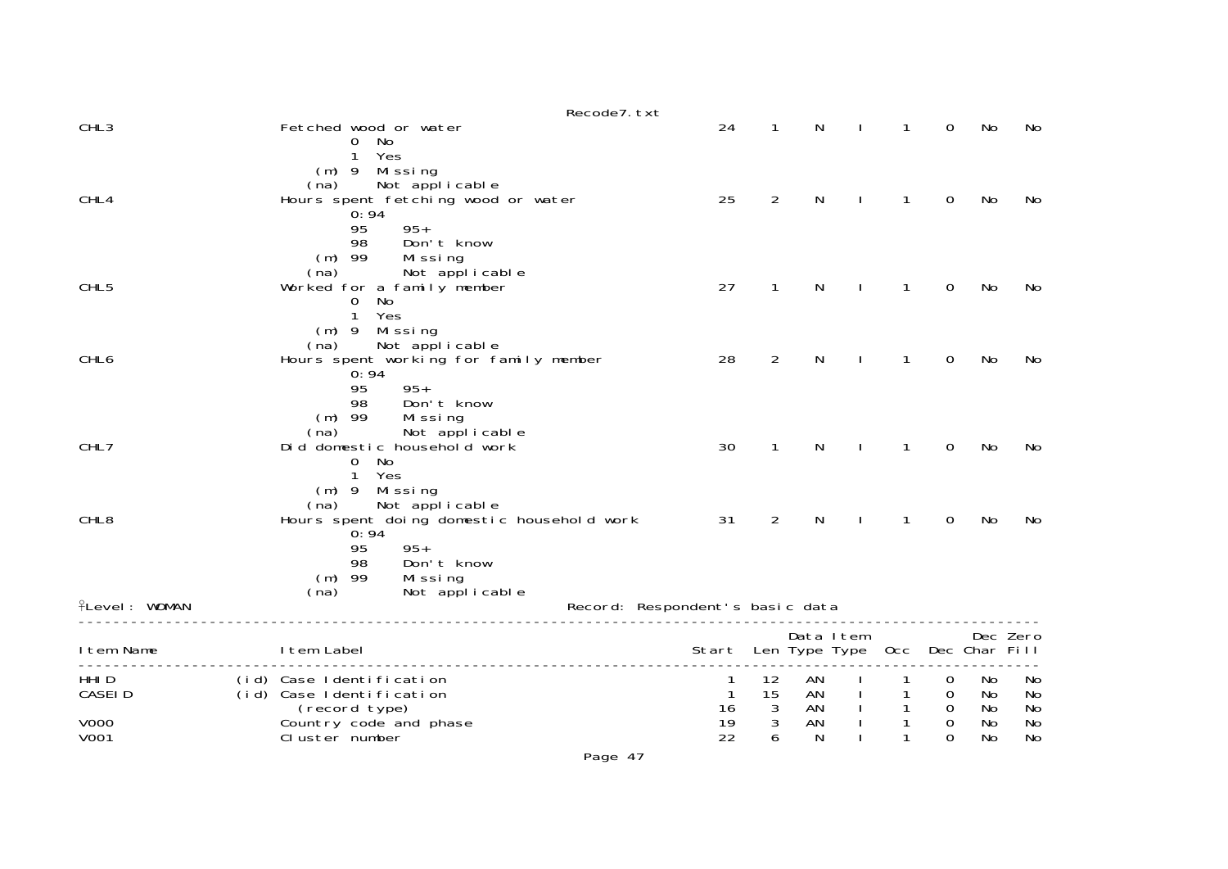|                      | Recode7. txt                                      |                                 |                   |               |              |             |               |          |
|----------------------|---------------------------------------------------|---------------------------------|-------------------|---------------|--------------|-------------|---------------|----------|
| CHL <sub>3</sub>     | Fetched wood or water                             | 24                              | 1                 | N             | 1            | $\mathbf 0$ | No            | No       |
|                      | No<br>O<br>Yes<br>1                               |                                 |                   |               |              |             |               |          |
|                      | Missing<br>$(m)$ 9                                |                                 |                   |               |              |             |               |          |
|                      | Not applicable<br>(na)                            |                                 |                   |               |              |             |               |          |
| CHL4                 | Hours spent fetching wood or water<br>0:94        | 25                              | $\overline{2}$    | N             | 1            | 0           | No            | No       |
|                      | 95<br>$95+$                                       |                                 |                   |               |              |             |               |          |
|                      | 98<br>Don't know<br>$(m)$ 99                      |                                 |                   |               |              |             |               |          |
|                      | Missing<br>(na)<br>Not applicable                 |                                 |                   |               |              |             |               |          |
| CHL <sub>5</sub>     | Worked for a family member                        | 27                              | 1                 | N             |              | 0           | No            | No       |
|                      | No<br>0<br>$\mathbf{1}$<br>Yes                    |                                 |                   |               |              |             |               |          |
|                      | $(m)$ 9 Missing                                   |                                 |                   |               |              |             |               |          |
|                      | Not applicable<br>(na)                            |                                 |                   |               |              |             |               |          |
| CHL6                 | Hours spent working for family member<br>0:94     | 28                              | $\overline{2}$    | N             | 1            | 0           | No            | No       |
|                      | 95<br>$95+$                                       |                                 |                   |               |              |             |               |          |
|                      | 98<br>Don't know<br>$(m)$ 99<br>Missing           |                                 |                   |               |              |             |               |          |
|                      | (na)<br>Not applicable                            |                                 |                   |               |              |             |               |          |
| CHL7                 | Did domestic household work                       | 30                              | 1                 | N             | 1            | $\Omega$    | No            | No       |
|                      | $\mathbf 0$<br>No<br>Yes<br>$\mathbf{1}$          |                                 |                   |               |              |             |               |          |
|                      | $(m)$ 9<br>Mi ssi ng                              |                                 |                   |               |              |             |               |          |
|                      | Not applicable<br>(na)                            |                                 | $\overline{2}$    |               | 1            |             |               |          |
| CHL <sub>8</sub>     | Hours spent doing domestic household work<br>0:94 | 31                              |                   | N             |              | 0           | No            | No       |
|                      | $95+$<br>95                                       |                                 |                   |               |              |             |               |          |
|                      | Don't know<br>98<br>$(m)$ 99<br>Missing           |                                 |                   |               |              |             |               |          |
|                      | (na)<br>Not applicable                            |                                 |                   |               |              |             |               |          |
| <b>fLevel: WOMAN</b> |                                                   | Record: Respondent's basic data |                   |               |              |             |               |          |
|                      |                                                   |                                 |                   | Data Item     |              |             | Dec Zero      |          |
| I tem Name           | I tem Label                                       | Start                           |                   | Len Type Type | 0cc          |             | Dec Char Fill |          |
| HHI <sub>D</sub>     | (id) Case Identification                          | 1                               | 12                | AN            |              | 0           | No            | No       |
| <b>CASEID</b>        | (id) Case Identification                          | $\mathbf{1}$                    | 15                | ΑN            |              | 0           | No            | No       |
| <b>V000</b>          | (record type)<br>Country code and phase           | 16<br>19                        | 3<br>$\mathbf{3}$ | AN<br>AN      | $\mathbf{1}$ | 0<br>0      | No<br>No      | No<br>No |
| V001                 | Cluster number                                    | 22                              | 6                 | N             |              | 0           | No            | No       |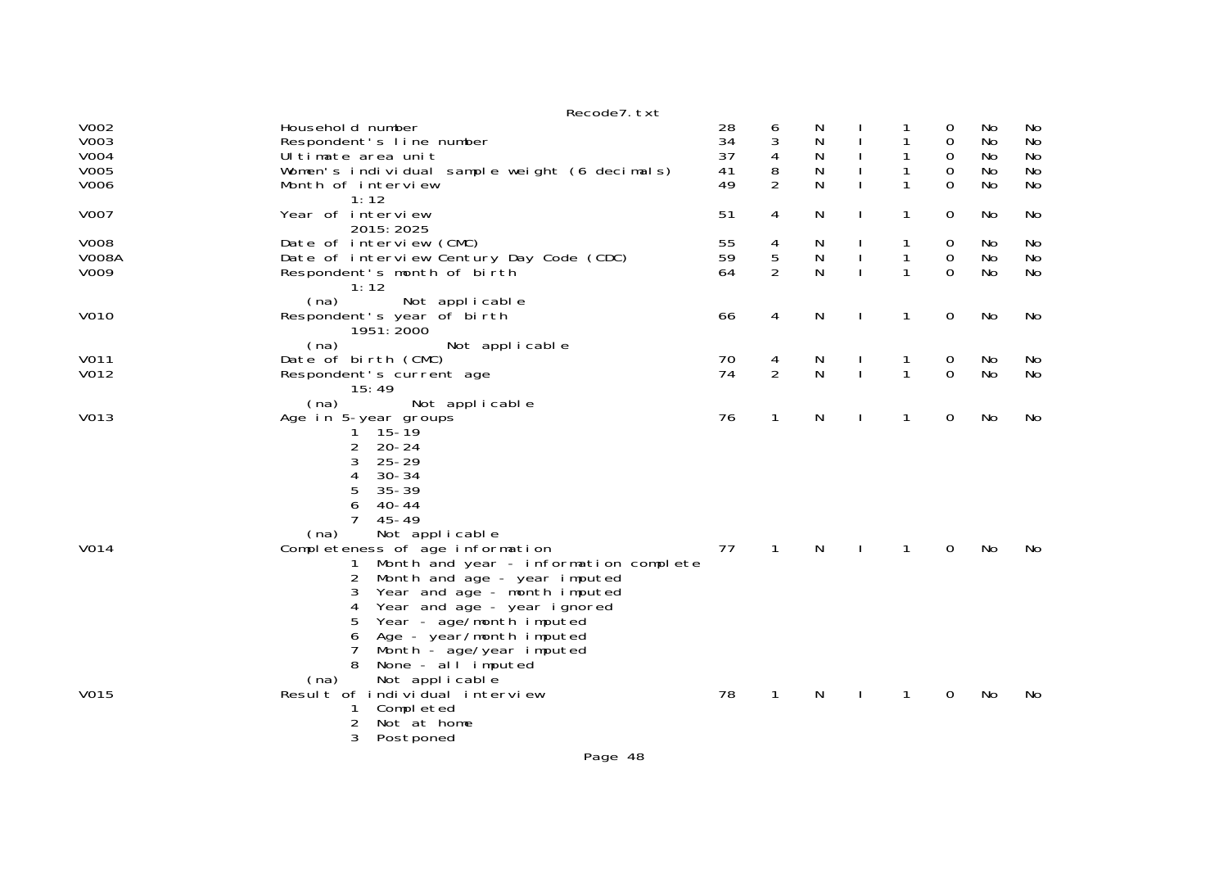|                                             | Recode7. txt                                                                                                                                                                                                                                                                                                        |                            |                          |                       |              |                   |                              |                            |                            |
|---------------------------------------------|---------------------------------------------------------------------------------------------------------------------------------------------------------------------------------------------------------------------------------------------------------------------------------------------------------------------|----------------------------|--------------------------|-----------------------|--------------|-------------------|------------------------------|----------------------------|----------------------------|
| V002<br>V003<br><b>V004</b><br>V005<br>V006 | Household number<br>Respondent's line number<br>Ultimate area unit<br>Women's individual sample weight (6 decimals)<br>Month of interview                                                                                                                                                                           | 28<br>34<br>37<br>41<br>49 | 6<br>3<br>4<br>8<br>2    | N<br>N<br>N<br>N<br>N |              | 1<br>1            | 0<br>0<br>0<br>0<br>$\Omega$ | No<br>No<br>No<br>No<br>No | No<br>No<br>No<br>No<br>No |
| <b>V007</b>                                 | 1:12<br>Year of interview                                                                                                                                                                                                                                                                                           | 51                         | 4                        | N                     | $\mathbf{I}$ | 1                 | 0                            | No.                        | No                         |
| <b>V008</b><br><b>V008A</b><br>V009         | 2015: 2025<br>Date of interview (CMC)<br>Date of interview Century Day Code (CDC)<br>Respondent's month of birth<br>1:12                                                                                                                                                                                            | 55<br>59<br>64             | 4<br>5<br>$\overline{2}$ | N<br>N<br>N           |              | 1<br>1            | 0<br>$\mathbf 0$<br>$\Omega$ | No<br>No<br>No             | No<br>No<br>No             |
| V010                                        | (na)<br>Not applicable<br>Respondent's year of birth<br>1951: 2000                                                                                                                                                                                                                                                  | 66                         | 4                        | N                     | $\mathbf{I}$ | 1                 | 0                            | No                         | No                         |
| V011<br>V012                                | (na)<br>Not applicable<br>Date of birth (CMC)<br>Respondent's current age<br>15:49                                                                                                                                                                                                                                  | 70<br>74                   | 4<br>$\overline{2}$      | N<br>N                | $\mathbf{I}$ | 1<br>$\mathbf{1}$ | 0<br>$\Omega$                | No<br><b>No</b>            | No<br>No                   |
| V013                                        | (na)<br>Not applicable<br>Age in 5-year groups<br>$15 - 19$<br>1.<br>$\overline{2}$<br>$20 - 24$<br>3<br>$25 - 29$<br>4<br>$30 - 34$<br>5<br>$35 - 39$<br>6<br>$40 - 44$<br>$\overline{7}$<br>$45 - 49$                                                                                                             | 76                         | $\mathbf{1}$             | N                     | $\mathbf{I}$ | 1                 | 0                            | No                         | No                         |
| V014                                        | Not applicable<br>(na)<br>Completeness of age information<br>Month and year - information complete<br>Month and age - year imputed<br>2<br>Year and age - month imputed<br>3<br>4<br>Year and age - year ignored<br>Year - age/month imputed<br>5<br>Age - year/month imputed<br>6<br>7<br>Month - age/year imputed | 77                         | $\mathbf{1}$             | N                     |              | 1                 | 0                            | No                         | No                         |
| V015                                        | None - al l imputed<br>Not applicable<br>(na)<br>Result of individual interview<br>Completed<br>1<br>2<br>Not at home<br>3<br>Postponed<br>$D = -2$                                                                                                                                                                 | 78                         | $\mathbf{1}$             | N                     |              | 1                 | 0                            | No                         | No                         |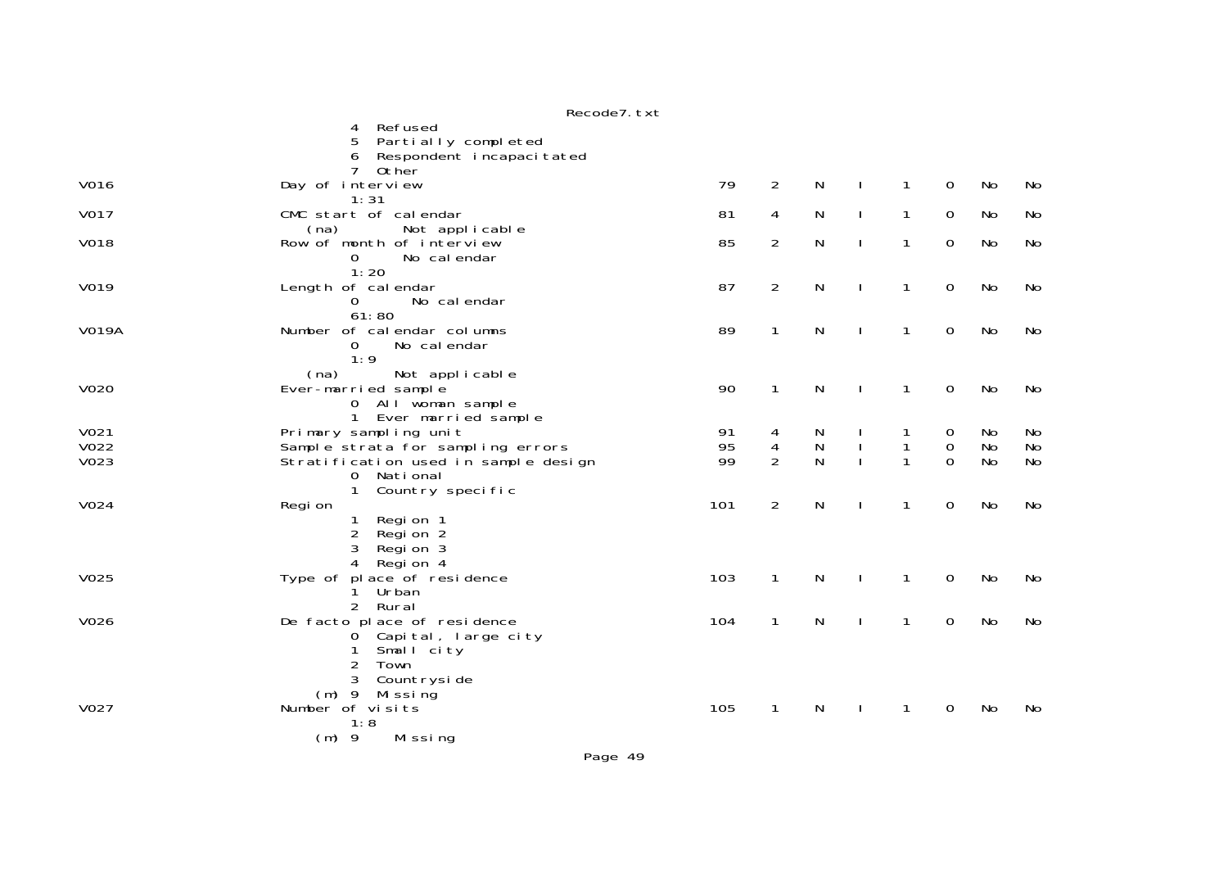|              | Refused<br>4                                |     |                |              |              |              |                  |           |           |
|--------------|---------------------------------------------|-----|----------------|--------------|--------------|--------------|------------------|-----------|-----------|
|              | Partially completed<br>5.                   |     |                |              |              |              |                  |           |           |
|              | Respondent incapacitated                    |     |                |              |              |              |                  |           |           |
|              | $7^{\circ}$<br>0ther                        |     |                |              |              |              |                  |           |           |
| V016         | Day of interview                            | 79  | $\overline{2}$ | $\mathsf{N}$ | $\mathbf{I}$ | $\mathbf{1}$ | $\mathbf 0$      | No        | No        |
|              | 1:31                                        |     |                |              |              |              |                  |           |           |
| V017         | CMC start of calendar                       | 81  | 4              | N            | $\mathbf{I}$ | 1            | 0                | No        | No        |
|              | (na)<br>Not applicable                      |     |                |              |              |              |                  |           |           |
| <b>V018</b>  | Row of month of interview                   | 85  | $\overline{2}$ | N            | $\mathbf{I}$ | $\mathbf{1}$ | 0                | No        | <b>No</b> |
|              | 0<br>No cal endar<br>1:20                   |     |                |              |              |              |                  |           |           |
| V019         | Length of calendar                          | 87  | $\overline{2}$ | N            | $\mathbf{I}$ | $\mathbf{1}$ | $\mathbf 0$      | <b>No</b> | <b>No</b> |
|              | No cal endar<br>$\mathbf 0$                 |     |                |              |              |              |                  |           |           |
|              | 61:80                                       |     |                |              |              |              |                  |           |           |
| <b>V019A</b> | Number of calendar columns                  | 89  | 1              | N            |              | 1            | $\mathbf 0$      | No        | No        |
|              | No cal endar<br>$\Omega$                    |     |                |              |              |              |                  |           |           |
|              | 1:9                                         |     |                |              |              |              |                  |           |           |
|              | (na)<br>Not applicable                      |     |                |              |              |              |                  |           |           |
| <b>V020</b>  | Ever-married sample                         | 90  | $\mathbf{1}$   | N            | <sup>1</sup> | $\mathbf{1}$ | 0                | No        | No        |
|              | 0 All woman sample<br>1 Ever married sample |     |                |              |              |              |                  |           |           |
| V021         | Primary sampling unit                       | 91  | 4              | N            |              |              | 0                | No.       | No        |
| V022         | Sample strata for sampling errors           | 95  | $\overline{4}$ | ${\sf N}$    |              | 1            | $\boldsymbol{0}$ | No        | No        |
| V023         | Stratification used in sample design        | 99  | $\overline{2}$ | N            |              | 1            | $\mathbf{O}$     | No        | No        |
|              | 0 National                                  |     |                |              |              |              |                  |           |           |
|              | $\mathbf{1}$<br>Country specific            |     |                |              |              |              |                  |           |           |
| V024         | Regi on                                     | 101 | $\overline{2}$ | ${\sf N}$    |              | $\mathbf{1}$ | $\mathbf 0$      | No        | <b>No</b> |
|              | Region 1<br>1                               |     |                |              |              |              |                  |           |           |
|              | $\overline{2}$<br>Region 2<br>3<br>Region 3 |     |                |              |              |              |                  |           |           |
|              | 4<br>Region 4                               |     |                |              |              |              |                  |           |           |
| V025         | Type of place of residence                  | 103 | $\mathbf{1}$   | N            |              | 1            | 0                | No        | No        |
|              | Urban<br>1                                  |     |                |              |              |              |                  |           |           |
|              | 2 Rural                                     |     |                |              |              |              |                  |           |           |
| V026         | De facto place of residence                 | 104 | $\mathbf{1}$   | N            | $\mathbf{I}$ | $\mathbf{1}$ | $\mathbf 0$      | No        | No        |
|              | 0 Capital, large city                       |     |                |              |              |              |                  |           |           |
|              | Small city<br>1                             |     |                |              |              |              |                  |           |           |
|              | 2<br>Town<br>Countryside<br>3               |     |                |              |              |              |                  |           |           |
|              | (m) 9 Missing                               |     |                |              |              |              |                  |           |           |
| V027         | Number of visits                            | 105 | $\mathbf{1}$   | N            |              | 1            | 0                | No        | No        |
|              | 1:8                                         |     |                |              |              |              |                  |           |           |
|              | $(m)$ 9<br>Missing                          |     |                |              |              |              |                  |           |           |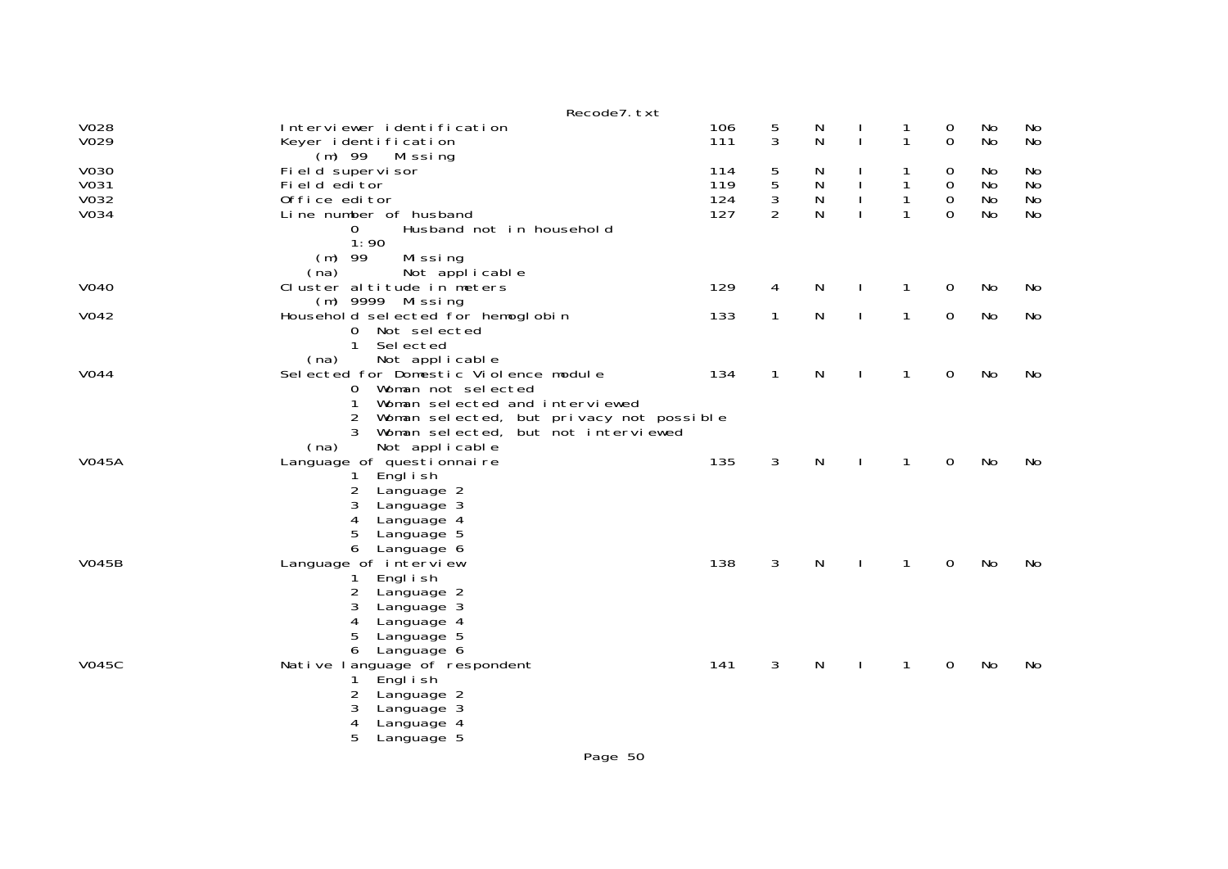|                              | Recode7. txt                                                                                                                                                                                                                           |                          |                               |                  |              |                        |                                 |                      |                             |
|------------------------------|----------------------------------------------------------------------------------------------------------------------------------------------------------------------------------------------------------------------------------------|--------------------------|-------------------------------|------------------|--------------|------------------------|---------------------------------|----------------------|-----------------------------|
| V028<br>V029                 | Interviewer identification<br>Keyer identification<br>$(m)$ 99<br>Missing                                                                                                                                                              | 106<br>111               | $\frac{5}{3}$                 | N<br>N           | J.           | 1<br>1                 | 0<br>0                          | No<br>No             | No<br>No                    |
| V030<br>V031<br>V032<br>V034 | Field supervisor<br>Field editor<br>Office editor<br>Line number of husband                                                                                                                                                            | 114<br>119<br>124<br>127 | 5<br>5<br>3<br>$\overline{2}$ | N<br>N<br>N<br>N |              | 1<br>1<br>$\mathbf{1}$ | 0<br>0<br>$\boldsymbol{0}$<br>0 | No<br>No<br>No<br>No | No<br>No<br><b>No</b><br>No |
|                              | Husband not in household<br>0<br>1:90<br>$(m)$ 99<br>Missing<br>(na)<br>Not applicable                                                                                                                                                 |                          |                               |                  |              |                        |                                 |                      |                             |
| <b>V040</b>                  | Cluster altitude in meters<br>(m) 9999 Missing                                                                                                                                                                                         | 129                      | 4                             | N                |              | 1                      | 0                               | No                   | No                          |
| V042                         | Household selected for hemoglobin<br>0 Not selected<br>$\mathbf{1}$<br>Sel ected                                                                                                                                                       | 133                      | 1                             | N                | $\mathbf{I}$ | $\mathbf{1}$           | 0                               | No                   | No                          |
| <b>V044</b>                  | (na)<br>Not applicable<br>Selected for Domestic Violence module<br>Woman not selected<br>0<br>Woman selected and interviewed<br>$\overline{2}$<br>Woman selected, but privacy not possible<br>3<br>Woman selected, but not interviewed | 134                      | $\mathbf{1}$                  | N                |              | 1                      | 0                               | No                   | No                          |
| <b>V045A</b>                 | Not applicable<br>(na)<br>Language of questionnaire<br>Engl i sh<br>1.<br>$\overline{2}$<br>Language 2<br>3<br>Language 3<br>4<br>Language 4<br>5<br>Language 5<br>6<br>Language 6                                                     | 135                      | 3                             | N                |              | 1                      | 0                               | No                   | No                          |
| <b>V045B</b>                 | Language of interview<br>Engl i sh<br>1.<br>2<br>Language 2<br>3<br>Language 3<br>4<br>Language 4<br>5<br>Language 5<br>6<br>Language 6                                                                                                | 138                      | 3                             | N                |              | 1                      | 0                               | No                   | No                          |
| <b>V045C</b>                 | Native language of respondent<br>Engl i sh<br>2<br>Language 2<br>3<br>Language 3<br>4<br>Language 4<br>5<br>Language 5                                                                                                                 | 141                      | 3                             | N                |              | 1                      | 0                               | No                   | <b>No</b>                   |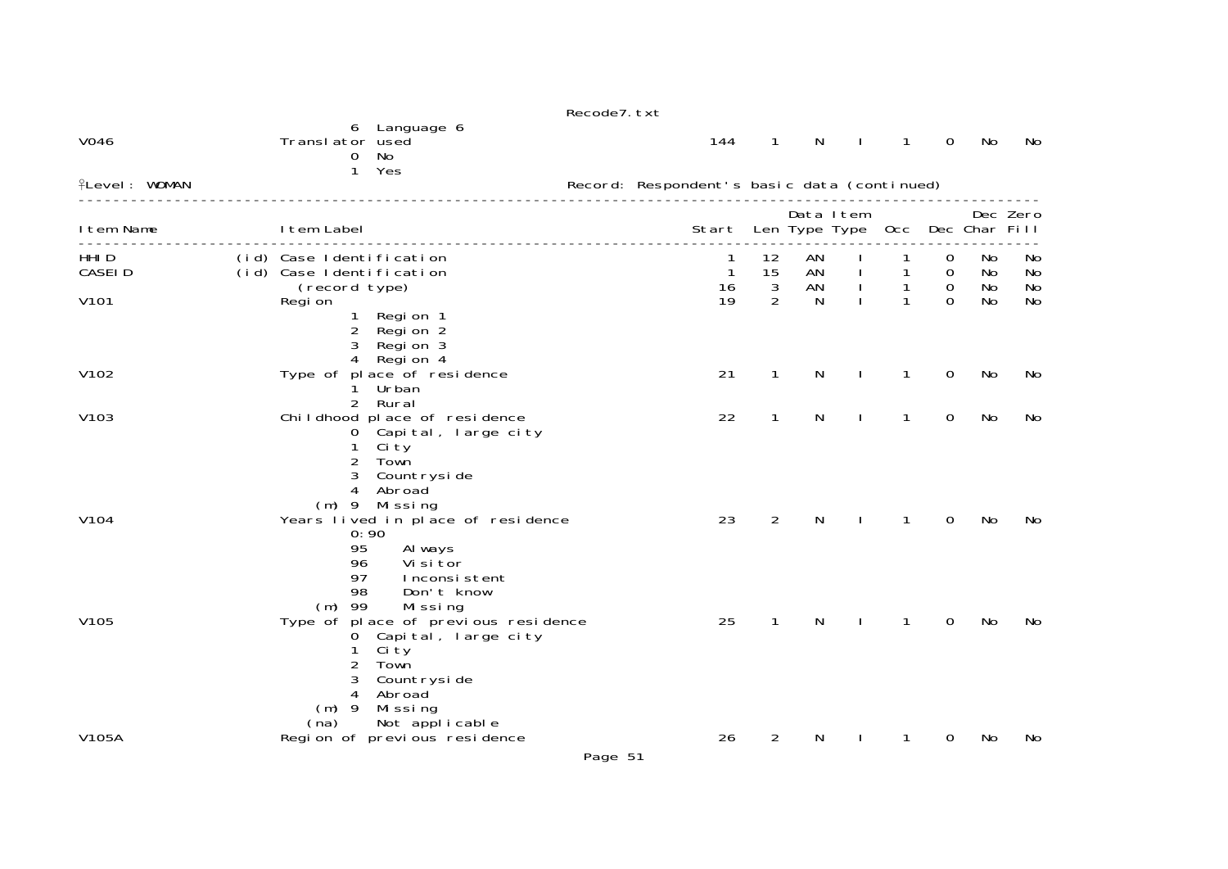|                             |                                                                       |                                                                                                                                     | Recode7. txt |                                             |                        |                            |              |              |                                 |                 |                |
|-----------------------------|-----------------------------------------------------------------------|-------------------------------------------------------------------------------------------------------------------------------------|--------------|---------------------------------------------|------------------------|----------------------------|--------------|--------------|---------------------------------|-----------------|----------------|
| V046                        | Translator used<br>$\mathbf{0}$                                       | 6 Language 6<br>No<br>1 Yes                                                                                                         |              | 144                                         | $\mathbf{1}$           | N                          |              | $\mathbf{1}$ | $\mathsf{O}$                    | No              | No             |
| <b>fLevel: WOMAN</b>        |                                                                       |                                                                                                                                     |              | Record: Respondent's basic data (continued) |                        |                            |              |              |                                 |                 |                |
| I tem Name                  | I tem Label                                                           |                                                                                                                                     |              | Start                                       |                        | Data Item<br>Len Type Type |              | 0cc          |                                 | Dec Char Fill   | Dec Zero       |
| HHI <sub>D</sub><br>CASEI D | (id) Case Identification<br>(id) Case Identification<br>(record type) |                                                                                                                                     |              | 1<br>16                                     | 12<br>15<br>$\sqrt{3}$ | AN<br>AN<br>AN             | I.           | 1            | 0<br>$\mathbf 0$<br>$\mathbf 0$ | No.<br>No<br>No | No<br>No<br>No |
| V101                        | Regi on<br>$\mathbf{1}$<br>4                                          | Region 1<br>2 Region 2<br>3 Region 3<br>Region 4                                                                                    |              | 19                                          | 2                      | N                          |              | $\mathbf{1}$ | $\Omega$                        | No              | <b>No</b>      |
| V102                        |                                                                       | Type of place of residence<br>Urban<br>2 Rural                                                                                      |              | 21                                          | $\mathbf{1}$           | N                          | $\mathbf{I}$ | $\mathbf{1}$ | 0                               | <b>No</b>       | No             |
| V103                        | 0<br>1.<br>$\overline{2}$<br>3                                        | Childhood place of residence<br>Capital, large city<br>Ci ty<br>Town<br>Countryside<br>4 Abroad<br>$(m)$ 9 Missing                  |              | 22                                          | $\mathbf{1}$           | N                          |              | 1            | 0                               | No              | No             |
| V104                        | 95<br>96<br>97<br>98<br>$(m)$ 99                                      | Years lived in place of residence<br>0:90<br>Al ways<br>Vi si tor<br>Inconsistent<br>Don't know<br>Missing                          |              | 23                                          | $\overline{2}$         | N                          |              | 1            | $\mathbf 0$                     | No              | No             |
| V <sub>105</sub>            | 1<br>2<br>3<br>4<br>$(m)$ 9<br>(na)                                   | Type of place of previous residence<br>0 Capital, large city<br>Ci ty<br>Town<br>Countryside<br>Abroad<br>Missing<br>Not applicable |              | 25                                          | $\mathbf{1}$           | N                          |              | 1            | 0                               | No              | No             |
| V105A                       |                                                                       | Region of previous residence                                                                                                        | Page 51      | 26                                          | $\overline{2}$         | N                          |              | 1            | 0                               | No              | No             |
|                             |                                                                       |                                                                                                                                     |              |                                             |                        |                            |              |              |                                 |                 |                |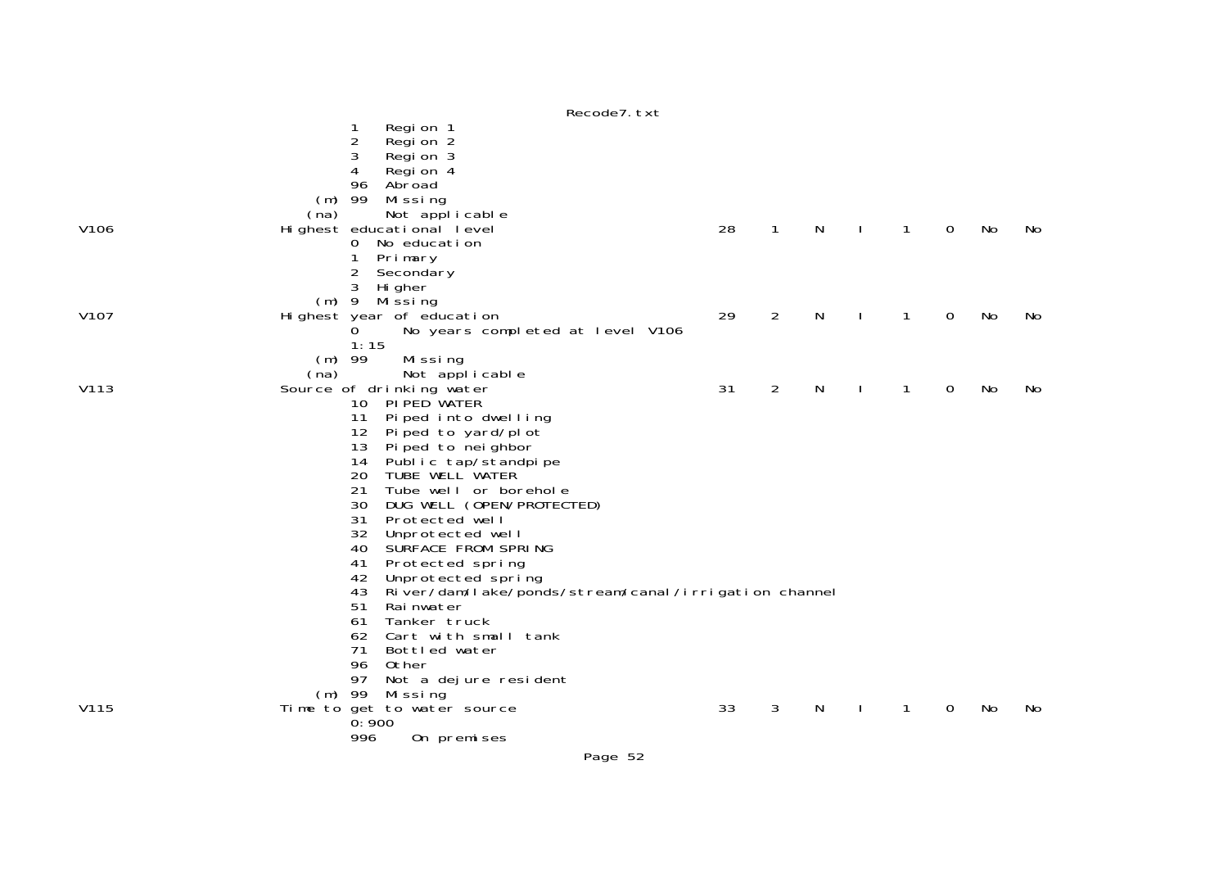|      |          |                 | RECOURT. LAT                                         |    |                |              |              |   |             |    |     |
|------|----------|-----------------|------------------------------------------------------|----|----------------|--------------|--------------|---|-------------|----|-----|
|      |          | 1               | Regi on 1                                            |    |                |              |              |   |             |    |     |
|      |          | 2               | Regi on 2                                            |    |                |              |              |   |             |    |     |
|      |          | 3               | Region 3                                             |    |                |              |              |   |             |    |     |
|      |          | 4               | Region 4                                             |    |                |              |              |   |             |    |     |
|      |          | 96              | Abroad                                               |    |                |              |              |   |             |    |     |
|      | (m)      | 99              | Missing                                              |    |                |              |              |   |             |    |     |
|      | (na)     |                 | Not applicable                                       |    |                |              |              |   |             |    |     |
| V106 |          |                 | Highest educational level                            | 28 | $\mathbf{1}$   | N            | $\mathbf{I}$ | 1 | $\mathbf 0$ | No | No. |
|      |          | 0               | No education                                         |    |                |              |              |   |             |    |     |
|      |          |                 | Primary                                              |    |                |              |              |   |             |    |     |
|      |          | $\overline{c}$  | Secondary                                            |    |                |              |              |   |             |    |     |
|      |          | 3               | Hi gher                                              |    |                |              |              |   |             |    |     |
|      |          |                 | $(m)$ 9 Missing                                      |    |                |              |              |   |             |    |     |
| V107 |          |                 | Highest year of education                            | 29 | $\overline{2}$ | N            |              | 1 | 0           | No | No. |
|      |          | 0.              | No years completed at level V106                     |    |                |              |              |   |             |    |     |
|      |          | 1:15            |                                                      |    |                |              |              |   |             |    |     |
|      | $(m)$ 99 |                 | Missing                                              |    |                |              |              |   |             |    |     |
| V113 | (na)     |                 | Not applicable                                       | 31 | $\overline{2}$ | $\mathsf{N}$ |              | 1 | $\mathbf 0$ | No | No. |
|      |          | 10 <sup>°</sup> | Source of drinking water<br>PI PED WATER             |    |                |              | $\mathbf{I}$ |   |             |    |     |
|      |          | 11              | Piped into dwelling                                  |    |                |              |              |   |             |    |     |
|      |          | 12              | Pi ped to yard/pl ot                                 |    |                |              |              |   |             |    |     |
|      |          | 13              | Pi ped to nei ghbor                                  |    |                |              |              |   |             |    |     |
|      |          | 14              |                                                      |    |                |              |              |   |             |    |     |
|      |          | 20              | Public tap/standpipe<br>TUBE WELL WATER              |    |                |              |              |   |             |    |     |
|      |          | 21              | Tube well or borehole                                |    |                |              |              |   |             |    |     |
|      |          | 30              | DUG WELL (OPEN/PROTECTED)                            |    |                |              |              |   |             |    |     |
|      |          | 31              | Protected well                                       |    |                |              |              |   |             |    |     |
|      |          | 32              | Unprotected well                                     |    |                |              |              |   |             |    |     |
|      |          | 40              | SURFACE FROM SPRING                                  |    |                |              |              |   |             |    |     |
|      |          | 41              | Protected spring                                     |    |                |              |              |   |             |    |     |
|      |          | 42              | Unprotected spring                                   |    |                |              |              |   |             |    |     |
|      |          | 43              | River/dam/lake/ponds/stream/canal/irrigation channel |    |                |              |              |   |             |    |     |
|      |          | 51              | Rai nwater                                           |    |                |              |              |   |             |    |     |
|      |          | 61              | Tanker truck                                         |    |                |              |              |   |             |    |     |
|      |          | 62              | Cart with small tank                                 |    |                |              |              |   |             |    |     |
|      |          | 71              | Bottled water                                        |    |                |              |              |   |             |    |     |
|      |          | 96<br>97        | Other                                                |    |                |              |              |   |             |    |     |
|      |          | $(m)$ 99        | Not a dejure resident                                |    |                |              |              |   |             |    |     |
| V115 |          |                 | Missing<br>Time to get to water source               | 33 | 3              | N            |              | 1 | 0           | No | No  |
|      |          | 0:900           |                                                      |    |                |              |              |   |             |    |     |
|      |          | 996             | On premises                                          |    |                |              |              |   |             |    |     |
|      |          |                 |                                                      |    |                |              |              |   |             |    |     |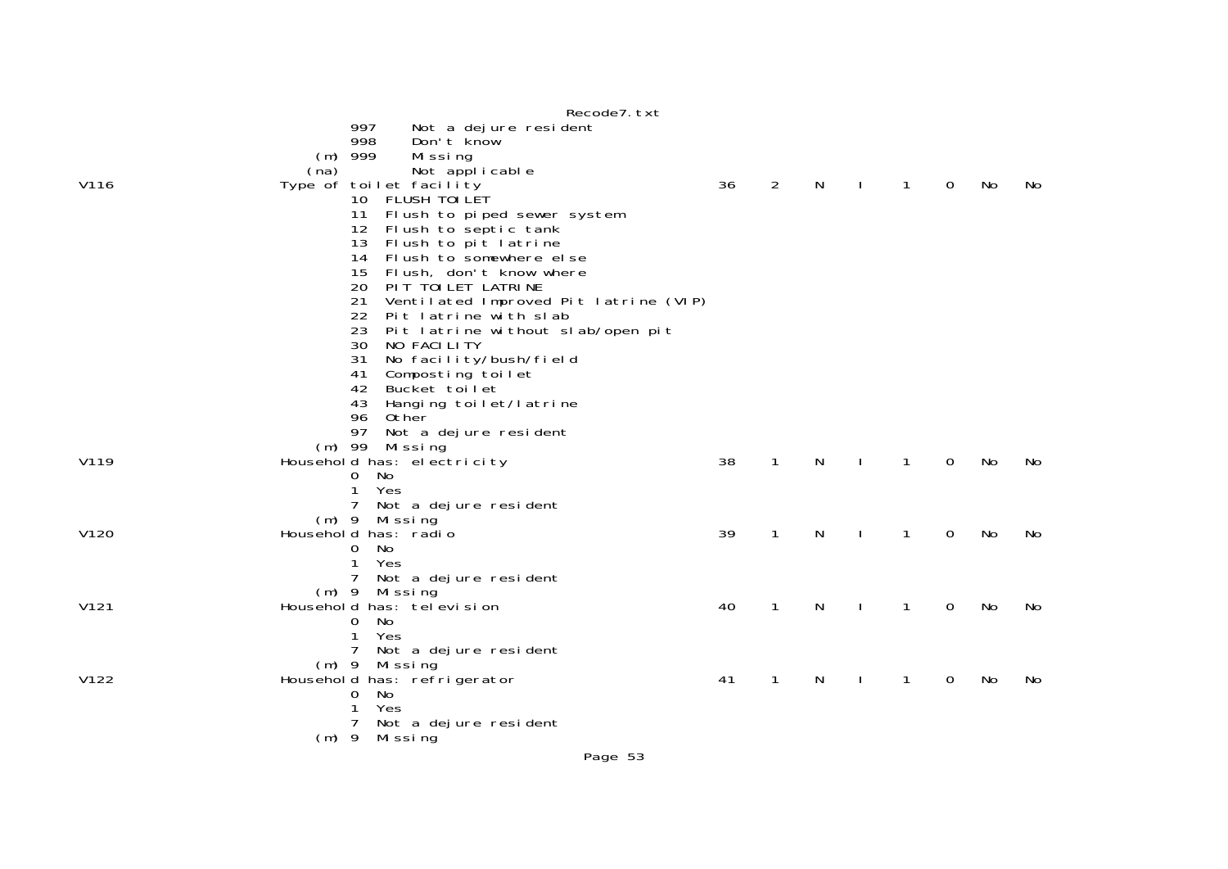|      |         | Recode7. txt                                           |    |                |   |              |              |             |           |    |
|------|---------|--------------------------------------------------------|----|----------------|---|--------------|--------------|-------------|-----------|----|
|      |         | 997<br>Not a dejure resident                           |    |                |   |              |              |             |           |    |
|      |         | 998<br>Don't know<br>$(m)$ 999<br>Missing              |    |                |   |              |              |             |           |    |
|      | (na)    | Not applicable                                         |    |                |   |              |              |             |           |    |
| V116 |         | Type of toilet facility                                | 36 | $\overline{2}$ | N | $\mathbf{I}$ | $\mathbf{1}$ | $\mathbf 0$ | No        | No |
|      |         | 10 FLUSH TOI LET                                       |    |                |   |              |              |             |           |    |
|      |         | 11 Flush to piped sewer system                         |    |                |   |              |              |             |           |    |
|      |         | Flush to septic tank<br>12<br>13 Flush to pit latrine  |    |                |   |              |              |             |           |    |
|      |         | Flush to somewhere else<br>14                          |    |                |   |              |              |             |           |    |
|      |         | Flush, don't know where<br>15                          |    |                |   |              |              |             |           |    |
|      |         | 20<br>PIT TOILET LATRINE                               |    |                |   |              |              |             |           |    |
|      |         | 21<br>Ventilated Improved Pit latrine (VIP)            |    |                |   |              |              |             |           |    |
|      |         | 22<br>Pit latrine with slab<br>23                      |    |                |   |              |              |             |           |    |
|      |         | Pit latrine without slab/open pit<br>30<br>NO FACILITY |    |                |   |              |              |             |           |    |
|      |         | 31<br>No facility/bush/field                           |    |                |   |              |              |             |           |    |
|      |         | 41<br>Composting toilet                                |    |                |   |              |              |             |           |    |
|      |         | 42<br>Bucket toilet                                    |    |                |   |              |              |             |           |    |
|      |         | Hanging toilet/latrine<br>43<br>96 Other               |    |                |   |              |              |             |           |    |
|      |         | 97 Not a dejure resident                               |    |                |   |              |              |             |           |    |
|      |         | $(m)$ 99 Missing                                       |    |                |   |              |              |             |           |    |
| V119 |         | Household has: electricity                             | 38 | $\mathbf{1}$   | N |              | $\mathbf{1}$ | 0           | No        | No |
|      |         | No<br>0                                                |    |                |   |              |              |             |           |    |
|      |         | $\mathbf{1}$<br>Yes<br>7 <sup>7</sup>                  |    |                |   |              |              |             |           |    |
|      |         | Not a dejure resident<br>(m) 9 Missing                 |    |                |   |              |              |             |           |    |
| V120 |         | Household has: radio                                   | 39 | $\mathbf{1}$   | N | $\mathbf{I}$ | $\mathbf{1}$ | 0           | No        | No |
|      |         | No<br>$\mathbf{0}$                                     |    |                |   |              |              |             |           |    |
|      |         | $\mathbf{1}$<br>Yes                                    |    |                |   |              |              |             |           |    |
|      |         | 7<br>Not a dejure resident                             |    |                |   |              |              |             |           |    |
| V121 |         | $(m)$ 9 Missing<br>Household has: tel evision          | 40 | $\mathbf{1}$   | N |              | $\mathbf{1}$ | $\Omega$    | <b>No</b> | No |
|      |         | No<br>0                                                |    |                |   |              |              |             |           |    |
|      |         | 1<br>Yes                                               |    |                |   |              |              |             |           |    |
|      |         | $\overline{7}$<br>Not a dejure resident                |    |                |   |              |              |             |           |    |
|      |         | $(m)$ 9 Missing                                        |    |                |   |              |              |             |           |    |
| V122 |         | Household has: refrigerator<br>$\mathbf{O}$<br>No.     | 41 | 1              | N |              | $\mathbf{1}$ | 0           | No        | No |
|      |         | 1<br>Yes                                               |    |                |   |              |              |             |           |    |
|      |         | $7^{\circ}$<br>Not a dejure resident                   |    |                |   |              |              |             |           |    |
|      | $(m)$ 9 | Mi ssi ng                                              |    |                |   |              |              |             |           |    |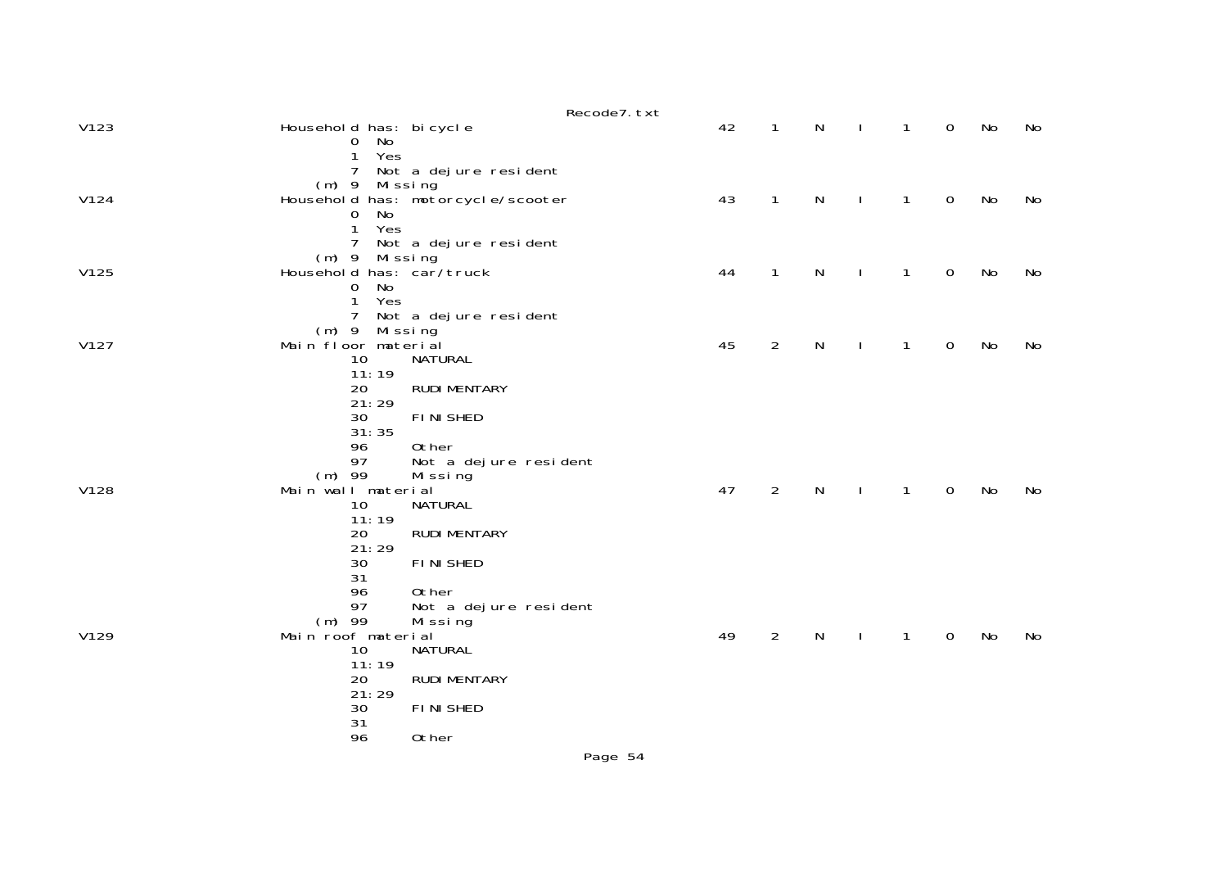|      |                                           |                                   | Recode7. txt |    |                |   |              |              |             |    |    |
|------|-------------------------------------------|-----------------------------------|--------------|----|----------------|---|--------------|--------------|-------------|----|----|
| V123 | Household has: bi cycle<br>0 No           |                                   |              | 42 | $\mathbf{1}$   | N |              | 1            | $\mathbf 0$ | No | No |
|      | Yes<br>1<br>$\overline{7}$                | Not a dejure resident             |              |    |                |   |              |              |             |    |    |
|      | (m) 9 Missing                             |                                   |              |    |                |   |              |              |             |    |    |
| V124 | No<br>0                                   | Household has: motorcycle/scooter |              | 43 | $\mathbf{1}$   | N |              | 1            | $\mathbf 0$ | No | No |
|      | Yes<br>1                                  |                                   |              |    |                |   |              |              |             |    |    |
|      | 7                                         | Not a dejure resident             |              |    |                |   |              |              |             |    |    |
| V125 | (m) 9 Missing<br>Household has: car/truck |                                   |              | 44 | $\mathbf{1}$   | N |              | 1            | 0           | No | No |
|      | No<br>0                                   |                                   |              |    |                |   |              |              |             |    |    |
|      | Yes<br>$\mathbf{1}$<br>7                  | Not a dejure resident             |              |    |                |   |              |              |             |    |    |
|      | Missing<br>$(m)$ 9                        |                                   |              |    |                |   |              |              |             |    |    |
| V127 | Main floor material<br>10                 | <b>NATURAL</b>                    |              | 45 | $\overline{2}$ | N | $\mathbf{I}$ | $\mathbf{1}$ | 0           | No | No |
|      | 11:19                                     |                                   |              |    |                |   |              |              |             |    |    |
|      | 20                                        | <b>RUDI MENTARY</b>               |              |    |                |   |              |              |             |    |    |
|      | 21:29<br>30                               | <b>FINISHED</b>                   |              |    |                |   |              |              |             |    |    |
|      | 31:35                                     |                                   |              |    |                |   |              |              |             |    |    |
|      | 96<br>97                                  | 0ther<br>Not a dejure resident    |              |    |                |   |              |              |             |    |    |
|      | $(m)$ 99                                  | Mi ssi ng                         |              |    |                |   |              |              |             |    |    |
| V128 | Main wall material                        |                                   |              | 47 | $\overline{2}$ | N |              | $\mathbf{1}$ | 0           | No | No |
|      | 10<br>11:19                               | NATURAL                           |              |    |                |   |              |              |             |    |    |
|      | 20                                        | <b>RUDI MENTARY</b>               |              |    |                |   |              |              |             |    |    |
|      | 21:29                                     |                                   |              |    |                |   |              |              |             |    |    |
|      | 30<br>31                                  | <b>FINISHED</b>                   |              |    |                |   |              |              |             |    |    |
|      | 96                                        | 0ther                             |              |    |                |   |              |              |             |    |    |
|      | 97<br>$(m)$ 99                            | Not a dejure resident<br>Missing  |              |    |                |   |              |              |             |    |    |
| V129 | Main roof material                        |                                   |              | 49 | $\overline{2}$ | N |              | 1            | 0           | No | No |
|      | 10<br>11:19                               | NATURAL                           |              |    |                |   |              |              |             |    |    |
|      | 20                                        | <b>RUDI MENTARY</b>               |              |    |                |   |              |              |             |    |    |
|      | 21:29<br>30                               | <b>FINISHED</b>                   |              |    |                |   |              |              |             |    |    |
|      | 31                                        |                                   |              |    |                |   |              |              |             |    |    |
|      | 96                                        | 0ther                             |              |    |                |   |              |              |             |    |    |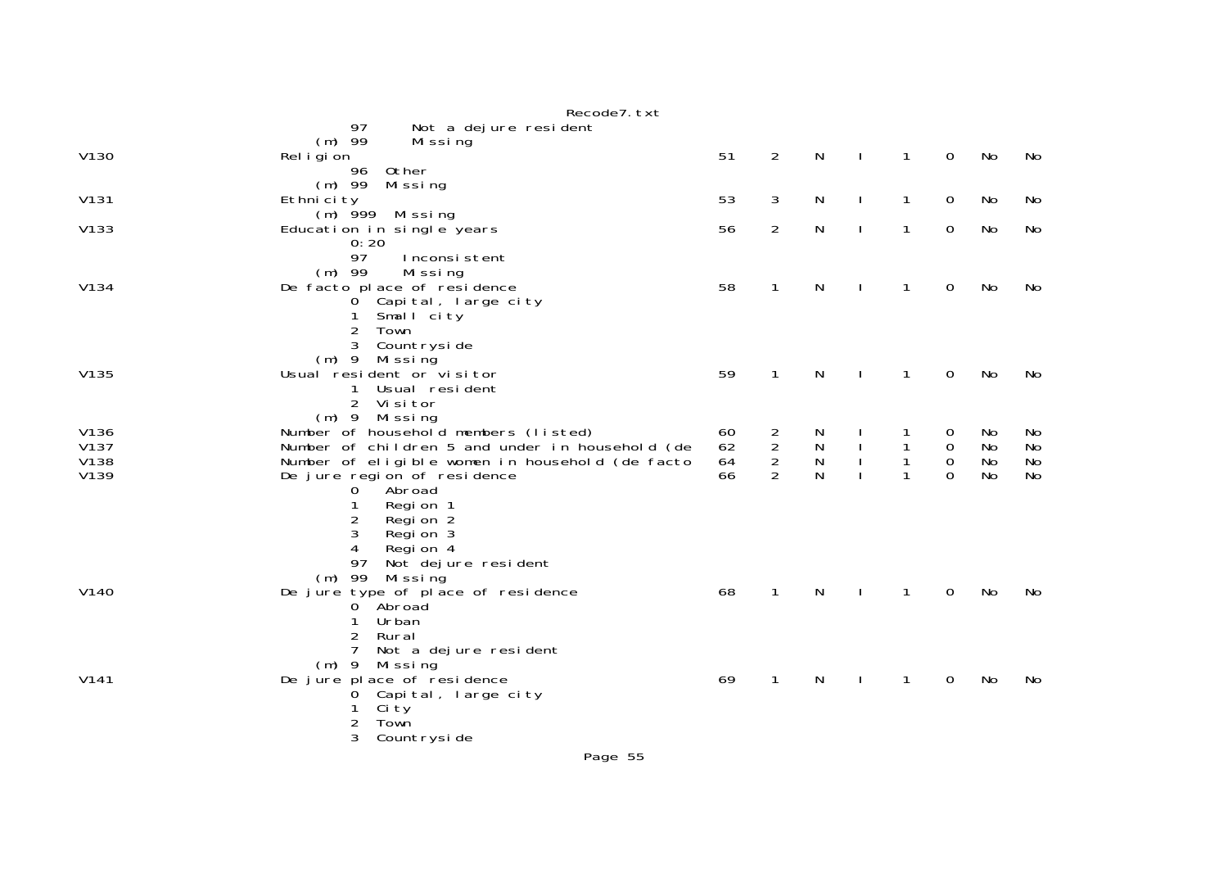|                  | Recode7. txt                                    |    |                |              |              |              |                  |    |           |
|------------------|-------------------------------------------------|----|----------------|--------------|--------------|--------------|------------------|----|-----------|
|                  | 97<br>Not a dejure resident                     |    |                |              |              |              |                  |    |           |
|                  | $(m)$ 99<br>Missing                             |    |                |              |              |              |                  |    |           |
| V130             | Rel i gi on                                     | 51 | 2              | $\mathsf{N}$ | $\mathbf{I}$ | $\mathbf{1}$ | $\mathbf 0$      | No | No        |
|                  | 96<br>Other                                     |    |                |              |              |              |                  |    |           |
|                  | $(m)$ 99<br>Missing                             |    |                |              |              |              |                  |    |           |
| V131             | Ethnicity                                       | 53 | 3              | N            | $\mathbf{I}$ | $\mathbf{1}$ | $\mathbf 0$      | No | No        |
|                  | $(m)$ 999 Missing                               |    |                |              |              |              |                  |    |           |
| V133             | Education in single years                       | 56 | $\overline{2}$ | N            | $\mathbf{I}$ | $\mathbf{1}$ | $\mathbf 0$      | No | No        |
|                  | 0:20                                            |    |                |              |              |              |                  |    |           |
|                  | 97<br>Inconsistent                              |    |                |              |              |              |                  |    |           |
|                  | $(m)$ 99<br>Missing                             |    |                |              |              |              |                  |    |           |
| V134             | De facto place of residence                     | 58 | $\mathbf{1}$   | N            |              | $\mathbf{1}$ | $\mathbf 0$      | No | No        |
|                  | 0 Capital, large city                           |    |                |              |              |              |                  |    |           |
|                  | Small city<br>1                                 |    |                |              |              |              |                  |    |           |
|                  | $\overline{c}$<br>Town                          |    |                |              |              |              |                  |    |           |
|                  | 3<br>Countryside                                |    |                |              |              |              |                  |    |           |
|                  | $(m)$ 9 Missing                                 |    |                |              |              |              |                  |    |           |
| V135             | Usual resident or visitor                       | 59 | $\mathbf{1}$   | N            |              | 1            | 0                | No | No        |
|                  | Usual resident<br>1                             |    |                |              |              |              |                  |    |           |
|                  | $\overline{2}$<br>Vi si tor                     |    |                |              |              |              |                  |    |           |
|                  | $(m)$ 9 Missing                                 |    |                |              |              |              |                  |    |           |
| V136             | Number of household members (listed)            | 60 | $\frac{2}{2}$  | N            |              |              | 0                | No | No        |
| V137             | Number of children 5 and under in household (de | 62 |                | ${\sf N}$    |              |              | $\boldsymbol{0}$ | No | No        |
| V138             | Number of eligible women in household (de facto | 64 | $\overline{2}$ | N            |              | $\mathbf{1}$ | $\mathbf 0$      | No | No        |
| V139             | De jure region of residence                     | 66 | $\mathcal{P}$  | N            |              |              | $\Omega$         | No | <b>No</b> |
|                  | Abroad<br>0                                     |    |                |              |              |              |                  |    |           |
|                  | Regi on 1<br>1                                  |    |                |              |              |              |                  |    |           |
|                  | 2<br>Regi on 2                                  |    |                |              |              |              |                  |    |           |
|                  | 3<br>Region 3                                   |    |                |              |              |              |                  |    |           |
|                  | 4<br>Region 4                                   |    |                |              |              |              |                  |    |           |
|                  | 97<br>Not dejure resident                       |    |                |              |              |              |                  |    |           |
|                  | $(m)$ 99<br>Mi ssi ng                           |    |                |              |              |              |                  |    |           |
| V <sub>140</sub> | De jure type of place of residence              | 68 | $\mathbf{1}$   | N            |              | 1            | 0                | No | No        |
|                  | 0 Abroad                                        |    |                |              |              |              |                  |    |           |
|                  | Urban<br>1                                      |    |                |              |              |              |                  |    |           |
|                  | $\overline{c}$<br>Rural                         |    |                |              |              |              |                  |    |           |
|                  | 7<br>Not a dejure resident                      |    |                |              |              |              |                  |    |           |
|                  | $(m)$ 9<br>Missing                              |    |                |              |              |              |                  |    |           |
| V141             | De jure place of residence                      | 69 | 1              | N            |              | 1            | 0                | No | No        |
|                  | Capital, large city<br>0                        |    |                |              |              |              |                  |    |           |
|                  | Ci ty                                           |    |                |              |              |              |                  |    |           |
|                  | 2<br>Town                                       |    |                |              |              |              |                  |    |           |
|                  | 3<br>Countryside                                |    |                |              |              |              |                  |    |           |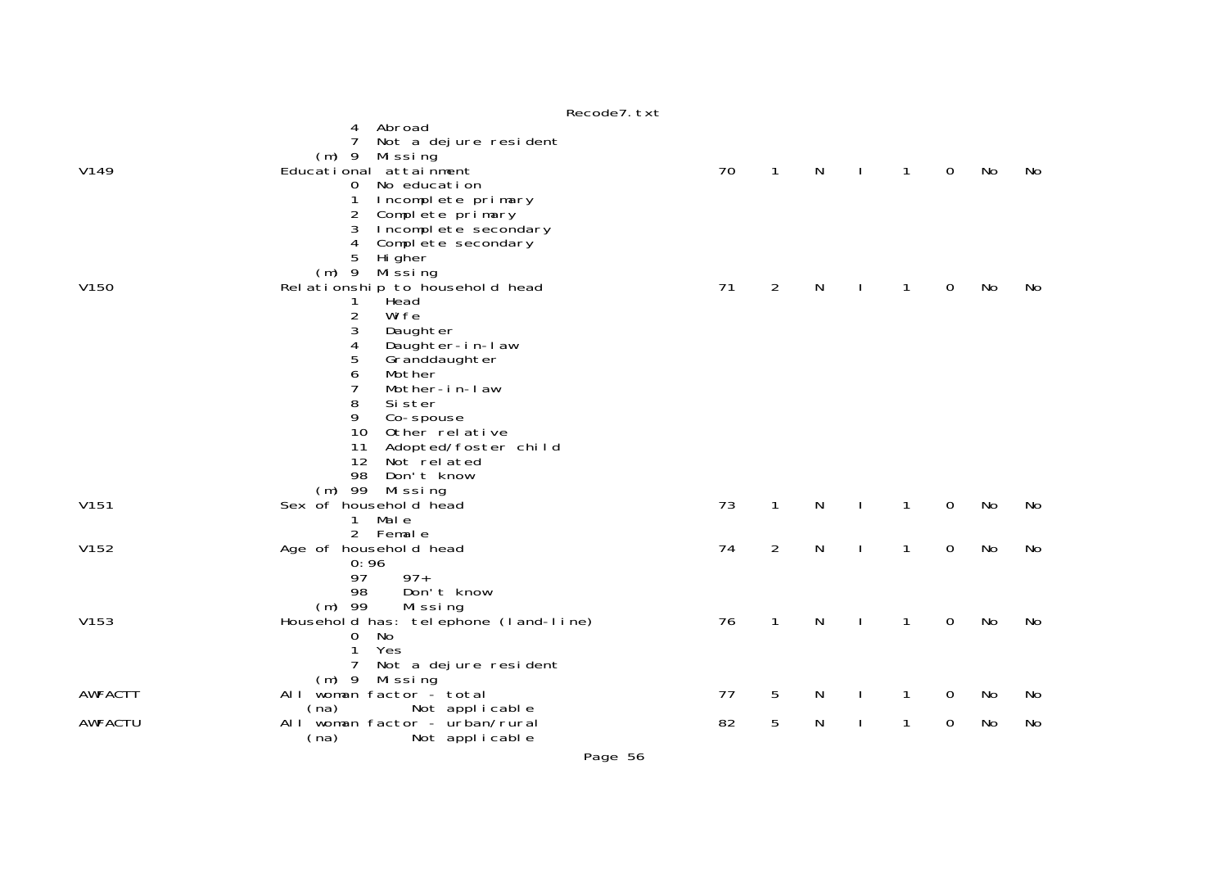|                  |                                                                                                                                                                                                                                                                                                                        | Recode7. txt |                |   |              |              |   |           |    |
|------------------|------------------------------------------------------------------------------------------------------------------------------------------------------------------------------------------------------------------------------------------------------------------------------------------------------------------------|--------------|----------------|---|--------------|--------------|---|-----------|----|
|                  | Abroad<br>4<br>7<br>Not a dejure resident<br>Missing<br>$(m)$ 9                                                                                                                                                                                                                                                        |              |                |   |              |              |   |           |    |
| V149             | Educational attainment<br>No education<br>$\overline{0}$<br>Incomplete primary<br>1<br>$\overline{c}$<br>Complete primary<br>3<br>Incomplete secondary<br>Complete secondary<br>4<br>5<br>Hi gher<br>$(m)$ 9<br>Mi ssi ng                                                                                              | 70           | $\mathbf{1}$   | N | $\mathbf{I}$ | $\mathbf{1}$ | 0 | No        | No |
| V <sub>150</sub> | Rel ationship to household head<br>Head<br>1<br>2<br>Wi fe<br>3<br>Daughter<br>4<br>Daughter-in-law<br>5<br>Granddaughter<br>6<br>Mother<br>7<br>Mother-in-law<br>8<br>Si ster<br>9<br>Co-spouse<br>10<br>Other relative<br>11<br>Adopted/foster child<br>12<br>Not related<br>98<br>Don't know<br>$(m)$ 99<br>Missing | 71           | $\overline{2}$ | N |              | 1            | 0 | No        | No |
| V <sub>151</sub> | Sex of household head<br>1 Male<br>2 Female                                                                                                                                                                                                                                                                            | 73           | $\mathbf{1}$   | N | <sup>1</sup> | $\mathbf{1}$ | 0 | <b>No</b> | No |
| V152             | Age of household head<br>0:96<br>$97+$<br>97<br>98<br>Don't know<br>$(m)$ 99<br>Missing                                                                                                                                                                                                                                | 74           | 2              | N | <sup>1</sup> | $\mathbf{1}$ | 0 | No        | No |
| V153             | Household has: telephone (land-line)<br>No<br>0<br>1<br>Yes<br>7<br>Not a dejure resident<br>$(m)$ 9 Missing                                                                                                                                                                                                           | 76           | $\mathbf{1}$   | N | $\mathbf{I}$ | $\mathbf{1}$ | 0 | No        | No |
| <b>AWFACTT</b>   | woman factor - total<br>AI I                                                                                                                                                                                                                                                                                           | 77           | 5              | N | J.           | 1            | 0 | No        | No |
| <b>AWFACTU</b>   | (na)<br>Not applicable<br>All woman factor - urban/rural<br>Not applicable<br>(na)                                                                                                                                                                                                                                     | 82           | 5              | N | ı            | 1            | 0 | No        | No |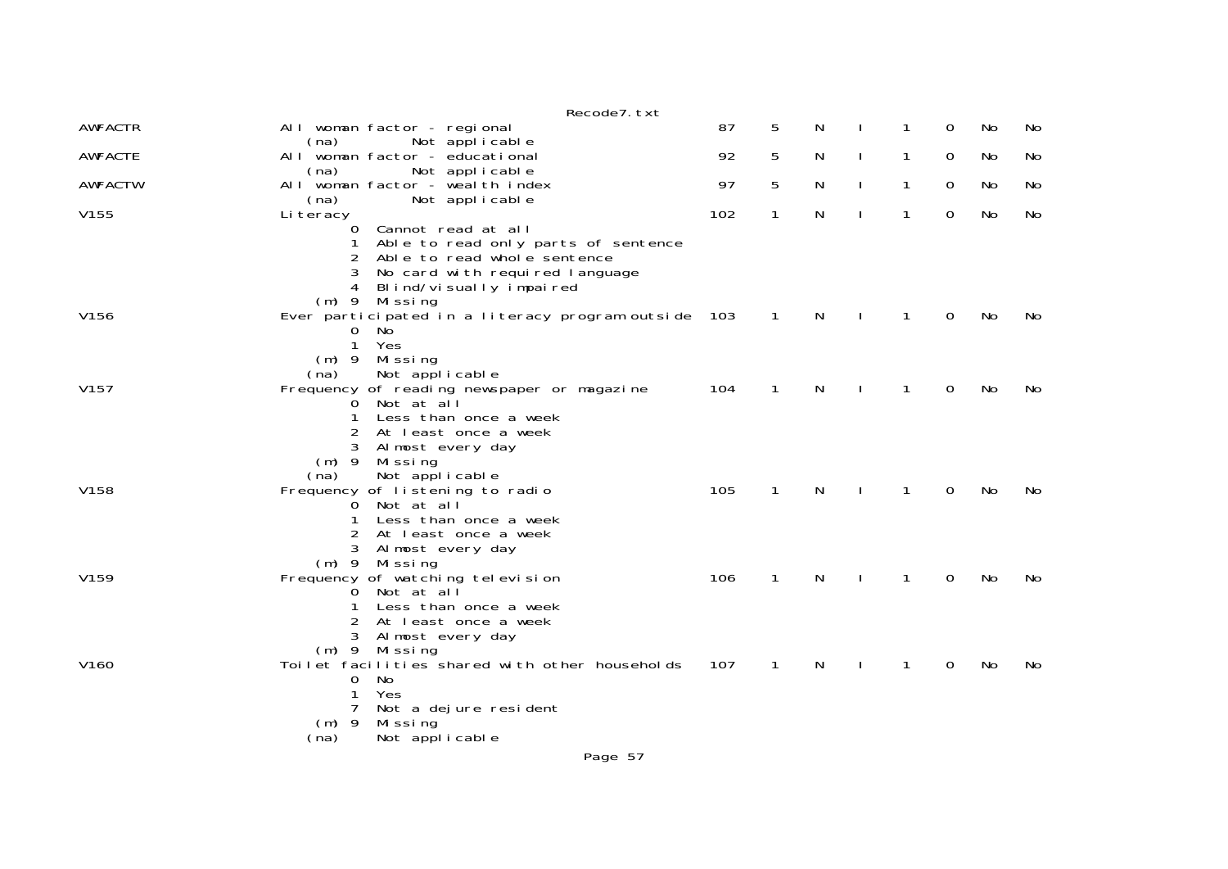|                  | Recode7. txt                                                                                                                                                                                                        |     |              |   |              |          |     |    |
|------------------|---------------------------------------------------------------------------------------------------------------------------------------------------------------------------------------------------------------------|-----|--------------|---|--------------|----------|-----|----|
| <b>AWFACTR</b>   | All woman factor - regional                                                                                                                                                                                         | 87  | 5            | N | 1            | 0        | No  | No |
| <b>AWFACTE</b>   | Not applicable<br>(na)<br>All woman factor - educational<br>Not applicable<br>(na)                                                                                                                                  | 92  | 5            | N | 1            | 0        | No  | No |
| <b>AWFACTW</b>   | All woman factor - wealth index<br>(na)<br>Not applicable                                                                                                                                                           | 97  | 5            | N | 1            | 0        | No. | No |
| V155             | Li teracy<br>$\mathbf 0$<br>Cannot read at all<br>Able to read only parts of sentence<br>Able to read whole sentence<br>3<br>No card with required language<br>Blind/visually impaired<br>4<br>Mi ssi ng<br>$(m)$ 9 | 102 | $\mathbf{1}$ | Ν | $\mathbf{1}$ | 0        | No  | No |
| V156             | Ever participated in a literacy program outside 103<br>No<br>0<br>Yes<br>1<br>(m) 9 Missing<br>Not applicable<br>(na)                                                                                               |     | $\mathbf{1}$ | N | 1            | 0        | No  | No |
| V <sub>157</sub> | Frequency of reading newspaper or magazine<br>Not at all<br>0<br>Less than once a week<br>1<br>At least once a week<br>3<br>Almost every day<br>$(m)$ 9<br>Mi ssi ng<br>Not applicable<br>(na)                      | 104 | 1            | N | 1            | 0        | No  | No |
| V158             | Frequency of listening to radio<br>O Not at all<br>Less than once a week<br>1<br>2<br>At least once a week<br>3<br>Almost every day<br>(m) 9 Missing                                                                | 105 | $\mathbf{1}$ | N | 1            | $\Omega$ | No  | No |
| V159             | Frequency of watching television<br>Not at all<br>0<br>Less than once a week<br>2<br>At least once a week<br>3<br>Almost every day<br>Missing<br>$(m)$ 9                                                            | 106 | $\mathbf{1}$ | N | $\mathbf{1}$ | 0        | No  | No |
| V160             | Toilet facilities shared with other households<br>$\mathbf 0$<br>No<br>Yes<br>Not a dejure resident<br>7<br>$(m)$ 9<br>Mi ssi ng<br>Not applicable<br>(na)                                                          | 107 | $\mathbf{1}$ | N | 1            | 0        | No  | No |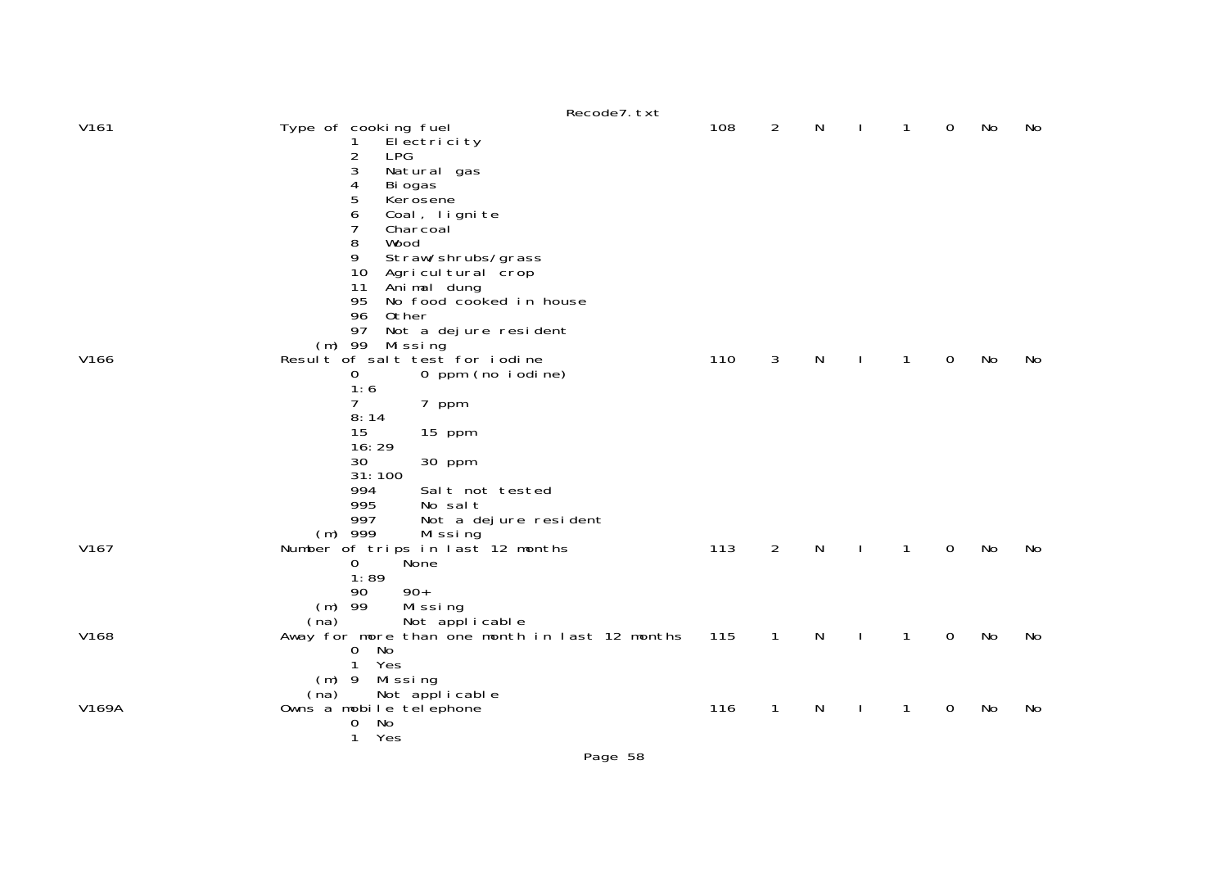|                  | Recode7. txt                                                                                                                                                                                                                                                                                                                                       |     |                |   |              |              |             |    |     |
|------------------|----------------------------------------------------------------------------------------------------------------------------------------------------------------------------------------------------------------------------------------------------------------------------------------------------------------------------------------------------|-----|----------------|---|--------------|--------------|-------------|----|-----|
| V <sub>161</sub> | Type of cooking fuel<br>El ectricity<br>2<br><b>LPG</b><br>3<br>Natural gas<br>4<br>Bi ogas<br>5<br>Kerosene<br>6<br>Coal, lignite<br>7<br>Charcoal<br>8<br>Wood<br>9<br>Straw/shrubs/grass<br>10<br>Agricul tural crop<br>Animal dung<br>11<br>95<br>No food cooked in house<br>96<br>Other<br>97<br>Not a dejure resident<br>$(m)$ 99<br>Missing | 108 | 2              | N |              | 1            | 0           | No | No  |
| V166             | Result of salt test for iodine<br>0 ppm (no iodine)<br>0<br>1:6<br>7<br>7 ppm<br>8:14<br>15<br>15 ppm<br>16:29<br>30<br>30 ppm<br>31:100<br>994<br>Salt not tested<br>995<br>No salt<br>997<br>Not a dejure resident                                                                                                                               | 110 | 3              | N |              | 1            | $\mathbf 0$ | No | No. |
| V167             | $(m)$ 999<br>Missing<br>Number of trips in last 12 months<br>None<br>$\mathbf{O}$<br>1:89<br>90<br>$90+$<br>$(m)$ 99<br>Missing<br>Not applicable<br>(na)                                                                                                                                                                                          | 113 | $\overline{2}$ | N | $\mathbf{I}$ | 1            | $\mathbf 0$ | No | No  |
| V168             | Away for more than one month in last 12 months<br>No<br>$\overline{0}$<br>Yes<br>1<br>Missing<br>$(m)$ 9<br>Not applicable<br>(na)                                                                                                                                                                                                                 | 115 | $\mathbf{1}$   | N | $\mathbf{I}$ | $\mathbf{1}$ | $\mathbf 0$ | No | No  |
| V169A            | Owns a mobile telephone<br>No<br>0<br>Yes<br>$\mathbf{1}$                                                                                                                                                                                                                                                                                          | 116 | 1              | N |              | 1            | 0           | No | No  |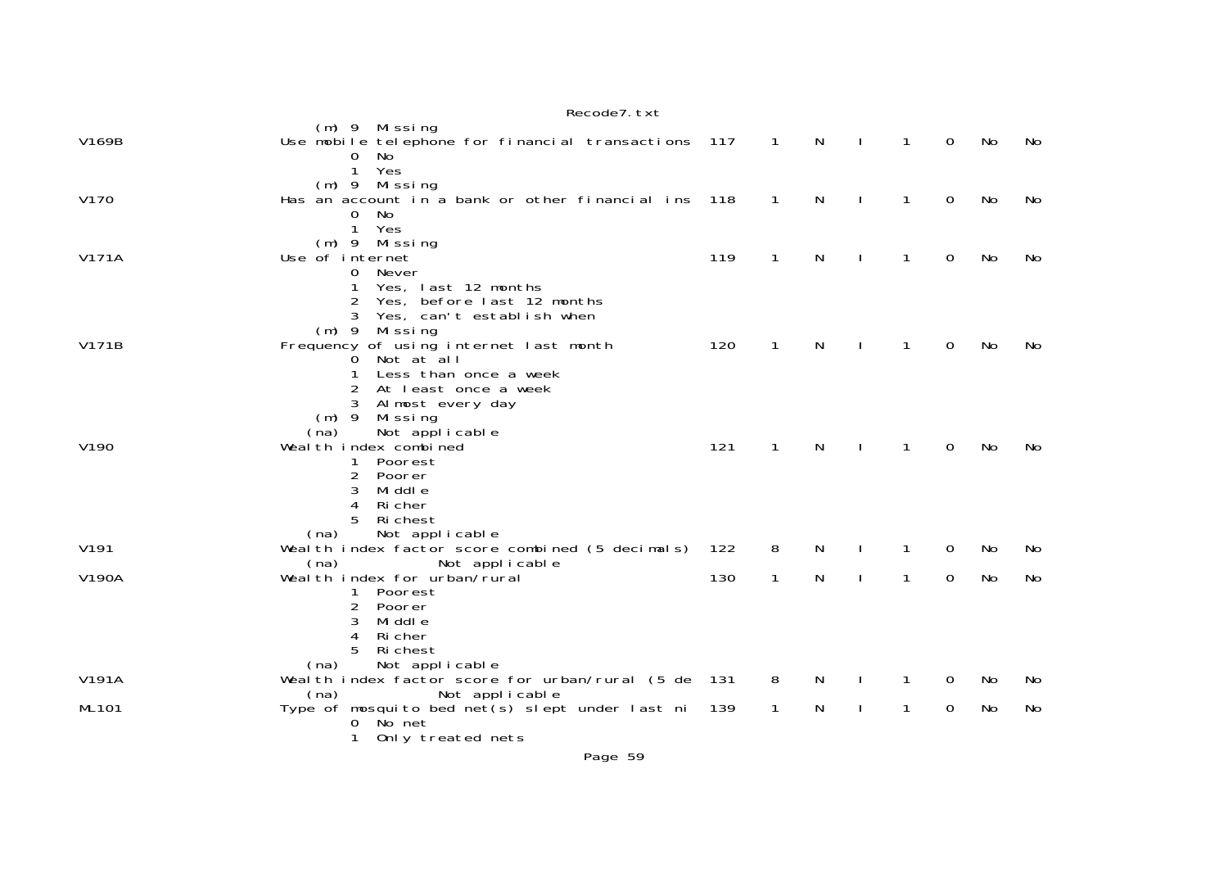|                  | Recode7. txt                                                              |       |                |              |              |              |   |    |    |
|------------------|---------------------------------------------------------------------------|-------|----------------|--------------|--------------|--------------|---|----|----|
|                  | (m) 9 Missing                                                             |       |                |              |              |              |   |    |    |
| V169B            | Use mobile telephone for financial transactions 117                       |       | $\overline{1}$ | N            | $\mathbf{I}$ | $\mathbf{1}$ | 0 | No | No |
|                  | 0<br>No.                                                                  |       |                |              |              |              |   |    |    |
|                  | Yes<br>$\mathbf{1}$                                                       |       |                |              |              |              |   |    |    |
|                  | (m) 9 Missing                                                             |       |                |              |              |              |   |    |    |
| V170             | Has an account in a bank or other financial ins                           | 118   | 1              | N            |              | 1            | 0 | No | No |
|                  | <b>No</b><br>0<br>$\mathbf{1}$<br>Yes                                     |       |                |              |              |              |   |    |    |
|                  | $(m)$ 9 Missing                                                           |       |                |              |              |              |   |    |    |
| V171A            | Use of internet                                                           | 119   | $\mathbf{1}$   | N            | $\mathbf{I}$ | $\mathbf{1}$ | 0 | No | No |
|                  | 0<br>Never                                                                |       |                |              |              |              |   |    |    |
|                  | Yes, last 12 months<br>1                                                  |       |                |              |              |              |   |    |    |
|                  | Yes, before last 12 months                                                |       |                |              |              |              |   |    |    |
|                  | Yes, can't establish when                                                 |       |                |              |              |              |   |    |    |
|                  | $(m)$ 9 Missing                                                           |       |                |              |              |              |   |    |    |
| V171B            | Frequency of using internet last month                                    | 120   | $\mathbf{1}$   | N            | $\perp$      | $\mathbf{1}$ | 0 | No | No |
|                  | Not at all<br>0                                                           |       |                |              |              |              |   |    |    |
|                  | Less than once a week<br>1                                                |       |                |              |              |              |   |    |    |
|                  | At least once a week                                                      |       |                |              |              |              |   |    |    |
|                  | Almost every day<br>3                                                     |       |                |              |              |              |   |    |    |
|                  | $(m)$ 9<br>Mi ssi ng                                                      |       |                |              |              |              |   |    |    |
|                  | Not applicable<br>(na)                                                    |       |                |              |              |              |   |    |    |
| V <sub>190</sub> | Wealth index combined                                                     | 121   | $\mathbf{1}$   | $\mathsf{N}$ | $\mathbf{I}$ | $\mathbf{1}$ | 0 | No | No |
|                  | Poorest<br>$\mathbf{1}$<br>$\overline{2}$<br>Poorer                       |       |                |              |              |              |   |    |    |
|                  | 3<br>Mi ddl e                                                             |       |                |              |              |              |   |    |    |
|                  | 4<br>Ri cher                                                              |       |                |              |              |              |   |    |    |
|                  | Ri chest                                                                  |       |                |              |              |              |   |    |    |
|                  | Not applicable<br>(na)                                                    |       |                |              |              |              |   |    |    |
| V191             | Wealth index factor score combined (5 decimals)                           | 122   | 8              | N            |              | 1            | 0 | No | No |
|                  | Not applicable<br>(na)                                                    |       |                |              |              |              |   |    |    |
| V190A            | Weal th index for urban/rural                                             | 130   | $\mathbf{1}$   | N            |              | $\mathbf{1}$ | 0 | No | No |
|                  | Poorest<br>1                                                              |       |                |              |              |              |   |    |    |
|                  | 2<br>Poorer                                                               |       |                |              |              |              |   |    |    |
|                  | 3<br>Mi ddl e                                                             |       |                |              |              |              |   |    |    |
|                  | 4<br>Ri cher                                                              |       |                |              |              |              |   |    |    |
|                  | Ri chest                                                                  |       |                |              |              |              |   |    |    |
|                  | Not applicable<br>(na)                                                    |       |                | N            |              |              |   |    |    |
| V191A            | Wealth index factor score for urban/rural (5 de<br>Not applicable<br>(na) | - 131 | 8              |              |              | 1            | 0 | No | No |
| <b>ML101</b>     | Type of mosquito bed net(s) slept under last ni                           | 139   | $\mathbf{1}$   | N            |              | $\mathbf{1}$ | 0 | No | No |
|                  | No net<br>0                                                               |       |                |              |              |              |   |    |    |
|                  | Only treated nets<br>1                                                    |       |                |              |              |              |   |    |    |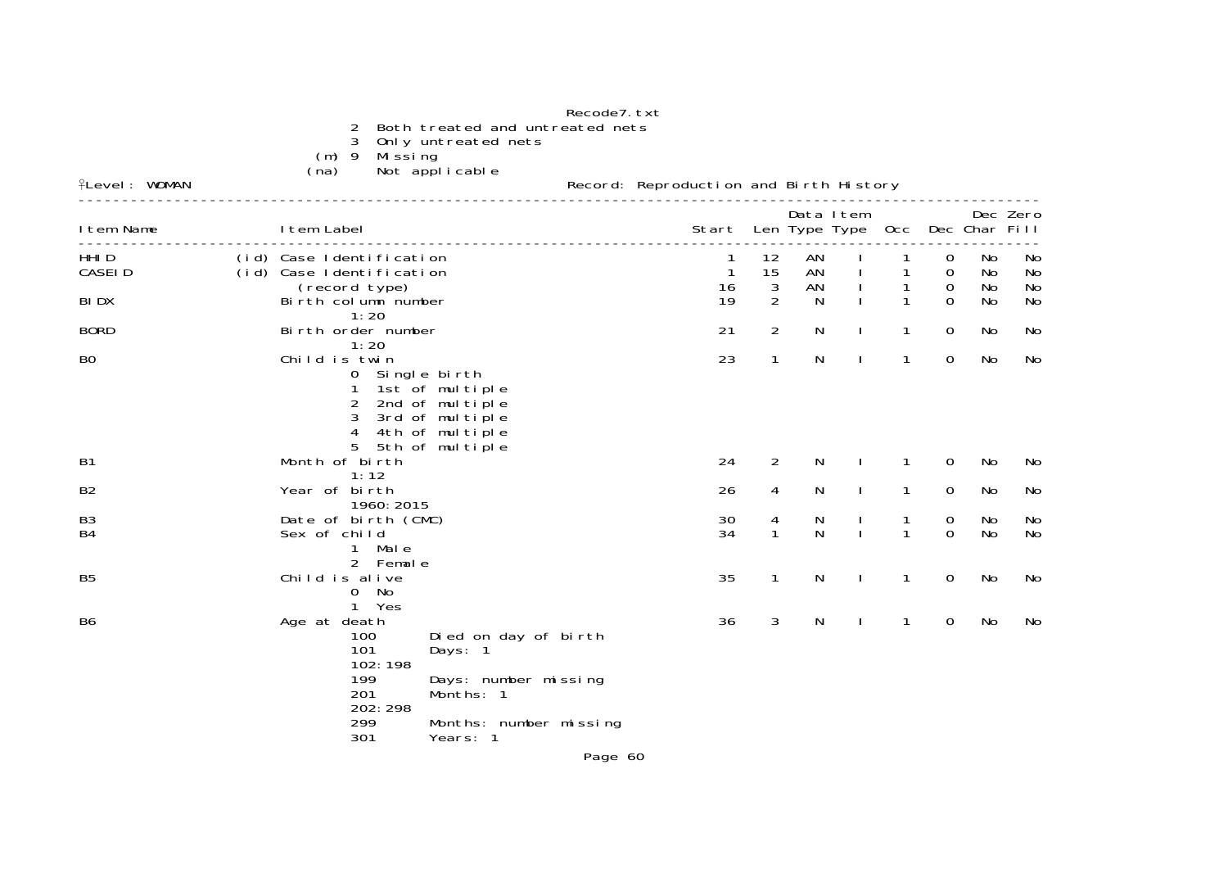|                                   | 2<br>3<br>- 9<br>(m)<br>Missing<br>(na)                                       | Both treated and untreated nets<br>Only untreated nets<br>Not applicable                                   | Recode7. txt |                                        |                        |                             |              |                                   |                       |                |                |
|-----------------------------------|-------------------------------------------------------------------------------|------------------------------------------------------------------------------------------------------------|--------------|----------------------------------------|------------------------|-----------------------------|--------------|-----------------------------------|-----------------------|----------------|----------------|
| <b>fLevel: WOMAN</b>              |                                                                               |                                                                                                            |              | Record: Reproduction and Birth History |                        |                             |              |                                   |                       |                |                |
| I tem Name                        | I tem Label                                                                   |                                                                                                            |              | Start                                  |                        | Data I tem<br>Len Type Type |              | 0cc                               |                       | Dec Char Fill  | Dec Zero       |
| HHI <sub>D</sub><br><b>CASEID</b> | (id) Case Identification<br>(id) Case Identification<br>(record type)         |                                                                                                            |              | $\mathbf{1}$<br>16                     | 12<br>15<br>$\sqrt{3}$ | AN<br>AN<br>AN              |              | 1<br>$\mathbf{1}$<br>$\mathbf{1}$ | 0<br>$\mathbf 0$<br>0 | No<br>No<br>No | No<br>No<br>No |
| <b>BIDX</b>                       | Birth column number<br>1:20                                                   |                                                                                                            |              | 19                                     | $\overline{2}$         | N                           |              | $\mathbf{1}$                      | 0                     | No             | No             |
| <b>BORD</b>                       | Birth order number                                                            |                                                                                                            |              | 21                                     | 2                      | N                           |              | $\mathbf{1}$                      | 0                     | No             | No             |
| B <sub>O</sub>                    | 1:20<br>Child is twin<br>0 Single birth<br>$\overline{2}$<br>3<br>4           | 1st of multiple<br>2nd of multiple<br>3rd of multiple<br>4th of multiple                                   |              | 23                                     | $\mathbf{1}$           | N                           | $\mathbf{I}$ | $\mathbf{1}$                      | $\mathbf 0$           | No             | No             |
| <b>B1</b>                         | Month of birth                                                                | 5 5th of multiple                                                                                          |              | 24                                     | 2                      | N                           |              | 1                                 | 0                     | No             | No             |
| B <sub>2</sub>                    | 1:12<br>Year of birth<br>1960: 2015                                           |                                                                                                            |              | 26                                     | 4                      | N                           |              | $\mathbf{1}$                      | 0                     | No             | No             |
| B <sub>3</sub><br><b>B4</b>       | Date of birth (CMC)<br>Sex of child<br>Mal e<br>1                             |                                                                                                            |              | 30<br>34                               | 4<br>$\mathbf{1}$      | N<br>N                      | $\mathbf{I}$ | 1<br>1                            | 0<br>$\Omega$         | No<br>No       | No<br>No       |
| <b>B5</b>                         | 2 Female<br>Child is alive<br>No<br>0<br>1 Yes                                |                                                                                                            |              | 35                                     | 1                      | N                           | <sup>1</sup> | $\mathbf{1}$                      | $\mathbf 0$           | No             | No             |
| <b>B6</b>                         | Age at death<br>100<br>101<br>102:198<br>199<br>201<br>202: 298<br>299<br>301 | Died on day of birth<br>Days: 1<br>Days: number missing<br>Months: 1<br>Months: number missing<br>Years: 1 | Page 60      | 36                                     | 3                      | N                           | $\mathbf{I}$ | $\mathbf{1}$                      | 0                     | No             | No             |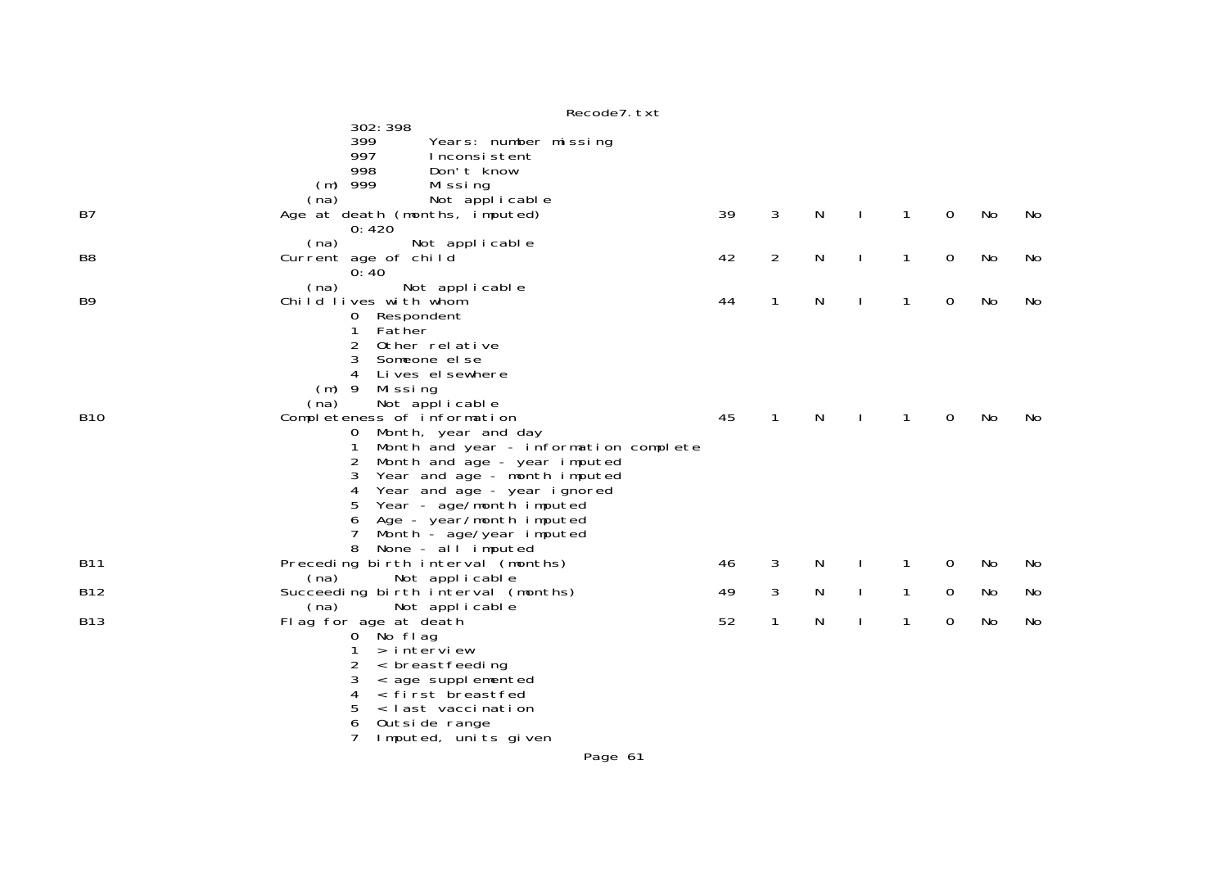|                | n                                                                  |    |                |           |              |              |             |    |    |
|----------------|--------------------------------------------------------------------|----|----------------|-----------|--------------|--------------|-------------|----|----|
|                | 302: 398<br>399<br>Years: number missing                           |    |                |           |              |              |             |    |    |
|                | 997<br>Inconsistent                                                |    |                |           |              |              |             |    |    |
|                | 998<br>Don't know                                                  |    |                |           |              |              |             |    |    |
|                | $(m)$ 999<br>Missing                                               |    |                |           |              |              |             |    |    |
|                | (na)<br>Not applicable                                             |    |                |           |              |              |             |    |    |
| B7             | Age at death (months, imputed)<br>0:420                            | 39 | 3              | N         |              | 1            | 0           | No | No |
|                | (na)<br>Not applicable                                             |    |                |           |              |              |             |    |    |
| B <sub>8</sub> | Current age of child<br>0:40                                       | 42 | $\overline{2}$ | ${\sf N}$ | $\mathbf{I}$ | $\mathbf{1}$ | 0           | No | No |
|                | (na)<br>Not applicable                                             |    |                |           |              |              |             |    |    |
| B <sub>9</sub> | Child lives with whom                                              | 44 | $\mathbf{1}$   | N         | $\mathbf{I}$ | $\mathbf{1}$ | 0           | No | No |
|                | 0 Respondent                                                       |    |                |           |              |              |             |    |    |
|                | Father<br>1<br>2<br>Other relative                                 |    |                |           |              |              |             |    |    |
|                | 3<br>Someone el se                                                 |    |                |           |              |              |             |    |    |
|                | Lives el sewhere<br>4                                              |    |                |           |              |              |             |    |    |
|                | $(m)$ 9<br>Mi ssi ng                                               |    |                |           |              |              |             |    |    |
|                | Not applicable<br>(na)                                             |    |                |           |              |              |             |    |    |
| <b>B10</b>     | Completeness of information<br>Month, year and day<br>$\mathbf{O}$ | 45 | 1              | N         |              | 1            | 0           | No | No |
|                | Month and year - information complete                              |    |                |           |              |              |             |    |    |
|                | Month and age - year imputed<br>$\overline{2}$                     |    |                |           |              |              |             |    |    |
|                | Year and age - month imputed<br>3                                  |    |                |           |              |              |             |    |    |
|                | 4<br>Year and age - year ignored                                   |    |                |           |              |              |             |    |    |
|                | 5<br>Year - age/month imputed                                      |    |                |           |              |              |             |    |    |
|                | Age - year/month imputed<br>6<br>7<br>Month - age/year imputed     |    |                |           |              |              |             |    |    |
|                | None - all $\overline{I}$ imputed<br>8                             |    |                |           |              |              |             |    |    |
| <b>B11</b>     | Preceding birth interval (months)                                  | 46 | 3              | N         |              | 1            | 0           | No | No |
|                | Not applicable<br>(na)                                             |    |                |           |              |              |             |    |    |
| <b>B12</b>     | Succeeding birth interval (months)                                 | 49 | 3              | N         | $\mathbf{I}$ | $\mathbf{1}$ | $\mathbf 0$ | No | No |
| <b>B13</b>     | (na)<br>Not applicable<br>Flag for age at death                    | 52 | 1              | N         | $\mathbf{I}$ | 1            | 0           | No | No |
|                | 0 No flag                                                          |    |                |           |              |              |             |    |    |
|                | > interview<br>1                                                   |    |                |           |              |              |             |    |    |
|                | < breastfeeding<br>2                                               |    |                |           |              |              |             |    |    |
|                | 3<br>< age supplemented                                            |    |                |           |              |              |             |    |    |
|                | 4<br>< first breastfed<br>5<br>< last vaccination                  |    |                |           |              |              |             |    |    |
|                | Outside range                                                      |    |                |           |              |              |             |    |    |
|                | Imputed, units given                                               |    |                |           |              |              |             |    |    |
|                | <b>D.</b> 14                                                       |    |                |           |              |              |             |    |    |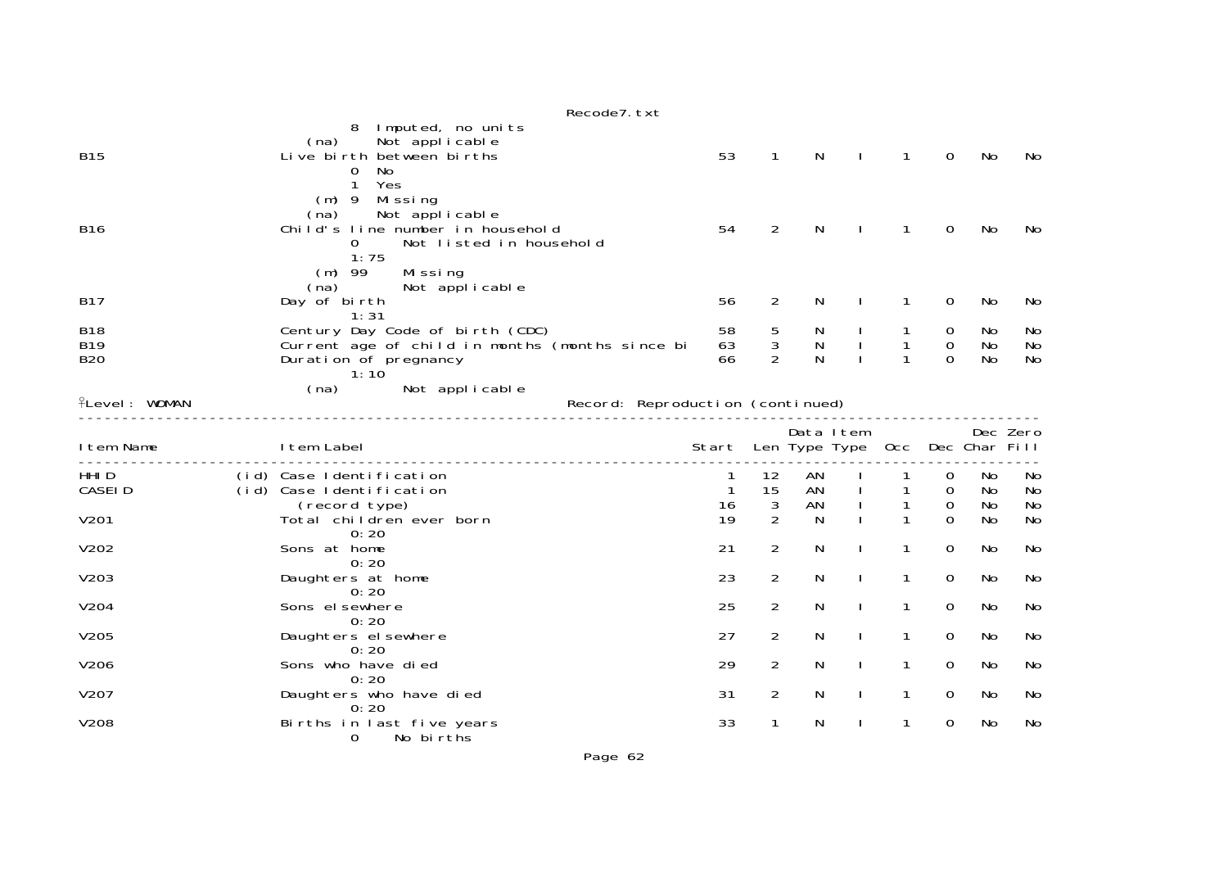|                                        | Recode7. txt                                                                                                                 |                                  |                       |                            |              |              |                                 |                       |                       |
|----------------------------------------|------------------------------------------------------------------------------------------------------------------------------|----------------------------------|-----------------------|----------------------------|--------------|--------------|---------------------------------|-----------------------|-----------------------|
| <b>B15</b>                             | Imputed, no units<br>8<br>Not applicable<br>(na)<br>Live birth between births<br>No<br>0<br>Yes<br>$\mathbf{1}$              | 53                               | $\mathbf 1$           | N                          |              | $\mathbf{1}$ | $\Omega$                        | No                    | No                    |
| <b>B16</b>                             | $(m)$ 9 Missing<br>Not applicable<br>(na)<br>Child's line number in household<br>Not listed in household<br>$\Omega$<br>1:75 | 54                               | $\overline{a}$        | N                          |              | 1            | 0                               | No                    | No                    |
| <b>B17</b>                             | $(m)$ 99<br>Missing<br>Not applicable<br>(na)<br>Day of birth<br>1:31                                                        | 56                               | $\overline{2}$        | N                          |              |              | $\mathbf 0$                     | No                    | No                    |
| <b>B18</b><br><b>B19</b><br><b>B20</b> | Century Day Code of birth (CDC)<br>Current age of child in months (months since bi<br>Duration of pregnancy<br>1:10          | 58<br>63<br>66                   | $\mathbf 5$<br>3<br>2 | N<br>${\sf N}$<br>N        |              | $\mathbf{1}$ | 0<br>$\overline{0}$<br>$\Omega$ | No<br>No<br><b>No</b> | No<br>No<br><b>No</b> |
| <b>ILevel: WOMAN</b>                   | (na)<br>Not applicable                                                                                                       | Record: Reproduction (continued) |                       |                            |              |              |                                 |                       |                       |
| I tem Name                             | I tem Label                                                                                                                  | Start                            |                       | Data Item<br>Len Type Type |              | 0cc          |                                 | Dec Char Fill         | Dec Zero              |
| HHI D<br><b>CASEID</b>                 | (id) Case Identification<br>(id) Case Identification<br>(record type)                                                        | $\mathbf{1}$<br>16               | 12<br>15<br>3         | AN<br>AN<br>AN             |              | 1            | 0<br>0<br>0                     | No<br>No<br>No        | No<br>No<br><b>No</b> |
| V201                                   | Total children ever born<br>0:20                                                                                             | 19                               | $\overline{2}$        | N                          |              |              | $\Omega$                        | No                    | No                    |
| V202                                   | Sons at home                                                                                                                 | 21                               | 2                     | N                          |              | 1            | 0                               | No                    | No                    |
| V203                                   | 0:20<br>Daughters at home                                                                                                    | 23                               | $\overline{2}$        | N                          |              | 1            | 0                               | No                    | No                    |
| V204                                   | 0:20<br>Sons el sewhere                                                                                                      | 25                               | 2                     | N                          | $\mathbf{I}$ | 1            | 0                               | No                    | No                    |
| V205                                   | 0:20<br>Daughters el sewhere                                                                                                 | 27                               | $\overline{2}$        | N                          |              | 1            | 0                               | No                    | No                    |
| V206                                   | 0:20<br>Sons who have died                                                                                                   | 29                               | $\overline{a}$        | N                          |              | 1            | 0                               | No                    | No                    |
| V207                                   | 0:20<br>Daughters who have died                                                                                              | 31                               | $\overline{a}$        | N                          | $\mathbf{I}$ | 1            | 0                               | No                    | No                    |
| V208                                   | 0:20<br>Births in last five years                                                                                            |                                  |                       |                            |              |              |                                 |                       |                       |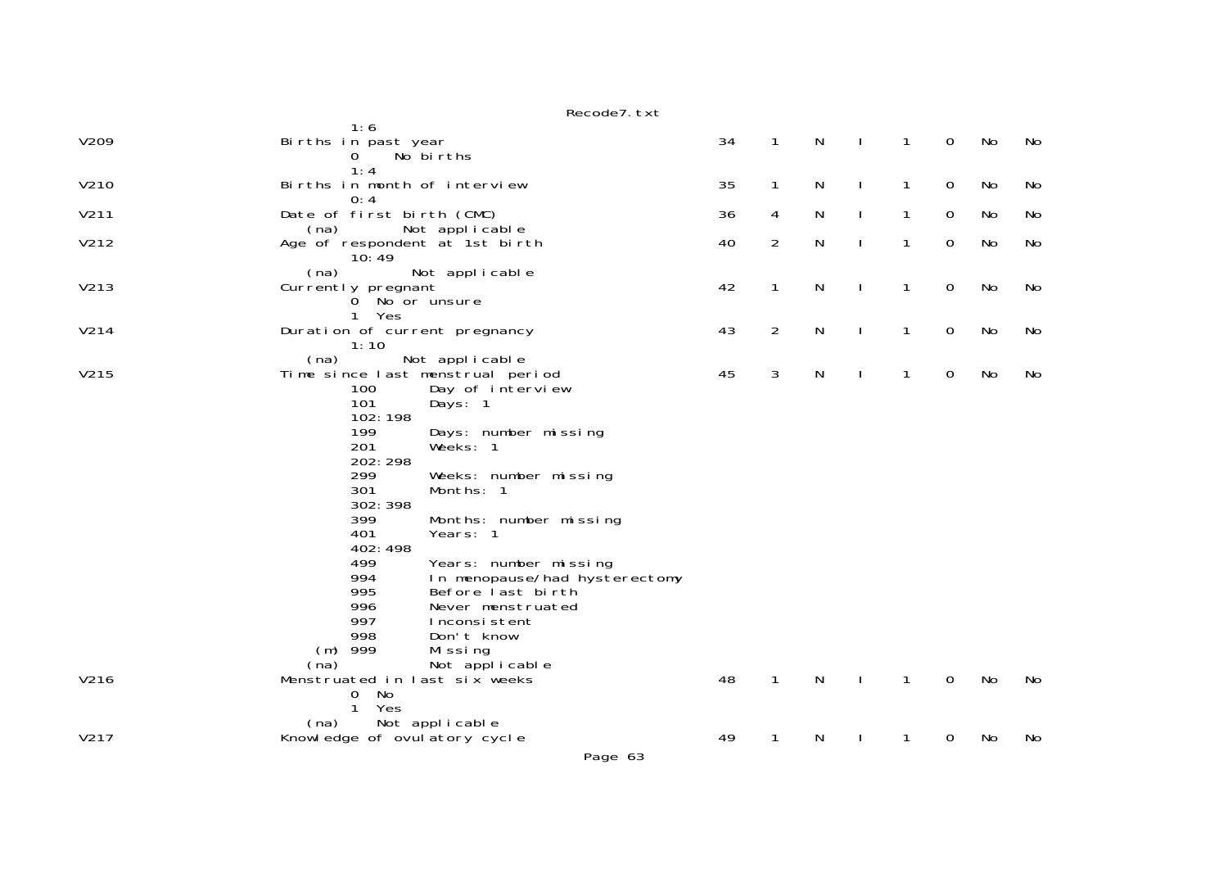|      | Recode7. txt                                                                                                                                                                                                                                                                                                                                                                                                                |    |                |              |              |              |             |    |    |
|------|-----------------------------------------------------------------------------------------------------------------------------------------------------------------------------------------------------------------------------------------------------------------------------------------------------------------------------------------------------------------------------------------------------------------------------|----|----------------|--------------|--------------|--------------|-------------|----|----|
| V209 | 1:6<br>Births in past year<br>No births<br>$\sigma$<br>1:4                                                                                                                                                                                                                                                                                                                                                                  | 34 | $\mathbf{1}$   | N            | $\mathbf{I}$ | $\mathbf{1}$ | $\mathbf 0$ | No | No |
| V210 | Births in month of interview<br>0:4                                                                                                                                                                                                                                                                                                                                                                                         | 35 | $\mathbf{1}$   | N            | $\mathbf{I}$ | $\mathbf{1}$ | $\mathbf 0$ | No | No |
| V211 | Date of first birth (CMC)                                                                                                                                                                                                                                                                                                                                                                                                   | 36 | 4              | N            | $\mathbf{I}$ | 1            | $\mathbf 0$ | No | No |
| V212 | Not applicable<br>(na)<br>Age of respondent at 1st birth<br>10:49                                                                                                                                                                                                                                                                                                                                                           | 40 | $\overline{2}$ | N            | $\mathbf{I}$ | 1            | $\mathbf 0$ | No | No |
| V213 | (na)<br>Not applicable<br>Currently pregnant<br>0 No or unsure<br>Yes<br>1                                                                                                                                                                                                                                                                                                                                                  | 42 | $\mathbf{1}$   | N            | $\mathbf{I}$ | 1            | $\mathbf 0$ | No | No |
| V214 | Duration of current pregnancy                                                                                                                                                                                                                                                                                                                                                                                               | 43 | $\overline{2}$ | $\mathsf{N}$ | $\mathbf{I}$ | $\mathbf{1}$ | $\mathbf 0$ | No | No |
| V215 | 1:10<br>(na)<br>Not applicable<br>Time since last menstrual period<br>100<br>Day of interview<br>101<br>Days: 1<br>102:198<br>199<br>Days: number missing<br>201<br>Weeks: 1<br>202: 298<br>299<br>Weeks: number missing<br>301<br>Months: 1<br>302: 398<br>399<br>Months: number missing<br>401<br>Years: 1<br>402:498<br>499<br>Years: number missing<br>994<br>In menopause/had hysterectomy<br>995<br>Before last birth | 45 | 3              | $\mathsf{N}$ | $\mathbf{I}$ | $\mathbf{1}$ | $\mathbf 0$ | No | No |
| V216 | 996<br>Never menstruated<br>997<br>Inconsistent<br>998<br>Don't know<br>999<br>(m)<br>Missing<br>Not applicable<br>(na)<br>Menstruated in last six weeks<br>No<br>0                                                                                                                                                                                                                                                         | 48 | $\mathbf{1}$   | N            | $\mathbf{I}$ | $\mathbf{1}$ | $\mathbf 0$ | No | No |
|      | $\mathbf{1}$<br>Yes<br>Not applicable<br>(na)                                                                                                                                                                                                                                                                                                                                                                               |    |                |              |              |              |             |    |    |
| V217 | Knowledge of ovulatory cycle                                                                                                                                                                                                                                                                                                                                                                                                | 49 | 1              | N            |              | 1            | 0           | No | No |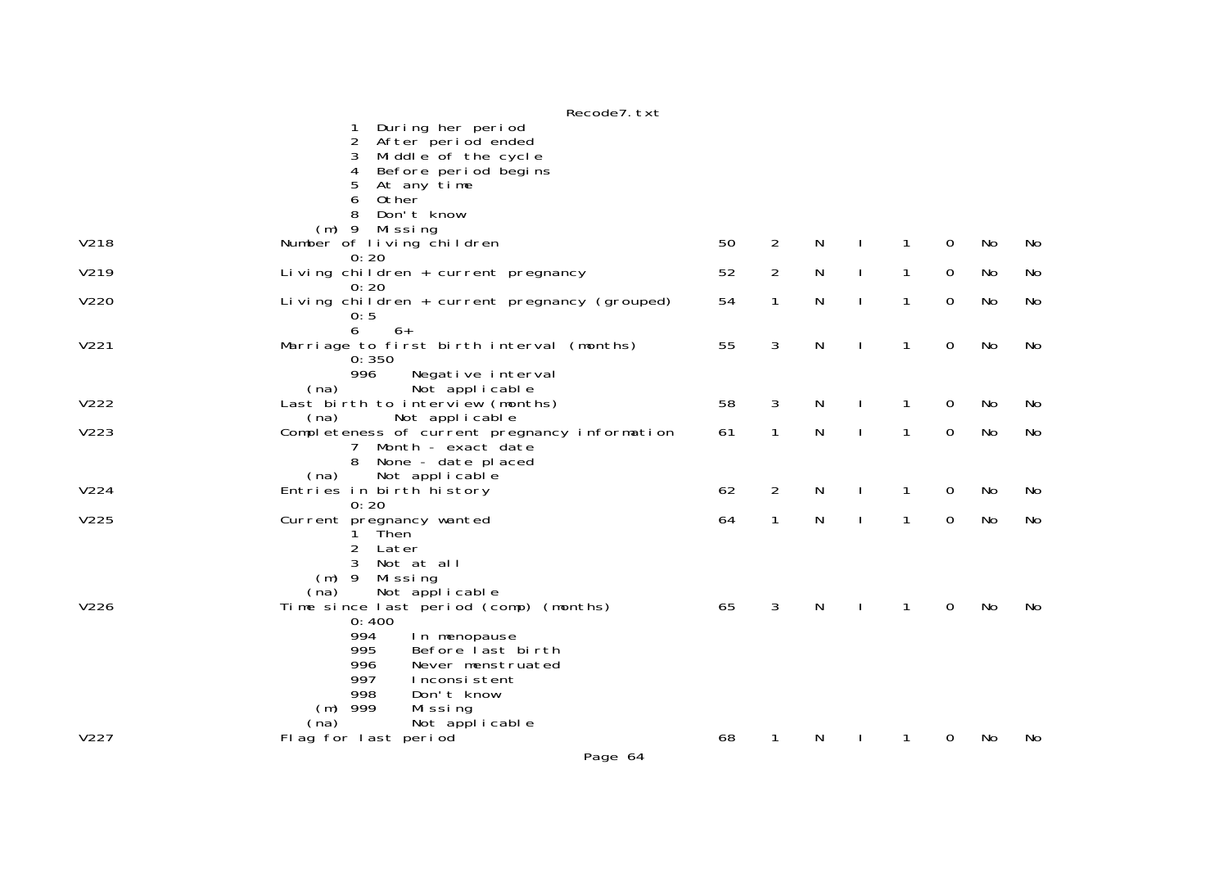|      | Recode7. txt                                                                                                            |    |                |   |              |              |   |     |           |
|------|-------------------------------------------------------------------------------------------------------------------------|----|----------------|---|--------------|--------------|---|-----|-----------|
|      | During her period<br>After period ended<br>2<br>Middle of the cycle<br>3<br>Before period begins<br>4                   |    |                |   |              |              |   |     |           |
|      | 5<br>At any time<br>6<br>0ther                                                                                          |    |                |   |              |              |   |     |           |
|      | Don't know<br>8<br>$(m)$ 9                                                                                              |    |                |   |              |              |   |     |           |
| V218 | Missing<br>Number of living children<br>0:20                                                                            | 50 | 2              | N |              | 1            | 0 | No  | No        |
| V219 | Living children + current pregnancy<br>0:20                                                                             | 52 | $\overline{2}$ | N | $\mathbf{L}$ | $\mathbf{1}$ | 0 | No  | <b>No</b> |
| V220 | Living $chi$ 1 dren + current pregnancy (grouped)<br>0:5                                                                | 54 | 1              | N | $\mathbf{I}$ | 1            | 0 | No  | No        |
| V221 | 6<br>$6+$<br>Marriage to first birth interval (months)<br>0:350                                                         | 55 | 3              | N |              | 1            | 0 | No  | No        |
|      | 996<br>Negative interval<br>Not applicable<br>(na)                                                                      |    |                |   |              |              |   |     |           |
| V222 | Last birth to interview (months)<br>Not applicable<br>(na)                                                              | 58 | 3              | N |              | 1            | 0 | No  | No        |
| V223 | Completeness of current pregnancy information<br>Month - exact date<br>None - date placed<br>8                          | 61 | 1              | N | $\mathbf{I}$ | 1            | 0 | No  | <b>No</b> |
| V224 | Not applicable<br>(na)<br>Entries in birth history<br>0:20                                                              | 62 | $\overline{2}$ | N |              | 1            | 0 | No  | No        |
| V225 | Current pregnancy wanted<br>Then<br>1.<br>$\overline{2}$<br>Later                                                       | 64 | $\mathbf{1}$   | N | $\mathbf{I}$ | $\mathbf{1}$ | 0 | No  | No        |
|      | 3<br>Not at all<br>$(m)$ 9<br>Mi ssi ng<br>Not applicable<br>(na)                                                       |    |                |   |              |              |   |     |           |
| V226 | Time since last period (comp) (months)<br>0:400                                                                         | 65 | 3              | N |              | 1            | 0 | No  | No        |
|      | 994<br>In menopause<br>995<br>Before last birth<br>996<br>Never menstruated<br>997<br>Inconsistent<br>998<br>Don't know |    |                |   |              |              |   |     |           |
|      | $(m)$ 999<br>Missing                                                                                                    |    |                |   |              |              |   |     |           |
| V227 | Not applicable<br>(na)<br>Flag for last period                                                                          | 68 | 1              | N |              | 1            | 0 | No. | No        |
|      | Page 64                                                                                                                 |    |                |   |              |              |   |     |           |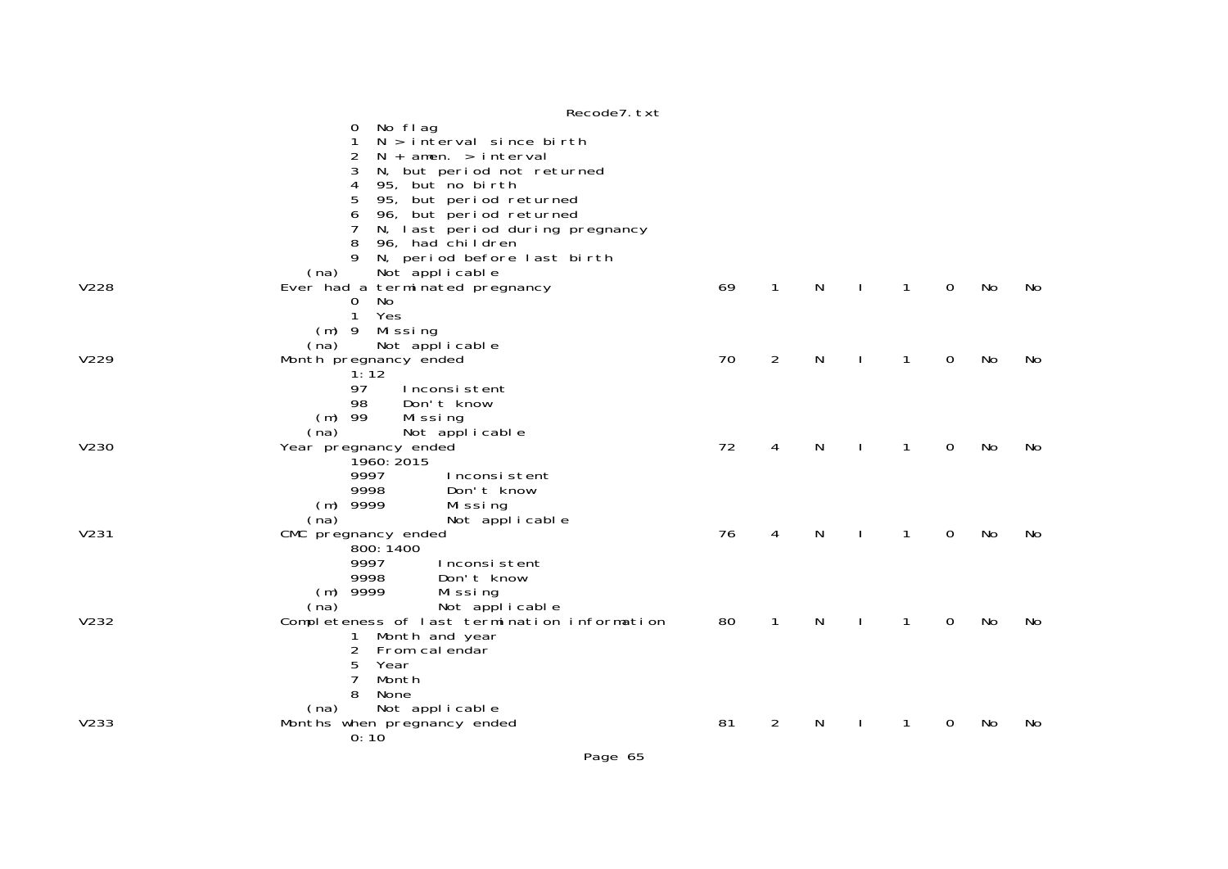|      | $\frac{1}{2}$                                                       |    |                |           |              |              |             |    |    |
|------|---------------------------------------------------------------------|----|----------------|-----------|--------------|--------------|-------------|----|----|
|      | No flag<br>O                                                        |    |                |           |              |              |             |    |    |
|      | $N > i$ nterval since birth                                         |    |                |           |              |              |             |    |    |
|      | 2<br>$N + amen. > interval$                                         |    |                |           |              |              |             |    |    |
|      | 3<br>N, but period not returned                                     |    |                |           |              |              |             |    |    |
|      | 95, but no birth<br>4                                               |    |                |           |              |              |             |    |    |
|      | 95, but period returned<br>5                                        |    |                |           |              |              |             |    |    |
|      | 96, but period returned<br>6                                        |    |                |           |              |              |             |    |    |
|      | N, last period during pregnancy                                     |    |                |           |              |              |             |    |    |
|      | 8<br>96, had children                                               |    |                |           |              |              |             |    |    |
|      | N, period before last birth<br>9                                    |    |                |           |              |              |             |    |    |
|      | Not applicable<br>(na)                                              |    |                |           |              |              |             |    |    |
| V228 | Ever had a terminated pregnancy                                     | 69 | $\mathbf{1}$   | N         |              | $\mathbf{1}$ | $\mathbf 0$ | No | No |
|      | No<br>$\mathbf{O}$                                                  |    |                |           |              |              |             |    |    |
|      | Yes<br>$\mathbf{1}$                                                 |    |                |           |              |              |             |    |    |
|      | (m) 9 Missing                                                       |    |                |           |              |              |             |    |    |
|      | Not applicable<br>(na)                                              |    |                |           |              |              |             |    |    |
| V229 | Month pregnancy ended                                               | 70 | 2              | N         |              | 1            | 0           | No | No |
|      | 1:12                                                                |    |                |           |              |              |             |    |    |
|      | 97<br>Inconsistent                                                  |    |                |           |              |              |             |    |    |
|      | 98<br>Don't know                                                    |    |                |           |              |              |             |    |    |
|      | $(m)$ 99<br>Mi ssi ng                                               |    |                |           |              |              |             |    |    |
|      | (na)<br>Not applicable                                              |    |                |           |              |              |             |    |    |
| V230 | Year pregnancy ended                                                | 72 | 4              | N         |              | 1            | 0           | No | No |
|      | 1960: 2015                                                          |    |                |           |              |              |             |    |    |
|      | 9997<br>Inconsistent                                                |    |                |           |              |              |             |    |    |
|      | 9998<br>Don't know                                                  |    |                |           |              |              |             |    |    |
|      | $(m)$ 9999<br>Missing                                               |    |                |           |              |              |             |    |    |
|      | Not applicable<br>(na)                                              |    |                |           |              |              |             |    |    |
| V231 | CMC pregnancy ended                                                 | 76 | 4              | N         |              | 1            | 0           | No | No |
|      | 800: 1400                                                           |    |                |           |              |              |             |    |    |
|      | 9997<br>Inconsistent<br>9998                                        |    |                |           |              |              |             |    |    |
|      | Don't know                                                          |    |                |           |              |              |             |    |    |
|      | $(m)$ 9999<br>Missing                                               |    |                |           |              |              |             |    |    |
| V232 | (na) Not applicable<br>Completeness of last termination information |    | $\mathbf{1}$   | ${\sf N}$ |              | $\mathbf{1}$ | $\mathbf 0$ | No |    |
|      |                                                                     | 80 |                |           | $\mathbf{I}$ |              |             |    | No |
|      | Month and year<br>1<br>$\overline{2}$<br>From calendar              |    |                |           |              |              |             |    |    |
|      | 5<br>Year                                                           |    |                |           |              |              |             |    |    |
|      | Month<br>7                                                          |    |                |           |              |              |             |    |    |
|      | 8<br>None                                                           |    |                |           |              |              |             |    |    |
|      |                                                                     |    |                |           |              |              |             |    |    |
| V233 | Not applicable<br>(na)<br>Months when pregnancy ended               | 81 | $\overline{2}$ | N         |              | 1            | 0           | No | No |
|      | 0:10                                                                |    |                |           |              |              |             |    |    |
|      |                                                                     |    |                |           |              |              |             |    |    |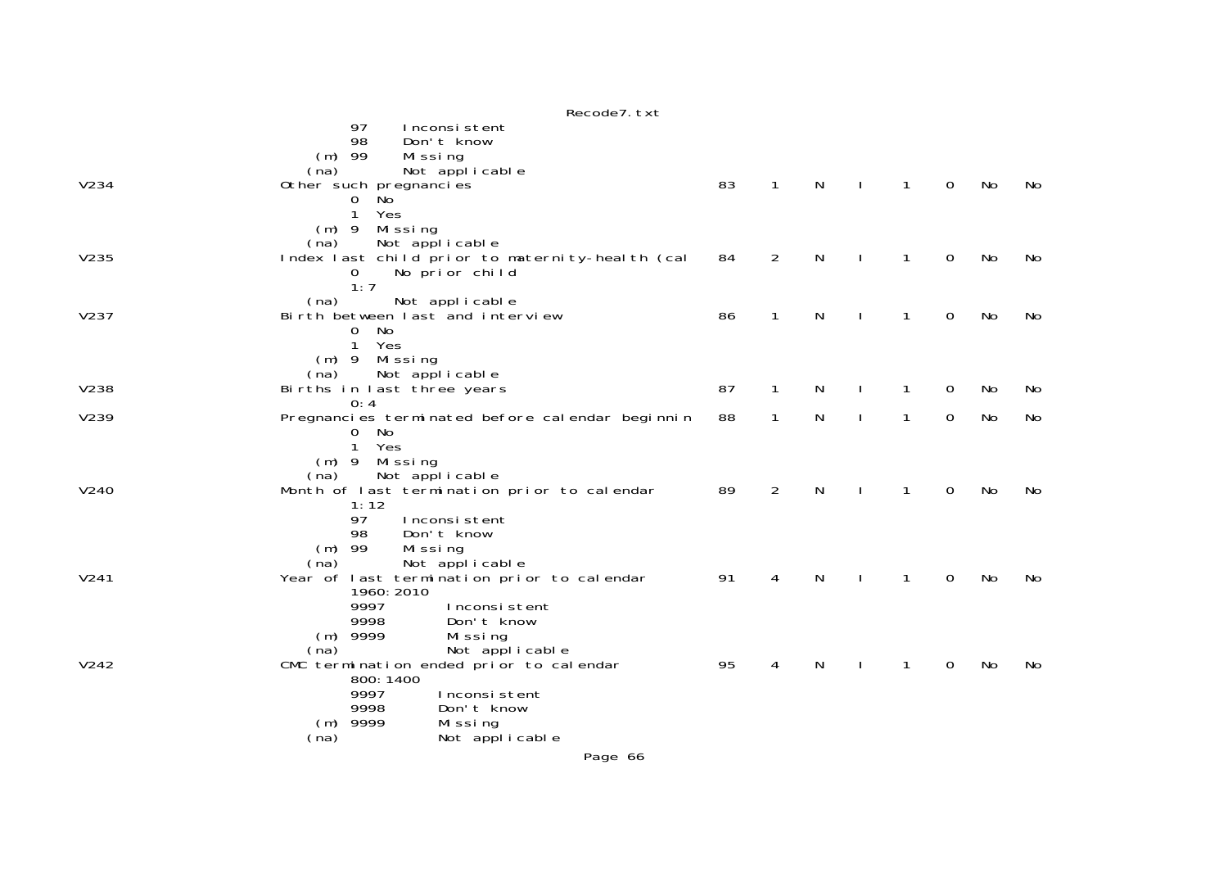|      | Recode7. txt                                                                                                                                                                    |    |                |   |              |              |              |    |    |
|------|---------------------------------------------------------------------------------------------------------------------------------------------------------------------------------|----|----------------|---|--------------|--------------|--------------|----|----|
|      | 97<br>Inconsistent<br>98<br>Don't know<br>$(m)$ 99<br>Mi ssi ng<br>(na)<br>Not applicable                                                                                       |    |                |   |              |              |              |    |    |
| V234 | Other such pregnancies<br>N <sub>o</sub><br>0<br>$\mathbf{1}$<br>Yes<br>$(m)$ 9<br>Missing                                                                                      | 83 | $\mathbf{1}$   | N |              | $\mathbf{1}$ | $\mathbf{O}$ | No | No |
| V235 | Not applicable<br>(na)<br>Index last child prior to maternity-health (cal<br>No prior child<br>$\mathbf{O}$<br>1:7                                                              | 84 | $\overline{2}$ | N |              | 1            | 0            | No | No |
| V237 | (na)<br>Not applicable<br>Birth between last and interview<br>No<br>$\mathbf{O}$<br>$\mathbf{1}$<br>Yes<br>$(m)$ 9<br>Missing                                                   | 86 | $\mathbf{1}$   | N |              | 1            | $\mathbf 0$  | No | No |
| V238 | Not applicable<br>(na)<br>Births in last three years                                                                                                                            | 87 | $\mathbf{1}$   | N |              | 1            | 0            | No | No |
| V239 | 0:4<br>Pregnancies terminated before calendar beginnin<br>No<br>$\overline{0}$<br>Yes<br>$\mathbf{1}$                                                                           | 88 | $\mathbf{1}$   | N | $\mathbf{I}$ | $\mathbf{1}$ | 0            | No | No |
| V240 | Missing<br>$(m)$ 9<br>Not applicable<br>(na)<br>Month of last termination prior to calendar<br>1:12<br>97<br>Inconsistent<br>98<br>Don't know<br>$(m)$ 99<br>Missing            | 89 | $\overline{2}$ | N |              | 1            | 0            | No | No |
| V241 | Not applicable<br>(na)<br>Year of last termination prior to calendar<br>1960: 2010<br>9997<br>Inconsistent<br>9998<br>Don't know<br>$(m)$ 9999<br>Missing                       | 91 | 4              | N |              | 1            | 0            | No | No |
| V242 | Not applicable<br>(na)<br>CMC termination ended prior to calendar<br>800: 1400<br>9997<br>Inconsistent<br>9998<br>Don't know<br>$(m)$ 9999<br>Missing<br>(na)<br>Not applicable | 95 | 4              | N |              | 1            | 0            | No | No |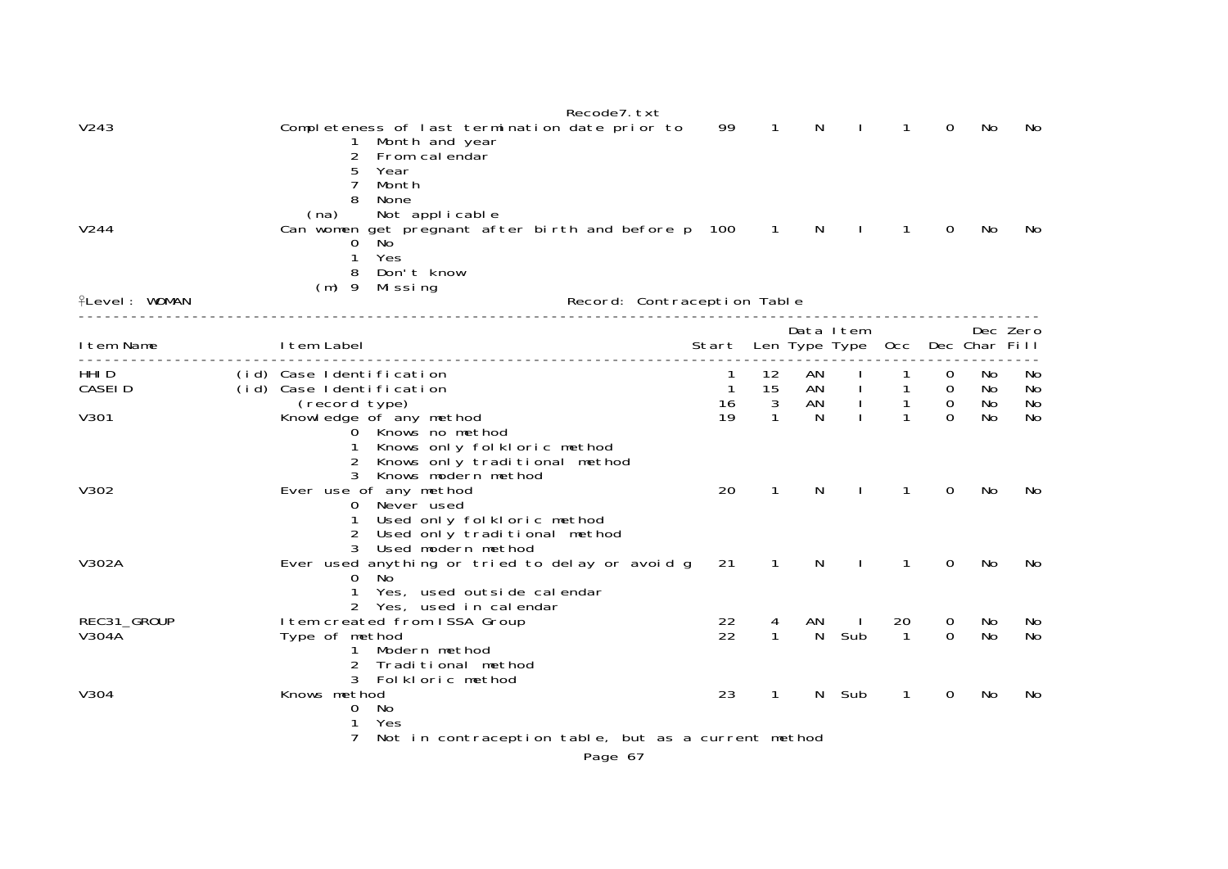|                      | Recode7. txt                                                                                                                                                       |                                       |                          |          |                      |                                  |                                       |                  |                |
|----------------------|--------------------------------------------------------------------------------------------------------------------------------------------------------------------|---------------------------------------|--------------------------|----------|----------------------|----------------------------------|---------------------------------------|------------------|----------------|
| V243                 | Completeness of last termination date prior to<br>Month and year<br>2<br>From calendar<br>5<br>Year<br>7<br>Month                                                  | 99                                    | 1                        | N        |                      | 1                                | 0                                     | No               | No             |
| V244                 | 8<br>None<br>Not applicable<br>(na)<br>Can women get pregnant after birth and before p 100<br>No <sup>'</sup><br>0<br>Yes<br>1<br>Don't know<br>8<br>(m) 9 Missing |                                       | $\sim$ 1                 | N.       | $\mathbf{I}$         | $\mathbf{1}$                     | 0                                     | No               | No             |
| <b>flevel: WOMAN</b> | Record: Contraception Table                                                                                                                                        |                                       |                          |          |                      |                                  |                                       |                  |                |
| I tem Name           | I tem Label                                                                                                                                                        | Start Len Type Type Occ Dec Char Fill |                          |          | Data Item            |                                  |                                       |                  | Dec Zero       |
| HHI D<br>CASEI D     | (id) Case Identification<br>(id) Case Identification<br>(record type)                                                                                              | $\overline{1}$<br>16                  | 12<br>15<br>$\mathbf{3}$ | AN<br>AN | AN I<br>$\mathbf{L}$ | $\overline{1}$<br>$\overline{1}$ | 0<br>$\overline{0}$<br>$\overline{0}$ | No.<br>No<br>No  | No<br>No<br>No |
| V301                 | Knowledge of any method<br>0 Knows no method<br>Knows only folkloric method<br>Knows only traditional method<br>Knows modern method<br>3                           | 19                                    | $\mathbf{1}$             | N        |                      | $\mathbf{1}$                     | $\Omega$                              | No               | No             |
| V302                 | Ever use of any method<br>0 Never used<br>Used only folkloric method<br>2 Used only traditional method<br>Used modern method<br>3                                  | 20                                    | $\mathbf{1}$             | N        |                      | 1                                | $\Omega$                              | No               | No             |
| V302A                | Ever used anything or tried to delay or avoid g<br>No.<br>O.<br>Yes, used outside calendar<br>2 Yes, used in calendar                                              | 21                                    | 1                        | N        |                      | 1                                | 0                                     | No               | No.            |
| REC31_GROUP<br>V304A | I tem created from ISSA Group<br>Type of method<br>1 Modern method<br>2<br>Traditional method<br>3 Folkloric method                                                | 22<br>22                              | 4<br>$\mathbf{1}$        | ΑN<br>N  | J.<br>Sub            | 20<br>$\mathbf{1}$               | 0<br>$\Omega$                         | No.<br><b>No</b> | No<br>No       |
| V304                 | Knows method<br>- No<br>$\mathbf{0}$<br>1<br>Yes<br>Not in contraception table, but as a current method<br>7                                                       | 23                                    | $\mathbf{1}$             | N.       | Sub                  | 1                                | $\Omega$                              | No               | No             |
|                      | Page 67                                                                                                                                                            |                                       |                          |          |                      |                                  |                                       |                  |                |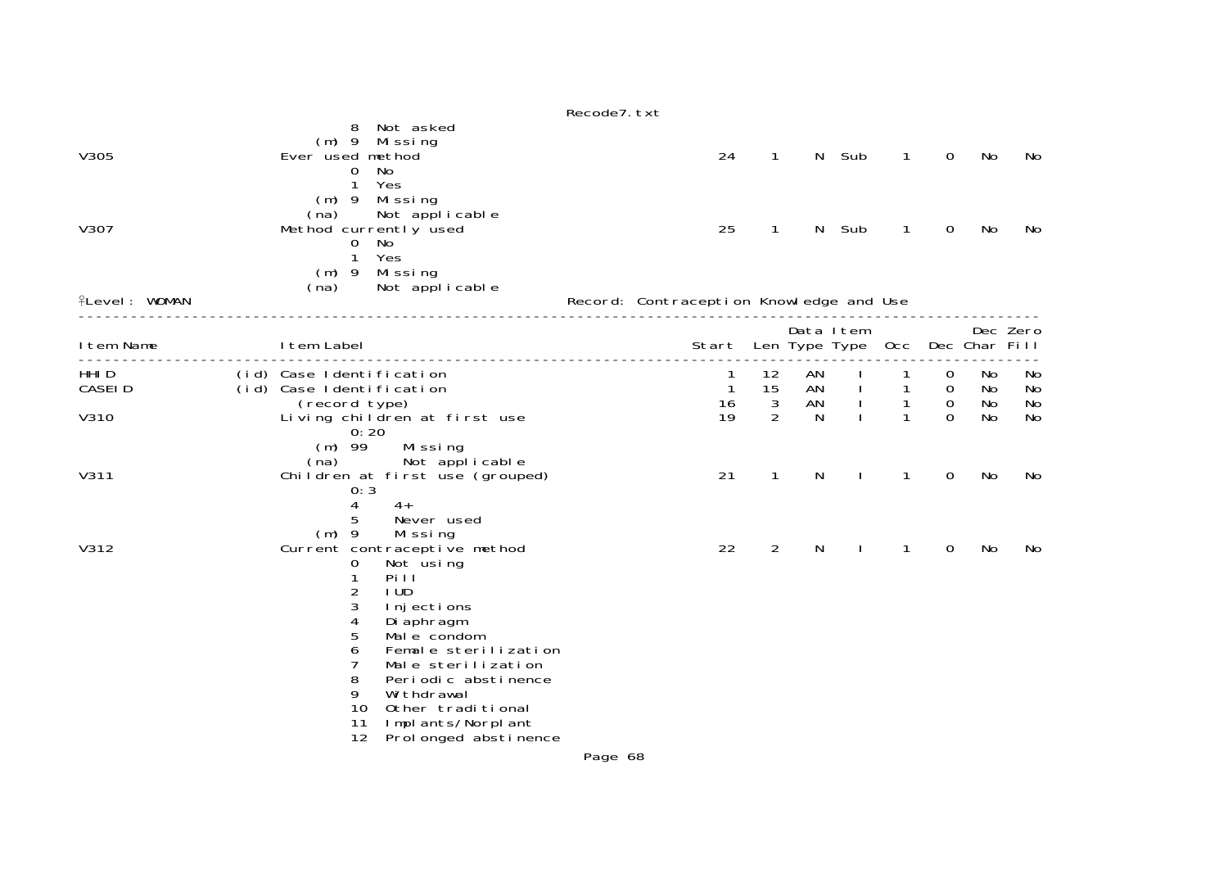|                      |                                                                                                                                                                                                                                                                                                                                                                                  | Recode7. txt                                                                                                                                                                                        |
|----------------------|----------------------------------------------------------------------------------------------------------------------------------------------------------------------------------------------------------------------------------------------------------------------------------------------------------------------------------------------------------------------------------|-----------------------------------------------------------------------------------------------------------------------------------------------------------------------------------------------------|
| V305                 | Not asked<br>8<br>$(m)$ 9 Missing<br>Ever used method<br>No<br>$\mathbf{0}$<br>$\mathbf{1}$<br>Yes                                                                                                                                                                                                                                                                               | N Sub<br>24<br>$\mathbf{1}$<br>0<br>No<br>$\mathbf{1}$<br>No                                                                                                                                        |
| V307                 | (m) 9 Missing<br>Not applicable<br>(na)<br>Method currently used<br>No<br>$\mathbf{O}$<br>$\mathbf{1}$<br>Yes<br>$(m)$ 9 Missing                                                                                                                                                                                                                                                 | 25<br>$\mathbf{1}$<br>N<br>Sub<br>No<br>$\mathbf{1}$<br>0<br>No                                                                                                                                     |
| <b>flevel: WOMAN</b> | Not applicable<br>(na)                                                                                                                                                                                                                                                                                                                                                           | Record: Contraception Knowledge and Use                                                                                                                                                             |
| I tem Name           | I tem Label                                                                                                                                                                                                                                                                                                                                                                      | Data Item<br>Dec Zero<br>Start Len Type Type Occ Dec Char Fill                                                                                                                                      |
| HHI D<br>CASEI D     | (id) Case Identification<br>(id) Case Identification<br>(record type)                                                                                                                                                                                                                                                                                                            | 12<br>AN<br>No<br>0<br>No<br>1<br>15<br>AN I<br>$\overline{1}$<br>No<br>No<br>$\mathbf{1}$<br>$\overline{0}$<br>$\mathbf{3}$<br>$\mathbf{I}$<br>16<br>AN<br>$\mathbf 0$<br>No<br>No<br>$\mathbf{1}$ |
| V310                 | Living children at first use<br>0:20<br>$(m)$ 99<br>Missing                                                                                                                                                                                                                                                                                                                      | $\overline{2}$<br>19<br>$\mathbf{1}$<br>$\Omega$<br>N.<br>No<br>No                                                                                                                                  |
| V311                 | Not applicable<br>(na)<br>Children at first use (grouped)<br>0:3<br>4<br>$4+$<br>5<br>Never used                                                                                                                                                                                                                                                                                 | N<br>21<br>$\mathbf{1}$<br>$\mathbf{1}$<br>$\mathbf 0$<br>No<br>$\mathbf{I}$<br>No                                                                                                                  |
| V312                 | $(m)$ 9<br>Missing<br>Current contraceptive method<br>$\mathbf 0$<br>Not using<br>Pill<br>1<br>$\overline{c}$<br>I UD<br>3<br>I nj ecti ons<br>4<br>Di aphragm<br>5<br>Mal e condom<br>6<br>Female sterilization<br>7<br>Male sterilization<br>8<br>Periodic abstinence<br>9<br>Wi thdrawal<br>10<br>Other traditional<br>Implants/Norplant<br>11<br>Prol onged abstinence<br>12 | 22<br>$\overline{2}$<br>N<br>No<br>1<br>0<br>No                                                                                                                                                     |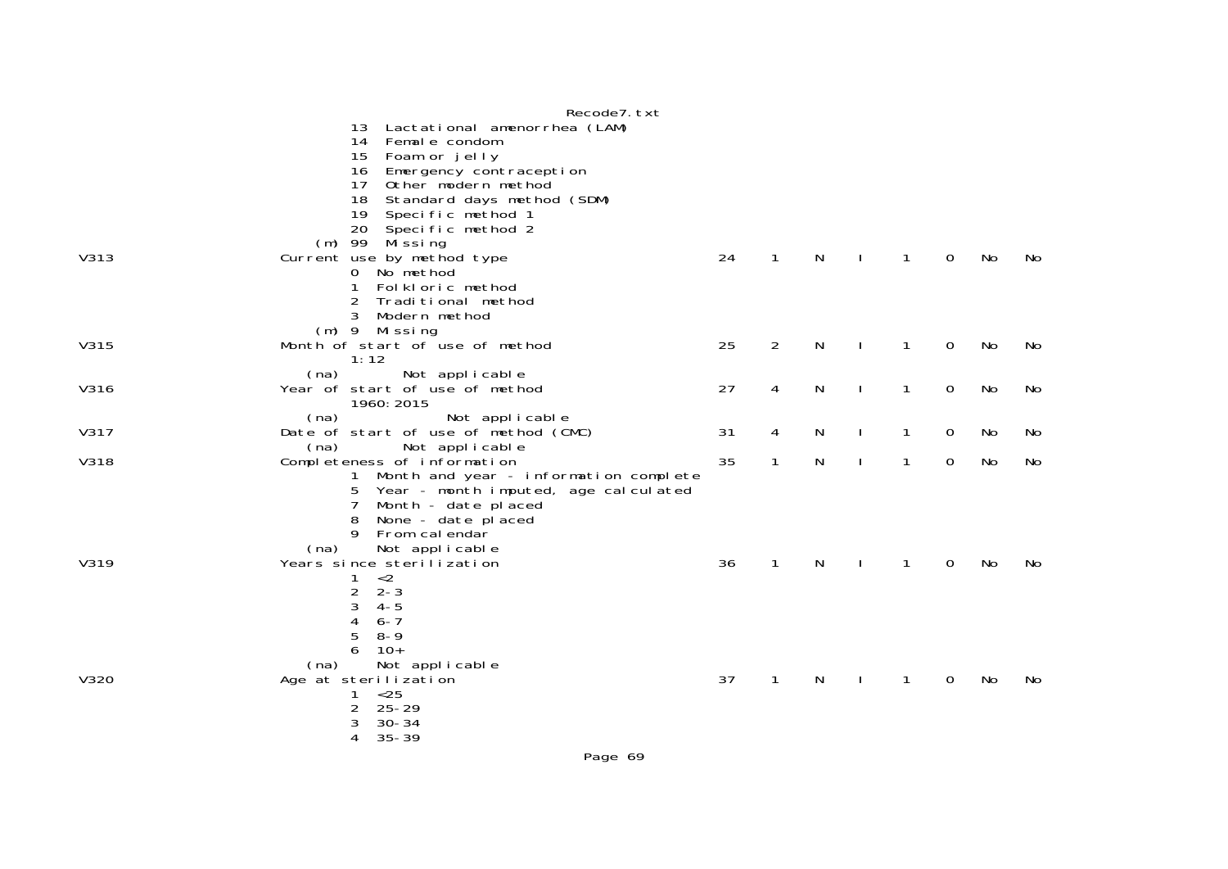|             | Recode7. txt                                                     |    |              |              |              |              |             |    |    |
|-------------|------------------------------------------------------------------|----|--------------|--------------|--------------|--------------|-------------|----|----|
|             | Lactational amenorrhea (LAM)<br>13                               |    |              |              |              |              |             |    |    |
|             | 14 Female condom                                                 |    |              |              |              |              |             |    |    |
|             | 15 Foam or jelly                                                 |    |              |              |              |              |             |    |    |
|             | Emergency contraception<br>16                                    |    |              |              |              |              |             |    |    |
|             | Other modern method<br>17 <sup>2</sup>                           |    |              |              |              |              |             |    |    |
|             | Standard days method (SDM)<br>18                                 |    |              |              |              |              |             |    |    |
|             | Specific method 1<br>19<br>20                                    |    |              |              |              |              |             |    |    |
|             | Specific method 2<br>(m) 99 Missing                              |    |              |              |              |              |             |    |    |
| V313        | Current use by method type                                       | 24 | $\mathbf{1}$ | N            | $\mathbf{I}$ | $\mathbf{1}$ | $\mathbf 0$ | No | No |
|             | 0 No method                                                      |    |              |              |              |              |             |    |    |
|             | Folkloric method<br>1.                                           |    |              |              |              |              |             |    |    |
|             | 2<br>Traditional method                                          |    |              |              |              |              |             |    |    |
|             | Modern method                                                    |    |              |              |              |              |             |    |    |
|             | (m) 9 Missing                                                    |    |              |              |              |              |             |    |    |
| V315        | Month of start of use of method                                  | 25 | 2            | $\mathsf{N}$ | $\mathbf{I}$ | $\mathbf{1}$ | 0           | No | No |
|             | 1:12                                                             |    |              |              |              |              |             |    |    |
| V316        | Not applicable<br>(na)<br>Year of start of use of method         | 27 | 4            | N            | $\mathbf{I}$ | $\mathbf{1}$ | 0           | No | No |
|             | 1960: 2015                                                       |    |              |              |              |              |             |    |    |
|             | Not applicable<br>(na)                                           |    |              |              |              |              |             |    |    |
| V317        | Date of start of use of method (CMC)                             | 31 | 4            | N            | $\mathbf{I}$ | $\mathbf{1}$ | 0           | No | No |
|             | Not applicable<br>(na)                                           |    |              |              |              |              |             |    |    |
| <b>V318</b> | Completeness of information                                      | 35 | 1            | N            | $\mathbf{I}$ | $\mathbf{1}$ | 0           | No | No |
|             | 1 Month and year - information complete                          |    |              |              |              |              |             |    |    |
|             | Year - month imputed, age calculated<br>5.                       |    |              |              |              |              |             |    |    |
|             | $\overline{7}$<br>Month - date placed<br>None - date placed<br>8 |    |              |              |              |              |             |    |    |
|             | From calendar<br>9                                               |    |              |              |              |              |             |    |    |
|             | Not applicable<br>(na)                                           |    |              |              |              |              |             |    |    |
| V319        | Years since sterilization                                        | 36 | $\mathbf{1}$ | N            | $\mathbf{I}$ | $\mathbf{1}$ | 0           | No | No |
|             | < 2<br>1                                                         |    |              |              |              |              |             |    |    |
|             | 2<br>$2 - 3$                                                     |    |              |              |              |              |             |    |    |
|             | 3<br>$4 - 5$                                                     |    |              |              |              |              |             |    |    |
|             | 4<br>$6 - 7$<br>$8 - 9$                                          |    |              |              |              |              |             |    |    |
|             | 5<br>$10+$<br>6                                                  |    |              |              |              |              |             |    |    |
|             | Not applicable<br>(na)                                           |    |              |              |              |              |             |    |    |
| V320        | Age at sterilization                                             | 37 | 1            | N            |              | $\mathbf{1}$ | 0           | No | No |
|             | $25$<br>1                                                        |    |              |              |              |              |             |    |    |
|             | 2<br>$25 - 29$                                                   |    |              |              |              |              |             |    |    |
|             | $30 - 34$<br>3                                                   |    |              |              |              |              |             |    |    |
|             | $35 - 39$<br>4                                                   |    |              |              |              |              |             |    |    |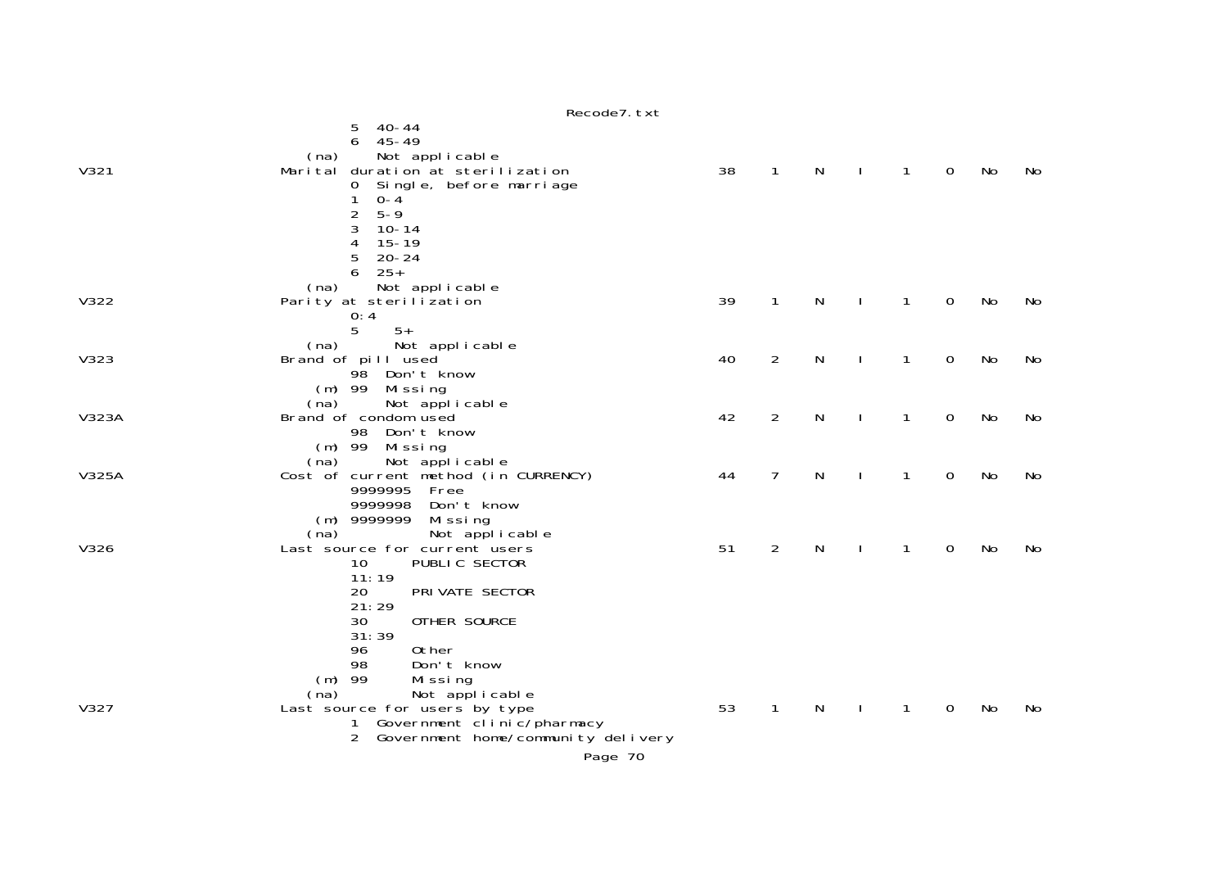|       | Recode7. txt                                                   |    |                |   |              |              |             |           |    |
|-------|----------------------------------------------------------------|----|----------------|---|--------------|--------------|-------------|-----------|----|
|       | $40 - 44$<br>5                                                 |    |                |   |              |              |             |           |    |
|       | $45 - 49$<br>6                                                 |    |                |   |              |              |             |           |    |
|       | Not applicable<br>(na)                                         |    |                |   |              |              |             |           |    |
| V321  | Marital duration at sterilization                              | 38 | $\mathbf{1}$   | N | $\mathbf{I}$ | $\mathbf{1}$ | 0           | No        | No |
|       | Single, before marriage<br>0                                   |    |                |   |              |              |             |           |    |
|       | $0 - 4$<br>1<br>$5 - 9$                                        |    |                |   |              |              |             |           |    |
|       | 2<br>3<br>$10 - 14$                                            |    |                |   |              |              |             |           |    |
|       | 4<br>$15 - 19$                                                 |    |                |   |              |              |             |           |    |
|       | 5<br>$20 - 24$                                                 |    |                |   |              |              |             |           |    |
|       | $25+$<br>6                                                     |    |                |   |              |              |             |           |    |
|       | Not applicable<br>(na)                                         |    |                |   |              |              |             |           |    |
| V322  | Parity at sterilization                                        | 39 | $\mathbf{1}$   | N |              | $\mathbf{1}$ | $\mathbf 0$ | <b>No</b> | No |
|       | 0:4                                                            |    |                |   |              |              |             |           |    |
|       | 5<br>$5+$                                                      |    |                |   |              |              |             |           |    |
| V323  | (na)<br>Not applicable<br>Brand of pill used                   | 40 | $\overline{2}$ | N |              | $\mathbf{1}$ | $\mathbf 0$ | No        | No |
|       | 98<br>Don't know                                               |    |                |   |              |              |             |           |    |
|       | $(m)$ 99<br>Missing                                            |    |                |   |              |              |             |           |    |
|       | (na)<br>Not applicable                                         |    |                |   |              |              |             |           |    |
| V323A | Brand of condom used                                           | 42 | $\overline{2}$ | N |              | $\mathbf{1}$ | 0           | No        | No |
|       | 98<br>Don't know                                               |    |                |   |              |              |             |           |    |
|       | $(m)$ 99<br>Mi ssi ng                                          |    |                |   |              |              |             |           |    |
| V325A | Not applicable<br>(na)<br>Cost of current method (in CURRENCY) | 44 | $\overline{7}$ | N |              | $\mathbf{1}$ | $\mathbf 0$ | No        | No |
|       | 9999995<br>Free                                                |    |                |   |              |              |             |           |    |
|       | 9999998<br>Don't know                                          |    |                |   |              |              |             |           |    |
|       | $(m)$ 9999999<br>Missing                                       |    |                |   |              |              |             |           |    |
|       | Not applicable<br>(na)                                         |    |                |   |              |              |             |           |    |
| V326  | Last source for current users                                  | 51 | 2              | N | ı            | $\mathbf{1}$ | 0           | No        | No |
|       | PUBLIC SECTOR<br>10<br>11:19                                   |    |                |   |              |              |             |           |    |
|       | PRI VATE SECTOR<br>20                                          |    |                |   |              |              |             |           |    |
|       | 21:29                                                          |    |                |   |              |              |             |           |    |
|       | 30<br>OTHER SOURCE                                             |    |                |   |              |              |             |           |    |
|       | 31:39                                                          |    |                |   |              |              |             |           |    |
|       | 0ther<br>96                                                    |    |                |   |              |              |             |           |    |
|       | 98<br>Don't know                                               |    |                |   |              |              |             |           |    |
|       | $(m)$ 99<br>Missing                                            |    |                |   |              |              |             |           |    |
| V327  | Not applicable<br>(na)                                         | 53 | $\mathbf{1}$   | N |              | 1            | 0           | No        | No |
|       | Last source for users by type<br>1 Government clinic/pharmacy  |    |                |   |              |              |             |           |    |
|       | Government home/community delivery<br>2                        |    |                |   |              |              |             |           |    |
|       | Page 70                                                        |    |                |   |              |              |             |           |    |
|       |                                                                |    |                |   |              |              |             |           |    |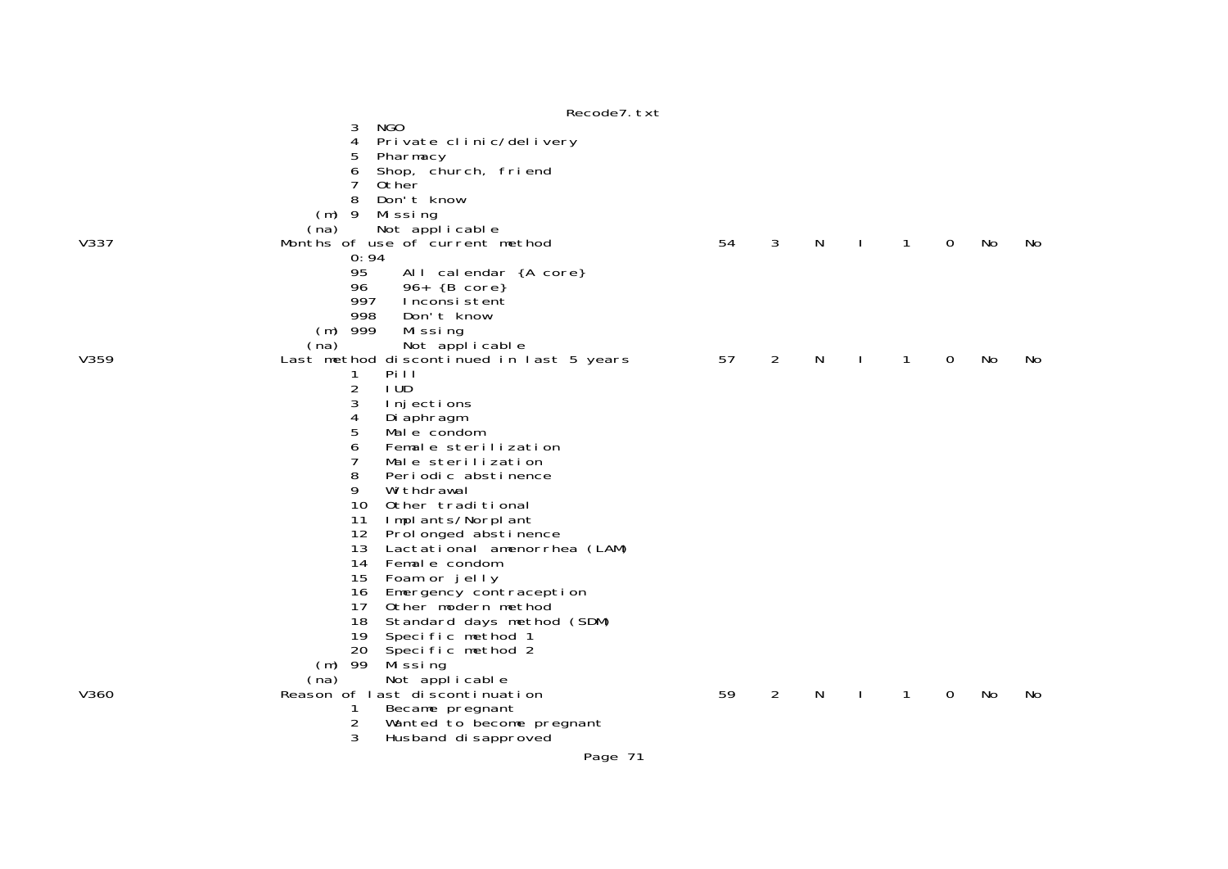|      | n                                        |    |   |   |   |   |    |    |
|------|------------------------------------------|----|---|---|---|---|----|----|
|      | NGO<br>3                                 |    |   |   |   |   |    |    |
|      | Private clinic/delivery<br>4             |    |   |   |   |   |    |    |
|      | 5<br>Pharmacy                            |    |   |   |   |   |    |    |
|      | Shop, church, friend<br>6                |    |   |   |   |   |    |    |
|      | 0ther                                    |    |   |   |   |   |    |    |
|      | 8<br>Don't know                          |    |   |   |   |   |    |    |
|      | $(m)$ 9<br>Mi ssi ng                     |    |   |   |   |   |    |    |
|      | (na)<br>Not applicable                   |    |   |   |   |   |    |    |
| V337 | Months of use of current method          | 54 | 3 | N | 1 | 0 | No | No |
|      | 0:94                                     |    |   |   |   |   |    |    |
|      | 95<br>All calendar {A core}              |    |   |   |   |   |    |    |
|      | 96<br>$96+ {B core}$                     |    |   |   |   |   |    |    |
|      | 997<br>Inconsistent                      |    |   |   |   |   |    |    |
|      | 998<br>Don't know                        |    |   |   |   |   |    |    |
|      | 999                                      |    |   |   |   |   |    |    |
|      | Mi ssi ng<br>(m)                         |    |   |   |   |   |    |    |
|      | (na)<br>Not applicable                   |    |   |   |   |   |    |    |
| V359 | Last method discontinued in last 5 years | 57 | 2 | N | 1 | 0 | No | No |
|      | Pill<br>1                                |    |   |   |   |   |    |    |
|      | 2<br>I UD                                |    |   |   |   |   |    |    |
|      | 3<br>Injections                          |    |   |   |   |   |    |    |
|      | 4<br>Di aphragm                          |    |   |   |   |   |    |    |
|      | 5<br>Male condom                         |    |   |   |   |   |    |    |
|      | 6<br>Female sterilization                |    |   |   |   |   |    |    |
|      | 7<br>Male sterilization                  |    |   |   |   |   |    |    |
|      | 8<br>Periodic abstinence                 |    |   |   |   |   |    |    |
|      | 9<br>Wi thdrawal                         |    |   |   |   |   |    |    |
|      | 10<br>Other traditional                  |    |   |   |   |   |    |    |
|      | 11<br>Implants/Norplant                  |    |   |   |   |   |    |    |
|      | 12 Prol onged abstinence                 |    |   |   |   |   |    |    |
|      | 13<br>Lactational amenorrhea (LAM)       |    |   |   |   |   |    |    |
|      | 14<br>Female condom                      |    |   |   |   |   |    |    |
|      | 15<br>Foam or jelly                      |    |   |   |   |   |    |    |
|      | 16<br>Emergency contraception            |    |   |   |   |   |    |    |
|      | 17 <sup>7</sup><br>Other modern method   |    |   |   |   |   |    |    |
|      | 18<br>Standard days method (SDM)         |    |   |   |   |   |    |    |
|      | 19<br>Specific method 1                  |    |   |   |   |   |    |    |
|      | 20 Specific method 2                     |    |   |   |   |   |    |    |
|      | 99<br>Mi ssi ng<br>(m)                   |    |   |   |   |   |    |    |
|      | (na)<br>Not applicable                   |    |   |   |   |   |    |    |
| V360 | Reason of last discontinuation           | 59 | 2 | N | 1 | 0 | No | No |
|      | 1<br>Became pregnant                     |    |   |   |   |   |    |    |
|      | 2<br>Wanted to become pregnant           |    |   |   |   |   |    |    |
|      | 3<br>Husband di sapproved                |    |   |   |   |   |    |    |
|      |                                          |    |   |   |   |   |    |    |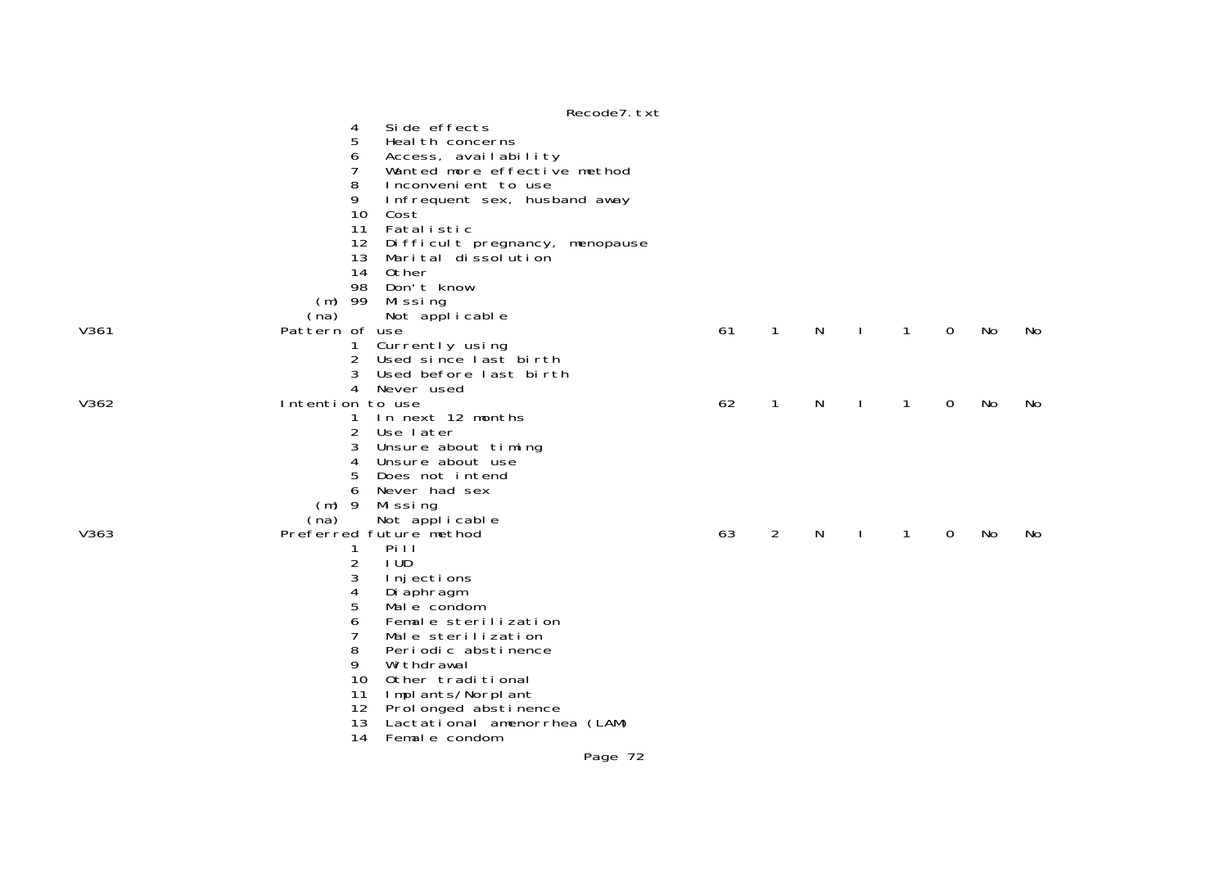|      | Recode7. txt                                                |    |              |   |              |              |   |    |    |
|------|-------------------------------------------------------------|----|--------------|---|--------------|--------------|---|----|----|
|      | Si de effects<br>4<br>5<br>Heal th concerns                 |    |              |   |              |              |   |    |    |
|      | 6<br>Access, availability                                   |    |              |   |              |              |   |    |    |
|      | 7<br>Wanted more effective method                           |    |              |   |              |              |   |    |    |
|      | 8<br>Inconvenient to use                                    |    |              |   |              |              |   |    |    |
|      | 9<br>Infrequent sex, husband away                           |    |              |   |              |              |   |    |    |
|      | 10<br>Cost                                                  |    |              |   |              |              |   |    |    |
|      | 11<br>Fatalistic<br>12<br>Di ffi cul t pregnancy, menopause |    |              |   |              |              |   |    |    |
|      | 13<br>Marital dissolution                                   |    |              |   |              |              |   |    |    |
|      | 14<br>Other                                                 |    |              |   |              |              |   |    |    |
|      | 98<br>Don't know                                            |    |              |   |              |              |   |    |    |
|      | 99<br>(m)<br>Missing                                        |    |              |   |              |              |   |    |    |
|      | Not applicable<br>(na)                                      |    |              |   |              |              |   |    |    |
| V361 | Pattern of use                                              | 61 | $\mathbf{1}$ | N | $\mathbf{I}$ | $\mathbf{1}$ | 0 | No | No |
|      | Currently using<br>1                                        |    |              |   |              |              |   |    |    |
|      | Used since last birth<br>2<br>3<br>Used before last birth   |    |              |   |              |              |   |    |    |
|      | 4<br>Never used                                             |    |              |   |              |              |   |    |    |
| V362 | Intention to use                                            | 62 | $\mathbf{1}$ | N |              | $\mathbf{1}$ | 0 | No | No |
|      | In next 12 months<br>1                                      |    |              |   |              |              |   |    |    |
|      | $\overline{2}$<br>Use later                                 |    |              |   |              |              |   |    |    |
|      | 3<br>Unsure about timing                                    |    |              |   |              |              |   |    |    |
|      | 4<br>Unsure about use                                       |    |              |   |              |              |   |    |    |
|      | 5<br>Does not intend                                        |    |              |   |              |              |   |    |    |
|      | 6<br>Never had sex                                          |    |              |   |              |              |   |    |    |
|      | $(m)$ 9<br>Missing<br>(na)                                  |    |              |   |              |              |   |    |    |
| V363 | Not applicable<br>Preferred future method                   | 63 | 2            | N |              | 1            | 0 | No | No |
|      | Pi I<br>1                                                   |    |              |   |              |              |   |    |    |
|      | 2<br>I UD.                                                  |    |              |   |              |              |   |    |    |
|      | 3<br>I nj ecti ons                                          |    |              |   |              |              |   |    |    |
|      | 4<br>Di aphragm                                             |    |              |   |              |              |   |    |    |
|      | 5<br>Male condom                                            |    |              |   |              |              |   |    |    |
|      | 6<br>Female sterilization                                   |    |              |   |              |              |   |    |    |
|      | 7<br>Male sterilization<br>8                                |    |              |   |              |              |   |    |    |
|      | Periodic abstinence<br>9<br>Wi thdrawal                     |    |              |   |              |              |   |    |    |
|      | 10<br>Other traditional                                     |    |              |   |              |              |   |    |    |
|      | 11<br>Implants/Norplant                                     |    |              |   |              |              |   |    |    |
|      | 12 Prol onged abstinence                                    |    |              |   |              |              |   |    |    |
|      | 13<br>Lactational amenorrhea (LAM)                          |    |              |   |              |              |   |    |    |
|      | 14<br>Female condom                                         |    |              |   |              |              |   |    |    |
|      | <b>D.W. 70</b>                                              |    |              |   |              |              |   |    |    |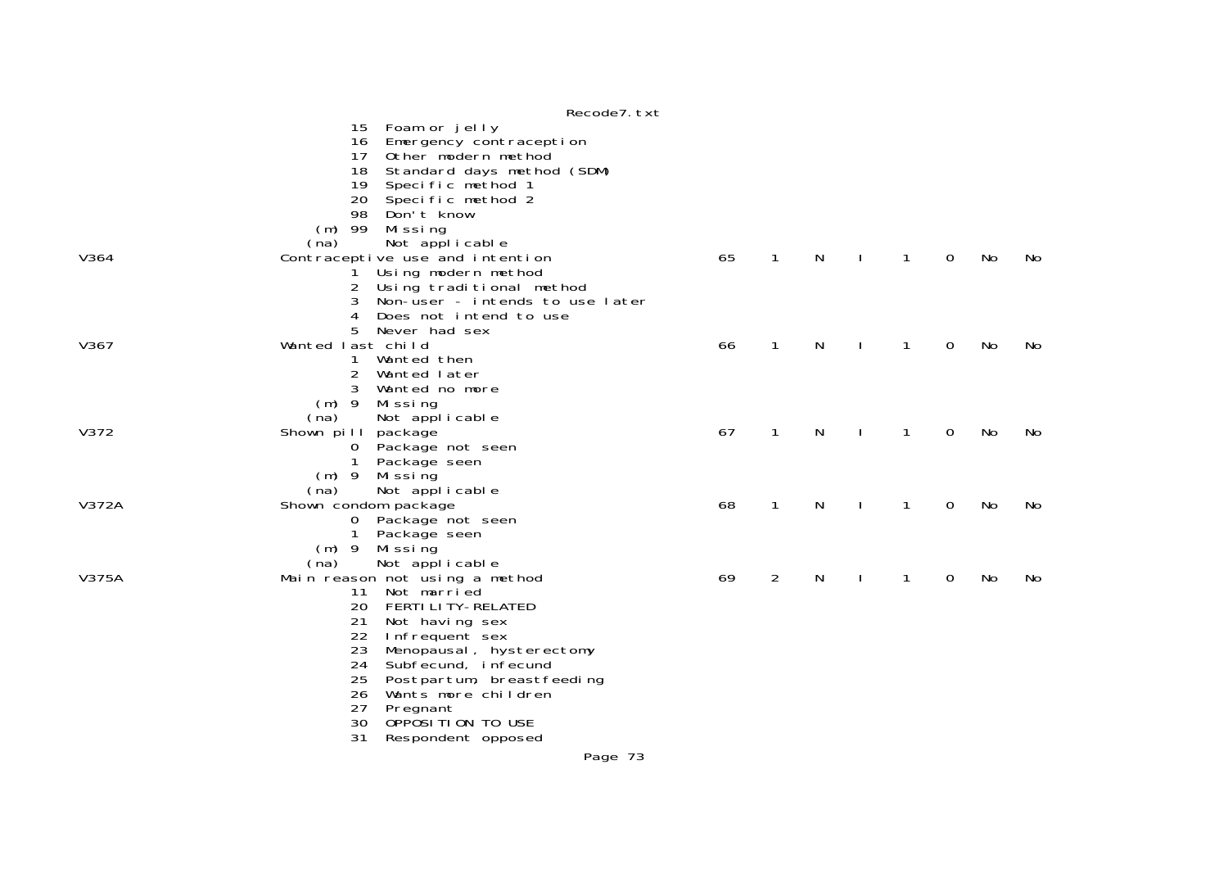|       | Recode7. txt                                                 |    |              |   |   |   |    |    |
|-------|--------------------------------------------------------------|----|--------------|---|---|---|----|----|
|       | Foam or jelly<br>15                                          |    |              |   |   |   |    |    |
|       | Emergency contraception<br>16                                |    |              |   |   |   |    |    |
|       | 17<br>Other modern method                                    |    |              |   |   |   |    |    |
|       | 18<br>Standard days method (SDM)                             |    |              |   |   |   |    |    |
|       | 19<br>Specific method 1                                      |    |              |   |   |   |    |    |
|       | 20<br>Specific method 2                                      |    |              |   |   |   |    |    |
|       | 98<br>Don't know                                             |    |              |   |   |   |    |    |
|       | $(m)$ 99<br>Mi ssi ng                                        |    |              |   |   |   |    |    |
|       | (na)<br>Not applicable                                       |    |              |   |   |   |    |    |
| V364  | Contraceptive use and intention                              | 65 | $\mathbf{1}$ | N | 1 | 0 | No | No |
|       | Using modern method                                          |    |              |   |   |   |    |    |
|       | 2<br>Using traditional method                                |    |              |   |   |   |    |    |
|       | Non-user - intends to use later<br>3                         |    |              |   |   |   |    |    |
|       | 4<br>Does not intend to use                                  |    |              |   |   |   |    |    |
|       | 5<br>Never had sex                                           |    |              |   |   |   |    |    |
| V367  | Wanted last child                                            | 66 | $\mathbf{1}$ | N | 1 | 0 | No | No |
|       | Wanted then<br>1                                             |    |              |   |   |   |    |    |
|       | $\overline{a}$<br>Wanted later                               |    |              |   |   |   |    |    |
|       | 3<br>Wanted no more<br>$(m)$ 9                               |    |              |   |   |   |    |    |
|       | Mi ssi ng<br>Not applicable<br>(na)                          |    |              |   |   |   |    |    |
| V372  | Shown pill<br>package                                        | 67 | $\mathbf{1}$ | N | 1 | 0 | No | No |
|       | Package not seen<br>$\sigma$                                 |    |              |   |   |   |    |    |
|       | $\mathbf 1$<br>Package seen                                  |    |              |   |   |   |    |    |
|       | $(m)$ 9<br>Mi ssi ng                                         |    |              |   |   |   |    |    |
|       | Not applicable<br>(na)                                       |    |              |   |   |   |    |    |
| V372A | Shown condom package                                         | 68 | $\mathbf{1}$ | N | 1 | 0 | No | No |
|       | Package not seen<br>$\overline{0}$                           |    |              |   |   |   |    |    |
|       | $\mathbf{1}$<br>Package seen                                 |    |              |   |   |   |    |    |
|       | $(m)$ 9 Missing                                              |    |              |   |   |   |    |    |
|       | Not applicable<br>(na)                                       |    |              |   |   |   |    |    |
| V375A | Main reason not using a method                               | 69 | 2            | N | 1 | 0 | No | No |
|       | Not married<br>11                                            |    |              |   |   |   |    |    |
|       | 20<br><b>FERTI LI TY-RELATED</b>                             |    |              |   |   |   |    |    |
|       | 21<br>Not having sex                                         |    |              |   |   |   |    |    |
|       | 22<br>Infrequent sex                                         |    |              |   |   |   |    |    |
|       | 23<br>Menopausal, hysterectomy                               |    |              |   |   |   |    |    |
|       | 24<br>Subfecund, infecund<br>25<br>Postpartum, breastfeeding |    |              |   |   |   |    |    |
|       | 26<br>Wants more children                                    |    |              |   |   |   |    |    |
|       | 27<br>Pregnant                                               |    |              |   |   |   |    |    |
|       | 30<br>OPPOSITION TO USE                                      |    |              |   |   |   |    |    |
|       | 31<br>Respondent opposed                                     |    |              |   |   |   |    |    |
|       | Page 73                                                      |    |              |   |   |   |    |    |
|       |                                                              |    |              |   |   |   |    |    |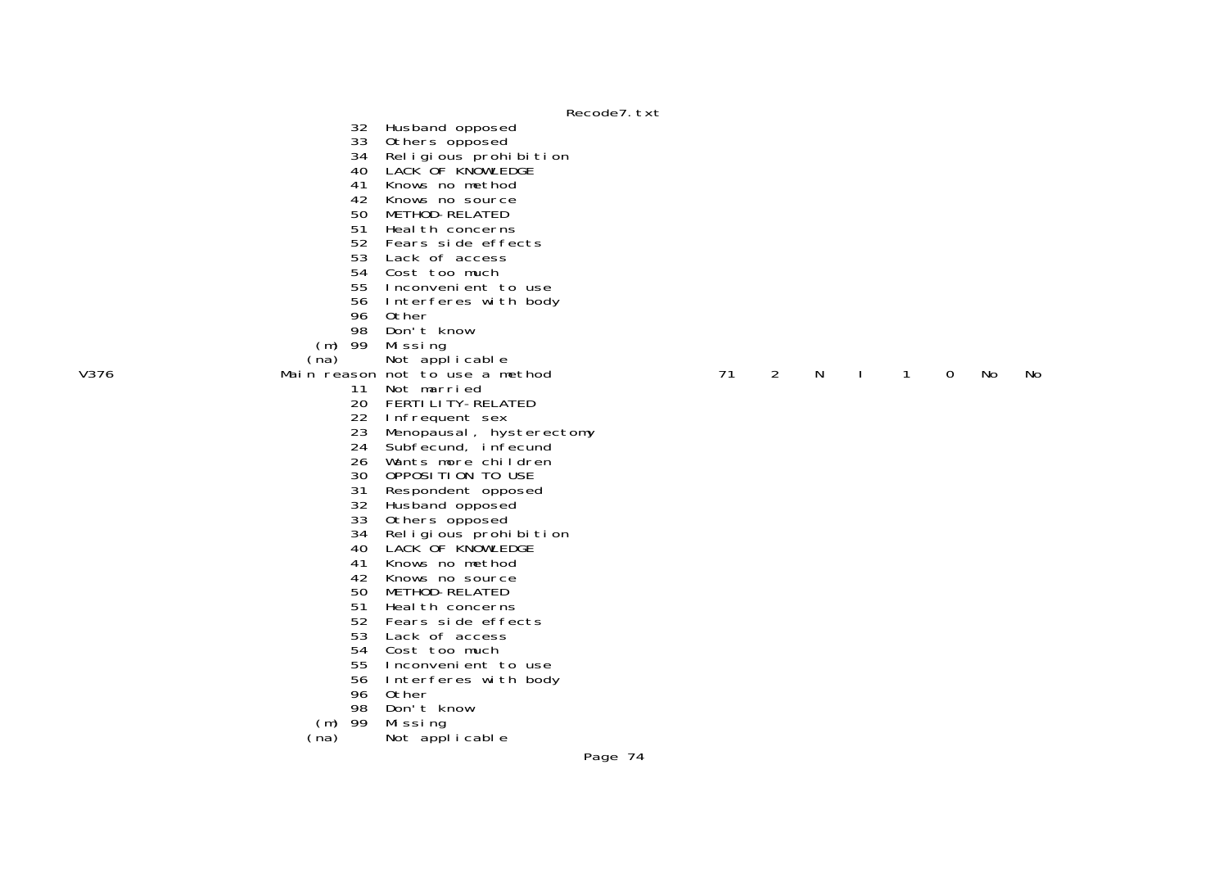32 Husband opposed 33 Others opposed

- 34 Religious prohibition
- 40 LACK OF KNOWLEDGE
- 41 Knows no method
- 42 Knows no source
- 50 METHOD-RELATED
	- 51 Heal th concerns
	- 52 Fears side effects
	- 53 Lack of access
- 54 Cost too much
- 55 Inconvenient to use
	- 56 Interferes with body
	- 96 Other
- 98 Don't know
	- (m) 99 Missing<br>(na) Not appl
		-
- (na) Not applicable<br>Wain reason not to use a metal was not to use a metal was not to use a metal was not to use a metal was not to
	- 11 Not married
- 20 FERTILITY-RELATED
	- 22 Infrequent sex
	- 23 Menopausal, hysterectomy
	- 24 Subfecund, infecund
- 26 Wants more children
- 30 OPPOSITION TO USE
	- 31 Respondent opposed
	- 32 Husband opposed
	- 33 Others opposed
	- 34 Religious prohibition
- 40 LACK OF KNOWLEDGE
	- 41 Knows no method
- 42 Knows no source
	- 50 METHOD-RELATED
- **51** Health concerns
- 52 Fears side effects
	- 53 Lack of access
	- 54 Cost too much
- 55 Inconvenient to use
	- 56 Interferes with body
	- 96 Other
- 98 Don't know
	- (m) 99 Missing
	- (na) Not applicable

## Main reason not to use a method **71 2 N I 1 0 No** No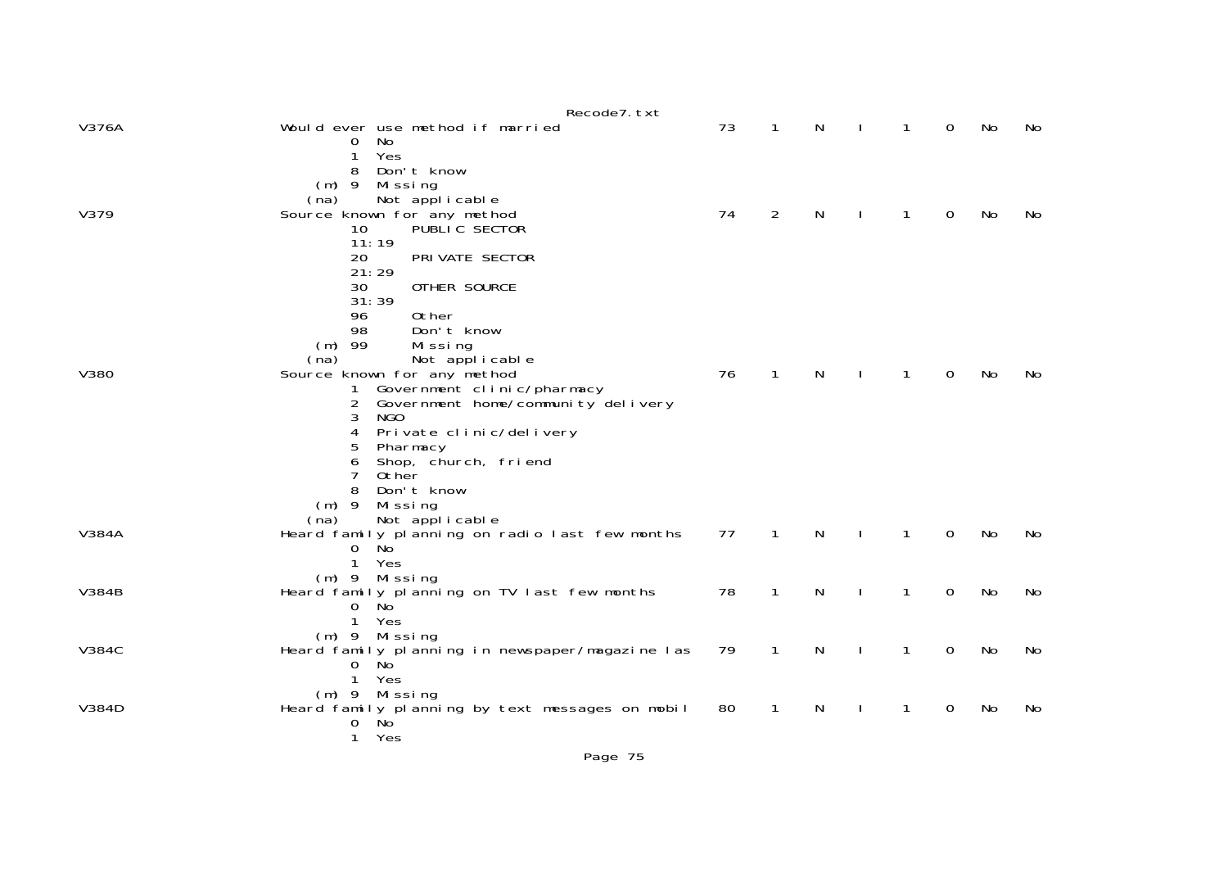|              | Recode7. txt                                                                  |    |              |   |              |             |           |    |
|--------------|-------------------------------------------------------------------------------|----|--------------|---|--------------|-------------|-----------|----|
| V376A        | Would ever use method if married<br>No<br>0                                   | 73 | 1            | N | 1            | 0           | No        | No |
|              | Yes<br>1<br>Don't know<br>8                                                   |    |              |   |              |             |           |    |
|              | $(m)$ 9<br>Mi ssi ng                                                          |    |              |   |              |             |           |    |
| V379         | Not applicable<br>(na)<br>Source known for any method                         | 74 | 2            | N |              | 0           | No        | No |
|              | PUBLIC SECTOR<br>10                                                           |    |              |   |              |             |           |    |
|              | 11:19<br>PRI VATE SECTOR<br>20                                                |    |              |   |              |             |           |    |
|              | 21:29                                                                         |    |              |   |              |             |           |    |
|              | 30<br>OTHER SOURCE<br>31:39                                                   |    |              |   |              |             |           |    |
|              | 0ther<br>96                                                                   |    |              |   |              |             |           |    |
|              | 98<br>Don't know                                                              |    |              |   |              |             |           |    |
|              | $(m)$ 99<br>Missing<br>Not applicable<br>(na)                                 |    |              |   |              |             |           |    |
| V380         | Source known for any method                                                   | 76 | $\mathbf{1}$ | N | 1            | 0           | No        | No |
|              | Government clinic/pharmacy<br>1<br>Government home/community delivery<br>2    |    |              |   |              |             |           |    |
|              | 3<br>NGO.                                                                     |    |              |   |              |             |           |    |
|              | 4<br>Private clinic/delivery                                                  |    |              |   |              |             |           |    |
|              | 5<br>Pharmacy<br>Shop, church, friend<br>6                                    |    |              |   |              |             |           |    |
|              | 7<br>0ther                                                                    |    |              |   |              |             |           |    |
|              | Don't know<br>8<br>$(m)$ 9<br>Missing                                         |    |              |   |              |             |           |    |
|              | Not applicable<br>(na)                                                        |    |              |   |              |             |           |    |
| <b>V384A</b> | Heard family planning on radio last few months                                | 77 | $\mathbf{1}$ | N | $\mathbf{1}$ | $\Omega$    | <b>No</b> | No |
|              | N <sub>O</sub><br>0<br>Yes<br>$\mathbf{1}$                                    |    |              |   |              |             |           |    |
|              | $(m)$ 9 Missing                                                               |    |              |   |              |             |           |    |
| <b>V384B</b> | Heard family planning on TV last few months<br>No <sup>-</sup><br>$\mathbf 0$ | 78 | 1            | N | 1            | 0           | No        | No |
|              | $\mathbf{1}$<br>Yes                                                           |    |              |   |              |             |           |    |
| <b>V384C</b> | (m) 9 Missing                                                                 | 79 |              |   |              | $\mathbf 0$ | No        | No |
|              | Heard family planning in newspaper/magazine las<br>No<br>0                    |    | $\mathbf{1}$ | N | $\mathbf{1}$ |             |           |    |
|              | 1<br>Yes                                                                      |    |              |   |              |             |           |    |
| V384D        | $(m)$ 9 Missing<br>Heard family planning by text messages on mobil            | 80 | 1            | Ν | 1            | 0           | No        | No |
|              | Ňo <sup>'</sup><br>$\mathbf 0$                                                |    |              |   |              |             |           |    |
|              | $\mathbf{1}$<br>Yes                                                           |    |              |   |              |             |           |    |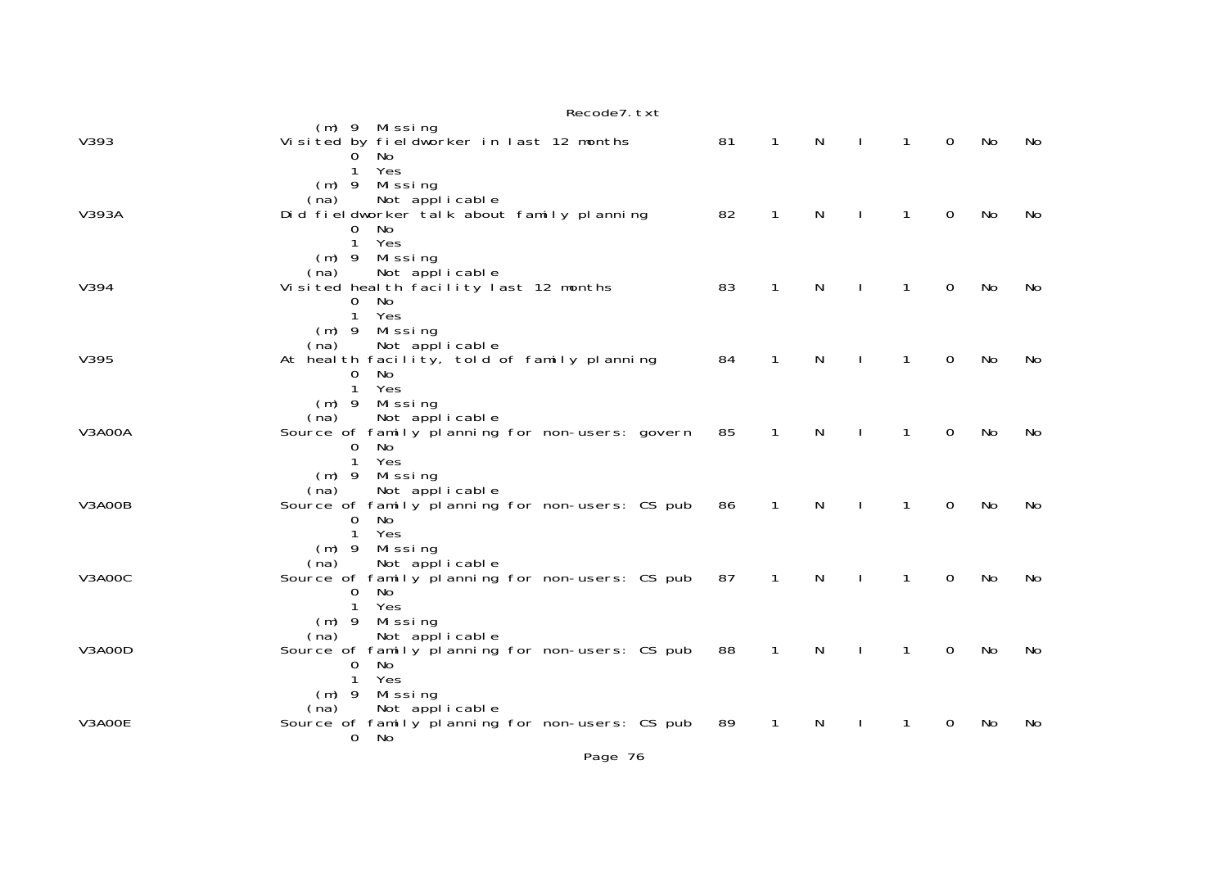|        | Recode7. txt                                                                                                                                    |    |              |              |              |              |             |    |    |
|--------|-------------------------------------------------------------------------------------------------------------------------------------------------|----|--------------|--------------|--------------|--------------|-------------|----|----|
| V393   | $(m)$ 9 Missing<br>Visited by fieldworker in last 12 months<br>No<br>0                                                                          | 81 | $\mathbf{1}$ | N            | $\mathbf{I}$ | $\mathbf{1}$ | 0           | No | No |
| V393A  | Yes<br>(m) 9 Missing<br>Not applicable<br>(na)<br>Did fieldworker talk about family planning<br>$\Omega$<br>No.<br>Yes<br>$\mathbf{1}$          | 82 | $\mathbf{1}$ | N            | $\mathbf{I}$ | $\mathbf{1}$ | 0           | No | No |
| V394   | Missing<br>$(m)$ 9<br>Not applicable<br>(na)<br>Visited health facility last 12 months<br>0<br>No<br>$\mathbf{1}$<br>Yes                        | 83 | 1            | N            |              | 1            | 0           | No | No |
| V395   | $(m)$ 9 Missing<br>Not applicable<br>(na)<br>At health facility, told of family planning<br>No<br>0<br>$\mathbf{1}$<br>Yes                      | 84 | $\mathbf{1}$ | N            | $\mathbf{I}$ | $\mathbf{1}$ | 0           | No | No |
| V3A00A | Missing<br>$(m)$ 9<br>Not applicable<br>(na)<br>Source of family planning for non-users: govern 85<br>No<br>0<br>$\mathbf{1}$<br>Yes            |    | $\mathbf{1}$ | $\mathsf{N}$ | $\mathbf{I}$ | $\mathbf{1}$ | $\mathbf 0$ | No | No |
| V3A00B | $(m)$ 9 Missing<br>Not applicable<br>(na)<br>Source of family planning for non-users: CS pub<br>$\Omega$<br>No<br>Yes<br>$\mathbf{1}$           | 86 | $\mathbf{1}$ | N            | $\mathbf{I}$ | $\mathbf{1}$ | $\mathbf 0$ | No | No |
| V3A00C | $(m)$ 9 Missing<br>Not applicable<br>(na)<br>Source of family planning for non-users: CS pub<br><b>No</b><br>$\mathbf 0$<br>$\mathbf{1}$<br>Yes | 87 | $\mathbf{1}$ | N            |              | 1            | 0           | No | No |
| V3A00D | Missing<br>$(m)$ 9<br>(na)<br>Not applicable<br>Source of family planning for non-users: CS pub 88<br>No<br>0<br>Yes<br>$\mathbf{1}$            |    | $\mathbf{1}$ | N            | $\mathbf{I}$ | $\mathbf{1}$ | 0           | No | No |
| V3A00E | $(m)$ 9 Missing<br>Not applicable<br>(na)<br>Source of family planning for non-users: CS pub 89<br>No<br>$\mathbf{O}$                           |    | $\mathbf{1}$ | N            |              | 1            | 0           | No | No |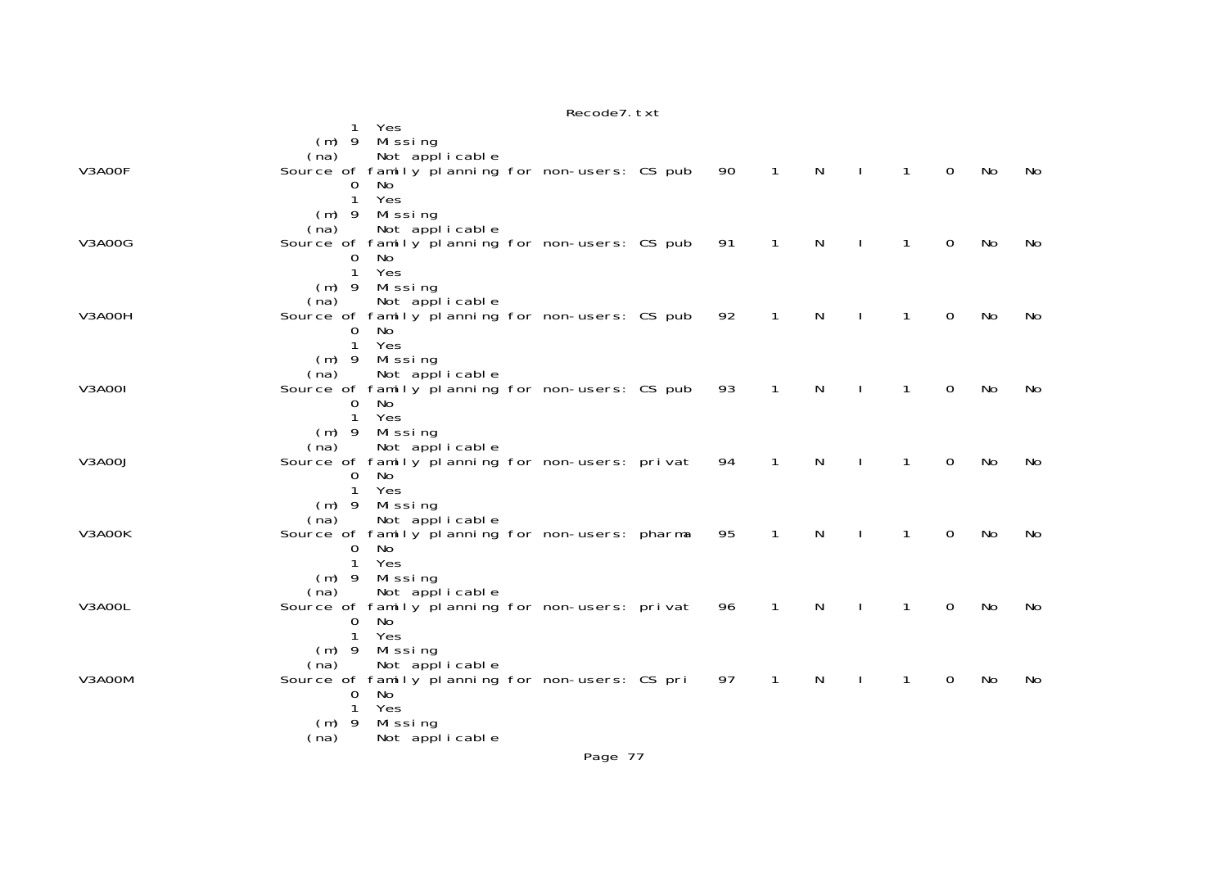|               | Recode7. txt                                                                                                                     |     |
|---------------|----------------------------------------------------------------------------------------------------------------------------------|-----|
|               | Yes<br>1                                                                                                                         |     |
|               | Missing<br>$(m)$ 9                                                                                                               |     |
|               | Not applicable<br>(na)                                                                                                           |     |
| V3A00F        | Source of family planning for non-users: CS pub<br>N<br>0<br>90<br>$\mathbf{1}$<br>$\mathbf{I}$<br>$\mathbf{1}$<br>No            | No. |
|               | No.<br>O                                                                                                                         |     |
|               | Yes<br>$\mathbf{1}$                                                                                                              |     |
|               | $(m)$ 9<br>Mi ssi ng                                                                                                             |     |
|               | Not applicable<br>(na)                                                                                                           |     |
| <b>V3A00G</b> | Source of family planning for non-users: CS pub<br>N<br>91<br>$\mathbf{1}$<br>$\mathbf{I}$<br>$\mathbf{1}$<br>0<br>No            | No  |
|               | 0<br>No.<br>Yes                                                                                                                  |     |
|               | $\mathbf{1}$<br>$(m)$ 9                                                                                                          |     |
|               | Missing<br>Not applicable<br>(na)                                                                                                |     |
| V3A00H        | Source of family planning for non-users: CS pub<br>92<br>$\mathbf{1}$<br>$\mathsf{N}$<br>0<br>$\mathbf{I}$<br>$\mathbf{1}$<br>No | No  |
|               | $\mathbf 0$<br>No.                                                                                                               |     |
|               | 1<br>Yes                                                                                                                         |     |
|               | Missing<br>$(m)$ 9                                                                                                               |     |
|               | Not applicable<br>(na)                                                                                                           |     |
| V3A00I        | Source of family planning for non-users: CS pub<br>93<br>$\mathbf{1}$<br>N<br>0<br>No<br>1                                       | No  |
|               | $\mathbf{O}$<br>No                                                                                                               |     |
|               | Yes<br>$\mathbf{1}$                                                                                                              |     |
|               | Missing<br>$(m)$ 9                                                                                                               |     |
|               | Not applicable<br>(na)                                                                                                           |     |
| <b>V3A00J</b> | Source of family planning for non-users: privat<br>94<br>$\mathbf{1}$<br>N<br>$\mathbf{1}$<br>0<br>No                            | No  |
|               | No<br>0                                                                                                                          |     |
|               | Yes<br>1                                                                                                                         |     |
|               | Missing<br>$(m)$ 9                                                                                                               |     |
| V3A00K        | Not applicable<br>(na)<br>N<br>$\Omega$<br>Source of family planning for non-users: pharma<br>95<br>$\mathbf{1}$<br>1<br>No      | No  |
|               | 0<br>No.                                                                                                                         |     |
|               | Yes<br>1                                                                                                                         |     |
|               | Missing<br>$(m)$ 9                                                                                                               |     |
|               | Not applicable<br>(na)                                                                                                           |     |
| V3A00L        | Source of family planning for non-users: privat<br>96<br>1<br>N<br>0<br>No<br>1                                                  | No  |
|               | No<br>0                                                                                                                          |     |
|               | 1<br>Yes                                                                                                                         |     |
|               | Missing<br>$(m)$ 9                                                                                                               |     |
|               | Not applicable<br>(na)                                                                                                           |     |
| V3A00M        | Source of family planning for non-users: CS pri<br>97<br>N<br>0<br>1<br>1<br>No                                                  | No  |
|               | 0<br>No                                                                                                                          |     |
|               | Yes<br>$\mathbf{1}$                                                                                                              |     |
|               | $(m)$ 9<br>Missing                                                                                                               |     |
|               | Not applicable<br>(na)                                                                                                           |     |
|               | Page 77                                                                                                                          |     |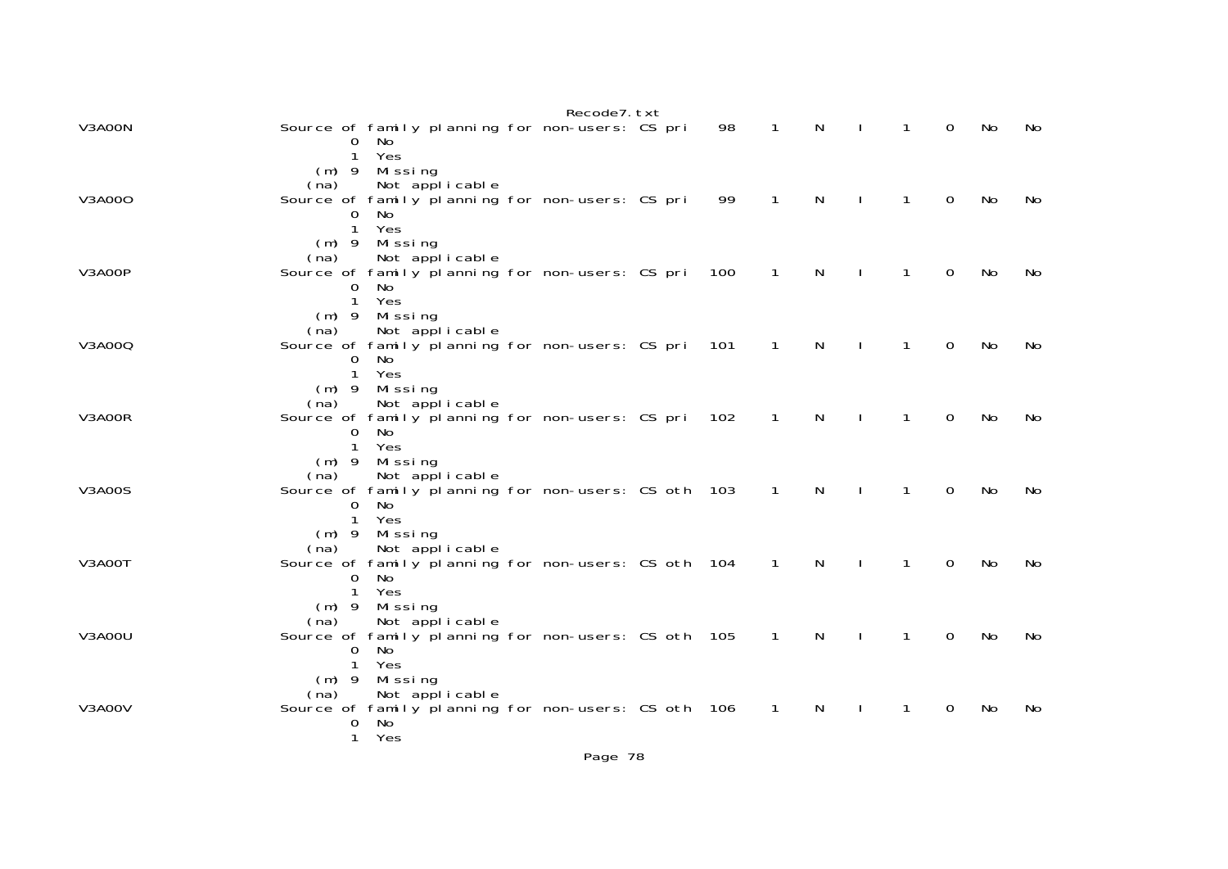|               |                              |                                                                              | Recode7. txt |     |                |   |              |   |    |     |
|---------------|------------------------------|------------------------------------------------------------------------------|--------------|-----|----------------|---|--------------|---|----|-----|
| V3A00N        | O<br>$\mathbf{1}$            | Source of family planning for non-users: CS pri<br>No.<br>Yes                |              | 98  | 1              | N | 1            | 0 | No | No  |
|               | $(m)$ 9<br>(na)              | Missing<br>Not applicable                                                    |              |     |                |   |              |   |    |     |
| V3A000        | 0<br>1                       | Source of family planning for non-users: CS pri<br>No<br>Yes                 |              | 99  | 1              | N | 1            | 0 | No | No  |
| V3A00P        | $(m)$ 9<br>(na)              | Missing<br>Not applicable<br>Source of family planning for non-users: CS pri |              | 100 | 1              | N | 1            | 0 | No | No  |
|               | 0<br>$\mathbf{1}$<br>$(m)$ 9 | No<br>Yes<br>Missing                                                         |              |     |                |   |              |   |    |     |
| V3A000        | (na)                         | Not applicable<br>Source of family planning for non-users: CS pri            |              | 101 | $\mathbf{1}$   | N | 1            | 0 | No | No  |
|               | 0<br>1<br>$(m)$ 9            | No<br>Yes<br>Missing                                                         |              |     |                |   |              |   |    |     |
| V3A00R        | (na)                         | Not applicable<br>Source of family planning for non-users: CS pri<br>No      |              | 102 | 1              | N | $\mathbf{1}$ | 0 | No | No  |
|               | 0<br>1<br>$(m)$ 9            | Yes<br>Missing                                                               |              |     |                |   |              |   |    |     |
| <b>V3A00S</b> | (na)<br>0                    | Not applicable<br>Source of family planning for non-users: CS oth 103<br>No  |              |     | $\mathbf{1}$   | N | 1            | 0 | No | No  |
|               | 1<br>$(m)$ 9                 | Yes<br>Missing                                                               |              |     |                |   |              |   |    |     |
| V3A00T        | (na)<br>0                    | Not applicable<br>Source of family planning for non-users: CS oth 104<br>No  |              |     | $\mathbf{1}$   | N |              | 0 | No | No. |
|               | 1<br>$(m)$ 9<br>(na)         | Yes<br>Missing<br>Not applicable                                             |              |     |                |   |              |   |    |     |
| V3A00U        | 0                            | Source of family planning for non-users: CS oth 105<br>No                    |              |     | $\overline{1}$ | N | 1            | 0 | No | No  |
|               | 1<br>$(m)$ 9<br>(na)         | Yes<br>Missing<br>Not applicable                                             |              |     |                |   |              |   |    |     |
| V3A00V        | 0<br>$\mathbf{1}$            | Source of family planning for non-users: CS oth 106<br>No<br>Yes             |              |     | 1              | N | 1            | 0 | No | No  |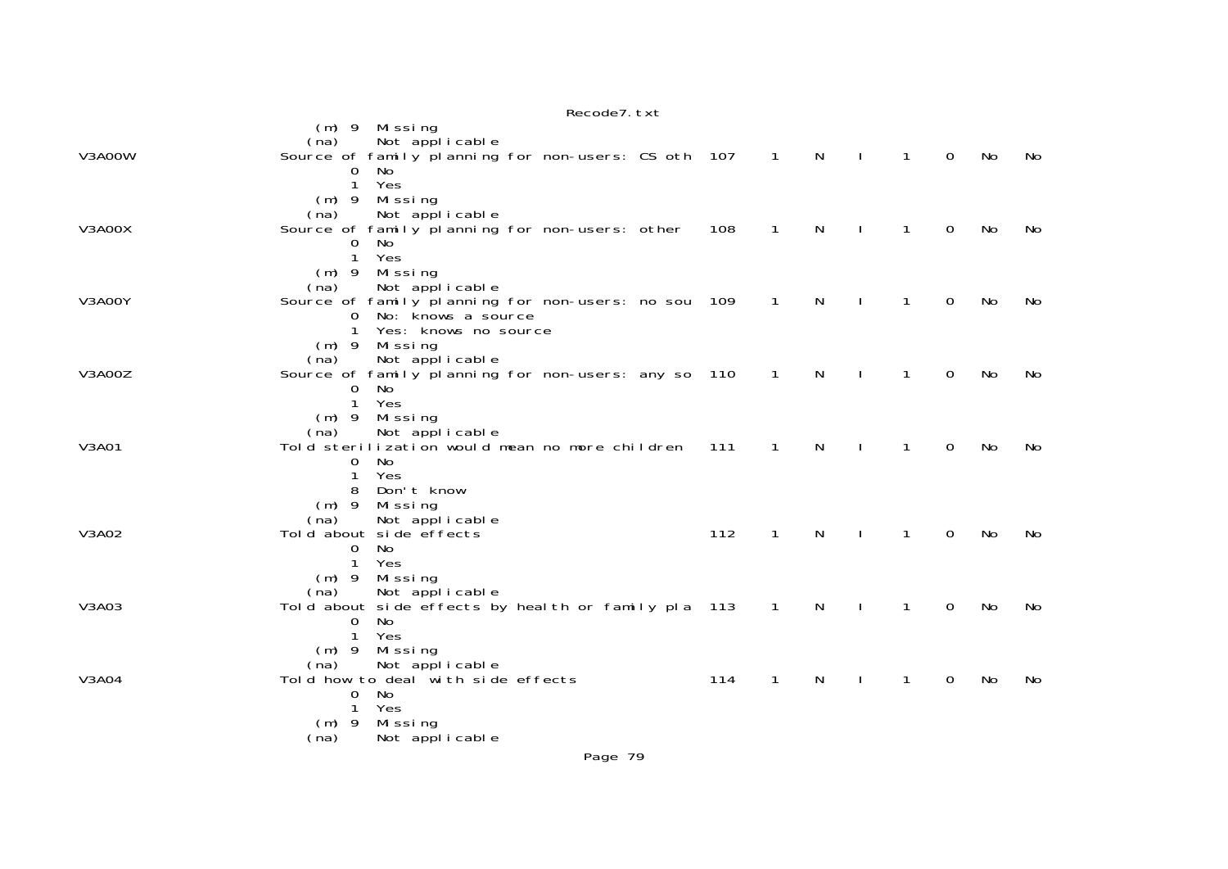|        | NECOURT, IAI                                                                                                                                                         |     |                  |              |              |              |             |           |    |
|--------|----------------------------------------------------------------------------------------------------------------------------------------------------------------------|-----|------------------|--------------|--------------|--------------|-------------|-----------|----|
| V3A00W | $(m)$ 9<br>Missing<br>Not applicable<br>(na)<br>Source of family planning for non-users: CS oth 107<br>$\mathbf 0$<br>No                                             |     | $\blacksquare$ 1 | $\mathsf{N}$ |              | $\mathbf{1}$ | $\Omega$    | No        | No |
| V3A00X | $\mathbf{1}$<br>Yes<br>Missing<br>$(m)$ 9<br>Not applicable<br>(na)<br>Source of family planning for non-users: other<br>No<br>0                                     | 108 | $\mathbf{1}$     | N            |              | 1            | 0           | No        | No |
| V3A00Y | 1<br>Yes<br>$(m)$ 9 Missing<br>Not applicable<br>(na)<br>Source of family planning for non-users: no sou 109<br>No: knows a source<br>0<br>Yes: knows no source<br>1 |     | $\overline{1}$   | N            |              | $\mathbf{1}$ | 0           | No        | No |
| V3A00Z | Missing<br>$(m)$ 9<br>(na)<br>Not applicable<br>Source of family planning for non-users: any so 110<br>$\mathbf 0$<br>No<br>$\mathbf{1}$<br>Yes                      |     | $\mathbf{1}$     | N            |              | $\mathbf{1}$ | 0           | No        | No |
| V3A01  | $(m)$ 9<br>Missing<br>Not applicable<br>(na)<br>Told sterilization would mean no more children<br>No<br>$\mathbf 0$<br>1<br>Yes                                      | 111 | 1                | N            |              | 1            | $\Omega$    | No        | No |
| V3A02  | Don't know<br>8<br>$(m)$ 9<br>Mi ssi ng<br>Not applicable<br>(na)<br>Told about side effects<br>No<br>$\mathbf{O}$<br>$\mathbf{1}$<br>Yes                            | 112 | 1                | N            |              | 1            | $\Omega$    | No        | No |
| V3A03  | Missing<br>$(m)$ 9<br>(na)<br>Not applicable<br>Told about side effects by health or family pla 113<br>No<br>0<br>Yes<br>$\mathbf{1}$                                |     | $\overline{1}$   | N            |              | 1            | 0           | <b>No</b> | No |
| V3A04  | $(m)$ 9<br>Missing<br>Not applicable<br>(na)<br>Told how to deal with side effects<br>No<br>0<br>Yes<br>1<br>Missing<br>$(m)$ 9                                      | 114 | $\mathbf{1}$     | $\mathsf{N}$ | $\mathbf{I}$ | $\mathbf{1}$ | $\mathbf 0$ | No        | No |
|        | Not applicable<br>(na)                                                                                                                                               |     |                  |              |              |              |             |           |    |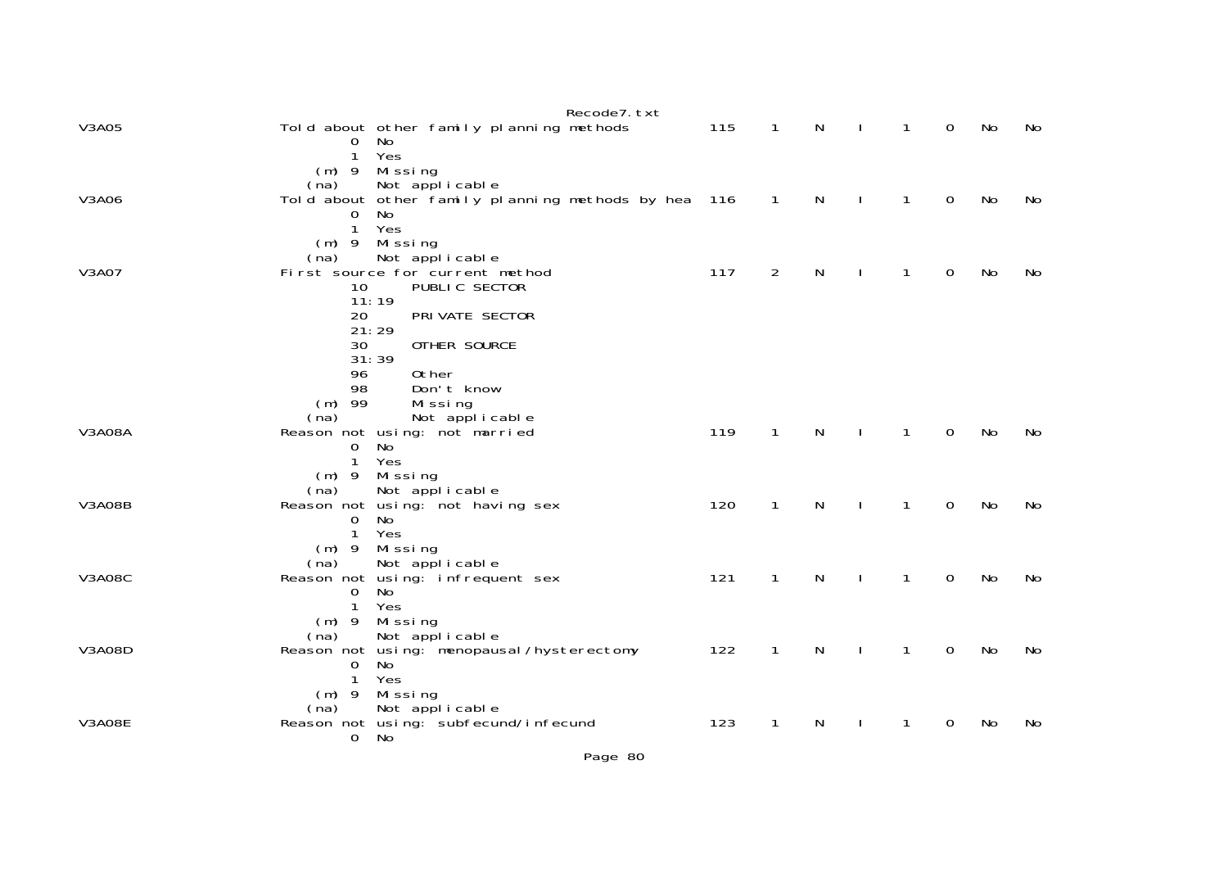|               | Recode7. txt                                                                          |     |                |   |              |              |             |    |    |
|---------------|---------------------------------------------------------------------------------------|-----|----------------|---|--------------|--------------|-------------|----|----|
| V3A05         | Told about other family planning methods<br>No<br>$\mathbf{O}$<br>$\mathbf{1}$<br>Yes | 115 | 1              | N |              | 1            | 0           | No | No |
|               | $(m)$ 9 Missing                                                                       |     |                |   |              |              |             |    |    |
|               | Not applicable<br>(na)                                                                |     |                |   |              |              |             |    |    |
| V3A06         | Told about other family planning methods by hea 116<br>No<br>0                        |     | $\mathbf{1}$   | N |              | 1            | 0           | No | No |
|               | $\mathbf{1}$<br>Yes                                                                   |     |                |   |              |              |             |    |    |
|               | $(m)$ 9 Missing                                                                       |     |                |   |              |              |             |    |    |
|               | Not applicable<br>(na)                                                                |     |                |   |              |              |             |    |    |
| V3A07         | First source for current method<br>10<br>PUBLIC SECTOR                                | 117 | $\overline{2}$ | N |              | 1            | 0           | No | No |
|               | 11:19                                                                                 |     |                |   |              |              |             |    |    |
|               | 20<br>PRI VATE SECTOR                                                                 |     |                |   |              |              |             |    |    |
|               | 21:29<br>OTHER SOURCE<br>30                                                           |     |                |   |              |              |             |    |    |
|               | 31:39                                                                                 |     |                |   |              |              |             |    |    |
|               | 0ther<br>96                                                                           |     |                |   |              |              |             |    |    |
|               | 98<br>Don't know                                                                      |     |                |   |              |              |             |    |    |
|               | $(m)$ 99<br>Missing<br>Not applicable<br>(na)                                         |     |                |   |              |              |             |    |    |
| <b>V3A08A</b> | Reason not using: not married                                                         | 119 | $\mathbf{1}$   | N | $\mathbf{I}$ | $\mathbf{1}$ | $\mathbf 0$ | No | No |
|               | No<br>$\mathbf{0}$                                                                    |     |                |   |              |              |             |    |    |
|               | $\mathbf{1}$<br>Yes                                                                   |     |                |   |              |              |             |    |    |
|               | $(m)$ 9<br>Mi ssi ng<br>(na)<br>Not applicable                                        |     |                |   |              |              |             |    |    |
| <b>V3A08B</b> | Reason not using: not having sex                                                      | 120 | $\mathbf{1}$   | N |              | $\mathbf{1}$ | $\mathbf 0$ | No | No |
|               | No.<br>0                                                                              |     |                |   |              |              |             |    |    |
|               | Yes<br>$\mathbf{1}$                                                                   |     |                |   |              |              |             |    |    |
|               | (m) 9 Missing                                                                         |     |                |   |              |              |             |    |    |
| <b>V3A08C</b> | Not applicable<br>(na)<br>Reason not using: infrequent sex                            | 121 | $\mathbf{1}$   | N |              | 1            | $\mathbf 0$ | No | No |
|               | No<br>$\mathbf 0$                                                                     |     |                |   |              |              |             |    |    |
|               | Yes<br>1                                                                              |     |                |   |              |              |             |    |    |
|               | Missing<br>$(m)$ 9                                                                    |     |                |   |              |              |             |    |    |
| <b>V3A08D</b> | Not applicable<br>(na)<br>Reason not using: menopausal/hysterectomy                   | 122 | 1              | N |              | 1            | $\mathbf 0$ | No | No |
|               | No<br>0                                                                               |     |                |   |              |              |             |    |    |
|               | $\mathbf{1}$<br>Yes                                                                   |     |                |   |              |              |             |    |    |
|               | $(m)$ 9<br>Mi ssi ng                                                                  |     |                |   |              |              |             |    |    |
| <b>V3A08E</b> | Not applicable<br>(na)<br>Reason not using: subfecund/infecund                        | 123 | $\mathbf{1}$   | N |              | 1            | $\mathbf 0$ | No | No |
|               | 0<br>No                                                                               |     |                |   |              |              |             |    |    |
|               |                                                                                       |     |                |   |              |              |             |    |    |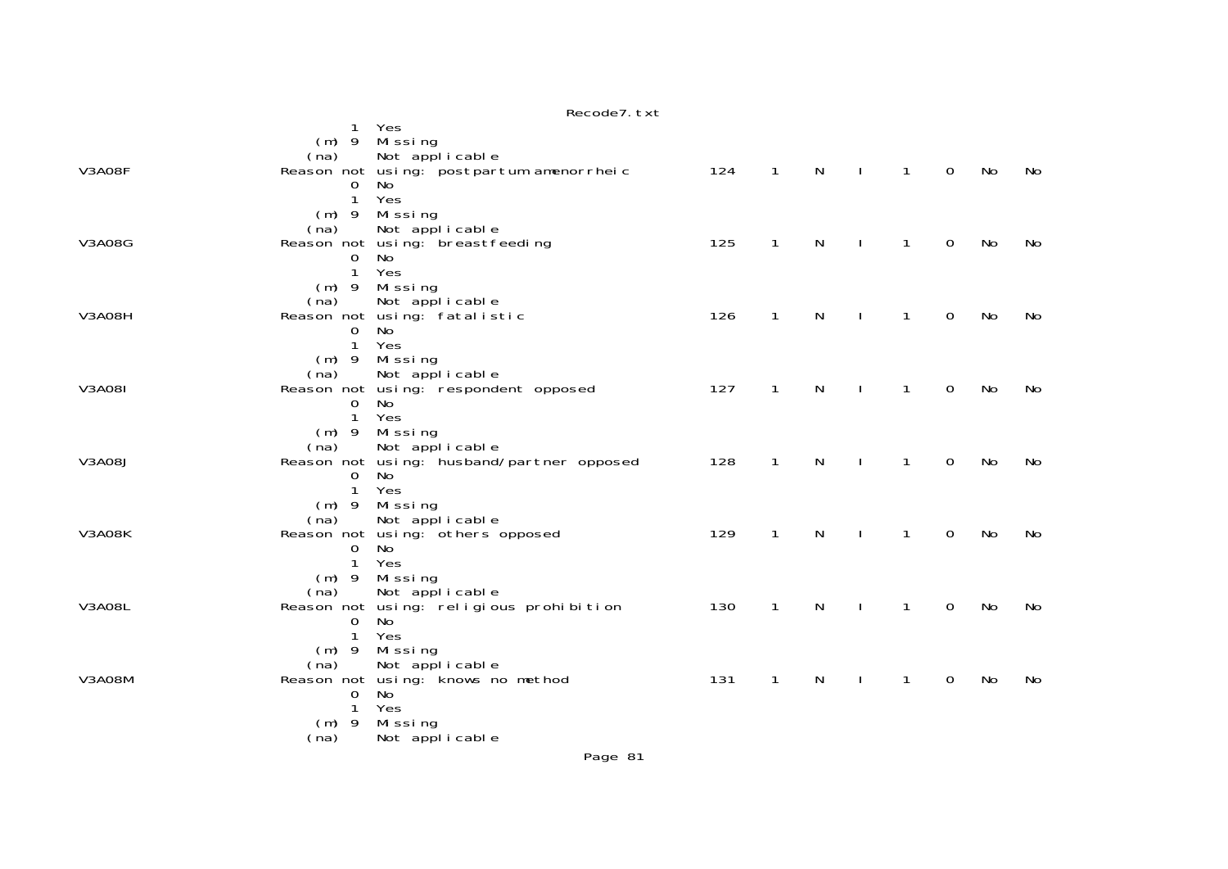|               | $\mathbf{1}$                   | Yes<br>(m) 9 Missing                                       |     |              |              |              |              |                     |           |           |
|---------------|--------------------------------|------------------------------------------------------------|-----|--------------|--------------|--------------|--------------|---------------------|-----------|-----------|
| V3A08F        | (na)                           | Not applicable<br>Reason not using: postpartum amenorrheic | 124 | $\mathbf{1}$ | $\mathsf{N}$ | $\mathbf{I}$ | $\mathbf{1}$ | $\mathbf 0$         | No        | No        |
|               | 0<br>$\mathbf{1}$              | No<br>Yes                                                  |     |              |              |              |              |                     |           |           |
|               | (na)                           | $(m)$ 9 Missing<br>Not applicable                          |     |              |              |              |              |                     |           |           |
| <b>V3A08G</b> | $\mathbf 0$                    | Reason not using: breastfeeding<br>No                      | 125 | $\mathbf{1}$ | $\mathsf{N}$ |              | $\mathbf{1}$ | $\mathbf 0$         | No        | No        |
|               | $\mathbf{1}$                   | Yes<br>$(m)$ 9 Missing                                     |     |              |              |              |              |                     |           |           |
| <b>V3A08H</b> | (na)<br>$\mathbf{O}$           | Not applicable<br>Reason not using: fatalistic<br>No       | 126 | $\mathbf{1}$ | N            | $\mathbf{I}$ | $\mathbf{1}$ | $\mathbf 0$         | No        | No        |
|               | $\mathbf{1}$                   | Yes<br>(m) 9 Missing                                       |     |              |              |              |              |                     |           |           |
| <b>V3A081</b> | (na)                           | Not applicable<br>Reason not using: respondent opposed     | 127 | $\mathbf{1}$ | ${\sf N}$    | $\mathbf{I}$ | $\mathbf{1}$ | $\mathbf 0$         | <b>No</b> | <b>No</b> |
|               | $\overline{0}$<br>$\mathbf{1}$ | No<br>Yes                                                  |     |              |              |              |              |                     |           |           |
|               | (na)                           | $(m)$ 9 Missing<br>Not applicable                          |     |              |              |              |              |                     |           |           |
| V3A08J        | 0                              | Reason not using: husband/partner opposed<br>No            | 128 | $\mathbf{1}$ | N            |              | $\mathbf{1}$ | $\mathbf 0$         | No        | No        |
|               | $\mathbf{1}$                   | Yes<br>$(m)$ 9 Missing                                     |     |              |              |              |              |                     |           |           |
| V3A08K        | (na)                           | Not applicable<br>Reason not using: others opposed         | 129 | 1            | N            |              | $\mathbf{1}$ | $\mathbf 0$         | No        | No        |
|               | 0<br>$\mathbf{1}$              | No<br>Yes                                                  |     |              |              |              |              |                     |           |           |
|               | (na)                           | (m) 9 Missing<br>Not applicable                            |     |              |              |              |              |                     |           |           |
| <b>V3A08L</b> | $\mathbf 0$                    | Reason not using: religious prohibition<br>No              | 130 | $\mathbf{1}$ | $\mathsf{N}$ | $\mathbf{I}$ | $\mathbf{1}$ | $\mathsf{O}\xspace$ | No        | No        |
|               | $\mathbf{1}$<br>$(m)$ 9        | Yes<br>Missing                                             |     |              |              |              |              |                     |           |           |
| <b>V3A08M</b> | (na)<br>0                      | Not applicable<br>Reason not using: knows no method<br>No  | 131 | $\mathbf{1}$ | N            |              | $\mathbf{1}$ | $\mathbf 0$         | No        | No        |
|               | 1<br>$(m)$ 9                   | Yes<br>Missing                                             |     |              |              |              |              |                     |           |           |
|               | (na)                           | Not applicable                                             |     |              |              |              |              |                     |           |           |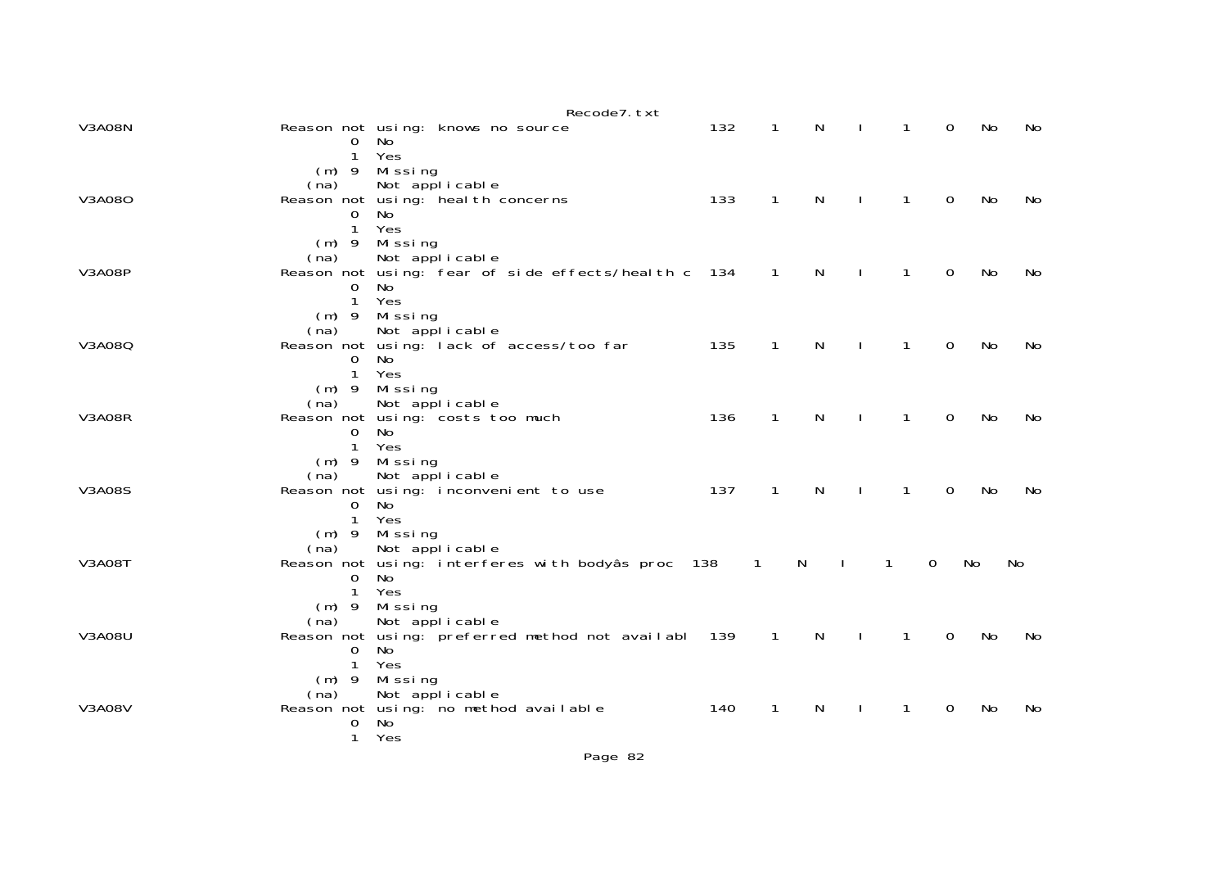|               |                          | Recode7. txt                                        |       |                |              |              |              |                |    |    |
|---------------|--------------------------|-----------------------------------------------------|-------|----------------|--------------|--------------|--------------|----------------|----|----|
| <b>V3A08N</b> |                          | Reason not using: knows no source<br>0 No           | 132   | $\mathbf{1}$   | N            | $\mathbf{L}$ | $\mathbf{1}$ | $\Omega$       | No | No |
|               | $\mathbf{1}$             | Yes                                                 |       |                |              |              |              |                |    |    |
|               |                          | $(m)$ 9 Missing                                     |       |                |              |              |              |                |    |    |
|               | (na)                     | Not applicable                                      |       |                |              |              |              |                |    |    |
| V3A080        |                          | Reason not using: heal th concerns                  | 133   | $\mathbf{1}$   | $\mathsf{N}$ | $\mathbf{I}$ | $\mathbf{1}$ | $\mathbf 0$    | No | No |
|               | $\Omega$<br>$\mathbf{1}$ | No.<br>Yes                                          |       |                |              |              |              |                |    |    |
|               |                          | $(m)$ 9 Missing                                     |       |                |              |              |              |                |    |    |
|               | (na)                     | Not applicable                                      |       |                |              |              |              |                |    |    |
| <b>V3A08P</b> |                          | Reason not using: fear of side effects/heal th c    | - 134 | $\overline{1}$ | N            | $\mathbf{L}$ | $\mathbf{1}$ | $\mathbf 0$    | No | No |
|               | $\overline{0}$           | No                                                  |       |                |              |              |              |                |    |    |
|               | $\mathbf{1}$             | Yes                                                 |       |                |              |              |              |                |    |    |
|               |                          | $(m)$ 9 Missing                                     |       |                |              |              |              |                |    |    |
|               | (na)                     | Not applicable                                      | 135   | $\mathbf{1}$   | $\mathsf{N}$ |              | $\mathbf{1}$ |                |    |    |
| V3A080        | $\Omega$                 | Reason not using: lack of access/too far<br>No.     |       |                |              | $\mathbf{L}$ |              | 0              | No | No |
|               | $\mathbf{1}$             | Yes                                                 |       |                |              |              |              |                |    |    |
|               |                          | $(m)$ 9 Missing                                     |       |                |              |              |              |                |    |    |
|               | (na)                     | Not applicable                                      |       |                |              |              |              |                |    |    |
| <b>V3A08R</b> |                          | Reason not using: costs too much                    | 136   | $\mathbf{1}$   | $\mathsf{N}$ | $\mathbf{I}$ | $\mathbf{1}$ | $\mathbf 0$    | No | No |
|               | $\overline{0}$           | No                                                  |       |                |              |              |              |                |    |    |
|               | $\mathbf{1}$             | Yes                                                 |       |                |              |              |              |                |    |    |
|               | (na)                     | $(m)$ 9 Missing<br>Not applicable                   |       |                |              |              |              |                |    |    |
| <b>V3A08S</b> |                          | Reason not using: inconvenient to use               | 137   | $\mathbf{1}$   | N            |              | 1            | $\Omega$       | No | No |
|               | $\mathsf{O}$             | No                                                  |       |                |              |              |              |                |    |    |
|               | $\mathbf{1}$             | Yes                                                 |       |                |              |              |              |                |    |    |
|               |                          | $(m)$ 9 Missing                                     |       |                |              |              |              |                |    |    |
|               | (na)                     | Not applicable                                      |       |                |              |              |              |                |    |    |
| <b>V3A08T</b> |                          | Reason not using: interferes with bodyâs proc 138   |       | $\mathbf{1}$   | N            |              | 1            | $\Omega$       | No | No |
|               | $\Omega$<br>$\mathbf{1}$ | No.<br>Yes                                          |       |                |              |              |              |                |    |    |
|               |                          | $(m)$ 9 Missing                                     |       |                |              |              |              |                |    |    |
|               | (na)                     | Not applicable                                      |       |                |              |              |              |                |    |    |
| <b>V3A08U</b> |                          | Reason not using: preferred method not availabl 139 |       | $\overline{1}$ | N            | $\mathbf{L}$ | $\mathbf{1}$ | $\overline{0}$ | No | No |
|               | $\mathbf{O}$             | No                                                  |       |                |              |              |              |                |    |    |
|               | $\mathbf{1}$             | Yes                                                 |       |                |              |              |              |                |    |    |
|               |                          | $(m)$ 9 Missing                                     |       |                |              |              |              |                |    |    |
|               | (na)                     | Not applicable                                      |       |                |              |              |              |                |    |    |
| <b>V3A08V</b> | $\mathbf 0$              | Reason not using: no method available<br>No         | 140   | $\mathbf{1}$   | N            | $\mathbf{I}$ | $\mathbf{1}$ | 0              | No | No |
|               | $\mathbf{1}$             | Yes                                                 |       |                |              |              |              |                |    |    |
|               |                          |                                                     |       |                |              |              |              |                |    |    |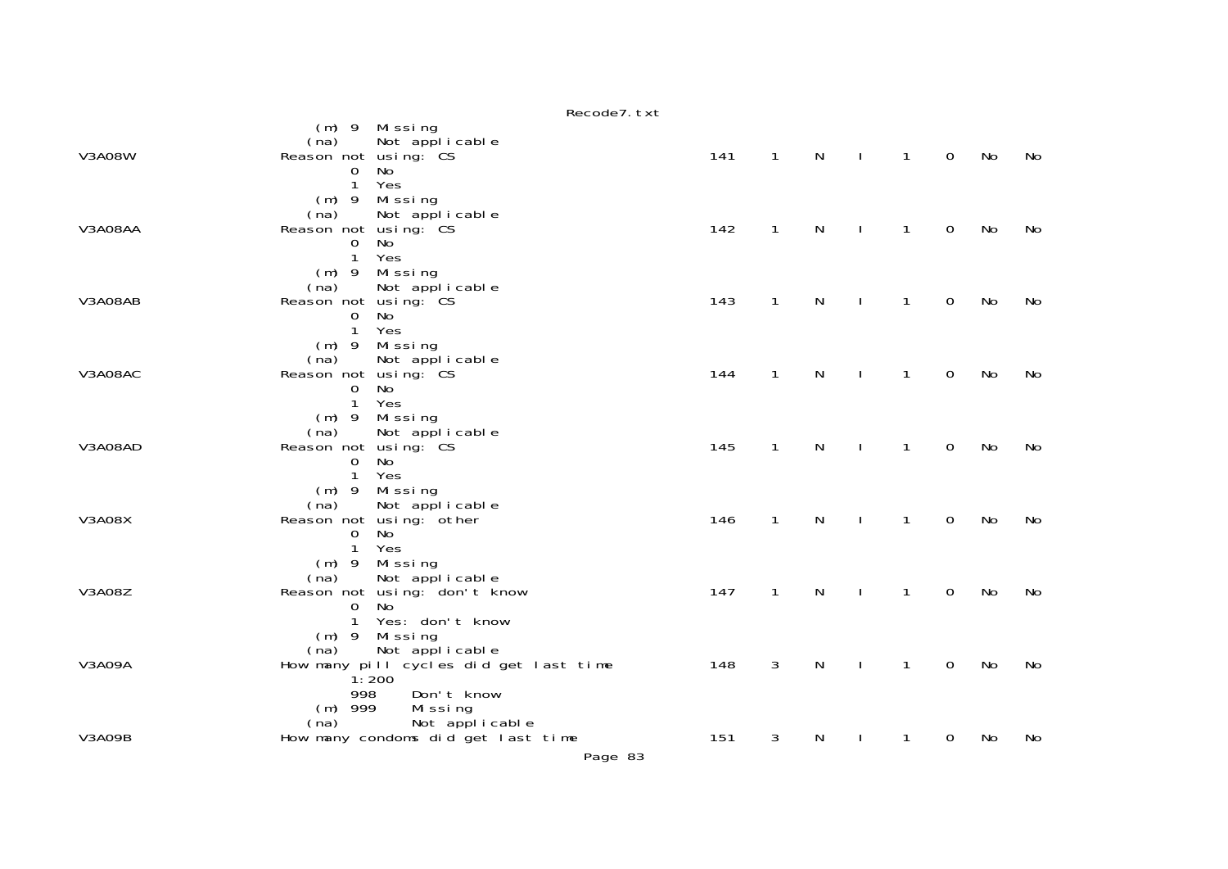|               | Recode7. txt                                                                                                                          |     |              |              |              |                |             |    |    |
|---------------|---------------------------------------------------------------------------------------------------------------------------------------|-----|--------------|--------------|--------------|----------------|-------------|----|----|
| <b>V3A08W</b> | (m) 9 Missing<br>Not applicable<br>(na)<br>Reason not using: CS<br>No<br>$\mathbf{O}$<br>$\mathbf{1}$<br>Yes                          | 141 | $\mathbf{1}$ | N            | $\sim 1$     | $\overline{1}$ | $\mathbf 0$ | No | No |
| V3A08AA       | $(m)$ 9<br>Missing<br>(na)<br>Not applicable<br>Reason not using: CS<br>0<br>No<br>$\mathbf{1}$<br>Yes                                | 142 | $\mathbf{1}$ | N            |              | $\mathbf{1}$   | 0           | No | No |
| V3A08AB       | (m) 9 Missing<br>Not applicable<br>(na)<br>Reason not using: CS<br>No<br>0<br>$\mathbf{1}$<br>Yes                                     | 143 | $\mathbf{1}$ | $\mathsf{N}$ |              | $\mathbf{1}$   | $\mathbf 0$ | No | No |
| V3A08AC       | $(m)$ 9<br>Missing<br>(na)<br>Not applicable<br>Reason not using: CS<br>No<br>0<br>$\mathbf{1}$<br>Yes                                | 144 | $\mathbf{1}$ | N            |              | 1              | $\mathbf 0$ | No | No |
| V3A08AD       | $(m)$ 9<br>Mi ssi ng<br>(na)<br>Not applicable<br>Reason not using: CS<br>No<br>$\mathbf{0}$<br>$\mathbf{1}$<br>Yes                   | 145 | $\mathbf{1}$ | $\mathsf{N}$ | $\mathbf{I}$ | $\mathbf{1}$   | $\mathbf 0$ | No | No |
| <b>V3A08X</b> | (m) 9 Missing<br>(na)<br>Not applicable<br>Reason not using: other<br>No<br>0<br>$\mathbf{1}$<br>Yes                                  | 146 | $\mathbf{1}$ | $\mathsf{N}$ |              | $\mathbf{1}$   | $\mathbf 0$ | No | No |
| <b>V3A08Z</b> | $(m)$ 9<br>Missing<br>Not applicable<br>(na)<br>Reason not using: don't know<br>No<br>$\mathbf{O}$<br>Yes: don't know<br>$\mathbf{1}$ | 147 | $\mathbf{1}$ | N            |              | $\mathbf{1}$   | $\mathbf 0$ | No | No |
| V3A09A        | (m) 9 Missing<br>Not applicable<br>(na)<br>How many pill cycles did get last time<br>1:200<br>998<br>Don't know                       | 148 | 3            | N            |              | $\mathbf{1}$   | $\mathbf 0$ | No | No |
| <b>V3A09B</b> | $(m)$ 999<br>Missing<br>Not applicable<br>(na)<br>How many condoms did get last time                                                  | 151 | 3            | N            | J.           | 1              | 0           | No | No |

Page 83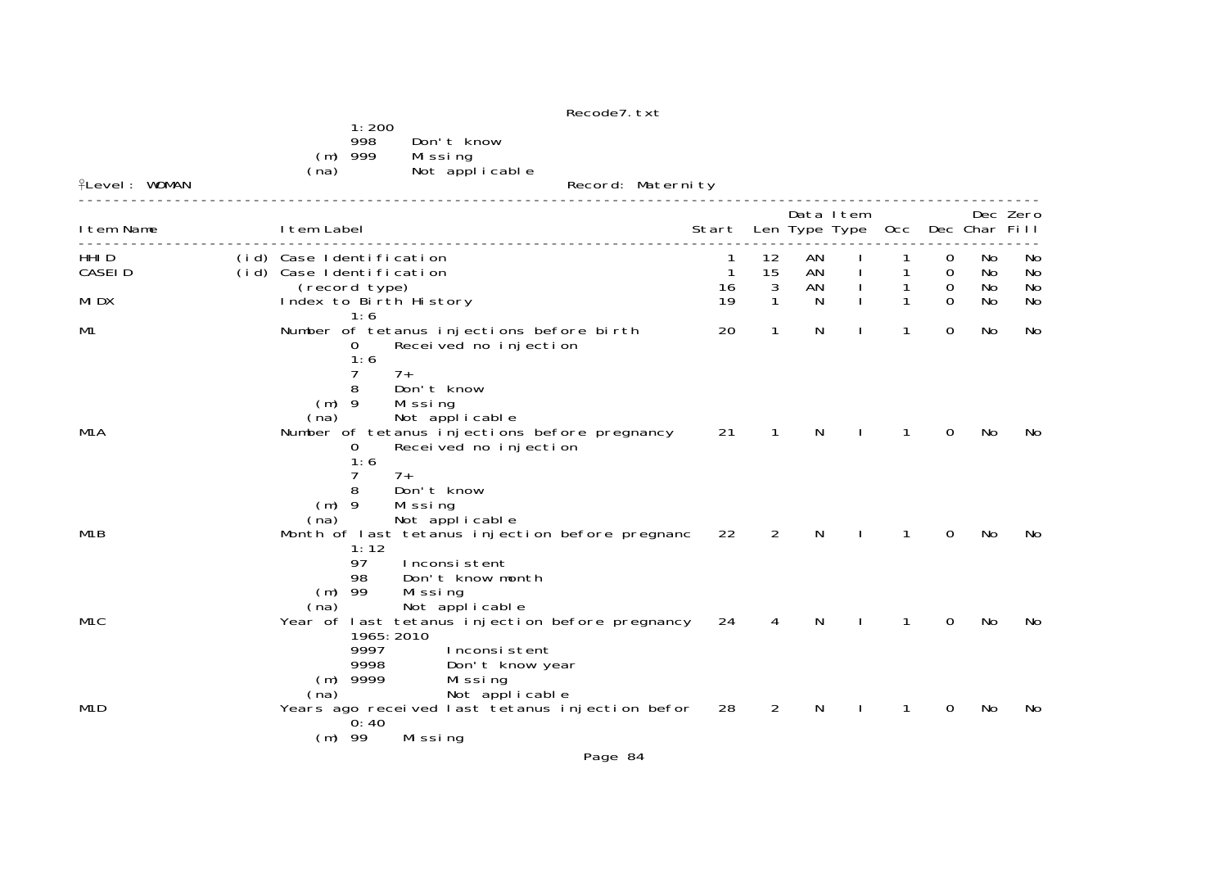| <b>flevel: WOMAN</b>        | 1:200<br>998<br>Don't know<br>$(m)$ 999<br>Missing<br>Not applicable<br>(na)                                                                                                                          | Record: Maternity                     |                |                |              |   |                                 |                |                 |
|-----------------------------|-------------------------------------------------------------------------------------------------------------------------------------------------------------------------------------------------------|---------------------------------------|----------------|----------------|--------------|---|---------------------------------|----------------|-----------------|
| I tem Name                  | I tem Label                                                                                                                                                                                           | Start Len Type Type Occ Dec Char Fill |                | Data Item      |              |   |                                 |                | Dec Zero        |
| HHI <sub>D</sub><br>CASEI D | (id) Case Identification<br>(id) Case Identification                                                                                                                                                  | 1<br>16                               | 12<br>15<br>3  | AN<br>AN<br>AN |              | 1 | 0<br>$\Omega$<br>$\overline{0}$ | No<br>No<br>No | No.<br>No<br>No |
| MI DX                       | (record type)<br>Index to Birth History                                                                                                                                                               | 19                                    | $\mathbf{1}$   | $\mathsf{N}$   | $\mathbf{I}$ |   | $\Omega$                        | No             | No              |
| M1                          | 1:6<br>Number of tetanus injections before birth<br>Received no injection<br>0<br>1:6                                                                                                                 | 20                                    | 1              | N              |              | 1 | 0                               | No.            | No              |
| M <sub>1</sub> A            | 7<br>$7+$<br>Don't know<br>8<br>$(m)$ 9<br>Missing<br>Not applicable<br>(na)<br>Number of tetanus injections before pregnancy 21<br>0<br>Received no injection<br>1:6<br>7<br>$7+$<br>Don't know<br>8 |                                       | $\sqrt{1}$     | N              |              | 1 | 0                               | No.            | No              |
| M <sub>1</sub> B            | $(m)$ 9<br>Missing<br>Not applicable<br>(na)<br>Month of last tetanus injection before pregnanc<br>1:12<br>97<br>Inconsistent                                                                         | 22                                    | $\overline{2}$ | N              |              |   | 0                               | No             | No              |
| M <sub>1</sub> C            | 98<br>Don't know month<br>$(m)$ 99<br>Missing<br>Not applicable<br>(na)<br>Year of last tetanus injection before pregnancy<br>1965: 2010<br>9997<br>Inconsistent                                      | 24                                    | 4              | N              |              |   | 0                               | No             | No              |
| M <sub>1</sub> D            | 9998<br>Don't know year<br>$(m)$ 9999<br>Missing<br>Not applicable<br>(na)<br>Years ago received last tetanus injection befor 28<br>0:40<br>$(m)$ 99<br>Missing                                       |                                       | $\overline{2}$ | N              |              |   | 0                               | No             | No              |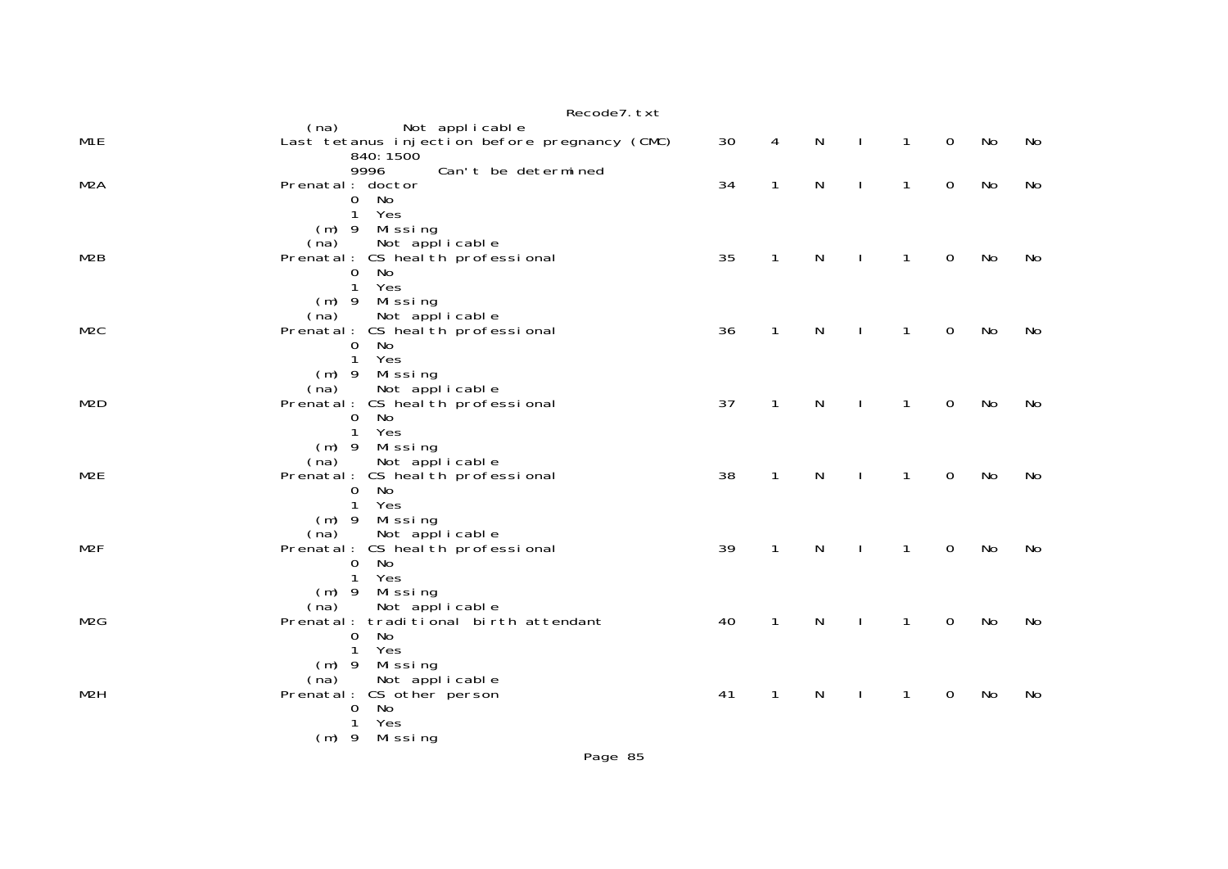|                  | Recode7. txt                                                                                                                  |    |              |              |                |                |                     |    |    |
|------------------|-------------------------------------------------------------------------------------------------------------------------------|----|--------------|--------------|----------------|----------------|---------------------|----|----|
| M <sub>1</sub> E | Not applicable<br>(na)<br>Last tetanus injection before pregnancy (CMC)<br>840: 1500                                          | 30 | 4            | N            | $\mathbf{L}$   | $\mathbf{1}$   | $\mathbf 0$         | No | No |
| M <sub>2</sub> A | 9996<br>Can't be determined<br>Prenatal: doctor<br>No<br>$\overline{0}$<br>Yes<br>$\mathbf{1}$                                | 34 | $\mathbf{1}$ | $\mathsf{N}$ | $\mathbf{I}$   | $\mathbf{1}$   | $\mathbf 0$         | No | No |
| M2B              | (m) 9 Missing<br>Not applicable<br>(na)<br>Prenatal: CS heal th professional<br>0 No<br>Yes<br>$\mathbf{1}$                   | 35 | $\mathbf{1}$ | $\mathsf{N}$ | $\blacksquare$ | $\overline{1}$ | $\mathsf{O}\xspace$ | No | No |
| M <sub>2</sub> C | (m) 9 Missing<br>Not applicable<br>(na)<br>Prenatal: CS heal th professional<br>No<br>$\mathbf 0$<br>Yes<br>$\mathbf{1}$      | 36 | $\mathbf{1}$ | $\mathsf{N}$ | $\mathbf{I}$   | $\mathbf{1}$   | $\mathbf 0$         | No | No |
| M <sub>2</sub> D | $(m)$ 9 Missing<br>Not applicable<br>(na)<br>Prenatal: CS heal th professional<br>$\overline{0}$<br>No<br>Yes<br>$\mathbf{1}$ | 37 | $\mathbf{1}$ | N            | - 1            | $\mathbf{1}$   | $\mathbf 0$         | No | No |
| M <sub>2E</sub>  | (m) 9 Missing<br>(na) Not applicable<br>Prenatal: CS health professional<br><b>No</b><br>$\mathbf{O}$<br>Yes<br>$\mathbf{1}$  | 38 | $\mathbf{1}$ | N            | $\mathbf{I}$   | $\mathbf{1}$   | $\mathbf 0$         | No | No |
| M <sub>2</sub> F | (m) 9 Missing<br>(na) Not applicable<br>Prenatal: CS health professional<br>$\mathbf 0$<br>No<br>$\mathbf{1}$<br>Yes          | 39 | $\mathbf{1}$ | $\mathsf{N}$ | $\sim 1$       | $\mathbf{1}$   | $\mathsf{O}\xspace$ | No | No |
| M <sub>2</sub> G | (m) 9 Missing<br>Not applicable<br>(na)<br>Prenatal: traditional birth attendant<br>No<br>$\mathbf{O}$<br>Yes<br>$\mathbf{1}$ | 40 | $\mathbf{1}$ | $\mathsf{N}$ | $\mathbf{I}$   | $\mathbf{1}$   | $\mathbf 0$         | No | No |
| M <sub>2</sub> H | (m) 9 Missing<br>Not applicable<br>(na)<br>Prenatal: CS other person<br>No<br>$\mathbf{0}$<br>Yes<br>1<br>(m) 9 Missing       | 41 | $\mathbf{1}$ | N            | $\mathbf{I}$   | $\mathbf{1}$   | $\mathbf 0$         | No | No |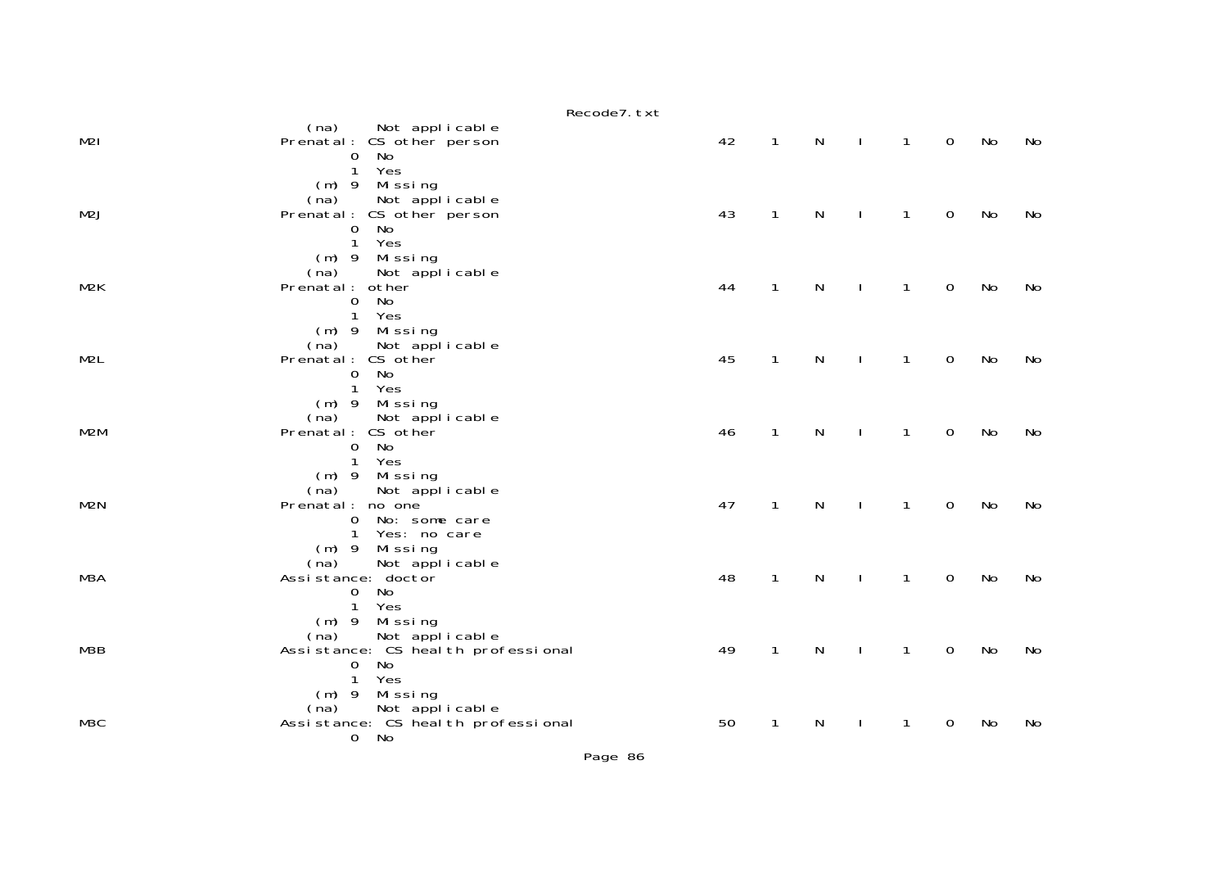|                  | Recode7. txt                                                                                                                   |    |              |              |              |              |                |    |    |
|------------------|--------------------------------------------------------------------------------------------------------------------------------|----|--------------|--------------|--------------|--------------|----------------|----|----|
| M2I              | (na) Not applicable<br>Prenatal: CS other person<br>0 No                                                                       | 42 | $\mathbf{1}$ | $\mathsf{N}$ | $\mathbf{L}$ | $\mathbf{1}$ | $\overline{0}$ | No | No |
| M2J              | 1 Yes<br>(m) 9 Missing<br>(na) Not applicable<br>(na)<br>Prenatal: CS other person<br>No<br>$\mathbf 0$<br>Yes<br>$\mathbf{1}$ | 43 | $\mathbf{1}$ | $\mathsf{N}$ | $\mathbf{I}$ | $\mathbf{1}$ | $\overline{0}$ | No | No |
| M2K              | (m) 9 Missing<br>Not applicable<br>(na)<br>Prenatal: other<br>No<br>$\mathbf 0$<br>Yes<br>$\mathbf{1}$                         | 44 | $\mathbf{1}$ | N            | $\mathbf{I}$ | 1            | $\mathbf 0$    | No | No |
| M <sub>2</sub> L | (m) 9 Missing<br>Not applicable<br>(na)<br>Prenatal: CS other<br>0 No<br>$\mathbf{1}$<br>Yes                                   | 45 | $\mathbf{1}$ | ${\sf N}$    | $\mathbf{I}$ | $\mathbf{1}$ | $\mathbf 0$    | No | No |
| M2M              | (m) 9 Missing<br>(na)<br>Not applicable<br>Prenatal: CS other<br>No<br>$\overline{0}$<br>$\mathbf{1}$<br>Yes                   | 46 | $\mathbf{1}$ | $\mathsf{N}$ | $\mathbf{I}$ | $\mathbf{1}$ | $\mathbf 0$    | No | No |
| M2N              | (m) 9 Missing<br>(na)<br>Not applicable<br>Prenatal: no one<br>0 No: some care<br>$\mathbf{1}$<br>Yes: no care                 | 47 | $\mathbf{1}$ | ${\sf N}$    | $\mathbf{I}$ | $\mathbf{1}$ | $\mathbf 0$    | No | No |
| M3A              | (m) 9 Missing<br>Not applicable<br>(na)<br>Assistance: doctor<br>No<br>$\Omega$<br>Yes<br>$\mathbf{1}$                         | 48 | $\mathbf{1}$ | $\mathsf{N}$ | $\mathbf{I}$ | $\mathbf{1}$ | $\mathbf 0$    | No | No |
| M3B              | $(m)$ 9 Missing<br>(na) Not applicable<br>Assistance: CS health professional<br>No<br>$\mathbf 0$<br>Yes<br>$\mathbf{1}$       | 49 | $\mathbf{1}$ | N            | $\mathbf{I}$ | $\mathbf{1}$ | $\mathbf 0$    | No | No |
| M3C              | (m) 9 Missing<br>(na) Not applicable<br>Assistance: CS health professional<br>0 No                                             | 50 | $\mathbf{1}$ | $\mathsf{N}$ | $\Box$       | $\mathbf{1}$ | $\mathbf 0$    | No | No |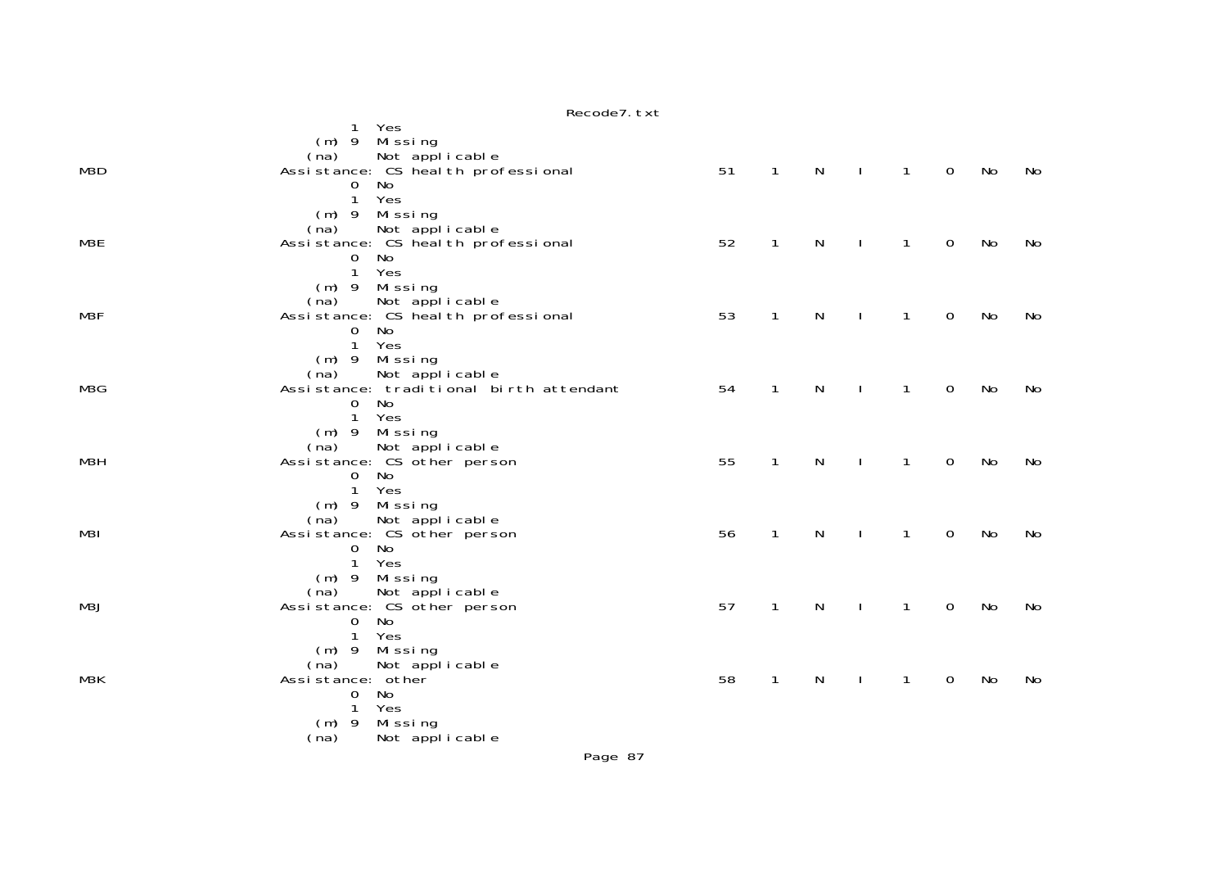| M3D | Yes<br>1<br>(m) 9 Missing<br>(na) Not applicable<br>Assistance: CS health professional<br>$\mathbf 0$<br>No                        | 51 | $\mathbf{1}$ | N            | $\mathbf{I}$ | $\overline{1}$ | $\overline{0}$ | No | No |
|-----|------------------------------------------------------------------------------------------------------------------------------------|----|--------------|--------------|--------------|----------------|----------------|----|----|
| M3E | 1 Yes<br>$(m)$ 9 Missing<br>(na) Not applicable<br>Assistance: CS health professional<br>$\mathbf{O}$<br>No<br>$\mathbf{1}$<br>Yes | 52 | $\mathbf{1}$ | $\mathsf{N}$ |              | $\mathbf{1}$   | $\mathbf 0$    | No | No |
| M3F | (m) 9 Missing<br>Not applicable<br>(na)<br>Assistance: CS heal th professional<br>No<br>$\overline{0}$<br>$\mathbf{1}$<br>Yes      | 53 | $\mathbf{1}$ | N            | $\mathbf{I}$ | $\mathbf{1}$   | $\mathbf 0$    | No | No |
| M3G | (m) 9 Missing<br>Not applicable<br>(na)<br>Assistance: traditional birth attendant<br>No<br>$\overline{0}$<br>1 Yes                | 54 | $\mathbf{1}$ | N            | $\mathbf{I}$ | $\mathbf{1}$   | $\mathbf 0$    | No | No |
| МЗН | $(m)$ 9 Missing<br>Not applicable<br>(na)<br>Assistance: CS other person<br>$\overline{0}$<br>No<br>$\mathbf{1}$<br>Yes            | 55 | $\mathbf{1}$ | $\mathsf{N}$ | $\mathbf{I}$ | $\mathbf{1}$   | $\mathbf 0$    | No | No |
| M31 | (m) 9 Missing<br>Not applicable<br>(na)<br>Assistance: CS other person<br>0 No<br>1<br>Yes                                         | 56 | $\mathbf{1}$ | N            | $\mathbf{I}$ | $\mathbf{1}$   | $\mathbf 0$    | No | No |
| M3J | (m) 9 Missing<br>Not applicable<br>(na)<br>Assistance: CS other person<br>No<br>$\mathbf 0$<br>1 Yes                               | 57 | $\mathbf{1}$ | N            | $\mathbf{I}$ | $\mathbf{1}$   | $\mathbf 0$    | No | No |
| M3K | (m) 9 Missing<br>(na)<br>Not applicable<br>Assistance: other<br>No<br>$\mathbf 0$<br>Yes<br>1<br>Mi ssi ng<br>$(m)$ 9              | 58 | $\mathbf{1}$ | N            |              | $\mathbf{1}$   | $\mathbf 0$    | No | No |
|     | Not applicable<br>(na)                                                                                                             |    |              |              |              |                |                |    |    |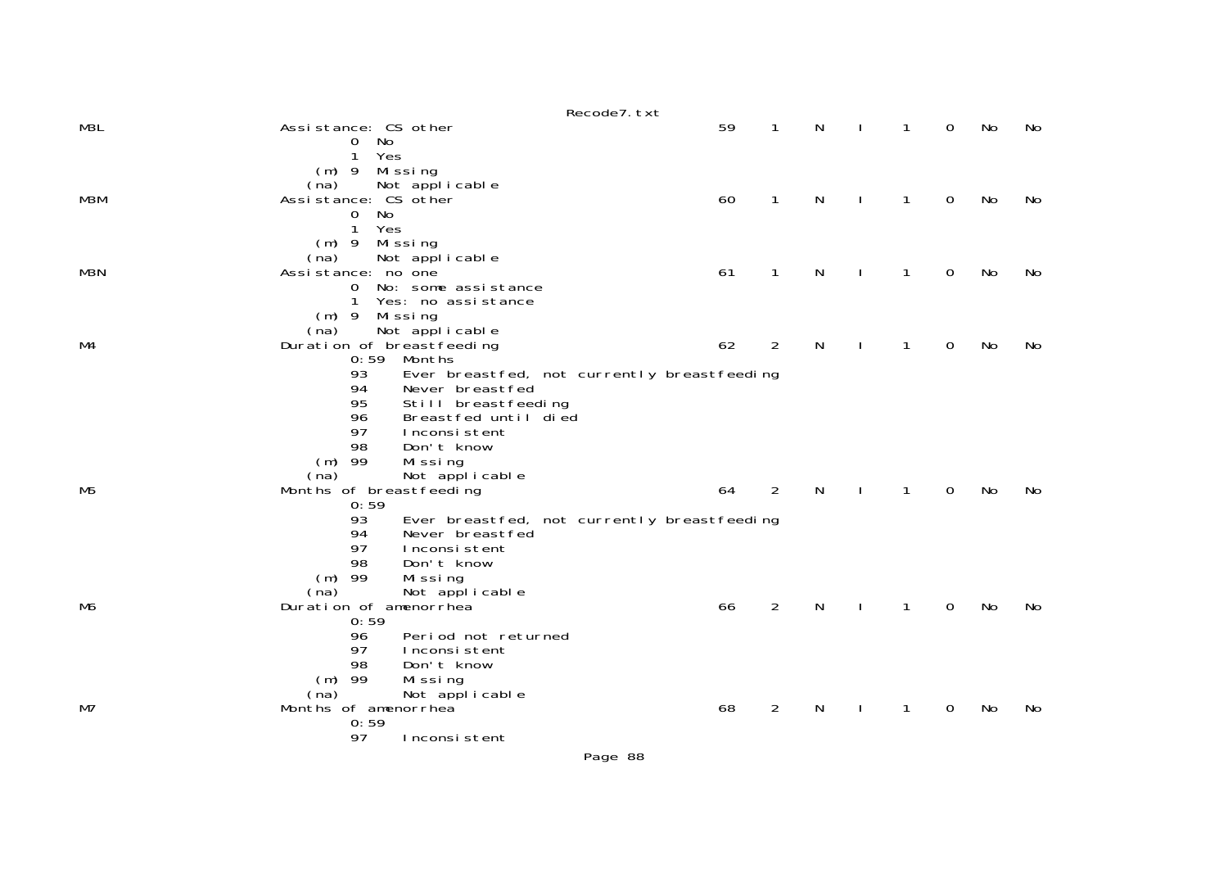|     |                                                                                                                                                                                   | Recode7. txt                                |                |   |              |              |           |           |
|-----|-----------------------------------------------------------------------------------------------------------------------------------------------------------------------------------|---------------------------------------------|----------------|---|--------------|--------------|-----------|-----------|
| M3L | Assistance: CS other<br>No<br>$\overline{0}$                                                                                                                                      | 59                                          | $\mathbf{1}$   | N | 1            | $\mathbf{O}$ | No        | No        |
| МЗМ | Yes<br>1<br>$(m)$ 9<br>Missing<br>(na)<br>Not applicable<br>Assistance: CS other<br>No<br>$\Omega$<br>Yes<br>1                                                                    | 60                                          | 1              | N | 1            | 0            | No        | No        |
| M3N | $(m)$ 9 Missing<br>Not applicable<br>(na)<br>Assistance: no one<br>No: some assistance<br>$\mathbf{O}$<br>1<br>Yes: no assistance                                                 | 61                                          | $\mathbf{1}$   | N | $\mathbf{1}$ | 0            | No        | No        |
| M4  | (m) 9 Missing<br>Not applicable<br>(na)<br>Duration of breastfeeding<br>$0:59$ Months                                                                                             | 62                                          | $\overline{2}$ | N | $\mathbf{1}$ | 0            | No        | No        |
|     | 93<br>94<br>Never breastfed<br>95<br>Still breastfeeding<br>96<br>Breastfed until died<br>97<br>Inconsistent<br>98<br>Don't know<br>$(m)$ 99<br>Missing<br>Not applicable<br>(na) | Ever breastfed, not currently breastfeeding |                |   |              |              |           |           |
| M5  | Months of breastfeeding<br>0:59                                                                                                                                                   | 64                                          | 2              | N | 1            | $\Omega$     | No        | <b>No</b> |
|     | 93<br>94<br>Never breastfed<br>97<br>Inconsistent<br>98<br>Don't know<br>$(m)$ 99<br>Missing<br>Not applicable<br>(na)                                                            | Ever breastfed, not currently breastfeeding |                |   |              |              |           |           |
| M6  | Duration of amenorrhea<br>0:59<br>96<br>Period not returned<br>97<br>Inconsistent<br>98<br>Don't know                                                                             | 66                                          | $\overline{2}$ | N | $\mathbf{1}$ | $\Omega$     | <b>No</b> | No        |
| M7  | $(m)$ 99<br>Missing<br>(na)<br>Not applicable<br>Months of amenorrhea<br>0:59<br>97<br>Inconsistent                                                                               | 68                                          | 2              | N | 1            | 0            | No        | No        |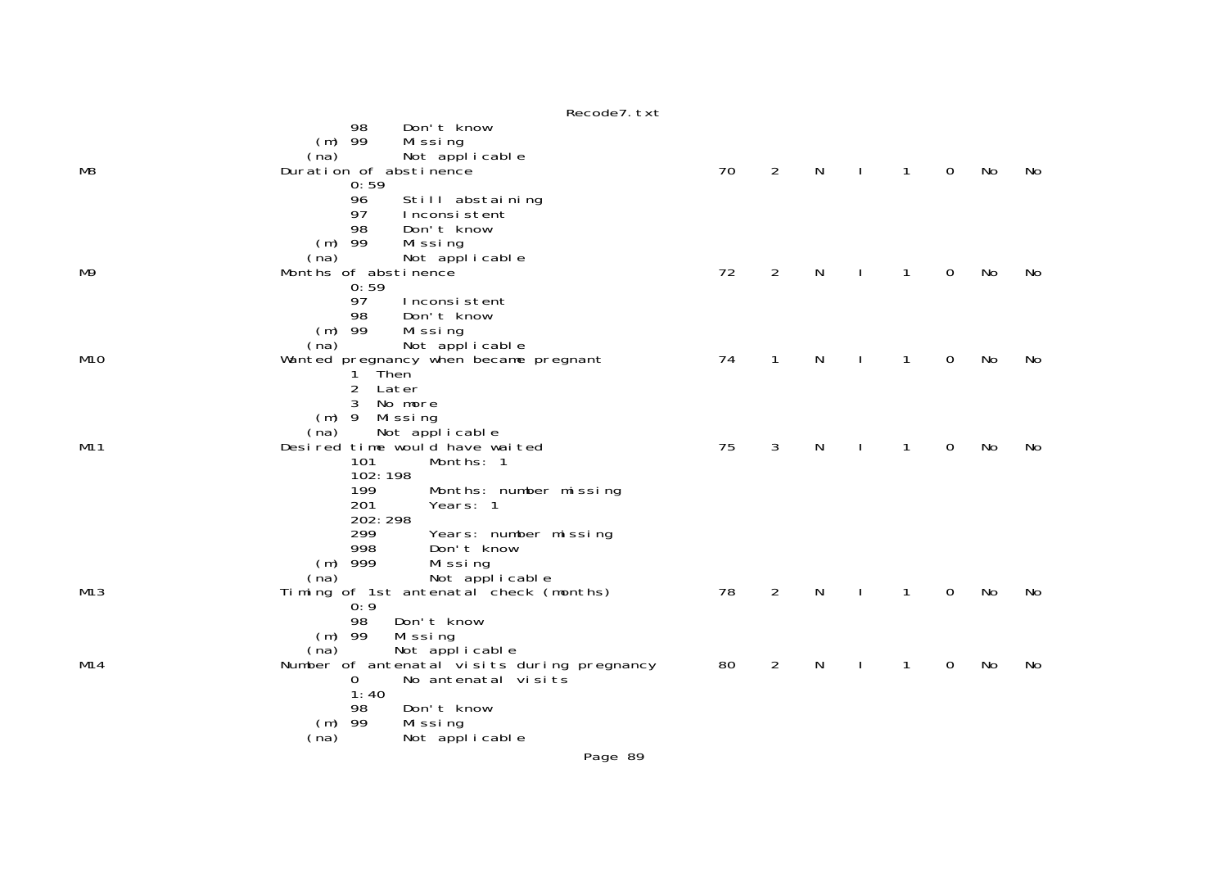|     | Recode7. txt                                                                                                                                            |    |                |   |              |   |    |     |
|-----|---------------------------------------------------------------------------------------------------------------------------------------------------------|----|----------------|---|--------------|---|----|-----|
| M8  | Don't know<br>98<br>$(m)$ 99<br>Missing<br>Not applicable<br>(na)<br>Duration of abstinence<br>0:59                                                     | 70 | $\overline{2}$ | N | 1            | 0 | No | No. |
| M9  | 96<br>Still abstaining<br>97<br>Inconsistent<br>Don't know<br>98<br>$(m)$ 99<br>Missing<br>Not applicable<br>(na)<br>Months of abstinence               | 72 | $\overline{2}$ | N | 1            | 0 | No | No  |
|     | 0:59<br>97<br>Inconsistent<br>98<br>Don't know<br>$(m)$ 99<br>Missing<br>Not applicable<br>(na)                                                         |    |                |   |              |   |    |     |
| M1O | Wanted pregnancy when became pregnant<br>1 Then<br>$\overline{2}$<br>Later<br>3<br>No more<br>$(m)$ 9<br>Mi ssi ng                                      | 74 | $\mathbf 1$    | N | 1            | 0 | No | No. |
| M11 | Not applicable<br>(na)<br>Desired time would have waited<br>101<br>Months: 1<br>102:198<br>199<br>Months: number missing<br>201<br>Years: 1<br>202: 298 | 75 | 3              | N | $\mathbf{1}$ | 0 | No | No  |
| M13 | 299<br>Years: number missing<br>998<br>Don't know<br>$(m)$ 999<br>Missing<br>Not applicable<br>(na)<br>Timing of 1st antenatal check (months)           | 78 | $\overline{2}$ | N | $\mathbf{1}$ | 0 | No | No  |
| M14 | 0:9<br>98<br>Don't know<br>$(m)$ 99<br>Missing<br>Not applicable<br>(na)<br>Number of antenatal visits during pregnancy<br>No antenatal visits<br>0     | 80 | $\overline{2}$ | N |              | 0 | No | No  |
|     | 1:40<br>Don't know<br>98<br>$(m)$ 99<br>Missing<br>Not applicable<br>(na)                                                                               |    |                |   |              |   |    |     |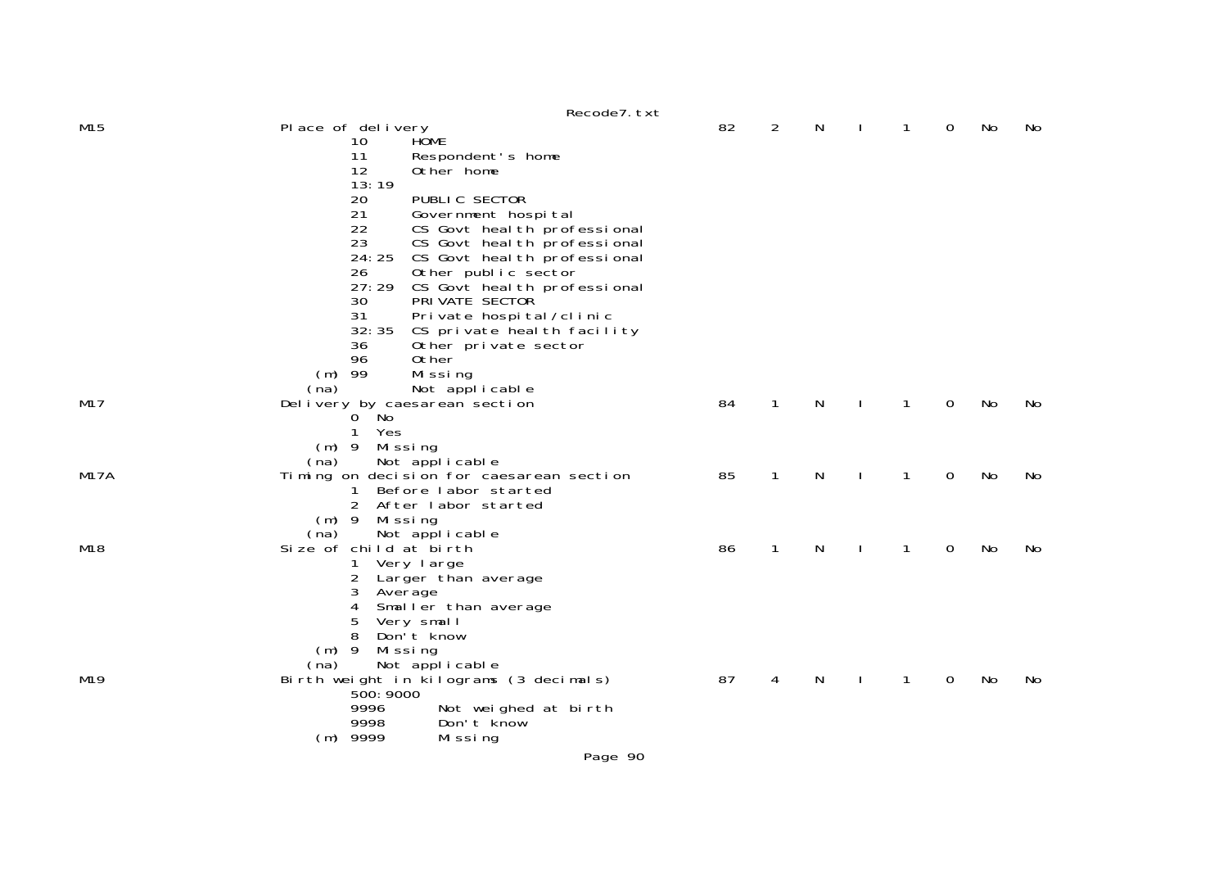|                 |                               | Recode7. txt                                             |    |              |   |              |              |             |           |     |
|-----------------|-------------------------------|----------------------------------------------------------|----|--------------|---|--------------|--------------|-------------|-----------|-----|
| M15             | Place of delivery             |                                                          | 82 | 2            | N |              | 1            | 0           | No        | No. |
|                 | 10                            | <b>HÔME</b>                                              |    |              |   |              |              |             |           |     |
|                 | 11                            | Respondent's home                                        |    |              |   |              |              |             |           |     |
|                 | 12                            | Other home                                               |    |              |   |              |              |             |           |     |
|                 | 13:19<br>20                   | PUBLIC SECTOR                                            |    |              |   |              |              |             |           |     |
|                 | 21                            | Government hospital                                      |    |              |   |              |              |             |           |     |
|                 | 22                            | CS Govt heal th professional                             |    |              |   |              |              |             |           |     |
|                 | 23                            | CS Govt heal th professional                             |    |              |   |              |              |             |           |     |
|                 | 24:25                         | CS Govt heal th professional                             |    |              |   |              |              |             |           |     |
|                 | 26                            | Other public sector                                      |    |              |   |              |              |             |           |     |
|                 | 27:29                         | CS Govt heal th professional                             |    |              |   |              |              |             |           |     |
|                 | 30                            | PRI VATE SECTOR                                          |    |              |   |              |              |             |           |     |
|                 | 31                            | Private hospital/clinic                                  |    |              |   |              |              |             |           |     |
|                 | 32:35                         | CS private heal th facility                              |    |              |   |              |              |             |           |     |
|                 | 36<br>96                      | Other private sector                                     |    |              |   |              |              |             |           |     |
|                 | $(m)$ 99                      | 0ther<br>Missing                                         |    |              |   |              |              |             |           |     |
|                 | (na)                          | Not applicable                                           |    |              |   |              |              |             |           |     |
| M17             | Delivery by caesarean section |                                                          | 84 | $\mathbf{1}$ | N | $\mathbf{I}$ | $\mathbf{1}$ | $\mathbf 0$ | No        | No  |
|                 | $0$ No                        |                                                          |    |              |   |              |              |             |           |     |
|                 | 1<br>Yes                      |                                                          |    |              |   |              |              |             |           |     |
|                 | $(m)$ 9<br>Mi ssi ng          |                                                          |    |              |   |              |              |             |           |     |
|                 | (na)                          | Not applicable                                           |    |              |   |              |              |             |           |     |
| <b>M17A</b>     |                               | Timing on decision for caesarean section                 | 85 | $\mathbf{1}$ | N | $\mathbf{I}$ | $\mathbf{1}$ | 0           | <b>No</b> | No  |
|                 | $\mathbf{1}$                  | Before labor started                                     |    |              |   |              |              |             |           |     |
|                 | $(m)$ 9<br>Mi ssi ng          | 2 After labor started                                    |    |              |   |              |              |             |           |     |
|                 | (na)                          | Not applicable                                           |    |              |   |              |              |             |           |     |
| M18             | Size of child at birth        |                                                          | 86 | 1            | N | $\mathbf{I}$ | 1            | 0           | No        | No  |
|                 | 1                             | Very large                                               |    |              |   |              |              |             |           |     |
|                 | $\overline{2}$                | Larger than average                                      |    |              |   |              |              |             |           |     |
|                 | 3<br>Average                  |                                                          |    |              |   |              |              |             |           |     |
|                 | 4                             | Smaller than average                                     |    |              |   |              |              |             |           |     |
|                 | 5                             | Very small                                               |    |              |   |              |              |             |           |     |
|                 | 8                             | Don't know                                               |    |              |   |              |              |             |           |     |
|                 | $(m)$ 9<br>Missing            |                                                          |    |              |   |              |              |             |           |     |
| M <sub>19</sub> | (na)                          | Not applicable<br>Birth weight in kilograms (3 decimals) | 87 | 4            | N |              | 1            | 0           | No        | No  |
|                 | 500: 9000                     |                                                          |    |              |   |              |              |             |           |     |
|                 | 9996                          | Not weighed at birth                                     |    |              |   |              |              |             |           |     |
|                 | 9998                          | Don't know                                               |    |              |   |              |              |             |           |     |
|                 | $(m)$ 9999                    | Missing                                                  |    |              |   |              |              |             |           |     |
|                 |                               | Page 90                                                  |    |              |   |              |              |             |           |     |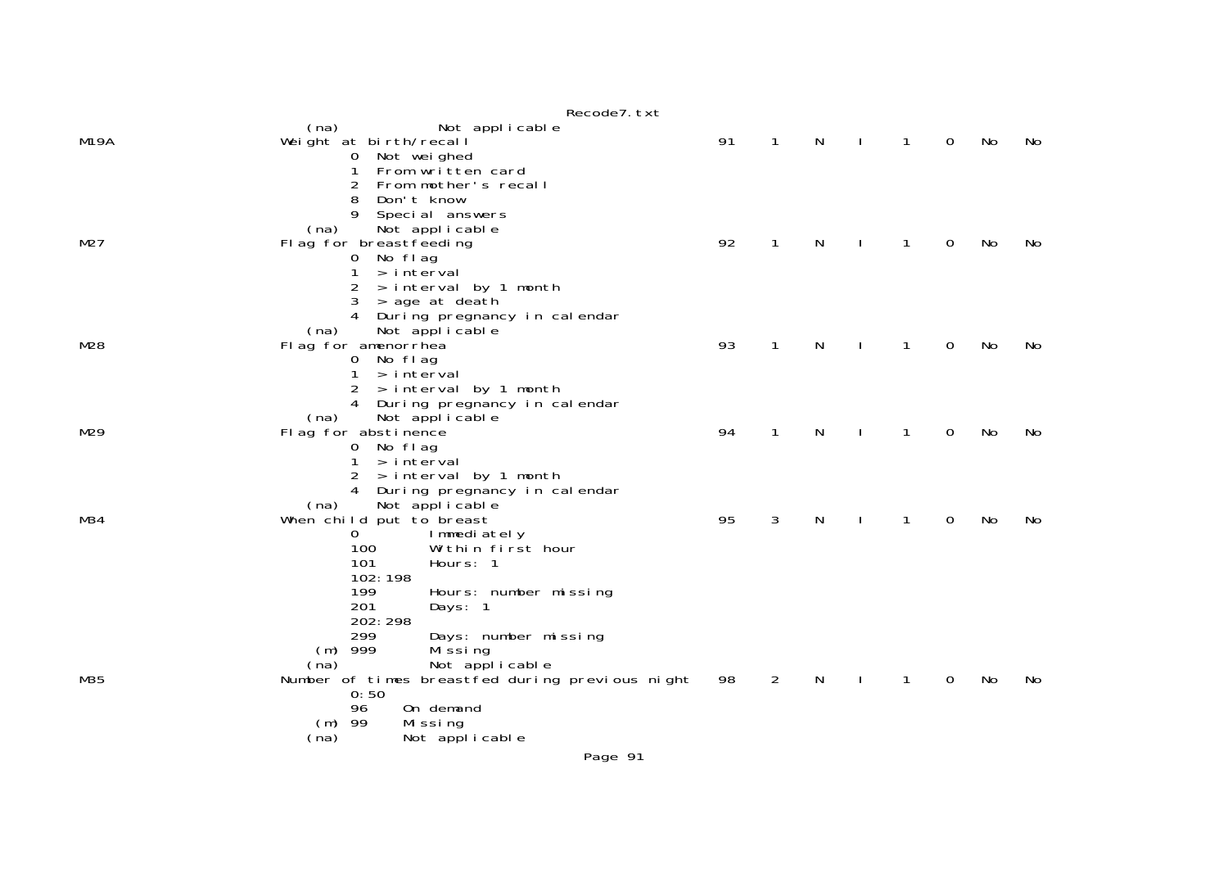|      | Recode7. txt                                                                                                                                                               |    |                |   |              |              |             |    |     |
|------|----------------------------------------------------------------------------------------------------------------------------------------------------------------------------|----|----------------|---|--------------|--------------|-------------|----|-----|
| M19A | Not applicable<br>(na)<br>Weight at birth/recall<br>0 Not weighed                                                                                                          | 91 | $\mathbf{1}$   | N | $\mathbf{I}$ | $\mathbf{1}$ | $\mathbf 0$ | No | No  |
| M27  | $\mathbf{1}$<br>From written card<br>2<br>From mother's recall<br>Don't know<br>8<br>9<br>Special answers<br>Not applicable<br>(na)<br>Flag for breastfeeding<br>0 No flag | 92 | $\mathbf{1}$   | N | $\mathbf{I}$ | $\mathbf{1}$ | 0           | No | No  |
|      | 1<br>> interval<br>2<br>> interval by 1 month<br>3<br>> age at death<br>4 During pregnancy in calendar                                                                     |    |                |   |              |              |             |    |     |
| M28  | (na)<br>Not applicable<br>Flag for amenorrhea<br>0 No flag<br>> interval<br>$\mathbf{1}$                                                                                   | 93 | 1              | N |              | $\mathbf 1$  | 0           | No | No  |
|      | > interval by 1 month<br>2<br>4 During pregnancy in calendar<br>Not applicable<br>(na)                                                                                     |    |                |   |              |              |             |    |     |
| M29  | Flag for abstinence<br>0 No flag<br>> interval<br>$\mathbf{1}$                                                                                                             | 94 | 1              | N |              | $\mathbf{1}$ | 0           | No | No  |
|      | > interval by 1 month<br>2<br>4 During pregnancy in calendar<br>Not applicable<br>(na)                                                                                     |    |                |   |              |              |             |    |     |
| M34  | When child put to breast<br>$\mathbf{O}$<br>Immediately<br>100<br>Within first hour<br>101<br>Hours: 1<br>102:198                                                          | 95 | 3              | N |              | $\mathbf{1}$ | 0           | No | No. |
|      | 199<br>Hours: number missing<br>201<br>Days: 1<br>202: 298<br>299<br>Days: number missing                                                                                  |    |                |   |              |              |             |    |     |
| M35  | $(m)$ 999<br>Mi ssi ng<br>Not applicable<br>(na)<br>Number of times breastfed during previous night<br>0:50                                                                | 98 | $\overline{2}$ | N |              | $\mathbf 1$  | 0           | No | No  |
|      | 96<br>On demand<br>$(m)$ 99<br>Missing<br>Not applicable<br>(na)                                                                                                           |    |                |   |              |              |             |    |     |
|      | Page 91                                                                                                                                                                    |    |                |   |              |              |             |    |     |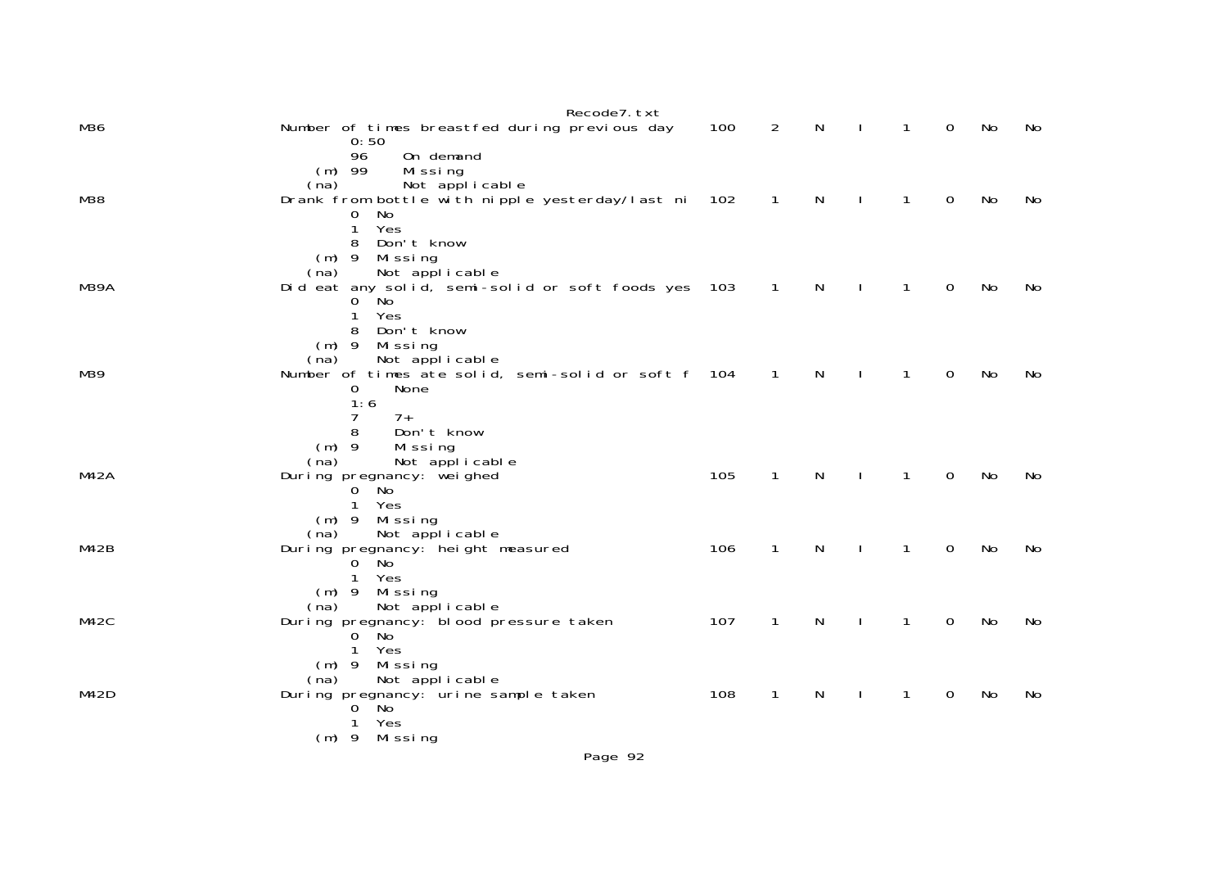|             | Recode7. txt                                                                |     |                |   |              |              |             |    |    |
|-------------|-----------------------------------------------------------------------------|-----|----------------|---|--------------|--------------|-------------|----|----|
| M36         | Number of times breastfed during previous day                               | 100 | $\overline{2}$ | N | $\mathbf{I}$ | $\mathbf{1}$ | $\Omega$    | No | No |
|             | 0:50<br>96<br>On demand                                                     |     |                |   |              |              |             |    |    |
|             | $(m)$ 99<br>Missing                                                         |     |                |   |              |              |             |    |    |
|             | Not applicable<br>(na)                                                      |     |                |   |              |              |             |    |    |
| M38         | Drank from bottle with nipple yesterday/last ni 102                         |     | $\overline{1}$ | N | $\mathbf{I}$ | $\mathbf{1}$ | 0           | No | No |
|             | No<br>0<br>Yes<br>$\mathbf{1}$                                              |     |                |   |              |              |             |    |    |
|             | Don't know<br>8                                                             |     |                |   |              |              |             |    |    |
|             | $(m)$ 9 Missing                                                             |     |                |   |              |              |             |    |    |
|             | Not applicable<br>(na)                                                      |     |                |   |              |              |             |    |    |
| M39A        | Did eat any solid, semi-solid or soft foods yes 103<br>No<br>$\overline{O}$ |     | $\overline{1}$ | N |              | $\mathbf{1}$ | $\mathbf 0$ | No | No |
|             | Yes                                                                         |     |                |   |              |              |             |    |    |
|             | Don't know<br>8                                                             |     |                |   |              |              |             |    |    |
|             | $(m)$ 9 Missing<br>Not applicable<br>(na)                                   |     |                |   |              |              |             |    |    |
| M39         | Number of times ate solid, semi-solid or soft f 104                         |     | $\overline{1}$ | N |              | $\mathbf{1}$ | 0           | No | No |
|             | None<br>0                                                                   |     |                |   |              |              |             |    |    |
|             | 1:6                                                                         |     |                |   |              |              |             |    |    |
|             | 7<br>$7+$<br>8<br>Don't know                                                |     |                |   |              |              |             |    |    |
|             | $(m)$ 9<br>Missing                                                          |     |                |   |              |              |             |    |    |
|             | Not applicable<br>(na)                                                      |     |                |   |              |              |             |    |    |
| <b>M42A</b> | During pregnancy: weighed                                                   | 105 | $\mathbf{1}$   | N |              | $\mathbf{1}$ | 0           | No | No |
|             | $0$ No<br>1<br>Yes                                                          |     |                |   |              |              |             |    |    |
|             | $(m)$ 9 Missing                                                             |     |                |   |              |              |             |    |    |
|             | Not applicable<br>(na)                                                      |     |                |   |              |              |             |    |    |
| M42B        | During pregnancy: height measured<br>Mo ّ<br>0                              | 106 | $\mathbf{1}$   | N |              | 1            | 0           | No | No |
|             | Yes<br>$\mathbf{1}$                                                         |     |                |   |              |              |             |    |    |
|             | (m) 9 Missing                                                               |     |                |   |              |              |             |    |    |
| M42C        | Not applicable<br>(na)                                                      | 107 |                |   | $\mathbf{I}$ |              | $\mathbf 0$ |    |    |
|             | During pregnancy: blood pressure taken<br>$0$ No                            |     | $\mathbf{1}$   | N |              | $\mathbf{1}$ |             | No | No |
|             | Yes<br>1                                                                    |     |                |   |              |              |             |    |    |
|             | Missing<br>$(m)$ 9                                                          |     |                |   |              |              |             |    |    |
| M42D        | Not applicable<br>(na)<br>During pregnancy: urine sample taken              | 108 | 1              | N |              | 1            | 0           | No | No |
|             | Mo ّ<br>0                                                                   |     |                |   |              |              |             |    |    |
|             | Yes<br>1                                                                    |     |                |   |              |              |             |    |    |
|             | $(m)$ 9 Missing                                                             |     |                |   |              |              |             |    |    |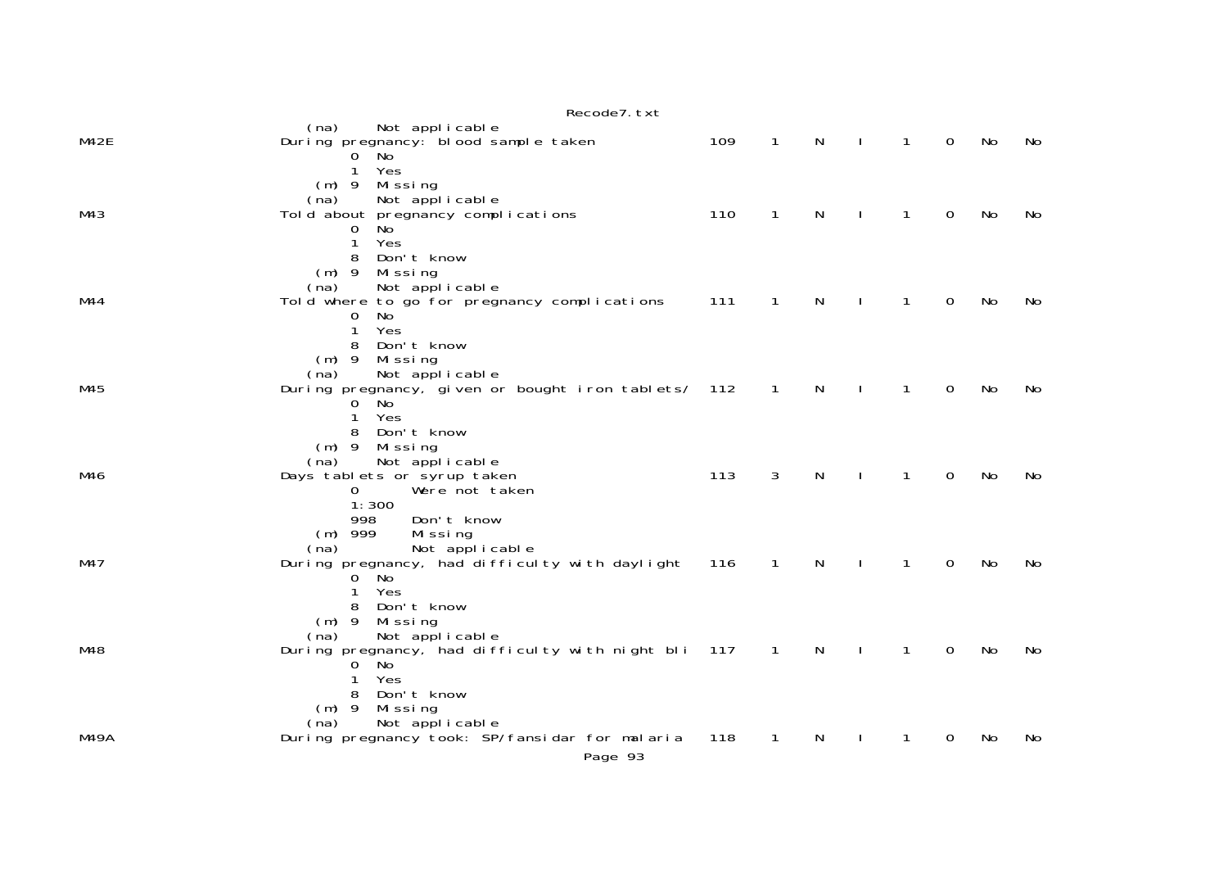|      | Recode7. txt                                                                                                                                              |     |                |              |              |              |   |    |     |
|------|-----------------------------------------------------------------------------------------------------------------------------------------------------------|-----|----------------|--------------|--------------|--------------|---|----|-----|
| M42E | Not applicable<br>(na)<br>During pregnancy: blood sample taken<br>$0$ No                                                                                  | 109 | $\mathbf{1}$   | N            | $\mathbf{I}$ | $\mathbf{1}$ | 0 | No | No  |
| M43  | Yes<br>1<br>$(m)$ 9<br>Missing<br>Not applicable<br>(na)<br>Told about pregnancy complications<br>No<br>0<br>Yes<br>1                                     | 110 | $\mathbf{1}$   | N            | $\mathbf{I}$ | $\mathbf{1}$ | 0 | No | No  |
| M44  | Don't know<br>8<br>$(m)$ 9<br>Missing<br>(na)<br>Not applicable<br>Told where to go for pregnancy complications<br>No<br>0<br>1<br>Yes<br>Don't know<br>8 | 111 | $\mathbf{1}$   | N            | $\mathbf{I}$ | $\mathbf{1}$ | 0 | No | No  |
| M45  | $(m)$ 9<br>Missing<br>Not applicable<br>(na)<br>During pregnancy, given or bought iron tablets/ 112<br>$0$ No<br>Yes<br>$\mathbf{1}$<br>Don't know<br>8   |     | $\mathbf{1}$   | N            | $\mathbf{I}$ | $\mathbf{1}$ | 0 | No | No  |
| M46  | $(m)$ 9<br>Mi ssi ng<br>Not applicable<br>(na)<br>Days tablets or syrup taken<br>Were not taken<br>0<br>1:300<br>998<br>Don't know                        | 113 | 3              | N            | $\mathbf{I}$ | $\mathbf{1}$ | 0 | No | No  |
| M47  | $(m)$ 999<br>Missing<br>Not applicable<br>(na)<br>During pregnancy, had difficulty with daylight<br>$0$ No<br>Yes<br>1<br>Don't know<br>8                 | 116 | $\overline{1}$ | N            | $\mathbf{I}$ | $\mathbf{1}$ | 0 | No | No  |
| M48  | $(m)$ 9<br>Mi ssi ng<br>Not applicable<br>(na)<br>During pregnancy, had difficulty with night bli 117<br>No<br>0<br>Yes<br>1<br>Don't know<br>8           |     | $\overline{1}$ | $\mathsf{N}$ | $\mathbf{I}$ | $\mathbf{1}$ | 0 | No | No  |
| M49A | $(m)$ 9<br>Missing<br>Not applicable<br>(na)<br>During pregnancy took: SP/fansidar for malaria<br>Page 93                                                 | 118 | $\mathbf{1}$   | N            |              | 1            | 0 | No | No. |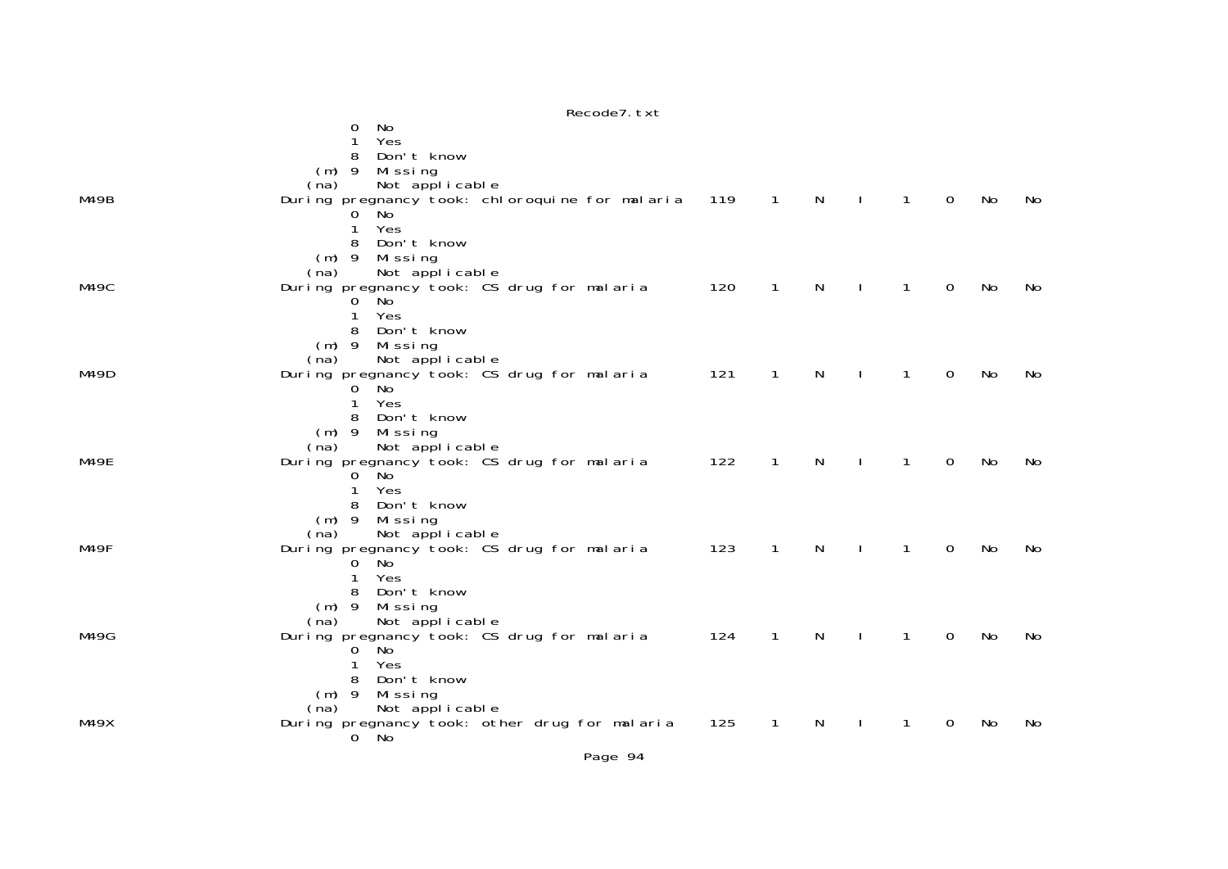|      | No<br>0<br>Yes<br>1<br>Don't know<br>8<br>$(m)$ 9<br>Missing                                                                                       |     |                |              |              |              |             |     |     |
|------|----------------------------------------------------------------------------------------------------------------------------------------------------|-----|----------------|--------------|--------------|--------------|-------------|-----|-----|
| M49B | Not applicable<br>(na)<br>During pregnancy took: chloroquine for malaria 119<br>No<br>O<br>Yes<br>1                                                |     | $\overline{1}$ | N            |              | $\mathbf{1}$ | 0           | No  | No  |
| M49C | Don't know<br>8<br>$(m)$ 9 Missing<br>Not applicable<br>(na)<br>During pregnancy took: CS drug for malaria                                         | 120 | $\overline{1}$ | $\mathsf{N}$ | $\mathbf{I}$ | $\mathbf{1}$ | $\mathbf 0$ | No  | No  |
|      | <b>No</b><br>$\Omega$<br>Yes<br>1<br>Don't know<br>8<br>$(m)$ 9<br>Mi ssi ng<br>Not applicable<br>(na)                                             |     |                |              |              |              |             |     |     |
| M49D | During pregnancy took: CS drug for malaria<br>$0$ No<br>1<br>Yes<br>Don't know<br>8                                                                | 121 | $\mathbf{1}$   | $\mathsf{N}$ | $\mathbf{I}$ | $\mathbf{1}$ | $\mathbf 0$ | No  | No  |
| M49E | $(m)$ 9<br>Missing<br>Not applicable<br>(na)<br>During pregnancy took: CS drug for malaria<br>No<br>0<br>Yes<br>1                                  | 122 | $\mathbf{1}$   | N            |              | $\mathbf{1}$ | 0           | No  | No  |
| M49F | Don't know<br>8<br>$(m)$ 9 Missing<br>Not applicable<br>(na)<br>During pregnancy took: CS drug for malaria<br><b>No</b><br>$\Omega$<br>Yes<br>1    | 123 | $\mathbf{1}$   | N            |              | $\mathbf{1}$ | 0           | No  | No  |
| M49G | Don't know<br>8<br>$(m)$ 9<br>Missing<br>Not applicable<br>(na)<br>During pregnancy took: CS drug for malaria<br>ັNo<br>$\overline{0}$<br>Yes<br>1 | 124 | 1              | N            |              | 1            | 0           | No  | No  |
| M49X | Don't know<br>8<br>$(m)$ 9<br>Missing<br>Not applicable<br>(na)<br>During pregnancy took: other drug for malaria<br>$0$ No                         | 125 | -1             | N            |              | 1            | 0           | No. | No. |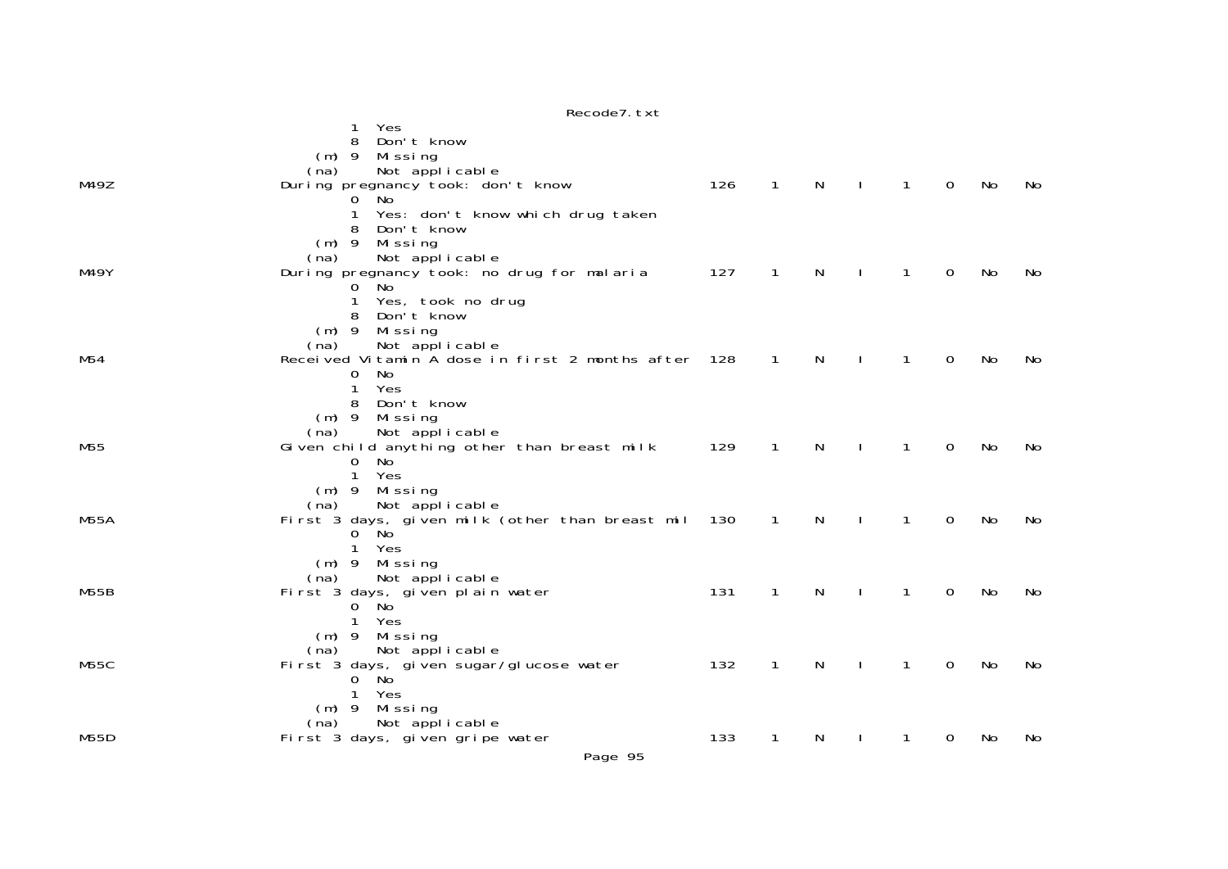|      | Yes<br>8<br>Don't know                                               |     |              |              |                  |              |              |    |     |
|------|----------------------------------------------------------------------|-----|--------------|--------------|------------------|--------------|--------------|----|-----|
|      | Mi ssi ng<br>$(m)$ 9                                                 |     |              |              |                  |              |              |    |     |
|      | Not applicable<br>(na)                                               |     |              |              |                  |              |              |    |     |
| M49Z | During pregnancy took: don't know                                    | 126 | $\mathbf{1}$ | $\mathsf{N}$ | $\sim 1^{\circ}$ | $\mathbf{1}$ | $\mathsf{O}$ | No | No  |
|      | No.<br>0                                                             |     |              |              |                  |              |              |    |     |
|      | 1<br>Yes: don't know which drug taken                                |     |              |              |                  |              |              |    |     |
|      | Don't know                                                           |     |              |              |                  |              |              |    |     |
|      | $(m)$ 9<br>Missing                                                   |     |              |              |                  |              |              |    |     |
| M49Y | Not applicable<br>(na)<br>During pregnancy took: no drug for malaria | 127 | $\mathbf{1}$ | $\mathsf{N}$ |                  | $\mathbf{1}$ | $\mathbf 0$  | No | No  |
|      | $0$ No                                                               |     |              |              | $\mathbf{I}$     |              |              |    |     |
|      | $\mathbf 1$<br>Yes, took no drug                                     |     |              |              |                  |              |              |    |     |
|      | 8<br>Don't know                                                      |     |              |              |                  |              |              |    |     |
|      | $(m)$ 9<br>Missing                                                   |     |              |              |                  |              |              |    |     |
|      | Not applicable<br>(na)                                               |     |              |              |                  |              |              |    |     |
| M54  | Received Vitamin A dose in first 2 months after 128                  |     | $\mathbf{1}$ | N            |                  | $\mathbf{1}$ | $\mathbf 0$  | No | No  |
|      | No<br>0                                                              |     |              |              |                  |              |              |    |     |
|      | Yes<br>1                                                             |     |              |              |                  |              |              |    |     |
|      | Don't know<br>8<br>$(m)$ 9                                           |     |              |              |                  |              |              |    |     |
|      | Missing<br>Not applicable<br>(na)                                    |     |              |              |                  |              |              |    |     |
| M55  | Given child anything other than breast milk                          | 129 | $\mathbf{1}$ | N            |                  | $\mathbf{1}$ | 0            | No | No. |
|      | $\mathbf{O}$<br>No                                                   |     |              |              |                  |              |              |    |     |
|      | $\mathbf{1}$<br>Yes                                                  |     |              |              |                  |              |              |    |     |
|      | $(m)$ 9 Missing                                                      |     |              |              |                  |              |              |    |     |
|      | Not applicable<br>(na)                                               |     |              |              |                  |              |              |    |     |
| M55A | First 3 days, given milk (other than breast mil                      | 130 | 1            | N            |                  | 1            | 0            | No | No  |
|      | 0 No<br>$\mathbf{1}$<br>Yes                                          |     |              |              |                  |              |              |    |     |
|      | (m) 9 Missing                                                        |     |              |              |                  |              |              |    |     |
|      | Not applicable<br>(na)                                               |     |              |              |                  |              |              |    |     |
| M55B | First 3 days, given plain water                                      | 131 | 1            | N            | $\mathbf{I}$     | $\mathbf{1}$ | 0            | No | No  |
|      | 0 No                                                                 |     |              |              |                  |              |              |    |     |
|      | 1<br>Yes                                                             |     |              |              |                  |              |              |    |     |
|      | Missing<br>$(m)$ 9                                                   |     |              |              |                  |              |              |    |     |
|      | Not applicable<br>(na)                                               |     |              |              |                  |              |              |    |     |
| M55C | First 3 days, given sugar/glucose water<br>$\Omega$<br>- No          | 132 | $\mathbf{1}$ | N            |                  | $\mathbf{1}$ | 0            | No | No  |
|      | Yes<br>1                                                             |     |              |              |                  |              |              |    |     |
|      | (m) 9 Missing                                                        |     |              |              |                  |              |              |    |     |
|      | Not applicable<br>(na)                                               |     |              |              |                  |              |              |    |     |
| M55D | First 3 days, given gripe water                                      | 133 | 1            | N            |                  | 1            | 0            | No | No  |
|      |                                                                      |     |              |              |                  |              |              |    |     |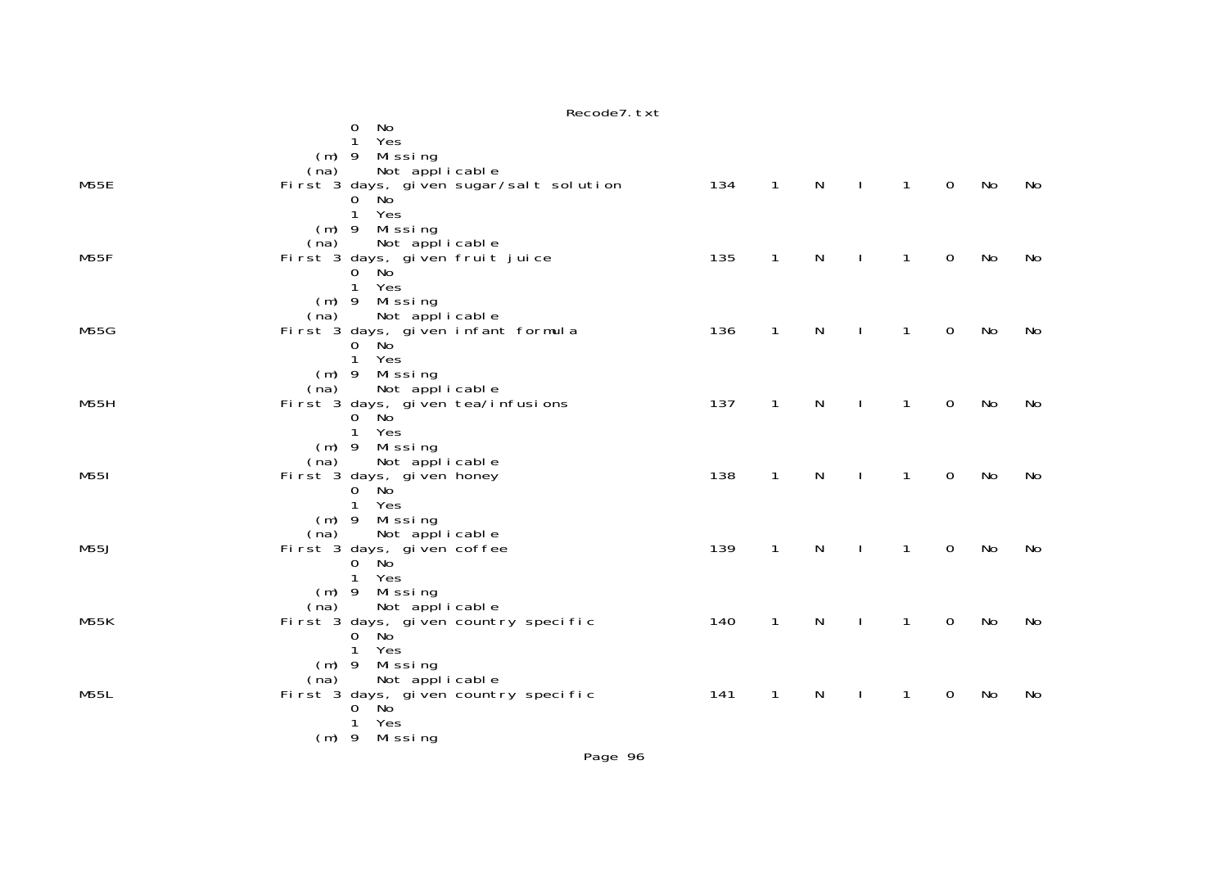|             | Recode7. txt                                                                                                     |     |                |              |              |                |                |    |     |
|-------------|------------------------------------------------------------------------------------------------------------------|-----|----------------|--------------|--------------|----------------|----------------|----|-----|
|             | No<br>0<br>Yes<br>1<br>(m) 9 Missing<br>(na)                                                                     |     |                |              |              |                |                |    |     |
| M55E        | Not applicable<br>First 3 days, given sugar/salt solution<br>0 No<br>Yes<br>$\mathbf{1}$<br>(m) 9 Missing        | 134 | $\overline{1}$ | N            | $\perp$      | $\overline{1}$ | $\mathsf{O}$   | No | No  |
| M55F        | Not applicable<br>(na)<br>First 3 days, given fruit juice<br>$0$ No<br>1<br>Yes<br>(m) 9 Missing                 | 135 | $\overline{1}$ | N            | $\Box$       | $\overline{1}$ | $\overline{0}$ | No | No  |
| M55G        | Not applicable<br>(na)<br>First 3 days, given infant formula<br>$0$ No<br>Yes<br>$\mathbf{1}$<br>$(m)$ 9 Missing | 136 | $\mathbf{1}$   | N            | $\mathbf{I}$ | $\overline{1}$ | $\mathsf{O}$   | No | No  |
| M55H        | Not applicable<br>(na)<br>First 3 days, given tea/infusions<br>$0$ No<br>Yes<br>1<br>$(m)$ 9 Missing             | 137 | $\mathbf{1}$   | N            | $\mathbf{I}$ | $\mathbf{1}$   | $\mathbf 0$    | No | No. |
| M551        | Not applicable<br>(na)<br>First 3 days, given honey<br>$0$ No<br>1 Yes<br>$(m)$ 9 Missing                        | 138 | $\mathbf{1}$   | N            | $\mathbf{I}$ | $\mathbf{1}$   | 0              | No | No  |
| M55J        | Not applicable<br>(na)<br>First 3 days, given coffee<br>$0$ No<br>Yes<br>$\mathbf{1}$<br>$(m)$ 9 Missing         | 139 | $\mathbf{1}$   | $\mathsf{N}$ | $\mathbf{I}$ | $\mathbf{1}$   | 0              | No | No  |
| <b>M55K</b> | Not applicable<br>(na)<br>First 3 days, given country specific<br>$0$ No<br>Yes<br>$\mathbf{1}$<br>(m) 9 Missing | 140 | $\overline{1}$ | $\mathsf{N}$ | $\Box$       | $\overline{1}$ | $\mathbf 0$    | No | No  |
| M55L        | Not applicable<br>(na)<br>First 3 days, given country specific<br>$0$ No<br>1 Yes<br>$(m)$ 9 Missing             | 141 | $\mathbf{1}$   | N            | $\mathbf{I}$ | $\mathbf{1}$   | $\mathbf 0$    | No | No  |

Page 96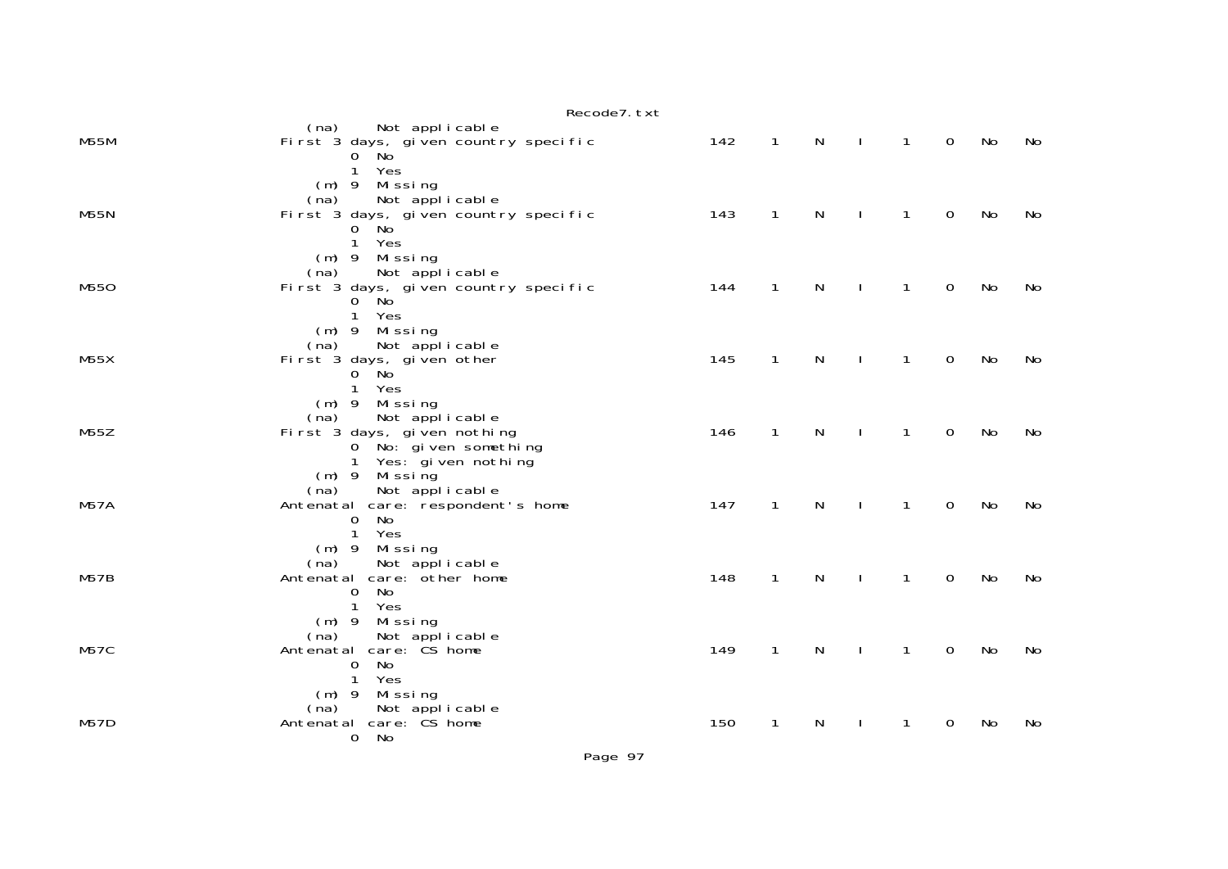|             | Recode7. txt                                                                                                                |     |              |              |              |                |                |    |    |
|-------------|-----------------------------------------------------------------------------------------------------------------------------|-----|--------------|--------------|--------------|----------------|----------------|----|----|
| <b>M55M</b> | (na)<br>Not applicable<br>First 3 days, given country specific<br>0 No<br>Yes<br>$\mathbf{1}$                               | 142 | $\mathbf{1}$ | $\mathsf{N}$ | $\mathbf{I}$ | $\mathbf{1}$   | $\mathbf 0$    | No | No |
| <b>M55N</b> | (m) 9 Missing<br>Not applicable<br>(na)<br>First 3 days, given country specific<br>$0$ No<br>Yes<br>$\mathbf{1}$            | 143 | $\mathbf{1}$ | N            |              | $\mathbf{1}$   | $\Omega$       | No | No |
| M550        | (m) 9 Missing<br>Not applicable<br>(na)<br>First 3 days, given country specific<br>$0$ No<br>1 Yes                          | 144 | $\mathbf{1}$ | N            | $\mathbf{I}$ | $\mathbf{1}$   | $\mathbf 0$    | No | No |
| M55X        | (m) 9 Missing<br>Not applicable<br>(na)<br>First 3 days, given other<br>$0$ No<br>1 Yes                                     | 145 | $\mathbf{1}$ | $\mathsf{N}$ | $\mathbf{I}$ | $\overline{1}$ | $\mathbf 0$    | No | No |
| M55Z        | $(m)$ 9 Missing<br>Not applicable<br>(na)<br>First 3 days, given nothing<br>0 No: given something<br>1 Yes: gi ven nothi ng | 146 | $\mathbf{1}$ | N            |              | $\mathbf{1}$   | $\mathbf 0$    | No | No |
| <b>M57A</b> | $(m)$ 9 Missing<br>Not applicable<br>(na)<br>Antenatal care: respondent's home<br>No<br>$\mathbf 0$<br>$\mathbf{1}$<br>Yes  | 147 | $\mathbf{1}$ | N            |              | $\mathbf{1}$   | $\Omega$       | No | No |
| M57B        | $(m)$ 9 Missing<br>(na)<br>Not applicable<br>Antenatal care: other home<br>No<br>0<br>Yes<br>$\mathbf{1}$                   | 148 | $\mathbf{1}$ | N            |              | $\mathbf{1}$   | $\mathbf 0$    | No | No |
| <b>M57C</b> | (m) 9 Missing<br>(na) Not applicable<br>Antenatal care: CS home<br>No<br>$\mathbf 0$<br>$\mathbf{1}$<br>Yes                 | 149 | $\mathbf{1}$ | ${\sf N}$    | $\mathbf{I}$ | $\mathbf{1}$   | $\mathbf 0$    | No | No |
| <b>M57D</b> | (m) 9 Missing<br>(na) Not applicable<br>Antenatal care: CS home<br>0 No                                                     | 150 | $\mathbf{1}$ | N            |              | $\mathbf{1}$   | $\overline{0}$ | No | No |

Page 97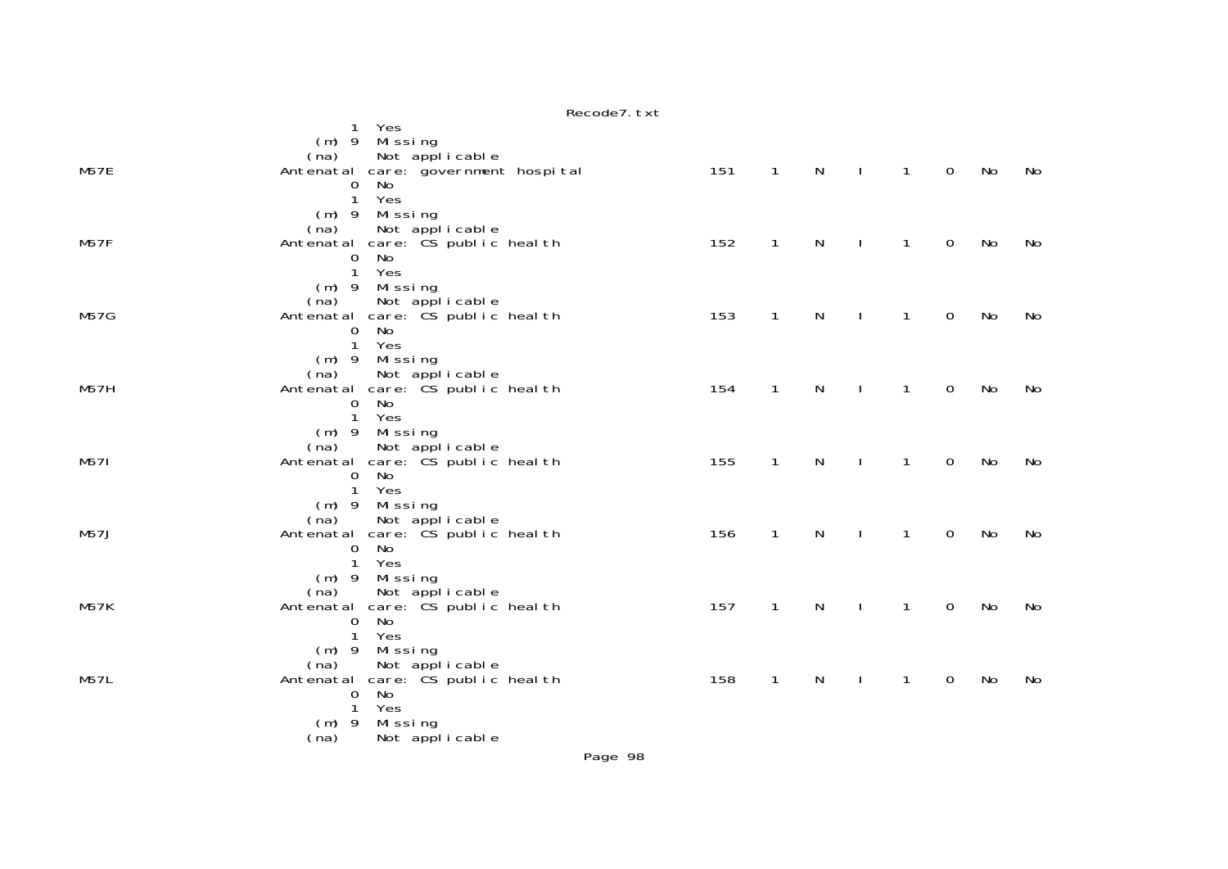|             | INCLUME I. LAL                                                                                                          |     |              |              |              |                |                |    |    |
|-------------|-------------------------------------------------------------------------------------------------------------------------|-----|--------------|--------------|--------------|----------------|----------------|----|----|
|             | 1 Yes<br>$(m)$ 9 Missing<br>Not applicable<br>(na)                                                                      |     |              |              |              |                |                |    |    |
| <b>M57E</b> | Antenatal care: government hospital<br>No<br>$\mathbf 0$<br>1 Yes                                                       | 151 | $\mathbf{1}$ | $\mathsf{N}$ | $\mathbf{I}$ | $\overline{1}$ | $\mathbf 0$    | No | No |
| M57F        | (m) 9 Missing<br>Not applicable<br>(na)<br>Antenatal care: CS public health<br>No<br>$\overline{0}$                     | 152 | $\mathbf{1}$ | $\mathsf{N}$ | $\mathbf{I}$ | $\mathbf{1}$   | $\mathbf 0$    | No | No |
| <b>M57G</b> | Yes<br>$\mathbf{1}$<br>$(m)$ 9 Missing<br>(na) Not applicable<br>Antenatal care: CS public health                       | 153 | $\mathbf{1}$ | $\mathsf{N}$ | $\mathbf{I}$ | $\mathbf{1}$   | $\mathbf 0$    | No | No |
|             | No<br>$\mathbf 0$<br>$\mathbf{1}$<br>Yes<br>$(m)$ 9 Missing<br>Not applicable<br>(na)                                   |     |              |              |              |                |                |    |    |
| <b>M57H</b> | Antenatal care: CS public health<br>0 No<br>1 Yes<br>$(m)$ 9 Missing                                                    | 154 | $\mathbf{1}$ | N            | $\mathbf{I}$ | $\mathbf{1}$   | $\mathbf 0$    | No | No |
| M571        | Not applicable<br>(na)<br>Antenatal care: CS public health<br>$\mathbf 0$<br>No<br>$\mathbf{1}$<br>Yes                  | 155 | $\mathbf{1}$ | N            |              | $\mathbf{1}$   | $\overline{0}$ | No | No |
| M57J        | $(m)$ 9 Missing<br>Not applicable<br>(na)<br>Antenatal care: CS public heal th<br>No<br>$\Omega$                        | 156 | $\mathbf{1}$ | N            | $\mathbf{I}$ | $\mathbf{1}$   | $\mathbf 0$    | No | No |
| <b>M57K</b> | 1 Yes<br>(m) 9 Missing<br>(na) Not applicable<br>Antenatal care: CS public health<br>No<br>$\mathbf 0$                  | 157 | $\mathbf{1}$ | $\mathsf{N}$ | $\sim$ 1     | $\overline{1}$ | $\mathbf 0$    | No | No |
| <b>M57L</b> | Yes<br>$\mathbf{1}$<br>$(m)$ 9 Missing<br>(na) Not applicable<br>Antenatal care: CS public health<br>No<br>$\mathbf{O}$ | 158 | $\mathbf{1}$ | N            |              | $\mathbf{1}$   | $\mathbf 0$    | No | No |
|             | Yes<br>$\mathbf{1}$<br>$(m)$ 9 Missing<br>(na)<br>Not applicable                                                        |     |              |              |              |                |                |    |    |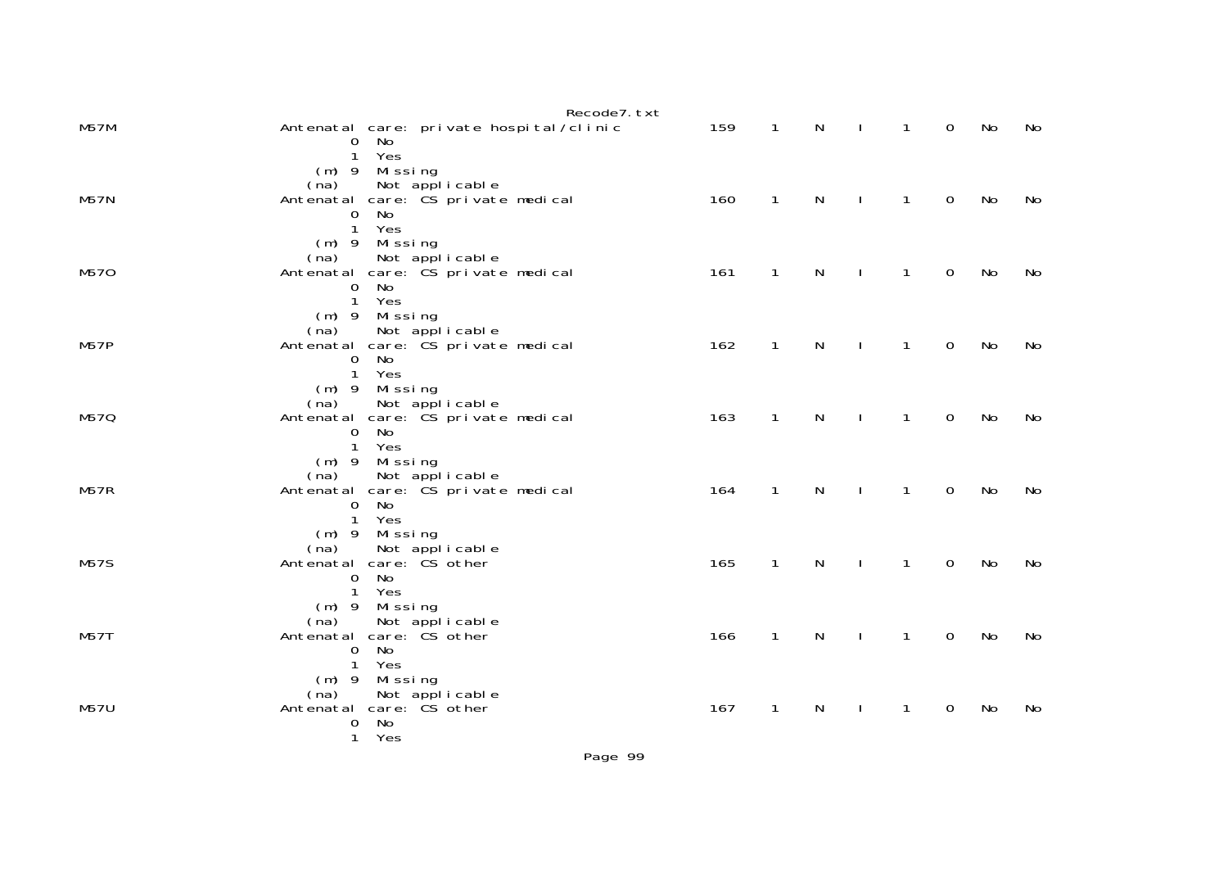|             | Recode7. txt                                                                                                                                        |     |              |              |              |                |                     |    |     |
|-------------|-----------------------------------------------------------------------------------------------------------------------------------------------------|-----|--------------|--------------|--------------|----------------|---------------------|----|-----|
| <b>M57M</b> | Antenatal care: private hospital/clinic<br>0 No<br>$\mathbf{1}$                                                                                     | 159 | $\mathbf{1}$ | N            | $\perp$      | $\mathbf{1}$   | $\Omega$            | No | No  |
| <b>M57N</b> | Yes<br>(m) 9 Missing<br>(na) Not applicable<br>Antenatal care: CS private medical<br><b>No</b><br>$\overline{0}$                                    | 160 | $\mathbf{1}$ | $\mathsf{N}$ | $\perp$      | $\overline{1}$ | $\mathbf 0$         | No | No. |
| M570        | $\mathbf{1}$<br>Yes<br>(m) 9 Missing<br>Not applicable<br>(na)<br>Antenatal care: CS private medical<br>No<br>$\overline{0}$<br>$\mathbf{1}$<br>Yes | 161 | $\mathbf{1}$ | N            | $\perp$      | $\mathbf{1}$   | $\overline{0}$      | No | No  |
| M57P        | (m) 9 Missing<br>(na) Not applicable<br>Antenatal care: CS private medical<br>No<br>$\overline{O}$<br>$\mathbf{1}$<br>Yes                           | 162 | $\mathbf{1}$ | N            | $\sim$ 1     | $\mathbf{1}$   | $\overline{0}$      | No | No  |
| M57Q        | (m) 9 Missing<br>(na) Not applicable<br>Antenatal care: CS private medical<br><b>No</b><br>$\overline{0}$<br>1 Yes                                  | 163 | $\mathbf{1}$ | $\mathsf{N}$ | $\mathbf{I}$ | $\overline{1}$ | $\mathbf 0$         | No | No. |
| M57R        | (m) 9 Missing<br>Not applicable<br>(na)<br>Antenatal care: CS private medical<br>No<br>$\mathbf 0$<br>$\mathbf{1}$<br>Yes                           | 164 | $\mathbf{1}$ | N            | $\sim$ 1     | $\mathbf{1}$   | $\mathbf 0$         | No | No  |
| <b>M57S</b> | (m) 9 Missing<br>(na) Not applicable<br>Antenatal care: CS other<br>No<br>$\mathbf{O}$<br>$\mathbf{1}$<br>Yes                                       | 165 | $\mathbf{1}$ | N            | $\sim$ 1     | $\mathbf{1}$   | $\overline{0}$      | No | No  |
| M57T        | (m) 9 Missing<br>(na) Not applicable<br>Antenatal care: CS other<br>No<br>0<br>1 Yes                                                                | 166 | $\mathbf{1}$ | $\mathsf{N}$ | $\sim$ 1.    | $\overline{1}$ | $\mathsf{O}\xspace$ | No | No  |
| <b>M57U</b> | (m) 9 Missing<br>(na) Not applicable<br>Antenatal care: CS other<br>No<br>0<br>$\mathbf{1}$<br>Yes                                                  | 167 | $\mathbf{1}$ | N            | $\mathbf{I}$ | $\mathbf{1}$   | $\overline{0}$      | No | No  |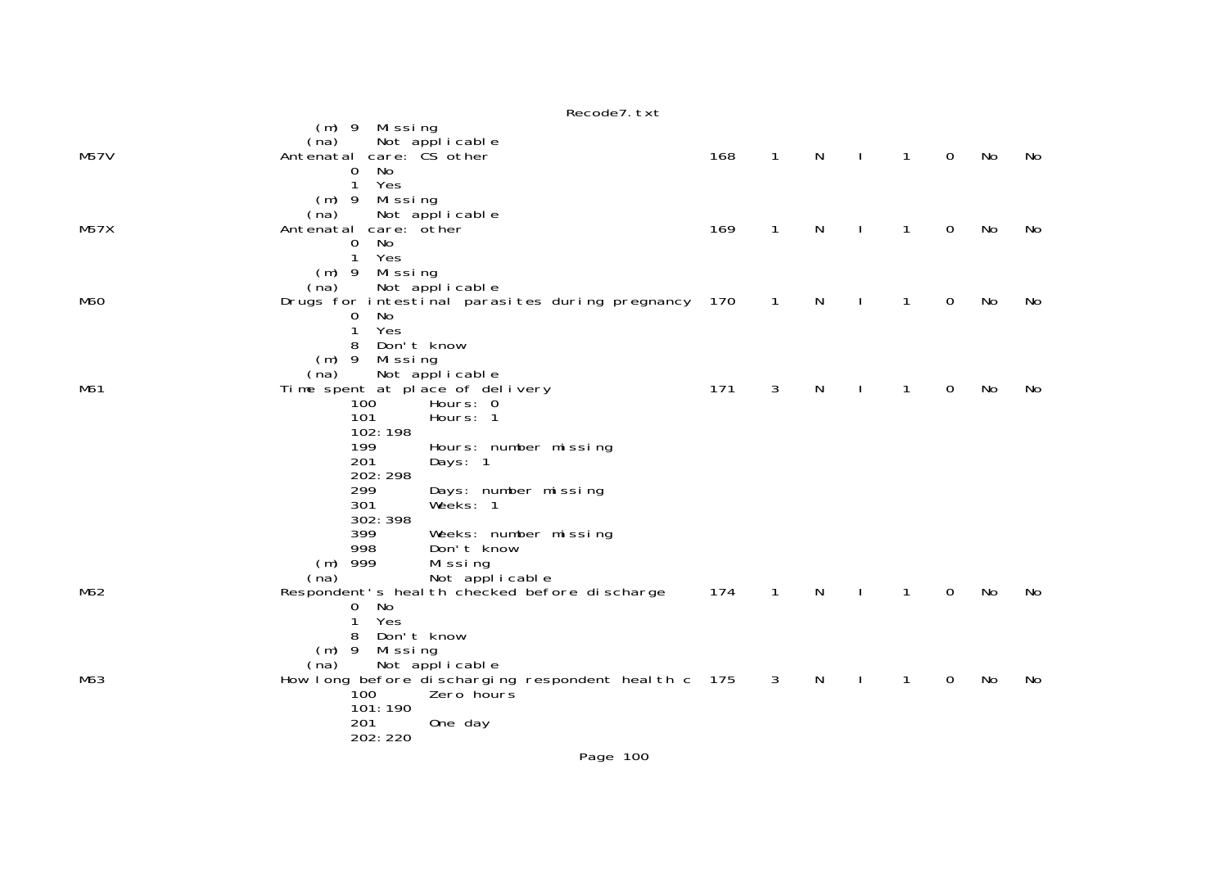Recode7.txt (m) 9 Missing (na) Not applicable M57V Antenatal care: CS other 168 1 N I 1 0 No No 0 No 1 Yes (m) 9 Missing (na) Not applicable<br>M57X Antenatal care: other Antenatal care: other 169 1 N I 1 0 No No 0 No 1 Yes (m) 9 Missing (na) Not applicable<br>M60 M60 Drugs for intestinal paras Drugs for intestinal parasites during pregnancy 170 1 N I 1 0 No No 0 No 1 Yes 8 Don't know(m) 9 Missing<br>(na) Not appl (na) Not applicable<br>M61 Time spent at place of del M61 Time spent at place of delivery 171 3 N I 1 0 No No 100 Hours: 0 101 Hours: 1 102:198 199 Hours: number missing<br>201 Days: 1 Days: 1 202:298 299 Days: number missing  $Weeks: 1$  302:398 399 Weeks: number missing 998 Don't know (m) 999 Missing (na) Not applicable<br>M62 Respondent's health checked before Respondent's health checked before discharge 174 1 N I 1 0 No No 0 No 1 Yes 8 Don't know (m) 9 Missing (na) Not applicable M63 How long before discharging respondent health c 175 3 N I 1 0 No No 100 Zero hours 101:190 201 One day 202:220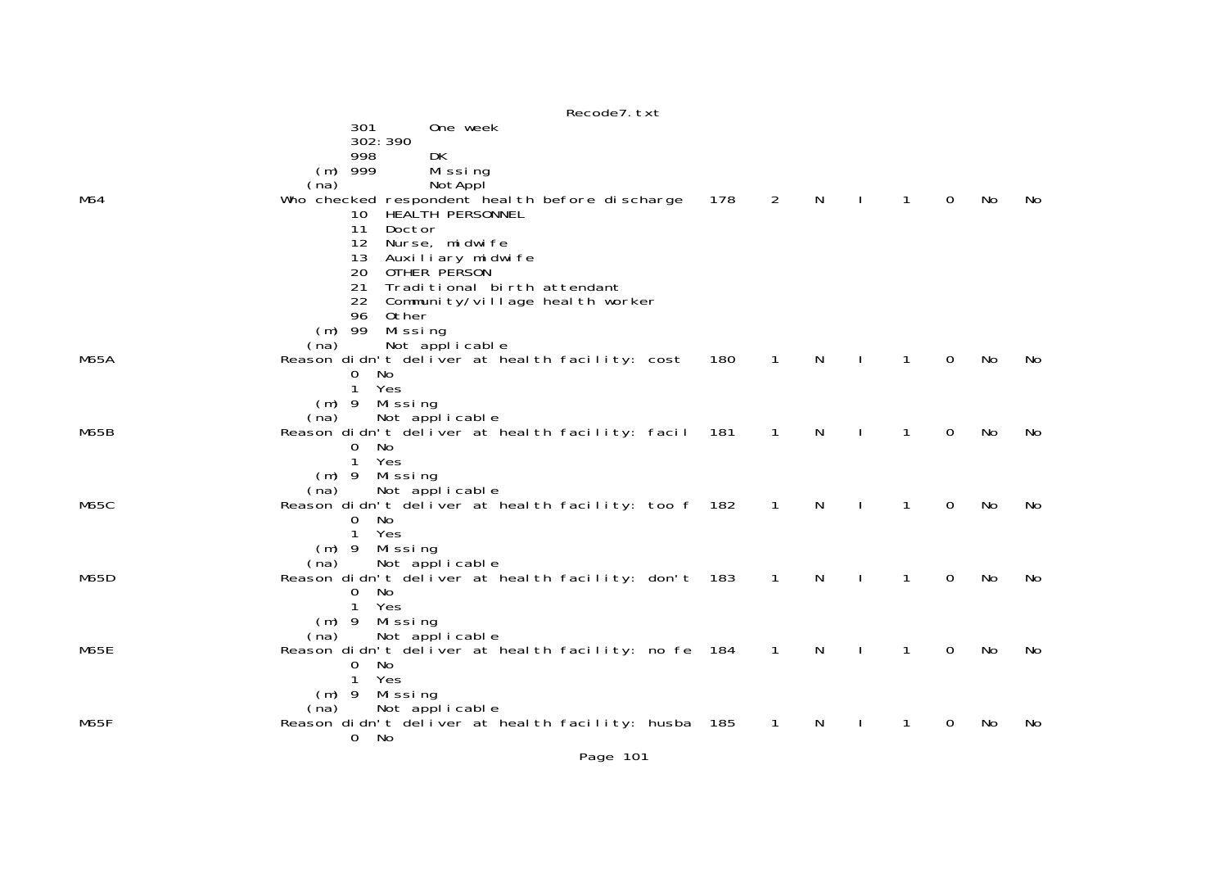|      | Recode7. txt                                                                              |     |                |    |              |                |              |    |    |
|------|-------------------------------------------------------------------------------------------|-----|----------------|----|--------------|----------------|--------------|----|----|
|      | 301<br>One week<br>302: 390                                                               |     |                |    |              |                |              |    |    |
|      | DK<br>998<br>999<br>Missing<br>(m)<br>(na)<br>NotAppl                                     |     |                |    |              |                |              |    |    |
| M64  | Who checked respondent heal th before discharge<br>HEALTH PERSONNEL<br>10                 | 178 | $\overline{2}$ | N  |              | $\mathbf{1}$   | $\mathbf{O}$ | No | No |
|      | 11<br>Doctor<br>12<br>Nurse, midwife                                                      |     |                |    |              |                |              |    |    |
|      | 13<br>Auxiliary midwife<br>20<br>OTHER PERSON                                             |     |                |    |              |                |              |    |    |
|      | 21<br>Traditional birth attendant<br>22<br>Community/village health worker<br>96<br>Other |     |                |    |              |                |              |    |    |
|      | $(m)$ 99 Missing<br>(na)                                                                  |     |                |    |              |                |              |    |    |
| M65A | Not applicable<br>Reason didn't deliver at health facility: cost                          | 180 | $\mathbf{1}$   | N  | $\mathbf{L}$ | $\overline{1}$ | $\mathbf 0$  | No | No |
|      | No<br>$\mathbf{O}$<br>$\mathbf{1}$<br>Yes                                                 |     |                |    |              |                |              |    |    |
|      | Missing<br>$(m)$ 9<br>Not applicable<br>(na)                                              |     |                |    |              |                |              |    |    |
| M65B | Reason didn't deliver at health facility: facil 181<br>0<br>No                            |     | $\mathbf{1}$   | N  |              | $\mathbf{1}$   | $\mathbf 0$  | No | No |
|      | $\mathbf{1}$<br>Yes<br>$(m)$ 9 Missing                                                    |     |                |    |              |                |              |    |    |
| M65C | Not applicable<br>(na)<br>Reason didn't deliver at heal th facility: too f 182            |     | $\overline{1}$ | N  |              | $\mathbf 1$    | $\Omega$     | No | No |
|      | $\overline{0}$<br>No<br>$\mathbf{1}$<br>Yes                                               |     |                |    |              |                |              |    |    |
|      | $(m)$ 9 Missing<br>Not applicable<br>(na)                                                 |     |                |    |              |                |              |    |    |
| M65D | Reason didn't deliver at health facility: don't 183<br>$\overline{0}$<br>No.              |     | $\mathbf{1}$   | N  |              | 1              | $\Omega$     | No | No |
|      | $\mathbf{1}$<br>Yes<br>Missing                                                            |     |                |    |              |                |              |    |    |
|      | $(m)$ 9<br>Not applicable<br>(na)                                                         |     |                |    |              |                |              |    |    |
| M65E | Reason didn't deliver at heal th facility: no fe 184<br>No<br>$\mathbf{0}$                |     | $\overline{1}$ | N  |              | $\mathbf{1}$   | 0            | No | No |
|      | Yes<br>$\mathbf{1}$<br>Missing<br>$(m)$ 9                                                 |     |                |    |              |                |              |    |    |
| M65F | (na) Not applicable<br>Reason didn't deliver at health facility: husba 185                |     | $\overline{1}$ | N. | $\mathbf{I}$ | $\mathbf{1}$   | 0            | No | No |
|      | No<br>$\mathbf{O}$                                                                        |     |                |    |              |                |              |    |    |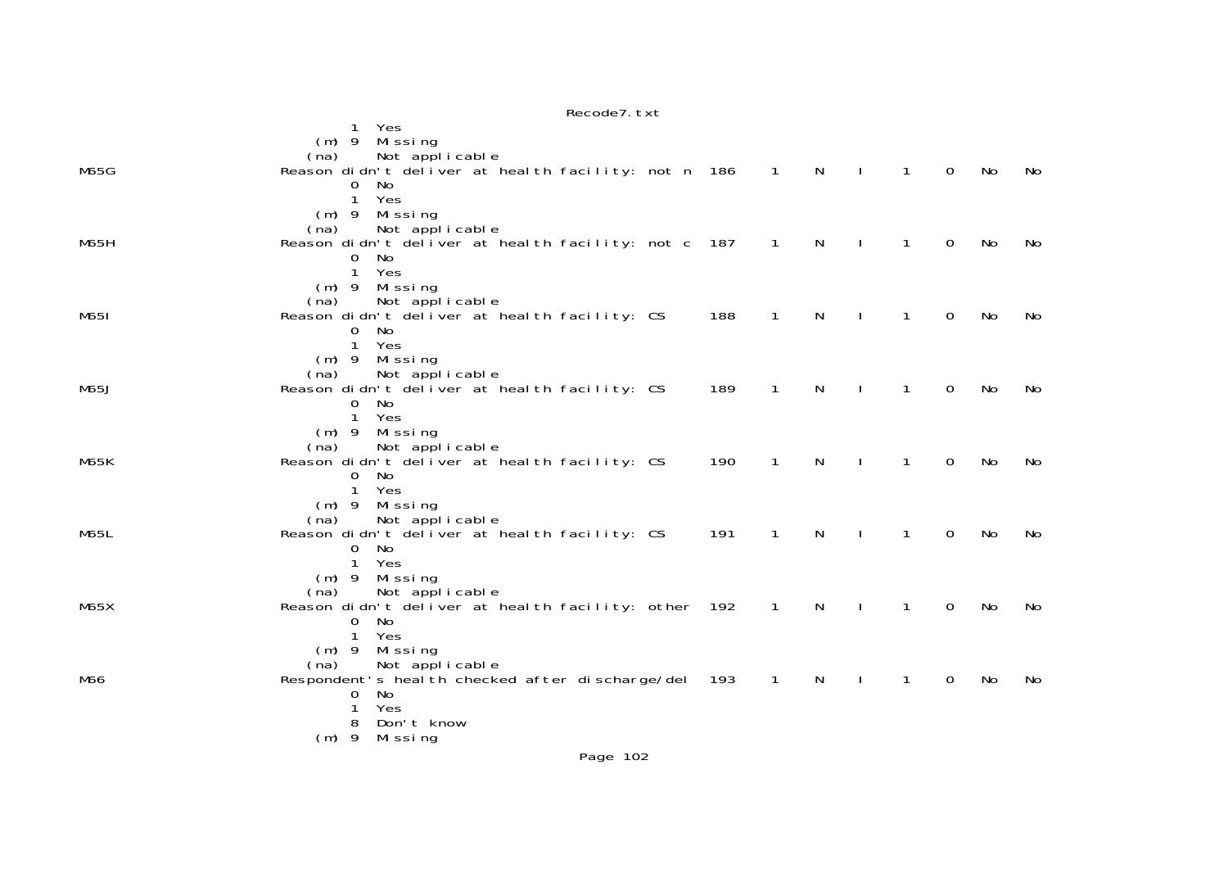|             | Yes<br>Missing<br>$(m)$ 9                                                       |     |                |                |              |              |              |    |     |
|-------------|---------------------------------------------------------------------------------|-----|----------------|----------------|--------------|--------------|--------------|----|-----|
| <b>M65G</b> | Not applicable<br>(na)<br>Reason didn't deliver at health facility: not n 186 1 |     |                | $\overline{N}$ | $\mathbf{I}$ | $\mathbf{1}$ | $\Omega$     | No | No  |
|             | $\overline{0}$<br>No                                                            |     |                |                |              |              |              |    |     |
|             | $\mathbf{1}$<br>Yes<br>$(m)$ 9 Missing                                          |     |                |                |              |              |              |    |     |
| <b>M65H</b> | Not applicable<br>(na)<br>Reason didn't deliver at health facility: not c 187   |     | $\sim$ 1       | N              |              | $\mathbf{1}$ | $\mathbf{0}$ | No | No. |
|             | $\mathbf 0$<br>No                                                               |     |                |                |              |              |              |    |     |
|             | $\mathbf{1}$<br>Yes<br>$(m)$ 9 Missing                                          |     |                |                |              |              |              |    |     |
| M651        | Not applicable<br>(na)<br>Reason didn't deliver at health facility: CS          | 188 | $\mathbf{1}$   | N              |              | $\mathbf{1}$ | $\mathbf 0$  | No | No  |
|             | No<br>0                                                                         |     |                |                |              |              |              |    |     |
|             | $\mathbf{1}$<br>Yes<br>(m) 9 Missing                                            |     |                |                |              |              |              |    |     |
| M65J        | Not applicable<br>(na)<br>Reason didn't deliver at health facility: CS          | 189 | $\overline{1}$ | $\mathsf{N}$   | $\mathbf{I}$ | $\mathbf{1}$ | $\mathbf 0$  | No | No  |
|             | $\mathbf{0}$<br>No                                                              |     |                |                |              |              |              |    |     |
|             | Yes<br>1<br>Missing<br>$(m)$ 9                                                  |     |                |                |              |              |              |    |     |
| <b>M65K</b> | (na)<br>Not applicable<br>Reason didn't deliver at health facility: CS          | 190 | $\mathbf{1}$   | N              |              | $\mathbf{1}$ | 0            | No | No  |
|             | No<br>$\mathbf{O}$<br>Yes<br>$\mathbf{1}$                                       |     |                |                |              |              |              |    |     |
|             | $(m)$ 9 Missing                                                                 |     |                |                |              |              |              |    |     |
| M65L        | Not applicable<br>(na)<br>Reason didn't deliver at heal th facility: CS         | 191 | $\mathbf{1}$   | $\mathsf{N}$   | $\mathbf{I}$ | $\mathbf{1}$ | $\Omega$     | No | No  |
|             | $\overline{0}$<br>No<br>Yes<br>1                                                |     |                |                |              |              |              |    |     |
|             | (m) 9 Missing                                                                   |     |                |                |              |              |              |    |     |
| M65X        | Not applicable<br>(na)<br>Reason didn't deliver at heal th facility: other 192  |     | $\overline{1}$ | N              | $\mathbf{I}$ | $\mathbf{1}$ | 0            | No | No  |
|             | $\mathbf{O}$<br>No<br>Yes<br>$\mathbf{1}$                                       |     |                |                |              |              |              |    |     |
|             | Mi ssi ng<br>$(m)$ 9                                                            |     |                |                |              |              |              |    |     |
| M66         | Not applicable<br>(na)<br>Respondent's health checked after discharge/del 193   |     | $\overline{1}$ | N.             | $\mathbf{I}$ | $\mathbf{1}$ | $\mathbf 0$  | No | No  |
|             | No<br>0<br>Yes<br>1                                                             |     |                |                |              |              |              |    |     |
|             | Don't know<br>8                                                                 |     |                |                |              |              |              |    |     |
|             | $(m)$ 9<br>Missing<br>$\sim$ $\sim$ $\sim$                                      |     |                |                |              |              |              |    |     |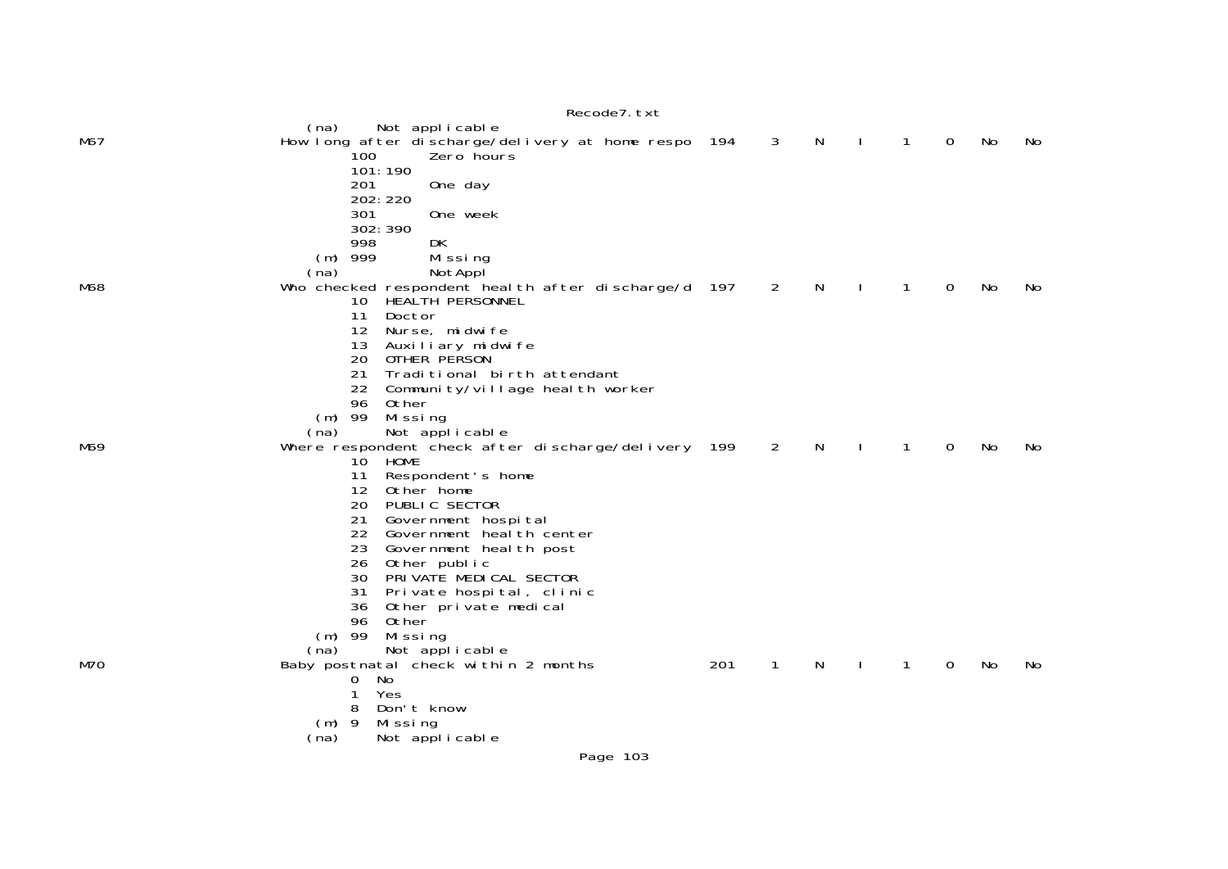|     | Recode7. txt                                                                                                  |     |                |   |   |   |    |     |
|-----|---------------------------------------------------------------------------------------------------------------|-----|----------------|---|---|---|----|-----|
| M67 | Not applicable<br>(na)<br>How long after discharge/delivery at home respo 194<br>100<br>Zero hours<br>101:190 |     | 3              | N | 1 | 0 | No | No  |
|     | 201<br>One day<br>202: 220                                                                                    |     |                |   |   |   |    |     |
|     | 301<br>One week<br>302: 390<br>DK<br>998                                                                      |     |                |   |   |   |    |     |
|     | 999<br>Missing<br>(m)<br>NotAppl<br>(na)                                                                      |     |                |   |   |   |    |     |
| M68 | Who checked respondent heal th after discharge/d 197<br>10<br>HEALTH PERSONNEL<br>11<br>Doctor                |     | 2              | N | 1 | 0 | No | No. |
|     | 12<br>Nurse, midwife<br>13<br>Auxiliary midwife                                                               |     |                |   |   |   |    |     |
|     | 20<br>OTHER PERSON<br>21<br>Traditional birth attendant<br>22 Community/village health worker                 |     |                |   |   |   |    |     |
|     | 96<br>Other<br>$(m)$ 99<br>Mi ssi ng<br>Not applicable<br>(na)                                                |     |                |   |   |   |    |     |
| M69 | Where respondent check after discharge/delivery 199<br>HOME<br>10                                             |     | $\overline{2}$ | N | 1 | 0 | No | No  |
|     | 11<br>Respondent's home<br>12 Other home<br>20<br>PUBLIC SECTOR                                               |     |                |   |   |   |    |     |
|     | 21<br>Government hospital<br>22 Government heal th center                                                     |     |                |   |   |   |    |     |
|     | 23<br>Government heal th post<br>26<br>Other public<br>PRIVATE MEDICAL SECTOR<br>30                           |     |                |   |   |   |    |     |
|     | 31<br>Private hospital, clinic<br>36<br>Other private medical                                                 |     |                |   |   |   |    |     |
|     | 96<br>Other<br>99<br>Missing<br>(m)<br>(na)<br>Not applicable                                                 |     |                |   |   |   |    |     |
| M70 | Baby postnatal check within 2 months<br>No<br>0                                                               | 201 | 1              | N | 1 | 0 | No | No. |
|     | 1<br>Yes<br>8<br>Don't know<br>- 9<br>Mi ssi ng<br>(m)                                                        |     |                |   |   |   |    |     |
|     | Not applicable<br>(na)                                                                                        |     |                |   |   |   |    |     |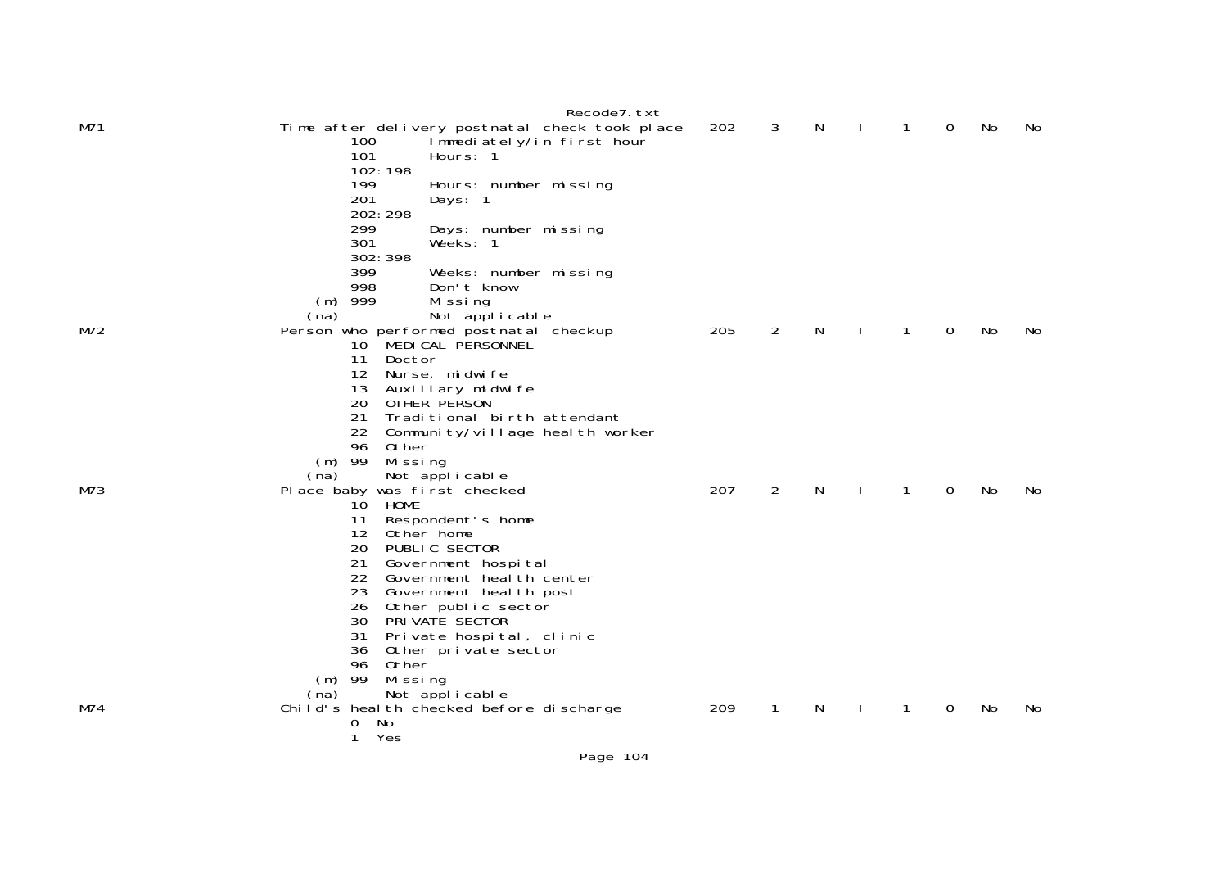| M71 | Recode7. txt<br>Time after delivery postnatal check took place<br>100<br>Immediately/in first hour<br>101 | 202 | 3              | N  | 1 | $\overline{0}$ | No | No  |
|-----|-----------------------------------------------------------------------------------------------------------|-----|----------------|----|---|----------------|----|-----|
|     | Hours: 1<br>102: 198<br>199<br>Hours: number missing                                                      |     |                |    |   |                |    |     |
|     | 201<br>Days: 1<br>202: 298                                                                                |     |                |    |   |                |    |     |
|     | 299<br>Days: number missing<br>301<br>Weeks: 1<br>302: 398                                                |     |                |    |   |                |    |     |
|     | 399<br>Weeks: number missing<br>998<br>Don't know                                                         |     |                |    |   |                |    |     |
|     | 999<br>Mi ssi ng<br>(m)                                                                                   |     |                |    |   |                |    |     |
| M72 | Not applicable<br>(na)<br>Person who performed postnatal checkup                                          | 205 | 2              | N  | 1 | $\overline{0}$ | No | No. |
|     | 10 MEDICAL PERSONNEL<br>11<br>Doctor                                                                      |     |                |    |   |                |    |     |
|     | 12 <sup>2</sup><br>Nurse, midwife<br>13<br>Auxiliary midwife                                              |     |                |    |   |                |    |     |
|     | 20<br>OTHER PERSON<br>21<br>Traditional birth attendant                                                   |     |                |    |   |                |    |     |
|     | 22 Community/village health worker<br>96<br>Other                                                         |     |                |    |   |                |    |     |
|     | $(m)$ 99<br>Mi ssi ng                                                                                     |     |                |    |   |                |    |     |
| M73 | Not applicable<br>(na)<br>Place baby was first checked                                                    | 207 | $\overline{2}$ | N  | 1 | $\overline{0}$ | No | No. |
|     | 10 HOME<br>Respondent's home<br>11                                                                        |     |                |    |   |                |    |     |
|     | 12 <sup>2</sup><br>Other home                                                                             |     |                |    |   |                |    |     |
|     | 20<br>PUBLIC SECTOR<br>21<br>Government hospital                                                          |     |                |    |   |                |    |     |
|     | 22<br>Government heal th center                                                                           |     |                |    |   |                |    |     |
|     | 23<br>Government heal th post<br>26 Other public sector                                                   |     |                |    |   |                |    |     |
|     | PRIVATE SECTOR<br>30                                                                                      |     |                |    |   |                |    |     |
|     | 31<br>Private hospital, clinic                                                                            |     |                |    |   |                |    |     |
|     | 36<br>Other private sector<br>96<br>Other                                                                 |     |                |    |   |                |    |     |
|     | 99<br>Missing<br>(m)                                                                                      |     |                |    |   |                |    |     |
|     | Not applicable<br>(na)                                                                                    |     |                |    |   |                |    |     |
| M74 | Child's heal th checked before discharge<br>0<br>No                                                       | 209 | 1              | N. | 1 | 0              | No | No. |
|     | 1<br>Yes                                                                                                  |     |                |    |   |                |    |     |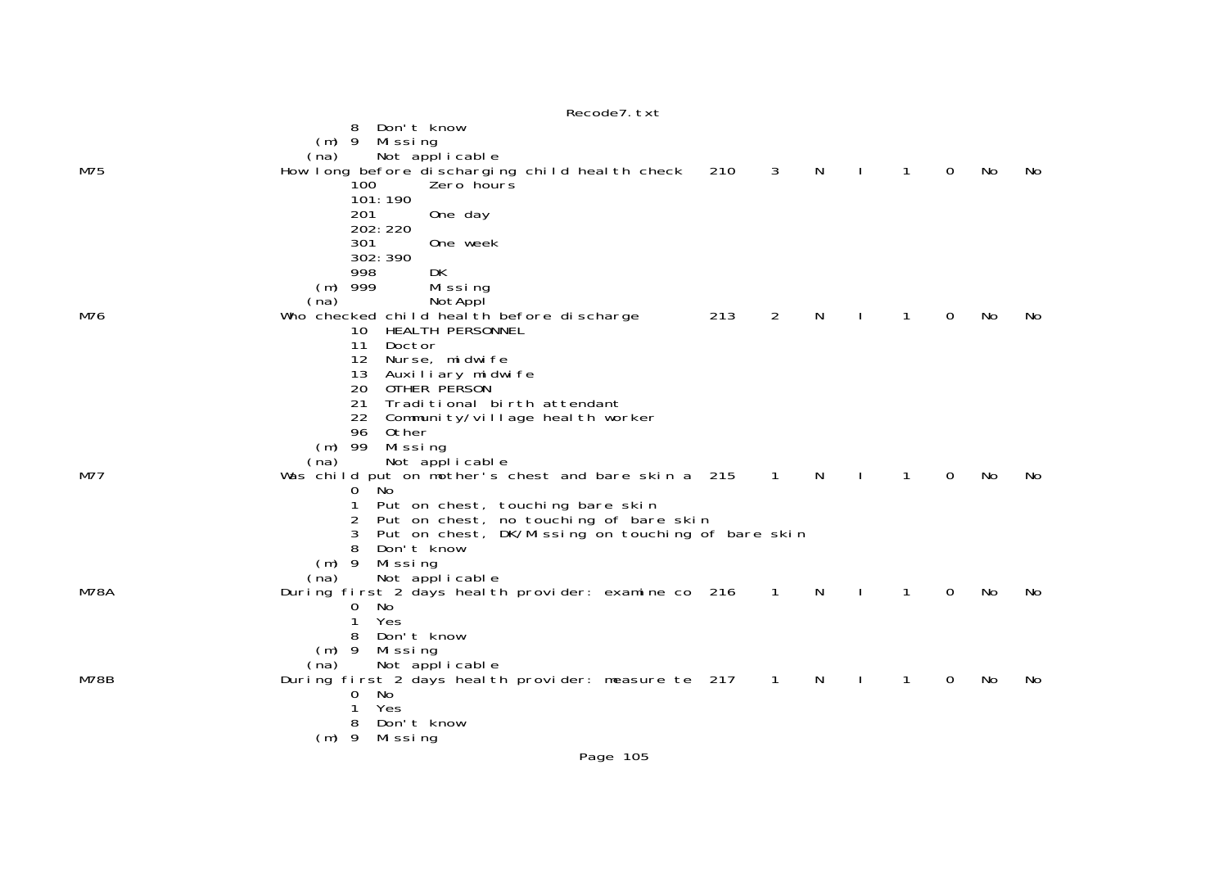|      | Don't know<br>8<br>$(m)$ 9<br>Missing                                                                 |     |                |   |              |              |             |    |    |
|------|-------------------------------------------------------------------------------------------------------|-----|----------------|---|--------------|--------------|-------------|----|----|
|      | Not applicable<br>(na)                                                                                |     |                |   |              |              |             |    |    |
| M75  | How long before discharging child heal th check<br>Zero hours<br>100                                  | 210 | 3              | N | $\mathbf{I}$ | 1            | $\mathbf 0$ | No | No |
|      | 101:190                                                                                               |     |                |   |              |              |             |    |    |
|      | 201<br>One day                                                                                        |     |                |   |              |              |             |    |    |
|      | 202: 220<br>301<br>One week                                                                           |     |                |   |              |              |             |    |    |
|      | 302: 390                                                                                              |     |                |   |              |              |             |    |    |
|      | DK<br>998<br>999<br>Missing<br>(m)                                                                    |     |                |   |              |              |             |    |    |
|      | (na)<br>NotAppl                                                                                       |     |                |   |              |              |             |    |    |
| M76  | Who checked child health before discharge                                                             | 213 | 2              | N |              | 1            | 0           | No | No |
|      | HEALTH PERSONNEL<br>10<br>11<br>Doctor                                                                |     |                |   |              |              |             |    |    |
|      | 12<br>Nurse, midwife                                                                                  |     |                |   |              |              |             |    |    |
|      | 13<br>Auxiliary midwife<br>20<br>OTHER PERSON                                                         |     |                |   |              |              |             |    |    |
|      | 21<br>Traditional birth attendant                                                                     |     |                |   |              |              |             |    |    |
|      | 22<br>Community/village health worker<br>96<br>Other                                                  |     |                |   |              |              |             |    |    |
|      | $(m)$ 99<br>Missing                                                                                   |     |                |   |              |              |             |    |    |
| M77  | (na)<br>Not applicable                                                                                |     |                | N |              | 1            | $\Omega$    | No |    |
|      | Was child put on mother's chest and bare skin a 215<br>No<br>0                                        |     | $\overline{1}$ |   | $\mathbf{I}$ |              |             |    | No |
|      | Put on chest, touching bare skin                                                                      |     |                |   |              |              |             |    |    |
|      | Put on chest, no touching of bare skin<br>2<br>3<br>Put on chest, DK/Missing on touching of bare skin |     |                |   |              |              |             |    |    |
|      | 8<br>Don't know                                                                                       |     |                |   |              |              |             |    |    |
|      | $(m)$ 9<br>Missing<br>Not applicable<br>(na)                                                          |     |                |   |              |              |             |    |    |
| M78A | During first 2 days heal th provider: examine co 216                                                  |     | $\sim$ 1       | N | $\sim$ 1     | $\mathbf{1}$ | $\Omega$    | No | No |
|      | No<br>$\overline{0}$<br>1<br>Yes                                                                      |     |                |   |              |              |             |    |    |
|      | Don't know<br>8                                                                                       |     |                |   |              |              |             |    |    |
|      | $(m)$ 9<br>Missing                                                                                    |     |                |   |              |              |             |    |    |
| M78B | (na)<br>Not applicable<br>During first 2 days heal th provider: measure te 217                        |     | $\overline{1}$ | N |              | 1            | $\mathbf 0$ | No | No |
|      | 0<br>No                                                                                               |     |                |   |              |              |             |    |    |
|      | Yes<br>Don't know<br>8                                                                                |     |                |   |              |              |             |    |    |
|      | $(m)$ 9<br>Mi ssi ng                                                                                  |     |                |   |              |              |             |    |    |
|      |                                                                                                       |     |                |   |              |              |             |    |    |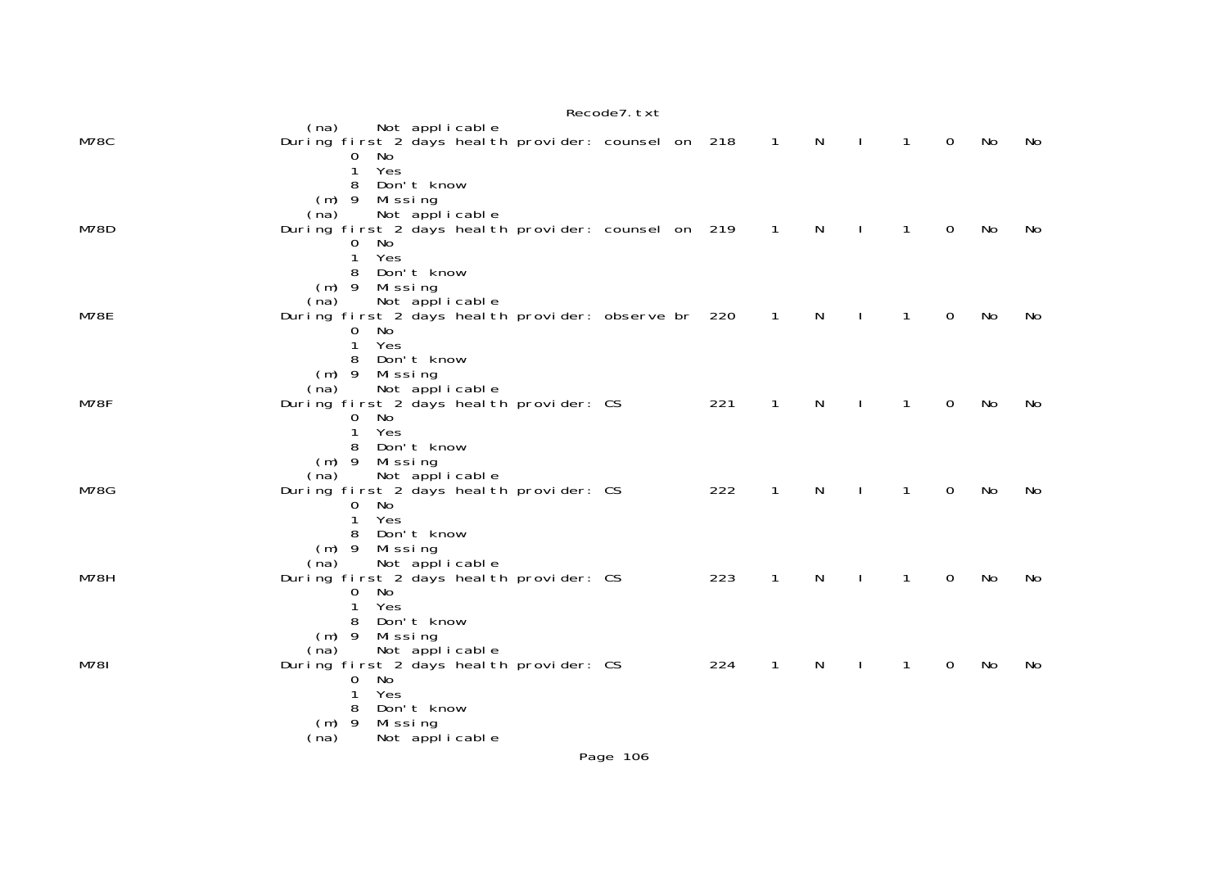|             |                                                                                                                                                                                               | Recode7. txt |     |                |              |              |              |             |    |    |
|-------------|-----------------------------------------------------------------------------------------------------------------------------------------------------------------------------------------------|--------------|-----|----------------|--------------|--------------|--------------|-------------|----|----|
| M78C        | Not applicable<br>(na)<br>During first 2 days heal th provider: counsel on 218<br>No<br>$\mathbf{0}$                                                                                          |              |     | $\overline{1}$ | N            | $\mathbf{I}$ | $\mathbf{1}$ | 0           | No | No |
| M78D        | $\mathbf{1}$<br>Yes<br>Don't know<br>8<br>Missing<br>$(m)$ 9<br>Not applicable<br>(na)<br>During first 2 days heal th provider: counsel on 219<br>No<br>$\overline{0}$<br>Yes<br>$\mathbf{1}$ |              |     | $\overline{1}$ | $\mathsf{N}$ | $\mathbf{I}$ | $\mathbf{1}$ | 0           | No | No |
| M78E        | Don't know<br>8<br>$(m)$ 9<br>Mi ssi ng<br>Not applicable<br>(na)<br>During first 2 days heal th provider: observe br 220<br>No<br>0<br>$\mathbf{1}$<br>Yes                                   |              |     | $\overline{1}$ | $\mathsf{N}$ | $\mathbf{I}$ | $\mathbf{1}$ | 0           | No | No |
| M78F        | Don't know<br>8<br>$(m)$ 9 Missing<br>Not applicable<br>(na)<br>During first 2 days heal th provider: CS<br>No<br>0<br>$\mathbf{1}$<br>Yes<br>Don't know<br>8                                 |              | 221 | $\mathbf{1}$   | $\mathsf{N}$ | $\mathbf{I}$ | $\mathbf{1}$ | $\mathbf 0$ | No | No |
| <b>M78G</b> | $(m)$ 9 Missing<br>Not applicable<br>(na)<br>During first 2 days heal th provider: CS<br>- No<br>0<br>Yes<br>$\mathbf{1}$<br>Don't know<br>8                                                  |              | 222 | $\mathbf{1}$   | N            | $\mathbf{I}$ | $\mathbf{1}$ | 0           | No | No |
| M78H        | $(m)$ 9 Missing<br>(na)<br>Not applicable<br>During first 2 days heal th provider: CS<br>No<br>0<br>Yes<br>1<br>Don't know<br>8                                                               |              | 223 | $\mathbf{1}$   | N            | $\mathbf{I}$ | $\mathbf{1}$ | 0           | No | No |
| M781        | $(m)$ 9<br>Missing<br>Not applicable<br>(na)<br>During first 2 days heal th provider: CS<br>No<br>0<br>Yes<br>$\mathbf{1}$<br>Don't know<br>8<br>$(m)$ 9<br>Mi ssi ng                         |              | 224 | $\mathbf{1}$   | N            |              | 1            | 0           | No | No |
|             | Not applicable<br>(na)                                                                                                                                                                        | Page 106     |     |                |              |              |              |             |    |    |
|             |                                                                                                                                                                                               |              |     |                |              |              |              |             |    |    |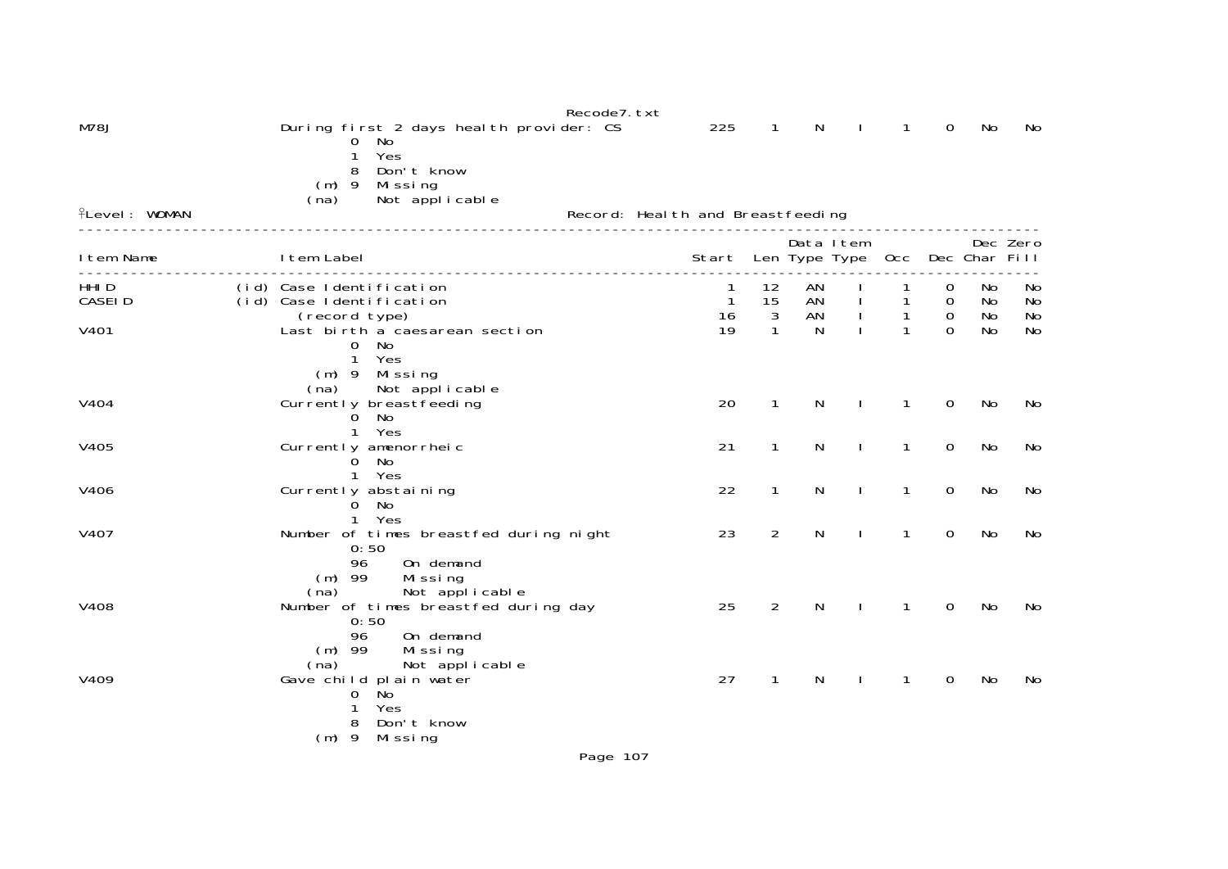|                      |                                                                                                                    | Recode7. txt                          |                          |                |            |              |                    |                |                |
|----------------------|--------------------------------------------------------------------------------------------------------------------|---------------------------------------|--------------------------|----------------|------------|--------------|--------------------|----------------|----------------|
| <b>M78J</b>          | During first 2 days heal th provider: CS<br>No<br>0<br>Yes<br>Don't know<br>8<br>Missing<br>$(m)$ 9                | 225                                   | 1                        | N              |            | 1            | $\overline{0}$     | No             | No             |
| <b>flevel: WOMAN</b> | (na)<br>Not applicable                                                                                             | Record: Heal th and Breastfeeding     |                          |                |            |              |                    |                |                |
| I tem Name           | I tem Label                                                                                                        | Start Len Type Type Occ Dec Char Fill |                          |                | Data I tem |              |                    |                | Dec Zero       |
| HHI D<br>CASEI D     | (id) Case Identification<br>(id) Case Identification<br>(record type)                                              | 1<br>$\mathbf{1}$<br>16               | 12<br>15<br>$\mathbf{3}$ | AN<br>AN<br>AN |            | $\mathbf{1}$ | $\Omega$<br>0<br>0 | No<br>No<br>No | No<br>No<br>No |
| V401                 | Last birth a caesarean section<br>$\mathbf{O}$<br>No<br>Yes<br>1<br>(m) 9 Missing                                  | 19                                    | $\mathbf{1}$             | N              |            | $\mathbf{1}$ | $\Omega$           | No             | <b>No</b>      |
| V404                 | (na)<br>Not applicable<br>Currently breastfeeding<br>No<br>0<br>Yes<br>$\mathbf{1}$                                | 20                                    | $\mathbf{1}$             | N              |            | 1            | 0                  | No             | No             |
| V405                 | Currently amenorrheic<br>No<br>0<br>Yes<br>$\mathbf{1}$                                                            | 21                                    | $\mathbf{1}$             | N              | J.         | $\mathbf{1}$ | 0                  | No             | No             |
| V406                 | Currently abstaining<br>0<br>- No<br>Yes<br>1.                                                                     | 22                                    | $\mathbf{1}$             | N              |            | $\mathbf{1}$ | $\mathbf 0$        | No             | No             |
| V407                 | Number of times breastfed during night<br>0:50<br>96<br>On demand<br>$(m)$ 99<br>Missing<br>Not applicable<br>(na) | 23                                    | $\overline{2}$           | N              |            | $\mathbf{1}$ | $\mathbf 0$        | No             | No             |
| V408                 | Number of times breastfed during day<br>0:50<br>On demand<br>96<br>$(m)$ 99<br>Missing<br>(na)<br>Not applicable   | 25                                    | $\overline{2}$           | N              |            | 1            | $\mathbf 0$        | No             | No             |
| V409                 | Gave child plain water<br>.<br>No<br>0<br>Yes<br>Don't know<br>8<br>(m) 9 Missing                                  | 27                                    | 1                        | N              |            | 1            | 0                  | No             | No             |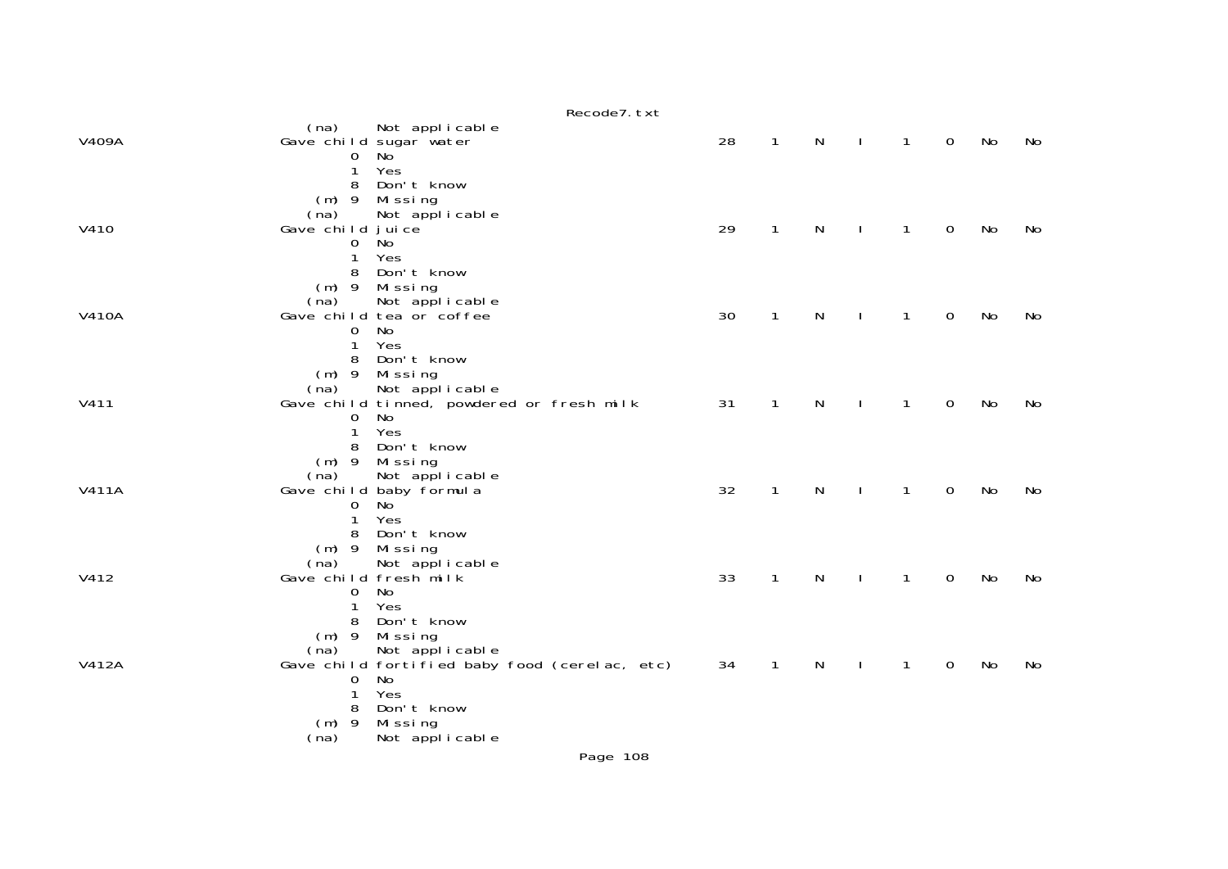|              | Recode7. txt                                                            |    |              |           |              |             |           |    |
|--------------|-------------------------------------------------------------------------|----|--------------|-----------|--------------|-------------|-----------|----|
|              | (na)<br>Not applicable                                                  |    |              |           |              |             |           |    |
| V409A        | Gave child sugar water<br>No<br>0                                       | 28 | $\mathbf{1}$ | N         | $\mathbf{1}$ | $\mathbf 0$ | No        | No |
|              | Yes<br>1                                                                |    |              |           |              |             |           |    |
|              | Don't know<br>8                                                         |    |              |           |              |             |           |    |
|              | $(m)$ 9<br>Mi ssi ng<br>(na)<br>Not applicable                          |    |              |           |              |             |           |    |
| V410         | Gave child juice                                                        | 29 | $\mathbf{1}$ | N         | $\mathbf{1}$ | $\mathbf 0$ | <b>No</b> | No |
|              | Ňо<br>0                                                                 |    |              |           |              |             |           |    |
|              | 1<br>Yes<br>8<br>Don't know                                             |    |              |           |              |             |           |    |
|              | $(m)$ 9<br>Mi ssi ng                                                    |    |              |           |              |             |           |    |
|              | (na)<br>Not applicable                                                  |    |              |           |              |             |           |    |
| <b>V410A</b> | Gave child tea or coffee                                                | 30 | $\mathbf{1}$ | N         | $\mathbf{1}$ | $\mathbf 0$ | <b>No</b> | No |
|              | No<br>0<br>Yes<br>1                                                     |    |              |           |              |             |           |    |
|              | Don't know<br>8                                                         |    |              |           |              |             |           |    |
|              | $(m)$ 9<br>Mi ssi ng                                                    |    |              |           |              |             |           |    |
| V411         | Not applicable<br>(na)<br>Gave child tinned, powdered or fresh milk     | 31 | $\mathbf{1}$ | N         | $\mathbf{1}$ | $\mathbf 0$ | <b>No</b> | No |
|              | No<br>0                                                                 |    |              |           |              |             |           |    |
|              | Yes<br>1                                                                |    |              |           |              |             |           |    |
|              | Don't know<br>8                                                         |    |              |           |              |             |           |    |
|              | Missing<br>$(m)$ 9<br>Not applicable<br>(na)                            |    |              |           |              |             |           |    |
| <b>V411A</b> | Gave child baby formula                                                 | 32 | $\mathbf{1}$ | ${\sf N}$ | $\mathbf{1}$ | $\mathbf 0$ | <b>No</b> | No |
|              | No<br>0                                                                 |    |              |           |              |             |           |    |
|              | Yes<br>1<br>Don't know<br>8                                             |    |              |           |              |             |           |    |
|              | Missing<br>$(m)$ 9                                                      |    |              |           |              |             |           |    |
|              | Not applicable<br>(na)                                                  |    |              |           |              |             |           |    |
| V412         | Gave child fresh milk<br>No<br>0                                        | 33 | $\mathbf{1}$ | N         | $\mathbf{1}$ | $\mathbf 0$ | <b>No</b> | No |
|              | Yes                                                                     |    |              |           |              |             |           |    |
|              | Don't know<br>8                                                         |    |              |           |              |             |           |    |
|              | $(m)$ 9<br>Missing                                                      |    |              |           |              |             |           |    |
| V412A        | Not applicable<br>(na)<br>Gave child fortified baby food (cerelac, etc) | 34 | $\mathbf{1}$ | N         | 1            | 0           | No        | No |
|              | No<br>0                                                                 |    |              |           |              |             |           |    |
|              | Yes<br>1                                                                |    |              |           |              |             |           |    |
|              | Don't know<br>8<br>- 9<br>(m)<br>Missing                                |    |              |           |              |             |           |    |
|              | Not applicable<br>(na)                                                  |    |              |           |              |             |           |    |
|              | <b>P.AOO</b>                                                            |    |              |           |              |             |           |    |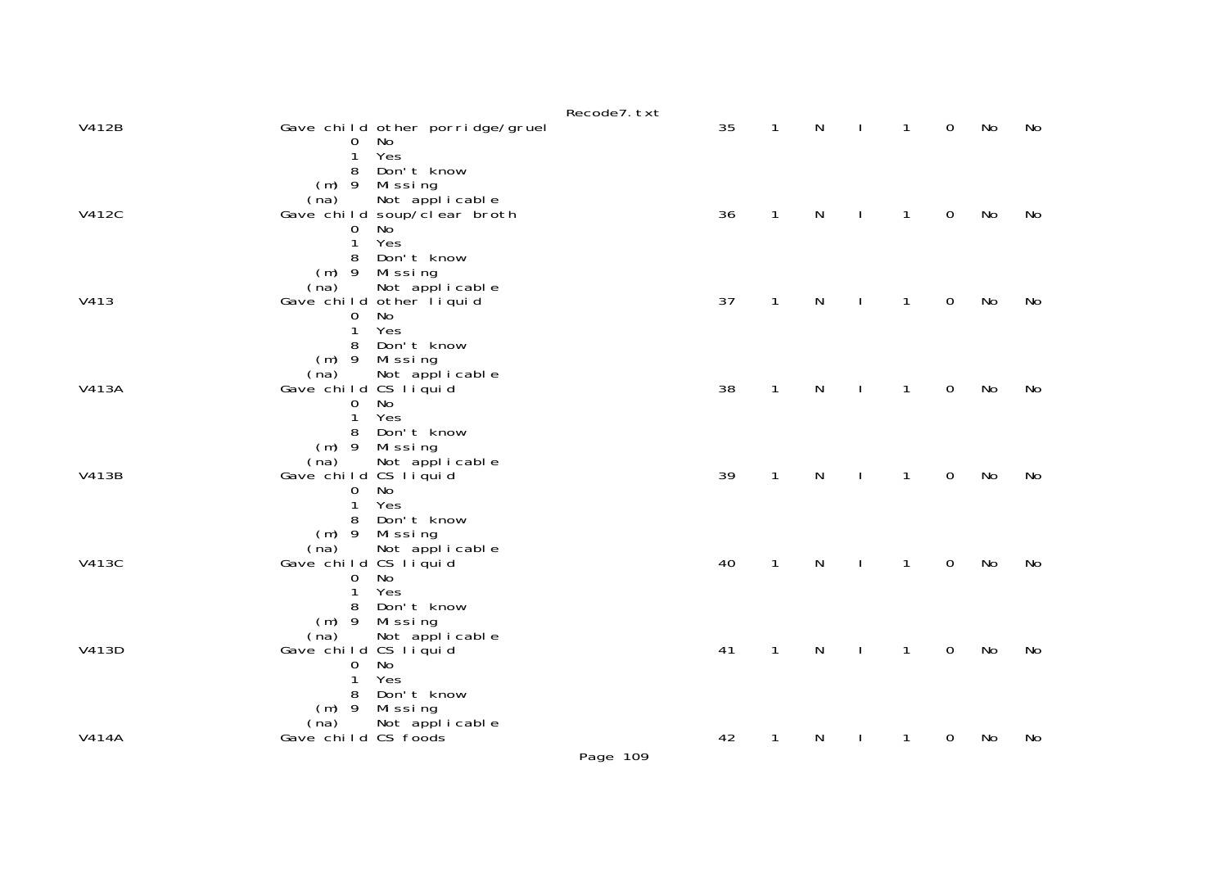|              |                                                                                                                | Recode7. txt |    |              |              |              |              |             |           |    |
|--------------|----------------------------------------------------------------------------------------------------------------|--------------|----|--------------|--------------|--------------|--------------|-------------|-----------|----|
| V412B        | Gave child other porridge/gruel<br>No<br>0                                                                     |              | 35 | $\mathbf{1}$ | N            |              | $\mathbf{1}$ | $\mathbf 0$ | No        | No |
|              | Yes<br>1<br>Don't know<br>8<br>$(m)$ 9<br>Missing<br>Not applicable<br>(na)                                    |              |    |              |              |              |              |             |           |    |
| <b>V412C</b> | Gave child soup/clear broth<br>No<br>0<br>Yes<br>$\mathbf{1}$                                                  |              | 36 | $\mathbf{1}$ | N            | $\mathbf{I}$ | $\mathbf{1}$ | $\mathbf 0$ | No        | No |
|              | Don't know<br>8<br>$(m)$ 9<br>Missing<br>Not applicable<br>(na)                                                |              |    |              |              |              |              |             |           |    |
| V413         | Gave child other liquid<br>No<br>$\mathbf 0$<br>$\mathbf{1}$<br>Yes                                            |              | 37 | $\mathbf{1}$ | N            | $\mathbf{I}$ | $\mathbf{1}$ | $\mathbf 0$ | No        | No |
|              | Don't know<br>8<br>$(m)$ 9<br>Missing<br>Not applicable<br>(na)                                                |              |    |              |              |              |              |             |           |    |
| V413A        | Gave child CS liquid<br>No<br>$\mathbf 0$<br>Yes<br>$\mathbf{1}$                                               |              | 38 | $\mathbf{1}$ | ${\sf N}$    | $\mathbf{I}$ | $\mathbf{1}$ | $\mathsf O$ | <b>No</b> | No |
| V413B        | Don't know<br>8<br>$(m)$ 9<br>Mi ssi ng<br>(na)<br>Not applicable<br>Gave child CS liquid<br>No<br>$\mathbf 0$ |              | 39 | $\mathbf{1}$ | ${\sf N}$    | $\mathbf{I}$ | $\mathbf{1}$ | $\mathsf O$ | No        | No |
|              | Yes<br>$\mathbf{1}$<br>Don't know<br>8<br>(m) 9 Missing                                                        |              |    |              |              |              |              |             |           |    |
| V413C        | (na)<br>Not applicable<br>Gave child CS liquid<br><b>No</b><br>0<br>Yes<br>$\mathbf{1}$                        |              | 40 | $\mathbf{1}$ | $\mathsf{N}$ | $\mathbf{L}$ | $\mathbf{1}$ | $\mathbf 0$ | No        | No |
|              | Don't know<br>8<br>$(m)$ 9 Missing<br>Not applicable<br>(na)                                                   |              |    |              |              |              |              |             |           |    |
| V413D        | Gave child CS liquid<br><b>No</b><br>0<br>Yes<br>1                                                             |              | 41 | $\mathbf{1}$ | N            | $\mathbf{I}$ | $\mathbf{1}$ | $\mathsf O$ | No        | No |
|              | Don't know<br>8<br>$(m)$ 9<br>Missing<br>Not applicable<br>(na)                                                |              |    |              |              |              |              |             |           |    |
| V414A        | Gave child CS foods                                                                                            | Page 109     | 42 | $\mathbf{1}$ | N            |              | 1            | 0           | No        | No |
|              |                                                                                                                |              |    |              |              |              |              |             |           |    |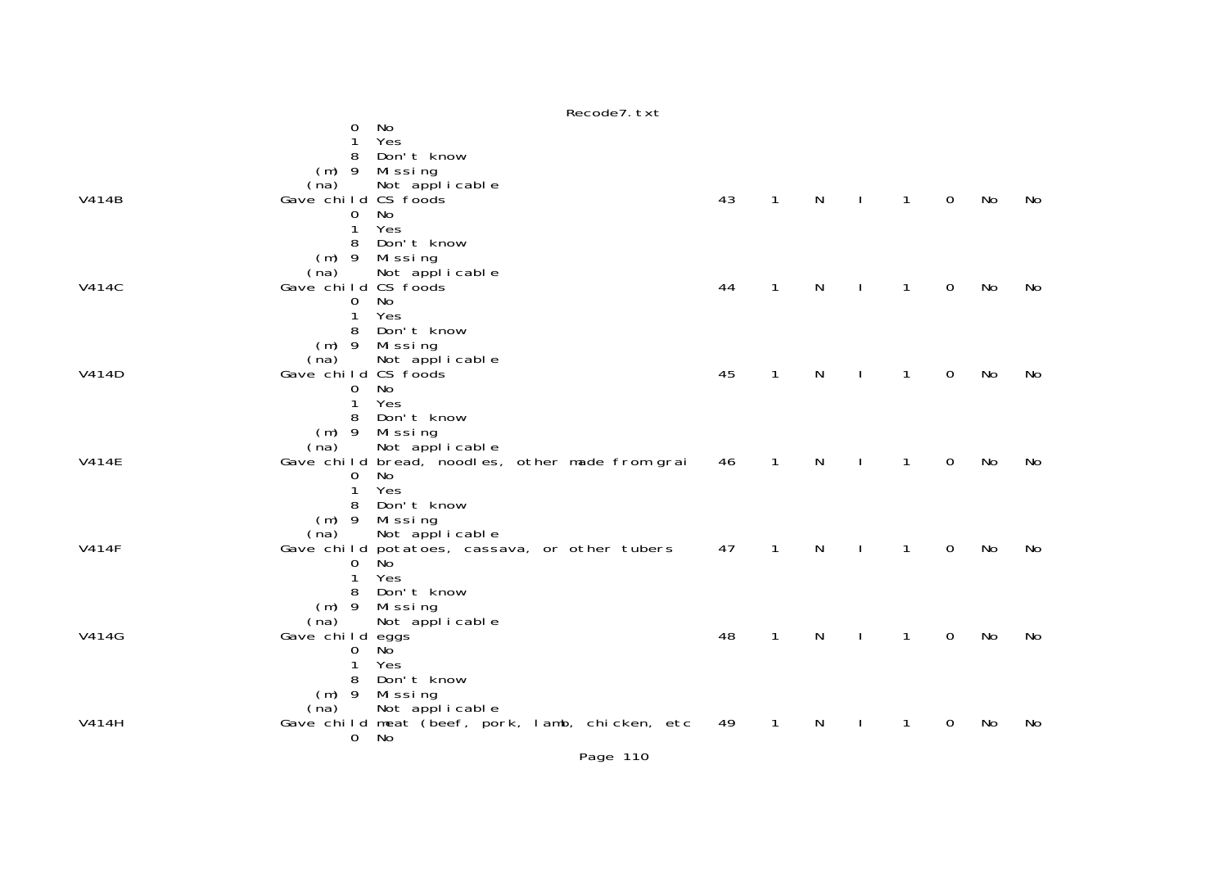|              | $ncou$ $l$ , $l$ $l$                                                      |    |              |              |              |              |             |    |    |
|--------------|---------------------------------------------------------------------------|----|--------------|--------------|--------------|--------------|-------------|----|----|
|              | No<br>0<br>Yes                                                            |    |              |              |              |              |             |    |    |
|              | Don't know<br>8                                                           |    |              |              |              |              |             |    |    |
|              | $(m)$ 9<br>Mi ssi ng                                                      |    |              |              |              |              |             |    |    |
|              | Not applicable<br>(na)                                                    |    |              |              |              |              |             |    |    |
| V414B        | Gave child CS foods<br>No<br>0                                            | 43 | $\mathbf{1}$ | $\mathsf{N}$ | $\perp$      | $\mathbf{1}$ | $\mathbf 0$ | No | No |
|              | Yes<br>1                                                                  |    |              |              |              |              |             |    |    |
|              | Don't know<br>8                                                           |    |              |              |              |              |             |    |    |
|              | $(m)$ 9<br>Missing                                                        |    |              |              |              |              |             |    |    |
|              | Not applicable<br>(na)                                                    |    |              |              |              |              |             |    |    |
| <b>V414C</b> | Gave child CS foods<br>No<br>$\mathbf{O}$                                 | 44 | $\mathbf{1}$ | N            | $\mathbf{I}$ | $\mathbf{1}$ | 0           | No | No |
|              | Yes<br>$\mathbf{1}$                                                       |    |              |              |              |              |             |    |    |
|              | Don't know<br>8                                                           |    |              |              |              |              |             |    |    |
|              | $(m)$ 9<br>Missing                                                        |    |              |              |              |              |             |    |    |
|              | (na)<br>Not applicable                                                    |    |              |              |              |              |             |    |    |
| V414D        | Gave child CS foods<br>No                                                 | 45 | 1            | N            |              | 1            | 0           | No | No |
|              | 0<br>Yes<br>1                                                             |    |              |              |              |              |             |    |    |
|              | Don't know<br>8                                                           |    |              |              |              |              |             |    |    |
|              | $(m)$ 9<br>Missing                                                        |    |              |              |              |              |             |    |    |
|              | Not applicable<br>(na)                                                    |    |              |              |              |              |             |    |    |
| <b>V414E</b> | Gave child bread, noodles, other made from grai<br>No<br>$\Omega$         | 46 | 1            | N            |              | 1            | 0           | No | No |
|              | Yes<br>1                                                                  |    |              |              |              |              |             |    |    |
|              | Don't know<br>8                                                           |    |              |              |              |              |             |    |    |
|              | $(m)$ 9<br>Missing                                                        |    |              |              |              |              |             |    |    |
|              | Not applicable<br>(na)                                                    |    |              |              |              | $\mathbf{1}$ |             |    |    |
| <b>V414F</b> | Gave child potatoes, cassava, or other tubers<br>0<br>No                  | 47 | $\mathbf{1}$ | N            |              |              | 0           | No | No |
|              | Yes<br>1                                                                  |    |              |              |              |              |             |    |    |
|              | Don't know<br>8                                                           |    |              |              |              |              |             |    |    |
|              | Missing<br>$(m)$ 9                                                        |    |              |              |              |              |             |    |    |
| V414G        | Not applicable<br>(na)                                                    | 48 | 1            | N            |              | 1            | 0           | No | No |
|              | Gave child eggs<br>No<br>0                                                |    |              |              |              |              |             |    |    |
|              | Yes<br>1                                                                  |    |              |              |              |              |             |    |    |
|              | Don't know<br>8                                                           |    |              |              |              |              |             |    |    |
|              | Missing<br>$(m)$ 9                                                        |    |              |              |              |              |             |    |    |
| V414H        | Not applicable<br>(na)<br>Gave child meat (beef, pork, lamb, chicken, etc | 49 | $\mathbf{1}$ | N            |              | 1            | 0           | No | No |
|              | No<br>0                                                                   |    |              |              |              |              |             |    |    |
|              |                                                                           |    |              |              |              |              |             |    |    |

Recode7.txt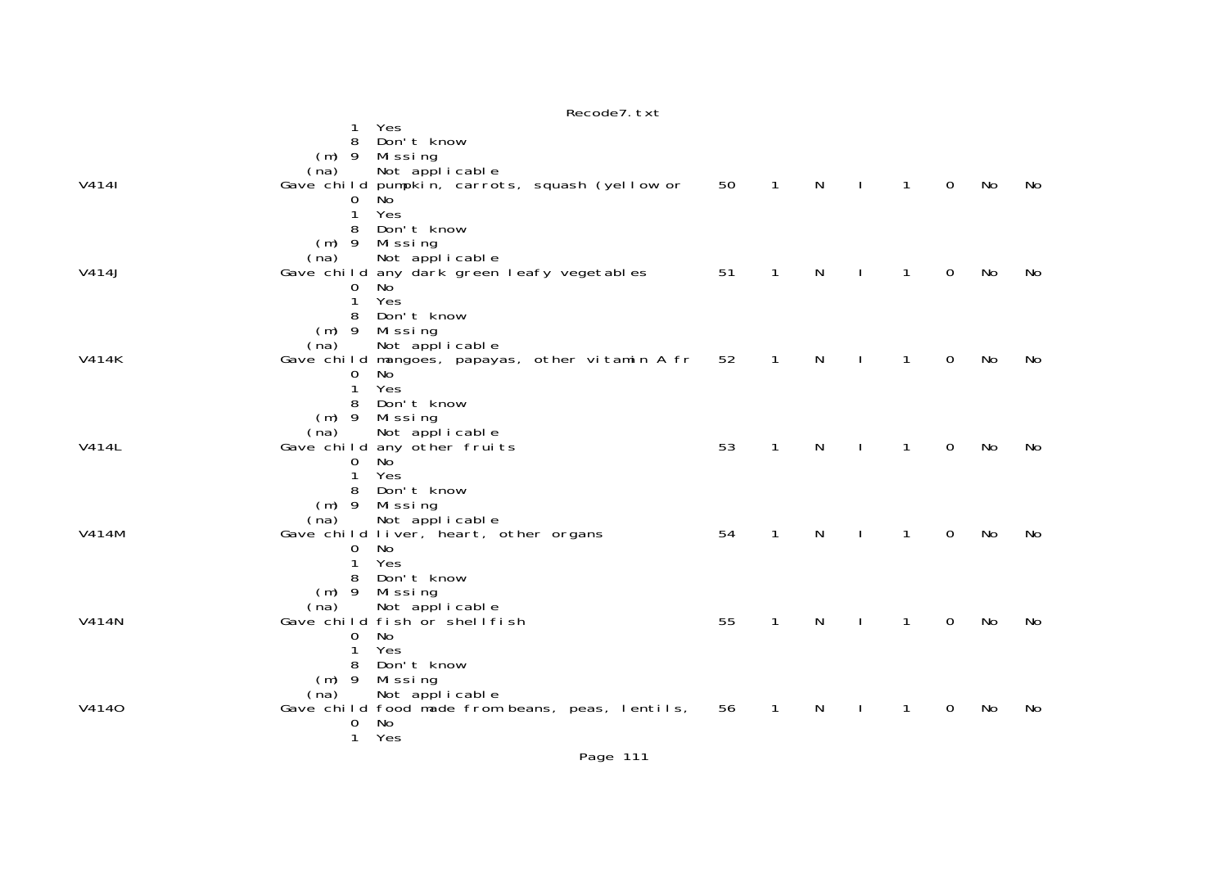|              | Yes<br>1<br>Don't know<br>8<br>Missing<br>$(m)$ 9<br>Not applicable<br>(na)                                                                           |    |                |              |              |                |                |           |    |
|--------------|-------------------------------------------------------------------------------------------------------------------------------------------------------|----|----------------|--------------|--------------|----------------|----------------|-----------|----|
| V4141        | Gave child pumpkin, carrots, squash (yellow or<br>$\mathbf{O}$<br>No<br>Yes<br>$\mathbf{1}$<br>Don't know<br>8<br>Missing<br>$(m)$ 9                  | 50 | $\overline{1}$ | $\mathsf{N}$ | $\pm 1$      | $\overline{1}$ | $\overline{0}$ | No        | No |
| V414J        | Not applicable<br>(na)<br>Gave child any dark green leafy vegetables<br>No<br>0<br>Yes<br>$\mathbf{1}$<br>Don't know<br>8<br>Missing<br>$(m)$ 9       | 51 | $\mathbf{1}$   | $\mathsf{N}$ | $\mathbf{I}$ | $\overline{1}$ | $\overline{0}$ | No        | No |
| <b>V414K</b> | Not applicable<br>(na)<br>Gave child mangoes, papayas, other vitamin A fr<br>No<br>0<br>Yes<br>1<br>Don't know<br>8<br>$(m)$ 9<br>Mi ssi ng           | 52 | $\mathbf{1}$   | ${\sf N}$    |              | $\mathbf{1}$   | $\mathbf 0$    | <b>No</b> | No |
| V414L        | Not applicable<br>(na)<br>Gave child any other fruits<br>$\Omega$<br>No<br>Yes<br>1<br>Don't know<br>8<br>$(m)$ 9<br>Missing                          | 53 | $\mathbf{1}$   | N            |              | $\mathbf{1}$   | $\mathbf 0$    | No        | No |
| V414M        | Not applicable<br>(na)<br>Gave child liver, heart, other organs<br>No<br>$\mathbf{O}$<br>Yes<br>$\mathbf{1}$<br>Don't know<br>8<br>$(m)$ 9<br>Missing | 54 | $\mathbf{1}$   | N            |              | $\mathbf{1}$   | $\overline{0}$ | No        | No |
| V414N        | Not applicable<br>(na)<br>Gave child fish or shell fish<br>No<br>0<br>Yes<br>1<br>Don't know<br>8<br>Mi ssi ng<br>$(m)$ 9                             | 55 | $\mathbf{1}$   | N            | $\mathbf{I}$ | $\mathbf{1}$   | $\Omega$       | No        | No |
| V4140        | Not applicable<br>(na)<br>Gave child food made from beans, peas, lentils,<br>No<br>$\mathbf{O}$<br>$\mathbf{1}$<br>Yes                                | 56 | $\overline{1}$ | $\mathsf{N}$ | $\mathbf{I}$ | $\mathbf{1}$   | $\overline{0}$ | No        | No |

## Recode7.txt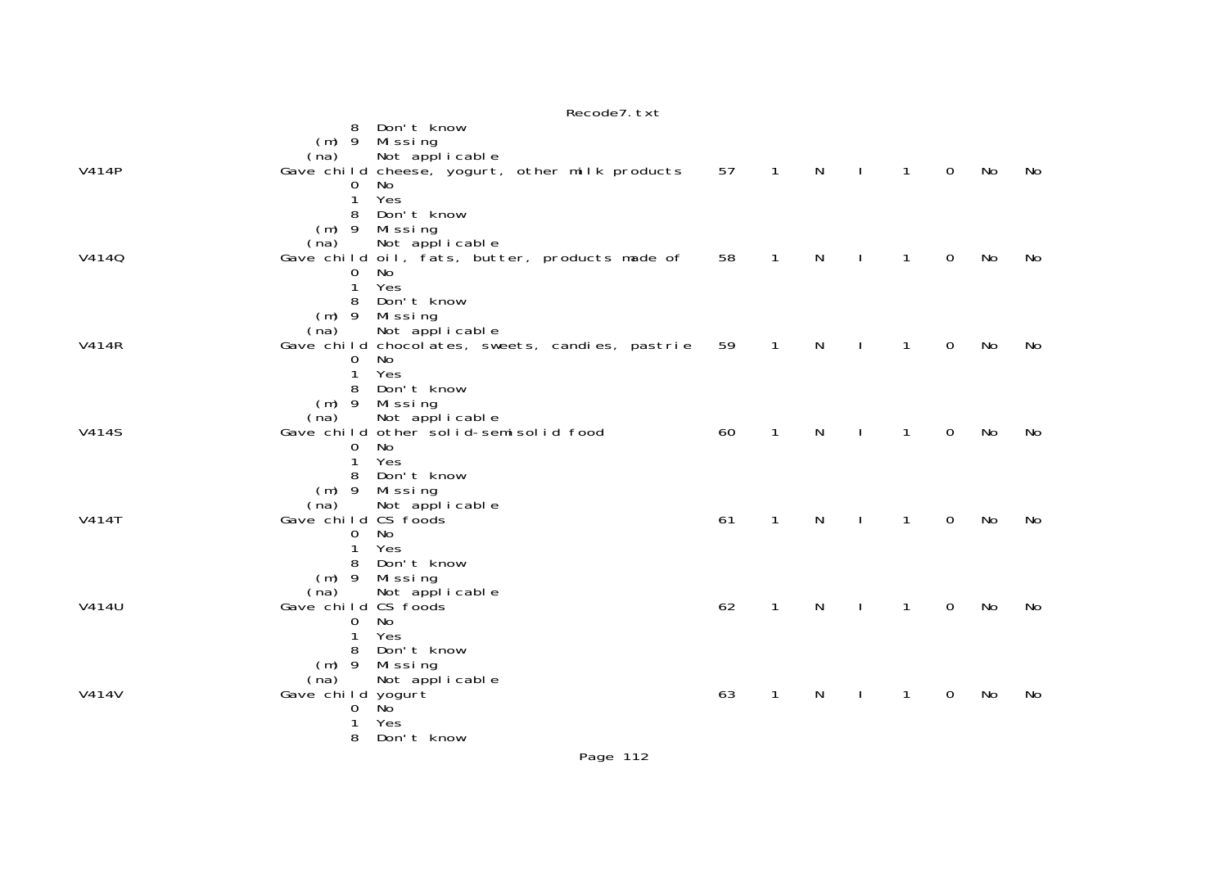|              | Recoue / LXL                                                    |    |              |              |              |              |             |    |    |
|--------------|-----------------------------------------------------------------|----|--------------|--------------|--------------|--------------|-------------|----|----|
|              | Don't know<br>8<br>Missing<br>$(m)$ 9                           |    |              |              |              |              |             |    |    |
|              | Not applicable<br>(na)                                          |    |              |              |              |              |             |    |    |
| <b>V414P</b> | Gave child cheese, yogurt, other milk products                  | 57 | $\mathbf{1}$ | $\mathsf{N}$ | $\mathbf{I}$ | $\mathbf{1}$ | $\mathbf 0$ | No | No |
|              | 0<br>No<br>Yes<br>1                                             |    |              |              |              |              |             |    |    |
|              | Don't know<br>8                                                 |    |              |              |              |              |             |    |    |
|              | (m) 9 Missing                                                   |    |              |              |              |              |             |    |    |
|              | Not applicable<br>(na)                                          |    |              |              |              |              |             |    |    |
| V4140        | Gave child oil, fats, butter, products made of<br>0<br>No       | 58 | 1            | N            |              | $\mathbf{1}$ | 0           | No | No |
|              | Yes<br>1                                                        |    |              |              |              |              |             |    |    |
|              | Don't know<br>8                                                 |    |              |              |              |              |             |    |    |
|              | $(m)$ 9<br>Missing                                              |    |              |              |              |              |             |    |    |
|              | Not applicable<br>(na)                                          |    |              |              |              |              |             |    |    |
| <b>V414R</b> | Gave child chocolates, sweets, candies, pastrie<br>0<br>No.     | 59 | $\mathbf{1}$ | N            |              | 1            | 0           | No | No |
|              | Yes<br>1                                                        |    |              |              |              |              |             |    |    |
|              | Don't know                                                      |    |              |              |              |              |             |    |    |
|              | $(m)$ 9<br>Missing                                              |    |              |              |              |              |             |    |    |
| <b>V414S</b> | (na)<br>Not applicable<br>Gave child other solid-semisolid food | 60 | $\mathbf{1}$ | $\mathsf{N}$ | $\mathbf{I}$ | $\mathbf{1}$ | $\mathbf 0$ | No | No |
|              | No<br>0                                                         |    |              |              |              |              |             |    |    |
|              | Yes<br>1                                                        |    |              |              |              |              |             |    |    |
|              | Don't know<br>8                                                 |    |              |              |              |              |             |    |    |
|              | $(m)$ 9 Missing<br>Not applicable<br>(na)                       |    |              |              |              |              |             |    |    |
| <b>V414T</b> | Gave child CS foods                                             | 61 | $\mathbf{1}$ | $\mathsf{N}$ | $\mathbf{I}$ | $\mathbf{1}$ | 0           | No | No |
|              | No<br>$\mathbf{O}$                                              |    |              |              |              |              |             |    |    |
|              | Yes<br>1                                                        |    |              |              |              |              |             |    |    |
|              | Don't know<br>8<br>$(m)$ 9<br>Mi ssi ng                         |    |              |              |              |              |             |    |    |
|              | (na)<br>Not applicable                                          |    |              |              |              |              |             |    |    |
| V414U        | Gave child CS foods                                             | 62 | $\mathbf{1}$ | N            |              | $\mathbf{1}$ | 0           | No | No |
|              | No<br>0                                                         |    |              |              |              |              |             |    |    |
|              | Yes<br>Don't know<br>8                                          |    |              |              |              |              |             |    |    |
|              | $(m)$ 9<br>Mi ssi ng                                            |    |              |              |              |              |             |    |    |
|              | Not applicable<br>(na)                                          |    |              |              |              |              |             |    |    |
| V414V        | Gave child yogurt                                               | 63 | 1            | N            |              | 1            | 0           | No | No |
|              | No <sup>1</sup><br>0<br>Yes                                     |    |              |              |              |              |             |    |    |
|              | 8<br>Don't know                                                 |    |              |              |              |              |             |    |    |
|              |                                                                 |    |              |              |              |              |             |    |    |

 $p_{0}$ codo $7$  tvt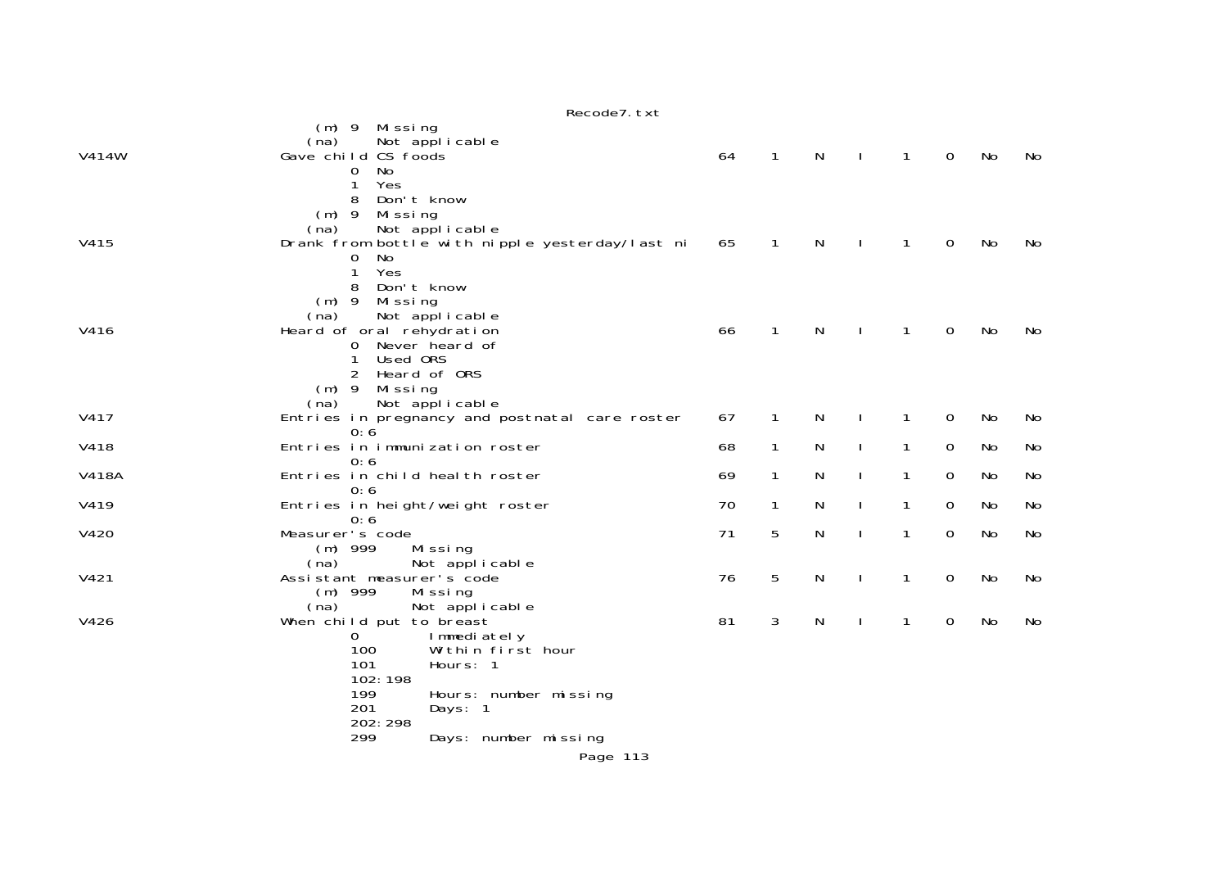|              | Recode7. txt                                                                         |    |              |   |              |              |             |           |           |
|--------------|--------------------------------------------------------------------------------------|----|--------------|---|--------------|--------------|-------------|-----------|-----------|
|              | (m) 9 Missing<br>Not applicable<br>(na)                                              |    |              |   |              |              |             |           |           |
| V414W        | Gave child CS foods<br>No<br>0<br>1                                                  | 64 | $\mathbf{1}$ | N | $\mathbf{I}$ | $\mathbf{1}$ | $\mathbf 0$ | No        | No        |
|              | Yes<br>Don't know<br>8<br>$(m)$ 9<br>Mi ssi ng                                       |    |              |   |              |              |             |           |           |
| V415         | Not applicable<br>(na)<br>Drank from bottle with nipple yesterday/last ni<br>No<br>0 | 65 | $\mathbf{1}$ | N |              | $\mathbf{1}$ | $\mathbf 0$ | No        | No        |
|              | Yes<br>1<br>Don't know<br>8                                                          |    |              |   |              |              |             |           |           |
|              | $(m)$ 9<br>Mi ssi ng<br>(na)<br>Not applicable                                       |    |              |   |              |              |             |           |           |
| V416         | Heard of oral rehydration<br>Never heard of<br>0<br>Used ORS                         | 66 | $\mathbf{1}$ | N | $\mathbf{I}$ | 1            | 0           | <b>No</b> | No        |
|              | Heard of ORS<br>2<br>$(m)$ 9<br>Missing                                              |    |              |   |              |              |             |           |           |
| V417         | Not applicable<br>(na)<br>Entries in pregnancy and postnatal care roster             | 67 | 1            | N |              | 1            | $\mathbf 0$ | No        | No        |
| V418         | 0:6<br>Entries in immunization roster                                                | 68 | $\mathbf{1}$ | N |              | 1            | 0           | No        | No        |
| <b>V418A</b> | 0:6<br>Entries in child health roster                                                | 69 | $\mathbf{1}$ | N |              | 1            | $\mathbf 0$ | No        | No        |
| V419         | 0:6<br>Entries in height/weight roster                                               | 70 | 1            | N |              | $\mathbf{1}$ | $\mathbf 0$ | No        | No        |
| V420         | 0:6<br>Measurer's code<br>$(m)$ 999<br>Missing                                       | 71 | 5            | N | J.           | $\mathbf{1}$ | 0           | No        | <b>No</b> |
|              | (na)<br>Not applicable                                                               |    |              |   |              |              |             |           |           |
| V421         | Assistant measurer's code<br>$(m)$ 999<br>Missing                                    | 76 | 5            | N | <sup>1</sup> | 1            | $\mathbf 0$ | No        | No        |
| V426         | (na)<br>Not applicable<br>When child put to breast<br>0<br>Immediately               | 81 | 3            | N |              | $\mathbf{1}$ | $\mathbf 0$ | No        | No        |
|              | 100<br>Within first hour<br>101<br>Hours: 1                                          |    |              |   |              |              |             |           |           |
|              | 102:198                                                                              |    |              |   |              |              |             |           |           |
|              | 199<br>Hours: number missing<br>201<br>Days: 1<br>202: 298                           |    |              |   |              |              |             |           |           |
|              | 299<br>Days: number missing                                                          |    |              |   |              |              |             |           |           |
|              | Page 113                                                                             |    |              |   |              |              |             |           |           |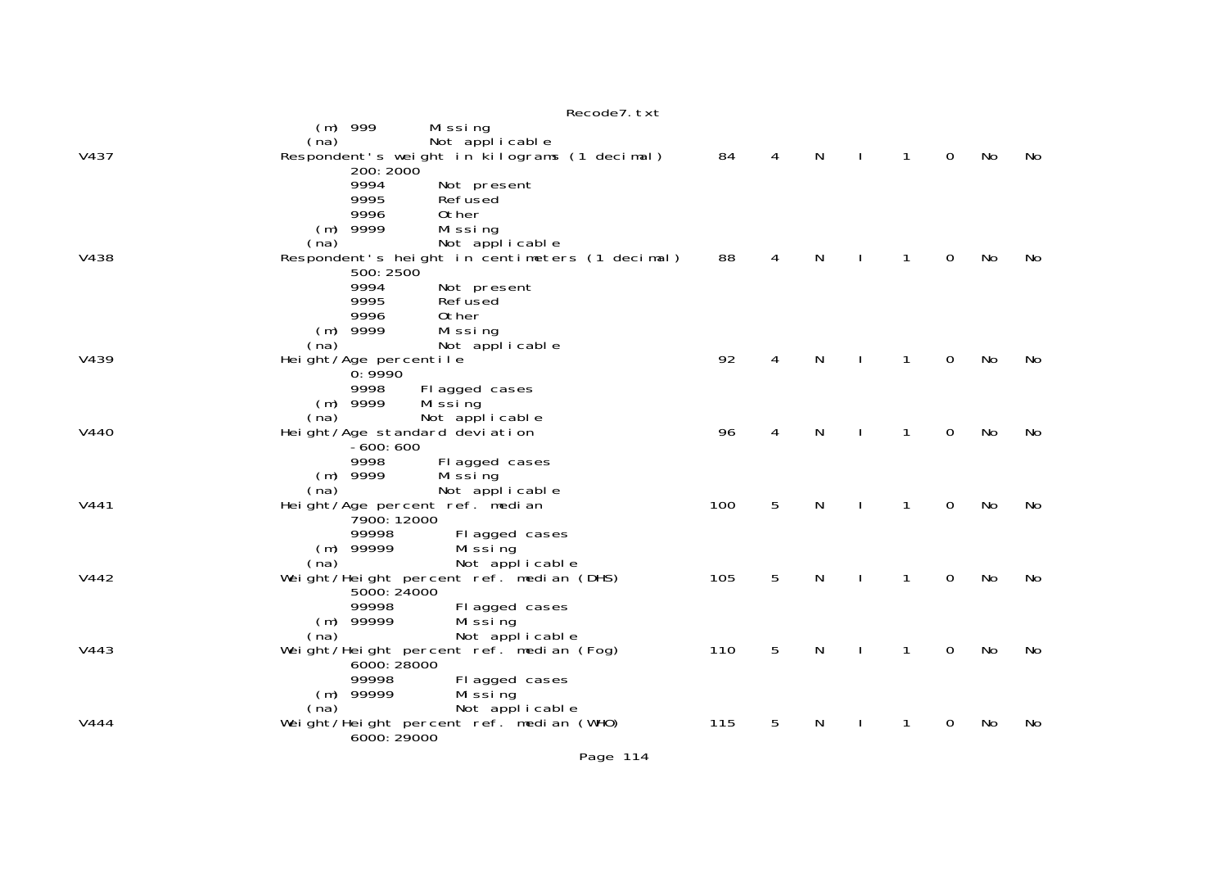|      | Recode7. txt                                                                                                                                              |     |   |   |   |             |    |    |
|------|-----------------------------------------------------------------------------------------------------------------------------------------------------------|-----|---|---|---|-------------|----|----|
| V437 | 999<br>Mi ssi ng<br>(m)<br>Not applicable<br>(na)<br>Respondent's weight in kilograms (1 decimal)<br>200: 2000                                            | 84  | 4 | N | 1 | $\mathbf 0$ | No | No |
|      | 9994<br>Not present<br>9995<br>Refused<br>9996<br>0ther<br>$(m)$ 9999<br>Missing<br>(na)                                                                  |     |   |   |   |             |    |    |
| V438 | Not applicable<br>Respondent's height in centimeters (1 decimal)<br>500: 2500<br>9994<br>Not present                                                      | 88  | 4 | N | 1 | 0           | No | No |
| V439 | 9995<br>Refused<br>9996<br>0ther<br>$(m)$ 9999<br>Missing<br>Not applicable<br>(na)<br>Height/Age percentile<br>0:9990                                    | 92  | 4 | N | 1 | $\mathbf 0$ | No | No |
| V440 | 9998<br>Fl agged cases<br>9999<br>Mi ssi ng<br>(m)<br>(na)<br>Not applicable<br>Height/Age standard deviation<br>$-600:600$                               | 96  | 4 | N | 1 | $\Omega$    | No | No |
| V441 | 9998<br>Fl agged cases<br>$(m)$ 9999<br>Mi ssi ng<br>Not applicable<br>(na)<br>Height/Age percent ref. median<br>7900: 12000                              | 100 | 5 | N | 1 | 0           | No | No |
| V442 | 99998<br>Fl agged cases<br>$(m)$ 99999<br>Mi ssi ng<br>Not applicable<br>(na)<br>Weight/Height percent ref. median (DHS)<br>5000: 24000<br>99998          | 105 | 5 | N | 1 | $\Omega$    | No | No |
| V443 | Fl agged cases<br>$(m)$ 99999<br>Mi ssi ng<br>(na)<br>Not applicable<br>Weight/Height percent ref. median (Fog)<br>6000: 28000<br>99998<br>Fl agged cases | 110 | 5 | N | 1 | 0           | No | No |
| V444 | $(m)$ 99999<br>Mi ssi ng<br>Not applicable<br>(na)<br>Weight/Height percent ref. median (WHO)<br>6000: 29000                                              | 115 | 5 | Ν |   | 0           | No | No |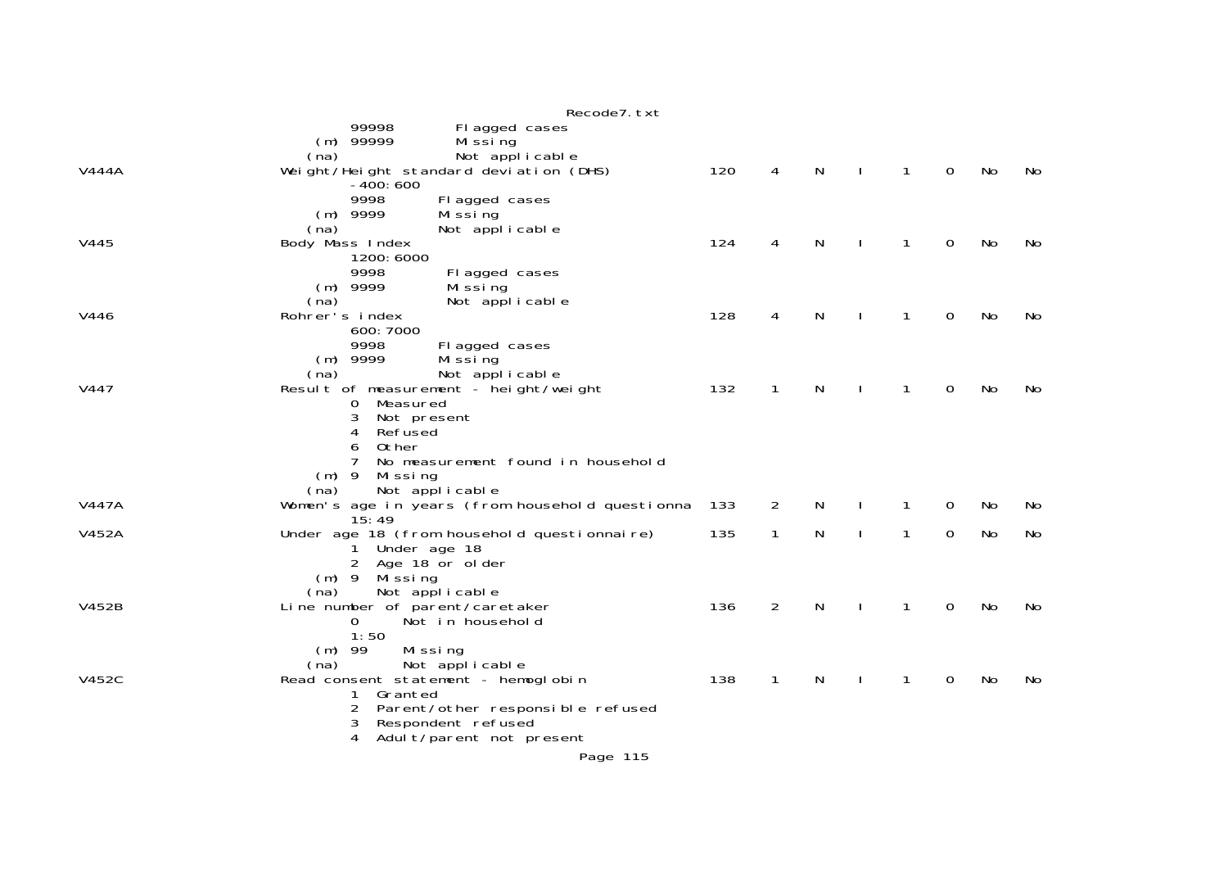|       | Recode7. txt                                             |     |                |   |              |                |    |    |
|-------|----------------------------------------------------------|-----|----------------|---|--------------|----------------|----|----|
|       | 99998<br>Fl agged cases                                  |     |                |   |              |                |    |    |
|       | $(m)$ 99999<br>Mi ssi ng                                 |     |                |   |              |                |    |    |
|       | Not applicable<br>(na)                                   |     |                |   |              |                |    |    |
| V444A | Weight/Height standard deviation (DHS)                   | 120 | 4              | N | $\mathbf{1}$ | $\mathbf 0$    | No | No |
|       | $-400:600$                                               |     |                |   |              |                |    |    |
|       | 9998<br>Fl agged cases                                   |     |                |   |              |                |    |    |
|       | $(m)$ 9999<br>Mi ssi ng                                  |     |                |   |              |                |    |    |
|       | (na)<br>Not applicable                                   |     |                |   |              |                |    |    |
| V445  | Body Mass Index                                          | 124 | 4              | N |              | 0              | No | No |
|       | 1200: 6000                                               |     |                |   |              |                |    |    |
|       | 9998<br>Fl agged cases                                   |     |                |   |              |                |    |    |
|       | $(m)$ 9999<br>Mi ssi ng                                  |     |                |   |              |                |    |    |
|       | Not applicable<br>(na)                                   |     |                |   |              |                |    |    |
| V446  | Rohrer's index                                           | 128 | 4              | N | 1            | 0              | No | No |
|       | 600: 7000                                                |     |                |   |              |                |    |    |
|       | 9998<br>Fl agged cases                                   |     |                |   |              |                |    |    |
|       | $(m)$ 9999<br>Mi ssi ng                                  |     |                |   |              |                |    |    |
|       | Not applicable<br>(na)                                   |     | $\mathbf{1}$   |   |              |                |    |    |
| V447  | Result of measurement - height/weight<br>0<br>Measured   | 132 |                | N | 1            | $\mathbf 0$    | No | No |
|       | 3<br>Not present                                         |     |                |   |              |                |    |    |
|       | Refused<br>4                                             |     |                |   |              |                |    |    |
|       | Other<br>6                                               |     |                |   |              |                |    |    |
|       | No measurement found in household                        |     |                |   |              |                |    |    |
|       | $(m)$ 9<br>Mi ssi ng                                     |     |                |   |              |                |    |    |
|       | Not applicable<br>(na)                                   |     |                |   |              |                |    |    |
| V447A | Women's age in years (from household questionna          | 133 | $\overline{2}$ | N | 1            | $\overline{0}$ | No | No |
|       | 15:49                                                    |     |                |   |              |                |    |    |
| V452A | Under age 18 (from household questionnaire)              | 135 | $\mathbf{1}$   | N | 1            | $\mathbf 0$    | No | No |
|       | Under age 18<br>1                                        |     |                |   |              |                |    |    |
|       | $\overline{2}$<br>Age 18 or older                        |     |                |   |              |                |    |    |
|       | Missing<br>$(m)$ 9                                       |     |                |   |              |                |    |    |
|       | (na)<br>Not applicable                                   |     |                |   |              |                |    |    |
| V452B | Line number of parent/caretaker                          | 136 | 2              | N | 1            | 0              | No | No |
|       | Not in household<br>0                                    |     |                |   |              |                |    |    |
|       | 1:50                                                     |     |                |   |              |                |    |    |
|       | $(m)$ 99<br>Missing                                      |     |                |   |              |                |    |    |
|       | (na)<br>Not applicable                                   |     |                |   |              |                |    |    |
| V452C | Read consent statement - hemoglobin                      | 138 | 1              | N | 1            | $\overline{0}$ | No | No |
|       | 1<br>Granted                                             |     |                |   |              |                |    |    |
|       | 2<br>Parent/other responsible refused                    |     |                |   |              |                |    |    |
|       | Respondent refused<br>3<br>4<br>Adult/parent not present |     |                |   |              |                |    |    |
|       |                                                          |     |                |   |              |                |    |    |
|       | Page 115                                                 |     |                |   |              |                |    |    |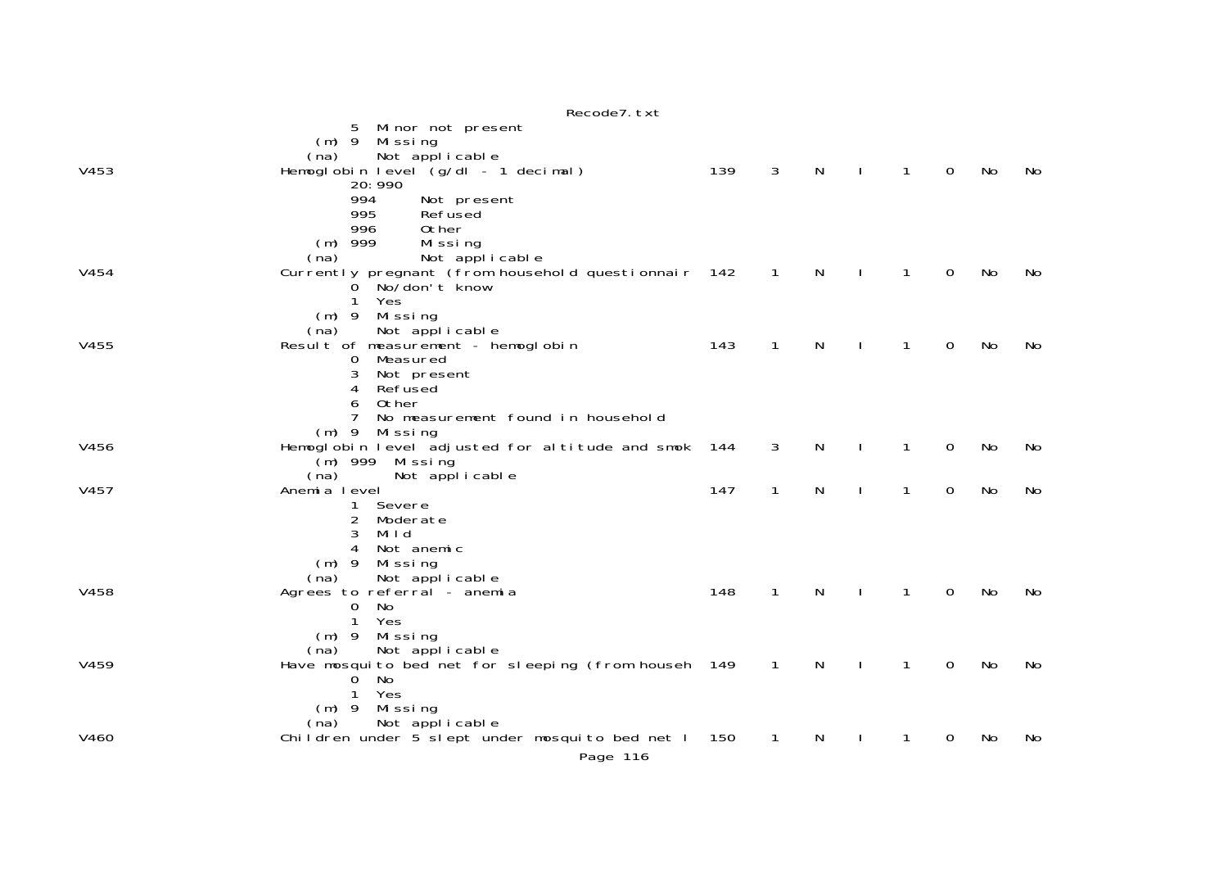|      | Recode7. txt                                                                                                                                                                        |     |              |   |              |              |   |    |    |
|------|-------------------------------------------------------------------------------------------------------------------------------------------------------------------------------------|-----|--------------|---|--------------|--------------|---|----|----|
| V453 | 5 Minor not present<br>(m) 9 Missing<br>Not applicable<br>(na)<br>Hemoglobin level (g/dl - 1 decimal)<br>20: 990                                                                    | 139 | 3            | N | $\mathbf{I}$ | 1            | 0 | No | No |
|      | 994<br>Not present<br>995<br>Refused<br>996<br>Other<br>$(m)$ 999<br>Missing                                                                                                        |     |              |   |              |              |   |    |    |
| V454 | Not applicable<br>(na)<br>Currently pregnant (from household questionnair 142<br>0 No/don't know<br>Yes<br>1<br>$(m)$ 9<br>Missing                                                  |     | $\mathbf{1}$ | N |              | $\mathbf{1}$ | 0 | No | No |
| V455 | Not applicable<br>(na)<br>Result of measurement - hemoglobin<br>Measured<br>$\mathbf 0$<br>3<br>Not present<br>Refused<br>4<br>Other<br>6<br>7<br>No measurement found in household | 143 | $\mathbf{1}$ | N |              | 1            | 0 | No | No |
| V456 | Mi ssi ng<br>$(m)$ 9<br>Hemoglobin level adjusted for altitude and smok<br>(m) 999 Missing<br>Not applicable<br>(na)                                                                | 144 | 3            | N |              | 1            | 0 | No | No |
| V457 | Anemia level<br>Severe<br>1<br>Moderate<br>2<br>3<br>Mild<br>Not anemic<br>4<br>$(m)$ 9<br>Missing<br>Not applicable<br>(na)                                                        | 147 | $\mathbf{1}$ | N | $\mathbf{I}$ | $\mathbf{1}$ | 0 | No | No |
| V458 | Agrees to referral - anemia<br>No<br>0<br>$\mathbf{1}$<br>Yes<br>$(m)$ 9<br>Missing                                                                                                 | 148 | $\mathbf{1}$ | N | $\mathbf{I}$ | 1            | 0 | No | No |
| V459 | Not applicable<br>(na)<br>Have mosquito bed net for sleeping (from househ 149<br>No.<br>$\overline{0}$<br>$\mathbf{1}$<br>Yes<br>Missing<br>$(m)$ 9                                 |     | 1            | N |              | 1            | 0 | No | No |
| V460 | Not applicable<br>(na)<br>Children under 5 slept under mosquito bed net I<br>Page 116                                                                                               | 150 | 1            | N |              |              | 0 | No | No |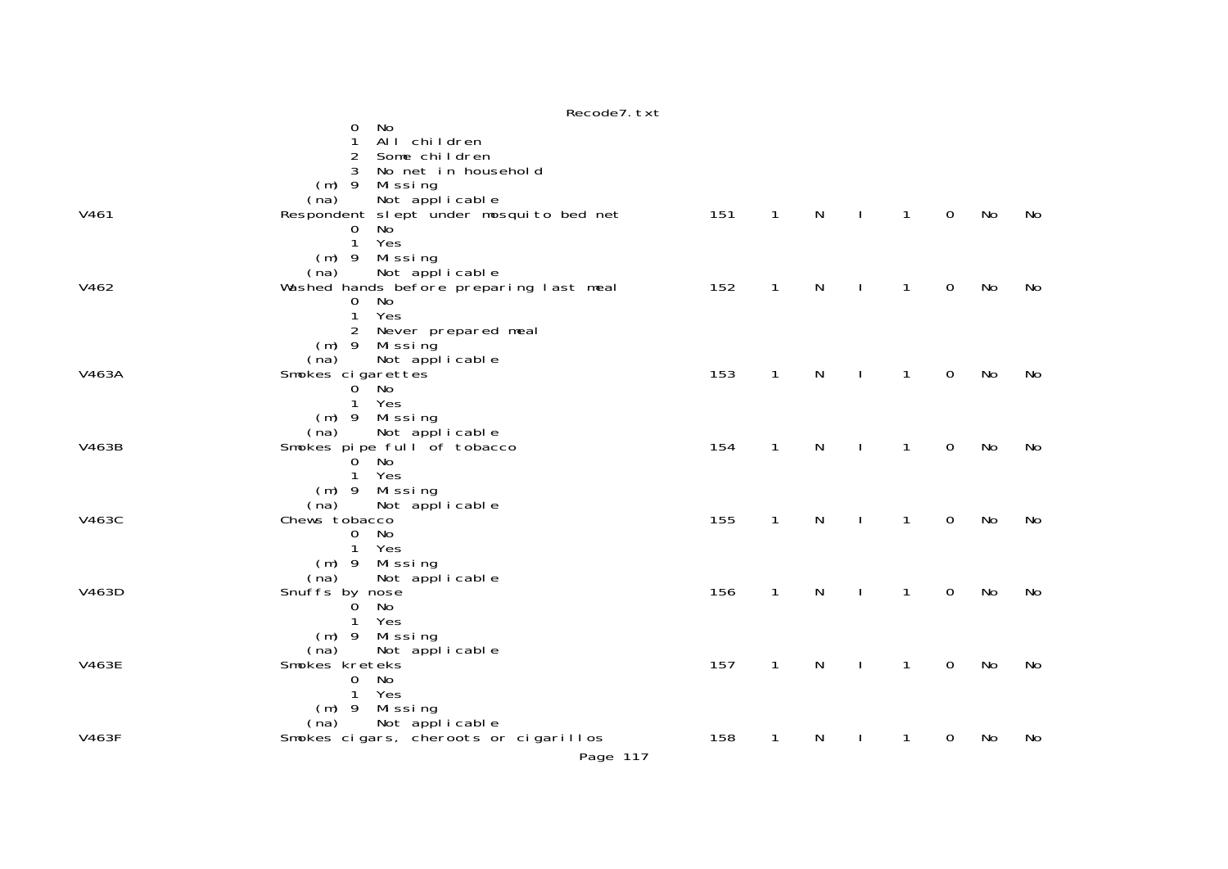|              | Recode7.txt                             |     |                |              |                |              |             |    |    |
|--------------|-----------------------------------------|-----|----------------|--------------|----------------|--------------|-------------|----|----|
|              | No<br>0                                 |     |                |              |                |              |             |    |    |
|              | All children                            |     |                |              |                |              |             |    |    |
|              | 2<br>Some children                      |     |                |              |                |              |             |    |    |
|              | No net in household<br>3                |     |                |              |                |              |             |    |    |
|              | $(m)$ 9<br>Missing                      |     |                |              |                |              |             |    |    |
|              | Not applicable<br>(na)                  |     |                |              |                |              |             |    |    |
| V461         | Respondent slept under mosquito bed net | 151 | $\overline{1}$ | N            | $\blacksquare$ | $\mathbf{1}$ | $\mathbf 0$ | No | No |
|              | No<br>$\overline{0}$                    |     |                |              |                |              |             |    |    |
|              | $\mathbf{1}$<br>Yes                     |     |                |              |                |              |             |    |    |
|              |                                         |     |                |              |                |              |             |    |    |
|              | Missing<br>$(m)$ 9                      |     |                |              |                |              |             |    |    |
|              | Not applicable<br>(na)                  |     |                |              |                |              |             |    |    |
| V462         | Washed hands before preparing last meal | 152 | $\mathbf{1}$   | N            | $\mathbf{I}$   | $\mathbf{1}$ | $\mathbf 0$ | No | No |
|              | No<br>$\mathbf{0}$<br>Yes               |     |                |              |                |              |             |    |    |
|              | $\mathbf{1}$                            |     |                |              |                |              |             |    |    |
|              | $2^{\circ}$<br>Never prepared meal      |     |                |              |                |              |             |    |    |
|              | (m) 9 Missing                           |     |                |              |                |              |             |    |    |
|              | (na)<br>Not applicable                  | 153 |                | $\mathsf{N}$ |                | $\mathbf{1}$ | $\mathbf 0$ | No | No |
| V463A        | Smokes cigarettes                       |     | $\mathbf{1}$   |              | $\mathbf{I}$   |              |             |    |    |
|              | $0^{\degree}$ No<br>$\mathbf{1}$        |     |                |              |                |              |             |    |    |
|              | Yes                                     |     |                |              |                |              |             |    |    |
|              | (m) 9 Missing                           |     |                |              |                |              |             |    |    |
| V463B        | Not applicable<br>(na)                  | 154 | $\mathbf{1}$   | N            |                | $\mathbf{1}$ | $\mathbf 0$ | No |    |
|              | Smokes pipe full of tobacco             |     |                |              | $\mathbf{L}$   |              |             |    | No |
|              | $0$ No<br>Yes<br>$\mathbf{1}$           |     |                |              |                |              |             |    |    |
|              |                                         |     |                |              |                |              |             |    |    |
|              | (m) 9 Missing                           |     |                |              |                |              |             |    |    |
| V463C        | Not applicable<br>(na)<br>Chews tobacco | 155 | $\mathbf{1}$   | N            |                | 1            | $\mathbf 0$ | No | No |
|              | $\mathbf{0}$<br>No                      |     |                |              | $\mathbf{L}$   |              |             |    |    |
|              | Yes<br>$\mathbf{1}$                     |     |                |              |                |              |             |    |    |
|              | (m) 9 Missing                           |     |                |              |                |              |             |    |    |
|              | (na)<br>Not applicable                  |     |                |              |                |              |             |    |    |
| V463D        | Snuffs by nose                          | 156 | $\mathbf{1}$   | N            | $\Box$         | $\mathbf{1}$ | $\mathbf 0$ | No | No |
|              | No<br>O.                                |     |                |              |                |              |             |    |    |
|              | Yes<br>$\mathbf{1}$                     |     |                |              |                |              |             |    |    |
|              | $(m)$ 9<br>Missing                      |     |                |              |                |              |             |    |    |
|              | (na)<br>Not applicable                  |     |                |              |                |              |             |    |    |
| <b>V463E</b> | Smokes kreteks                          | 157 | $\mathbf{1}$   | N            | $\mathbf{L}$   | $\mathbf{1}$ | $\mathbf 0$ | No | No |
|              | No<br>$\mathbf{0}$                      |     |                |              |                |              |             |    |    |
|              | $\mathbf{1}$<br>Yes                     |     |                |              |                |              |             |    |    |
|              | $(m)$ 9 Missing                         |     |                |              |                |              |             |    |    |
|              | Not applicable<br>(na)                  |     |                |              |                |              |             |    |    |
| <b>V463F</b> | Smokes cigars, cheroots or cigarillos   | 158 | $\mathbf{1}$   | N            | $\mathbf{I}$   | 1            | 0           | No | No |
|              |                                         |     |                |              |                |              |             |    |    |
|              | Page 117                                |     |                |              |                |              |             |    |    |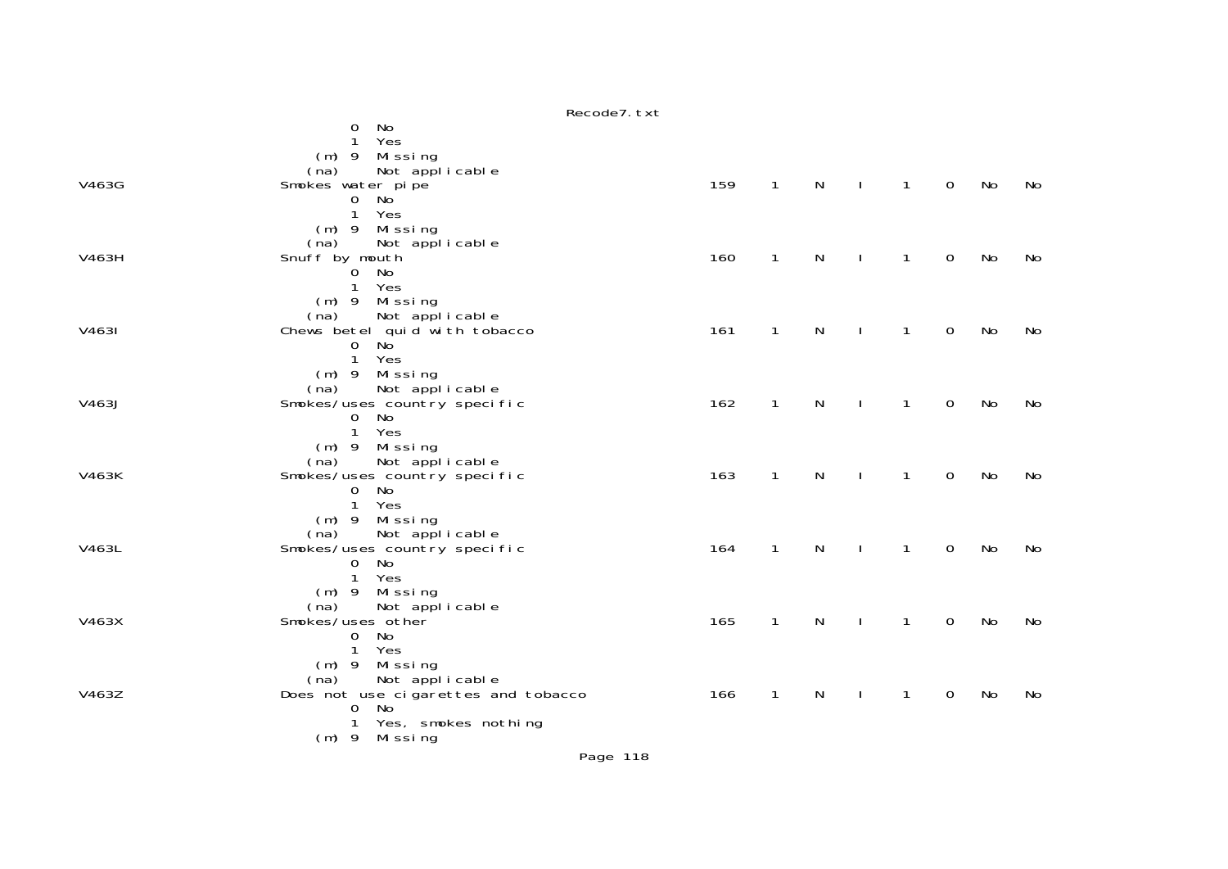|       | Recode7. txt                                               |     |              |              |              |              |                |    |    |
|-------|------------------------------------------------------------|-----|--------------|--------------|--------------|--------------|----------------|----|----|
|       | No<br>0                                                    |     |              |              |              |              |                |    |    |
|       | Yes<br>1                                                   |     |              |              |              |              |                |    |    |
|       | (m) 9 Missing                                              |     |              |              |              |              |                |    |    |
| V463G | Not applicable<br>(na)                                     | 159 | $\mathbf{1}$ | N            |              | $\mathbf{1}$ | $\overline{0}$ | No | No |
|       | Smokes water pipe<br>No<br>$\mathbf 0$                     |     |              |              | $\perp$      |              |                |    |    |
|       | 1 Yes                                                      |     |              |              |              |              |                |    |    |
|       | (m) 9 Missing                                              |     |              |              |              |              |                |    |    |
|       | Not applicable<br>(na)                                     |     |              |              |              |              |                |    |    |
| V463H | Snuff by mouth                                             | 160 | $\mathbf{1}$ | $\mathsf{N}$ | $\sim$ 1     | $\mathbf{1}$ | $\mathbf 0$    | No | No |
|       | 0 No                                                       |     |              |              |              |              |                |    |    |
|       | 1 Yes                                                      |     |              |              |              |              |                |    |    |
|       | (m) 9 Missing                                              |     |              |              |              |              |                |    |    |
|       | Not applicable<br>(na)                                     |     |              | $\mathsf{N}$ |              |              |                |    |    |
| V4631 | Chews betel quid with tobacco<br><b>No</b><br>$\mathbf{O}$ | 161 | $\mathbf{1}$ |              | $\mathbf{I}$ | $\mathbf{1}$ | $\mathbf 0$    | No | No |
|       | 1 Yes                                                      |     |              |              |              |              |                |    |    |
|       | (m) 9 Missing                                              |     |              |              |              |              |                |    |    |
|       | Not applicable<br>(na)                                     |     |              |              |              |              |                |    |    |
| V463J | Smokes/uses country specific                               | 162 | $\mathbf{1}$ | $\mathsf{N}$ | $\mathbf{I}$ | $\mathbf{1}$ | $\mathbf 0$    | No | No |
|       | $\overline{0}$<br>No                                       |     |              |              |              |              |                |    |    |
|       | $\mathbf{1}$<br>Yes                                        |     |              |              |              |              |                |    |    |
|       | $(m)$ 9 Missing                                            |     |              |              |              |              |                |    |    |
| V463K | (na) Not applicable<br>Smokes/uses country specific        | 163 | $\mathbf{1}$ | N            | $\mathbf{I}$ | $\mathbf{1}$ | $\mathbf 0$    | No | No |
|       | No<br>$\mathbf 0$                                          |     |              |              |              |              |                |    |    |
|       | 1 Yes                                                      |     |              |              |              |              |                |    |    |
|       | (m) 9 Missing                                              |     |              |              |              |              |                |    |    |
|       |                                                            |     |              |              |              |              |                |    |    |
| V463L | (na) Not applicable<br>Smokes/uses_country specific        | 164 | $\mathbf{1}$ | $\mathsf{N}$ | $\sim$ 1     | $\mathbf{1}$ | $\mathsf{O}$   | No | No |
|       | 0 No                                                       |     |              |              |              |              |                |    |    |
|       | $\mathbf{1}$<br>Yes                                        |     |              |              |              |              |                |    |    |
|       | (m) 9 Missing<br>(na) Not applicable                       |     |              |              |              |              |                |    |    |
| V463X | Smokes/uses other                                          | 165 | $\mathbf{1}$ | $\mathsf{N}$ | $\mathbf{I}$ | $\mathbf{1}$ | $\mathbf 0$    | No | No |
|       | 0 No                                                       |     |              |              |              |              |                |    |    |
|       | $\mathbf{1}$<br>Yes                                        |     |              |              |              |              |                |    |    |
|       | (m) 9 Missing                                              |     |              |              |              |              |                |    |    |
|       | Not applicable<br>(na)                                     |     |              |              |              |              |                |    |    |
| V463Z | Does not use cigarettes and tobacco                        | 166 | $\mathbf{1}$ | N            | $\mathbf{I}$ | $\mathbf{1}$ | $\overline{0}$ | No | No |
|       | 0 No                                                       |     |              |              |              |              |                |    |    |
|       | Yes, smokes nothing<br>1<br>$(m)$ 9 Missing                |     |              |              |              |              |                |    |    |
|       |                                                            |     |              |              |              |              |                |    |    |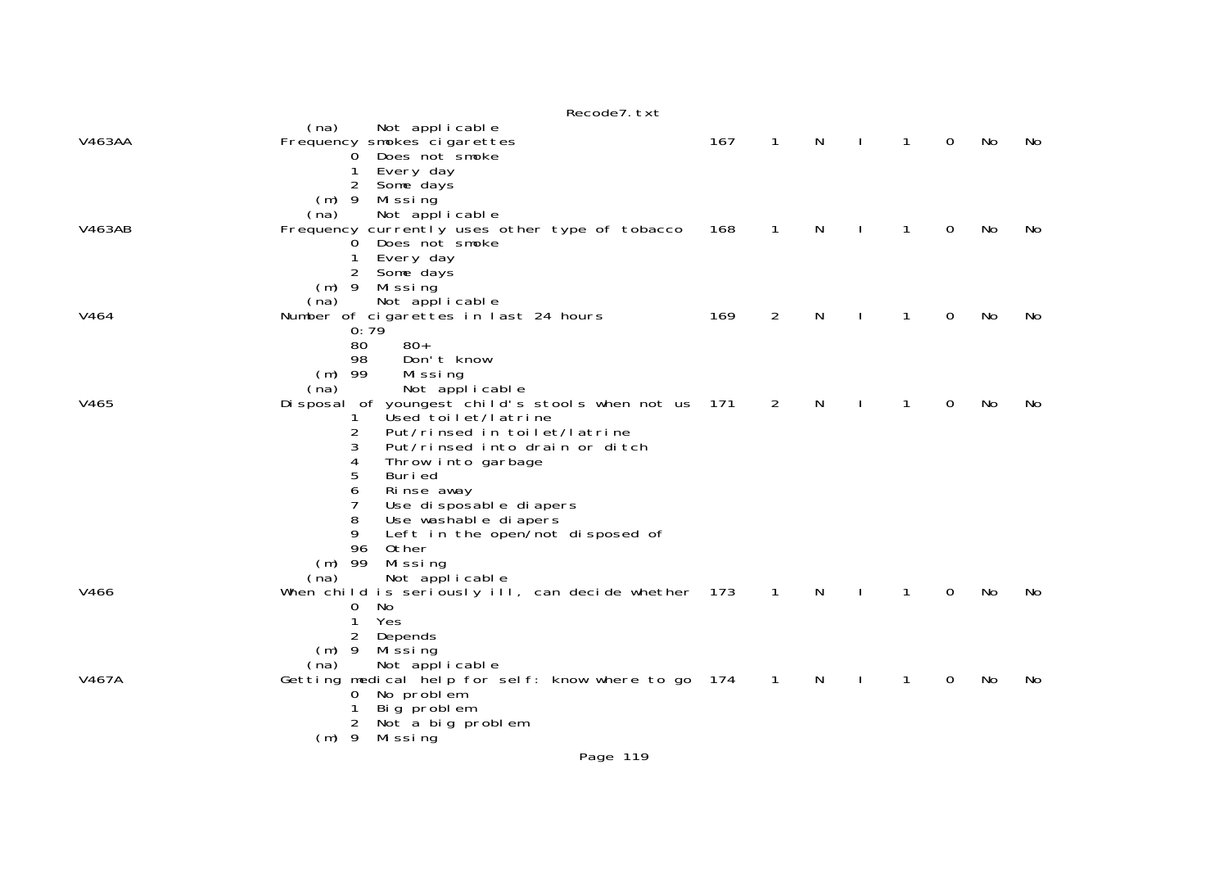|                  | Recode7. txt                                                                |     |              |    |              |              |   |           |    |
|------------------|-----------------------------------------------------------------------------|-----|--------------|----|--------------|--------------|---|-----------|----|
| V463AA           | (na)<br>Not applicable<br>Frequency smokes cigarettes                       | 167 | $\mathbf{1}$ | N  | $\mathbf{I}$ | $\mathbf{1}$ | 0 | No        | No |
|                  | Does not smoke<br>0                                                         |     |              |    |              |              |   |           |    |
|                  | Every day<br>Some days<br>2                                                 |     |              |    |              |              |   |           |    |
|                  | $(m)$ 9<br>Mi ssi ng                                                        |     |              |    |              |              |   |           |    |
|                  | Not applicable<br>(na)                                                      |     |              |    |              |              |   |           |    |
| V463AB           | Frequency currently uses other type of tobacco<br>Does not smoke<br>0       | 168 | 1            | N  |              | $\mathbf{1}$ | 0 | No        | No |
|                  | Every day                                                                   |     |              |    |              |              |   |           |    |
|                  | 2<br>Some days                                                              |     |              |    |              |              |   |           |    |
|                  | $(m)$ 9<br>Missing                                                          |     |              |    |              |              |   |           |    |
| V <sub>464</sub> | Not applicable<br>(na)<br>Number of cigarettes in last 24 hours             | 169 | 2            | N  |              | 1            | 0 | No        | No |
|                  | 0:79                                                                        |     |              |    |              |              |   |           |    |
|                  | $80+$<br>80<br>Don't know<br>98                                             |     |              |    |              |              |   |           |    |
|                  | $(m)$ 99<br>Missing                                                         |     |              |    |              |              |   |           |    |
|                  | (na)<br>Not applicable                                                      |     |              |    |              |              |   |           |    |
| V465             | Disposal of youngest child's stools when not us<br>Used toilet/latrine<br>1 | 171 | 2            | N  |              | $\mathbf{1}$ | 0 | <b>No</b> | No |
|                  | 2<br>Put/rinsed in toilet/latrine                                           |     |              |    |              |              |   |           |    |
|                  | 3<br>Put/rinsed into drain or ditch                                         |     |              |    |              |              |   |           |    |
|                  | Throw into garbage<br>4<br>5<br>Buri ed                                     |     |              |    |              |              |   |           |    |
|                  | 6<br>Rinse away                                                             |     |              |    |              |              |   |           |    |
|                  | 7<br>Use di sposable di apers                                               |     |              |    |              |              |   |           |    |
|                  | 8<br>Use washable diapers<br>9                                              |     |              |    |              |              |   |           |    |
|                  | Left in the open/not disposed of<br>96<br>Other                             |     |              |    |              |              |   |           |    |
|                  | $(m)$ 99<br>Mi ssi ng                                                       |     |              |    |              |              |   |           |    |
|                  | Not applicable<br>(na)                                                      |     |              |    |              | $\mathbf{1}$ | 0 | No        | No |
| V466             | When child is seriously ill, can decide whether 173<br>0<br>No              |     | $\mathbf{1}$ | N  |              |              |   |           |    |
|                  | 1<br>Yes                                                                    |     |              |    |              |              |   |           |    |
|                  | 2<br>Depends                                                                |     |              |    |              |              |   |           |    |
|                  | $(m)$ 9<br>Mi ssi ng<br>Not applicable<br>(na)                              |     |              |    |              |              |   |           |    |
| V467A            | Getting medical help for self: know where to go 174                         |     | $\mathbf{1}$ | N. |              | 1            | 0 | No        | No |
|                  | No problem<br>0                                                             |     |              |    |              |              |   |           |    |
|                  | Big problem<br>2<br>Not a big problem                                       |     |              |    |              |              |   |           |    |
|                  | $(m)$ 9<br>Mi ssi ng                                                        |     |              |    |              |              |   |           |    |
|                  |                                                                             |     |              |    |              |              |   |           |    |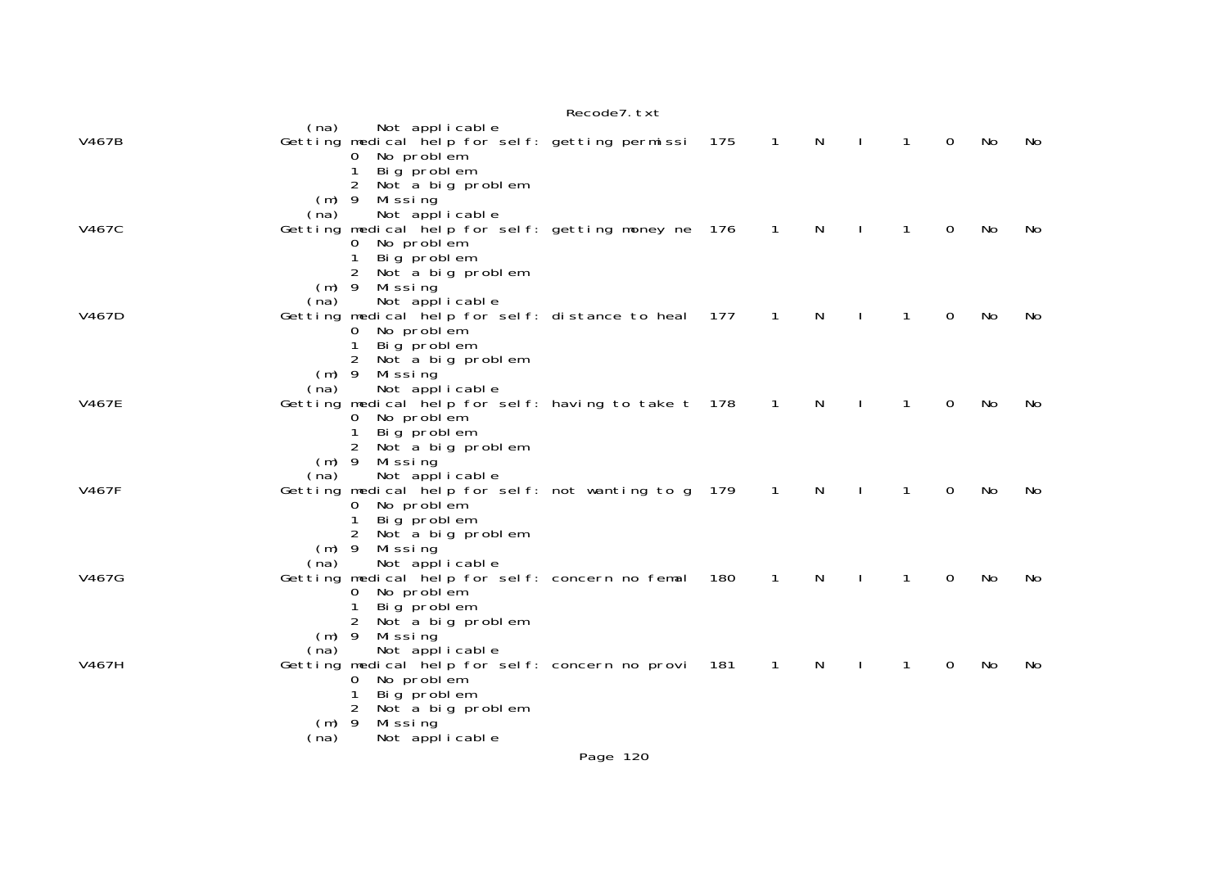|              |                                    |                                                                                                                                                                                       | Recode7. txt |     |                |    |              |              |             |           |           |
|--------------|------------------------------------|---------------------------------------------------------------------------------------------------------------------------------------------------------------------------------------|--------------|-----|----------------|----|--------------|--------------|-------------|-----------|-----------|
| V467B        | (na)                               | Not applicable<br>Getting medical help for self: getting permissi<br>No problem<br>0<br>Big problem                                                                                   |              | 175 | $\mathbf{1}$   | N. | $\mathbf{I}$ | $\mathbf{1}$ | $\mathbf 0$ | No        | No        |
| V467C        | $(m)$ 9<br>(na)                    | $\overline{2}$<br>Not a big problem<br>Mi ssi ng<br>Not applicable<br>Getting medical help for self: getting money ne 176<br>No problem<br>0<br>Big problem<br>2<br>Not a big problem |              |     | 1              | N  |              | 1            | $\Omega$    | No        | No.       |
| V467D        | $(m)$ 9<br>(na)                    | Mi ssi ng<br>Not applicable<br>Getting medical help for self: distance to heal $177$<br>No problem<br>Big problem<br>2                                                                |              |     | 1              | N  |              | 1            | 0           | No        | No        |
| <b>V467E</b> | $(m)$ 9<br>(na)                    | Not a big problem<br>Missing<br>Not applicable<br>Getting medical help for self: having to take t 178<br>No problem<br>Big problem                                                    |              |     | $\mathbf{1}$   | N  |              | 1            | 0           | No        | No        |
| V467F        | $(m)$ 9<br>(na)                    | 2<br>Not a big problem<br>Missing<br>Not applicable<br>Getting medical help for self: not wanting to g 179<br>No problem<br>0<br>Big problem<br>$\overline{2}$<br>Not a big problem   |              |     | $\overline{1}$ | N  |              | 1            | 0           | <b>No</b> | No        |
| V467G        | $(m)$ 9<br>(na)                    | Missing<br>Not applicable<br>Getting medical help for self: concern no femal<br>No problem<br>0<br>Big problem<br>2<br>Not a big problem                                              |              | 180 | $\mathbf{1}$   | N  |              | 1            | 0           | <b>No</b> | <b>No</b> |
| V467H        | $(m)$ 9<br>(na)<br>$(m)$ 9<br>(na) | Missing<br>Not applicable<br>Getting medical help for self: concern no provi<br>No problem<br>0<br>Big problem<br>$\overline{2}$<br>Not a big problem<br>Missing<br>Not applicable    |              | 181 | 1              | N  |              | 1            | 0           | No        | No        |
|              |                                    |                                                                                                                                                                                       |              |     |                |    |              |              |             |           |           |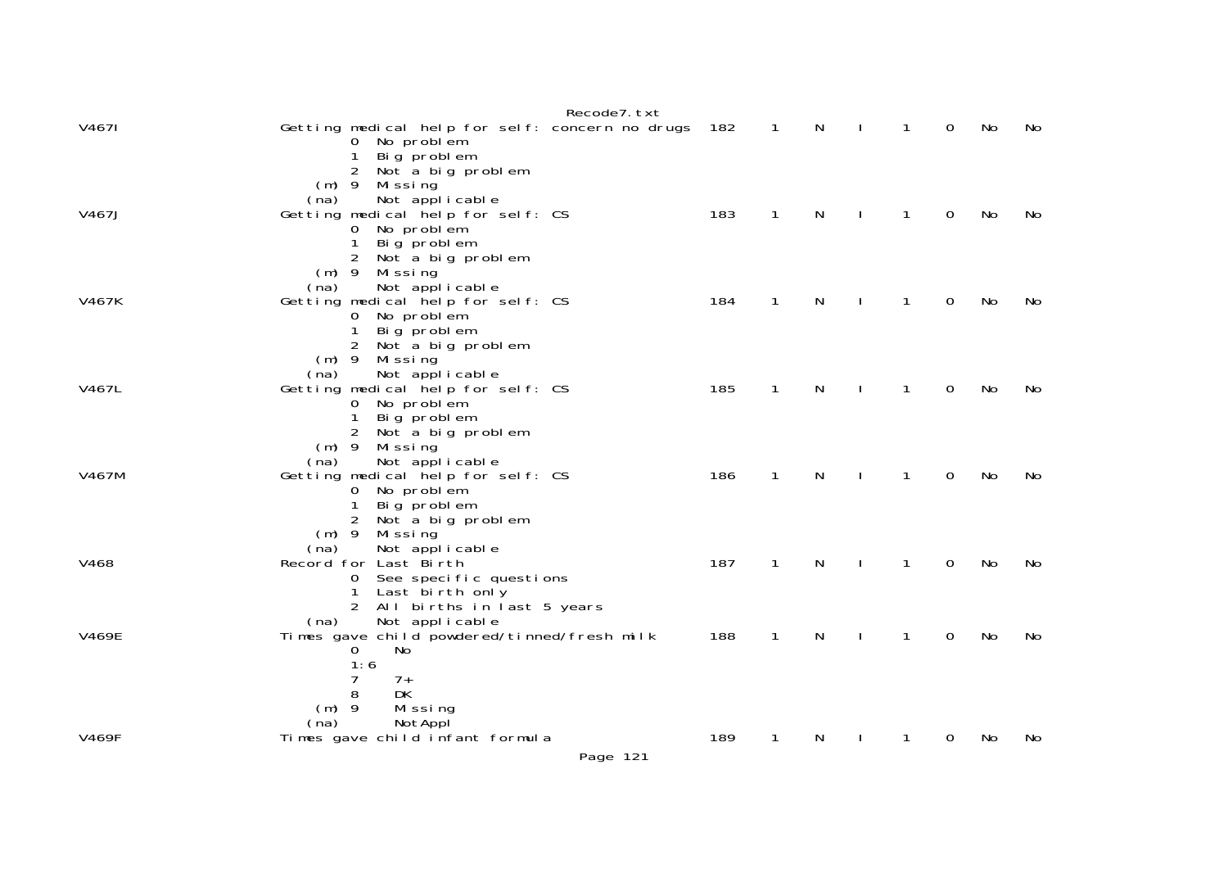|              | Recode7.txt                                                          |     |                            |   |              |              |                |    |     |
|--------------|----------------------------------------------------------------------|-----|----------------------------|---|--------------|--------------|----------------|----|-----|
| V4671        | Getting medical help for self: concern no drugs 182<br>0 No problem  |     | $\overline{\phantom{0}}$ 1 | N | $\mathbf{I}$ | $\mathbf{1}$ | 0              | No | No  |
|              | Big problem<br>$\mathbf{1}$<br>$\overline{2}$<br>Not a big problem   |     |                            |   |              |              |                |    |     |
|              | $(m)$ 9 Missing<br>Not applicable<br>(na)                            |     |                            |   |              |              |                |    |     |
| V467J        | Getting medical help for self: CS<br>0 No problem                    | 183 | $\mathbf{1}$               | N | $\mathbf{I}$ | $\mathbf{1}$ | $\mathbf 0$    | No | No  |
|              | Big problem<br>$\mathbf{1}$<br>2 Not a big problem                   |     |                            |   |              |              |                |    |     |
|              | $(m)$ 9 Missing<br>Not applicable<br>(na)                            |     |                            |   |              |              |                |    |     |
| V467K        | Getting medical help for self: CS<br>0 No problem                    | 184 | $\mathbf{1}$               | N | $\mathbf{I}$ | $\mathbf{1}$ | $\mathbf 0$    | No | No  |
|              | Big problem<br>$\mathbf{1}$                                          |     |                            |   |              |              |                |    |     |
|              | 2 Not a big problem<br>(m) 9 Missing                                 |     |                            |   |              |              |                |    |     |
| V467L        | Not applicable<br>(na)<br>Getting medical help for self: CS          | 185 | $\mathbf{1}$               | N | $\mathbf{L}$ | $\mathbf{1}$ | $\mathbf 0$    | No | No. |
|              | 0 No problem<br>Big problem<br>$\mathbf{1}$                          |     |                            |   |              |              |                |    |     |
|              | 2 Not a big problem<br>$(m)$ 9 Missing                               |     |                            |   |              |              |                |    |     |
| V467M        | (na) Not applicable<br>Getting medical help for self: CS             | 186 | $\mathbf{1}$               | N | $\mathbf{I}$ | $\mathbf{1}$ | $\mathbf 0$    | No | No  |
|              | 0 No problem<br>Big problem<br>$\mathbf{1}$                          |     |                            |   |              |              |                |    |     |
|              | 2 Not a big problem<br>$(m)$ 9 Missing                               |     |                            |   |              |              |                |    |     |
| V468         | Not applicable<br>(na)<br>Record for Last Birth                      | 187 | $\mathbf{1}$               | N | $\mathbf{I}$ | $\mathbf{1}$ | $\mathbf 0$    | No | No  |
|              | 0 See specific questions<br>1 Last birth only                        |     |                            |   |              |              |                |    |     |
|              | 2 All births in last 5 years<br>Not applicable<br>(na)               |     |                            |   |              |              |                |    |     |
| <b>V469E</b> | Times gave child powdered/tinned/fresh milk<br>$\overline{0}$<br>No. | 188 | $\mathbf{1}$               | N | $\mathbf{I}$ | $\mathbf{1}$ | $\mathbf 0$    | No | No  |
|              | 1:6<br>$7\overline{ }$<br>$7+$                                       |     |                            |   |              |              |                |    |     |
|              | 8<br><b>DK</b>                                                       |     |                            |   |              |              |                |    |     |
|              | $(m)$ 9<br>Missing<br>NotAppl<br>(na)                                |     |                            |   |              |              |                |    |     |
| <b>V469F</b> | Times gave child infant formula                                      | 189 | 1                          | N |              | 1            | $\overline{0}$ | No | No  |
|              | Page 121                                                             |     |                            |   |              |              |                |    |     |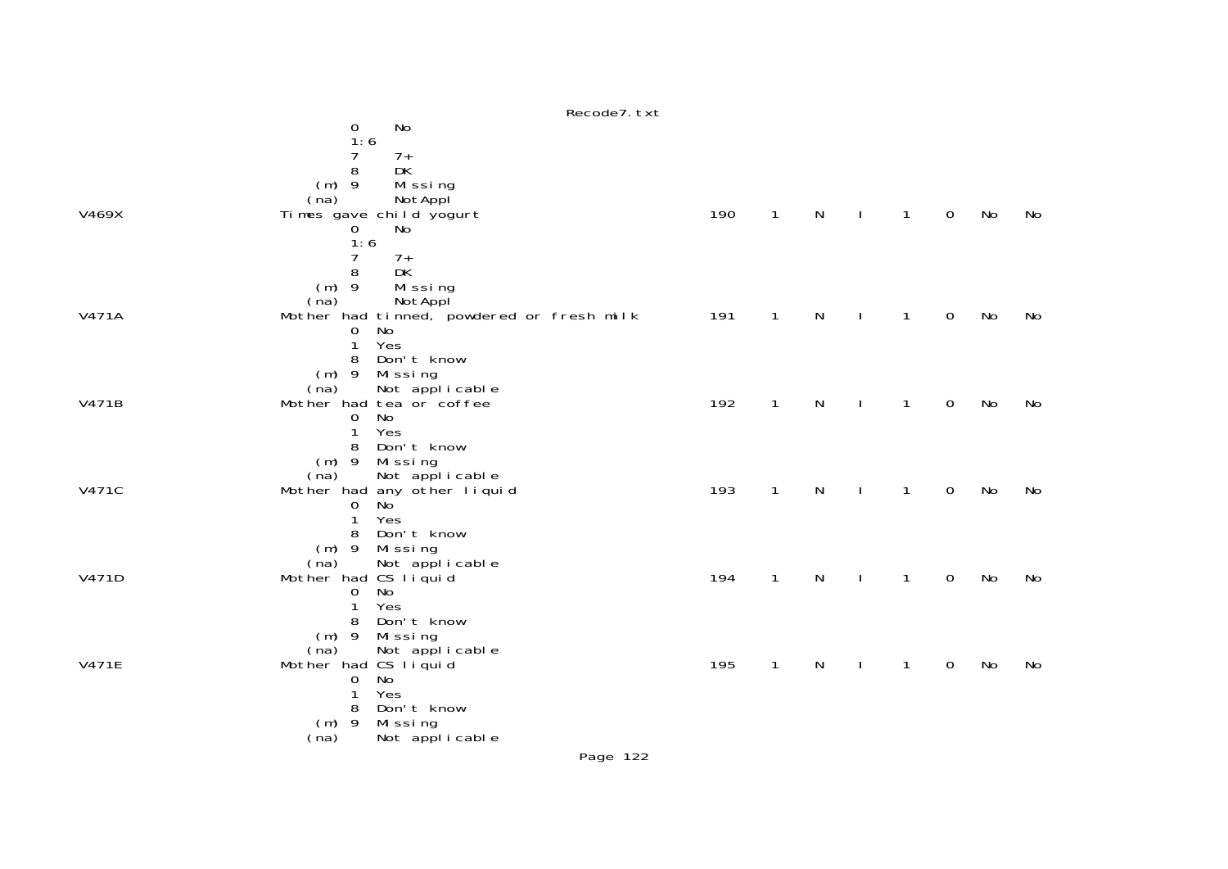|              | Recode7. txt                                                 |     |              |              |              |              |              |    |    |
|--------------|--------------------------------------------------------------|-----|--------------|--------------|--------------|--------------|--------------|----|----|
|              | No<br>0                                                      |     |              |              |              |              |              |    |    |
|              | 1:6                                                          |     |              |              |              |              |              |    |    |
|              | 7<br>$7+$                                                    |     |              |              |              |              |              |    |    |
|              | 8<br>DK                                                      |     |              |              |              |              |              |    |    |
|              | $(m)$ 9<br>Missing                                           |     |              |              |              |              |              |    |    |
|              | NotAppl<br>(na)                                              |     |              |              |              |              |              |    |    |
| V469X        | Times gave child yogurt                                      | 190 | $\mathbf{1}$ | $\mathsf{N}$ | $\mathbf{I}$ | $\mathbf{1}$ | $\mathbf 0$  | No | No |
|              | 0<br>No                                                      |     |              |              |              |              |              |    |    |
|              | 1:6                                                          |     |              |              |              |              |              |    |    |
|              | $\overline{7}$<br>$7+$                                       |     |              |              |              |              |              |    |    |
|              | 8<br>DK                                                      |     |              |              |              |              |              |    |    |
|              | $(m)$ 9<br>Missing                                           |     |              |              |              |              |              |    |    |
| <b>V471A</b> | (na)<br>NotAppl<br>Mother had tinned, powdered or fresh milk | 191 | $\mathbf{1}$ | ${\sf N}$    | $\mathbf{I}$ | $\mathbf{1}$ | $\mathsf{O}$ | No | No |
|              | No<br>$\mathbf{0}$                                           |     |              |              |              |              |              |    |    |
|              | Yes<br>$\mathbf{1}$                                          |     |              |              |              |              |              |    |    |
|              | Don't know<br>8                                              |     |              |              |              |              |              |    |    |
|              | (m) 9 Missing                                                |     |              |              |              |              |              |    |    |
|              | Not applicable<br>(na)                                       |     |              |              |              |              |              |    |    |
| V471B        | Mother had tea or coffee                                     | 192 | $\mathbf{1}$ | $\mathsf{N}$ | $\mathbf{I}$ | 1            | $\mathbf 0$  | No | No |
|              | <b>No</b><br>$\mathbf 0$                                     |     |              |              |              |              |              |    |    |
|              | Yes<br>1                                                     |     |              |              |              |              |              |    |    |
|              | Don't know<br>8                                              |     |              |              |              |              |              |    |    |
|              | (m) 9 Missing                                                |     |              |              |              |              |              |    |    |
|              | Not applicable<br>(na)                                       |     |              |              |              |              |              |    |    |
| V471C        | Mother had any other liquid                                  | 193 | $\mathbf{1}$ | $\mathsf{N}$ | $\mathbf{I}$ | $\mathbf{1}$ | $\mathbf 0$  | No | No |
|              | No<br>$\mathbf 0$<br>Yes<br>1                                |     |              |              |              |              |              |    |    |
|              | Don't know<br>8                                              |     |              |              |              |              |              |    |    |
|              | (m) 9 Missing                                                |     |              |              |              |              |              |    |    |
|              | Not applicable<br>(na)                                       |     |              |              |              |              |              |    |    |
| V471D        | Mother had CS liquid                                         | 194 | $\mathbf{1}$ | $\mathsf{N}$ | $\mathbf{I}$ | 1            | $\mathbf 0$  | No | No |
|              | <b>No</b><br>$\mathbf 0$                                     |     |              |              |              |              |              |    |    |
|              | Yes<br>1                                                     |     |              |              |              |              |              |    |    |
|              | Don't know<br>8                                              |     |              |              |              |              |              |    |    |
|              | $(m)$ 9<br>Missing                                           |     |              |              |              |              |              |    |    |
|              | Not applicable<br>(na)                                       |     |              |              |              |              |              |    |    |
| <b>V471E</b> | Mother had CS liquid                                         | 195 | $\mathbf{1}$ | N            | $\mathbf{I}$ | 1            | $\mathbf 0$  | No | No |
|              | No<br>$\mathbf 0$                                            |     |              |              |              |              |              |    |    |
|              | Yes<br>$\mathbf{1}$                                          |     |              |              |              |              |              |    |    |
|              | Don't know<br>8<br>$(m)$ 9                                   |     |              |              |              |              |              |    |    |
|              | Missing<br>Not applicable<br>(na)                            |     |              |              |              |              |              |    |    |
|              |                                                              |     |              |              |              |              |              |    |    |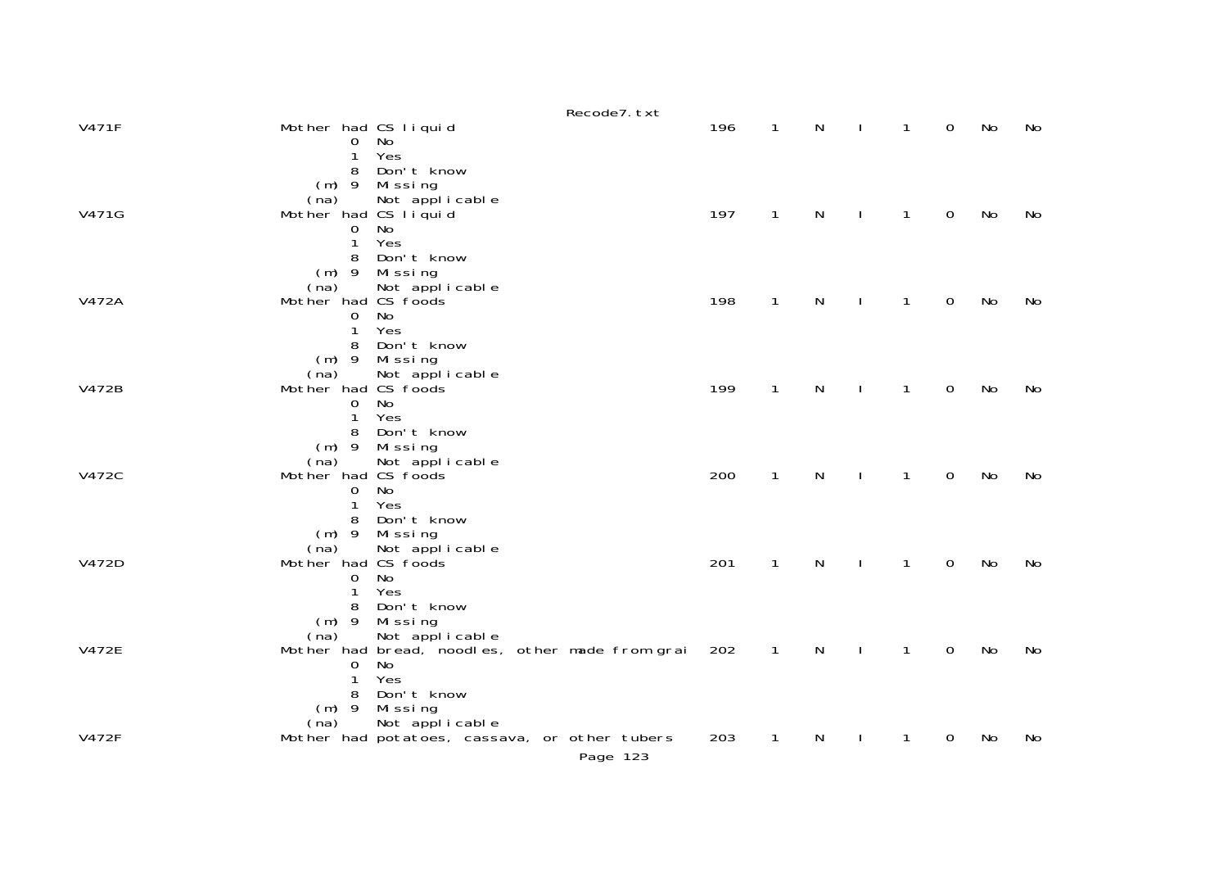|              |                                                                 |                                                                    | Recode7. txt                                              |     |              |              |              |              |             |    |    |
|--------------|-----------------------------------------------------------------|--------------------------------------------------------------------|-----------------------------------------------------------|-----|--------------|--------------|--------------|--------------|-------------|----|----|
| <b>V471F</b> | Mother had CS liquid<br>$\overline{0}$<br>1                     | No<br>Yes                                                          |                                                           | 196 | $\mathbf{1}$ | $\mathsf{N}$ |              | $\mathbf{1}$ | $\Omega$    | No | No |
| V471G        | 8<br>$(m)$ 9<br>(na)<br>Mother had CS liquid<br>0<br>1          | Don't know<br>Missing<br>Not applicable<br>No<br>Yes               |                                                           | 197 | $\mathbf{1}$ | ${\sf N}$    |              | $\mathbf{1}$ | $\mathbf 0$ | No | No |
| V472A        | 8<br>$(m)$ 9<br>(na)<br>Mother had CS foods<br>0<br>1           | Don't know<br>Missing<br>Not applicable<br>No<br>Yes               |                                                           | 198 | $\mathbf{1}$ | N            |              | $\mathbf{1}$ | $\mathbf 0$ | No | No |
| V472B        | 8<br>$(m)$ 9<br>(na)<br>Mother had CS foods<br>0<br>1<br>8      | Don't know<br>Missing<br>Not applicable<br>No<br>Yes<br>Don't know |                                                           | 199 | $\mathbf{1}$ | N            | $\mathbf{I}$ | $\mathbf{1}$ | $\mathbf 0$ | No | No |
| <b>V472C</b> | $(m)$ 9<br>(na)<br>Mother had CS foods<br>$\mathbf 0$<br>1<br>8 | Mi ssi ng<br>Not applicable<br>No<br>Yes<br>Don't know             |                                                           | 200 | $\mathbf{1}$ | ${\sf N}$    | $\mathbf{I}$ | $\mathbf{1}$ | $\mathbf 0$ | No | No |
| V472D        | (na)<br>Mother had CS foods<br>0<br>1<br>8                      | $(m)$ 9 Missing<br>Not applicable<br>No<br>Yes<br>Don't know       |                                                           | 201 | $\mathbf{1}$ | ${\sf N}$    | $\mathbf{I}$ | $\mathbf{1}$ | $\mathbf 0$ | No | No |
| <b>V472E</b> | $(m)$ 9<br>(na)<br>0<br>1<br>8                                  | Missing<br>Not applicable<br>No<br>Yes<br>Don't know               | Mother had bread, noodles, other made from grai           | 202 | $\mathbf{1}$ | N            | $\mathbf{I}$ | $\mathbf{1}$ | $\mathbf 0$ | No | No |
| <b>V472F</b> | $(m)$ 9<br>(na)                                                 | Missing<br>Not applicable                                          | Mother had potatoes, cassava, or other tubers<br>Page 123 | 203 | 1            | N            |              | 1            | 0           | No | No |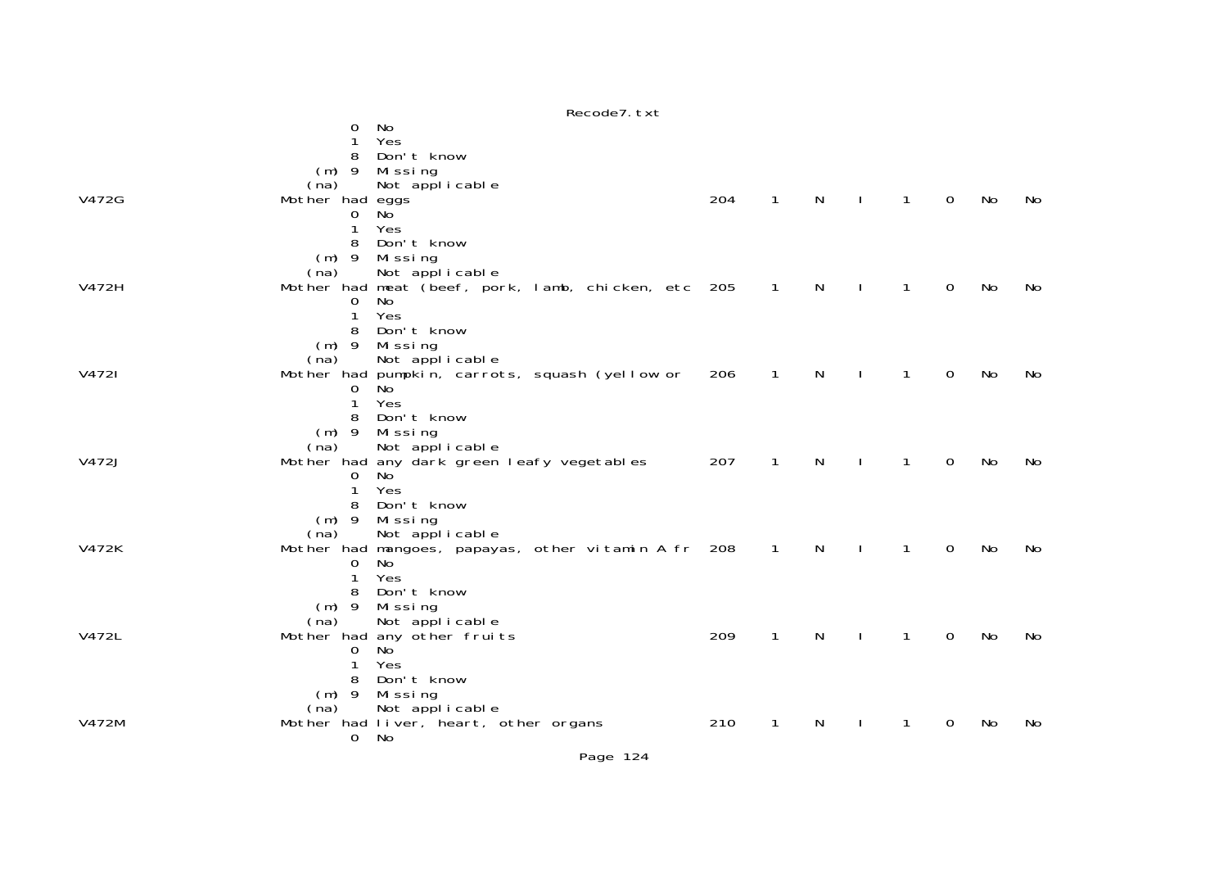|       |                   | Recode7. txt                                        |     |              |   |              |             |    |    |
|-------|-------------------|-----------------------------------------------------|-----|--------------|---|--------------|-------------|----|----|
|       | 0                 | No                                                  |     |              |   |              |             |    |    |
|       | 1                 | Yes                                                 |     |              |   |              |             |    |    |
|       | 8                 | Don't know                                          |     |              |   |              |             |    |    |
|       | $(m)$ 9           | Missing                                             |     |              |   |              |             |    |    |
|       | (na)              | Not applicable                                      |     |              |   |              |             |    |    |
| V472G | Mother had eggs   |                                                     | 204 | $\mathbf{1}$ | N | $\mathbf{1}$ | $\mathbf 0$ | No | No |
|       | $\mathbf 0$       | <b>No</b>                                           |     |              |   |              |             |    |    |
|       | 1                 | Yes                                                 |     |              |   |              |             |    |    |
|       | 8                 | Don't know                                          |     |              |   |              |             |    |    |
|       | $(m)$ 9           | Missing                                             |     |              |   |              |             |    |    |
|       | (na)              | Not applicable                                      |     |              |   |              |             |    |    |
| V472H |                   | Mother had meat (beef, pork, lamb, chicken, etc 205 |     | $\mathbf{1}$ | N | 1            | $\Omega$    | No | No |
|       | 0                 | No                                                  |     |              |   |              |             |    |    |
|       | $\mathbf{1}$      | Yes                                                 |     |              |   |              |             |    |    |
|       | 8                 | Don't know                                          |     |              |   |              |             |    |    |
|       | $(m)$ 9           | Missing                                             |     |              |   |              |             |    |    |
|       | (na)              | Not applicable                                      |     |              |   |              |             |    |    |
| V4721 |                   | Mother had pumpkin, carrots, squash (yellow or      | 206 | $\mathbf{1}$ | N | 1            | $\mathbf 0$ | No | No |
|       | 0                 | N <sub>o</sub><br>Yes                               |     |              |   |              |             |    |    |
|       | $\mathbf{1}$<br>8 | Don't know                                          |     |              |   |              |             |    |    |
|       |                   |                                                     |     |              |   |              |             |    |    |
|       | $(m)$ 9<br>(na)   | Missing<br>Not applicable                           |     |              |   |              |             |    |    |
| V472J |                   | Mother had any dark green leafy vegetables          | 207 | $\mathbf 1$  | N | 1            | $\mathbf 0$ | No | No |
|       | 0                 | No                                                  |     |              |   |              |             |    |    |
|       | $\mathbf{1}$      | Yes                                                 |     |              |   |              |             |    |    |
|       | 8                 | Don't know                                          |     |              |   |              |             |    |    |
|       | $(m)$ 9           | Missing                                             |     |              |   |              |             |    |    |
|       | (na)              | Not applicable                                      |     |              |   |              |             |    |    |
| V472K |                   | Mother had mangoes, papayas, other vitamin A fr 208 |     | $\mathbf{1}$ | N | 1            | $\mathbf 0$ | No | No |
|       | 0                 | No                                                  |     |              |   |              |             |    |    |
|       | $\mathbf{1}$      | Yes                                                 |     |              |   |              |             |    |    |
|       | 8                 | Don't know                                          |     |              |   |              |             |    |    |
|       | $(m)$ 9           | Missing                                             |     |              |   |              |             |    |    |
|       | (na)              | Not applicable                                      |     |              |   |              |             |    |    |
| V472L |                   | Mother had any other fruits                         | 209 | $\mathbf{1}$ | N | 1            | 0           | No | No |
|       | 0                 | No                                                  |     |              |   |              |             |    |    |
|       | 1                 | Yes                                                 |     |              |   |              |             |    |    |
|       | 8                 | Don't know                                          |     |              |   |              |             |    |    |
|       | $(m)$ 9           | Missing                                             |     |              |   |              |             |    |    |
|       | (na)              | Not applicable                                      |     |              |   |              |             |    |    |
| V472M |                   | Mother had liver, heart, other organs               | 210 | 1            | N | 1            | 0           | No | No |
|       | $\mathbf{0}$      | No                                                  |     |              |   |              |             |    |    |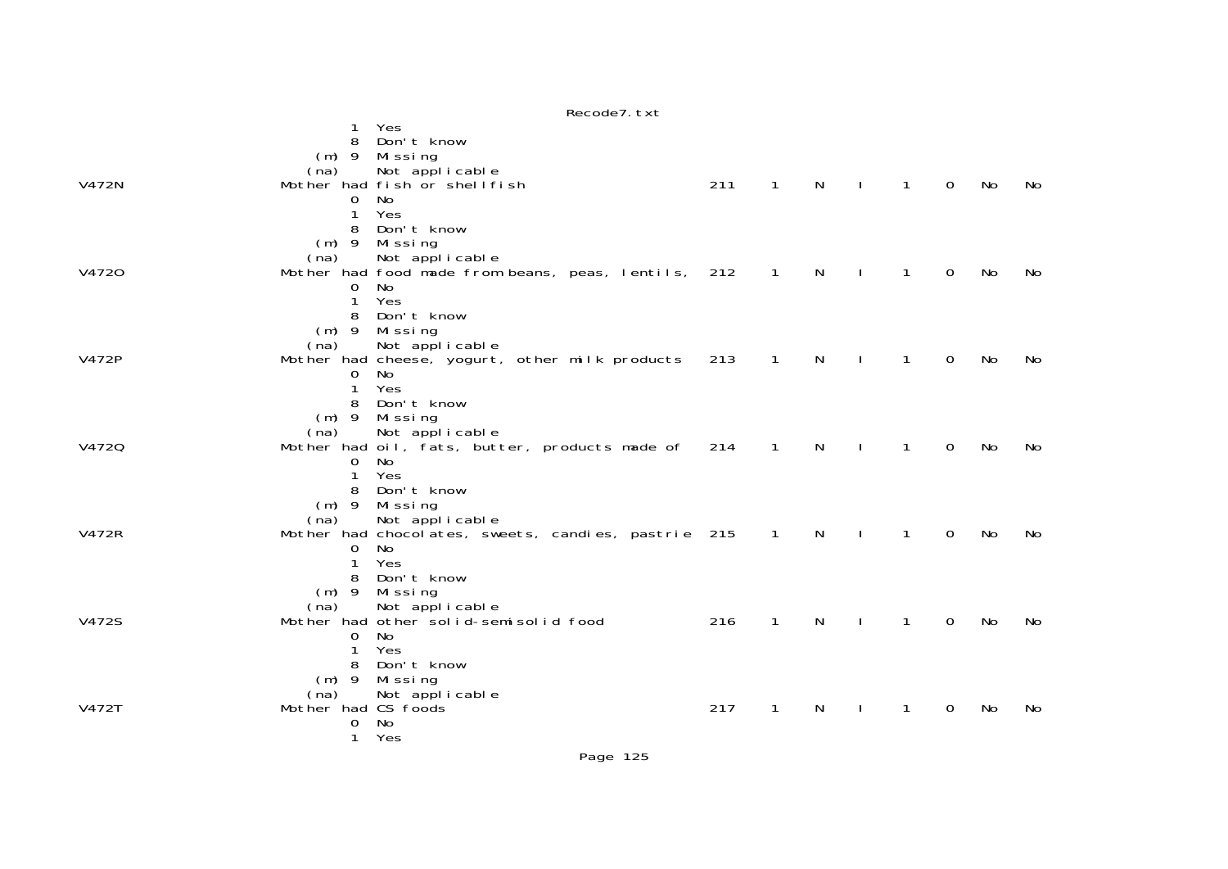|              |                     | Yes                                                 |     |                |              |                |                |                |     |     |
|--------------|---------------------|-----------------------------------------------------|-----|----------------|--------------|----------------|----------------|----------------|-----|-----|
|              | 8                   | Don't know                                          |     |                |              |                |                |                |     |     |
|              | $(m)$ 9             | Mi ssi ng                                           |     |                |              |                |                |                |     |     |
| V472N        | (na)                | Not applicable<br>Mother had fish or shell fish     | 211 | $\mathbf{1}$   | $\mathsf{N}$ | $\Box$         | $\overline{1}$ | $\overline{0}$ | No  | No  |
|              | 0                   | <b>No</b>                                           |     |                |              |                |                |                |     |     |
|              | 1                   | Yes                                                 |     |                |              |                |                |                |     |     |
|              | 8                   | Don't know                                          |     |                |              |                |                |                |     |     |
|              | $(m)$ 9             | Missing                                             |     |                |              |                |                |                |     |     |
|              | (na)                | Not applicable                                      |     |                |              |                |                |                |     |     |
| V4720        |                     | Mother had food made from beans, peas, lentils, 212 |     | $\overline{1}$ | N            | $\mathbf{I}$   | $\overline{1}$ | 0              | No  | No  |
|              | 0                   | No                                                  |     |                |              |                |                |                |     |     |
|              | 1                   | Yes                                                 |     |                |              |                |                |                |     |     |
|              | 8                   | Don't know                                          |     |                |              |                |                |                |     |     |
|              | $(m)$ 9             | Missing                                             |     |                |              |                |                |                |     |     |
|              | (na)                | Not applicable                                      |     |                |              |                |                |                |     |     |
| V472P        |                     | Mother had cheese, yogurt, other milk products      | 213 | $\mathbf{1}$   | N            |                | 1              | $\Omega$       | No  | No. |
|              | 0                   | No                                                  |     |                |              |                |                |                |     |     |
|              | 1<br>8              | Yes<br>Don't know                                   |     |                |              |                |                |                |     |     |
|              |                     | $(m)$ 9 Missing                                     |     |                |              |                |                |                |     |     |
|              | (na)                | Not applicable                                      |     |                |              |                |                |                |     |     |
| V4720        |                     | Mother had oil, fats, butter, products made of      | 214 | $\mathbf{1}$   | N            |                | 1              | $\Omega$       | No  | No  |
|              | 0                   | No                                                  |     |                |              |                |                |                |     |     |
|              | 1                   | Yes                                                 |     |                |              |                |                |                |     |     |
|              | 8                   | Don't know                                          |     |                |              |                |                |                |     |     |
|              | $(m)$ 9             | Missing                                             |     |                |              |                |                |                |     |     |
|              | (na)                | Not applicable                                      |     |                |              |                |                |                |     |     |
| <b>V472R</b> |                     | Mother had chocolates, sweets, candies, pastrie 215 |     | $\overline{1}$ | $\mathsf{N}$ | $\mathbf{I}$   | $\mathbf{1}$   | $\mathbf 0$    | No  | No  |
|              | 0                   | No                                                  |     |                |              |                |                |                |     |     |
|              | 1                   | Yes<br>Don't know                                   |     |                |              |                |                |                |     |     |
|              | 8                   | $(m)$ 9 Missing                                     |     |                |              |                |                |                |     |     |
|              | (na)                | Not applicable                                      |     |                |              |                |                |                |     |     |
| V472S        |                     | Mother had other solid-semisolid food               | 216 | $\mathbf{1}$   | $\mathsf{N}$ | $\blacksquare$ | $\overline{1}$ | $\mathbf 0$    | No. | No  |
|              | 0                   | No                                                  |     |                |              |                |                |                |     |     |
|              | 1                   | Yes                                                 |     |                |              |                |                |                |     |     |
|              | 8                   | Don't know                                          |     |                |              |                |                |                |     |     |
|              | $(m)$ 9             | Missing                                             |     |                |              |                |                |                |     |     |
|              | (na)                | Not applicable                                      |     |                |              |                |                |                |     |     |
| V472T        | Mother had CS foods |                                                     | 217 | $\mathbf{1}$   | N            | $\mathbf{I}$   | $\mathbf{1}$   | $\mathbf 0$    | No  | No  |
|              | 0                   | No                                                  |     |                |              |                |                |                |     |     |
|              | 1                   | Yes                                                 |     |                |              |                |                |                |     |     |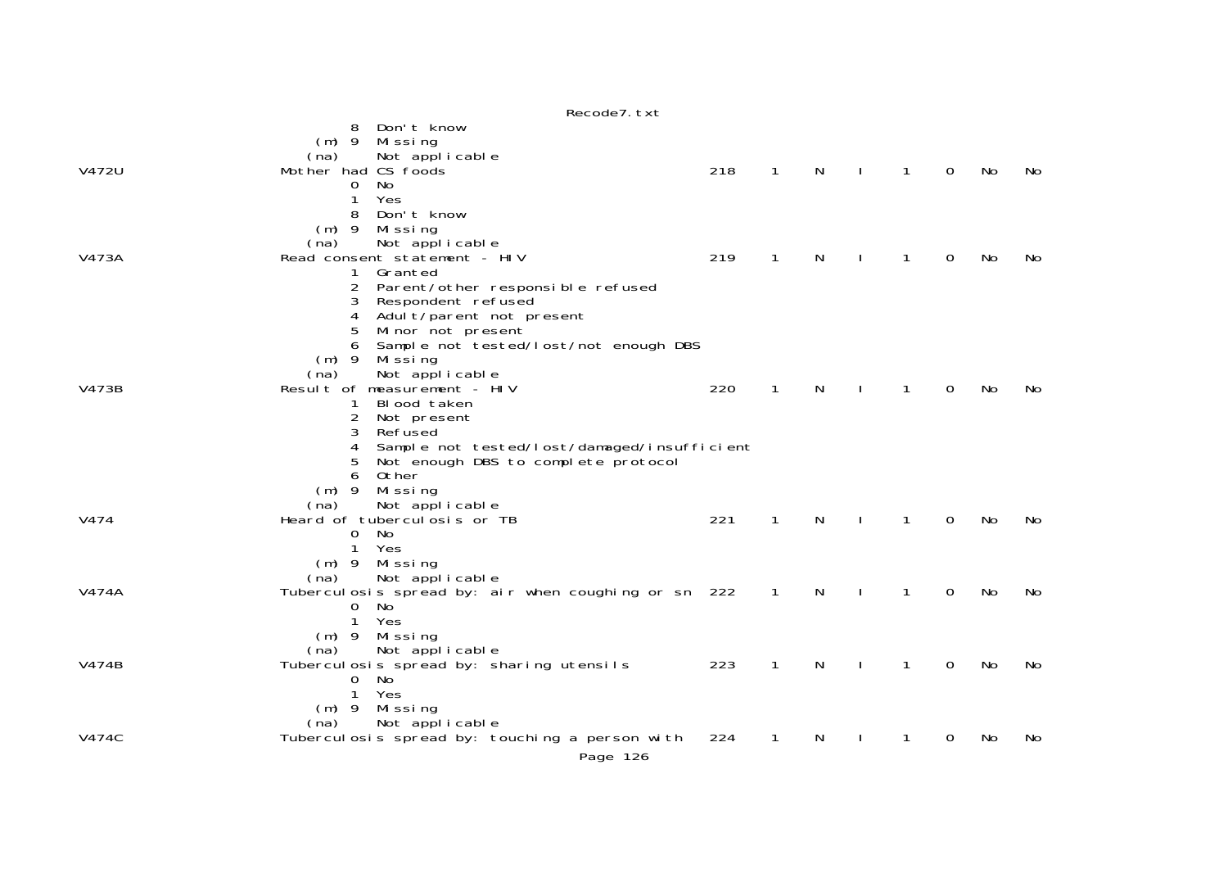|       | Recode7. txt                                                                                                                                                                                                                                                                                                          |     |              |   |              |              |             |    |     |
|-------|-----------------------------------------------------------------------------------------------------------------------------------------------------------------------------------------------------------------------------------------------------------------------------------------------------------------------|-----|--------------|---|--------------|--------------|-------------|----|-----|
|       | Don't know<br>8<br>Missing<br>$(m)$ 9<br>Not applicable<br>(na)                                                                                                                                                                                                                                                       |     |              |   |              |              |             |    |     |
| V472U | Mother had CS foods<br>No<br>0<br>Yes<br>1<br>8<br>Don't know                                                                                                                                                                                                                                                         | 218 | $\mathbf{1}$ | N | $\mathbf{L}$ | $\mathbf{1}$ | $\mathbf 0$ | No | No. |
| V473A | $(m)$ 9<br>Missing<br>Not applicable<br>(na)<br>Read consent statement - HIV<br>Granted<br>$\mathbf{1}$<br>Parent/other responsible refused<br>Respondent refused<br>3<br>Adult/parent not present<br>4                                                                                                               | 219 | 1            | N |              | 1            | 0           | No | No. |
| V473B | 5<br>Minor not present<br>Sample not tested/lost/not enough DBS<br>6<br>$(m)$ 9<br>Mi ssi ng<br>Not applicable<br>(na)<br>Result of measurement - HIV<br>Blood taken<br>$\overline{2}$<br>Not present<br>3<br>Refused<br>Sample not tested/lost/damaged/insufficient<br>4<br>Not enough DBS to complete protocol<br>5 | 220 | $\mathbf{1}$ | N | $\mathbf{I}$ | $\mathbf{1}$ | $\Omega$    | No | No  |
| V474  | Other<br>6<br>$(m)$ 9<br>Missing<br>Not applicable<br>(na)<br>Heard of tubercul osis or TB<br>$\mathbf{O}$<br><b>No</b><br>1<br>Yes                                                                                                                                                                                   | 221 | $\mathbf{1}$ | N |              | $\mathbf{1}$ | 0           | No | No  |
| V474A | $(m)$ 9 Missing<br>Not applicable<br>(na)<br>Tuberculosis spread by: air when coughing or sn 222<br>$\mathbf{O}$<br>No<br>Yes<br>$\mathbf{1}$                                                                                                                                                                         |     | $\mathbf{1}$ | N |              | $\mathbf{1}$ | 0           | No | No  |
| V474B | $(m)$ 9<br>Missing<br>Not applicable<br>(na)<br>Tuberculosis spread by: sharing utensils<br>$\overline{0}$<br>No<br>$\mathbf{1}$<br>Yes                                                                                                                                                                               | 223 | 1            | N |              | 1            | 0           | No | No  |
| V474C | $(m)$ 9 Missing<br>Not applicable<br>(na)<br>Tuberculosis spread by: touching a person with<br>Page 126                                                                                                                                                                                                               | 224 | 1            | N |              | 1            | 0           | No | No  |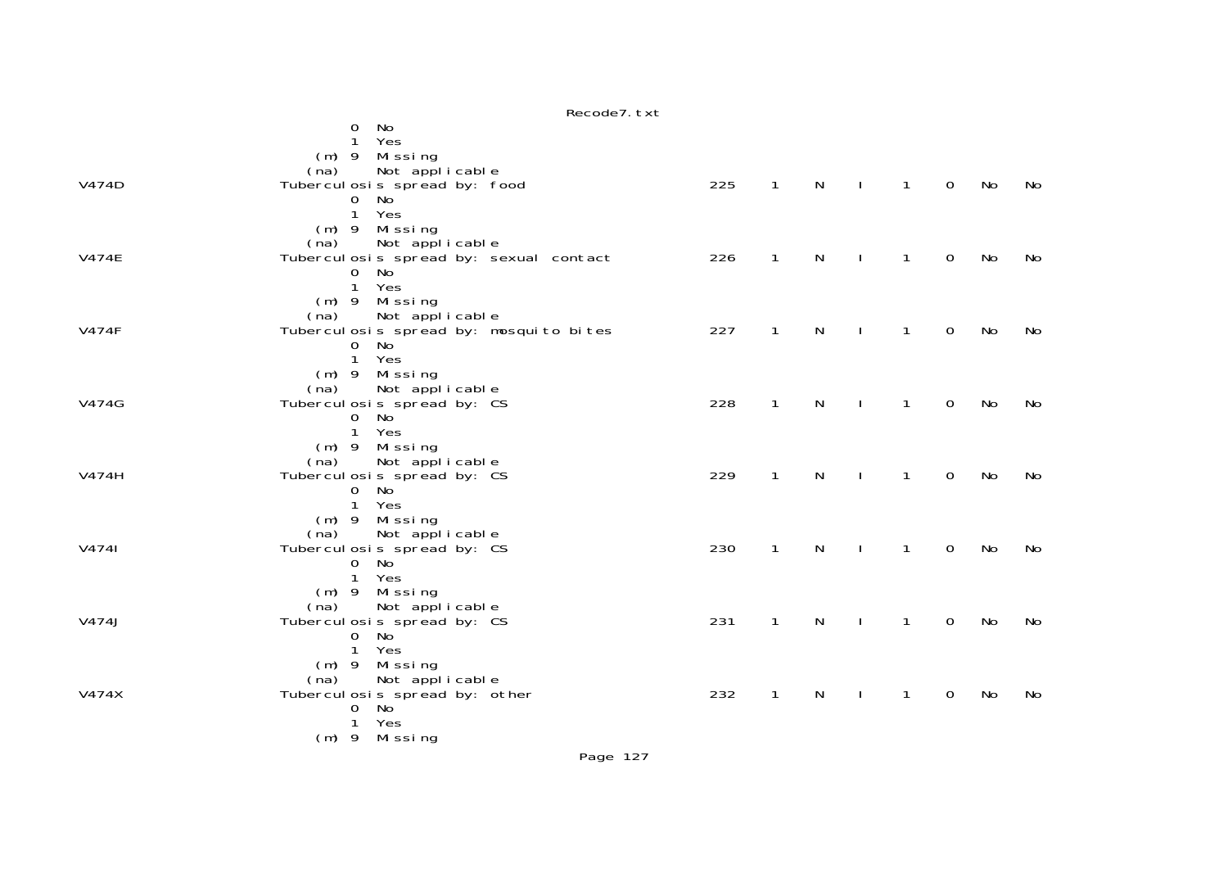|              | Recode7. txt                                                      |     |                |              |              |                |                |    |     |
|--------------|-------------------------------------------------------------------|-----|----------------|--------------|--------------|----------------|----------------|----|-----|
|              | No<br>0                                                           |     |                |              |              |                |                |    |     |
|              | Yes<br>$\mathbf{1}$                                               |     |                |              |              |                |                |    |     |
|              | (m) 9 Missing                                                     |     |                |              |              |                |                |    |     |
|              | Not applicable<br>(na)                                            |     |                |              |              |                |                |    |     |
| V474D        | Tubercul osis spread by: food                                     | 225 | $\mathbf{1}$   | N            | $\mathbf{L}$ | $\mathbf{1}$   | 0              | No | No. |
|              | No<br>0                                                           |     |                |              |              |                |                |    |     |
|              | Yes<br>$\mathbf{1}$                                               |     |                |              |              |                |                |    |     |
|              | (m) 9 Missing                                                     |     |                |              |              |                |                |    |     |
| <b>V474E</b> | Not applicable<br>(na)<br>Tubercul osis spread by: sexual contact | 226 | $\overline{1}$ | $\mathsf{N}$ | $\Box$       | $\overline{1}$ | $\mathbf 0$    | No | No  |
|              | No<br>$\overline{0}$                                              |     |                |              |              |                |                |    |     |
|              | $\mathbf{1}$<br>Yes                                               |     |                |              |              |                |                |    |     |
|              | $(m)$ 9 Missing                                                   |     |                |              |              |                |                |    |     |
|              | Not applicable<br>(na)                                            |     |                |              |              |                |                |    |     |
| <b>V474F</b> | Tubercul osis spread by: mosquito bites                           | 227 | $\mathbf{1}$   | $\mathsf{N}$ | $\mathbf{L}$ | $\mathbf{1}$   | $\mathbf 0$    | No | No  |
|              | No<br>$\mathbf{O}$                                                |     |                |              |              |                |                |    |     |
|              | Yes<br>$\mathbf{1}$                                               |     |                |              |              |                |                |    |     |
|              | $(m)$ 9 Missing                                                   |     |                |              |              |                |                |    |     |
|              | Not applicable<br>(na)                                            |     |                |              |              |                |                |    |     |
| V474G        | Tubercul osis spread by: CS                                       | 228 | $\mathbf{1}$   | N            | $\Box$       | $\mathbf{1}$   | $\overline{0}$ | No | No  |
|              | No<br>$\overline{0}$                                              |     |                |              |              |                |                |    |     |
|              | $\mathbf{1}$<br>Yes                                               |     |                |              |              |                |                |    |     |
|              | $(m)$ 9 Missing                                                   |     |                |              |              |                |                |    |     |
| V474H        | (na) Not applicable<br>Tuberculosis spread by: CS                 | 229 | $\mathbf{1}$   | N            |              |                | $\mathbf 0$    | No |     |
|              | No<br>0                                                           |     |                |              | $\mathbf{I}$ | 1              |                |    | No  |
|              | $\mathbf{1}$<br>Yes                                               |     |                |              |              |                |                |    |     |
|              | $(m)$ 9 Missing                                                   |     |                |              |              |                |                |    |     |
|              | Not applicable<br>(na)                                            |     |                |              |              |                |                |    |     |
| V4741        | Tubercul osis spread by: CS                                       | 230 | $\mathbf{1}$   | $\mathsf{N}$ | $\mathbf{I}$ | $\mathbf{1}$   | $\mathbf 0$    | No | No  |
|              | 0 No                                                              |     |                |              |              |                |                |    |     |
|              | $\mathbf{1}$<br>Yes                                               |     |                |              |              |                |                |    |     |
|              | (m) 9 Missing                                                     |     |                |              |              |                |                |    |     |
|              | (na)<br>Not applicable                                            |     |                |              |              |                |                |    |     |
| V474J        | Tubercul osis spread by: CS                                       | 231 | $\mathbf{1}$   | $\mathsf{N}$ | $\mathbf{I}$ | $\mathbf{1}$   | $\mathbf 0$    | No | No  |
|              | No<br>$\overline{0}$                                              |     |                |              |              |                |                |    |     |
|              | Yes<br>$\mathbf{1}$                                               |     |                |              |              |                |                |    |     |
|              | $(m)$ 9 Missing                                                   |     |                |              |              |                |                |    |     |
|              | Not applicable<br>(na)                                            | 232 |                |              |              |                |                |    |     |
| V474X        | Tubercul osis spread by: other<br>0 No                            |     | $\mathbf{1}$   | N            |              | 1              | 0              | No | No  |
|              | Yes<br>$\mathbf{1}$                                               |     |                |              |              |                |                |    |     |
|              | (m) 9 Missing                                                     |     |                |              |              |                |                |    |     |
|              |                                                                   |     |                |              |              |                |                |    |     |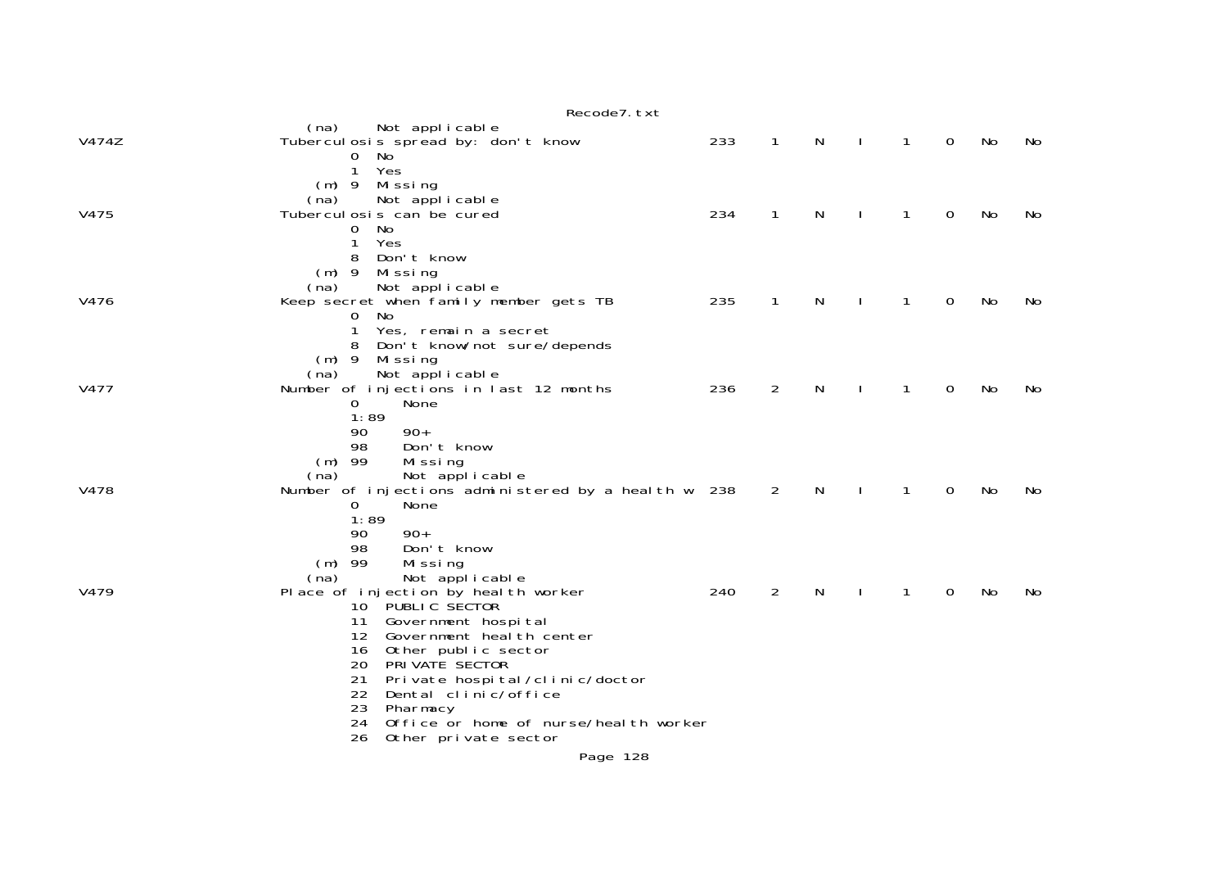|       | Recode7. txt                                                               |     |                |   |              |              |   |    |    |
|-------|----------------------------------------------------------------------------|-----|----------------|---|--------------|--------------|---|----|----|
| V474Z | Not applicable<br>(na)<br>Tubercul osis spread by: don't know              | 233 | $\mathbf{1}$   | N | $\mathbf{I}$ | $\mathbf{1}$ | 0 | No | No |
|       | $\mathbf{O}$<br>No<br>Yes<br>1                                             |     |                |   |              |              |   |    |    |
|       | (m) 9 Missing<br>Not applicable<br>(na)                                    |     |                |   |              |              |   |    |    |
| V475  | Tubercul osis can be cured<br>No<br>0                                      | 234 | $\mathbf{1}$   | N | $\mathbf{I}$ | $\mathbf{1}$ | 0 | No | No |
|       | Yes<br>1<br>Don't know<br>8<br>$(m)$ 9<br>Mi ssi ng                        |     |                |   |              |              |   |    |    |
|       | Not applicable<br>(na)                                                     |     |                |   |              |              |   |    |    |
| V476  | Keep secret when family member gets TB<br>No<br>0                          | 235 | $\mathbf{1}$   | N | $\mathbf{I}$ | $\mathbf{1}$ | 0 | No | No |
|       | Yes, remain a secret<br>1<br>Don't know/not sure/depends                   |     |                |   |              |              |   |    |    |
|       | (m) 9 Missing<br>Not applicable<br>(na)                                    |     |                |   |              |              |   |    |    |
| V477  | Number of injections in last 12 months                                     | 236 | $\overline{2}$ | N | $\mathbf{I}$ | 1            | 0 | No | No |
|       | None<br>0                                                                  |     |                |   |              |              |   |    |    |
|       | 1:89                                                                       |     |                |   |              |              |   |    |    |
|       | $90+$<br>90<br>Don't know<br>98                                            |     |                |   |              |              |   |    |    |
|       | $(m)$ 99<br>Mi ssi ng                                                      |     |                |   |              |              |   |    |    |
|       | Not applicable<br>(na)                                                     |     |                |   |              |              |   |    |    |
| V478  | Number of injections administered by a health w 238                        |     | $\overline{2}$ | N | $\mathbf{I}$ | $\mathbf{1}$ | 0 | No | No |
|       | 0<br>None<br>1:89                                                          |     |                |   |              |              |   |    |    |
|       | 90<br>$90+$                                                                |     |                |   |              |              |   |    |    |
|       | 98<br>Don't know                                                           |     |                |   |              |              |   |    |    |
|       | $(m)$ 99<br>Missing                                                        |     |                |   |              |              |   |    |    |
| V479  | Not applicable<br>(na)<br>Place of injection by heal th worker             | 240 | $\overline{2}$ | N |              | 1            | 0 | No | No |
|       | 10 PUBLIC SECTOR                                                           |     |                |   |              |              |   |    |    |
|       | 11<br>Government hospital                                                  |     |                |   |              |              |   |    |    |
|       | Government heal th center<br>12 <sup>12</sup><br>16 <sup>1</sup>           |     |                |   |              |              |   |    |    |
|       | Other public sector<br>PRIVATE SECTOR<br>20                                |     |                |   |              |              |   |    |    |
|       | 21<br>Private hospital/clinic/doctor                                       |     |                |   |              |              |   |    |    |
|       | 22<br>Dental clinic/office                                                 |     |                |   |              |              |   |    |    |
|       | 23<br>Pharmacy                                                             |     |                |   |              |              |   |    |    |
|       | 24<br>Office or home of nurse/heal th worker<br>26<br>Other private sector |     |                |   |              |              |   |    |    |
|       | Page 128                                                                   |     |                |   |              |              |   |    |    |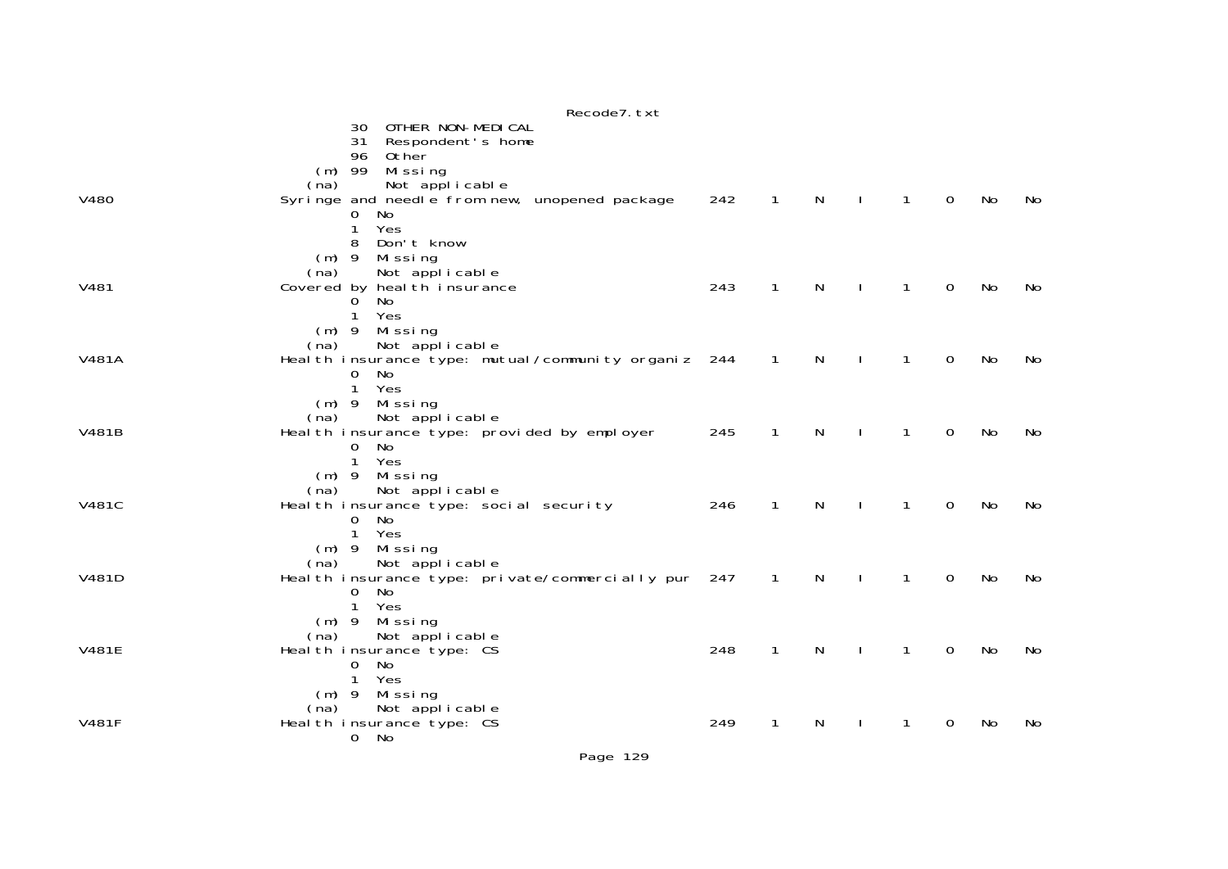|              | Recode7. txt                                                                                                                                                         |     |                |              |              |                |             |    |    |
|--------------|----------------------------------------------------------------------------------------------------------------------------------------------------------------------|-----|----------------|--------------|--------------|----------------|-------------|----|----|
|              | OTHER NON-MEDICAL<br>30<br>31 Respondent's home<br>Other<br>96<br>$(m)$ 99<br>Missing                                                                                |     |                |              |              |                |             |    |    |
| V480         | Not applicable<br>(na)<br>Syringe and needle from new, unopened package<br>0<br>No<br>$\mathbf{1}$<br>Yes                                                            | 242 | $\mathbf{1}$   | $\mathsf{N}$ | $\mathbf{I}$ | $\overline{1}$ | $\mathbf 0$ | No | No |
| V481         | Don't know<br>8<br>Missing<br>$(m)$ 9<br>Not applicable<br>(na)<br>Covered by heal th insurance<br>No<br>$\Omega$                                                    | 243 | $\mathbf{1}$   | N            | $\mathbf{I}$ | $\mathbf{1}$   | $\mathbf 0$ | No | No |
| V481A        | Yes<br>$\mathbf{1}$<br>$(m)$ 9 Missing<br>Not applicable<br>(na)<br>Heal th insurance type: mutual/community organiz 244 1<br>No<br>$\mathbf{O}$                     |     |                | N            | $\sim$ 1.    | $\mathbf{1}$   | 0           | No | No |
| V481B        | $\mathbf{1}$<br>Yes<br>$(m)$ 9 Missing<br>Not applicable<br>(na)<br>Health insurance type: provided by employer<br>No<br>$\overline{0}$                              | 245 | $\mathbf{1}$   | $\mathsf{N}$ | $\mathbf{I}$ | $\mathbf{1}$   | $\mathbf 0$ | No | No |
| <b>V481C</b> | $\mathbf{1}$<br>Yes<br>$(m)$ 9 Missing<br>Not applicable<br>(na)<br>Heal th insurance type: social security<br>$\Omega$<br>No                                        | 246 | $\mathbf{1}$   | N            | $\mathbf{I}$ | $\mathbf{1}$   | $\mathbf 0$ | No | No |
| V481D        | $\mathbf{1}$<br>Yes<br>$(m)$ 9 Missing<br>Not applicable<br>(na)<br>Health insurance type: private/commercially pur 247<br>No<br>$\mathbf{0}$<br>$\mathbf{1}$<br>Yes |     | $\overline{1}$ | $\mathsf{N}$ | $\mathbf{I}$ | $\mathbf{1}$   | $\mathbf 0$ | No | No |
| V481E        | $(m)$ 9 Missing<br>Not applicable<br>(na)<br>Heal th insurance type: CS<br><b>No</b><br>0<br>Yes<br>$\mathbf{1}$                                                     | 248 | $\mathbf{1}$   | N            | $\mathbf{I}$ | $\mathbf{1}$   | $\mathbf 0$ | No | No |
| <b>V481F</b> | $(m)$ 9 Missing<br>Not applicable<br>(na)<br>Health insurance type: CS<br>0 No                                                                                       | 249 | $\mathbf{1}$   | N            | $\mathbf{L}$ | $\mathbf{1}$   | $\mathbf 0$ | No | No |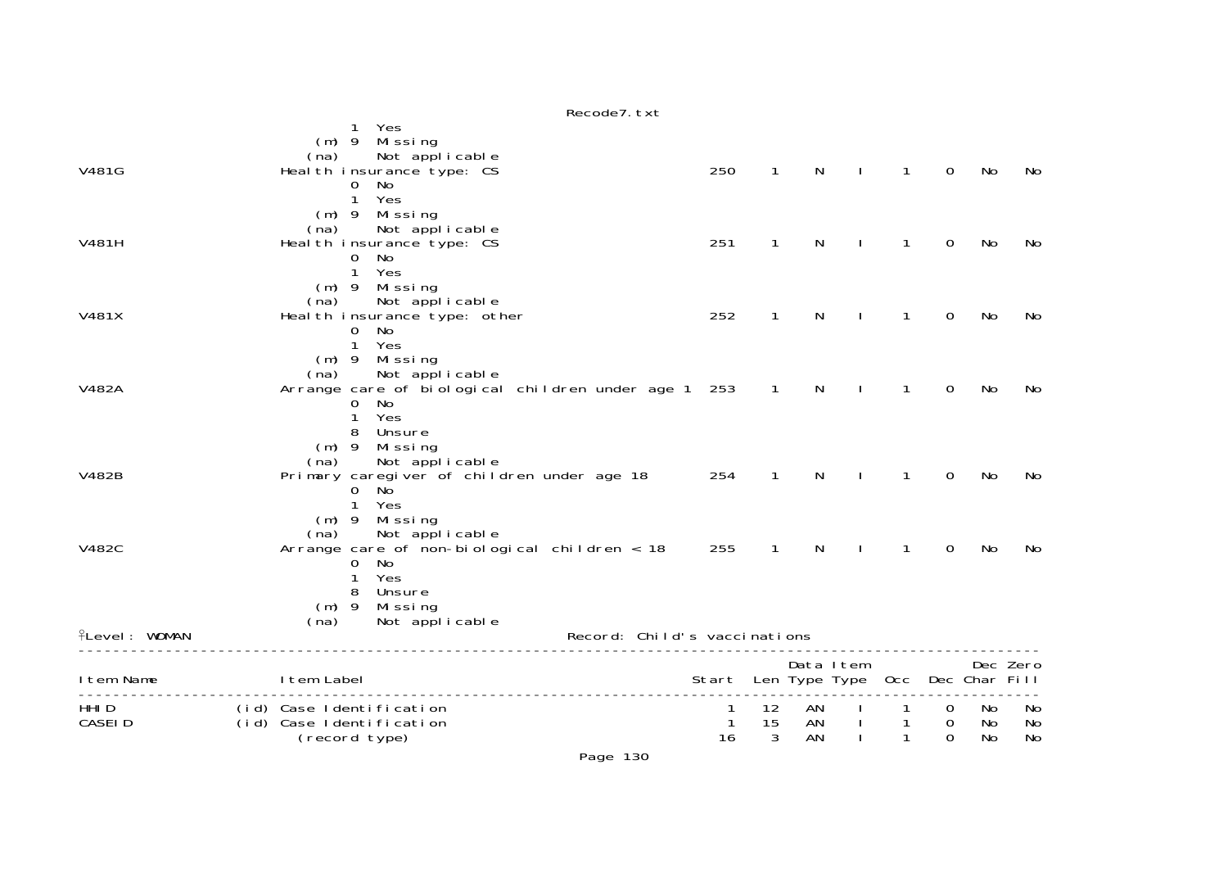|                        | Recode7. txt                                                                                                                                       |                                       |               |                |           |                   |                          |                |                |
|------------------------|----------------------------------------------------------------------------------------------------------------------------------------------------|---------------------------------------|---------------|----------------|-----------|-------------------|--------------------------|----------------|----------------|
| V481G                  | Yes<br>Mi ssi ng<br>$(m)$ 9<br>Not applicable<br>(na)<br>Health insurance type: CS<br>No<br>$\mathbf{0}$<br>$\mathbf{1}$<br>Yes                    | 250                                   | $\mathbf{1}$  | N              |           | $\mathbf{1}$      | $\mathbf 0$              | No             | No             |
| <b>V481H</b>           | $(m)$ 9 Missing<br>Not applicable<br>(na)<br>Heal th insurance type: CS<br>No<br>$\mathbf{0}$<br>$\mathbf{1}$<br>Yes                               | 251                                   | $\mathbf{1}$  | N              |           | 1                 | $\Omega$                 | No             | No             |
| V481X                  | $(m)$ 9 Missing<br>Not applicable<br>(na)<br>Heal th insurance type: other<br>$\mathbf{O}$<br>No<br>$\mathbf{1}$<br>Yes                            | 252                                   | $\mathbf{1}$  | N              |           | 1                 | 0                        | No             | No             |
| V482A                  | $(m)$ 9 Missing<br>Not applicable<br>(na)<br>Arrange care of biological children under age 1<br>$\mathbf{O}$<br>No<br>$\mathbf{1}$<br>Yes          | 253                                   | $\mathbf{1}$  | N              |           | $\mathbf{1}$      | $\overline{0}$           | No             | No             |
| V482B                  | 8<br>Unsure<br>$(m)$ 9<br>Missing<br>Not applicable<br>(na)<br>Primary caregiver of children under age 18<br><b>No</b><br>0<br>$\mathbf{1}$<br>Yes | 254                                   | $\mathbf{1}$  | N              |           | 1                 | $\overline{0}$           | No             | No             |
| <b>V482C</b>           | Missing<br>$(m)$ 9<br>Not applicable<br>(na)<br>Arrange care of non-biological children $<$ 18<br>No<br>0<br>Yes<br>1                              | 255                                   | $\mathbf{1}$  | N              |           | $\mathbf{1}$      | $\mathbf 0$              | No             | No             |
| <b>flevel: WOMAN</b>   | Unsure<br>8<br>$(m)$ 9<br>Mi ssi ng<br>Not applicable<br>(na)<br>Record: Child's vaccinations                                                      |                                       |               |                |           |                   |                          |                |                |
| I tem Name             | I tem Label                                                                                                                                        | Start Len Type Type Occ Dec Char Fill |               |                | Data Item |                   |                          |                | Dec Zero       |
| HHI D<br><b>CASEID</b> | (id) Case Identification<br>(id) Case Identification<br>(record type)                                                                              | $\mathbf{1}$<br>16                    | 12<br>15<br>3 | AN<br>AN<br>AN |           | 1<br>$\mathbf{1}$ | 0<br>0<br>$\overline{0}$ | No<br>No<br>No | No<br>No<br>No |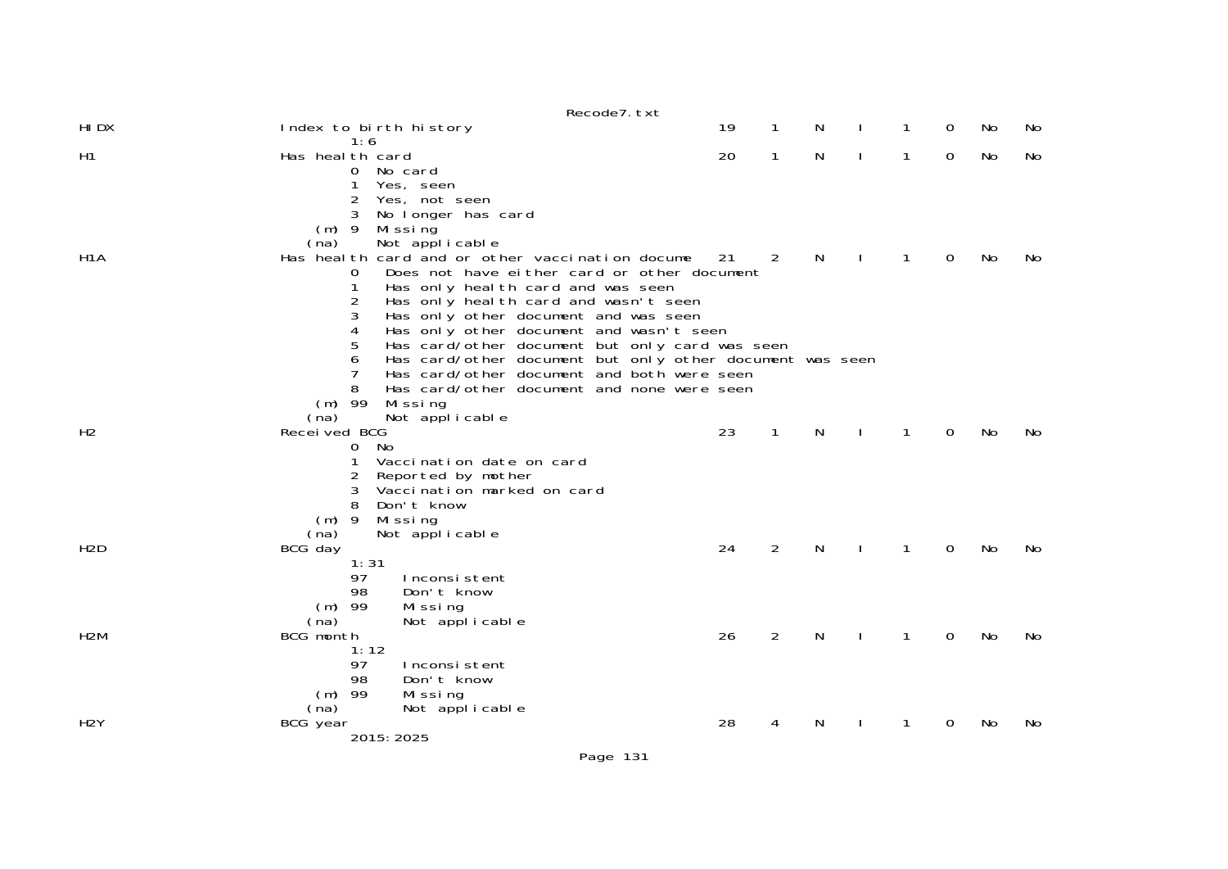|                  |                                                                                                                                                                                                                                                                                                                                                                             | Recode7. txt |    |              |   |              |              |             |           |    |
|------------------|-----------------------------------------------------------------------------------------------------------------------------------------------------------------------------------------------------------------------------------------------------------------------------------------------------------------------------------------------------------------------------|--------------|----|--------------|---|--------------|--------------|-------------|-----------|----|
| HI DX            | Index to birth history<br>1:6                                                                                                                                                                                                                                                                                                                                               |              | 19 | 1            | N |              | 1            | 0           | No        | No |
| H1               | Has heal th card<br>0 No card<br>Yes, seen<br>Yes, not seen<br>2<br>3<br>No longer has card<br>$(m)$ 9<br>Missing                                                                                                                                                                                                                                                           |              | 20 | $\mathbf{1}$ | N | $\mathbf{I}$ | $\mathbf{1}$ | $\mathbf 0$ | No        | No |
| H <sub>1</sub> A | Not applicable<br>(na)<br>Has heal th card and or other vaccination docume<br>Does not have either card or other document<br>O<br>Has only heal th card and was seen<br>1<br>2<br>Has only heal th card and wasn't seen<br>3<br>Has only other document and was seen<br>Has only other document and wasn't seen<br>4<br>5<br>Has card/other document but only card was seen |              | 21 | 2            | N | J.           | $\mathbf{1}$ | $\Omega$    | No        | No |
|                  | Has card/other document but only other document was seen<br>6<br>Has card/other document and both were seen<br>7<br>8<br>Has card/other document and none were seen<br>$(m)$ 99<br>Missing<br>(na)<br>Not applicable                                                                                                                                                        |              |    |              |   |              |              |             |           |    |
| H <sub>2</sub>   | Received BCG<br>0 No<br>Vaccination date on card<br>2<br>Reported by mother<br>Vaccination marked on card<br>3<br>8<br>Don't know<br>$(m)$ 9<br>Mi ssi ng                                                                                                                                                                                                                   |              | 23 | $\mathbf{1}$ | N |              | 1            | 0           | No        | No |
| H <sub>2</sub> D | Not applicable<br>(na)<br>BCG day<br>1:31<br>97<br>Inconsistent<br>98<br>Don't know<br>$(m)$ 99<br>Missing<br>(na)<br>Not applicable                                                                                                                                                                                                                                        |              | 24 | 2            | N | $\mathbf{I}$ | $\mathbf{1}$ | $\Omega$    | No        | No |
| H <sub>2</sub> M | BCG month<br>1:12<br>97<br>Inconsistent<br>98<br>Don't know<br>$(m)$ 99<br>Missing<br>Not applicable<br>(na)                                                                                                                                                                                                                                                                |              | 26 | 2            | N | <sup>1</sup> | 1            | $\Omega$    | <b>No</b> | No |
| H <sub>2</sub> Y | BCG year<br>2015: 2025                                                                                                                                                                                                                                                                                                                                                      |              | 28 | 4            | N |              | 1            | 0           | No        | No |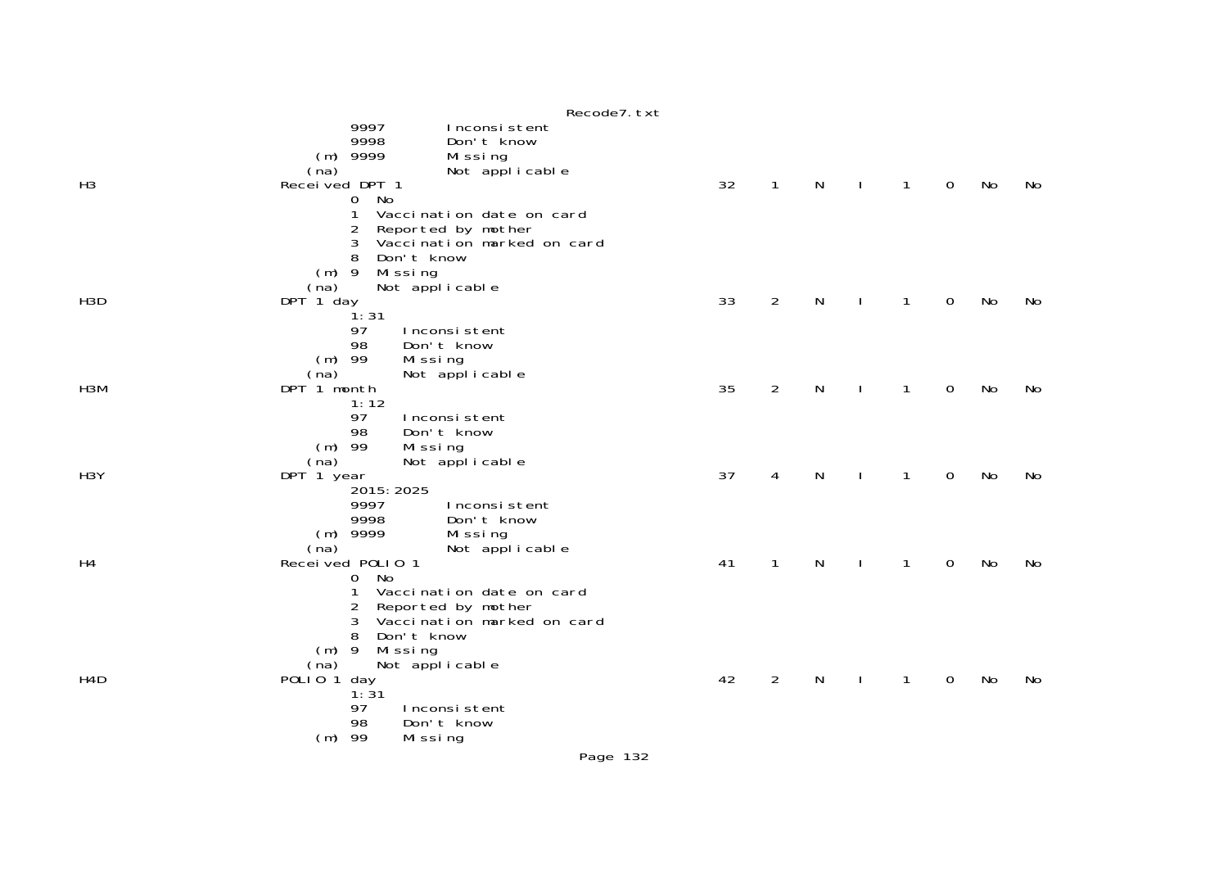|                  | Recode7. txt                                                                                                                                                                                                                           |    |                |   |              |   |           |    |
|------------------|----------------------------------------------------------------------------------------------------------------------------------------------------------------------------------------------------------------------------------------|----|----------------|---|--------------|---|-----------|----|
| H <sub>3</sub>   | 9997<br>Inconsistent<br>9998<br>Don't know<br>$(m)$ 9999<br>Missing<br>Not applicable<br>(na)<br>Received DPT 1<br>No<br>$\overline{0}$<br>1<br>Vaccination date on card<br>2<br>Reported by mother<br>Vaccination marked on card<br>3 | 32 | $\mathbf{1}$   | N | $\mathbf{1}$ | 0 | No        | No |
| H <sub>3</sub> D | 8<br>Don't know<br>$(m)$ 9<br>Missing<br>Not applicable<br>(na)<br>DPT 1 day<br>ີ່ 1: 31<br>97<br>Inconsistent                                                                                                                         | 33 | $\overline{2}$ | N | $\mathbf{1}$ | 0 | No        | No |
| H3M              | 98<br>Don't know<br>$(m)$ 99<br>Missing<br>Not applicable<br>(na)<br>DPT 1 month<br>1:12<br>97<br>Inconsistent                                                                                                                         | 35 | $\overline{2}$ | N | $\mathbf{1}$ | 0 | No        | No |
| H <sub>3</sub> Y | 98<br>Don't know<br>$(m)$ 99<br>Missing<br>(na)<br>Not applicable<br>DPT 1 year<br>2015: 2025<br>9997<br>Inconsistent                                                                                                                  | 37 | 4              | N | 1            | 0 | No        | No |
| H <sub>4</sub>   | 9998<br>Don't know<br>$(m)$ 9999<br>Missing<br>(na)<br>Not applicable<br>Received P0LI0 1<br>No<br>0<br>Vaccination date on card<br>1<br>2<br>Reported by mother                                                                       | 41 | 1              | N | $\mathbf{1}$ | 0 | <b>No</b> | No |
| H4D              | Vaccination marked on card<br>3<br>Don't know<br>8<br>$(m)$ 9<br>Missing<br>Not applicable<br>(na)<br>POLIO <sub>1</sub><br>day<br>1:31<br>97<br>Inconsistent<br>98<br>Don't know<br>$(m)$ 99<br>Missing                               | 42 | $\overline{2}$ | N | $\mathbf{1}$ | 0 | No        | No |

Page 132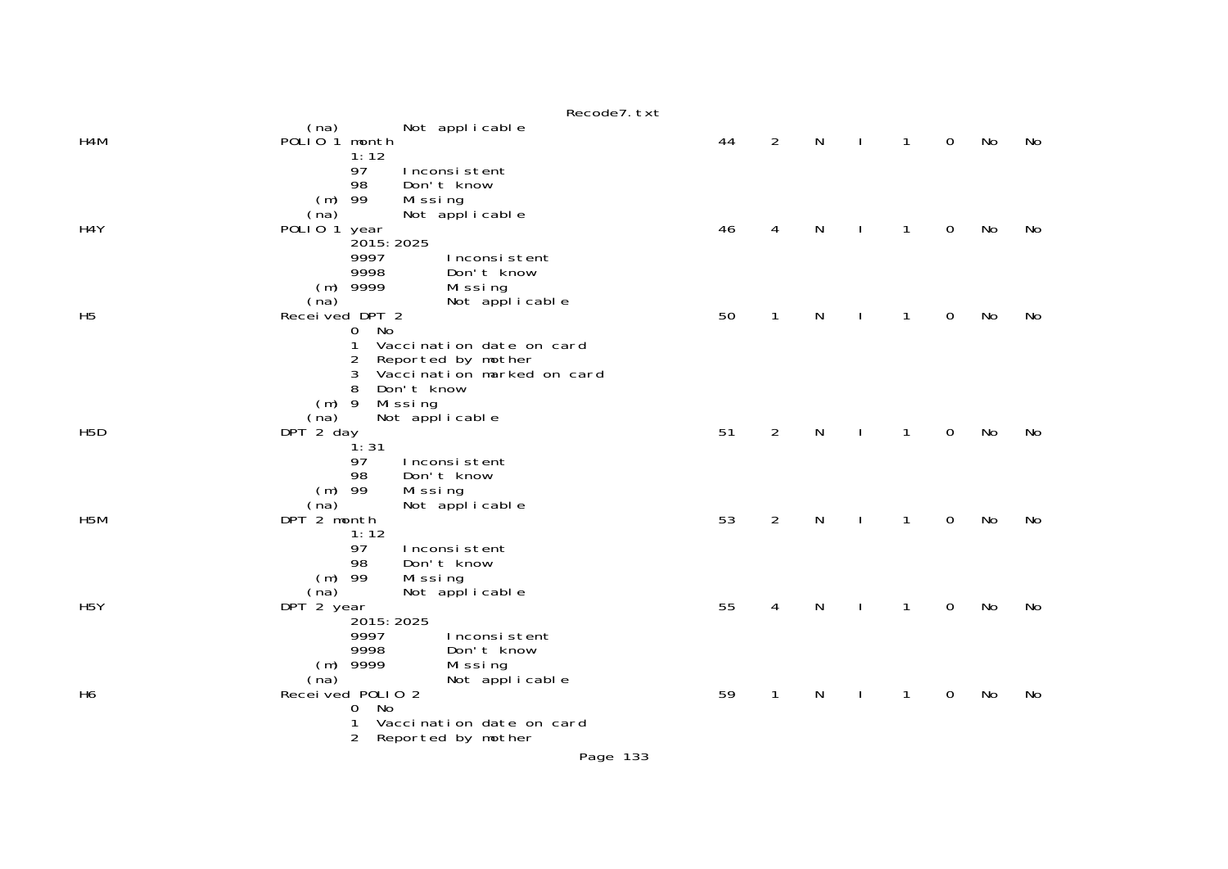|                  | Recode7. txt                                                                   |    |                |           |              |              |                     |    |    |
|------------------|--------------------------------------------------------------------------------|----|----------------|-----------|--------------|--------------|---------------------|----|----|
| H4M              | Not applicable<br>(na)<br>POLIO <sub>1</sub> month                             | 44 | $\overline{2}$ | N         |              | $\mathbf{1}$ | $\mathbf 0$         | No | No |
|                  | 1:12<br>97<br>Inconsistent<br>98<br>Don't know                                 |    |                |           |              |              |                     |    |    |
|                  | 99<br>Missing<br>(m)<br>Not applicable<br>(na)                                 |    |                |           |              |              |                     |    |    |
| H4Y              | POLIO <sub>1</sub><br>year<br>2015: 2025                                       | 46 | 4              | N         |              | 1            | 0                   | No | No |
|                  | 9997<br>Inconsistent<br>9998<br>Don't know                                     |    |                |           |              |              |                     |    |    |
|                  | $(m)$ 9999<br>Missing<br>(na)<br>Not applicable                                |    |                |           |              |              |                     |    |    |
| H <sub>5</sub>   | Received DPT 2<br>No<br>$\overline{0}$                                         | 50 | $\mathbf{1}$   | N         |              | $\mathbf{1}$ | 0                   | No | No |
|                  | 1<br>Vaccination date on card<br>2<br>Reported by mother                       |    |                |           |              |              |                     |    |    |
|                  | 3<br>Vaccination marked on card<br>8<br>Don't know                             |    |                |           |              |              |                     |    |    |
|                  | $(m)$ 9<br>Missing<br>Not applicable<br>(na)                                   |    |                |           |              |              |                     |    |    |
| H <sub>5</sub> D | DPT 2 day<br>ີ່ 1: 31                                                          | 51 | 2              | ${\sf N}$ | $\mathbf{I}$ | $\mathbf{1}$ | $\mathbf 0$         | No | No |
|                  | 97<br>Inconsistent<br>98<br>Don't know                                         |    |                |           |              |              |                     |    |    |
| H <sub>5</sub> M | $(m)$ 99<br>Missing<br>Not applicable<br>(na)                                  | 53 | $\overline{2}$ | ${\sf N}$ |              |              | $\mathsf{O}\xspace$ | No | No |
|                  | DPT 2 month<br>1:12<br>97<br>Inconsistent                                      |    |                |           | $\mathbf{I}$ | $\mathbf{1}$ |                     |    |    |
|                  | 98<br>Don't know<br>$(m)$ 99<br>Missing                                        |    |                |           |              |              |                     |    |    |
| H <sub>5</sub> Y | Not applicable<br>(na)<br>DPT 2 year                                           | 55 | 4              | N         |              | 1            | $\mathbf 0$         | No | No |
|                  | 2015: 2025<br>9997<br>Inconsistent                                             |    |                |           |              |              |                     |    |    |
|                  | 9998<br>Don't know<br>9999<br>Missing<br>(m)                                   |    |                |           |              |              |                     |    |    |
| H <sub>6</sub>   | (na)<br>Not applicable<br>Recei ved P0LI 0 2                                   | 59 | $\mathbf{1}$   | N         |              | 1            | $\mathbf 0$         | No | No |
|                  | No<br>$\mathbf{O}$<br>1<br>Vaccination date on card<br>2<br>Reported by mother |    |                |           |              |              |                     |    |    |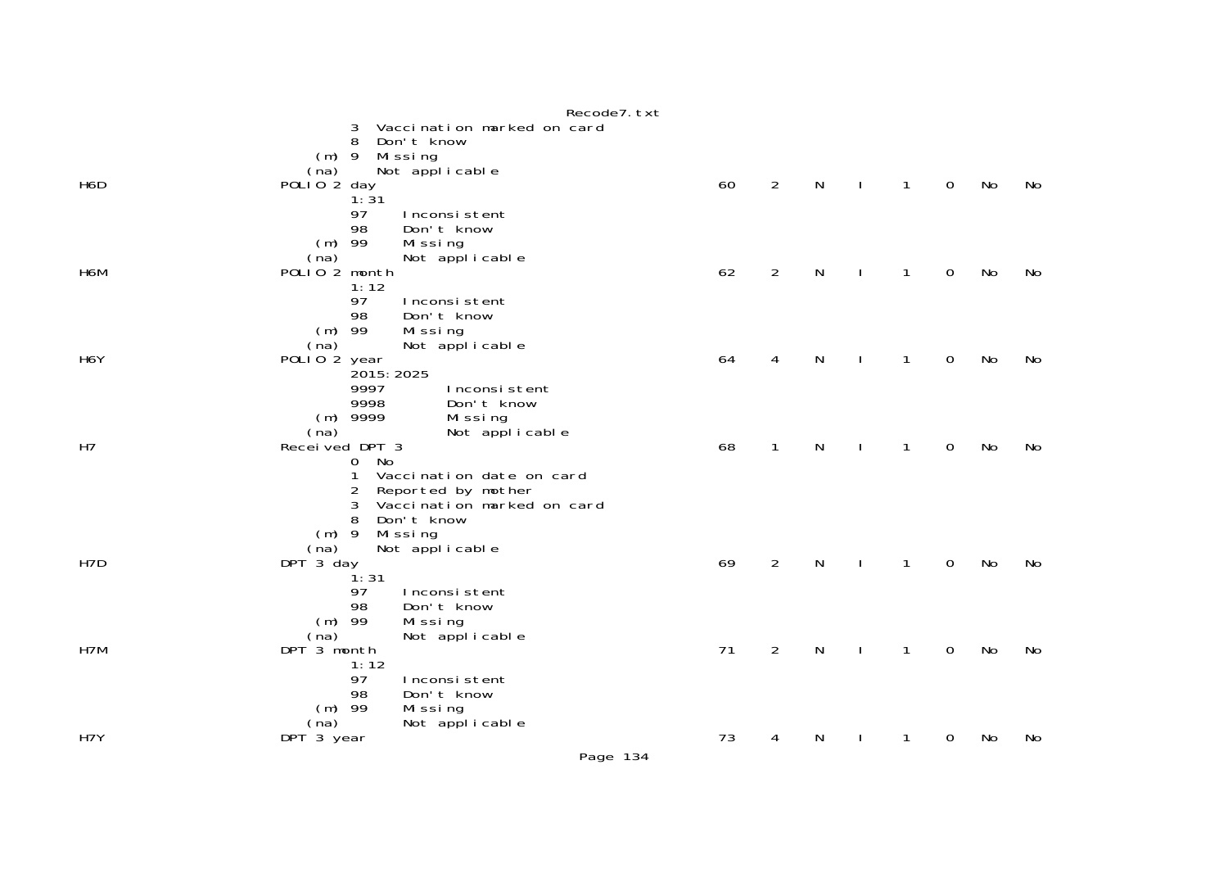|                  | Recode7. txt                                                                                                                                                           |    |                |           |              |              |             |    |    |
|------------------|------------------------------------------------------------------------------------------------------------------------------------------------------------------------|----|----------------|-----------|--------------|--------------|-------------|----|----|
|                  | 3<br>Vaccination marked on card<br>Don't know<br>8<br>Missing<br>$(m)$ 9                                                                                               |    |                |           |              |              |             |    |    |
| H6D              | Not applicable<br>(na)<br>POLIO <sub>2</sub> day                                                                                                                       | 60 | $\overline{2}$ | N         | $\mathbf{I}$ | 1            | $\mathbf 0$ | No | No |
|                  | 1:31<br>97<br>Inconsistent<br>98<br>Don't know<br>$(m)$ 99<br>Missing                                                                                                  |    |                |           |              |              |             |    |    |
| H6M              | Not applicable<br>(na)<br>POLIO <sub>2</sub> month                                                                                                                     | 62 | $\overline{2}$ | N         | $\mathbf{I}$ | 1            | 0           | No | No |
|                  | 1:12<br>97<br>Inconsistent<br>98<br>Don't know<br>$(m)$ 99<br>Missing<br>Not applicable<br>(na)                                                                        |    |                |           |              |              |             |    |    |
| H <sub>6</sub> Y | POLIO 2 year                                                                                                                                                           | 64 | 4              | N         | $\mathbf{I}$ | 1            | 0           | No | No |
|                  | 2015: 2025<br>9997<br>Inconsistent<br>9998<br>Don't know<br>$(m)$ 9999<br>Missing<br>Not applicable<br>(na)                                                            |    |                |           |              |              |             |    |    |
| H7               | Received DPT 3                                                                                                                                                         | 68 | $\mathbf{1}$   | N         |              | 1            | 0           | No | No |
|                  | 0 No<br>Vaccination date on card<br>1<br>Reported by mother<br>2<br>Vaccination marked on card<br>3<br>Don't know<br>8<br>Missing<br>$(m)$ 9<br>Not applicable<br>(na) |    |                |           |              |              |             |    |    |
| H <sub>7</sub> D | DPT 3 day                                                                                                                                                              | 69 | $\overline{2}$ | ${\sf N}$ | $\mathbf{I}$ | $\mathbf{1}$ | $\mathbf 0$ | No | No |
|                  | 1:31<br>97<br>Inconsistent<br>98<br>Don't know<br>$(m)$ 99<br>Missing<br>Not applicable<br>(na)                                                                        |    |                |           |              |              |             |    |    |
| H7M              | DPT 3 month                                                                                                                                                            | 71 | $\overline{2}$ | N         | $\mathbf{I}$ | 1            | $\mathbf 0$ | No | No |
|                  | 1:12<br>97<br>Inconsistent<br>98<br>Don't know<br>$(m)$ 99<br>Missing<br>Not applicable<br>(na)                                                                        |    |                |           |              |              |             |    |    |
| H7Y              | DPT 3 year                                                                                                                                                             | 73 | 4              | N         |              | 1            | 0           | No | No |
|                  | Page 134                                                                                                                                                               |    |                |           |              |              |             |    |    |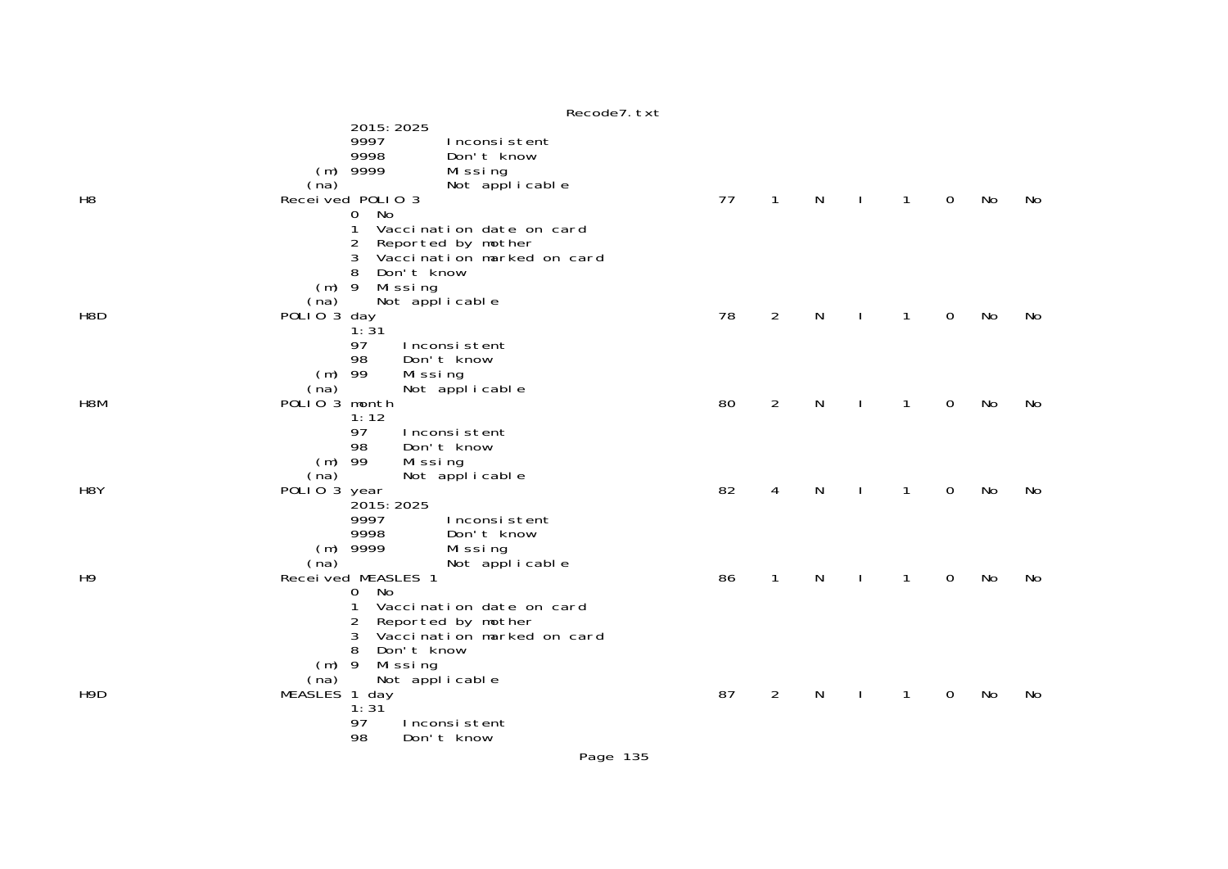|                  | Recode7. txt                                                                                                                                                                             |    |                |   |              |              |             |           |    |
|------------------|------------------------------------------------------------------------------------------------------------------------------------------------------------------------------------------|----|----------------|---|--------------|--------------|-------------|-----------|----|
| H <sub>8</sub>   | 2015: 2025<br>9997<br>Inconsistent<br>9998<br>Don't know<br>$(m)$ 9999<br>Missing<br>(na)<br>Not applicable<br>Received POLIO 3<br>No<br>$\overline{O}$<br>Vaccination date on card<br>1 | 77 | $\mathbf{1}$   | N | $\mathbf{I}$ | $\mathbf{1}$ | $\Omega$    | No        | No |
| H <sub>8</sub> D | Reported by mother<br>2<br>Vaccination marked on card<br>3<br>Don't know<br>8<br>$(m)$ 9<br>Missing<br>(na)<br>Not applicable<br>POLIO 3 day<br>1:31                                     | 78 | $\overline{2}$ | N |              | $\mathbf{1}$ | 0           | <b>No</b> | No |
| H <sub>8</sub> M | 97<br>Inconsistent<br>98<br>Don't know<br>Missing<br>$(m)$ 99<br>(na)<br>Not applicable<br>POLIO 3 month<br>1:12<br>97<br>Inconsistent                                                   | 80 | $\overline{2}$ | N |              | $\mathbf{1}$ | $\mathbf 0$ | No        | No |
| H <sub>8</sub> Y | 98<br>Don't know<br>$(m)$ 99<br>Missing<br>Not applicable<br>(na)<br>POLIO 3 year<br>2015: 2025<br>9997<br>Inconsistent<br>9998<br>Don't know                                            | 82 | 4              | N |              | $\mathbf{1}$ | $\mathbf 0$ | No        | No |
| H <sub>9</sub>   | $(m)$ 9999<br>Missing<br>(na)<br>Not applicable<br>Recei ved MEASLES 1<br>No<br>0<br>Vaccination date on card<br>1<br>Reported by mother<br>2<br>3<br>Vaccination marked on card         | 86 | $\mathbf{1}$   | N | $\mathbf{I}$ | $\mathbf{1}$ | $\mathbf 0$ | No        | No |
| H <sub>9</sub> D | Don't know<br>8<br>Missing<br>$(m)$ 9<br>Not applicable<br>(na)<br>MEASLES 1 day<br>1:31<br>97<br>Inconsistent<br>98<br>Don't know                                                       | 87 | 2              | N |              | $\mathbf{1}$ | 0           | No        | No |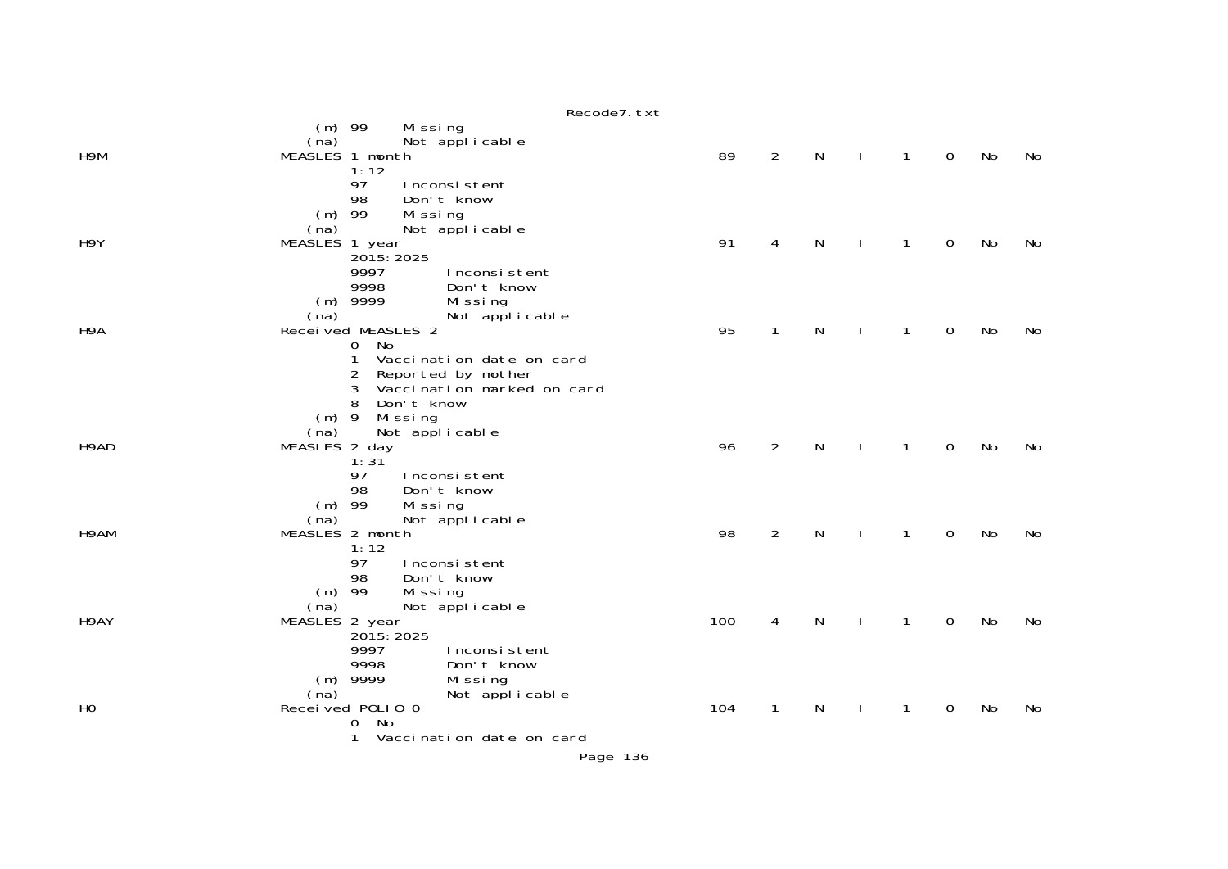|      | Recode7. txt                                                                                                                                                                                |     |                |           |              |              |             |           |    |
|------|---------------------------------------------------------------------------------------------------------------------------------------------------------------------------------------------|-----|----------------|-----------|--------------|--------------|-------------|-----------|----|
| H9M  | $(m)$ 99<br>Missing<br>Not applicable<br>(na)<br>MEASLES 1 month<br>1:12                                                                                                                    | 89  | $\overline{2}$ | N         | $\perp$      | $\mathbf{1}$ | $\mathbf 0$ | No        | No |
| H9Y  | 97<br>Inconsistent<br>98<br>Don't know<br>$(m)$ 99<br>Missing<br>Not applicable<br>(na)<br>MEASLES 1 year<br>2015: 2025                                                                     | 91  | 4              | N         | $\mathbf{I}$ | $\mathbf{1}$ | $\mathbf 0$ | No        | No |
|      | 9997<br>Inconsistent<br>9998<br>Don't know<br>$(m)$ 9999<br>Missing<br>Not applicable<br>(na)                                                                                               |     |                |           |              |              |             |           |    |
| H9A  | Recei ved MEASLES 2<br>0 No<br>$\mathbf{1}$<br>Vaccination date on card<br>$\overline{2}$<br>Reported by mother<br>Vaccination marked on card<br>3<br>Don't know<br>8<br>$(m)$ 9<br>Missing | 95  | $\mathbf{1}$   | N         | $\mathbf{I}$ | $\mathbf{1}$ | $\mathbf 0$ | No        | No |
| H9AD | Not applicable<br>(na)<br>MEASLES 2 day<br>1:31<br>97<br>Inconsistent<br>Don't know<br>98<br>$(m)$ 99<br>Missing                                                                            | 96  | $\overline{2}$ | N         |              | $\mathbf{1}$ | $\mathbf 0$ | No        | No |
| H9AM | Not applicable<br>(na)<br>MEASLES 2 month<br>1:12<br>97<br>Inconsistent<br>Don't know<br>98<br>$(m)$ 99<br>Missing                                                                          | 98  | $\overline{2}$ | N         | $\mathbf{I}$ | $\mathbf{1}$ | $\mathbf 0$ | No        | No |
| H9AY | Not applicable<br>(na)<br>MEASLES 2 year<br>2015: 2025<br>9997<br>Inconsistent<br>9998<br>Don't know                                                                                        | 100 | 4              | N         | $\mathbf{I}$ | $\mathbf{1}$ | $\mathbf 0$ | No        | No |
| HO   | $(m)$ 9999<br>Missing<br>Not applicable<br>(na)<br>Received POLIO 0<br>0 No<br>Vaccination date on card<br>1                                                                                | 104 | $\mathbf{1}$   | ${\sf N}$ |              | $\mathbf{1}$ | $\mathbf 0$ | <b>No</b> | No |

Page 136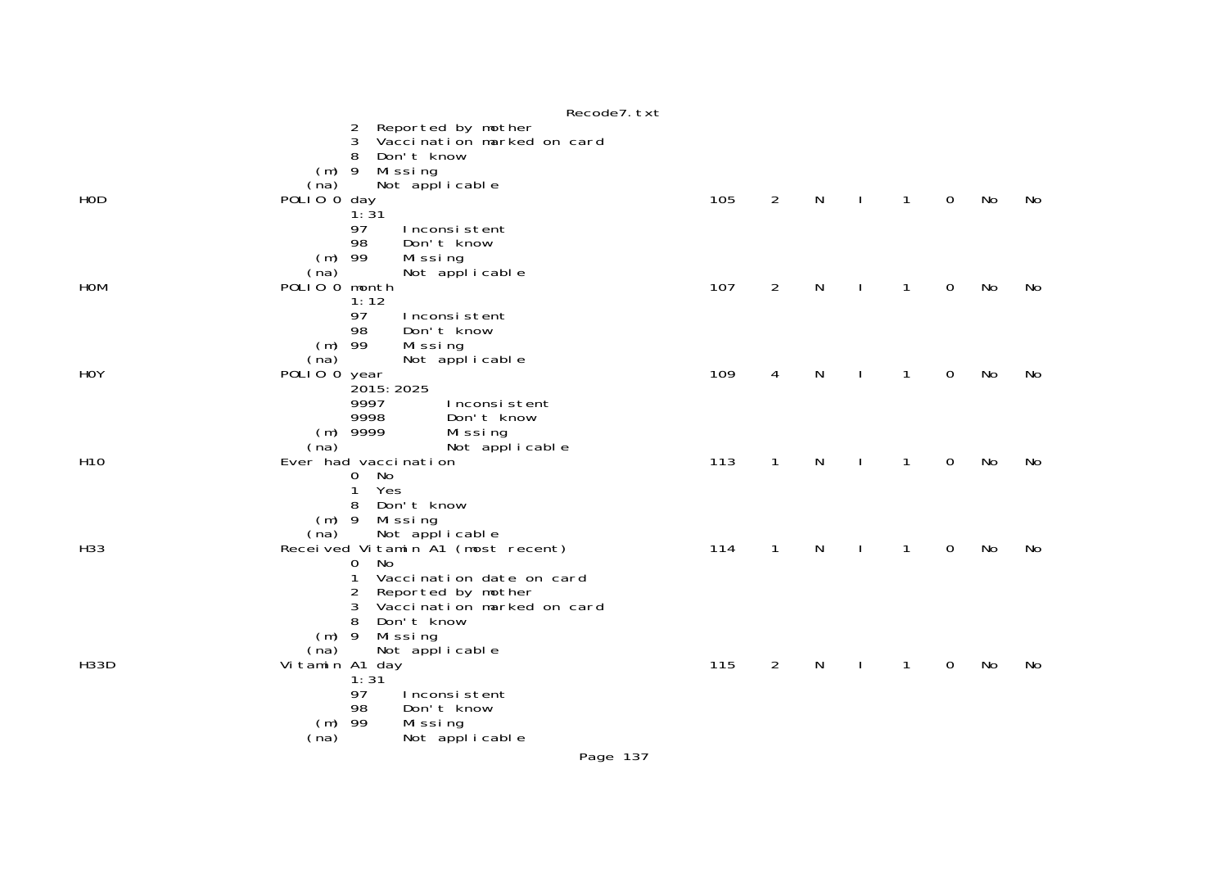|                 | Recode7. txt                                                                                                                                                                                    |     |                |           |   |   |    |    |
|-----------------|-------------------------------------------------------------------------------------------------------------------------------------------------------------------------------------------------|-----|----------------|-----------|---|---|----|----|
|                 | Reported by mother<br>2<br>Vaccination marked on card<br>3<br>Don't know<br>8<br>$(m)$ 9                                                                                                        |     |                |           |   |   |    |    |
| HOD             | Mi ssi ng<br>Not applicable<br>(na)<br>POLIO 0 day<br>1:31<br>97<br>Inconsistent                                                                                                                | 105 | $\overline{2}$ | ${\sf N}$ | 1 | 0 | No | No |
| <b>HOM</b>      | 98<br>Don't know<br>$(m)$ 99<br>Mi ssi ng<br>Not applicable<br>(na)<br>POLIO O month<br>1:12                                                                                                    | 107 | $\overline{2}$ | N         | 1 | 0 | No | No |
| <b>HOY</b>      | 97<br>Inconsistent<br>Don't know<br>98<br>$(m)$ 99<br>Missing<br>Not applicable<br>(na)<br>POLIO 0 year<br>2015: 2025<br>9997<br>Inconsistent                                                   | 109 | 4              | N         | 1 | 0 | No | No |
| H <sub>10</sub> | 9998<br>Don't know<br>$(m)$ 9999<br>Missing<br>Not applicable<br>(na)<br>Ever had vaccination<br>No<br>$\mathbf{O}$<br>$\mathbf{1}$<br>Yes                                                      | 113 | $\mathbf{1}$   | N         | 1 | 0 | No | No |
| H33             | 8<br>Don't know<br>$(m)$ 9<br>Missing<br>Not applicable<br>(na)<br>Received Vitamin A1 (most recent)<br><b>No</b><br>0<br>1<br>Vaccination date on card<br>2<br>Reported by mother              | 114 | $\mathbf{1}$   | N         | 1 | 0 | No | No |
| <b>H33D</b>     | 3<br>Vaccination marked on card<br>8<br>Don't know<br>$(m)$ 9<br>Missing<br>Not applicable<br>(na)<br>Vitamin A1 day<br>1:31<br>97<br>Inconsistent<br>Don't know<br>98<br>$(m)$ 99<br>Mi ssi ng | 115 | $\overline{2}$ | N         | 1 | 0 | No | No |
|                 | Not applicable<br>(na)                                                                                                                                                                          |     |                |           |   |   |    |    |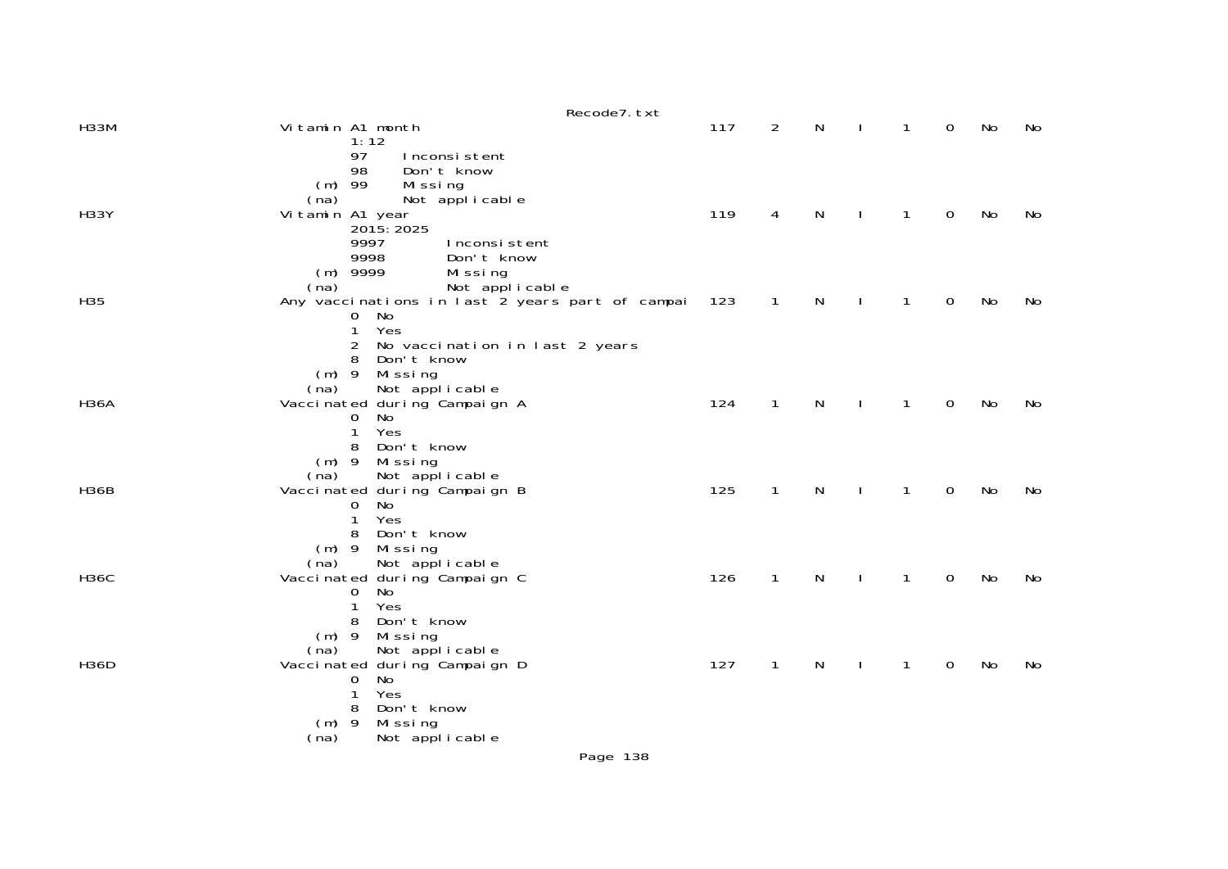|             |                                                            | Recode7. txt |                       |              |              |             |    |    |
|-------------|------------------------------------------------------------|--------------|-----------------------|--------------|--------------|-------------|----|----|
| <b>H33M</b> | Vitamin A1 month                                           |              | 117<br>$\overline{2}$ | N            | 1            | 0           | No | No |
|             | 1:12<br>97<br>Inconsistent                                 |              |                       |              |              |             |    |    |
|             | 98<br>Don't know                                           |              |                       |              |              |             |    |    |
|             | $(m)$ 99<br>Missing                                        |              |                       |              |              |             |    |    |
| <b>H33Y</b> | Not applicable<br>(na)<br>Vitamin A1 year                  |              | 119<br>4              | N            | 1            | 0           | No | No |
|             | 2015: 2025                                                 |              |                       |              |              |             |    |    |
|             | 9997<br>Inconsistent                                       |              |                       |              |              |             |    |    |
|             | 9998<br>Don't know<br>$(m)$ 9999                           |              |                       |              |              |             |    |    |
|             | Missing<br>Not applicable<br>(na)                          |              |                       |              |              |             |    |    |
| H35         | Any vaccinations in last 2 years part of campai            |              | 123<br>$\mathbf{1}$   | N            | $\mathbf{1}$ | 0           | No | No |
|             | 0 No                                                       |              |                       |              |              |             |    |    |
|             | $\mathbf{1}$<br>Yes<br>No vaccination in last 2 years<br>2 |              |                       |              |              |             |    |    |
|             | Don't know<br>8                                            |              |                       |              |              |             |    |    |
|             | $(m)$ 9 Missing                                            |              |                       |              |              |             |    |    |
| <b>H36A</b> | Not applicable<br>(na)<br>Vacci nated during Campaign A    |              | 124<br>$\mathbf{1}$   | $\mathsf{N}$ | $\mathbf{1}$ | $\mathbf 0$ | No | No |
|             | No<br>0                                                    |              |                       |              |              |             |    |    |
|             | Yes<br>1                                                   |              |                       |              |              |             |    |    |
|             | Don't know<br>8                                            |              |                       |              |              |             |    |    |
|             | $(m)$ 9<br>Mi ssi ng<br>Not applicable<br>(na)             |              |                       |              |              |             |    |    |
| <b>H36B</b> | Vacci nated during Campaign B                              |              | 125<br>$\mathbf{1}$   | $\mathsf{N}$ | 1            | $\mathbf 0$ | No | No |
|             | No<br>0                                                    |              |                       |              |              |             |    |    |
|             | Yes<br>1<br>Don't know<br>8                                |              |                       |              |              |             |    |    |
|             | $(m)$ 9<br>Mi ssi ng                                       |              |                       |              |              |             |    |    |
|             | Not applicable<br>(na)                                     |              |                       |              |              |             |    |    |
| <b>H36C</b> | Vacci nated during Campaign C<br>No<br>$\Omega$            |              | 126<br>$\mathbf{1}$   | N            | 1            | 0           | No | No |
|             | 1<br>Yes                                                   |              |                       |              |              |             |    |    |
|             | Don't know<br>8                                            |              |                       |              |              |             |    |    |
|             | $(m)$ 9<br>Mi ssi ng                                       |              |                       |              |              |             |    |    |
| <b>H36D</b> | Not applicable<br>(na)<br>Vaccinated during Campaign D     |              | 127<br>$\mathbf{1}$   | N            | 1            | 0           | No | No |
|             | No<br>0                                                    |              |                       |              |              |             |    |    |
|             | 1<br>Yes                                                   |              |                       |              |              |             |    |    |
|             | Don't know<br>8<br>$(m)$ 9                                 |              |                       |              |              |             |    |    |
|             | Mi ssi ng<br>(na)<br>Not applicable                        |              |                       |              |              |             |    |    |
|             |                                                            |              |                       |              |              |             |    |    |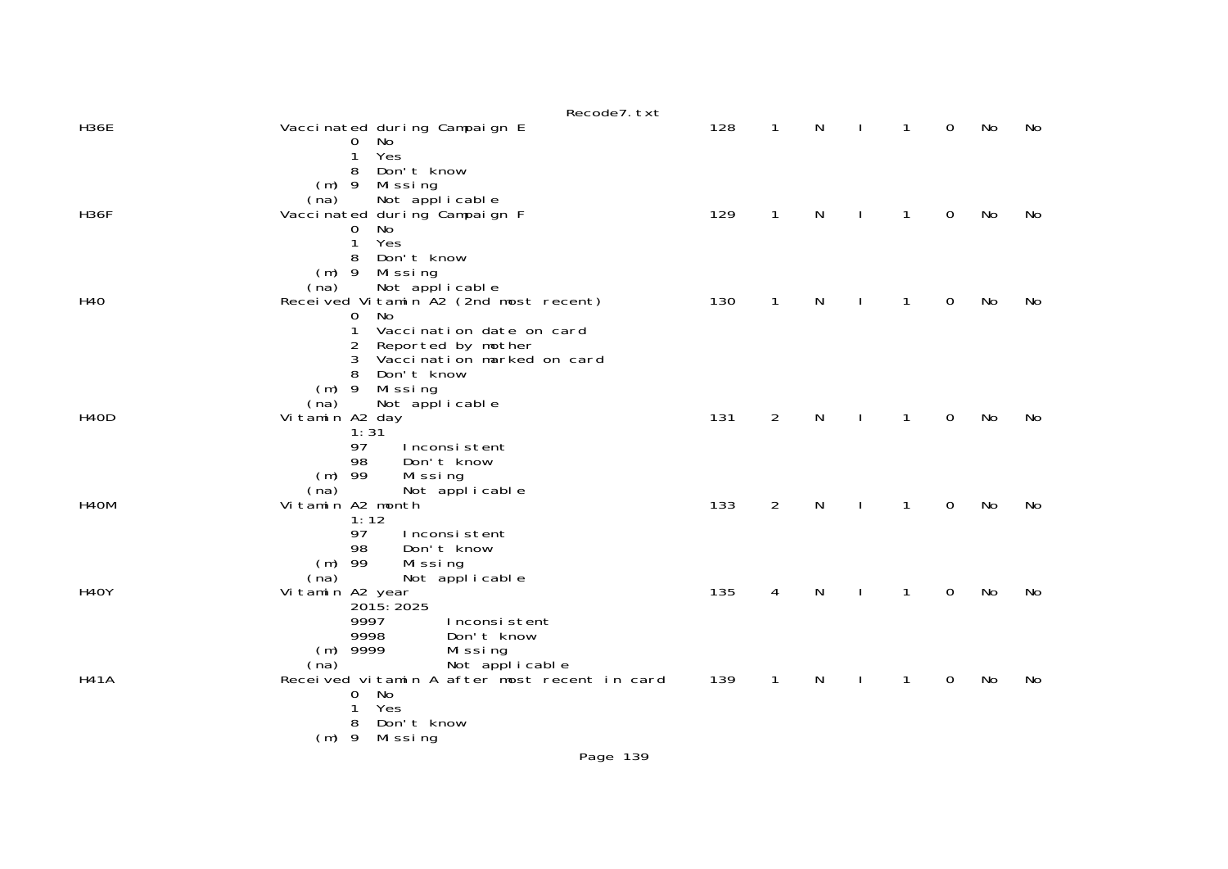|                   | Recode7. txt                                                                                                                                                                |     |              |   |   |          |           |    |
|-------------------|-----------------------------------------------------------------------------------------------------------------------------------------------------------------------------|-----|--------------|---|---|----------|-----------|----|
| <b>H36E</b>       | Vaccinated during Campaign E<br>No<br>0<br>Yes<br>1                                                                                                                         | 128 | $\mathbf{1}$ | N | 1 | 0        | No        | No |
| <b>H36F</b>       | Don't know<br>8<br>$(m)$ 9<br>Missing<br>(na)<br>Not applicable<br>Vacci nated during Campaign F<br>No<br>0                                                                 | 129 | $\mathbf{1}$ | N | 1 | $\Omega$ | <b>No</b> | No |
| H40               | Yes<br>$\mathbf 1$<br>Don't know<br>8<br>$(m)$ 9<br>Missing<br>Not applicable<br>(na)<br>Received Vitamin A2 (2nd most recent)                                              | 130 | $\mathbf{1}$ | N | 1 | 0        | <b>No</b> | No |
|                   | No<br>0<br>1<br>Vaccination date on card<br>Reported by mother<br>2<br>Vaccination marked on card<br>3<br>Don't know                                                        |     |              |   |   |          |           |    |
| H <sub>4</sub> OD | $(m)$ 9<br>Missing<br>(na)<br>Not applicable<br>Vitamin A2 day<br>1:31<br>97<br>Inconsistent                                                                                | 131 | 2            | N | 1 | 0        | No        | No |
| H <sub>4</sub> OM | 98<br>Don't know<br>$(m)$ 99<br>Missing<br>(na)<br>Not applicable<br>Vitamin A2 month<br>1:12<br>97<br>Inconsistent                                                         | 133 | 2            | N | 1 | 0        | No        | No |
| <b>H40Y</b>       | Don't know<br>98<br>$(m)$ 99<br>Missing<br>Not applicable<br>(na)<br>Vitamin A2 year<br>2015: 2025<br>9997<br>Inconsistent                                                  | 135 | 4            | N | 1 | 0        | No        | No |
| <b>H41A</b>       | 9998<br>Don't know<br>$(m)$ 9999<br>Mi ssi ng<br>Not applicable<br>(na)<br>Received vitamin A after most recent in card<br>No<br>$\mathbf 0$<br>Yes<br>1<br>Don't know<br>8 | 139 | $\mathbf{1}$ | N | 1 | 0        | No        | No |
|                   | Mi ssi ng<br>$(m)$ 9                                                                                                                                                        |     |              |   |   |          |           |    |
|                   | Page 139                                                                                                                                                                    |     |              |   |   |          |           |    |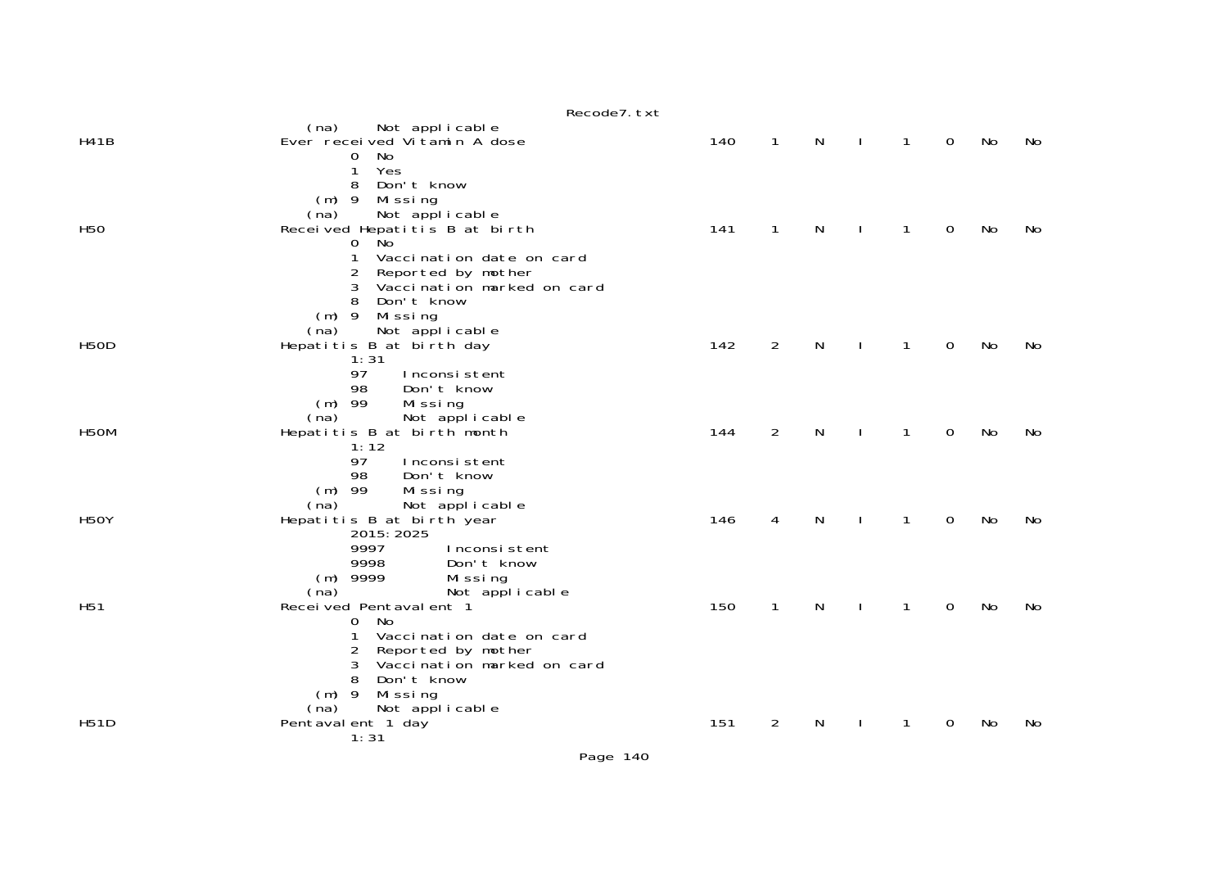|                   | Recode7. txt                                                                                                                                                                                                              |     |                |              |              |              |                |    |    |
|-------------------|---------------------------------------------------------------------------------------------------------------------------------------------------------------------------------------------------------------------------|-----|----------------|--------------|--------------|--------------|----------------|----|----|
| <b>H41B</b>       | (na)<br>Not applicable<br>Ever received Vitamin A dose<br>No<br>0                                                                                                                                                         | 140 | $\mathbf{1}$   | N            |              | $\mathbf{1}$ | $\overline{0}$ | No | No |
| H <sub>50</sub>   | Yes<br>1<br>Don't know<br>8<br>$(m)$ 9<br>Missing<br>Not applicable<br>(na)<br>Received Hepatitis B at birth<br>. No<br>$\mathbf{O}$<br>1<br>Vaccination date on card<br>$\overline{2}$<br>Reported by mother             | 141 | $\mathbf{1}$   | N            |              | $\mathbf{1}$ | $\mathbf 0$    | No | No |
| <b>H50D</b>       | 3<br>Vaccination marked on card<br>8<br>Don't know<br>$(m)$ 9 Missing<br>Not applicable<br>(na)<br>Hepatitis B at birth day<br>1:31<br>97<br>Inconsistent<br>Don't know<br>98                                             | 142 | 2              | $\mathsf{N}$ | $\perp$      | $\mathbf{1}$ | $\mathbf 0$    | No | No |
| H <sub>5</sub> OM | $(m)$ 99<br>Missing<br>Not applicable<br>(na)<br>Hepatitis B at birth month<br>1:12                                                                                                                                       | 144 | $\overline{2}$ | N            | $\perp$      | $\mathbf{1}$ | $\mathbf 0$    | No | No |
| <b>H50Y</b>       | 97<br>Inconsistent<br>98<br>Don't know<br>$(m)$ 99<br>Missing<br>Not applicable<br>(na)<br>Hepatitis B at birth year<br>2015: 2025<br>9997<br>Inconsistent                                                                | 146 | 4              | N            | $\mathbf{I}$ | $\mathbf{1}$ | $\mathbf 0$    | No | No |
| H <sub>51</sub>   | 9998<br>Don't know<br>$(m)$ 9999<br>Missing<br>(na)<br>Not applicable<br>Received Pentavalent 1<br>0 No<br>1<br>Vaccination date on card<br>2<br>Reported by mother<br>Vaccination marked on card<br>3<br>8<br>Don't know | 150 | $\mathbf{1}$   | N            | $\mathbf{I}$ | $\mathbf{1}$ | $\mathbf 0$    | No | No |
| <b>H51D</b>       | $(m)$ 9<br>Missing<br>(na)<br>Not applicable<br>Pentaval ent 1 day<br>1:31                                                                                                                                                | 151 | $\overline{2}$ | N            |              | 1            | 0              | No | No |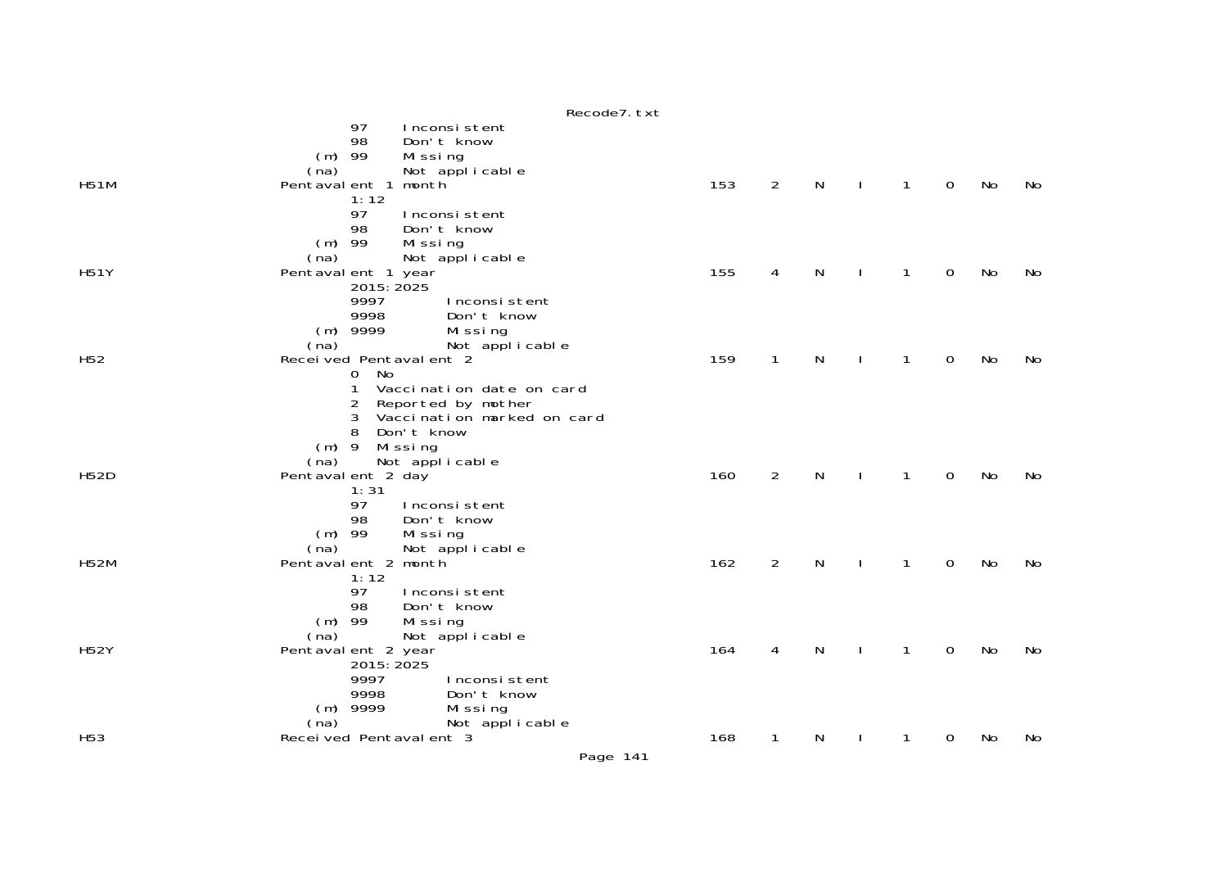|                 | NECOURT. LAL                                       |     |                |   |              |              |             |    |    |
|-----------------|----------------------------------------------------|-----|----------------|---|--------------|--------------|-------------|----|----|
|                 | 97<br>Inconsistent                                 |     |                |   |              |              |             |    |    |
|                 | 98<br>Don't know                                   |     |                |   |              |              |             |    |    |
|                 | $(m)$ 99<br>Mi ssi ng                              |     |                |   |              |              |             |    |    |
| <b>H51M</b>     | (na)<br>Not applicable<br>month<br>Pentaval ent 1  | 153 | $\overline{2}$ | N | $\mathbf{I}$ | $\mathbf{1}$ | $\mathbf 0$ | No | No |
|                 | 1:12                                               |     |                |   |              |              |             |    |    |
|                 | 97<br>Inconsistent                                 |     |                |   |              |              |             |    |    |
|                 | 98<br>Don't know                                   |     |                |   |              |              |             |    |    |
|                 | $(m)$ 99<br>Missing                                |     |                |   |              |              |             |    |    |
|                 | (na)<br>Not applicable                             |     |                |   |              |              |             |    |    |
| <b>H51Y</b>     | Pentaval ent 1 year                                | 155 | 4              | N |              | $\mathbf{1}$ | $\mathbf 0$ | No | No |
|                 | 2015: 2025                                         |     |                |   |              |              |             |    |    |
|                 | 9997<br>Inconsistent<br>9998<br>Don't know         |     |                |   |              |              |             |    |    |
|                 | $(m)$ 9999<br>Missing                              |     |                |   |              |              |             |    |    |
|                 | (na)<br>Not applicable                             |     |                |   |              |              |             |    |    |
| H <sub>52</sub> | Received Pentavalent 2                             | 159 | $\mathbf{1}$   | N |              | 1            | $\mathbf 0$ | No | No |
|                 | 0 No                                               |     |                |   |              |              |             |    |    |
|                 | Vaccination date on card                           |     |                |   |              |              |             |    |    |
|                 | 2<br>Reported by mother                            |     |                |   |              |              |             |    |    |
|                 | Vaccination marked on card<br>3<br>8<br>Don't know |     |                |   |              |              |             |    |    |
|                 | $(m)$ 9<br>Missing                                 |     |                |   |              |              |             |    |    |
|                 | Not applicable<br>(na)                             |     |                |   |              |              |             |    |    |
| <b>H52D</b>     | Pentaval ent 2 day                                 | 160 | $\overline{2}$ | N | $\mathbf{I}$ | 1            | 0           | No | No |
|                 | 1:31                                               |     |                |   |              |              |             |    |    |
|                 | 97<br>Inconsistent                                 |     |                |   |              |              |             |    |    |
|                 | 98<br>Don't know<br>$(m)$ 99                       |     |                |   |              |              |             |    |    |
|                 | Missing<br>(na)<br>Not applicable                  |     |                |   |              |              |             |    |    |
| <b>H52M</b>     | Pentaval ent 2 month                               | 162 | $\overline{2}$ | N |              | $\mathbf{1}$ | 0           | No | No |
|                 | 1:12                                               |     |                |   |              |              |             |    |    |
|                 | 97<br>Inconsistent                                 |     |                |   |              |              |             |    |    |
|                 | Don't know<br>98                                   |     |                |   |              |              |             |    |    |
|                 | $(m)$ 99<br>Missing                                |     |                |   |              |              |             |    |    |
| <b>H52Y</b>     | (na)<br>Not applicable<br>Pentaval ent 2 year      | 164 | 4              | N |              | 1            | 0           | No | No |
|                 | 2015: 2025                                         |     |                |   |              |              |             |    |    |
|                 | 9997<br>Inconsistent                               |     |                |   |              |              |             |    |    |
|                 | 9998<br>Don't know                                 |     |                |   |              |              |             |    |    |
|                 | $(m)$ 9999<br>Missing                              |     |                |   |              |              |             |    |    |
|                 | Not applicable<br>(na)                             |     |                |   |              |              |             |    |    |
| H <sub>53</sub> | Received Pentavalent 3                             | 168 | $\mathbf 1$    | N |              | 1            | 0           | No | No |

Recode7.txt

Page 141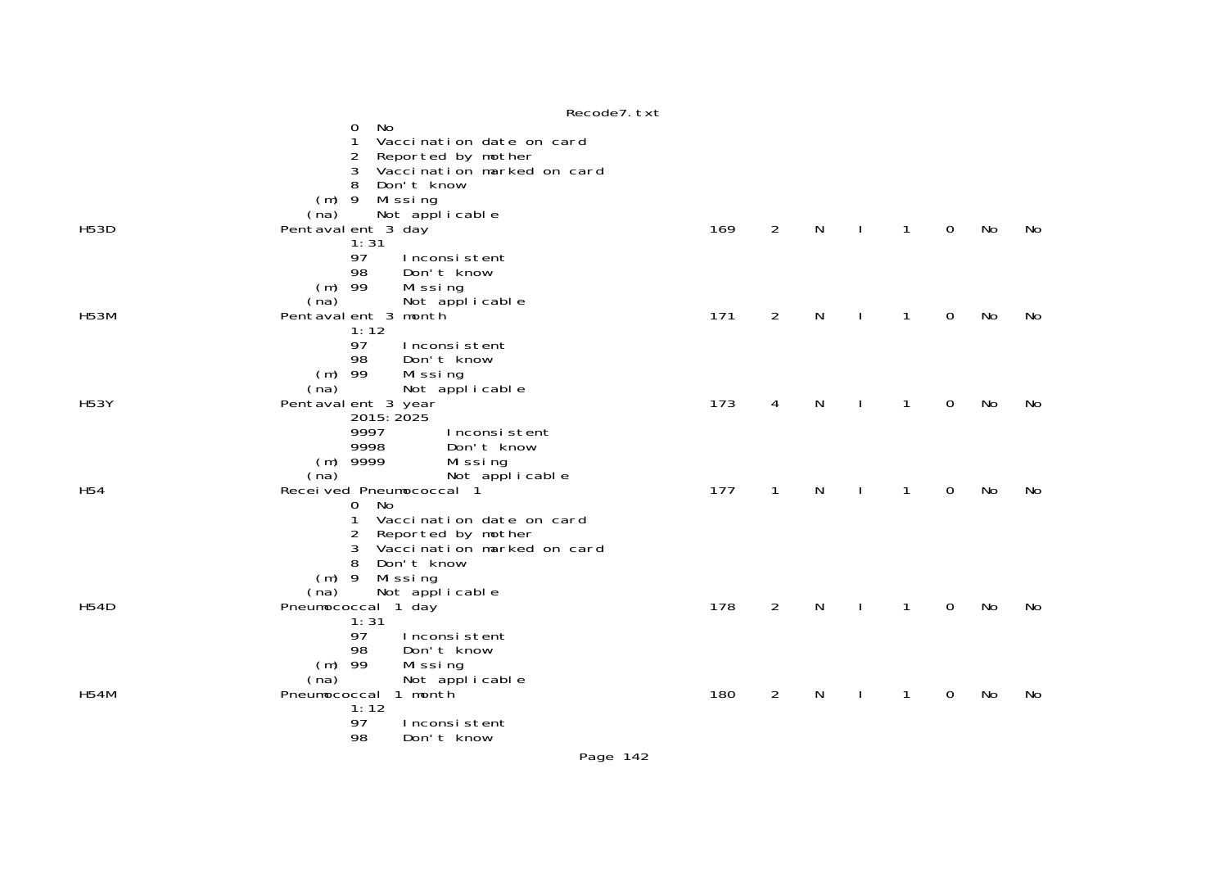|                 | Recode7. txt                                        |     |                |   |              |             |           |    |
|-----------------|-----------------------------------------------------|-----|----------------|---|--------------|-------------|-----------|----|
|                 | No<br>0<br>Vaccination date on card<br>1            |     |                |   |              |             |           |    |
|                 | 2<br>Reported by mother                             |     |                |   |              |             |           |    |
|                 | 3<br>Vaccination marked on card                     |     |                |   |              |             |           |    |
|                 | Don't know<br>8                                     |     |                |   |              |             |           |    |
|                 | $(m)$ 9<br>Missing                                  |     |                |   |              |             |           |    |
| <b>H53D</b>     | Not applicable<br>(na)<br>Pentaval ent 3 day        | 169 | $\overline{2}$ | N | $\mathbf{1}$ | $\mathbf 0$ | <b>No</b> | No |
|                 | 1:31                                                |     |                |   |              |             |           |    |
|                 | 97<br>Inconsistent                                  |     |                |   |              |             |           |    |
|                 | 98<br>Don't know                                    |     |                |   |              |             |           |    |
|                 | $(m)$ 99<br>Missing                                 |     |                |   |              |             |           |    |
|                 | Not applicable<br>(na)                              |     |                |   |              |             |           |    |
| <b>H53M</b>     | Pentaval ent 3 month<br>1:12                        | 171 | $\overline{2}$ | N | 1            | $\mathbf 0$ | No        | No |
|                 | 97<br>Inconsistent                                  |     |                |   |              |             |           |    |
|                 | Don't know<br>98                                    |     |                |   |              |             |           |    |
|                 | $(m)$ 99<br>Missing                                 |     |                |   |              |             |           |    |
|                 | Not applicable<br>(na)                              |     |                |   |              |             |           |    |
| <b>H53Y</b>     | Pentaval ent 3 year                                 | 173 | 4              | N | 1            | $\mathbf 0$ | No        | No |
|                 | 2015: 2025<br>9997<br>Inconsistent                  |     |                |   |              |             |           |    |
|                 | 9998<br>Don't know                                  |     |                |   |              |             |           |    |
|                 | $(m)$ 9999<br>Missing                               |     |                |   |              |             |           |    |
|                 | Not applicable<br>(na)                              |     |                |   |              |             |           |    |
| H <sub>54</sub> | Received Pneumococcal 1                             | 177 | $\mathbf{1}$   | N | 1            | 0           | No        | No |
|                 | <b>No</b><br>0<br>1                                 |     |                |   |              |             |           |    |
|                 | Vaccination date on card<br>2<br>Reported by mother |     |                |   |              |             |           |    |
|                 | Vaccination marked on card<br>3                     |     |                |   |              |             |           |    |
|                 | 8<br>Don't know                                     |     |                |   |              |             |           |    |
|                 | Missing<br>$(m)$ 9                                  |     |                |   |              |             |           |    |
|                 | Not applicable<br>(na)                              |     |                |   |              |             |           |    |
| <b>H54D</b>     | Pneumococcal 1 day<br>1:31                          | 178 | $\overline{2}$ | N | 1            | $\mathbf 0$ | No        | No |
|                 | 97<br>Inconsistent                                  |     |                |   |              |             |           |    |
|                 | 98<br>Don't know                                    |     |                |   |              |             |           |    |
|                 | $(m)$ 99<br>Missing                                 |     |                |   |              |             |           |    |
|                 | Not applicable<br>(na)                              |     |                |   |              |             |           |    |
| <b>H54M</b>     | 1 month<br>Pneumococcal                             | 180 | 2              | N | 1            | 0           | No        | No |
|                 | 1:12<br>97<br>Inconsistent                          |     |                |   |              |             |           |    |
|                 | 98<br>Don't know                                    |     |                |   |              |             |           |    |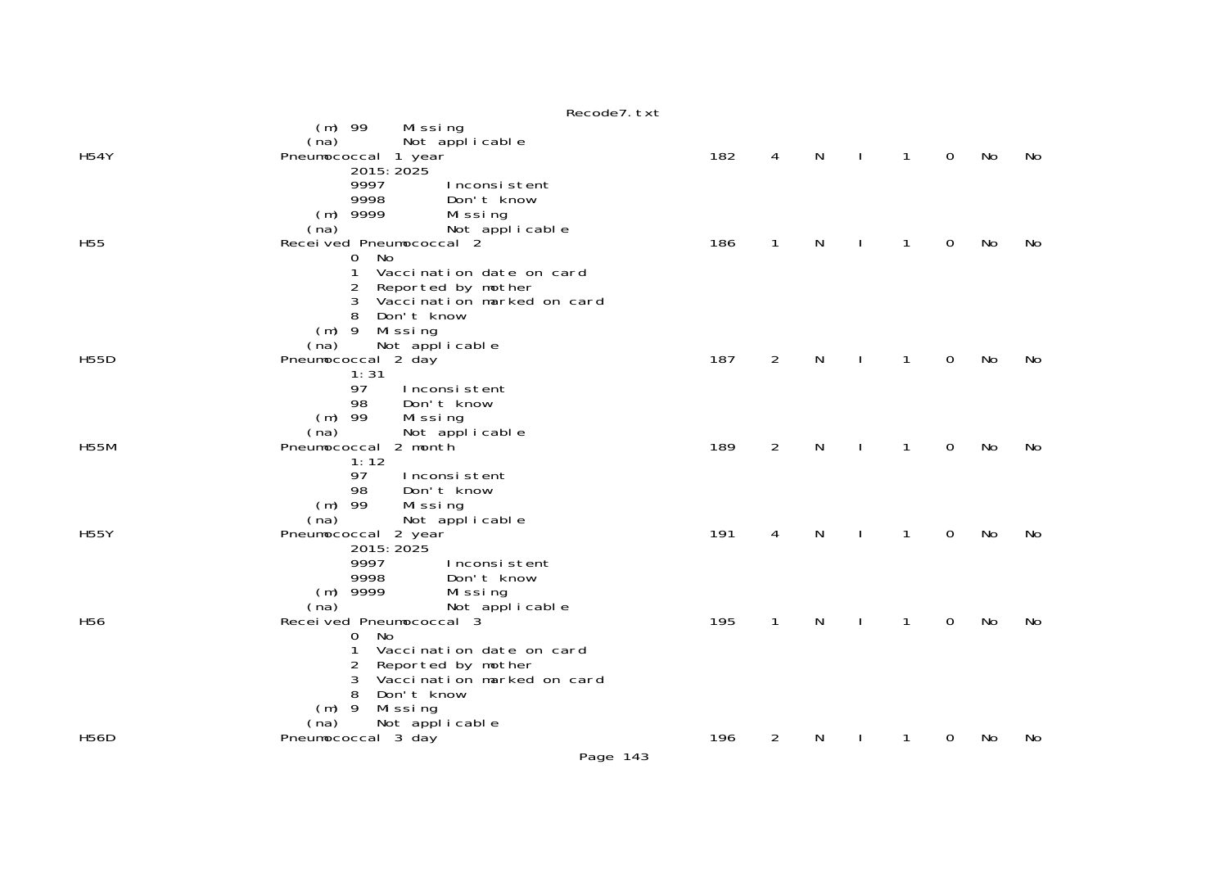|                 | Recode7. txt                                        |     |                |   |              |              |             |           |     |
|-----------------|-----------------------------------------------------|-----|----------------|---|--------------|--------------|-------------|-----------|-----|
|                 | $(m)$ 99<br>Missing                                 |     |                |   |              |              |             |           |     |
| <b>H54Y</b>     | Not applicable<br>(na)                              | 182 | 4              | N | $\perp$      | $\mathbf{1}$ | $\mathbf 0$ | No        | No  |
|                 | Pneumococcal 1 year<br>2015: 2025                   |     |                |   |              |              |             |           |     |
|                 | 9997<br>Inconsistent                                |     |                |   |              |              |             |           |     |
|                 | 9998<br>Don't know                                  |     |                |   |              |              |             |           |     |
|                 | $(m)$ 9999<br>Missing                               |     |                |   |              |              |             |           |     |
|                 | Not applicable<br>(na)                              |     |                | N |              |              |             |           |     |
| H <sub>55</sub> | Received Pneumococcal 2<br><b>No</b><br>$\mathbf 0$ | 186 | $\mathbf{1}$   |   | $\mathbf{I}$ | $\mathbf{1}$ | 0           | No        | No  |
|                 | 1<br>Vaccination date on card                       |     |                |   |              |              |             |           |     |
|                 | 2<br>Reported by mother                             |     |                |   |              |              |             |           |     |
|                 | Vaccination marked on card<br>3                     |     |                |   |              |              |             |           |     |
|                 | Don't know<br>8                                     |     |                |   |              |              |             |           |     |
|                 | $(m)$ 9 Missing                                     |     |                |   |              |              |             |           |     |
| <b>H55D</b>     | Not applicable<br>(na)<br>Pneumococcal 2 day        | 187 | 2              | N | $\mathbf{I}$ | $\mathbf{1}$ | $\mathbf 0$ | No        | No  |
|                 | 1:31                                                |     |                |   |              |              |             |           |     |
|                 | 97<br>Inconsistent                                  |     |                |   |              |              |             |           |     |
|                 | 98<br>Don't know                                    |     |                |   |              |              |             |           |     |
|                 | $(m)$ 99<br>Missing                                 |     |                |   |              |              |             |           |     |
| <b>H55M</b>     | Not applicable<br>(na)<br>Pneumococcal 2 month      | 189 | $\overline{2}$ | N |              | $\mathbf{1}$ | 0           | No        | No  |
|                 | 1:12                                                |     |                |   |              |              |             |           |     |
|                 | 97<br>Inconsistent                                  |     |                |   |              |              |             |           |     |
|                 | 98<br>Don't know                                    |     |                |   |              |              |             |           |     |
|                 | $(m)$ 99<br>Missing                                 |     |                |   |              |              |             |           |     |
| <b>H55Y</b>     | (na)<br>Not applicable<br>Pneumococcal 2 year       | 191 | 4              | N |              | $\mathbf{1}$ | 0           | <b>No</b> | No  |
|                 | 2015: 2025                                          |     |                |   |              |              |             |           |     |
|                 | 9997<br>Inconsistent                                |     |                |   |              |              |             |           |     |
|                 | 9998<br>Don't know                                  |     |                |   |              |              |             |           |     |
|                 | $(m)$ 9999<br>Missing                               |     |                |   |              |              |             |           |     |
| H <sub>56</sub> | (na)<br>Not applicable<br>Recei ved Pneumococcal 3  | 195 | $\mathbf{1}$   | N |              | $\mathbf{1}$ | $\mathbf 0$ | No        | No  |
|                 | No<br>0                                             |     |                |   |              |              |             |           |     |
|                 | 1<br>Vaccination date on card                       |     |                |   |              |              |             |           |     |
|                 | Reported by mother<br>2                             |     |                |   |              |              |             |           |     |
|                 | Vaccination marked on card<br>3                     |     |                |   |              |              |             |           |     |
|                 | Don't know<br>8                                     |     |                |   |              |              |             |           |     |
|                 | $(m)$ 9<br>Missing<br>(na)<br>Not applicable        |     |                |   |              |              |             |           |     |
| <b>H56D</b>     | Pneumococcal 3 day                                  | 196 | 2              | N |              | 1            | 0           | No.       | No. |
|                 | Page 143                                            |     |                |   |              |              |             |           |     |
|                 |                                                     |     |                |   |              |              |             |           |     |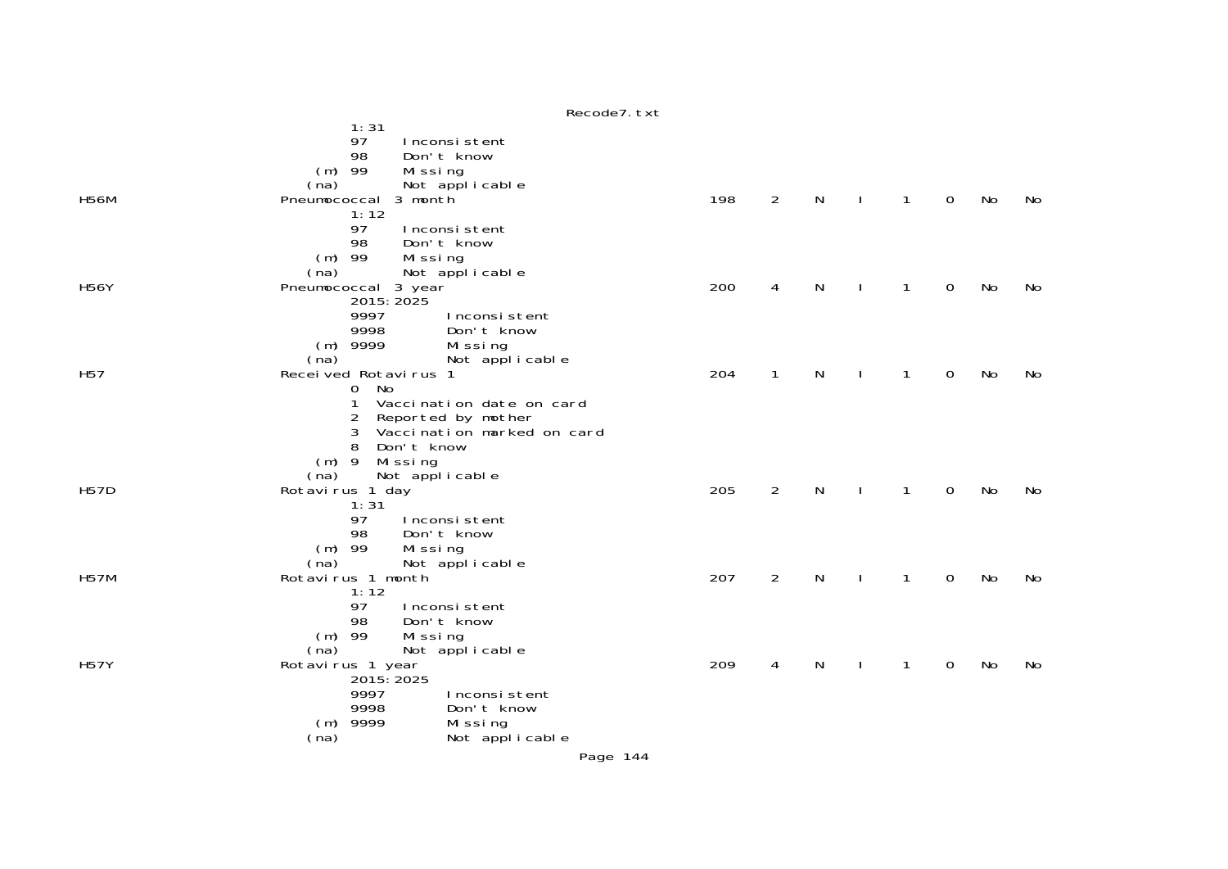|                 | Recode . LXL                                                                                                                                                                      |     |                |   |              |              |             |    |    |
|-----------------|-----------------------------------------------------------------------------------------------------------------------------------------------------------------------------------|-----|----------------|---|--------------|--------------|-------------|----|----|
|                 | 1:31<br>97<br>Inconsistent<br>98<br>Don't know<br>$(m)$ 99<br>Missing                                                                                                             |     |                |   |              |              |             |    |    |
| <b>H56M</b>     | (na) Not applicable<br>Pneumococcal 3 month                                                                                                                                       | 198 | 2              | N | <sup>1</sup> | $\mathbf{1}$ | $\mathbf 0$ | No | No |
|                 | 1:12<br>97<br>Inconsistent<br>98<br>Don't know<br>$(m)$ 99<br>Missing<br>(na)                                                                                                     |     |                |   |              |              |             |    |    |
| <b>H56Y</b>     | Not applicable<br>Pneumococcal 3 year                                                                                                                                             | 200 | 4              | N |              | 1            | $\mathbf 0$ | No | No |
|                 | 2015: 2025<br>9997<br>Inconsistent<br>9998<br>Don't know<br>$(m)$ 9999<br>Missing<br>(na)<br>Not applicable                                                                       |     |                |   |              |              |             |    |    |
| H <sub>57</sub> | Received Rotavirus 1                                                                                                                                                              | 204 | 1              | N |              | 1            | 0           | No | No |
|                 | $\overline{0}$<br>No<br>Vaccination date on card<br>Reported by mother<br>2<br>3<br>Vaccination marked on card<br>Don't know<br>8<br>$(m)$ 9<br>Missing<br>(na)<br>Not applicable |     |                |   |              |              |             |    |    |
| <b>H57D</b>     | Rotavirus 1 day                                                                                                                                                                   | 205 | $\overline{2}$ | N |              | 1            | $\mathbf 0$ | No | No |
|                 | 1:31<br>97<br>Inconsistent<br>98<br>Don't know<br>$(m)$ 99<br>Missing<br>(na)<br>Not applicable                                                                                   |     |                |   |              |              |             |    |    |
| <b>H57M</b>     | Rotavirus 1 month                                                                                                                                                                 | 207 | $\overline{2}$ | N |              | 1            | 0           | No | No |
|                 | 1:12<br>97<br>Inconsistent<br>Don't know<br>98<br>$(m)$ 99<br>Missing<br>Not applicable<br>(na)                                                                                   |     |                |   |              |              |             |    |    |
| <b>H57Y</b>     | Rotavirus 1 year<br>2015: 2025                                                                                                                                                    | 209 | 4              | N |              | 1            | 0           | No | No |
|                 | 9997<br>Inconsistent<br>9998<br>Don't know<br>9999<br>Missing<br>(m)<br>(na)<br>Not applicable                                                                                    |     |                |   |              |              |             |    |    |

 $p_{\alpha \alpha}$ d $q_{\alpha}$ <sup>+</sup>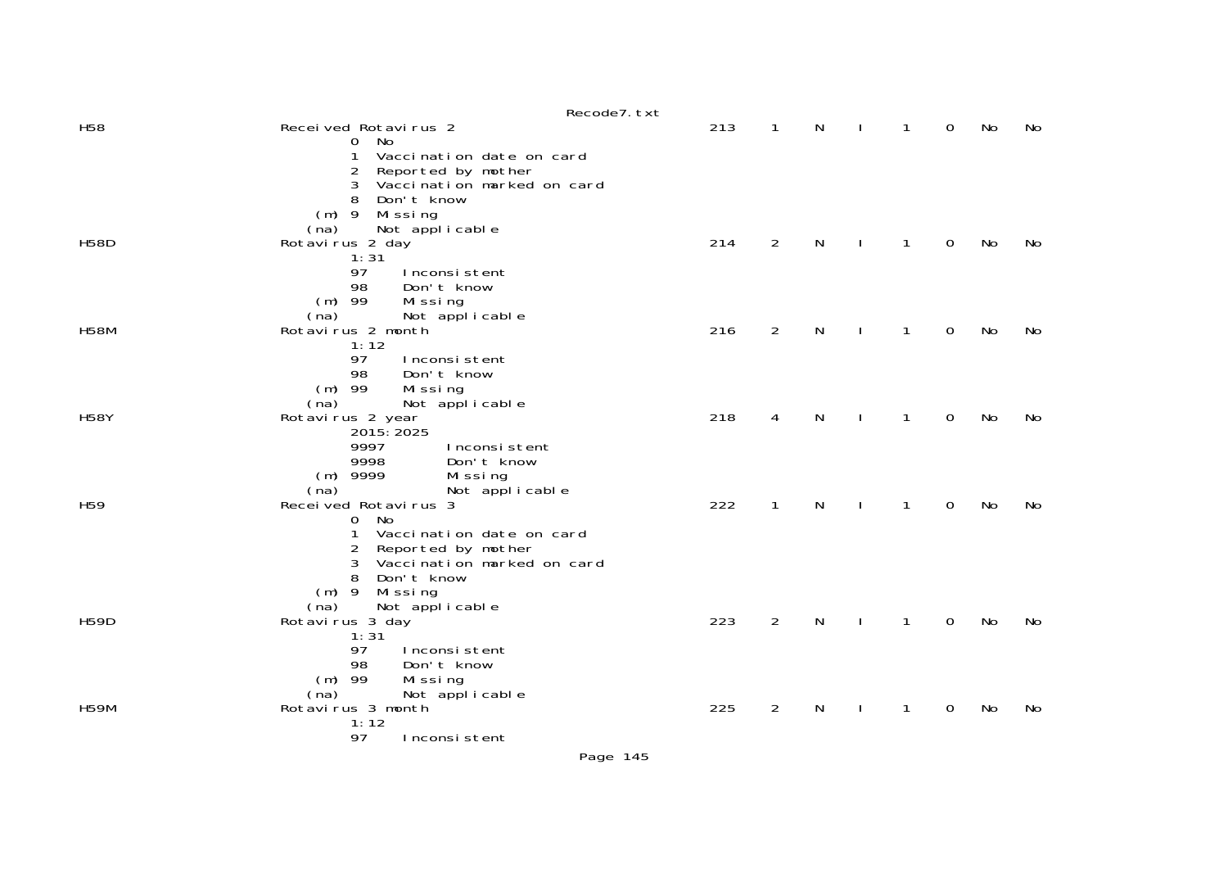|                 |                                                            | Recode7. txt |     |                |   |              |                   |    |
|-----------------|------------------------------------------------------------|--------------|-----|----------------|---|--------------|-------------------|----|
| H <sub>58</sub> | Received Rotavirus 2                                       |              | 213 | $\mathbf{1}$   | N | $\mathbf{1}$ | $\mathbf 0$<br>No | No |
|                 | No<br>$\mathbf{O}$                                         |              |     |                |   |              |                   |    |
|                 | Vaccination date on card<br>1                              |              |     |                |   |              |                   |    |
|                 | Reported by mother<br>2<br>3<br>Vaccination marked on card |              |     |                |   |              |                   |    |
|                 | 8<br>Don't know                                            |              |     |                |   |              |                   |    |
|                 | $(m)$ 9<br>Missing                                         |              |     |                |   |              |                   |    |
|                 | Not applicable<br>(na)                                     |              |     |                |   |              |                   |    |
| <b>H58D</b>     | Rotavirus 2 day                                            |              | 214 | $\overline{2}$ | N | 1            | 0<br>No           | No |
|                 | 1:31                                                       |              |     |                |   |              |                   |    |
|                 | 97<br>Inconsistent                                         |              |     |                |   |              |                   |    |
|                 | 98<br>Don't know<br>$(m)$ 99<br>Missing                    |              |     |                |   |              |                   |    |
|                 | (na)<br>Not applicable                                     |              |     |                |   |              |                   |    |
| <b>H58M</b>     | Rotavirus 2 month                                          |              | 216 | $\overline{2}$ | N | $\mathbf{1}$ | 0<br><b>No</b>    | No |
|                 | 1:12                                                       |              |     |                |   |              |                   |    |
|                 | 97<br>Inconsistent                                         |              |     |                |   |              |                   |    |
|                 | 98<br>Don't know                                           |              |     |                |   |              |                   |    |
|                 | $(m)$ 99<br>Missing                                        |              |     |                |   |              |                   |    |
| <b>H58Y</b>     | Not applicable<br>(na)<br>Rotavirus 2 year                 |              | 218 | 4              | N | $\mathbf{1}$ | $\Omega$<br>No    | No |
|                 | 2015: 2025                                                 |              |     |                |   |              |                   |    |
|                 | 9997<br>Inconsistent                                       |              |     |                |   |              |                   |    |
|                 | 9998<br>Don't know                                         |              |     |                |   |              |                   |    |
|                 | $(m)$ 9999<br>Missing                                      |              |     |                |   |              |                   |    |
|                 | Not applicable<br>(na)                                     |              |     |                |   |              |                   |    |
| H <sub>59</sub> | Received Rotavirus 3<br>No                                 |              | 222 | $\mathbf{1}$   | N | $\mathbf{1}$ | 0<br>No           | No |
|                 | 0<br>Vaccination date on card                              |              |     |                |   |              |                   |    |
|                 | Reported by mother<br>2                                    |              |     |                |   |              |                   |    |
|                 | 3<br>Vaccination marked on card                            |              |     |                |   |              |                   |    |
|                 | 8<br>Don't know                                            |              |     |                |   |              |                   |    |
|                 | $(m)$ 9<br>Missing                                         |              |     |                |   |              |                   |    |
|                 | Not applicable<br>(na)                                     |              |     |                |   |              |                   |    |
| <b>H59D</b>     | Rotavirus 3 day<br>1:31                                    |              | 223 | $\overline{2}$ | N | $\mathbf{1}$ | <b>No</b><br>0    | No |
|                 | 97<br>Inconsistent                                         |              |     |                |   |              |                   |    |
|                 | 98<br>Don't know                                           |              |     |                |   |              |                   |    |
|                 | $(m)$ 99<br>Missing                                        |              |     |                |   |              |                   |    |
|                 | Not applicable<br>(na)                                     |              |     |                |   |              |                   |    |
| <b>H59M</b>     | Rotavirus 3 month                                          |              | 225 | 2              | N | 1            | No<br>0           | No |
|                 | 1:12                                                       |              |     |                |   |              |                   |    |
|                 | 97<br>Inconsistent                                         |              |     |                |   |              |                   |    |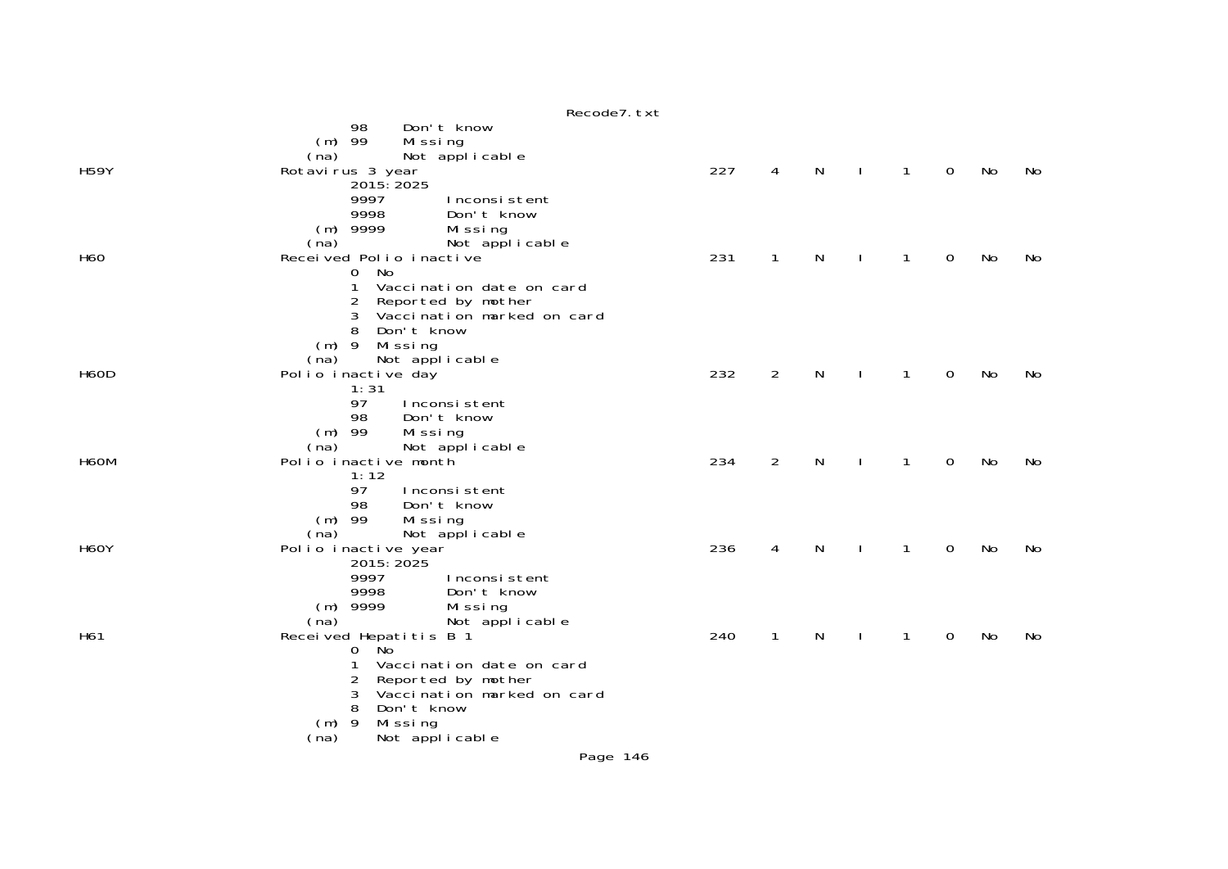|                   | Recode7. txt                                          |     |              |   |              |              |             |           |    |
|-------------------|-------------------------------------------------------|-----|--------------|---|--------------|--------------|-------------|-----------|----|
|                   | Don't know<br>98                                      |     |              |   |              |              |             |           |    |
|                   | $(m)$ 99<br>Missing                                   |     |              |   |              |              |             |           |    |
|                   | Not applicable<br>(na)                                | 227 |              |   |              |              |             |           |    |
| <b>H59Y</b>       | Rotavirus 3 year<br>2015: 2025                        |     | 4            | N | $\mathbf{I}$ | $\mathbf{1}$ | 0           | No        | No |
|                   | 9997<br>Inconsistent                                  |     |              |   |              |              |             |           |    |
|                   | 9998<br>Don't know                                    |     |              |   |              |              |             |           |    |
|                   | $(m)$ 9999<br>Missing                                 |     |              |   |              |              |             |           |    |
|                   | Not applicable<br>(na)                                |     |              |   |              |              |             |           |    |
| H <sub>60</sub>   | Received Polio inactive                               | 231 | $\mathbf{1}$ | N |              | 1            | 0           | No        | No |
|                   | No<br>0<br>1<br>Vaccination date on card              |     |              |   |              |              |             |           |    |
|                   | $\overline{c}$<br>Reported by mother                  |     |              |   |              |              |             |           |    |
|                   | Vaccination marked on card<br>3                       |     |              |   |              |              |             |           |    |
|                   | 8<br>Don't know                                       |     |              |   |              |              |             |           |    |
|                   | $(m)$ 9<br>Missing                                    |     |              |   |              |              |             |           |    |
|                   | Not applicable<br>(na)                                |     | 2            |   |              |              |             |           |    |
| <b>H60D</b>       | Polio inactive day<br>1:31                            | 232 |              | N |              | $\mathbf{1}$ | 0           | No        | No |
|                   | 97<br>Inconsistent                                    |     |              |   |              |              |             |           |    |
|                   | Don't know<br>98                                      |     |              |   |              |              |             |           |    |
|                   | $(m)$ 99<br>Missing                                   |     |              |   |              |              |             |           |    |
|                   | Not applicable<br>(na)                                |     |              |   |              |              |             |           |    |
| H <sub>6</sub> OM | Polio inactive month<br>1:12                          | 234 | 2            | N | $\mathbf{I}$ | $\mathbf{1}$ | $\mathbf 0$ | <b>No</b> | No |
|                   | 97<br>Inconsistent                                    |     |              |   |              |              |             |           |    |
|                   | Don't know<br>98                                      |     |              |   |              |              |             |           |    |
|                   | $(m)$ 99<br>Missing                                   |     |              |   |              |              |             |           |    |
|                   | Not applicable<br>(na)                                |     |              |   |              |              |             |           |    |
| <b>H60Y</b>       | Polio inactive year<br>2015: 2025                     | 236 | 4            | N | $\mathbf{I}$ | $\mathbf{1}$ | $\mathbf 0$ | <b>No</b> | No |
|                   | 9997<br>Inconsistent                                  |     |              |   |              |              |             |           |    |
|                   | 9998<br>Don't know                                    |     |              |   |              |              |             |           |    |
|                   | $(m)$ 9999<br>Missing                                 |     |              |   |              |              |             |           |    |
|                   | Not applicable<br>(na)                                |     |              |   |              |              |             |           |    |
| H61               | Received Hepatitis B 1                                | 240 | $\mathbf{1}$ | N | $\mathbf{I}$ | $\mathbf{1}$ | 0           | <b>No</b> | No |
|                   | <b>No</b><br>0<br>Vaccination date on card<br>1       |     |              |   |              |              |             |           |    |
|                   | 2                                                     |     |              |   |              |              |             |           |    |
|                   | Reported by mother<br>Vaccination marked on card<br>3 |     |              |   |              |              |             |           |    |
|                   | Don't know<br>8                                       |     |              |   |              |              |             |           |    |
|                   | $(m)$ 9<br>Missing                                    |     |              |   |              |              |             |           |    |
|                   | Not applicable<br>(na)                                |     |              |   |              |              |             |           |    |
|                   | Page 146                                              |     |              |   |              |              |             |           |    |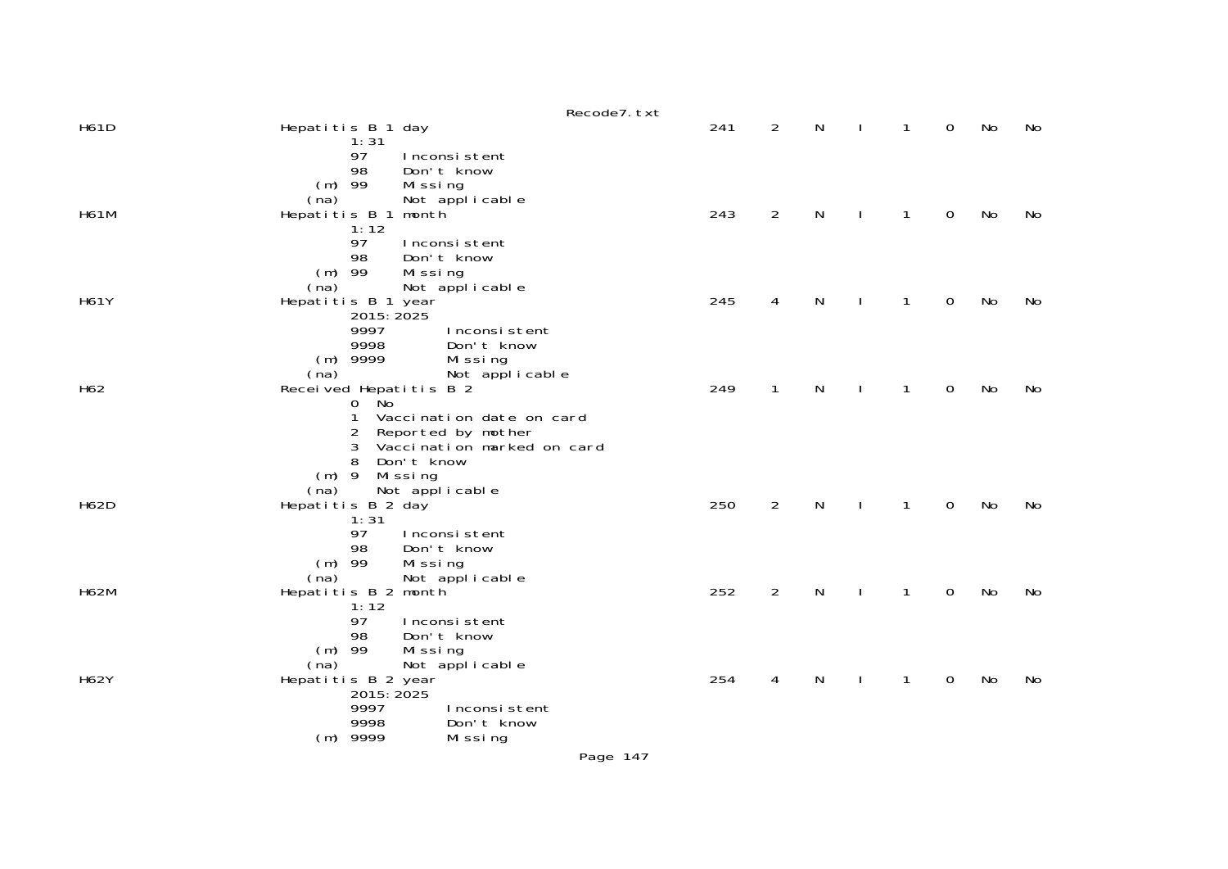|             | Recode7. txt                                                                                                                                                                                |     |                |   |              |                |    |    |
|-------------|---------------------------------------------------------------------------------------------------------------------------------------------------------------------------------------------|-----|----------------|---|--------------|----------------|----|----|
| <b>H61D</b> | Hepatitis B 1 day                                                                                                                                                                           | 241 | $\overline{2}$ | N | $\mathbf{1}$ | $\mathbf 0$    | No | No |
|             | 1:31<br>97<br>Inconsistent<br>98<br>Don't know<br>$(m)$ 99<br>Missing<br>Not applicable<br>(na)                                                                                             |     |                |   |              |                |    |    |
| <b>H61M</b> | month<br>Hepatitis B 1                                                                                                                                                                      | 243 | $\overline{2}$ | N | $\mathbf{1}$ | $\mathbf 0$    | No | No |
|             | 1:12<br>97<br>Inconsistent<br>98<br>Don't know<br>$(m)$ 99<br>Missing                                                                                                                       |     |                |   |              |                |    |    |
| <b>H61Y</b> | Not applicable<br>(na)<br>Hepatitis B 1 year                                                                                                                                                | 245 | 4              | N | 1            | $\Omega$       | No | No |
|             | 2015: 2025<br>9997<br>Inconsistent<br>9998<br>Don't know<br>$(m)$ 9999<br>Missing<br>Not applicable<br>(na)                                                                                 |     |                |   |              |                |    |    |
| H62         | Received Hepatitis B 2                                                                                                                                                                      | 249 | 1              | N | 1            | 0              | No | No |
|             | <b>No</b><br>$\mathbf{O}$<br>1<br>Vaccination date on card<br>2<br>Reported by mother<br>Vaccination marked on card<br>3<br>8<br>Don't know<br>$(m)$ 9<br>Missing<br>Not applicable<br>(na) |     |                |   |              |                |    |    |
| <b>H62D</b> | Hepatitis B 2 day                                                                                                                                                                           | 250 | $\overline{2}$ | N | 1            | $\mathbf 0$    | No | No |
|             | 1:31<br>97<br>Inconsistent<br>Don't know<br>98<br>$(m)$ 99<br>Missing<br>Not applicable<br>(na)                                                                                             |     |                |   |              |                |    |    |
| <b>H62M</b> | Hepatitis B 2 month                                                                                                                                                                         | 252 | $\overline{2}$ | N | 1            | $\mathbf 0$    | No | No |
|             | 1:12<br>97<br>Inconsistent<br>Don't know<br>98<br>$(m)$ 99<br>Missing<br>Not applicable<br>(na)                                                                                             |     |                |   |              |                |    |    |
| <b>H62Y</b> | Hepatitis B 2 year<br>2015: 2025                                                                                                                                                            | 254 | 4              | N | 1            | $\overline{0}$ | No | No |
|             | 9997<br>Inconsistent                                                                                                                                                                        |     |                |   |              |                |    |    |
|             | 9998<br>Don't know<br>$(m)$ 9999<br>Missing                                                                                                                                                 |     |                |   |              |                |    |    |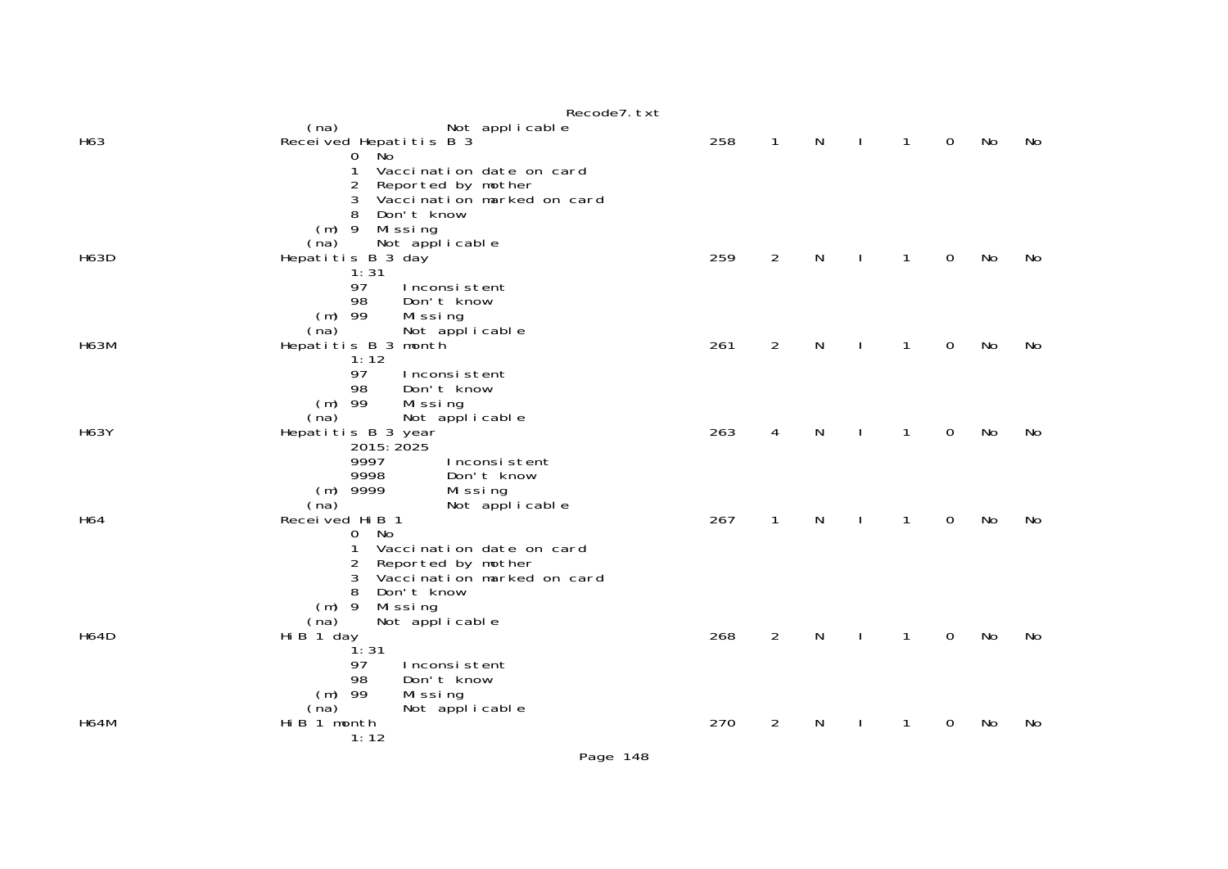|             | Recode7. txt                                                             |     |                |   |              |              |             |           |    |
|-------------|--------------------------------------------------------------------------|-----|----------------|---|--------------|--------------|-------------|-----------|----|
| H63         | (na)<br>Not applicable<br>Received Hepatitis B 3<br>$0$ No               | 258 | $\mathbf{1}$   | N |              | $\mathbf{1}$ | $\Omega$    | <b>No</b> | No |
|             | 1<br>Vaccination date on card<br>2<br>Reported by mother                 |     |                |   |              |              |             |           |    |
|             | Vaccination marked on card<br>3<br>8<br>Don't know<br>$(m)$ 9<br>Missing |     |                |   |              |              |             |           |    |
| <b>H63D</b> | Not applicable<br>(na)<br>Hepatitis B 3 day<br>1:31                      | 259 | $\overline{2}$ | N | $\mathbf{I}$ | $\mathbf{1}$ | $\mathbf 0$ | <b>No</b> | No |
|             | 97<br>Inconsistent                                                       |     |                |   |              |              |             |           |    |
|             | 98<br>Don't know<br>$(m)$ 99<br>Missing<br>(na)<br>Not applicable        |     |                |   |              |              |             |           |    |
| <b>H63M</b> | Hepatitis B 3 month<br>1:12                                              | 261 | $\overline{2}$ | N |              | $\mathbf{1}$ | $\mathbf 0$ | <b>No</b> | No |
|             | 97<br>Inconsistent<br>98<br>Don't know                                   |     |                |   |              |              |             |           |    |
| <b>H63Y</b> | $(m)$ 99<br>Missing<br>Not applicable<br>(na)<br>Hepatitis B 3 year      | 263 | 4              | N |              | $\mathbf{1}$ | $\mathbf 0$ | <b>No</b> | No |
|             | 2015: 2025<br>9997<br>Inconsistent                                       |     |                |   |              |              |             |           |    |
|             | 9998<br>Don't know<br>$(m)$ 9999<br>Missing<br>(na)<br>Not applicable    |     |                |   |              |              |             |           |    |
| H64         | Recei ved Hi B 1<br>- No<br>$\overline{0}$                               | 267 | $\mathbf{1}$   | N |              | $\mathbf{1}$ | $\mathbf 0$ | <b>No</b> | No |
|             | 1<br>Vaccination date on card<br>Reported by mother<br>2                 |     |                |   |              |              |             |           |    |
|             | Vaccination marked on card<br>3<br>8<br>Don't know<br>$(m)$ 9<br>Missing |     |                |   |              |              |             |           |    |
| <b>H64D</b> | Not applicable<br>(na)<br>Hi B 1 day                                     | 268 | $\overline{2}$ | N |              | $\mathbf{1}$ | $\mathbf 0$ | No        | No |
|             | ີ່ 1: 31<br>97<br>Inconsistent<br>98<br>Don't know                       |     |                |   |              |              |             |           |    |
|             | $(m)$ 99<br>Missing<br>Not applicable<br>(na)                            |     |                |   |              |              |             |           |    |
| <b>H64M</b> | Hi B 1 month<br>1:12                                                     | 270 | 2              | N |              | 1            | 0           | No        | No |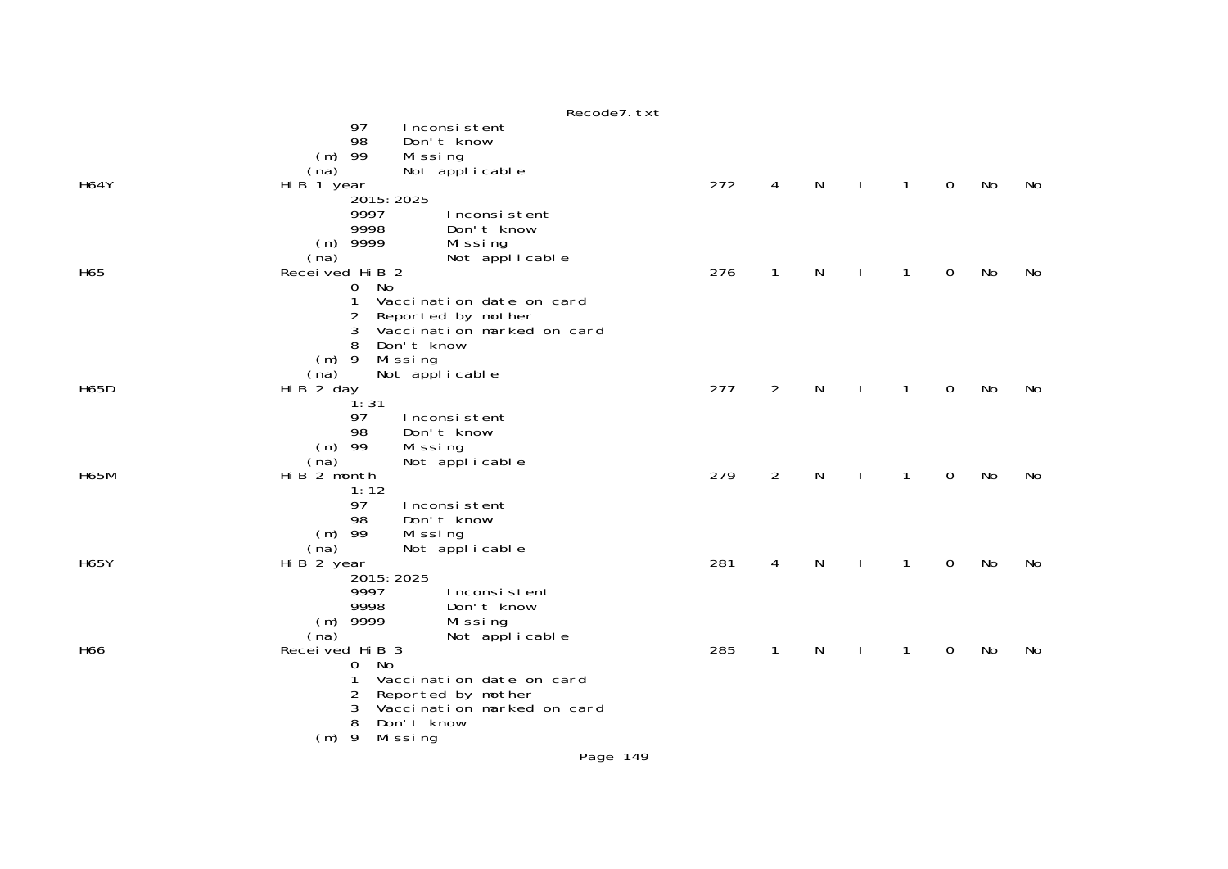|             | Recode7. txt                                                                                                                                                                                                                |     |                |   |              |   |             |    |    |
|-------------|-----------------------------------------------------------------------------------------------------------------------------------------------------------------------------------------------------------------------------|-----|----------------|---|--------------|---|-------------|----|----|
|             | 97<br>Inconsistent<br>98<br>Don't know<br>$(m)$ 99<br>Missing<br>Not applicable<br>(na)                                                                                                                                     |     |                |   |              |   |             |    |    |
| <b>H64Y</b> | Hi B 1 year<br>2015: 2025<br>9997<br>Inconsistent<br>9998<br>Don't know<br>$(m)$ 9999<br>Missing<br>Not applicable<br>(na)                                                                                                  | 272 | 4              | N | J.           | 1 | $\mathbf 0$ | No | No |
| H65         | Received Hi B 2<br><b>No</b><br>$\mathbf{O}$<br>1<br>Vaccination date on card<br>$\overline{2}$<br>Reported by mother<br>Vaccination marked on card<br>3<br>8<br>Don't know<br>$(m)$ 9<br>Missing<br>Not applicable<br>(na) | 276 | $\mathbf{1}$   | N | $\mathbf{I}$ | 1 | 0           | No | No |
| <b>H65D</b> | Hi B 2 day<br>1:31<br>97<br>Inconsistent<br>98<br>Don't know<br>$(m)$ 99<br>Missing<br>Not applicable<br>(na)                                                                                                               | 277 | $\overline{2}$ | N | $\mathbf{I}$ | 1 | 0           | No | No |
| <b>H65M</b> | Hi B 2 month<br>1:12<br>97<br>Inconsistent<br>98<br>Don't know<br>$(m)$ 99<br>Mi ssi ng<br>Not applicable<br>(na)                                                                                                           | 279 | $\overline{2}$ | N | $\mathbf{I}$ | 1 | 0           | No | No |
| <b>H65Y</b> | Hi B 2 year<br>2015: 2025<br>9997<br>Inconsistent<br>9998<br>Don't know<br>$(m)$ 9999<br>Missing<br>Not applicable<br>(na)                                                                                                  | 281 | 4              | N |              | 1 | 0           | No | No |
| H66         | Received Hi B 3<br>No<br>0<br>Vaccination date on card<br>1<br>Reported by mother<br>2<br>Vaccination marked on card<br>3<br>8<br>Don't know<br>$(m)$ 9<br>Missing                                                          | 285 | $\mathbf{1}$   | N |              | 1 | 0           | No | No |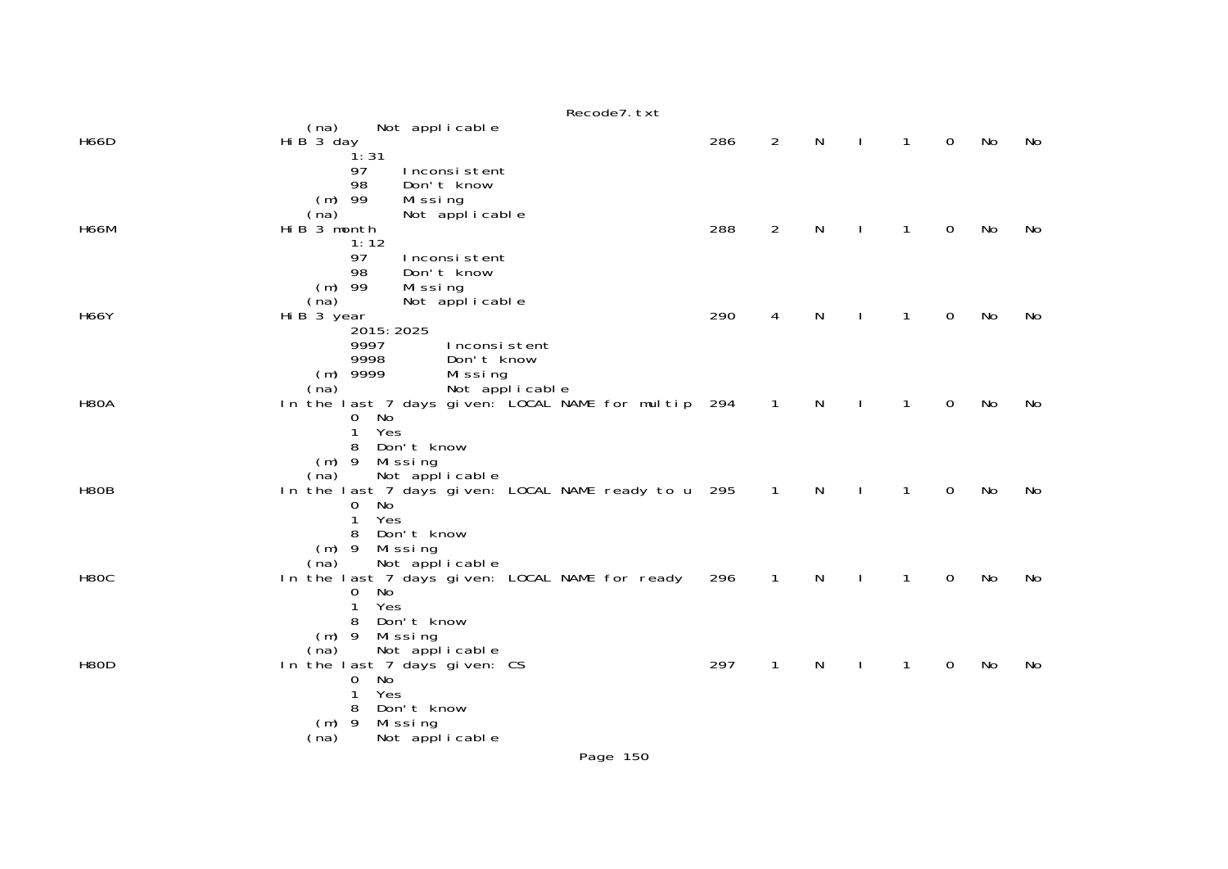|             | Recode7. txt                                                                                                                                                |     |                |   |              |              |             |    |    |
|-------------|-------------------------------------------------------------------------------------------------------------------------------------------------------------|-----|----------------|---|--------------|--------------|-------------|----|----|
| <b>H66D</b> | Not applicable<br>(na)<br>Hi B 3 day<br>1:31                                                                                                                | 286 | $\overline{2}$ | N | $\mathbf{I}$ | $\mathbf{1}$ | 0           | No | No |
| <b>H66M</b> | 97<br>Inconsistent<br>98<br>Don't know<br>$(m)$ 99<br>Missing<br>(na)<br>Not applicable<br>Hi B 3 month<br>1:12                                             | 288 | $\overline{2}$ | N | $\mathbf{I}$ | $\mathbf{1}$ | $\mathbf 0$ | No | No |
| <b>H66Y</b> | 97<br>Inconsistent<br>98<br>Don't know<br>$(m)$ 99<br>Missing<br>(na)<br>Not applicable<br>Hi B 3 year<br>2015: 2025<br>9997<br>Inconsistent                | 290 | 4              | N | $\mathbf{I}$ | $\mathbf{1}$ | $\mathbf 0$ | No | No |
| <b>H80A</b> | 9998<br>Don't know<br>$(m)$ 9999<br>Missing<br>Not applicable<br>(na)<br>In the last 7 days given: LOCAL NAME for multip 294<br>No<br>0<br>1<br>Yes         |     | $\overline{1}$ | N | $\mathbf{I}$ | $\mathbf{1}$ | $\mathbf 0$ | No | No |
| H80B        | Don't know<br>8<br>$(m)$ 9 Missing<br>Not applicable<br>(na)<br>In the last 7 days given: LOCAL NAME ready to u 295<br>No<br>0<br>Yes<br>1                  |     | $\overline{1}$ | N | <sup>1</sup> | 1            | $\mathbf 0$ | No | No |
| H8OC        | Don't know<br>8<br>$(m)$ 9<br>Missing<br>Not applicable<br>(na)<br>In the last 7 days given: LOCAL NAME for ready<br>No<br>0<br>Yes<br>1<br>Don't know<br>8 | 296 | $\mathbf{1}$   | N |              | 1            | $\mathbf 0$ | No | No |
| <b>H80D</b> | Missing<br>$(m)$ 9<br>Not applicable<br>(na)<br>In the last 7 days given: CS<br>No<br>0<br>Yes<br>1<br>Don't know<br>8                                      | 297 | $\mathbf{1}$   | N |              | 1            | 0           | No | No |
|             | $(m)$ 9<br>Missing<br>Not applicable<br>(na)<br>Page 150                                                                                                    |     |                |   |              |              |             |    |    |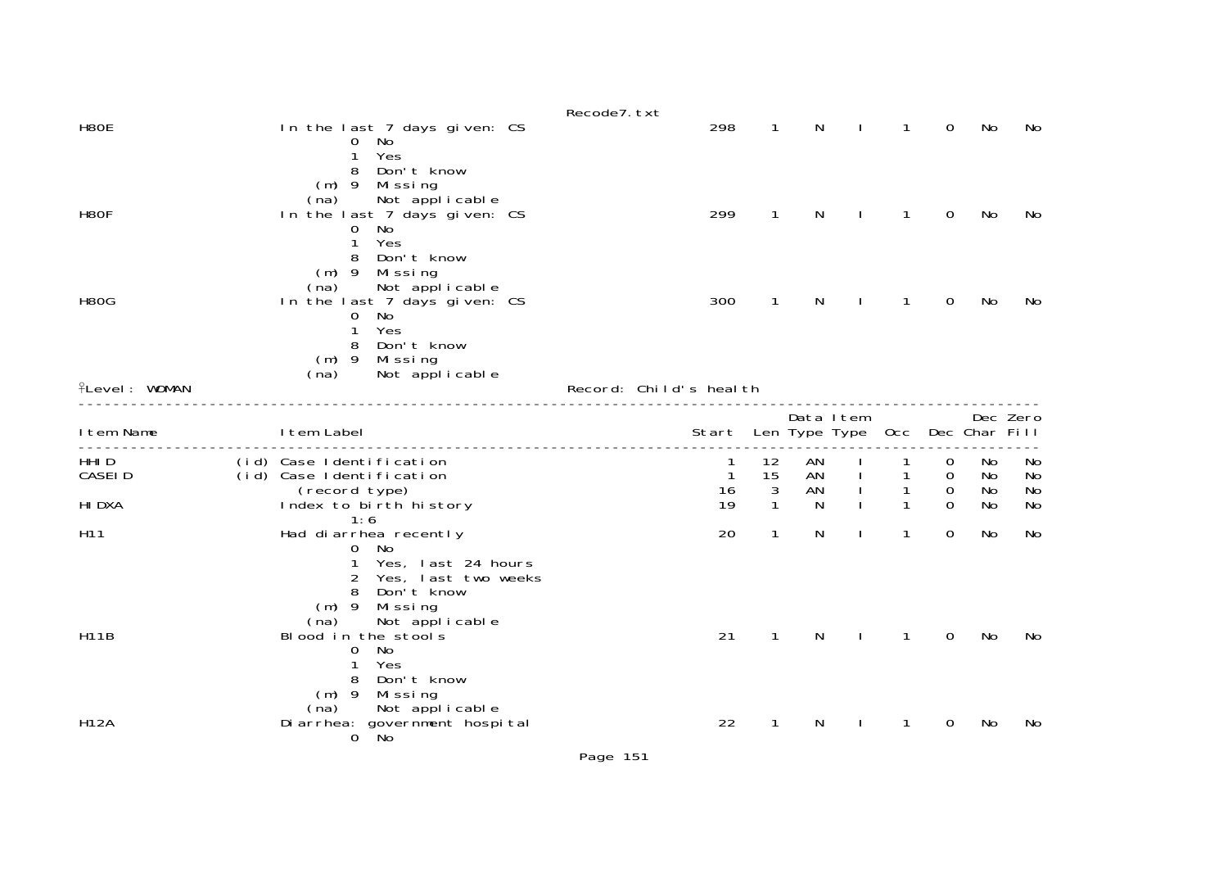| H80E                             | In the last 7 days given: CS<br>No<br>O<br>Yes<br>1                                                                                                            | Recode7. txt | 298                                      | 1                            | N                    |                | 1                                      | 0                       | No                   | No                   |
|----------------------------------|----------------------------------------------------------------------------------------------------------------------------------------------------------------|--------------|------------------------------------------|------------------------------|----------------------|----------------|----------------------------------------|-------------------------|----------------------|----------------------|
| H80F                             | Don't know<br>8<br>$(m)$ 9<br>Mi ssi ng<br>Not applicable<br>(na)<br>In the last 7 days given: CS<br>No<br>0<br>Yes<br>$\mathbf{1}$                            |              | 299                                      | 1                            | N                    |                | 1                                      | 0                       | No                   | No                   |
| <b>H80G</b>                      | 8<br>Don't know<br>(m) 9 Missing<br>Not applicable<br>(na)<br>In the last 7 days given: CS<br>No<br>0<br>Yes<br>1<br>Don't know<br>8                           |              | 300                                      | 1                            | N                    |                | 1                                      | 0                       | No                   | No                   |
| <b>flevel: WOMAN</b>             | (m) 9 Missing<br>Not applicable<br>(na)                                                                                                                        |              | Record: Child's health                   |                              |                      |                |                                        |                         |                      |                      |
| I tem Name                       | I tem Label                                                                                                                                                    |              | Start Len Type Type Occ                  |                              | Data Item            |                |                                        |                         | Dec Char Fill        | Dec Zero             |
| HHI D<br><b>CASEID</b><br>HI DXA | (id) Case Identification<br>(id) Case Identification<br>(record type)<br>Index to birth history                                                                |              | $\mathbf{1}$<br>$\mathbf{1}$<br>16<br>19 | 12<br>15<br>3<br>$\mathbf 1$ | AN<br>AN<br>AN<br>N. |                | 1<br>$\mathbf{1}$<br>1<br>$\mathbf{1}$ | 0<br>0<br>0<br>$\Omega$ | No<br>No<br>No<br>No | No<br>No<br>No<br>No |
| H11                              | 1:6<br>Had di arrhea recently<br>No<br>$\mathbf{0}$                                                                                                            |              | 20                                       | $\mathbf 1$                  | N                    |                | 1                                      | $\Omega$                | No                   | No                   |
| <b>H11B</b>                      | Yes, last 24 hours<br>$\mathbf{1}$<br>Yes, last two weeks<br>2<br>Don't know<br>8<br>(m) 9 Missing<br>Not applicable<br>(na)<br>Blood in the stools<br>No<br>0 |              | 21                                       | $\mathbf{1}$                 | $\mathsf{N}$         | $\blacksquare$ | $\mathbf{1}$                           | $\mathbf 0$             | No                   | No                   |
| <b>H12A</b>                      | Yes<br>1<br>Don't know<br>8<br>$(m)$ 9 Missing<br>Not applicable<br>(na)<br>Di arrhea: government hospi tal<br>No<br>$\mathbf{O}$                              |              | 22                                       | 1                            | N                    | $\mathbf{I}$   | $\mathbf{1}$                           | 0                       | No                   | No                   |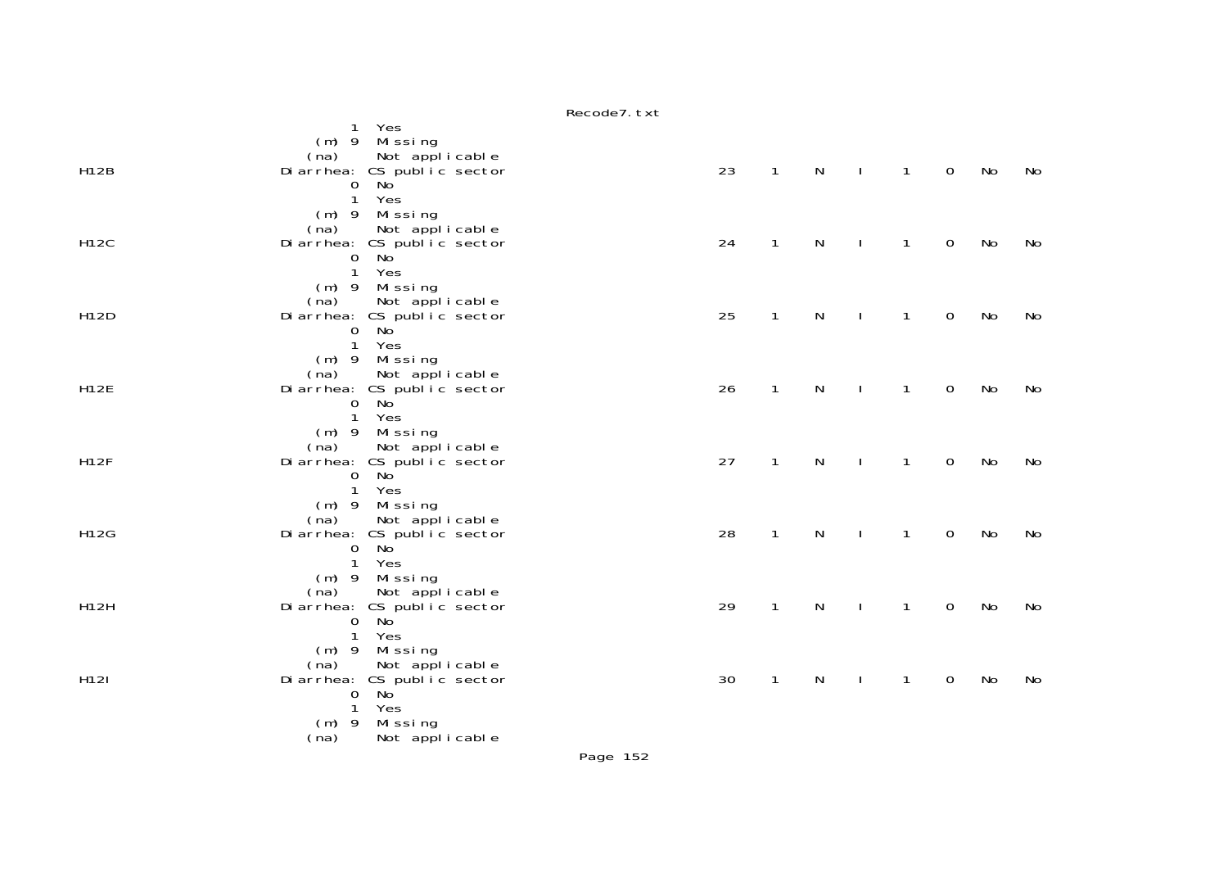|             | Yes<br>$\mathbf{1}$<br>$(m)$ 9 Missing               |    |              |   |              |              |                  |    |    |
|-------------|------------------------------------------------------|----|--------------|---|--------------|--------------|------------------|----|----|
| <b>H12B</b> | (na) Not applicable<br>Diarrhea: CS public sector    | 23 | $\mathbf{1}$ | N | $\mathbf{I}$ | $\mathbf{1}$ | $\mathbf 0$      | No | No |
|             | $0$ No                                               |    |              |   |              |              |                  |    |    |
|             | $\mathbf{1}$<br>Yes                                  |    |              |   |              |              |                  |    |    |
|             | (m) 9 Missing<br>(na) Not applicable                 |    |              |   |              |              |                  |    |    |
| <b>H12C</b> | Diarrhea: CS public sector                           | 24 | $\mathbf{1}$ | N |              | $\mathbf{1}$ | $\mathbf 0$      | No | No |
|             | No <sup>'</sup><br>$\mathbf 0$<br>$\overline{1}$     |    |              |   |              |              |                  |    |    |
|             | Yes<br>$(m)$ 9 Missing                               |    |              |   |              |              |                  |    |    |
|             | (na)<br>Not applicable                               |    |              |   |              |              |                  |    |    |
| H12D        | Diarrhea: CS public sector                           | 25 | $\mathbf{1}$ | N |              | $\mathbf{1}$ | $\mathbf 0$      | No | No |
|             | No<br>$\overline{0}$<br>$\mathbf{1}$<br>Yes          |    |              |   |              |              |                  |    |    |
|             | (m) 9 Missing                                        |    |              |   |              |              |                  |    |    |
|             | (na)<br>Not applicable                               |    |              |   |              |              |                  |    |    |
| <b>H12E</b> | Diarrhea: CS public sector                           | 26 | $\mathbf{1}$ | N | $\mathbf{I}$ | $\mathbf{1}$ | $\mathbf 0$      | No | No |
|             | $0$ No<br>$\mathbf{1}$<br>Yes                        |    |              |   |              |              |                  |    |    |
|             | (m) 9 Missing                                        |    |              |   |              |              |                  |    |    |
|             | Not applicable<br>(na)                               |    |              |   |              |              |                  |    |    |
| <b>H12F</b> | Diarrhea: CS public sector<br>0 No                   | 27 | $\mathbf{1}$ | N |              | $\mathbf{1}$ | $\mathbf 0$      | No | No |
|             | $\mathbf{1}$<br>Yes                                  |    |              |   |              |              |                  |    |    |
|             | $(m)$ 9 Missing                                      |    |              |   |              |              |                  |    |    |
| H12G        | Not applicable<br>(na)<br>Diarrhea: CS public sector | 28 | $\mathbf{1}$ | N |              | $\mathbf{1}$ | $\boldsymbol{0}$ | No | No |
|             | No <sup>'</sup><br>$\mathbf{O}$                      |    |              |   |              |              |                  |    |    |
|             | Yes<br>$\mathbf{1}$                                  |    |              |   |              |              |                  |    |    |
|             | (m) 9 Missing<br>Not applicable<br>(na)              |    |              |   |              |              |                  |    |    |
| <b>H12H</b> | Diarrhea: CS public sector                           | 29 | $\mathbf{1}$ | N | $\mathbf{I}$ | $\mathbf{1}$ | $\mathbf 0$      | No | No |
|             | $0$ No                                               |    |              |   |              |              |                  |    |    |
|             | $\mathbf{1}$<br>Yes                                  |    |              |   |              |              |                  |    |    |
|             | (m) 9 Missing<br>Not applicable<br>(na)              |    |              |   |              |              |                  |    |    |
| H12I        | Diarrhea: CS public sector<br>0 No                   | 30 | $\mathbf{1}$ | N |              | $\mathbf{1}$ | $\mathbf 0$      | No | No |
|             |                                                      |    |              |   |              |              |                  |    |    |
|             | $\mathbf{1}$<br>Yes<br>$(m)$ 9<br>Missing            |    |              |   |              |              |                  |    |    |
|             | (na)<br>Not applicable                               |    |              |   |              |              |                  |    |    |

## Recode7.txt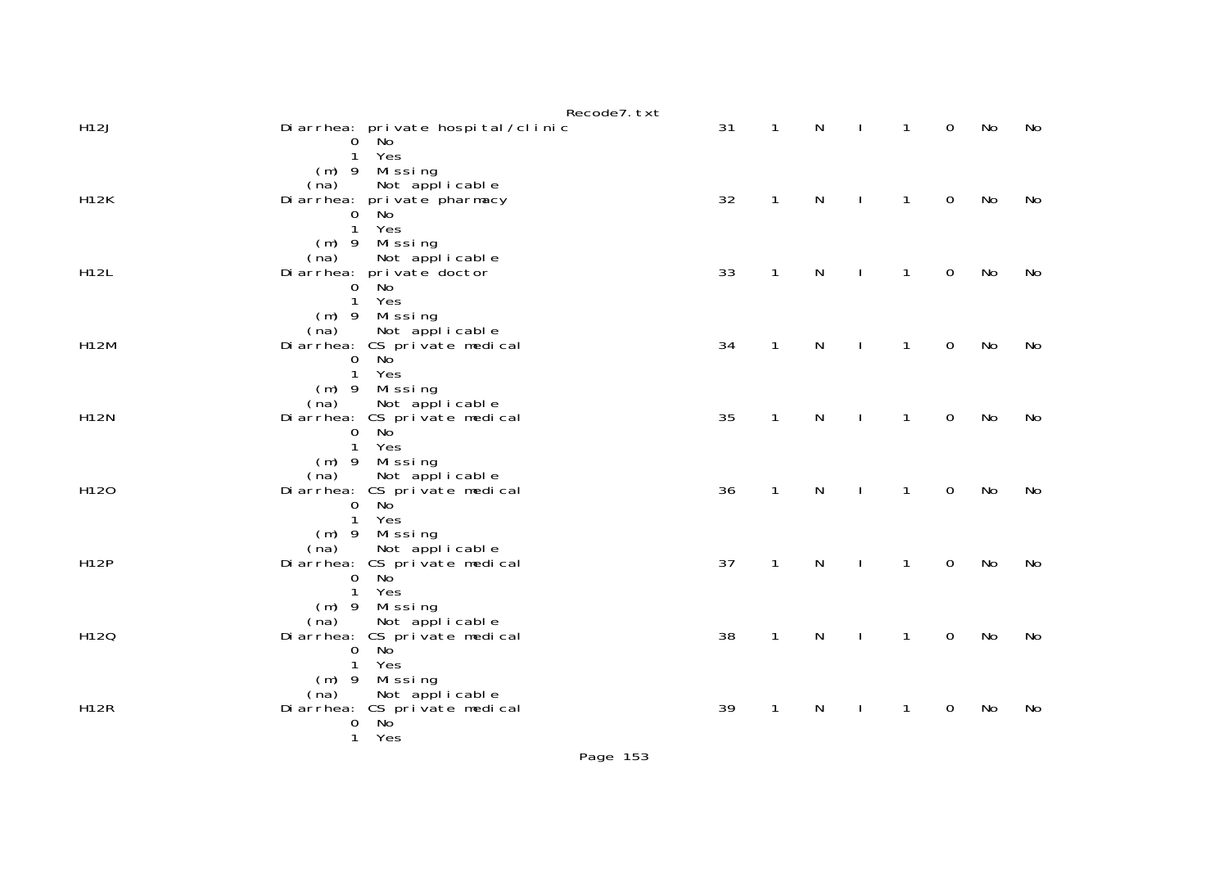| Di arrhea: pri vate hospi tal / clinic<br>$0$ No      | 31                                                                                                                                                                                                                                                                                                                                                                                                                                                                                                           | $\mathbf{1}$   | N                                           | $\perp$      | $\mathbf{1}$                            | $\mathbf 0$                                  | No                                        | No             |
|-------------------------------------------------------|--------------------------------------------------------------------------------------------------------------------------------------------------------------------------------------------------------------------------------------------------------------------------------------------------------------------------------------------------------------------------------------------------------------------------------------------------------------------------------------------------------------|----------------|---------------------------------------------|--------------|-----------------------------------------|----------------------------------------------|-------------------------------------------|----------------|
| (m) 9 Missing                                         |                                                                                                                                                                                                                                                                                                                                                                                                                                                                                                              |                |                                             |              |                                         |                                              |                                           |                |
| Di arrhea: pri vate pharmacy                          | 32                                                                                                                                                                                                                                                                                                                                                                                                                                                                                                           | $\mathbf{1}$   | $\mathsf{N}$                                | $\perp$      | $\mathbf{1}$                            | $\mathbf 0$                                  | No                                        | No             |
| Yes<br>$\mathbf{1}$                                   |                                                                                                                                                                                                                                                                                                                                                                                                                                                                                                              |                |                                             |              |                                         |                                              |                                           |                |
| Not applicable<br>(na)                                |                                                                                                                                                                                                                                                                                                                                                                                                                                                                                                              |                |                                             |              |                                         |                                              |                                           | No             |
| $0$ No                                                |                                                                                                                                                                                                                                                                                                                                                                                                                                                                                                              |                |                                             |              |                                         |                                              |                                           |                |
| $(m)$ 9 Missing                                       |                                                                                                                                                                                                                                                                                                                                                                                                                                                                                                              |                |                                             |              |                                         |                                              |                                           |                |
| Di arrhea: CS pri vate medi cal<br>No<br>$\mathbf{0}$ | 34                                                                                                                                                                                                                                                                                                                                                                                                                                                                                                           | $\mathbf{1}$   | $\mathsf{N}$                                | $\mathbf{I}$ | $\mathbf{1}$                            | $\mathbf 0$                                  | No                                        | No             |
| (m) 9 Missing                                         |                                                                                                                                                                                                                                                                                                                                                                                                                                                                                                              |                |                                             |              |                                         |                                              |                                           |                |
| Di arrhea: CS pri vate medi cal                       | 35                                                                                                                                                                                                                                                                                                                                                                                                                                                                                                           | $\mathbf{1}$   | N                                           | $\perp$      | $\mathbf{1}$                            | $\mathbf 0$                                  | No                                        | No             |
| 1 Yes                                                 |                                                                                                                                                                                                                                                                                                                                                                                                                                                                                                              |                |                                             |              |                                         |                                              |                                           |                |
| Not applicable<br>(na)                                |                                                                                                                                                                                                                                                                                                                                                                                                                                                                                                              |                |                                             |              |                                         |                                              |                                           | No             |
| No <sup>'</sup><br>$\mathbf 0$                        |                                                                                                                                                                                                                                                                                                                                                                                                                                                                                                              |                |                                             |              |                                         |                                              |                                           |                |
| (m) 9 Missing                                         |                                                                                                                                                                                                                                                                                                                                                                                                                                                                                                              |                |                                             |              |                                         |                                              |                                           |                |
| No <sup>'</sup><br>0                                  | 37                                                                                                                                                                                                                                                                                                                                                                                                                                                                                                           | $\mathbf{1}$   | N                                           | $\mathbf{I}$ | $\mathbf{1}$                            | $\mathbf 0$                                  | No                                        | No             |
| (m) 9 Missing                                         |                                                                                                                                                                                                                                                                                                                                                                                                                                                                                                              |                |                                             |              |                                         |                                              |                                           |                |
| Di arrhea: CS pri vate medi cal                       | 38                                                                                                                                                                                                                                                                                                                                                                                                                                                                                                           | $\mathbf{1}$   | $\mathsf{N}$                                | $\sim$ 1     | $\mathbf{1}$                            | $\mathbf 0$                                  | No                                        | No             |
| 1 Yes                                                 |                                                                                                                                                                                                                                                                                                                                                                                                                                                                                                              |                |                                             |              |                                         |                                              |                                           |                |
| Not applicable<br>(na)                                |                                                                                                                                                                                                                                                                                                                                                                                                                                                                                                              |                |                                             |              |                                         |                                              |                                           | No             |
| No <sup>'</sup><br>0<br>$\mathbf{1}$<br>Yes           |                                                                                                                                                                                                                                                                                                                                                                                                                                                                                                              |                |                                             |              |                                         |                                              |                                           |                |
|                                                       | Recode7.txt<br>Yes<br>$\mathbf{1}$<br>Not applicable<br>(na)<br>$0$ No<br>$(m)$ 9 Missing<br>Di arrhea: pri vate doctor<br>$\mathbf{1}$<br>Yes<br>Not applicable<br>(na)<br>$\mathbf{1}$<br>Yes<br>Not applicable<br>(na)<br>No<br>$\Omega$<br>(m) 9 Missing<br>Di arrhea: CS pri vate medi cal<br>$\mathbf{1}$<br>Yes<br>Not applicable<br>(na)<br>Di arrhea: CS pri vate medi cal<br>1 Yes<br>Not applicable<br>(na)<br>No <sup>'</sup><br>$\mathbf 0$<br>(m) 9 Missing<br>Di arrhea: CS pri vate medi cal | 33<br>36<br>39 | $\mathbf 1$<br>$\mathbf{1}$<br>$\mathbf{1}$ | N<br>N<br>N  | $\perp$<br>$\mathbf{I}$<br>$\mathbf{I}$ | $\mathbf{1}$<br>$\mathbf{1}$<br>$\mathbf{1}$ | $\mathbf 0$<br>$\mathbf 0$<br>$\mathbf 0$ | No<br>No<br>No |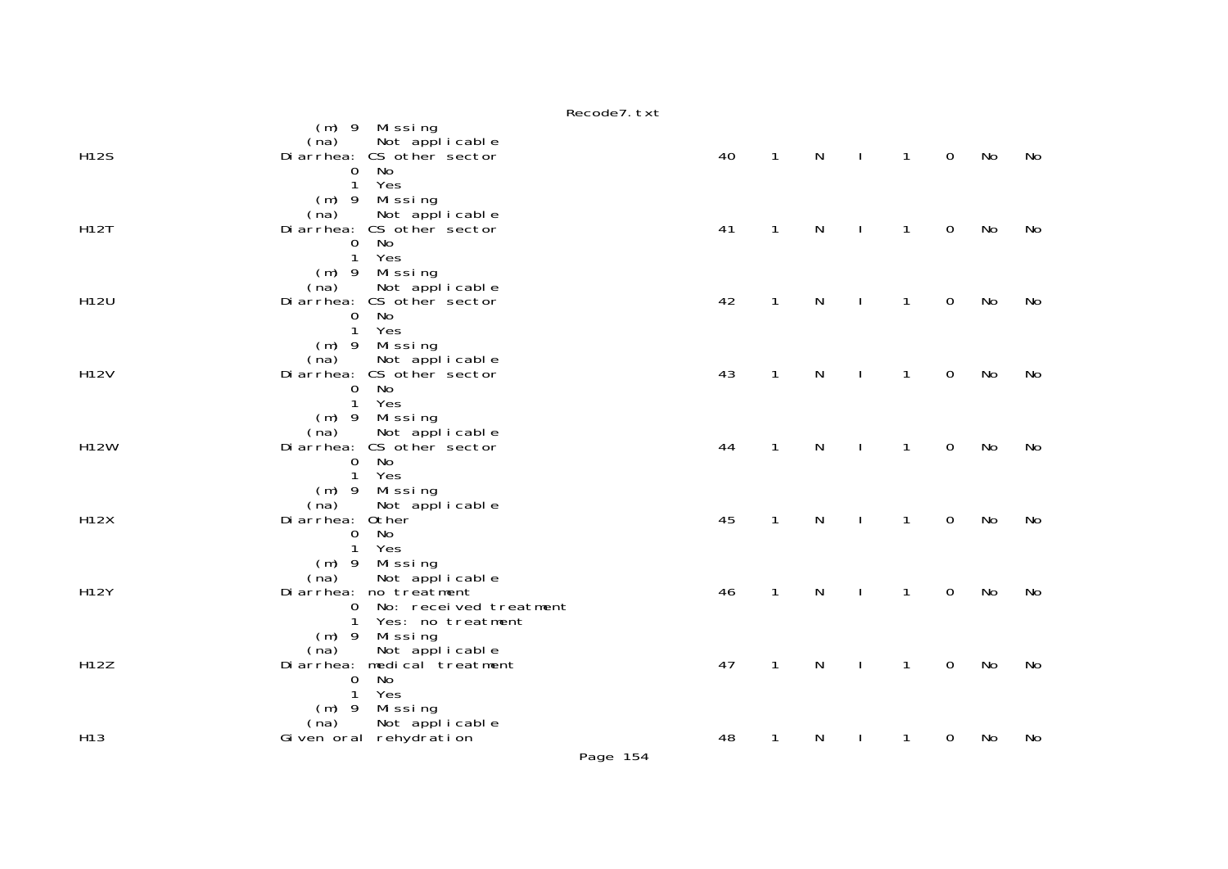Recode7.txt

| <b>H12S</b>     | $(m)$ 9 Missing<br>Not applicable<br>(na)<br>Di arrhea: CS other sector<br>No<br>0                                                              | 40 | $\mathbf{1}$ | N | $\mathbf{I}$ | $\mathbf{1}$ | $\mathbf 0$ | No | No |
|-----------------|-------------------------------------------------------------------------------------------------------------------------------------------------|----|--------------|---|--------------|--------------|-------------|----|----|
| <b>H12T</b>     | $\mathbf{1}$<br>Yes<br>(m) 9 Missing<br>Not applicable<br>(na)<br>Di arrhea: CS other sector<br><b>No</b><br>$\mathbf 0$<br>$\mathbf{1}$<br>Yes | 41 | 1            | N | $\mathbf{I}$ | $\mathbf{1}$ | $\mathbf 0$ | No | No |
| H12U            | $(m)$ 9<br>Missing<br>(na)<br>Not applicable<br>Di arrhea: CS other sector<br>No<br>0<br>Yes<br>$\mathbf{1}$                                    | 42 | $\mathbf{1}$ | N | Ι.           | $\mathbf{1}$ | $\mathbf 0$ | No | No |
| H12V            | $(m)$ 9 Missing<br>Not applicable<br>(na)<br>Di arrhea: CS other sector<br>No<br>$\mathbf{0}$<br>$\mathbf{1}$<br>Yes                            | 43 | $\mathbf{1}$ | N | $\mathbf{I}$ | $\mathbf{1}$ | $\mathbf 0$ | No | No |
| <b>H12W</b>     | Missing<br>$(m)$ 9<br>Not applicable<br>(na)<br>Di arrhea: CS other sector<br>No<br>$\mathbf 0$<br>$\mathbf{1}$<br>Yes                          | 44 | $\mathbf{1}$ | N |              | 1            | 0           | No | No |
| <b>H12X</b>     | $(m)$ 9<br>Mi ssi ng<br>(na)<br>Not applicable<br>Di arrhea: Other<br>No<br>$\mathbf 0$<br>$\mathbf{1}$<br>Yes                                  | 45 | 1            | N |              | 1            | 0           | No | No |
| <b>H12Y</b>     | $(m)$ 9<br>Mi ssi ng<br>Not applicable<br>(na)<br>Di arrhea: no treatment<br>No: received treatment<br>$\mathbf{O}$<br>1<br>Yes: no treatment   | 46 | $\mathbf{1}$ | N | $\mathbf{I}$ | $\mathbf{1}$ | $\mathbf 0$ | No | No |
| H12Z            | $(m)$ 9<br>Missing<br>Not applicable<br>(na)<br>Di arrhea: medi cal treatment<br>No<br>0<br>Yes<br>$\mathbf{1}$                                 | 47 | $\mathbf{1}$ | N | Ι.           | $\mathbf{1}$ | $\mathbf 0$ | No | No |
| H <sub>13</sub> | $(m)$ 9 Missing<br>Not applicable<br>(na)<br>Given oral rehydration                                                                             | 48 | 1            | N | $\mathbf{I}$ | 1            | 0           | No | No |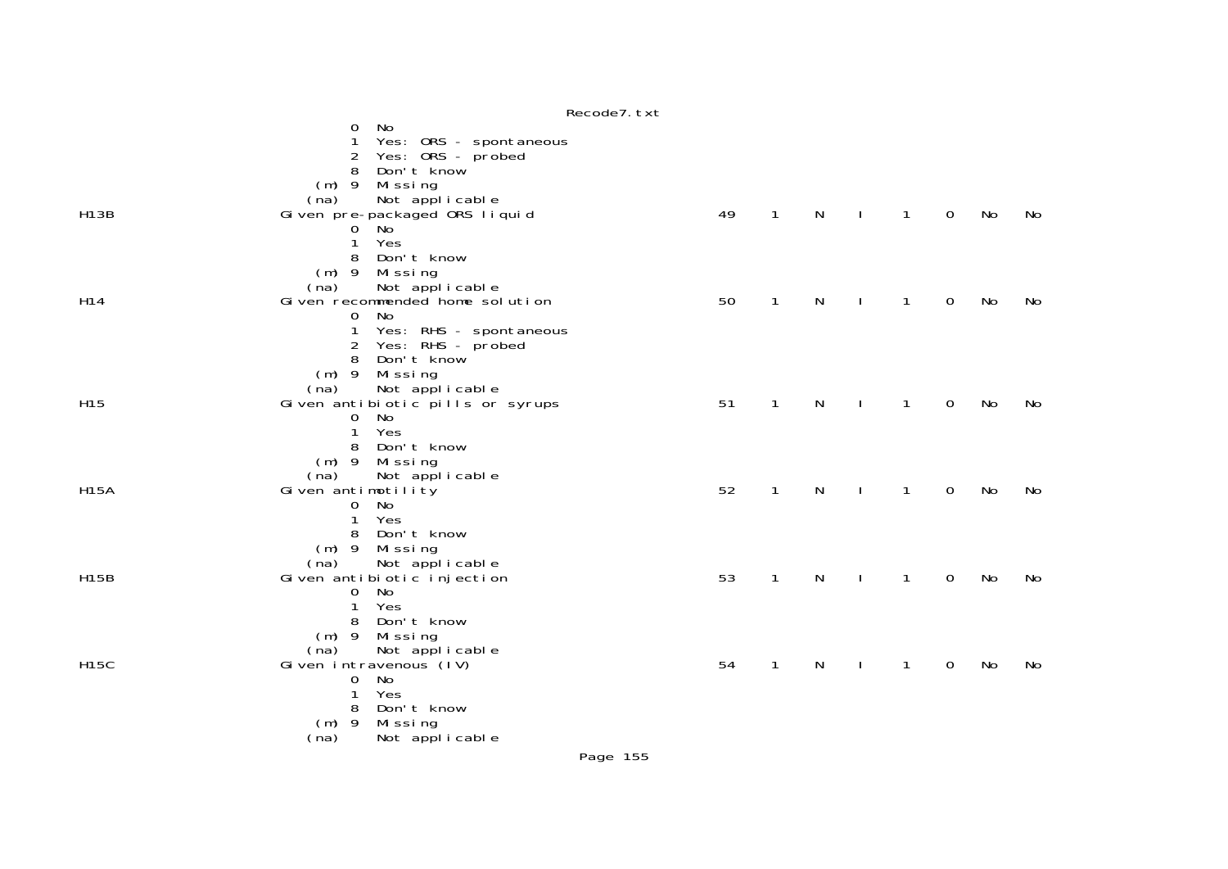|                 | Recode7. txt                                                                                                                                                               |    |              |              |              |              |                |    |    |
|-----------------|----------------------------------------------------------------------------------------------------------------------------------------------------------------------------|----|--------------|--------------|--------------|--------------|----------------|----|----|
|                 | No<br>0<br>Yes: ORS - spontaneous<br>1<br>Yes: ORS - probed<br>2                                                                                                           |    |              |              |              |              |                |    |    |
| <b>H13B</b>     | Don't know<br>8<br>(m) 9 Missing<br>Not applicable<br>(na)<br>Gi ven pre-packaged ORS liquid<br><b>No</b><br>$\Omega$<br>Yes<br>1                                          | 49 | $\mathbf{1}$ | $\mathsf{N}$ |              | $\mathbf{1}$ | $\overline{0}$ | No | No |
| H14             | Don't know<br>8<br>(m) 9 Missing<br>Not applicable<br>(na)<br>Given recommended home solution<br>No<br>$\mathbf{O}$<br>Yes: RHS - spontaneous<br>1                         | 50 | $\mathbf{1}$ | $\mathsf{N}$ | $\mathbf{I}$ | $\mathbf{1}$ | $\mathbf 0$    | No | No |
| H <sub>15</sub> | Yes: RHS - probed<br>2<br>Don't know<br>8<br>(m) 9 Missing<br>Not applicable<br>(na)<br>Given antibiotic pills or syrups<br><b>No</b><br>$\mathbf{O}$<br>1<br>Yes          | 51 | $\mathbf{1}$ | $\mathsf{N}$ |              | $\mathbf{1}$ | $\mathbf 0$    | No | No |
| <b>H15A</b>     | 8 Don't know<br>(m) 9 Missing<br>Not applicable<br>(na)<br>Given antimotility<br>No<br>$\mathbf 0$<br>Yes<br>$\mathbf{1}$<br>Don't know                                    | 52 | $\mathbf{1}$ | $\mathsf{N}$ | $\mathbf{I}$ | $\mathbf{1}$ | $\mathbf 0$    | No | No |
| <b>H15B</b>     | 8<br>(m) 9 Missing<br>Not applicable<br>(na)<br>Given antibiotic injection<br>No<br>$\mathbf{O}$<br>Yes<br>$\mathbf{1}$<br>Don't know<br>8                                 | 53 | $\mathbf{1}$ | $\mathsf{N}$ | J.           | $\mathbf{1}$ | $\mathbf 0$    | No | No |
| <b>H15C</b>     | Missing<br>$(m)$ 9<br>Not applicable<br>(na)<br>Given intravenous (IV)<br><b>No</b><br>0<br>1<br>Yes<br>Don't know<br>8<br>- 9<br>Missing<br>(m)<br>Not applicable<br>(na) | 54 | $\mathbf{1}$ | N            |              | 1            | $\mathbf 0$    | No | No |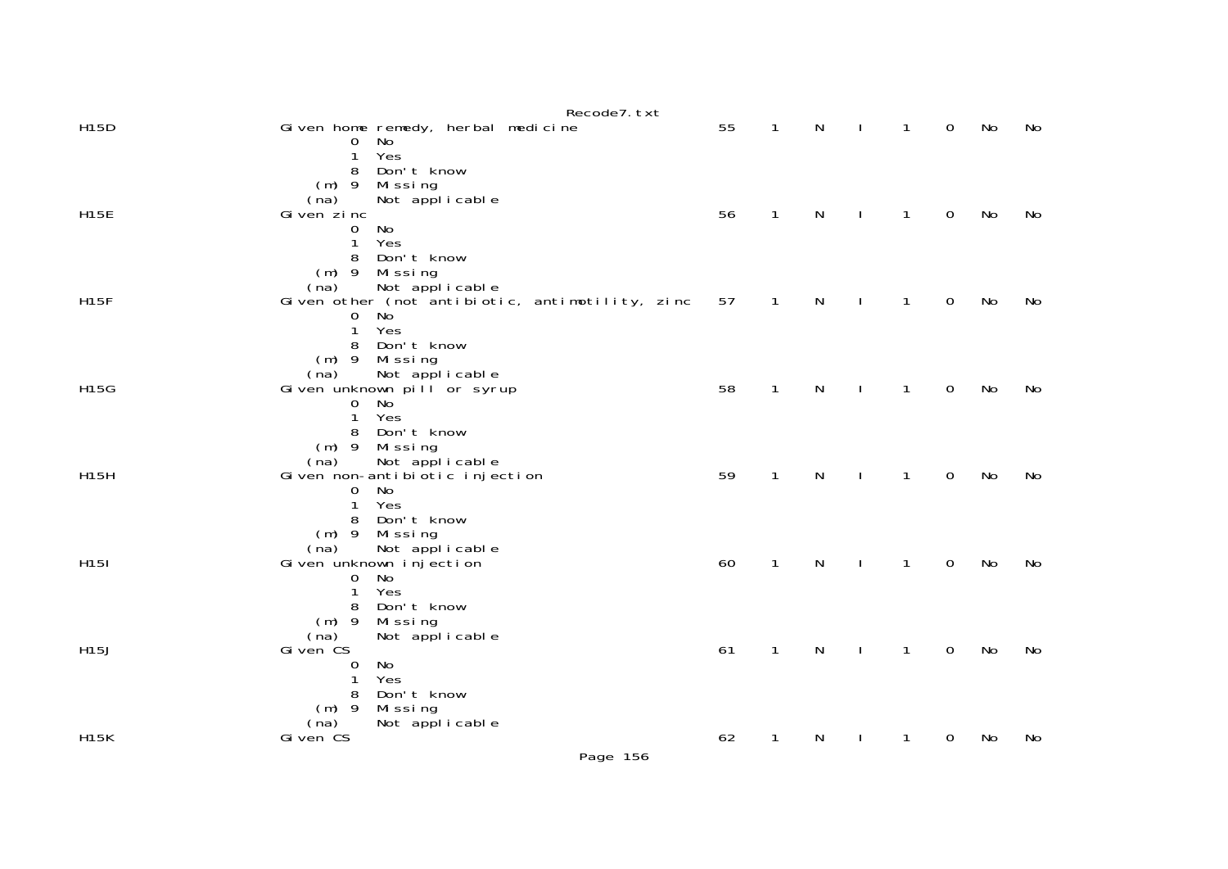| Given home remedy, herbal medicine<br>No<br>0     | 55                                                                                                                                                                                                                                                                                                                                                                                                                                                                    | 1              | N      |                     | $\mathbf{1}$ | $\mathbf 0$ | No                                        | No             |
|---------------------------------------------------|-----------------------------------------------------------------------------------------------------------------------------------------------------------------------------------------------------------------------------------------------------------------------------------------------------------------------------------------------------------------------------------------------------------------------------------------------------------------------|----------------|--------|---------------------|--------------|-------------|-------------------------------------------|----------------|
| Don't know<br>8<br>$(m)$ 9<br>Missing             |                                                                                                                                                                                                                                                                                                                                                                                                                                                                       |                |        |                     |              |             |                                           |                |
| Given zinc                                        | 56                                                                                                                                                                                                                                                                                                                                                                                                                                                                    | 1              | N      |                     | 1            | $\mathbf 0$ | No                                        | No             |
| No<br>0<br>Yes<br>$\mathbf{1}$<br>Don't know<br>8 |                                                                                                                                                                                                                                                                                                                                                                                                                                                                       |                |        |                     |              |             |                                           |                |
| $(m)$ 9<br>Missing                                |                                                                                                                                                                                                                                                                                                                                                                                                                                                                       |                |        |                     |              |             |                                           |                |
| Given other (not antibiotic, antimotility, zinc   | 57                                                                                                                                                                                                                                                                                                                                                                                                                                                                    | $\mathbf{1}$   | N      |                     | 1            | $\mathbf 0$ | No                                        | No             |
| 0                                                 |                                                                                                                                                                                                                                                                                                                                                                                                                                                                       |                |        |                     |              |             |                                           |                |
| Don't know<br>8                                   |                                                                                                                                                                                                                                                                                                                                                                                                                                                                       |                |        |                     |              |             |                                           |                |
|                                                   |                                                                                                                                                                                                                                                                                                                                                                                                                                                                       |                |        |                     |              |             |                                           |                |
| Given unknown pill or syrup                       | 58                                                                                                                                                                                                                                                                                                                                                                                                                                                                    | 1              | N      |                     | 1            | $\mathbf 0$ | No                                        | No             |
| Yes<br>$\mathbf{1}$                               |                                                                                                                                                                                                                                                                                                                                                                                                                                                                       |                |        |                     |              |             |                                           |                |
| Don't know<br>8                                   |                                                                                                                                                                                                                                                                                                                                                                                                                                                                       |                |        |                     |              |             |                                           |                |
| (na)                                              |                                                                                                                                                                                                                                                                                                                                                                                                                                                                       |                |        |                     |              |             |                                           |                |
|                                                   |                                                                                                                                                                                                                                                                                                                                                                                                                                                                       |                |        |                     |              |             |                                           | No             |
| Yes<br>$\mathbf{1}$                               |                                                                                                                                                                                                                                                                                                                                                                                                                                                                       |                |        |                     |              |             |                                           |                |
|                                                   |                                                                                                                                                                                                                                                                                                                                                                                                                                                                       |                |        |                     |              |             |                                           |                |
| Not applicable<br>(na)                            |                                                                                                                                                                                                                                                                                                                                                                                                                                                                       |                |        |                     |              |             |                                           |                |
| No<br>0                                           |                                                                                                                                                                                                                                                                                                                                                                                                                                                                       |                |        |                     |              |             |                                           | No             |
| $\mathbf{1}$                                      |                                                                                                                                                                                                                                                                                                                                                                                                                                                                       |                |        |                     |              |             |                                           |                |
| $(m)$ 9<br>Missing                                |                                                                                                                                                                                                                                                                                                                                                                                                                                                                       |                |        |                     |              |             |                                           |                |
|                                                   |                                                                                                                                                                                                                                                                                                                                                                                                                                                                       | 1              |        |                     | 1            |             |                                           | No             |
| No<br>0                                           |                                                                                                                                                                                                                                                                                                                                                                                                                                                                       |                |        |                     |              |             |                                           |                |
| Don't know<br>8                                   |                                                                                                                                                                                                                                                                                                                                                                                                                                                                       |                |        |                     |              |             |                                           |                |
|                                                   |                                                                                                                                                                                                                                                                                                                                                                                                                                                                       |                |        |                     |              |             |                                           |                |
| Gi ven CS                                         | 62                                                                                                                                                                                                                                                                                                                                                                                                                                                                    | 1              | N      |                     | 1            | $\mathbf 0$ | No                                        | No             |
|                                                   | Recode7. txt<br>Yes<br>$\mathbf{1}$<br>Not applicable<br>(na)<br>Not applicable<br>(na)<br>No<br>Yes<br>$\mathbf{1}$<br>$(m)$ 9<br>Missing<br>Not applicable<br>(na)<br>No<br>0<br>$(m)$ 9<br>Missing<br>Not applicable<br>Given non-antibiotic injection<br>No<br>0<br>Don't know<br>8<br>$(m)$ 9<br>Missing<br>Given unknown injection<br>Yes<br>Don't know<br>8<br>Not applicable<br>(na)<br>Gi ven CS<br>Yes<br>1<br>$(m)$ 9<br>Missing<br>Not applicable<br>(na) | 59<br>60<br>61 | 1<br>1 | ${\sf N}$<br>N<br>N |              | 1<br>1      | $\mathbf 0$<br>$\mathbf 0$<br>$\mathbf 0$ | No<br>No<br>No |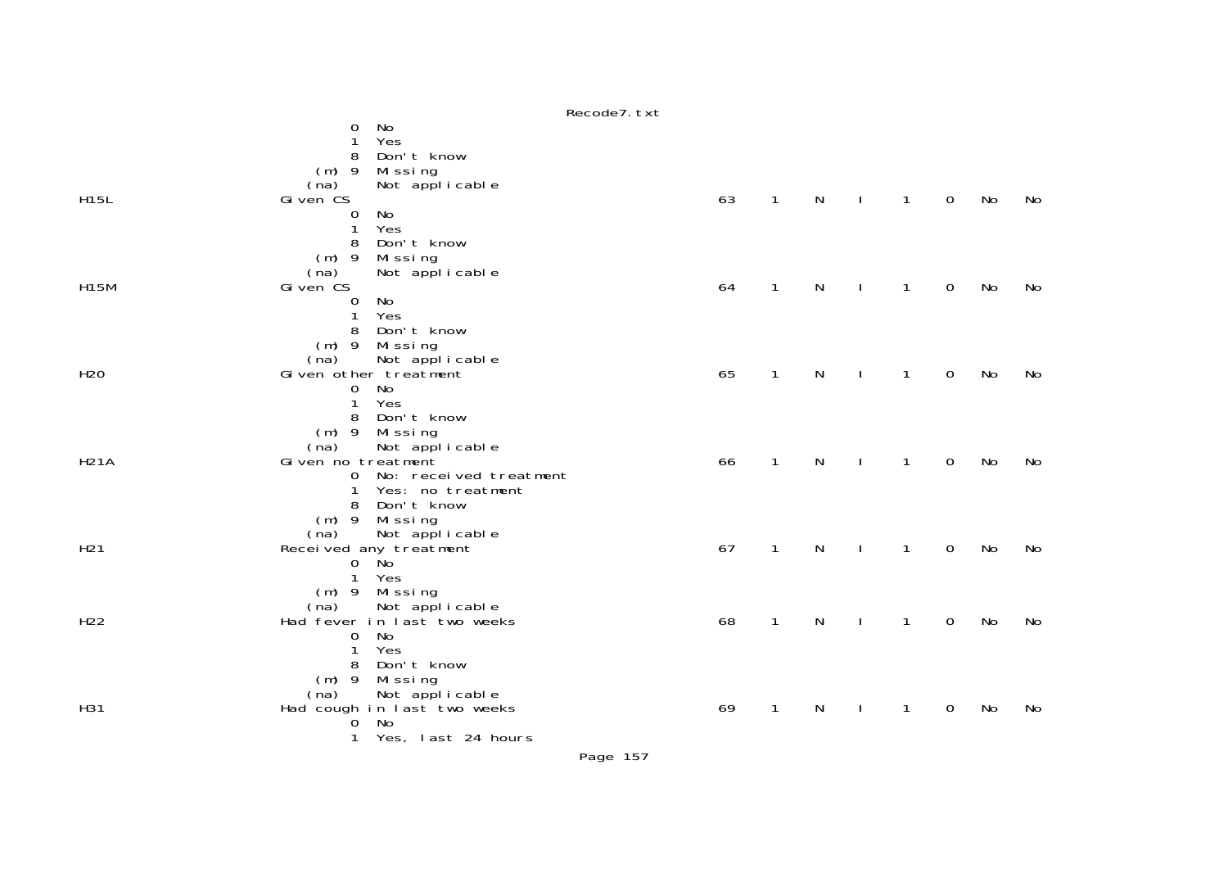|                 | NECOURT. LAL                                       |    |              |              |              |              |             |    |    |
|-----------------|----------------------------------------------------|----|--------------|--------------|--------------|--------------|-------------|----|----|
|                 | No<br>0<br>Yes<br>1                                |    |              |              |              |              |             |    |    |
|                 | Don't know<br>8                                    |    |              |              |              |              |             |    |    |
|                 | $(m)$ 9<br>Missing                                 |    |              |              |              |              |             |    |    |
|                 | Not applicable<br>(na)                             |    |              |              |              |              |             |    |    |
| <b>H15L</b>     | Gi ven CS                                          | 63 | $\mathbf{1}$ | $\mathsf{N}$ | $\sim$ 1     | $\mathbf{1}$ | $\mathbf 0$ | No | No |
|                 | No<br>0<br>Yes                                     |    |              |              |              |              |             |    |    |
|                 | 1<br>Don't know<br>8                               |    |              |              |              |              |             |    |    |
|                 | $(m)$ 9<br>Missing                                 |    |              |              |              |              |             |    |    |
|                 | Not applicable<br>(na)                             |    |              |              |              |              |             |    |    |
| H15M            | Given CS                                           | 64 | $\mathbf{1}$ | $\mathsf{N}$ | $\mathbf{I}$ | $\mathbf{1}$ | $\mathbf 0$ | No | No |
|                 | No<br>0                                            |    |              |              |              |              |             |    |    |
|                 | Yes<br>1                                           |    |              |              |              |              |             |    |    |
|                 | 8<br>Don't know                                    |    |              |              |              |              |             |    |    |
|                 | Missing<br>$(m)$ 9                                 |    |              |              |              |              |             |    |    |
| H <sub>20</sub> | Not applicable<br>(na)<br>Given other treatment    | 65 | $\mathbf{1}$ | N            | $\mathbf{I}$ | $\mathbf{1}$ | $\mathbf 0$ | No | No |
|                 | No<br>$\mathbf 0$                                  |    |              |              |              |              |             |    |    |
|                 | Yes<br>$\mathbf{1}$                                |    |              |              |              |              |             |    |    |
|                 | Don't know<br>8                                    |    |              |              |              |              |             |    |    |
|                 | Missing<br>$(m)$ 9                                 |    |              |              |              |              |             |    |    |
|                 | Not applicable<br>(na)                             |    |              |              |              |              |             |    |    |
| <b>H21A</b>     | Given no treatment                                 | 66 | $\mathbf{1}$ | $\mathsf{N}$ |              | $\mathbf{1}$ | $\mathbf 0$ | No | No |
|                 | 0 No: received treatment<br>Yes: no treatment<br>1 |    |              |              |              |              |             |    |    |
|                 | Don't know<br>8                                    |    |              |              |              |              |             |    |    |
|                 | (m) 9 Missing                                      |    |              |              |              |              |             |    |    |
|                 | Not applicable<br>(na)                             |    |              |              |              |              |             |    |    |
| H <sub>21</sub> | Received any treatment                             | 67 | $\mathbf{1}$ | $\mathsf{N}$ |              | $\mathbf{1}$ | $\mathbf 0$ | No | No |
|                 | Ňo<br>$\overline{0}$                               |    |              |              |              |              |             |    |    |
|                 | $\mathbf{1}$<br>Yes                                |    |              |              |              |              |             |    |    |
|                 | $(m)$ 9<br>Missing                                 |    |              |              |              |              |             |    |    |
| H <sub>22</sub> | (na) Not applicable<br>Had fever in last two weeks | 68 | $\mathbf{1}$ | N            |              | 1            | $\mathbf 0$ | No | No |
|                 | <b>No</b><br>0                                     |    |              |              |              |              |             |    |    |
|                 | Yes<br>1                                           |    |              |              |              |              |             |    |    |
|                 | Don't know<br>8                                    |    |              |              |              |              |             |    |    |
|                 | Missing<br>$(m)$ 9                                 |    |              |              |              |              |             |    |    |
| H31             | (na) Not applicable<br>Had cough in last two weeks | 69 | $\mathbf{1}$ | N            |              | 1            | 0           | No |    |
|                 | No<br>O                                            |    |              |              |              |              |             |    | No |
|                 | Yes, last 24 hours<br>1                            |    |              |              |              |              |             |    |    |
|                 |                                                    |    |              |              |              |              |             |    |    |

Recode7.txt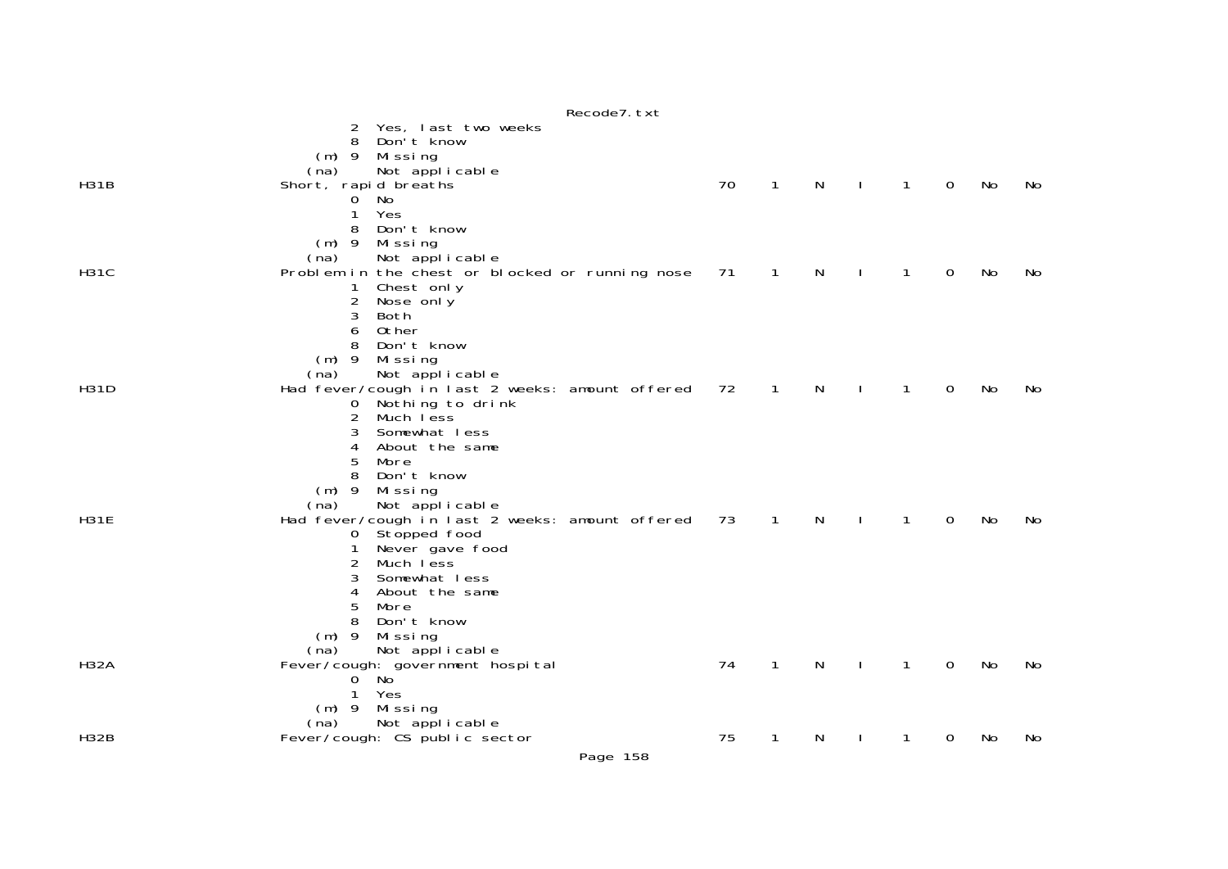|             |                                                                                                                                                                                                                                                                                  | Recode7. txt |    |              |   |              |              |                |    |    |
|-------------|----------------------------------------------------------------------------------------------------------------------------------------------------------------------------------------------------------------------------------------------------------------------------------|--------------|----|--------------|---|--------------|--------------|----------------|----|----|
| <b>H31B</b> | Yes, last two weeks<br>2<br>Don't know<br>8<br>$(m)$ 9<br>Missing<br>Not applicable<br>(na)                                                                                                                                                                                      |              | 70 | $\mathbf{1}$ | N | $\mathbf{I}$ | $\mathbf{1}$ | $\mathbf 0$    |    | No |
|             | Short, rapid breaths<br>No<br>0<br>Yes<br>1<br>Don't know<br>8<br>$(m)$ 9<br>Mi ssi ng                                                                                                                                                                                           |              |    |              |   |              |              |                | No |    |
| <b>H31C</b> | Not applicable<br>(na)<br>Problem in the chest or blocked or running nose<br>Chest only<br>1<br>$\overline{2}$<br>Nose only<br>3<br>Both<br>0ther<br>6<br>8<br>Don't know<br>$(m)$ 9<br>Missing                                                                                  |              | 71 | $\mathbf{1}$ | N | $\mathbf{I}$ | 1            | 0              | No | No |
| <b>H31D</b> | Not applicable<br>(na)<br>Had fever/cough in last 2 weeks: amount offered<br>Nothing to drink<br>0<br>2<br>Much less<br>3<br>Somewhat less<br>4<br>About the same<br>5<br>More<br>8<br>Don't know<br>$(m)$ 9<br>Missing                                                          |              | 72 | 1            | N |              | 1            | 0              | No | No |
| <b>H31E</b> | (na)<br>Not applicable<br>Had fever/cough in last 2 weeks: amount offered<br>Stopped food<br>$\mathbf{O}$<br>Never gave food<br>1<br>2<br>Much less<br>3<br>Somewhat less<br>About the same<br>4<br>5<br>More<br>8<br>Don't know<br>$(m)$ 9<br>Missing<br>Not applicable<br>(na) |              | 73 | $\mathbf{1}$ | N | $\mathbf{I}$ | $\mathbf{1}$ | $\overline{0}$ | No | No |
| <b>H32A</b> | Fever/cough: government hospital<br>No<br>$\overline{0}$<br>$\mathbf{1}$<br>Yes<br>Missing<br>$(m)$ 9<br>Not applicable<br>(na)                                                                                                                                                  |              | 74 | 1            | N |              | 1            | 0              | No | No |
| <b>H32B</b> | Fever/cough: CS public sector                                                                                                                                                                                                                                                    |              | 75 | 1            | N |              | 1            | 0              | No | No |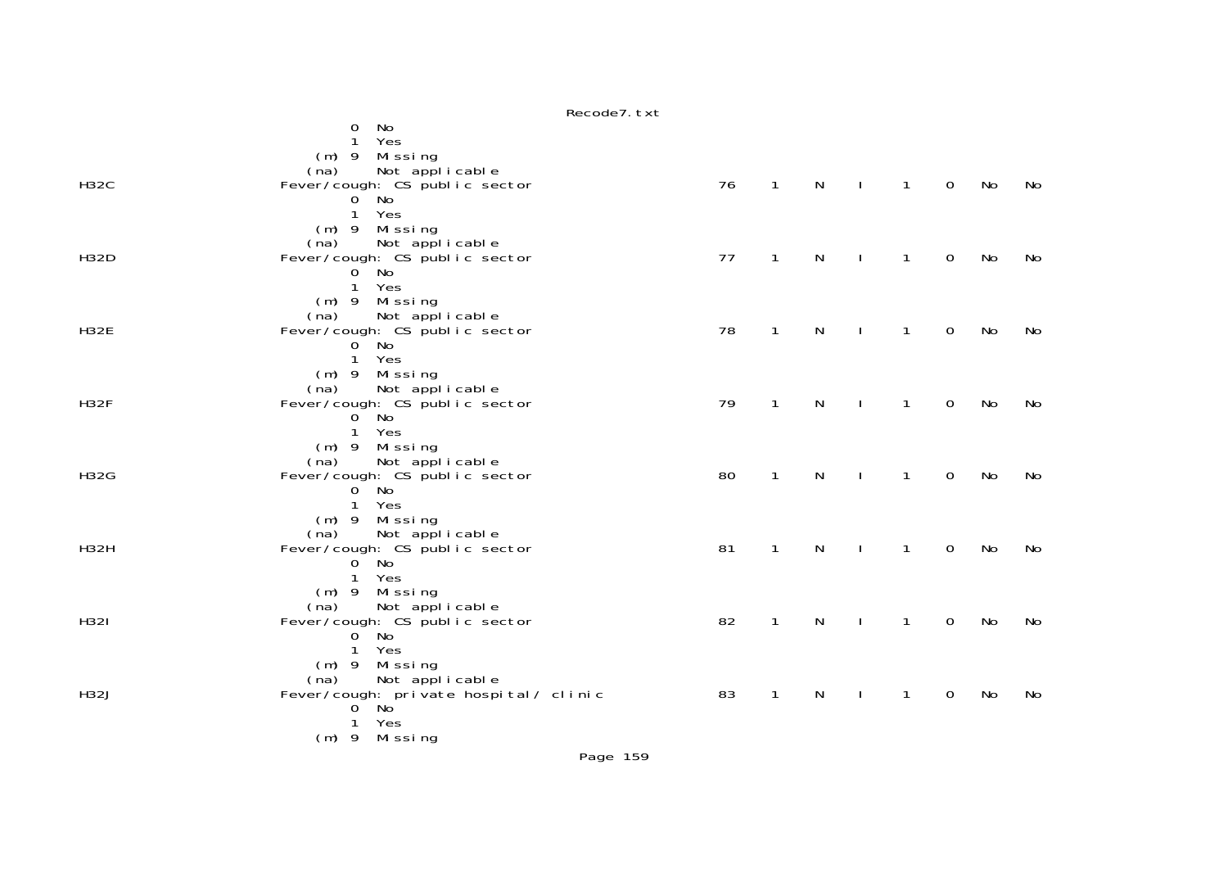|             | Recode7.txt                          |    |              |              |              |                |                |    |    |
|-------------|--------------------------------------|----|--------------|--------------|--------------|----------------|----------------|----|----|
|             | No<br>0                              |    |              |              |              |                |                |    |    |
|             | Yes<br>1                             |    |              |              |              |                |                |    |    |
|             | $(m)$ 9 Missing                      |    |              |              |              |                |                |    |    |
|             | Not applicable<br>(na)               |    |              |              |              |                |                |    |    |
| H32C        | Fever/cough: CS public sector        | 76 | $\mathbf{1}$ | $\mathsf{N}$ | $\mathbf{I}$ | $\overline{1}$ | $\overline{0}$ | No | No |
|             | $0^{\circ}$ No                       |    |              |              |              |                |                |    |    |
|             | $\mathbf{1}$<br>Yes                  |    |              |              |              |                |                |    |    |
|             | $(m)$ 9 Missing                      |    |              |              |              |                |                |    |    |
|             | Not applicable<br>(na)               |    |              |              |              |                |                |    |    |
| H32D        | Fever/cough: CS public sector        | 77 | 1            | N            | $\mathbf{I}$ | 1              | $\mathbf 0$    | No | No |
|             | $0$ No                               |    |              |              |              |                |                |    |    |
|             | 1 Yes                                |    |              |              |              |                |                |    |    |
|             | (m) 9 Missing                        |    |              |              |              |                |                |    |    |
|             | Not applicable<br>(na)               |    |              |              |              |                |                |    |    |
| <b>H32E</b> | Fever/cough: CS public sector        | 78 | $\mathbf{1}$ | N            | $\mathbf{I}$ | $\mathbf{1}$   | $\mathbf 0$    | No | No |
|             | $0^{\circ}$ No                       |    |              |              |              |                |                |    |    |
|             | 1 Yes                                |    |              |              |              |                |                |    |    |
|             | (m) 9 Missing                        |    |              |              |              |                |                |    |    |
|             | Not applicable<br>(na)               |    |              |              |              |                |                |    |    |
| <b>H32F</b> | Fever/cough: CS public sector        | 79 | $\mathbf{1}$ | $\mathsf{N}$ |              | $\mathbf{1}$   | $\mathbf 0$    | No | No |
|             | $0^{\circ}$ No                       |    |              |              |              |                |                |    |    |
|             | 1 Yes                                |    |              |              |              |                |                |    |    |
|             | $(m)$ 9 Missing                      |    |              |              |              |                |                |    |    |
|             | Not applicable<br>(na)               |    |              |              |              |                |                |    |    |
| H32G        | Fever/cough: CS public sector        | 80 | $\mathbf{1}$ | N            | $\mathbf{I}$ | 1              | $\mathbf 0$    | No | No |
|             | $0^{\circ}$ No                       |    |              |              |              |                |                |    |    |
|             | $\mathbf{1}$<br>Yes                  |    |              |              |              |                |                |    |    |
|             | (m) 9 Missing                        |    |              |              |              |                |                |    |    |
|             | Not applicable<br>(na)               |    |              |              |              |                |                |    |    |
| H32H        | Fever/cough: CS public sector        | 81 | $\mathbf{1}$ | $\mathsf{N}$ | $\mathbf{I}$ | $\mathbf{1}$   | $\mathbf 0$    | No | No |
|             | $0^{\circ}$ No                       |    |              |              |              |                |                |    |    |
|             | $\mathbf{1}$<br>Yes                  |    |              |              |              |                |                |    |    |
|             | (m) 9 Missing                        |    |              |              |              |                |                |    |    |
|             | Not applicable<br>(na)               |    |              |              |              |                |                |    |    |
| H321        | Fever/cough: CS public sector        | 82 | $\mathbf{1}$ | $\mathsf{N}$ | $\mathbf{I}$ | $\mathbf{1}$   | $\mathbf 0$    | No | No |
|             | $0^{\circ}$ No                       |    |              |              |              |                |                |    |    |
|             | $\mathbf{1}$<br>Yes                  |    |              |              |              |                |                |    |    |
|             | $(m)$ 9 Missing                      |    |              |              |              |                |                |    |    |
|             | Not applicable<br>(na)               |    |              |              |              |                |                |    |    |
| <b>H32J</b> | Fever/cough: private hospital/clinic | 83 | $\mathbf{1}$ | N            |              | $\mathbf{1}$   | 0              | No | No |
|             | $0^{\circ}$ No                       |    |              |              |              |                |                |    |    |
|             | Yes<br>1                             |    |              |              |              |                |                |    |    |
|             | (m) 9 Missing                        |    |              |              |              |                |                |    |    |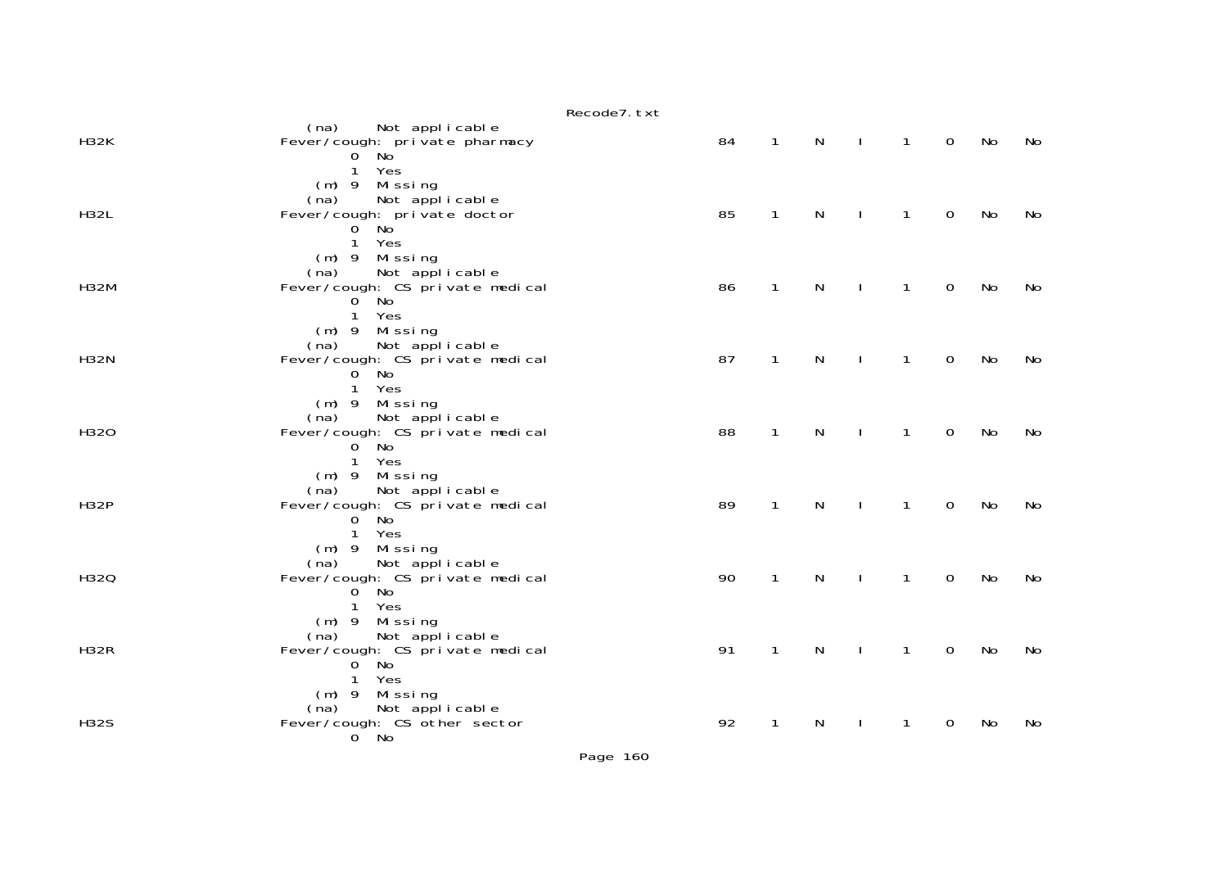|             | Recode7. txt                                                                                                                          |    |              |              |              |              |                |    |    |
|-------------|---------------------------------------------------------------------------------------------------------------------------------------|----|--------------|--------------|--------------|--------------|----------------|----|----|
| <b>H32K</b> | (na) Not applicable<br>Fever/cough: private pharmacy<br>$0$ No                                                                        | 84 | $\mathbf{1}$ | $\mathsf{N}$ | $\mathbf{L}$ | $\mathbf{1}$ | $\mathbf 0$    | No | No |
| <b>H32L</b> | 1 Yes<br>(m) 9 Missing<br>Not applicable<br>(na)<br>Fever/cough: private doctor<br>$0^{\circ}$ No <sup>'</sup><br>$\mathbf{1}$<br>Yes | 85 | $\mathbf{1}$ | $\mathsf{N}$ | $\mathbf{L}$ | $\mathbf{1}$ | $\overline{0}$ | No | No |
| <b>H32M</b> | $(m)$ 9 Missing<br>Not applicable<br>(na)<br>Fever/cough: CS private medical<br>$0$ No<br>Yes<br>$\mathbf{1}$                         | 86 | $\mathbf{1}$ | N            | $\mathbf{I}$ | $\mathbf{1}$ | $\mathsf{O}$   | No | No |
| <b>H32N</b> | $(m)$ 9 Missing<br>Not applicable<br>(na)<br>Fever/cough: CS private medical<br>$0^{\circ}$ No<br>$\mathbf{1}$<br>Yes                 | 87 | $\mathbf{1}$ | $\mathsf{N}$ | $\mathbf{I}$ | $\mathbf{1}$ | $\mathbf 0$    | No | No |
| H320        | (m) 9 Missing<br>Not applicable<br>(na)<br>Fever/cough: CS private medical<br>$0^{\circ}$ No<br>Yes<br>$\mathbf{1}$                   | 88 | $\mathbf{1}$ | $\mathsf{N}$ | $\mathbf{I}$ | $\mathbf{1}$ | $\mathbf 0$    | No | No |
| <b>H32P</b> | $(m)$ 9 Missing<br>Not applicable<br>(na)<br>Fever/cough: CS private medical<br>$0^{\circ}$ No<br>1 Yes                               | 89 | $\mathbf{1}$ | $\mathsf{N}$ | $\mathbf{I}$ | $\mathbf{1}$ | $\mathbf 0$    | No | No |
| H320        | $(m)$ 9 Missing<br>Not applicable<br>(na)<br>Fever/cough: CS private medical<br>$0^{\circ}$ No<br>$\mathbf{1}$<br>Yes                 | 90 | $\mathbf{1}$ | $\mathsf{N}$ | $\mathbf{I}$ | 1            | $\Omega$       | No | No |
| <b>H32R</b> | (m) 9 Missing<br>(na) Not applicable<br>Fever/cough: CS private medical<br>$0^{\circ}$ No<br>Yes<br>$\mathbf{1}$                      | 91 | $\mathbf{1}$ | N            | $\mathbf{I}$ | $\mathbf{1}$ | $\mathbf 0$    | No | No |
| <b>H32S</b> | (m) 9 Missing<br>Not applicable<br>(na)<br>Fever/cough: CS other sector<br>$0^{\circ}$ No                                             | 92 | $\mathbf{1}$ | N            | $\mathbf{L}$ | $\mathbf{1}$ | $\mathbf 0$    | No | No |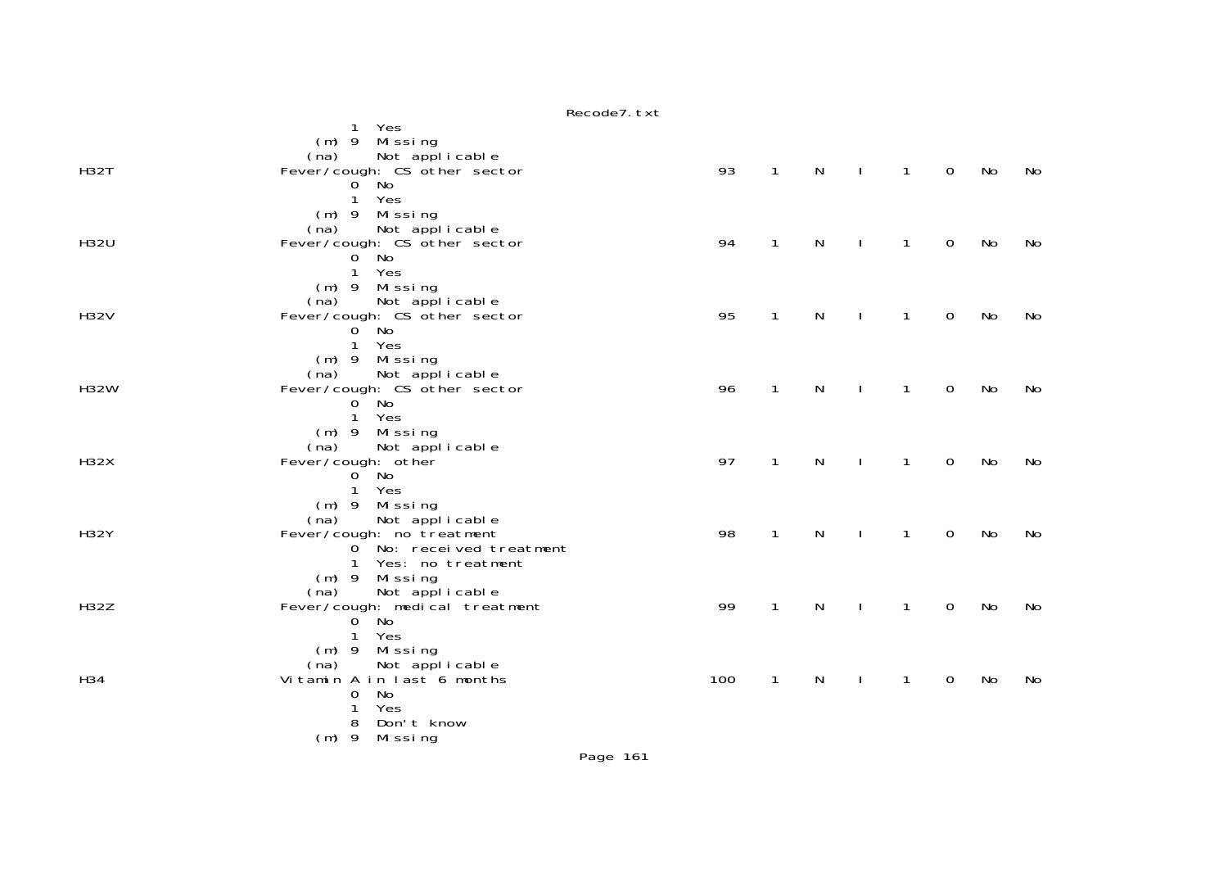|             | Recode7. txt                                                     |     |              |   |              |              |             |    |     |
|-------------|------------------------------------------------------------------|-----|--------------|---|--------------|--------------|-------------|----|-----|
|             | Yes<br>$\mathbf{1}$<br>$(m)$ 9 Missing<br>Not applicable<br>(na) |     |              |   |              |              |             |    |     |
| <b>H32T</b> | Fever/cough: CS other sector                                     | 93  | $\mathbf{1}$ | N |              | $\mathbf{1}$ | $\mathbf 0$ | No | No  |
|             | $0^{\circ}$ No<br>Yes<br>$\mathbf{1}$                            |     |              |   |              |              |             |    |     |
|             | (m) 9 Missing                                                    |     |              |   |              |              |             |    |     |
| <b>H32U</b> | Not applicable<br>(na)                                           | 94  | $\mathbf{1}$ |   |              |              |             |    |     |
|             | Fever/cough: CS other sector<br>$0$ No                           |     |              | N |              | $\mathbf{1}$ | 0           | No | No. |
|             | Yes<br>1                                                         |     |              |   |              |              |             |    |     |
|             | $(m)$ 9<br>Mi ssi ng<br>Not applicable<br>(na)                   |     |              |   |              |              |             |    |     |
| H32V        | Fever/cough: CS other sector                                     | 95  | $\mathbf{1}$ | N | $\mathbf{I}$ | $\mathbf{1}$ | $\mathbf 0$ | No | No  |
|             | $0^{\circ}$ No                                                   |     |              |   |              |              |             |    |     |
|             | Yes<br>$\mathbf{1}$<br>Missing<br>$(m)$ 9                        |     |              |   |              |              |             |    |     |
|             | Not applicable<br>(na)                                           |     |              |   |              |              |             |    |     |
| <b>H32W</b> | Fever/cough: CS other sector<br>$0$ No                           | 96  | $\mathbf{1}$ | N |              | $\mathbf{1}$ | 0           | No | No  |
|             | Yes<br>$\mathbf{1}$                                              |     |              |   |              |              |             |    |     |
|             | $(m)$ 9 Missing                                                  |     |              |   |              |              |             |    |     |
| H32X        | Not applicable<br>(na)<br>Fever/cough: other                     | 97  | $\mathbf{1}$ | N |              | $\mathbf{1}$ | $\mathbf 0$ | No | No  |
|             | $0^{\circ}$ No                                                   |     |              |   |              |              |             |    |     |
|             | Yes<br>$\mathbf{1}$<br>$(m)$ 9                                   |     |              |   |              |              |             |    |     |
|             | Mi ssi ng<br>Not applicable<br>(na)                              |     |              |   |              |              |             |    |     |
| <b>H32Y</b> | Fever/cough: no treatment                                        | 98  | $\mathbf{1}$ | N |              | 1            | 0           | No | No  |
|             | 0 No: received treatment<br>Yes: no treatment<br>$\mathbf{1}$    |     |              |   |              |              |             |    |     |
|             | $(m)$ 9 Missing                                                  |     |              |   |              |              |             |    |     |
|             | Not applicable<br>(na)                                           |     |              |   |              |              |             |    |     |
| H32Z        | Fever/cough: medical treatment<br>$0^{\circ}$ No                 | 99  | $\mathbf{1}$ | N |              | $\mathbf{1}$ | $\mathbf 0$ | No | No  |
|             | Yes<br>$\mathbf{1}$                                              |     |              |   |              |              |             |    |     |
|             | Missing<br>$(m)$ 9                                               |     |              |   |              |              |             |    |     |
| H34         | (na) Not applicable<br>Vitamin A in last 6 months                | 100 | $\mathbf{1}$ | N |              | $\mathbf{1}$ | $\mathbf 0$ | No | No  |
|             | No<br>0                                                          |     |              |   |              |              |             |    |     |
|             | Yes<br>1<br>8<br>Don't know                                      |     |              |   |              |              |             |    |     |
|             | $(m)$ 9<br>Missing                                               |     |              |   |              |              |             |    |     |
|             |                                                                  |     |              |   |              |              |             |    |     |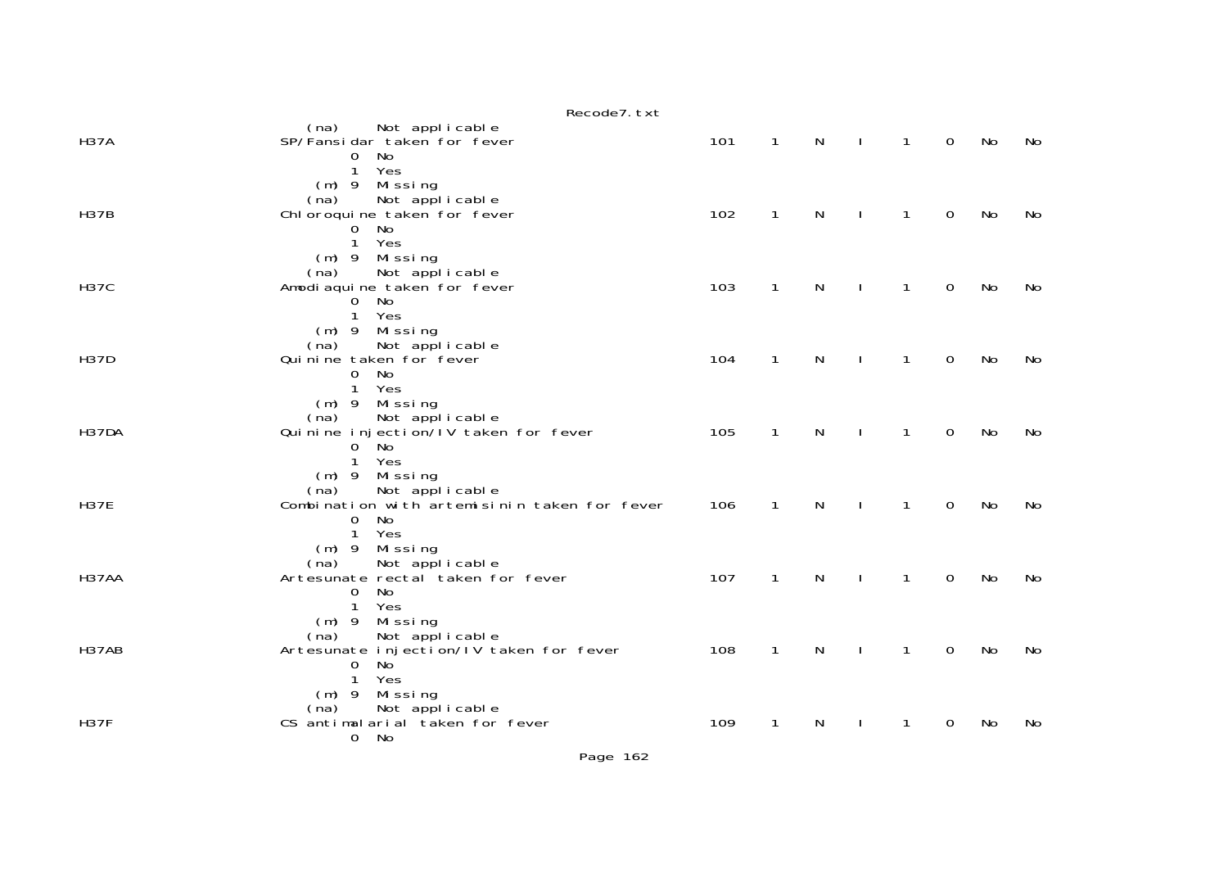|             | Recode7. txt                                                                                                                       |     |              |   |              |              |             |    |    |
|-------------|------------------------------------------------------------------------------------------------------------------------------------|-----|--------------|---|--------------|--------------|-------------|----|----|
| <b>H37A</b> | (na) Not applicable<br>SP/Fansidar taken for fever<br>No<br>$\mathbf{O}$<br>Yes<br>$\mathbf{1}$                                    | 101 | $\mathbf{1}$ | N | $\mathbf{I}$ | 1            | $\Omega$    | No | No |
| <b>H37B</b> | $(m)$ 9 Missing<br>Not applicable<br>(na)<br>Chl oroqui ne taken for fever<br>No<br>$\mathbf{O}$<br>1<br>Yes                       | 102 | $\mathbf{1}$ | N |              | 1            | $\Omega$    | No | No |
| <b>H37C</b> | (m) 9 Missing<br>Not applicable<br>(na)<br>Amodi aqui ne taken for fever<br>No<br>0<br>Yes<br>$\mathbf{1}$                         | 103 | $\mathbf{1}$ | N |              | 1            | $\mathbf 0$ | No | No |
| <b>H37D</b> | (m) 9 Missing<br>Not appl i cable<br>(na)<br>Qui ni ne taken for fever<br>No<br>$\mathbf 0$<br>$\mathbf{1}$<br>Yes                 | 104 | $\mathbf{1}$ | N | $\mathbf{I}$ | 1            | $\mathbf 0$ | No | No |
| H37DA       | (m) 9 Missing<br>Not applicable<br>(na)<br>Quinine injection/IV taken for fever<br>$0^{\circ}$ No<br>Yes<br>$\mathbf{1}$           | 105 | $\mathbf{1}$ | N |              | $\mathbf{1}$ | $\mathbf 0$ | No | No |
| <b>H37E</b> | $(m)$ 9 Missing<br>Not applicable<br>(na)<br>Combination with artemisinin taken for fever<br>No<br>$\Omega$<br>Yes<br>$\mathbf{1}$ | 106 | $\mathbf{1}$ | N |              | 1            | $\mathbf 0$ | No | No |
| H37AA       | $(m)$ 9 Missing<br>(na) Not applicable<br>Artesunate rectal taken for fever<br>No<br>$\mathbf{0}$<br>$\mathbf{1}$<br>Yes           | 107 | $\mathbf{1}$ | N | $\mathbf{I}$ | $\mathbf{1}$ | $\mathbf 0$ | No | No |
| H37AB       | (m) 9 Missing<br>(na)<br>Not applicable<br>Artesunate injection/IV taken for fever<br>No<br>$\Omega$<br>Yes<br>$\mathbf{1}$        | 108 | $\mathbf{1}$ | N |              | 1            | 0           | No | No |
| <b>H37F</b> | (m) 9 Missing<br>Not applicable<br>(na)<br>CS antimalarial taken for fever<br>0 No                                                 | 109 | $\mathbf{1}$ | N | $\mathbf{I}$ | $\mathbf{1}$ | $\Omega$    | No | No |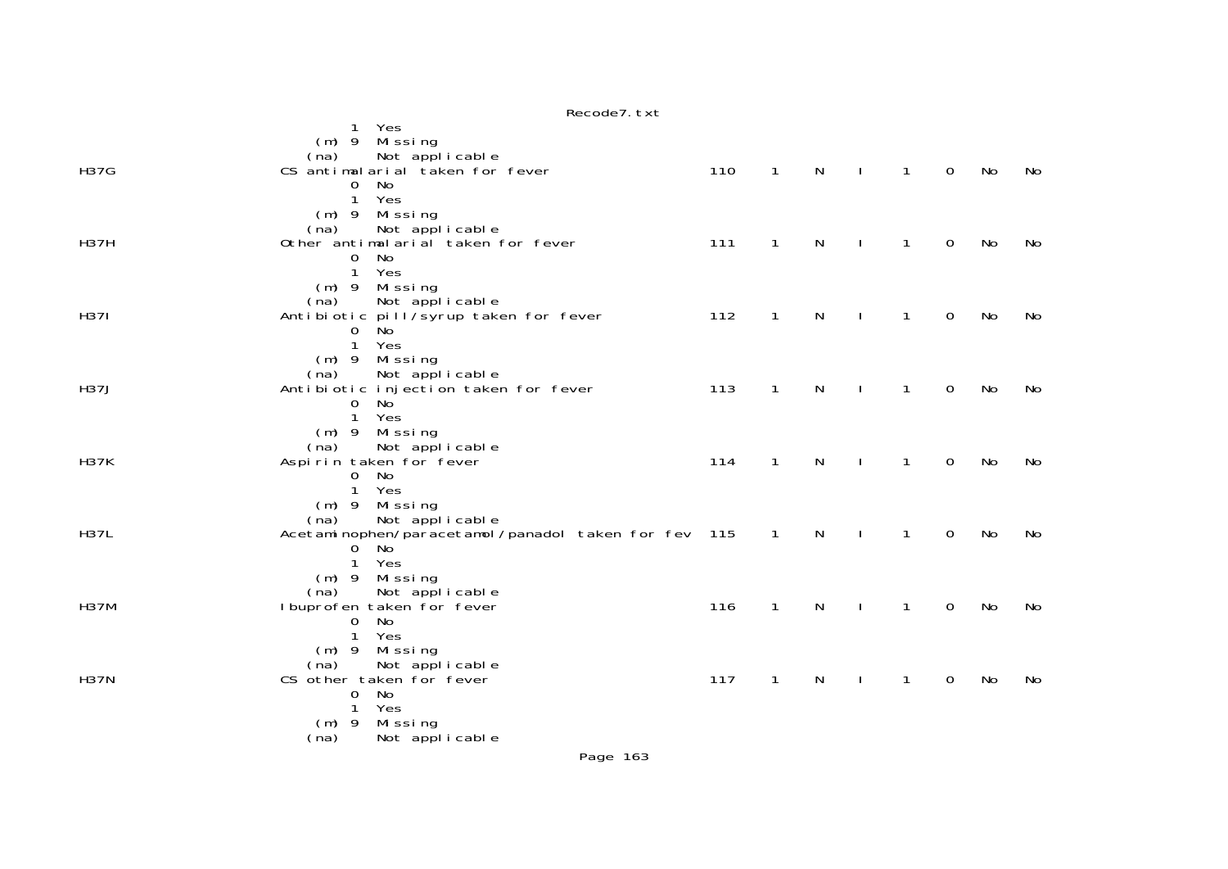|             | Recode7. txt                                                                                                                                  |     |                |              |                  |              |             |    |     |
|-------------|-----------------------------------------------------------------------------------------------------------------------------------------------|-----|----------------|--------------|------------------|--------------|-------------|----|-----|
|             | Yes<br>Missing<br>$(m)$ 9                                                                                                                     |     |                |              |                  |              |             |    |     |
| <b>H37G</b> | (na) Not applicable<br>CS antimalarial taken for fever<br>No<br>$\mathbf{O}$<br>Yes<br>$\mathbf{1}$<br>(m) 9 Missing                          | 110 | $\mathbf{1}$   | $\mathsf{N}$ | $\mathbf{I}$     | $\mathbf{1}$ | $\mathbf 0$ | No | No. |
| <b>H37H</b> | (na) Not applicable<br>Other antimalarial taken for fever<br>$\mathbf 0$<br>No<br>Yes<br>$\mathbf{1}$<br>Missing<br>$(m)$ 9                   | 111 | $\mathbf{1}$   | $\mathsf{N}$ | $\sim 1^{\circ}$ | $\mathbf{1}$ | $\mathbf 0$ | No | No  |
| <b>H371</b> | Not applicable<br>(na)<br>Antibiotic pill/syrup taken for fever<br><b>No</b><br>$\mathbf{O}$<br>$\mathbf{1}$<br>Yes<br>$(m)$ 9 Missing        | 112 | $\mathbf{1}$   | N            |                  | 1            | $\mathbf 0$ | No | No  |
| <b>H37J</b> | Not applicable<br>(na)<br>Antibiotic injection taken for fever<br>$\mathbf 0$<br>No<br>$\mathbf{1}$<br>Yes<br>Mi ssi ng<br>$(m)$ 9            | 113 | $\mathbf{1}$   | N            |                  | 1            | $\mathbf 0$ | No | No  |
| <b>H37K</b> | Not applicable<br>(na)<br>Aspirin taken for fever<br>No<br>$\overline{0}$<br>Yes<br>$\mathbf{1}$<br>$(m)$ 9 Missing<br>Not applicable<br>(na) | 114 | $\mathbf{1}$   | N            |                  | 1            | $\mathbf 0$ | No | No  |
| <b>H37L</b> | Acetaminophen/paracetamol/panadol taken for fev 115<br>No<br>0<br>Yes<br>$\mathbf{1}$<br>$(m)$ 9 Missing<br>Not applicable<br>(na)            |     | $\overline{1}$ | N            |                  | $\mathbf{1}$ | $\mathbf 0$ | No | No  |
| <b>H37M</b> | I buprofen taken for fever<br>No<br>$\Omega$<br>Yes<br>$\mathbf{1}$<br>Missing<br>$(m)$ 9<br>(na)<br>Not applicable                           | 116 | $\mathbf{1}$   | $\mathsf{N}$ | $\mathbf{I}$     | $\mathbf{1}$ | $\mathbf 0$ | No | No  |
| <b>H37N</b> | CS other taken for fever<br>No<br>$\mathbf 0$<br>Yes<br>1<br>Missing<br>$(m)$ 9<br>Not applicable<br>(na)                                     | 117 | $\mathbf{1}$   | N            | J.               | 1            | $\mathbf 0$ | No | No  |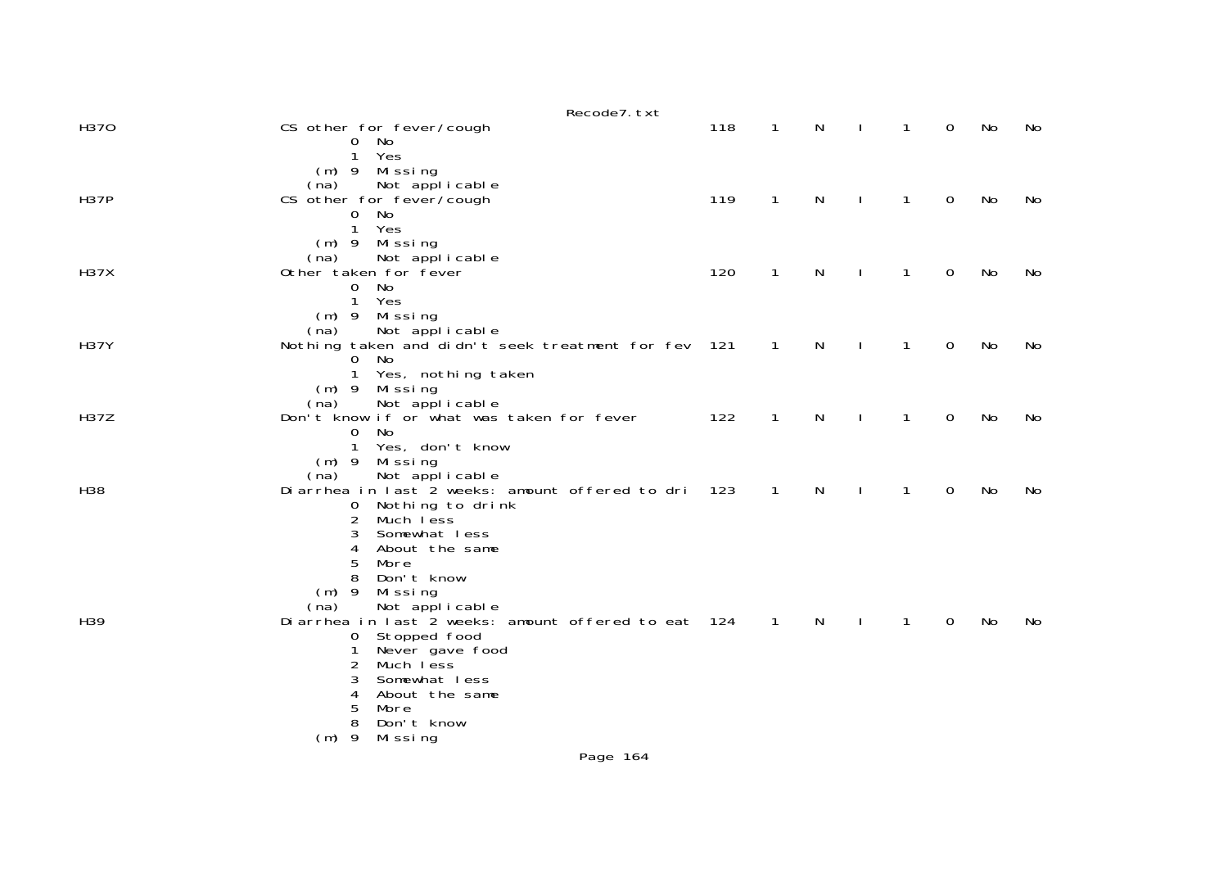|             | Recode7. txt                                                                                |     |                |              |              |   |                |    |    |
|-------------|---------------------------------------------------------------------------------------------|-----|----------------|--------------|--------------|---|----------------|----|----|
| H370        | CS other for fever/cough<br>No<br>0                                                         | 118 | $\mathbf 1$    | N            |              | 1 | $\Omega$       | No | No |
|             | Yes<br>$\mathbf{1}$<br>$(m)$ 9 Missing                                                      |     |                |              |              |   |                |    |    |
| <b>H37P</b> | Not applicable<br>(na)<br>CS other for fever/cough                                          | 119 | $\mathbf{1}$   | N            | $\mathbf{I}$ | 1 | $\overline{0}$ | No | No |
|             | No<br>$\mathsf{O}$<br>$\mathbf{1}$<br>Yes                                                   |     |                |              |              |   |                |    |    |
|             | $(m)$ 9<br>Mi ssi ng<br>Not applicable<br>(na)                                              |     |                |              |              |   |                |    |    |
| <b>H37X</b> | Other taken for fever<br>No<br>0                                                            | 120 | 1              | $\mathsf{N}$ | J.           | 1 | 0              | No | No |
|             | $\mathbf{1}$<br>Yes<br>Missing<br>$(m)$ 9                                                   |     |                |              |              |   |                |    |    |
| <b>H37Y</b> | Not applicable<br>(na)<br>Nothing taken and didn't seek treatment for fev                   | 121 | 1              | N            |              | 1 | 0              | No | No |
|             | No<br>0<br>1<br>Yes, nothing taken                                                          |     |                |              |              |   |                |    |    |
| <b>H37Z</b> | $(m)$ 9<br>Mi ssi ng<br>Not applicable<br>(na)<br>Don't know if or what was taken for fever | 122 |                |              |              | 1 | $\Omega$       |    |    |
|             | No<br>0<br>Yes, don't know<br>1                                                             |     | 1              | N            |              |   |                | No | No |
|             | $(m)$ 9<br>Missing<br>Not applicable<br>(na)                                                |     |                |              |              |   |                |    |    |
| H38         | Diarrhea in last 2 weeks: amount offered to dri<br>Nothing to drink<br>$\mathbf{0}$         | 123 | $\overline{1}$ | $\mathsf{N}$ | J.           | 1 | 0              | No | No |
|             | 2<br>Much less<br>3<br>Somewhat less                                                        |     |                |              |              |   |                |    |    |
|             | 4<br>About the same<br>5<br>More                                                            |     |                |              |              |   |                |    |    |
|             | Don't know<br>8<br>$(m)$ 9<br>Missing                                                       |     |                |              |              |   |                |    |    |
| H39         | Not applicable<br>(na)<br>Diarrhea in last 2 weeks: amount offered to eat 124               |     | $\overline{1}$ | N            |              | 1 | $\Omega$       | No | No |
|             | Stopped food<br>$\sigma$<br>Never gave food                                                 |     |                |              |              |   |                |    |    |
|             | 2<br>Much less<br>3<br>Somewhat less                                                        |     |                |              |              |   |                |    |    |
|             | About the same<br>4<br>5<br>More                                                            |     |                |              |              |   |                |    |    |
|             | 8<br>Don't know<br>$(m)$ 9<br>Missing                                                       |     |                |              |              |   |                |    |    |
|             | Page 164                                                                                    |     |                |              |              |   |                |    |    |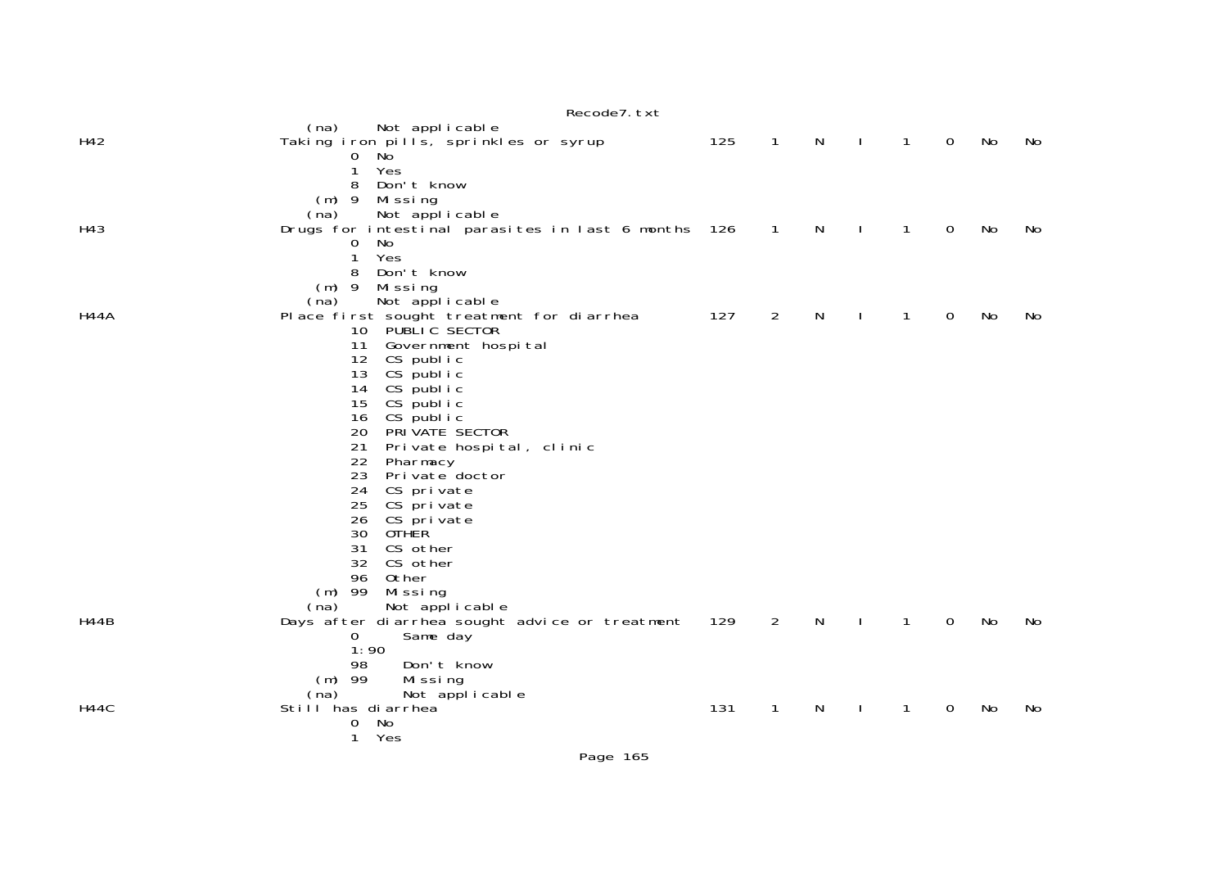|             | Recode7. txt                                                                  |     |                |    |         |              |              |    |     |
|-------------|-------------------------------------------------------------------------------|-----|----------------|----|---------|--------------|--------------|----|-----|
| H42         | Not applicable<br>(na)                                                        |     |                |    |         |              | $\Omega$     |    | No. |
|             | Taking iron pills, sprinkles or syrup<br>No<br>$\overline{0}$                 | 125 | $\mathbf{1}$   | N  | $\perp$ | $\mathbf{1}$ |              | No |     |
|             | Yes<br>$\mathbf{1}$                                                           |     |                |    |         |              |              |    |     |
|             | Don't know<br>8                                                               |     |                |    |         |              |              |    |     |
|             | $(m)$ 9 Missing                                                               |     |                |    |         |              |              |    |     |
| H43         | Not applicable<br>(na)<br>Drugs for intestinal parasites in last 6 months 126 |     | $\overline{1}$ | N  |         | 1            | $\Omega$     | No | No  |
|             | No<br>$\mathbf{O}$                                                            |     |                |    |         |              |              |    |     |
|             | Yes<br>$\mathbf{1}$                                                           |     |                |    |         |              |              |    |     |
|             | Don't know<br>8                                                               |     |                |    |         |              |              |    |     |
|             | $(m)$ 9 Missing<br>Not applicable<br>(na)                                     |     |                |    |         |              |              |    |     |
| <b>H44A</b> | Place first sought treatment for diarrhea                                     | 127 | 2              | N  |         | 1            | $\mathbf{O}$ | No | No  |
|             | 10 PUBLIC SECTOR                                                              |     |                |    |         |              |              |    |     |
|             | Government hospital<br>11                                                     |     |                |    |         |              |              |    |     |
|             | 12<br>CS public<br>13<br>CS public                                            |     |                |    |         |              |              |    |     |
|             | 14<br>CS public                                                               |     |                |    |         |              |              |    |     |
|             | 15<br>CS public                                                               |     |                |    |         |              |              |    |     |
|             | CS public<br>16                                                               |     |                |    |         |              |              |    |     |
|             | PRIVATE SECTOR<br>20<br>Private hospital, clinic<br>21                        |     |                |    |         |              |              |    |     |
|             | 22<br>Pharmacy                                                                |     |                |    |         |              |              |    |     |
|             | 23<br>Pri vate doctor                                                         |     |                |    |         |              |              |    |     |
|             | 24<br>CS private                                                              |     |                |    |         |              |              |    |     |
|             | CS private<br>25<br>26<br>CS private                                          |     |                |    |         |              |              |    |     |
|             | 30<br><b>OTHER</b>                                                            |     |                |    |         |              |              |    |     |
|             | CS other<br>31                                                                |     |                |    |         |              |              |    |     |
|             | 32<br>CS other                                                                |     |                |    |         |              |              |    |     |
|             | 96<br>Other<br>$(m)$ 99                                                       |     |                |    |         |              |              |    |     |
|             | Missing<br>Not applicable<br>(na)                                             |     |                |    |         |              |              |    |     |
| <b>H44B</b> | Days after diarrhea sought advice or treatment                                | 129 | 2              | N  | $\perp$ | $\mathbf{1}$ | $\Omega$     | No | No  |
|             | Same day<br>$\overline{0}$                                                    |     |                |    |         |              |              |    |     |
|             | 1:90                                                                          |     |                |    |         |              |              |    |     |
|             | Don't know<br>98<br>$(m)$ 99<br>Missing                                       |     |                |    |         |              |              |    |     |
|             | Not applicable<br>(na)                                                        |     |                |    |         |              |              |    |     |
| H44C        | Still has diarrhea                                                            | 131 | 1              | N. |         | 1            | 0            | No | No  |
|             | No<br>0                                                                       |     |                |    |         |              |              |    |     |
|             | Yes<br>$\mathbf{1}$                                                           |     |                |    |         |              |              |    |     |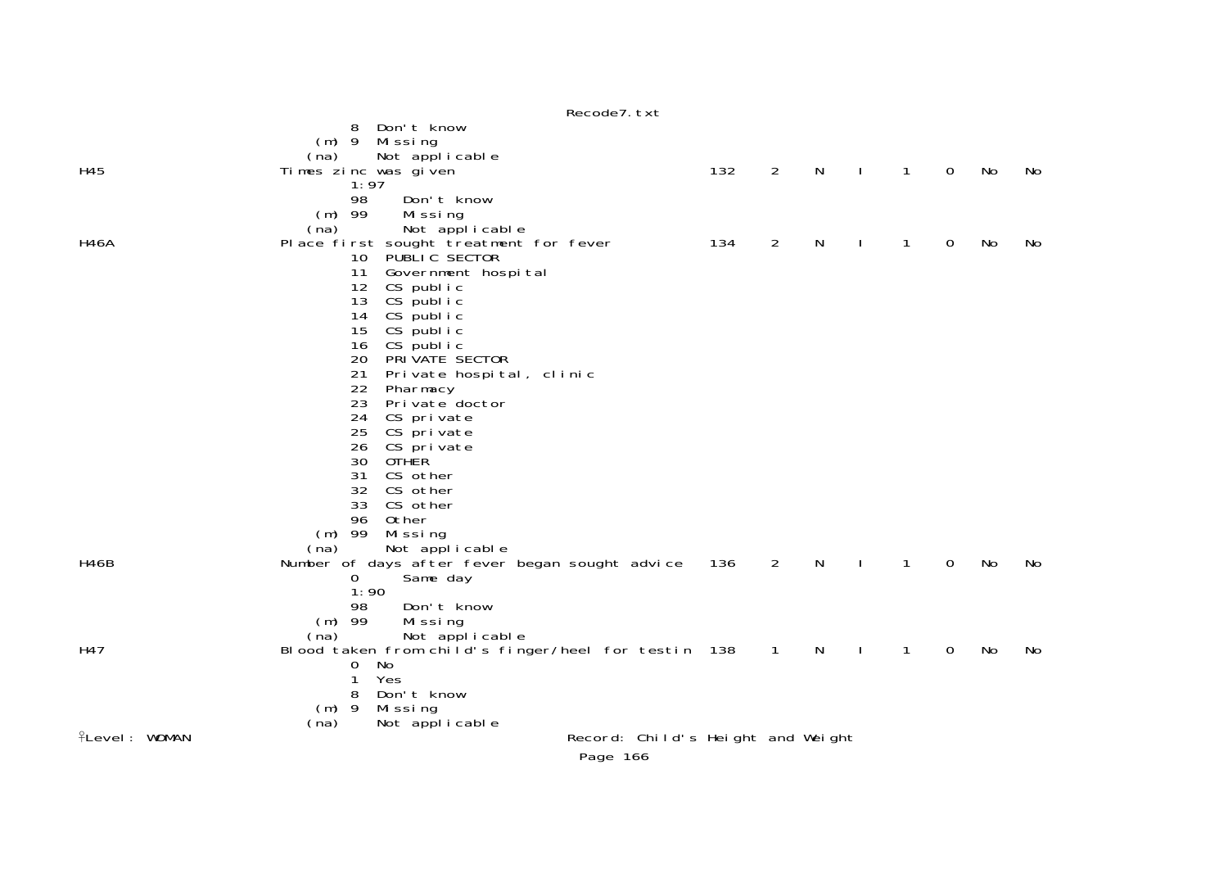|                      | Recode7. txt                                                |     |                |              |              |              |             |    |    |
|----------------------|-------------------------------------------------------------|-----|----------------|--------------|--------------|--------------|-------------|----|----|
|                      | Don't know<br>8                                             |     |                |              |              |              |             |    |    |
|                      | $(m)$ 9 Missing                                             |     |                |              |              |              |             |    |    |
|                      | Not applicable<br>(na)                                      |     |                |              |              |              |             |    |    |
| H45                  | Times zinc was given                                        | 132 | $\overline{2}$ | N            | $\mathbf{I}$ | $\mathbf{1}$ | $\mathbf 0$ | No | No |
|                      | 1:97                                                        |     |                |              |              |              |             |    |    |
|                      | 98<br>Don't know                                            |     |                |              |              |              |             |    |    |
|                      | $(m)$ 99<br>Missing                                         |     |                |              |              |              |             |    |    |
|                      | Not applicable<br>(na)                                      |     | $\overline{2}$ | $\mathsf{N}$ |              |              |             |    |    |
| H46A                 | Place first sought treatment for fever<br>10 PUBLIC SECTOR  | 134 |                |              | $\mathbf{I}$ | $\mathbf{1}$ | $\mathbf 0$ | No | No |
|                      | 11 Government hospital                                      |     |                |              |              |              |             |    |    |
|                      | CS public<br>12                                             |     |                |              |              |              |             |    |    |
|                      | CS public<br>13                                             |     |                |              |              |              |             |    |    |
|                      | CS public<br>14                                             |     |                |              |              |              |             |    |    |
|                      | CS public<br>15                                             |     |                |              |              |              |             |    |    |
|                      | CS public<br>16                                             |     |                |              |              |              |             |    |    |
|                      | 20<br>PRIVATE SECTOR                                        |     |                |              |              |              |             |    |    |
|                      | 21<br>Private hospital, clinic                              |     |                |              |              |              |             |    |    |
|                      | 22<br>Pharmacy                                              |     |                |              |              |              |             |    |    |
|                      | 23<br>Private doctor                                        |     |                |              |              |              |             |    |    |
|                      | 24<br>CS private                                            |     |                |              |              |              |             |    |    |
|                      | 25<br>CS private                                            |     |                |              |              |              |             |    |    |
|                      | CS private<br>26                                            |     |                |              |              |              |             |    |    |
|                      | 30<br><b>OTHER</b>                                          |     |                |              |              |              |             |    |    |
|                      | 31<br>CS other                                              |     |                |              |              |              |             |    |    |
|                      | 32 CS other                                                 |     |                |              |              |              |             |    |    |
|                      | 33<br>CS other                                              |     |                |              |              |              |             |    |    |
|                      | 96<br>Other                                                 |     |                |              |              |              |             |    |    |
|                      | $(m)$ 99<br>Mi ssi ng                                       |     |                |              |              |              |             |    |    |
|                      | Not applicable<br>(na)                                      |     |                |              |              |              |             |    |    |
| H46B                 | Number of days after fever began sought advice              | 136 | $\overline{2}$ | N            | $\mathbf{I}$ | $\mathbf{1}$ | 0           | No | No |
|                      | $\overline{O}$<br>Same day                                  |     |                |              |              |              |             |    |    |
|                      | 1:90                                                        |     |                |              |              |              |             |    |    |
|                      | Don't know<br>98                                            |     |                |              |              |              |             |    |    |
|                      | $(m)$ 99<br>Missing                                         |     |                |              |              |              |             |    |    |
|                      | Not applicable<br>(na)                                      |     |                |              |              |              |             |    |    |
| H47                  | Blood taken from child's finger/heel for testin 138         |     | $\overline{1}$ | N            | $\mathbf{I}$ | $\mathbf{1}$ | $\mathbf 0$ | No | No |
|                      | 0<br>No                                                     |     |                |              |              |              |             |    |    |
|                      | 1<br>Yes                                                    |     |                |              |              |              |             |    |    |
|                      | Don't know<br>8                                             |     |                |              |              |              |             |    |    |
|                      | $(m)$ 9<br>Missing                                          |     |                |              |              |              |             |    |    |
| <b>fLevel: WOMAN</b> | Not applicable<br>(na)<br>Record: Child's Height and Weight |     |                |              |              |              |             |    |    |
|                      |                                                             |     |                |              |              |              |             |    |    |
|                      |                                                             |     |                |              |              |              |             |    |    |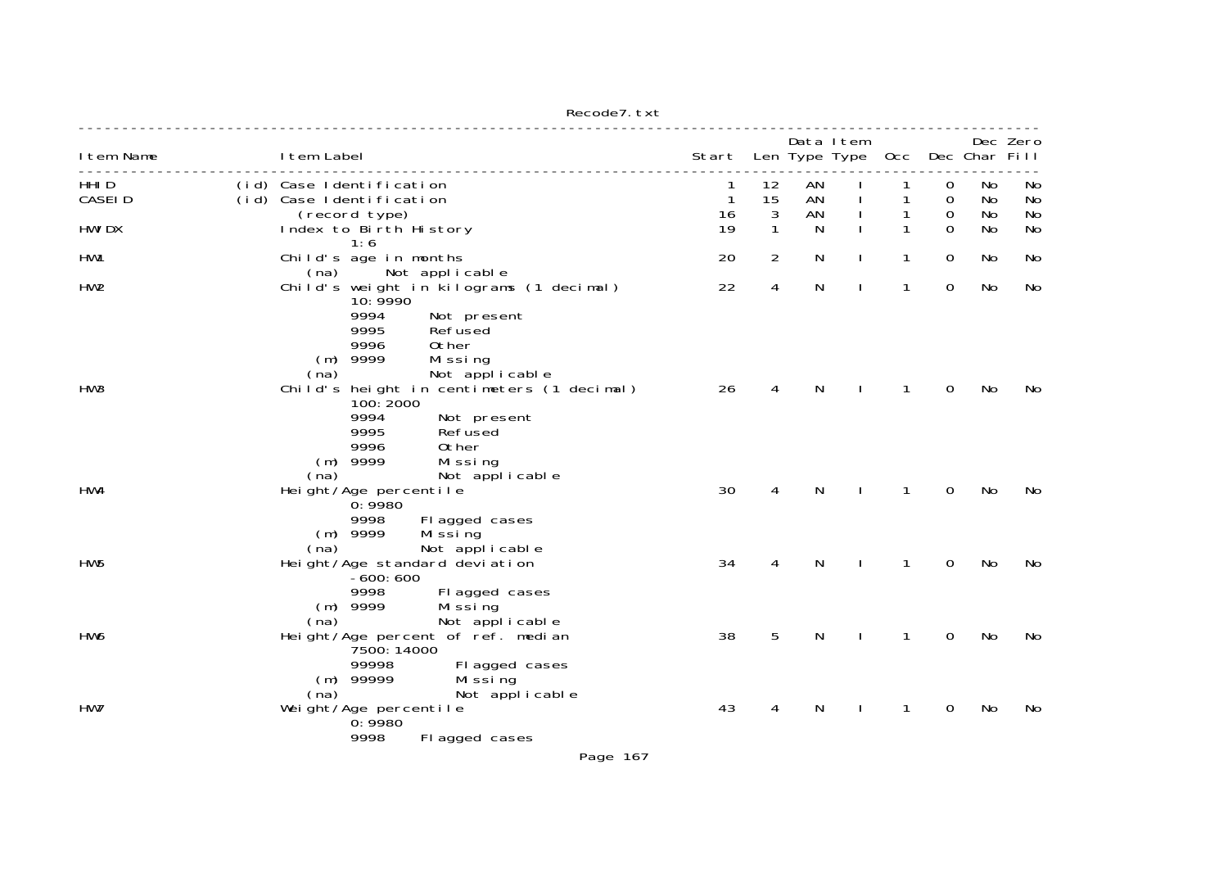| I tem Name       | I tem Label                                                                                                                                                          | Start Len Type Type |                   |          | Data Item |              |               | Occ Dec Char Fill | Dec Zero        |
|------------------|----------------------------------------------------------------------------------------------------------------------------------------------------------------------|---------------------|-------------------|----------|-----------|--------------|---------------|-------------------|-----------------|
| HHI D<br>CASEI D | (id) Case Identification<br>(id) Case Identification                                                                                                                 | 1<br>$\mathbf{1}$   | 12<br>15          | AN<br>AN |           |              | 0<br>0        | No<br>No          | No<br>No        |
| <b>HWI DX</b>    | (record type)<br>Index to Birth History<br>1:6                                                                                                                       | 16<br>19            | 3<br>$\mathbf{1}$ | AN<br>N  |           | 1            | 0<br>$\Omega$ | No<br>No          | <b>No</b><br>No |
| HW1              | Child's age in months<br>(na)<br>Not applicable                                                                                                                      | 20                  | $\overline{2}$    | N        |           | 1            | $\mathbf 0$   | No                | No              |
| HW <sub>2</sub>  | Child's weight in kilograms (1 decimal)<br>10: 9990<br>9994<br>Not present<br>9995<br>Refused<br>9996<br>0ther<br>$(m)$ 9999<br>Missing<br>(na)<br>Not applicable    | 22                  | 4                 | N        |           | $\mathbf{1}$ | $\Omega$      | No                | No              |
| HW3              | Child's height in centimeters (1 decimal)<br>100: 2000<br>9994<br>Not present<br>9995<br>Refused<br>9996<br>Other<br>$(m)$ 9999<br>Missing<br>Not applicable<br>(na) | 26                  | 4                 | N        |           | 1            | 0             | No                | No              |
| HW4              | Height/Age percentile<br>0: 9980<br>9998<br>Fl agged cases<br>9999<br>Mi ssi ng<br>(m)<br>(na)<br>Not applicable                                                     | 30                  | 4                 | N        |           | 1            | 0             | No                | No              |
| HW <sub>5</sub>  | Height/Age standard deviation<br>$-600:600$<br>Fl agged cases<br>9998<br>$(m)$ 9999<br>Mi ssi ng<br>Not applicable<br>(na)                                           | 34                  | 4                 | N        |           | 1            | 0             | No                | No              |
| HW6              | Height/Age percent of ref. median<br>7500: 14000<br>99998<br>Fl agged cases<br>$(m)$ 99999<br>Mi ssi ng<br>(na)<br>Not applicable                                    | 38                  | 5                 | Ν        |           | 1            | 0             | No                | No              |
| HW7              | Weight/Age percentile<br>0:9980<br>9998<br>Fl agged cases                                                                                                            | 43                  | 4                 | N        |           | 1            | 0             | No                | No              |

Recode7.txt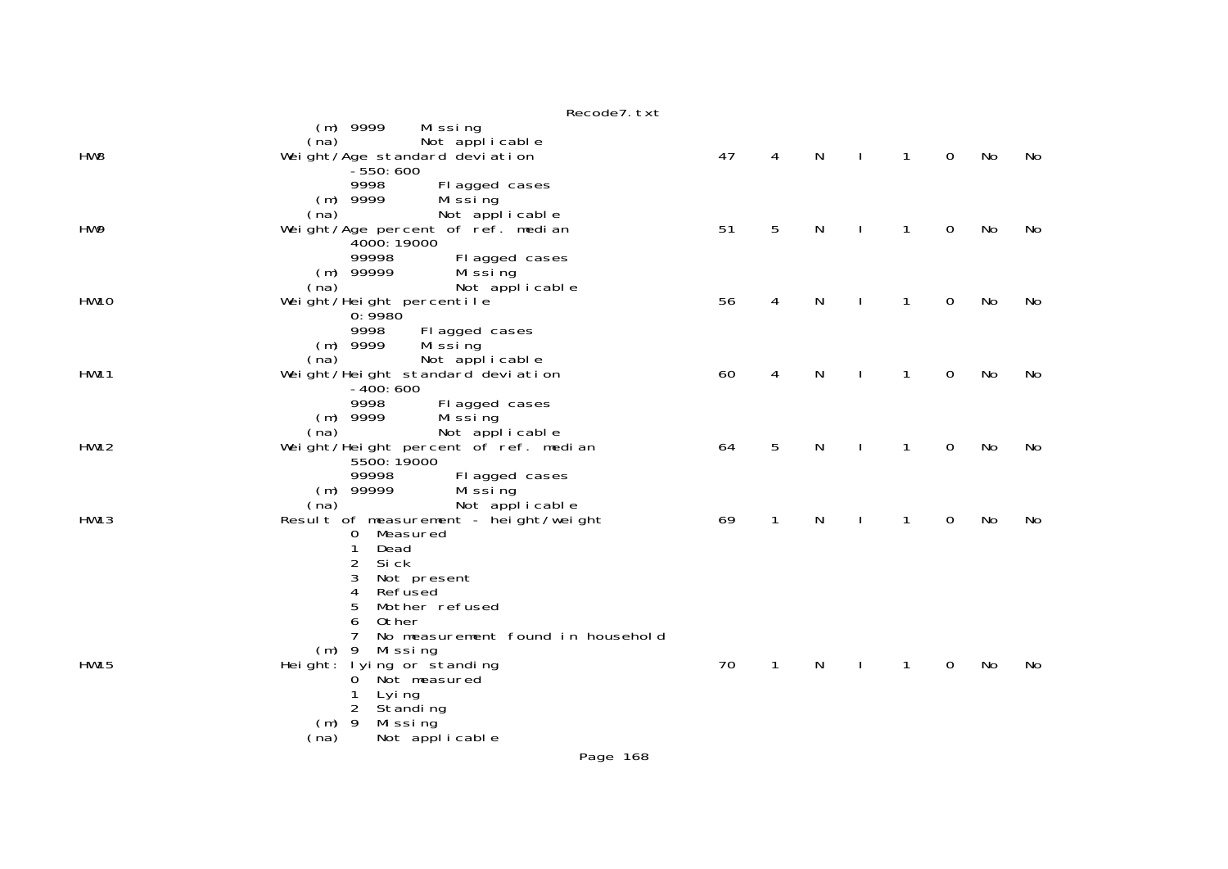|                 | Recode7. txt                                                                                                                                            |    |              |   |              |              |             |    |    |
|-----------------|---------------------------------------------------------------------------------------------------------------------------------------------------------|----|--------------|---|--------------|--------------|-------------|----|----|
| HW <sub>8</sub> | $(m)$ 9999<br>Mi ssi ng<br>Not applicable<br>(na)<br>Weight/Age standard deviation<br>$-550:600$                                                        | 47 | 4            | N | $\mathbf{I}$ | $\mathbf{1}$ | $\mathbf 0$ | No | No |
| HW9             | 9998<br>Fl agged cases<br>$(m)$ 9999<br>Mi ssi ng<br>(na)<br>Not applicable<br>Weight/Age percent of ref. median<br>4000: 19000                         | 51 | 5            | N |              | 1            | 0           | No | No |
| <b>HW10</b>     | 99998<br>Fl agged cases<br>$(m)$ 99999<br>Mi ssi ng<br>Not applicable<br>(na)<br>Weight/Height percentile                                               | 56 | 4            | N |              | 1            | 0           | No | No |
|                 | 0:9980<br>9998<br>Fl agged cases<br>$(m)$ 9999<br>Mi ssi ng<br>(na)<br>Not applicable                                                                   |    |              |   |              |              |             |    |    |
| <b>HW11</b>     | Weight/Height standard deviation<br>$-400:600$<br>9998<br>Fl agged cases<br>$(m)$ 9999<br>Mi ssi ng                                                     | 60 | 4            | N |              | 1            | 0           | No | No |
| <b>HW12</b>     | Not applicable<br>(na)<br>Weight/Height percent of ref. median<br>5500: 19000<br>99998<br>Fl agged cases<br>$(m)$ 99999                                 | 64 | 5            | N |              | 1            | 0           | No | No |
| <b>HW13</b>     | Mi ssi ng<br>(na)<br>Not applicable<br>Result of measurement - height/weight<br>Measured<br>0<br>$\mathbf{1}$<br>Dead<br>2<br>Si ck<br>3<br>Not present | 69 | $\mathbf{1}$ | N | $\mathbf{I}$ | 1            | $\mathbf 0$ | No | No |
|                 | 4<br>Refused<br>5<br>Mother refused<br>Other<br>6<br>7<br>No measurement found in household<br>$(m)$ 9<br>Mi ssi ng                                     |    |              |   |              |              |             |    |    |
| <b>HW15</b>     | Height: lying or standing<br>Not measured<br>0<br>1<br>Lyi ng<br>2<br>Standing<br>9<br>Missing<br>(m)<br>Not applicable<br>(na)                         | 70 | 1            | N |              | 1            | 0           | No | No |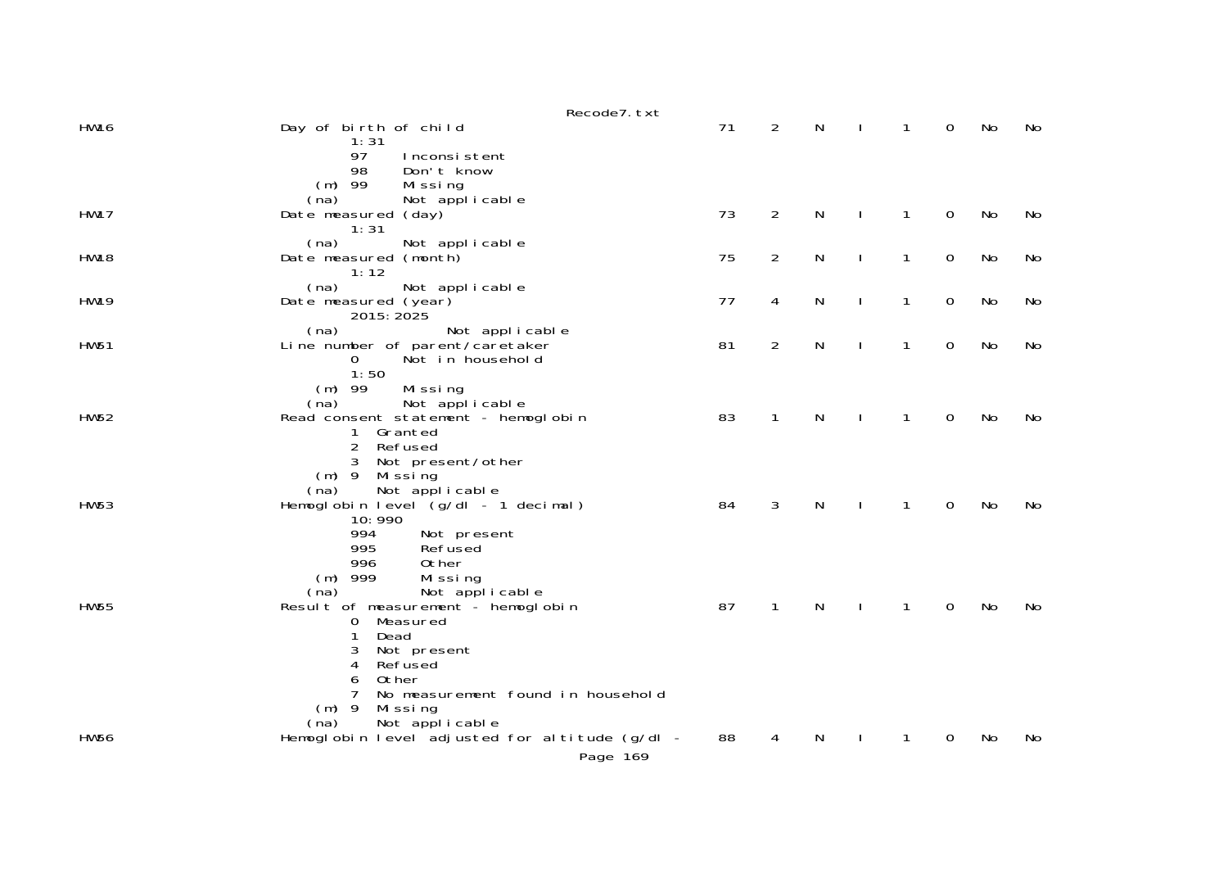|             | Recode7. txt                                                                                                                                                                                       |    |                |   |              |              |                |    |     |
|-------------|----------------------------------------------------------------------------------------------------------------------------------------------------------------------------------------------------|----|----------------|---|--------------|--------------|----------------|----|-----|
| <b>HW16</b> | Day of birth of child<br>1:31                                                                                                                                                                      | 71 | 2              | N |              | $\mathbf{1}$ | $\overline{0}$ | No | No  |
|             | 97<br>Inconsistent<br>98<br>Don't know<br>$(m)$ 99<br>Missing                                                                                                                                      |    |                |   |              |              |                |    |     |
| <b>HW17</b> | (na)<br>Not applicable<br>Date measured (day)<br>1:31                                                                                                                                              | 73 | 2              | N | $\mathbf{I}$ | 1            | $\mathbf 0$    | No | No  |
| <b>HW18</b> | (na)<br>Not applicable<br>Date measured (month)<br>1:12                                                                                                                                            | 75 | $\overline{2}$ | N | ı            | 1            | $\mathbf 0$    | No | No  |
| <b>HW19</b> | Not applicable<br>(na)<br>Date measured (year)<br>2015: 2025                                                                                                                                       | 77 | 4              | N | ı            | $\mathbf{1}$ | $\mathbf 0$    | No | No  |
| <b>HW51</b> | (na)<br>Not applicable<br>Line number of parent/caretaker<br>0<br>Not in household                                                                                                                 | 81 | $\overline{2}$ | N |              | 1            | $\mathbf 0$    | No | No  |
| <b>HW52</b> | 1:50<br>$(m)$ 99<br>Missing<br>(na)<br>Not applicable<br>Read consent statement - hemoglobin<br>Granted<br>$\mathbf{1}$<br>$\overline{2}$<br>Refused<br>Not present/other<br>3                     | 83 | $\mathbf{1}$   | N |              | 1            | 0              | No | No  |
| <b>HW53</b> | (m) 9 Missing<br>Not applicable<br>(na)<br>Hemoglobin level (g/dl - 1 decimal)<br>10:990<br>994<br>Not present                                                                                     | 84 | 3              | N |              | 1            | $\Omega$       | No | No. |
| <b>HW55</b> | 995<br>Refused<br>0ther<br>996<br>$(m)$ 999<br>Missing<br>Not applicable<br>(na)<br>Result of measurement - hemoglobin<br>Measured<br>$\mathbf 0$<br>1<br>Dead<br>Not present<br>3<br>Refused<br>4 | 87 | $\mathbf{1}$   | N | $\mathbf{I}$ | $\mathbf{1}$ | $\Omega$       | No | No  |
| <b>HW56</b> | Other<br>6<br>No measurement found in household<br>7<br>$(m)$ 9<br>Mi ssi ng<br>Not applicable<br>(na)<br>Hemoglobin level adjusted for altitude (g/dl -<br>Page 169                               | 88 | 4              | N |              | 1            | 0              | No | No  |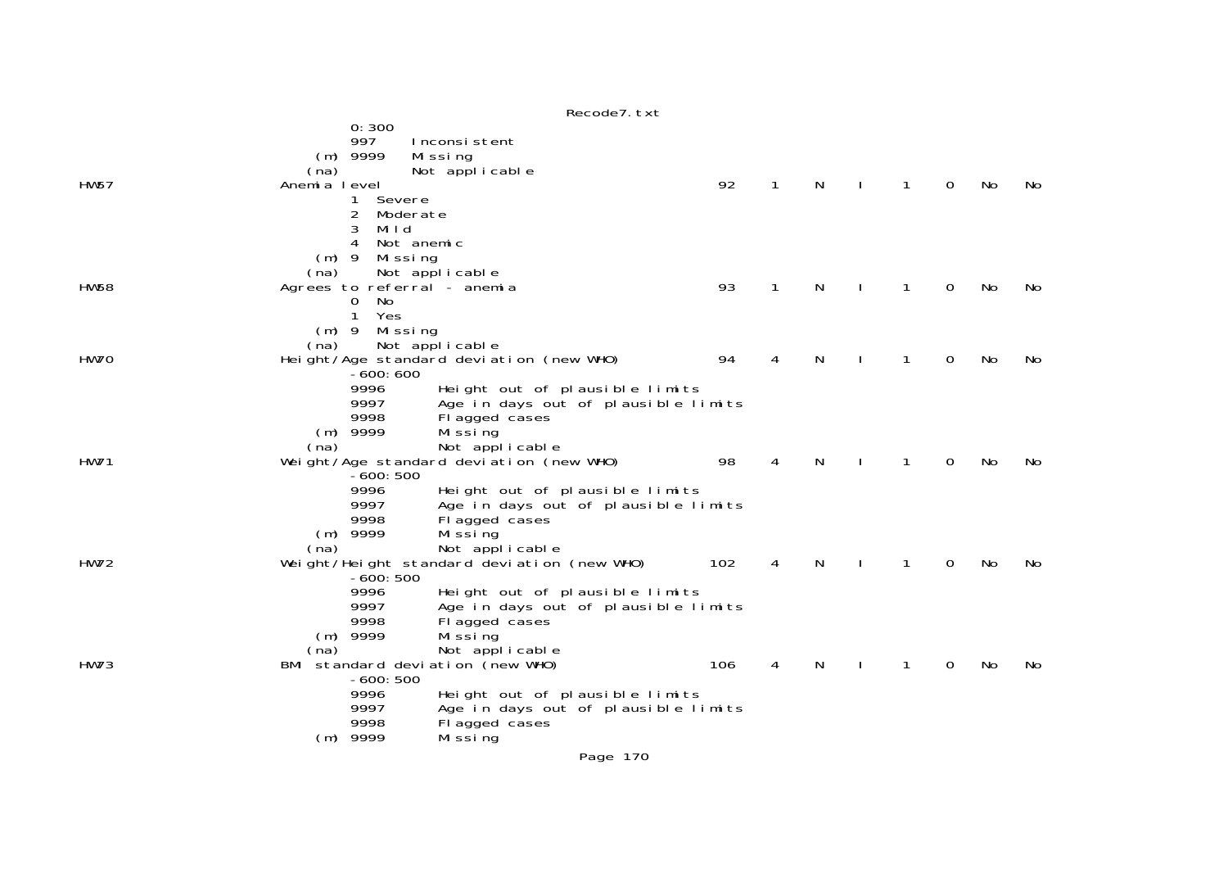|             |                                                                                                                                    | Recode7. txt                                                                                                                                                                                                                 |     |   |   |   |   |    |     |
|-------------|------------------------------------------------------------------------------------------------------------------------------------|------------------------------------------------------------------------------------------------------------------------------------------------------------------------------------------------------------------------------|-----|---|---|---|---|----|-----|
| <b>HW57</b> | 0:300<br>997<br>$(m)$ 9999<br>(na)<br>Anemia level<br>Severe<br>1<br>2<br>Moderate<br>3<br>Mild<br>4<br>Not anemic                 | Inconsistent<br>Mi ssi ng<br>Not applicable                                                                                                                                                                                  | 92  | 1 | N | 1 | 0 | No | No  |
| <b>HW58</b> | $(m)$ 9<br>Missing<br>(na)<br>Agrees to referral - anemia<br>No<br>$\mathbf{0}$<br>1<br>Yes                                        | Not applicable                                                                                                                                                                                                               | 93  | 1 | N | 1 | 0 | No | No  |
| HW70        | $(m)$ 9<br>Missing<br>(na)<br>-600: 600<br>9996                                                                                    | Not applicable<br>Height/Age standard deviation (new WHO)<br>Height out of plausible limits                                                                                                                                  | 94  | 4 | N |   | 0 | No | No. |
| <b>HW71</b> | 9997<br>9998<br>$(m)$ 9999<br>(na)<br>$-600:500$<br>9996<br>9997<br>9998                                                           | Age in days out of plausible limits<br>Flagged cases<br>Mi ssi ng<br>Not applicable<br>Weight/Age standard deviation (new WHO)<br>Height out of plausible limits<br>Age in days out of plausible limits<br>Flagged cases     | 98  | 4 | N |   | 0 | No | No  |
| <b>HW72</b> | $(m)$ 9999<br>(na)<br>$-600:500$                                                                                                   | Mi ssi ng<br>Not applicable<br>Weight/Height standard deviation (new WHO)                                                                                                                                                    | 102 | 4 | N | 1 | 0 | No | No  |
| <b>HW73</b> | 9996<br>9997<br>9998<br>$(m)$ 9999<br>(na)<br>BMI standard deviation (new WHO)<br>$-600:500$<br>9996<br>9997<br>9998<br>$(m)$ 9999 | Height out of plausible limits<br>Age in days out of plausible limits<br>Flagged cases<br>Mi ssi ng<br>Not applicable<br>Height out of plausible limits<br>Age in days out of plausible limits<br>Flagged cases<br>Mi ssi ng | 106 | 4 | N |   | 0 | No | No  |
|             |                                                                                                                                    |                                                                                                                                                                                                                              |     |   |   |   |   |    |     |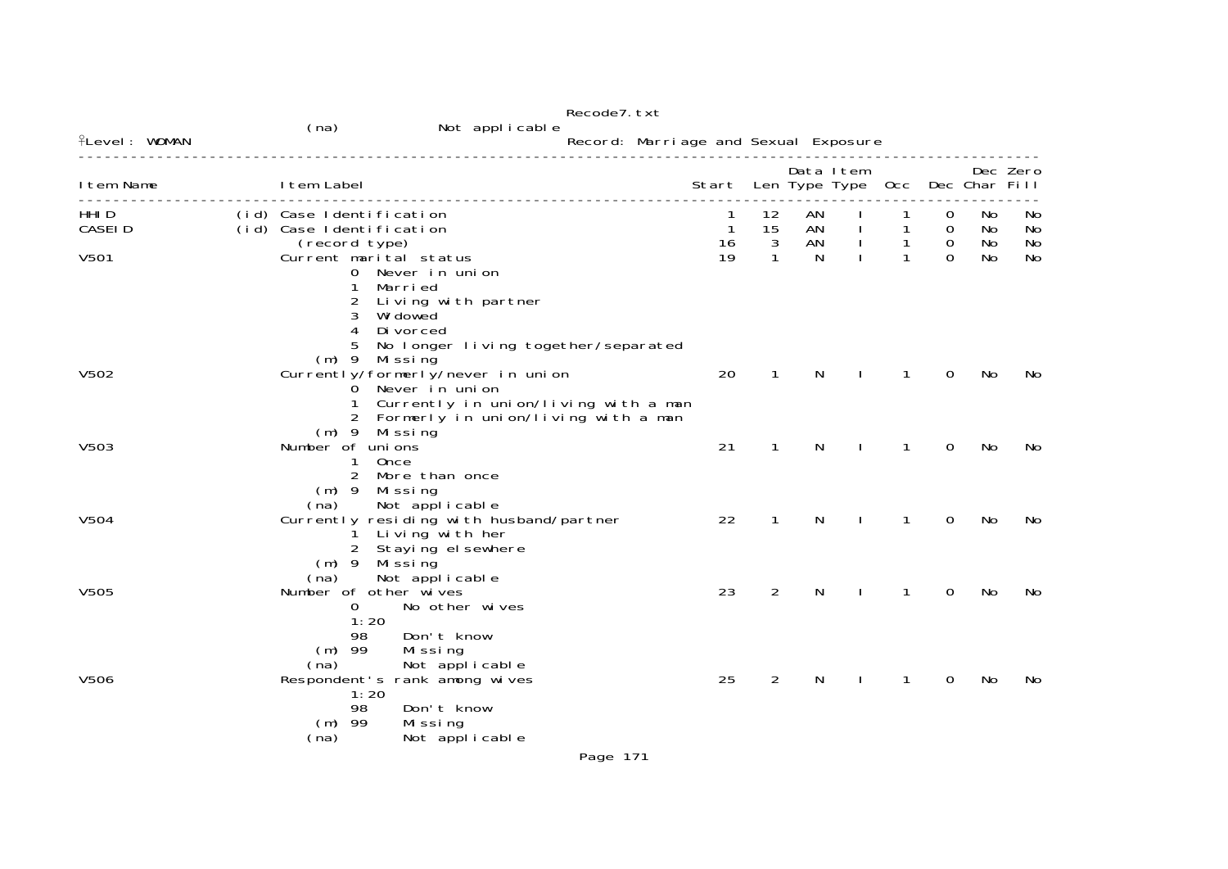|                      |                                                                                                                      | Recode7. txt                                                                  |                                      |               |                |                                 |                              |                                 |                |                |
|----------------------|----------------------------------------------------------------------------------------------------------------------|-------------------------------------------------------------------------------|--------------------------------------|---------------|----------------|---------------------------------|------------------------------|---------------------------------|----------------|----------------|
| <b>flevel: WOMAN</b> | (na)                                                                                                                 | Not applicable                                                                | Record: Marriage and Sexual Exposure |               |                |                                 |                              |                                 |                |                |
|                      |                                                                                                                      |                                                                               |                                      |               |                |                                 |                              |                                 |                |                |
| I tem Name           | I tem Label                                                                                                          |                                                                               | Start                                |               | Data Item      | Len Type Type Occ Dec Char Fill |                              |                                 |                | Dec Zero       |
| HHI D<br>CASEI D     | (id) Case Identification<br>(id) Case Identification<br>(record type)                                                |                                                                               | 1<br>$\mathbf{1}$<br>16              | 12<br>15<br>3 | AN<br>AN<br>AN |                                 | $\mathbf{1}$<br>$\mathbf{1}$ | 0<br>$\mathbf 0$<br>$\mathbf 0$ | No<br>No<br>No | No<br>No<br>No |
| V501                 | Current marital status<br>0 Never in union<br>Marri ed<br>2<br>3<br>Wi dowed<br>4<br>Di vorced<br>5<br>(m) 9 Missing | Living with partner<br>No longer living together/separated                    | 19                                   | $\mathbf{1}$  | N              |                                 | $\mathbf{1}$                 | $\Omega$                        | No             | No             |
| V502                 | Currently/formerly/never in union<br>0 Never in union<br>1<br>$(m)$ 9<br>Mi ssi ng                                   | Currently in union/living with a man<br>2 Formerly in union/living with a man | 20                                   | 1             | N              |                                 |                              | 0                               | No             | No             |
| V503                 | Number of unions<br>Once<br>1<br>$\overline{2}$<br>More than once<br>$(m)$ 9 Missing<br>Not applicable<br>(na)       |                                                                               | 21                                   | 1             | N              |                                 | 1                            | 0                               | No             | No.            |
| V504                 | Living with her<br>$\mathbf{1}$<br>2 Staying el sewhere<br>(m) 9 Missing<br>Not applicable<br>(na)                   | Currently residing with husband/partner                                       | 22                                   | $\mathbf{1}$  | N              |                                 | 1                            | 0                               | No             | No             |
| V505                 | Number of other wives<br>0<br>1:20<br>Don't know<br>98<br>$(m)$ 99<br>Mi ssi ng<br>(na)                              | No other wives<br>Not applicable                                              | 23                                   | 2             | N              |                                 | 1                            | 0                               | No             | No             |
| V506                 | Respondent's rank among wives<br>1:20<br>98<br>Don't know<br>$(m)$ 99<br>Mi ssi ng<br>(na)                           | Not applicable                                                                | 25                                   | 2             | N              |                                 |                              | 0                               | No             | No             |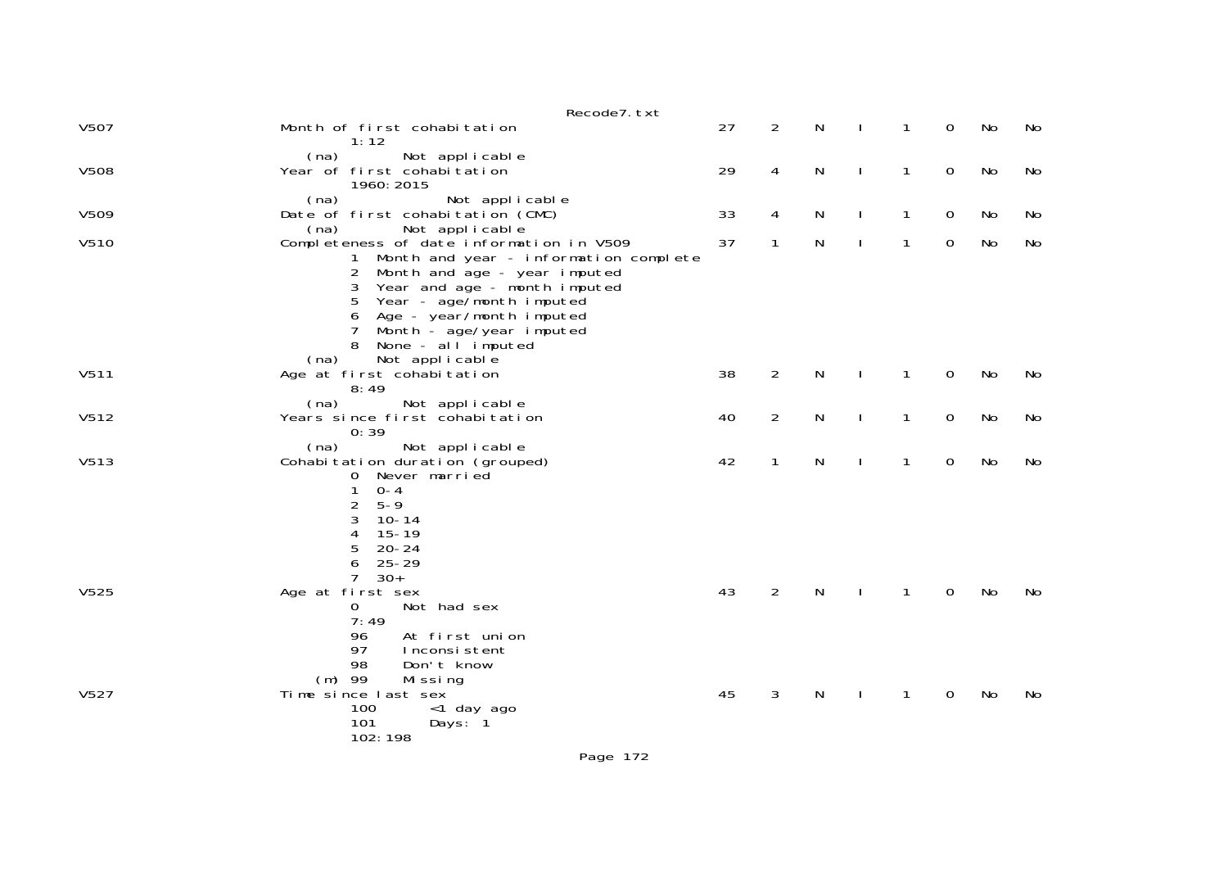|             | Recode7. txt                                                                                                                                                                                                                                                                                 |    |                |   |              |              |             |    |    |
|-------------|----------------------------------------------------------------------------------------------------------------------------------------------------------------------------------------------------------------------------------------------------------------------------------------------|----|----------------|---|--------------|--------------|-------------|----|----|
| V507        | Month of first cohabitation<br>1:12                                                                                                                                                                                                                                                          | 27 | $\overline{2}$ | N |              | 1            | 0           | No | No |
| <b>V508</b> | Not applicable<br>(na)<br>Year of first cohabitation<br>1960: 2015                                                                                                                                                                                                                           | 29 | 4              | N | $\mathbf{I}$ | $\mathbf{1}$ | $\mathbf 0$ | No | No |
| V509        | (na)<br>Not applicable<br>Date of first cohabitation (CMC)<br>(na)<br>Not applicable                                                                                                                                                                                                         | 33 | 4              | N |              | 1            | $\mathbf 0$ | No | No |
| V510        | Completeness of date information in V509<br>Month and year - information complete<br>Month and age - year imputed<br>2<br>Year and age - month imputed<br>3<br>5<br>Year - age/month imputed<br>Age - year/month imputed<br>6<br>7<br>Month - age/year imputed<br>None - all imputed<br>(na) | 37 | 1              | N |              | 1            | $\mathbf 0$ | No | No |
| V511        | Not applicable<br>Age at first cohabitation<br>8:49                                                                                                                                                                                                                                          | 38 | $\overline{2}$ | N |              | 1            | 0           | No | No |
| V512        | (na)<br>Not applicable<br>Years since first cohabitation<br>0:39                                                                                                                                                                                                                             | 40 | $\overline{2}$ | N |              | 1            | $\mathbf 0$ | No | No |
| V513        | (na)<br>Not applicable<br>Cohabitation duration (grouped)<br>Never married<br>0<br>$0 - 4$<br>1<br>$\overline{c}$<br>$5 - 9$<br>3<br>$10 - 14$<br>$15 - 19$<br>4<br>5<br>$20 - 24$<br>6<br>$25 - 29$<br>7<br>$30+$                                                                           | 42 | $\mathbf{1}$   | N |              | 1            | $\mathbf 0$ | No | No |
| V525        | Age at first sex<br>Not had sex<br>0<br>7:49<br>At first union<br>96<br>97<br>Inconsistent<br>98<br>Don't know<br>$(m)$ 99<br>Mi ssi ng                                                                                                                                                      | 43 | $\overline{2}$ | N |              | 1            | 0           | No | No |
| V527        | Time since last sex<br>100<br><1 day ago<br>101<br>Days: 1<br>102:198                                                                                                                                                                                                                        | 45 | 3              | N |              | 1            | 0           | No | No |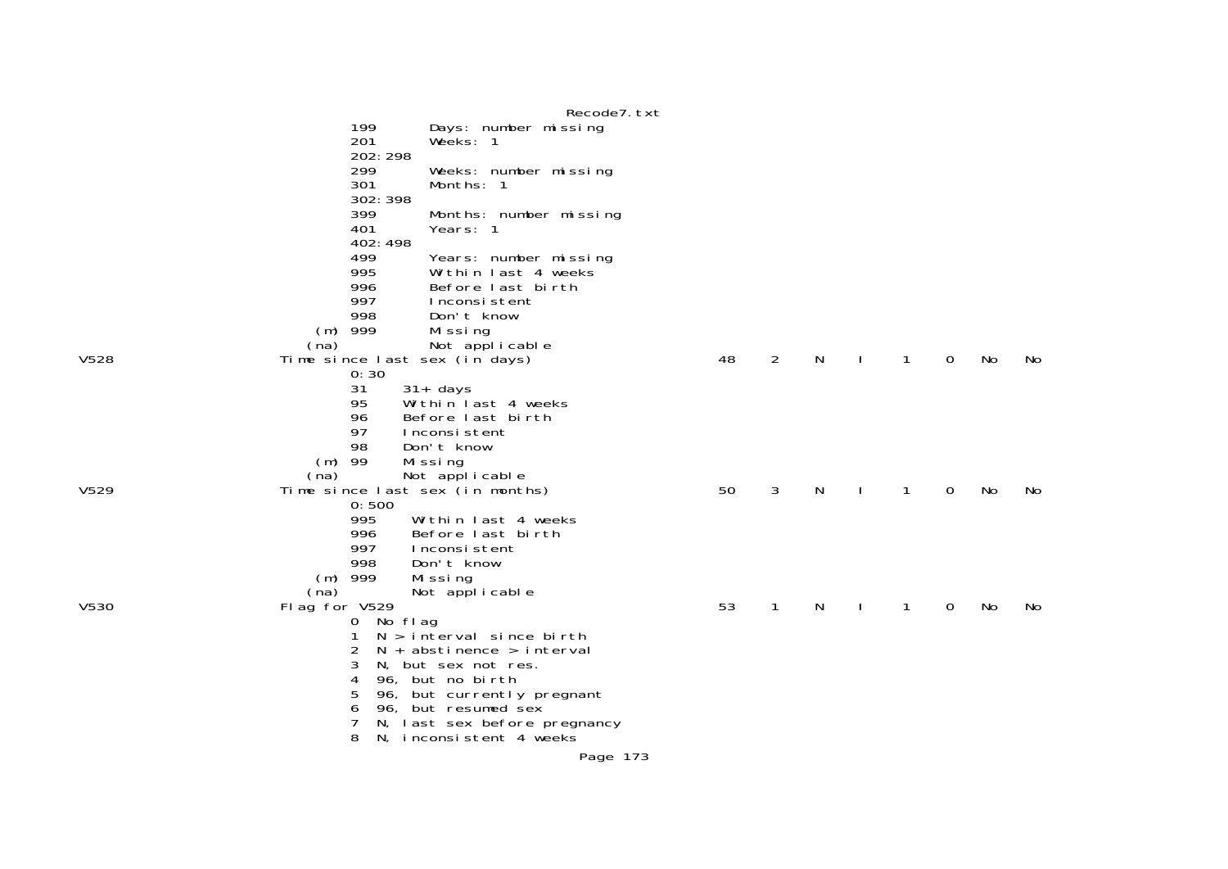|            | Recode7. txt                                                                                                                                                                                                                                                        |                                                                                                                                                                                                                                                                                                                                                                                                                                                                                                                                                                                                                                                                                                                                                                         |                |                                |        |   |        |        |          |
|------------|---------------------------------------------------------------------------------------------------------------------------------------------------------------------------------------------------------------------------------------------------------------------|-------------------------------------------------------------------------------------------------------------------------------------------------------------------------------------------------------------------------------------------------------------------------------------------------------------------------------------------------------------------------------------------------------------------------------------------------------------------------------------------------------------------------------------------------------------------------------------------------------------------------------------------------------------------------------------------------------------------------------------------------------------------------|----------------|--------------------------------|--------|---|--------|--------|----------|
| 199        |                                                                                                                                                                                                                                                                     |                                                                                                                                                                                                                                                                                                                                                                                                                                                                                                                                                                                                                                                                                                                                                                         |                |                                |        |   |        |        |          |
| 201        | Weeks: 1                                                                                                                                                                                                                                                            |                                                                                                                                                                                                                                                                                                                                                                                                                                                                                                                                                                                                                                                                                                                                                                         |                |                                |        |   |        |        |          |
|            |                                                                                                                                                                                                                                                                     |                                                                                                                                                                                                                                                                                                                                                                                                                                                                                                                                                                                                                                                                                                                                                                         |                |                                |        |   |        |        |          |
|            |                                                                                                                                                                                                                                                                     |                                                                                                                                                                                                                                                                                                                                                                                                                                                                                                                                                                                                                                                                                                                                                                         |                |                                |        |   |        |        |          |
|            |                                                                                                                                                                                                                                                                     |                                                                                                                                                                                                                                                                                                                                                                                                                                                                                                                                                                                                                                                                                                                                                                         |                |                                |        |   |        |        |          |
|            |                                                                                                                                                                                                                                                                     |                                                                                                                                                                                                                                                                                                                                                                                                                                                                                                                                                                                                                                                                                                                                                                         |                |                                |        |   |        |        |          |
|            |                                                                                                                                                                                                                                                                     |                                                                                                                                                                                                                                                                                                                                                                                                                                                                                                                                                                                                                                                                                                                                                                         |                |                                |        |   |        |        |          |
|            |                                                                                                                                                                                                                                                                     |                                                                                                                                                                                                                                                                                                                                                                                                                                                                                                                                                                                                                                                                                                                                                                         |                |                                |        |   |        |        |          |
|            |                                                                                                                                                                                                                                                                     |                                                                                                                                                                                                                                                                                                                                                                                                                                                                                                                                                                                                                                                                                                                                                                         |                |                                |        |   |        |        |          |
|            |                                                                                                                                                                                                                                                                     |                                                                                                                                                                                                                                                                                                                                                                                                                                                                                                                                                                                                                                                                                                                                                                         |                |                                |        |   |        |        |          |
|            |                                                                                                                                                                                                                                                                     |                                                                                                                                                                                                                                                                                                                                                                                                                                                                                                                                                                                                                                                                                                                                                                         |                |                                |        |   |        |        |          |
|            |                                                                                                                                                                                                                                                                     |                                                                                                                                                                                                                                                                                                                                                                                                                                                                                                                                                                                                                                                                                                                                                                         |                |                                |        |   |        |        |          |
|            |                                                                                                                                                                                                                                                                     |                                                                                                                                                                                                                                                                                                                                                                                                                                                                                                                                                                                                                                                                                                                                                                         |                |                                |        |   |        |        |          |
|            |                                                                                                                                                                                                                                                                     |                                                                                                                                                                                                                                                                                                                                                                                                                                                                                                                                                                                                                                                                                                                                                                         |                |                                |        |   |        |        |          |
|            |                                                                                                                                                                                                                                                                     |                                                                                                                                                                                                                                                                                                                                                                                                                                                                                                                                                                                                                                                                                                                                                                         |                |                                |        |   |        |        |          |
|            |                                                                                                                                                                                                                                                                     |                                                                                                                                                                                                                                                                                                                                                                                                                                                                                                                                                                                                                                                                                                                                                                         |                |                                |        |   |        |        | No       |
|            |                                                                                                                                                                                                                                                                     |                                                                                                                                                                                                                                                                                                                                                                                                                                                                                                                                                                                                                                                                                                                                                                         |                |                                |        |   |        |        |          |
|            |                                                                                                                                                                                                                                                                     |                                                                                                                                                                                                                                                                                                                                                                                                                                                                                                                                                                                                                                                                                                                                                                         |                |                                |        |   |        |        |          |
|            |                                                                                                                                                                                                                                                                     |                                                                                                                                                                                                                                                                                                                                                                                                                                                                                                                                                                                                                                                                                                                                                                         |                |                                |        |   |        |        |          |
|            |                                                                                                                                                                                                                                                                     |                                                                                                                                                                                                                                                                                                                                                                                                                                                                                                                                                                                                                                                                                                                                                                         |                |                                |        |   |        |        |          |
|            |                                                                                                                                                                                                                                                                     |                                                                                                                                                                                                                                                                                                                                                                                                                                                                                                                                                                                                                                                                                                                                                                         |                |                                |        |   |        |        |          |
| 98         |                                                                                                                                                                                                                                                                     |                                                                                                                                                                                                                                                                                                                                                                                                                                                                                                                                                                                                                                                                                                                                                                         |                |                                |        |   |        |        |          |
| -99<br>(m) |                                                                                                                                                                                                                                                                     |                                                                                                                                                                                                                                                                                                                                                                                                                                                                                                                                                                                                                                                                                                                                                                         |                |                                |        |   |        |        |          |
| (na)       |                                                                                                                                                                                                                                                                     |                                                                                                                                                                                                                                                                                                                                                                                                                                                                                                                                                                                                                                                                                                                                                                         |                |                                |        |   |        |        |          |
|            |                                                                                                                                                                                                                                                                     |                                                                                                                                                                                                                                                                                                                                                                                                                                                                                                                                                                                                                                                                                                                                                                         | 3              | N                              |        | 1 | 0      | No     | No.      |
|            |                                                                                                                                                                                                                                                                     |                                                                                                                                                                                                                                                                                                                                                                                                                                                                                                                                                                                                                                                                                                                                                                         |                |                                |        |   |        |        |          |
|            |                                                                                                                                                                                                                                                                     |                                                                                                                                                                                                                                                                                                                                                                                                                                                                                                                                                                                                                                                                                                                                                                         |                |                                |        |   |        |        |          |
|            |                                                                                                                                                                                                                                                                     |                                                                                                                                                                                                                                                                                                                                                                                                                                                                                                                                                                                                                                                                                                                                                                         |                |                                |        |   |        |        |          |
|            |                                                                                                                                                                                                                                                                     |                                                                                                                                                                                                                                                                                                                                                                                                                                                                                                                                                                                                                                                                                                                                                                         |                |                                |        |   |        |        |          |
|            |                                                                                                                                                                                                                                                                     |                                                                                                                                                                                                                                                                                                                                                                                                                                                                                                                                                                                                                                                                                                                                                                         |                |                                |        |   |        |        |          |
|            |                                                                                                                                                                                                                                                                     |                                                                                                                                                                                                                                                                                                                                                                                                                                                                                                                                                                                                                                                                                                                                                                         |                |                                |        |   |        |        |          |
|            |                                                                                                                                                                                                                                                                     |                                                                                                                                                                                                                                                                                                                                                                                                                                                                                                                                                                                                                                                                                                                                                                         |                |                                |        |   |        |        |          |
|            |                                                                                                                                                                                                                                                                     |                                                                                                                                                                                                                                                                                                                                                                                                                                                                                                                                                                                                                                                                                                                                                                         |                |                                |        |   |        |        | No       |
|            |                                                                                                                                                                                                                                                                     |                                                                                                                                                                                                                                                                                                                                                                                                                                                                                                                                                                                                                                                                                                                                                                         |                |                                |        |   |        |        |          |
|            |                                                                                                                                                                                                                                                                     |                                                                                                                                                                                                                                                                                                                                                                                                                                                                                                                                                                                                                                                                                                                                                                         |                |                                |        |   |        |        |          |
|            |                                                                                                                                                                                                                                                                     |                                                                                                                                                                                                                                                                                                                                                                                                                                                                                                                                                                                                                                                                                                                                                                         |                |                                |        |   |        |        |          |
|            |                                                                                                                                                                                                                                                                     |                                                                                                                                                                                                                                                                                                                                                                                                                                                                                                                                                                                                                                                                                                                                                                         |                |                                |        |   |        |        |          |
|            |                                                                                                                                                                                                                                                                     |                                                                                                                                                                                                                                                                                                                                                                                                                                                                                                                                                                                                                                                                                                                                                                         |                |                                |        |   |        |        |          |
|            |                                                                                                                                                                                                                                                                     |                                                                                                                                                                                                                                                                                                                                                                                                                                                                                                                                                                                                                                                                                                                                                                         |                |                                |        |   |        |        |          |
| 7          |                                                                                                                                                                                                                                                                     |                                                                                                                                                                                                                                                                                                                                                                                                                                                                                                                                                                                                                                                                                                                                                                         |                |                                |        |   |        |        |          |
| 8          |                                                                                                                                                                                                                                                                     |                                                                                                                                                                                                                                                                                                                                                                                                                                                                                                                                                                                                                                                                                                                                                                         |                |                                |        |   |        |        |          |
|            | Page 173                                                                                                                                                                                                                                                            |                                                                                                                                                                                                                                                                                                                                                                                                                                                                                                                                                                                                                                                                                                                                                                         |                |                                |        |   |        |        |          |
|            | 202: 298<br>299<br>301<br>302: 398<br>399<br>401<br>402:498<br>499<br>995<br>996<br>997<br>998<br>999<br>(m)<br>(na)<br>0:30<br>31<br>95<br>96<br>97<br>0:500<br>995<br>996<br>997<br>998<br>999<br>(m)<br>(na)<br>Flag for V529<br>$\mathbf 0$<br>3<br>4<br>5<br>6 | Days: number missing<br>Weeks: number missing<br>Months: 1<br>Months: number missing<br>Years: 1<br>Years: number missing<br>Within last 4 weeks<br>Before last birth<br>Inconsistent<br>Don't know<br>Missing<br>Not applicable<br>Time since last sex (in days)<br>$31 + days$<br>Within last 4 weeks<br>Before last birth<br>Inconsistent<br>Don't know<br>Missing<br>Not applicable<br>Time since last sex (in months)<br>Within last 4 weeks<br>Before last birth<br>Inconsistent<br>Don't know<br>Mi ssi ng<br>Not applicable<br>No flag<br>$N > i$ nterval since birth<br>$N +$ abstinence > interval<br>N, but sex not res.<br>96, but no birth<br>96, but currently pregnant<br>96, but resumed sex<br>N, last sex before pregnancy<br>N, inconsistent 4 weeks | 48<br>50<br>53 | $\overline{2}$<br>$\mathbf{1}$ | N<br>N |   | 1<br>1 | 0<br>0 | No<br>No |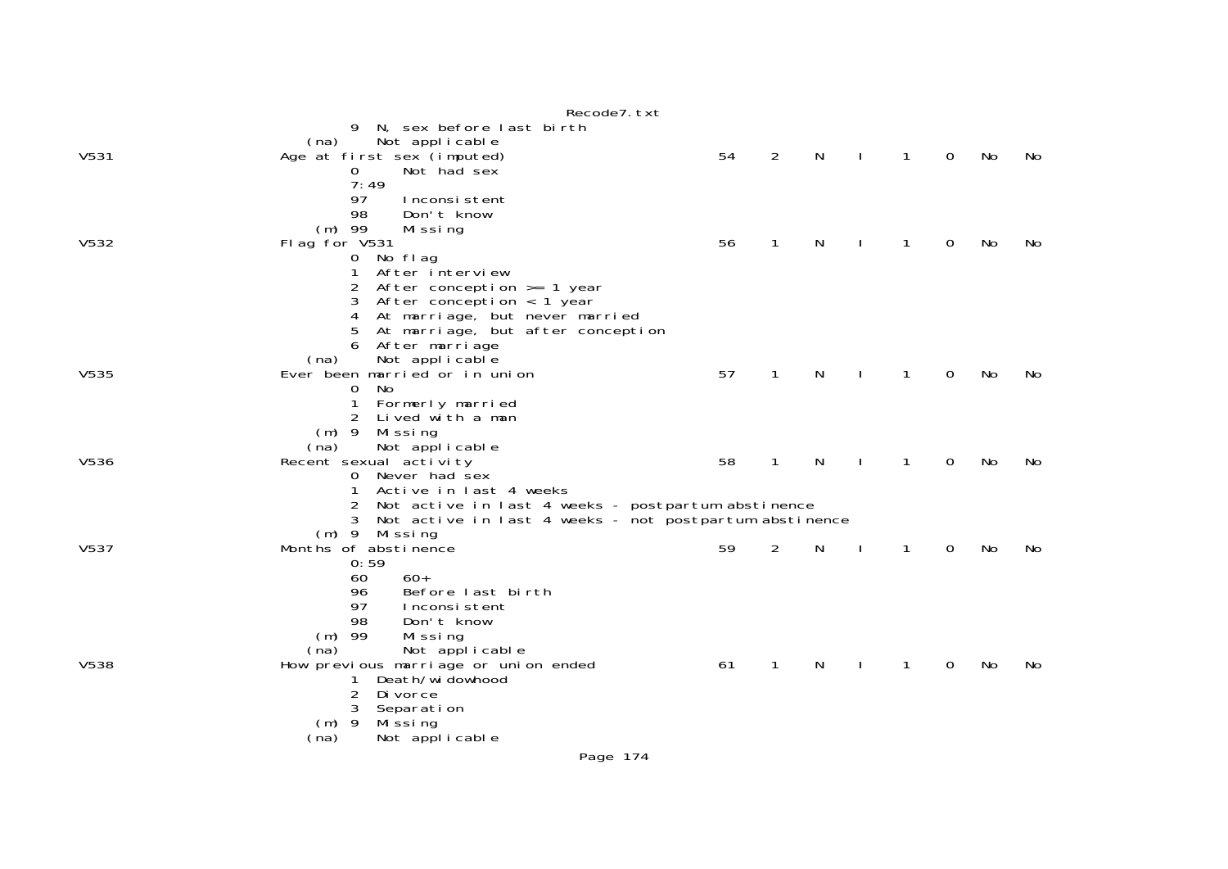|             | Recode7. txt                                            |    |                |              |              |              |             |    |    |
|-------------|---------------------------------------------------------|----|----------------|--------------|--------------|--------------|-------------|----|----|
|             | 9 N, sex before last birth                              |    |                |              |              |              |             |    |    |
|             | (na)<br>Not applicable                                  |    |                |              |              |              |             |    |    |
| V531        | Age at first sex (imputed)                              | 54 | $\overline{2}$ | N            | $\mathbf{I}$ | $\mathbf{1}$ | 0           | No | No |
|             | Not had sex<br>0                                        |    |                |              |              |              |             |    |    |
|             | 7:49                                                    |    |                |              |              |              |             |    |    |
|             | 97<br>Inconsistent                                      |    |                |              |              |              |             |    |    |
|             | 98<br>Don't know                                        |    |                |              |              |              |             |    |    |
|             | $(m)$ 99<br>Missing                                     |    |                |              |              |              |             |    |    |
| V532        | Flag for V531                                           | 56 | 1              | N            |              | 1            | 0           | No | No |
|             | 0 No flag                                               |    |                |              |              |              |             |    |    |
|             | After interview<br>1                                    |    |                |              |              |              |             |    |    |
|             | After conception $>= 1$ year<br>2                       |    |                |              |              |              |             |    |    |
|             | After conception $\langle$ 1 year<br>3                  |    |                |              |              |              |             |    |    |
|             | 4<br>At marriage, but never married                     |    |                |              |              |              |             |    |    |
|             | At marriage, but after conception<br>5                  |    |                |              |              |              |             |    |    |
|             | After marriage<br>6                                     |    |                |              |              |              |             |    |    |
|             | Not applicable<br>(na)                                  |    |                |              |              |              |             |    |    |
| V535        | Ever been married or in union                           | 57 | $\mathbf{1}$   | $\mathsf{N}$ | $\mathbf{I}$ | $\mathbf{1}$ | $\mathbf 0$ | No | No |
|             | No<br>0                                                 |    |                |              |              |              |             |    |    |
|             | $\mathbf{1}$<br>Formerly married                        |    |                |              |              |              |             |    |    |
|             | 2<br>Lived with a man                                   |    |                |              |              |              |             |    |    |
|             | $(m)$ 9<br>Missing                                      |    |                |              |              |              |             |    |    |
|             | Not applicable<br>(na)                                  |    |                |              |              |              |             |    |    |
| V536        | Recent sexual activity                                  | 58 | $\mathbf{1}$   | $\mathsf{N}$ | $\mathbf{I}$ | $\mathbf{1}$ | 0           | No | No |
|             | 0 Never had sex                                         |    |                |              |              |              |             |    |    |
|             | Active in last 4 weeks<br>1                             |    |                |              |              |              |             |    |    |
|             | Not active in last 4 weeks - postpartum abstinence<br>2 |    |                |              |              |              |             |    |    |
|             | Not active in last 4 weeks - not postpartum abstinence  |    |                |              |              |              |             |    |    |
|             | (m) 9 Missing                                           |    |                |              |              |              |             |    |    |
| V537        | Months of abstinence                                    | 59 | 2              | N            | $\mathbf{I}$ | $\mathbf{1}$ | 0           | No | No |
|             | 0:59                                                    |    |                |              |              |              |             |    |    |
|             | $60+$<br>60                                             |    |                |              |              |              |             |    |    |
|             | Before last birth<br>96                                 |    |                |              |              |              |             |    |    |
|             | 97<br>Inconsistent                                      |    |                |              |              |              |             |    |    |
|             | 98<br>Don't know                                        |    |                |              |              |              |             |    |    |
|             | $(m)$ 99<br>Missing                                     |    |                |              |              |              |             |    |    |
|             | Not applicable<br>(na)                                  |    |                |              |              |              |             |    |    |
| <b>V538</b> | How previous marriage or union ended                    | 61 | 1              | N            |              | 1            | 0           | No | No |
|             | Death/wi dowhood<br>1                                   |    |                |              |              |              |             |    |    |
|             | $\overline{2}$<br>Di vorce                              |    |                |              |              |              |             |    |    |
|             | 3<br>Separation                                         |    |                |              |              |              |             |    |    |
|             | $(m)$ 9<br>Mi ssi ng                                    |    |                |              |              |              |             |    |    |
|             | Not applicable<br>(na)                                  |    |                |              |              |              |             |    |    |
|             | Page 174                                                |    |                |              |              |              |             |    |    |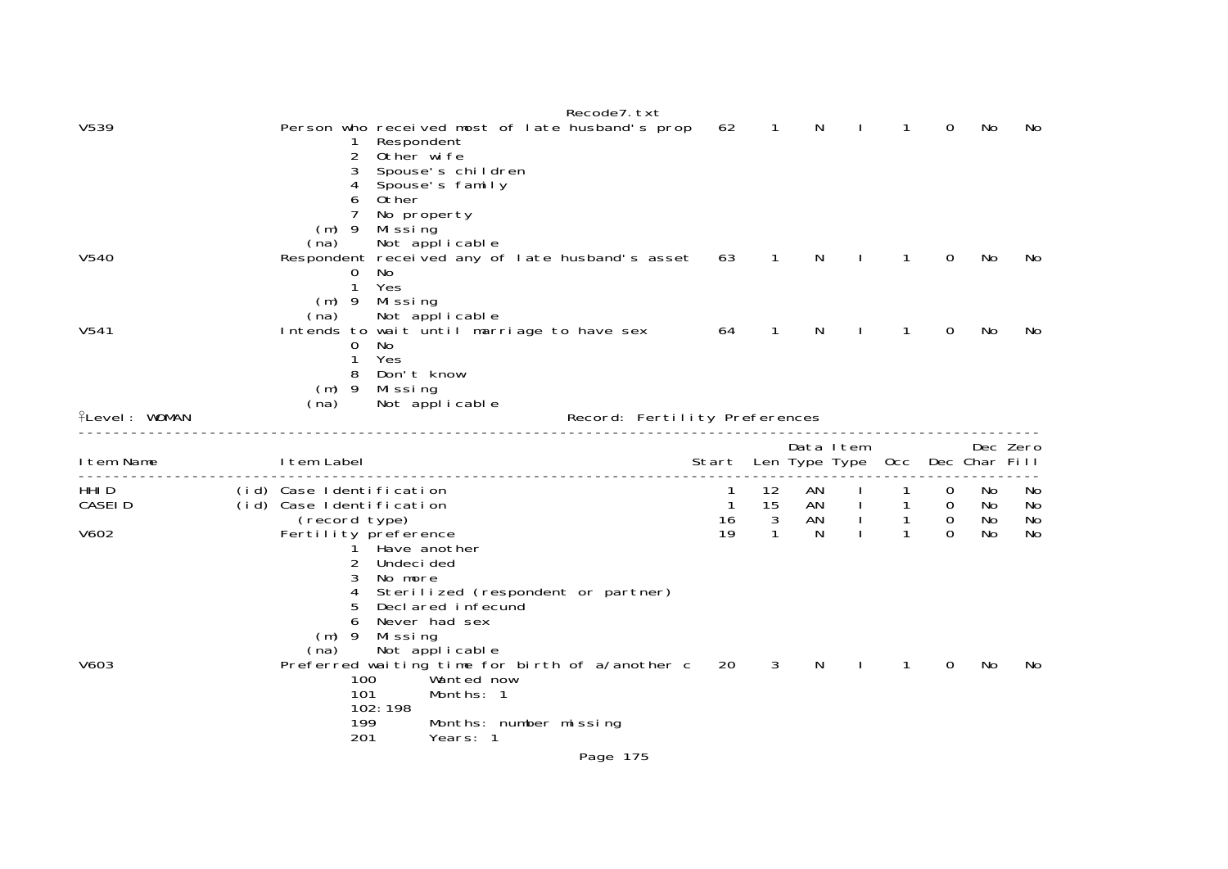|                          | Recode7.txt                                                                                                                                                                                                                                                                                                               |                               |                                          |                                     |                                                              |                                                |                           |                       |
|--------------------------|---------------------------------------------------------------------------------------------------------------------------------------------------------------------------------------------------------------------------------------------------------------------------------------------------------------------------|-------------------------------|------------------------------------------|-------------------------------------|--------------------------------------------------------------|------------------------------------------------|---------------------------|-----------------------|
| V539                     | Person who received most of late husband's prop<br>Respondent<br>1<br>2<br>Other wife<br>Spouse's children<br>3<br>4<br>Spouse's family<br>Other<br>6<br>7<br>No property<br>$(m)$ 9<br>Missing<br>Not applicable<br>(na)                                                                                                 | 62                            | $\mathbf{1}$                             | N                                   | 1                                                            | 0                                              | No                        | No                    |
| V540                     | Respondent received any of late husband's asset<br>0<br>No<br>1<br>Yes<br>$(m)$ 9<br>Mi ssi ng<br>Not applicable<br>(na)                                                                                                                                                                                                  | 63                            | $\mathbf{1}$                             | N                                   | $\mathbf{1}$                                                 | $\Omega$                                       | No                        | No                    |
| V541                     | Intends to wait until marriage to have sex<br>0<br>No<br>$\mathbf{1}$<br>Yes<br>Don't know<br>8<br>$(m)$ 9<br>Missing<br>Not applicable<br>(na)                                                                                                                                                                           | 64                            | 1                                        | N                                   | 1                                                            | 0                                              | No                        | No                    |
| <b>fLevel: WOMAN</b>     |                                                                                                                                                                                                                                                                                                                           | Record: Fertility Preferences |                                          |                                     |                                                              |                                                |                           |                       |
| I tem Name               | I tem Label                                                                                                                                                                                                                                                                                                               | Start                         |                                          | Data Item<br>Len Type Type          | 0cc                                                          |                                                | Dec Zero<br>Dec Char Fill |                       |
| HHI D<br>CASEI D<br>V602 | (id) Case Identification<br>(id) Case Identification<br>(record type)<br>Fertility preference<br>Have another<br>2<br>Undeci ded<br>3                                                                                                                                                                                     | 1<br>$\mathbf{1}$<br>16<br>19 | 12<br>15<br>$\mathbf{3}$<br>$\mathbf{1}$ | AN<br>AN<br>$\mathbf{I}$<br>AN<br>N | $\mathbf{1}$<br>$\mathbf{1}$<br>$\mathbf{1}$<br>$\mathbf{1}$ | 0<br>$\overline{0}$<br>$\mathbf 0$<br>$\Omega$ | No<br>No<br>No<br>No      | NO.<br>No<br>No<br>No |
| V603                     | No more<br>Sterilized (respondent or partner)<br>4<br>Declared infecund<br>5<br>Never had sex<br>6<br>$(m)$ 9<br>Missing<br>Not applicable<br>(na)<br>Preferred waiting time for birth of a/another c<br>100<br>Wanted now<br>101<br>Months: 1<br>102:198<br>199<br>Months: number missing<br>201<br>Years: 1<br>Page 175 | 20                            | 3                                        | N                                   | 1                                                            | 0                                              | No                        | No                    |
|                          |                                                                                                                                                                                                                                                                                                                           |                               |                                          |                                     |                                                              |                                                |                           |                       |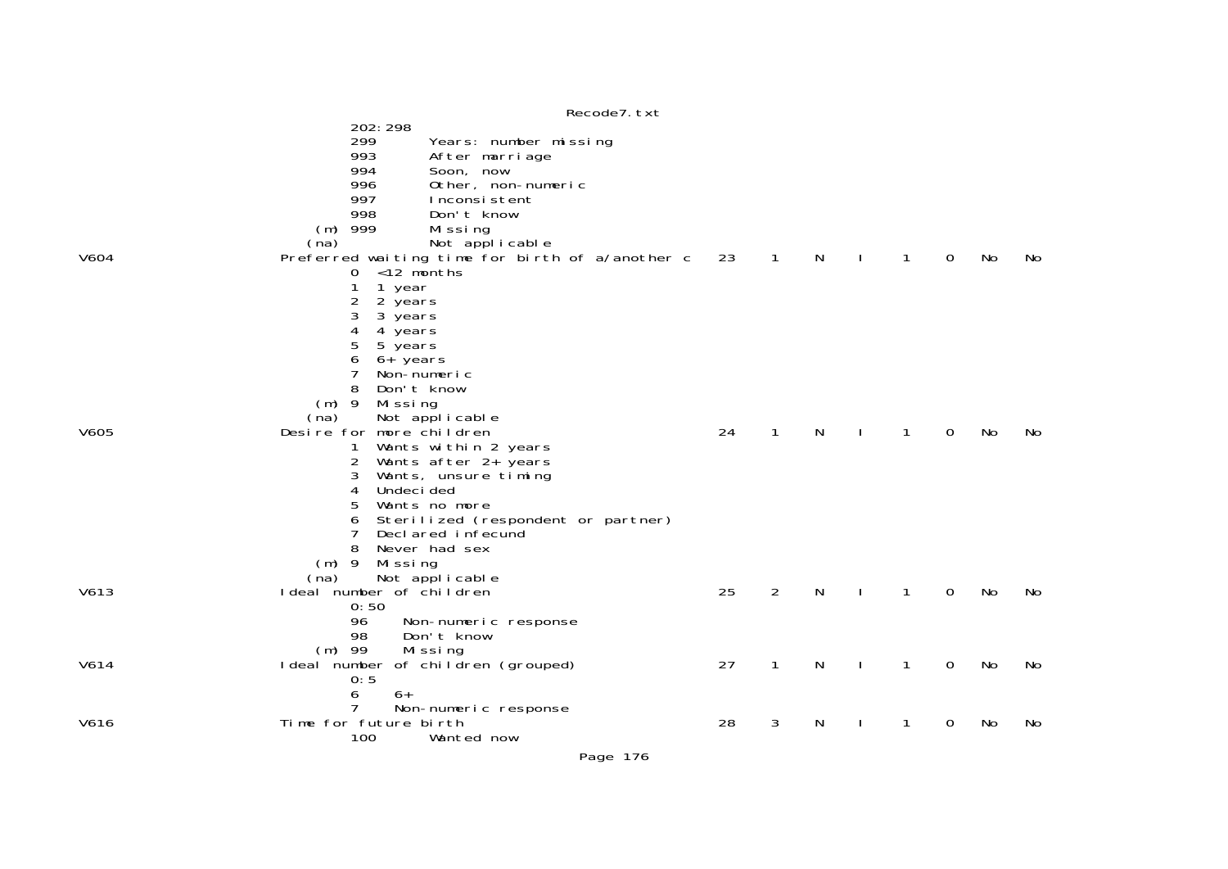|      | Recode7. txt                                                                                                                                                                                                                                                                                           |    |                |   |              |              |             |    |     |
|------|--------------------------------------------------------------------------------------------------------------------------------------------------------------------------------------------------------------------------------------------------------------------------------------------------------|----|----------------|---|--------------|--------------|-------------|----|-----|
|      | 202: 298<br>299<br>Years: number missing<br>993<br>After marriage<br>994<br>Soon, now<br>996<br>Other, non-numeric<br>997<br>Inconsistent<br>998<br>Don't know<br>$(m)$ 999<br>Missing<br>Not applicable<br>(na)                                                                                       |    |                |   |              |              |             |    |     |
| V604 | Preferred waiting time for birth of a/another c<br><12 months<br>0<br>1<br>1 year<br>2<br>2 years<br>3<br>3 years<br>4<br>4 years<br>5<br>5 years<br>6<br>$6+$ years<br>Non-numeric<br>8<br>Don't know<br>$(m)$ 9<br>Missing<br>Not applicable<br>(na)                                                 | 23 | $\mathbf{1}$   | N |              | 1            | $\mathbf 0$ | No | No. |
| V605 | Desire for more children<br>Wants within 2 years<br>1<br>2<br>Wants after 2+ years<br>3<br>Wants, unsure timing<br>4<br>Undeci ded<br>5<br>Wants no more<br>6<br>Sterilized (respondent or partner)<br>7<br>Decl ared infecund<br>8<br>Never had sex<br>$(m)$ 9<br>Mi ssi ng<br>Not applicable<br>(na) | 24 | $\mathbf{1}$   | N | <sup>1</sup> | $\mathbf{1}$ | 0           | No | No  |
| V613 | I deal number of children<br>0:50<br>96<br>Non-numeric response<br>98<br>Don't know<br>$(m)$ 99<br>Missing                                                                                                                                                                                             | 25 | $\overline{2}$ | N |              | 1            | $\mathbf 0$ | No | No  |
| V614 | I deal number of children (grouped)<br>0:5<br>6<br>$6+$<br>Non-numeric response                                                                                                                                                                                                                        | 27 | $\mathbf{1}$   | N |              | 1            | 0           | No | No  |
| V616 | Time for future birth<br>100<br>Wanted now                                                                                                                                                                                                                                                             | 28 | 3              | N |              | 1            | $\mathbf 0$ | No | No  |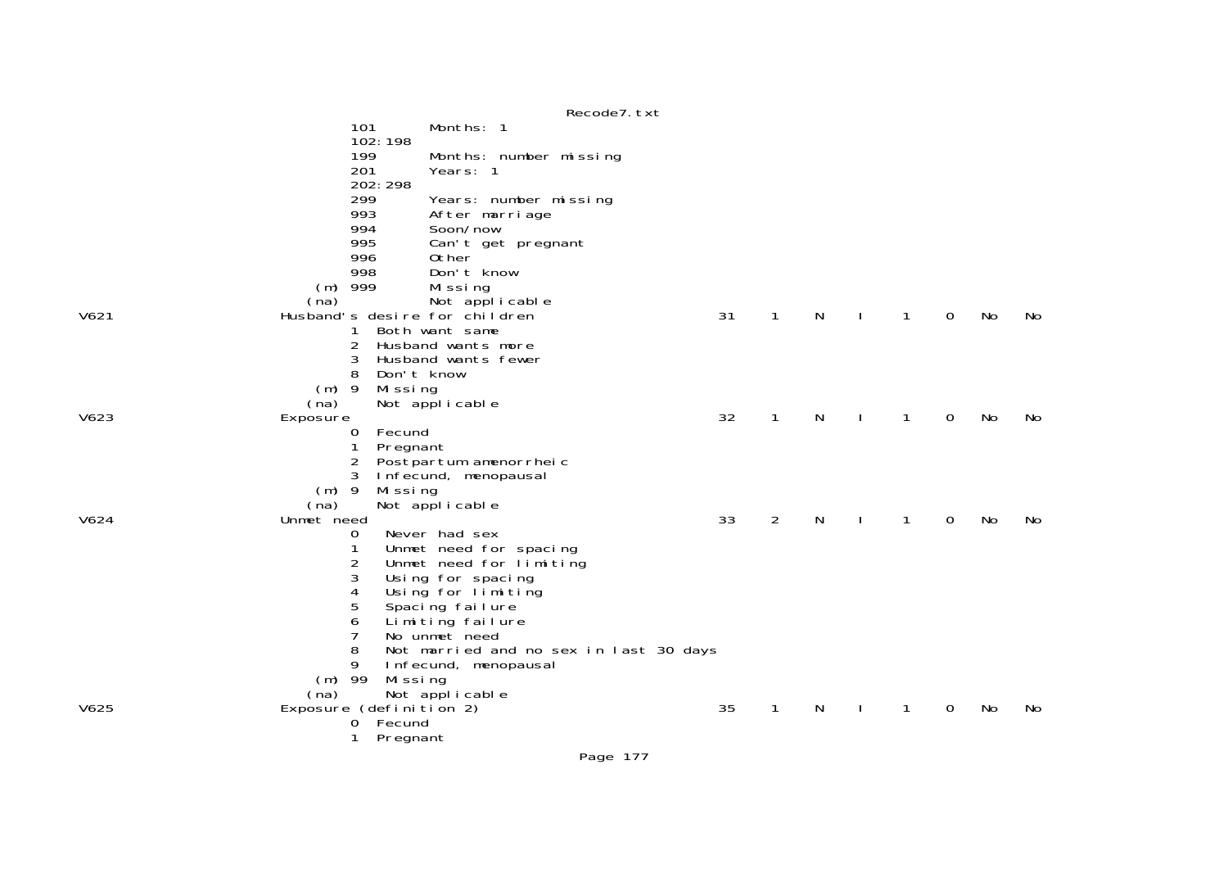|      |                                                      | Recode7. txt                           |    |                |   |              |              |             |    |     |
|------|------------------------------------------------------|----------------------------------------|----|----------------|---|--------------|--------------|-------------|----|-----|
|      | 101                                                  | Months: 1                              |    |                |   |              |              |             |    |     |
|      | 102:198                                              |                                        |    |                |   |              |              |             |    |     |
|      | 199                                                  | Months: number missing                 |    |                |   |              |              |             |    |     |
|      | 201                                                  | Years: 1                               |    |                |   |              |              |             |    |     |
|      | 202: 298                                             |                                        |    |                |   |              |              |             |    |     |
|      | 299                                                  | Years: number missing                  |    |                |   |              |              |             |    |     |
|      | 993                                                  | After marriage                         |    |                |   |              |              |             |    |     |
|      | 994                                                  | Soon/now                               |    |                |   |              |              |             |    |     |
|      | 995                                                  | Can't get pregnant                     |    |                |   |              |              |             |    |     |
|      | 996                                                  | 0ther                                  |    |                |   |              |              |             |    |     |
|      | 998                                                  | Don't know                             |    |                |   |              |              |             |    |     |
|      | $(m)$ 999                                            | Missing                                |    |                |   |              |              |             |    |     |
|      |                                                      |                                        |    |                |   |              |              |             |    |     |
| V621 | (na) Not applicable<br>Husband's desire for children |                                        | 31 | $\mathbf 1$    | N |              | $\mathbf{1}$ | $\Omega$    | No | No. |
|      | 1                                                    | Both want same                         |    |                |   |              |              |             |    |     |
|      | 2                                                    | Husband wants more                     |    |                |   |              |              |             |    |     |
|      | 3                                                    | Husband wants fewer                    |    |                |   |              |              |             |    |     |
|      | 8                                                    | Don't know                             |    |                |   |              |              |             |    |     |
|      | $(m)$ 9<br>Missing                                   |                                        |    |                |   |              |              |             |    |     |
|      | (na)                                                 | Not applicable                         |    |                |   |              |              |             |    |     |
| V623 | Exposure                                             |                                        | 32 | $\mathbf{1}$   | N | $\mathbf{I}$ | $\mathbf{1}$ | $\mathbf 0$ | No | No  |
|      | Fecund<br>0                                          |                                        |    |                |   |              |              |             |    |     |
|      | $\mathbf{1}$<br>Pregnant                             |                                        |    |                |   |              |              |             |    |     |
|      | 2                                                    | Postpartum amenorrheic                 |    |                |   |              |              |             |    |     |
|      | 3                                                    | Infecund, menopausal                   |    |                |   |              |              |             |    |     |
|      | $(m)$ 9<br>Missing                                   |                                        |    |                |   |              |              |             |    |     |
|      | (na)                                                 | Not applicable                         |    |                |   |              |              |             |    |     |
| V624 | Unmet need                                           |                                        | 33 | $\overline{2}$ | N | $\mathbf{I}$ | $\mathbf{1}$ | 0           | No | No  |
|      | 0                                                    | Never had sex                          |    |                |   |              |              |             |    |     |
|      | 1                                                    | Unmet need for spacing                 |    |                |   |              |              |             |    |     |
|      | 2                                                    | Unmet need for limiting                |    |                |   |              |              |             |    |     |
|      | 3                                                    | Using for spacing                      |    |                |   |              |              |             |    |     |
|      | 4                                                    | Using for limiting                     |    |                |   |              |              |             |    |     |
|      | 5                                                    | Spacing failure                        |    |                |   |              |              |             |    |     |
|      | 6                                                    | Limiting failure                       |    |                |   |              |              |             |    |     |
|      | 7                                                    | No unmet need                          |    |                |   |              |              |             |    |     |
|      | 8                                                    | Not married and no sex in last 30 days |    |                |   |              |              |             |    |     |
|      | 9                                                    | Infecund, menopausal                   |    |                |   |              |              |             |    |     |
|      | $(m)$ 99<br>Missing                                  |                                        |    |                |   |              |              |             |    |     |
|      | (na)                                                 | Not applicable                         |    |                |   |              |              |             |    |     |
| V625 | Exposure (definition 2)                              |                                        | 35 | $\mathbf{1}$   | N | $\mathbf{I}$ | 1            | $\mathbf 0$ | No | No  |
|      | 0 Fecund                                             |                                        |    |                |   |              |              |             |    |     |
|      | 1<br>Pregnant                                        |                                        |    |                |   |              |              |             |    |     |
|      |                                                      |                                        |    |                |   |              |              |             |    |     |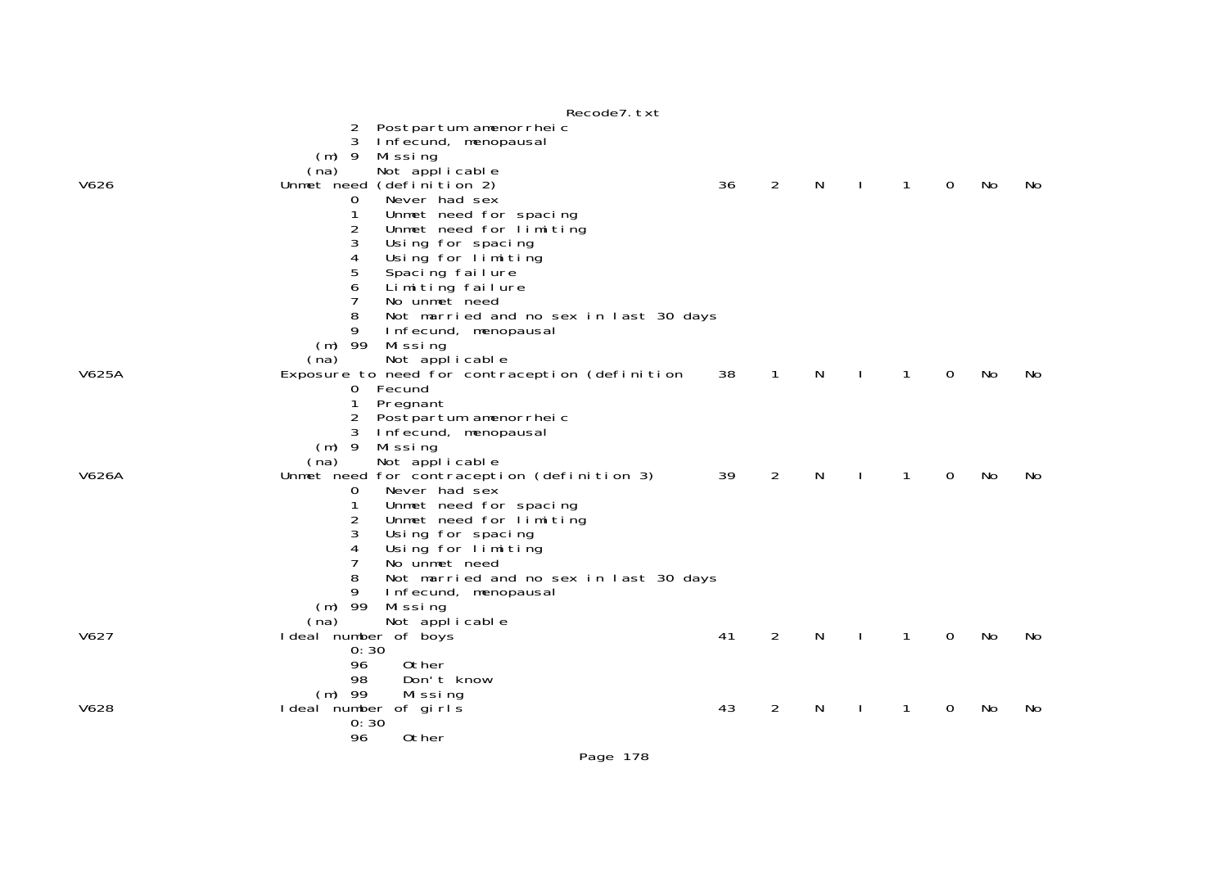|       | Recode / . txt                                 |    |                |    |              |             |     |     |
|-------|------------------------------------------------|----|----------------|----|--------------|-------------|-----|-----|
|       | Postpartum amenorrheic<br>2                    |    |                |    |              |             |     |     |
|       | 3<br>Infecund, menopausal                      |    |                |    |              |             |     |     |
|       | $(m)$ 9<br>Mi ssi ng                           |    |                |    |              |             |     |     |
|       | Not applicable<br>(na)                         |    |                |    |              |             |     |     |
| V626  | Unmet need (definition 2)                      | 36 | 2              | N  | $\mathbf{1}$ | $\mathbf 0$ | No  | No. |
|       | Never had sex<br>$\mathbf{O}$                  |    |                |    |              |             |     |     |
|       | 1<br>Unmet need for spacing                    |    |                |    |              |             |     |     |
|       | $\overline{2}$<br>Unmet need for limiting      |    |                |    |              |             |     |     |
|       | 3<br>Using for spacing                         |    |                |    |              |             |     |     |
|       | Using for limiting<br>4                        |    |                |    |              |             |     |     |
|       | 5<br>Spacing failure                           |    |                |    |              |             |     |     |
|       | Limiting failure<br>6                          |    |                |    |              |             |     |     |
|       | 7<br>No unmet need                             |    |                |    |              |             |     |     |
|       | 8<br>Not married and no sex in last 30 days    |    |                |    |              |             |     |     |
|       | 9<br>Infecund, menopausal                      |    |                |    |              |             |     |     |
|       | $(m)$ 99<br>Mi ssi ng                          |    |                |    |              |             |     |     |
|       | (na)<br>Not applicable                         |    |                |    |              |             |     |     |
| V625A | Exposure to need for contraception (definition | 38 | $\mathbf{1}$   | N. | 1            | $\mathbf 0$ | No  | No. |
|       | 0 Fecund                                       |    |                |    |              |             |     |     |
|       | $\mathbf{1}$<br>Pregnant                       |    |                |    |              |             |     |     |
|       | Postpartum amenorrheic<br>2                    |    |                |    |              |             |     |     |
|       | 3<br>Infecund, menopausal                      |    |                |    |              |             |     |     |
|       | $(m)$ 9<br>Mi ssi ng                           |    |                |    |              |             |     |     |
|       | Not applicable<br>(na)                         |    |                |    |              |             |     |     |
| V626A | Unmet need for contraception (definition 3)    | 39 | $\overline{2}$ | N  | 1            | $\mathbf 0$ | No  | No. |
|       | Never had sex<br>0                             |    |                |    |              |             |     |     |
|       | 1<br>Unmet need for spacing                    |    |                |    |              |             |     |     |
|       | Unmet need for limiting<br>2                   |    |                |    |              |             |     |     |
|       | 3<br>Using for spacing                         |    |                |    |              |             |     |     |
|       | Using for limiting<br>4                        |    |                |    |              |             |     |     |
|       | 7<br>No unmet need                             |    |                |    |              |             |     |     |
|       | 8<br>Not married and no sex in last 30 days    |    |                |    |              |             |     |     |
|       | 9<br>Infecund, menopausal                      |    |                |    |              |             |     |     |
|       | $(m)$ 99<br>Missing                            |    |                |    |              |             |     |     |
|       | Not applicable<br>(na)                         |    |                |    |              |             |     |     |
| V627  | I deal number of boys                          | 41 | 2              | N  | 1            | 0           | No. | No. |
|       | 0:30                                           |    |                |    |              |             |     |     |
|       | 0ther<br>96                                    |    |                |    |              |             |     |     |
|       | 98<br>Don't know                               |    |                |    |              |             |     |     |
|       | $(m)$ 99<br>Mi ssi ng                          |    |                |    |              |             |     |     |
| V628  | I deal number of girls                         | 43 | 2              | N. | 1            | $\Omega$    | No  | No. |
|       | 0:30                                           |    |                |    |              |             |     |     |
|       | 96<br>0ther                                    |    |                |    |              |             |     |     |

## $P^{\text{e}}$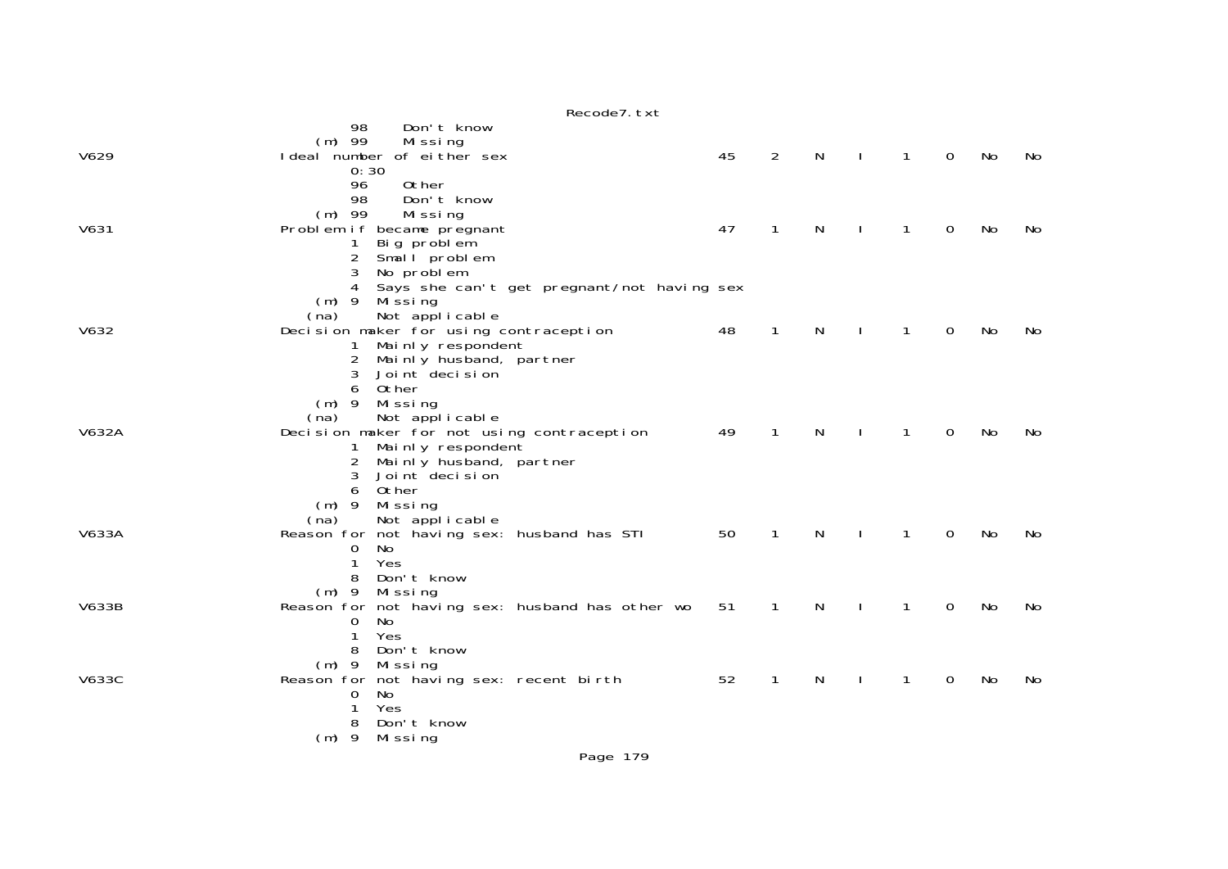|              | Recode7. txt                                                         |    |                |              |                |                |             |    |    |
|--------------|----------------------------------------------------------------------|----|----------------|--------------|----------------|----------------|-------------|----|----|
|              | 98<br>Don't know                                                     |    |                |              |                |                |             |    |    |
|              | $(m)$ 99<br>Missing                                                  |    |                |              |                |                |             |    |    |
| V629         | I deal number of either sex                                          | 45 | $\overline{2}$ | $\mathsf{N}$ | $\blacksquare$ | $\mathbf{1}$   | $\mathbf 0$ | No | No |
|              | 0:30                                                                 |    |                |              |                |                |             |    |    |
|              | 96<br>Other<br>98<br>Don't know                                      |    |                |              |                |                |             |    |    |
|              | $(m)$ 99<br>Missing                                                  |    |                |              |                |                |             |    |    |
| V631         | Problem if became pregnant                                           | 47 | $\mathbf{1}$   | N            |                | 1              | 0           | No | No |
|              | Big problem<br>$\mathbf{1}$                                          |    |                |              |                |                |             |    |    |
|              | $\overline{2}$<br>Small problem                                      |    |                |              |                |                |             |    |    |
|              | 3<br>No problem                                                      |    |                |              |                |                |             |    |    |
|              | Says she can't get pregnant/not having sex<br>4                      |    |                |              |                |                |             |    |    |
|              | Mi ssi ng<br>$(m)$ 9                                                 |    |                |              |                |                |             |    |    |
|              | Not applicable<br>(na)                                               |    |                |              |                |                |             |    |    |
| V632         | Decision maker for using contraception                               | 48 | $\mathbf{1}$   | N            | $\mathbf{I}$   | $\mathbf{1}$   | $\mathbf 0$ | No | No |
|              | Mainly respondent<br>$\mathbf{1}$                                    |    |                |              |                |                |             |    |    |
|              | $\overline{2}$<br>Mainly husband, partner<br>3<br>Joint decision     |    |                |              |                |                |             |    |    |
|              | Other<br>6                                                           |    |                |              |                |                |             |    |    |
|              | $(m)$ 9<br>Mi ssi ng                                                 |    |                |              |                |                |             |    |    |
|              | Not applicable<br>(na)                                               |    |                |              |                |                |             |    |    |
| V632A        | Decision maker for not using contraception                           | 49 | $\mathbf{1}$   | $\mathsf{N}$ | $\Box$         | $\overline{1}$ | $\mathbf 0$ | No | No |
|              | Mainly respondent<br>$\mathbf{1}$                                    |    |                |              |                |                |             |    |    |
|              | Mainly husband, partner<br>$2^{\circ}$                               |    |                |              |                |                |             |    |    |
|              | Joint decision<br>3                                                  |    |                |              |                |                |             |    |    |
|              | 0ther<br>6                                                           |    |                |              |                |                |             |    |    |
|              | $(m)$ 9<br>Missing                                                   |    |                |              |                |                |             |    |    |
| V633A        | Not applicable<br>(na)<br>Reason for not having sex: husband has STI | 50 | $\mathbf{1}$   | N            | $\mathbf{I}$   | $\mathbf{1}$   | $\mathbf 0$ | No | No |
|              | No<br>$\mathbf 0$                                                    |    |                |              |                |                |             |    |    |
|              | 1<br>Yes                                                             |    |                |              |                |                |             |    |    |
|              | Don't know<br>8                                                      |    |                |              |                |                |             |    |    |
|              | $(m)$ 9 Missing                                                      |    |                |              |                |                |             |    |    |
| <b>V633B</b> | Reason for not having sex: husband has other wo                      | 51 | $\mathbf{1}$   | N            | $\mathbf{I}$   | $\mathbf{1}$   | 0           | No | No |
|              | No<br>$\mathbf{0}$                                                   |    |                |              |                |                |             |    |    |
|              | $\mathbf{1}$<br>Yes                                                  |    |                |              |                |                |             |    |    |
|              | Don't know<br>8                                                      |    |                |              |                |                |             |    |    |
| <b>V633C</b> | Missing<br>$(m)$ 9<br>Reason for not having sex: recent birth        | 52 | $\mathbf{1}$   |              | $\mathbf{I}$   | 1              | 0           | No | No |
|              | No<br>$\mathbf 0$                                                    |    |                | N            |                |                |             |    |    |
|              | Yes<br>1                                                             |    |                |              |                |                |             |    |    |
|              | 8<br>Don't know                                                      |    |                |              |                |                |             |    |    |
|              | $(m)$ 9<br>Mi ssi ng                                                 |    |                |              |                |                |             |    |    |
|              |                                                                      |    |                |              |                |                |             |    |    |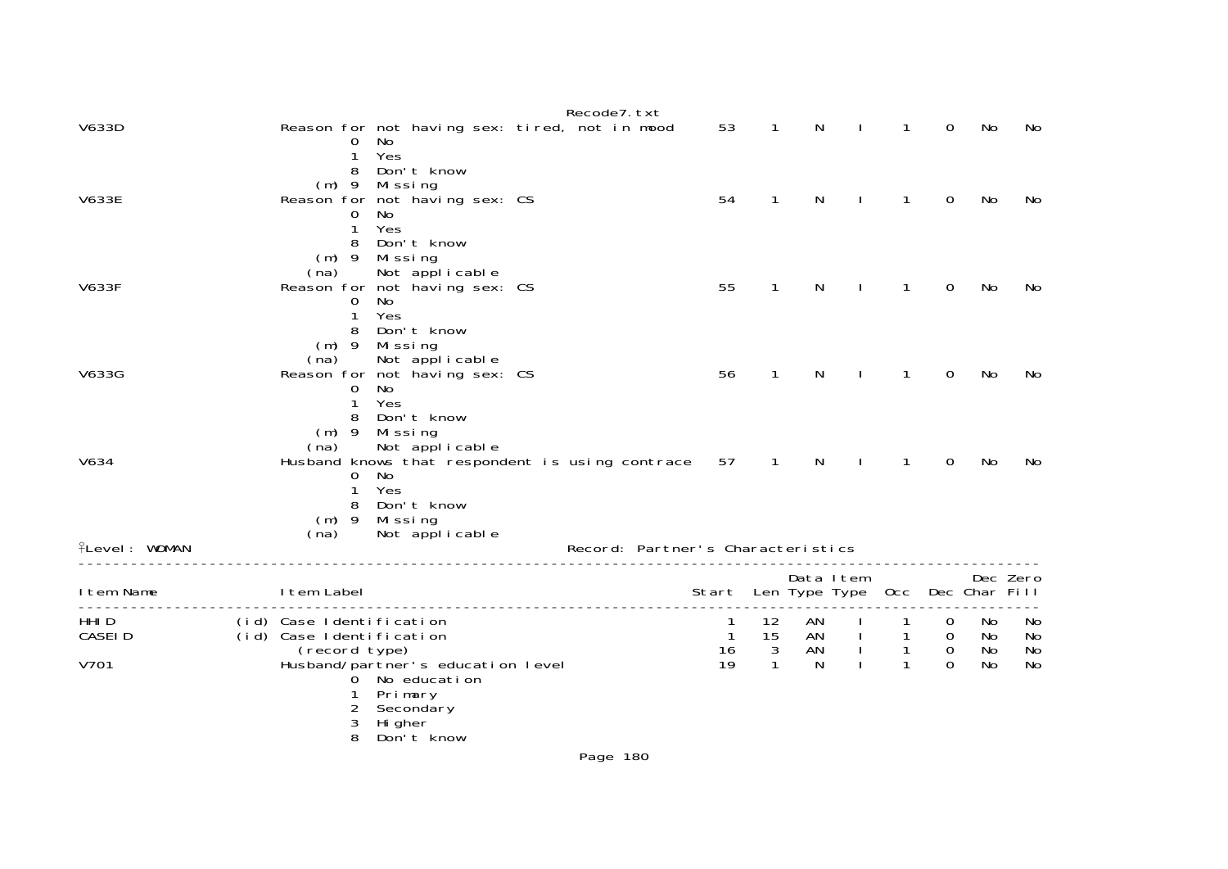|                                |                                                                       |                                                                                                         | Recode7. txt                      |                                       |                          |            |              |                                                |                                                          |                      |                      |
|--------------------------------|-----------------------------------------------------------------------|---------------------------------------------------------------------------------------------------------|-----------------------------------|---------------------------------------|--------------------------|------------|--------------|------------------------------------------------|----------------------------------------------------------|----------------------|----------------------|
| V633D                          | $\Omega$<br>1                                                         | Reason for not having sex: tired, not in mood<br>No<br>Yes                                              |                                   | 53                                    | 1                        | N          |              |                                                | 0                                                        | No                   | No                   |
| <b>V633E</b>                   | 8<br>$(m)$ 9<br>$\mathbf{O}$<br>1<br>8                                | Don't know<br>Mi ssi ng<br>Reason for not having sex: CS<br>No<br>Yes<br>Don't know                     |                                   | 54                                    | $\mathbf{1}$             | N          |              | $\mathbf{1}$                                   | $\mathbf 0$                                              | No                   | No                   |
| <b>V633F</b>                   | (na)<br>0<br>1<br>8                                                   | (m) 9 Missing<br>Not applicable<br>Reason for not having sex: CS<br>No<br>Yes<br>Don't know             |                                   | 55                                    | $\mathbf{1}$             | N          | $\mathbf{L}$ | $\mathbf{1}$                                   | $\mathbf 0$                                              | No                   | No                   |
| V633G                          | $(m)$ 9<br>(na)<br>0<br>1<br>8                                        | Mi ssi ng<br>Not applicable<br>Reason for not having sex: CS<br>No<br>Yes<br>Don't know                 |                                   | 56                                    | $\mathbf{1}$             | N          |              | 1                                              | 0                                                        | No                   | No                   |
| V634                           | $(m)$ 9<br>(na)<br>0<br>1<br>8                                        | Missing<br>Not applicable<br>Husband knows that respondent is using contrace<br>No<br>Yes<br>Don't know |                                   | 57                                    | $\overline{1}$           | N          | $\mathbf{I}$ | $\mathbf{1}$                                   | 0                                                        | No                   | No                   |
| <b>flevel: WOMAN</b>           | $(m)$ 9<br>(na)                                                       | Mi ssi ng<br>Not applicable                                                                             | Record: Partner's Characteristics |                                       |                          |            |              |                                                |                                                          |                      |                      |
| I tem Name                     | I tem Label                                                           |                                                                                                         |                                   | Start Len Type Type Occ Dec Char Fill |                          | Data I tem |              |                                                |                                                          |                      | Dec Zero             |
| HHI D<br><b>CASEID</b><br>V701 | (id) Case Identification<br>(id) Case Identification<br>(record type) | Husband/partner's education level<br>0 No education<br>Primary<br>2 Secondary                           |                                   | -1<br>$\overline{1}$<br>16<br>19      | 12<br>15<br>$\mathbf{3}$ | AN<br>N    | AN I<br>AN I | $\mathbf{1}$<br>$\overline{1}$<br>$\mathbf{1}$ | $\overline{O}$<br>$\mathbf 0$<br>$\mathbf 0$<br>$\Omega$ | No<br>No<br>No<br>No | No<br>No<br>No<br>No |
|                                | 3<br>8                                                                | Hi gher<br>Don't know                                                                                   |                                   |                                       |                          |            |              |                                                |                                                          |                      |                      |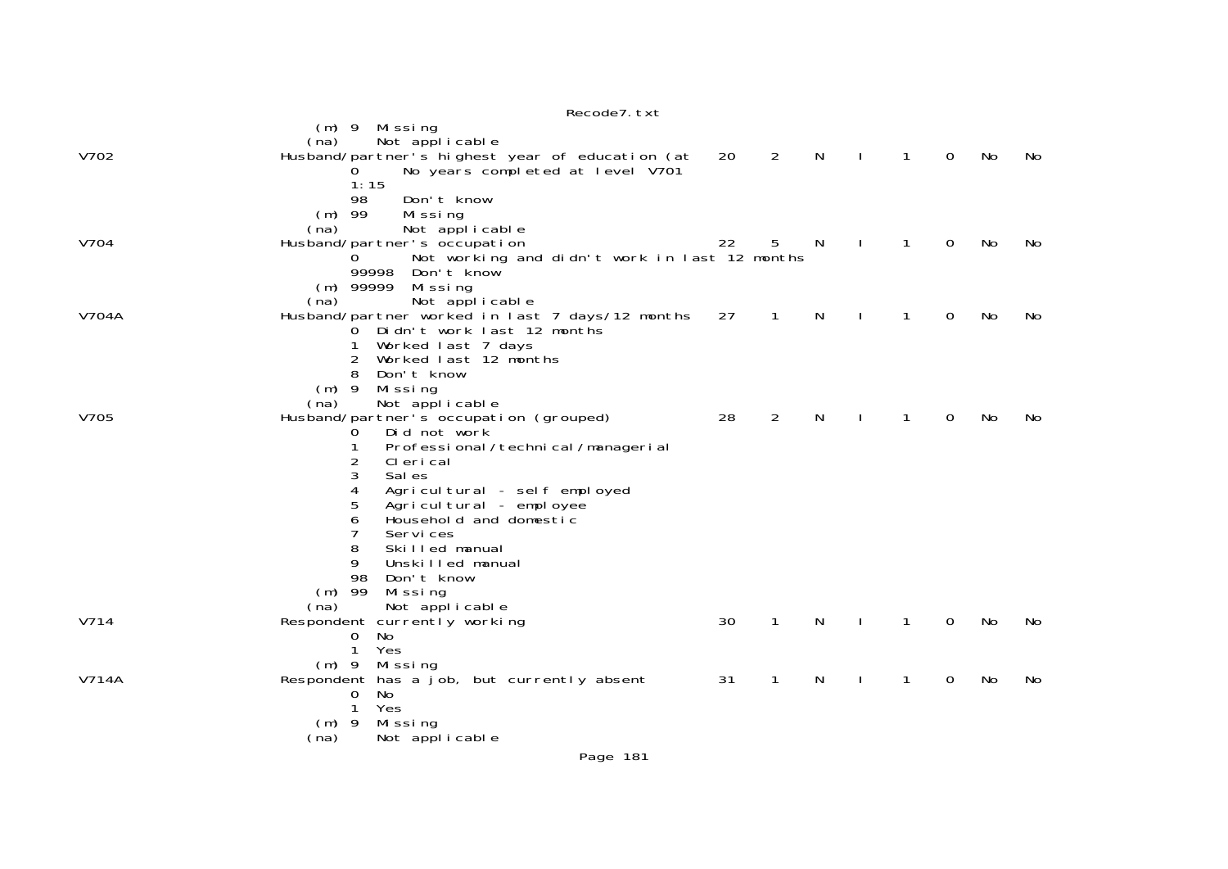|              | Recode7. txt                                                                                        |    |                |              |                  |                |             |           |    |
|--------------|-----------------------------------------------------------------------------------------------------|----|----------------|--------------|------------------|----------------|-------------|-----------|----|
|              | $(m)$ 9 Missing<br>Not applicable<br>(na)                                                           |    |                |              |                  |                |             |           |    |
| V702         | Husband/partner's highest year of education (at<br>No years completed at level V701<br>O.<br>1:15   | 20 | $\overline{2}$ | $\mathsf{N}$ | $\sim 1^{\circ}$ | $\overline{1}$ | $\mathbf 0$ | No        | No |
|              | Don't know<br>98<br>$(m)$ 99<br>Missing                                                             |    |                |              |                  |                |             |           |    |
| V704         | (na)<br>Not applicable<br>Husband/partner's occupation                                              | 22 | 5              | N            | $\mathbf{I}$     | $\mathbf{1}$   | 0           | No        | No |
|              | Not working and didn't work in last 12 months<br>0<br>99998<br>Don't know<br>$(m)$ 99999<br>Missing |    |                |              |                  |                |             |           |    |
|              | Not applicable<br>(na)                                                                              |    |                |              |                  |                |             |           |    |
| <b>V704A</b> | Husband/partner worked in last 7 days/12 months<br>Didn't work last 12 months<br>0                  | 27 | $\overline{1}$ | N            | $\mathbf{I}$     | $\mathbf{1}$   | 0           | No        | No |
|              | Worked last 7 days<br>1<br>Worked last 12 months<br>2                                               |    |                |              |                  |                |             |           |    |
|              | 8<br>Don't know                                                                                     |    |                |              |                  |                |             |           |    |
|              | $(m)$ 9<br>Mi ssi ng<br>(na)<br>Not applicable                                                      |    |                |              |                  |                |             |           |    |
| V705         | Husband/partner's occupation (grouped)                                                              | 28 | 2              | N            |                  | 1              | 0           | No        | No |
|              | Did not work<br>0<br>Professional / technical / managerial                                          |    |                |              |                  |                |             |           |    |
|              | 2<br>CI eri cal<br>3<br>Sal es                                                                      |    |                |              |                  |                |             |           |    |
|              | 4<br>Agricultural - self employed                                                                   |    |                |              |                  |                |             |           |    |
|              | Agricultural - employee<br>5                                                                        |    |                |              |                  |                |             |           |    |
|              | Household and domestic<br>6<br>7<br>Services                                                        |    |                |              |                  |                |             |           |    |
|              | 8<br>Skilled manual                                                                                 |    |                |              |                  |                |             |           |    |
|              | 9<br>Unskilled manual                                                                               |    |                |              |                  |                |             |           |    |
|              | 98<br>Don't know<br>$(m)$ 99<br>Missing                                                             |    |                |              |                  |                |             |           |    |
|              | (na)<br>Not applicable                                                                              |    |                |              |                  |                |             |           |    |
| V714         | Respondent currently working                                                                        | 30 | $\mathbf{1}$   | N            | $\mathbf{I}$     | $\mathbf{1}$   | 0           | <b>No</b> | No |
|              | No<br>0<br>$\mathbf{1}$<br>Yes                                                                      |    |                |              |                  |                |             |           |    |
|              | $(m)$ 9 Missing                                                                                     |    |                |              |                  |                |             |           |    |
| <b>V714A</b> | Respondent has a job, but currently absent                                                          | 31 | 1              | N.           |                  | 1              | 0           | No        | No |
|              | 0<br>No.<br>1<br>Yes                                                                                |    |                |              |                  |                |             |           |    |
|              | $(m)$ 9<br>Missing                                                                                  |    |                |              |                  |                |             |           |    |
|              | (na)<br>Not applicable                                                                              |    |                |              |                  |                |             |           |    |
|              | Page 181                                                                                            |    |                |              |                  |                |             |           |    |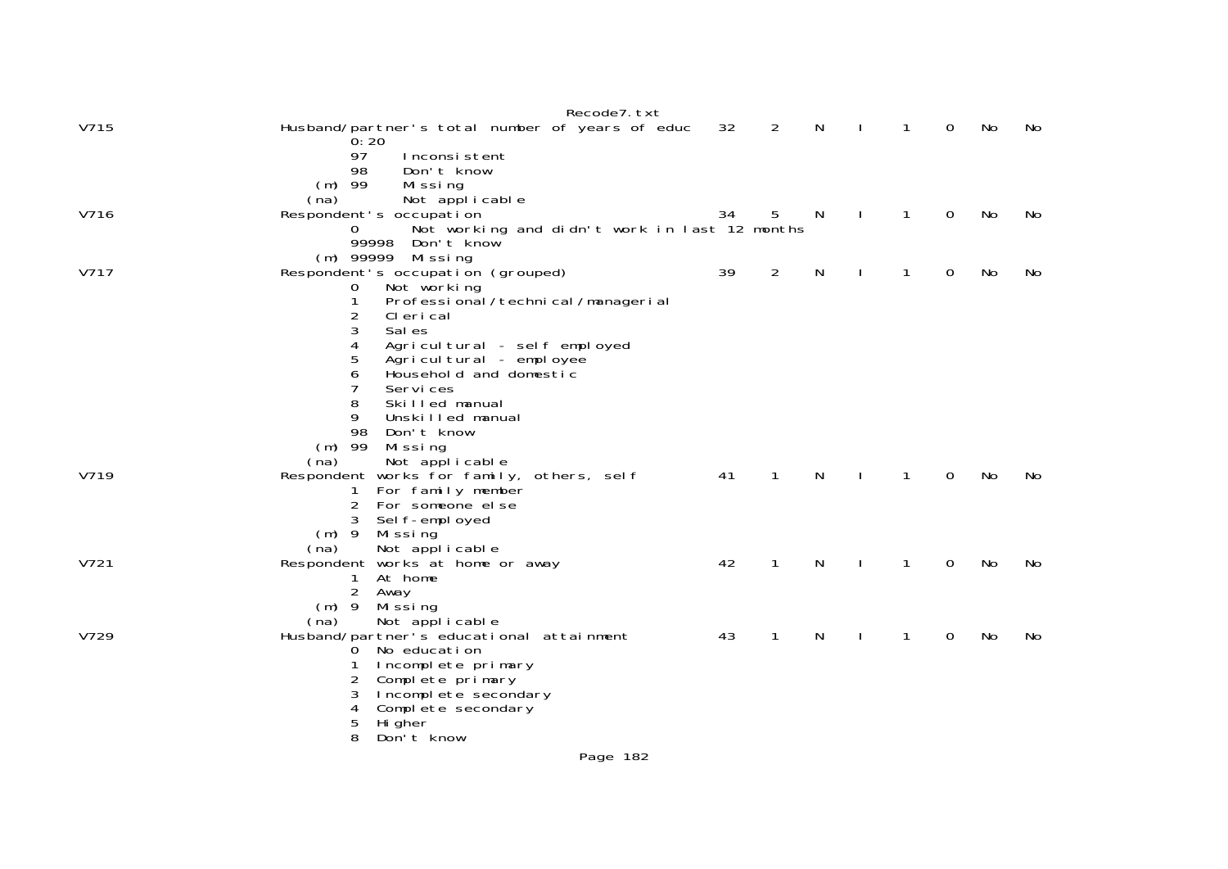| V715 | Recode7. txt<br>Husband/partner's total number of years of educ<br>0:20                                                                                                                                                                                                                                                                                | 32 | $\overline{2}$ | $\mathsf{N}$ | 1            | $\Omega$ | No | No |
|------|--------------------------------------------------------------------------------------------------------------------------------------------------------------------------------------------------------------------------------------------------------------------------------------------------------------------------------------------------------|----|----------------|--------------|--------------|----------|----|----|
|      | 97<br>Inconsistent<br>98<br>Don't know<br>$(m)$ 99<br>Missing<br>Not applicable<br>(na)                                                                                                                                                                                                                                                                |    |                |              |              |          |    |    |
| V716 | Respondent's occupation<br>Not working and didn't work in last 12 months<br>0<br>99998<br>Don't know<br>Missing<br>(m) 99999                                                                                                                                                                                                                           | 34 | 5              | N            | $\mathbf{1}$ | 0        | No | No |
| V717 | Respondent's occupation (grouped)<br>Not working<br>0<br>Professional / technical / managerial<br>1<br>2<br>CI eri cal<br>3<br>Sal es<br>4<br>Agricultural - self employed<br>5<br>Agricultural - employee<br>6<br>Household and domestic<br>7<br>Servi ces<br>8<br>Skilled manual<br>9<br>Unskilled manual<br>98<br>Don't know<br>$(m)$ 99<br>Missing | 39 | 2              | N            | 1            | 0        | No | No |
| V719 | (na)<br>Not applicable<br>Respondent works for family, others, self<br>For family member<br>1<br>For someone else<br>$\overline{2}$<br>3<br>Self-employed<br>$(m)$ 9<br>Mi ssi ng<br>Not applicable<br>(na)                                                                                                                                            | 41 | 1              | N            | 1            | 0        | No | No |
| V721 | Respondent works at home or away<br>At home<br>1<br>$\overline{2}$<br>Away<br>$(m)$ 9<br>Missing<br>Not applicable<br>(na)                                                                                                                                                                                                                             | 42 | 1              | N            | 1            | 0        | No | No |
| V729 | Husband/partner's educational attainment<br>No education<br>0<br>Incomplete primary<br>2<br>Complete primary<br>3<br>Incomplete secondary<br>4<br>Complete secondary<br>5<br>Hi gher<br>8<br>Don't know                                                                                                                                                | 43 | 1              | N            | 1            | 0        | No | No |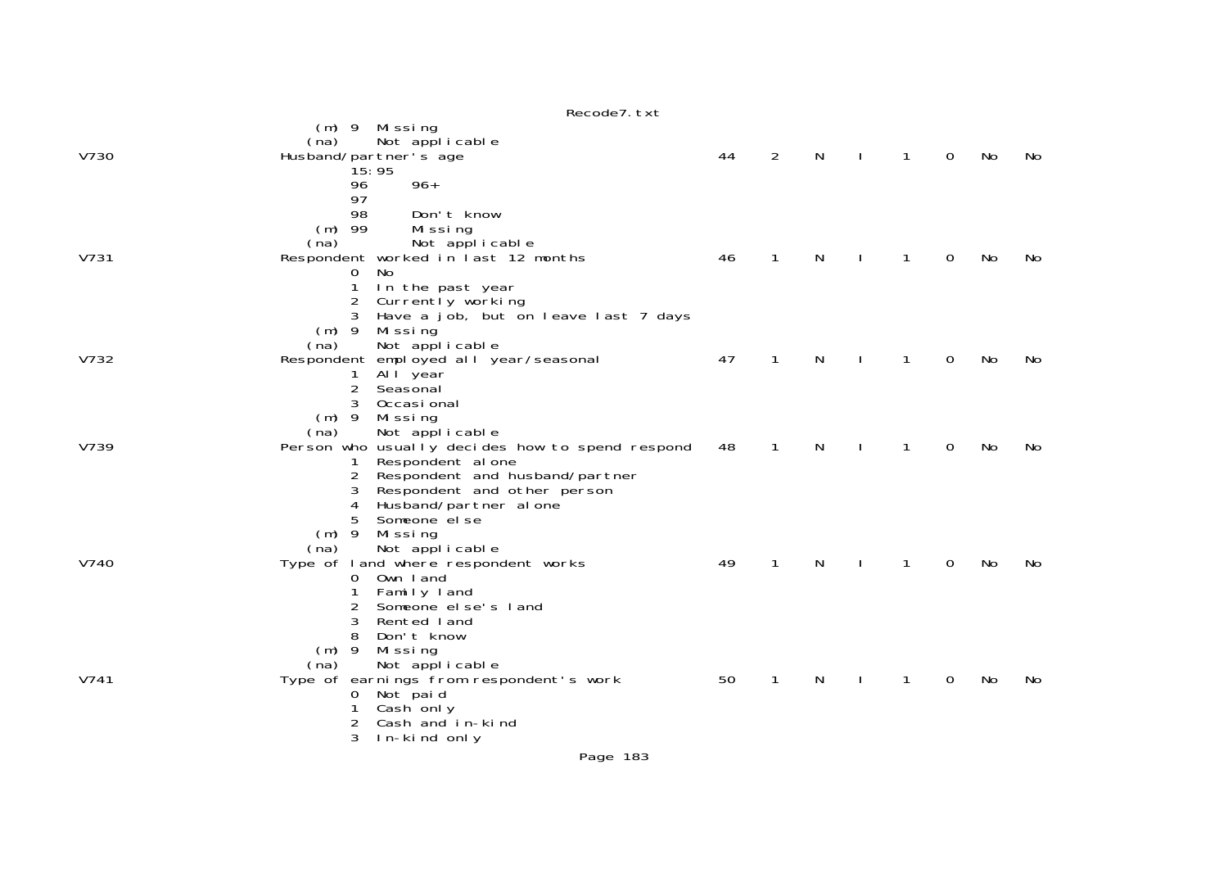|      | Recode7. txt                                                                                                                                                                                            |    |              |              |              |              |             |    |    |
|------|---------------------------------------------------------------------------------------------------------------------------------------------------------------------------------------------------------|----|--------------|--------------|--------------|--------------|-------------|----|----|
| V730 | (m) 9 Missing<br>Not applicable<br>(na)<br>Husband/partner's age<br>15:95<br>$96+$<br>96                                                                                                                | 44 | 2            | $\mathsf{N}$ | $\mathbf{I}$ | $\mathbf{1}$ | $\mathbf 0$ | No | No |
| V731 | 97<br>98<br>Don't know<br>$(m)$ 99<br>Missing<br>Not applicable<br>(na)<br>Respondent worked in last 12 months<br>- No<br>$\mathbf{0}$<br>1<br>In the past year<br>Currently working<br>2               | 46 | $\mathbf{1}$ | $\mathsf{N}$ | $\mathbf{I}$ | $\mathbf{1}$ | $\mathbf 0$ | No | No |
| V732 | Have a job, but on leave last 7 days<br>$(m)$ 9<br>Missing<br>(na)<br>Not applicable<br>Respondent employed all year/seasonal<br>All year<br>1<br>$\overline{2}$<br>Seasonal<br>3<br>Occasi onal        | 47 | $\mathbf{1}$ | N            |              | $\mathbf{1}$ | $\mathbf 0$ | No | No |
| V739 | $(m)$ 9 Missing<br>Not applicable<br>(na)<br>Person who usually decides how to spend respond<br>Respondent al one<br>Respondent and husband/partner<br>2<br>3<br>Respondent and other person            | 48 | $\mathbf{1}$ | N            | $\mathbf{I}$ | $\mathbf{1}$ | $\mathbf 0$ | No | No |
| V740 | 4<br>Husband/partner alone<br>Someone el se<br>$(m)$ 9<br>Mi ssi ng<br>Not applicable<br>(na)<br>Type of land where respondent works<br>0 Own land<br>Family land<br>Someone el se's land<br>3          | 49 | $\mathbf{1}$ | N            |              | 1            | 0           | No | No |
| V741 | Rented land<br>8<br>Don't know<br>$(m)$ 9<br>Mi ssi ng<br>Not applicable<br>(na)<br>Type of earnings from respondent's work<br>Not paid<br>0<br>Cash only<br>1<br>Cash and in-kind<br>3<br>In-kind only | 50 | 1            | N            |              | 1            | $\mathbf 0$ | No | No |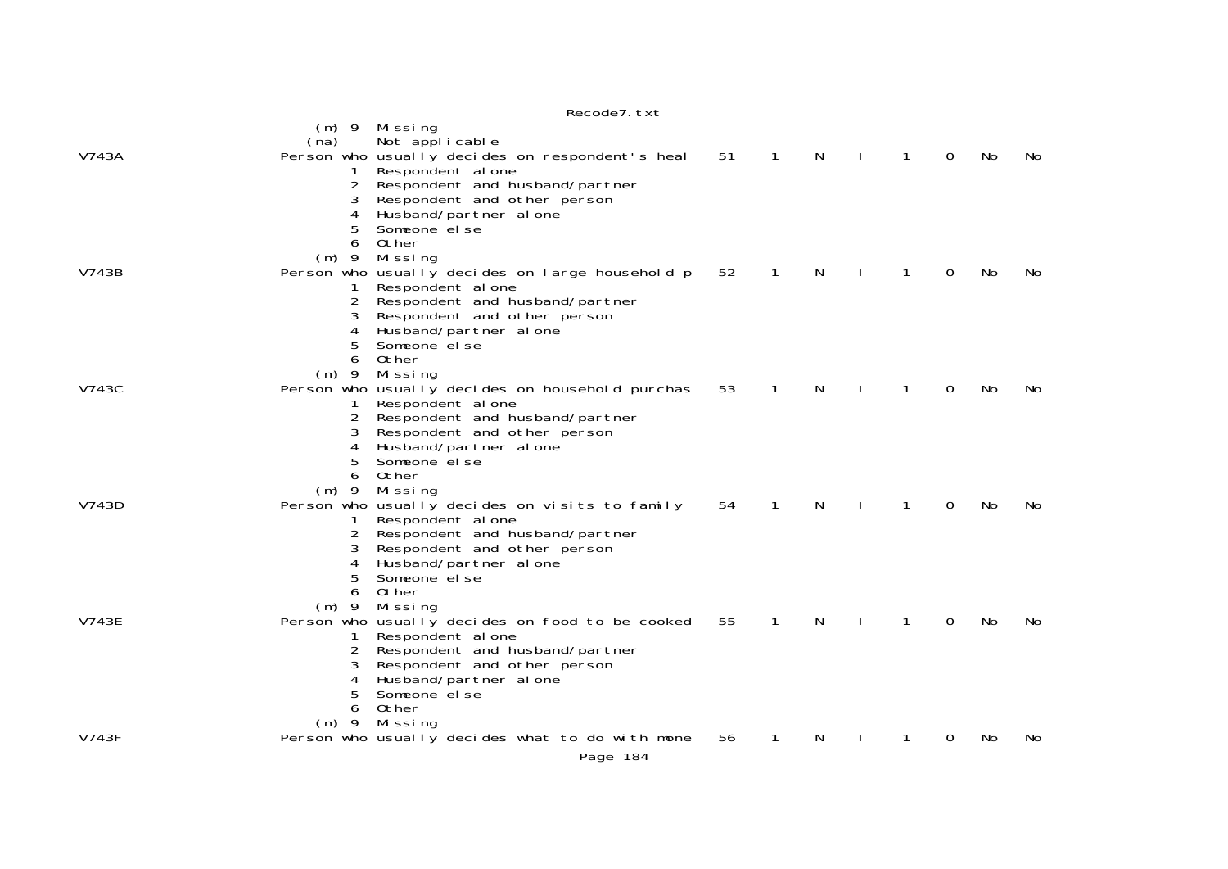|              | $(m)$ 9<br>(na) | Missing<br>Not applicable                                            |    |              |   |             |                |    |     |
|--------------|-----------------|----------------------------------------------------------------------|----|--------------|---|-------------|----------------|----|-----|
| V743A        |                 | Person who usually decides on respondent's heal<br>Respondent al one | 51 | $\mathbf{1}$ | N | 1           | $\overline{0}$ | No | No. |
|              | 2               | Respondent and husband/partner                                       |    |              |   |             |                |    |     |
|              |                 | Respondent and other person                                          |    |              |   |             |                |    |     |
|              | 4               | Husband/partner al one                                               |    |              |   |             |                |    |     |
|              | 5               | Someone el se                                                        |    |              |   |             |                |    |     |
|              | 6               | Other                                                                |    |              |   |             |                |    |     |
| V743B        | $(m)$ 9         | Missing<br>Person who usually decides on large household p           | 52 | 1            | N |             | 0              | No | No  |
|              | 1.              | Respondent al one                                                    |    |              |   |             |                |    |     |
|              | 2               | Respondent and husband/partner                                       |    |              |   |             |                |    |     |
|              |                 | Respondent and other person                                          |    |              |   |             |                |    |     |
|              | 4               | Husband/partner alone                                                |    |              |   |             |                |    |     |
|              | 5               | Someone el se                                                        |    |              |   |             |                |    |     |
|              | 6               | Other                                                                |    |              |   |             |                |    |     |
|              | $(m)$ 9         | Missing                                                              |    |              |   |             |                |    |     |
| V743C        |                 | Person who usually decides on household purchas                      | 53 | 1            | N | 1           | $\Omega$       | No | No. |
|              |                 | Respondent al one                                                    |    |              |   |             |                |    |     |
|              | 2               | Respondent and husband/partner                                       |    |              |   |             |                |    |     |
|              |                 | Respondent and other person                                          |    |              |   |             |                |    |     |
|              | 5               | Husband/partner al one<br>Someone el se                              |    |              |   |             |                |    |     |
|              | 6               | 0ther                                                                |    |              |   |             |                |    |     |
|              | $(m)$ 9         | Missing                                                              |    |              |   |             |                |    |     |
| V743D        |                 | Person who usually decides on visits to family                       | 54 | 1            | N | 1           | 0              | No | No. |
|              | 1               | Respondent al one                                                    |    |              |   |             |                |    |     |
|              |                 | Respondent and husband/partner                                       |    |              |   |             |                |    |     |
|              | 3               | Respondent and other person                                          |    |              |   |             |                |    |     |
|              | 4               | Husband/partner al one                                               |    |              |   |             |                |    |     |
|              | 5               | Someone el se                                                        |    |              |   |             |                |    |     |
|              | 6               | Other                                                                |    |              |   |             |                |    |     |
|              | $(m)$ 9         | Missing                                                              |    |              |   |             |                |    |     |
| <b>V743E</b> |                 | Person who usually decides on food to be cooked                      | 55 | $\mathbf{1}$ | N | $\mathbf 1$ | 0              | No | No. |
|              |                 | Respondent al one                                                    |    |              |   |             |                |    |     |
|              | 2               | Respondent and husband/partner                                       |    |              |   |             |                |    |     |
|              | 3<br>4          | Respondent and other person<br>Husband/partner alone                 |    |              |   |             |                |    |     |
|              | 5               | Someone el se                                                        |    |              |   |             |                |    |     |
|              | 6               | Other                                                                |    |              |   |             |                |    |     |
|              | $(m)$ 9         | Missing                                                              |    |              |   |             |                |    |     |
| V743F        |                 | Person who usually decides what to do with mone                      | 56 | 1            | N |             | 0              | No | No  |
|              |                 | Page 184                                                             |    |              |   |             |                |    |     |
|              |                 |                                                                      |    |              |   |             |                |    |     |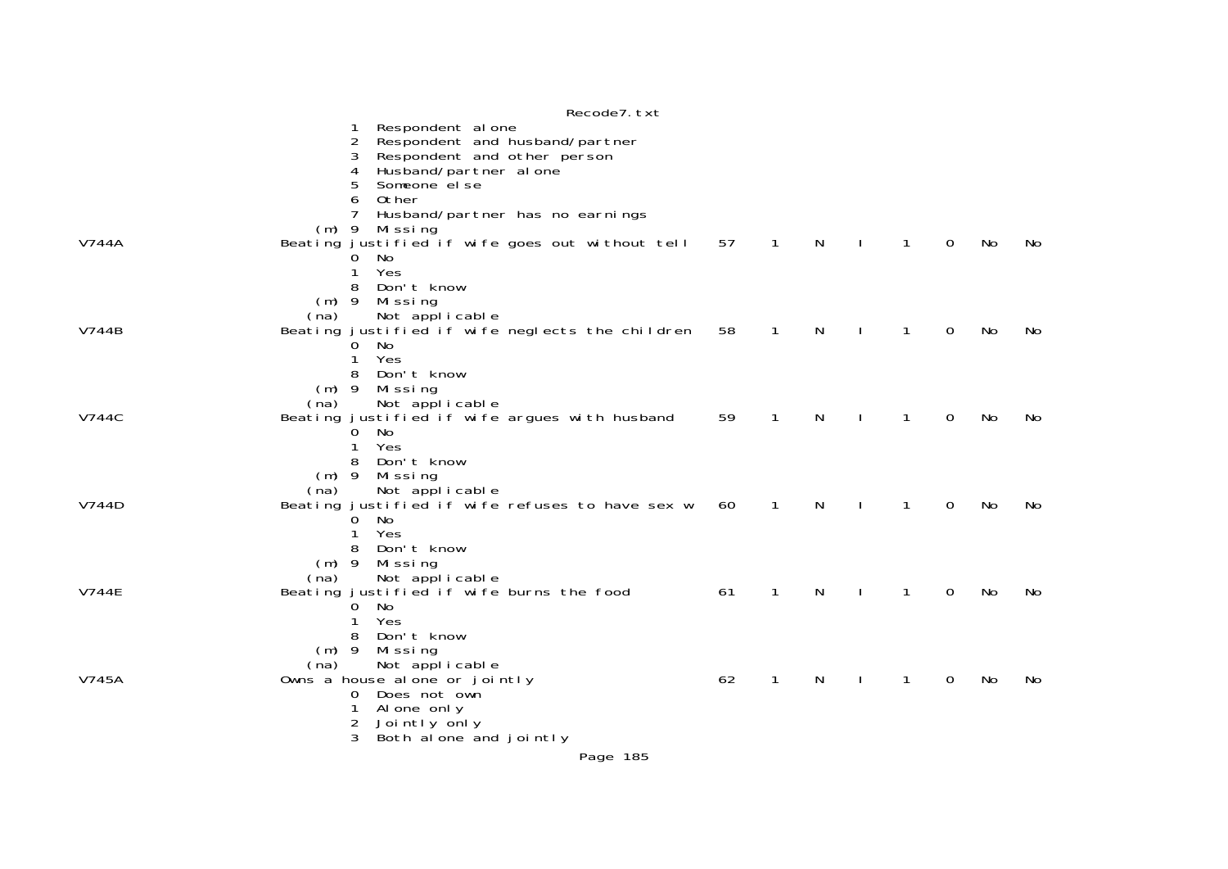|              | Recode7. txt                                                                                                                                                   |    |              |   |              |              |   |    |     |
|--------------|----------------------------------------------------------------------------------------------------------------------------------------------------------------|----|--------------|---|--------------|--------------|---|----|-----|
|              | Respondent al one<br>Respondent and husband/partner<br>$\overline{2}$<br>Respondent and other person<br>3<br>Husband/partner al one<br>4<br>Someone el se<br>5 |    |              |   |              |              |   |    |     |
|              | Other<br>6<br>7<br>Husband/partner has no earnings                                                                                                             |    |              |   |              |              |   |    |     |
| V744A        | $(m)$ 9<br>Missing<br>Beating justified if wife goes out without tell<br>No<br>0<br>Yes<br>1                                                                   | 57 | $\mathbf{1}$ | N | $\mathbf{I}$ | $\mathbf{1}$ | 0 | No | No. |
|              | Don't know<br>8<br>$(m)$ 9 Missing<br>Not applicable<br>(na)                                                                                                   |    |              |   |              |              |   |    |     |
| V744B        | Beating justified if wife neglects the children<br>- No<br>0.<br>Yes<br>1                                                                                      | 58 | $\mathbf{1}$ | N | $\mathbf{I}$ | $\mathbf{1}$ | 0 | No | No  |
| <b>V744C</b> | Don't know<br>8<br>$(m)$ 9 Missing<br>Not applicable<br>(na)<br>Beating justified if wife argues with husband                                                  | 59 | $\mathbf{1}$ |   |              | 1            | 0 | No | No  |
|              | No<br>0<br>Yes<br>1<br>Don't know<br>8                                                                                                                         |    |              | N |              |              |   |    |     |
| V744D        | $(m)$ 9<br>Missing<br>Not applicable<br>(na)<br>Beating justified if wife refuses to have sex w<br>No<br>0                                                     | 60 | 1            | N |              | 1            | 0 | No | No  |
|              | Yes<br>1<br>Don't know<br>8<br>$(m)$ 9<br>Missing                                                                                                              |    |              |   |              |              |   |    |     |
| <b>V744E</b> | Not applicable<br>(na)<br>Beating justified if wife burns the food<br>No<br>$\Omega$<br>Yes<br>1                                                               | 61 | 1            | N |              | 1            | 0 | No | No  |
|              | Don't know<br>8<br>$(m)$ 9<br>Missing<br>Not applicable<br>(na)                                                                                                |    |              |   |              |              |   |    |     |
| V745A        | Owns a house alone or jointly<br>Does not own<br>$\mathbf{0}$<br>Al one only<br>1<br>Jointly only<br>2                                                         | 62 | $\mathbf{1}$ | N |              | 1            | 0 | No | No  |
|              | 3<br>Both alone and jointly                                                                                                                                    |    |              |   |              |              |   |    |     |
|              | Page 185                                                                                                                                                       |    |              |   |              |              |   |    |     |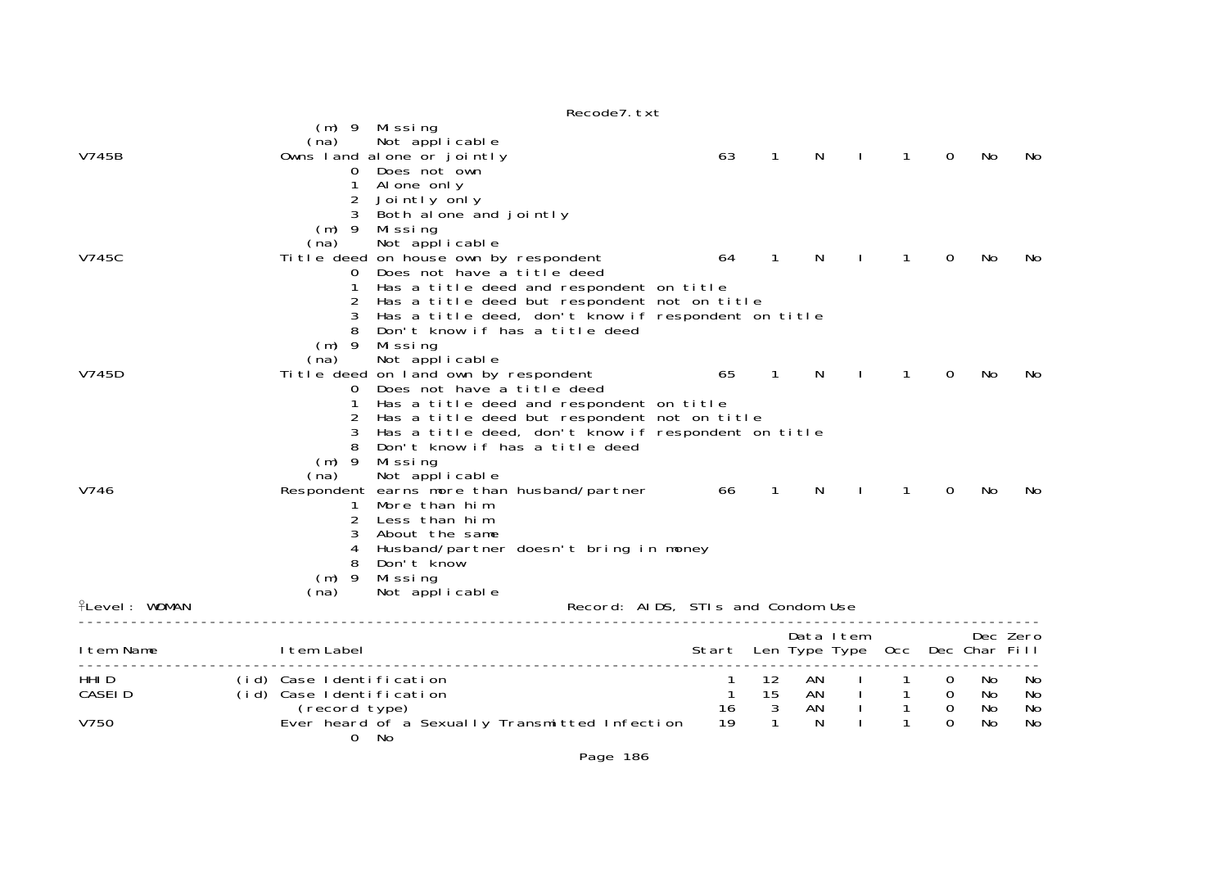|                          |                                                                       | Recoue / LXL                                                                                                                                                                                                                                                                  |                                       |                                          |                     |              |                                |                                                           |                       |                      |
|--------------------------|-----------------------------------------------------------------------|-------------------------------------------------------------------------------------------------------------------------------------------------------------------------------------------------------------------------------------------------------------------------------|---------------------------------------|------------------------------------------|---------------------|--------------|--------------------------------|-----------------------------------------------------------|-----------------------|----------------------|
| V745B                    | (m) 9 Missing<br>(na)<br>$\mathbf{O}$<br>1<br>2                       | Not applicable<br>Owns land alone or jointly<br>Does not own<br>Al one only<br>Jointly only                                                                                                                                                                                   | 63                                    | $\mathbf{1}$                             | N.                  |              | 1                              | $\mathbf 0$                                               | No                    | No                   |
| V745C                    | 3<br>$(m)$ 9<br>(na)<br>0<br>1<br>3                                   | Both alone and jointly<br>Missing<br>Not applicable<br>Title deed on house own by respondent<br>Does not have a title deed<br>Has a title deed and respondent on title<br>Has a title deed but respondent not on title<br>Has a title deed, don't know if respondent on title | 64                                    | $\mathbf{1}$                             | <sup>N</sup>        |              | 1                              | 0                                                         | No                    | No.                  |
| V745D                    | $(m)$ 9<br>(na)<br>$\mathbf 0$                                        | Don't know if has a title deed<br>Missing<br>Not applicable<br>Title deed on land own by respondent<br>Does not have a title deed<br>Has a title deed and respondent on title<br>Has a title deed but respondent not on title                                                 | 65                                    | $\overline{1}$                           | <b>N</b>            | $\mathbf{I}$ | $\mathbf{1}$                   | 0                                                         | No                    | No.                  |
| V746                     | $(m)$ 9<br>(na)<br>$\mathbf{1}$<br>3                                  | Has a title deed, don't know if respondent on title<br>Don't know if has a title deed<br>Missing<br>Not applicable<br>Respondent earns more than husband/partner 66<br>More than him<br>Less than him<br>About the same                                                       |                                       | $\mathbf{1}$                             | N                   |              | 1                              | 0                                                         | No                    | No                   |
| <b>flevel: WOMAN</b>     | 4<br>8<br>$(m)$ 9<br>(na)                                             | Husband/partner doesn't bring in money<br>Don't know<br>Missing<br>Not applicable                                                                                                                                                                                             | Record: AIDS, STIs and Condom Use     |                                          |                     |              |                                |                                                           |                       |                      |
| I tem Name               | I tem Label                                                           |                                                                                                                                                                                                                                                                               | Start Len Type Type Occ Dec Char Fill |                                          | Data Item           |              |                                |                                                           |                       | Dec Zero             |
| HHI D<br>CASEI D<br>V750 | (id) Case Identification<br>(id) Case Identification<br>(record type) | Ever heard of a Sexually Transmitted Infection                                                                                                                                                                                                                                | 1<br>$\overline{1}$<br>16<br>19       | 12<br>15<br>$\mathbf{3}$<br>$\mathbf{1}$ | AN<br>AN<br>AN<br>N | $\sim 100$   | $\overline{1}$<br>$\mathbf{1}$ | $\mathbf{O}$<br>$\overline{0}$<br>$\mathbf 0$<br>$\Omega$ | No<br>No.<br>No<br>No | No<br>No<br>No<br>No |
|                          | $\mathbf{O}$<br>No                                                    |                                                                                                                                                                                                                                                                               |                                       |                                          |                     |              |                                |                                                           |                       |                      |

 $p_{0}$ codo $7$  tvt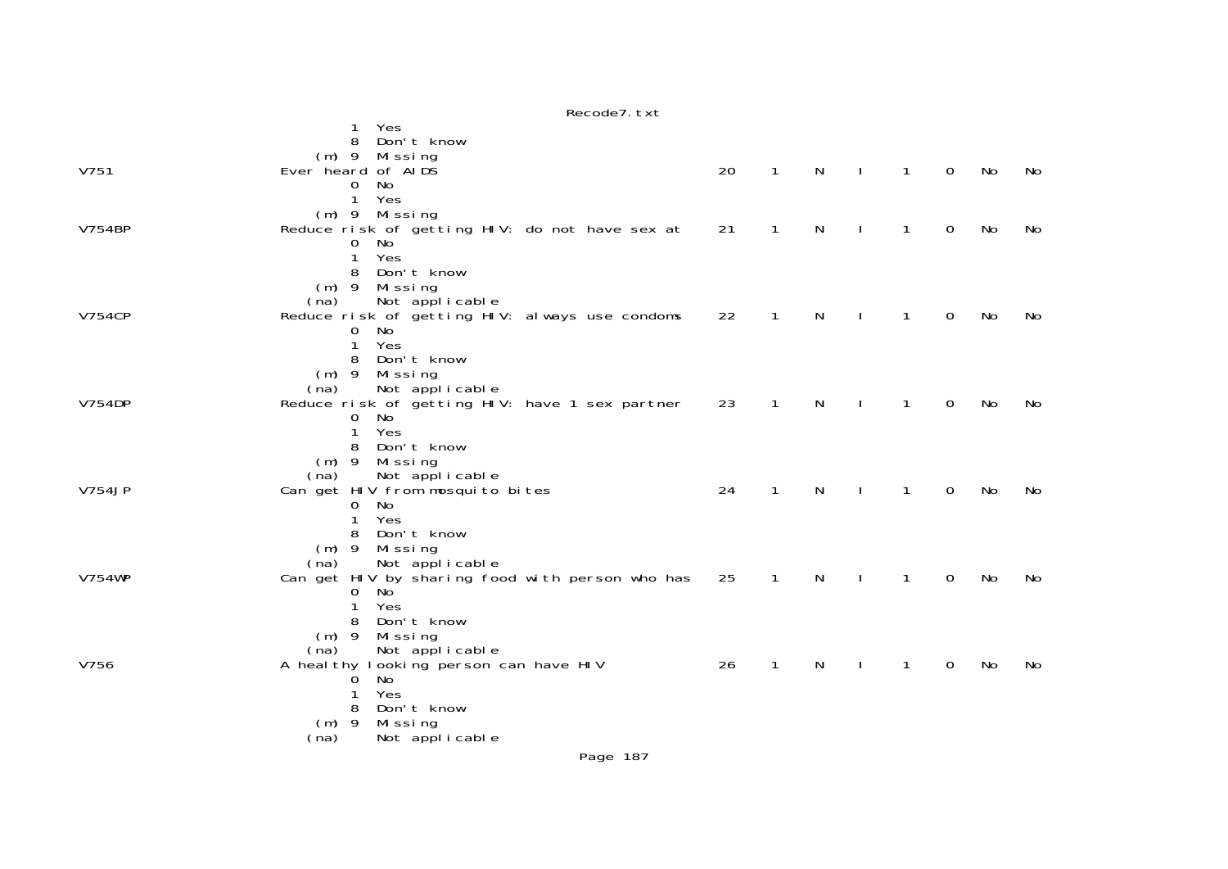|               | Recode7. txt                                                             |    |                |   |              |                |             |    |    |
|---------------|--------------------------------------------------------------------------|----|----------------|---|--------------|----------------|-------------|----|----|
|               | Yes<br>1                                                                 |    |                |   |              |                |             |    |    |
|               | Don't know<br>8                                                          |    |                |   |              |                |             |    |    |
|               | $(m)$ 9<br>Mi ssi ng                                                     |    |                |   |              |                |             |    |    |
| V751          | Ever heard of AIDS                                                       | 20 | $\mathbf{1}$   | N | $\mathbf{L}$ | $\mathbf{1}$   | $\mathbf 0$ | No | No |
|               | No<br>0                                                                  |    |                |   |              |                |             |    |    |
|               | Yes<br>$\mathbf{1}$                                                      |    |                |   |              |                |             |    |    |
|               | $(m)$ 9 Missing                                                          |    |                |   |              |                |             |    |    |
| <b>V754BP</b> | Reduce risk of getting HIV: do not have sex at                           | 21 | $\mathbf{1}$   | N | $\mathbf{I}$ | $\mathbf{1}$   | $\mathbf 0$ | No | No |
|               | No<br>0                                                                  |    |                |   |              |                |             |    |    |
|               | Yes<br>$\mathbf{1}$                                                      |    |                |   |              |                |             |    |    |
|               | Don't know<br>8                                                          |    |                |   |              |                |             |    |    |
|               | $(m)$ 9 Missing                                                          |    |                |   |              |                |             |    |    |
|               | Not applicable<br>(na)                                                   |    |                |   |              |                |             |    |    |
| <b>V754CP</b> | Reduce risk of getting HIV: always use condoms                           | 22 | $\overline{1}$ | N | $\Box$       | $\overline{1}$ | $\mathbf 0$ | No | No |
|               | $\mathbf{O}$<br>No                                                       |    |                |   |              |                |             |    |    |
|               | $\mathbf{1}$<br>Yes                                                      |    |                |   |              |                |             |    |    |
|               | Don't know<br>8                                                          |    |                |   |              |                |             |    |    |
|               | $(m)$ 9 Missing                                                          |    |                |   |              |                |             |    |    |
| V754DP        | Not applicable<br>(na)<br>Reduce risk of getting HIV: have 1 sex partner | 23 | $\overline{1}$ | N | $\mathbf{L}$ | $\mathbf{1}$   | $\mathbf 0$ | No | No |
|               | No<br>0                                                                  |    |                |   |              |                |             |    |    |
|               | Yes<br>$\mathbf{1}$                                                      |    |                |   |              |                |             |    |    |
|               | Don't know<br>8                                                          |    |                |   |              |                |             |    |    |
|               | $(m)$ 9 Missing                                                          |    |                |   |              |                |             |    |    |
|               | Not applicable<br>(na)                                                   |    |                |   |              |                |             |    |    |
| <b>V754JP</b> | Can get HIV from mosquito bites                                          | 24 | $\mathbf{1}$   | N | $\mathbf{I}$ | $\mathbf{1}$   | $\mathsf O$ | No | No |
|               | No<br>0                                                                  |    |                |   |              |                |             |    |    |
|               | Yes<br>$\mathbf{1}$                                                      |    |                |   |              |                |             |    |    |
|               | Don't know<br>8                                                          |    |                |   |              |                |             |    |    |
|               | $(m)$ 9 Missing                                                          |    |                |   |              |                |             |    |    |
|               | Not applicable<br>(na)                                                   |    |                |   |              |                |             |    |    |
| <b>V754WP</b> | Can get HIV by sharing food with person who has                          | 25 | $\overline{1}$ | N | $\mathbf{I}$ | 1              | $\mathbf 0$ | No | No |
|               | No<br>0                                                                  |    |                |   |              |                |             |    |    |
|               | Yes<br>1                                                                 |    |                |   |              |                |             |    |    |
|               | Don't know<br>8                                                          |    |                |   |              |                |             |    |    |
|               | $(m)$ 9<br>Missing                                                       |    |                |   |              |                |             |    |    |
|               | (na)<br>Not applicable                                                   |    |                |   |              |                |             |    |    |
| V756          | A heal thy looking person can have HIV                                   | 26 | $\mathbf{1}$   | N |              | 1              | $\mathbf 0$ | No | No |
|               | No<br>O                                                                  |    |                |   |              |                |             |    |    |
|               | Yes<br>1                                                                 |    |                |   |              |                |             |    |    |
|               | Don't know<br>8                                                          |    |                |   |              |                |             |    |    |
|               | $(m)$ 9<br>Mi ssi ng                                                     |    |                |   |              |                |             |    |    |
|               | (na)<br>Not applicable                                                   |    |                |   |              |                |             |    |    |
|               | Page 187                                                                 |    |                |   |              |                |             |    |    |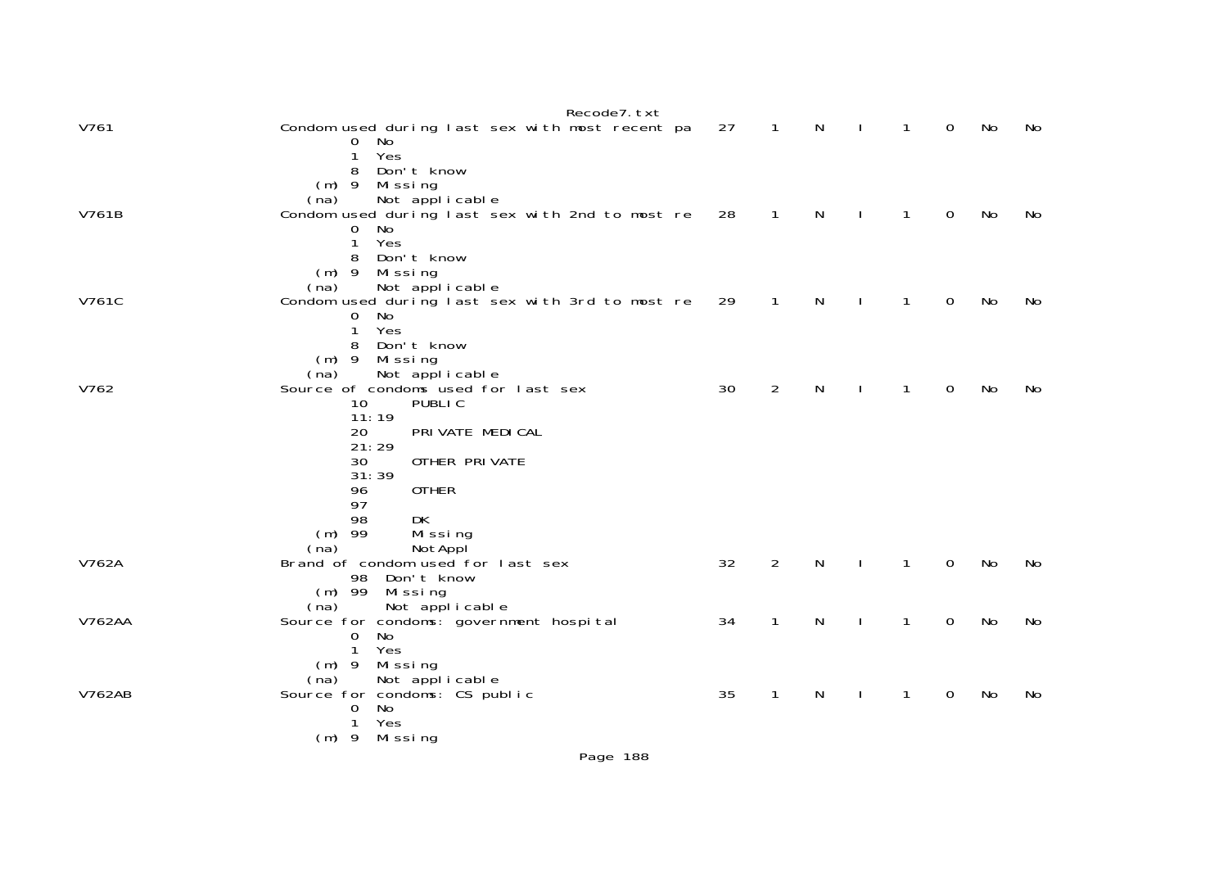|               | Recode7. txt                                                                                   |    |                |   |              |                |             |    |    |
|---------------|------------------------------------------------------------------------------------------------|----|----------------|---|--------------|----------------|-------------|----|----|
| V761          | Condom used during last sex with most recent pa<br>$\overline{0}$<br>No<br>$\mathbf{1}$<br>Yes | 27 | $\overline{1}$ | N | $\mathbf{I}$ | $\mathbf{1}$   | 0           | No | No |
|               | Don't know<br>8<br>$(m)$ 9<br>Missing<br>Not applicable<br>(na)                                |    |                |   |              |                |             |    |    |
| V761B         | Condom used during last sex with 2nd to most re<br>No<br>0<br>Yes<br>1<br>Don't know<br>8      | 28 | $\mathbf{1}$   | N | $\mathbf{I}$ | $\overline{1}$ | $\mathbf 0$ | No | No |
|               | $(m)$ 9<br>Missing<br>Not applicable<br>(na)                                                   |    |                |   |              |                |             |    |    |
| V761C         | Condom used during last sex with 3rd to most re<br>$\Omega$<br>No<br>Yes<br>1                  | 29 | $\mathbf{1}$   | N |              | $\mathbf{1}$   | 0           | No | No |
|               | Don't know<br>8<br>Missing<br>$(m)$ 9                                                          |    |                |   |              |                |             |    |    |
| V762          | Not applicable<br>(na)<br>Source of condoms used for last sex                                  | 30 | $\overline{2}$ | N |              | 1              | 0           | No | No |
|               | <b>PUBLIC</b><br>10<br>11:19<br>PRI VATE MEDI CAL                                              |    |                |   |              |                |             |    |    |
|               | 20<br>21:29                                                                                    |    |                |   |              |                |             |    |    |
|               | 30<br>OTHER PRIVATE<br>31:39                                                                   |    |                |   |              |                |             |    |    |
|               | 96<br><b>OTHER</b><br>97                                                                       |    |                |   |              |                |             |    |    |
|               | 98<br><b>DK</b><br>$(m)$ 99<br>Missing<br>(na)<br>NotAppl                                      |    |                |   |              |                |             |    |    |
| V762A         | Brand of condom used for last sex<br>98<br>Don't know<br>$(m)$ 99<br>Missing                   | 32 | $\overline{2}$ | N |              | 1              | 0           | No | No |
|               | Not applicable<br>(na)                                                                         |    |                |   |              |                |             |    |    |
| <b>V762AA</b> | Source for condoms: government hospital<br>0<br>No<br>Yes<br>$\mathbf 1$<br>Missing<br>$(m)$ 9 | 34 | $\mathbf{1}$   | N | $\mathbf{I}$ | $\mathbf{1}$   | 0           | No | No |
|               | Not applicable<br>(na)                                                                         |    |                |   |              |                |             |    |    |
| <b>V762AB</b> | Source for condoms: CS public<br>No<br>0<br>Yes<br>1<br>$(m)$ 9 Missing                        | 35 | $\mathbf{1}$   | N |              | 1              | 0           | No | No |
|               |                                                                                                |    |                |   |              |                |             |    |    |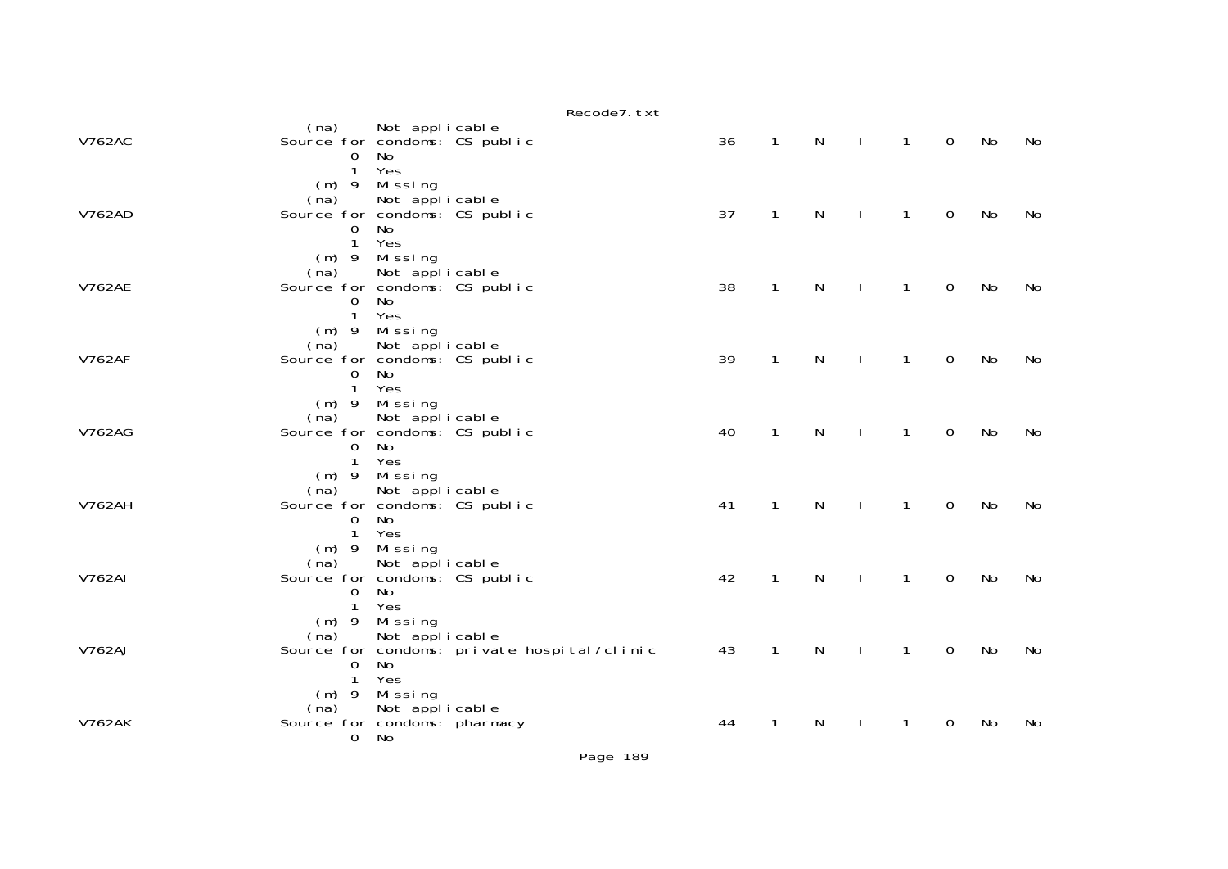|               |                                                                  |                                              | Recode7. txt                                |    |              |              |              |              |             |    |    |
|---------------|------------------------------------------------------------------|----------------------------------------------|---------------------------------------------|----|--------------|--------------|--------------|--------------|-------------|----|----|
| <b>V762AC</b> | (na) Not applicable<br>Source for condoms: CS public<br>0        |                                              |                                             | 36 | $\mathbf{1}$ | N            | $\mathbf{I}$ | $\mathbf{1}$ | $\mathbf 0$ | No | No |
|               | $\mathbf{1}$<br>(na)                                             | No<br>Yes<br>(m) 9 Missing<br>Not applicable |                                             |    |              |              |              |              |             |    |    |
| <b>V762AD</b> | Source for condoms: CS public<br>$\Omega$<br>$\mathbf{1}$        | No<br>Yes                                    |                                             | 37 | 1            | $\mathsf{N}$ |              | $\mathbf{1}$ | $\mathbf 0$ | No | No |
| <b>V762AE</b> | $(m)$ 9<br>(na)<br>Source for condoms: CS public                 | Missing<br>Not applicable                    |                                             | 38 | $\mathbf{1}$ | N            |              | 1            | $\mathbf 0$ | No | No |
|               | 0<br>$\mathbf{1}$                                                | No<br>Yes<br>(m) 9 Missing                   |                                             |    |              |              |              |              |             |    |    |
| <b>V762AF</b> | (na)<br>Source for condoms: CS public<br>$\Omega$                | Not applicable<br>No.                        |                                             | 39 | $\mathbf{1}$ | $\mathsf{N}$ | $\mathbf{I}$ | $\mathbf{1}$ | $\mathbf 0$ | No | No |
| <b>V762AG</b> | $\mathbf{1}$<br>$(m)$ 9<br>(na)<br>Source for condoms: CS public | Yes<br>Mi ssi ng<br>Not applicable           |                                             | 40 | $\mathbf{1}$ | ${\sf N}$    | $\mathbf{I}$ | $\mathbf{1}$ | $\mathbf 0$ | No | No |
|               | 0<br>$\mathbf{1}$                                                | No<br>Yes<br>$(m)$ 9 Missing                 |                                             |    |              |              |              |              |             |    |    |
| <b>V762AH</b> | (na)<br>Source for condoms: CS public<br>$\Omega$<br>1           | Not applicable<br>No<br>Yes                  |                                             | 41 | $\mathbf{1}$ | N            |              | $\mathbf{1}$ | $\mathbf 0$ | No | No |
| <b>V762AI</b> | $(m)$ 9<br>(na) Not applicable<br>Source for condoms: CS public  | Mi ssi ng                                    |                                             | 42 | 1            | N            |              | 1            | $\mathbf 0$ | No | No |
|               | $\Omega$<br>$\mathbf{1}$                                         | No<br>Yes<br>(m) 9 Missing                   |                                             |    |              |              |              |              |             |    |    |
| <b>V762AJ</b> | (na)<br>$\Omega$                                                 | Not applicable<br>No                         | Source for condoms: private hospital/clinic | 43 | $\mathbf{1}$ | $\mathsf{N}$ | $\mathbf{I}$ | $\mathbf{1}$ | $\mathbf 0$ | No | No |
| <b>V762AK</b> | 1<br>$(m)$ 9<br>(na)                                             | Yes<br>Missing<br>Not applicable             |                                             |    |              |              |              |              |             | No |    |
|               | Source for condoms: pharmacy<br>0                                | No                                           |                                             | 44 | 1            | N            |              | 1.           | 0           |    | No |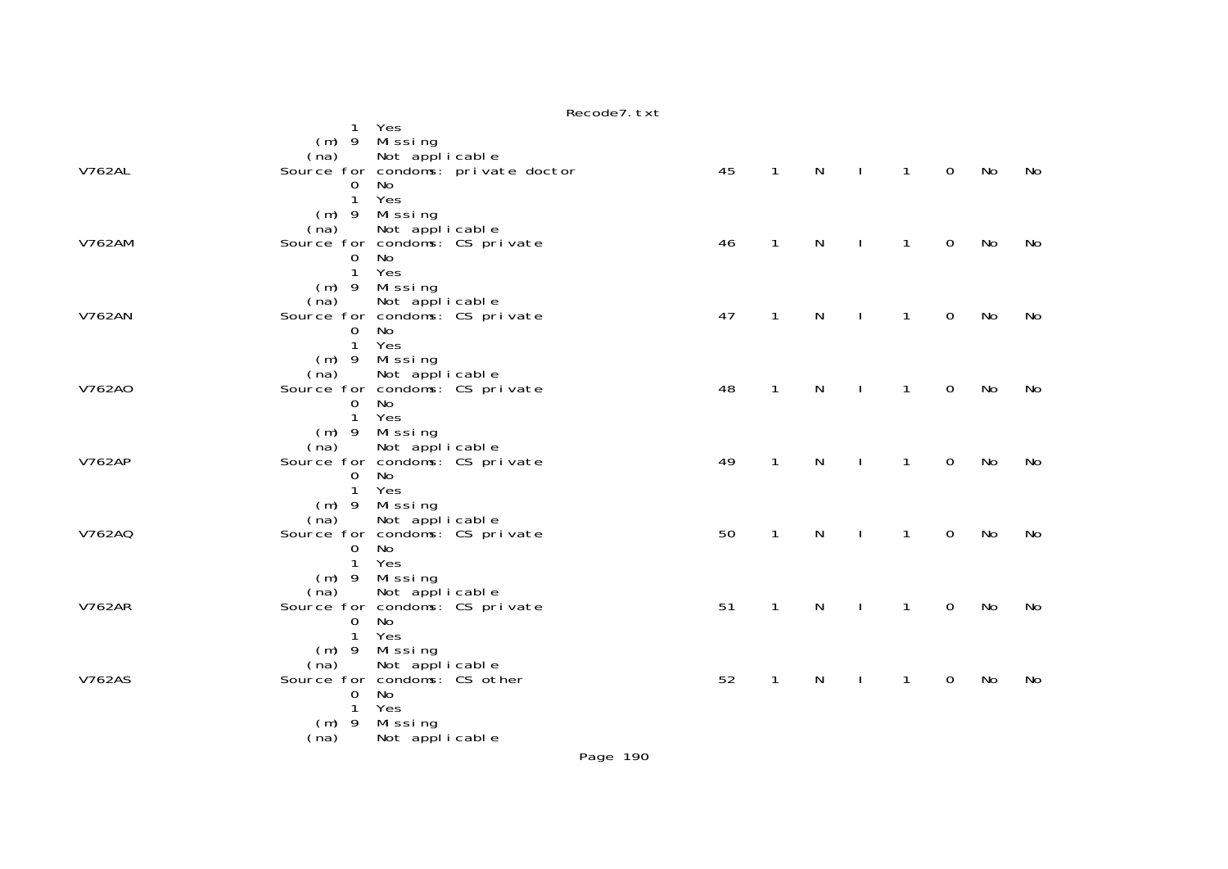|               | n                                                            |    |              |   |              |              |              |    |    |
|---------------|--------------------------------------------------------------|----|--------------|---|--------------|--------------|--------------|----|----|
|               | 1 Yes<br>(m) 9 Missing                                       |    |              |   |              |              |              |    |    |
| <b>V762AL</b> | Not applicable<br>(na)<br>Source for condoms: private doctor | 45 | $\mathbf{1}$ | N | $\mathbf{I}$ | $\mathbf{1}$ | $\mathsf{O}$ | No | No |
|               | No<br>0                                                      |    |              |   |              |              |              |    |    |
|               | 1 Yes<br>(m) 9 Missing                                       |    |              |   |              |              |              |    |    |
|               | Not applicable<br>(na)                                       |    |              |   |              |              |              |    |    |
| <b>V762AM</b> | Source for condoms: CS private<br>No<br>$\mathbf 0$          | 46 | $\mathbf{1}$ | N |              | $\mathbf{1}$ | $\mathbf 0$  | No | No |
|               | Yes<br>$\mathbf{1}$                                          |    |              |   |              |              |              |    |    |
|               | (m) 9 Missing<br>(na)<br>Not applicable                      |    |              |   |              |              |              |    |    |
| <b>V762AN</b> | Source for condoms: CS private<br>No<br>$\mathbf 0$          | 47 | $\mathbf{1}$ | N | $\mathbf{I}$ | $\mathbf{1}$ | $\mathbf 0$  | No | No |
|               | $\mathbf{1}$<br>Yes                                          |    |              |   |              |              |              |    |    |
|               | (m) 9 Missing<br>(na)<br>Not applicable                      |    |              |   |              |              |              |    |    |
| V762A0        | Source for condoms: CS private                               | 48 | $\mathbf{1}$ | N |              | 1            | $\mathbf 0$  | No | No |
|               | No<br>$\mathbf 0$<br>$\mathbf{1}$<br>Yes                     |    |              |   |              |              |              |    |    |
|               | (m) 9 Missing<br>Not applicable<br>(na)                      |    |              |   |              |              |              |    |    |
| <b>V762AP</b> | Source for condoms: CS private                               | 49 | $\mathbf{1}$ | N |              | $\mathbf{1}$ | 0            | No | No |
|               | <b>No</b><br>$\Omega$<br>Yes<br>$\mathbf{1}$                 |    |              |   |              |              |              |    |    |
|               | $(m)$ 9 Missing                                              |    |              |   |              |              |              |    |    |
| V762AQ        | (na)<br>Not applicable<br>Source for condoms: CS private     | 50 | $\mathbf{1}$ | N |              | $\mathbf{1}$ | $\mathbf 0$  | No | No |
|               | No<br>$\mathbf 0$<br>1 Yes                                   |    |              |   |              |              |              |    |    |
|               | (m) 9 Missing                                                |    |              |   |              |              |              |    |    |
| <b>V762AR</b> | Not applicable<br>(na)<br>Source for condoms: CS private     | 51 | $\mathbf{1}$ | N | $\mathbf{I}$ | $\mathbf{1}$ | $\mathbf 0$  | No | No |
|               | No<br>$\overline{0}$                                         |    |              |   |              |              |              |    |    |
|               | Yes<br>$\mathbf{1}$<br>$(m)$ 9 Missing                       |    |              |   |              |              |              |    |    |
| <b>V762AS</b> | Not applicable<br>(na)<br>Source for condoms: CS other       | 52 | $\mathbf{1}$ | N |              | 1            | $\mathbf 0$  | No |    |
|               | <b>No</b><br>0                                               |    |              |   |              |              |              |    | No |
|               | Yes<br>1<br>$(m)$ 9 Missing                                  |    |              |   |              |              |              |    |    |
|               | (na)<br>Not applicable                                       |    |              |   |              |              |              |    |    |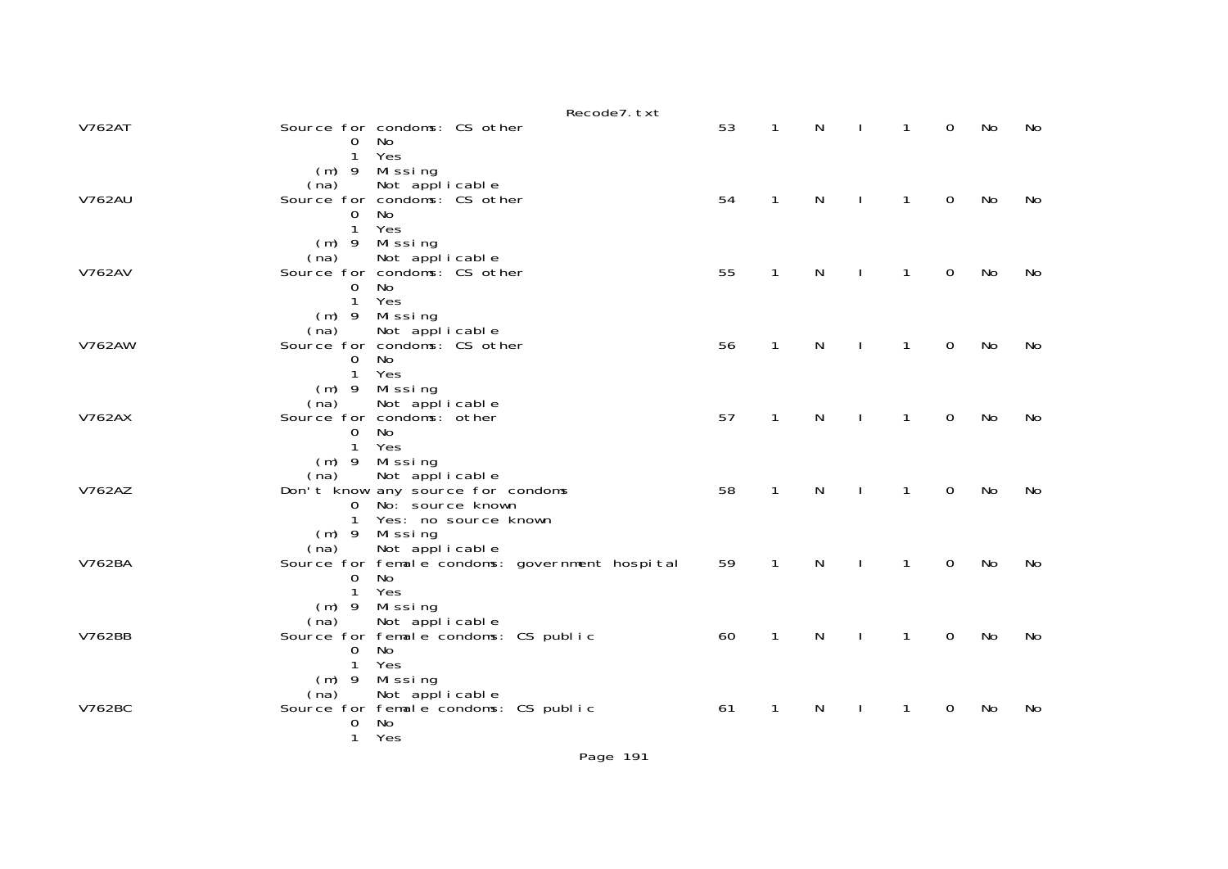|               | Recode7. txt                                                                                                                                                         |    |              |              |              |                |                |    |    |
|---------------|----------------------------------------------------------------------------------------------------------------------------------------------------------------------|----|--------------|--------------|--------------|----------------|----------------|----|----|
| <b>V762AT</b> | Source for condoms: CS other<br>No.<br>0<br>Yes<br>1                                                                                                                 | 53 | $\mathbf{1}$ | N            |              | $\overline{1}$ | $\overline{0}$ | No | No |
| <b>V762AU</b> | $(m)$ 9 Missing<br>(na) Not applicable<br>Source for condoms: CS other<br><b>No</b><br>0<br>$\mathbf{1}$<br>Yes                                                      | 54 | $\mathbf{1}$ | N            |              | $\mathbf{1}$   | $\mathsf{O}$   | No | No |
| <b>V762AV</b> | (m) 9 Missing<br>(na) Not applicable<br>Source for condoms: CS other<br>No<br>$\mathbf 0$<br>1<br>Yes                                                                | 55 | $\mathbf{1}$ | $\mathsf{N}$ | $\mathbf{I}$ | $\mathbf{1}$   | $\mathbf 0$    | No | No |
| <b>V762AW</b> | (m) 9 Missing<br>(na) Not applicable<br>Source for condoms: CS other<br>No<br>$\overline{0}$<br>Yes<br>$\mathbf{1}$                                                  | 56 | $\mathbf{1}$ | N            | $\mathbf{L}$ | $\mathbf{1}$   | $\mathbf 0$    | No | No |
| <b>V762AX</b> | $(m)$ 9 Missing<br>Not applicable<br>(na)<br>Source for condoms: other<br>No<br>$\Omega$<br>Yes<br>$\mathbf{1}$                                                      | 57 | $\mathbf{1}$ | N            |              | $\mathbf{1}$   | $\mathbf 0$    | No | No |
| V762AZ        | $(m)$ 9 Missing<br>Not applicable<br>(na)<br>Don't know any source for condoms<br>No: source known<br>$\overline{0}$<br>1<br>Yes: no source known<br>$(m)$ 9 Missing | 58 | $\mathbf{1}$ | $\mathsf{N}$ | $\mathbf{I}$ | $\mathbf{1}$   | $\mathbf 0$    | No | No |
| V762BA        | Not applicable<br>(na)<br>Source for female condoms: government hospital<br>No<br>0<br>Yes<br>$\mathbf{1}$<br>$(m)$ 9 Missing                                        | 59 | $\mathbf{1}$ | N            | $\mathbf{I}$ | $\mathbf{1}$   | $\mathbf 0$    | No | No |
| V762BB        | Not applicable<br>(na)<br>Source for female condoms: CS public<br>No<br>$\mathbf 0$<br>$\mathbf{1}$<br>Yes<br>$(m)$ 9<br>Missing                                     | 60 | $\mathbf{1}$ | $\mathsf{N}$ | $\mathbf{L}$ | $\overline{1}$ | $\mathbf 0$    | No | No |
| V762BC        | Not applicable<br>(na)<br>Source for female condoms: CS public<br>No<br>0<br>Yes<br>$\mathbf{1}$                                                                     | 61 | $\mathbf{1}$ | N            |              | $\mathbf{1}$   | $\mathbf{O}$   | No | No |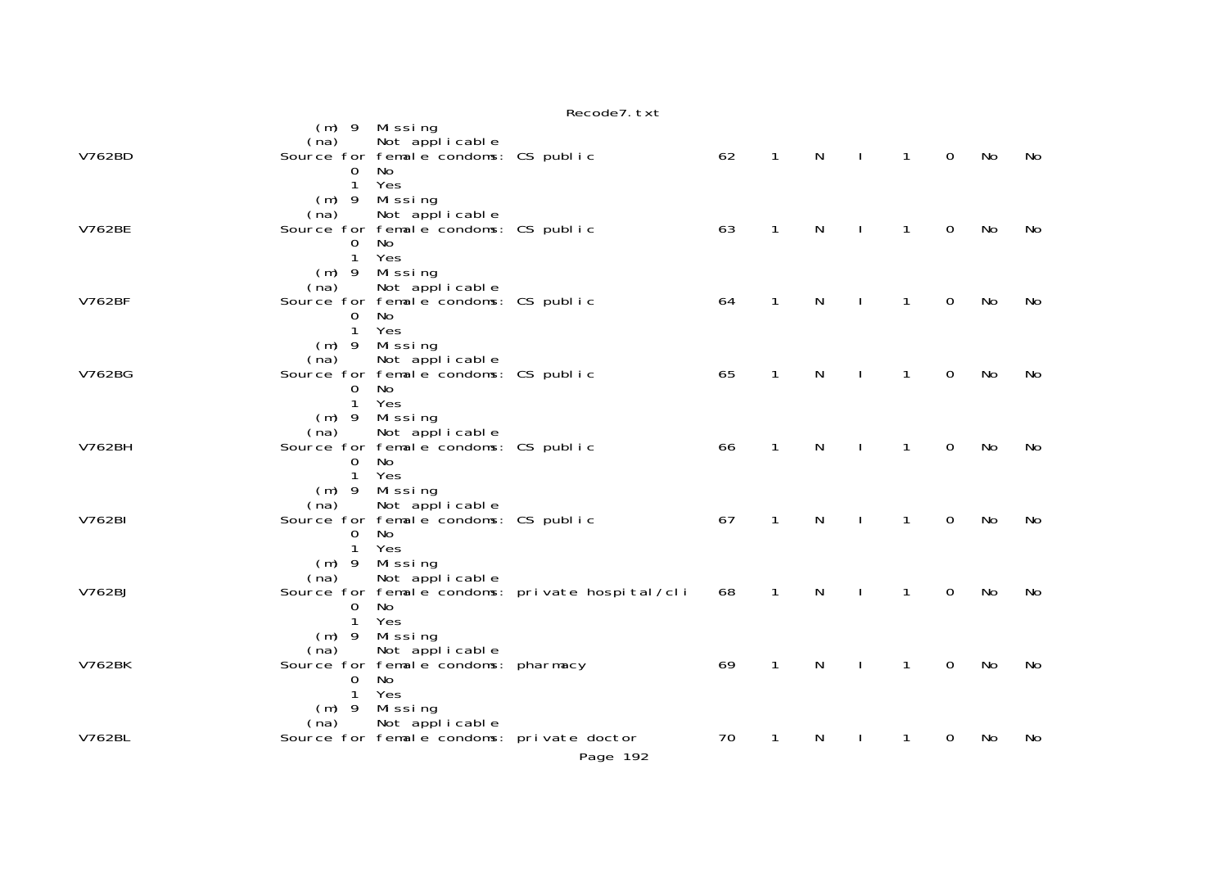|               | Recode7. txt                                                                                                                             |    |              |              |                |                |                |    |    |
|---------------|------------------------------------------------------------------------------------------------------------------------------------------|----|--------------|--------------|----------------|----------------|----------------|----|----|
|               | $(m)$ 9 Missing<br>Not applicable<br>(na)                                                                                                |    |              |              |                |                |                |    |    |
| V762BD        | Source for female condoms: CS public<br>No<br>0<br>$\mathbf{1}$<br>Yes<br>$(m)$ 9 Missing                                                | 62 | $\mathbf{1}$ | $\mathsf{N}$ | $\sim 1$       | $\overline{1}$ | $\overline{0}$ | No | No |
| <b>V762BE</b> | Not applicable<br>(na)<br>Source for female condoms: CS public<br>0 No<br>1 Yes                                                          | 63 | $\mathbf{1}$ | $\mathsf{N}$ | $\blacksquare$ | $\overline{1}$ | $\mathbf 0$    | No | No |
| <b>V762BF</b> | (m) 9 Missing<br>Not applicable<br>(na)<br>Source for female condoms: CS public<br>No<br>$\mathbf{O}$<br>$\mathbf{1}$<br>Yes             | 64 | $\mathbf{1}$ | $\mathsf{N}$ | $\mathbf{I}$   | $\mathbf{1}$   | $\mathbf 0$    | No | No |
| V762BG        | $(m)$ 9 Missing<br>Not applicable<br>(na)<br>Source for female condoms: CS public<br>$\mathbf{O}$<br>No<br>1 Yes                         | 65 | $\mathbf{1}$ | $\mathsf{N}$ | $\mathbf{I}$   | $\mathbf{1}$   | $\mathbf 0$    | No | No |
| <b>V762BH</b> | $(m)$ 9 Missing<br>Not applicable<br>(na)<br>Source for female condoms: CS public<br>$\Omega$<br>No<br>$\mathbf{1}$<br>Yes               | 66 | $\mathbf{1}$ | N            | $\perp$        | $\mathbf{1}$   | $\mathsf{O}$   | No | No |
| V762BI        | $(m)$ 9 Missing<br>Not applicable<br>(na)<br>Source for female condoms: CS public<br>No<br>$\Omega$<br>$\mathbf{1}$<br>Yes               | 67 | $\mathbf{1}$ | N            | $\mathbb{R}^n$ | $\overline{1}$ | $\mathsf{O}$   | No | No |
| V762BJ        | (m) 9 Missing<br>Not applicable<br>(na)<br>Source for female condoms: private hospital/cli<br>$\mathbf{O}$<br>No.<br>$\mathbf{1}$<br>Yes | 68 | $\mathbf{1}$ | N            | J.             | $\mathbf{1}$   | $\Omega$       | No | No |
| <b>V762BK</b> | $(m)$ 9 Missing<br>Not applicable<br>(na)<br>Source for female condoms: pharmacy<br>No<br>0<br>$\mathbf{1}$<br>Yes                       | 69 | $\mathbf{1}$ | $\mathsf{N}$ | $\mathbf{L}$   | $\mathbf{1}$   | $\mathbf 0$    | No | No |
| V762BL        | (m) 9 Missing<br>Not applicable<br>(na)<br>Source for female condoms: private doctor<br>Page 192                                         | 70 | $\mathbf{1}$ | N            | $\mathbf{I}$   | $\mathbf{1}$   | 0              | No | No |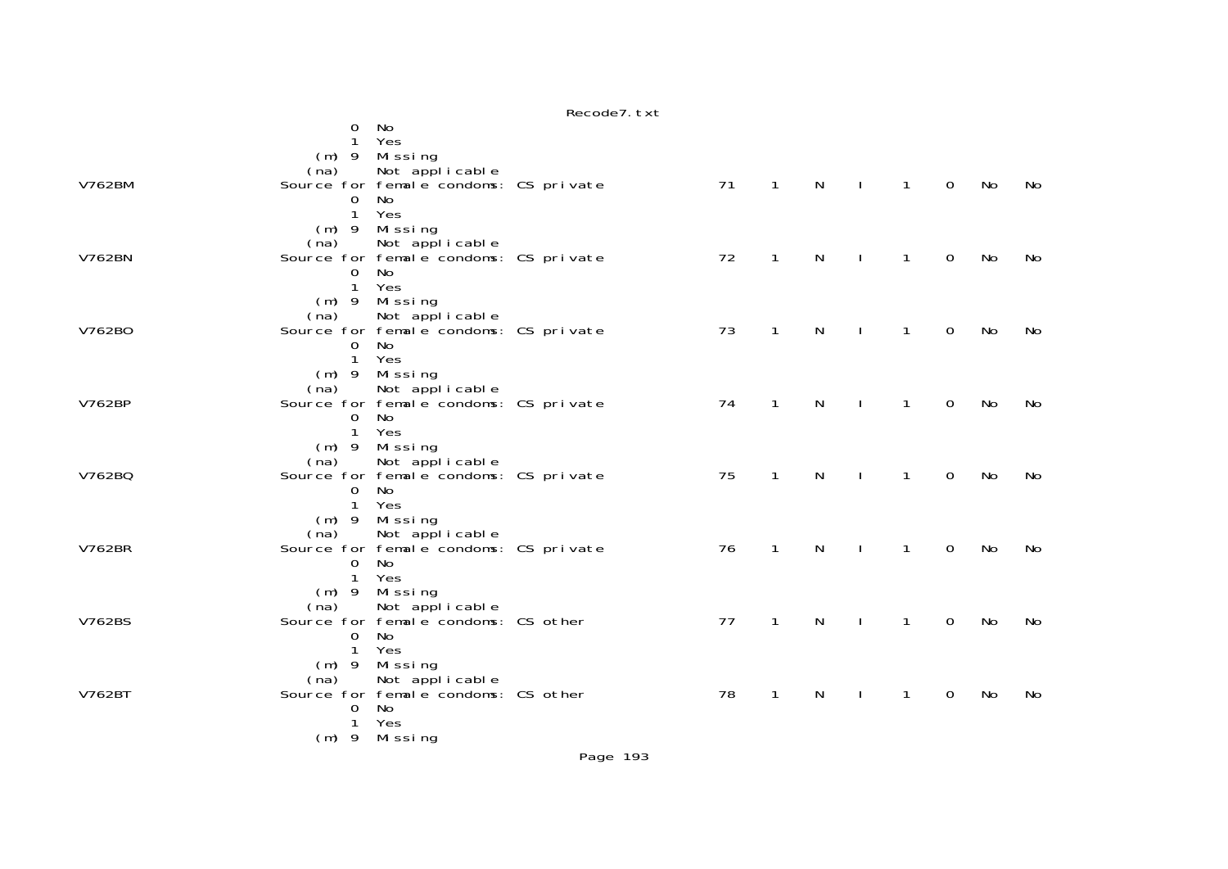|               |                             |                                                         | RECOURT. LAL |    |              |                              |              |             |    |    |
|---------------|-----------------------------|---------------------------------------------------------|--------------|----|--------------|------------------------------|--------------|-------------|----|----|
|               | 0                           | No                                                      |              |    |              |                              |              |             |    |    |
|               | 1<br>$(m)$ 9                | Yes<br>Missing                                          |              |    |              |                              |              |             |    |    |
|               | (na)                        | Not applicable                                          |              |    |              |                              |              |             |    |    |
| <b>V762BM</b> |                             | Source for female condoms: CS private                   |              | 71 | $\mathbf{1}$ | $\mathsf{N}$<br>$\mathbf{I}$ | $\mathbf{1}$ | $\mathbf 0$ | No | No |
|               | $\mathbf 0$<br>$\mathbf{1}$ | No<br>Yes                                               |              |    |              |                              |              |             |    |    |
|               |                             | $(m)$ 9 Missing                                         |              |    |              |                              |              |             |    |    |
|               | (na)                        | Not applicable                                          |              |    |              |                              |              |             |    |    |
| <b>V762BN</b> | $\Omega$                    | Source for female condoms: CS private<br>No             |              | 72 | $\mathbf{1}$ | $\mathsf{N}$<br>$\mathbf{I}$ | $\mathbf{1}$ | $\mathbf 0$ | No | No |
|               | $\mathbf{1}$                | Yes                                                     |              |    |              |                              |              |             |    |    |
|               | $(m)$ 9                     | Missing                                                 |              |    |              |                              |              |             |    |    |
|               | (na)                        | Not applicable                                          |              |    |              |                              |              |             |    |    |
| V762B0        | 0                           | Source for female condoms: CS private<br>No             |              | 73 | $\mathbf{1}$ | N<br>$\mathbf{I}$            | 1            | 0           | No | No |
|               | $\mathbf{1}$                | Yes                                                     |              |    |              |                              |              |             |    |    |
|               |                             | $(m)$ 9 Missing                                         |              |    |              |                              |              |             |    |    |
| V762BP        | (na)                        | Not applicable<br>Source for female condoms: CS private |              | 74 | $\mathbf{1}$ | $\mathsf{N}$<br>$\mathbf{I}$ | $\mathbf{1}$ | $\mathbf 0$ | No | No |
|               | $\mathbf{O}$                | No                                                      |              |    |              |                              |              |             |    |    |
|               | $\mathbf{1}$                | Yes                                                     |              |    |              |                              |              |             |    |    |
|               | (na)                        | $(m)$ 9 Missing<br>Not applicable                       |              |    |              |                              |              |             |    |    |
| V762BQ        |                             | Source for female condoms: CS private                   |              | 75 | $\mathbf{1}$ | N                            | $\mathbf{1}$ | 0           | No | No |
|               | $\Omega$                    | No                                                      |              |    |              |                              |              |             |    |    |
|               | $\mathbf{1}$                | Yes<br>$(m)$ 9 Missing                                  |              |    |              |                              |              |             |    |    |
|               | (na)                        | Not applicable                                          |              |    |              |                              |              |             |    |    |
| <b>V762BR</b> |                             | Source for female condoms: CS private                   |              | 76 | $\mathbf{1}$ | N<br>$\mathbf{I}$            | 1            | 0           | No | No |
|               | $\mathbf 0$<br>$\mathbf{1}$ | No<br>Yes                                               |              |    |              |                              |              |             |    |    |
|               |                             | $(m)$ 9 Missing                                         |              |    |              |                              |              |             |    |    |
|               | (na)                        | Not applicable                                          |              |    |              |                              |              |             |    |    |
| V762BS        | $\mathbf{O}$                | Source for female condoms: CS other<br>No               |              | 77 | $\mathbf{1}$ | $\mathsf{N}$<br>$\mathbf{I}$ | $\mathbf{1}$ | $\mathbf 0$ | No | No |
|               | $\mathbf{1}$                | Yes                                                     |              |    |              |                              |              |             |    |    |
|               | $(m)$ 9                     | Mi ssi ng                                               |              |    |              |                              |              |             |    |    |
| <b>V762BT</b> | (na)                        | Not applicable<br>Source for female condoms: CS other   |              | 78 | $\mathbf{1}$ | N                            | $\mathbf{1}$ | 0           | No | No |
|               | 0                           | No                                                      |              |    |              | $\mathbf{I}$                 |              |             |    |    |
|               | $\mathbf{1}$                | Yes                                                     |              |    |              |                              |              |             |    |    |
|               |                             | $(m)$ 9 Missing                                         |              |    |              |                              |              |             |    |    |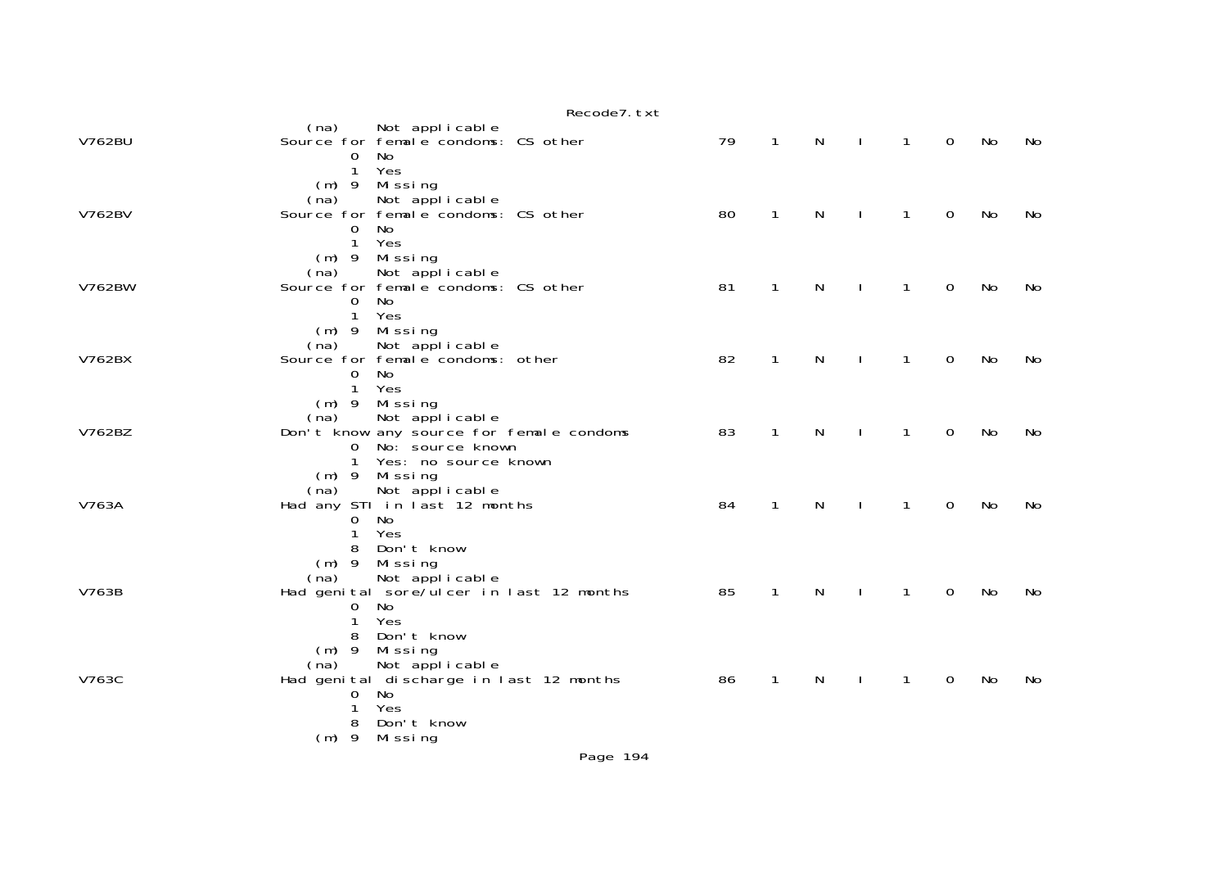|               | Recode7. txt                                                                                                                                                      |    |              |   |              |              |              |    |    |
|---------------|-------------------------------------------------------------------------------------------------------------------------------------------------------------------|----|--------------|---|--------------|--------------|--------------|----|----|
| V762BU        | Not applicable<br>(na)<br>Source for femal e condoms: CS other<br>No.<br>$\mathbf{0}$<br>Yes<br>$\mathbf{1}$                                                      | 79 | $\mathbf{1}$ | N | $\mathbf{L}$ | $\mathbf{1}$ | $\mathsf{O}$ | No | No |
| V762BV        | (m) 9 Missing<br>Not applicable<br>(na)<br>Source for female condoms: CS other<br>$\overline{O}$<br>No.<br>$\mathbf{1}$<br>Yes                                    | 80 | $\mathbf{1}$ | N |              | $\mathbf{1}$ | $\mathbf 0$  | No | No |
| <b>V762BW</b> | (m) 9 Missing<br>Not applicable<br>(na)<br>Source for female condoms: CS other<br>No<br>$\overline{0}$<br>$\mathbf{1}$<br>Yes                                     | 81 | 1            | N |              | $\mathbf{1}$ | $\mathbf 0$  | No | No |
| V762BX        | $(m)$ 9 Missing<br>Not applicable<br>(na)<br>Source for female condoms: other<br>No<br>$\Omega$<br>1 Yes                                                          | 82 | $\mathbf{1}$ | N | $\mathbf{I}$ | 1            | 0            | No | No |
| V762BZ        | $(m)$ 9 Missing<br>Not applicable<br>(na)<br>Don't know any source for female condoms<br>No: source known<br>$\mathbf{0}$<br>$\mathbf{1}$<br>Yes: no source known | 83 | $\mathbf{1}$ | N | $\mathbf{I}$ | $\mathbf{1}$ | $\mathbf 0$  | No | No |
| V763A         | (m) 9 Missing<br>Not applicable<br>(na)<br>Had any STI in last 12 months<br>No<br>0<br>Yes<br>1                                                                   | 84 | $\mathbf{1}$ | N | $\mathbf{I}$ | $\mathbf{1}$ | $\mathbf 0$  | No | No |
| V763B         | 8 Don't know<br>$(m)$ 9<br>Missing<br>Not applicable<br>(na)<br>Had genital sore/ulcer in last 12 months<br>No<br>0<br>$\mathbf{1}$<br>Yes<br>8 Don't know        | 85 | $\mathbf{1}$ | N |              | $\mathbf{1}$ | $\Omega$     | No | No |
| V763C         | $(m)$ 9<br>Missing<br>Not applicable<br>(na)<br>Had genital discharge in last 12 months<br>No<br>0<br>Yes<br>$\mathbf{1}$<br>Don't know<br>8<br>(m) 9 Missing     | 86 | $\mathbf{1}$ | N |              | $\mathbf{1}$ | $\mathbf 0$  | No | No |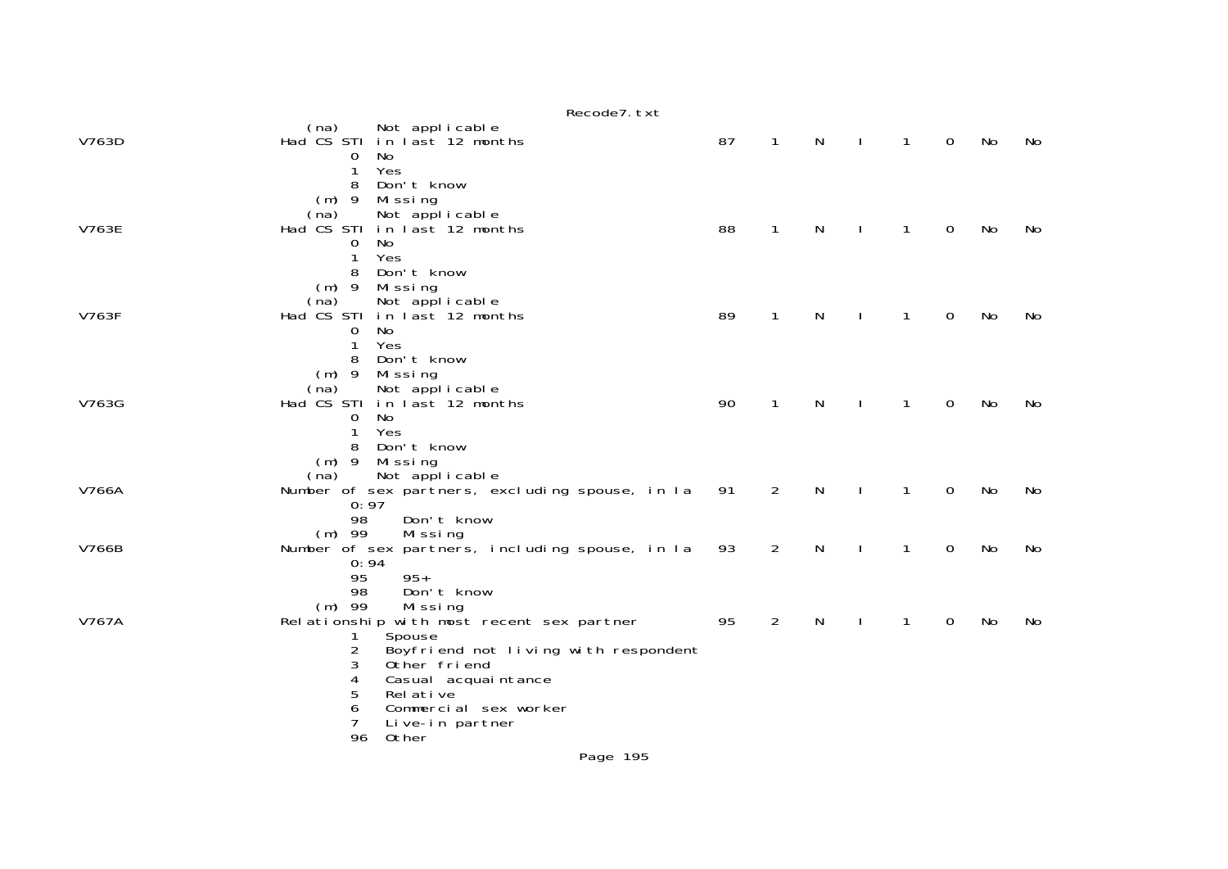|       | Recode7. txt                                                                                                                                                                                                                                                                                            |    |                |   |              |              |             |           |    |
|-------|---------------------------------------------------------------------------------------------------------------------------------------------------------------------------------------------------------------------------------------------------------------------------------------------------------|----|----------------|---|--------------|--------------|-------------|-----------|----|
| V763D | (na) Not applicable<br>Had CS STI in last 12 months<br>No<br>0<br>Yes<br>1                                                                                                                                                                                                                              | 87 | $\mathbf{1}$   | N | $\mathbf{I}$ | $\mathbf{1}$ | $\mathbf 0$ | No        | No |
| V763E | Don't know<br>8<br>$(m)$ 9<br>Mi ssi ng<br>(na)<br>Not applicable<br>Had CS STI in last 12 months<br>No<br>0<br>Yes<br>1<br>Don't know<br>8                                                                                                                                                             | 88 | $\mathbf{1}$   | N |              | 1            | 0           | No        | No |
| V763F | $(m)$ 9<br>Missing<br>(na)<br>Not applicable<br>Had CS STI in last 12 months<br>No<br>0<br>Yes<br>1<br>Don't know                                                                                                                                                                                       | 89 | $\mathbf{1}$   | N |              | 1            | $\Omega$    | No        | No |
| V763G | 8<br>$(m)$ 9<br>Missing<br>Not applicable<br>(na)<br>Had CS STI in last 12 months<br>No<br>0<br>Yes<br>1<br>8<br>Don't know                                                                                                                                                                             | 90 | $\mathbf{1}$   | N |              | 1            | 0           | No        | No |
| V766A | $(m)$ 9<br>Mi ssi ng<br>Not applicable<br>(na)<br>Number of sex partners, excluding spouse, in la<br>0:97<br>98<br>Don't know                                                                                                                                                                           | 91 | 2              | N |              | $\mathbf{1}$ | 0           | <b>No</b> | No |
| V766B | $(m)$ 99<br>Missing<br>Number of sex partners, including spouse, in la<br>0:94                                                                                                                                                                                                                          | 93 | 2              | N |              | 1            | 0           | No        | No |
| V767A | 95<br>$95+$<br>98<br>Don't know<br>$(m)$ 99<br>Missing<br>Relationship with most recent sex partner<br>Spouse<br>1<br>Boyfriend not living with respondent<br>2<br>3<br>Other friend<br>Casual acquaintance<br>4<br>5<br>Rel ative<br>6<br>Commercial sex worker<br>7<br>Live-in partner<br>96<br>Other | 95 | $\overline{2}$ | N |              | 1            | $\mathbf 0$ | No        | No |
|       |                                                                                                                                                                                                                                                                                                         |    |                |   |              |              |             |           |    |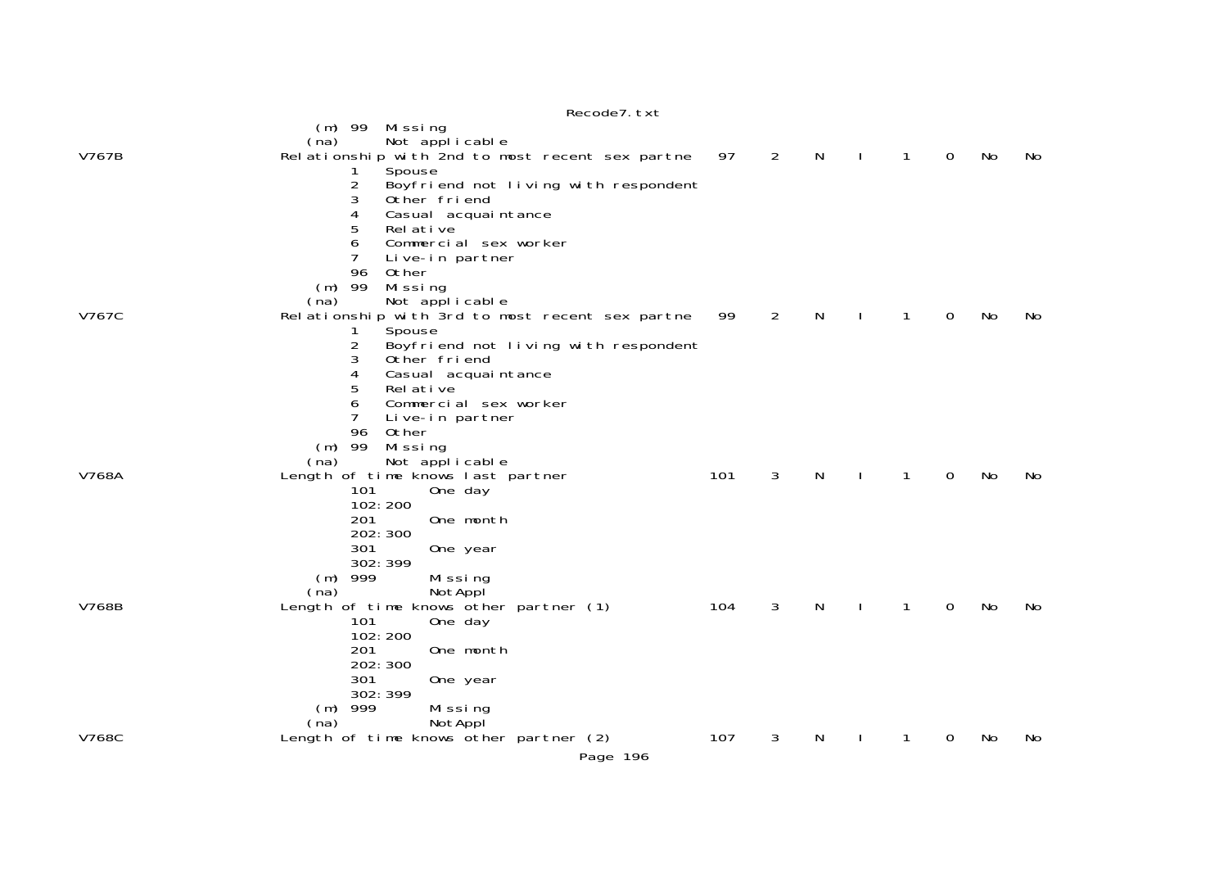|       | Recode7. txt                                    |     |                |    |              |              |                |    |     |
|-------|-------------------------------------------------|-----|----------------|----|--------------|--------------|----------------|----|-----|
|       | $(m)$ 99 Missing                                |     |                |    |              |              |                |    |     |
|       | Not applicable<br>(na)                          |     |                |    |              |              |                |    |     |
| V767B | Relationship with 2nd to most recent sex partne | 97  | $\overline{2}$ | N  | $\mathbf{I}$ | 1            | $\overline{O}$ | No | No. |
|       | Spouse<br>Ŧ                                     |     |                |    |              |              |                |    |     |
|       | 2<br>Boyfriend not living with respondent       |     |                |    |              |              |                |    |     |
|       | Other friend<br>3                               |     |                |    |              |              |                |    |     |
|       | Casual acquaintance<br>4                        |     |                |    |              |              |                |    |     |
|       | 5<br>Rel ative<br>6<br>Commercial sex worker    |     |                |    |              |              |                |    |     |
|       | 7<br>Live-in partner                            |     |                |    |              |              |                |    |     |
|       | 96<br>Other                                     |     |                |    |              |              |                |    |     |
|       | $(m)$ 99<br>Missing                             |     |                |    |              |              |                |    |     |
|       | (na)<br>Not applicable                          |     |                |    |              |              |                |    |     |
| V767C | Relationship with 3rd to most recent sex partne | 99  | $\overline{2}$ | N  |              | 1            | 0              | No | No. |
|       | Spouse<br>1                                     |     |                |    |              |              |                |    |     |
|       | 2<br>Boyfriend not living with respondent       |     |                |    |              |              |                |    |     |
|       | Other friend<br>3                               |     |                |    |              |              |                |    |     |
|       | 4<br>Casual acquaintance                        |     |                |    |              |              |                |    |     |
|       | 5<br>Rel ative<br>6                             |     |                |    |              |              |                |    |     |
|       | Commercial sex worker<br>7<br>Live-in partner   |     |                |    |              |              |                |    |     |
|       | 96<br>Other                                     |     |                |    |              |              |                |    |     |
|       | $(m)$ 99<br>Mi ssi ng                           |     |                |    |              |              |                |    |     |
|       | Not applicable<br>(na)                          |     |                |    |              |              |                |    |     |
| V768A | Length of time knows last partner               | 101 | 3              | N  | J.           | $\mathbf{1}$ | $\mathbf 0$    | No | No  |
|       | 101<br>One day                                  |     |                |    |              |              |                |    |     |
|       | 102:200                                         |     |                |    |              |              |                |    |     |
|       | 201<br>One month                                |     |                |    |              |              |                |    |     |
|       | 202: 300<br>301                                 |     |                |    |              |              |                |    |     |
|       | One year<br>302: 399                            |     |                |    |              |              |                |    |     |
|       | $(m)$ 999<br>Missing                            |     |                |    |              |              |                |    |     |
|       | NotAppl<br>(na)                                 |     |                |    |              |              |                |    |     |
| V768B | Length of time knows other partner (1)          | 104 | 3              | N. |              | 1            | 0              | No | No. |
|       | 101<br>One day                                  |     |                |    |              |              |                |    |     |
|       | 102:200                                         |     |                |    |              |              |                |    |     |
|       | 201<br>One month                                |     |                |    |              |              |                |    |     |
|       | 202: 300                                        |     |                |    |              |              |                |    |     |
|       | 301<br>One year<br>302: 399                     |     |                |    |              |              |                |    |     |
|       | $(m)$ 999<br>Missing                            |     |                |    |              |              |                |    |     |
|       | NotAppl<br>(na)                                 |     |                |    |              |              |                |    |     |
| V768C | Length of time knows other partner (2)          | 107 | 3              | N. |              |              | 0              | No | No. |
|       | Page 196                                        |     |                |    |              |              |                |    |     |
|       |                                                 |     |                |    |              |              |                |    |     |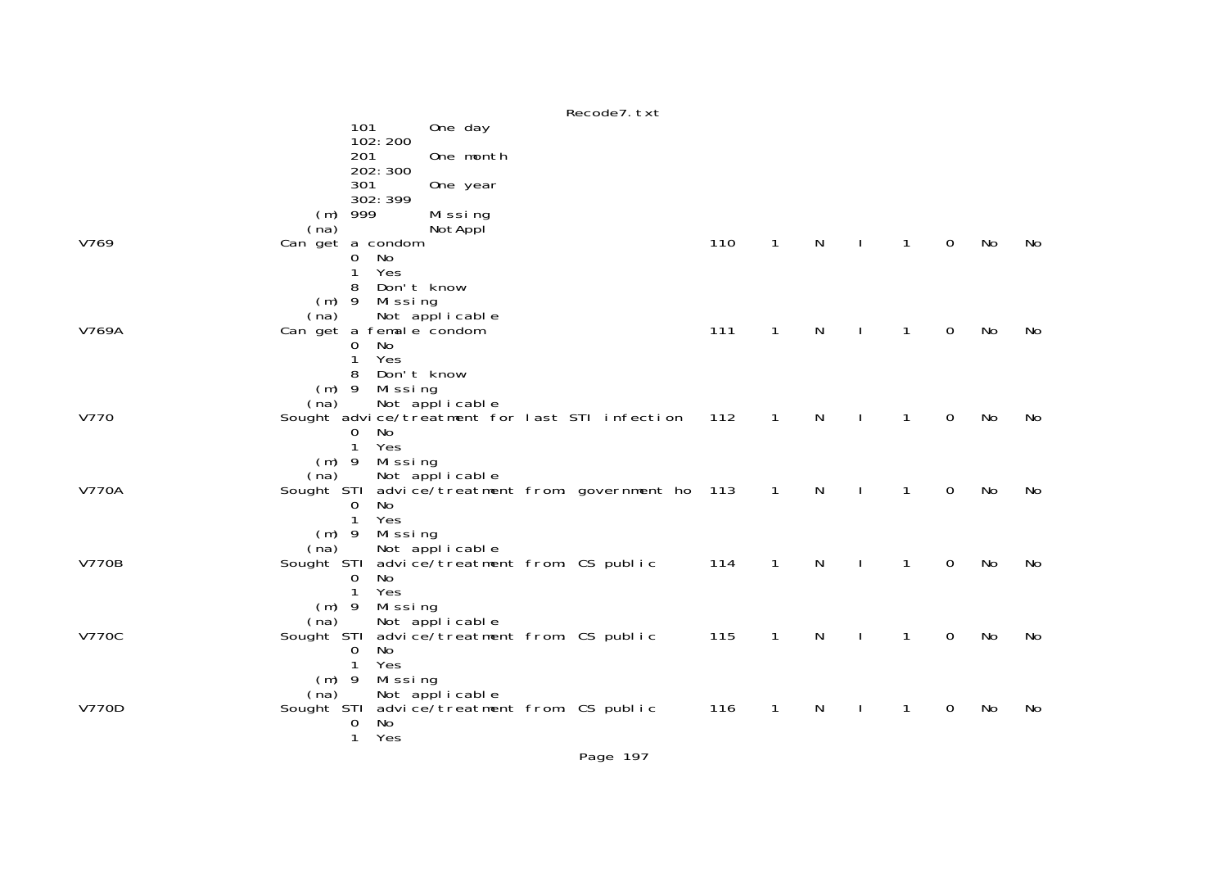|              | Recode7. txt                                                             |     |              |   |                              |             |    |    |
|--------------|--------------------------------------------------------------------------|-----|--------------|---|------------------------------|-------------|----|----|
|              | 101<br>One day                                                           |     |              |   |                              |             |    |    |
|              | 102:200<br>201<br>One month                                              |     |              |   |                              |             |    |    |
|              | 202: 300                                                                 |     |              |   |                              |             |    |    |
|              | 301<br>One year<br>302: 399                                              |     |              |   |                              |             |    |    |
|              | 999<br>Missing<br>(m)                                                    |     |              |   |                              |             |    |    |
|              | NotAppl<br>(na)                                                          |     |              |   |                              |             |    |    |
| V769         | Can get a condom<br>No<br>0                                              | 110 | $\mathbf{1}$ | N | $\mathbf{1}$<br>$\mathbf{L}$ | $\mathbf 0$ | No | No |
|              | Yes<br>1                                                                 |     |              |   |                              |             |    |    |
|              | Don't know<br>8                                                          |     |              |   |                              |             |    |    |
|              | $(m)$ 9<br>Missing<br>(na)<br>Not applicable                             |     |              |   |                              |             |    |    |
| V769A        | Can get a female condom                                                  | 111 | $\mathbf{1}$ | N | 1                            | $\mathbf 0$ | No | No |
|              | No<br>$\Omega$                                                           |     |              |   |                              |             |    |    |
|              | Yes<br>Don't know<br>8                                                   |     |              |   |                              |             |    |    |
|              | $(m)$ 9<br>Missing                                                       |     |              |   |                              |             |    |    |
| V770         | Not applicable<br>(na)<br>Sought advice/treatment for last STI infection | 112 | $\mathbf{1}$ | N | 1                            | 0           | No | No |
|              | No<br>0                                                                  |     |              |   |                              |             |    |    |
|              | Yes<br>$\mathbf{1}$                                                      |     |              |   |                              |             |    |    |
|              | Missing<br>$(m)$ 9<br>Not applicable<br>(na)                             |     |              |   |                              |             |    |    |
| <b>V770A</b> | Sought STI<br>advice/treatment from: government ho 113                   |     | $\mathbf{1}$ | N | 1                            | $\mathbf 0$ | No | No |
|              | <b>No</b><br>$\Omega$<br>Yes<br>$\mathbf{1}$                             |     |              |   |                              |             |    |    |
|              | Missing<br>$(m)$ 9                                                       |     |              |   |                              |             |    |    |
|              | (na)<br>Not applicable                                                   |     |              |   |                              |             |    |    |
| <b>V770B</b> | advice/treatment from: CS public<br>Sought STI<br>No<br>0                | 114 | $\mathbf{1}$ | N | $\mathbf{1}$                 | 0           | No | No |
|              | Yes<br>$\mathbf{1}$                                                      |     |              |   |                              |             |    |    |
|              | $(m)$ 9<br>Missing                                                       |     |              |   |                              |             |    |    |
| <b>V770C</b> | Not applicable<br>(na)<br>advice/treatment from: CS public<br>Sought STI | 115 | $\mathbf{1}$ | N | $\mathbf{1}$<br>$\mathbf{I}$ | $\mathbf 0$ | No | No |
|              | No<br>$\overline{0}$                                                     |     |              |   |                              |             |    |    |
|              | Yes<br>$\mathbf{1}$<br>Missing<br>$(m)$ 9                                |     |              |   |                              |             |    |    |
|              | (na)<br>Not applicable                                                   |     |              |   |                              |             |    |    |
| <b>V770D</b> | advice/treatment from: CS public<br>Sought STI                           | 116 | $\mathbf{1}$ | N | 1                            | 0           | No | No |
|              | No<br>0<br>Yes<br>$\mathbf{1}$                                           |     |              |   |                              |             |    |    |
|              |                                                                          |     |              |   |                              |             |    |    |

Page 197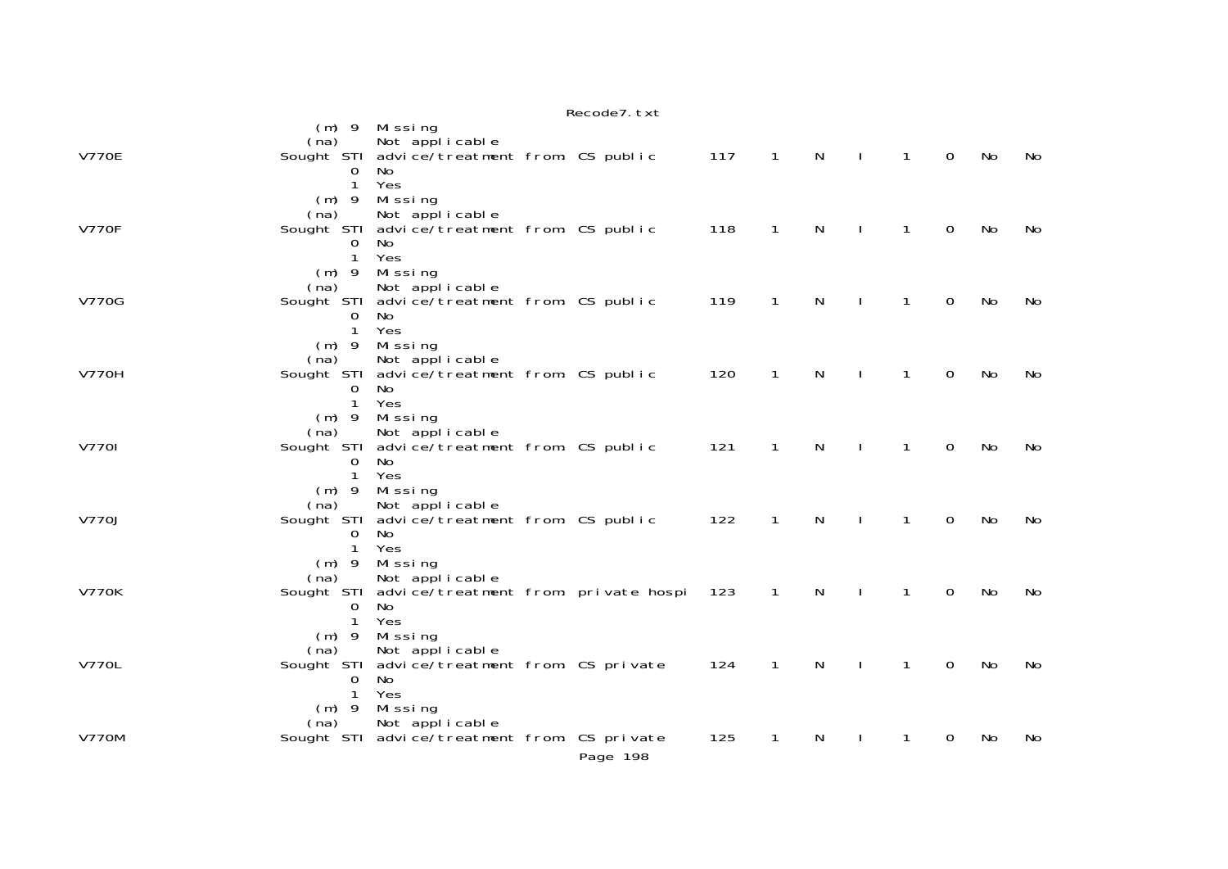|              |                                                           |                                                                                              | Recode7. txt |     |                |              |              |                |                |           |           |
|--------------|-----------------------------------------------------------|----------------------------------------------------------------------------------------------|--------------|-----|----------------|--------------|--------------|----------------|----------------|-----------|-----------|
|              | $(m)$ 9<br>(na)                                           | Missing<br>Not applicable                                                                    |              |     |                |              |              |                |                |           |           |
| <b>V770E</b> | Sought STI<br>0<br>$\mathbf{1}$<br>$(m)$ 9                | advice/treatment from: CS public<br>No.<br>Yes<br>Missing                                    |              | 117 | $\overline{1}$ | $\mathsf{N}$ | $\mathbf{L}$ | $\overline{1}$ | $\overline{0}$ | No        | No        |
| <b>V770F</b> | (na)<br>Sought STI<br>0<br>$\mathbf{1}$                   | Not applicable<br>advice/treatment from: CS public<br>No<br>Yes                              |              | 118 | $\mathbf{1}$   | $\mathsf{N}$ | $\perp$      | $\mathbf{1}$   | $\overline{0}$ | No        | <b>No</b> |
| <b>V770G</b> | $(m)$ 9<br>(na)<br>0<br>$\mathbf{1}$                      | Missing<br>Not applicable<br>Sought STI advice/treatment from: CS public<br>No<br>Yes        |              | 119 | $\mathbf{1}$   | $\mathsf{N}$ | $\mathbf{I}$ | $\mathbf{1}$   | 0              | No        | No        |
| <b>V770H</b> | $(m)$ 9<br>(na)<br>0<br>$\mathbf{1}$                      | Missing<br>Not applicable<br>Sought STI advice/treatment from: CS public<br>No<br>Yes        |              | 120 | $\mathbf{1}$   | N            |              | $\mathbf{1}$   | $\Omega$       | <b>No</b> | No        |
| <b>V7701</b> | $(m)$ 9<br>(na)<br>0<br>$\mathbf{1}$                      | Missing<br>Not applicable<br>Sought STI advice/treatment from: CS public<br><b>No</b><br>Yes |              | 121 | 1              | N            |              | 1              | 0              | No        | No        |
| V770J        | $(m)$ 9<br>(na)<br>Sought STI<br>0<br>$\mathbf{1}$        | Missing<br>Not applicable<br>advice/treatment from: CS public<br>No<br>Yes                   |              | 122 | $\mathbf{1}$   | $\mathsf{N}$ |              | 1              | $\overline{0}$ | No        | No        |
| <b>V770K</b> | $(m)$ 9<br>(na)<br>Sought STI<br>$\Omega$<br>$\mathbf{1}$ | Missing<br>Not applicable<br>advice/treatment from: private hospi<br><b>No</b><br>Yes        |              | 123 | $\mathbf{1}$   | N            |              | 1              | $\Omega$       | No        | No        |
| <b>V770L</b> | $(m)$ 9<br>(na)<br>O<br>$\mathbf{1}$                      | Missing<br>Not applicable<br>Sought STI advice/treatment from: CS private<br>No<br>Yes       |              | 124 | $\mathbf{1}$   | N            |              | 1              | $\overline{0}$ | No        | <b>No</b> |
| <b>V770M</b> | $(m)$ 9<br>(na)                                           | Missing<br>Not applicable<br>Sought STI advice/treatment from: CS private                    | Page 198     | 125 | 1              | N            |              | 1              | 0              | No        | No        |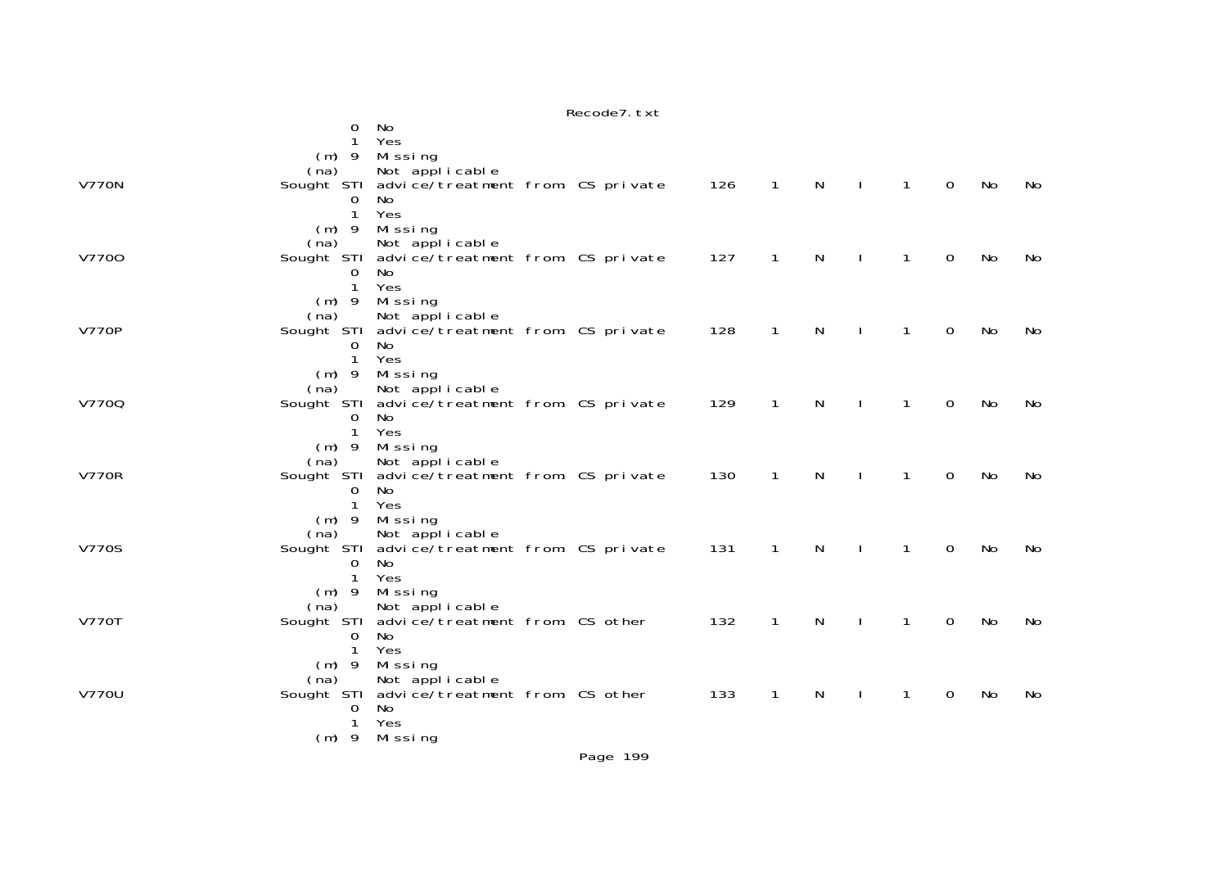|              |                         |                                                              | Recode7. txt |     |              |              |              |              |             |           |    |
|--------------|-------------------------|--------------------------------------------------------------|--------------|-----|--------------|--------------|--------------|--------------|-------------|-----------|----|
|              | 0                       | No                                                           |              |     |              |              |              |              |             |           |    |
|              | 1                       | Yes                                                          |              |     |              |              |              |              |             |           |    |
|              | $(m)$ 9                 | Missing                                                      |              |     |              |              |              |              |             |           |    |
|              | (na)                    | Not applicable                                               |              |     |              |              |              |              |             |           |    |
| <b>V770N</b> | Sought STI              | advice/treatment from: CS private                            |              | 126 | $\mathbf{1}$ | N            |              | 1            | $\mathbf 0$ | No        | No |
|              | $\Omega$                | <b>No</b>                                                    |              |     |              |              |              |              |             |           |    |
|              | $\mathbf{1}$            | Yes                                                          |              |     |              |              |              |              |             |           |    |
|              | $(m)$ 9                 | Missing                                                      |              |     |              |              |              |              |             |           |    |
|              | (na)                    | Not applicable                                               |              |     |              |              |              |              |             |           |    |
| V7700        | Sought STI              | advice/treatment from: CS private                            |              | 127 | $\mathbf{1}$ | N            |              | 1            | $\Omega$    | No        | No |
|              | 0<br>$\mathbf{1}$       | No<br>Yes                                                    |              |     |              |              |              |              |             |           |    |
|              | $(m)$ 9                 | Missing                                                      |              |     |              |              |              |              |             |           |    |
|              | (na)                    | Not applicable                                               |              |     |              |              |              |              |             |           |    |
| <b>V770P</b> | Sought STI              | advice/treatment from: CS private                            |              | 128 | 1            | N            |              | 1            | 0           | No        | No |
|              | 0                       | No.                                                          |              |     |              |              |              |              |             |           |    |
|              | $\mathbf 1$             | Yes                                                          |              |     |              |              |              |              |             |           |    |
|              | $(m)$ 9                 | Missing                                                      |              |     |              |              |              |              |             |           |    |
|              | (na)                    | Not applicable                                               |              |     |              |              |              |              |             |           |    |
| V7700        | Sought STI              | advice/treatment from: CS private                            |              | 129 | $\mathbf{1}$ | N            | $\mathbf{I}$ | $\mathbf{1}$ | $\mathbf 0$ | No        | No |
|              | 0                       | No                                                           |              |     |              |              |              |              |             |           |    |
|              | $\mathbf{1}$<br>$(m)$ 9 | Yes                                                          |              |     |              |              |              |              |             |           |    |
|              | (na)                    | Missing<br>Not applicable                                    |              |     |              |              |              |              |             |           |    |
| <b>V770R</b> | Sought STI              | advice/treatment from: CS private                            |              | 130 | $\mathbf{1}$ | $\mathsf{N}$ | $\mathbf{L}$ | $\mathbf{1}$ | 0           | <b>No</b> | No |
|              | 0                       | No                                                           |              |     |              |              |              |              |             |           |    |
|              | $\mathbf 1$             | Yes                                                          |              |     |              |              |              |              |             |           |    |
|              | $(m)$ 9                 | Missing                                                      |              |     |              |              |              |              |             |           |    |
|              | (na)                    | Not applicable                                               |              |     |              |              |              |              |             |           |    |
| <b>V770S</b> |                         | Sought STI advice/treatment from: CS private                 |              | 131 | 1            | N            |              | 1            | 0           | No        | No |
|              | 0                       | No                                                           |              |     |              |              |              |              |             |           |    |
|              | $\mathbf{1}$            | Yes                                                          |              |     |              |              |              |              |             |           |    |
|              | $(m)$ 9                 | Missing                                                      |              |     |              |              |              |              |             |           |    |
| <b>V770T</b> | (na)                    | Not applicable<br>Sought STI advice/treatment from: CS other |              | 132 | $\mathbf{1}$ | N            |              | 1            | $\Omega$    | <b>No</b> | No |
|              | 0                       | No.                                                          |              |     |              |              |              |              |             |           |    |
|              | $\mathbf{1}$            | Yes                                                          |              |     |              |              |              |              |             |           |    |
|              | $(m)$ 9                 | Missing                                                      |              |     |              |              |              |              |             |           |    |
|              | (na)                    | Not applicable                                               |              |     |              |              |              |              |             |           |    |
| V770U        | Sought STI              | advice/treatment from: CS other                              |              | 133 | 1            | N            |              | 1            | 0           | No        | No |
|              | 0                       | No                                                           |              |     |              |              |              |              |             |           |    |
|              | 1                       | Yes                                                          |              |     |              |              |              |              |             |           |    |
|              | - 9<br>(m)              | Missing                                                      |              |     |              |              |              |              |             |           |    |
|              |                         |                                                              | Page 199     |     |              |              |              |              |             |           |    |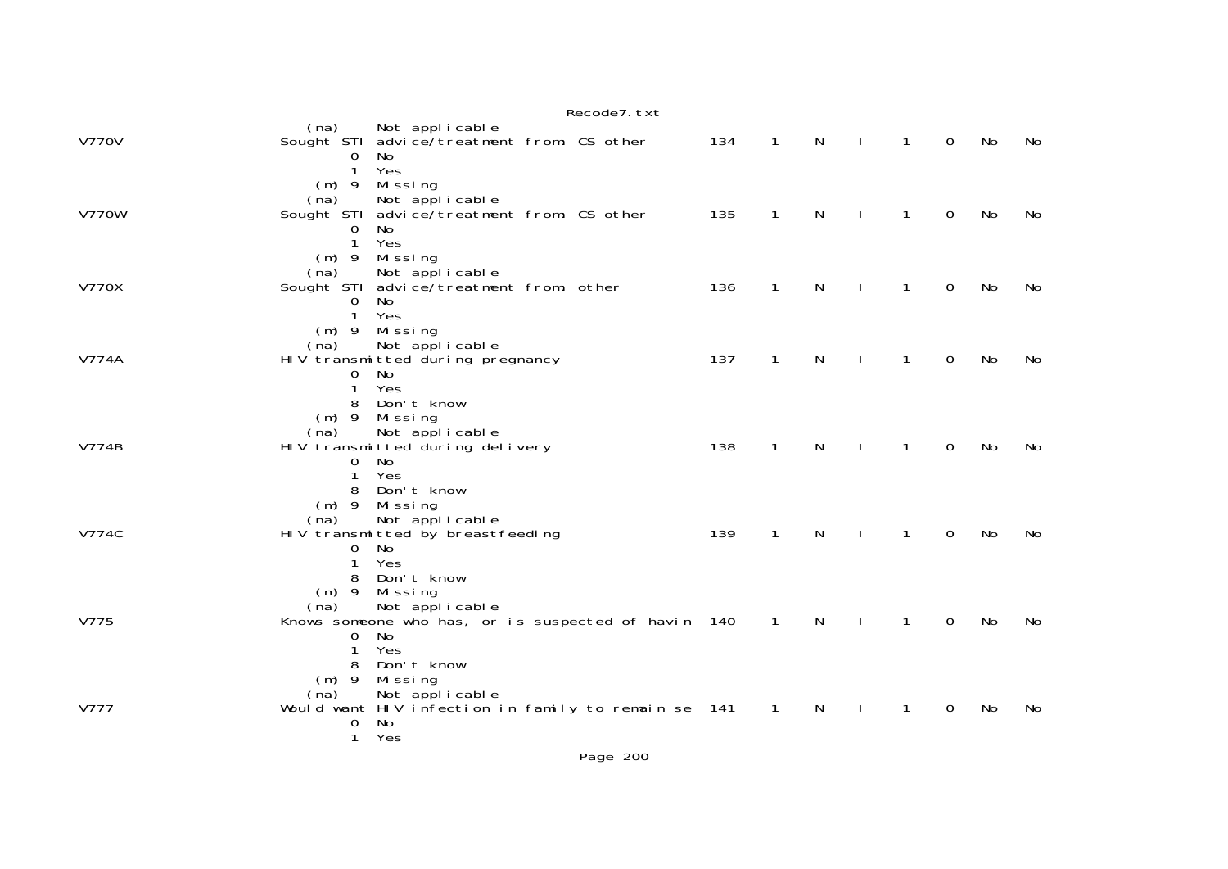|              | Recode7. txt                                                                                                                                               |     |                |              |                |                |             |           |    |
|--------------|------------------------------------------------------------------------------------------------------------------------------------------------------------|-----|----------------|--------------|----------------|----------------|-------------|-----------|----|
| <b>V770V</b> | Not applicable<br>(na)<br>Sought STI advice/treatment from: CS other<br>No<br>$\Omega$                                                                     | 134 | $\overline{1}$ | $\mathsf{N}$ | $\mathbf{I}$   | $\mathbf{1}$   | $\Omega$    | No        | No |
| <b>V770W</b> | Yes<br>$\mathbf{1}$<br>$(m)$ 9 Missing<br>Not applicable<br>(na)<br>Sought STI advice/treatment from: CS other<br>$\mathbf 0$<br>No<br>Yes<br>$\mathbf{1}$ | 135 | $\mathbf{1}$   | N            |                | $\mathbf{1}$   | $\mathbf 0$ | No        | No |
| <b>V770X</b> | $(m)$ 9<br>Missing<br>(na)<br>Not applicable<br>Sought STI advice/treatment from: other<br>No<br>$\mathbf 0$<br>$\mathbf{1}$<br>Yes                        | 136 | $\mathbf{1}$   | N            |                | 1              | $\Omega$    | No        | No |
| <b>V774A</b> | (m) 9 Missing<br>Not applicable<br>(na)<br>HIV transmitted during pregnancy<br>No<br>0<br>1<br>Yes                                                         | 137 | $\mathbf{1}$   | N            | $\mathbf{I}$   | $\mathbf{1}$   | $\mathbf 0$ | No        | No |
| V774B        | 8 Don't know<br>$(m)$ 9 Missing<br>Not applicable<br>(na)<br>HIV transmitted during delivery<br>No<br>$\mathbf{O}$<br>Yes<br>$\mathbf{1}$                  | 138 | $\mathbf{1}$   | N            | $\blacksquare$ | $\overline{1}$ | $\mathbf 0$ | No        | No |
| V774C        | Don't know<br>8<br>$(m)$ 9 Missing<br>Not applicable<br>(na)<br>HIV transmitted by breastfeeding<br>No<br>$\mathbf 0$<br>$\mathbf{1}$<br>Yes               | 139 | $\mathbf{1}$   | N            | $\mathbf{I}$   | $\overline{1}$ | $\mathbf 0$ | No        | No |
| V775         | Don't know<br>8<br>$(m)$ 9 Missing<br>Not applicable<br>(na)<br>Knows someone who has, or is suspected of havin 140<br>No<br>$\mathbf{O}$<br>Yes<br>1      |     | $\overline{1}$ | $\mathsf{N}$ | $\sim$ 1       | $\overline{1}$ | $\mathbf 0$ | No        | No |
| V777         | Don't know<br>8<br>$(m)$ 9<br>Missing<br>Not applicable<br>(na)<br>Would want HIV infection in family to remain se 141<br>No<br>0<br>Yes<br>$\mathbf{1}$   |     | $\mathbf{1}$   | N            |                | $\mathbf{1}$   | 0           | <b>No</b> | No |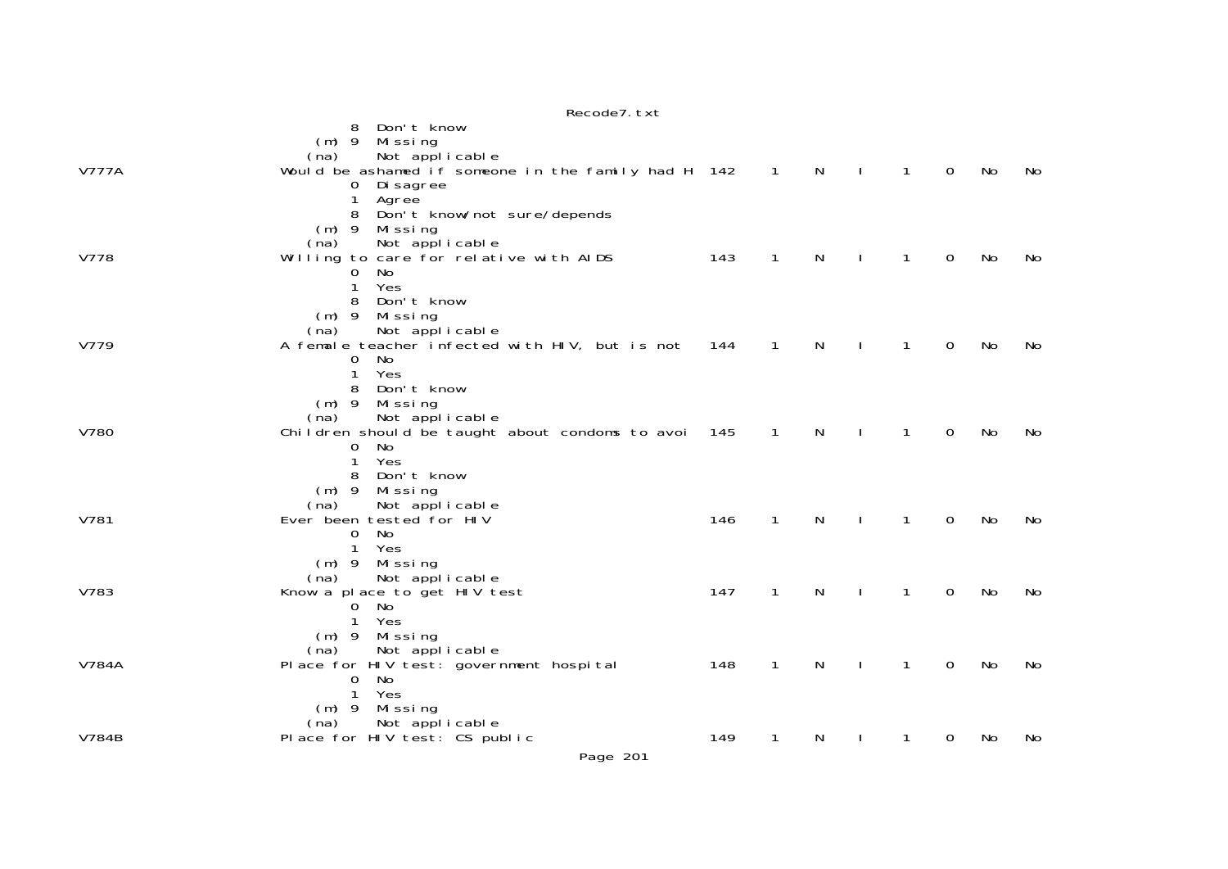|              | Recode7. txt                                                       |     |                            |              |                |              |             |    |    |
|--------------|--------------------------------------------------------------------|-----|----------------------------|--------------|----------------|--------------|-------------|----|----|
|              | Don't know<br>8                                                    |     |                            |              |                |              |             |    |    |
|              | Mi ssi ng<br>$(m)$ 9                                               |     |                            |              |                |              |             |    |    |
|              | Not applicable<br>(na)                                             |     |                            |              |                |              |             |    |    |
| <b>V777A</b> | Would be ashamed if someone in the family had H 142<br>0 Di sagree |     | $\overline{\phantom{1}}$ 1 | $\mathsf{N}$ | $\mathbf{I}$   | $\mathbf{1}$ | $\mathbf 0$ | No | No |
|              | Agree<br>1                                                         |     |                            |              |                |              |             |    |    |
|              | Don't know/not sure/depends                                        |     |                            |              |                |              |             |    |    |
|              | Missing<br>$(m)$ 9                                                 |     |                            |              |                |              |             |    |    |
|              | Not applicable<br>(na)                                             |     |                            |              |                |              |             |    |    |
| V778         | Willing to care for relative with AIDS                             | 143 | $\mathbf{1}$               | N            | $\mathbf{I}$   | $\mathbf{1}$ | 0           | No | No |
|              | No<br>0<br>1<br>Yes                                                |     |                            |              |                |              |             |    |    |
|              | Don't know<br>8                                                    |     |                            |              |                |              |             |    |    |
|              | $(m)$ 9 Missing                                                    |     |                            |              |                |              |             |    |    |
|              | Not applicable<br>(na)                                             |     |                            |              |                |              |             |    |    |
| V779         | A female teacher infected with HIV, but is not                     | 144 | $\mathbf{1}$               | N            | $\mathbf{I}$   | $\mathbf{1}$ | $\mathbf 0$ | No | No |
|              | $\mathbf{O}$<br>No                                                 |     |                            |              |                |              |             |    |    |
|              | $\mathbf{1}$<br>Yes<br>Don't know<br>8                             |     |                            |              |                |              |             |    |    |
|              | (m) 9 Missing                                                      |     |                            |              |                |              |             |    |    |
|              | Not applicable<br>(na)                                             |     |                            |              |                |              |             |    |    |
| V780         | Children should be taught about condoms to avoi 145                |     | $\overline{1}$             | N            | $\blacksquare$ | $\mathbf{1}$ | 0           | No | No |
|              | No<br>$\mathbf{O}$                                                 |     |                            |              |                |              |             |    |    |
|              | 1<br>Yes                                                           |     |                            |              |                |              |             |    |    |
|              | Don't know<br>8<br>$(m)$ 9 Missing                                 |     |                            |              |                |              |             |    |    |
|              | Not applicable<br>(na)                                             |     |                            |              |                |              |             |    |    |
| V781         | Ever been tested for HIV                                           | 146 | $\mathbf{1}$               | N            | $\mathbf{I}$   | $\mathbf{1}$ | $\mathbf 0$ | No | No |
|              | No<br>$\mathbf{O}$                                                 |     |                            |              |                |              |             |    |    |
|              | 1<br>Yes                                                           |     |                            |              |                |              |             |    |    |
|              | Mi ssi ng<br>$(m)$ 9                                               |     |                            |              |                |              |             |    |    |
| V783         | Not applicable<br>(na)<br>Know a place to get HIV test             | 147 | 1                          | N            | $\mathbf{I}$   | $\mathbf{1}$ | 0           | No | No |
|              | 0 No                                                               |     |                            |              |                |              |             |    |    |
|              | Yes<br>1                                                           |     |                            |              |                |              |             |    |    |
|              | $(m)$ 9<br>Missing                                                 |     |                            |              |                |              |             |    |    |
|              | Not applicable<br>(na)                                             |     |                            |              |                |              |             |    |    |
| V784A        | Place for HIV test: government hospital<br>No                      | 148 | 1                          | N            |                | $\mathbf{1}$ | 0           | No | No |
|              | 0<br>Yes<br>$\mathbf{1}$                                           |     |                            |              |                |              |             |    |    |
|              | Missing<br>$(m)$ 9                                                 |     |                            |              |                |              |             |    |    |
|              | Not applicable<br>(na)                                             |     |                            |              |                |              |             |    |    |
| <b>V784B</b> | Place for HIV test: CS public                                      | 149 | 1                          | N            | $\mathbf{I}$   | 1            | 0           | No | No |
|              |                                                                    |     |                            |              |                |              |             |    |    |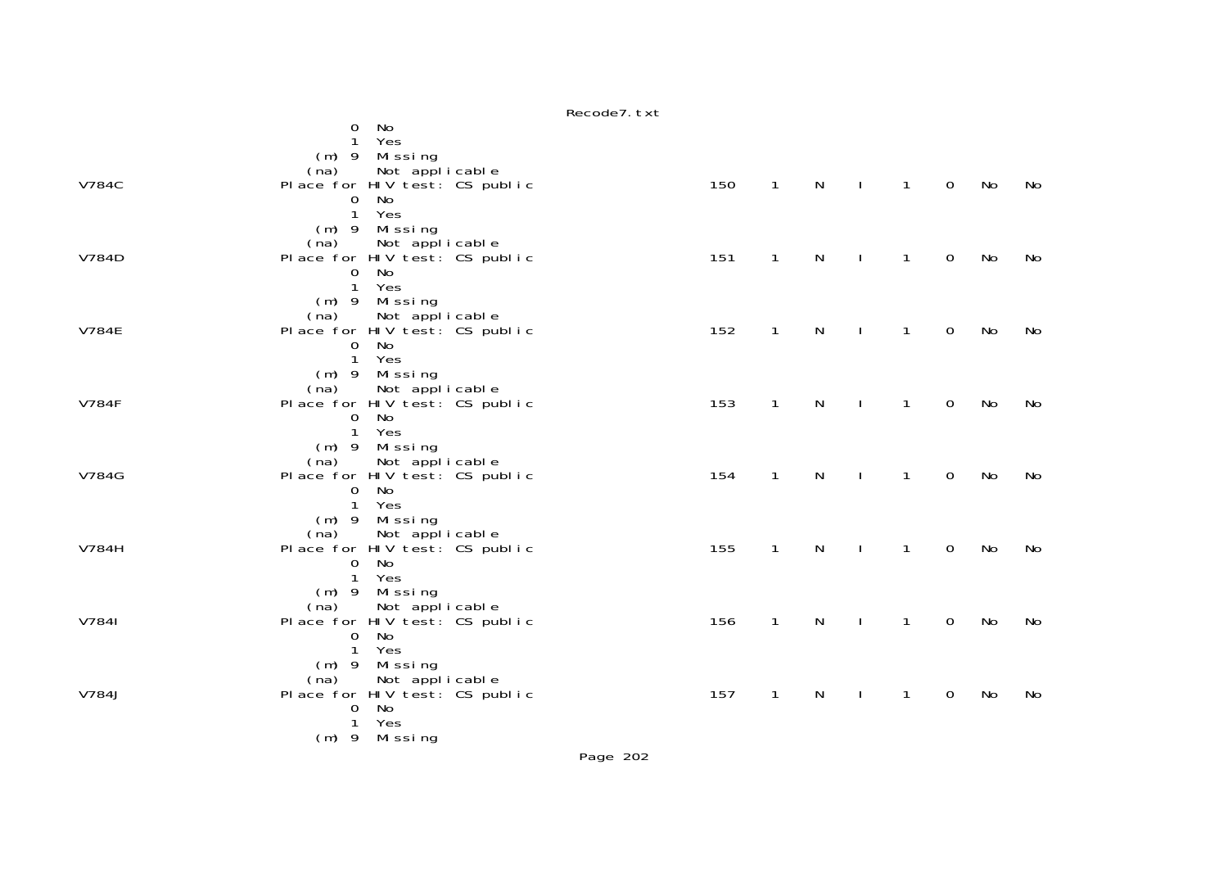|              | No<br>0<br>Yes<br>$\mathbf{1}$                          |     |              |              |                |                |                |    |    |
|--------------|---------------------------------------------------------|-----|--------------|--------------|----------------|----------------|----------------|----|----|
|              | (m) 9 Missing                                           |     |              |              |                |                |                |    |    |
| <b>V784C</b> | Not applicable<br>(na)<br>Place for HIV test: CS public | 150 | $\mathbf{1}$ | $\mathsf{N}$ | $\sim$ 1.      | $\sim$ 1       | $\overline{0}$ | No | No |
|              | 0 No                                                    |     |              |              |                |                |                |    |    |
|              | 1 Yes<br>(m) 9 Missing                                  |     |              |              |                |                |                |    |    |
|              | Not applicable<br>(na)                                  |     |              |              |                |                |                |    |    |
| V784D        | Place for HIV test: CS public<br>0 No                   | 151 | $\mathbf{1}$ | N            | $\mathbf{I}$   | $\mathbf{1}$   | $\mathbf 0$    | No | No |
|              | 1 Yes                                                   |     |              |              |                |                |                |    |    |
|              | $(m)$ 9 Missing<br>(na)                                 |     |              |              |                |                |                |    |    |
| <b>V784E</b> | Not applicable<br>Place for HIV test: CS public         | 152 | $\mathbf{1}$ | N            | $\mathbf{I}$   | $\mathbf{1}$   | $\overline{0}$ | No | No |
|              | No<br>$\mathbf 0$<br>1 Yes                              |     |              |              |                |                |                |    |    |
|              | $(m)$ 9 Missing                                         |     |              |              |                |                |                |    |    |
| <b>V784F</b> | (na) Not applicable<br>Place for HIV test: CS public    | 153 | $\mathbf{1}$ | $\mathsf{N}$ | $\sim$ 1       | $\overline{1}$ | $\overline{0}$ | No | No |
|              | 0 No                                                    |     |              |              |                |                |                |    |    |
|              | 1 Yes<br>$(m)$ 9 Missing                                |     |              |              |                |                |                |    |    |
|              | (na) Not applicable                                     |     |              |              |                |                |                |    |    |
| V784G        | Place for HIV test: CS public<br>No<br>$\mathbf{0}$     | 154 | $\mathbf{1}$ | N            | $\perp$        | $\mathbf{1}$   | $\mathbf 0$    | No | No |
|              | 1 Yes                                                   |     |              |              |                |                |                |    |    |
|              | (m) 9 Missing<br>(na) Not applicable                    |     |              |              |                |                |                |    |    |
| V784H        | Place for HIV test: CS public                           | 155 | $\mathbf{1}$ | N            | $\mathbf{L}$   | $\mathbf{1}$   | $\overline{0}$ | No | No |
|              | 0 No<br>1 Yes                                           |     |              |              |                |                |                |    |    |
|              | $(m)$ 9 Missing                                         |     |              |              |                |                |                |    |    |
| V7841        | (na) Not applicable<br>Place for HIV test: CS public    | 156 | $\mathbf{1}$ | $\mathsf{N}$ | $\blacksquare$ | $\mathbf{1}$   | $\overline{0}$ | No | No |
|              | 0 No<br>1 Yes                                           |     |              |              |                |                |                |    |    |
|              | (m) 9 Missing                                           |     |              |              |                |                |                |    |    |
| V784J        | (na) Not applicable<br>Place for HIV test: CS public    | 157 | $\mathbf{1}$ | N            | $\mathbf{L}$   | $\mathbf{1}$   | $\overline{0}$ | No | No |
|              | No<br>$\Omega$                                          |     |              |              |                |                |                |    |    |
|              | 1 Yes<br>$(m)$ 9 Missing                                |     |              |              |                |                |                |    |    |
|              |                                                         |     |              |              |                |                |                |    |    |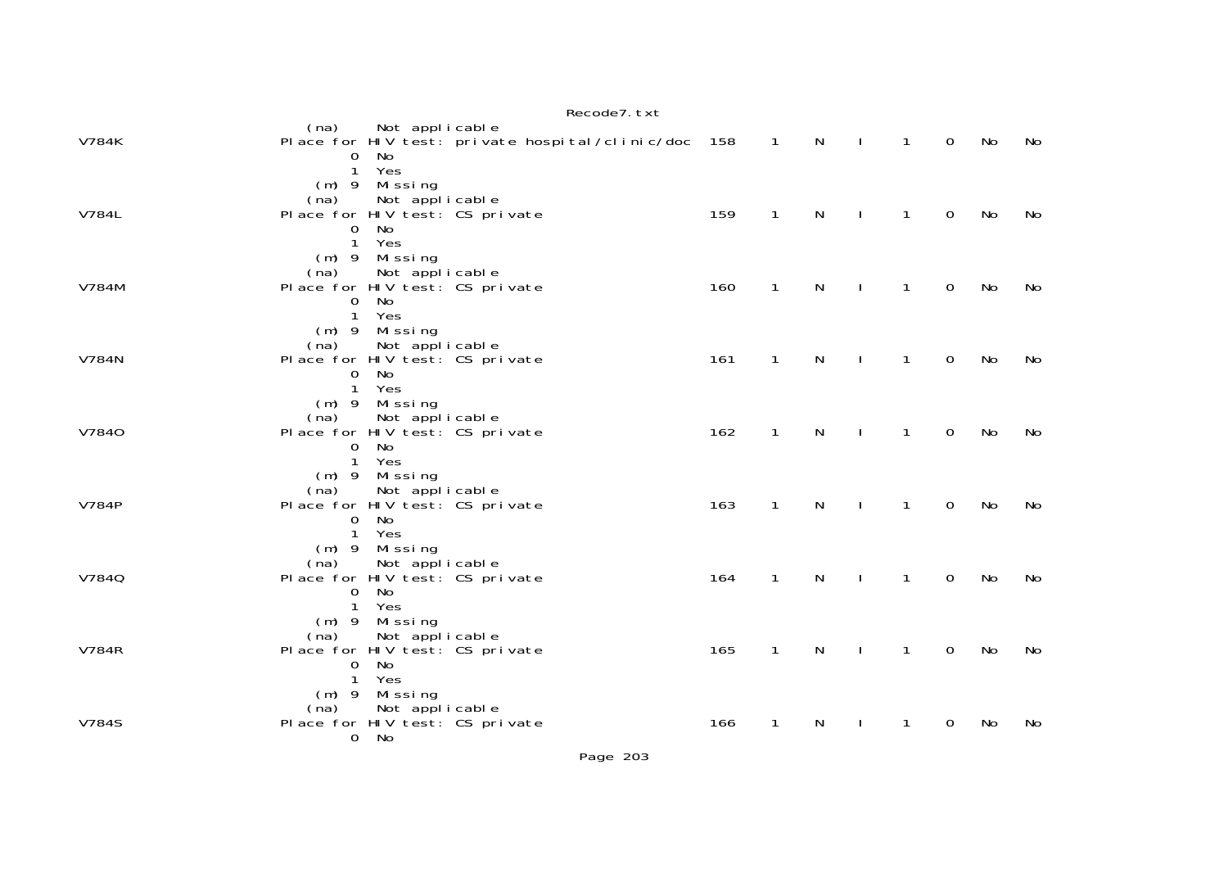|              | Recode7. txt                                                                                                                                 |     |                |              |              |                |                |    |     |
|--------------|----------------------------------------------------------------------------------------------------------------------------------------------|-----|----------------|--------------|--------------|----------------|----------------|----|-----|
| V784K        | (na)<br>Not applicable<br>Place for HIV test: private hospital/clinic/doc 158<br>$\mathbf{O}$<br>No                                          |     | $\overline{1}$ | $\mathbb N$  | $\sim$ 1.    | $\sim$ 1       | $\mathsf{O}$   | No | No  |
| V784L        | Yes<br>$\mathbf{1}$<br>(m) 9 Missing<br>Not applicable<br>(na)<br>Place for HIV test: CS private<br>$\mathbf 0$<br>No<br>$\mathbf{1}$<br>Yes | 159 | $\mathbf{1}$   | N            | $\mathbf{I}$ | $\overline{1}$ | $\mathbf 0$    | No | No  |
| V784M        | $(m)$ 9 Missing<br>Not applicable<br>(na)<br>Place for HIV test: CS private<br>No<br>$\overline{0}$<br>1 Yes                                 | 160 | $\mathbf{1}$   | N            | $\Box$       | $\mathbf{1}$   | $\mathbf 0$    | No | No  |
| V784N        | (m) 9 Missing<br>Not applicable<br>(na)<br>Place for HIV test: CS private<br>0 No<br>1 Yes                                                   | 161 | $\mathbf{1}$   | $\mathsf{N}$ | $\sim 1$     | $\overline{1}$ | $\mathbf 0$    | No | No  |
| V7840        | $(m)$ 9 Missing<br>(na)<br>Not applicable<br>Place for HIV test: CS private<br>No<br>$\mathbf{0}$<br>1 Yes                                   | 162 | $\mathbf{1}$   | $\mathsf{N}$ | $\Box$       | $\mathbf{1}$   | $\overline{0}$ | No | No  |
| <b>V784P</b> | (m) 9 Missing<br>Not applicable<br>(na)<br>Place for HIV test: CS private<br>No<br>$\mathbf 0$<br>$\mathbf{1}$<br>Yes                        | 163 | $\mathbf{1}$   | N            | $\mathbf{I}$ | $\overline{1}$ | $\mathbf 0$    | No | No  |
| V7840        | $(m)$ 9 Missing<br>(na) Not applicable<br>Place for HIV test: CS private<br>No<br>$\mathbf 0$<br>Yes<br>$\mathbf{1}$                         | 164 | $\mathbf{1}$   | N            | $\mathbf{L}$ | $\mathbf{1}$   | $\overline{0}$ | No | No  |
| <b>V784R</b> | $(m)$ 9 Missing<br>Not applicable<br>(na)<br>Place for HIV test: CS private<br>0 No<br>$\mathbf{1}$<br>Yes                                   | 165 | $\mathbf{1}$   | $\mathsf{N}$ | $\mathbf{I}$ | $\mathbf{1}$   | $\mathbf 0$    | No | No. |
| <b>V784S</b> | $(m)$ 9 Missing<br>Not applicable<br>(na)<br>Place for HIV test: CS private<br>0 No                                                          | 166 | $\mathbf{1}$   | N            | $\mathbf{L}$ | $\mathbf{1}$   | $\mathbf 0$    | No | No  |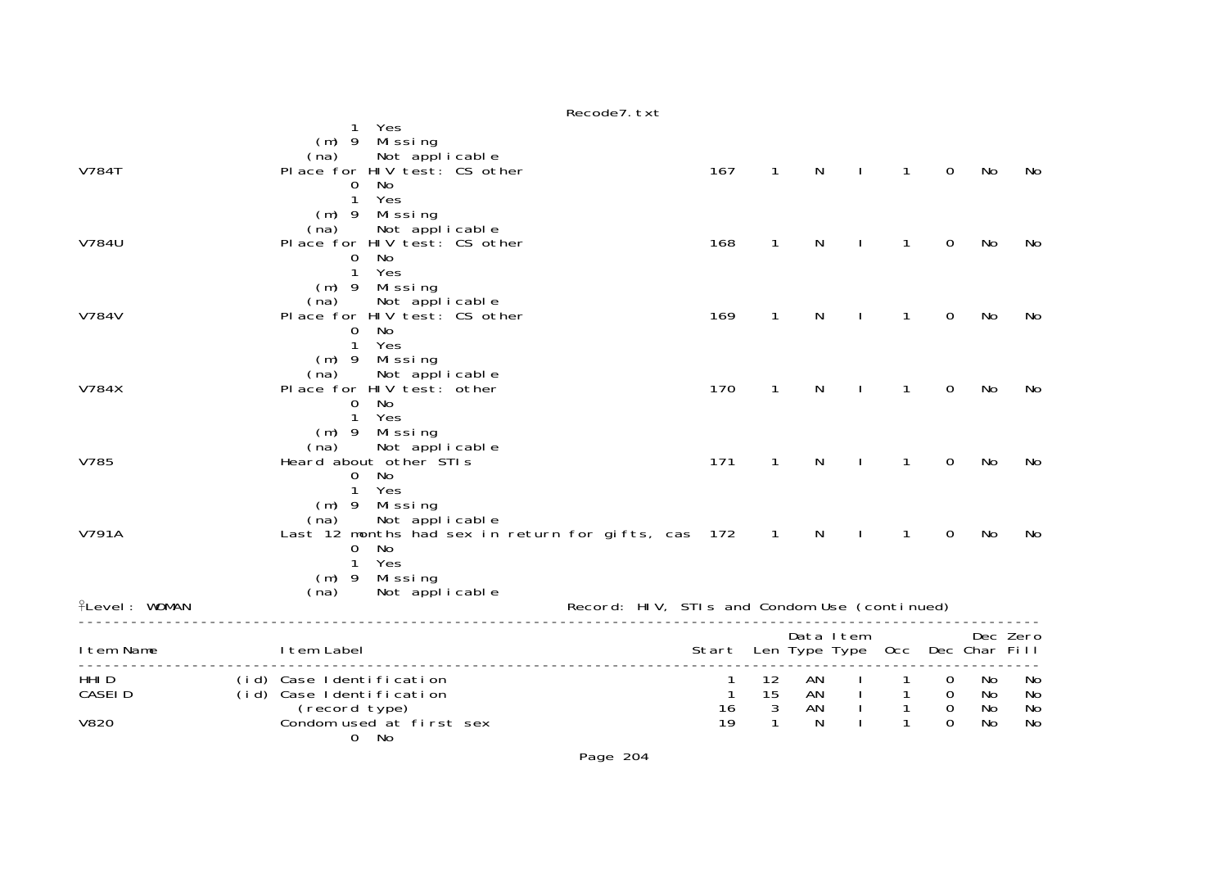|                                       |                                                                                                                                                                       | Recode7. txt                                 |                                        |                     |              |                                   |                                        |                      |                      |
|---------------------------------------|-----------------------------------------------------------------------------------------------------------------------------------------------------------------------|----------------------------------------------|----------------------------------------|---------------------|--------------|-----------------------------------|----------------------------------------|----------------------|----------------------|
| <b>V784T</b>                          | Yes<br>$(m)$ 9 Missing<br>(na) Not applicable<br>Place for HIV test: CS other<br>No<br>$\mathbf{O}$<br>$\mathbf{1}$<br>Yes<br>$(m)$ 9 Missing                         | 167                                          | $\mathbf{1}$                           | N                   | $\mathbf{I}$ | $\mathbf{1}$                      | $\mathbf 0$                            | No                   | No.                  |
| V784U                                 | Not applicable<br>(na)<br>Place for HIV test: CS other<br>No<br>$\mathbf{0}$<br>1 Yes                                                                                 | 168                                          | $\mathbf{1}$                           | N                   |              | $\mathbf{1}$                      | $\Omega$                               | No                   | No                   |
| V784V                                 | $(m)$ 9 Missing<br>Not applicable<br>(na)<br>Place for HIV test: CS other<br>$\mathbf 0$<br>No<br>1<br>Yes                                                            | 169                                          | $\mathbf{1}$                           | N                   |              | $\mathbf{1}$                      | $\mathbf 0$                            | No                   | No                   |
| V784X                                 | $(m)$ 9 Missing<br>Not applicable<br>(na)<br>Place for HIV test: other<br>No<br>0<br>$\mathbf{1}$<br>Yes                                                              | 170                                          | $\mathbf{1}$                           | N                   |              | 1                                 | $\mathbf{O}$                           | No                   | No                   |
| V785                                  | $(m)$ 9 Missing<br>Not applicable<br>(na)<br>Heard about other STIs<br>No<br>$\mathbf{0}$<br>$\mathbf{1}$<br>Yes                                                      | 171                                          | $\mathbf{1}$                           | N                   |              | $\mathbf{1}$                      | $\mathbf 0$                            | No                   | No                   |
| V791A                                 | Mi ssi ng<br>$(m)$ 9<br>Not applicable<br>(na)<br>Last 12 months had sex in return for gifts, cas 172<br>$\mathbf{O}$<br>No<br>Yes<br>$\mathbf{1}$<br>$(m)$ 9 Missing |                                              | $\overline{1}$                         | N                   |              | 1                                 | $\mathbf{O}$                           | No                   | No                   |
| <b>flevel: WOMAN</b>                  | Not applicable<br>(na)                                                                                                                                                | Record: HIV, STIs and Condom Use (continued) |                                        |                     |              |                                   |                                        |                      |                      |
| I tem Name                            | I tem Label                                                                                                                                                           | Start Len Type Type Occ Dec Char Fill        |                                        | Data I tem          |              |                                   |                                        |                      | Dec Zero             |
| HHI D<br><b>CASEID</b><br><b>V820</b> | (id) Case Identification<br>(id) Case Identification<br>(record type)<br>Condom used at first sex<br>0 No                                                             | $\mathbf{1}$<br>16<br>19                     | 12<br>15<br>$\sqrt{3}$<br>$\mathbf{1}$ | AN<br>AN<br>AN<br>N |              | $\mathbf{1}$<br>$\mathbf{1}$<br>1 | 0<br>0<br>$\boldsymbol{0}$<br>$\Omega$ | No<br>No<br>No<br>No | No<br>No<br>No<br>No |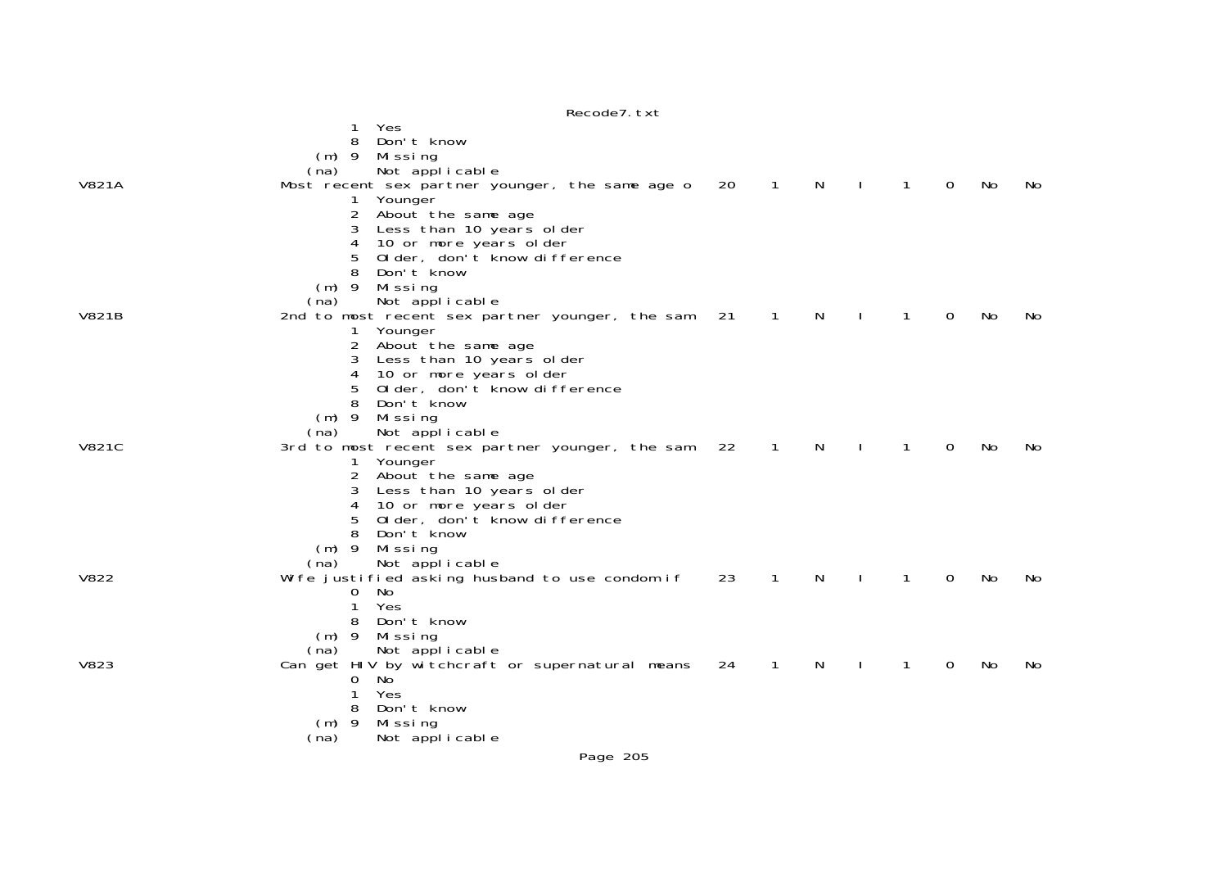|              | Yes<br>1                                        |    |              |   |              |                |    |     |
|--------------|-------------------------------------------------|----|--------------|---|--------------|----------------|----|-----|
|              | 8<br>Don't know                                 |    |              |   |              |                |    |     |
|              | $(m)$ 9<br>Mi ssi ng                            |    |              |   |              |                |    |     |
|              | Not applicable<br>(na)                          |    |              |   |              |                |    |     |
| <b>V821A</b> |                                                 | 20 | 1            | N |              | $\overline{0}$ | No | No. |
|              | Most recent sex partner younger, the same age o |    |              |   | 1            |                |    |     |
|              | Younger                                         |    |              |   |              |                |    |     |
|              | 2<br>About the same age                         |    |              |   |              |                |    |     |
|              | Less than 10 years older                        |    |              |   |              |                |    |     |
|              | 10 or more years older<br>4                     |    |              |   |              |                |    |     |
|              | Older, don't know difference                    |    |              |   |              |                |    |     |
|              | 8<br>Don't know                                 |    |              |   |              |                |    |     |
|              | $(m)$ 9<br>Missing                              |    |              |   |              |                |    |     |
|              | Not applicable<br>(na)                          |    |              |   |              |                |    |     |
| V821B        | 2nd to most recent sex partner younger, the sam | 21 | 1            | N | 1            | 0              | No | No. |
|              | Younger                                         |    |              |   |              |                |    |     |
|              | About the same age<br>2                         |    |              |   |              |                |    |     |
|              | 3<br>Less than 10 years older                   |    |              |   |              |                |    |     |
|              | 10 or more years older<br>4                     |    |              |   |              |                |    |     |
|              | Older, don't know difference<br>5               |    |              |   |              |                |    |     |
|              | 8<br>Don't know                                 |    |              |   |              |                |    |     |
|              |                                                 |    |              |   |              |                |    |     |
|              | $(m)$ 9<br>Missing                              |    |              |   |              |                |    |     |
|              | (na)<br>Not applicable                          |    |              |   |              |                |    |     |
| <b>V821C</b> | 3rd to most recent sex partner younger, the sam | 22 | 1            | N |              | 0              | No | No. |
|              | 1 Younger                                       |    |              |   |              |                |    |     |
|              | 2<br>About the same age                         |    |              |   |              |                |    |     |
|              | Less than 10 years older<br>3                   |    |              |   |              |                |    |     |
|              | 4<br>10 or more years older                     |    |              |   |              |                |    |     |
|              | Older, don't know difference<br>5               |    |              |   |              |                |    |     |
|              | 8<br>Don't know                                 |    |              |   |              |                |    |     |
|              | $(m)$ 9<br>Missing                              |    |              |   |              |                |    |     |
|              | (na)<br>Not applicable                          |    |              |   |              |                |    |     |
| V822         | Wife justified asking husband to use condom if  | 23 | $\mathbf{1}$ | N | $\mathbf{1}$ | $\mathbf 0$    | No | No  |
|              | No<br>0                                         |    |              |   |              |                |    |     |
|              | Yes                                             |    |              |   |              |                |    |     |
|              | 8<br>Don't know                                 |    |              |   |              |                |    |     |
|              | $(m)$ 9<br>Mi ssi ng                            |    |              |   |              |                |    |     |
|              | (na)<br>Not applicable                          |    |              |   |              |                |    |     |
| <b>V823</b>  | Can get HIV by witchcraft or supernatural means | 24 | 1            | N | 1            | 0              | No | No  |
|              | 0<br>- No                                       |    |              |   |              |                |    |     |
|              | Yes                                             |    |              |   |              |                |    |     |
|              | Don't know<br>8                                 |    |              |   |              |                |    |     |
|              | - 9                                             |    |              |   |              |                |    |     |
|              | Missing<br>(m)                                  |    |              |   |              |                |    |     |
|              | Not applicable<br>(na)                          |    |              |   |              |                |    |     |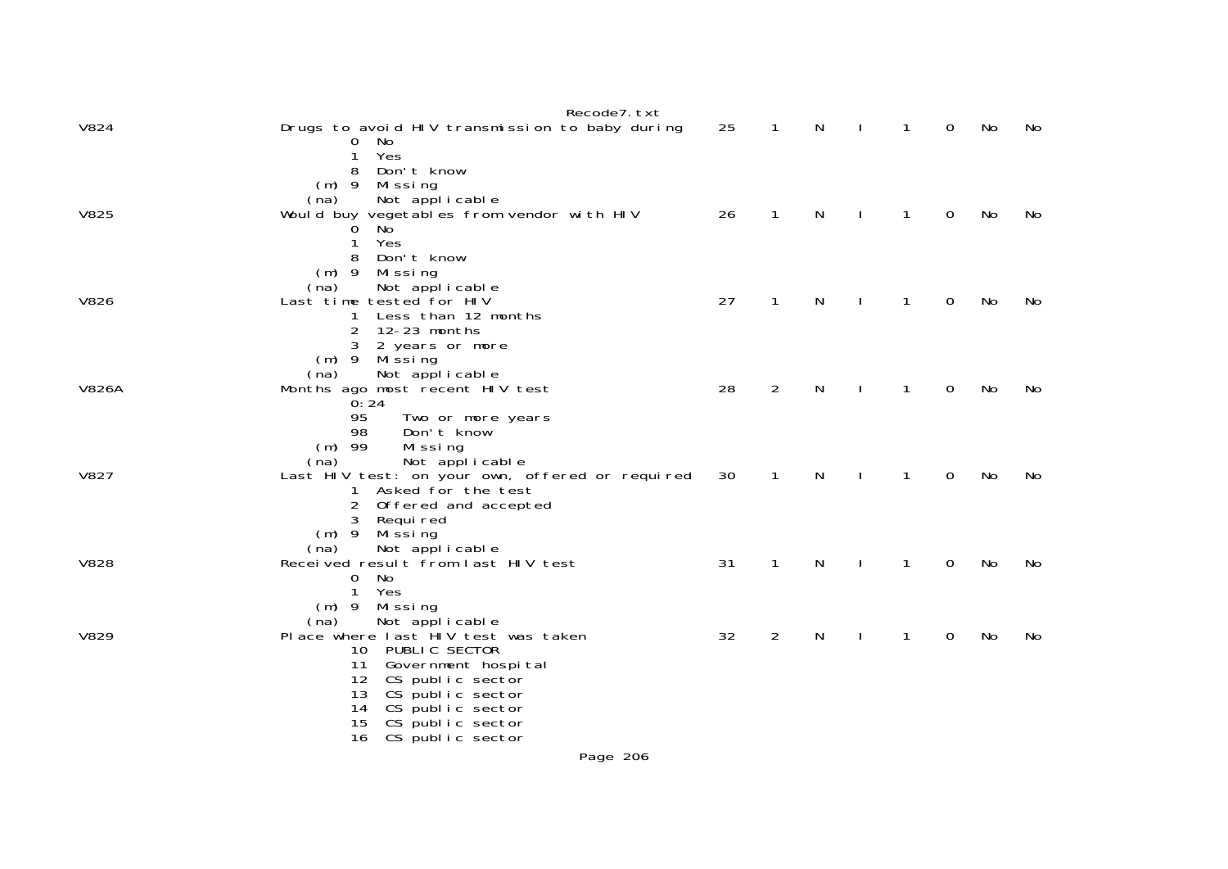| <b>V824</b>  | Recode7. txt<br>Drugs to avoid HIV transmission to baby during<br>0 No                                                                                                                                                                                           | 25 | $\mathbf{1}$   | N | $\mathbf{I}$ | $\mathbf{1}$ | $\mathbf 0$ | No | No |
|--------------|------------------------------------------------------------------------------------------------------------------------------------------------------------------------------------------------------------------------------------------------------------------|----|----------------|---|--------------|--------------|-------------|----|----|
| V825         | Yes<br>$\mathbf{1}$<br>Don't know<br>8<br>Missing<br>$(m)$ 9<br>Not applicable<br>(na)<br>Would buy vegetables from vendor with HIV<br>No<br>0<br>Yes<br>1                                                                                                       | 26 | 1              | N |              | 1            | 0           | No | No |
| V826         | Don't know<br>$(m)$ 9<br>Missing<br>(na)<br>Not applicable<br>Last time tested for HIV<br>Less than 12 months<br>1<br>2<br>12-23 months<br>2 years or more<br>3                                                                                                  | 27 | 1              | N |              | 1            | 0           | No | No |
| <b>V826A</b> | (m) 9 Missing<br>Not applicable<br>(na)<br>Months ago most recent HIV test<br>0:24<br>95<br>Two or more years<br>Don't know<br>98                                                                                                                                | 28 | $\overline{2}$ | N |              | 1            | 0           | No | No |
| <b>V827</b>  | $(m)$ 99<br>Missing<br>Not applicable<br>(na)<br>Last HIV test: on your own, offered or required<br>1 Asked for the test<br>$\overline{2}$<br>Offered and accepted<br>Requi red<br>3                                                                             | 30 | $\mathbf{1}$   | N |              | $\mathbf{1}$ | 0           | No | No |
| <b>V828</b>  | Mi ssi ng<br>$(m)$ 9<br>Not applicable<br>(na)<br>Received result from last HIV test<br>0 No<br>$\mathbf{1}$<br>Yes                                                                                                                                              | 31 | $\mathbf{1}$   | N |              | 1            | 0           | No | No |
| V829         | $(m)$ 9 Missing<br>Not applicable<br>(na)<br>Place where last HIV test was taken<br>10 PUBLIC SECTOR<br>11<br>Government hospital<br>12 CS public sector<br>CS public sector<br>13<br>CS public sector<br>14<br>CS public sector<br>15<br>CS public sector<br>16 | 32 | $\overline{2}$ | N |              | 1            | 0           | No | No |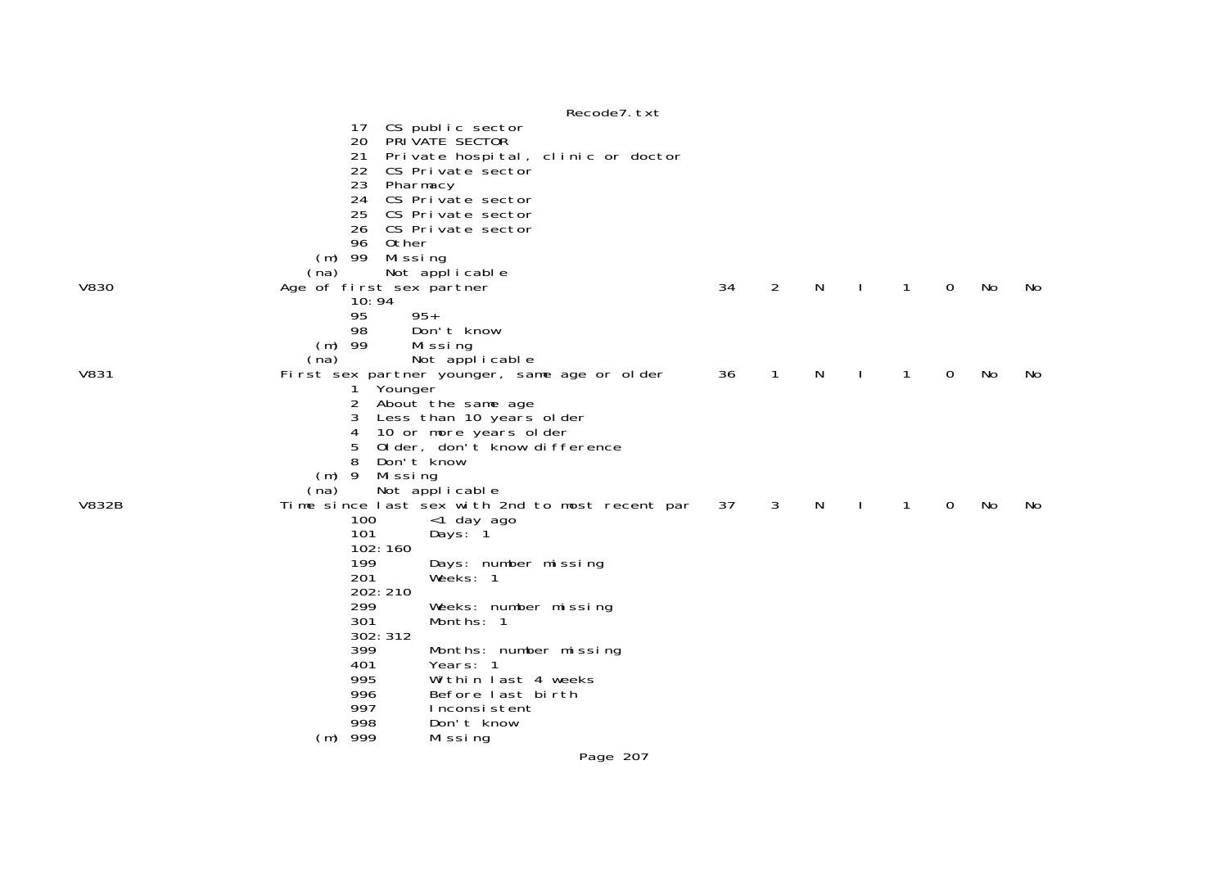|              |                                                                                                                                                                                                                   | Recode7. txt                                                            |    |              |    |              |              |             |    |     |
|--------------|-------------------------------------------------------------------------------------------------------------------------------------------------------------------------------------------------------------------|-------------------------------------------------------------------------|----|--------------|----|--------------|--------------|-------------|----|-----|
|              | CS public sector<br>17<br>20 PRIVATE SECTOR<br>21<br>22 CS Private sector<br>23<br>Pharmacy<br>24<br>CS Private sector<br>25<br>CS Private sector<br>26 CS Private sector<br>96<br>Other<br>$(m)$ 99<br>Mi ssi ng | Private hospital, clinic or doctor                                      |    |              |    |              |              |             |    |     |
|              | Not applicable<br>(na)                                                                                                                                                                                            |                                                                         |    |              |    |              |              |             |    |     |
| <b>V830</b>  | Age of first sex partner<br>10:94<br>$95+$<br>95<br>98<br>Don't know                                                                                                                                              |                                                                         | 34 | 2            | N. | $\mathbf{I}$ | 1            | $\Omega$    | No | No. |
|              | $(m)$ 99<br>Missing                                                                                                                                                                                               |                                                                         |    |              |    |              |              |             |    |     |
| <b>V831</b>  | (na)<br>Not applicable<br>First sex partner younger, same age or older<br>Younger<br>1                                                                                                                            |                                                                         | 36 | $\mathbf{1}$ | N. | $\mathbf{I}$ | 1            | $\mathbf 0$ | No | No  |
|              | 2<br>About the same age<br>3<br>4<br>10 or more years older<br>5<br>8<br>Don't know<br>$(m)$ 9<br>Missing                                                                                                         | Less than 10 years older<br>Older, don't know difference                |    |              |    |              |              |             |    |     |
| <b>V832B</b> | Not applicable<br>(na)                                                                                                                                                                                            | Time since last sex with 2nd to most recent par                         | 37 | $\mathbf{3}$ | N  | $\mathbf{I}$ | $\mathbf{1}$ | $\Omega$    | No | No  |
|              | 100<br><1 day ago<br>101<br>Days: 1<br>102:160<br>199<br>201<br>Weeks: 1<br>202: 210<br>299<br>301<br>Months: 1<br>302: 312<br>399<br>401<br>Years: 1                                                             | Days: number missing<br>Weeks: number missing<br>Months: number missing |    |              |    |              |              |             |    |     |
|              | 995<br>996<br>997                                                                                                                                                                                                 | Within last 4 weeks<br>Before last birth<br>Inconsistent                |    |              |    |              |              |             |    |     |
|              | 998<br>Don't know                                                                                                                                                                                                 |                                                                         |    |              |    |              |              |             |    |     |
|              | $(m)$ 999<br>Mi ssi ng                                                                                                                                                                                            | <b>D. 007</b>                                                           |    |              |    |              |              |             |    |     |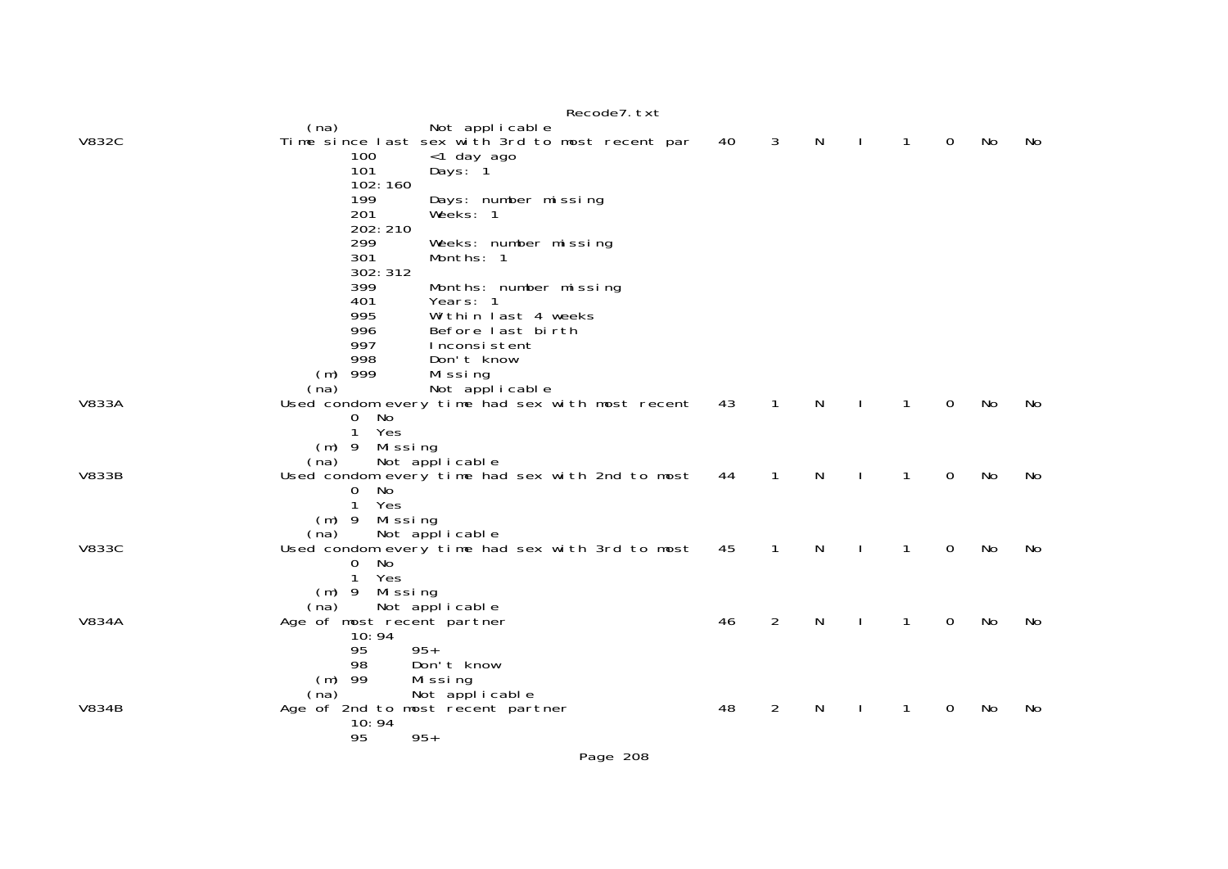|              |                                        | Recode7. txt                                                      |    |              |    |              |              |    |     |
|--------------|----------------------------------------|-------------------------------------------------------------------|----|--------------|----|--------------|--------------|----|-----|
| <b>V832C</b> | (na)                                   | Not applicable<br>Time since last sex with 3rd to most recent par | 40 | 3            | N  | 1            | $\mathbf{O}$ | No | No. |
|              | 100                                    | <1 day ago                                                        |    |              |    |              |              |    |     |
|              | 101                                    | Days: 1                                                           |    |              |    |              |              |    |     |
|              | 102:160                                |                                                                   |    |              |    |              |              |    |     |
|              | 199<br>201                             | Days: number missing<br>Weeks: 1                                  |    |              |    |              |              |    |     |
|              | 202: 210                               |                                                                   |    |              |    |              |              |    |     |
|              | 299                                    | Weeks: number missing                                             |    |              |    |              |              |    |     |
|              | 301                                    | Months: 1                                                         |    |              |    |              |              |    |     |
|              | 302: 312                               |                                                                   |    |              |    |              |              |    |     |
|              | 399                                    | Months: number missing                                            |    |              |    |              |              |    |     |
|              | 401<br>995                             | Years: 1<br>Within last 4 weeks                                   |    |              |    |              |              |    |     |
|              | 996                                    | Before last birth                                                 |    |              |    |              |              |    |     |
|              | 997                                    | Inconsistent                                                      |    |              |    |              |              |    |     |
|              | 998                                    | Don't know                                                        |    |              |    |              |              |    |     |
|              | $(m)$ 999                              | Mi ssi ng                                                         |    |              |    |              |              |    |     |
|              | (na)                                   | Not applicable                                                    |    |              |    |              |              |    |     |
| <b>V833A</b> | No<br>$\mathbf{O}$                     | Used condom every time had sex with most recent                   | 43 | 1            | N  | 1            | $\Omega$     | No | No  |
|              | Yes<br>1                               |                                                                   |    |              |    |              |              |    |     |
|              | Mi ssi ng<br>$(m)$ 9                   |                                                                   |    |              |    |              |              |    |     |
|              | (na)                                   | Not applicable                                                    |    |              |    |              |              |    |     |
| <b>V833B</b> |                                        | Used condom every time had sex with 2nd to most                   | 44 | 1            | N. | 1            | $\Omega$     | No | No  |
|              | 0<br>No                                |                                                                   |    |              |    |              |              |    |     |
|              | $\mathbf{1}$<br>Yes<br>$(m)$ 9 Missing |                                                                   |    |              |    |              |              |    |     |
|              | (na)                                   | Not applicable                                                    |    |              |    |              |              |    |     |
| <b>V833C</b> |                                        | Used condom every time had sex with 3rd to most                   | 45 | $\mathbf{1}$ | N  | 1            | 0            | No | No  |
|              | No<br>0                                |                                                                   |    |              |    |              |              |    |     |
|              | 1<br>Yes                               |                                                                   |    |              |    |              |              |    |     |
|              | Missing<br>$(m)$ 9                     |                                                                   |    |              |    |              |              |    |     |
| <b>V834A</b> | (na)<br>Age of most recent partner     | Not applicable                                                    | 46 | 2            | N  | $\mathbf{1}$ | $\Omega$     | No | No  |
|              | 10:94                                  |                                                                   |    |              |    |              |              |    |     |
|              | 95                                     | $95+$                                                             |    |              |    |              |              |    |     |
|              | 98                                     | Don't know                                                        |    |              |    |              |              |    |     |
|              | 99<br>(m)                              | Missing                                                           |    |              |    |              |              |    |     |
|              | (na)                                   | Not applicable                                                    |    |              |    |              |              |    |     |
| <b>V834B</b> | 10:94                                  | Age of 2nd to most recent partner                                 | 48 | 2            | N  | 1            | 0            | No | No  |
|              | 95                                     | $95+$                                                             |    |              |    |              |              |    |     |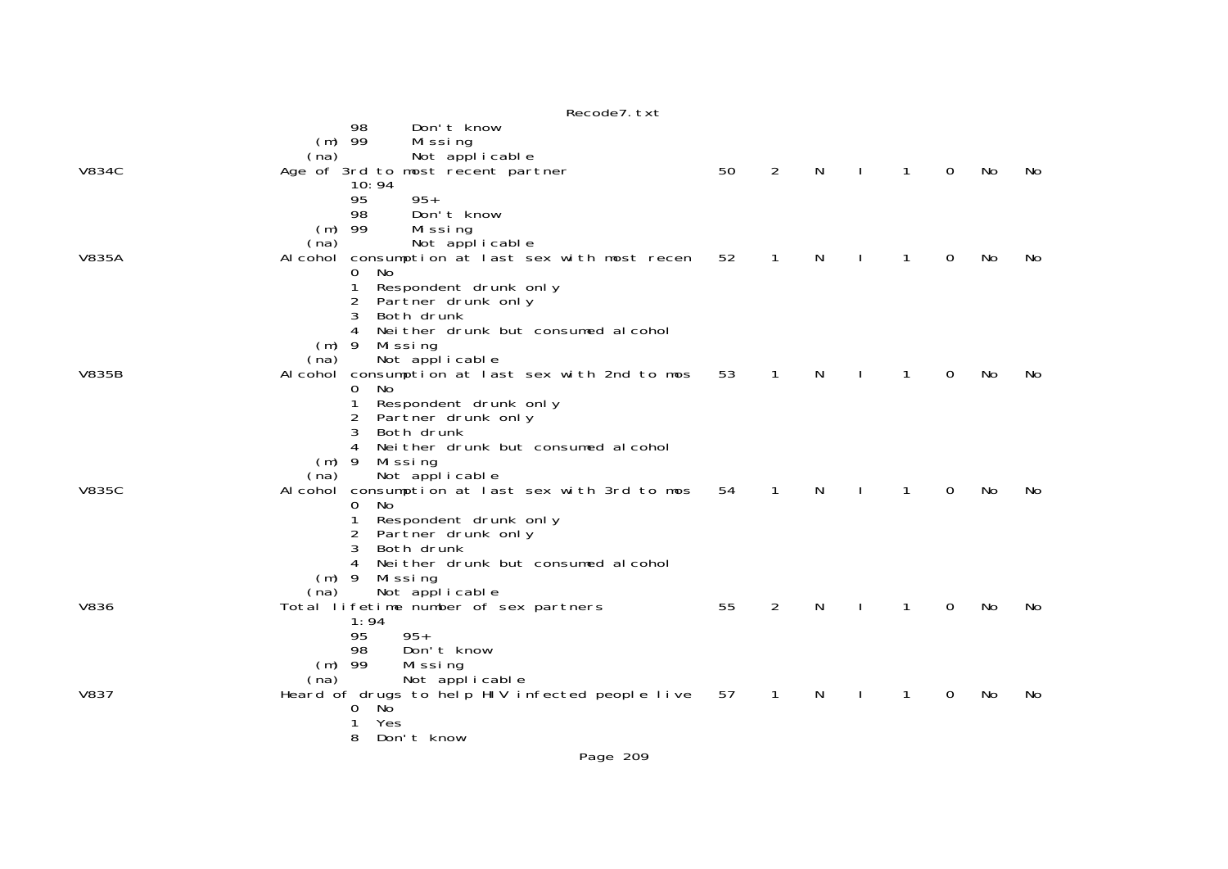|              | Recode7. txt                                                              |    |              |   |              |   |           |    |
|--------------|---------------------------------------------------------------------------|----|--------------|---|--------------|---|-----------|----|
|              | 98<br>Don't know<br>$(m)$ 99<br>Missing                                   |    |              |   |              |   |           |    |
| <b>V834C</b> | Not applicable<br>(na)<br>Age of 3rd to most recent partner               | 50 | 2            | N | $\mathbf{1}$ | 0 | No        | No |
|              | 10:94                                                                     |    |              |   |              |   |           |    |
|              | $95+$<br>95<br>Don't know<br>98                                           |    |              |   |              |   |           |    |
|              | $(m)$ 99<br>Missing<br>Not applicable<br>(na)                             |    |              |   |              |   |           |    |
| <b>V835A</b> | Alcohol consumption at last sex with most recen                           | 52 | $\mathbf{1}$ | N | $\mathbf{1}$ | 0 | No        | No |
|              | No<br>0<br>1<br>Respondent drunk only                                     |    |              |   |              |   |           |    |
|              | 2<br>Partner drunk only<br>3<br>Both drunk                                |    |              |   |              |   |           |    |
|              | Nei ther drunk but consumed al cohol<br>4                                 |    |              |   |              |   |           |    |
|              | $(m)$ 9<br>Missing<br>Not applicable<br>(na)                              |    |              |   |              |   |           |    |
| <b>V835B</b> | Alcohol consumption at last sex with 2nd to mos<br>No<br>0                | 53 | 1            | N | 1            | 0 | No        | No |
|              | 1<br>Respondent drunk only                                                |    |              |   |              |   |           |    |
|              | 2<br>Partner drunk only<br>3<br>Both drunk                                |    |              |   |              |   |           |    |
|              | Nei ther drunk but consumed al cohol<br>4<br>$(m)$ 9<br>Mi ssi ng         |    |              |   |              |   |           |    |
|              | Not applicable<br>(na)                                                    |    |              |   |              |   |           |    |
| <b>V835C</b> | Alcohol consumption at last sex with 3rd to mos<br>0<br>No                | 54 | 1            | N | $\mathbf 1$  | 0 | No        | No |
|              | Respondent drunk only<br>1                                                |    |              |   |              |   |           |    |
|              | 2<br>Partner drunk only<br>3<br>Both drunk                                |    |              |   |              |   |           |    |
|              | Nei ther drunk but consumed al cohol<br>4<br>$(m)$ 9<br>Missing           |    |              |   |              |   |           |    |
|              | Not applicable<br>(na)                                                    |    |              |   |              |   |           |    |
| <b>V836</b>  | Total lifetime number of sex partners<br>1:94                             | 55 | 2            | N | $\mathbf{1}$ | 0 | No        | No |
|              | $95+$<br>95<br>Don't know<br>98                                           |    |              |   |              |   |           |    |
|              | $(m)$ 99<br>Missing                                                       |    |              |   |              |   |           |    |
| <b>V837</b>  | Not applicable<br>(na)<br>Heard of drugs to help HIV infected people live | 57 | $\mathbf{1}$ | N | $\mathbf{1}$ | 0 | <b>No</b> | No |
|              | No<br>0<br>Yes                                                            |    |              |   |              |   |           |    |
|              | 8<br>Don't know                                                           |    |              |   |              |   |           |    |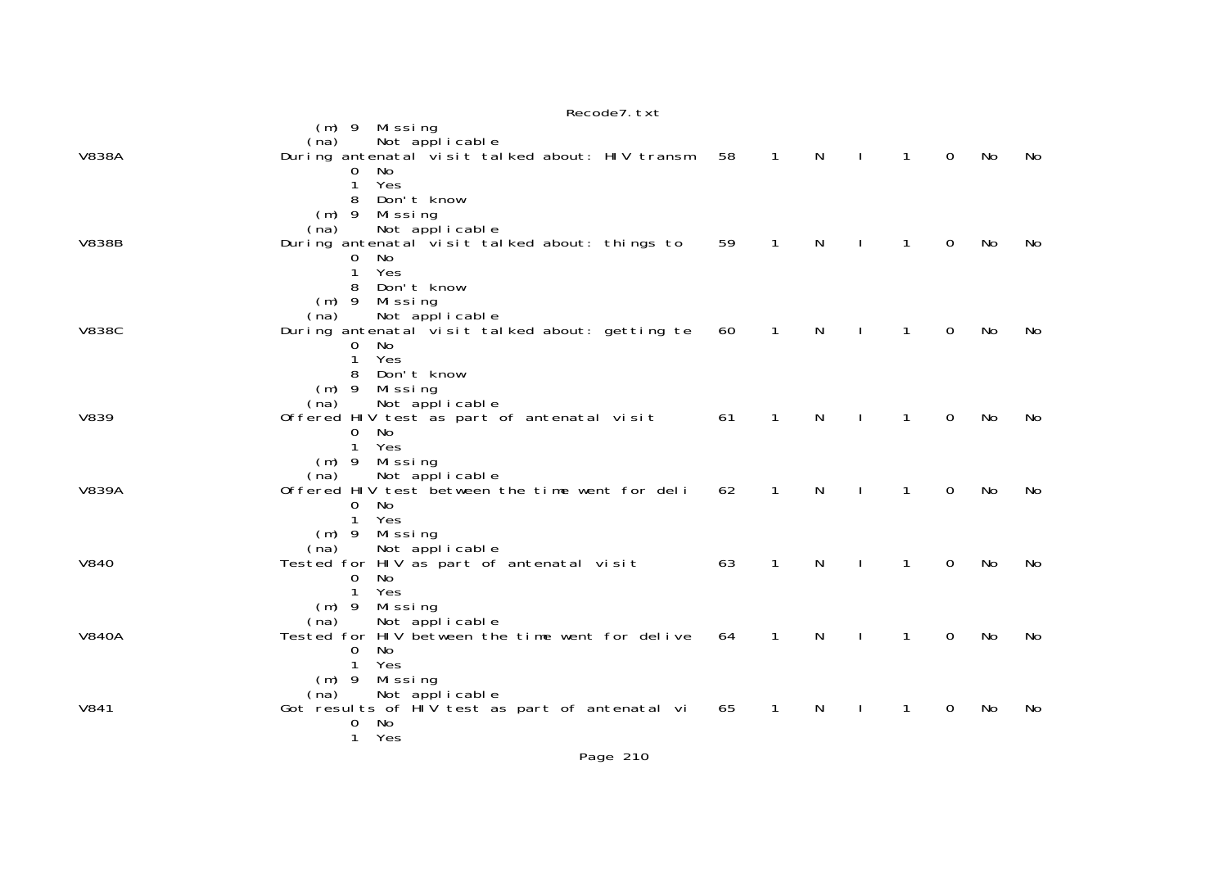|              | INCLUME I. LAL                                                                                                                                               |    |              |   |              |              |   |    |    |
|--------------|--------------------------------------------------------------------------------------------------------------------------------------------------------------|----|--------------|---|--------------|--------------|---|----|----|
| <b>V838A</b> | $(m)$ 9 Missing<br>Not applicable<br>(na)<br>During antenatal visit talked about: HIV transm<br>No<br>0<br>Yes                                               | 58 | $\mathbf{1}$ | N |              | $\mathbf{1}$ | 0 | No | No |
| <b>V838B</b> | Don't know<br>8<br>$(m)$ 9<br>Missing<br>Not applicable<br>(na)<br>During antenatal visit talked about: things to<br>No<br>$\Omega$<br>Yes<br>$\mathbf{1}$   | 59 | $\mathbf{1}$ | N |              | $\mathbf{1}$ | 0 | No | No |
| <b>V838C</b> | Don't know<br>8<br>$(m)$ 9<br>Missing<br>Not applicable<br>(na)<br>During antenatal visit talked about: getting te<br>No<br>O<br>Yes<br>1<br>Don't know<br>8 | 60 | $\mathbf{1}$ | N |              | 1            | 0 | No | No |
| <b>V839</b>  | $(m)$ 9 Missing<br>Not applicable<br>(na)<br>Offered HIV test as part of antenatal visit<br>No.<br>$\Omega$<br>1<br>Yes                                      | 61 | $\mathbf{1}$ | N | $\mathbf{I}$ | $\mathbf{1}$ | 0 | No | No |
| <b>V839A</b> | Missing<br>$(m)$ 9<br>Not applicable<br>(na)<br>Offered HIV test between the time went for deli<br>$\mathbf{O}$<br>No<br>Yes<br>$\mathbf{1}$                 | 62 | $\mathbf{1}$ | N |              | $\mathbf{1}$ | 0 | No | No |
| <b>V840</b>  | $(m)$ 9<br>Missing<br>Not applicable<br>(na)<br>Tested for HIV as part of antenatal visit<br>$\mathbf 0$<br>No<br>Yes<br>1                                   | 63 | $\mathbf{1}$ | N |              | $\mathbf{1}$ | 0 | No | No |
| <b>V840A</b> | Missing<br>$(m)$ 9<br>Not applicable<br>(na)<br>Tested for HIV between the time went for delive<br>No<br>0<br>Yes<br>1                                       | 64 | $\mathbf{1}$ | N |              | $\mathbf{1}$ | 0 | No | No |
| V841         | Missing<br>$(m)$ 9<br>Not applicable<br>(na)<br>Got results of HIV test as part of antenatal vi<br>No<br>$\mathbf{O}$<br>Yes<br>1                            | 65 | $\mathbf{1}$ | N |              | 1            | 0 | No | No |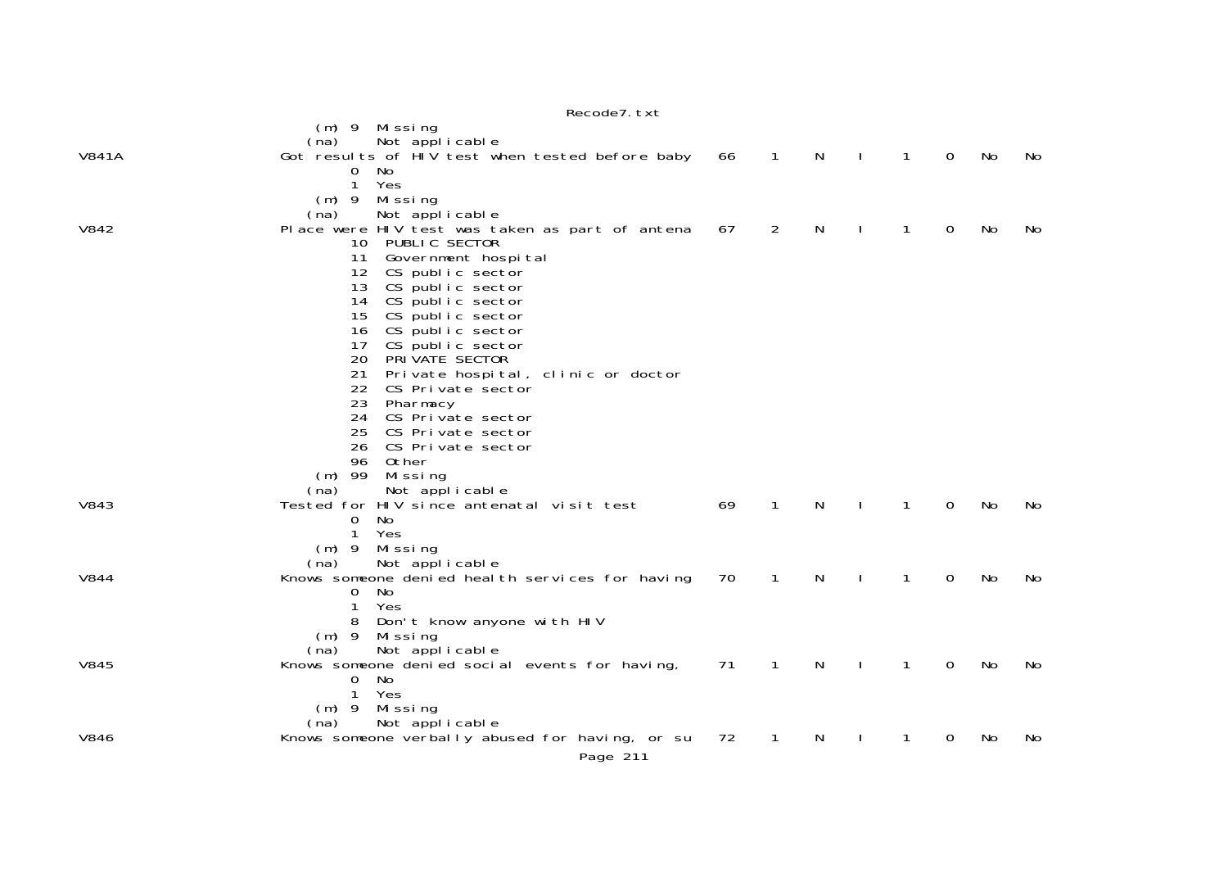|             | Recode7. txt                                                           |    |                |   |              |              |   |     |     |
|-------------|------------------------------------------------------------------------|----|----------------|---|--------------|--------------|---|-----|-----|
|             | (m) 9 Missing                                                          |    |                |   |              |              |   |     |     |
|             | Not applicable<br>(na)                                                 |    |                |   |              |              |   |     |     |
| V841A       | Got results of HIV test when tested before baby                        | 66 | $\overline{1}$ | N | $\Box$       | $\mathbf{1}$ | 0 | No  | No  |
|             | 0<br>No.                                                               |    |                |   |              |              |   |     |     |
|             | $\mathbf{1}$<br>Yes                                                    |    |                |   |              |              |   |     |     |
|             | (m) 9 Missing                                                          |    |                |   |              |              |   |     |     |
| V842        | Not applicable<br>(na)                                                 | 67 | 2              | N | $\mathbf{I}$ | $\mathbf{1}$ | 0 | No  | No  |
|             | Place were HIV test was taken as part of antena<br>PUBLIC SECTOR<br>10 |    |                |   |              |              |   |     |     |
|             | Government hospital<br>11                                              |    |                |   |              |              |   |     |     |
|             | 12<br>CS public sector                                                 |    |                |   |              |              |   |     |     |
|             | 13<br>CS public sector                                                 |    |                |   |              |              |   |     |     |
|             | CS public sector<br>14                                                 |    |                |   |              |              |   |     |     |
|             | 15<br>CS public sector                                                 |    |                |   |              |              |   |     |     |
|             | CS public sector<br>16                                                 |    |                |   |              |              |   |     |     |
|             | CS public sector<br>17                                                 |    |                |   |              |              |   |     |     |
|             | 20<br>PRIVATE SECTOR                                                   |    |                |   |              |              |   |     |     |
|             | 21<br>Private hospital, clinic or doctor                               |    |                |   |              |              |   |     |     |
|             | 22<br>CS Private sector                                                |    |                |   |              |              |   |     |     |
|             | 23<br>Pharmacy                                                         |    |                |   |              |              |   |     |     |
|             | 24<br>CS Private sector<br>25<br>CS Private sector                     |    |                |   |              |              |   |     |     |
|             | 26<br>CS Private sector                                                |    |                |   |              |              |   |     |     |
|             | 96<br>Other                                                            |    |                |   |              |              |   |     |     |
|             | $(m)$ 99<br>Missing                                                    |    |                |   |              |              |   |     |     |
|             | Not applicable<br>(na)                                                 |    |                |   |              |              |   |     |     |
| V843        | Tested for HIV since antenatal visit test                              | 69 | 1              | N |              | 1            | 0 | No  | No  |
|             | $\mathbf 0$<br>No                                                      |    |                |   |              |              |   |     |     |
|             | $\mathbf{1}$<br>Yes                                                    |    |                |   |              |              |   |     |     |
|             | Missing<br>$(m)$ 9                                                     |    |                |   |              |              |   |     |     |
|             | Not applicable<br>(na)                                                 |    |                |   |              |              |   |     |     |
| <b>V844</b> | Knows someone denied heal th services for having                       | 70 | $\mathbf{1}$   | N | $\mathbf{I}$ | $\mathbf{1}$ | 0 | No  | No  |
|             | No<br>0                                                                |    |                |   |              |              |   |     |     |
|             | Yes<br>1<br>Don't know anyone with HIV<br>8                            |    |                |   |              |              |   |     |     |
|             | Missing<br>$(m)$ 9                                                     |    |                |   |              |              |   |     |     |
|             | Not applicable<br>(na)                                                 |    |                |   |              |              |   |     |     |
| <b>V845</b> | Knows someone denied social events for having,                         | 71 | $\mathbf{1}$   | N |              | 1            | 0 | No  | No  |
|             | No<br>0                                                                |    |                |   |              |              |   |     |     |
|             | $\mathbf{1}$<br>Yes                                                    |    |                |   |              |              |   |     |     |
|             | Missing<br>$(m)$ 9                                                     |    |                |   |              |              |   |     |     |
|             | Not applicable<br>(na)                                                 |    |                |   |              |              |   |     |     |
| <b>V846</b> | Knows someone verbally abused for having, or su                        | 72 | $\mathbf{1}$   | N |              | 1            | 0 | No. | No. |
|             | Page 211                                                               |    |                |   |              |              |   |     |     |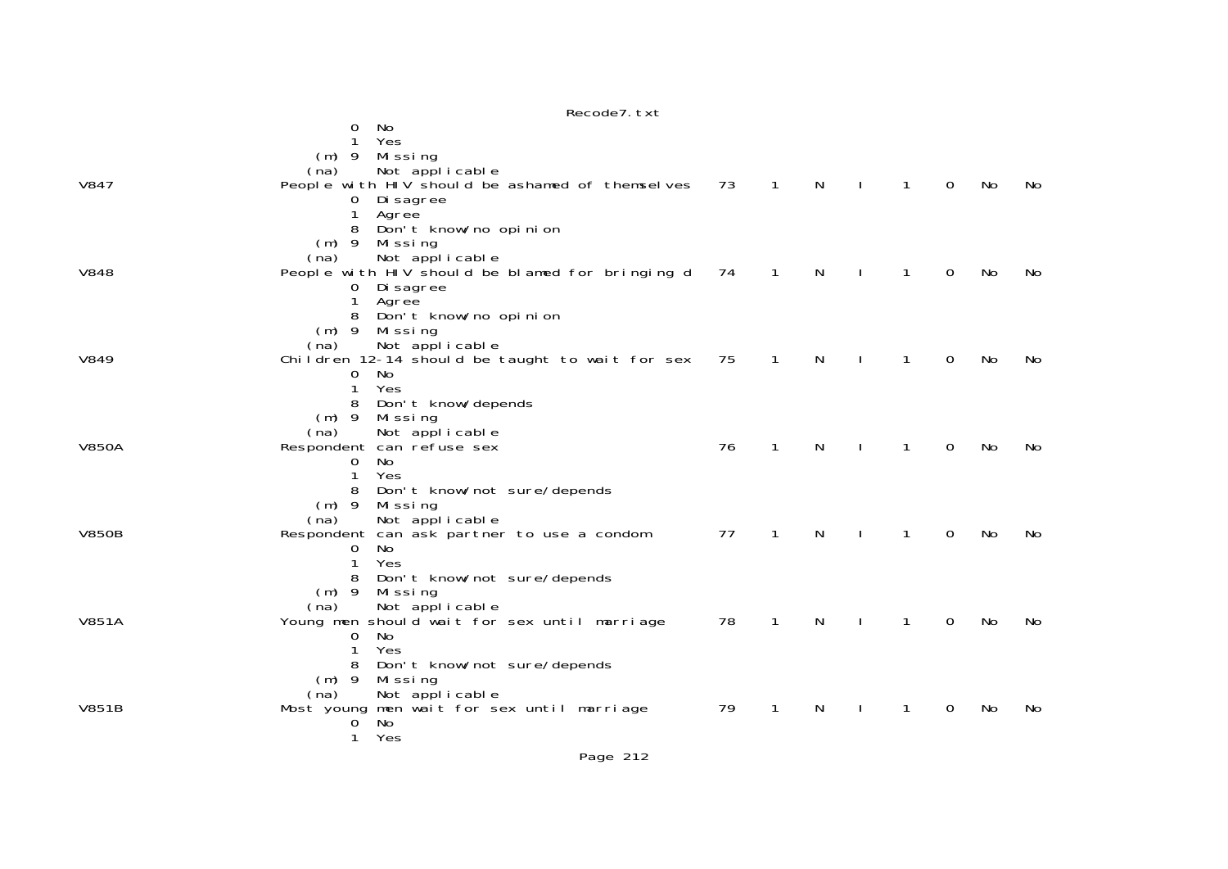|--|

|       | 0<br>No<br>1<br>Yes<br>$(m)$ 9<br>Missing<br>Not applicable<br>(na)                                                                                      |    |   |   |   |          |    |     |
|-------|----------------------------------------------------------------------------------------------------------------------------------------------------------|----|---|---|---|----------|----|-----|
| V847  | People with HIV should be ashamed of themselves<br>Di sagree<br>O<br>1<br>Agree<br>Don't know/no opinion<br>8                                            | 73 | 1 | N | 1 | $\Omega$ | No | No. |
| V848  | $(m)$ 9<br>Missing<br>Not applicable<br>(na)<br>People with HIV should be blamed for bringing d<br>Di sagree<br>0<br>Agree<br>8<br>Don't know/no opinion | 74 | 1 | N | 1 | 0        | No | No. |
| V849  | $(m)$ 9<br>Missing<br>Not applicable<br>(na)<br>Children 12-14 should be taught to wait for sex<br>No<br>0<br>Yes<br>1<br>Don't know/depends<br>8        | 75 | 1 | N | 1 | $\Omega$ | No | No  |
| V850A | $(m)$ 9<br>Missing<br>Not applicable<br>(na)<br>Respondent can refuse sex<br>No<br>0<br>1<br>Yes<br>8<br>Don't know/not sure/depends                     | 76 | 1 | N | 1 | 0        | No | No  |
| V850B | $(m)$ 9<br>Missing<br>Not applicable<br>(na)<br>Respondent can ask partner to use a condom<br>No.<br>0<br>1<br>Yes<br>Don't know/not sure/depends<br>8   | 77 | 1 | N | 1 | 0        | No | No  |
| V851A | $(m)$ 9<br>Missing<br>Not applicable<br>(na)<br>Young men should wait for sex until marriage<br>No<br>0<br>Yes<br>Don't know/not sure/depends<br>8       | 78 | 1 | N | 1 | 0        | No | No  |
| V851B | $(m)$ 9<br>Missing<br>Not applicable<br>(na)<br>men wait for sex until marriage<br>Most young<br>No.<br>0<br>1<br>Yes                                    | 79 | 1 | N | 1 | 0        | No | No  |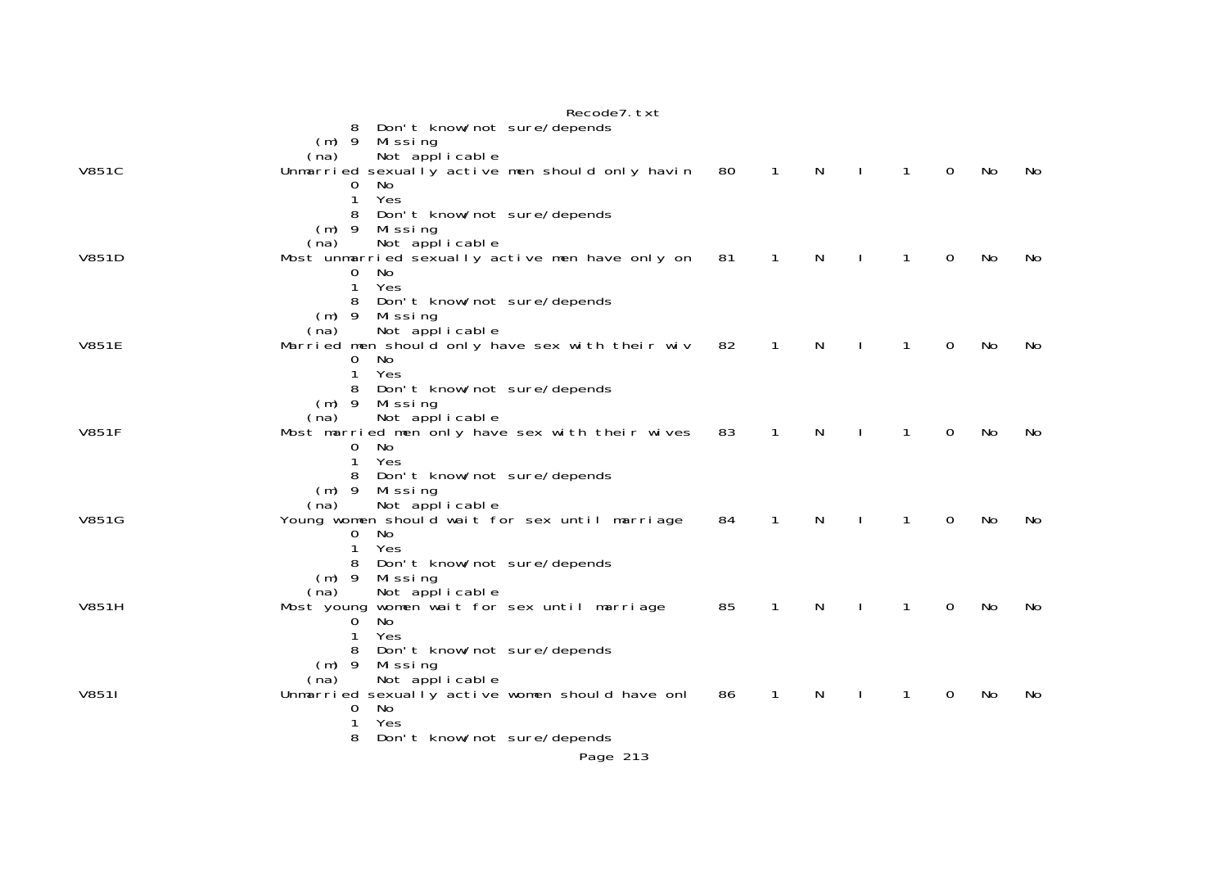|              | Recode7. txt                                                                                                                                                                                   |    |              |   |              |              |             |     |     |
|--------------|------------------------------------------------------------------------------------------------------------------------------------------------------------------------------------------------|----|--------------|---|--------------|--------------|-------------|-----|-----|
| <b>V851C</b> | Don't know/not sure/depends<br>8<br>$(m)$ 9<br>Missing<br>Not applicable<br>(na)<br>Unmarried sexually active men should only havin<br>0<br>No<br>1<br>Yes                                     | 80 | $\mathbf{1}$ | N | $\mathbf{L}$ | $\mathbf{1}$ | $\mathbf 0$ | No  | No  |
| V851D        | Don't know/not sure/depends<br>8<br>$(m)$ 9<br>Mi ssi ng<br>Not applicable<br>(na)<br>Most unmarried sexually active men have only on<br>0<br>No.<br>1<br>Yes                                  | 81 | $\mathbf{1}$ | N |              | 1            | $\mathbf 0$ | No  | No. |
| <b>V851E</b> | Don't know/not sure/depends<br>$(m)$ 9<br>Missing<br>Not applicable<br>(na)<br>Married men should only have sex with their wiv<br>No<br>0<br>Yes<br>1                                          | 82 | 1            | N |              | 1            | 0           | No  | No. |
| <b>V851F</b> | Don't know/not sure/depends<br>Missing<br>$(m)$ 9<br>Not applicable<br>(na)<br>Most married men only have sex with their wives<br>0<br>No<br>$\mathbf{1}$<br>Yes                               | 83 | 1            | N |              | 1            | 0           | No. | No. |
| <b>V851G</b> | Don't know/not sure/depends<br>8<br>Missing<br>$(m)$ 9<br>Not applicable<br>(na)<br>Young women should wait for sex until marriage<br>No<br>0<br>Yes<br>1                                      | 84 | 1            | N |              | 1            | 0           | No  | No  |
| <b>V851H</b> | Don't know/not sure/depends<br>8<br>$(m)$ 9<br>Missing<br>Not applicable<br>(na)<br>Most young women wait for sex until marriage<br>No<br>0<br>Yes                                             | 85 | 1            | N |              | 1            | 0           | No  | No. |
| V8511        | Don't know/not sure/depends<br>8<br>$(m)$ 9<br>Missing<br>Not applicable<br>(na)<br>Unmarried sexually active women should have onl<br>No<br>0<br>1<br>Yes<br>8<br>Don't know/not sure/depends | 86 | 1            | N |              | 1            | 0           | No  | No. |
|              | Page 213                                                                                                                                                                                       |    |              |   |              |              |             |     |     |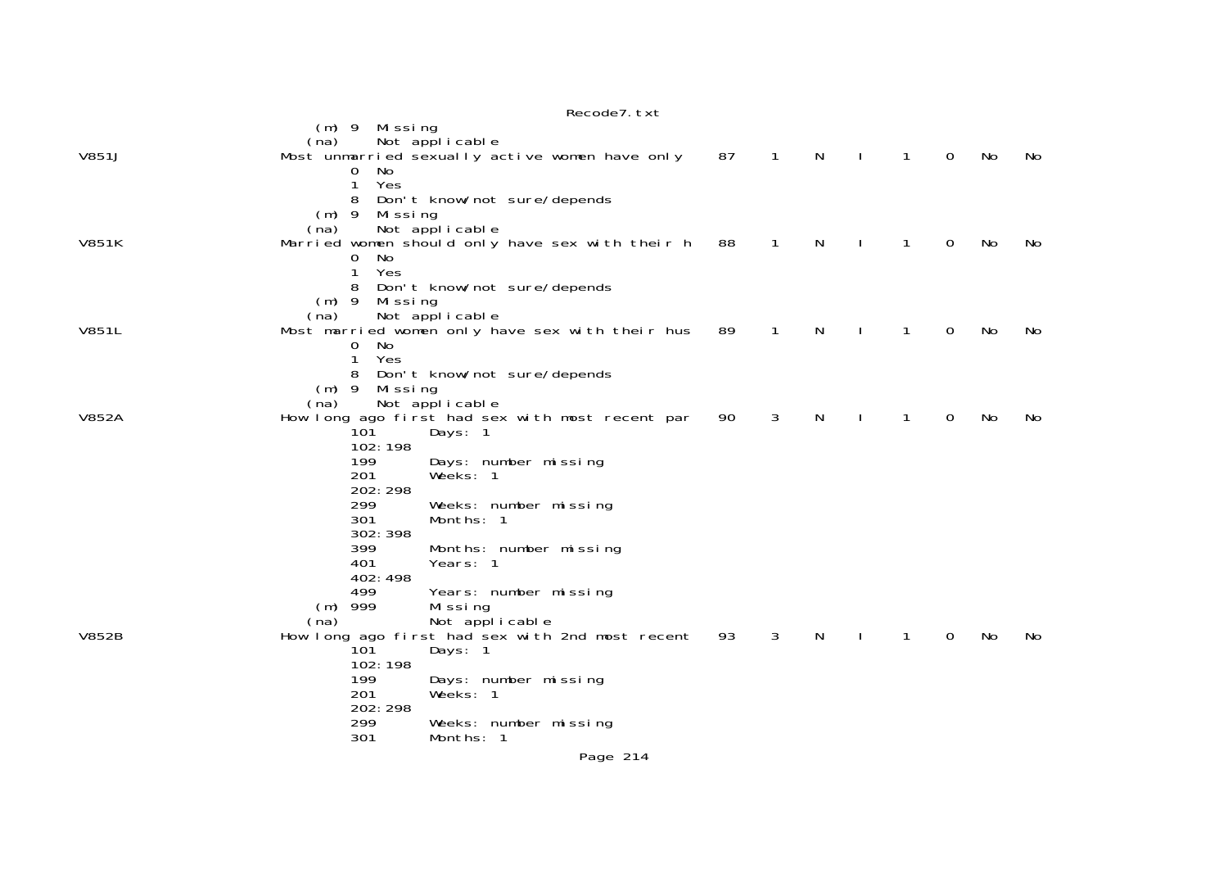|              | Recode7. txt                                                                                                                                                                                                                                                                                                                                                                                                                                                            |    |                |    |              |              |             |    |     |
|--------------|-------------------------------------------------------------------------------------------------------------------------------------------------------------------------------------------------------------------------------------------------------------------------------------------------------------------------------------------------------------------------------------------------------------------------------------------------------------------------|----|----------------|----|--------------|--------------|-------------|----|-----|
| V851J        | (m) 9 Missing<br>Not applicable<br>(na)<br>Most unmarried sexually active women have only<br>No<br>0<br>1<br>Yes                                                                                                                                                                                                                                                                                                                                                        | 87 | $\overline{1}$ | N  | $\mathbf{I}$ | $\mathbf{1}$ | $\mathbf 0$ | No | No  |
| <b>V851K</b> | Don't know/not sure/depends<br>8<br>(m) 9 Missing<br>Not applicable<br>(na)<br>Married women should only have sex with their h<br>No<br>0<br>Yes<br>$\mathbf{1}$<br>8<br>Don't know/not sure/depends                                                                                                                                                                                                                                                                    | 88 | $\mathbf{1}$   | N  |              | 1            | 0           | No | No  |
| V851L        | $(m)$ 9<br>Missing<br>Not applicable<br>(na)<br>Most married women only have sex with their hus<br>0<br>No.<br>Yes<br>$\mathbf{1}$<br>8<br>Don't know/not sure/depends                                                                                                                                                                                                                                                                                                  | 89 | $\mathbf{1}$   | N  |              | 1            | 0           | No | No  |
| <b>V852A</b> | $(m)$ 9<br>Mi ssi ng<br>Not applicable<br>(na)<br>How long ago first had sex with most recent par<br>101<br>Days: 1<br>102:198<br>199<br>Days: number missing                                                                                                                                                                                                                                                                                                           | 90 | 3              | N. |              | 1            | 0           | No | No  |
| <b>V852B</b> | 201<br>Weeks: 1<br>202: 298<br>299<br>Weeks: number missing<br>301<br>Months: 1<br>302: 398<br>399<br>Months: number missing<br>401<br>Years: 1<br>402: 498<br>499<br>Years: number missing<br>$(m)$ 999<br>Missing<br>Not applicable<br>(na)<br>How long ago first had sex with 2nd most recent<br>10 <sup>1</sup><br>Days: 1<br>102:198<br>199<br>Days: number missing<br>201<br>Weeks: 1<br>202: 298<br>299<br>Weeks: number missing<br>301<br>Months: 1<br>Page 214 | 93 | 3              | N  |              | 1            | 0           | No | No. |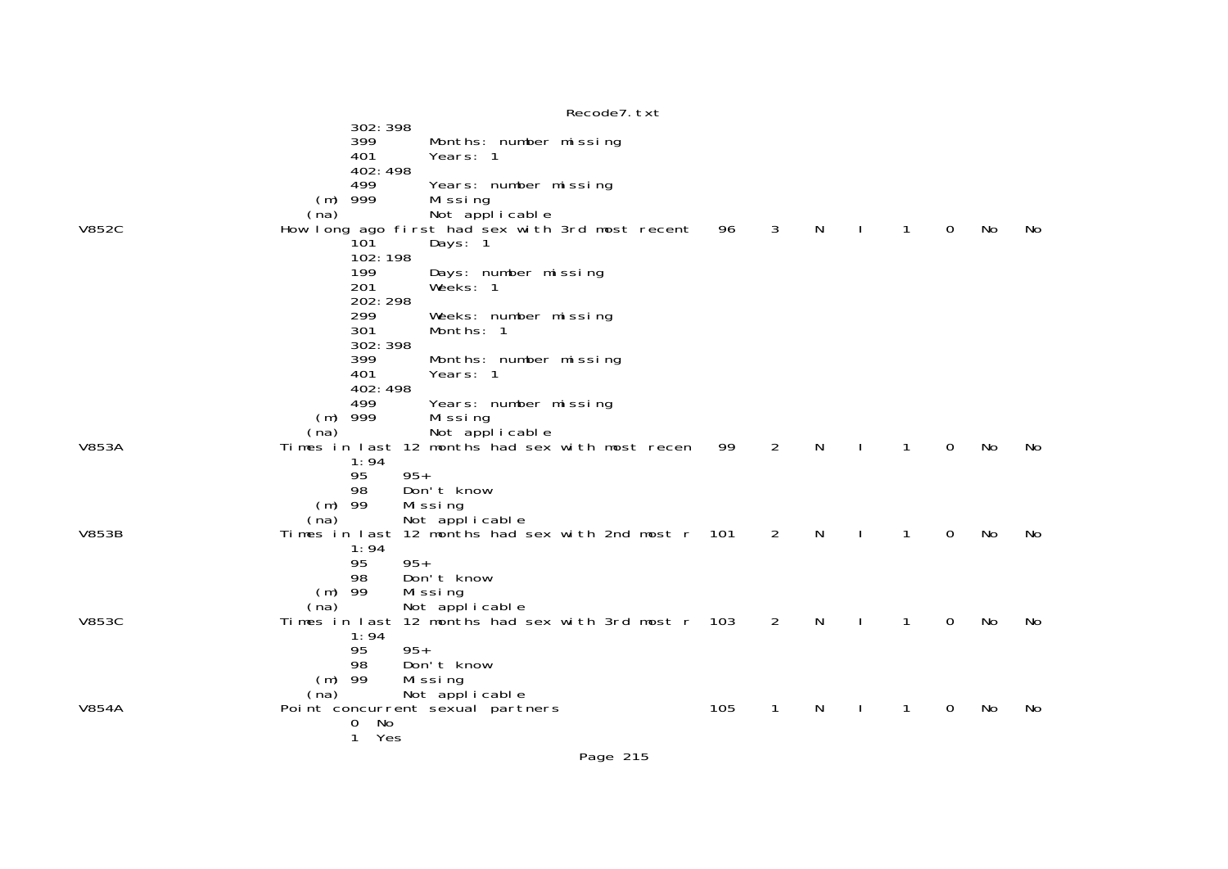|              | Recode7. txt                                                                             |       |                |   |   |          |           |     |
|--------------|------------------------------------------------------------------------------------------|-------|----------------|---|---|----------|-----------|-----|
|              | 302: 398<br>399<br>Months: number missing<br>401<br>Years: 1<br>402:498                  |       |                |   |   |          |           |     |
|              | 499<br>Years: number missing<br>999<br>Missing<br>(m)<br>Not applicable<br>(na)          |       |                |   |   |          |           |     |
| V852C        | How long ago first had sex with 3rd most recent<br>10 <sup>1</sup><br>Days: 1<br>102:198 | 96    | 3              | N | 1 | 0        | No        | No  |
|              | 199<br>Days: number missing<br>201<br>Weeks: 1<br>202: 298                               |       |                |   |   |          |           |     |
|              | 299<br>Weeks: number missing<br>301<br>Months: 1<br>302: 398                             |       |                |   |   |          |           |     |
|              | 399<br>Months: number missing<br>401<br>Years: 1<br>402:498                              |       |                |   |   |          |           |     |
|              | 499<br>Years: number missing<br>$(m)$ 999<br>Mi ssi ng<br>Not applicable<br>(na)         |       |                |   |   |          |           |     |
| <b>V853A</b> | Times in last 12 months had sex with most recen                                          | 99    | $\overline{2}$ | N | 1 | $\Omega$ | <b>No</b> | No  |
|              | 1:94<br>95<br>$95+$<br>Don't know<br>98<br>-99<br>(m)<br>Missing                         |       |                |   |   |          |           |     |
| V853B        | Not applicable<br>(na)<br>Times in last 12 months had sex with 2nd most r 101            |       | 2              | N | 1 | $\Omega$ | No        | No  |
|              | 1:94<br>$95+$<br>95<br>98<br>Don't know                                                  |       |                |   |   |          |           |     |
|              | -99<br>Mi ssi ng<br>(m)<br>Not applicable<br>(na)                                        |       |                |   |   |          |           |     |
| V853C        | Times in last 12 months had sex with 3rd most r<br>1:94                                  | - 103 | 2              | N | 1 | 0        | <b>No</b> | No. |
|              | $95+$<br>95<br>98<br>Don't know<br>$(m)$ 99<br>Mi ssi ng                                 |       |                |   |   |          |           |     |
|              | Not applicable<br>(na)                                                                   |       |                |   |   |          |           |     |
| V854A        | Point concurrent sexual partners<br>No<br>0                                              | 105   | 1              | N |   | 0        | No        | No  |
|              | 1<br>Yes                                                                                 |       |                |   |   |          |           |     |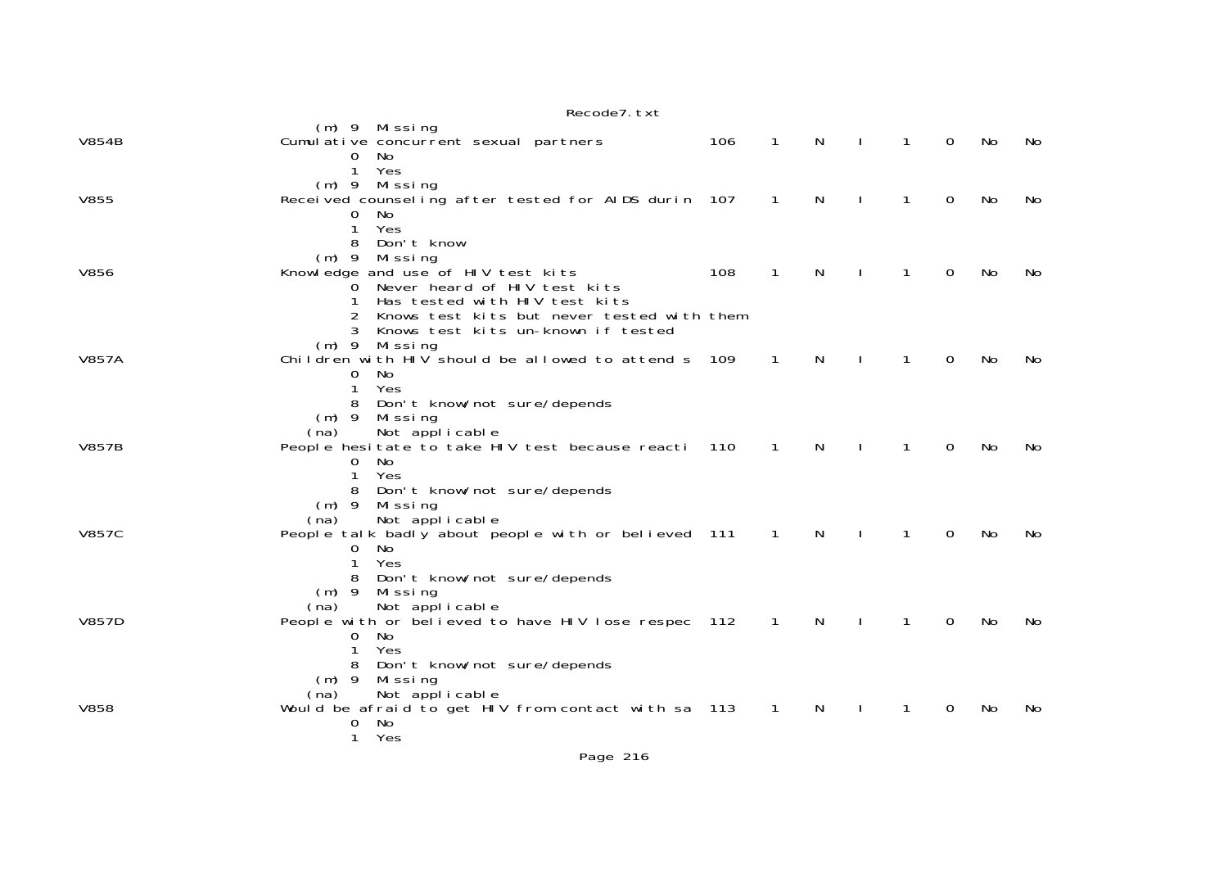|              | Recode / LXL                                                                                                                                                  |     |                |    |              |              |          |    |     |
|--------------|---------------------------------------------------------------------------------------------------------------------------------------------------------------|-----|----------------|----|--------------|--------------|----------|----|-----|
| <b>V854B</b> | (m) 9 Missing<br>Cumulative concurrent sexual partners<br>0<br>No                                                                                             | 106 | 1              | N  |              | 1            | 0        | No | No  |
| <b>V855</b>  | $\mathbf{1}$<br>Yes<br>$(m)$ 9 Missing<br>Received counseling after tested for AIDS durin 107<br>$\mathbf{O}$<br>No.                                          |     | $\mathbf{1}$   | N  |              | $\mathbf{1}$ | 0        | No | No  |
| V856         | $\mathbf{1}$<br>Yes<br>Don't know<br>8<br>$(m)$ 9<br>Missing<br>Knowledge and use of HIV test kits                                                            | 108 | $\mathbf 1$    | N  |              | 1            | 0        | No | No  |
|              | Never heard of HIV test kits<br>$\Omega$<br>Has tested with HIV test kits<br>Knows test kits but never tested with them<br>Knows test kits un-known if tested |     |                |    |              |              |          |    |     |
| <b>V857A</b> | Missing<br>$(m)$ 9<br>Children with HIV should be allowed to attend s<br>$\Omega$<br>No<br>Yes<br>1<br>Don't know/not sure/depends<br>$(m)$ 9<br>Missing      | 109 | 1              | N. |              | 1            | 0        | No | No  |
| <b>V857B</b> | Not applicable<br>(na)<br>People hesitate to take HIV test because reacti<br>No<br>0<br>1<br>Yes<br>Don't know/not sure/depends<br>$(m)$ 9<br>Missing         | 110 | 1              | N  |              | 1            | 0        | No | No  |
| <b>V857C</b> | Not applicable<br>(na)<br>People talk badly about people with or believed 111<br>No<br>O<br>Yes<br>1<br>Don't know/not sure/depends<br>$(m)$ 9<br>Missing     |     | $\mathbf{1}$   | N  |              | 1            | 0        | No | No  |
| <b>V857D</b> | Not applicable<br>(na)<br>People with or believed to have HIV lose respec 112<br>No<br>0<br>Yes<br>Don't know/not sure/depends<br>8                           |     | $\overline{1}$ | N  | $\mathbf{I}$ | $\mathbf{1}$ | $\Omega$ | No | No. |
| <b>V858</b>  | $(m)$ 9<br>Missing<br>Not applicable<br>(na)<br>Would be afraid to get HIV from contact with sa 113<br>No<br>0<br>1<br>Yes                                    |     | $\overline{1}$ | N  |              | $\mathbf{1}$ | $\Omega$ | No | No  |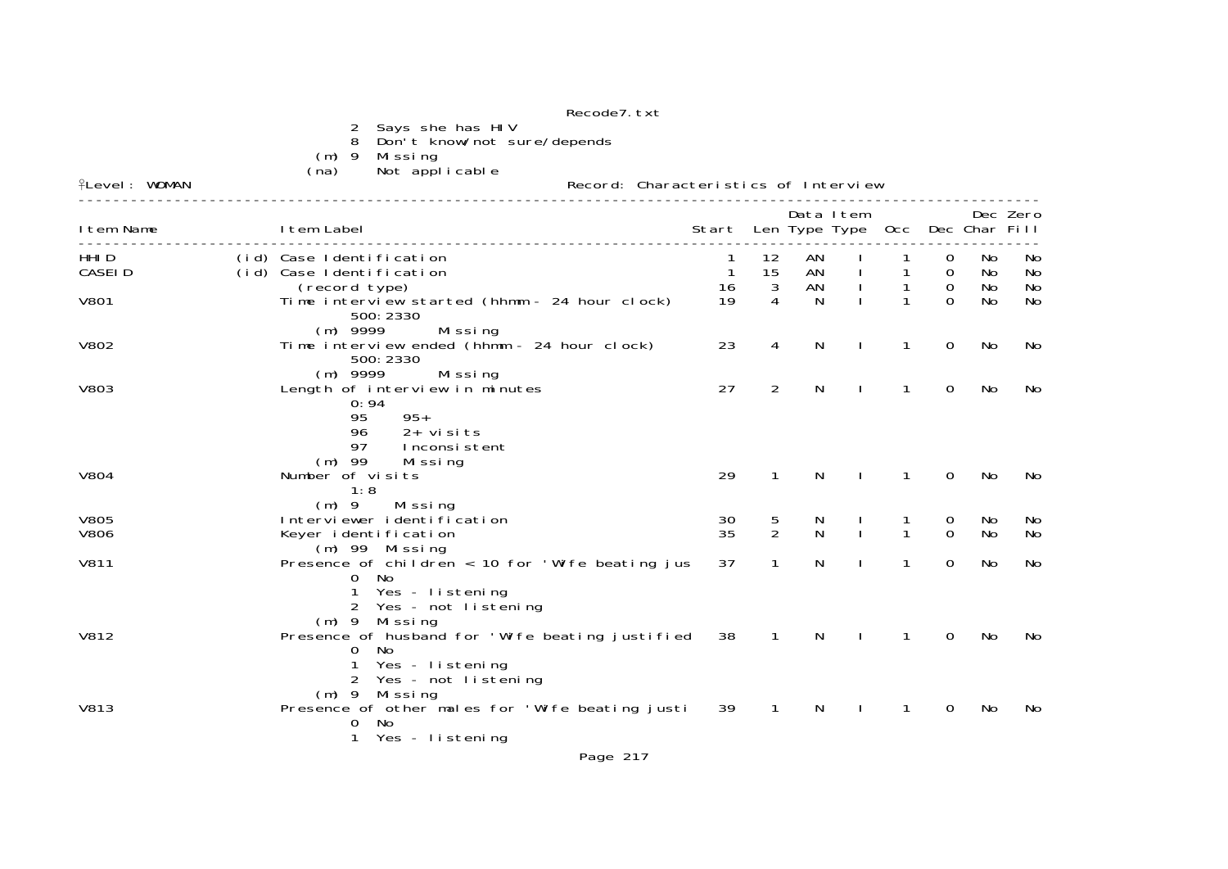|                            |                                                                       |                                                                                           | Recode7. txt                                            |                                       |                    |                |              |                   |               |                |                |
|----------------------------|-----------------------------------------------------------------------|-------------------------------------------------------------------------------------------|---------------------------------------------------------|---------------------------------------|--------------------|----------------|--------------|-------------------|---------------|----------------|----------------|
|                            | 2<br>8<br>$(m)$ 9                                                     | Says she has HIV<br>Don't know/not sure/depends<br>Missing                                |                                                         |                                       |                    |                |              |                   |               |                |                |
| <b>fLevel: WOMAN</b>       | (na)                                                                  | Not applicable                                                                            | Record: Characteristics of Interview                    |                                       |                    |                |              |                   |               |                |                |
| I tem Name                 | I tem Label                                                           |                                                                                           |                                                         | Start Len Type Type Occ Dec Char Fill |                    | Data I tem     |              |                   |               |                | Dec Zero       |
| HHI D<br>CASEI D           | (id) Case Identification<br>(id) Case Identification<br>(record type) |                                                                                           |                                                         | $\mathbf{1}$<br>16                    | 12<br>15<br>3      | AN<br>AN<br>AN |              | $\mathbf{1}$<br>1 | 0<br>0<br>0   | No<br>No<br>No | No<br>No<br>No |
| V801                       |                                                                       | 500: 2330                                                                                 | Time interview started (hhmm - 24 hour clock)           | 19                                    | 4                  | N              |              | 1                 | $\Omega$      | No             | No             |
| V802                       | $(m)$ 9999                                                            | Missing<br>500: 2330                                                                      | Time interview ended (hhmm - 24 hour clock)             | 23                                    | 4                  | N              |              | $\mathbf{1}$      | $\mathbf 0$   | No             | No             |
| V803                       | $(m)$ 9999<br>95<br>96<br>97                                          | Missing<br>Length of interview in minutes<br>0:94<br>$95+$<br>$2+$ visits<br>Inconsistent |                                                         | 27                                    | 2                  | N              | <sup>1</sup> | $\mathbf{1}$      | $\mathbf 0$   | No             | No             |
| V804                       | $(m)$ 99<br>Number of visits<br>1:8                                   | Mi ssi ng                                                                                 |                                                         | 29                                    | $\mathbf{1}$       | N              | $\mathbf{I}$ | 1                 | 0             | No             | No             |
| <b>V805</b><br><b>V806</b> | $(m)$ 9                                                               | Missing<br>Interviewer identification<br>Keyer identification                             |                                                         | 30<br>35                              | 5<br>$\mathcal{P}$ | N<br>N         | $\mathbf{I}$ | 1<br>$\mathbf{1}$ | 0<br>$\Omega$ | No<br>No       | No<br>No       |
| V811                       | 0<br>1                                                                | (m) 99 Missing<br><b>No</b><br>Yes - listening<br>Yes - not listening                     | Presence of children $\langle$ 10 for 'Wife beating jus | 37                                    | 1                  | N              |              | $\mathbf{1}$      | 0             | No             | No             |
| V812                       | 0<br>1                                                                | (m) 9 Missing<br>No.<br>Yes - listening<br>2 Yes - not listening<br>$(m)$ 9 Missing       | Presence of husband for 'Wife beating justified         | 38                                    | $\overline{1}$     | N              | $\mathbf{I}$ | 1                 | 0             | No             | No             |
| <b>V813</b>                | $\overline{0}$<br>1                                                   | - No<br>Yes - listening                                                                   | Presence of other males for 'Wife beating justi         | 39                                    | $\mathbf{1}$       | N              |              | 1                 | 0             | No             | No             |
|                            |                                                                       |                                                                                           | Page 217                                                |                                       |                    |                |              |                   |               |                |                |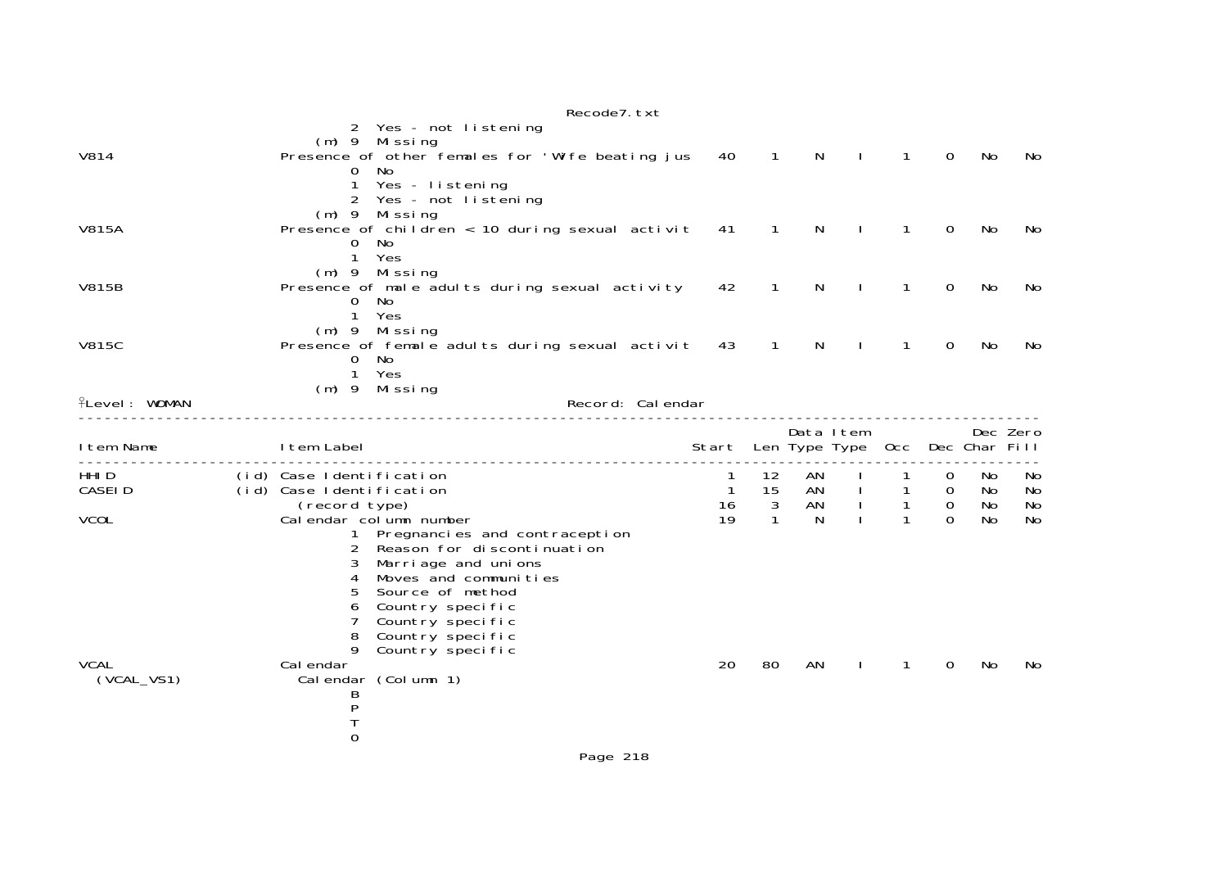|                      |                                           |                                                                                           | Recode7. txt      |                                       |                            |              |                              |                              |                               |           |           |
|----------------------|-------------------------------------------|-------------------------------------------------------------------------------------------|-------------------|---------------------------------------|----------------------------|--------------|------------------------------|------------------------------|-------------------------------|-----------|-----------|
|                      |                                           | 2 Yes - not listening<br>(m) 9 Missing                                                    |                   |                                       |                            |              |                              |                              |                               |           |           |
| V814                 |                                           | Presence of other females for 'Wife beating jus<br>No                                     |                   | 40                                    | $\overline{1}$             | N            | $\mathbf{I}$                 | $\mathbf{1}$                 | $\mathbf 0$                   | No        | No        |
|                      | 0<br>1                                    | Yes - listening                                                                           |                   |                                       |                            |              |                              |                              |                               |           |           |
|                      |                                           | 2 Yes - not listening                                                                     |                   |                                       |                            |              |                              |                              |                               |           |           |
| <b>V815A</b>         |                                           | (m) 9 Missing<br>Presence of children $\langle 10 \text{ during sexual activi} t \rangle$ |                   | 41                                    | $\overline{\phantom{1}}$ 1 | $\mathsf{N}$ | $\Box$                       | $\mathbf{1}$                 | $\mathbf 0$                   | No        | No        |
|                      | 0                                         | No.                                                                                       |                   |                                       |                            |              |                              |                              |                               |           |           |
|                      | $\mathbf{1}$                              | Yes<br>$(m)$ 9 Missing                                                                    |                   |                                       |                            |              |                              |                              |                               |           |           |
| <b>V815B</b>         |                                           | Presence of male adults during sexual activity                                            |                   | 42                                    | $\overline{1}$             | N            |                              | $\mathbf{1}$                 | 0                             | No        | No        |
|                      | 0<br>$\mathbf{1}$                         | No<br>Yes                                                                                 |                   |                                       |                            |              |                              |                              |                               |           |           |
|                      |                                           | $(m)$ 9 Missing                                                                           |                   |                                       |                            |              |                              |                              |                               |           |           |
| <b>V815C</b>         |                                           | Presence of female adults during sexual activit                                           |                   | 43                                    | $\mathbf 1$                | N.           |                              | 1                            | 0                             | No.       | No        |
|                      | 0<br>$\mathbf{1}$                         | No<br>Yes                                                                                 |                   |                                       |                            |              |                              |                              |                               |           |           |
|                      |                                           | $(m)$ 9 Missing                                                                           |                   |                                       |                            |              |                              |                              |                               |           |           |
| <b>flevel: WOMAN</b> |                                           |                                                                                           | Record: Cal endar |                                       |                            |              |                              |                              |                               |           |           |
|                      |                                           |                                                                                           |                   |                                       |                            | Data Item    |                              |                              |                               |           | Dec Zero  |
| I tem Name           | I tem Label                               |                                                                                           |                   | Start Len Type Type Occ Dec Char Fill |                            |              |                              |                              |                               |           |           |
| HHI <sub>D</sub>     | (id) Case Identification                  |                                                                                           |                   | 1                                     | 12                         | AN           |                              |                              | 0                             | No.       | No.       |
| <b>CASEID</b>        | (id) Case Identification<br>(record type) |                                                                                           |                   | $\mathbf{1}$<br>16                    | 15<br>3                    | AN<br>AN     | $\mathbf{I}$<br>$\mathbf{L}$ | $\mathbf{1}$<br>$\mathbf{1}$ | $\overline{0}$<br>$\mathbf 0$ | No.<br>No | No<br>No  |
| <b>VCOL</b>          |                                           | Calendar column number                                                                    |                   | 19                                    | $\mathbf{1}$               | N            |                              | $\mathbf{1}$                 | $\Omega$                      | No.       | <b>No</b> |
|                      | 2                                         | 1 Pregnancies and contraception<br>Reason for discontinuation                             |                   |                                       |                            |              |                              |                              |                               |           |           |
|                      | 3                                         | Marriage and unions                                                                       |                   |                                       |                            |              |                              |                              |                               |           |           |
|                      | 4                                         | Moves and communities                                                                     |                   |                                       |                            |              |                              |                              |                               |           |           |
|                      | 5<br>6                                    | Source of method<br>Country specific                                                      |                   |                                       |                            |              |                              |                              |                               |           |           |
|                      | 7                                         | Country specific                                                                          |                   |                                       |                            |              |                              |                              |                               |           |           |
|                      | 8<br>9                                    | Country specific<br>Country specific                                                      |                   |                                       |                            |              |                              |                              |                               |           |           |
| <b>VCAL</b>          | Cal endar                                 |                                                                                           |                   | 20                                    | 80                         | AN           | Ι.                           | $\mathbf{1}$                 | $\Omega$                      | No        | No        |
| $(VCAL_VS1)$         |                                           | Calendar (Column 1)                                                                       |                   |                                       |                            |              |                              |                              |                               |           |           |
|                      | B<br>P                                    |                                                                                           |                   |                                       |                            |              |                              |                              |                               |           |           |
|                      |                                           |                                                                                           |                   |                                       |                            |              |                              |                              |                               |           |           |
|                      | $\mathbf 0$                               |                                                                                           |                   |                                       |                            |              |                              |                              |                               |           |           |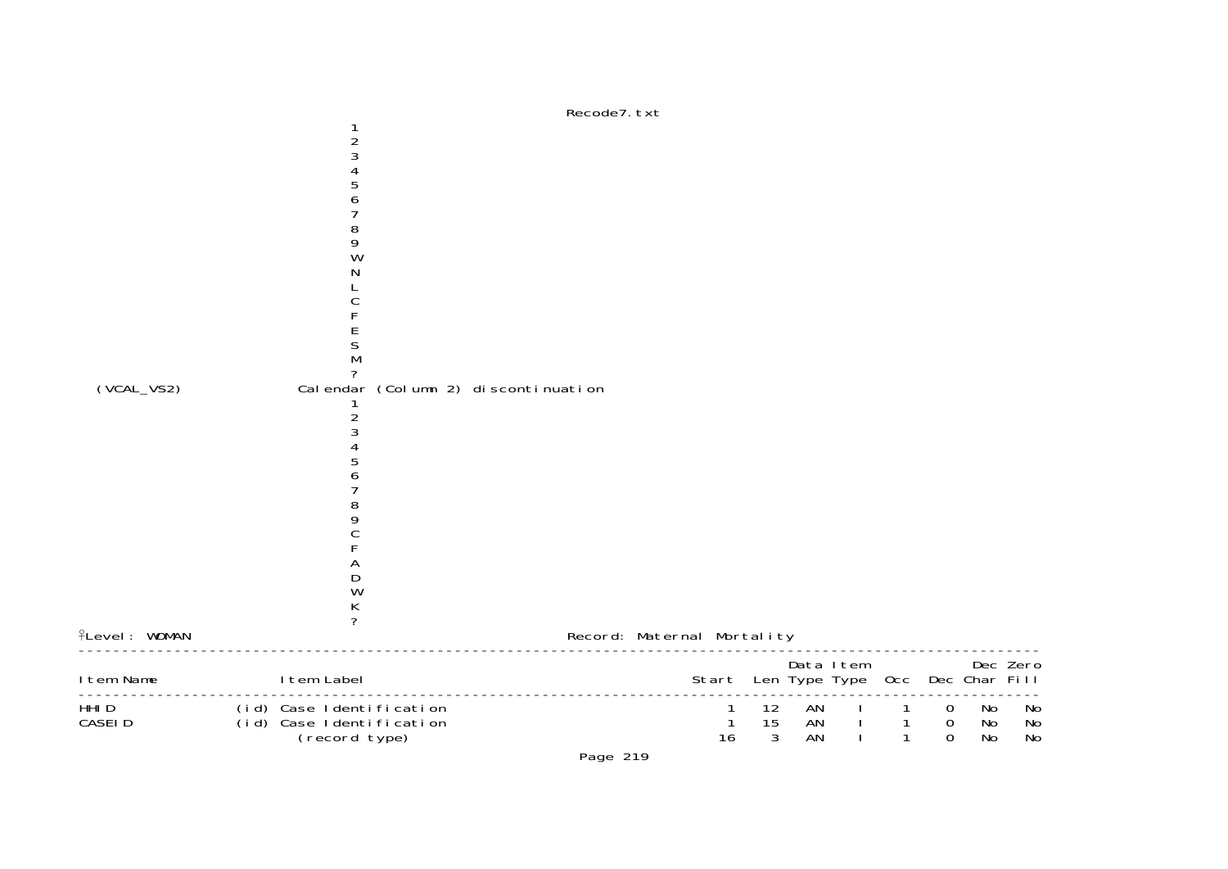

Page 219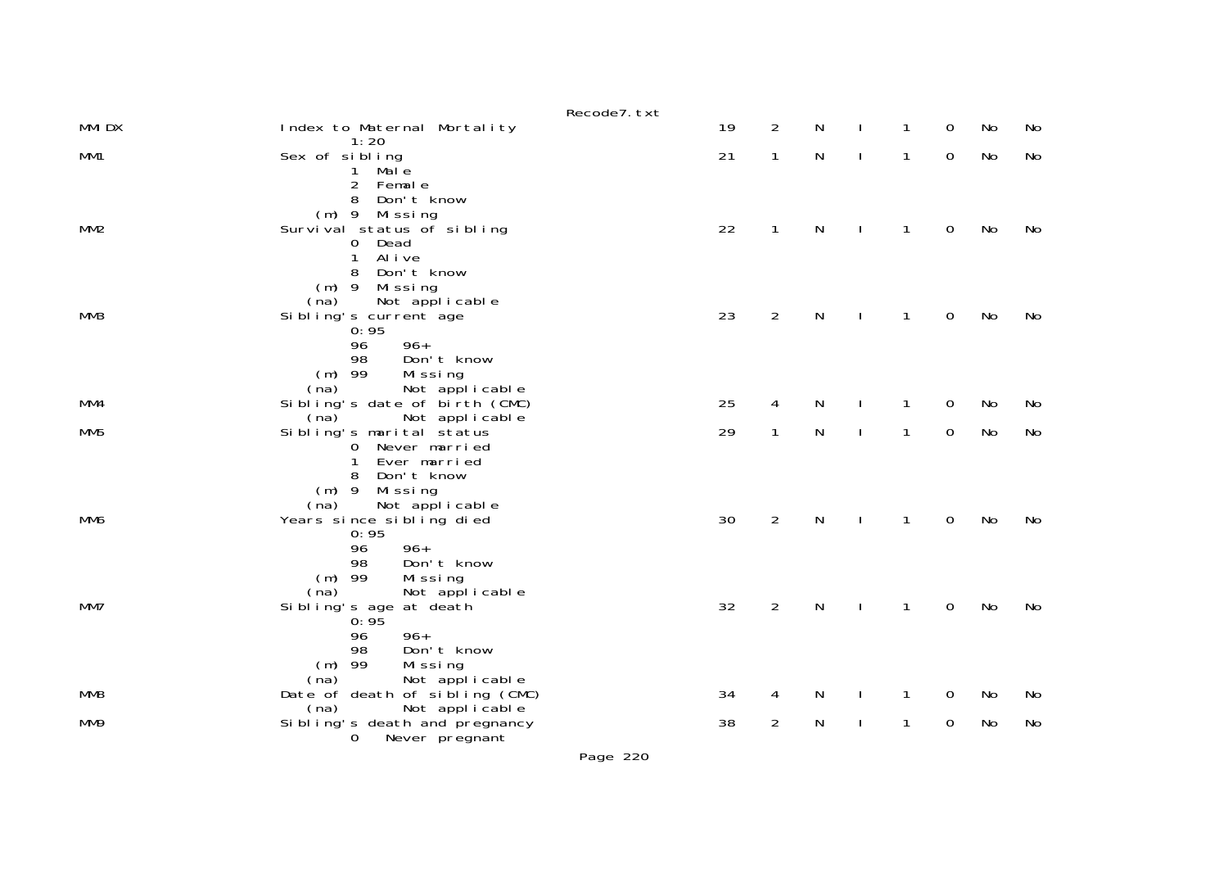|                 |                                                                                                                                        | Recode7. txt |    |                |           |              |             |    |    |
|-----------------|----------------------------------------------------------------------------------------------------------------------------------------|--------------|----|----------------|-----------|--------------|-------------|----|----|
| <b>MMIDX</b>    | Index to Maternal Mortality<br>1:20                                                                                                    |              | 19 | $\overline{2}$ | N         | $\mathbf{1}$ | 0           | No | No |
| MM1             | Sex of sibling<br>Male<br>1<br>$\overline{2}$<br>Female                                                                                |              | 21 | $\mathbf{1}$   | ${\sf N}$ | $\mathbf{1}$ | $\mathbf 0$ | No | No |
| MM2             | Don't know<br>8<br>(m) 9 Missing<br>Survival status of sibling<br>0 Dead<br>Al i ve<br>1                                               |              | 22 | $\mathbf{1}$   | ${\sf N}$ | $\mathbf{1}$ | $\mathbf 0$ | No | No |
| MM3             | Don't know<br>8<br>$(m)$ 9 Missing<br>Not applicable<br>(na)<br>Sibling's current age<br>0:95<br>96<br>$96+$<br>98<br>Don't know       |              | 23 | $\overline{2}$ | N         | 1            | $\mathbf 0$ | No | No |
|                 | $(m)$ 99<br>Missing<br>Not applicable<br>(na)                                                                                          |              |    |                |           |              |             |    |    |
| MM4             | Sibling's date of birth (CMC)                                                                                                          |              | 25 | 4              | N         | 1            | $\mathbf 0$ | No | No |
| MM <sub>5</sub> | Not applicable<br>(na)<br>Sibling's marital status<br>Never married<br>0<br>Ever married<br>1                                          |              | 29 | 1              | ${\sf N}$ | $\mathbf{1}$ | $\mathbf 0$ | No | No |
| MM6             | Don't know<br>8<br>Missing<br>$(m)$ 9<br>Not applicable<br>(na)<br>Years since sibling died<br>0:95<br>$96+$<br>96                     |              | 30 | $\overline{2}$ | N         | $\mathbf{1}$ | $\mathbf 0$ | No | No |
| MM7             | 98<br>Don't know<br>$(m)$ 99<br>Missing<br>Not applicable<br>(na)<br>Sibling's age at death<br>0:95<br>96<br>$96+$<br>98<br>Don't know |              | 32 | $\overline{2}$ | N         | 1            | 0           | No | No |
| MM <sub>8</sub> | $(m)$ 99<br>Missing<br>Not applicable<br>(na)<br>Date of death of sibling (CMC)<br>(na)                                                |              | 34 | 4              | N         | 1            | 0           | No | No |
| MM9             | Not applicable<br>Si bling's death and pregnancy<br>0<br>Never pregnant                                                                |              | 38 | $\overline{2}$ | N         | 1            | $\mathbf 0$ | No | No |

Page 220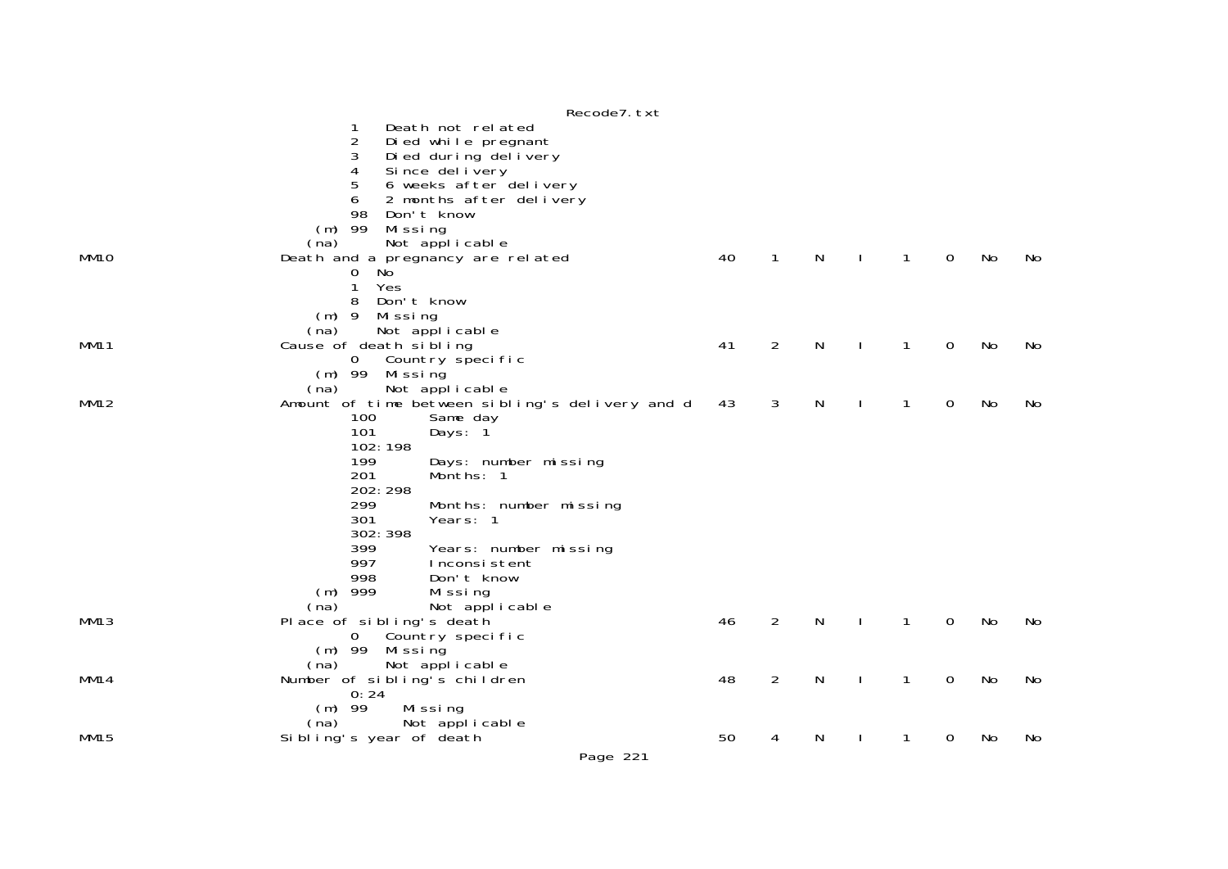|                  | Recode7. txt                                                              |    |                |   |              |              |   |    |    |
|------------------|---------------------------------------------------------------------------|----|----------------|---|--------------|--------------|---|----|----|
|                  | Death not related                                                         |    |                |   |              |              |   |    |    |
|                  | $\overline{2}$<br>Died while pregnant                                     |    |                |   |              |              |   |    |    |
|                  | 3<br>Di ed during del i very                                              |    |                |   |              |              |   |    |    |
|                  | 4<br>Since delivery                                                       |    |                |   |              |              |   |    |    |
|                  | 6 weeks after delivery<br>5                                               |    |                |   |              |              |   |    |    |
|                  | 6<br>2 months after delivery                                              |    |                |   |              |              |   |    |    |
|                  | 98<br>Don't know<br>$(m)$ 99<br>Missing                                   |    |                |   |              |              |   |    |    |
|                  | Not applicable<br>(na)                                                    |    |                |   |              |              |   |    |    |
| MM <sub>10</sub> | Death and a pregnancy are related                                         | 40 | $\mathbf 1$    | N | J.           | $\mathbf{1}$ | 0 | No | No |
|                  | No<br>0                                                                   |    |                |   |              |              |   |    |    |
|                  | Yes<br>1                                                                  |    |                |   |              |              |   |    |    |
|                  | Don't know<br>8                                                           |    |                |   |              |              |   |    |    |
|                  | $(m)$ 9<br>Mi ssi ng                                                      |    |                |   |              |              |   |    |    |
|                  | (na)<br>Not applicable                                                    |    |                |   |              |              |   |    |    |
| <b>MM11</b>      | Cause of death sibling                                                    | 41 | $\overline{2}$ | N |              | 1            | 0 | No | No |
|                  | Country specific<br>$\overline{0}$                                        |    |                |   |              |              |   |    |    |
|                  | $(m)$ 99 Missing                                                          |    |                |   |              |              |   |    |    |
| MM12             | Not applicable<br>(na)<br>Amount of time between sibling's delivery and d | 43 | 3              | N | J.           | $\mathbf{1}$ | 0 | No | No |
|                  | 100<br>Same day                                                           |    |                |   |              |              |   |    |    |
|                  | 101<br>Days: 1                                                            |    |                |   |              |              |   |    |    |
|                  | 102:198                                                                   |    |                |   |              |              |   |    |    |
|                  | 199<br>Days: number missing                                               |    |                |   |              |              |   |    |    |
|                  | 201<br>Months: 1                                                          |    |                |   |              |              |   |    |    |
|                  | 202: 298                                                                  |    |                |   |              |              |   |    |    |
|                  | 299<br>Months: number missing                                             |    |                |   |              |              |   |    |    |
|                  | 301<br>Years: 1                                                           |    |                |   |              |              |   |    |    |
|                  | 302: 398<br>399                                                           |    |                |   |              |              |   |    |    |
|                  | Years: number missing<br>997<br>Inconsistent                              |    |                |   |              |              |   |    |    |
|                  | 998<br>Don't know                                                         |    |                |   |              |              |   |    |    |
|                  | $(m)$ 999<br>Missing                                                      |    |                |   |              |              |   |    |    |
|                  | (na)<br>Not applicable                                                    |    |                |   |              |              |   |    |    |
| MM13             | Place of sibling's death                                                  | 46 | $\overline{2}$ | N |              | $\mathbf{1}$ | 0 | No | No |
|                  | Country specific<br>$\mathbf{0}$                                          |    |                |   |              |              |   |    |    |
|                  | $(m)$ 99<br>Mi ssi ng                                                     |    |                |   |              |              |   |    |    |
|                  | (na)<br>Not applicable                                                    |    |                |   |              |              |   |    |    |
| MM14             | Number of sibling's children                                              | 48 | $\overline{2}$ | N | <sup>1</sup> | $\mathbf{1}$ | 0 | No | No |
|                  | 0:24                                                                      |    |                |   |              |              |   |    |    |
|                  | $(m)$ 99<br>Missing<br>Not applicable<br>(na)                             |    |                |   |              |              |   |    |    |
| <b>MM15</b>      | Sibling's year of death                                                   | 50 | 4              | N |              | 1            | 0 | No | No |
|                  |                                                                           |    |                |   |              |              |   |    |    |
|                  | Page 221                                                                  |    |                |   |              |              |   |    |    |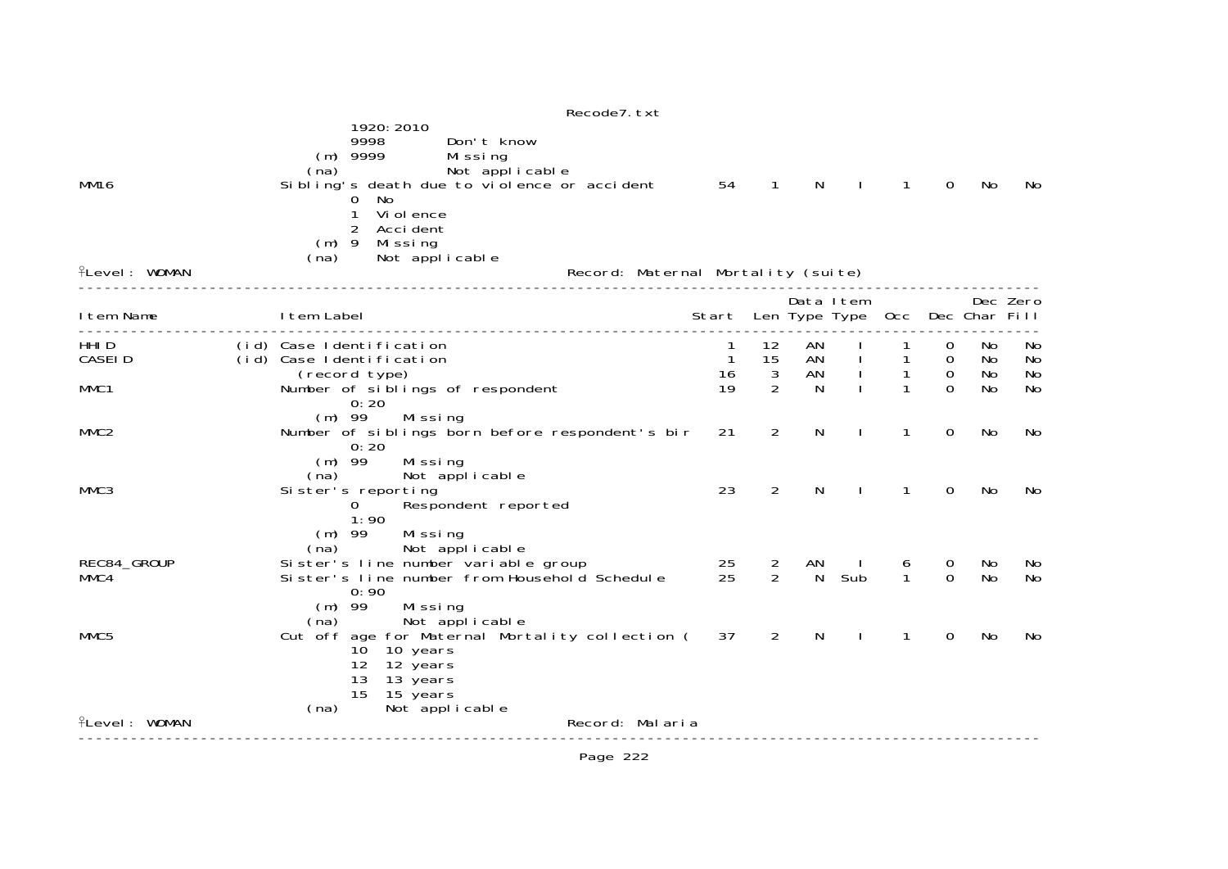|                                     | Recode7. txt<br>1920: 2010                                                                                                                                                                                                                                |                                       |                    |              |                |                                  |                            |          |          |
|-------------------------------------|-----------------------------------------------------------------------------------------------------------------------------------------------------------------------------------------------------------------------------------------------------------|---------------------------------------|--------------------|--------------|----------------|----------------------------------|----------------------------|----------|----------|
| <b>MM16</b><br><b>fLevel: WOMAN</b> | 9998<br>Don't know<br>$(m)$ 9999<br>Missing<br>Not applicable<br>(na)<br>Sibling's death due to violence or accident<br>0 No<br>Vi ol ence<br>1<br>Acci dent<br>2<br>$(m)$ 9<br>Mi ssi ng<br>Not applicable<br>(na)<br>Record: Maternal Mortality (suite) | 54                                    | $\mathbf{1}$       | N            |                | $\mathbf{1}$                     | $\Omega$                   | No       | No       |
|                                     |                                                                                                                                                                                                                                                           |                                       |                    |              | Data Item      |                                  |                            |          | Dec Zero |
| I tem Name                          | I tem Label                                                                                                                                                                                                                                               | Start Len Type Type Occ Dec Char Fill |                    |              |                |                                  |                            |          |          |
| HHI <sub>D</sub>                    | (id) Case Identification                                                                                                                                                                                                                                  | $\overline{1}$                        | 12                 | AN           |                | $\mathbf{1}$                     | $\overline{0}$             | No       | No       |
| <b>CASEID</b>                       | (id) Case Identification<br>(record type)                                                                                                                                                                                                                 | $\overline{1}$<br>16                  | 15<br>$\mathbf{3}$ |              | AN I<br>AN I   | $\overline{1}$<br>$\overline{1}$ | $\mathbf 0$<br>$\mathbf 0$ | No<br>No | No<br>No |
| MMC1                                | Number of siblings of respondent                                                                                                                                                                                                                          | 19                                    | 2                  | <sup>N</sup> |                | $\mathbf{1}$                     | $\Omega$                   | No       | No       |
|                                     | 0:20<br>$(m)$ 99<br>Missing                                                                                                                                                                                                                               |                                       |                    |              |                |                                  |                            |          |          |
| MMC <sub>2</sub>                    | Number of siblings born before respondent's bir                                                                                                                                                                                                           | 21                                    | 2                  | N            | $\mathbf{I}$   | $\mathbf{1}$                     | $\mathbf 0$                | No       | No       |
| MMC3                                | 0:20<br>$(m)$ 99<br>Missing<br>(na)<br>Not applicable<br>Sister's reporting<br>Respondent reported<br>$\overline{0}$<br>1:90                                                                                                                              | 23                                    | $\overline{2}$     | N            |                | 1                                | $\Omega$                   | No       | No       |
|                                     | Missing<br>$(m)$ 99                                                                                                                                                                                                                                       |                                       |                    |              |                |                                  |                            |          |          |
| REC84_GROUP                         | Not applicable<br>(na)<br>Sister's line number variable group                                                                                                                                                                                             | 25                                    | $\overline{2}$     | AN           | $\Box$         | 6                                | 0                          | No       | No       |
| MMC4                                | Sister's line number from Household Schedule                                                                                                                                                                                                              | 25                                    | 2                  | N            | Sub            | $\mathbf{1}$                     | $\Omega$                   | No       | No       |
| MMC <sub>5</sub>                    | 0:90<br>$(m)$ 99<br>Missing<br>Not applicable<br>(na)<br>Cut off age for Maternal Mortality collection (37<br>10 10 years<br>12 years<br>12 <sup>°</sup><br>13<br>13 years<br>15<br>15 years<br>Not applicable<br>(na)                                    |                                       | 2                  | $\mathsf{N}$ | $\blacksquare$ | $\mathbf{1}$                     | $\mathbf 0$                | No       | No       |
| <b>flevel: WOMAN</b>                | Record: Malaria                                                                                                                                                                                                                                           |                                       |                    |              |                |                                  |                            |          |          |
|                                     |                                                                                                                                                                                                                                                           |                                       |                    |              |                |                                  |                            |          |          |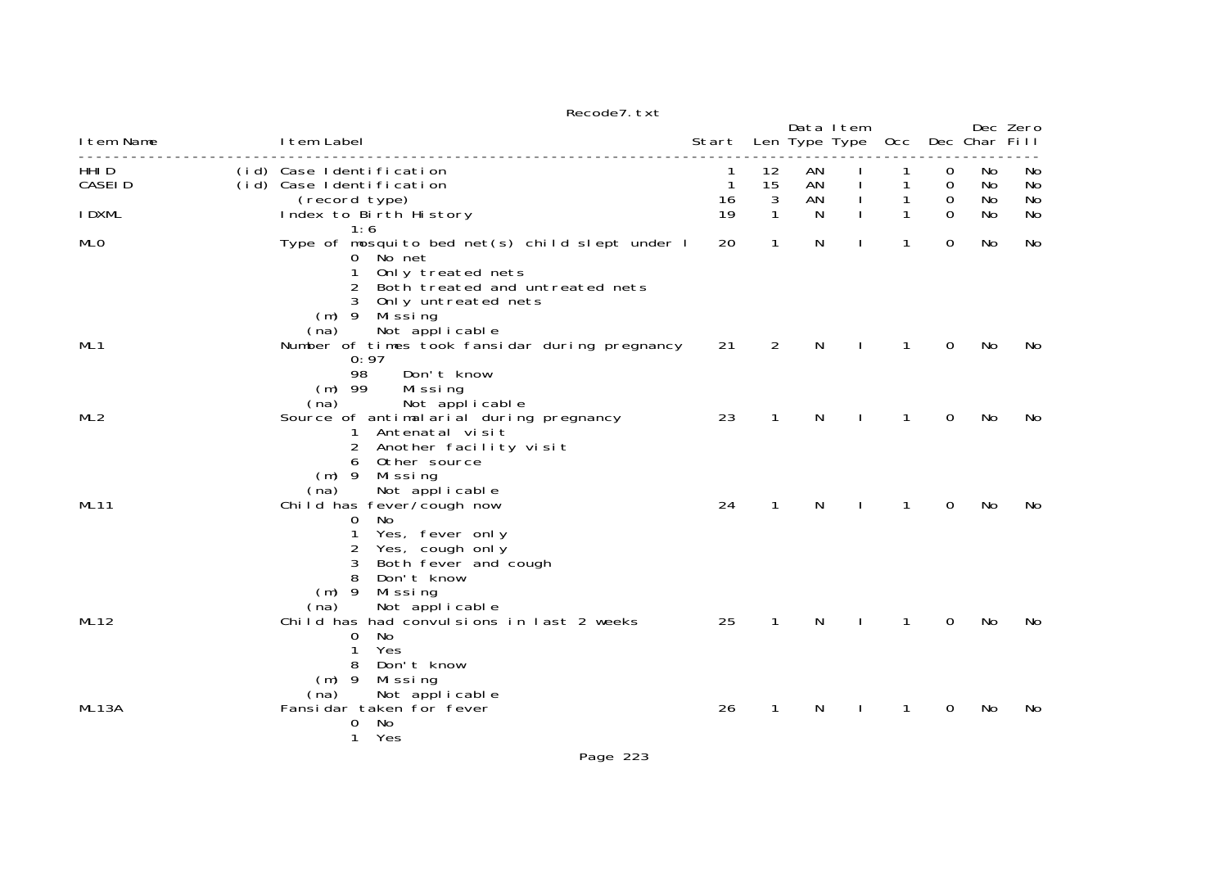| I tem Name         | I tem Label                                                                                                                                                                                            | Start Len Type Type Occ |               | Data I tem     |              |              |             | Dec Char Fill   | Dec Zero       |
|--------------------|--------------------------------------------------------------------------------------------------------------------------------------------------------------------------------------------------------|-------------------------|---------------|----------------|--------------|--------------|-------------|-----------------|----------------|
| HHI D<br>CASEI D   | (id) Case Identification<br>(id) Case Identification<br>(record type)                                                                                                                                  | 1<br>$\mathbf{1}$<br>16 | 12<br>15<br>3 | AN<br>AN<br>AN |              | 1            | 0<br>0<br>0 | No<br>No.<br>No | No<br>No<br>No |
| I DXML             | Index to Birth History<br>1:6                                                                                                                                                                          | 19                      | 1             | N              |              |              | $\Omega$    | No              | No             |
| MLO                | Type of mosquito bed net(s) child slept under I<br>0 No net<br>Only treated nets<br>1<br>Both treated and untreated nets<br>2<br>Only untreated nets<br>$(m)$ 9<br>Mi ssi ng<br>Not applicable<br>(na) | 20                      | 1             | N              |              | 1            | 0           | No              | No             |
| ML <sub>1</sub>    | Number of times took fansidar during pregnancy<br>0:97<br>98<br>Don't know<br>$(m)$ 99<br>Missing<br>(na)<br>Not applicable                                                                            | 21                      | 2             | N              |              | 1            | $\mathbf 0$ | No              | No             |
| ML2                | Source of antimalarial during pregnancy<br>1 Antenatal visit<br>Another facility visit<br>Other source<br>6<br>$(m)$ 9<br>Mi ssi ng<br>(na)<br>Not applicable                                          | 23                      | $\mathbf{1}$  | N              |              | 1            | 0           | No              | No             |
| <b>ML11</b>        | Child has fever/cough now<br>No.<br>$\Omega$<br>Yes, fever only<br>1<br>2<br>Yes, cough only<br>Both fever and cough<br>3<br>8<br>Don't know<br>$(m)$ 9<br>Missing<br>Not applicable<br>(na)           | 24                      | $\mathbf{1}$  | N              | $\mathbf{L}$ | $\mathbf{1}$ | 0           | No              | No             |
| ML <sub>12</sub>   | Child has had convulsions in last 2 weeks<br>No<br>0<br>Yes<br>1<br>Don't know<br>8<br>$(m)$ 9<br>Missing<br>Not applicable<br>(na)                                                                    | 25                      | $\mathbf{1}$  | N              | $\mathbf{I}$ | $\mathbf{1}$ | 0           | No              | No             |
| ML <sub>13</sub> A | Fansidar taken for fever<br>No<br>0<br>1<br>Yes                                                                                                                                                        | 26                      | 1             | N              |              | 1            | 0           | No              | No             |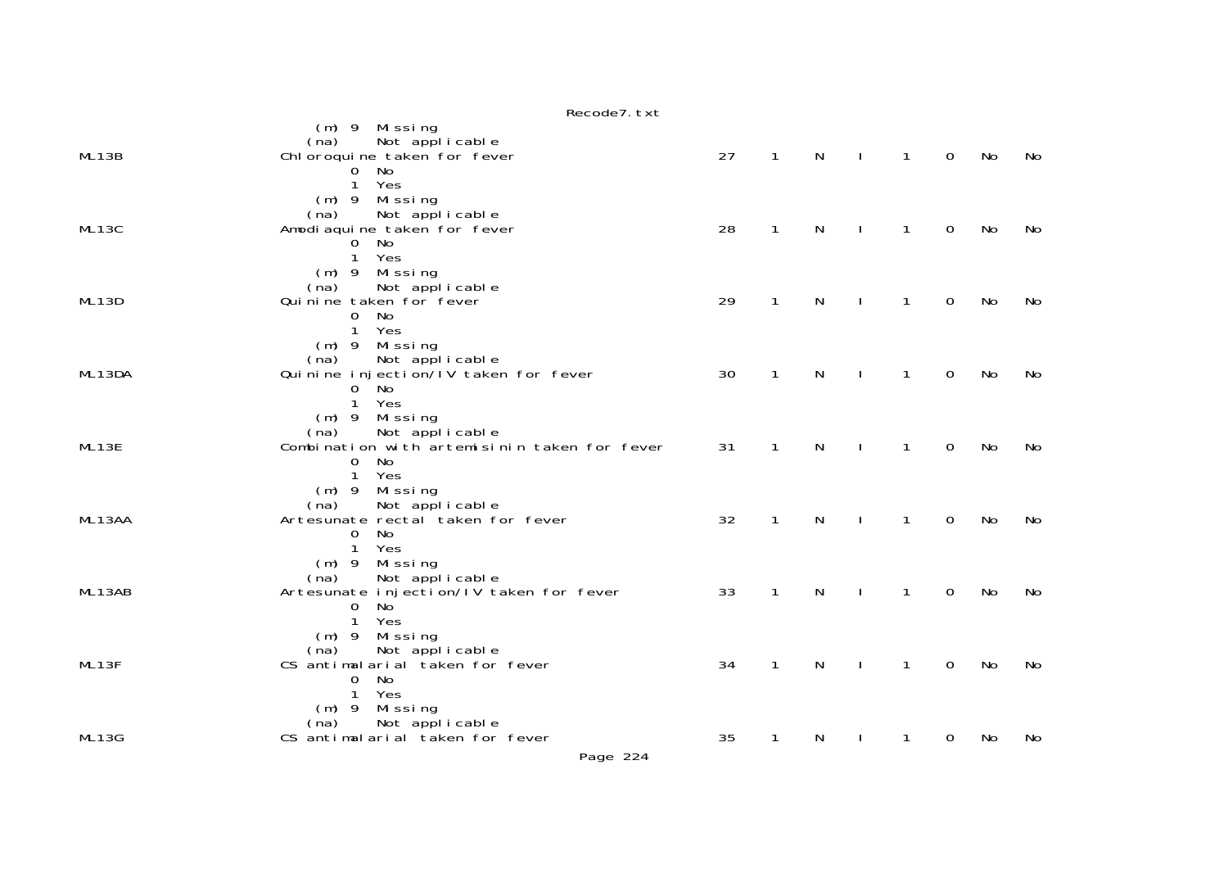|        | $(m)$ 9 Missing<br>Not applicable<br>(na)                              |    |              |              |              |              |                |    |    |
|--------|------------------------------------------------------------------------|----|--------------|--------------|--------------|--------------|----------------|----|----|
| ML13B  | Chl oroqui ne taken for fever                                          | 27 | $\mathbf{1}$ | $\mathsf{N}$ | $\mathbf{I}$ | $\mathbf{1}$ | $\mathbf 0$    | No | No |
|        | No<br>0                                                                |    |              |              |              |              |                |    |    |
|        | Yes<br>$\mathbf{1}$                                                    |    |              |              |              |              |                |    |    |
|        | $(m)$ 9 Missing                                                        |    |              |              |              |              |                |    |    |
|        | Not applicable<br>(na)                                                 |    |              |              |              |              |                |    |    |
| ML13C  | Amodi aqui ne taken for fever<br>No<br>$\mathbf 0$                     | 28 | $\mathbf{1}$ | $\mathsf{N}$ | $\mathbf{L}$ | $\mathbf{1}$ | $\overline{0}$ | No | No |
|        | 1<br>Yes                                                               |    |              |              |              |              |                |    |    |
|        | $(m)$ 9 Missing                                                        |    |              |              |              |              |                |    |    |
|        | (na)<br>Not applicable                                                 |    |              |              |              |              |                |    |    |
| ML13D  | Qui ni ne taken for fever                                              | 29 | $\mathbf{1}$ | N            |              | 1            | $\mathbf 0$    | No | No |
|        | 0 No                                                                   |    |              |              |              |              |                |    |    |
|        | $\mathbf{1}$<br>Yes                                                    |    |              |              |              |              |                |    |    |
|        | $(m)$ 9 Missing<br>Not applicable<br>(na)                              |    |              |              |              |              |                |    |    |
| ML13DA | Qui ni ne i nj ecti on/IV taken for fever                              | 30 | $\mathbf{1}$ | N            | $\mathbf{I}$ | $\mathbf{1}$ | $\mathbf 0$    | No | No |
|        | $0$ No                                                                 |    |              |              |              |              |                |    |    |
|        | Yes<br>$\mathbf{1}$                                                    |    |              |              |              |              |                |    |    |
|        | $(m)$ 9 Missing                                                        |    |              |              |              |              |                |    |    |
| ML13E  | Not applicable<br>(na)<br>Combination with artemisinin taken for fever | 31 | $\mathbf{1}$ | $\mathsf{N}$ | $\mathbf{I}$ | $\mathbf{1}$ | $\mathbf 0$    | No | No |
|        | No<br>$\mathbf 0$                                                      |    |              |              |              |              |                |    |    |
|        | $\mathbf{1}$<br>Yes                                                    |    |              |              |              |              |                |    |    |
|        | Missing<br>$(m)$ 9                                                     |    |              |              |              |              |                |    |    |
|        | Not applicable<br>(na)                                                 |    |              |              |              |              |                |    |    |
| ML13AA | Artesunate rectal taken for fever                                      | 32 | $\mathbf{1}$ | $\mathsf{N}$ | $\mathbf{I}$ | $\mathbf{1}$ | $\mathbf 0$    | No | No |
|        | No<br>$\Omega$<br>Yes<br>$\mathbf{1}$                                  |    |              |              |              |              |                |    |    |
|        | (m) 9 Missing                                                          |    |              |              |              |              |                |    |    |
|        | Not applicable<br>(na)                                                 |    |              |              |              |              |                |    |    |
| ML13AB | Artesunate injection/IV taken for fever                                | 33 | $\mathbf{1}$ | $\mathsf{N}$ | $\mathbf{I}$ | $\mathbf{1}$ | $\mathbf 0$    | No | No |
|        | $\mathbf 0$<br>No                                                      |    |              |              |              |              |                |    |    |
|        | $\mathbf{1}$<br>Yes                                                    |    |              |              |              |              |                |    |    |
|        | $(m)$ 9 Missing<br>Not applicable<br>(na)                              |    |              |              |              |              |                |    |    |
| ML13F  | CS antimalarial taken for fever                                        | 34 | $\mathbf{1}$ | N            |              | 1            | 0              | No | No |
|        | <b>No</b><br>$\mathbf 0$                                               |    |              |              |              |              |                |    |    |
|        | $\mathbf{1}$<br>Yes                                                    |    |              |              |              |              |                |    |    |
|        | (m) 9 Missing                                                          |    |              |              |              |              |                |    |    |
| ML13G  | Not applicable<br>(na)<br>CS antimalarial taken for fever              | 35 | 1            | N            |              | 1            | 0              | No | No |
|        |                                                                        |    |              |              |              |              |                |    |    |
|        | Page 224                                                               |    |              |              |              |              |                |    |    |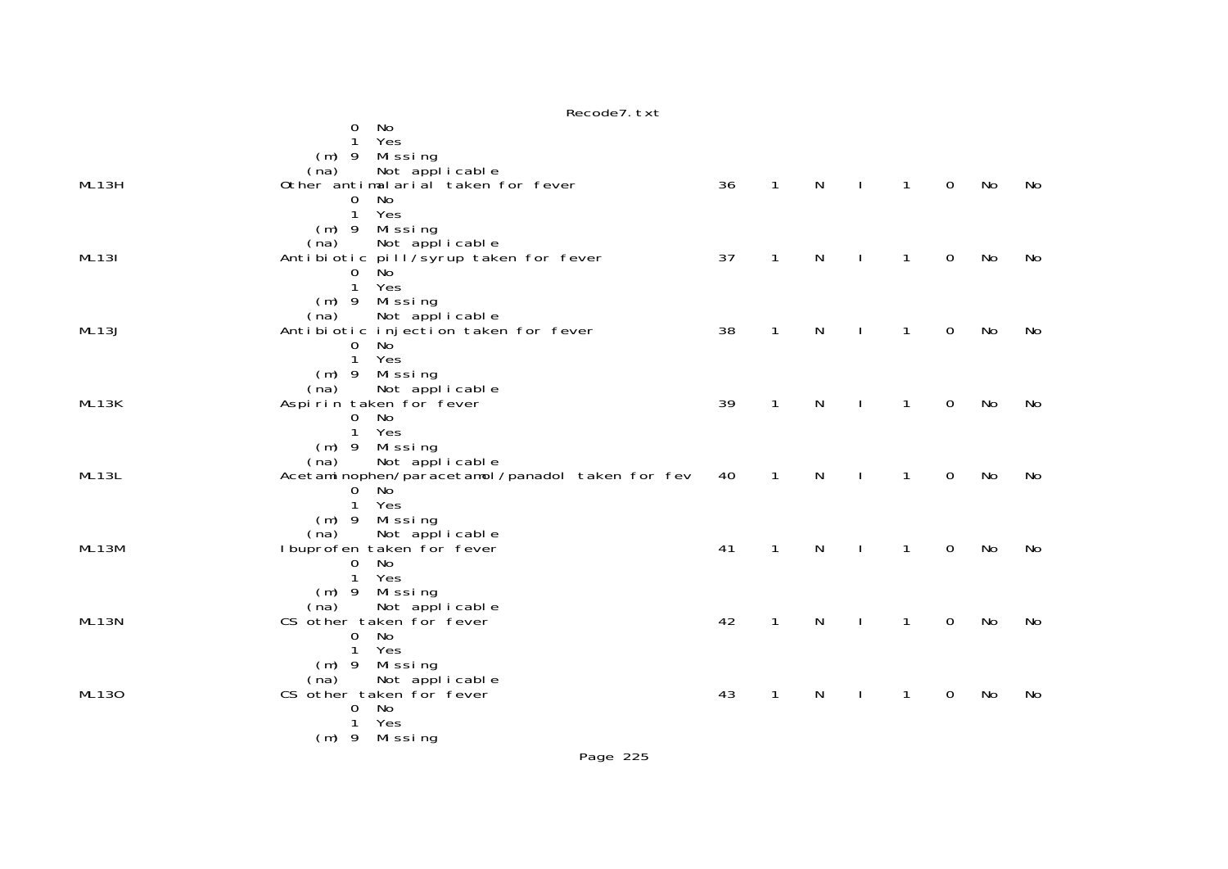|              | Recode7. txt                                    |    |              |              |              |              |             |    |    |
|--------------|-------------------------------------------------|----|--------------|--------------|--------------|--------------|-------------|----|----|
|              | No<br>0                                         |    |              |              |              |              |             |    |    |
|              | Yes<br>1                                        |    |              |              |              |              |             |    |    |
|              | Missing<br>$(m)$ 9                              |    |              |              |              |              |             |    |    |
|              | Not applicable<br>(na)                          |    |              |              |              |              |             |    |    |
| ML13H        | Other antimalarial taken for fever              | 36 | $\mathbf{1}$ | N            | $\mathbf{I}$ | $\mathbf{1}$ | 0           | No | No |
|              | No<br>$\Omega$                                  |    |              |              |              |              |             |    |    |
|              | Yes<br>$\mathbf{1}$                             |    |              |              |              |              |             |    |    |
|              | $(m)$ 9 Missing                                 |    |              |              |              |              |             |    |    |
|              | Not applicable<br>(na)                          |    |              |              |              |              |             |    |    |
| <b>ML131</b> | Antibiotic pill/syrup taken for fever           | 37 | $\mathbf{1}$ | $\mathsf{N}$ | $\mathbf{I}$ | $\mathbf{1}$ | $\mathbf 0$ | No | No |
|              | <b>No</b><br>$\mathbf 0$<br>$\mathbf{1}$<br>Yes |    |              |              |              |              |             |    |    |
|              | Missing<br>$(m)$ 9                              |    |              |              |              |              |             |    |    |
|              | Not applicable<br>(na)                          |    |              |              |              |              |             |    |    |
| ML13J        | Antibiotic injection taken for fever            | 38 | $\mathbf{1}$ | N            | $\mathbf{I}$ | 1            | 0           | No | No |
|              | No<br>$\mathbf{O}$                              |    |              |              |              |              |             |    |    |
|              | $\mathbf{1}$<br>Yes                             |    |              |              |              |              |             |    |    |
|              | (m) 9 Missing                                   |    |              |              |              |              |             |    |    |
|              | Not applicable<br>(na)                          |    |              |              |              |              |             |    |    |
| ML13K        | Aspirin taken for fever                         | 39 | $\mathbf{1}$ | N            | $\mathbf{I}$ | $\mathbf{1}$ | $\mathbf 0$ | No | No |
|              | No<br>$\mathbf{0}$                              |    |              |              |              |              |             |    |    |
|              | $\mathbf{1}$<br>Yes                             |    |              |              |              |              |             |    |    |
|              | (m) 9 Missing                                   |    |              |              |              |              |             |    |    |
|              | Not applicable<br>(na)                          |    |              |              |              |              |             |    |    |
| ML13L        | Acetaminophen/paracetamol/panadol taken for fev | 40 | 1            | N            |              | 1            | 0           | No | No |
|              | No<br>$\mathbf 0$<br>Yes                        |    |              |              |              |              |             |    |    |
|              | $\mathbf{1}$<br>$(m)$ 9 Missing                 |    |              |              |              |              |             |    |    |
|              | (na)<br>Not applicable                          |    |              |              |              |              |             |    |    |
| ML13M        | I buprofen taken for fever                      | 41 | $\mathbf{1}$ | $\mathsf{N}$ | $\mathbf{I}$ | $\mathbf{1}$ | 0           | No | No |
|              | No<br>$\mathbf 0$                               |    |              |              |              |              |             |    |    |
|              | $\mathbf{1}$<br>Yes                             |    |              |              |              |              |             |    |    |
|              | (m) 9 Missing                                   |    |              |              |              |              |             |    |    |
|              | (na) Not applicable<br>CS other taken for fever |    |              |              |              |              |             |    |    |
| ML13N        |                                                 | 42 | $\mathbf{1}$ | N            | $\mathbf{I}$ | $\mathbf{1}$ | 0           | No | No |
|              | No<br>$\mathbf{O}$                              |    |              |              |              |              |             |    |    |
|              | Yes<br>1                                        |    |              |              |              |              |             |    |    |
|              | Missing<br>$(m)$ 9                              |    |              |              |              |              |             |    |    |
|              | Not applicable<br>(na)                          |    |              |              |              |              |             |    |    |
| ML130        | CS other taken for fever                        | 43 | 1            | N            |              | 1            | 0           | No | No |
|              | No<br>$\mathbf{O}$<br>Yes<br>1                  |    |              |              |              |              |             |    |    |
|              | $(m)$ 9 Missing                                 |    |              |              |              |              |             |    |    |
|              |                                                 |    |              |              |              |              |             |    |    |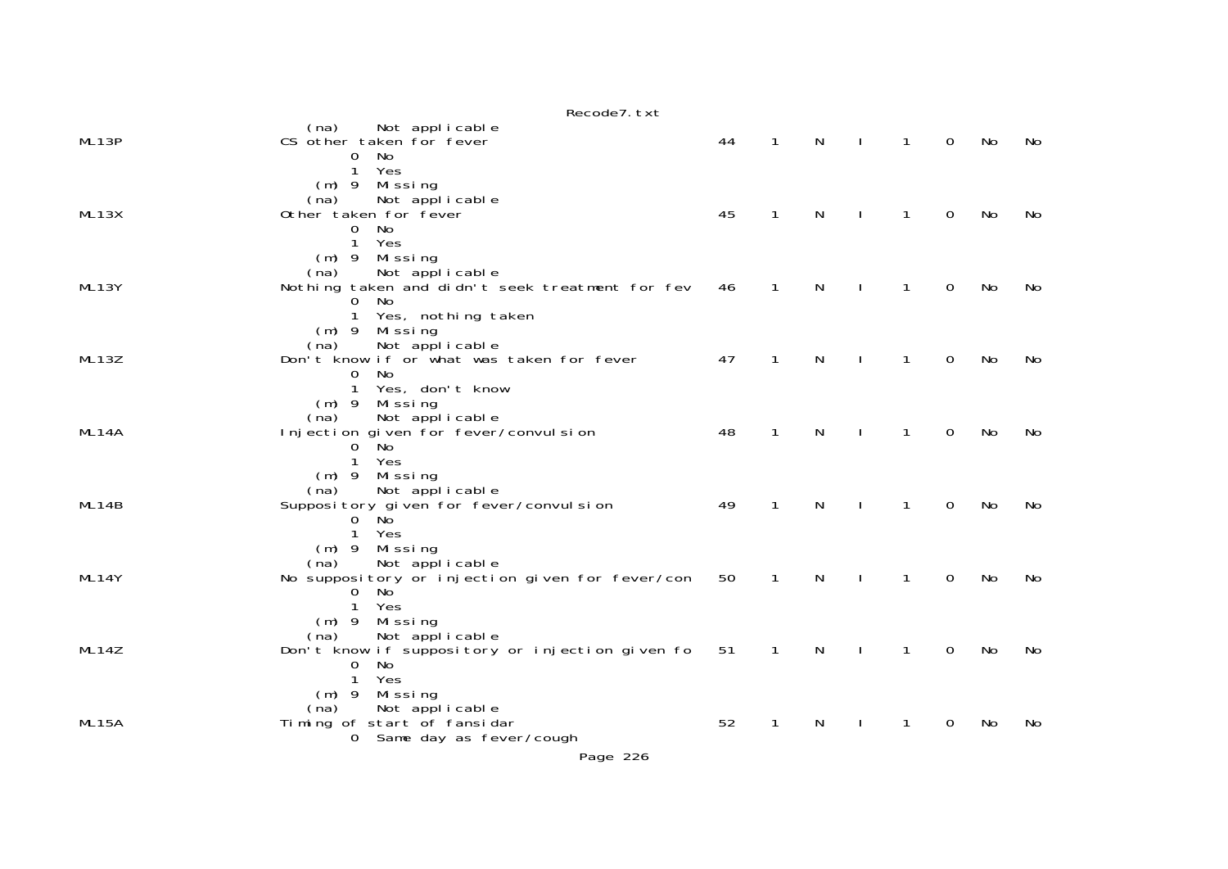|       | Recode7. txt                                                                                                                          |    |              |           |              |              |             |    |     |
|-------|---------------------------------------------------------------------------------------------------------------------------------------|----|--------------|-----------|--------------|--------------|-------------|----|-----|
| ML13P | (na) Not applicable<br>CS other taken for fever<br>No<br>$\overline{0}$<br>Yes<br>1                                                   | 44 | $\mathbf{1}$ | N         |              | 1            | $\Omega$    | No | No. |
| ML13X | $(m)$ 9 Missing<br>Not applicable<br>(na)<br>Other taken for fever<br>No<br>$\mathbf{O}$<br>$\mathbf{1}$<br>Yes                       | 45 | $\mathbf 1$  | N         |              | 1            | $\Omega$    | No | No. |
| ML13Y | Missing<br>$(m)$ 9<br>Not applicable<br>(na)<br>Nothing taken and didn't seek treatment for fev<br>No<br>0<br>Yes, nothing taken<br>1 | 46 | 1            | N         |              | 1            | 0           | No | No  |
| ML13Z | $(m)$ 9 Missing<br>Not applicable<br>(na)<br>Don't know if or what was taken for fever<br><b>No</b><br>0<br>Yes, don't know<br>1      | 47 | $\mathbf{1}$ | ${\sf N}$ |              | $\mathbf{1}$ | 0           | No | No  |
| ML14A | $(m)$ 9 Missing<br>Not applicable<br>(na)<br>Injection given for fever/convulsion<br>ັNo<br>$\overline{0}$<br>Yes<br>$\mathbf{1}$     | 48 | $\mathbf{1}$ | N         | $\mathbf{I}$ | $\mathbf{1}$ | $\Omega$    | No | No  |
| ML14B | $(m)$ 9 Missing<br>Not applicable<br>(na)<br>Supposi tory given for fever/convul sion<br>$0$ No<br>Yes<br>1                           | 49 | $\mathbf{1}$ | N         |              | 1            | $\Omega$    | No | No  |
| ML14Y | $(m)$ 9 Missing<br>Not applicable<br>(na)<br>No suppository or injection given for fever/con<br>$\mathbf 0$<br>No<br>1<br>Yes         | 50 | $\mathbf{1}$ | N         |              | 1            | $\mathbf 0$ | No | No  |
| ML14Z | $(m)$ 9<br>Missing<br>Not applicable<br>(na)<br>Don't know if suppository or injection given fo<br>0<br>No<br>Yes<br>$\mathbf{1}$     | 51 | $\mathbf{1}$ | N         |              | 1            | 0           | No | No  |
| ML15A | $(m)$ 9<br>Missing<br>Not applicable<br>(na)<br>Timing of start of fansidar<br>0 Same day as fever/cough                              | 52 | 1            | N         |              | 1            | $\mathbf 0$ | No | No  |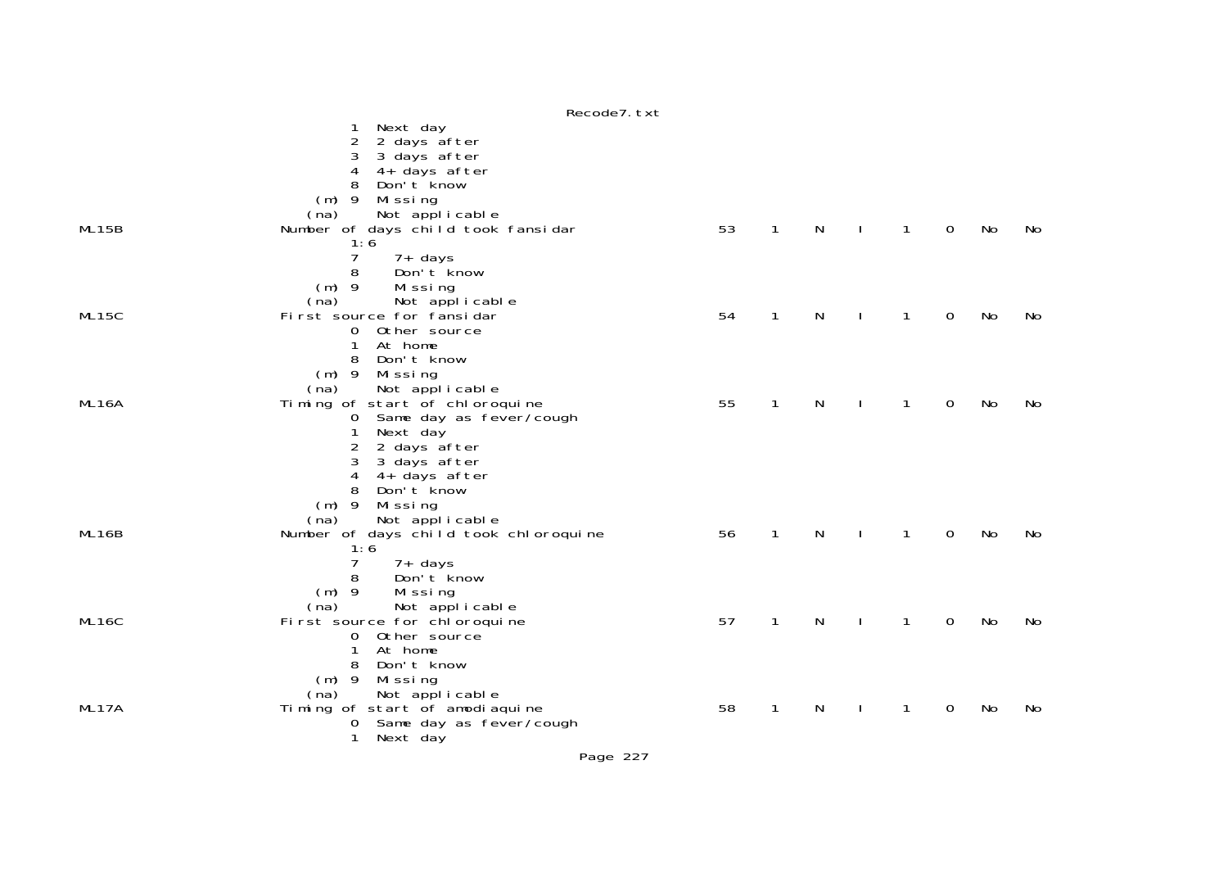|       | Next day<br>1<br>2 days after<br>2<br>3 days after<br>3<br>4<br>4+ days after<br>Don't know<br>8<br>$(m)$ 9<br>Missing                                     |    |              |   |              |              |             |    |    |
|-------|------------------------------------------------------------------------------------------------------------------------------------------------------------|----|--------------|---|--------------|--------------|-------------|----|----|
| ML15B | Not applicable<br>(na)<br>Number of days child took fansidar<br>1:6                                                                                        | 53 | $\mathbf{1}$ | N |              | $\mathbf{1}$ | $\mathbf 0$ | No | No |
|       | $\overline{7}$<br>$7+$ days<br>8<br>Don't know<br>$(m)$ 9<br>Missing                                                                                       |    |              |   |              |              |             |    |    |
| ML15C | Not applicable<br>(na)<br>First source for fansidar<br>0 Other source<br>1<br>At home                                                                      | 54 | $\mathbf{1}$ | N |              | 1            | 0           | No | No |
|       | Don't know<br>8<br>$(m)$ 9<br>Missing<br>Not applicable<br>(na)                                                                                            |    |              |   |              |              |             |    |    |
| ML16A | Timing of start of chloroquine<br>0 Same day as fever/cough<br>Next day<br>2<br>2 days after<br>3<br>3 days after<br>4+ days after<br>4<br>8<br>Don't know | 55 | $\mathbf{1}$ | N |              | $\mathbf{1}$ | 0           | No | No |
|       | $(m)$ 9<br>Missing<br>Not applicable<br>(na)                                                                                                               |    |              |   |              |              |             |    |    |
| ML16B | Number of days child took chloroquine<br>1:6<br>7<br>7+ days                                                                                               | 56 | 1            | N |              | 1            | 0           | No | No |
| ML16C | 8<br>Don't know<br>$(m)$ 9<br>Missing<br>(na)<br>Not applicable<br>First source for chloroquine<br>Other source<br>$\Omega$<br>At home<br>1                | 57 | $\mathbf{1}$ | N | J.           | 1            | $\mathbf 0$ | No | No |
| ML17A | 8<br>Don't know<br>$(m)$ 9<br>Missing<br>Not applicable<br>(na)<br>Timing of start of amodiaquine<br>Same day as fever/cough<br>0<br>Next day<br>1         | 58 | $\mathbf{1}$ | N | $\mathbf{I}$ | 1            | 0           | No | No |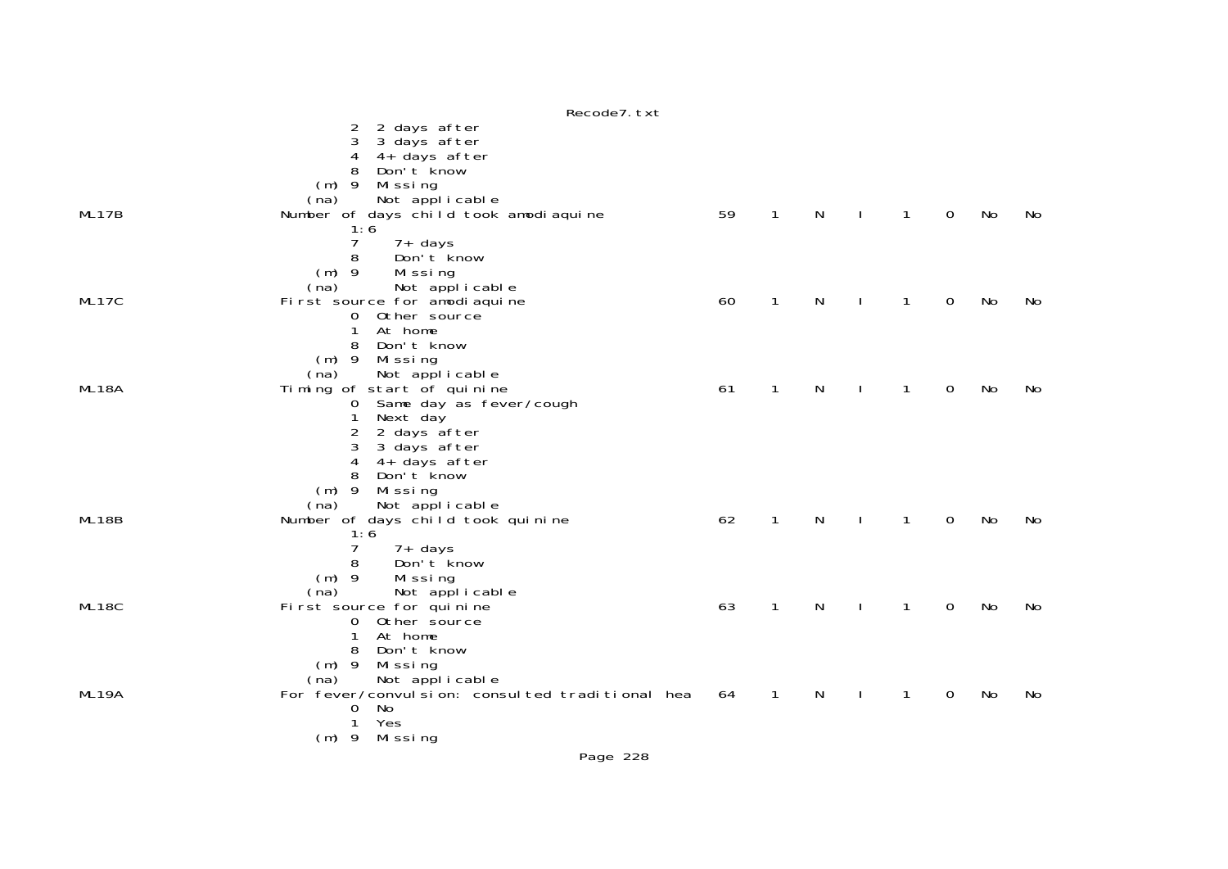|       | Recode7. txt                                    |    |              |   |              |              |             |    |    |
|-------|-------------------------------------------------|----|--------------|---|--------------|--------------|-------------|----|----|
|       | 2 days after<br>2                               |    |              |   |              |              |             |    |    |
|       | 3<br>3 days after                               |    |              |   |              |              |             |    |    |
|       | 4<br>4+ days after                              |    |              |   |              |              |             |    |    |
|       | 8<br>Don't know                                 |    |              |   |              |              |             |    |    |
|       |                                                 |    |              |   |              |              |             |    |    |
|       | $(m)$ 9<br>Missing                              |    |              |   |              |              |             |    |    |
|       | Not applicable<br>(na)                          |    |              |   |              |              |             |    |    |
| ML17B | Number of days child took amodiaquine           | 59 | $\mathbf{1}$ | N | J.           | 1            | 0           | No | No |
|       | 1:6                                             |    |              |   |              |              |             |    |    |
|       | 7<br>$7+$ days                                  |    |              |   |              |              |             |    |    |
|       | 8<br>Don't know                                 |    |              |   |              |              |             |    |    |
|       | $(m)$ 9<br>Missing                              |    |              |   |              |              |             |    |    |
|       | (na)<br>Not applicable                          |    |              |   |              |              |             |    |    |
|       |                                                 |    |              |   |              |              |             |    |    |
| ML17C | First source for amodiaquine                    | 60 | $\mathbf{1}$ | N |              | $\mathbf{1}$ | 0           | No | No |
|       | 0 Other source                                  |    |              |   |              |              |             |    |    |
|       | 1<br>At home                                    |    |              |   |              |              |             |    |    |
|       | 8<br>Don't know                                 |    |              |   |              |              |             |    |    |
|       | $(m)$ 9<br>Missing                              |    |              |   |              |              |             |    |    |
|       | Not applicable<br>(na)                          |    |              |   |              |              |             |    |    |
| ML18A | Timing of start of quinine                      | 61 | $\mathbf{1}$ | N |              | $\mathbf{1}$ | 0           | No | No |
|       | 0 Same day as fever/cough                       |    |              |   |              |              |             |    |    |
|       | 1<br>Next day                                   |    |              |   |              |              |             |    |    |
|       | 2<br>2 days after                               |    |              |   |              |              |             |    |    |
|       | 3<br>3 days after                               |    |              |   |              |              |             |    |    |
|       | 4+ days after<br>4                              |    |              |   |              |              |             |    |    |
|       | 8<br>Don't know                                 |    |              |   |              |              |             |    |    |
|       |                                                 |    |              |   |              |              |             |    |    |
|       | $(m)$ 9<br>Missing                              |    |              |   |              |              |             |    |    |
|       | Not applicable<br>(na)                          |    |              |   |              |              |             |    |    |
| ML18B | Number of days child took quinine               | 62 | $\mathbf{1}$ | N | $\mathbf{I}$ | $\mathbf{1}$ | $\mathbf 0$ | No | No |
|       | 1:6                                             |    |              |   |              |              |             |    |    |
|       | 7<br>7+ days                                    |    |              |   |              |              |             |    |    |
|       | 8<br>Don't know                                 |    |              |   |              |              |             |    |    |
|       | $(m)$ 9<br>Missing                              |    |              |   |              |              |             |    |    |
|       | Not applicable<br>(na)                          |    |              |   |              |              |             |    |    |
| ML18C | First source for quinine                        | 63 | $\mathbf{1}$ | N | $\mathbf{I}$ | $\mathbf{1}$ | 0           | No | No |
|       | 0 Other source                                  |    |              |   |              |              |             |    |    |
|       | $\mathbf{1}$<br>At home                         |    |              |   |              |              |             |    |    |
|       | 8<br>Don't know                                 |    |              |   |              |              |             |    |    |
|       |                                                 |    |              |   |              |              |             |    |    |
|       | $(m)$ 9<br>Missing                              |    |              |   |              |              |             |    |    |
|       | Not applicable<br>(na)                          |    |              |   |              |              |             |    |    |
| ML19A | For fever/convulsion: consulted traditional hea | 64 | $\mathbf{1}$ | N |              | 1            | 0           | No | No |
|       | No<br>0                                         |    |              |   |              |              |             |    |    |
|       | Yes<br>1                                        |    |              |   |              |              |             |    |    |
|       | (m) 9 Missing                                   |    |              |   |              |              |             |    |    |
|       |                                                 |    |              |   |              |              |             |    |    |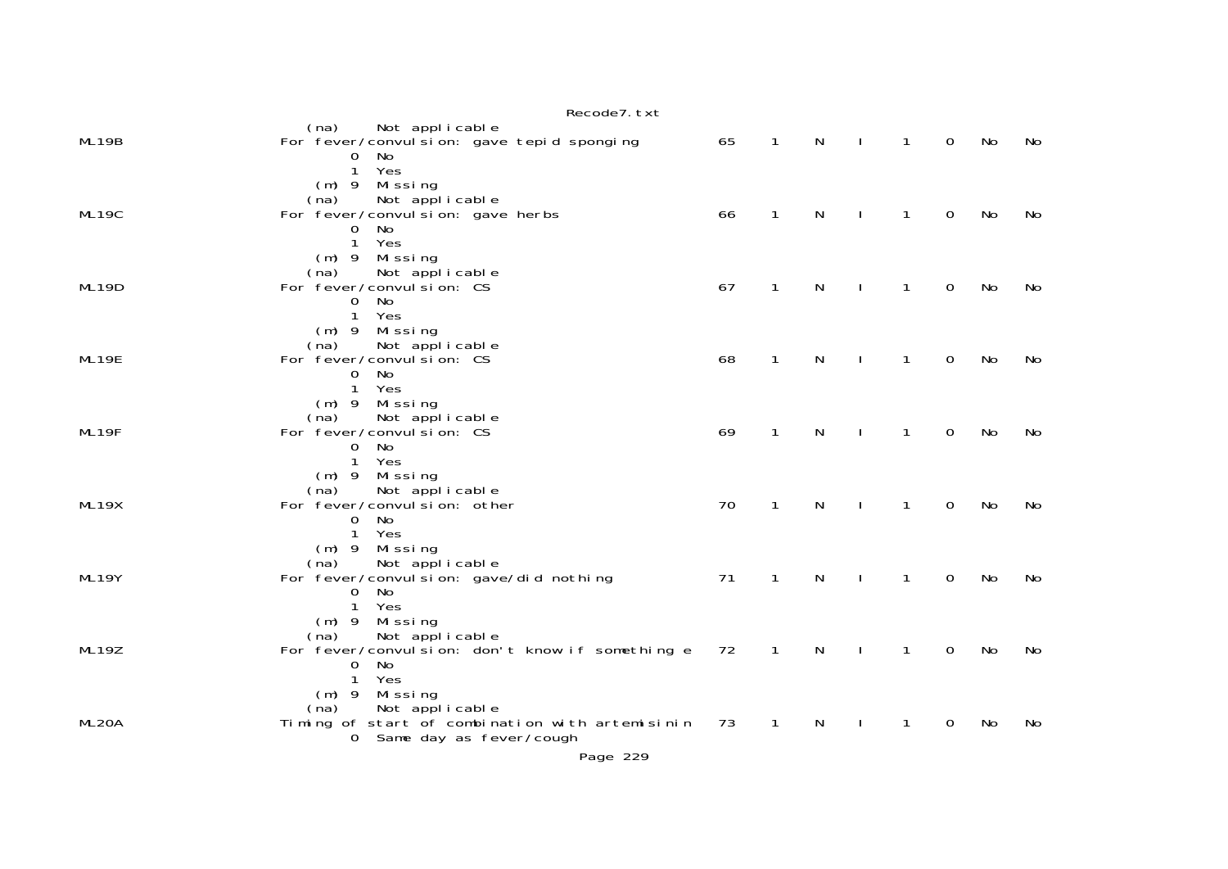|                    | Recode7. txt                                                                                                                             |    |              |              |              |              |             |    |     |
|--------------------|------------------------------------------------------------------------------------------------------------------------------------------|----|--------------|--------------|--------------|--------------|-------------|----|-----|
| ML19B              | Not applicable<br>(na)<br>For fever/convul si on: gave tepid sponging<br>No<br>0<br>$\mathbf{1}$<br>Yes                                  | 65 | $\mathbf{1}$ | N            |              | $\mathbf{1}$ | $\Omega$    | No | No. |
| ML19C              | (m) 9 Missing<br>Not applicable<br>(na)<br>For fever/convul si on: gave herbs<br>No<br>0<br>$\mathbf{1}$<br>Yes                          | 66 | $\mathbf{1}$ | $\mathsf{N}$ |              | $\mathbf{1}$ | $\mathbf 0$ | No | No  |
| ML19D              | $(m)$ 9 Missing<br>Not applicable<br>(na)<br>For fever/convul si on: CS<br>No<br>0<br>Yes<br>$\mathbf{1}$                                | 67 | 1            | N            |              | $\mathbf{1}$ | $\mathbf 0$ | No | No  |
| ML19E              | (m) 9 Missing<br>Not applicable<br>(na)<br>For fever/convul si on: CS<br>No<br>$\overline{0}$<br>Yes<br>$\mathbf{1}$                     | 68 | $\mathbf{1}$ | N            | $\mathbf{I}$ | $\mathbf{1}$ | $\mathbf 0$ | No | No  |
| ML19F              | (m) 9 Missing<br>Not applicable<br>(na)<br>For fever/convul si on: CS<br>No<br>$\mathbf{O}$<br>Yes<br>$\mathbf{1}$                       | 69 | $\mathbf{1}$ | N            | $\mathbf{I}$ | $\mathbf{1}$ | $\mathbf 0$ | No | No  |
| ML19X              | $(m)$ 9 Missing<br>Not applicable<br>(na)<br>For fever/convul si on: other<br>No<br>$\mathbf 0$<br>Yes<br>$\mathbf{1}$                   | 70 | $\mathbf{1}$ | N            |              | $\mathbf{1}$ | $\Omega$    | No | No  |
| ML19Y              | $(m)$ 9 Missing<br>Not applicable<br>(na)<br>For fever/convul si on: gave/did nothing<br>No<br>$\mathbf 0$<br>1<br>Yes                   | 71 | $\mathbf{1}$ | $\mathsf{N}$ |              | $\mathbf{1}$ | $\mathbf 0$ | No | No  |
| ML19Z              | $(m)$ 9 Missing<br>Not applicable<br>(na)<br>For fever/convulsion: don't know if something e<br>No<br>$\mathbf 0$<br>$\mathbf{1}$<br>Yes | 72 | $\mathbf{1}$ | N            |              | 1            | $\mathbf 0$ | No | No  |
| ML <sub>20</sub> A | $(m)$ 9 Missing<br>Not applicable<br>(na)<br>Timing of start of combination with artemisinin<br>0 Same day as fever/cough                | 73 | $\mathbf{1}$ | N            |              | 1            | $\mathbf 0$ | No | No  |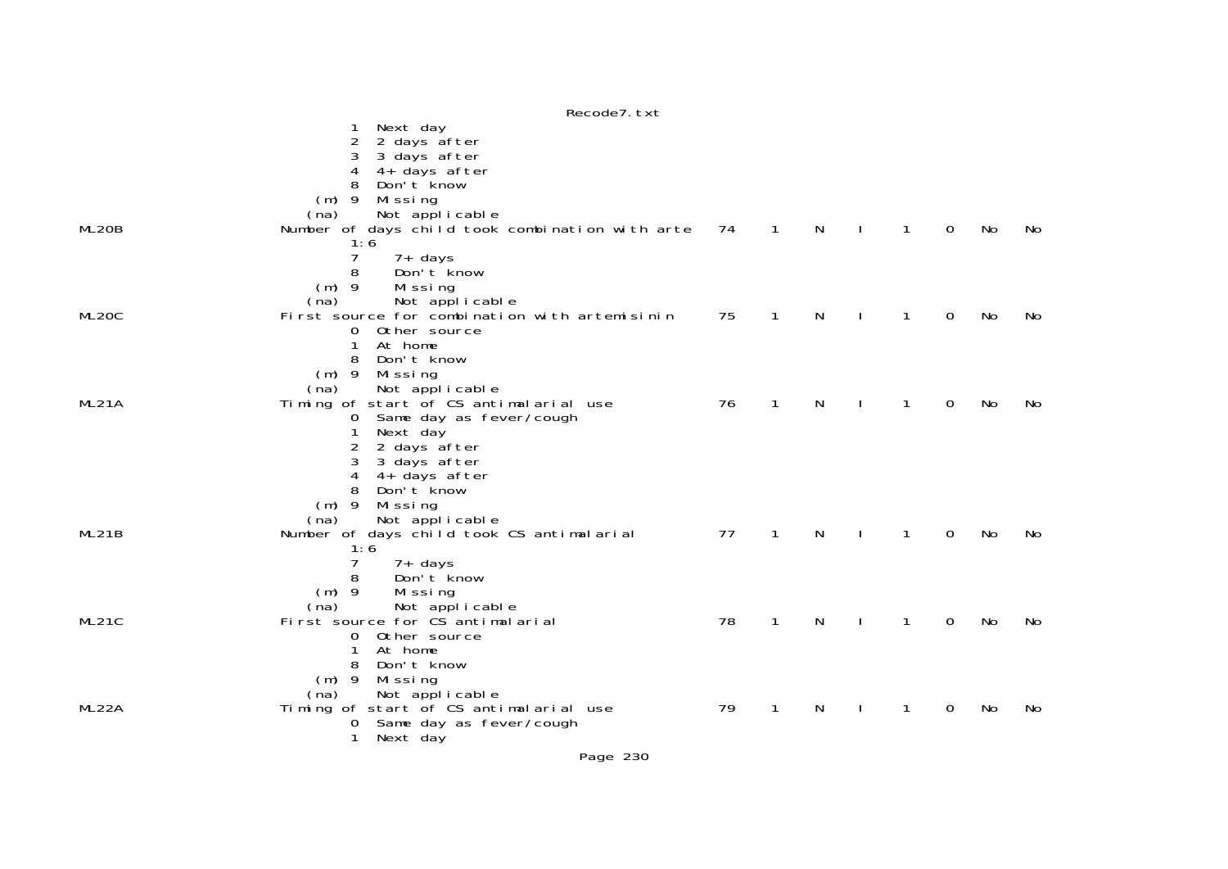1 Next day 2 2 days after 3 3 days after 4 4+ days after 8 Don't know (m) 9 Missing (na) Not applicable<br>ML2OB Number of days child took Number of days child took combination with arte 74 1 N I 1 0 No No 1:6 7 7+ days<br>8 Don't kr 8 Don't know (m) 9 Missing (na) Not applicable<br>ML20C First source for combination First source for combination with artemisinin 75 1 N I 1 0 No No 0 Other source 1 At home 8 Don't know (m) 9 Missing (na) Not applicable<br>MI21A Timing of start of CS anti Timing of start of CS antimalarial use 76 1 N I 1 0 No No 0 Same day as fever/cough 1 Next day 2 2 days after 3 3 days after 4 4+ days after 8 Don't know (m) 9 Missing (na) Not applicable<br>Munber of days child took ML21B Number of days child took CS antimalarial 77 1 N I 1 0 No No 1:6  $7 - 7 + \text{davs}$  8 Don't know (m) 9 Missing (na) Not applicable<br>First source for CS antimala First source for CS antimalarial 78 1 N I 1 0 No No 0 Other source 1 At home 8 Don't know (m) 9 Missing (na) Not applicable<br>MI22A Timing of start of CS anti Timing of start of CS antimalarial use  $\begin{array}{ccccccccc} 79 & 1 & N & I & 1 & 0 & No & No \end{array}$  0 Same day as fever/cough 1 Next day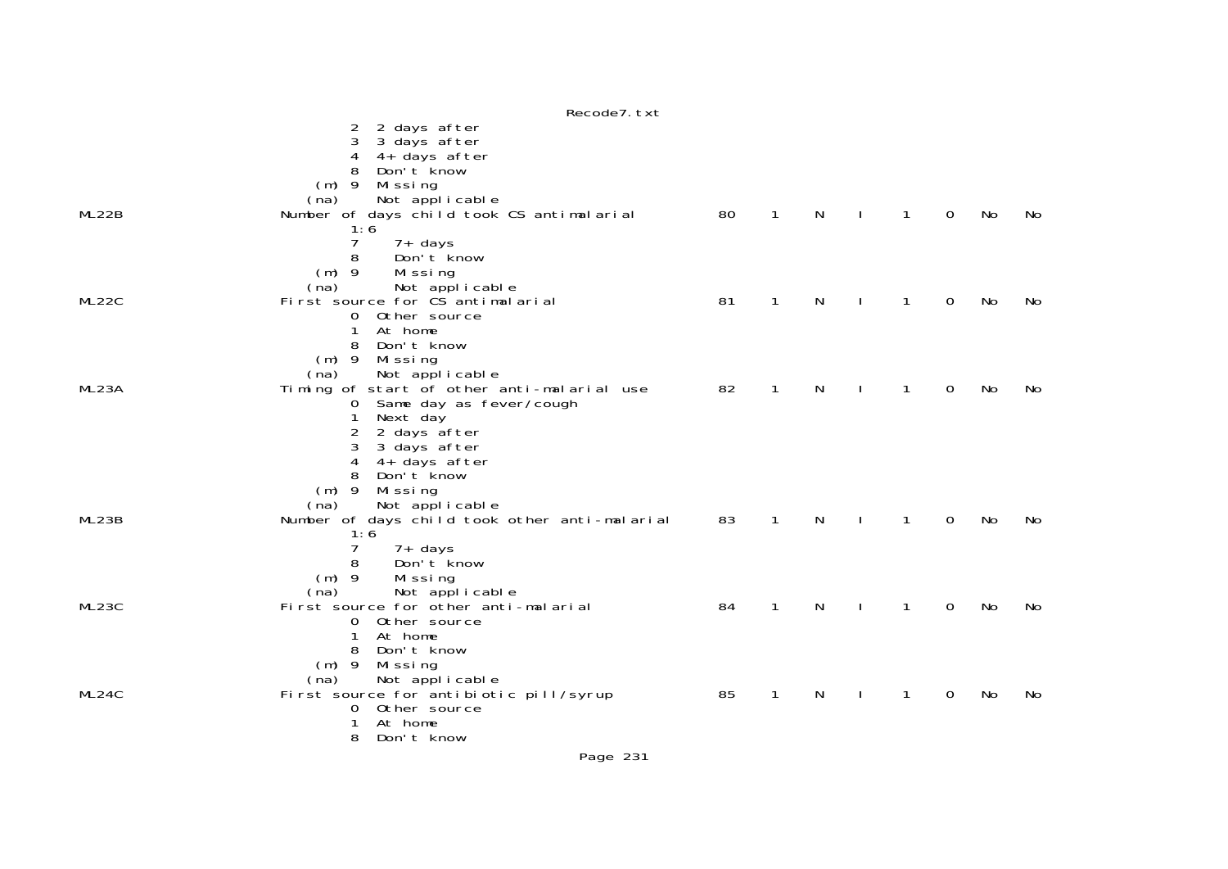|       | Recode7. txt                                  |    |              |    |              |              |    |     |
|-------|-----------------------------------------------|----|--------------|----|--------------|--------------|----|-----|
|       | 2 days after<br>2                             |    |              |    |              |              |    |     |
|       | 3 days after<br>3                             |    |              |    |              |              |    |     |
|       | 4+ days after<br>4                            |    |              |    |              |              |    |     |
|       | 8<br>Don't know                               |    |              |    |              |              |    |     |
|       | $(m)$ 9 Missing                               |    |              |    |              |              |    |     |
|       | Not applicable<br>(na)                        |    |              |    |              |              |    |     |
| ML22B | Number of days child took CS antimalarial     | 80 | $\mathbf{1}$ | N  | $\mathbf{1}$ | $\mathbf{0}$ | No | No  |
|       | 1:6                                           |    |              |    |              |              |    |     |
|       | 7<br>$7+$ days                                |    |              |    |              |              |    |     |
|       | 8<br>Don't know                               |    |              |    |              |              |    |     |
|       | $(m)$ 9<br>Missing                            |    |              |    |              |              |    |     |
|       | Not applicable<br>(na)                        |    |              |    |              |              |    |     |
| ML22C | First source for CS antimal arial             | 81 | $\mathbf{1}$ | N  | $\mathbf{1}$ | 0            | No | No  |
|       | 0<br>Other source                             |    |              |    |              |              |    |     |
|       | 1<br>At home                                  |    |              |    |              |              |    |     |
|       | 8<br>Don't know                               |    |              |    |              |              |    |     |
|       | $(m)$ 9<br>Missing                            |    |              |    |              |              |    |     |
|       | Not applicable<br>(na)                        |    |              |    |              |              |    |     |
| ML23A | Timing of start of other anti-malarial use    | 82 | 1            | N  | 1            | 0            | No | No  |
|       | Same day as fever/cough<br>0                  |    |              |    |              |              |    |     |
|       | Next day<br>1                                 |    |              |    |              |              |    |     |
|       | 2 days after<br>2                             |    |              |    |              |              |    |     |
|       | 3<br>3 days after                             |    |              |    |              |              |    |     |
|       | 4+ days after<br>4<br>Don't know<br>8         |    |              |    |              |              |    |     |
|       | $(m)$ 9<br>Missing                            |    |              |    |              |              |    |     |
|       | Not applicable<br>(na)                        |    |              |    |              |              |    |     |
| ML23B | Number of days child took other anti-malarial | 83 | $\mathbf{1}$ | N  | $\mathbf{1}$ | 0            | No | No  |
|       | 1:6                                           |    |              |    |              |              |    |     |
|       | 7<br>7+ days                                  |    |              |    |              |              |    |     |
|       | 8<br>Don't know                               |    |              |    |              |              |    |     |
|       | $(m)$ 9<br>Missing                            |    |              |    |              |              |    |     |
|       | Not applicable<br>(na)                        |    |              |    |              |              |    |     |
| ML23C | First source for other anti-malarial          | 84 | $\mathbf{1}$ | N  | 1            | 0            | No | No  |
|       | 0 Other source                                |    |              |    |              |              |    |     |
|       | At home<br>1                                  |    |              |    |              |              |    |     |
|       | 8<br>Don't know                               |    |              |    |              |              |    |     |
|       | (m) 9 Missing                                 |    |              |    |              |              |    |     |
|       | Not applicable<br>(na)                        |    |              |    |              |              |    |     |
| ML24C | First source for antibiotic pill/syrup        | 85 | 1            | N. | 1            | 0            | No | No. |
|       | Other source<br>0                             |    |              |    |              |              |    |     |
|       | At home                                       |    |              |    |              |              |    |     |
|       | Don't know<br>8                               |    |              |    |              |              |    |     |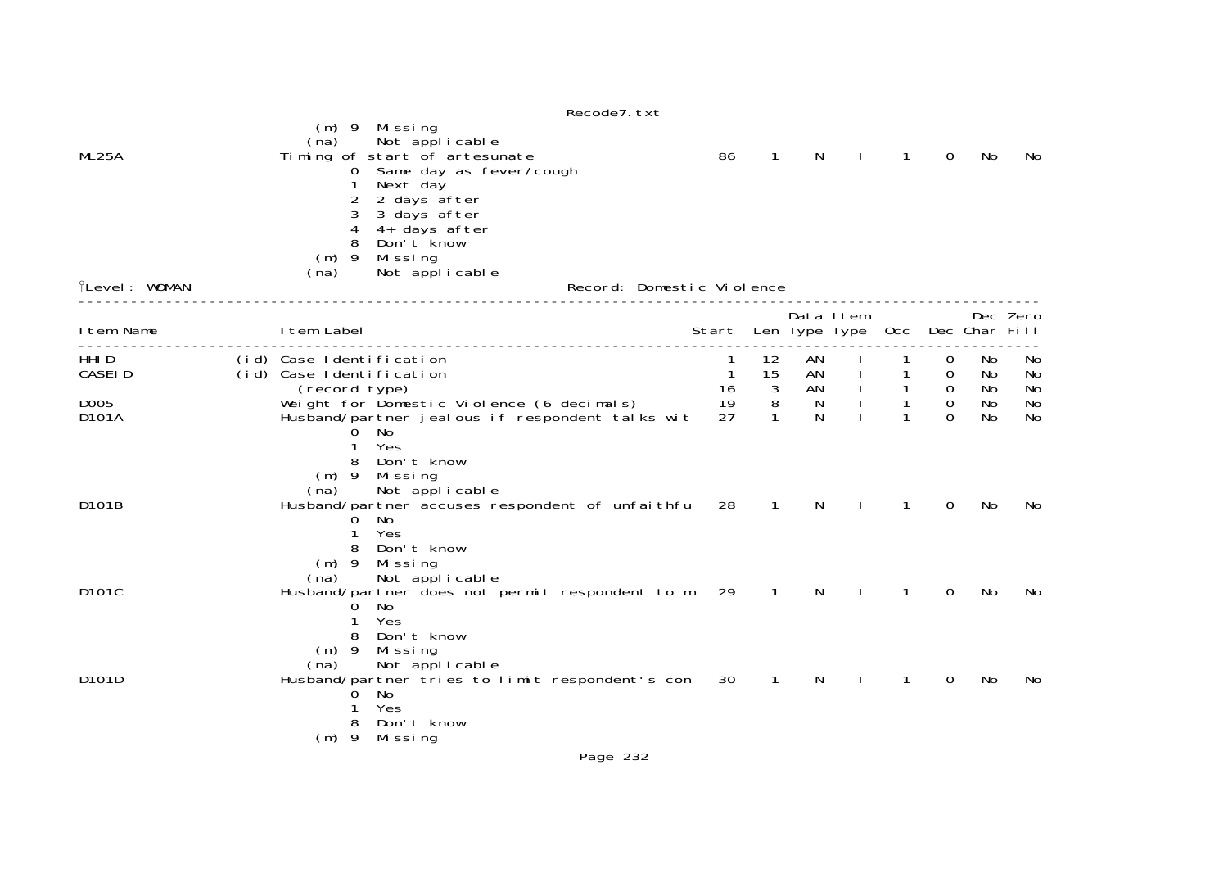|                               | (m) 9 Missing                                                                                                                                                                                                                     | Recode7. txt                          |                                |                |              |                |                                 |                 |                |
|-------------------------------|-----------------------------------------------------------------------------------------------------------------------------------------------------------------------------------------------------------------------------------|---------------------------------------|--------------------------------|----------------|--------------|----------------|---------------------------------|-----------------|----------------|
| ML25A<br><b>flevel: WOMAN</b> | Not applicable<br>(na)<br>Timing of start of artesunate<br>Same day as fever/cough<br>0<br>Next day<br>2<br>2 days after<br>3<br>3 days after<br>4<br>4+ days after<br>Don't know<br>$(m)$ 9<br>Missing<br>Not applicable<br>(na) | 86<br>Record: Domestic Violence       | $\mathbf 1$                    | N              |              | 1              | 0                               | No              | No             |
|                               |                                                                                                                                                                                                                                   |                                       |                                |                |              |                |                                 |                 |                |
| I tem Name                    | I tem Label<br>.                                                                                                                                                                                                                  | Start Len Type Type Occ Dec Char Fill |                                | Data Item      |              |                |                                 |                 | Dec Zero       |
| HHI D<br><b>CASEID</b>        | (id) Case Identification<br>(id) Case Identification<br>(record type)                                                                                                                                                             | 1<br>$\overline{1}$<br>16             | 12<br>15<br>$\overline{3}$     | AN<br>AN<br>AN |              | $\mathbf{1}$   | 0<br>0<br>$\overline{0}$        | No<br>No<br>No. | No<br>No<br>No |
| D <sub>005</sub><br>D101A     | Weight for Domestic Violence (6 decimals)<br>Husband/partner jealous if respondent talks wit<br>No<br>0<br>Yes<br>Don't know<br>8<br>Mi ssi ng<br>$(m)$ 9<br>Not applicable<br>(na)                                               | 19<br>27                              | $\overline{8}$<br>$\mathbf{1}$ | N<br>N         |              | $\overline{1}$ | $\mathsf{O}\xspace$<br>$\Omega$ | No<br><b>No</b> | No<br>No       |
| D101B                         | Husband/partner accuses respondent of unfaithfu<br>No<br>0<br>Yes<br>Don't know<br>8<br>$(m)$ 9<br>Missing<br>Not applicable<br>(na)                                                                                              | 28                                    | $\mathbf{1}$                   | N              |              | 1              | 0                               | No              | No             |
| D101C                         | Husband/partner does not permit respondent to m<br>No<br>0<br>Yes<br>Don't know<br>8<br>$(m)$ 9<br>Missing<br>(na)<br>Not applicable                                                                                              | 29                                    | $\overline{1}$                 | N              | $\mathbf{I}$ | $\mathbf{1}$   | 0                               | No              | No             |
| D101D                         | Husband/partner tries to limit respondent's con<br>No<br>0<br>Yes<br>Don't know<br>8<br>$(m)$ 9<br>Missing                                                                                                                        | 30<br>$\sim$ $\sim$                   | $\overline{1}$                 | N              |              | 1              | 0                               | No              | No             |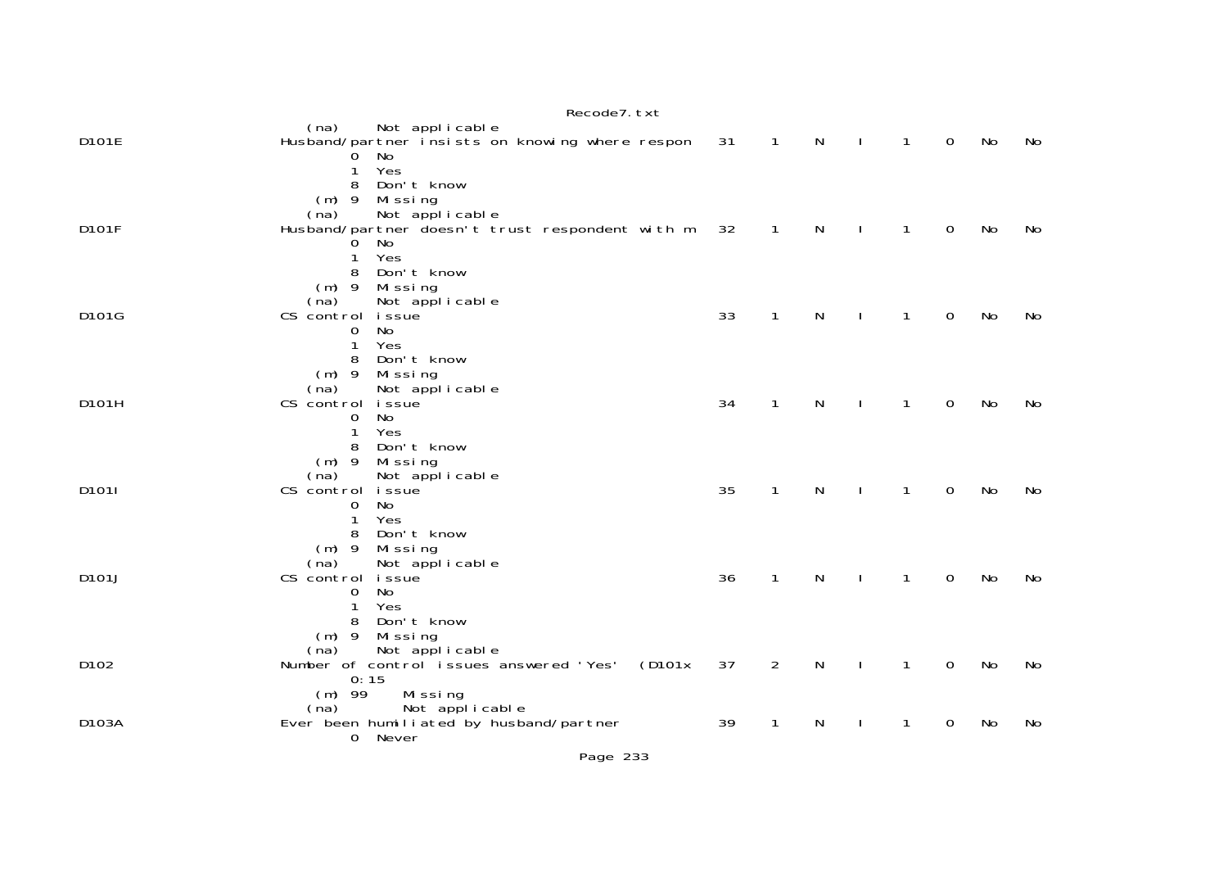|       | Recoue / LXL                                                                                                                                         |    |                |              |              |              |             |    |    |
|-------|------------------------------------------------------------------------------------------------------------------------------------------------------|----|----------------|--------------|--------------|--------------|-------------|----|----|
| D101E | Not applicable<br>(na)<br>Husband/partner insists on knowing where respon<br>No<br>Yes<br>1                                                          | 31 | $\mathbf{1}$   | N            | $\mathbf{I}$ | $\mathbf{1}$ | $\mathbf 0$ | No | No |
| D101F | Don't know<br>8<br>$(m)$ 9<br>Mi ssi ng<br>Not applicable<br>(na)<br>Husband/partner doesn't trust respondent with m<br>No<br>Yes<br>1               | 32 | $\mathbf{1}$   | N            |              | 1            | 0           | No | No |
| D101G | Don't know<br>8<br>$(m)$ 9<br>Mi ssi ng<br>Not applicable<br>(na)<br>CS control<br><i>i</i> ssue<br>No<br>0<br>1<br>Yes                              | 33 | $\mathbf{1}$   | $\mathsf{N}$ | $\mathbf{I}$ | $\mathbf{1}$ | $\mathbf 0$ | No | No |
| D101H | 8<br>Don't know<br>$(m)$ 9<br>Missing<br>Not applicable<br>(na)<br>CS control<br>i ssue<br>No<br>0<br>Yes<br>1                                       | 34 | $\mathbf{1}$   | $\mathsf{N}$ | $\mathbf{I}$ | $\mathbf{1}$ | 0           | No | No |
| D1011 | Don't know<br>8<br>$(m)$ 9<br>Missing<br>(na)<br>Not applicable<br>CS control<br>i ssue<br>No<br>0<br>Yes<br>1                                       | 35 | $\mathbf{1}$   | N            |              | 1            | 0           | No | No |
| D101J | 8<br>Don't know<br>$(m)$ 9<br>Missing<br>(na)<br>Not applicable<br>CS control issue<br>No<br>0<br>Yes                                                | 36 | 1              | N            |              | 1            | 0           | No | No |
| D102  | Don't know<br>8<br>$(m)$ 9<br>Missing<br>Not applicable<br>(na)<br>Number of control issues answered 'Yes'<br>(D101x)<br>0:15<br>$(m)$ 99<br>Missing | 37 | $\overline{2}$ | N            |              | 1            | 0           | No | No |
| D103A | Not applicable<br>(na)<br>Ever been humiliated by husband/partner<br>0 Never                                                                         | 39 | $\mathbf{1}$   | N            |              | 1            | 0           | No | No |

 $p_{0}$ codo $7$  tvt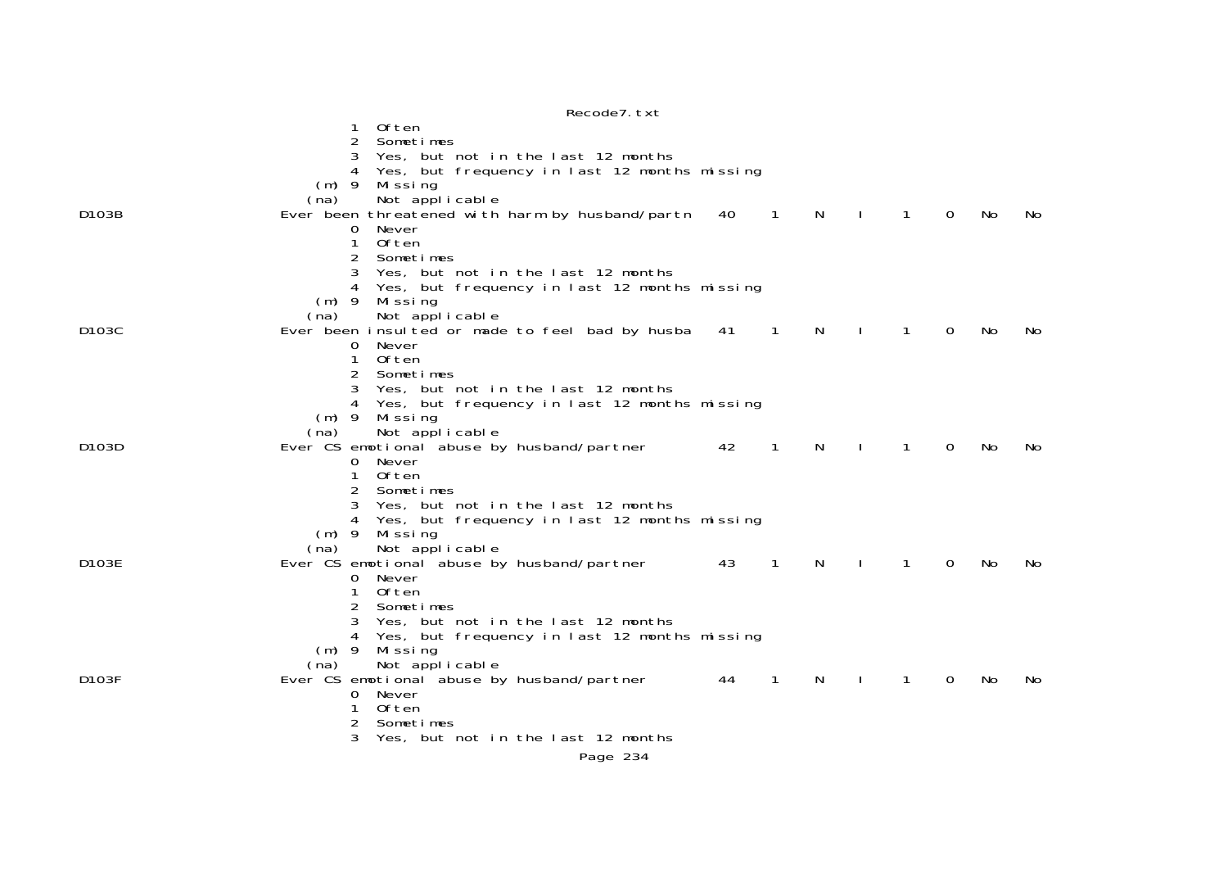| Recode7. txt                                                                                                               |     |     |
|----------------------------------------------------------------------------------------------------------------------------|-----|-----|
| <b>Often</b>                                                                                                               |     |     |
| $\overline{2}$<br>Sometimes                                                                                                |     |     |
| Yes, but not in the last 12 months<br>3                                                                                    |     |     |
| Yes, but frequency in last 12 months missing                                                                               |     |     |
| $(m)$ 9<br>Missing                                                                                                         |     |     |
| Not applicable<br>(na)                                                                                                     |     |     |
| Ever been threatened with harm by husband/partn<br>D103B<br>40<br>$\mathbf{1}$<br>N<br>$\mathbf{1}$<br>$\Omega$<br>$\perp$ | No  | No. |
| Never<br>0                                                                                                                 |     |     |
| 1<br>Often<br>Sometimes                                                                                                    |     |     |
| 2<br>Yes, but not in the last 12 months<br>3                                                                               |     |     |
| Yes, but frequency in last 12 months missing                                                                               |     |     |
| $(m)$ 9<br>Missing                                                                                                         |     |     |
| Not applicable<br>(na)                                                                                                     |     |     |
| D <sub>103</sub> C<br>Ever been insulted or made to feel bad by husba 41<br>$\overline{1}$<br>N.<br>$\overline{0}$<br>1    | No. | No. |
| Never<br>0                                                                                                                 |     |     |
| <b>Often</b><br>1                                                                                                          |     |     |
| 2<br>Sometimes                                                                                                             |     |     |
| 3<br>Yes, but not in the last 12 months                                                                                    |     |     |
| Yes, but frequency in last 12 months missing<br>4                                                                          |     |     |
| $(m)$ 9<br>Mi ssi ng                                                                                                       |     |     |
| Not applicable<br>(na)                                                                                                     |     |     |
| D103D<br>Ever CS emotional abuse by husband/partner<br>42<br>$\mathbf{1}$<br>N<br>1<br>0                                   | No  | No. |
| 0 Never<br>Often<br>1                                                                                                      |     |     |
| $\overline{c}$<br>Sometimes                                                                                                |     |     |
| 3<br>Yes, but not in the last 12 months                                                                                    |     |     |
| Yes, but frequency in last 12 months missing<br>4                                                                          |     |     |
| $(m)$ 9<br>Missing                                                                                                         |     |     |
| Not applicable<br>(na)                                                                                                     |     |     |
| Ever CS emotional abuse by husband/partner<br>43<br>$\overline{1}$<br>D103E<br>N.<br>1<br>$\mathbf 0$<br>$\mathbf{I}$      | No. | No. |
| 0 Never                                                                                                                    |     |     |
| Often<br>1                                                                                                                 |     |     |
| Sometimes                                                                                                                  |     |     |
| Yes, but not in the last 12 months                                                                                         |     |     |
| Yes, but frequency in last 12 months missing<br>4                                                                          |     |     |
| $(m)$ 9<br>Mi ssi ng<br>Not applicable<br>(na)                                                                             |     |     |
| D103F<br>Ever CS emotional abuse by husband/partner<br>44<br>$\mathbf{1}$<br>N<br>1<br>$\mathbf 0$                         | No  | No. |
| Never<br>0                                                                                                                 |     |     |
| <b>Often</b><br>1                                                                                                          |     |     |
| 2<br>Sometimes                                                                                                             |     |     |
| 3<br>Yes, but not in the last 12 months                                                                                    |     |     |
| Page 234                                                                                                                   |     |     |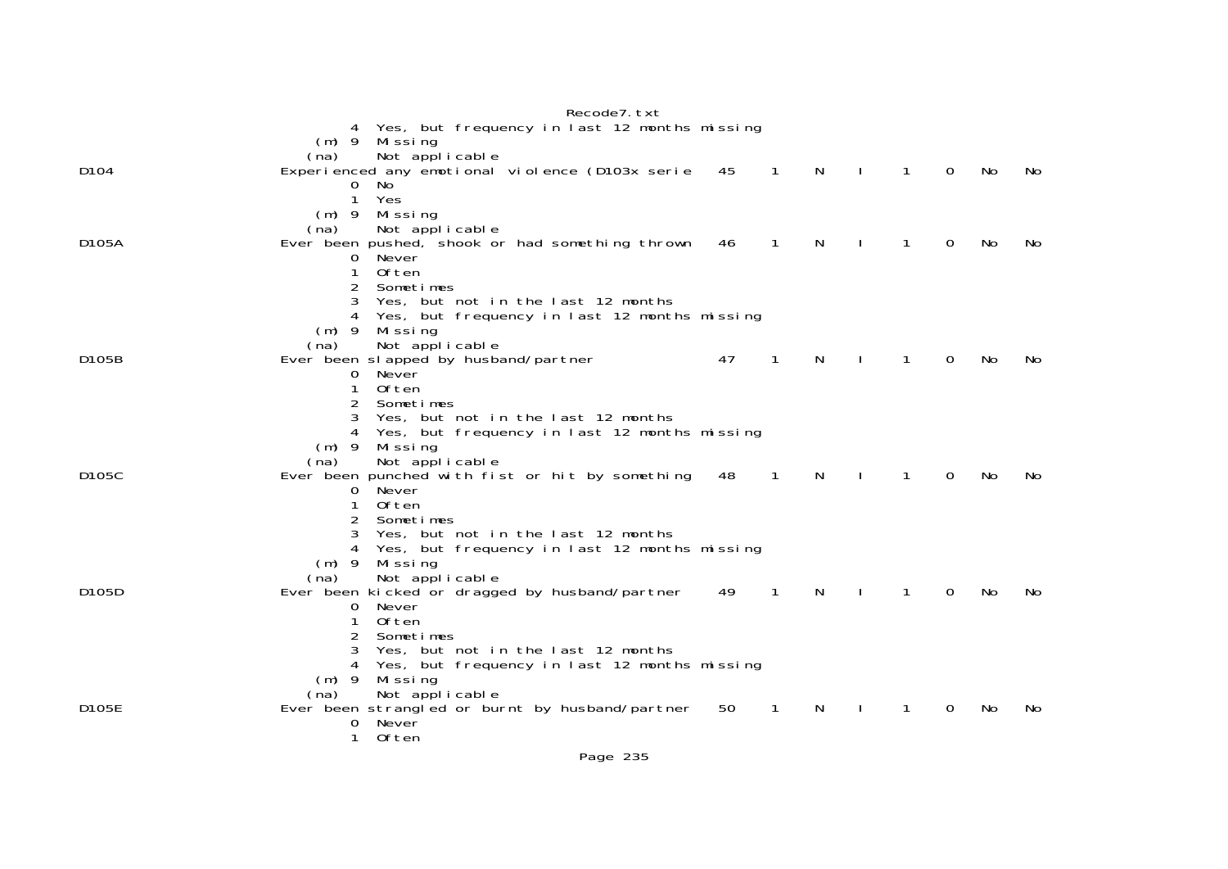|                    |              |                                                 |                                    | Recode7. txt                                    |    |                |    |              |              |          |     |     |
|--------------------|--------------|-------------------------------------------------|------------------------------------|-------------------------------------------------|----|----------------|----|--------------|--------------|----------|-----|-----|
|                    |              |                                                 |                                    | 4 Yes, but frequency in last 12 months missing  |    |                |    |              |              |          |     |     |
|                    |              | $(m)$ 9 Missing                                 |                                    |                                                 |    |                |    |              |              |          |     |     |
|                    | (na)         | Not applicable                                  |                                    |                                                 |    |                |    |              |              |          |     |     |
| D104               |              |                                                 |                                    | Experienced any emotional violence (D103x serie | 45 | $\overline{1}$ | N  | $\mathbf{I}$ | $\mathbf{1}$ | 0        | No  | No. |
|                    | 0            | No.                                             |                                    |                                                 |    |                |    |              |              |          |     |     |
|                    | 1            | Yes                                             |                                    |                                                 |    |                |    |              |              |          |     |     |
|                    | $(m)$ 9      | Missing                                         |                                    |                                                 |    |                |    |              |              |          |     |     |
|                    | (na)         | Not applicable                                  |                                    |                                                 |    |                |    |              |              |          |     |     |
| D105A              |              |                                                 |                                    | Ever been pushed, shook or had something thrown | 46 | $\mathbf{1}$   | N  |              | $\mathbf{1}$ | $\Omega$ | No  | No. |
|                    | 0            | Never                                           |                                    |                                                 |    |                |    |              |              |          |     |     |
|                    | $\mathbf{1}$ | Often                                           |                                    |                                                 |    |                |    |              |              |          |     |     |
|                    | 2            | Sometimes                                       |                                    |                                                 |    |                |    |              |              |          |     |     |
|                    | 3            |                                                 | Yes, but not in the last 12 months |                                                 |    |                |    |              |              |          |     |     |
|                    |              |                                                 |                                    | Yes, but frequency in last 12 months missing    |    |                |    |              |              |          |     |     |
|                    | $(m)$ 9      | Missing                                         |                                    |                                                 |    |                |    |              |              |          |     |     |
|                    | (na)         | Not applicable                                  |                                    |                                                 |    |                |    |              |              |          |     |     |
| D <sub>105</sub> B |              | Ever been slapped by husband/partner            |                                    |                                                 | 47 | $\mathbf{1}$   | N. |              | $\mathbf{1}$ | $\Omega$ | No. | No. |
|                    | 0            | Never                                           |                                    |                                                 |    |                |    |              |              |          |     |     |
|                    | 1            | 0ften                                           |                                    |                                                 |    |                |    |              |              |          |     |     |
|                    | 2            | Sometimes                                       |                                    |                                                 |    |                |    |              |              |          |     |     |
|                    | 3            |                                                 | Yes, but not in the last 12 months |                                                 |    |                |    |              |              |          |     |     |
|                    |              |                                                 |                                    | Yes, but frequency in last 12 months missing    |    |                |    |              |              |          |     |     |
|                    | $(m)$ 9      | Missing                                         |                                    |                                                 |    |                |    |              |              |          |     |     |
|                    | (na)         | Not applicable                                  |                                    |                                                 |    |                |    |              |              |          |     |     |
| D105C              |              |                                                 |                                    | Ever been punched with fist or hit by something | 48 | 1              | N. |              | 1            | $\Omega$ | No  | No. |
|                    | 0            | Never                                           |                                    |                                                 |    |                |    |              |              |          |     |     |
|                    | 1            | Often                                           |                                    |                                                 |    |                |    |              |              |          |     |     |
|                    | 2            | Sometimes                                       |                                    |                                                 |    |                |    |              |              |          |     |     |
|                    |              |                                                 | Yes, but not in the last 12 months |                                                 |    |                |    |              |              |          |     |     |
|                    | 4            |                                                 |                                    | Yes, but frequency in last 12 months missing    |    |                |    |              |              |          |     |     |
|                    | $(m)$ 9      | Missing                                         |                                    |                                                 |    |                |    |              |              |          |     |     |
|                    | (na)         | Not applicable                                  |                                    |                                                 |    |                |    |              |              |          |     |     |
| D105D              |              | Ever been kicked or dragged by husband/partner  |                                    |                                                 | 49 | $\mathbf{1}$   | N  |              | 1            | 0        | No  | No. |
|                    | $\mathbf{O}$ | Never                                           |                                    |                                                 |    |                |    |              |              |          |     |     |
|                    | 1            | Often                                           |                                    |                                                 |    |                |    |              |              |          |     |     |
|                    | 2            | Sometimes                                       |                                    |                                                 |    |                |    |              |              |          |     |     |
|                    | 3            |                                                 | Yes, but not in the last 12 months |                                                 |    |                |    |              |              |          |     |     |
|                    | 4            |                                                 |                                    | Yes, but frequency in last 12 months missing    |    |                |    |              |              |          |     |     |
|                    | $(m)$ 9      | Missing                                         |                                    |                                                 |    |                |    |              |              |          |     |     |
|                    | (na)         | Not applicable                                  |                                    |                                                 |    |                |    |              |              |          |     |     |
| D105E              |              | Ever been strangled or burnt by husband/partner |                                    |                                                 | 50 | $\mathbf{1}$   | N. |              | 1            | 0        | No  | No. |
|                    | 0            | Never                                           |                                    |                                                 |    |                |    |              |              |          |     |     |
|                    | 1            | 0ften                                           |                                    |                                                 |    |                |    |              |              |          |     |     |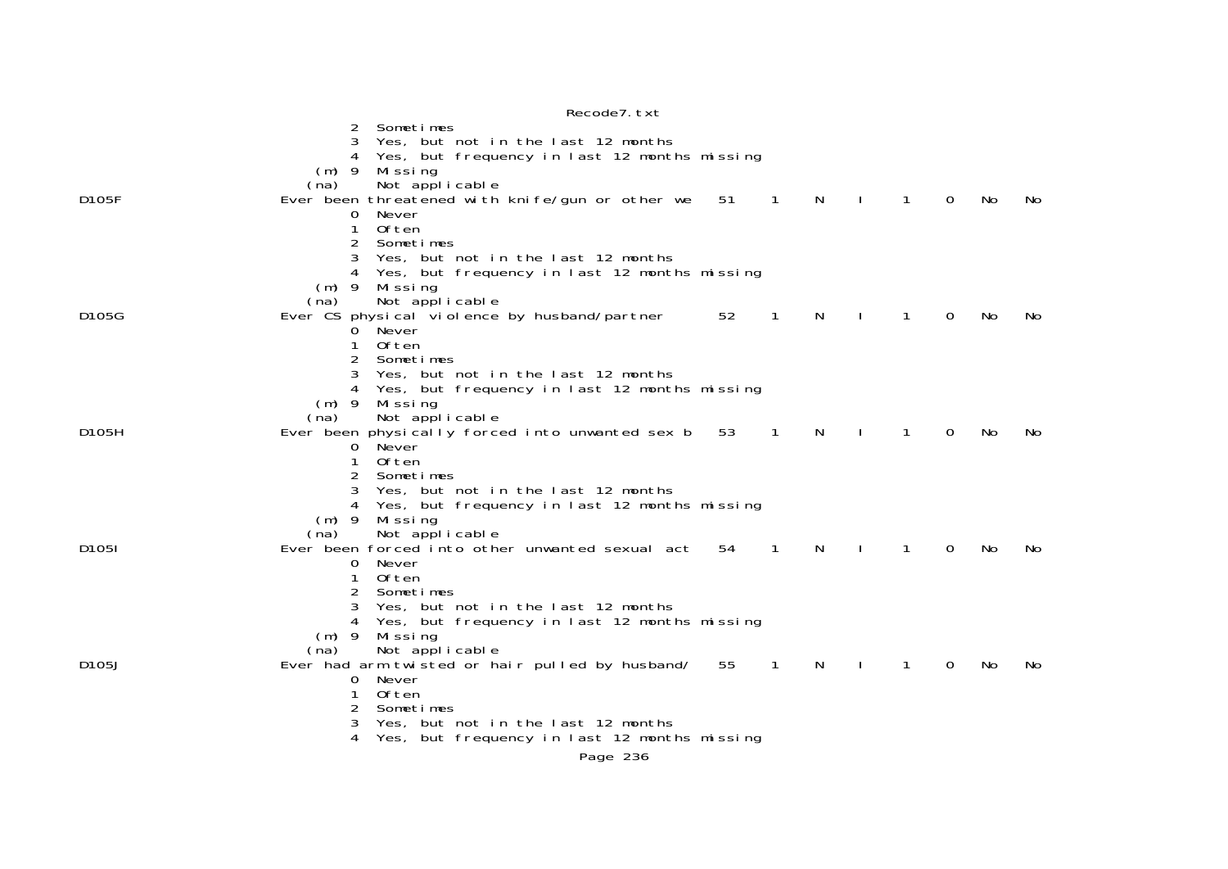|                    | Recode7. txt                                                                                                                               |
|--------------------|--------------------------------------------------------------------------------------------------------------------------------------------|
|                    | Sometimes<br>2                                                                                                                             |
|                    | 3<br>Yes, but not in the last 12 months                                                                                                    |
|                    | Yes, but frequency in last 12 months missing<br>4                                                                                          |
|                    | $(m)$ 9<br>Mi ssi ng                                                                                                                       |
|                    | Not applicable<br>(na)                                                                                                                     |
| D105F              | Ever been threatened with knife/gun or other we<br>51<br>$\mathbf{1}$<br>N<br>$\mathbf{1}$<br>$\mathbf 0$<br>No.<br>No.                    |
|                    | 0<br>Never                                                                                                                                 |
|                    | 1<br>Often                                                                                                                                 |
|                    | 2<br>Sometimes                                                                                                                             |
|                    | 3<br>Yes, but not in the last 12 months                                                                                                    |
|                    | Yes, but frequency in last 12 months missing<br>4                                                                                          |
|                    | $(m)$ 9<br>Missing                                                                                                                         |
|                    | Not applicable<br>(na)                                                                                                                     |
| D105G              | Ever CS physical violence by husband/partner<br>52<br>$\mathbf{1}$<br><b>N</b><br>$\mathbf{1}$<br>$\mathbf 0$<br>$\mathbf{I}$<br>No<br>No. |
|                    | Never<br>0                                                                                                                                 |
|                    | <b>Often</b><br>1                                                                                                                          |
|                    | Sometimes                                                                                                                                  |
|                    | Yes, but not in the last 12 months                                                                                                         |
|                    | Yes, but frequency in last 12 months missing<br>4                                                                                          |
|                    | Missing<br>$(m)$ 9                                                                                                                         |
|                    | Not applicable<br>(na)                                                                                                                     |
| D105H              | Ever been physically forced into unwanted sex b<br>53<br>N<br>$\mathbf 0$<br>1<br>1<br>No<br>No.                                           |
|                    | Never<br>0<br><b>Often</b><br>$\mathbf{1}$                                                                                                 |
|                    | 2<br>Sometimes                                                                                                                             |
|                    | 3<br>Yes, but not in the last 12 months                                                                                                    |
|                    | Yes, but frequency in last 12 months missing<br>4                                                                                          |
|                    | $(m)$ 9<br>Mi ssi ng                                                                                                                       |
|                    | (na)<br>Not applicable                                                                                                                     |
| D1051              | Ever been forced into other unwanted sexual act<br>54<br>$\mathbf{1}$<br><sup>N</sup><br>1<br>$\mathbf 0$<br>No.<br>No.                    |
|                    | Never<br>0                                                                                                                                 |
|                    | <b>Often</b><br>$\mathbf{1}$                                                                                                               |
|                    | 2<br>Sometimes                                                                                                                             |
|                    | Yes, but not in the last 12 months<br>3                                                                                                    |
|                    | Yes, but frequency in last 12 months missing<br>4                                                                                          |
|                    | $(m)$ 9<br>Missing                                                                                                                         |
|                    | Not applicable<br>(na)                                                                                                                     |
| D <sub>105</sub> J | Ever had arm twisted or hair pulled by husband/<br>55<br>$\overline{1}$<br>N<br>$\overline{0}$<br>1<br>No.<br>No.                          |
|                    | Never<br>0                                                                                                                                 |
|                    | <b>Often</b><br>1                                                                                                                          |
|                    | Sometimes<br>2                                                                                                                             |
|                    | 3<br>Yes, but not in the last 12 months                                                                                                    |
|                    | 4<br>Yes, but frequency in last 12 months missing                                                                                          |
|                    | Page 236                                                                                                                                   |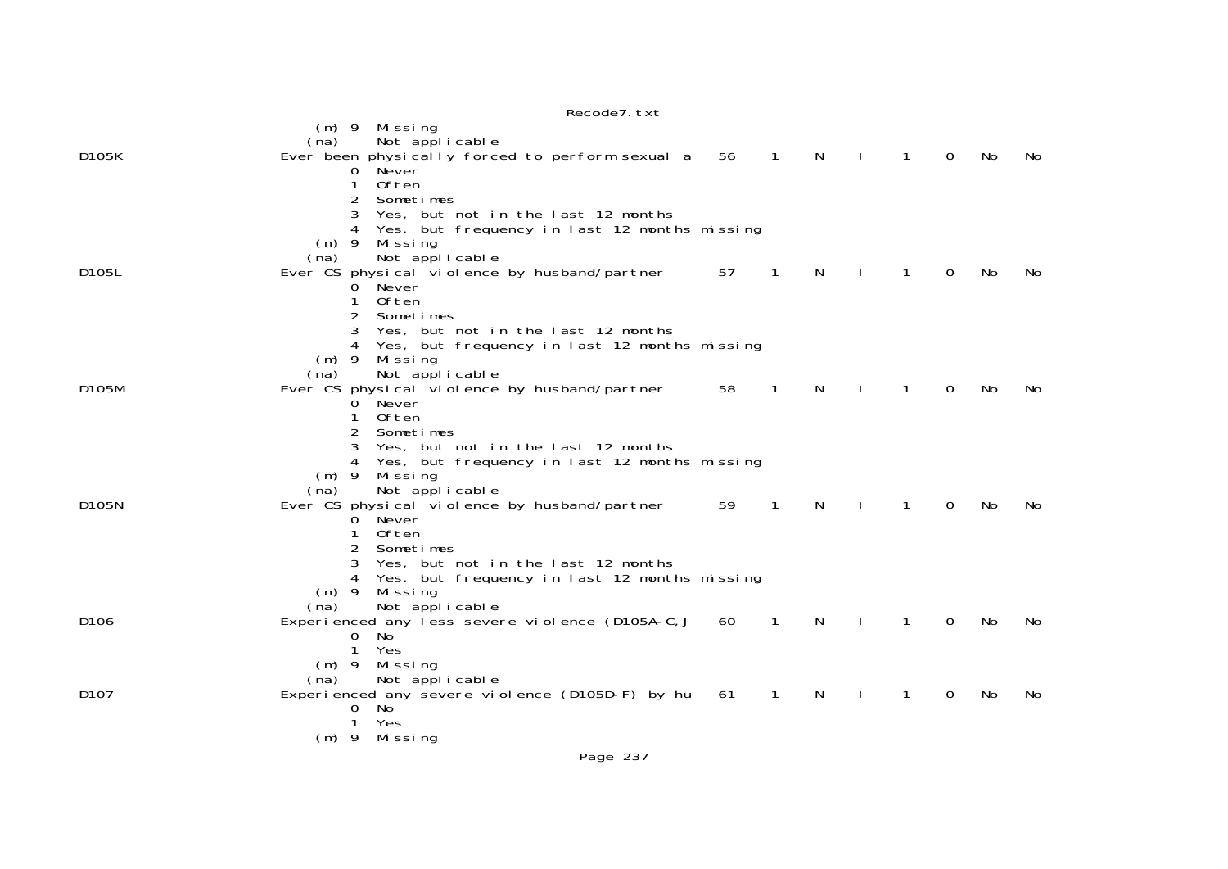|                  | Recode7. txt                                                                            |                |              |                     |              |              |                |    |     |
|------------------|-----------------------------------------------------------------------------------------|----------------|--------------|---------------------|--------------|--------------|----------------|----|-----|
|                  | (m) 9 Missing                                                                           |                |              |                     |              |              |                |    |     |
|                  | Not applicable<br>(na)                                                                  |                |              |                     |              |              |                |    |     |
| D105K            | Ever been physically forced to perform sexual a 56<br>Never                             | $\overline{1}$ |              | N<br>$\blacksquare$ |              | $\mathbf{1}$ | $\overline{0}$ | No | No  |
|                  | $\overline{0}$<br><b>Often</b><br>1                                                     |                |              |                     |              |              |                |    |     |
|                  | 2<br>Sometimes                                                                          |                |              |                     |              |              |                |    |     |
|                  | Yes, but not in the last 12 months<br>3                                                 |                |              |                     |              |              |                |    |     |
|                  | Yes, but frequency in last 12 months missing                                            |                |              |                     |              |              |                |    |     |
|                  | $(m)$ 9<br>Missing<br>(na)                                                              |                |              |                     |              |              |                |    |     |
| D105L            | Not applicable<br>Ever CS physical violence by husband/partner                          | 57             | $\mathbf{1}$ | $\mathsf{N}$        |              | 1            | $\mathbf 0$    | No | No. |
|                  | Never<br>0                                                                              |                |              |                     |              |              |                |    |     |
|                  | 0ften<br>1                                                                              |                |              |                     |              |              |                |    |     |
|                  | 2<br>Sometimes                                                                          |                |              |                     |              |              |                |    |     |
|                  | 3<br>Yes, but not in the last 12 months<br>Yes, but frequency in last 12 months missing |                |              |                     |              |              |                |    |     |
|                  | $(m)$ 9<br>Missing                                                                      |                |              |                     |              |              |                |    |     |
|                  | Not applicable<br>(na)                                                                  |                |              |                     |              |              |                |    |     |
| D105M            | Ever CS physical violence by husband/partner                                            | 58             | $\mathbf{1}$ | N                   | $\mathbf{I}$ | 1            | 0              | No | No. |
|                  | Never<br>0                                                                              |                |              |                     |              |              |                |    |     |
|                  | 0ften<br>1<br>2<br>Sometimes                                                            |                |              |                     |              |              |                |    |     |
|                  | Yes, but not in the last 12 months<br>3                                                 |                |              |                     |              |              |                |    |     |
|                  | Yes, but frequency in last 12 months missing                                            |                |              |                     |              |              |                |    |     |
|                  | $(m)$ 9<br>Missing                                                                      |                |              |                     |              |              |                |    |     |
| D105N            | Not applicable<br>(na)<br>Ever CS physical violence by husband/partner                  |                | 1            | N                   |              | 1            | 0              | No | No. |
|                  | Never<br>0                                                                              | 59             |              |                     |              |              |                |    |     |
|                  | <b>Often</b>                                                                            |                |              |                     |              |              |                |    |     |
|                  | 2<br>Sometimes                                                                          |                |              |                     |              |              |                |    |     |
|                  | Yes, but not in the last 12 months<br>3                                                 |                |              |                     |              |              |                |    |     |
|                  | Yes, but frequency in last 12 months missing<br>$(m)$ 9<br>Missing                      |                |              |                     |              |              |                |    |     |
|                  | Not applicable<br>(na)                                                                  |                |              |                     |              |              |                |    |     |
| D <sub>106</sub> | Experienced any less severe violence (D105A-C, J                                        | 60             | 1            | N                   |              | 1            | $\Omega$       | No | No. |
|                  | No<br>0                                                                                 |                |              |                     |              |              |                |    |     |
|                  | Yes<br>1<br>Missing<br>$(m)$ 9                                                          |                |              |                     |              |              |                |    |     |
|                  | Not applicable<br>(na)                                                                  |                |              |                     |              |              |                |    |     |
| D <sub>107</sub> | Experienced any severe violence (D105D-F) by hu                                         | 61             | 1            | N                   |              | 1            | 0              | No | No. |
|                  | $\mathbf{0}$<br>No.                                                                     |                |              |                     |              |              |                |    |     |
|                  | 1<br>Yes<br>$(m)$ 9                                                                     |                |              |                     |              |              |                |    |     |
|                  | Mi ssi ng                                                                               |                |              |                     |              |              |                |    |     |
|                  | Page 237                                                                                |                |              |                     |              |              |                |    |     |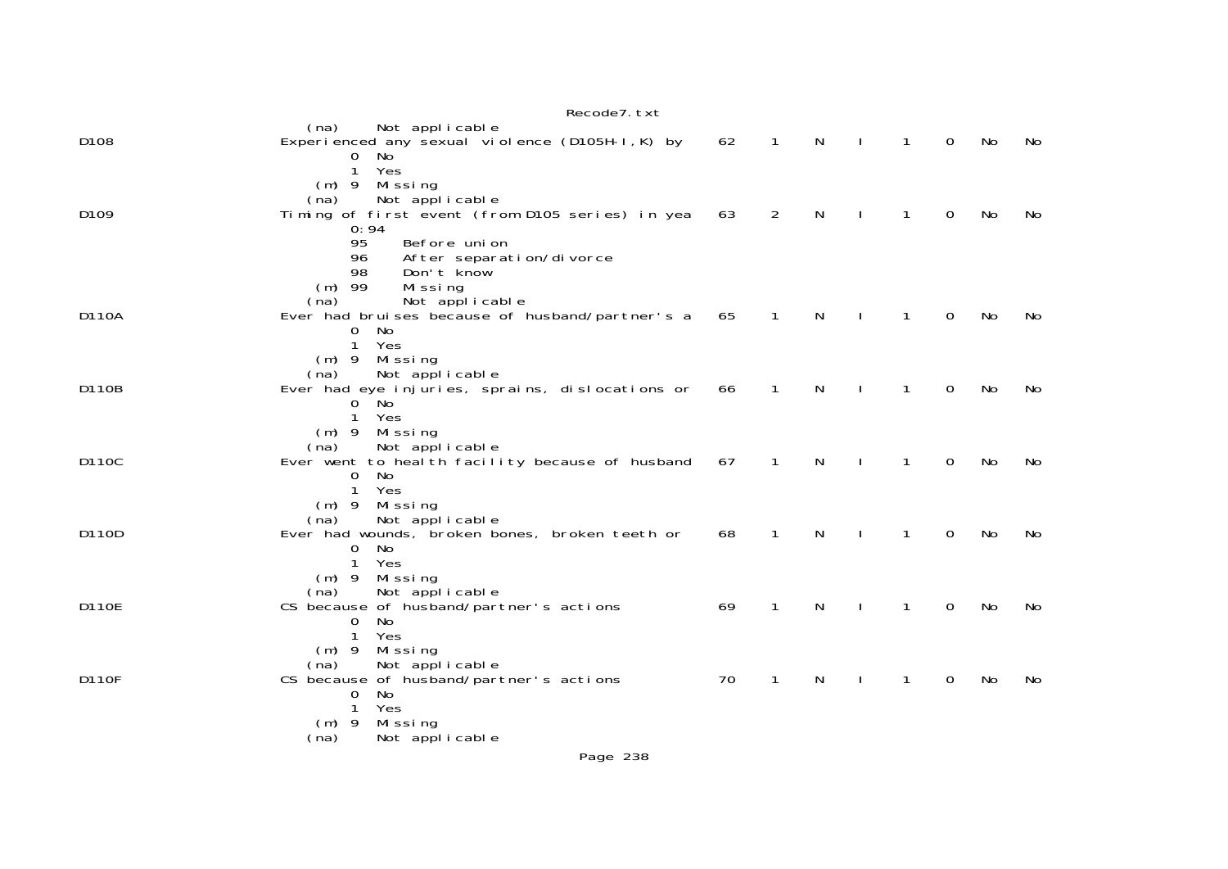|       | Recode7. txt                                                                                                           |    |              |   |              |              |             |           |    |
|-------|------------------------------------------------------------------------------------------------------------------------|----|--------------|---|--------------|--------------|-------------|-----------|----|
| D108  | (na)<br>Not applicable<br>Experienced any sexual violence (D105H-I, K) by<br>$\mathbf{O}$<br>No                        | 62 | $\mathbf{1}$ | N | $\mathbf{I}$ | $\mathbf{1}$ | $\mathbf 0$ | No        | No |
| D109  | Yes<br>$\mathbf{1}$<br>Missing<br>$(m)$ 9<br>Not applicable<br>(na)<br>Timing of first event (from D105 series) in yea | 63 | 2            | N |              | $\mathbf{1}$ | 0           | No        | No |
|       | 0:94<br>95<br>Before union<br>After separation/divorce<br>96<br>Don't know<br>98<br>$(m)$ 99<br>Missing                |    |              |   |              |              |             |           |    |
| D110A | Not applicable<br>(na)<br>Ever had bruises because of husband/partner's a                                              | 65 | $\mathbf{1}$ | N | $\perp$      | $\mathbf{1}$ | $\mathbf 0$ | No        | No |
|       | 0 No<br>Yes<br>$\mathbf{1}$<br>Missing<br>$(m)$ 9                                                                      |    |              |   |              |              |             |           |    |
| D110B | Not applicable<br>(na)<br>Ever had eye injuries, sprains, dislocations or<br>0 No                                      | 66 | $\mathbf{1}$ | N |              | $\mathbf{1}$ | 0           | No        | No |
|       | $\mathbf{1}$<br>Yes<br>$(m)$ 9<br>Missing<br>Not applicable<br>(na)                                                    |    |              |   |              |              |             |           |    |
| D110C | Ever went to heal th facility because of husband<br>No<br>0<br>Yes<br>$\mathbf{1}$                                     | 67 | $\mathbf{1}$ | N |              | $\mathbf{1}$ | 0           | <b>No</b> | No |
| D110D | $(m)$ 9<br>Missing<br>Not applicable<br>(na)<br>Ever had wounds, broken bones, broken teeth or                         | 68 | 1            | N |              | 1            | 0           | No        | No |
|       | No<br>0<br>$\mathbf{1}$<br>Yes<br>Missing<br>$(m)$ 9                                                                   |    |              |   |              |              |             |           |    |
| D110E | Not applicable<br>(na)<br>CS because of husband/partner's actions<br>No<br>0                                           | 69 | 1            | N |              | 1            | 0           | No        | No |
|       | 1<br>Yes<br>Missing<br>$(m)$ 9<br>Not applicable<br>(na)                                                               |    |              |   |              |              |             |           |    |
| D110F | CS because of husband/partner's actions<br>No<br>$\mathbf{0}$<br>$\mathbf{1}$<br>Yes                                   | 70 | 1            | N |              | $\mathbf{1}$ | 0           | No        | No |
|       | $(m)$ 9<br>Missing<br>Not applicable<br>(na)                                                                           |    |              |   |              |              |             |           |    |
|       | Page 238                                                                                                               |    |              |   |              |              |             |           |    |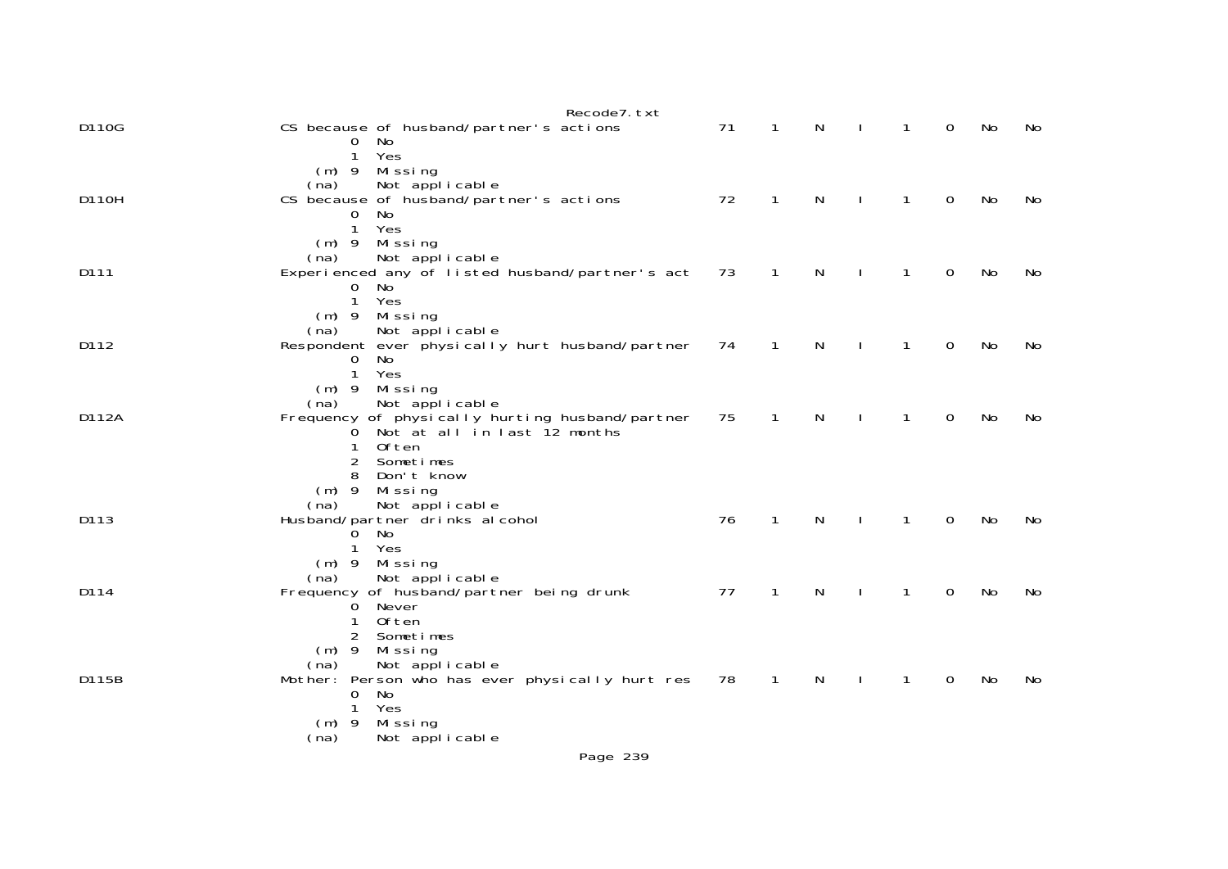|       | Recode7. txt                                                              |    |              |              |              |              |   |    |    |
|-------|---------------------------------------------------------------------------|----|--------------|--------------|--------------|--------------|---|----|----|
| D110G | CS because of husband/partner's actions<br>No<br>$\mathbf{0}$             | 71 | $\mathbf{1}$ | N            | $\mathbf{I}$ | $\mathbf{1}$ | 0 | No | No |
|       | $\mathbf{1}$<br>Yes<br>Missing<br>$(m)$ 9                                 |    |              |              |              |              |   |    |    |
| D110H | Not applicable<br>(na)                                                    | 72 | $\mathbf{1}$ | $\mathsf{N}$ | $\mathbf{I}$ | $\mathbf{1}$ | 0 | No | No |
|       | CS because of husband/partner's actions<br>0<br>No                        |    |              |              |              |              |   |    |    |
|       | $\mathbf{1}$<br>Yes<br>$(m)$ 9 Missing                                    |    |              |              |              |              |   |    |    |
| D111  | Not applicable<br>(na)<br>Experienced any of listed husband/partner's act | 73 | $\mathbf{1}$ | N            |              | $\mathbf{1}$ | 0 | No | No |
|       | 0<br>No                                                                   |    |              |              |              |              |   |    |    |
|       | Yes<br>$\mathbf{1}$<br>$(m)$ 9 Missing                                    |    |              |              |              |              |   |    |    |
| D112  | Not applicable<br>(na)<br>Respondent ever physically hurt husband/partner | 74 | $\mathbf{1}$ | N            |              | $\mathbf{1}$ | 0 | No | No |
|       | No<br>0                                                                   |    |              |              |              |              |   |    |    |
|       | $\mathbf{1}$<br>Yes<br>Missing<br>$(m)$ 9                                 |    |              |              |              |              |   |    |    |
| D112A | Not applicable<br>(na)<br>Frequency of physically hurting husband/partner | 75 | 1            | N            |              | $\mathbf{1}$ | 0 | No | No |
|       | Not at all in last 12 months<br>$\mathbf{O}$                              |    |              |              |              |              |   |    |    |
|       | Often<br>1<br>2<br>Sometimes                                              |    |              |              |              |              |   |    |    |
|       | Don't know<br>8<br>Missing<br>$(m)$ 9                                     |    |              |              |              |              |   |    |    |
|       | Not applicable<br>(na)                                                    |    |              |              |              |              |   |    |    |
| D113  | Husband/partner drinks al cohol<br>No<br>0                                | 76 | $\mathbf{1}$ | N            |              | $\mathbf{1}$ | 0 | No | No |
|       | Yes<br>1<br>$(m)$ 9 Missing                                               |    |              |              |              |              |   |    |    |
|       | Not applicable<br>(na)                                                    |    |              |              |              |              |   |    |    |
| D114  | Frequency of husband/partner being drunk<br>Never<br>0                    | 77 | $\mathbf{1}$ | $\mathsf{N}$ |              | $\mathbf{1}$ | 0 | No | No |
|       | 0ften<br>1<br>2<br>Sometimes                                              |    |              |              |              |              |   |    |    |
|       | $(m)$ 9<br>Mi ssi ng                                                      |    |              |              |              |              |   |    |    |
| D115B | Not applicable<br>(na)<br>Mother: Person who has ever physically hurt res | 78 | $\mathbf{1}$ | N            |              | $\mathbf{1}$ | 0 | No | No |
|       | No<br>$\mathbf 0$<br>1<br>Yes                                             |    |              |              |              |              |   |    |    |
|       | Missing<br>$(m)$ 9                                                        |    |              |              |              |              |   |    |    |
|       | Not applicable<br>(na)<br>Page 239                                        |    |              |              |              |              |   |    |    |
|       |                                                                           |    |              |              |              |              |   |    |    |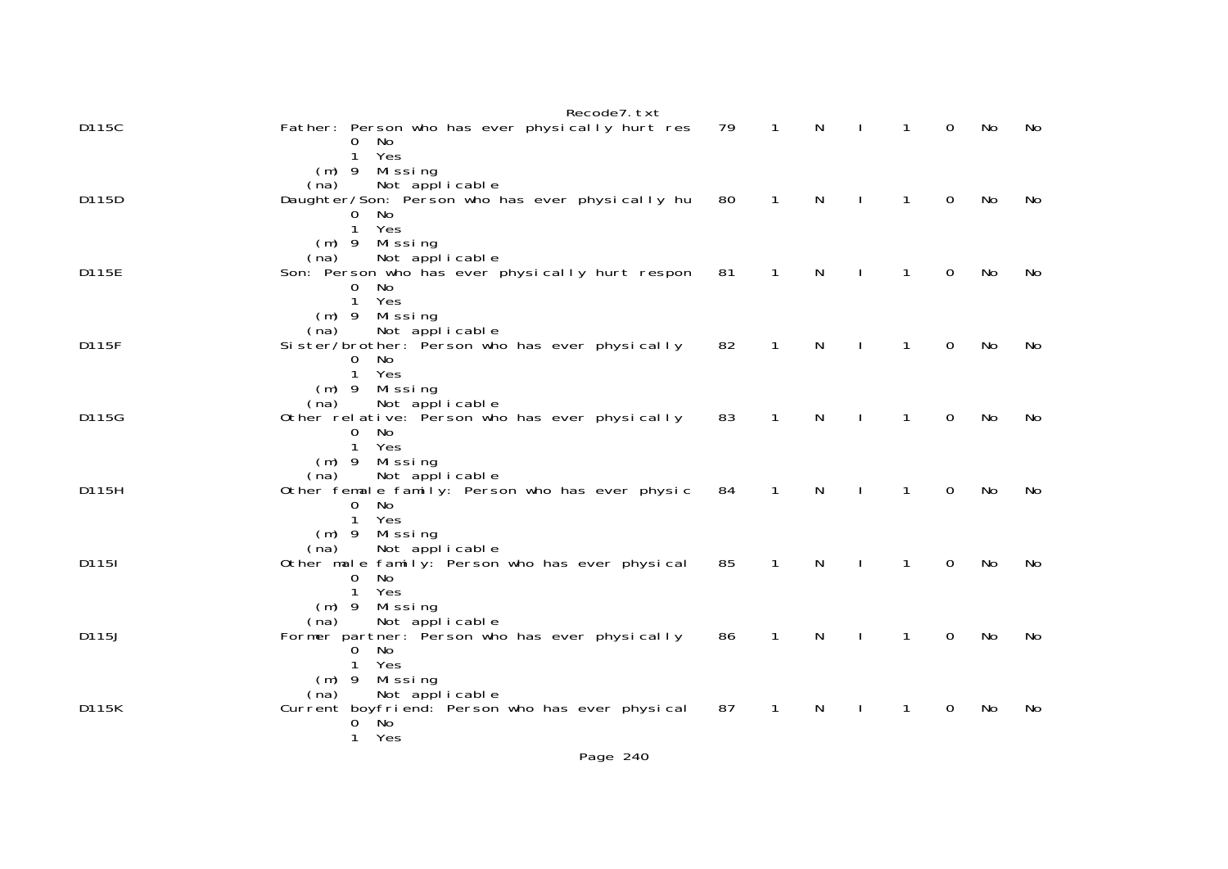|       | Recode7. txt                                               |    |                |              |              |              |             |    |     |
|-------|------------------------------------------------------------|----|----------------|--------------|--------------|--------------|-------------|----|-----|
| D115C | Father: Person who has ever physically hurt res<br>No<br>0 | 79 | $\overline{1}$ | $\mathsf{N}$ | $\mathbf{I}$ | $\mathbf{1}$ | $\Omega$    | No | No  |
|       | Yes<br>$\mathbf{1}$                                        |    |                |              |              |              |             |    |     |
|       | Missing<br>$(m)$ 9<br>Not applicable<br>(na)               |    |                |              |              |              |             |    |     |
| D115D | Daughter/Son: Person who has ever physically hu            | 80 | $\mathbf{1}$   | N            |              | $\mathbf{1}$ | $\Omega$    | No | No. |
|       | 0 No                                                       |    |                |              |              |              |             |    |     |
|       | Yes<br>$\mathbf{1}$                                        |    |                |              |              |              |             |    |     |
|       | $(m)$ 9 Missing<br>Not applicable<br>(na)                  |    |                |              |              |              |             |    |     |
| D115E | Son: Person who has ever physically hurt respon            | 81 | $\mathbf{1}$   | N            |              | 1            | 0           | No | No  |
|       | $\mathbf{O}$<br>No.                                        |    |                |              |              |              |             |    |     |
|       | $\mathbf{1}$<br>Yes                                        |    |                |              |              |              |             |    |     |
|       | $(m)$ 9 Missing<br>Not applicable<br>(na)                  |    |                |              |              |              |             |    |     |
| D115F | Sister/brother: Person who has ever physically             | 82 | $\overline{1}$ | $\mathsf{N}$ |              | $\mathbf{1}$ | 0           | No | No  |
|       | $\Omega$<br>No.                                            |    |                |              |              |              |             |    |     |
|       | $\mathbf{1}$<br>Yes                                        |    |                |              |              |              |             |    |     |
|       | $(m)$ 9 Missing<br>Not applicable<br>(na)                  |    |                |              |              |              |             |    |     |
| D115G | Other relative: Person who has ever physically             | 83 | $\mathbf{1}$   | $\mathsf{N}$ | $\mathbf{I}$ | $\mathbf{1}$ | $\Omega$    | No | No  |
|       | No.<br>$\mathbf{O}$                                        |    |                |              |              |              |             |    |     |
|       | Yes<br>$\mathbf{1}$                                        |    |                |              |              |              |             |    |     |
|       | $(m)$ 9 Missing<br>Not applicable<br>(na)                  |    |                |              |              |              |             |    |     |
| D115H | Other female family: Person who has ever physic            | 84 | $\mathbf{1}$   | N            |              | 1            | $\Omega$    | No | No. |
|       | $\Omega$<br>No                                             |    |                |              |              |              |             |    |     |
|       | Yes<br>1                                                   |    |                |              |              |              |             |    |     |
|       | Missing<br>$(m)$ 9<br>Not applicable<br>(na)               |    |                |              |              |              |             |    |     |
| D1151 | Other male family: Person who has ever physical            | 85 | 1              | N            |              | 1            | 0           | No | No  |
|       | No.<br>0                                                   |    |                |              |              |              |             |    |     |
|       | $\mathbf{1}$<br>Yes                                        |    |                |              |              |              |             |    |     |
|       | Mi ssi ng<br>$(m)$ 9<br>Not applicable<br>(na)             |    |                |              |              |              |             |    |     |
| D115J | Former partner: Person who has ever physically             | 86 | $\overline{1}$ | $\mathsf{N}$ | $\mathbf{I}$ | $\mathbf{1}$ | $\mathbf 0$ | No | No  |
|       | No<br>0                                                    |    |                |              |              |              |             |    |     |
|       | Yes<br>Missing<br>$(m)$ 9                                  |    |                |              |              |              |             |    |     |
|       | Not applicable<br>(na)                                     |    |                |              |              |              |             |    |     |
| D115K | Current boyfriend: Person who has ever physical            | 87 | $\mathbf{1}$   | N            |              | $\mathbf{1}$ | 0           | No | No  |
|       | $\sim$ No<br>0                                             |    |                |              |              |              |             |    |     |
|       | Yes<br>1                                                   |    |                |              |              |              |             |    |     |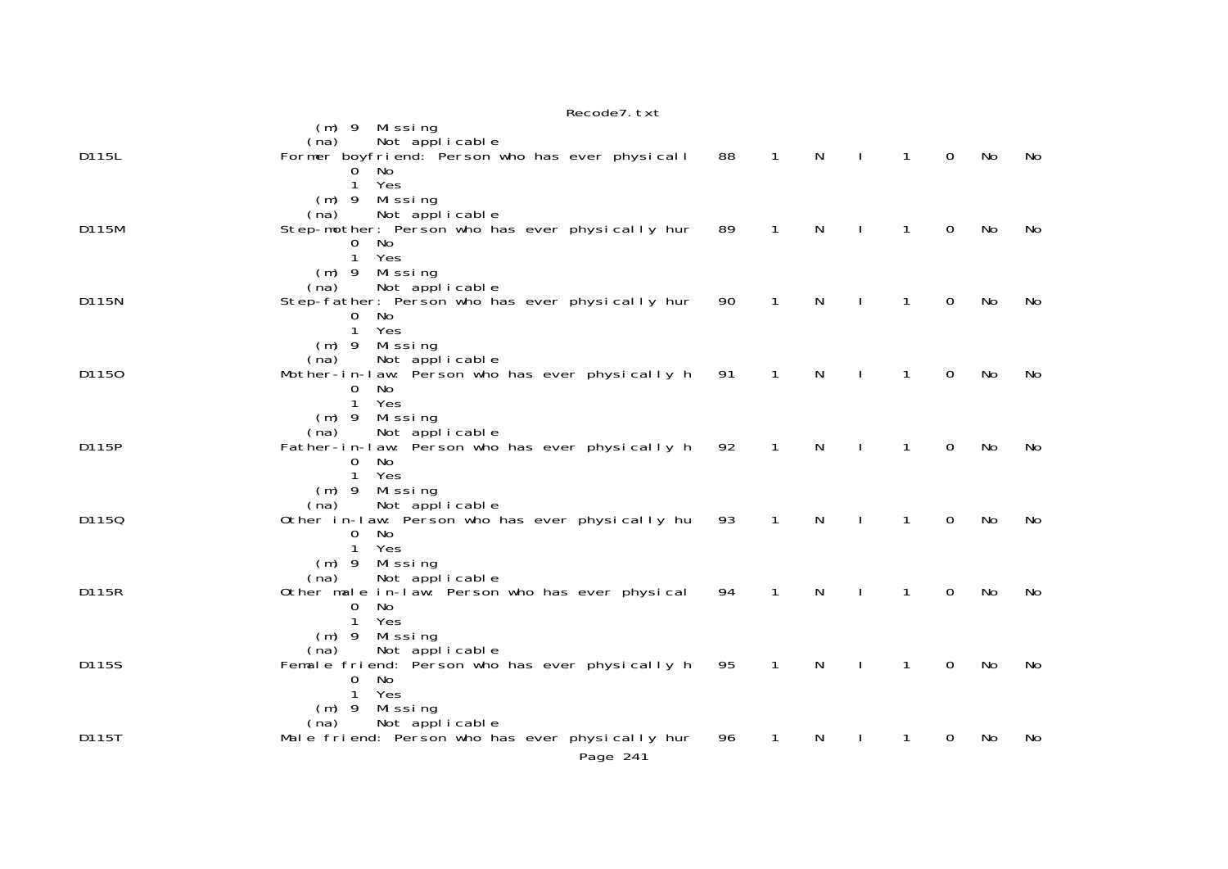|       | Recode7. txt                                                                                                                                  |    |                |              |              |              |             |    |     |
|-------|-----------------------------------------------------------------------------------------------------------------------------------------------|----|----------------|--------------|--------------|--------------|-------------|----|-----|
|       | $(m)$ 9 Missing<br>Not applicable<br>(na)                                                                                                     |    |                |              |              |              |             |    |     |
| D115L | Former boyfriend: Person who has ever physicall<br>No.<br>$\Omega$<br>Yes<br>1<br>$(m)$ 9<br>Mi ssi ng<br>Not applicable<br>(na)              | 88 | $\overline{1}$ | $\mathsf{N}$ | $\perp$      | $\mathbf{1}$ | $\mathbf 0$ | No | No  |
| D115M | Step-mother: Person who has ever physically hur<br>0<br>No.<br>$\mathbf{1}$<br>Yes<br>Missing<br>$(m)$ 9                                      | 89 | $\mathbf{1}$   | $\mathsf{N}$ | $\mathbf{I}$ | $\mathbf{1}$ | $\mathbf 0$ | No | No  |
| D115N | Not applicable<br>(na)<br>Step-father: Person who has ever physically hur<br>$\mathbf{O}$<br>No.<br>$\mathbf{1}$<br>Yes<br>Missing<br>$(m)$ 9 | 90 | $\mathbf{1}$   | N            |              | $\mathbf{1}$ | $\Omega$    | No | No  |
| D1150 | Not applicable<br>(na)<br>Mother-in-law: Person who has ever physically h<br>No<br>0<br>$\mathbf{1}$<br>Yes<br>$(m)$ 9 Missing                | 91 | $\mathbf{1}$   | N            |              | $\mathbf{1}$ | 0           | No | No  |
| D115P | Not applicable<br>(na)<br>Father-in-law: Person who has ever physically h<br>No<br>0<br>Yes<br>$\mathbf{1}$<br>$(m)$ 9 Missing                | 92 | $\mathbf{1}$   | N            |              | $\mathbf{1}$ | $\Omega$    | No | No  |
| D1150 | Not applicable<br>(na)<br>Other in-law: Person who has ever physically hu<br>$\Omega$<br><b>No</b><br>Yes<br>$\mathbf{1}$<br>(m) 9 Missing    | 93 | 1              | N            |              | 1            | $\Omega$    | No | No  |
| D115R | Not applicable<br>(na)<br>Other male in-law: Person who has ever physical<br>$\Omega$<br>No<br>$\mathbf{1}$<br>Yes<br>Missing<br>$(m)$ 9      | 94 | 1              | N            |              | $\mathbf 1$  | $\Omega$    | No | No  |
| D115S | Not applicable<br>(na)<br>Female friend: Person who has ever physically h<br>No<br>0<br>Yes<br>$\mathbf{1}$<br>Missing<br>$(m)$ 9             | 95 | 1              | N            |              | 1            | 0           | No | No  |
| D115T | Not applicable<br>(na)<br>Male friend: Person who has ever physically hur<br>Page 241                                                         | 96 | 1              | N            |              |              | 0           | No | No. |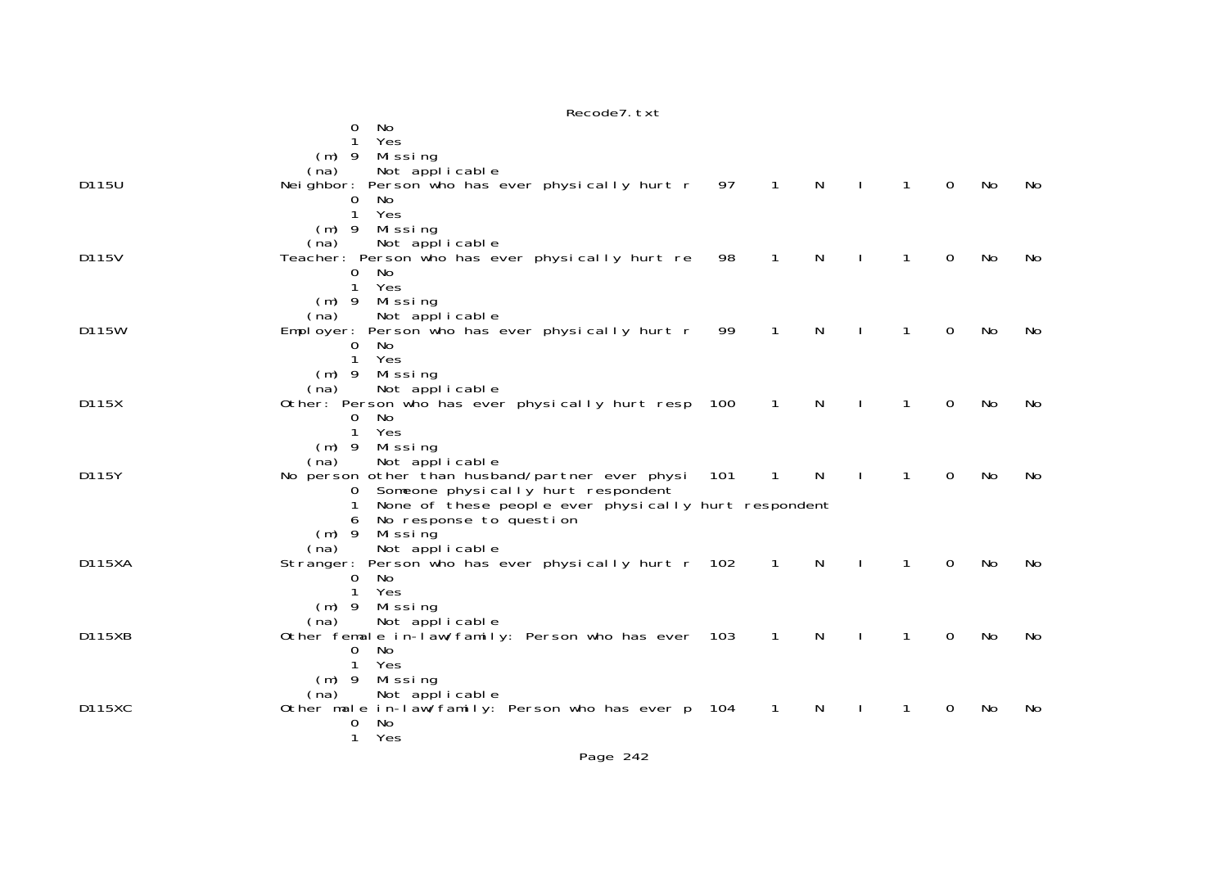|               | No<br>0<br>1<br>Yes<br>$(m)$ 9<br>Missing                                                                                       |     |                |              |                |              |          |           |     |
|---------------|---------------------------------------------------------------------------------------------------------------------------------|-----|----------------|--------------|----------------|--------------|----------|-----------|-----|
| D115U         | Not applicable<br>(na)<br>Neighbor: Person who has ever physically hurt r 97 1                                                  |     |                | $\mathsf{N}$ | $\blacksquare$ | $\mathbf{1}$ | $\Omega$ | No        | No. |
|               | No.<br>0<br>1<br>Yes<br>$(m)$ 9<br>Missing                                                                                      |     |                |              |                |              |          |           |     |
| D115V         | Not applicable<br>(na)<br>Teacher: Person who has ever physically hurt re 98<br>No.<br>0                                        |     | $\mathbf{1}$   | N            |                | $\mathbf{1}$ | $\Omega$ | No        | No. |
|               | Yes<br>$\mathbf{1}$<br>$(m)$ 9<br>Missing<br>Not applicable<br>(na)                                                             |     |                |              |                |              |          |           |     |
| D115W         | Employer: Person who has ever physically hurt r<br>$\Omega$<br>No<br>$\mathbf{1}$<br>Yes                                        | 99  | $\mathbf{1}$   | N            |                | 1            | $\Omega$ | No        | No. |
| D115X         | $(m)$ 9<br>Missing<br>Not applicable<br>(na)<br>Other: Person who has ever physically hurt resp 100                             |     | $\overline{1}$ | N            | $\mathbf{L}$   | 1            | $\Omega$ | No        | No. |
|               | No.<br>0<br>$\mathbf{1}$<br>Yes<br>$(m)$ 9                                                                                      |     |                |              |                |              |          |           |     |
| D115Y         | Missing<br>Not applicable<br>(na)<br>No person other than husband/partner ever physi<br>Someone physically hurt respondent<br>0 | 101 | 1              | N            |                | $\mathbf{1}$ | $\Omega$ | No        | No. |
|               | None of these people ever physically hurt respondent<br>No response to question<br>6<br>$(m)$ 9<br>Mi ssi ng                    |     |                |              |                |              |          |           |     |
| <b>D115XA</b> | Not applicable<br>(na)<br>Stranger: Person who has ever physically hurt r 102<br>0<br>No                                        |     | $\sqrt{1}$     | N            |                | 1            | $\Omega$ | <b>No</b> | No. |
|               | Yes<br>1<br>$(m)$ 9<br>Missing<br>Not applicable<br>(na)                                                                        |     |                |              |                |              |          |           |     |
| D115XB        | Other female in-law/family: Person who has ever 103<br>0<br>No.<br>Yes<br>1                                                     |     | $\overline{1}$ | <sup>N</sup> |                | 1            | 0        | No        | No. |
| <b>D115XC</b> | $(m)$ 9<br>Missing<br>Not applicable<br>(na)<br>Other male in-law/family: Person who has ever p 104                             |     | $\mathbf{1}$   | N            | $\mathbf{I}$   | $\mathbf{1}$ | $\Omega$ | No        | No. |
|               | 0<br>No<br>$\mathbf 1$<br>Yes                                                                                                   |     |                |              |                |              |          |           |     |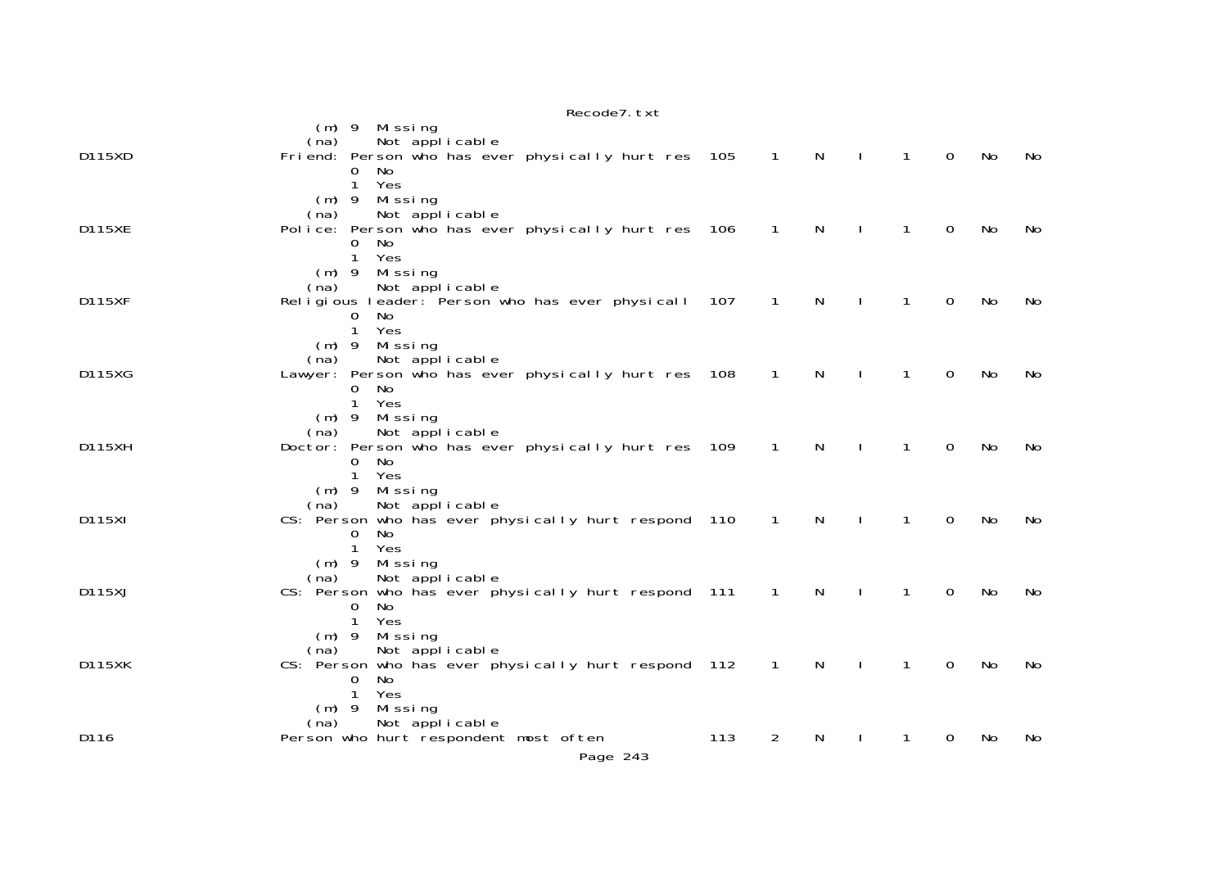|               | Recode7. txt                                                                                                                                        |     |                |              |              |                |             |     |           |
|---------------|-----------------------------------------------------------------------------------------------------------------------------------------------------|-----|----------------|--------------|--------------|----------------|-------------|-----|-----------|
| D115XD        | (m) 9 Missing<br>Not applicable<br>(na)<br>Friend: Person who has ever physically hurt res 105<br>No<br>0<br>$\mathbf{1}$<br>Yes                    |     | $\overline{1}$ | $\mathsf{N}$ | $\sim$ 1     | $\overline{1}$ | $\mathbf 0$ | No  | No        |
| <b>D115XE</b> | Missing<br>$(m)$ 9<br>Not applicable<br>(na)<br>Police: Person who has ever physically hurt res 106<br>No<br>0<br>Yes<br>$\mathbf{1}$               |     | $\overline{1}$ | N            | $\mathbf{L}$ | $\mathbf{1}$   | $\mathbf 0$ | No  | No        |
| <b>D115XF</b> | Missing<br>$(m)$ 9<br>Not applicable<br>(na)<br>Religious leader: Person who has ever physicall 107<br>No<br>0<br>$\mathbf{1}$<br>Yes               |     | $\mathbf 1$    | N            |              | $\mathbf{1}$   | $\Omega$    | No  | No        |
| D115XG        | Missing<br>$(m)$ 9<br>Not applicable<br>(na)<br>Lawyer: Person who has ever physically hurt res 108<br>No<br>0<br>Yes<br>1                          |     | $\overline{1}$ | N            |              | $\mathbf{1}$   | 0           | No  | No.       |
| D115XH        | Missing<br>$(m)$ 9<br>Not applicable<br>(na)<br>Doctor: Person who has ever physically hurt res 109<br>No<br>0<br>Yes<br>$\mathbf{1}$               |     | $\overline{1}$ | N            |              | 1              | 0           | No  | No        |
| D115XI        | $(m)$ 9<br>Missing<br>Not applicable<br>(na)<br>CS: Person who has ever physically hurt respond 110<br>$\Omega$<br><b>No</b><br>$\mathbf{1}$<br>Yes |     | $\overline{1}$ | N            |              | 1              | 0           | No  | No        |
| D115XJ        | $(m)$ 9<br>Missing<br>Not applicable<br>(na)<br>CS: Person who has ever physically hurt respond 111<br>No.<br>0<br>$\mathbf{1}$<br>Yes              |     | $\mathbf{1}$   | N            |              | 1              | 0           | No  | <b>No</b> |
| <b>D115XK</b> | $(m)$ 9<br>Missing<br>Not applicable<br>(na)<br>CS: Person who has ever physically hurt respond 112<br>No.<br>0<br>$\mathbf{1}$<br>Yes              |     | $\overline{1}$ | N            |              | 1              | 0           | No  | No        |
| D116          | $(m)$ 9<br>Missing<br>Not applicable<br>(na)<br>Person who hurt respondent most often<br>Page 243                                                   | 113 | 2              | N            |              | 1              | 0           | No. | No        |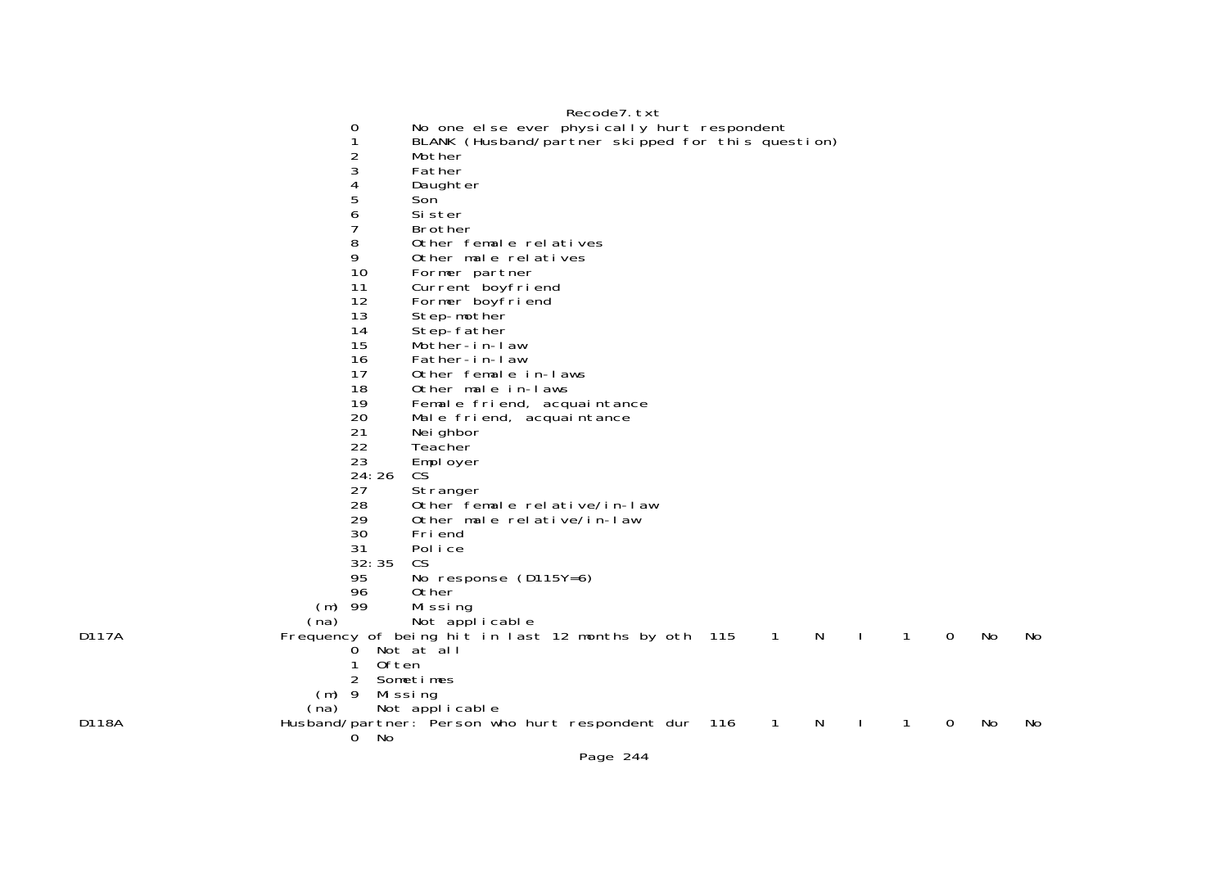0 No one else ever physically hurt respondent

- 1 BLANK (Husband/partner skipped for this question)
- Mother
- 3 Father
- 4 Daughter
- 5 Son
- 6 Sister
	- 7 Brother
- 8 Other female relatives
	- 9 Other male relatives
	-
	- 10 Former partner<br>11 Current boyfrie
	- 11 Current boyfriend<br>12 Former boyfriend 12 Former boyfriend<br>13 Step-mother
	-
	- 13 Step-mother<br>14 Step-father
	- 14 Step-father<br>15 Mother-in-la Mother-in-law
	- 16 Father-in-law
	-
	- 17 Other female in-laws
	- 18 Other male in-laws
- 19 Female friend, acquaintance
	- 20 Male friend, acquaintance<br>21 Meighbor
	- 21 Neighbor<br>22 Teacher
	- **Teacher**
- 23 Employer
	- $24:26$ CS<sup>'</sup>
	- 27 Stranger<br>28 Other fer
- 28 Other female relative/in-law
- 29 Other male relative/in-law
	- 30 Friend
- 31 Police
	- 32:35 CS
	- 95 No response (D115Y=6)
	- 0ther
- (m) 99 Missing
	-

- (na) Not applicable<br>Frequency of being hit in last Frequency of being hit in last 12 months by oth  $115$  1 N I 1 0 No No  $\alpha$  Not at all 1 Often 2 Sometimes (m) 9 Missing (na) Not applicable D118A Husband/partner: Person who hurt respondent dur 116 1 N I 1 0 No No
- 0 No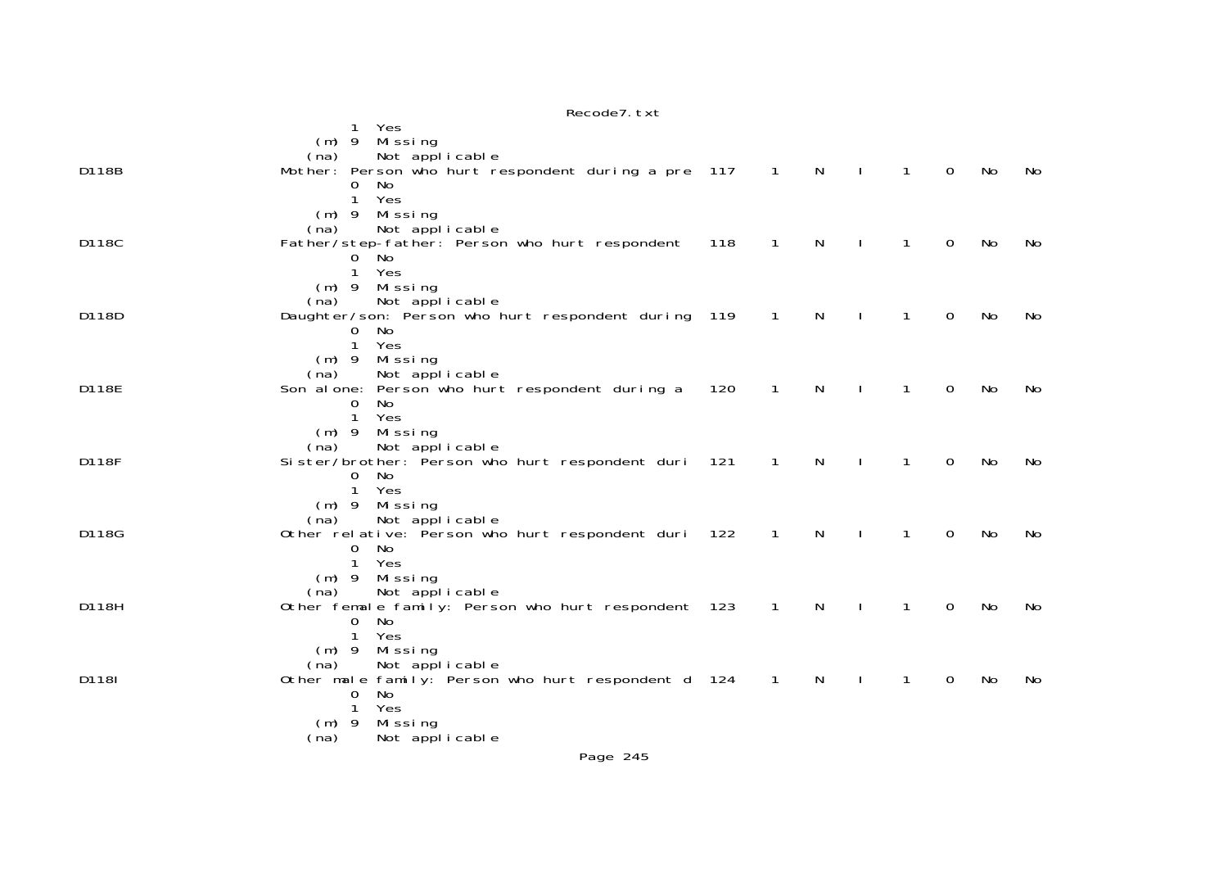|       | Yes<br>1<br>Missing<br>$(m)$ 9                                   |     |                |              |              |              |             |    |    |
|-------|------------------------------------------------------------------|-----|----------------|--------------|--------------|--------------|-------------|----|----|
|       | Not applicable<br>(na)                                           |     |                |              |              |              |             |    |    |
| D118B | Mother: Person who hurt respondent during a pre 117              |     | $\overline{1}$ | N            | $\mathbf{I}$ | $\mathbf{1}$ | $\mathbf 0$ | No | No |
|       | $\mathbf{O}$<br>No                                               |     |                |              |              |              |             |    |    |
|       | Yes<br>1<br>Missing<br>$(m)$ 9                                   |     |                |              |              |              |             |    |    |
|       | Not applicable<br>(na)                                           |     |                |              |              |              |             |    |    |
| D118C | Father/step-father: Person who hurt respondent                   | 118 | $\mathbf{1}$   | N            |              | $\mathbf{1}$ | 0           | No | No |
|       | 0 No                                                             |     |                |              |              |              |             |    |    |
|       | $\mathbf{1}$<br>Yes<br>$(m)$ 9 Missing                           |     |                |              |              |              |             |    |    |
|       | Not applicable<br>(na)                                           |     |                |              |              |              |             |    |    |
| D118D | Daughter/son: Person who hurt respondent during 119              |     | $\overline{1}$ | N            |              | 1            | 0           | No | No |
|       | No<br>0                                                          |     |                |              |              |              |             |    |    |
|       | $\mathbf{1}$<br>Yes<br>(m) 9 Missing                             |     |                |              |              |              |             |    |    |
|       | Not applicable<br>(na)                                           |     |                |              |              |              |             |    |    |
| D118E | Son alone: Person who hurt respondent during a                   | 120 | $\mathbf{1}$   | $\mathsf{N}$ |              | $\mathbf{1}$ | 0           | No | No |
|       | 0<br>No                                                          |     |                |              |              |              |             |    |    |
|       | 1<br>Yes<br>$(m)$ 9<br>Missing                                   |     |                |              |              |              |             |    |    |
|       | Not applicable<br>(na)                                           |     |                |              |              |              |             |    |    |
| D118F | Sister/brother: Person who hurt respondent duri 121              |     | $\mathbf{1}$   | N            | $\mathbf{I}$ | $\mathbf{1}$ | 0           | No | No |
|       | $\mathbf{O}$<br>No<br>Yes<br>$\mathbf 1$                         |     |                |              |              |              |             |    |    |
|       | $(m)$ 9 Missing                                                  |     |                |              |              |              |             |    |    |
|       | Not applicable<br>(na)                                           |     |                |              |              |              |             |    |    |
| D118G | Other relative: Person who hurt respondent duri 122              |     | $\overline{1}$ | N            |              | $\mathbf{1}$ | 0           | No | No |
|       | $\overline{0}$<br>No<br>1<br>Yes                                 |     |                |              |              |              |             |    |    |
|       | Missing<br>$(m)$ 9                                               |     |                |              |              |              |             |    |    |
|       | Not applicable<br>(na)                                           |     |                |              |              |              |             |    |    |
| D118H | Other female family: Person who hurt respondent 123              |     | $\overline{1}$ | N            |              | 1            | 0           | No | No |
|       | 0<br>No<br>1<br>Yes                                              |     |                |              |              |              |             |    |    |
|       | Missing<br>$(m)$ 9                                               |     |                |              |              |              |             |    |    |
|       | Not applicable<br>(na)                                           |     |                |              |              |              |             |    |    |
| D118I | Other male family: Person who hurt respondent d 124 1<br>0<br>No |     |                | $\mathsf{N}$ | $\mathbf{I}$ | $\mathbf{1}$ | 0           | No | No |
|       | Yes<br>1                                                         |     |                |              |              |              |             |    |    |
|       | Missing<br>$(m)$ 9                                               |     |                |              |              |              |             |    |    |
|       | (na)<br>Not applicable                                           |     |                |              |              |              |             |    |    |
|       | $D = 22$                                                         |     |                |              |              |              |             |    |    |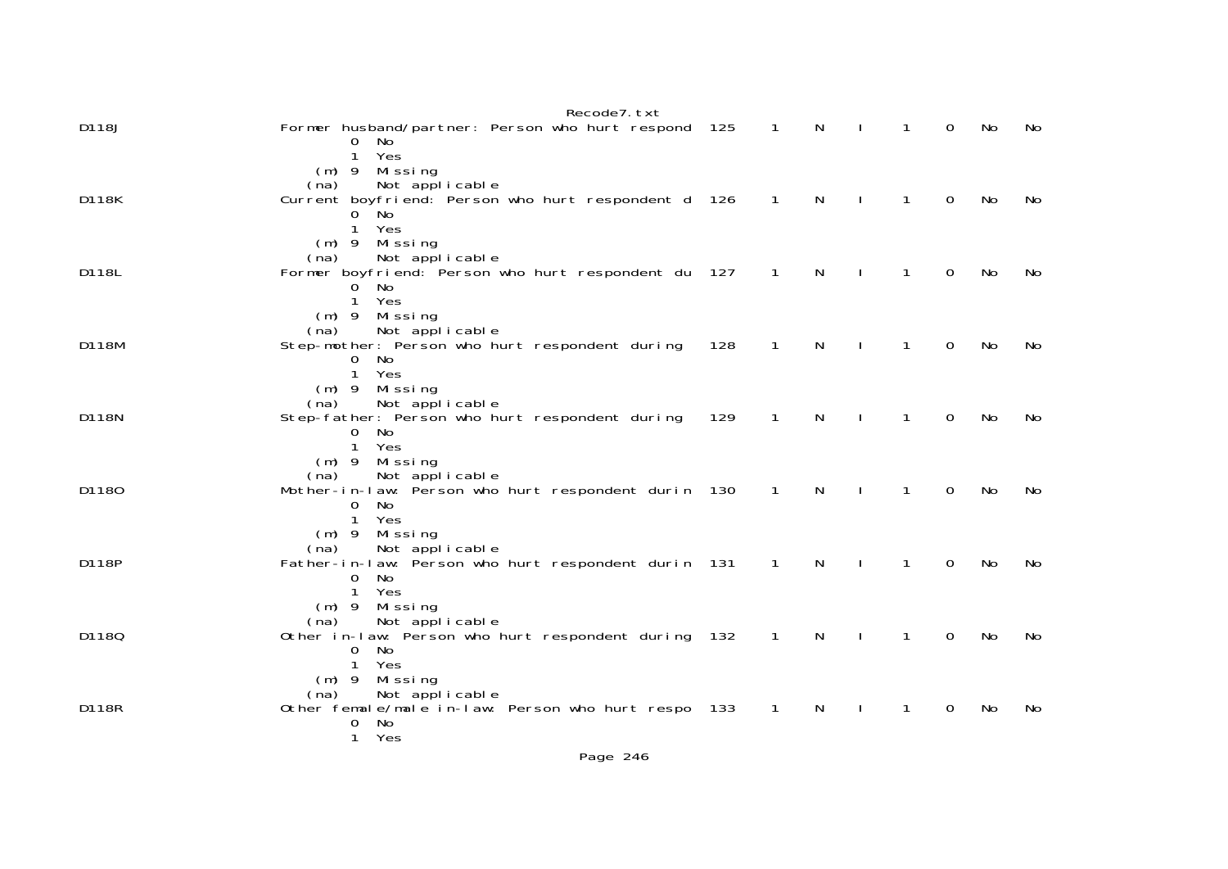|       | Recode7. txt                                                    |     |                            |              |              |              |          |    |     |
|-------|-----------------------------------------------------------------|-----|----------------------------|--------------|--------------|--------------|----------|----|-----|
| D118J | Former husband/partner: Person who hurt respond 125<br>0<br>No. |     | $\sim$ 1                   | $\mathsf{N}$ | $\perp$      | $\mathbf{1}$ | $\Omega$ | No | No  |
|       | $\mathbf{1}$<br>Yes                                             |     |                            |              |              |              |          |    |     |
|       | Missing<br>$(m)$ 9<br>Not applicable<br>(na)                    |     |                            |              |              |              |          |    |     |
| D118K | Current boyfriend: Person who hurt respondent d 126             |     | $\overline{\phantom{0}}$ 1 | $\mathsf{N}$ | $\mathbf{L}$ | $\mathbf{1}$ | $\Omega$ | No | No. |
|       | $0$ No                                                          |     |                            |              |              |              |          |    |     |
|       | Yes<br>1                                                        |     |                            |              |              |              |          |    |     |
|       | $(m)$ 9 Missing<br>Not applicable<br>(na)                       |     |                            |              |              |              |          |    |     |
| D118L | Former boyfriend: Person who hurt respondent du 127             |     | $\overline{1}$             | N            |              | $\mathbf{1}$ | 0        | No | No  |
|       | No.<br>0                                                        |     |                            |              |              |              |          |    |     |
|       | Yes<br>1                                                        |     |                            |              |              |              |          |    |     |
|       | Missing<br>$(m)$ 9<br>(na)<br>Not applicable                    |     |                            |              |              |              |          |    |     |
| D118M | Step-mother: Person who hurt respondent during                  | 128 | $\overline{1}$             | $\mathsf{N}$ | $\mathbf{I}$ | $\mathbf{1}$ | 0        | No | No  |
|       | $\Omega$<br>No.                                                 |     |                            |              |              |              |          |    |     |
|       | Yes<br>1                                                        |     |                            |              |              |              |          |    |     |
|       | $(m)$ 9<br>Mi ssi ng<br>Not applicable<br>(na)                  |     |                            |              |              |              |          |    |     |
| D118N | Step-father: Person who hurt respondent during                  | 129 | $\mathbf{1}$               | $\mathsf{N}$ | $\mathbf{I}$ | $\mathbf{1}$ | $\Omega$ | No | No  |
|       | No<br>0                                                         |     |                            |              |              |              |          |    |     |
|       | $\mathbf{1}$<br>Yes                                             |     |                            |              |              |              |          |    |     |
|       | $(m)$ 9 Missing<br>Not applicable<br>(na)                       |     |                            |              |              |              |          |    |     |
| D1180 | Mother-in-law: Person who hurt respondent durin 130             |     | $\overline{1}$             | $\mathsf{N}$ |              | 1            | $\Omega$ | No | No  |
|       | No<br>0                                                         |     |                            |              |              |              |          |    |     |
|       | Yes<br>1<br>$(m)$ 9<br>Missing                                  |     |                            |              |              |              |          |    |     |
|       | Not applicable<br>(na)                                          |     |                            |              |              |              |          |    |     |
| D118P | Father-in-law: Person who hurt respondent durin 131             |     | $\overline{1}$             | N            |              | 1            | $\Omega$ | No | No  |
|       | No.<br>0                                                        |     |                            |              |              |              |          |    |     |
|       | $\mathbf{1}$<br>Yes<br>Mi ssi ng<br>$(m)$ 9                     |     |                            |              |              |              |          |    |     |
|       | Not applicable<br>(na)                                          |     |                            |              |              |              |          |    |     |
| D1180 | Other in-law: Person who hurt respondent during 132             |     | $\overline{1}$             | $\mathsf{N}$ | $\mathbf{I}$ | $\mathbf{1}$ | 0        | No | No  |
|       | 0<br>No                                                         |     |                            |              |              |              |          |    |     |
|       | Yes<br>Missing<br>$(m)$ 9                                       |     |                            |              |              |              |          |    |     |
|       | Not applicable<br>(na)                                          |     |                            |              |              |              |          |    |     |
| D118R | Other female/male in-law: Person who hurt respo 133             |     | $\overline{1}$             | N            |              | $\mathbf{1}$ | $\Omega$ | No | No  |
|       | No<br>0<br>Yes<br>1                                             |     |                            |              |              |              |          |    |     |
|       |                                                                 |     |                            |              |              |              |          |    |     |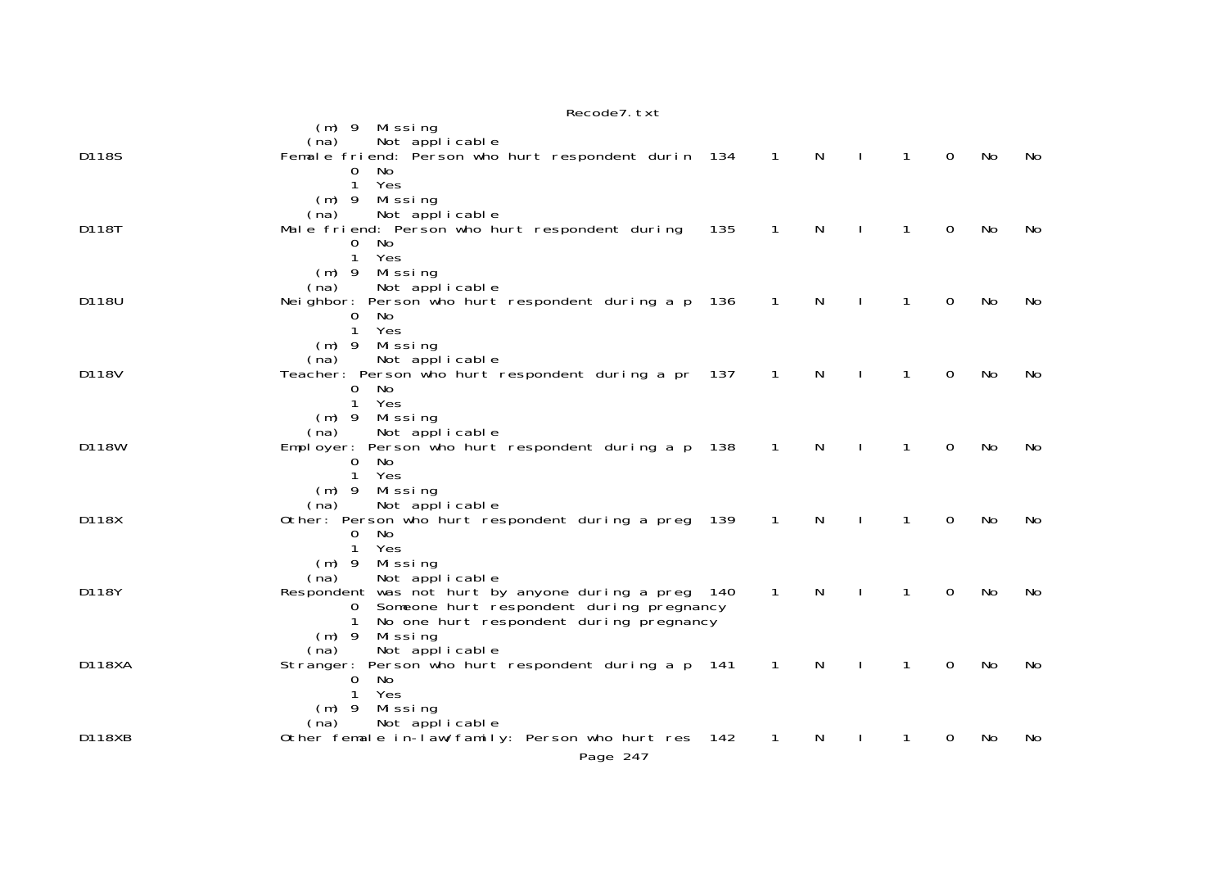|               | RECOURT. LAT                                                                                                                                                                                    |     |                |   |              |              |          |           |     |
|---------------|-------------------------------------------------------------------------------------------------------------------------------------------------------------------------------------------------|-----|----------------|---|--------------|--------------|----------|-----------|-----|
| D118S         | $(m)$ 9<br>Missing<br>Not applicable<br>(na)<br>Female friend: Person who hurt respondent durin 134<br>0<br>No<br>Yes<br>1                                                                      |     | $\sqrt{1}$     | N |              | $\mathbf{1}$ | $\Omega$ | No        | No  |
| D118T         | Missing<br>$(m)$ 9<br>Not applicable<br>(na)<br>Male friend: Person who hurt respondent during<br>No.<br>0<br>$\mathbf{1}$<br>Yes                                                               | 135 | 1              | N |              | 1            | 0        | No        | No  |
| D118U         | Missing<br>$(m)$ 9<br>Not applicable<br>(na)<br>Neighbor: Person who hurt respondent during a p 136<br>No.<br>O<br>$\mathbf{1}$<br>Yes                                                          |     | $\overline{1}$ | N |              | 1            | 0        | No        | No  |
| D118V         | $(m)$ 9<br>Missing<br>Not applicable<br>(na)<br>Teacher: Person who hurt respondent during a pr 137<br>No<br>0<br>$\mathbf{1}$<br>Yes                                                           |     | $\overline{1}$ | N | $\perp$      | 1            | 0        | No        | No. |
| D118W         | Missing<br>$(m)$ 9<br>Not applicable<br>(na)<br>Employer: Person who hurt respondent during a p 138<br>No<br>0<br>$\mathbf{1}$<br>Yes                                                           |     | $\mathbf{1}$   | N | $\mathbf{I}$ | $\mathbf{1}$ | 0        | No        | No  |
| D118X         | Missing<br>$(m)$ 9<br>Not applicable<br>(na)<br>Other: Person who hurt respondent during a preg 139<br>No<br>0<br>Yes<br>1                                                                      |     | $\mathbf{1}$   | N |              | 1            | $\Omega$ | <b>No</b> | No  |
| D118Y         | $(m)$ 9<br>Missing<br>Not applicable<br>(na)<br>Respondent was not hurt by anyone during a preg 140<br>Someone hurt respondent during pregnancy<br>0<br>No one hurt respondent during pregnancy |     | $\mathbf{1}$   | N |              | 1            | 0        | No        | No  |
| <b>D118XA</b> | Missing<br>$(m)$ 9<br>Not applicable<br>(na)<br>Person who hurt respondent during a p 141<br>Stranger:<br>No<br>$\overline{0}$<br>$\mathbf{1}$<br>Yes                                           |     | $\mathbf{1}$   | N |              | 1            | 0        | No        | No. |
| D118XB        | Missing<br>$(m)$ 9<br>Not applicable<br>(na)<br>Other female in-law/family: Person who hurt res 142<br>Page 247                                                                                 |     | 1              | N |              |              | 0        | No        | No. |

 $p_{0}$ codo $7$  tvt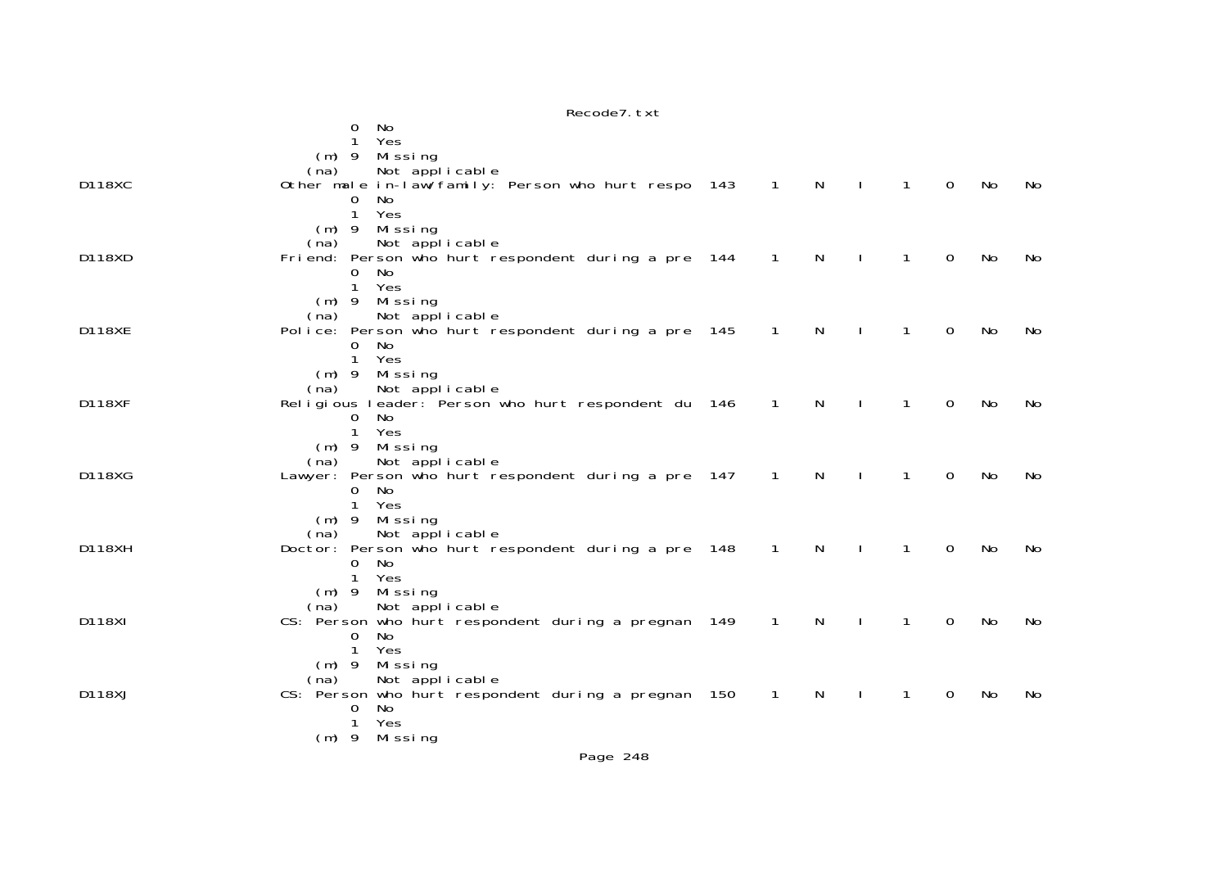|               | Recode7. txt                                                                  |                |              |              |              |                |           |     |
|---------------|-------------------------------------------------------------------------------|----------------|--------------|--------------|--------------|----------------|-----------|-----|
|               | No<br>0                                                                       |                |              |              |              |                |           |     |
|               | Yes                                                                           |                |              |              |              |                |           |     |
|               | Missing<br>$(m)$ 9                                                            |                |              |              |              |                |           |     |
|               | Not applicable<br>(na)                                                        |                |              |              |              |                |           |     |
| <b>D118XC</b> | Other male in-law/family: Person who hurt respo 143                           | $\overline{1}$ | $\mathsf{N}$ |              | $\mathbf{1}$ | $\overline{0}$ | No        | No. |
|               | 0<br>No<br>Yes<br>$\mathbf{1}$                                                |                |              |              |              |                |           |     |
|               | $(m)$ 9<br>Missing                                                            |                |              |              |              |                |           |     |
|               | Not applicable<br>(na)                                                        |                |              |              |              |                |           |     |
| D118XD        | Friend: Person who hurt respondent during a pre 144                           | $\mathbf{1}$   | $\mathsf{N}$ |              | 1            | $\overline{0}$ | <b>No</b> | No  |
|               | 0<br>No                                                                       |                |              |              |              |                |           |     |
|               | 1<br>Yes                                                                      |                |              |              |              |                |           |     |
|               | Missing<br>$(m)$ 9                                                            |                |              |              |              |                |           |     |
|               | Not applicable<br>(na)                                                        |                |              |              |              |                |           |     |
| <b>D118XE</b> | Police: Person who hurt respondent during a pre 145                           | $\mathbf{1}$   | N            |              | 1            | 0              | No        | No  |
|               | No<br>0<br>$\mathbf{1}$                                                       |                |              |              |              |                |           |     |
|               | Yes<br>Missing<br>$(m)$ 9                                                     |                |              |              |              |                |           |     |
|               | Not applicable<br>(na)                                                        |                |              |              |              |                |           |     |
| <b>D118XF</b> | Religious leader: Person who hurt respondent du 146                           | $\mathbf{1}$   | $\mathsf{N}$ |              | 1            | 0              | No        | No  |
|               | No<br>0                                                                       |                |              |              |              |                |           |     |
|               | $\mathbf{1}$<br>Yes                                                           |                |              |              |              |                |           |     |
|               | Missing<br>$(m)$ 9                                                            |                |              |              |              |                |           |     |
|               | Not applicable<br>(na)                                                        |                |              |              |              |                |           |     |
| D118XG        | Lawyer: Person who hurt respondent during a pre 147                           | $\mathbf{1}$   | $\mathsf{N}$ |              | 1            | 0              | No        | No  |
|               | 0<br>No<br>$\mathbf{1}$<br>Yes                                                |                |              |              |              |                |           |     |
|               | $(m)$ 9<br>Missing                                                            |                |              |              |              |                |           |     |
|               | Not applicable<br>(na)                                                        |                |              |              |              |                |           |     |
| <b>D118XH</b> | Doctor: Person who hurt respondent during a pre 148                           | $\overline{1}$ | $\mathsf{N}$ | $\mathbf{I}$ | $\mathbf{1}$ | $\overline{0}$ | No        | No  |
|               | 0<br>No                                                                       |                |              |              |              |                |           |     |
|               | 1<br>Yes                                                                      |                |              |              |              |                |           |     |
|               | $(m)$ 9<br>Missing                                                            |                |              |              |              |                |           |     |
| D118XI        | Not applicable<br>(na)<br>CS: Person who hurt respondent during a pregnan 149 | $\mathbf{1}$   | N            |              | 1            | $\Omega$       | No        | No  |
|               | No<br>0                                                                       |                |              |              |              |                |           |     |
|               | $\mathbf{1}$<br>Yes                                                           |                |              |              |              |                |           |     |
|               | Missing<br>$(m)$ 9                                                            |                |              |              |              |                |           |     |
|               | Not applicable<br>(na)                                                        |                |              |              |              |                |           |     |
| D118XJ        | CS: Person who hurt respondent during a pregnan 150                           | $\mathbf{1}$   | N            |              | 1            | 0              | No        | No  |
|               | No<br>0                                                                       |                |              |              |              |                |           |     |
|               | $\mathbf{1}$<br>Yes                                                           |                |              |              |              |                |           |     |
|               | $(m)$ 9<br>Missing                                                            |                |              |              |              |                |           |     |
|               | Page 248                                                                      |                |              |              |              |                |           |     |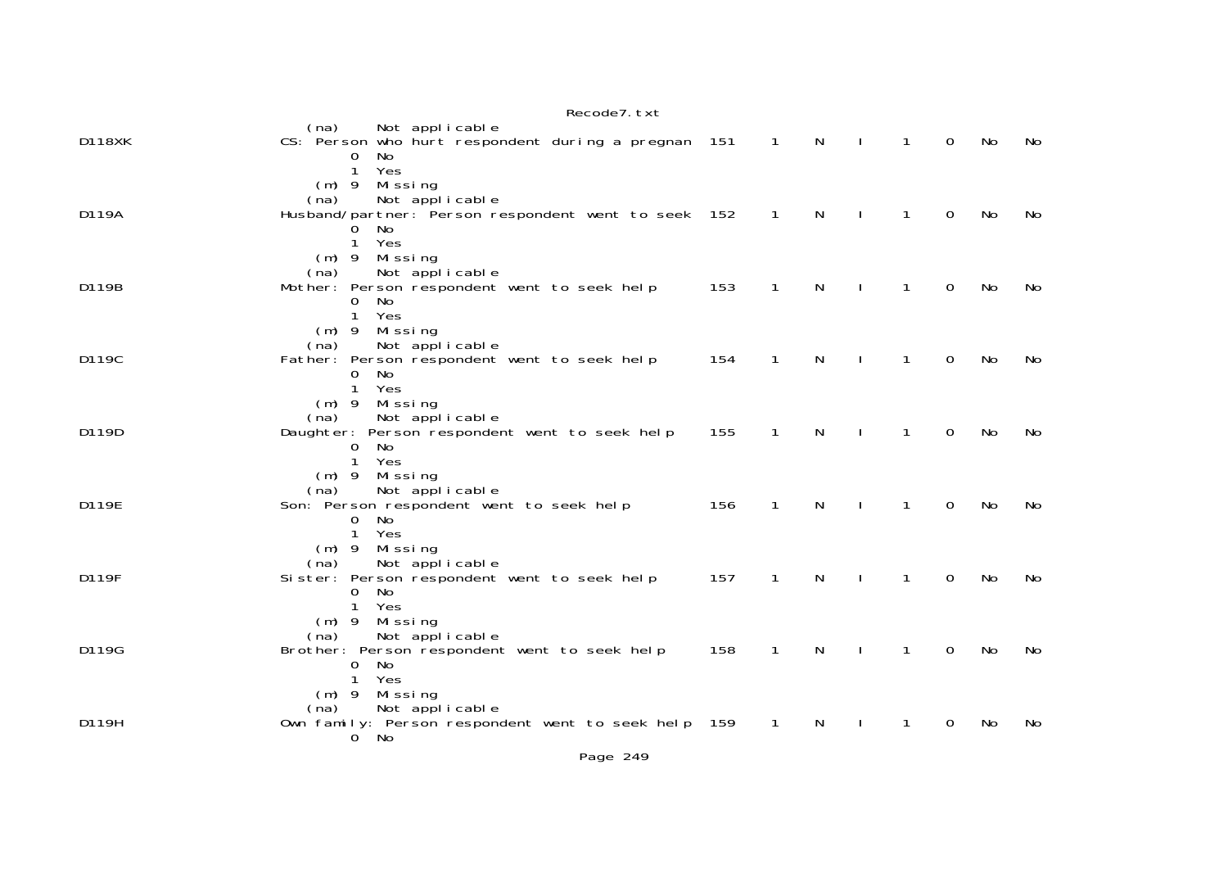|               | Recode7. txt                                                                                                         |     |                |              |              |                |             |    |     |
|---------------|----------------------------------------------------------------------------------------------------------------------|-----|----------------|--------------|--------------|----------------|-------------|----|-----|
| <b>D118XK</b> | Not applicable<br>(na)<br>CS: Person who hurt respondent during a pregnan 151 1<br>No.<br>$\Omega$                   |     |                | N            | $\Box$       | $\overline{1}$ | $\Omega$    | No | No. |
|               | Yes<br>$\mathbf{1}$<br>$(m)$ 9 Missing<br>Not applicable<br>(na)                                                     |     |                |              |              |                |             |    |     |
| D119A         | Husband/partner: Person respondent went to seek 152<br>No<br>0<br>Yes<br>1                                           |     | $\sqrt{1}$     | N.           | $\mathbf{I}$ | $\overline{1}$ | $\Omega$    | No | No. |
| D119B         | Missing<br>$(m)$ 9<br>Not applicable<br>(na)<br>Mother: Person respondent went to seek help                          | 153 | $\mathbf{1}$   | N            | $\mathbf{I}$ | $\mathbf{1}$   | $\Omega$    | No | No. |
|               | No<br>0<br>Yes<br>$\mathbf{1}$<br>$(m)$ 9 Missing                                                                    |     |                |              |              |                |             |    |     |
| D119C         | Not applicable<br>(na)<br>Father: Person respondent went to seek help<br>No<br>0                                     | 154 | $\mathbf{1}$   | $\mathsf{N}$ | $\sim 1$     | $\overline{1}$ | $\mathbf 0$ | No | No  |
| D119D         | Yes<br>$\mathbf{1}$<br>Missing<br>$(m)$ 9<br>Not applicable<br>(na)<br>Daughter: Person respondent went to seek help | 155 | $\mathbf{1}$   | N            |              | $\mathbf{1}$   | $\mathbf 0$ | No | No. |
|               | $\mathbf{O}$<br>- No<br>$\mathbf{1}$<br>Yes<br>$(m)$ 9 Missing                                                       |     |                |              |              |                |             |    |     |
| D119E         | Not applicable<br>(na)<br>Son: Person respondent went to seek help<br>No<br>$\Omega$                                 | 156 | $\mathbf{1}$   | N            |              | $\mathbf{1}$   | $\mathbf 0$ | No | No  |
| D119F         | Yes<br>1<br>$(m)$ 9 Missing<br>Not applicable<br>(na)<br>Sister: Person respondent went to seek help                 | 157 | $\mathbf{1}$   | $\mathsf{N}$ |              | $\mathbf{1}$   | $\mathbf 0$ | No | No. |
|               | No<br>$\Omega$<br>Yes<br>$\mathbf{1}$<br>$(m)$ 9 Missing                                                             |     |                |              |              |                |             |    |     |
| D119G         | Not applicable<br>(na)<br>Brother: Person respondent went to seek help<br>No<br>0                                    | 158 | $\mathbf{1}$   | $\mathsf{N}$ | $\mathbf{I}$ | $\mathbf{1}$   | $\mathbf 0$ | No | No  |
|               | Yes<br>1<br>$(m)$ 9 Missing<br>Not applicable<br>(na)                                                                |     |                |              |              |                |             |    |     |
| D119H         | Own family: Person respondent went to seek help 159<br>$0$ No                                                        |     | $\overline{1}$ | N            | $\mathbf{L}$ | $\mathbf{1}$   | $\mathbf 0$ | No | No  |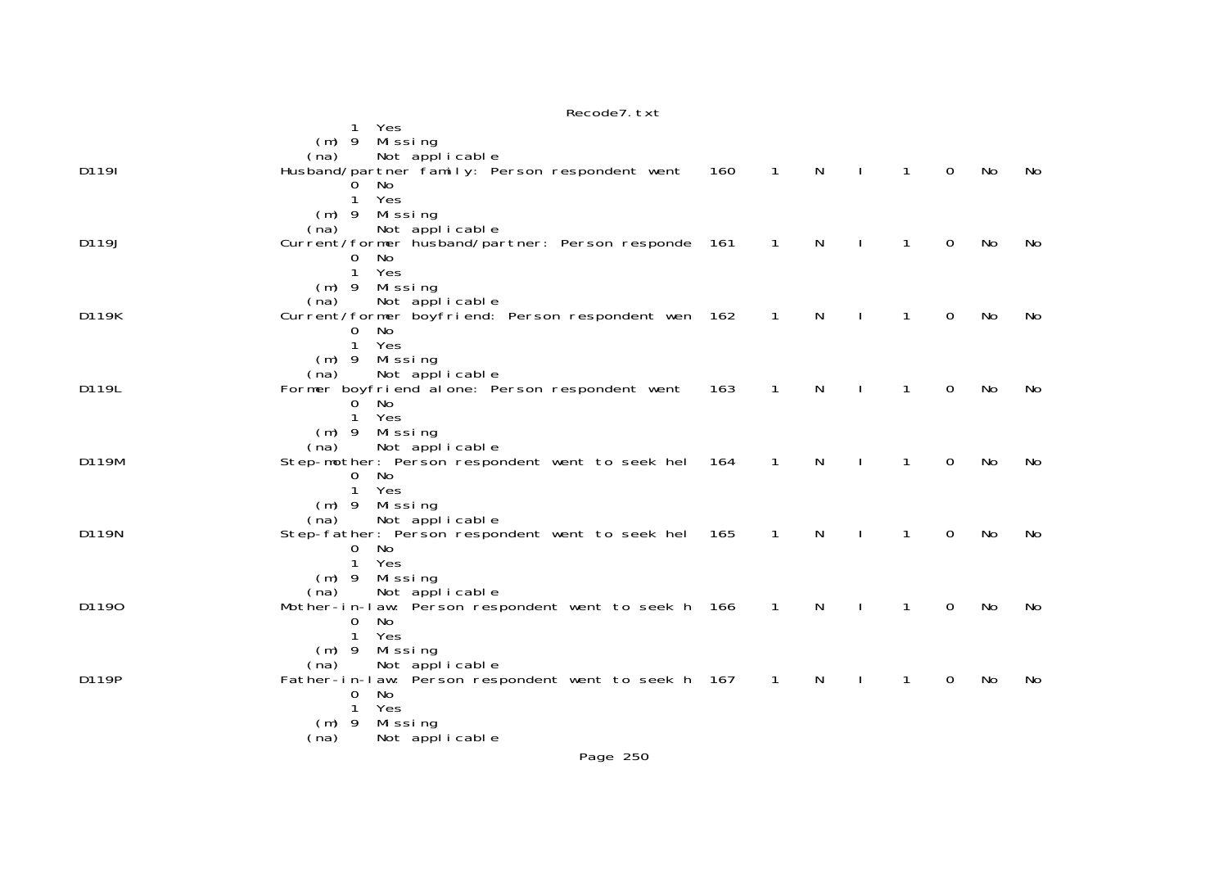|       | Recode7. txt                                                                  |     |                            |              |                |              |             |           |    |
|-------|-------------------------------------------------------------------------------|-----|----------------------------|--------------|----------------|--------------|-------------|-----------|----|
|       | Yes<br>1.                                                                     |     |                            |              |                |              |             |           |    |
|       | Missing<br>$(m)$ 9                                                            |     |                            |              |                |              |             |           |    |
|       | Not applicable<br>(na)                                                        |     |                            |              |                |              |             |           |    |
| D119I | Husband/partner family: Person respondent went<br>No                          | 160 | $\overline{1}$             | $\mathsf{N}$ | $\mathbf{I}$   | $\mathbf{1}$ | $\mathbf 0$ | No        | No |
|       | Yes<br>1                                                                      |     |                            |              |                |              |             |           |    |
|       | $(m)$ 9<br>Missing                                                            |     |                            |              |                |              |             |           |    |
|       | Not applicable<br>(na)                                                        |     |                            |              |                |              |             |           |    |
| D119J | Current/former husband/partner: Person responde 161                           |     | $\overline{1}$             | $\mathsf{N}$ | $\mathbf{I}$   | $\mathbf{1}$ | $\mathbf 0$ | No        | No |
|       | No<br>$\overline{0}$                                                          |     |                            |              |                |              |             |           |    |
|       | $\mathbf{1}$<br>Yes                                                           |     |                            |              |                |              |             |           |    |
|       | Missing<br>$(m)$ 9<br>(na)                                                    |     |                            |              |                |              |             |           |    |
| D119K | Not applicable<br>Current/former boyfriend: Person respondent wen 162         |     | $\overline{\phantom{0}}$ 1 | $\mathsf{N}$ | $\blacksquare$ | $\mathbf{1}$ | $\mathbf 0$ | No        | No |
|       | $\mathbf 0$<br>No                                                             |     |                            |              |                |              |             |           |    |
|       | $\mathbf{1}$<br>Yes                                                           |     |                            |              |                |              |             |           |    |
|       | Missing<br>$(m)$ 9                                                            |     |                            |              |                |              |             |           |    |
|       | Not applicable<br>(na)                                                        |     |                            |              |                |              |             |           |    |
| D119L | Former boyfriend alone: Person respondent went                                | 163 | $\mathbf{1}$               | N            | $\mathbf{I}$   | $\mathbf{1}$ | 0           | No        | No |
|       | $\overline{0}$<br>No<br>1                                                     |     |                            |              |                |              |             |           |    |
|       | Yes<br>Missing<br>$(m)$ 9                                                     |     |                            |              |                |              |             |           |    |
|       | Not applicable<br>(na)                                                        |     |                            |              |                |              |             |           |    |
| D119M | Step-mother: Person respondent went to seek hel 164                           |     | $\mathbf{1}$               | N            |                | $\mathbf{1}$ | $\Omega$    | No        | No |
|       | No<br>0                                                                       |     |                            |              |                |              |             |           |    |
|       | Yes<br>$\mathbf{1}$                                                           |     |                            |              |                |              |             |           |    |
|       | Missing<br>$(m)$ 9                                                            |     |                            |              |                |              |             |           |    |
|       | Not applicable<br>(na)                                                        |     |                            |              |                |              |             |           |    |
| D119N | Step-father: Person respondent went to seek hel<br>0 No                       | 165 | $\mathbf{1}$               | N            |                | 1            | $\Omega$    | <b>No</b> | No |
|       | Yes<br>1                                                                      |     |                            |              |                |              |             |           |    |
|       | $(m)$ 9<br>Missing                                                            |     |                            |              |                |              |             |           |    |
|       | Not applicable<br>(na)                                                        |     |                            |              |                |              |             |           |    |
| D1190 | Mother-in-law: Person respondent went to seek h 166                           |     | $\overline{1}$             | N            |                | 1            | 0           | No        | No |
|       | 0<br>No                                                                       |     |                            |              |                |              |             |           |    |
|       | 1<br>Yes                                                                      |     |                            |              |                |              |             |           |    |
|       | Missing<br>$(m)$ 9                                                            |     |                            |              |                |              |             |           |    |
| D119P | Not applicable<br>(na)<br>Father-in-law: Person respondent went to seek h 167 |     | $\overline{\phantom{0}}$ 1 | N            |                | $\mathbf{1}$ | $\Omega$    | No        | No |
|       | $\mathbf 0$<br>No                                                             |     |                            |              |                |              |             |           |    |
|       | Yes<br>$\mathbf{1}$                                                           |     |                            |              |                |              |             |           |    |
|       | Missing<br>$(m)$ 9                                                            |     |                            |              |                |              |             |           |    |
|       | Not applicable<br>(na)                                                        |     |                            |              |                |              |             |           |    |
|       | Page 250                                                                      |     |                            |              |                |              |             |           |    |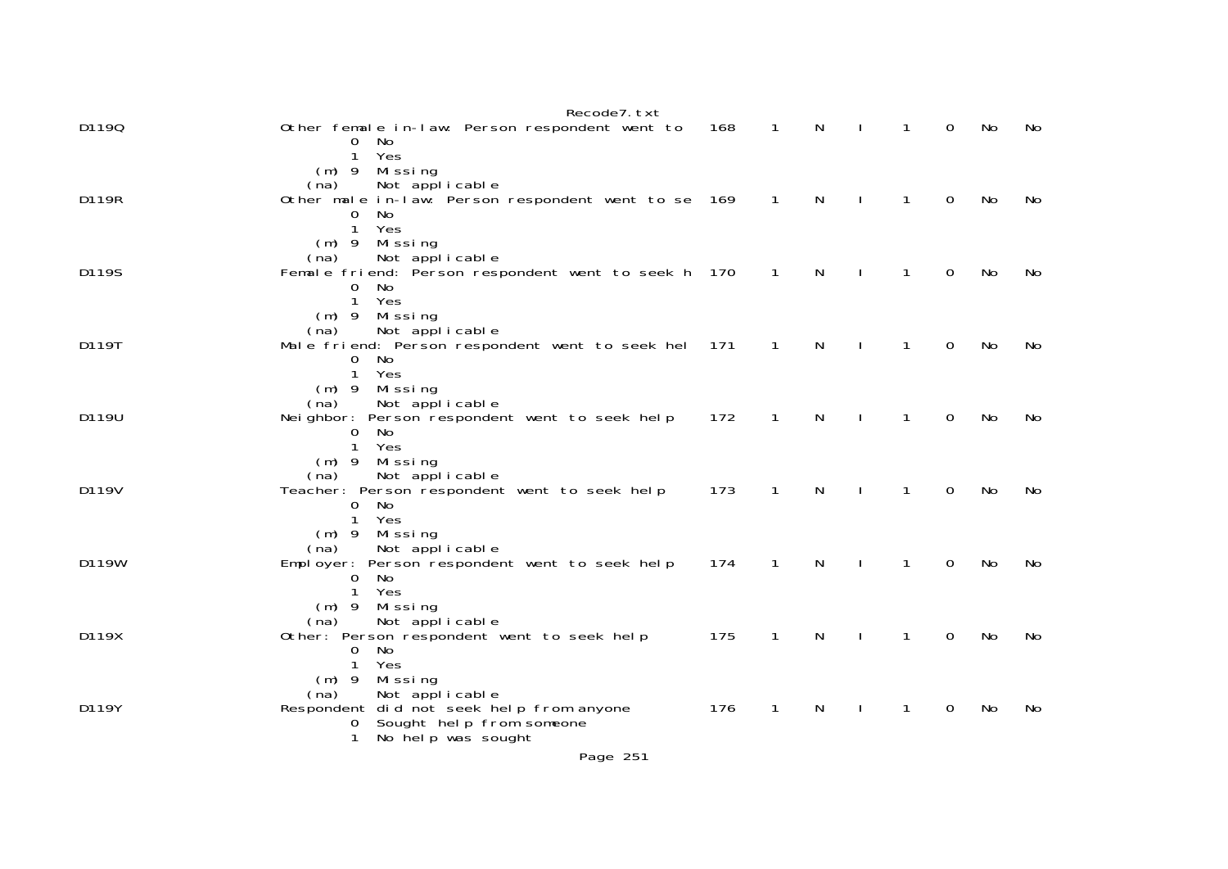|       | Recode7. txt                                                                    |     |                |              |                |              |             |     |     |
|-------|---------------------------------------------------------------------------------|-----|----------------|--------------|----------------|--------------|-------------|-----|-----|
| D1190 | Other female in-law: Person respondent went to<br>0 No                          | 168 | $\overline{1}$ | $\mathsf{N}$ | $\blacksquare$ | $\mathbf{1}$ | $\Omega$    | No  | No  |
|       | $\mathbf{1}$<br>Yes<br>$(m)$ 9 Missing                                          |     |                |              |                |              |             |     |     |
| D119R | Not applicable<br>(na)<br>Other male in-law: Person respondent went to se 169 1 |     |                | $\mathsf{N}$ | $\mathbf{I}$   | $\mathbf{1}$ | $\Omega$    | No  | No. |
|       | $\mathbf 0$<br>No                                                               |     |                |              |                |              |             |     |     |
|       | Yes<br>$\mathbf{1}$<br>$(m)$ 9 Missing                                          |     |                |              |                |              |             |     |     |
| D119S | Not applicable<br>(na)<br>Female friend: Person respondent went to seek h 170   |     | $\sqrt{1}$     | N.           | $\mathbf{I}$   | $\mathbf{1}$ | $\Omega$    | No. | No. |
|       | $\Omega$<br>No.<br>$\mathbf{1}$<br>Yes                                          |     |                |              |                |              |             |     |     |
|       | $(m)$ 9 Missing                                                                 |     |                |              |                |              |             |     |     |
| D119T | Not applicable<br>(na)<br>Male friend: Person respondent went to seek hel 171   |     | $\overline{1}$ | $\mathsf{N}$ | $\mathbf{I}$   | $\mathbf{1}$ | $\Omega$    | No  | No  |
|       | $0$ No<br>Yes<br>$\mathbf{1}$                                                   |     |                |              |                |              |             |     |     |
|       | $(m)$ 9 Missing                                                                 |     |                |              |                |              |             |     |     |
| D119U | Not applicable<br>(na)<br>Neighbor: Person respondent went to seek help         | 172 | $\overline{1}$ | $\mathsf{N}$ | $\blacksquare$ | $\mathbf{1}$ | $\mathbf 0$ | No  | No  |
|       | $\mathbf{0}$<br>- No<br>Yes<br>$\mathbf{1}$                                     |     |                |              |                |              |             |     |     |
|       | $(m)$ 9 Missing<br>Not applicable<br>(na)                                       |     |                |              |                |              |             |     |     |
| D119V | Teacher: Person respondent went to seek help                                    | 173 | $\overline{1}$ | $\mathsf{N}$ | $\mathbf{L}$   | $\mathbf{1}$ | 0           | No  | No. |
|       | 0 No<br>Yes<br>$\mathbf{1}$                                                     |     |                |              |                |              |             |     |     |
|       | $(m)$ 9 Missing<br>Not applicable<br>(na)                                       |     |                |              |                |              |             |     |     |
| D119W | Employer: Person respondent went to seek help                                   | 174 | $\mathbf{1}$   | N            |                | $\mathbf{1}$ | $\Omega$    | No  | No. |
|       | $\overline{0}$<br>No<br>Yes<br>$\mathbf{1}$                                     |     |                |              |                |              |             |     |     |
|       | $(m)$ 9 Missing<br>Not applicable<br>(na)                                       |     |                |              |                |              |             |     |     |
| D119X | Other: Person respondent went to seek help<br>No<br>0                           | 175 | $\overline{1}$ | $\mathsf{N}$ | $\perp$        | $\mathbf{1}$ | $\Omega$    | No  | No. |
|       | Yes<br>$\mathbf{1}$                                                             |     |                |              |                |              |             |     |     |
|       | Mi ssi ng<br>$(m)$ 9<br>Not applicable<br>(na)                                  |     |                |              |                |              |             |     |     |
| D119Y | Respondent did not seek help from anyone<br>Sought help from someone<br>0       | 176 | $\mathbf{1}$   | $\mathsf{N}$ | $\mathbf{I}$   | $\mathbf{1}$ | 0           | No  | No  |
|       | No help was sought<br>$\mathbf{1}$                                              |     |                |              |                |              |             |     |     |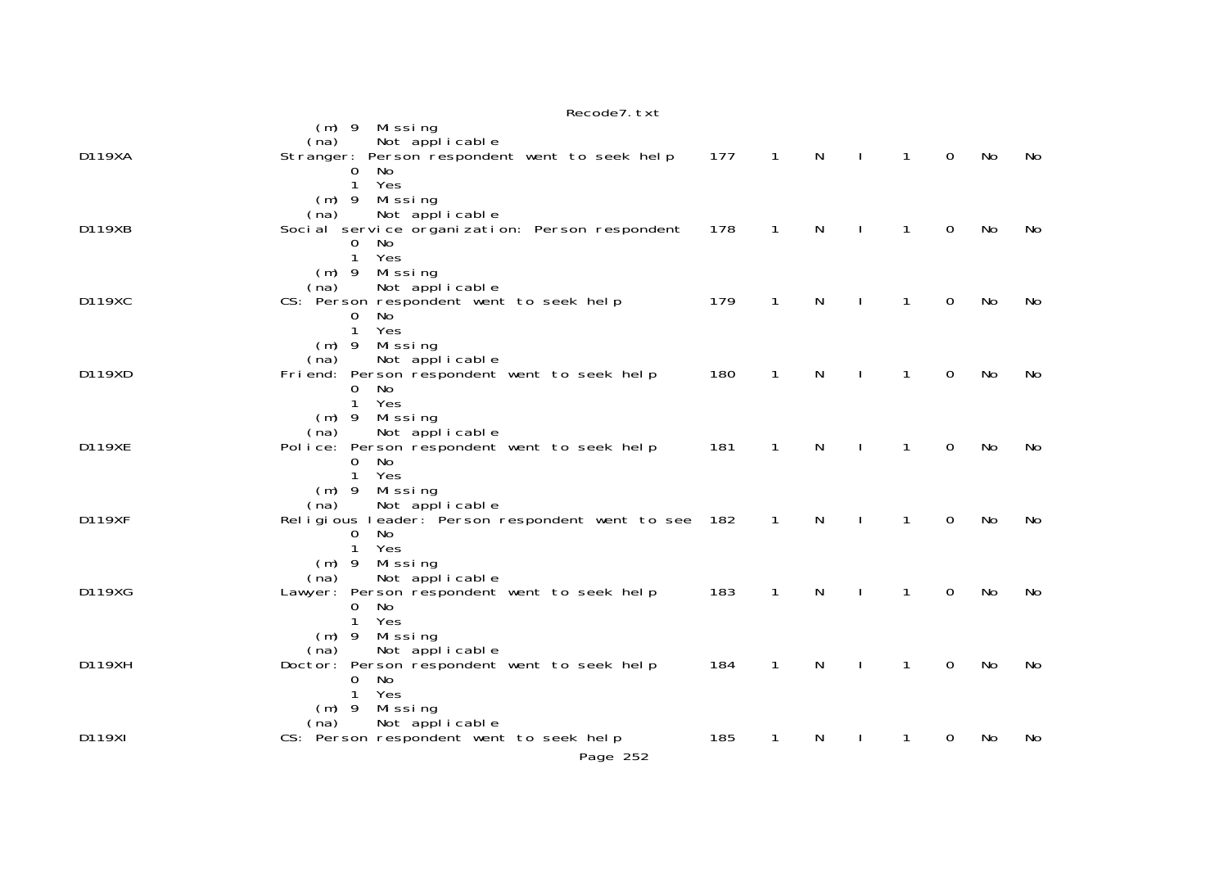|               | Recode7. txt                                                                                                                                 |     |                |              |              |                |                |    |     |
|---------------|----------------------------------------------------------------------------------------------------------------------------------------------|-----|----------------|--------------|--------------|----------------|----------------|----|-----|
|               | $(m)$ 9 Missing<br>Not applicable<br>(na)                                                                                                    |     |                |              |              |                |                |    |     |
| D119XA        | Stranger: Person respondent went to seek help<br>No<br>0<br>$\mathbf{1}$<br>Yes<br>$(m)$ 9 Missing                                           | 177 | $\overline{1}$ | $\mathsf{N}$ | $\mathbf{I}$ | $\overline{1}$ | $\overline{0}$ | No | No  |
| D119XB        | Not applicable<br>(na)<br>Soci al service organization: Person respondent<br>No<br>$\mathbf{O}$<br>Yes<br>$\mathbf{1}$<br>Missing<br>$(m)$ 9 | 178 | $\mathbf{1}$   | $\mathsf{N}$ | $\mathbf{I}$ | $\mathbf{1}$   | 0              | No | No  |
| D119XC        | Not applicable<br>(na)<br>CS: Person respondent went to seek help<br>No<br>0<br>$\mathbf{1}$<br>Yes                                          | 179 | $\mathbf{1}$   | N            | $\mathbf{I}$ | $\mathbf{1}$   | 0              | No | No  |
| D119XD        | $(m)$ 9<br>Mi ssi ng<br>Not applicable<br>(na)<br>Friend: Person respondent went to seek help<br>0<br>No<br>Yes<br>$\mathbf{1}$              | 180 | $\mathbf{1}$   | N            |              | $\mathbf{1}$   | 0              | No | No. |
| <b>D119XE</b> | $(m)$ 9 Missing<br>Not applicable<br>(na)<br>Police: Person respondent went to seek help<br>$\Omega$<br>No<br>Yes<br>$\mathbf{1}$            | 181 | 1              | N            |              | $\mathbf{1}$   | 0              | No | No  |
| <b>D119XF</b> | $(m)$ 9 Missing<br>Not applicable<br>(na)<br>Religious leader: Person respondent went to see 182<br>$\mathbf 0$<br>No.<br>1<br>Yes           |     | $\mathbf{1}$   | N            | $\mathbf{I}$ | $\mathbf{1}$   | 0              | No | No  |
| D119XG        | Missing<br>$(m)$ 9<br>Not applicable<br>(na)<br>Lawyer: Person respondent went to seek help<br>No<br>$\mathbf{0}$<br>$\mathbf{1}$<br>Yes     | 183 | $\mathbf{1}$   | N            |              | $\mathbf{1}$   | $\Omega$       | No | No  |
| D119XH        | Missing<br>$(m)$ 9<br>Not applicable<br>(na)<br>Doctor: Person respondent went to seek help<br>No<br>0<br>$\mathbf{1}$<br>Yes                | 184 | 1              | N            | $\mathbf{I}$ | 1              | 0              | No | No  |
| D119XI        | Missing<br>$(m)$ 9<br>Not applicable<br>(na)<br>CS: Person respondent went to seek help<br>Page 252                                          | 185 | 1              | N            |              | 1              | 0              | No | No  |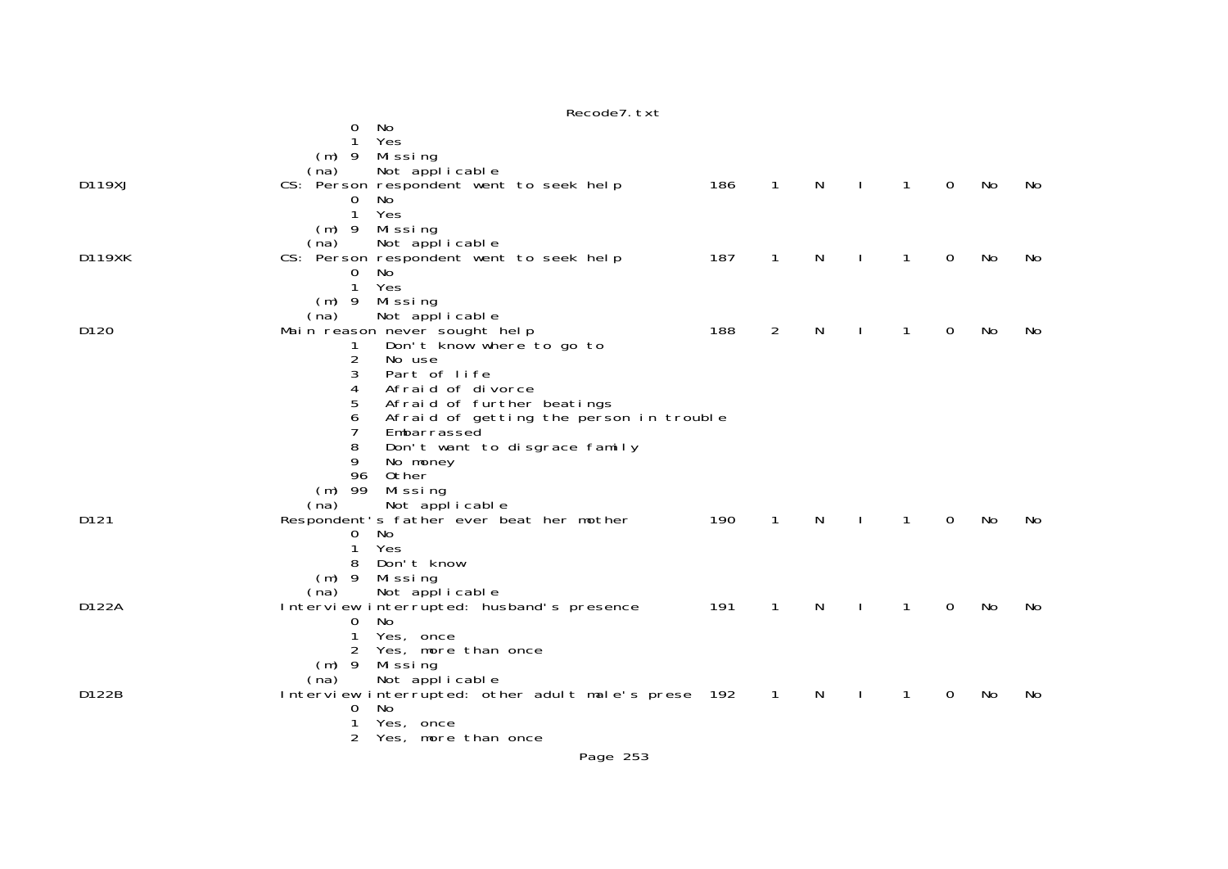|               | No<br>0                                             |     |                |   |              |              |          |    |     |
|---------------|-----------------------------------------------------|-----|----------------|---|--------------|--------------|----------|----|-----|
|               | Yes                                                 |     |                |   |              |              |          |    |     |
|               | Mi ssi ng<br>$(m)$ 9                                |     |                |   |              |              |          |    |     |
|               | Not applicable<br>(na)                              |     |                |   |              |              |          |    |     |
| D119XJ        | CS: Person respondent went to seek help             | 186 | $\mathbf{1}$   | N | $\mathbf{I}$ | $\mathbf{1}$ | 0        | No | No. |
|               | No<br>0                                             |     |                |   |              |              |          |    |     |
|               | 1<br>Yes                                            |     |                |   |              |              |          |    |     |
|               | Missing<br>$(m)$ 9                                  |     |                |   |              |              |          |    |     |
|               | Not applicable<br>(na)                              |     |                |   |              |              |          |    |     |
| <b>D119XK</b> | CS: Person respondent went to seek help             | 187 | 1              | N |              | 1            | 0        | No | No  |
|               | No<br>0                                             |     |                |   |              |              |          |    |     |
|               | $\mathbf{1}$<br>Yes                                 |     |                |   |              |              |          |    |     |
|               | $(m)$ 9<br>Missing                                  |     |                |   |              |              |          |    |     |
|               | Not applicable<br>(na)                              |     |                |   |              |              |          |    |     |
| D120          | Main reason never sought help                       | 188 | 2              | N |              | 1            | 0        | No | No  |
|               | Don't know where to go to<br>1                      |     |                |   |              |              |          |    |     |
|               | 2<br>No use                                         |     |                |   |              |              |          |    |     |
|               | 3<br>Part of life                                   |     |                |   |              |              |          |    |     |
|               | Afraid of divorce<br>4                              |     |                |   |              |              |          |    |     |
|               | 5<br>Afraid of further beatings                     |     |                |   |              |              |          |    |     |
|               | Afraid of getting the person in trouble<br>6        |     |                |   |              |              |          |    |     |
|               | 7<br>Embarrassed                                    |     |                |   |              |              |          |    |     |
|               | 8<br>Don't want to disgrace family                  |     |                |   |              |              |          |    |     |
|               | 9<br>No money                                       |     |                |   |              |              |          |    |     |
|               | 96<br>0ther                                         |     |                |   |              |              |          |    |     |
|               | $(m)$ 99<br>Missing                                 |     |                |   |              |              |          |    |     |
|               | Not applicable<br>(na)                              |     |                |   |              |              |          |    |     |
| D121          | Respondent's father ever beat her mother            | 190 | 1              | N |              | 1            | $\Omega$ | No | No  |
|               | No<br>0                                             |     |                |   |              |              |          |    |     |
|               | 1<br>Yes                                            |     |                |   |              |              |          |    |     |
|               | Don't know<br>8                                     |     |                |   |              |              |          |    |     |
|               | $(m)$ 9<br>Missing                                  |     |                |   |              |              |          |    |     |
|               | Not applicable<br>(na)                              |     |                |   |              |              |          |    |     |
| D122A         | Interview interrupted: husband's presence           | 191 | $\mathbf{1}$   | N |              | $\mathbf{1}$ | 0        | No | No  |
|               | No<br>0                                             |     |                |   |              |              |          |    |     |
|               | Yes, once<br>1                                      |     |                |   |              |              |          |    |     |
|               | Yes, more than once<br>2                            |     |                |   |              |              |          |    |     |
|               | $(m)$ 9<br>Missing                                  |     |                |   |              |              |          |    |     |
|               | Not applicable<br>(na)                              |     |                |   |              |              |          |    |     |
| D122B         | Interview interrupted: other adult male's prese 192 |     | $\overline{1}$ | N | $\mathbf{I}$ | 1            | 0        | No | No  |
|               | No<br>0                                             |     |                |   |              |              |          |    |     |
|               | Yes, once<br>2                                      |     |                |   |              |              |          |    |     |
|               | Yes, more than once                                 |     |                |   |              |              |          |    |     |

Recode7.txt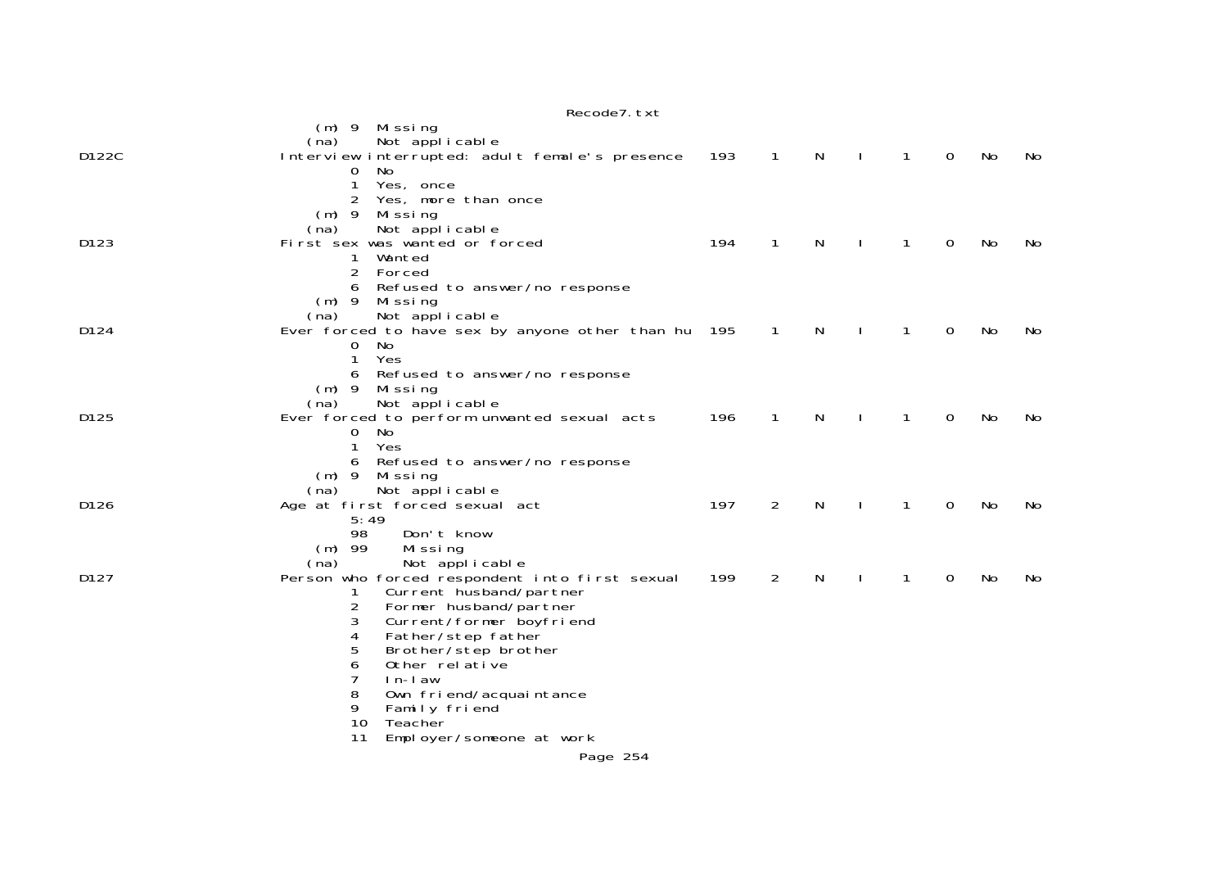|       | Recode7. txt                                                                                                                                                                                                                                                                                                                                           |     |                |   |              |   |                |    |     |
|-------|--------------------------------------------------------------------------------------------------------------------------------------------------------------------------------------------------------------------------------------------------------------------------------------------------------------------------------------------------------|-----|----------------|---|--------------|---|----------------|----|-----|
|       | (m) 9 Missing<br>Not applicable<br>(na)                                                                                                                                                                                                                                                                                                                |     |                |   |              |   |                |    |     |
| D122C | Interview interrupted: adult female's presence<br>No.<br>0<br>1<br>Yes, once<br>Yes, more than once<br>$\overline{2}$<br>$(m)$ 9<br>Mi ssi ng                                                                                                                                                                                                          | 193 | $\overline{1}$ | N | $\mathbf{I}$ | 1 | $\overline{0}$ | No | No  |
| D123  | Not applicable<br>(na)<br>First sex was wanted or forced<br>Wanted<br>1<br>2<br>Forced<br>Refused to answer/no response<br>6                                                                                                                                                                                                                           | 194 | $\mathbf{1}$   | N | $\mathbf{I}$ | 1 | 0              | No | No  |
| D124  | (m) 9 Missing<br>Not applicable<br>(na)<br>Ever forced to have sex by anyone other than hu 195<br>No.<br>0<br>Yes<br>1<br>Refused to answer/no response<br>6                                                                                                                                                                                           |     | $\overline{1}$ | N |              | 1 | 0              | No | No. |
| D125  | (m) 9 Missing<br>Not applicable<br>(na)<br>Ever forced to perform unwanted sexual acts<br>0<br>No<br>1<br>Yes<br>Refused to answer/no response<br>6                                                                                                                                                                                                    | 196 | 1              | N |              | 1 | $\Omega$       | No | No  |
| D126  | $(m)$ 9<br>Mi ssi ng<br>Not applicable<br>(na)<br>Age at first forced sexual act<br>5:49<br>98<br>Don't know                                                                                                                                                                                                                                           | 197 | 2              | N |              | 1 | 0              | No | No  |
| D127  | $(m)$ 99<br>Missing<br>Not applicable<br>(na)<br>Person who forced respondent into first sexual<br>Current husband/partner<br>1<br>2<br>Former husband/partner<br>Current/former boyfriend<br>3<br>4<br>Father/step father<br>5<br>Brother/step brother<br>6<br>Other relative<br>7<br>$ln-l$ aw<br>8<br>Own friend/acquaintance<br>9<br>Family friend | 199 | $\overline{2}$ | N |              | 1 | 0              | No | No  |
|       | 10<br>Teacher<br>11<br>Employer/someone at work                                                                                                                                                                                                                                                                                                        |     |                |   |              |   |                |    |     |
|       | Page 254                                                                                                                                                                                                                                                                                                                                               |     |                |   |              |   |                |    |     |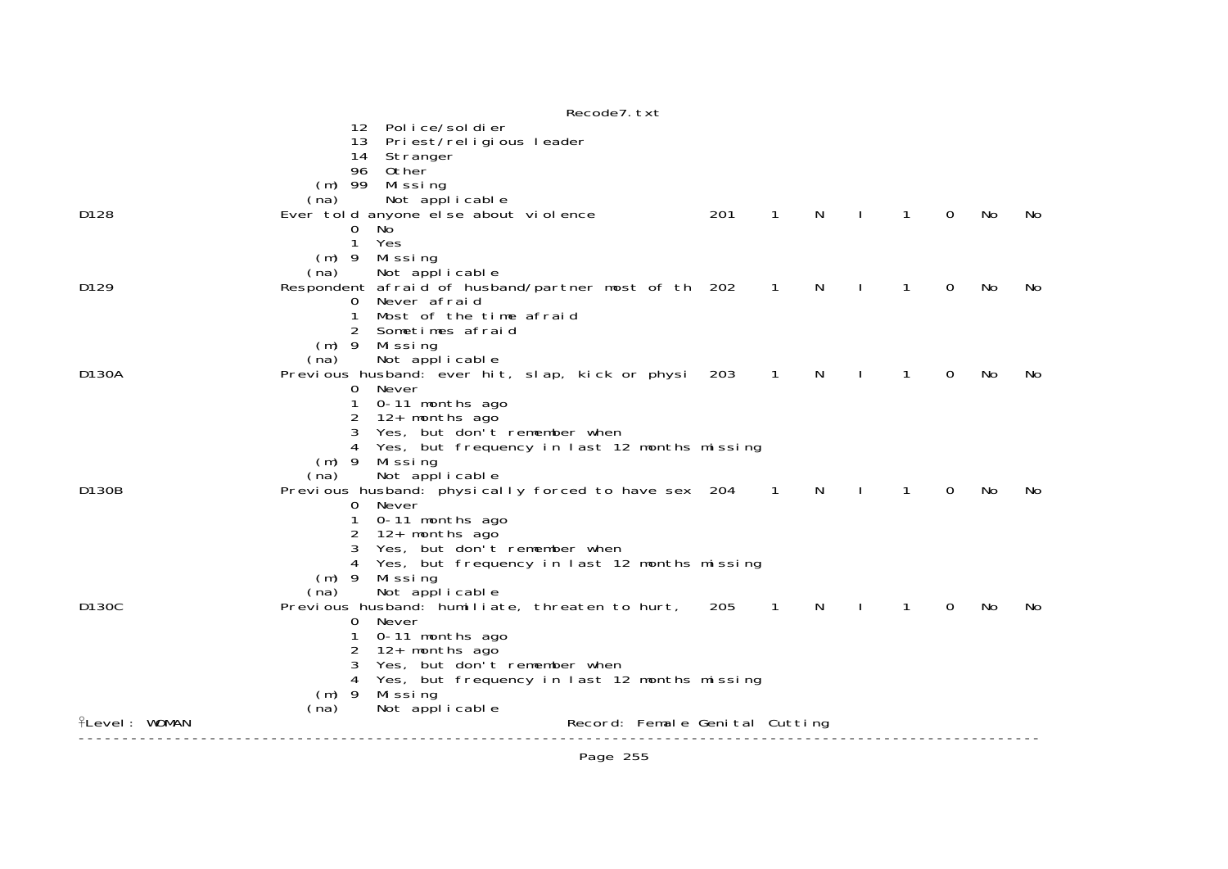|                      | Recode7. txt                                                                           |     |                          |    |   |              |     |     |
|----------------------|----------------------------------------------------------------------------------------|-----|--------------------------|----|---|--------------|-----|-----|
|                      | Police/soldier<br>12 <sup>2</sup>                                                      |     |                          |    |   |              |     |     |
|                      | 13 Priest/religious leader<br>Stranger<br>14                                           |     |                          |    |   |              |     |     |
|                      | 96 Other                                                                               |     |                          |    |   |              |     |     |
|                      | $(m)$ 99 Missing                                                                       |     |                          |    |   |              |     |     |
|                      | Not applicable<br>(na)                                                                 | 201 |                          |    |   |              |     |     |
| D <sub>128</sub>     | Ever told anyone else about violence<br>$\mathbf{O}$<br>No                             |     | 1                        | N  | 1 | $\Omega$     | No  | No. |
|                      | 1<br>Yes                                                                               |     |                          |    |   |              |     |     |
|                      | (m) 9 Missing                                                                          |     |                          |    |   |              |     |     |
|                      | Not applicable<br>(na)                                                                 |     |                          |    |   |              |     |     |
| D129                 | Respondent afraid of husband/partner most of th 202                                    |     | $\overline{\phantom{1}}$ | N  | 1 | $\Omega$     | No  | No  |
|                      | Never afraid<br>$\overline{0}$<br>Most of the time afraid<br>1                         |     |                          |    |   |              |     |     |
|                      | $\overline{2}$<br>Sometimes afraid                                                     |     |                          |    |   |              |     |     |
|                      | $(m)$ 9<br>Mi ssi ng                                                                   |     |                          |    |   |              |     |     |
|                      | Not applicable<br>(na)                                                                 |     |                          |    |   |              |     |     |
| D130A                | Previous husband: ever hit, slap, kick or physi 203                                    |     | $\sqrt{1}$               | N. | 1 | $\Omega$     | No. | No. |
|                      | Never<br>$\mathbf{0}$<br>0-11 months ago<br>1                                          |     |                          |    |   |              |     |     |
|                      | 12+ months ago<br>2                                                                    |     |                          |    |   |              |     |     |
|                      | Yes, but don't remember when<br>3                                                      |     |                          |    |   |              |     |     |
|                      | Yes, but frequency in last 12 months missing<br>4                                      |     |                          |    |   |              |     |     |
|                      | $(m)$ 9<br>Missing                                                                     |     |                          |    |   |              |     |     |
|                      | Not applicable<br>(na)                                                                 |     |                          |    |   |              |     |     |
| D130B                | Previous husband: physically forced to have sex 204 1<br>0 Never                       |     |                          | N. | 1 | $\mathbf{O}$ | No  | No. |
|                      | 0-11 months ago                                                                        |     |                          |    |   |              |     |     |
|                      | 12+ months ago<br>2                                                                    |     |                          |    |   |              |     |     |
|                      | Yes, but don't remember when                                                           |     |                          |    |   |              |     |     |
|                      | Yes, but frequency in last 12 months missing                                           |     |                          |    |   |              |     |     |
|                      | $(m)$ 9<br>Missing<br>Not applicable<br>(na)                                           |     |                          |    |   |              |     |     |
| D <sub>130</sub> C   | Previous husband: humiliate, threaten to hurt, 205                                     |     | $\overline{\phantom{1}}$ | N. | 1 | $\Omega$     | No  | No. |
|                      | Never<br>0                                                                             |     |                          |    |   |              |     |     |
|                      | 0-11 months ago                                                                        |     |                          |    |   |              |     |     |
|                      | 12+ months ago<br>2                                                                    |     |                          |    |   |              |     |     |
|                      | 3<br>Yes, but don't remember when<br>Yes, but frequency in last 12 months missing<br>4 |     |                          |    |   |              |     |     |
|                      | $(m)$ 9<br>Missing                                                                     |     |                          |    |   |              |     |     |
|                      | Not applicable<br>(na)                                                                 |     |                          |    |   |              |     |     |
| <b>ILevel: WOMAN</b> | Record: Female Genital Cutting                                                         |     |                          |    |   |              |     |     |
|                      |                                                                                        |     |                          |    |   |              |     |     |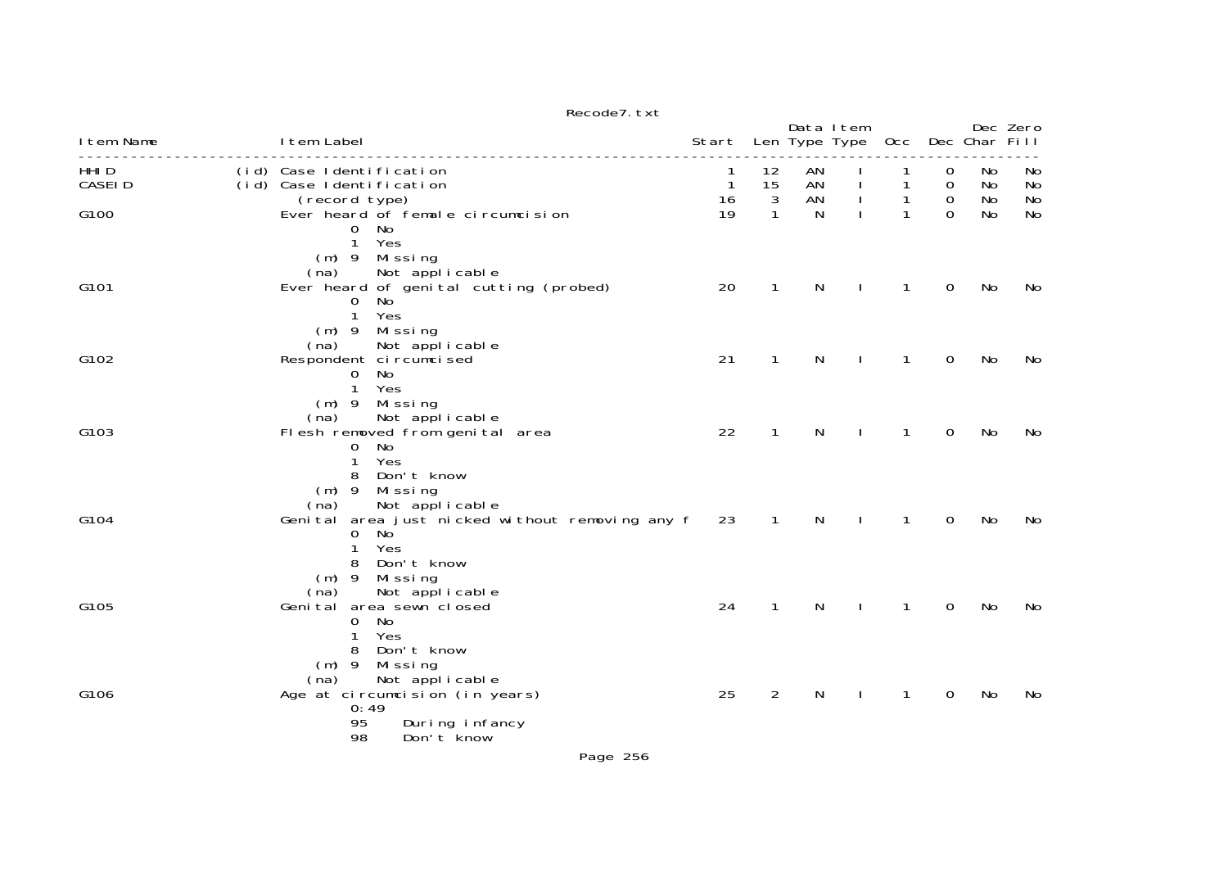| I tem Name                        | I tem Label                                                                                                                                 | Start                   |                          | Data I tem     | Len Type Type | 0cc          |                       | Dec Char Fill  | Dec Zero       |
|-----------------------------------|---------------------------------------------------------------------------------------------------------------------------------------------|-------------------------|--------------------------|----------------|---------------|--------------|-----------------------|----------------|----------------|
| HHI <sub>D</sub><br><b>CASEID</b> | (id) Case Identification<br>(id) Case Identification<br>(record type)                                                                       | 1<br>$\mathbf{1}$<br>16 | 12<br>15<br>$\mathbf{3}$ | AN<br>AN<br>AN |               | 1            | 0<br>0<br>$\mathbf 0$ | No<br>No<br>No | No<br>No<br>No |
| G100                              | Ever heard of female circumcision<br>No.<br>0<br>$\mathbf{1}$<br>Yes<br>$(m)$ 9 Missing                                                     | 19                      | 1                        | N              |               |              | $\Omega$              | No             | <b>No</b>      |
| G101                              | Not applicable<br>(na)<br>Ever heard of genital cutting (probed)<br>No.<br>$\mathbf{O}$<br>$\mathbf{1}$<br>Yes<br>$(m)$ 9<br>Mi ssi ng      | 20                      | $\mathbf{1}$             | N              |               | $\mathbf{1}$ | $\mathbf 0$           | No             | No             |
| G102                              | Not applicable<br>(na)<br>Respondent ci rcumci sed<br>No<br>0<br>Yes<br>$\mathbf{1}$<br>$(m)$ 9 Missing                                     | 21                      | $\mathbf{1}$             | N              |               | 1            | $\mathbf 0$           | No             | No             |
| G103                              | Not applicable<br>(na)<br>Flesh removed from genital area<br>No<br>0<br>1<br>Yes<br>Don't know<br>8<br>$(m)$ 9<br>Missing                   | 22                      | 1                        | N              |               | 1            | $\overline{0}$        | No             | No             |
| G104                              | (na)<br>Not applicable<br>Genital area just nicked without removing any f<br>No<br>0<br>Yes<br>1<br>Don't know<br>8<br>$(m)$ 9<br>Mi ssi ng | 23                      | $\overline{1}$           | N              |               | $\mathbf{1}$ | $\mathbf 0$           | No             | No             |
| G105                              | Not applicable<br>(na)<br>Genital area sewn closed<br>No<br>0<br>Yes<br>1<br>8<br>Don't know<br>$(m)$ 9<br>Mi ssi ng                        | 24                      | $\mathbf{1}$             | N              | $\mathbf{I}$  | $\mathbf{1}$ | $\mathbf 0$           | No             | No             |
| G106                              | Not applicable<br>(na)<br>Age at circumcision (in years)<br>0:49<br>95<br>During infancy<br>98<br>Don't know                                | 25                      | $\overline{2}$           | N              |               | 1            | $\overline{0}$        | No             | No             |

Recode7.txt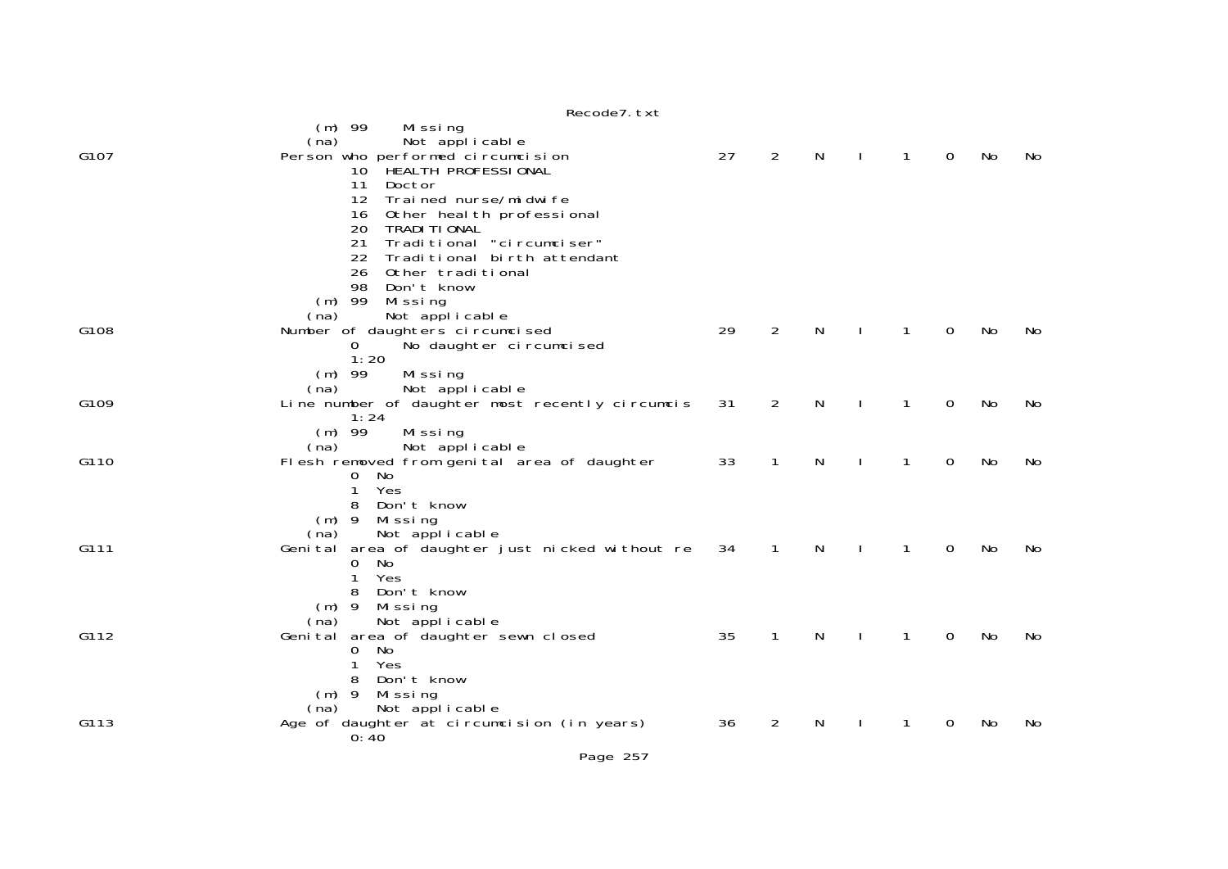|      | 1000001.001                                                          |    |                |   |   |             |    |           |
|------|----------------------------------------------------------------------|----|----------------|---|---|-------------|----|-----------|
|      | $(m)$ 99<br>Mi ssi ng<br>Not applicable<br>(na)                      |    |                |   |   |             |    |           |
| G107 | Person who performed circumcision                                    | 27 | $\overline{2}$ | N | 1 | 0           | No | No        |
|      | 10 HEALTH PROFESSIONAL<br>11<br>Doctor                               |    |                |   |   |             |    |           |
|      | $12 \overline{ }$<br>Trained nurse/midwife                           |    |                |   |   |             |    |           |
|      | Other heal th professional<br>16                                     |    |                |   |   |             |    |           |
|      | 20<br>TRADI TI ONAL<br>21<br>Traditional "circumciser"               |    |                |   |   |             |    |           |
|      | 22<br>Traditional birth attendant                                    |    |                |   |   |             |    |           |
|      | 26<br>Other traditional                                              |    |                |   |   |             |    |           |
|      | 98<br>Don't know                                                     |    |                |   |   |             |    |           |
|      | $(m)$ 99<br>Missing<br>Not applicable<br>(na)                        |    |                |   |   |             |    |           |
| G108 | Number of daughters circumcised                                      | 29 | $\overline{2}$ | N |   | $\mathbf 0$ | No | No        |
|      | No daughter circumcised<br>0                                         |    |                |   |   |             |    |           |
|      | 1:20                                                                 |    |                |   |   |             |    |           |
|      | $(m)$ 99<br>Missing<br>Not applicable<br>(na)                        |    |                |   |   |             |    |           |
| G109 | Line number of daughter most recently circumcis                      | 31 | 2              | N | 1 | $\mathbf 0$ | No | <b>No</b> |
|      | 1:24                                                                 |    |                |   |   |             |    |           |
|      | $(m)$ 99<br>Missing<br>Not applicable<br>(na)                        |    |                |   |   |             |    |           |
| G110 | Flesh removed from genital area of daughter                          | 33 | 1              | N |   | 0           | No | No        |
|      | No<br>$\Omega$                                                       |    |                |   |   |             |    |           |
|      | Yes<br>1                                                             |    |                |   |   |             |    |           |
|      | Don't know<br>8<br>$(m)$ 9 Missing                                   |    |                |   |   |             |    |           |
|      | Not applicable<br>(na)                                               |    |                |   |   |             |    |           |
| G111 | Genital area of daughter just nicked without re                      | 34 | $\overline{1}$ | N | 1 | $\mathbf 0$ | No | No        |
|      | No<br>0<br>Yes<br>1                                                  |    |                |   |   |             |    |           |
|      | Don't know<br>8                                                      |    |                |   |   |             |    |           |
|      | Missing<br>$(m)$ 9                                                   |    |                |   |   |             |    |           |
|      | Not applicable<br>(na)                                               |    |                |   |   |             |    |           |
| G112 | Genital area of daughter sewn closed<br>No<br>0                      | 35 | 1              | N | 1 | $\mathbf 0$ | No | No        |
|      | Yes                                                                  |    |                |   |   |             |    |           |
|      | Don't know<br>8                                                      |    |                |   |   |             |    |           |
|      | Missing<br>$(m)$ 9                                                   |    |                |   |   |             |    |           |
| G113 | Not applicable<br>(na)<br>Age of daughter at circumcision (in years) | 36 | $\overline{2}$ | N |   | 0           | No | No        |
|      | 0:40                                                                 |    |                |   |   |             |    |           |
|      |                                                                      |    |                |   |   |             |    |           |

## Recode7.txt

Page 257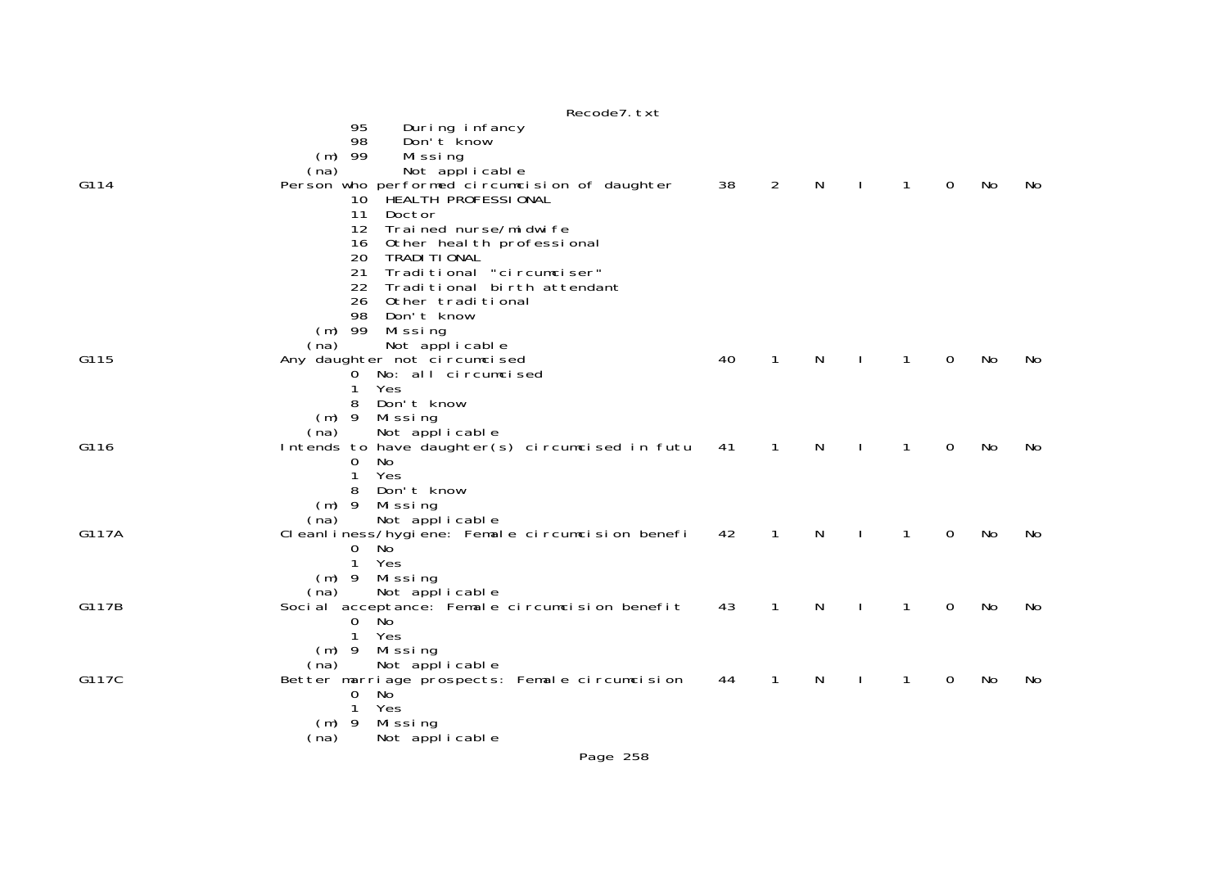|       | 11000007.LA                                                             |    |                |   |              |              |   |    |    |
|-------|-------------------------------------------------------------------------|----|----------------|---|--------------|--------------|---|----|----|
|       | 95<br>During infancy<br>98<br>Don't know                                |    |                |   |              |              |   |    |    |
|       | $(m)$ 99<br>Missing<br>Not applicable<br>(na)                           |    |                |   |              |              |   |    |    |
| G114  | Person who performed circumcision of daughter<br>10 HEALTH PROFESSIONAL | 38 | $\overline{2}$ | N | $\mathbf{I}$ | $\mathbf{1}$ | 0 | No | No |
|       | 11<br>Doctor<br>Trai ned nurse/mi dwi fe<br>12                          |    |                |   |              |              |   |    |    |
|       | 16<br>Other heal th professional                                        |    |                |   |              |              |   |    |    |
|       | 20<br>TRADI TI ONAL<br>Traditional "circumciser"<br>21                  |    |                |   |              |              |   |    |    |
|       | 22<br>Traditional birth attendant                                       |    |                |   |              |              |   |    |    |
|       | 26<br>Other traditional<br>98<br>Don't know                             |    |                |   |              |              |   |    |    |
|       | Missing<br>$(m)$ 99<br>(na)                                             |    |                |   |              |              |   |    |    |
| G115  | Not applicable<br>Any daughter not circumcised                          | 40 | $\mathbf{1}$   | N |              | $\mathbf{1}$ | 0 | No | No |
|       | 0 No: all circumcised<br>Yes                                            |    |                |   |              |              |   |    |    |
|       | Don't know<br>8                                                         |    |                |   |              |              |   |    |    |
|       | (m) 9 Missing<br>Not applicable<br>(na)                                 |    |                |   |              |              |   |    |    |
| G116  | Intends to have daughter(s) circumcised in futu                         | 41 | $\mathbf{1}$   | N |              | $\mathbf{1}$ | 0 | No | No |
|       | 0<br>No<br>1<br>Yes                                                     |    |                |   |              |              |   |    |    |
|       | Don't know<br>8<br>$(m)$ 9<br>Mi ssi ng                                 |    |                |   |              |              |   |    |    |
|       | Not applicable<br>(na)                                                  |    |                |   |              |              |   |    |    |
| G117A | Cleanliness/hygiene: Female circumcision benefi<br>No<br>0              | 42 | $\mathbf 1$    | N |              | 1            | 0 | No | No |
|       | 1<br>Yes<br>(m) 9 Missing                                               |    |                |   |              |              |   |    |    |
|       | Not applicable<br>(na)                                                  |    |                |   |              |              |   |    |    |
| G117B | Social acceptance: Female circumcision benefit<br><b>No</b><br>0        | 43 | $\mathbf{1}$   | N |              | $\mathbf{1}$ | 0 | No | No |
|       | 1<br>Yes                                                                |    |                |   |              |              |   |    |    |
|       | Mi ssi ng<br>$(m)$ 9<br>Not applicable<br>(na)                          |    |                |   |              |              |   |    |    |
| G117C | Better marriage prospects: Female circumcision<br>0<br>No.              | 44 | $\mathbf{1}$   | N | $\mathbf{I}$ | $\mathbf{1}$ | 0 | No | No |
|       | Yes<br>1                                                                |    |                |   |              |              |   |    |    |
|       | Missing<br>$(m)$ 9<br>Not applicable<br>(na)                            |    |                |   |              |              |   |    |    |
|       |                                                                         |    |                |   |              |              |   |    |    |

Recode7.txt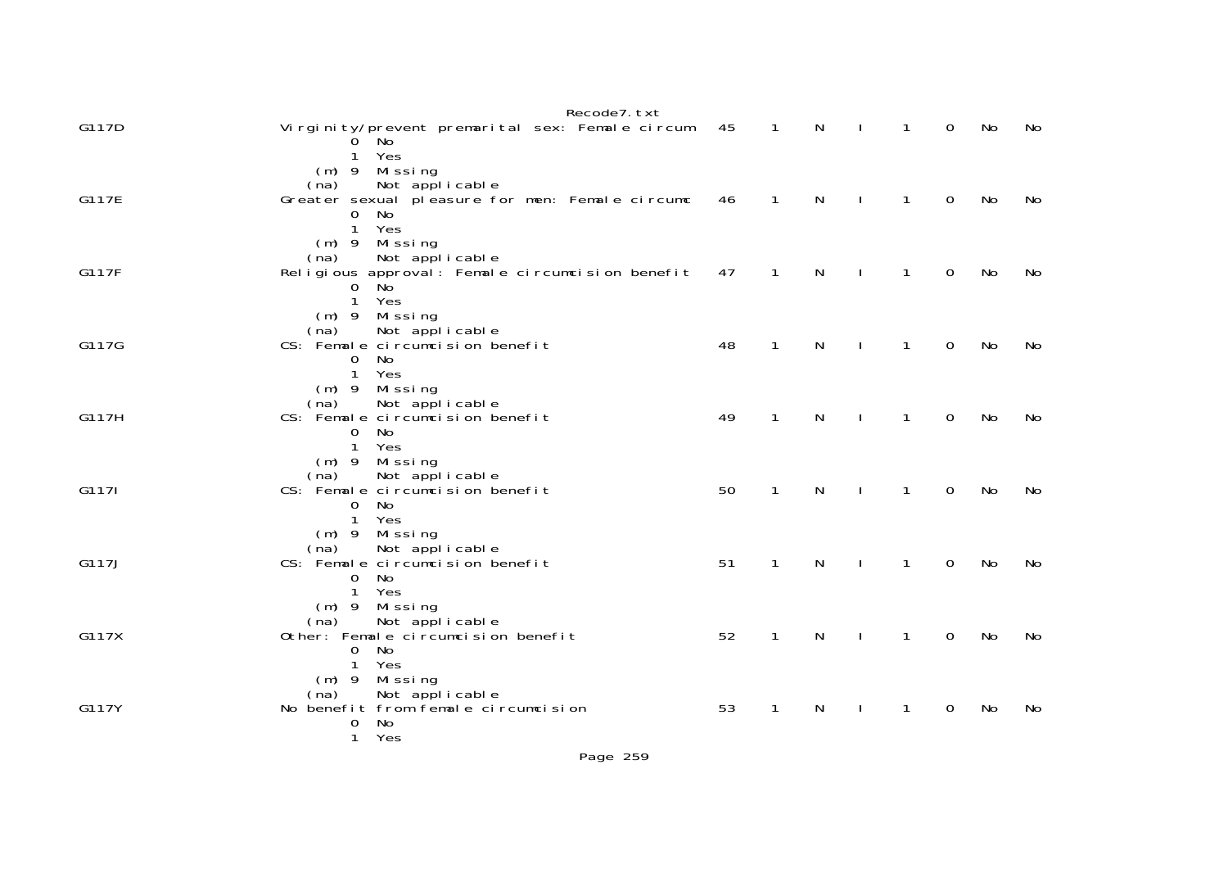|       | Recode7. txt                                                                        |    |              |   |              |              |             |    |     |
|-------|-------------------------------------------------------------------------------------|----|--------------|---|--------------|--------------|-------------|----|-----|
| G117D | Virginity/prevent premarital sex: Female circum<br>$0$ No                           | 45 | $\mathbf{1}$ | N |              | 1            | 0           | No | No  |
|       | $\mathbf{1}$<br>Yes<br>$(m)$ 9 Missing                                              |    |              |   |              |              |             |    |     |
| G117E | Not applicable<br>(na)<br>Greater sexual pleasure for men: Female circumc<br>$0$ No | 46 | $\mathbf{1}$ | N |              | $\mathbf{1}$ | $\mathbf 0$ | No | No  |
|       | $\mathbf{1}$<br>Yes<br>$(m)$ 9 Missing                                              |    |              |   |              |              |             |    |     |
| G117F | (na) Not applicable<br>Religious approval: Female circumcision benefit              | 47 | $\mathbf{1}$ | N |              | $\mathbf{1}$ | 0           | No | No  |
|       | No<br>$\mathbf 0$<br>$\mathbf{1}$<br>Yes                                            |    |              |   |              |              |             |    |     |
| G117G | $(m)$ 9 Missing<br>(na) Not applicable<br>CS: Female circumcision benefit           |    | $\mathbf{1}$ |   |              |              | $\mathbf 0$ |    |     |
|       | No<br>$\overline{0}$<br>$\mathbf{1}$<br>Yes                                         | 48 |              | N |              | $\mathbf{1}$ |             | No | No  |
|       | (m) 9 Missing                                                                       |    |              |   |              |              |             |    |     |
| G117H | (na) Not applicable<br>CS: Female circumcision benefit<br>No<br>$\overline{O}$      | 49 | $\mathbf{1}$ | N |              | $\mathbf{1}$ | $\mathbf 0$ | No | No  |
|       | Yes<br>$\mathbf{1}$<br>(m) 9 Missing                                                |    |              |   |              |              |             |    |     |
| G1171 | Not applicable<br>(na)<br>CS: Female circumcision benefit                           | 50 | $\mathbf{1}$ | N |              | $\mathbf{1}$ | $\mathbf 0$ | No | No. |
|       | No<br>$\mathbf 0$<br>Yes<br>$\mathbf{1}$<br>$(m)$ 9 Missing                         |    |              |   |              |              |             |    |     |
| G117J | Not applicable<br>(na)<br>CS: Female circumcision benefit                           | 51 | $\mathbf{1}$ | N |              | $\mathbf{1}$ | $\mathbf 0$ | No | No  |
|       | No<br>$\mathbf{O}$<br>$\mathbf{1}$<br>Yes                                           |    |              |   |              |              |             |    |     |
|       | (m) 9 Missing<br>Not applicable<br>(na)                                             |    |              |   |              |              |             |    |     |
| G117X | Other: Female circumcision benefit<br>No<br>$\overline{0}$                          | 52 | $\mathbf{1}$ | N | $\mathbf{I}$ | $\mathbf{1}$ | $\mathbf 0$ | No | No  |
|       | 1<br>Yes<br>Missing<br>$(m)$ 9                                                      |    |              |   |              |              |             |    |     |
| G117Y | Not applicable<br>(na)<br>No benefit from female circumcision<br>No<br>0            | 53 | $\mathbf{1}$ | N |              | 1            | 0           | No | No  |
|       | Yes<br>$\mathbf{1}$                                                                 |    |              |   |              |              |             |    |     |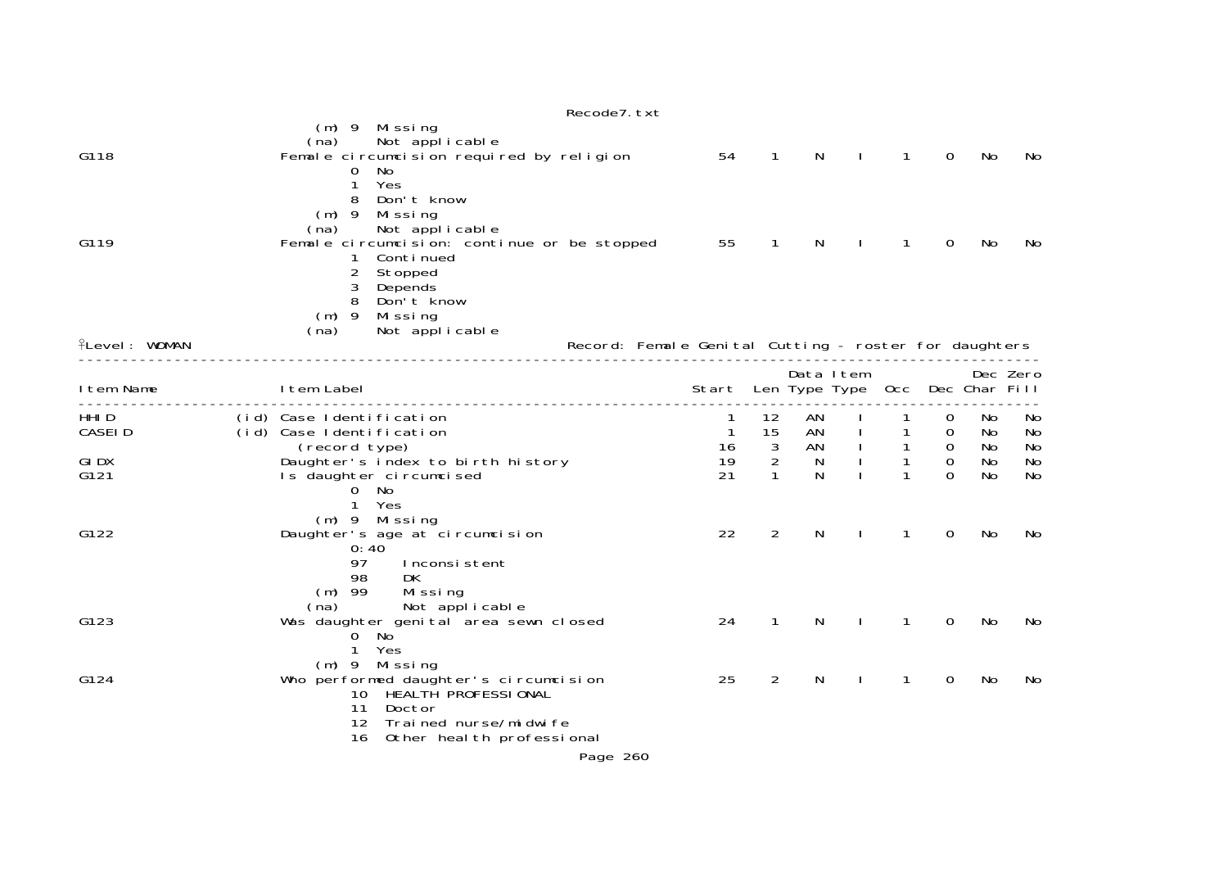|                      | Recode7. txt                                                                                                                                                                                                                                     |                                      |                          |                |                                 |                     |                                       |                |                |
|----------------------|--------------------------------------------------------------------------------------------------------------------------------------------------------------------------------------------------------------------------------------------------|--------------------------------------|--------------------------|----------------|---------------------------------|---------------------|---------------------------------------|----------------|----------------|
| G118                 | (m) 9 Missing<br>Not applicable<br>(na)<br>Female circumcision required by religion                                                                                                                                                              | 54                                   | $\mathbf{1}$             | N              | $\mathbf{I}$                    | $\mathbf{1}$        | $\mathbf 0$                           | No             | No             |
| G119                 | No<br>$\overline{0}$<br>Yes<br>1<br>Don't know<br>8<br>$(m)$ 9<br>Mi ssi ng<br>Not applicable<br>(na)<br>Female circumcision: continue or be stopped<br>Conti nued<br>1<br>2<br>Stopped<br>3<br>Depends<br>Don't know<br>8<br>$(m)$ 9<br>Missing | 55                                   | $\mathbf{1}$             | N              | $\perp$                         | $\mathbf{1}$        | 0                                     | No             | No             |
| <b>fLevel: WOMAN</b> | Not applicable<br>(na)<br>Record: Female Genital Cutting - roster for daughters                                                                                                                                                                  |                                      |                          |                |                                 |                     |                                       |                |                |
| I tem Name           | I tem Label                                                                                                                                                                                                                                      | Start                                |                          | Data Item      | Len Type Type Occ Dec Char Fill |                     |                                       |                | Dec Zero       |
| HHI D<br>CASEI D     | (id) Case Identification<br>(id) Case Identification<br>(record type)                                                                                                                                                                            | $\mathbf{1}$<br>$\overline{1}$<br>16 | 12<br>15<br>$\mathbf{3}$ | AN<br>AN<br>AN | $\frac{1}{1}$                   | 1<br>$\overline{1}$ | 0<br>$\overline{0}$<br>$\overline{0}$ | No<br>No<br>No | No<br>No<br>No |
| <b>GIDX</b><br>G121  | Daughter's index to birth history<br>Is daughter circumcised<br>0 No                                                                                                                                                                             | 19<br>21                             | 2<br>$\mathbf{1}$        | N<br>N         |                                 | $\mathbf{1}$<br>1   | $\mathbf 0$<br>$\Omega$               | No<br>No       | No<br>No       |
| G122                 | Yes<br>$\mathbf{1}$<br>(m) 9 Missing<br>Daughter's age at circumcision<br>0:40<br>97<br>Inconsistent                                                                                                                                             | 22                                   | $\overline{2}$           | N              |                                 | 1                   | 0                                     | No             | No             |
| G123                 | 98<br>DK<br>$(m)$ 99<br>Missing<br>Not applicable<br>(na)<br>Was daughter genital area sewn closed<br>$0$ No<br>$\mathbf{1}$<br>Yes                                                                                                              | 24                                   | $\mathbf{1}$             | N              |                                 | 1                   | 0                                     | No             | No             |
| G124                 | $(m)$ 9 Missing<br>Who performed daughter's circumcision<br>10 HEALTH PROFESSIONAL<br>11<br>Doctor<br>12<br>Trained nurse/midwife<br>Other heal th professional<br>16                                                                            | 25                                   | 2                        | N              | $\mathbf{I}$                    | 1                   | 0                                     | No             | No             |
|                      | Page 260                                                                                                                                                                                                                                         |                                      |                          |                |                                 |                     |                                       |                |                |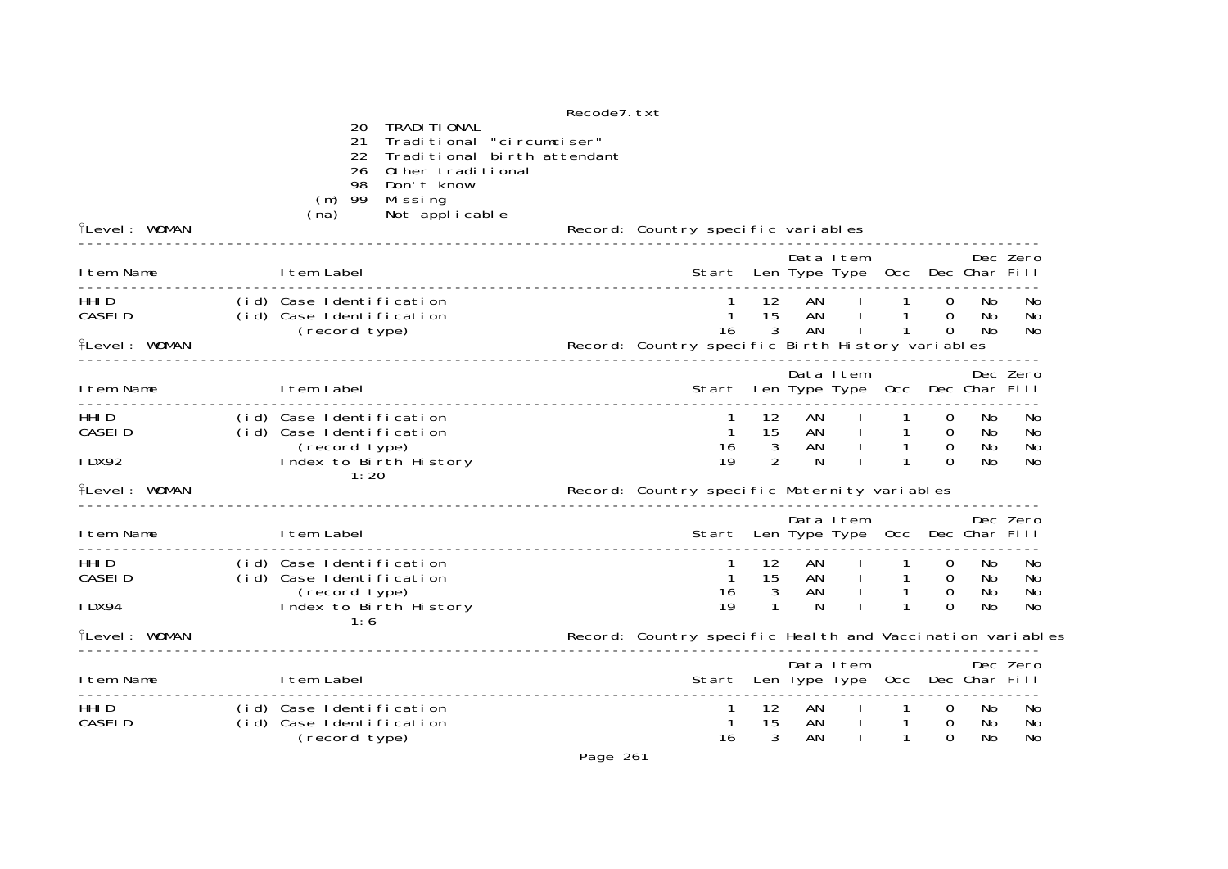Recode7.txt 20 TRADITIONAL 21 Traditional "circumciser" 22 Traditional birth attendant26 Other traditional 98 Don't know (m) 99 Missing flevel: WOMAN (na) Not applicable Level: WOMAN Record: Country specific variables -------------------------------------------------------------------------------------------------------------- Data Item Dec Zero Item Name Item Label Start Len Type Type Occ Dec Char Fill --------------------------------------------------------------------------------------------------------------1 12 AN I 1 0 No No HHID (id) Case Identification 1 12 AN I 1 0 No No CASEID (id) Case Identification<br>CASEID (id) Case Identification 1 15 AN I 1 0 No No No<br>(record type) 16 3 AN I 1 0 No No (record type) 16 3 AN I 1 0 No No Level: WOMAN Record: Country specific Birth History variables -------------------------------------------------------------------------------------------------------------- Data Item Dec Zero Item Name Item Label Start Len Type Type Occ Dec Char Fill --------------------------------------------------------------------------------------------------------------HHID (id) Case Identification 1 12 AN I 1 1 0 No No CASEID  $\left(\text{id}\right)$  Case Identification<br>1 1 15 (record type)<br>1 15 Index to Birth History (record type) 16 3 AN I 1 0 No No IDX92 Index to Birth History 19 2 N I 1 0 No No 1:20 Level: WOMAN Record: Country specific Maternity variables -------------------------------------------------------------------------------------------------------------- Data Item Dec Zero Item Name Item Label Start Len Type Type Occ Dec Char Fill -------------------------------------------------------------------------------------------------------------- HHID (id) Case Identification 1 12 AN I 1 0 No No CASEID (id) Case Identification 1 15 AN I 1 0 No No (record type) 16 3 AN I 1 0 No No IDX94 Index to Birth History<br>
Index to Birth History 19 1 N I 1 0 No No No 1:6 Level: WOMAN Record: Country specific Health and Vaccination variables -------------------------------------------------------------------------------------------------------------- Data Item Dec Zero Item Name Item Label Start Len Type Type Occ Dec Char Fill -------------------------------------------------------------------------------------------------------------ed<br>The time that the same of the same of the same of the same of the same of the same of the same of the same of <br>HHID the same of the same of the same of the same of the same of the same of the same of the same of the sam CASEID (id) Case Identification 1 15 AN I 1 0 No No (record type) 16 3 AN I 1 0 No No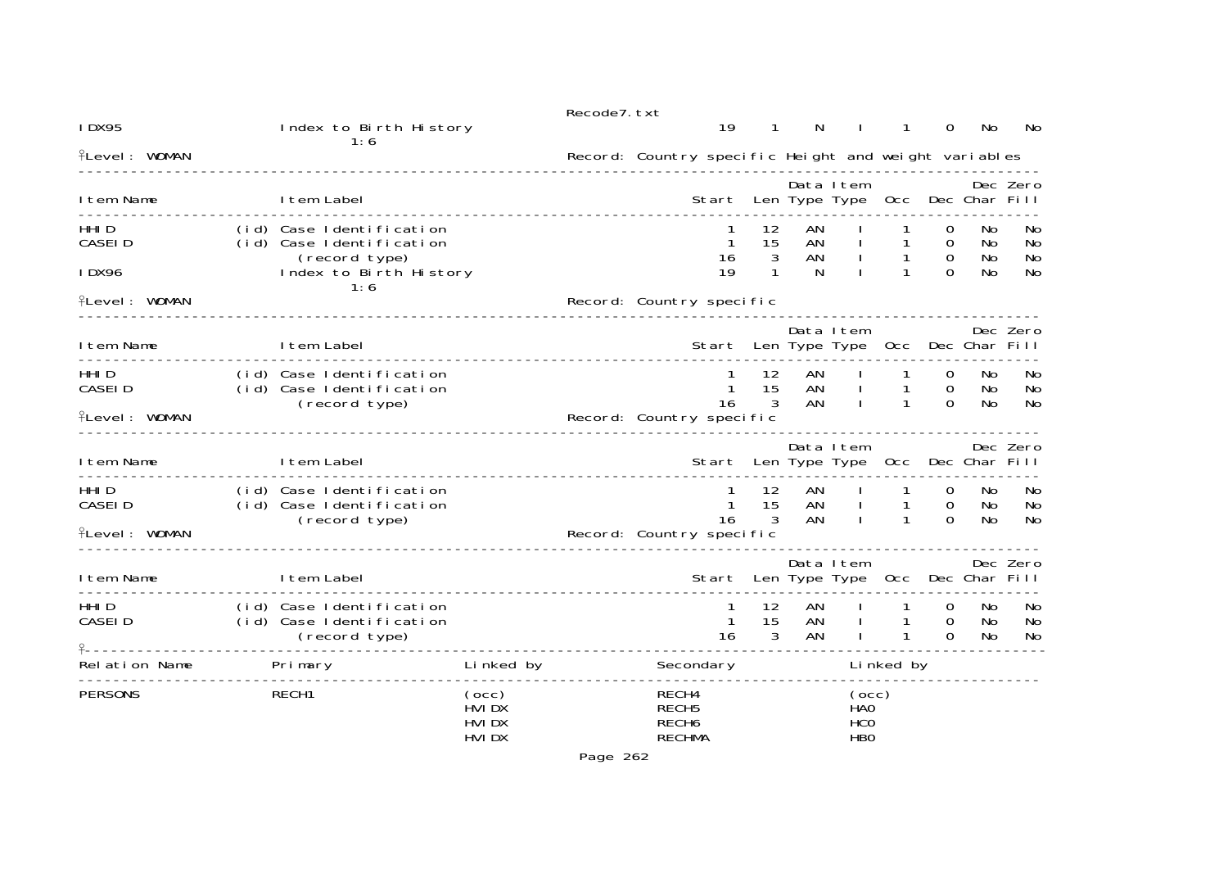| <b>IDX95</b>                                        | Index to Birth History<br>1:6                                         |                                           | Recode7. txt | 19                                                               |                                          | N                              |                                                 | 1                                            | 0                                              | No                    | No                   |
|-----------------------------------------------------|-----------------------------------------------------------------------|-------------------------------------------|--------------|------------------------------------------------------------------|------------------------------------------|--------------------------------|-------------------------------------------------|----------------------------------------------|------------------------------------------------|-----------------------|----------------------|
| <b>flevel: WOMAN</b>                                |                                                                       |                                           |              | Record: Country specific Height and weight variables             |                                          |                                |                                                 |                                              |                                                |                       |                      |
| I tem Name                                          | I tem Label                                                           |                                           |              | Start                                                            |                                          |                                | Data Item                                       | Len Type Type Occ Dec Char Fill              |                                                |                       | Dec Zero             |
| HHI D<br>CASEI D<br>IDX96                           | (id) Case Identification<br>(id) Case Identification<br>(record type) |                                           |              |                                                                  | 12<br>15<br>3<br>16<br>19<br>$\mathbf 1$ | AN<br>AN<br>AN<br><sup>N</sup> |                                                 | $\overline{1}$<br>$\mathbf{1}$               | 0<br>$\mathbf 0$<br>$\overline{0}$<br>$\Omega$ | No.<br>No<br>No<br>No | No<br>No<br>No<br>No |
| <b>ILevel: WOMAN</b>                                | Index to Birth History<br>1:6                                         |                                           |              | Record: Country specific                                         |                                          |                                |                                                 |                                              |                                                |                       |                      |
| I tem Name                                          | I tem Label                                                           |                                           |              |                                                                  |                                          |                                | Data Item                                       | Start Len Type Type Occ Dec Char Fill        |                                                |                       | Dec Zero             |
| HHI D<br>CASEI D<br><b>fLevel: WOMAN</b>            | (id) Case Identification<br>(id) Case Identification<br>(record type) |                                           |              | Record: Country specific                                         | 12<br>15<br>3<br>16                      | AN<br>AN                       | AN                                              | $\mathbf{1}$<br>$\mathbf{1}$<br>1            | $\overline{0}$<br>$\mathbf 0$<br>$\Omega$      | No<br>No<br>No.       | No<br>No<br>No       |
| I tem Name                                          | I tem Label                                                           |                                           |              |                                                                  |                                          |                                | Data Item                                       | Start Len Type Type Occ Dec Char Fill        |                                                |                       | Dec Zero             |
| HHI <sub>D</sub><br>CASEI D<br><b>fLevel: WOMAN</b> | (id) Case Identification<br>(id) Case Identification<br>(record type) |                                           |              | Record: Country specific                                         | 12<br>15<br>3<br>16                      | AN<br>AN<br>AN                 |                                                 | $\mathbf{1}$<br>$\mathbf{1}$<br>$\mathbf{1}$ | $\overline{0}$<br>$\overline{0}$<br>$\Omega$   | No.<br>No<br>No.      | – No<br>No<br>No     |
| I tem Name                                          | I tem Label                                                           |                                           |              |                                                                  |                                          |                                | Data Item                                       | Start Len Type Type Occ Dec Char Fill        |                                                |                       | Dec Zero             |
| HHI <sub>D</sub><br>CASEI D                         | (id) Case Identification<br>(id) Case Identification<br>(record type) |                                           |              |                                                                  | 12<br>15<br>$\mathbf{1}$<br>3<br>16      | AN<br>AN<br>AN                 |                                                 | $\mathbf{1}$<br>$\mathbf{1}$                 | $\Omega$<br>$\overline{0}$<br>$\Omega$         | No<br>No<br>No.       | No<br>No<br>No       |
| Relation Name                                       | <b>Primary</b>                                                        | Linked by                                 |              | Secondary                                                        |                                          |                                |                                                 | Linked by                                    |                                                |                       |                      |
| <b>PERSONS</b>                                      | RECH1                                                                 | (occ)<br>HVI DX<br>HVI DX<br><b>HVIDX</b> |              | RECH4<br>RECH <sub>5</sub><br>RECH <sub>6</sub><br><b>RECHMA</b> |                                          |                                | (occ)<br><b>HAO</b><br><b>HCO</b><br><b>HBO</b> |                                              |                                                |                       |                      |

Page 262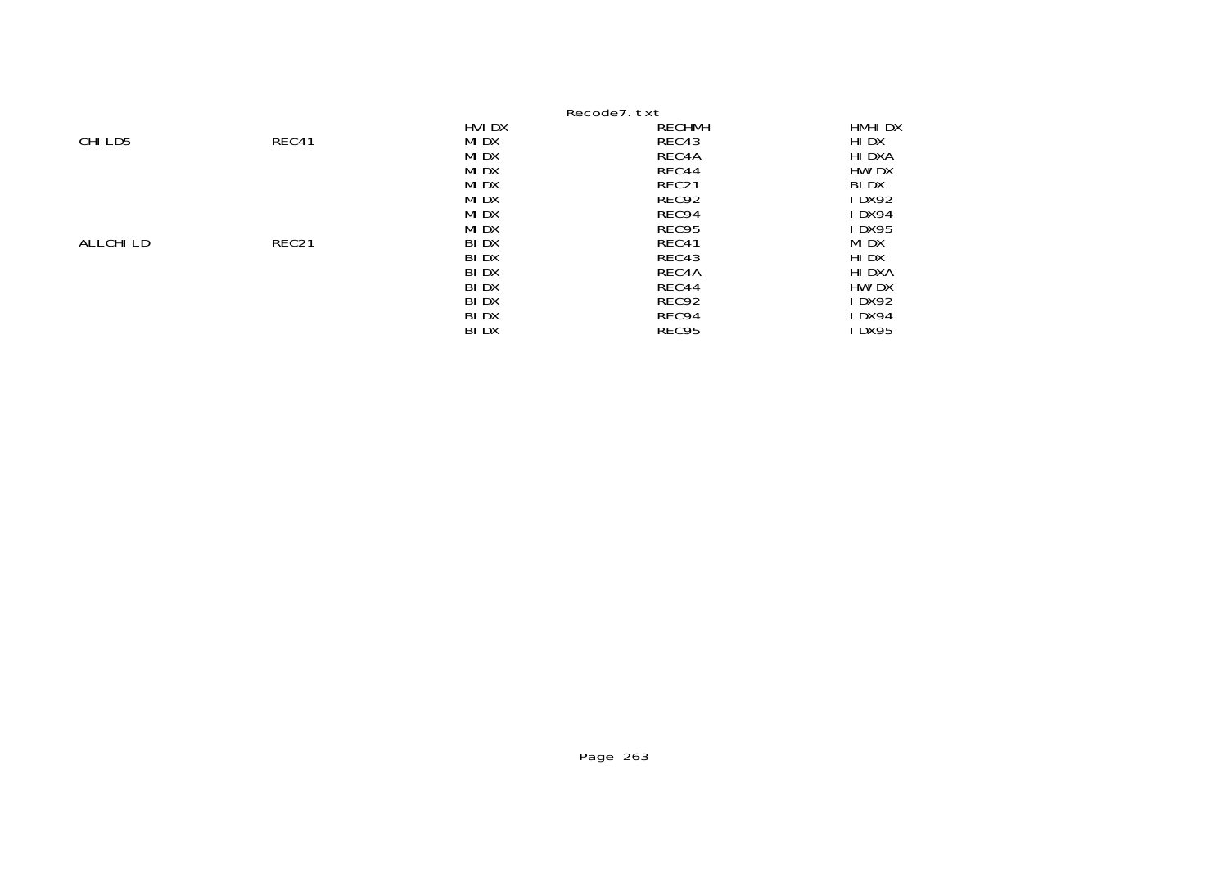|           |                   |        | Recode7.txt   |               |
|-----------|-------------------|--------|---------------|---------------|
|           |                   | HVI DX | <b>RECHMH</b> | HMHI DX       |
| CHI LD5   | REC41             | MI DX  | REC43         | HI DX         |
|           |                   | MI DX  | REC4A         | HI DXA        |
|           |                   | MI DX  | REC44         | <b>HWI DX</b> |
|           |                   | MI DX  | REC21         | <b>BIDX</b>   |
|           |                   | MI DX  | REC92         | I DX92        |
|           |                   | MI DX  | REC94         | IDX94         |
|           |                   | MI DX  | REC95         | I DX95        |
| ALLCHI LD | REC <sub>21</sub> | BI DX  | REC41         | MI DX         |
|           |                   | BI DX  | REC43         | HI DX         |
|           |                   | BI DX  | REC4A         | HI DXA        |
|           |                   | BI DX  | REC44         | HWI DX        |
|           |                   | BI DX  | REC92         | I DX92        |
|           |                   | BI DX  | REC94         | I DX94        |
|           |                   | BI DX  | REC95         | <b>DX95</b>   |
|           |                   |        |               |               |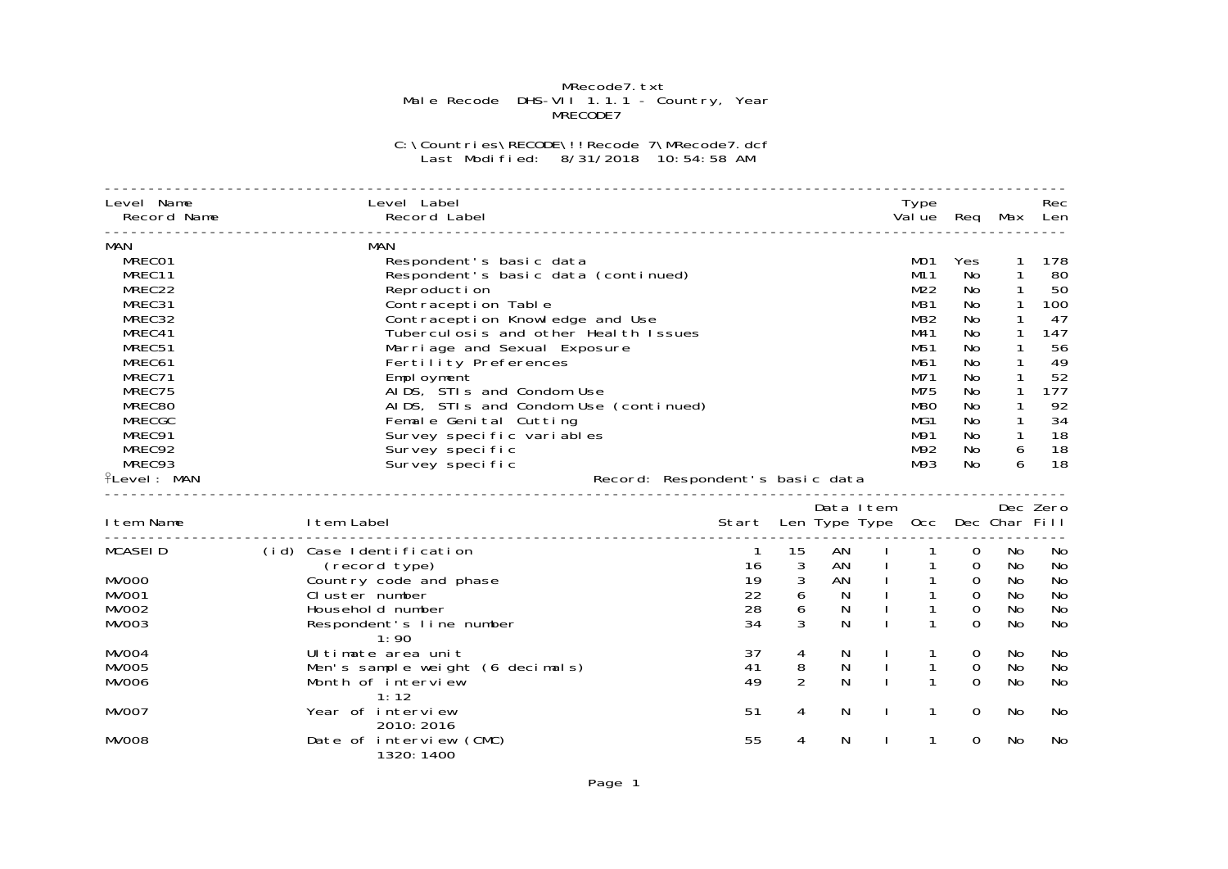## MRecode7.txt<br>Male Recode DHS-VII 1.1.1 - Country, Year<br>MRECODE7

## C:\Countries\RECODE\!!Recode 7\MRecode7.dcf Last Modified: 8/31/2018 10:54:58 AM

| Level Name<br>Record Name                                                                                                                                                              | Level Label<br>Record Label                                                                                                                                                                                                                                                                                                                                                                                                                                           |                            |                                                      |                                                    | Type<br>Val ue                                                                                               | Req                                                                                                           |                                                                                                                                                                                  | Rec<br>Max Len                                                                             |
|----------------------------------------------------------------------------------------------------------------------------------------------------------------------------------------|-----------------------------------------------------------------------------------------------------------------------------------------------------------------------------------------------------------------------------------------------------------------------------------------------------------------------------------------------------------------------------------------------------------------------------------------------------------------------|----------------------------|------------------------------------------------------|----------------------------------------------------|--------------------------------------------------------------------------------------------------------------|---------------------------------------------------------------------------------------------------------------|----------------------------------------------------------------------------------------------------------------------------------------------------------------------------------|--------------------------------------------------------------------------------------------|
| MAN<br>MRECO1<br>MREC11<br>MREC22<br>MREC31<br>MREC32<br>MREC41<br>MREC51<br>MREC61<br>MREC71<br>MREC75<br>MREC80<br><b>MRECGC</b><br>MREC91<br>MREC92<br>MREC93<br><b>fLevel: MAN</b> | MAN<br>Respondent's basic data<br>Respondent's basic data (continued)<br>Reproduction<br>Contraception Table<br>Contraception Knowledge and Use<br>Tuberculosis and other Health Issues<br>Marriage and Sexual Exposure<br>Fertility Preferences<br>Empl oyment<br>AIDS, STIs and Condom Use<br>AIDS, STIs and Condom Use (continued)<br>Female Genital Cutting<br>Survey specific variables<br>Survey specific<br>Survey specific<br>Record: Respondent's basic data |                            |                                                      |                                                    | MO1<br>M11<br>M22<br>M31<br>M32<br>M41<br>M51<br>M61<br>M71<br>M75<br><b>M80</b><br>MG1<br>M91<br>M92<br>M93 | Yes<br><b>No</b><br>No<br>No<br>No<br>No<br><b>No</b><br>No<br>No<br>No<br><b>No</b><br>No<br>No<br>No<br>No. | $\mathbf{1}$<br>$\mathbf{1}$<br>$\mathbf{1}$<br>$\mathbf{1}$<br>$\mathbf{1}$<br>1<br>1<br>$\mathbf{1}$<br>$\mathbf{1}$<br>$\mathbf{1}$<br>$\mathbf{1}$<br>$\mathbf{1}$<br>6<br>6 | 178<br>80<br>50<br>100<br>47<br>147<br>56<br>49<br>52<br>177<br>92<br>34<br>18<br>18<br>18 |
| I tem Name                                                                                                                                                                             | I tem Label                                                                                                                                                                                                                                                                                                                                                                                                                                                           | Start                      |                                                      | Data Item                                          | Len Type Type Occ Dec Char Fill                                                                              |                                                                                                               |                                                                                                                                                                                  | Dec Zero                                                                                   |
| <b>MCASEID</b><br><b>MV000</b><br><b>MV001</b><br>MVOO <sub>2</sub><br>MVOO3                                                                                                           | (id) Case Identification<br>(record type)<br>Country code and phase<br>Cluster number<br>Household number<br>Respondent's line number                                                                                                                                                                                                                                                                                                                                 | 16<br>19<br>22<br>28<br>34 | 15<br>$\mathbf{3}$<br>3<br>$6\overline{6}$<br>6<br>3 | AN<br>AN<br>AN<br>N.<br>$\mathsf{N}$<br>$\ddot{N}$ | $\mathbf{1}$<br>$\mathbf{1}$<br>1                                                                            | $\overline{0}$<br>$\Omega$<br>$\mathbf 0$<br>$\mathbf 0$<br>$\mathbf 0$<br>$\Omega$                           | No<br>No<br>No<br>No<br>No<br>No                                                                                                                                                 | No<br>No<br>No<br>No<br>No<br>No                                                           |
| <b>MV004</b><br><b>MV005</b><br><b>MV006</b>                                                                                                                                           | 1:90<br>Ul timate area unit<br>Men's sample weight (6 decimals)<br>Month of interview                                                                                                                                                                                                                                                                                                                                                                                 | 37<br>41<br>49             | 4<br>8<br>2                                          | N<br>N<br>N                                        | 1                                                                                                            | $\mathbf 0$<br>0<br>$\Omega$                                                                                  | No<br>No<br>No                                                                                                                                                                   | No<br>No<br>No                                                                             |
| <b>MV007</b><br>MVOO8                                                                                                                                                                  | 1:12<br>Year of interview<br>2010: 2016<br>Date of interview (CMC)<br>1320: 1400                                                                                                                                                                                                                                                                                                                                                                                      | 51<br>55                   | 4<br>4                                               | N<br>N                                             | 1<br>1                                                                                                       | $\Omega$<br>$\Omega$                                                                                          | No<br>No                                                                                                                                                                         | No<br>No                                                                                   |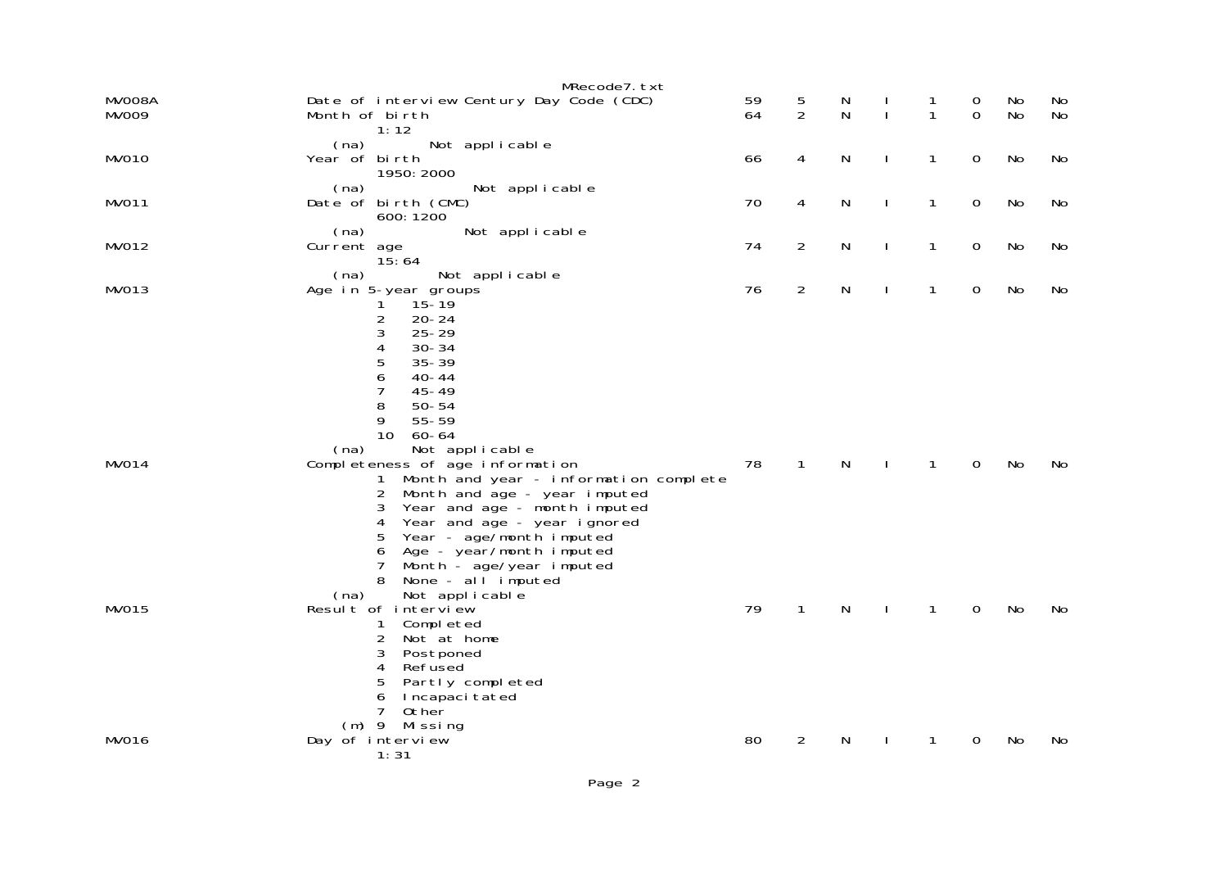|                 | MRecode7. txt                                                                                                                         |          |                |              |              |              |                  |          |          |
|-----------------|---------------------------------------------------------------------------------------------------------------------------------------|----------|----------------|--------------|--------------|--------------|------------------|----------|----------|
| MV008A<br>MVOO9 | Date of interview Century Day Code (CDC)<br>Month of birth<br>1:12                                                                    | 59<br>64 | $\frac{5}{2}$  | N<br>N       | $\mathbf{I}$ | 1<br>1       | 0<br>$\mathbf 0$ | No<br>No | No<br>No |
| <b>MV010</b>    | (na)<br>Not applicable<br>Year of birth<br>1950: 2000                                                                                 | 66       | $\overline{4}$ | $\mathsf{N}$ | J.           | $\mathbf{1}$ | $\mathbf 0$      | No       | No       |
| <b>MVO11</b>    | (na)<br>Not applicable<br>Date of birth (CMC)<br>600: 1200                                                                            | 70       | 4              | $\mathsf{N}$ | $\mathbf{I}$ | 1            | $\mathbf 0$      | No       | No       |
| MV012           | Not applicable<br>(na)<br>Current age<br>15:64                                                                                        | 74       | $\overline{2}$ | $\mathsf{N}$ | $\mathbf{I}$ | $\mathbf{1}$ | $\mathbf 0$      | No       | No       |
| MV013           | (na)<br>Not applicable<br>Age in 5-year groups<br>$15 - 19$<br>1<br>2<br>$20 - 24$                                                    | 76       | $\overline{2}$ | $\mathsf{N}$ | $\mathbf{I}$ | $\mathbf{1}$ | $\mathbf 0$      | No       | No       |
|                 | 3<br>$25 - 29$<br>$30 - 34$<br>4<br>5<br>$35 - 39$<br>6<br>$40 - 44$                                                                  |          |                |              |              |              |                  |          |          |
|                 | 7<br>$45 - 49$<br>8<br>$50 - 54$<br>9<br>$55 - 59$                                                                                    |          |                |              |              |              |                  |          |          |
| MVO14           | 10<br>$60 - 64$<br>Not applicable<br>(na)<br>Completeness of age information<br>Month and year - information complete<br>$\mathbf{1}$ | 78       | $\mathbf{1}$   | N            | $\mathbf{I}$ | $\mathbf{1}$ | 0                | No       | No       |
|                 | 2<br>Month and age - year imputed<br>Year and age - month imputed<br>3<br>Year and age - year ignored<br>4                            |          |                |              |              |              |                  |          |          |
|                 | 5<br>Year - age/month imputed<br>6<br>Age - year/month imputed<br>7<br>Month - age/year imputed<br>8<br>None - all $i$ nputed         |          |                |              |              |              |                  |          |          |
| <b>MV015</b>    | Not applicable<br>(na)<br>Result of interview<br>Completed<br>1                                                                       | 79       | $\mathbf{1}$   | ${\sf N}$    | $\mathbf{I}$ | $\mathbf{1}$ | $\mathbf 0$      | No       | No       |
|                 | $\overline{2}$<br>Not at home<br>3<br>Postponed<br>4<br>Refused                                                                       |          |                |              |              |              |                  |          |          |
|                 | 5<br>Partly completed<br>6<br>Incapaci tated<br>7<br>0ther                                                                            |          |                |              |              |              |                  |          |          |
| MV016           | $(m)$ 9<br>Missing<br>Day of interview<br>1:31                                                                                        | 80       | $\overline{2}$ | N            |              | 1            | 0                | No       | No       |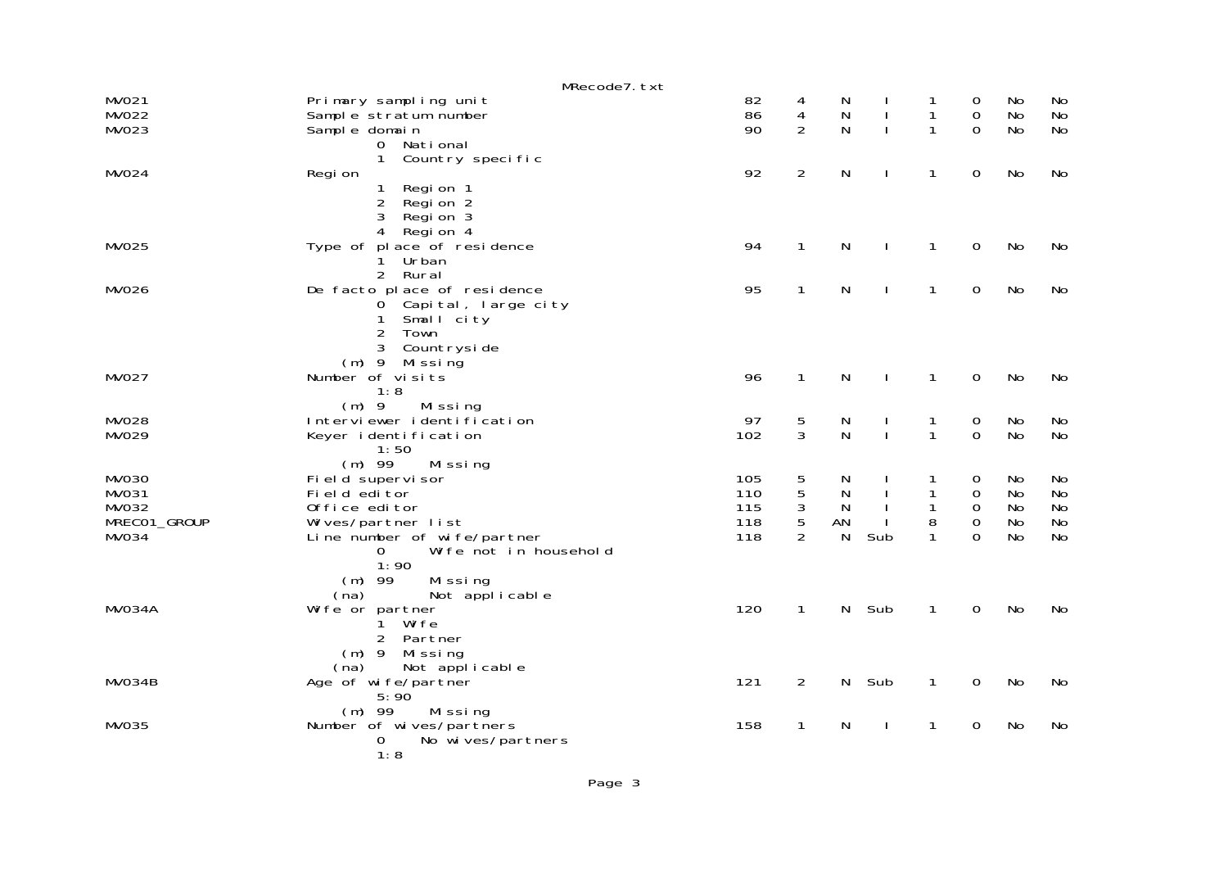|              | MRecode7.txt                     |     |                |              |              |              |             |           |    |
|--------------|----------------------------------|-----|----------------|--------------|--------------|--------------|-------------|-----------|----|
| MV021        | Primary sampling unit            | 82  | 4              | N            |              |              | 0           | No.       | No |
| <b>MV022</b> | Sample stratum number            | 86  | 4              | N            | $\mathbf{I}$ | 1            | $\mathbf 0$ | No        | No |
| MV023        | Sample domain                    | 90  | $\overline{2}$ | N            | $\mathbf{I}$ | 1            | $\Omega$    | <b>No</b> | No |
|              | National<br>$\overline{0}$       |     |                |              |              |              |             |           |    |
|              | $\mathbf{1}$<br>Country specific |     |                |              |              |              |             |           |    |
| MV024        | Regi on                          | 92  | $\overline{2}$ | N            | $\mathbf{I}$ | $\mathbf{1}$ | $\mathbf 0$ | No        | No |
|              | $\mathbf{1}$<br>Regi on 1        |     |                |              |              |              |             |           |    |
|              | $\overline{2}$<br>Regi on 2      |     |                |              |              |              |             |           |    |
|              | 3<br>Region 3                    |     |                |              |              |              |             |           |    |
|              | 4<br>Region 4                    |     |                |              |              |              |             |           |    |
| <b>MV025</b> | Type of place of residence       | 94  | $\mathbf{1}$   | ${\sf N}$    | $\mathbf{I}$ | $\mathbf{1}$ | $\mathbf 0$ | No        | No |
|              | Urban<br>1.                      |     |                |              |              |              |             |           |    |
|              | 2 Rural                          |     |                |              |              |              |             |           |    |
| <b>MV026</b> | De facto place of residence      | 95  | $\mathbf{1}$   | N            | $\mathbf{I}$ | $\mathbf{1}$ | $\mathbf 0$ | No        | No |
|              | 0 Capital, large city            |     |                |              |              |              |             |           |    |
|              | Small city<br>$\mathbf{1}$       |     |                |              |              |              |             |           |    |
|              | $\overline{2}$<br>Town           |     |                |              |              |              |             |           |    |
|              | 3<br>Countryside                 |     |                |              |              |              |             |           |    |
|              | $(m)$ 9 Missing                  |     |                |              |              |              |             |           |    |
| <b>MV027</b> | Number of visits                 | 96  | $\mathbf{1}$   | N            | $\mathbf{I}$ | $\mathbf{1}$ | $\mathbf 0$ | No        | No |
|              | 1:8                              |     |                |              |              |              |             |           |    |
|              | $(m)$ 9<br>Missing               |     |                |              |              |              |             |           |    |
| <b>MV028</b> | Interviewer identification       | 97  | 5              | N            | $\mathbf{I}$ | 1            | $\mathbf 0$ | No        | No |
| MV029        | Keyer identification             | 102 | 3              | N            | $\mathbf{I}$ | $\mathbf{1}$ | $\mathbf 0$ | <b>No</b> | No |
|              | 1:50                             |     |                |              |              |              |             |           |    |
|              | $(m)$ 99<br>Missing              |     |                |              |              |              |             |           |    |
| <b>MV030</b> | Field supervisor                 | 105 | 5              | N            |              | 1            | 0           | No        | No |
| MV031        | Field editor                     | 110 | 5              | $\mathsf{N}$ | $\mathbf{I}$ | 1            | 0           | <b>No</b> | No |
| MV032        | Office editor                    | 115 | $\sqrt{3}$     | $\mathsf{N}$ |              | 1            | 0           | <b>No</b> | No |
| MRECO1_GROUP | Wives/partner list               | 118 | 5              | AN           |              | 8            | 0           | No        | No |
| <b>MV034</b> | Line number of wife/partner      | 118 | $\overline{2}$ | N            | Sub          | 1            | $\Omega$    | <b>No</b> | No |
|              | Wife not in household<br>0       |     |                |              |              |              |             |           |    |
|              | 1:90                             |     |                |              |              |              |             |           |    |
|              | $(m)$ 99<br>Missing              |     |                |              |              |              |             |           |    |
|              | Not applicable<br>(na)           |     |                |              |              |              |             |           |    |
| MV034A       | Wi fe or partner                 | 120 | $\mathbf{1}$   | $\mathsf{N}$ | Sub          | $\mathbf{1}$ | $\mathbf 0$ | <b>No</b> | No |
|              | Wife<br>$\mathbf{1}$             |     |                |              |              |              |             |           |    |
|              | 2 Partner                        |     |                |              |              |              |             |           |    |
|              | $(m)$ 9 Missing                  |     |                |              |              |              |             |           |    |
|              | Not applicable<br>(na)           |     |                |              |              |              |             |           |    |
| MV034B       | Age of wife/partner              | 121 | $\overline{2}$ | N            | Sub          | $\mathbf{1}$ | $\mathbf 0$ | No        | No |
|              | 5:90'                            |     |                |              |              |              |             |           |    |
|              | $(m)$ 99<br>Missing              |     |                |              |              |              |             |           |    |
| MV035        | Number of wives/partners         | 158 | $\mathbf{1}$   | N            | $\mathbf{I}$ | $\mathbf{1}$ | 0           | <b>No</b> | No |
|              | No wives/partners<br>0           |     |                |              |              |              |             |           |    |
|              | 1:8                              |     |                |              |              |              |             |           |    |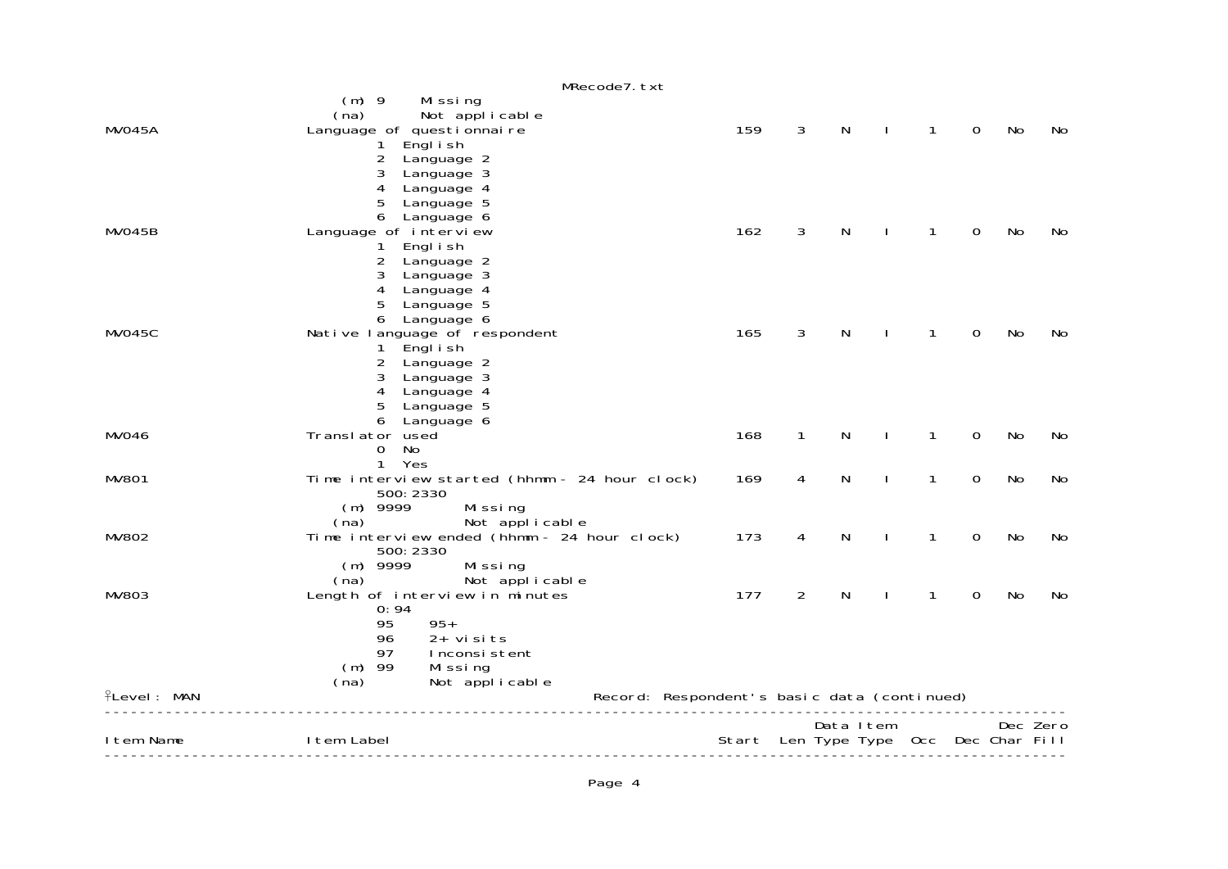| Not applicable<br>(na)<br>159<br>3<br>N<br>MVO45A<br>Language of questionnaire<br>1<br>Engl i sh<br>2<br>Language 2<br>3<br>Language 3<br>4<br>Language 4<br>5<br>Language 5<br>6<br>Language 6<br>162<br>3<br>MVO45B<br>N<br>Language of interview<br>1<br>Engl i sh<br>2<br>Language 2<br>3<br>Language 3<br>4<br>Language 4<br>5<br>Language 5<br>6<br>Language 6<br>$\mathsf{N}$<br>MV045C<br>165<br>3<br>Native language of respondent<br>1<br>Engl i sh<br>$1 \quad$<br>2<br>Language 2<br>3<br>Language 3<br>Language 4<br>4<br>5<br>Language 5<br>6<br>Language 6<br>168<br>$\mathbf{1}$<br>$\mathsf{N}$<br><b>MV046</b><br>Translator used<br>$\mathbf{1}$<br>$\mathbf{I}$<br>No<br>$\Omega$<br>1 Yes<br>$\mathsf{N}$<br><b>MV801</b><br>Time interview started (hhmm - 24 hour clock)<br>169<br>$\mathbf{1}$<br>4<br>500: 2330<br>$(m)$ 9999<br>Missing<br>Not applicable<br>(na)<br>Time interview ended (hhmm - 24 hour clock)<br>173<br>N<br><b>MV802</b><br>4<br>1<br>500: 2330<br>$(m)$ 9999<br>Missing<br>Not applicable<br>(na)<br>$\overline{2}$<br>177<br>N<br>MV803<br>Length of interview in minutes<br>1<br>0:94<br>$95+$<br>95<br>96<br>$2+$ visits<br>97<br>Inconsistent<br>$(m)$ 99<br>Missing<br>Not applicable<br>(na)<br>Record: Respondent's basic data (continued)<br>PLevel: MAN<br>Data Item | Dec Zero<br>Start Len Type Type Occ Dec Char Fill |
|------------------------------------------------------------------------------------------------------------------------------------------------------------------------------------------------------------------------------------------------------------------------------------------------------------------------------------------------------------------------------------------------------------------------------------------------------------------------------------------------------------------------------------------------------------------------------------------------------------------------------------------------------------------------------------------------------------------------------------------------------------------------------------------------------------------------------------------------------------------------------------------------------------------------------------------------------------------------------------------------------------------------------------------------------------------------------------------------------------------------------------------------------------------------------------------------------------------------------------------------------------------------------------------------------------------------------|---------------------------------------------------|
|                                                                                                                                                                                                                                                                                                                                                                                                                                                                                                                                                                                                                                                                                                                                                                                                                                                                                                                                                                                                                                                                                                                                                                                                                                                                                                                              |                                                   |
|                                                                                                                                                                                                                                                                                                                                                                                                                                                                                                                                                                                                                                                                                                                                                                                                                                                                                                                                                                                                                                                                                                                                                                                                                                                                                                                              |                                                   |
|                                                                                                                                                                                                                                                                                                                                                                                                                                                                                                                                                                                                                                                                                                                                                                                                                                                                                                                                                                                                                                                                                                                                                                                                                                                                                                                              | 0<br>No<br>No                                     |
|                                                                                                                                                                                                                                                                                                                                                                                                                                                                                                                                                                                                                                                                                                                                                                                                                                                                                                                                                                                                                                                                                                                                                                                                                                                                                                                              | $\overline{0}$<br><b>No</b><br>No                 |
|                                                                                                                                                                                                                                                                                                                                                                                                                                                                                                                                                                                                                                                                                                                                                                                                                                                                                                                                                                                                                                                                                                                                                                                                                                                                                                                              | $\mathsf O$<br>No<br>No                           |
|                                                                                                                                                                                                                                                                                                                                                                                                                                                                                                                                                                                                                                                                                                                                                                                                                                                                                                                                                                                                                                                                                                                                                                                                                                                                                                                              | No<br>$\mathbf 0$<br>No                           |
|                                                                                                                                                                                                                                                                                                                                                                                                                                                                                                                                                                                                                                                                                                                                                                                                                                                                                                                                                                                                                                                                                                                                                                                                                                                                                                                              | $\mathbf 0$<br>No<br>No                           |
|                                                                                                                                                                                                                                                                                                                                                                                                                                                                                                                                                                                                                                                                                                                                                                                                                                                                                                                                                                                                                                                                                                                                                                                                                                                                                                                              | $\mathbf 0$<br>No<br>No                           |
|                                                                                                                                                                                                                                                                                                                                                                                                                                                                                                                                                                                                                                                                                                                                                                                                                                                                                                                                                                                                                                                                                                                                                                                                                                                                                                                              |                                                   |
| MRecode7.txt<br>$(m)$ 9<br>Missing                                                                                                                                                                                                                                                                                                                                                                                                                                                                                                                                                                                                                                                                                                                                                                                                                                                                                                                                                                                                                                                                                                                                                                                                                                                                                           | No<br>$\mathbf 0$<br>No                           |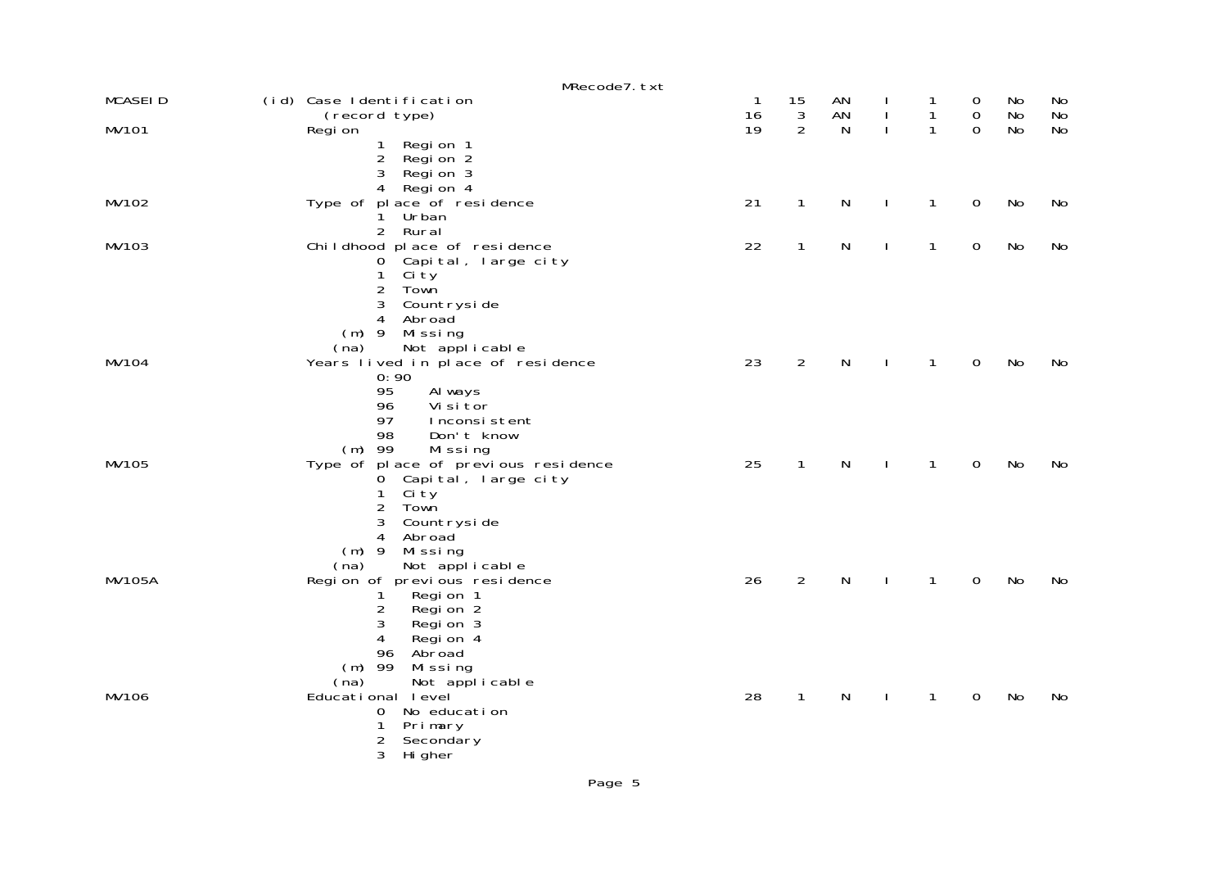|                | MRecode7. txt                                                                                                                                                                                               |          |                  |              |              |              |                                 |          |           |
|----------------|-------------------------------------------------------------------------------------------------------------------------------------------------------------------------------------------------------------|----------|------------------|--------------|--------------|--------------|---------------------------------|----------|-----------|
| <b>MCASEID</b> | (id) Case Identification<br>(record type)                                                                                                                                                                   | -1<br>16 | 15<br>$\sqrt{3}$ | AN<br>AN     | $\mathbf{I}$ | 1<br>1       | $\mathbf 0$<br>$\boldsymbol{0}$ | No<br>No | No<br>No  |
| MV101          | Regi on<br>Regi on 1<br>1<br>$2^{\circ}$<br>Regi on 2<br>3<br>Regi on 3<br>$\overline{4}$<br>Regi on 4                                                                                                      | 19       | $\overline{2}$   | N            | $\mathbf{I}$ | 1            | $\Omega$                        | No       | <b>No</b> |
| MV102          | Type of place of residence<br>Urban<br>1.<br>2 Rural                                                                                                                                                        | 21       | $\mathbf{1}$     | $\mathsf{N}$ | <sup>1</sup> | $\mathbf{1}$ | 0                               | No       | No        |
| MV103          | Childhood place of residence<br>Capital, large city<br>$\overline{0}$<br>$\mathbf{1}$<br>Ci ty<br>$\overline{2}$<br>Town<br>3<br>Countryside<br>Abroad<br>4<br>$(m)$ 9<br>Missing<br>Not applicable<br>(na) | 22       | $\mathbf{1}$     | $\mathsf{N}$ | I.           | $\mathbf{1}$ | 0                               | No       | No        |
| MV104          | Years lived in place of residence<br>0:90<br>95<br>Al ways<br>Vi si tor<br>96<br>97<br>Inconsistent<br>98<br>Don't know<br>$(m)$ 99<br>Missing                                                              | 23       | $\overline{2}$   | $\mathsf{N}$ |              | $\mathbf{1}$ | $\mathbf 0$                     | No       | No        |
| MV105          | Type of place of previous residence<br>0 Capital, large city<br>1<br>Ci ty<br>$\overline{2}$<br>Town<br>3<br>Countryside<br>4<br>Abroad<br>$(m)$ 9<br>Missing<br>Not applicable<br>(na)                     | 25       | $\mathbf{1}$     | $\mathsf{N}$ | $\mathbf{I}$ | $\mathbf{1}$ | $\mathbf 0$                     | No       | No        |
| <b>MV105A</b>  | Regi on of previ ous resi dence<br>Regi on 1<br>1<br>2<br>Regi on 2<br>3<br>Regi on 3<br>4<br>Regi on 4<br>Abroad<br>96<br>$(m)$ 99<br>Missing<br>Not applicable<br>(na)                                    | 26       | $\overline{2}$   | $\mathsf{N}$ |              | 1            | 0                               | No       | No        |
| MV106          | Educational level<br>No education<br>0<br>1<br>Primary<br>$\overline{c}$<br>Secondary<br>3<br>Hi gher                                                                                                       | 28       | $\mathbf{1}$     | $\mathsf{N}$ | J.           | $\mathbf{1}$ | 0                               | No       | No        |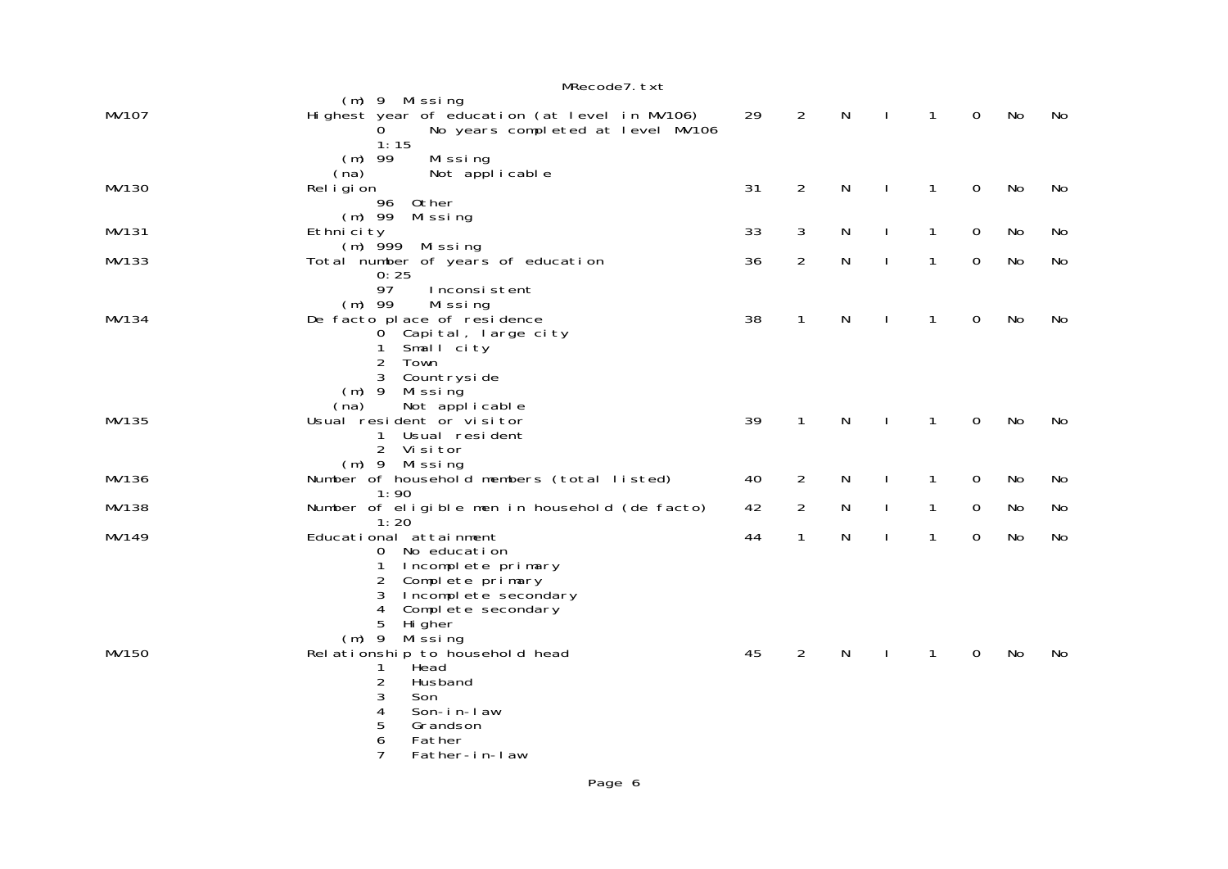|       | MRecode7.txt                                                                                                                                                                              |    |                |   |              |              |             |           |    |
|-------|-------------------------------------------------------------------------------------------------------------------------------------------------------------------------------------------|----|----------------|---|--------------|--------------|-------------|-----------|----|
| MV107 | (m) 9 Missing<br>Highest year of education (at level in MV106)<br>No years completed at level MV106<br>0<br>1:15                                                                          | 29 | $\overline{2}$ | N | $\mathbf{I}$ | $\mathbf{1}$ | $\mathbf 0$ | No        | No |
| MV130 | $(m)$ 99<br>Missing<br>Not applicable<br>(na)<br>Rel i gi on<br>96<br>Other                                                                                                               | 31 | $\overline{2}$ | N | $\mathbf{I}$ | $\mathbf{1}$ | 0           | No        | No |
| MV131 | $(m)$ 99 Missing<br>Ethni ci ty                                                                                                                                                           | 33 | 3              | N | $\mathbf{I}$ | $\mathbf{1}$ | 0           | <b>No</b> | No |
| MV133 | $(m)$ 999 Missing<br>Total number of years of education                                                                                                                                   | 36 | $\overline{2}$ | N | <sup>1</sup> | 1            | $\mathbf 0$ | No        | No |
| MV134 | 0:25<br>97<br>Inconsistent<br>$(m)$ 99<br>Missing<br>De facto place of residence<br>0 Capital, large city<br>1<br>Small city<br>2<br>Town                                                 | 38 | $\mathbf{1}$   | N | J.           | $\mathbf{1}$ | $\mathbf 0$ | No        | No |
| MV135 | 3<br>Countryside<br>$(m)$ 9<br>Mi ssi ng<br>(na)<br>Not applicable<br>Usual resident or visitor<br>Usual resident<br>1<br>2 Visitor                                                       | 39 | $\mathbf{1}$   | N | J.           | $\mathbf{1}$ | 0           | No        | No |
| MV136 | (m) 9 Missing<br>Number of household members (total listed)                                                                                                                               | 40 | 2              | N |              | $\mathbf{1}$ | 0           | No        | No |
| MV138 | 1:90<br>Number of eligible men in household (de facto)                                                                                                                                    | 42 | 2              | N | $\mathbf{I}$ | $\mathbf{1}$ | 0           | No        | No |
| MV149 | 1:20<br>Educational attainment<br>No education<br>0<br>Incomplete primary<br>$\mathbf 1$<br>2<br>Complete primary<br>3<br>Incomplete secondary<br>Complete secondary<br>4                 | 44 | 1              | N |              | 1            | 0           | No        | No |
| MV150 | 5<br>Hi gher<br>$(m)$ 9<br>Mi ssi ng<br>Rel ationship to household head<br>Head<br>1<br>2<br>Husband<br>3<br>Son<br>4<br>Son-in-law<br>5<br>Grandson<br>6<br>Father<br>7<br>Father-in-law | 45 | 2              | N |              | 1            | 0           | No        | No |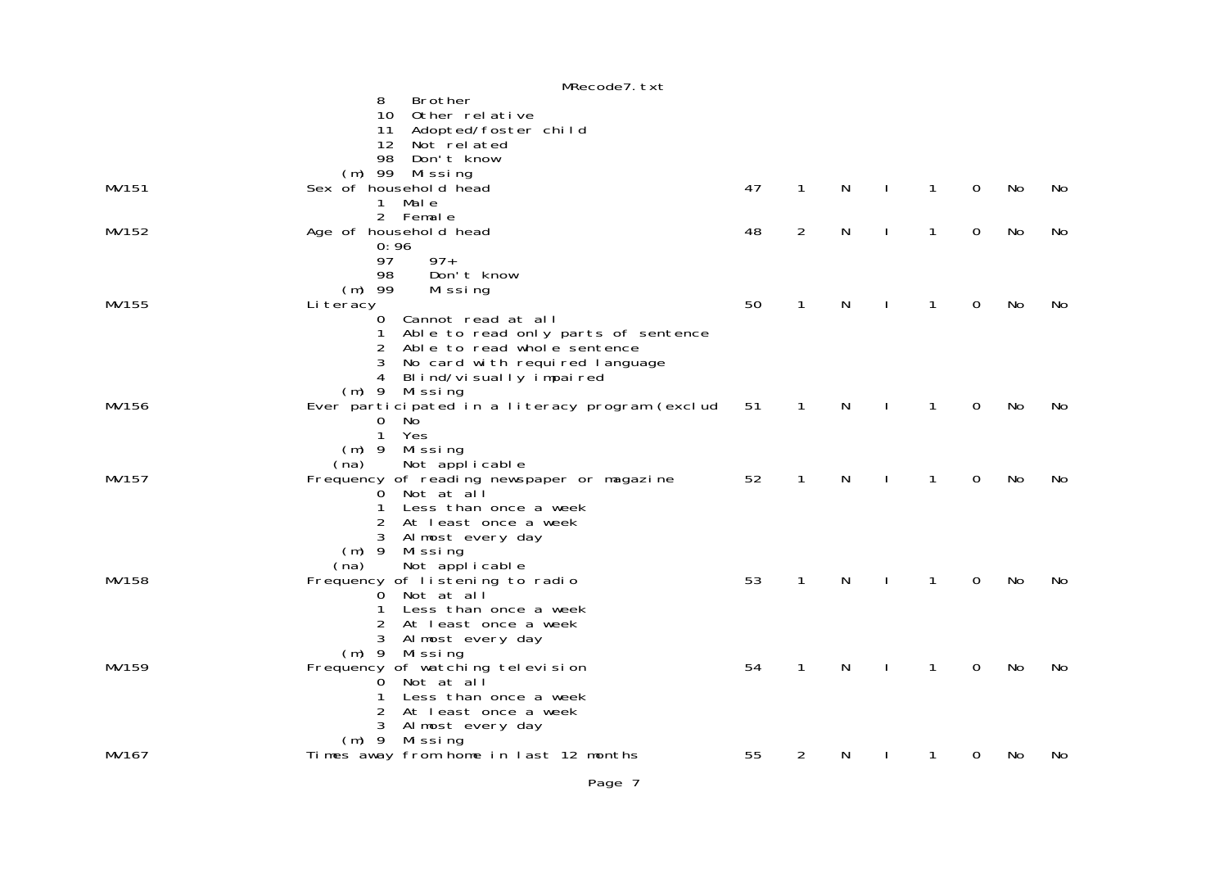|       | MRecode7.txt                                    |    |                |   |              |              |             |    |    |
|-------|-------------------------------------------------|----|----------------|---|--------------|--------------|-------------|----|----|
|       | Brother<br>8                                    |    |                |   |              |              |             |    |    |
|       | Other relative<br>10                            |    |                |   |              |              |             |    |    |
|       | Adopted/foster child<br>11                      |    |                |   |              |              |             |    |    |
|       | 12 <sup>12</sup><br>Not related                 |    |                |   |              |              |             |    |    |
|       | 98<br>Don't know                                |    |                |   |              |              |             |    |    |
|       | $(m)$ 99<br>Mi ssi ng                           |    |                |   |              |              |             |    |    |
| MV151 | Sex of household head                           | 47 | $\mathbf{1}$   | N | J.           | $\mathbf{1}$ | $\mathbf 0$ | No | No |
|       | Male<br>1                                       |    |                |   |              |              |             |    |    |
|       | 2 Female                                        |    |                |   |              |              |             |    |    |
| MV152 | Age of household head                           | 48 | $\overline{2}$ | N | $\mathbf{I}$ | $\mathbf{1}$ | $\mathbf 0$ | No | No |
|       | 0:96                                            |    |                |   |              |              |             |    |    |
|       | $97+$                                           |    |                |   |              |              |             |    |    |
|       | 97                                              |    |                |   |              |              |             |    |    |
|       | Don't know<br>98                                |    |                |   |              |              |             |    |    |
|       | $(m)$ 99<br>Missing                             |    |                |   |              |              |             |    |    |
| MV155 | Li teracy                                       | 50 | $\mathbf{1}$   | N | $\mathbf{I}$ | $\mathbf{1}$ | 0           | No | No |
|       | Cannot read at all<br>0                         |    |                |   |              |              |             |    |    |
|       | Able to read only parts of sentence<br>1        |    |                |   |              |              |             |    |    |
|       | Able to read whole sentence<br>2                |    |                |   |              |              |             |    |    |
|       | 3<br>No card with required language             |    |                |   |              |              |             |    |    |
|       | Blind/visually impaired<br>4                    |    |                |   |              |              |             |    |    |
|       | $(m)$ 9 Missing                                 |    |                |   |              |              |             |    |    |
| MV156 | Ever participated in a literacy program (exclud | 51 | 1              | N |              | 1            | 0           | No | No |
|       | $\overline{0}$<br>No.                           |    |                |   |              |              |             |    |    |
|       | $\mathbf{1}$<br>Yes                             |    |                |   |              |              |             |    |    |
|       | $(m)$ 9<br>Mi ssi ng                            |    |                |   |              |              |             |    |    |
|       | Not applicable<br>(na)                          |    |                |   |              |              |             |    |    |
| MV157 | Frequency of reading newspaper or magazine      | 52 | 1              | N |              | 1            | 0           | No | No |
|       | O Not at all                                    |    |                |   |              |              |             |    |    |
|       | Less than once a week<br>1                      |    |                |   |              |              |             |    |    |
|       | At least once a week<br>2                       |    |                |   |              |              |             |    |    |
|       | 3 Almost every day                              |    |                |   |              |              |             |    |    |
|       | $(m)$ 9<br>Missing                              |    |                |   |              |              |             |    |    |
|       | Not applicable<br>(na)                          |    |                |   |              |              |             |    |    |
| MV158 | Frequency of listening to radio                 | 53 | $\mathbf{1}$   | N | <sup>1</sup> | $\mathbf{1}$ | $\mathbf 0$ | No | No |
|       | O Not at all                                    |    |                |   |              |              |             |    |    |
|       | 1<br>Less than once a week                      |    |                |   |              |              |             |    |    |
|       | 2<br>At least once a week                       |    |                |   |              |              |             |    |    |
|       | Almost every day                                |    |                |   |              |              |             |    |    |
|       | (m) 9 Missing                                   |    |                |   |              |              |             |    |    |
| MV159 | Frequency of watching television                | 54 | $\mathbf 1$    | N | <sup>1</sup> | $\mathbf{1}$ | 0           | No | No |
|       | Not at all<br>$\mathsf{O}$                      |    |                |   |              |              |             |    |    |
|       | Less than once a week<br>1                      |    |                |   |              |              |             |    |    |
|       | $\overline{2}$<br>At least once a week          |    |                |   |              |              |             |    |    |
|       | 3<br>Almost every day                           |    |                |   |              |              |             |    |    |
|       | $(m)$ 9<br>Mi ssi ng                            |    |                |   |              |              |             |    |    |
| MV167 | Times away from home in last 12 months          | 55 | $\overline{2}$ | N |              | 1            | 0           | No | No |
|       |                                                 |    |                |   |              |              |             |    |    |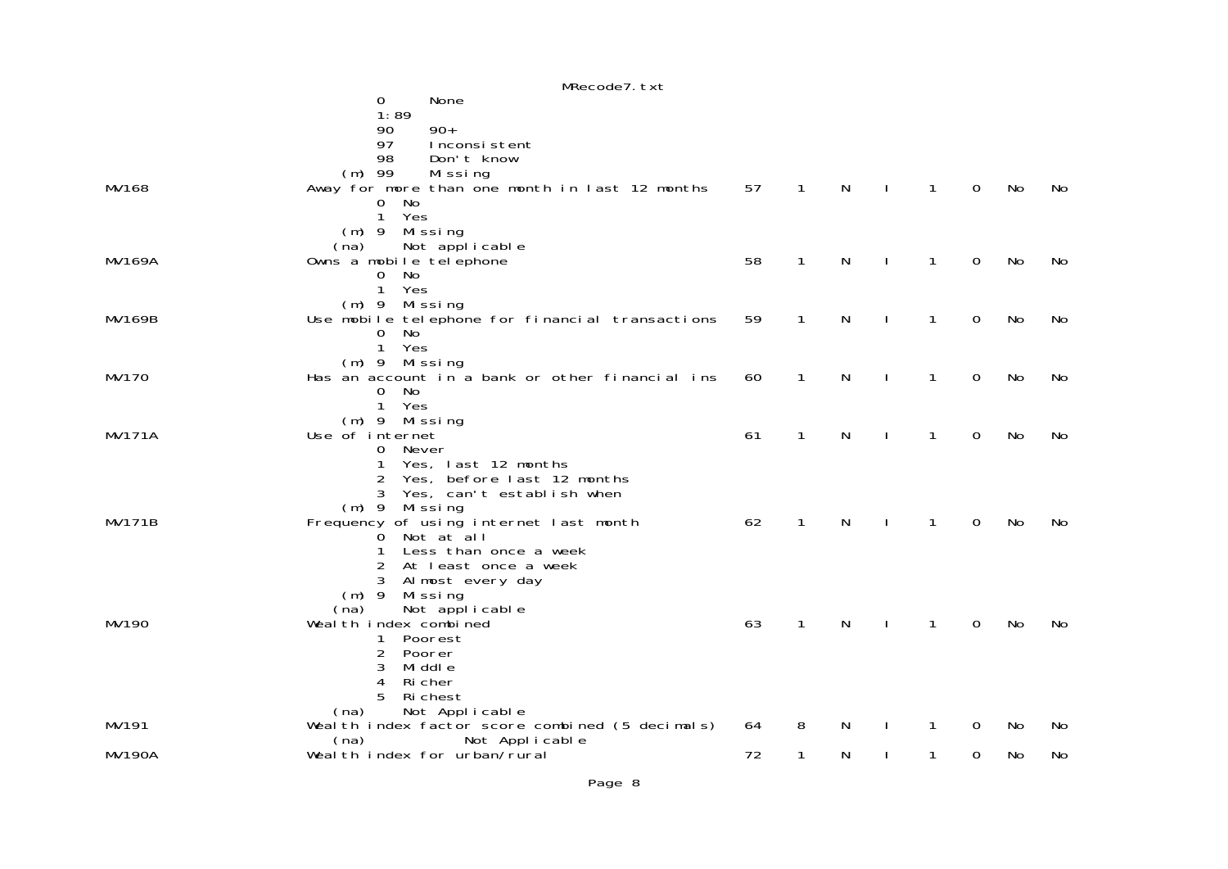|               | MRecode7.txt                                                       |    |              |           |              |              |                |     |    |
|---------------|--------------------------------------------------------------------|----|--------------|-----------|--------------|--------------|----------------|-----|----|
|               | None<br>0                                                          |    |              |           |              |              |                |     |    |
|               | 1:89                                                               |    |              |           |              |              |                |     |    |
|               | $90+$<br>90                                                        |    |              |           |              |              |                |     |    |
|               | 97<br>Inconsistent                                                 |    |              |           |              |              |                |     |    |
|               | 98<br>Don't know<br>$(m)$ 99                                       |    |              |           |              |              |                |     |    |
| MV168         | Missing<br>Away for more than one month in last 12 months          | 57 | 1            | N         | J.           | $\mathbf{1}$ | $\overline{0}$ | No  | No |
|               | No<br>0                                                            |    |              |           |              |              |                |     |    |
|               | Yes<br>$\mathbf{1}$                                                |    |              |           |              |              |                |     |    |
|               | $(m)$ 9<br>Missing                                                 |    |              |           |              |              |                |     |    |
|               | Not applicable<br>(na)                                             |    |              |           |              |              |                |     |    |
| <b>MV169A</b> | Owns a mobile telephone                                            | 58 | 1            | N         | $\mathbf{I}$ | $\mathbf{1}$ | 0              | No  | No |
|               | No<br>$\mathbf 0$                                                  |    |              |           |              |              |                |     |    |
|               | $\mathbf{1}$<br>Yes                                                |    |              |           |              |              |                |     |    |
|               | Missing<br>$(m)$ 9                                                 |    |              |           |              |              |                |     |    |
| MV169B        | Use mobile telephone for financial transactions                    | 59 | $\mathbf{1}$ | ${\sf N}$ | $\mathbf{I}$ | 1            | $\mathbf 0$    | No  | No |
|               | No<br>$\mathbf{O}$                                                 |    |              |           |              |              |                |     |    |
|               | $\mathbf{1}$<br>Yes                                                |    |              |           |              |              |                |     |    |
| <b>MV170</b>  | $(m)$ 9 Missing<br>Has an account in a bank or other financial ins | 60 | $\mathbf{1}$ | N         | J.           | 1            | $\overline{0}$ | No  | No |
|               | No<br>$\overline{0}$                                               |    |              |           |              |              |                |     |    |
|               | 1 Yes                                                              |    |              |           |              |              |                |     |    |
|               | $(m)$ 9 Missing                                                    |    |              |           |              |              |                |     |    |
| <b>MV171A</b> | Use of internet                                                    | 61 | $\mathbf 1$  | N         |              | $\mathbf{1}$ | 0              | No  | No |
|               | 0 Never                                                            |    |              |           |              |              |                |     |    |
|               | Yes, last 12 months<br>1                                           |    |              |           |              |              |                |     |    |
|               | $\overline{2}$<br>Yes, before last 12 months                       |    |              |           |              |              |                |     |    |
|               | Yes, can't establish when<br>3                                     |    |              |           |              |              |                |     |    |
|               | $(m)$ 9 Missing                                                    |    |              |           |              |              |                |     |    |
| <b>MV171B</b> | Frequency of using internet last month<br>Not at all               | 62 | $\mathbf 1$  | N         | J.           | 1            | 0              | No  | No |
|               | $\mathbf{O}$<br>Less than once a week<br>1                         |    |              |           |              |              |                |     |    |
|               | At least once a week<br>2                                          |    |              |           |              |              |                |     |    |
|               | 3<br>Almost every day                                              |    |              |           |              |              |                |     |    |
|               | $(m)$ 9<br>Missing                                                 |    |              |           |              |              |                |     |    |
|               | Not applicable<br>(na)                                             |    |              |           |              |              |                |     |    |
| MV190         | Wealth index combined                                              | 63 | 1            | N         | $\mathbf{I}$ | 1            | 0              | No  | No |
|               | Poorest<br>1                                                       |    |              |           |              |              |                |     |    |
|               | $\overline{2}$<br>Poorer                                           |    |              |           |              |              |                |     |    |
|               | 3<br>Mi ddl e                                                      |    |              |           |              |              |                |     |    |
|               | 4<br>Ri cher<br>5                                                  |    |              |           |              |              |                |     |    |
|               | Ri chest<br>Not Applicable<br>(na)                                 |    |              |           |              |              |                |     |    |
| MV191         | Wealth index factor score combined (5 decimals)                    | 64 | 8            | N         |              | 1            | 0              | No  | No |
|               | Not Applicable<br>(na)                                             |    |              |           |              |              |                |     |    |
| <b>MV190A</b> | Wealth index for urban/rural                                       | 72 | 1            | N         |              | 1.           | 0              | No. | No |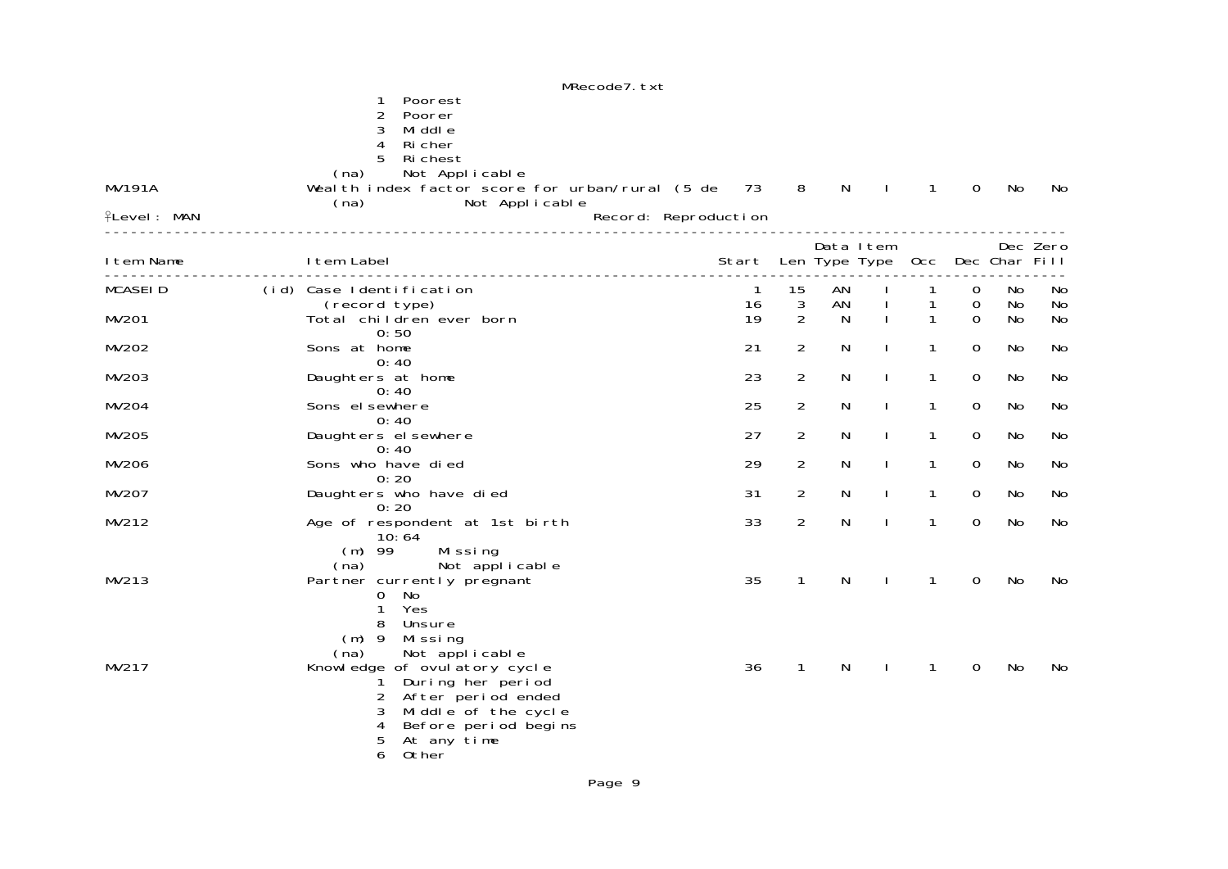|                                     | MRecode7. txt                                                                                                                                                                                         |                      |                                    |                |                                |                        |                              |                |                |
|-------------------------------------|-------------------------------------------------------------------------------------------------------------------------------------------------------------------------------------------------------|----------------------|------------------------------------|----------------|--------------------------------|------------------------|------------------------------|----------------|----------------|
| <b>MV191A</b><br><b>ILevel: MAN</b> | Poorest<br>1<br>$\overline{c}$<br>Poorer<br>3<br>Mi ddl e<br>Ri cher<br>4<br>5<br>Ri chest<br>Not Applicable<br>(na)<br>Weal th index factor score for urban/rural (5 de 73<br>Not Applicable<br>(na) | Record: Reproduction | 8                                  | $\mathsf{N}$   | $\mathbf{I}$                   | $\mathbf{1}$           | $\Omega$                     | No             | No             |
| I tem Name                          | I tem Label                                                                                                                                                                                           | Start                |                                    |                | Data Item<br>Len Type Type Occ |                        |                              | Dec Char Fill  | Dec Zero       |
| <b>MCASEID</b><br>MV201             | (id) Case Identification<br>(record type)<br>Total children ever born                                                                                                                                 | -1<br>16<br>19       | 15<br>$\sqrt{3}$<br>$\overline{2}$ | AN<br>AN<br>N. |                                | 1<br>1<br>$\mathbf{1}$ | 0<br>$\mathbf 0$<br>$\Omega$ | No<br>No<br>No | No<br>No<br>No |
| MV202                               | 0:50<br>Sons at home                                                                                                                                                                                  | 21                   | $\overline{2}$                     | N              | $\mathbf{I}$                   | $\mathbf{1}$           | $\overline{0}$               | No             | No             |
| MV203                               | 0:40<br>Daughters at home                                                                                                                                                                             | 23                   | $\overline{2}$                     | N              | $\mathbf{I}$                   | $\mathbf{1}$           | $\mathbf 0$                  | No             | No             |
| MV204                               | 0:40<br>Sons el sewhere                                                                                                                                                                               | 25                   | $\overline{2}$                     | N              | $\mathbf{I}$                   | $\mathbf{1}$           | $\overline{0}$               | No             | No             |
| MV205                               | 0:40<br>Daughters el sewhere                                                                                                                                                                          | 27                   | $\overline{2}$                     | N              | $\mathbf{I}$                   | $\mathbf{1}$           | $\Omega$                     | No             | No             |
| MV206                               | 0:40<br>Sons who have died                                                                                                                                                                            | 29                   | $\overline{2}$                     | N              | $\mathbf{I}$                   | $\mathbf{1}$           | $\mathbf 0$                  | No             | No             |
| MV207                               | 0:20<br>Daughters who have died                                                                                                                                                                       | 31                   | $\overline{a}$                     | N              |                                | $\mathbf{1}$           | $\overline{0}$               | No             | No             |
| MV212                               | 0:20<br>Age of respondent at 1st birth                                                                                                                                                                | 33                   | $\overline{2}$                     | N              | $\mathbf{I}$                   | $\mathbf{1}$           | $\mathbf{0}$                 | No             | No             |
| MV213                               | 10:64<br>$(m)$ 99<br>Missing<br>Not applicable<br>(na)<br>Partner currently pregnant<br>No<br>$\Omega$<br>1<br>Yes<br>8<br>Unsure<br>$(m)$ 9<br>Missing                                               | 35                   | $\mathbf{1}$                       | N              | $\mathbf{I}$                   | $\mathbf{1}$           | $\overline{0}$               | No             | No             |
| MV217                               | Not applicable<br>(na)<br>Knowledge of ovulatory cycle<br>During her period<br>2<br>After period ended<br>3<br>Middle of the cycle<br>Before period begins<br>4<br>5<br>At any time<br>6<br>0ther     | 36                   | $\mathbf{1}$                       | N              |                                | $\mathbf{1}$           | $\Omega$                     | No             | No             |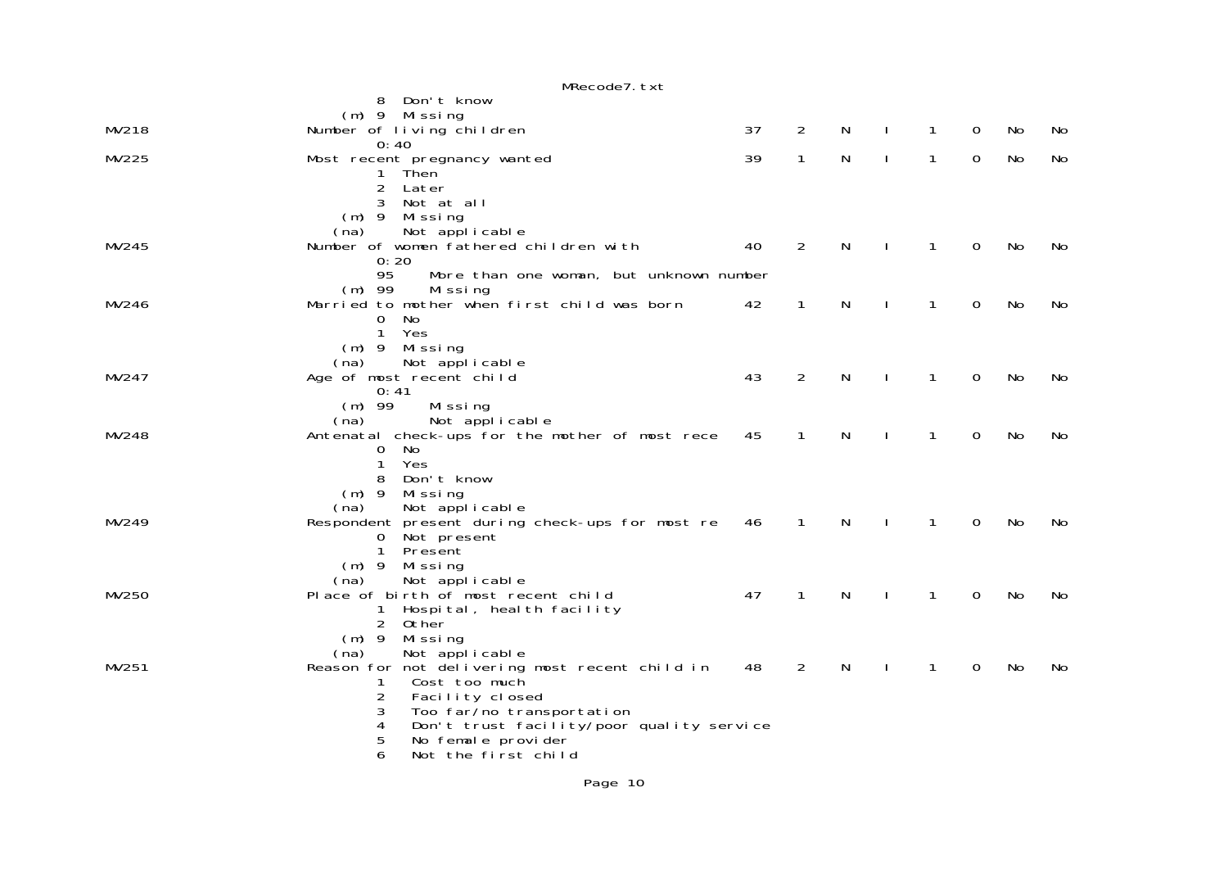|       | MRecode7.txt                                                              |    |                |              |              |              |                |    |     |
|-------|---------------------------------------------------------------------------|----|----------------|--------------|--------------|--------------|----------------|----|-----|
|       | 8<br>Don't know                                                           |    |                |              |              |              |                |    |     |
|       | $(m)$ 9 Missing                                                           |    |                |              |              |              |                |    |     |
| MV218 | Number of living children                                                 | 37 | 2              | N            | $\mathbf{I}$ | 1            | 0              | No | No  |
|       | 0:40                                                                      |    |                |              |              |              |                |    |     |
| MV225 | Most recent pregnancy wanted                                              | 39 | $\mathbf{1}$   | ${\sf N}$    |              | 1            | $\mathbf 0$    | No | No  |
|       | Then<br>1                                                                 |    |                |              |              |              |                |    |     |
|       | 2 Later<br>Not at all                                                     |    |                |              |              |              |                |    |     |
|       | 3<br>$(m)$ 9 Missing                                                      |    |                |              |              |              |                |    |     |
|       | Not applicable<br>(na)                                                    |    |                |              |              |              |                |    |     |
| MV245 | Number of women fathered children with                                    | 40 | $\overline{2}$ | N            | $\mathbf{I}$ | $\mathbf{1}$ | 0              | No | No  |
|       | 0:20                                                                      |    |                |              |              |              |                |    |     |
|       | 95<br>More than one woman, but unknown number                             |    |                |              |              |              |                |    |     |
|       | $(m)$ 99<br>Missing                                                       |    |                |              |              |              |                |    |     |
| MV246 | Married to mother when first child was born                               | 42 | $\mathbf{1}$   | N            | $\mathbf{I}$ | 1            | $\mathbf 0$    | No | No  |
|       | $\mathbf{0}$<br>No                                                        |    |                |              |              |              |                |    |     |
|       | $\mathbf{1}$<br>Yes                                                       |    |                |              |              |              |                |    |     |
|       | $(m)$ 9 Missing                                                           |    |                |              |              |              |                |    |     |
| MV247 | Not applicable<br>(na)<br>Age of most recent child                        | 43 | $\overline{2}$ | N            | $\mathbf{I}$ | $\mathbf{1}$ | $\overline{0}$ | No | No  |
|       | 0:41                                                                      |    |                |              |              |              |                |    |     |
|       | Missing<br>$(m)$ 99                                                       |    |                |              |              |              |                |    |     |
|       | Not applicable<br>(na)                                                    |    |                |              |              |              |                |    |     |
| MV248 | Antenatal check-ups for the mother of most rece                           | 45 | $\mathbf{1}$   | N            |              | 1            | $\mathbf 0$    | No | No  |
|       | 0<br>No.                                                                  |    |                |              |              |              |                |    |     |
|       | 1<br>Yes                                                                  |    |                |              |              |              |                |    |     |
|       | Don't know<br>8                                                           |    |                |              |              |              |                |    |     |
|       | $(m)$ 9<br>Missing                                                        |    |                |              |              |              |                |    |     |
| MV249 | Not applicable<br>(na)<br>Respondent present during check-ups for most re | 46 | $\mathbf{1}$   | N            |              | 1            | $\Omega$       | No |     |
|       | Not present<br>0                                                          |    |                |              |              |              |                |    | No. |
|       | $\mathbf{1}$<br>Present                                                   |    |                |              |              |              |                |    |     |
|       | $(m)$ 9<br>Missing                                                        |    |                |              |              |              |                |    |     |
|       | Not applicable<br>(na)                                                    |    |                |              |              |              |                |    |     |
| MV250 | Place of birth of most recent child                                       | 47 | $\mathbf{1}$   | $\mathsf{N}$ |              | 1            | $\mathbf 0$    | No | No  |
|       | Hospital, health facility<br>1                                            |    |                |              |              |              |                |    |     |
|       | 2 Other                                                                   |    |                |              |              |              |                |    |     |
|       | $(m)$ 9<br>Missing                                                        |    |                |              |              |              |                |    |     |
| MV251 | Not applicable<br>(na)                                                    | 48 | $\overline{2}$ | N            |              | 1            | 0              | No |     |
|       | Reason for not delivering most recent child in<br>Cost too much<br>1      |    |                |              |              |              |                |    | No  |
|       | $\overline{2}$<br>Facility closed                                         |    |                |              |              |              |                |    |     |
|       | 3<br>Too far/no transportation                                            |    |                |              |              |              |                |    |     |
|       | Don't trust facility/poor quality service<br>4                            |    |                |              |              |              |                |    |     |
|       | 5<br>No female provider                                                   |    |                |              |              |              |                |    |     |
|       | 6<br>Not the first child                                                  |    |                |              |              |              |                |    |     |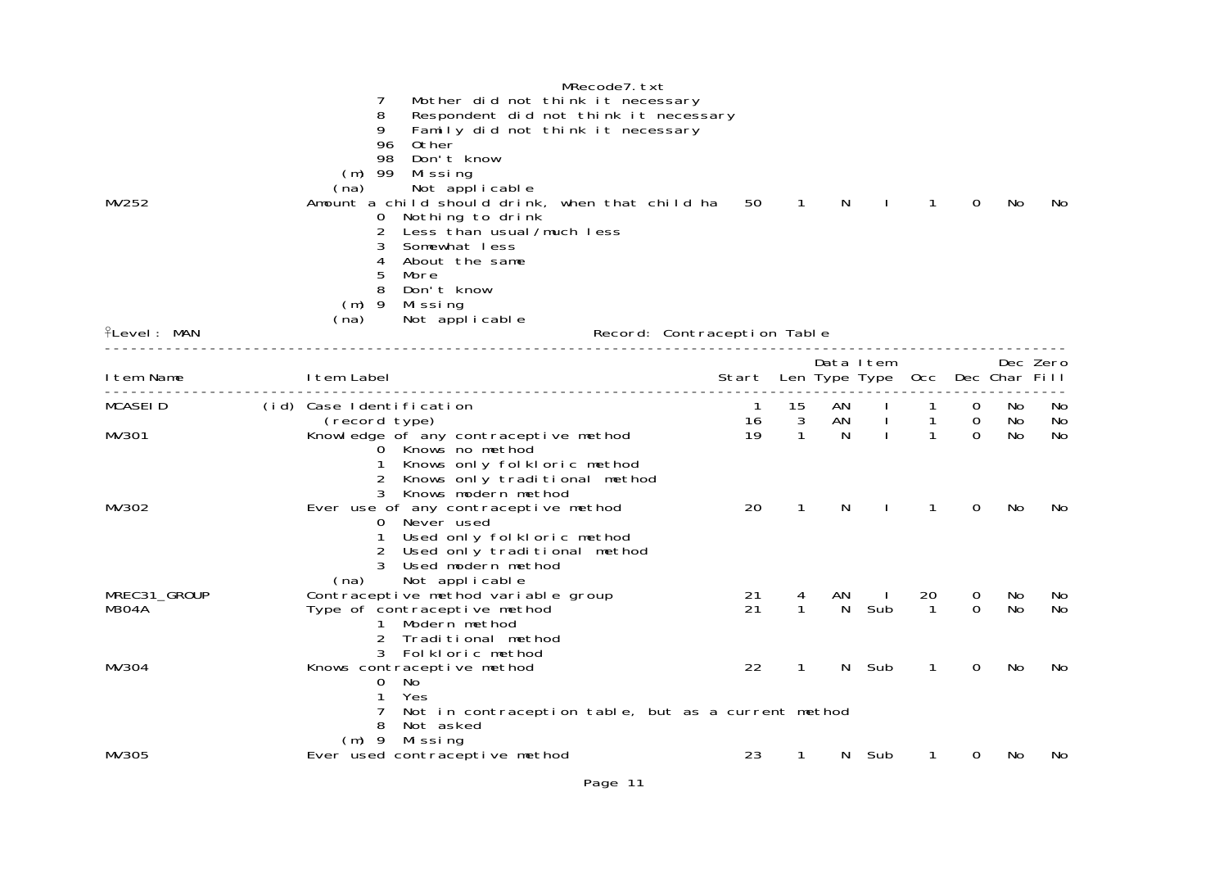| MV252               | MRecode7.txt<br>7<br>Mother did not think it necessary<br>8<br>Respondent did not think it necessary<br>9<br>Family did not think it necessary<br>96<br>0ther<br>98<br>Don't know<br>$(m)$ 99<br>Missing<br>Not applicable<br>(na)<br>Amount a child should drink, when that child ha<br>Nothing to drink<br>0<br>2<br>Less than usual/much less | 50                          | $\mathbf{1}$ | N        |              | 1                 | $\Omega$            | No        | No.             |
|---------------------|--------------------------------------------------------------------------------------------------------------------------------------------------------------------------------------------------------------------------------------------------------------------------------------------------------------------------------------------------|-----------------------------|--------------|----------|--------------|-------------------|---------------------|-----------|-----------------|
| 위 <b>Level: MAN</b> | Somewhat less<br>3<br>About the same<br>4<br>5<br>More<br>8<br>Don't know<br>$(m)$ 9<br>Missing<br>(na)<br>Not applicable                                                                                                                                                                                                                        | Record: Contraception Table |              |          |              |                   |                     |           |                 |
|                     |                                                                                                                                                                                                                                                                                                                                                  |                             |              |          | Data Item    |                   |                     |           | Dec Zero        |
| I tem Name          | I tem Label                                                                                                                                                                                                                                                                                                                                      | Start Len Type Type         |              |          |              | Occ Dec Char Fill |                     |           |                 |
| MCASEID             | (id) Case Identification<br>(record type)                                                                                                                                                                                                                                                                                                        | -1<br>16                    | 15<br>3      | AN<br>AN |              | 1                 | 0<br>$\overline{0}$ | No.<br>No | <b>No</b><br>No |
| MV301               | Knowledge of any contraceptive method<br>0 Knows no method<br>Knows only folkloric method<br>1<br>2<br>Knows only traditional method<br>3 Knows modern method                                                                                                                                                                                    | 19                          | $\mathbf{1}$ | N.       | $\mathbf{I}$ | 1                 | $\Omega$            | No        | No              |
| MV302               | Ever use of any contraceptive method<br>0 Never used<br>Used only folkloric method<br>$\mathbf{1}$<br>2<br>Used only traditional method<br>Used modern method<br>Not applicable<br>(na)                                                                                                                                                          | 20                          | $\mathbf{1}$ | N        | $\mathbf{I}$ | 1                 | $\Omega$            | No        | No              |
| MREC31_GROUP        | Contraceptive method variable group                                                                                                                                                                                                                                                                                                              | 21                          |              | ΑN       |              | 20                | 0                   | No.       | No.             |
| M304A               | Type of contraceptive method<br>Modern method<br>2<br>Traditional method<br>3<br>Folkloric method                                                                                                                                                                                                                                                | 21                          | 1            | N.       | Sub          | -1                | $\Omega$            | No.       | No              |
| MV304               | Knows contraceptive method<br>No<br>0<br>Yes<br>1<br>7<br>Not in contraception table, but as a current method                                                                                                                                                                                                                                    | 22                          | $\mathbf{1}$ | N        | Sub          | 1                 | 0                   | <b>No</b> | No              |
|                     | 8<br>Not asked<br>$(m)$ 9<br>Mi ssi ng                                                                                                                                                                                                                                                                                                           |                             |              |          |              |                   |                     |           |                 |
| MV305               | Ever used contraceptive method                                                                                                                                                                                                                                                                                                                   | 23                          | 1            | N.       | Sub          | 1                 | 0                   | No        | No              |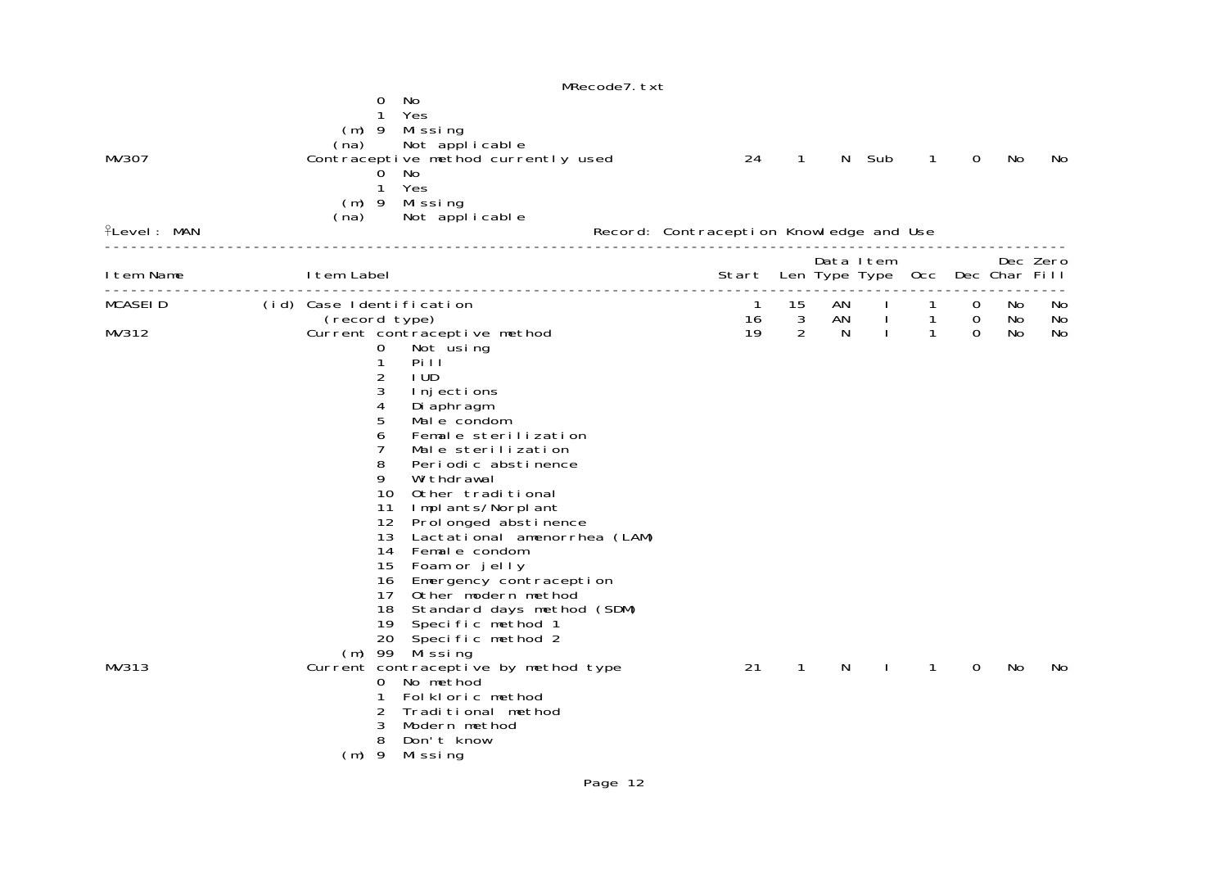|                             | MRecode7. txt                                                                                                                                                                                                                                                                                                                                                                                                                                                                                                                                                                                                 |                                               |                    |          |                    |                                |                  |           |                |
|-----------------------------|---------------------------------------------------------------------------------------------------------------------------------------------------------------------------------------------------------------------------------------------------------------------------------------------------------------------------------------------------------------------------------------------------------------------------------------------------------------------------------------------------------------------------------------------------------------------------------------------------------------|-----------------------------------------------|--------------------|----------|--------------------|--------------------------------|------------------|-----------|----------------|
| MV307<br><b>flevel: MAN</b> | 0<br>No<br>Yes<br>1<br>$(m)$ 9 Missing<br>Not applicable<br>(na)<br>Contraceptive method currently used<br>No<br>0<br>Yes<br>$\mathbf{1}$<br>$(m)$ 9 Missing<br>Not applicable<br>(na)                                                                                                                                                                                                                                                                                                                                                                                                                        | 24<br>Record: Contraception Knowledge and Use | $\mathbf{1}$       |          | N Sub<br>Data Item | $\mathbf{1}$                   | $\Omega$         | No        | No<br>Dec Zero |
| I tem Name                  | I tem Label                                                                                                                                                                                                                                                                                                                                                                                                                                                                                                                                                                                                   | Start Len Type Type Occ Dec Char Fill         |                    |          |                    |                                |                  |           |                |
| <b>MCASEID</b>              | (id) Case Identification<br>(record type)                                                                                                                                                                                                                                                                                                                                                                                                                                                                                                                                                                     | $\overline{1}$<br>16                          | 15<br>$\mathbf{3}$ | AN<br>AN | $\sim$ 1.          | $\mathbf{1}$<br>$\overline{1}$ | 0<br>$\mathbf 0$ | No.<br>No | No.<br>No      |
| MV312                       | Current contraceptive method<br>0<br>Not using<br>1<br>Pill<br>2<br>I UD<br>3<br>I nj ections<br>4<br>Di aphragm<br>5<br>Mal e condom<br>Female sterilization<br>6<br>7<br>Male sterilization<br>8<br>Periodic abstinence<br>9<br>Wi thdrawal<br>10<br>Other traditional<br>11<br>Implants/Norplant<br>12 <sup>2</sup><br>Prol onged abstinence<br>Lactational amenorrhea (LAM)<br>13<br>Female condom<br>14<br>Foam or jelly<br>15<br>16<br>Emergency contraception<br>Other modern method<br>17<br>18<br>Standard days method (SDM)<br>19<br>Specific method 1<br>20<br>Specific method 2<br>(m) 99 Missing | 19                                            | 2                  | N.       | $\mathbf{L}$       | $\mathbf{1}$                   | $\Omega$         | No        | No             |
| MV313                       | Current contraceptive by method type<br>No method<br>0<br>Folkloric method<br>1<br>2<br>Traditional method<br>3<br>Modern method<br>8<br>Don't know<br>$(m)$ 9<br>Mi ssi ng                                                                                                                                                                                                                                                                                                                                                                                                                                   | 21                                            | $\mathbf{1}$       | N        |                    | 1                              | 0                | No.       | No             |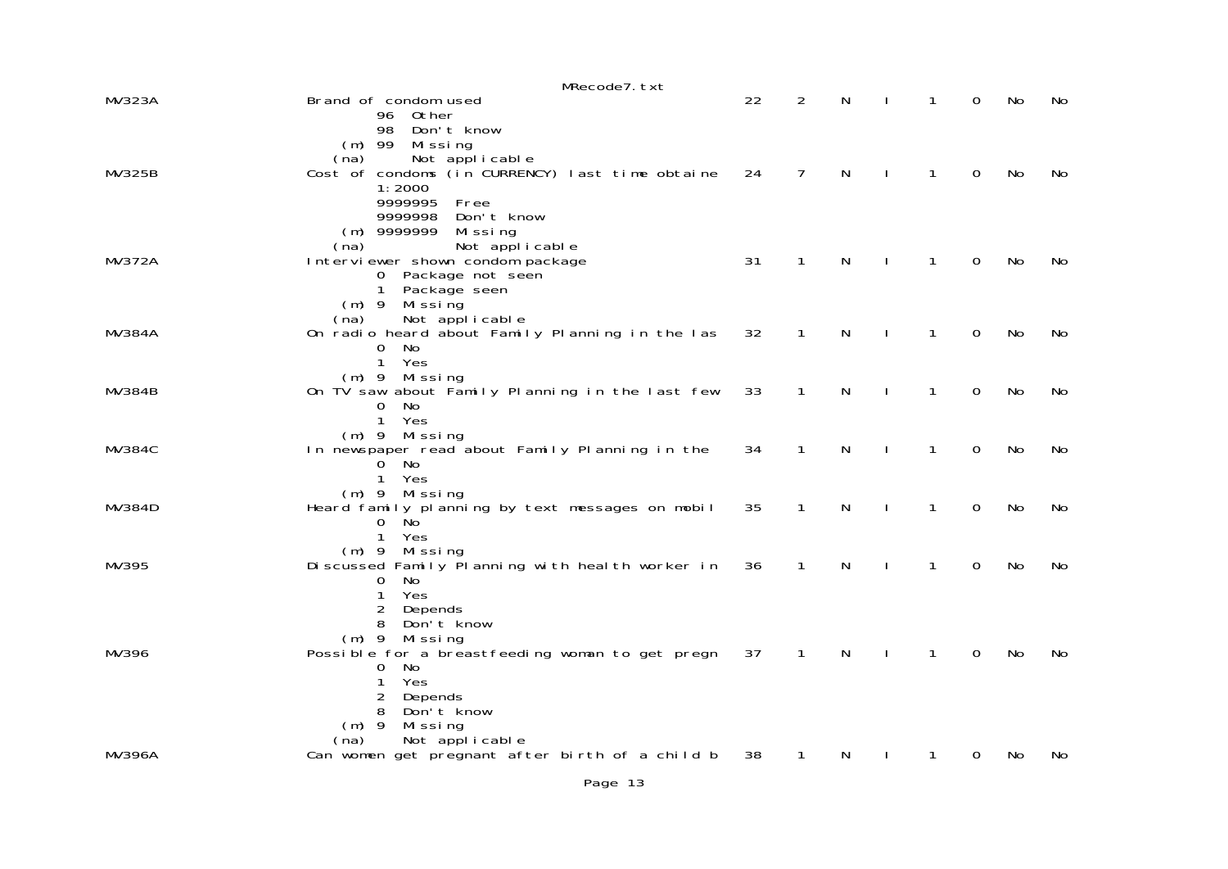|               | MRecode7.txt                                                              |    |                |              |              |              |             |           |           |
|---------------|---------------------------------------------------------------------------|----|----------------|--------------|--------------|--------------|-------------|-----------|-----------|
| <b>MV323A</b> | Brand of condom used<br>Other<br>96.                                      | 22 | 2              | N            |              | 1            | 0           | No        | No        |
|               | 98<br>Don't know<br>$(m)$ 99<br>Missing                                   |    |                |              |              |              |             |           |           |
| <b>MV325B</b> | Not applicable<br>(na)<br>Cost of condoms (in CURRENCY) last time obtaine | 24 | $\overline{7}$ | $\mathsf{N}$ | $\perp$      | $\mathbf{1}$ | $\mathbf 0$ | No        | No        |
|               | 1:2000                                                                    |    |                |              |              |              |             |           |           |
|               | 9999995<br>Free<br>9999998<br>Don't know                                  |    |                |              |              |              |             |           |           |
|               | $(m)$ 9999999<br>Mi ssi ng<br>Not applicable<br>(na)                      |    |                |              |              |              |             |           |           |
| <b>MV372A</b> | Interviewer shown condom package<br>0 Package not seen                    | 31 | $\mathbf{1}$   | N            |              | 1            | $\mathbf 0$ | No        | No        |
|               | 1 Package seen                                                            |    |                |              |              |              |             |           |           |
|               | $(m)$ 9<br>Mi ssi ng<br>Not applicable<br>(na)                            |    |                |              |              |              |             |           |           |
| <b>MV384A</b> | On radio heard about Family Planning in the las<br>No.<br>0               | 32 | $\mathbf{1}$   | N            |              | 1            | $\mathbf 0$ | No        | No        |
|               | $\mathbf{1}$<br>Yes<br>$(m)$ 9 Missing                                    |    |                |              |              |              |             |           |           |
| <b>MV384B</b> | On TV saw about Family Planning in the last few<br>No<br>0                | 33 | $\mathbf{1}$   | N            |              | $\mathbf{1}$ | 0           | No        | No        |
|               | $\mathbf{1}$<br>Yes<br>$(m)$ 9<br>Missing                                 |    |                |              |              |              |             |           |           |
| <b>MV384C</b> | In newspaper read about Family Planning in the                            | 34 | $\mathbf{1}$   | $\mathsf{N}$ | $\perp$      | $\mathbf{1}$ | $\mathbf 0$ | No        | No        |
|               | No<br>0<br>Yes<br>1                                                       |    |                |              |              |              |             |           |           |
| MV384D        | Missing<br>$(m)$ 9<br>Heard family planning by text messages on mobil     | 35 | $\mathbf{1}$   | N            |              | $\mathbf{1}$ | $\mathbf 0$ | No        | No        |
|               | 0<br>No.<br>1 Yes                                                         |    |                |              |              |              |             |           |           |
| MV395         | $(m)$ 9 Missing<br>Discussed Family Planning with health worker in        | 36 | $\mathbf{1}$   | N            |              | $\mathbf{1}$ | 0           | No        | No        |
|               | No<br>0<br>Yes<br>1                                                       |    |                |              |              |              |             |           |           |
|               | 2<br>Depends                                                              |    |                |              |              |              |             |           |           |
|               | 8<br>Don't know<br>$(m)$ 9<br>Missing                                     |    |                |              |              |              |             |           |           |
| MV396         | Possible for a breastfeeding woman to get pregn<br>No<br>0                | 37 | $\mathbf{1}$   | $\mathsf{N}$ | $\mathbf{I}$ | $\mathbf{1}$ | 0           | <b>No</b> | <b>No</b> |
|               | Yes<br>1<br>2<br>Depends                                                  |    |                |              |              |              |             |           |           |
|               | Don't know<br>8<br>$(m)$ 9<br>Missing                                     |    |                |              |              |              |             |           |           |
|               | Not applicable<br>(na)                                                    |    |                |              |              |              |             |           |           |
| <b>MV396A</b> | Can women get pregnant after birth of a child b                           | 38 | 1              | N            |              | 1            | 0           | No        | No        |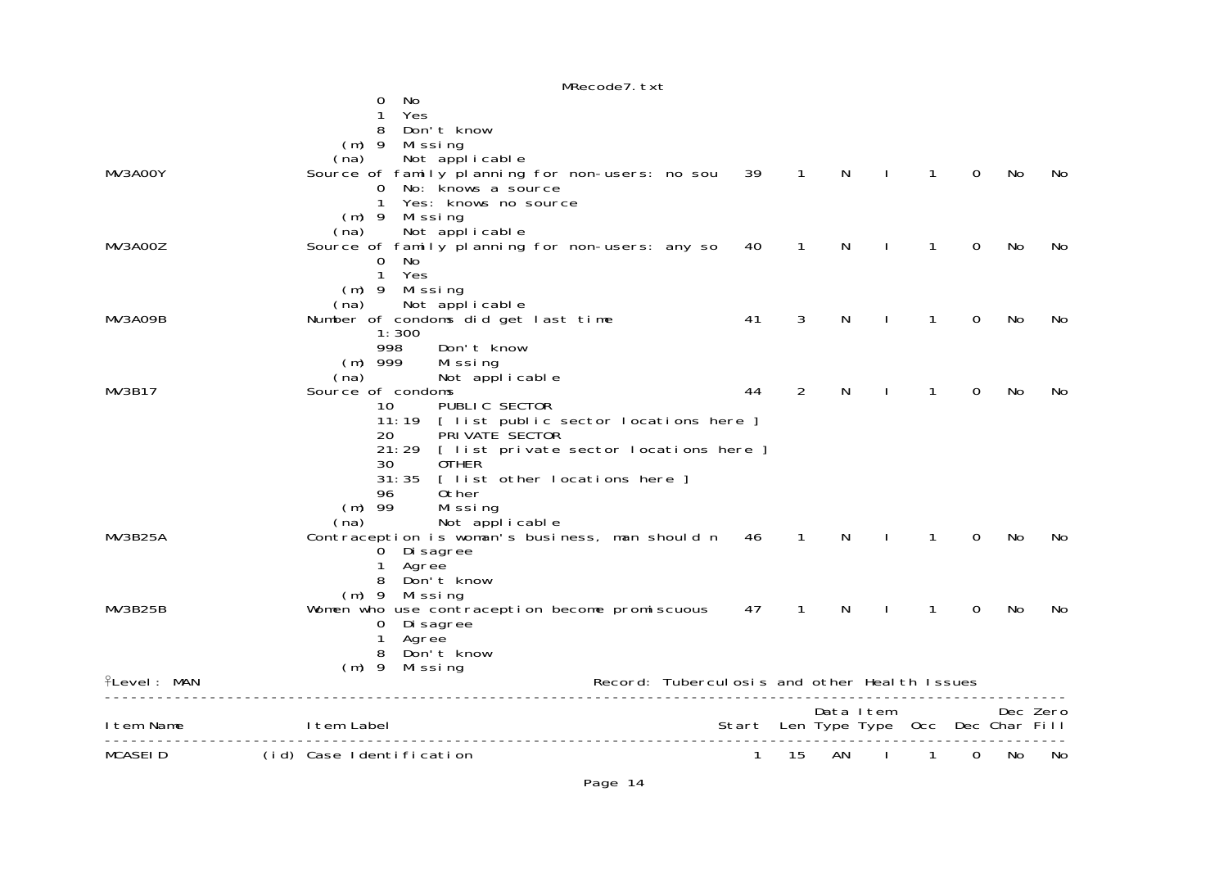|             | MRecode7. txt                                                     |    |              |              |              |                                       |                |     |          |
|-------------|-------------------------------------------------------------------|----|--------------|--------------|--------------|---------------------------------------|----------------|-----|----------|
|             | No<br>0                                                           |    |              |              |              |                                       |                |     |          |
|             | Yes<br>1                                                          |    |              |              |              |                                       |                |     |          |
|             | 8<br>Don't know                                                   |    |              |              |              |                                       |                |     |          |
|             | $(m)$ 9<br>Missing<br>(na)                                        |    |              |              |              |                                       |                |     |          |
| MV3AOOY     | Not applicable<br>Source of family planning for non-users: no sou | 39 | $\mathbf{1}$ | $\mathsf{N}$ | $\mathbf{I}$ | $\mathbf{1}$                          | $\overline{0}$ | No  | No.      |
|             | No: knows a source<br>0                                           |    |              |              |              |                                       |                |     |          |
|             | 1<br>Yes: knows no source                                         |    |              |              |              |                                       |                |     |          |
|             | $(m)$ 9<br>Mi ssi ng                                              |    |              |              |              |                                       |                |     |          |
|             | (na)<br>Not applicable                                            |    |              |              |              |                                       |                |     |          |
| MV3AOOZ     | Source of family planning for non-users: any so                   | 40 | $\mathbf{1}$ | N            |              | 1                                     | $\Omega$       | No  | No       |
|             | $\mathbf{O}$<br>No.                                               |    |              |              |              |                                       |                |     |          |
|             | $\mathbf{1}$<br>Yes<br>Missing<br>$(m)$ 9                         |    |              |              |              |                                       |                |     |          |
|             | Not applicable<br>(na)                                            |    |              |              |              |                                       |                |     |          |
| MV3AO9B     | Number of condoms did get last time                               | 41 | 3            | N            |              | 1                                     | $\Omega$       | No  | No       |
|             | 1:300                                                             |    |              |              |              |                                       |                |     |          |
|             | 998<br>Don't know                                                 |    |              |              |              |                                       |                |     |          |
|             | $(m)$ 999<br>Missing                                              |    |              |              |              |                                       |                |     |          |
|             | Not applicable<br>(na)<br>Source of condoms                       |    |              |              | ı            |                                       | $\Omega$       | No  |          |
| MV3B17      | PUBLIC SECTOR<br>10                                               | 44 | 2            | N            |              | 1                                     |                |     | No       |
|             | 11:19 [ list public sector locations here ]                       |    |              |              |              |                                       |                |     |          |
|             | PRI VATE SECTOR<br>20                                             |    |              |              |              |                                       |                |     |          |
|             | 21:29 [ list private sector locations here ]                      |    |              |              |              |                                       |                |     |          |
|             | 30<br><b>OTHER</b>                                                |    |              |              |              |                                       |                |     |          |
|             | 31:35 [ list other locations here ]                               |    |              |              |              |                                       |                |     |          |
|             | Other<br>96<br>$(m)$ 99<br>Missing                                |    |              |              |              |                                       |                |     |          |
|             | Not applicable<br>(na)                                            |    |              |              |              |                                       |                |     |          |
| MV3B25A     | Contraception is woman's business, man should n                   | 46 | $\mathbf{1}$ | N            | ı            | $\mathbf{1}$                          | $\Omega$       | No  | No       |
|             | 0 Di sagree                                                       |    |              |              |              |                                       |                |     |          |
|             | Agree<br>1                                                        |    |              |              |              |                                       |                |     |          |
|             | Don't know<br>8                                                   |    |              |              |              |                                       |                |     |          |
| MV3B25B     | (m) 9 Missing                                                     | 47 | $\mathbf{1}$ | N            | $\mathbf{I}$ | 1                                     | $\Omega$       | No  | No       |
|             | Women who use contraception become promiscuous<br>0 Di sagree     |    |              |              |              |                                       |                |     |          |
|             | Agree<br>1                                                        |    |              |              |              |                                       |                |     |          |
|             | Don't know<br>8                                                   |    |              |              |              |                                       |                |     |          |
|             | $(m)$ 9 Missing                                                   |    |              |              |              |                                       |                |     |          |
| fLevel: MAN | Record: Tuberculosis and other Health Issues                      |    |              |              |              |                                       |                |     |          |
|             |                                                                   |    |              |              | Data Item    |                                       |                |     | Dec Zero |
| Item Name   | I tem Label                                                       |    |              |              |              | Start Len Type Type Occ Dec Char Fill |                |     |          |
| MCASEID     | -------------<br>(id) Case Identification                         | 1  | 15           | AN           |              | 1                                     | 0              | No. | No       |
|             |                                                                   |    |              |              |              |                                       |                |     |          |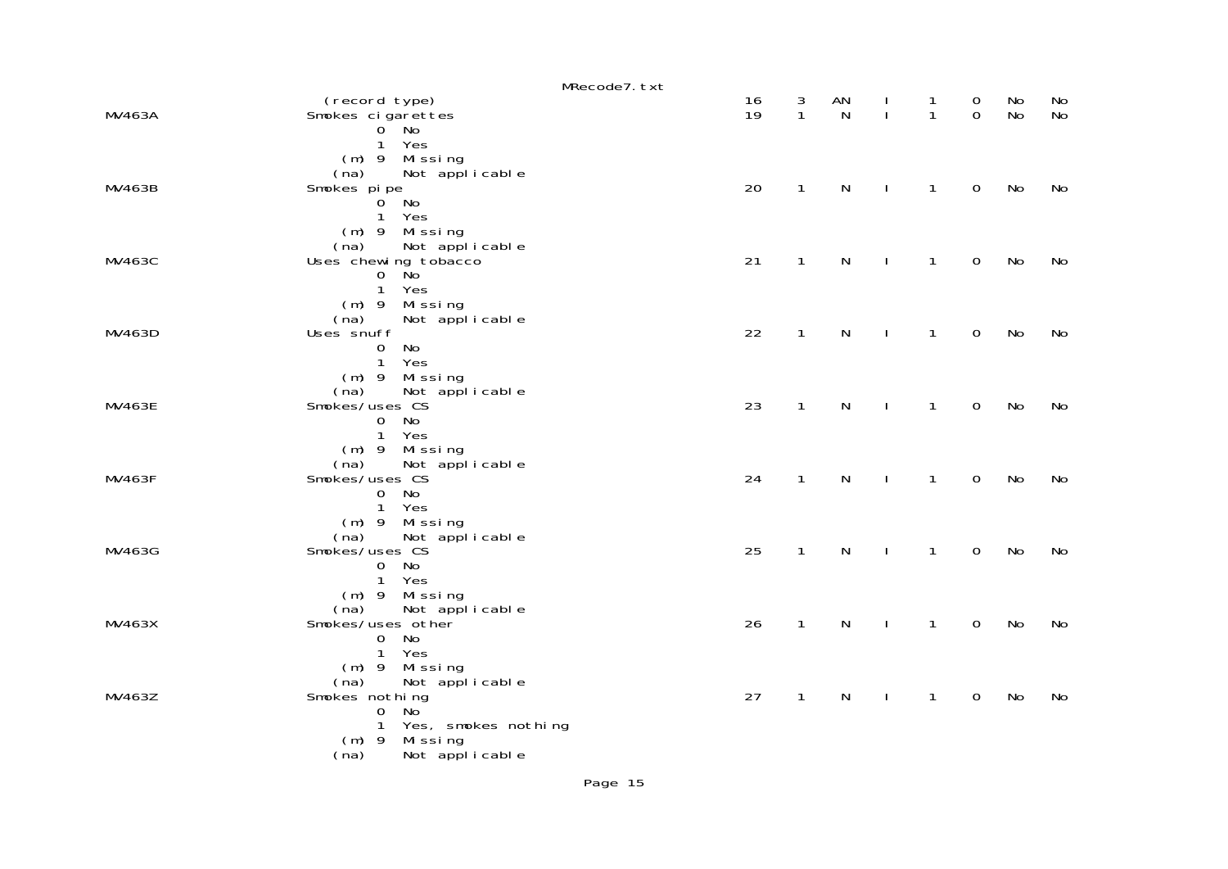|               |                                                                                                                                                  | MRecode7.txt |          |                   |                    |                    |                              |                         |          |                 |
|---------------|--------------------------------------------------------------------------------------------------------------------------------------------------|--------------|----------|-------------------|--------------------|--------------------|------------------------------|-------------------------|----------|-----------------|
| <b>MV463A</b> | (record type)<br>Smokes cigarettes<br>$0^{\circ}$ No                                                                                             |              | 16<br>19 | 3<br>$\mathbf{1}$ | AN<br>$\mathsf{N}$ | Τ.<br>$\mathbf{I}$ | $\mathbf{1}$<br>$\mathbf{1}$ | $\mathbf 0$<br>$\Omega$ | No<br>No | No<br><b>No</b> |
| MV463B        | 1 Yes<br>$(m)$ 9 Missing<br>Not applicable<br>(na)<br>Smokes pipe<br>$0^{\degree}$<br>No<br>$\mathbf{1}$<br>Yes                                  |              | 20       | $\mathbf{1}$      | $\mathsf{N}$       | $\mathbf{I}$       | $\mathbf{1}$                 | $\mathbf 0$             | No       | No              |
| MV463C        | (m) 9 Missing<br>Not applicable<br>(na)<br>Uses chewing tobacco<br>1<br>Yes                                                                      |              | 21       | $\mathbf{1}$      | $\mathsf{N}$       | $\mathbf{I}$       | $\mathbf{1}$                 | $\mathsf{O}\xspace$     | No       | No              |
| MV463D        | $(m)$ 9 Missing<br>(na)<br>Not applicable<br>Uses snuff<br>No<br>$\mathbf 0$<br>1<br>Yes                                                         |              | 22       | $\mathbf{1}$      | $\mathsf{N}$       | $\mathbf{I}$       | $\mathbf{1}$                 | $\mathbf 0$             | No       | No              |
| MV463E        | $(m)$ 9 Missing<br>Not applicable<br>(na)<br>Smokes/uses CS<br>No<br>$\overline{0}$<br>1 Yes                                                     |              | 23       | $\mathbf{1}$      | $\mathsf{N}$       | $\mathbf{I}$       | 1                            | $\mathbf 0$             | No       | No              |
| <b>MV463F</b> | (m) 9 Missing<br>Not applicable<br>(na)<br>Smokes/uses CS<br>No<br>$\overline{O}$<br>1 Yes                                                       |              | 24       | $\mathbf{1}$      | $\mathsf{N}$       | $\mathbf{I}$       | $\mathbf{1}$                 | $\mathbf 0$             | No       | No              |
| MV463G        | (m) 9 Missing<br>(na)<br>Not applicable<br>Smokes/uses CS<br>$\mathbf{0}$<br>No<br>1 Yes                                                         |              | 25       | $\mathbf{1}$      | $\mathsf{N}$       | J.                 | $\mathbf{1}$                 | $\mathbf 0$             | No       | No              |
| MV463X        | $(m)$ 9<br>Missing<br>Not applicable<br>(na)<br>Smokes/uses other<br>No<br>$\overline{0}$<br>$\mathbf{1}$<br>Yes                                 |              | 26       | $\mathbf{1}$      | $\mathsf{N}$       | $\mathbf{I}$       | $\mathbf{1}$                 | $\mathsf{O}\xspace$     | No       | No              |
| MV463Z        | Missing<br>$(m)$ 9<br>(na)<br>Not applicable<br>Smokes nothing<br>$\mathbf 0$<br>No<br>$\mathbf{1}$<br>Yes, smokes nothing<br>Missing<br>$(m)$ 9 |              | 27       | $\mathbf{1}$      | N                  |                    | 1                            | $\mathbf 0$             | No       | No              |
|               | Not applicable<br>(na)                                                                                                                           |              |          |                   |                    |                    |                              |                         |          |                 |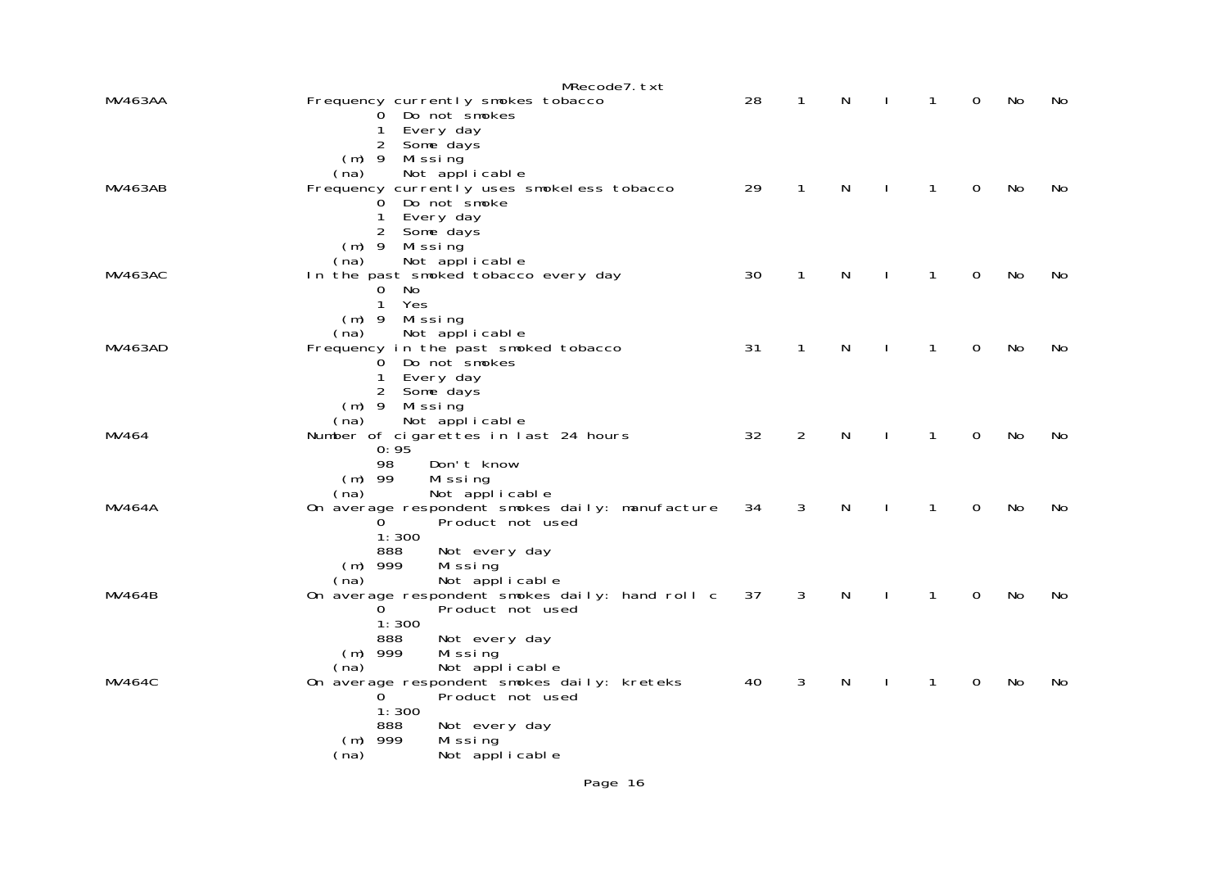|                | MRecode7.txt                                                                    |    |                |   |              |              |                |    |    |
|----------------|---------------------------------------------------------------------------------|----|----------------|---|--------------|--------------|----------------|----|----|
| <b>MV463AA</b> | Frequency currently smokes tobacco<br>0 Do not smokes                           | 28 | 1              | N |              | 1            | 0              | No | No |
|                | Every day<br>1<br>2 Some days                                                   |    |                |   |              |              |                |    |    |
|                | (m) 9 Missing                                                                   |    |                |   |              |              |                |    |    |
| <b>MV463AB</b> | Not applicable<br>(na)<br>Frequency currently uses smokeless tobacco            | 29 | 1              | N |              | 1            | 0              | No | No |
|                | O Do not smoke<br>Every day<br>1                                                |    |                |   |              |              |                |    |    |
|                | 2<br>Some days                                                                  |    |                |   |              |              |                |    |    |
|                | $(m)$ 9 Missing<br>Not applicable<br>(na)                                       |    |                |   |              |              |                |    |    |
| MV463AC        | In the past smoked tobacco every day<br>No<br>0                                 | 30 | 1              | N |              | 1            | $\Omega$       | No | No |
|                | $\mathbf{1}$<br>Yes                                                             |    |                |   |              |              |                |    |    |
|                | $(m)$ 9 Missing<br>Not applicable<br>(na)                                       |    |                |   |              |              |                |    |    |
| <b>MV463AD</b> | Frequency in the past smoked tobacco<br>0 Do not smokes                         | 31 | $\mathbf{1}$   | N |              | 1            | $\mathbf 0$    | No | No |
|                | 1<br>Every day                                                                  |    |                |   |              |              |                |    |    |
|                | 2 Some days<br>$(m)$ 9 Missing                                                  |    |                |   |              |              |                |    |    |
| MV464          | Not applicable<br>(na)<br>Number of cigarettes in last 24 hours                 | 32 | $\overline{2}$ | N | $\mathbf{I}$ | $\mathbf{1}$ | $\overline{0}$ | No | No |
|                | 0:95<br>98<br>Don't know                                                        |    |                |   |              |              |                |    |    |
|                | $(m)$ 99<br>Missing                                                             |    |                |   |              |              |                |    |    |
| MV464A         | Not applicable<br>(na)<br>On average respondent smokes daily: manufacture       | 34 | 3              | N | L            | $\mathbf{1}$ | $\mathbf 0$    | No | No |
|                | Product not used<br>0<br>1:300                                                  |    |                |   |              |              |                |    |    |
|                | 888<br>Not every day                                                            |    |                |   |              |              |                |    |    |
|                | Missing<br>$(m)$ 999<br>Not applicable<br>(na)                                  |    |                |   |              |              |                |    |    |
| MV464B         | On average respondent smokes daily: hand roll c<br>Product not used<br>$\Omega$ | 37 | 3              | N |              | 1            | 0              | No | No |
|                | 1:300                                                                           |    |                |   |              |              |                |    |    |
|                | 888<br>Not every day<br>$(m)$ 999<br>Missing                                    |    |                |   |              |              |                |    |    |
| MV464C         | Not applicable<br>(na)<br>On average respondent smokes daily: kreteks           | 40 | 3              | N |              | 1            | 0              | No | No |
|                | Product not used<br>0.                                                          |    |                |   |              |              |                |    |    |
|                | 1:300<br>888<br>Not every day                                                   |    |                |   |              |              |                |    |    |
|                | $(m)$ 999<br>Missing<br>Not applicable<br>(na)                                  |    |                |   |              |              |                |    |    |
|                |                                                                                 |    |                |   |              |              |                |    |    |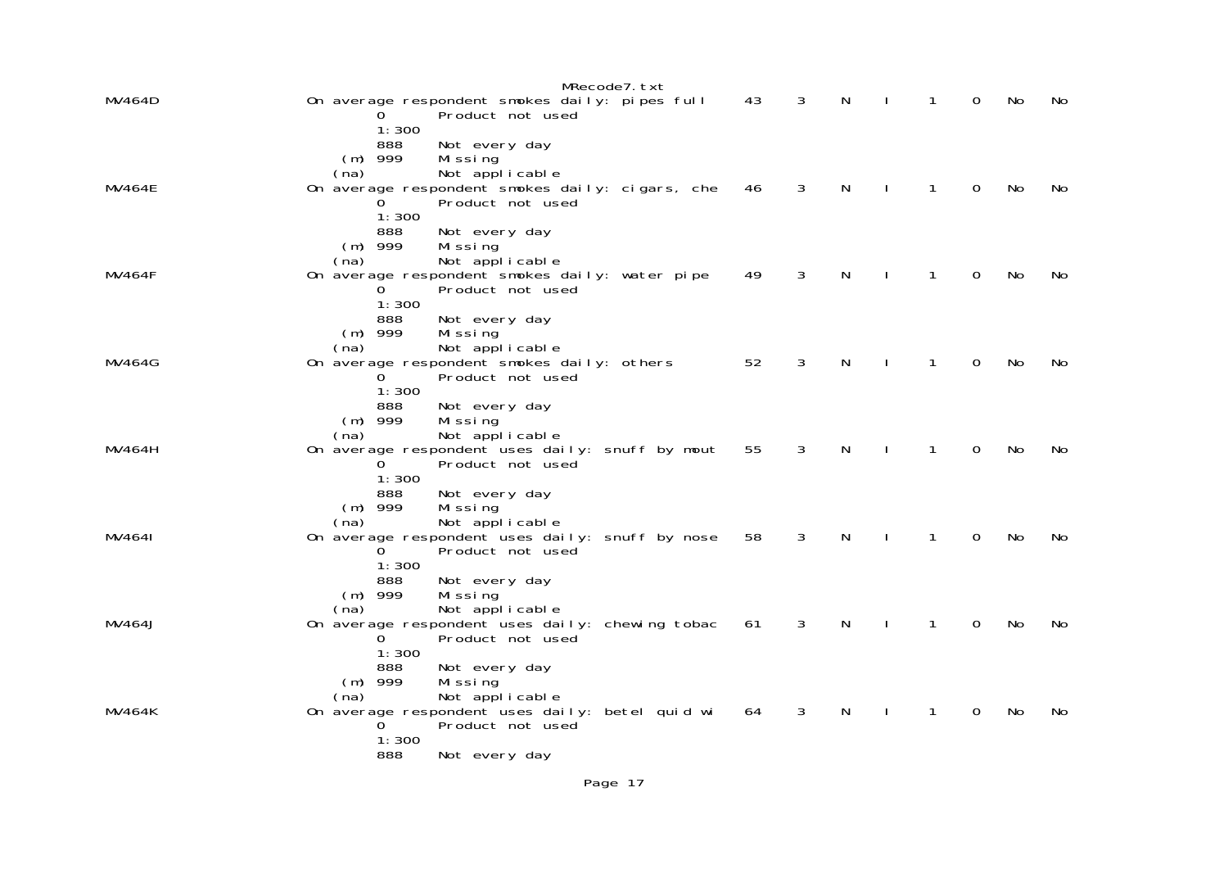|               | MRecode7.txt                                                                                                                                                                        |    |   |   |   |   |    |     |
|---------------|-------------------------------------------------------------------------------------------------------------------------------------------------------------------------------------|----|---|---|---|---|----|-----|
| MV464D        | On average respondent smokes daily: pipes full<br>Product not used<br>1:300                                                                                                         | 43 | 3 | N |   | 0 | No | No  |
| <b>MV464E</b> | 888<br>Not every day<br>$(m)$ 999<br>Mi ssi ng<br>Not applicable<br>(na)<br>On average respondent smokes daily: cigars, che<br>Product not used<br>1:300                            | 46 | 3 | N |   | 0 | No | No. |
| <b>MV464F</b> | 888<br>Not every day<br>$(m)$ 999<br>Mi ssi ng<br>Not applicable<br>(na)<br>On average respondent smokes daily: water pipe<br>Product not used<br>0<br>1:300                        | 49 | 3 | N |   | 0 | No | No  |
| <b>MV464G</b> | 888<br>Not every day<br>$(m)$ 999<br>Missing<br>Not applicable<br>(na)<br>On average respondent smokes daily: others<br>Product not used<br>$\Omega$<br>1:300                       | 52 | 3 | N |   | 0 | No | No  |
| MV464H        | 888<br>Not every day<br>$(m)$ 999<br>Missing<br>Not applicable<br>(na)<br>On average respondent uses daily: snuff by mout<br>0<br>Product not used<br>1:300                         | 55 | 3 | N | 1 | 0 | No | No  |
| MV4641        | 888<br>Not every day<br>$(m)$ 999<br>Mi ssi ng<br>Not applicable<br>(na)<br>On average respondent uses daily: snuff by nose<br>Product not used<br>1:300                            | 58 | 3 | N | 1 | 0 | No | No. |
| MV464J        | 888<br>Not every day<br>$(m)$ 999<br>Mi ssi ng<br>Not applicable<br>(na)<br>On average respondent uses daily: chewing tobac<br>Product not used<br>$\Omega$<br>1:300                | 61 | 3 | N |   | 0 | No | No  |
| MV464K        | 888<br>Not every day<br>$(m)$ 999<br>Missing<br>Not applicable<br>(na)<br>On average respondent uses daily: betel quid wi<br>0<br>Product not used<br>1:300<br>888<br>Not every day | 64 | 3 | N |   | 0 | No | No  |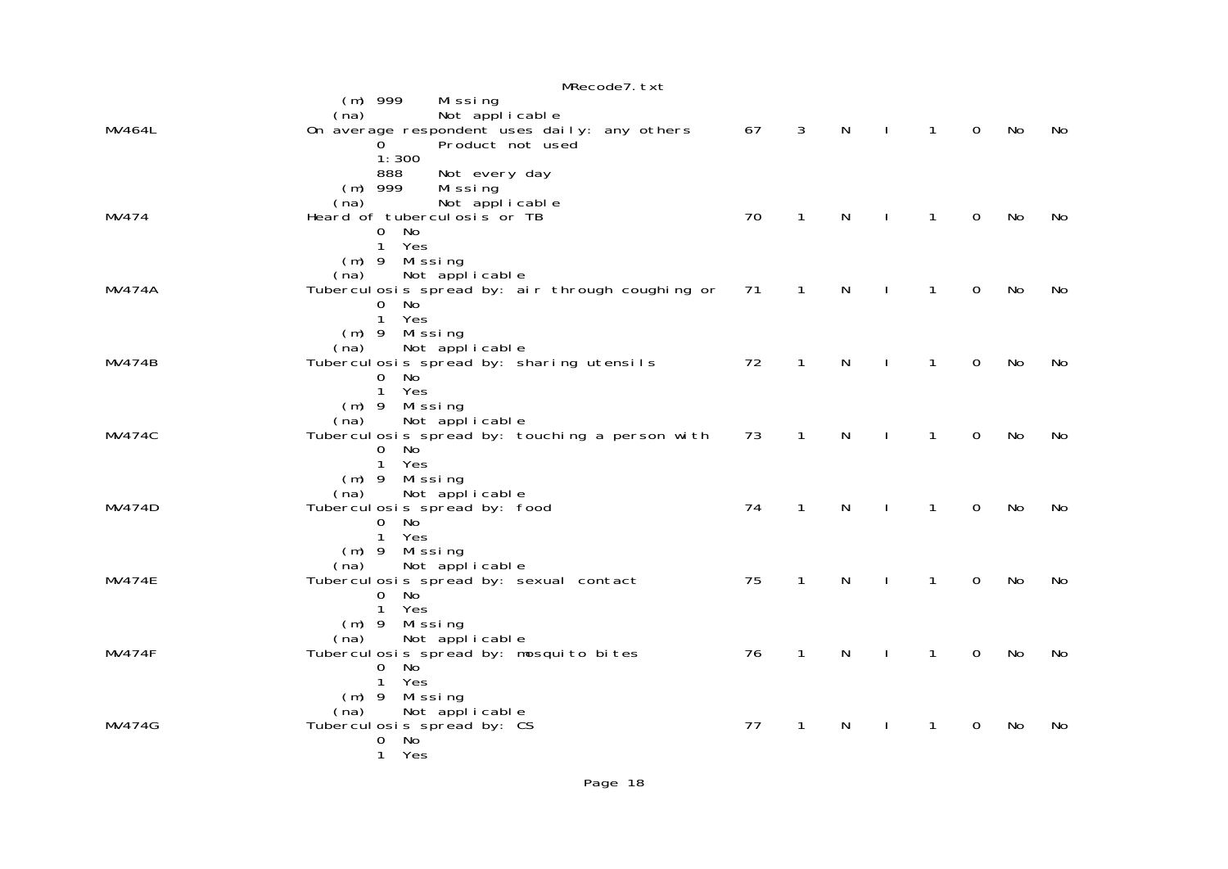|               | MRecode7. txt                                                     |    |              |              |              |              |                |     |    |
|---------------|-------------------------------------------------------------------|----|--------------|--------------|--------------|--------------|----------------|-----|----|
|               | $(m)$ 999<br>Missing                                              |    |              |              |              |              |                |     |    |
|               | Not applicable<br>(na)                                            |    |              |              |              |              |                |     |    |
| MV464L        | On average respondent uses daily: any others                      | 67 | 3            | $\mathsf{N}$ | $\mathbf{I}$ | $\mathbf{1}$ | $\overline{0}$ | No  | No |
|               | Product not used<br>Ō<br>1:300                                    |    |              |              |              |              |                |     |    |
|               | 888<br>Not every day                                              |    |              |              |              |              |                |     |    |
|               | $(m)$ 999<br>Mi ssi ng                                            |    |              |              |              |              |                |     |    |
|               | Not applicable<br>(na)                                            |    |              |              |              |              |                |     |    |
| MV474         | Heard of tubercul osis or TB                                      | 70 | 1            | N            |              | 1            | $\mathbf 0$    | No  | No |
|               | $0$ No                                                            |    |              |              |              |              |                |     |    |
|               | 1 Yes<br>(m) 9 Missing                                            |    |              |              |              |              |                |     |    |
|               | Not applicable<br>(na)                                            |    |              |              |              |              |                |     |    |
| <b>MV474A</b> | Tubercul osis spread by: air through coughing or                  | 71 | 1            | N            |              | 1            | $\mathbf 0$    | No  | No |
|               | 0 No                                                              |    |              |              |              |              |                |     |    |
|               | 1 Yes                                                             |    |              |              |              |              |                |     |    |
|               | (m) 9 Missing                                                     |    |              |              |              |              |                |     |    |
|               | Not applicable<br>(na)                                            |    |              | N            |              | 1            |                |     |    |
| <b>MV474B</b> | Tuberculosis spread by: sharing utensils<br>0 No                  | 72 | 1            |              |              |              | $\Omega$       | No  | No |
|               | 1 Yes                                                             |    |              |              |              |              |                |     |    |
|               | $(m)$ 9 Missing                                                   |    |              |              |              |              |                |     |    |
|               | Not applicable<br>(na)                                            |    |              |              |              |              |                |     |    |
| <b>MV474C</b> | Tubercul osis spread by: touching a person with                   | 73 | $\mathbf{1}$ | $\mathsf{N}$ |              | 1            | $\Omega$       | No  | No |
|               | 0 No<br>1 Yes                                                     |    |              |              |              |              |                |     |    |
|               | $(m)$ 9 Missing                                                   |    |              |              |              |              |                |     |    |
|               | Not applicable<br>(na)                                            |    |              |              |              |              |                |     |    |
| <b>MV474D</b> | Tubercul osis spread by: food                                     | 74 | $\mathbf{1}$ | $\mathsf{N}$ | $\mathbf{I}$ | $\mathbf{1}$ | $\Omega$       | No  | No |
|               | 0 No                                                              |    |              |              |              |              |                |     |    |
|               | Yes<br>$\mathbf{1}$                                               |    |              |              |              |              |                |     |    |
|               | (m) 9 Missing                                                     |    |              |              |              |              |                |     |    |
| <b>MV474E</b> | Not applicable<br>(na)<br>Tubercul osis spread by: sexual contact | 75 | $\mathbf{1}$ | $\mathsf{N}$ | $\mathbf{I}$ | 1            | $\mathbf 0$    | No  | No |
|               | No<br>$\Omega$                                                    |    |              |              |              |              |                |     |    |
|               | 1 Yes                                                             |    |              |              |              |              |                |     |    |
|               | $(m)$ 9 Missing                                                   |    |              |              |              |              |                |     |    |
|               | Not applicable<br>(na)                                            |    |              |              |              |              |                |     |    |
| <b>MV474F</b> | Tubercul osis spread by: mosquito bites<br>No<br>0                | 76 | $\mathbf{1}$ | N            |              | 1            | $\Omega$       | No. | No |
|               | 1 Yes                                                             |    |              |              |              |              |                |     |    |
|               | $(m)$ 9 Missing                                                   |    |              |              |              |              |                |     |    |
|               | Not applicable<br>(na)                                            |    |              |              |              |              |                |     |    |
| MV474G        | Tubercul osis spread by: CS                                       | 77 | 1            | N            |              | 1            | $\mathbf 0$    | No  | No |
|               | No<br>$\mathbf 0$<br>$\mathbf{1}$                                 |    |              |              |              |              |                |     |    |
|               | Yes                                                               |    |              |              |              |              |                |     |    |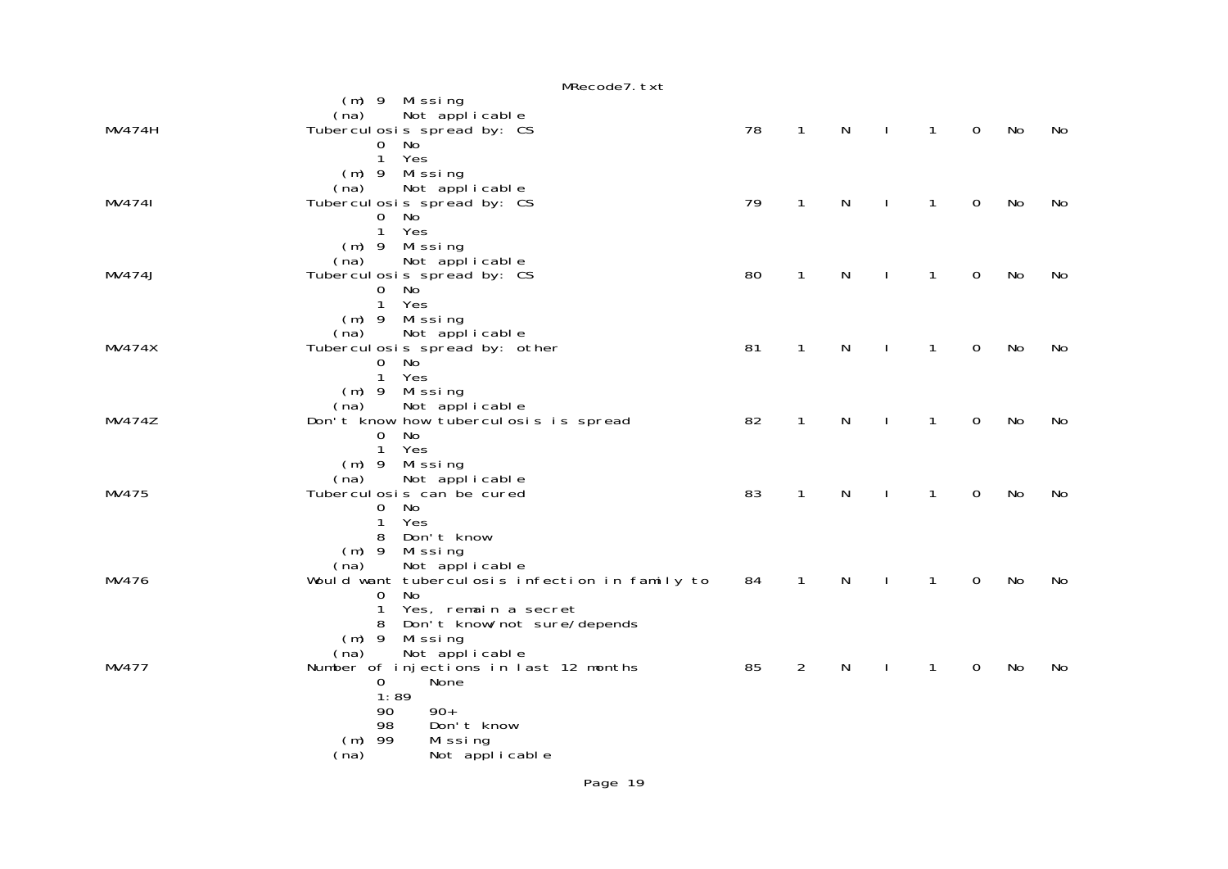|               | MRecode7.txt                                   |    |                |              |                |                |                |    |    |
|---------------|------------------------------------------------|----|----------------|--------------|----------------|----------------|----------------|----|----|
|               | $(m)$ 9 Missing                                |    |                |              |                |                |                |    |    |
|               | Not applicable<br>(na)                         |    |                |              |                |                |                |    |    |
| MV474H        | Tubercul osis spread by: CS                    | 78 | $\mathbf{1}$   | $\mathsf{N}$ | $\blacksquare$ | $\overline{1}$ | $\overline{0}$ | No | No |
|               | 0 No                                           |    |                |              |                |                |                |    |    |
|               | $\mathbf{1}$<br>Yes                            |    |                |              |                |                |                |    |    |
|               | $(m)$ 9 Missing                                |    |                |              |                |                |                |    |    |
|               | Not applicable<br>(na)                         |    |                |              |                |                |                |    |    |
| MV4741        | Tubercul osis spread by: CS                    | 79 | $\mathbf{1}$   | N            | $\perp$        | $\mathbf{1}$   | $\mathbf 0$    | No | No |
|               | $\overline{O}$<br>No                           |    |                |              |                |                |                |    |    |
|               | $\mathbf{1}$<br>Yes                            |    |                |              |                |                |                |    |    |
|               | $(m)$ 9 Missing                                |    |                |              |                |                |                |    |    |
|               | Not applicable<br>(na)                         |    |                |              |                |                |                |    |    |
| <b>MV474J</b> | Tubercul osis spread by: CS<br>0 No            | 80 | $\mathbf{1}$   | N            | $\perp$        | $\mathbf{1}$   | $\overline{0}$ | No | No |
|               | 1 Yes                                          |    |                |              |                |                |                |    |    |
|               | $(m)$ 9 Missing                                |    |                |              |                |                |                |    |    |
|               | Not applicable<br>(na)                         |    |                |              |                |                |                |    |    |
| <b>MV474X</b> | Tubercul osis spread by: other                 | 81 | $\mathbf{1}$   | N            | $\perp$        | $\mathbf{1}$   | $\overline{0}$ | No | No |
|               | 0 No                                           |    |                |              |                |                |                |    |    |
|               | 1 Yes                                          |    |                |              |                |                |                |    |    |
|               | $(m)$ 9 Missing                                |    |                |              |                |                |                |    |    |
|               | Not applicable<br>(na)                         |    |                |              |                |                |                |    |    |
| <b>MV474Z</b> | Don't know how tuberculosis is spread          | 82 | $\mathbf{1}$   | N            |                | $\mathbf{1}$   | $\mathbf 0$    | No | No |
|               | No<br>$\Omega$                                 |    |                |              |                |                |                |    |    |
|               | 1 Yes                                          |    |                |              |                |                |                |    |    |
|               | (m) 9 Missing                                  |    |                |              |                |                |                |    |    |
|               | Not applicable<br>(na)                         |    |                |              |                |                |                |    |    |
| MV475         | Tubercul osis can be cured                     | 83 | $\mathbf{1}$   | N            | $\mathbf{I}$   | $\mathbf{1}$   | $\mathbf 0$    | No | No |
|               | 0 No<br>Yes                                    |    |                |              |                |                |                |    |    |
|               | 1<br>8 Don't know                              |    |                |              |                |                |                |    |    |
|               | $(m)$ 9<br>Missing                             |    |                |              |                |                |                |    |    |
|               | Not applicable<br>(na)                         |    |                |              |                |                |                |    |    |
| MV476         | Would want tuberculosis infection in family to | 84 | $\mathbf{1}$   | N            | $\mathbf{I}$   | $\mathbf{1}$   | $\mathbf 0$    | No | No |
|               | $\overline{O}$<br>No                           |    |                |              |                |                |                |    |    |
|               | Yes, remain a secret<br>$\mathbf{1}$           |    |                |              |                |                |                |    |    |
|               | 8 Don't know/not sure/depends                  |    |                |              |                |                |                |    |    |
|               | $(m)$ 9 Missing                                |    |                |              |                |                |                |    |    |
|               | Not applicable<br>(na)                         |    |                |              |                |                |                |    |    |
| MV477         | Number of injections in last 12 months         | 85 | $\overline{a}$ | ${\sf N}$    | $\mathbf{I}$   | $\mathbf{1}$   | $\mathbf 0$    | No | No |
|               | None<br>$\mathbf{0}$                           |    |                |              |                |                |                |    |    |
|               | 1:89                                           |    |                |              |                |                |                |    |    |
|               | $90+$<br>90                                    |    |                |              |                |                |                |    |    |
|               | 98<br>Don't know                               |    |                |              |                |                |                |    |    |
|               | $(m)$ 99<br>Missing                            |    |                |              |                |                |                |    |    |
|               | Not applicable<br>(na)                         |    |                |              |                |                |                |    |    |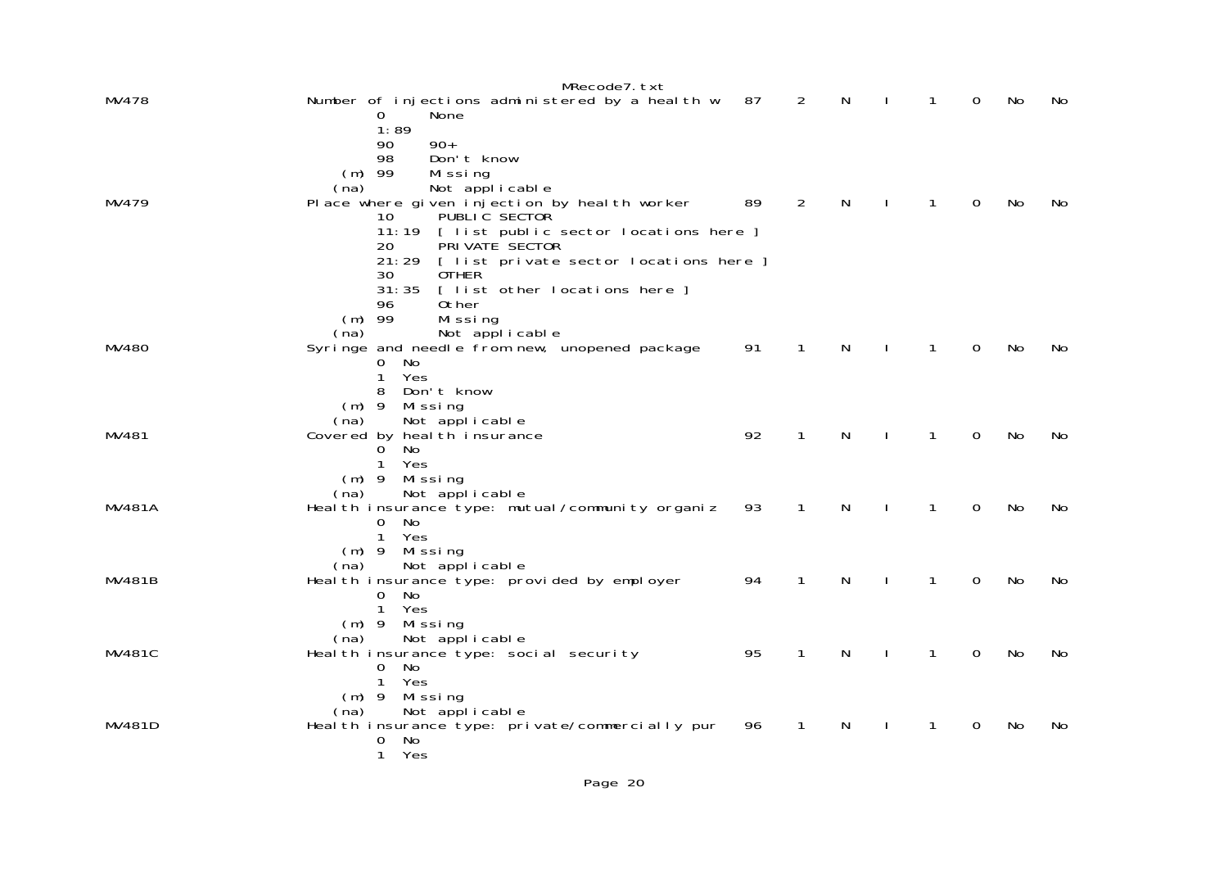|               | MRecode7.txt                                                             |    |              |   |              |                |           |     |
|---------------|--------------------------------------------------------------------------|----|--------------|---|--------------|----------------|-----------|-----|
| MV478         | Number of injections administered by a health w<br>None<br>0             | 87 | 2            | N | 1            | 0              | No        | No  |
|               | 1:89                                                                     |    |              |   |              |                |           |     |
|               | $90+$<br>90                                                              |    |              |   |              |                |           |     |
|               | 98<br>Don't know                                                         |    |              |   |              |                |           |     |
|               | $(m)$ 99<br>Missing<br>Not applicable<br>(na)                            |    |              |   |              |                |           |     |
| MV479         | Place where given injection by heal th worker                            | 89 | 2            | N | $\mathbf{1}$ | $\Omega$       | No        | No. |
|               | PUBLIC SECTOR<br>10                                                      |    |              |   |              |                |           |     |
|               | 11:19 [ list public sector locations here ]                              |    |              |   |              |                |           |     |
|               | PRI VATE SECTOR<br>20<br>[ list private sector locations here ]<br>21:29 |    |              |   |              |                |           |     |
|               | 30<br><b>OTHER</b>                                                       |    |              |   |              |                |           |     |
|               | 31:35<br>[ list other locations here ]                                   |    |              |   |              |                |           |     |
|               | 0ther<br>96                                                              |    |              |   |              |                |           |     |
|               | $(m)$ 99<br>Missing<br>Not applicable<br>(na)                            |    |              |   |              |                |           |     |
| MV480         | Syringe and needle from new, unopened package                            | 91 | 1            | N | $\mathbf{1}$ | $\mathbf 0$    | No        | No. |
|               | 0<br>No                                                                  |    |              |   |              |                |           |     |
|               | Yes<br>1<br>8<br>Don't know                                              |    |              |   |              |                |           |     |
|               | Missing<br>$(m)$ 9                                                       |    |              |   |              |                |           |     |
|               | Not applicable<br>(na)                                                   |    |              |   |              |                |           |     |
| MV481         | Covered by heal th insurance                                             | 92 | $\mathbf{1}$ | N | $\mathbf{1}$ | $\overline{0}$ | <b>No</b> | No  |
|               | No<br>0<br>$\mathbf{1}$<br>Yes                                           |    |              |   |              |                |           |     |
|               | $(m)$ 9<br>Missing                                                       |    |              |   |              |                |           |     |
|               | Not applicable<br>(na)                                                   |    |              |   |              |                |           |     |
| <b>MV481A</b> | Heal th insurance type: mutual/community organiz                         | 93 | $\mathbf{1}$ | N | 1            | $\mathbf 0$    | No        | No  |
|               | No<br>0<br>$\mathbf{1}$<br>Yes                                           |    |              |   |              |                |           |     |
|               | $(m)$ 9<br>Missing                                                       |    |              |   |              |                |           |     |
|               | Not applicable<br>(na)                                                   |    |              |   |              |                |           |     |
| <b>MV481B</b> | Heal th insurance type: provided by employer                             | 94 | $\mathbf{1}$ | N | $\mathbf{1}$ | $\mathbf{0}$   | No        | No  |
|               | $\mathbf{O}$<br>No<br>$\mathbf{1}$<br>Yes                                |    |              |   |              |                |           |     |
|               | $(m)$ 9<br>Missing                                                       |    |              |   |              |                |           |     |
|               | Not applicable<br>(na)                                                   |    |              |   |              |                |           |     |
| <b>MV481C</b> | Heal th insurance type: social security<br>0<br>No                       | 95 | 1            | N | $\mathbf{1}$ | 0              | No        | No. |
|               | $\mathbf{1}$<br>Yes                                                      |    |              |   |              |                |           |     |
|               | $(m)$ 9<br>Missing                                                       |    |              |   |              |                |           |     |
|               | Not applicable<br>(na)                                                   |    |              |   |              |                |           |     |
| MV481D        | Heal th insurance type: private/commercially pur<br><b>No</b><br>0       | 96 | 1            | N | 1            | 0              | No        | No  |
|               | $\mathbf{1}$<br>Yes                                                      |    |              |   |              |                |           |     |
|               |                                                                          |    |              |   |              |                |           |     |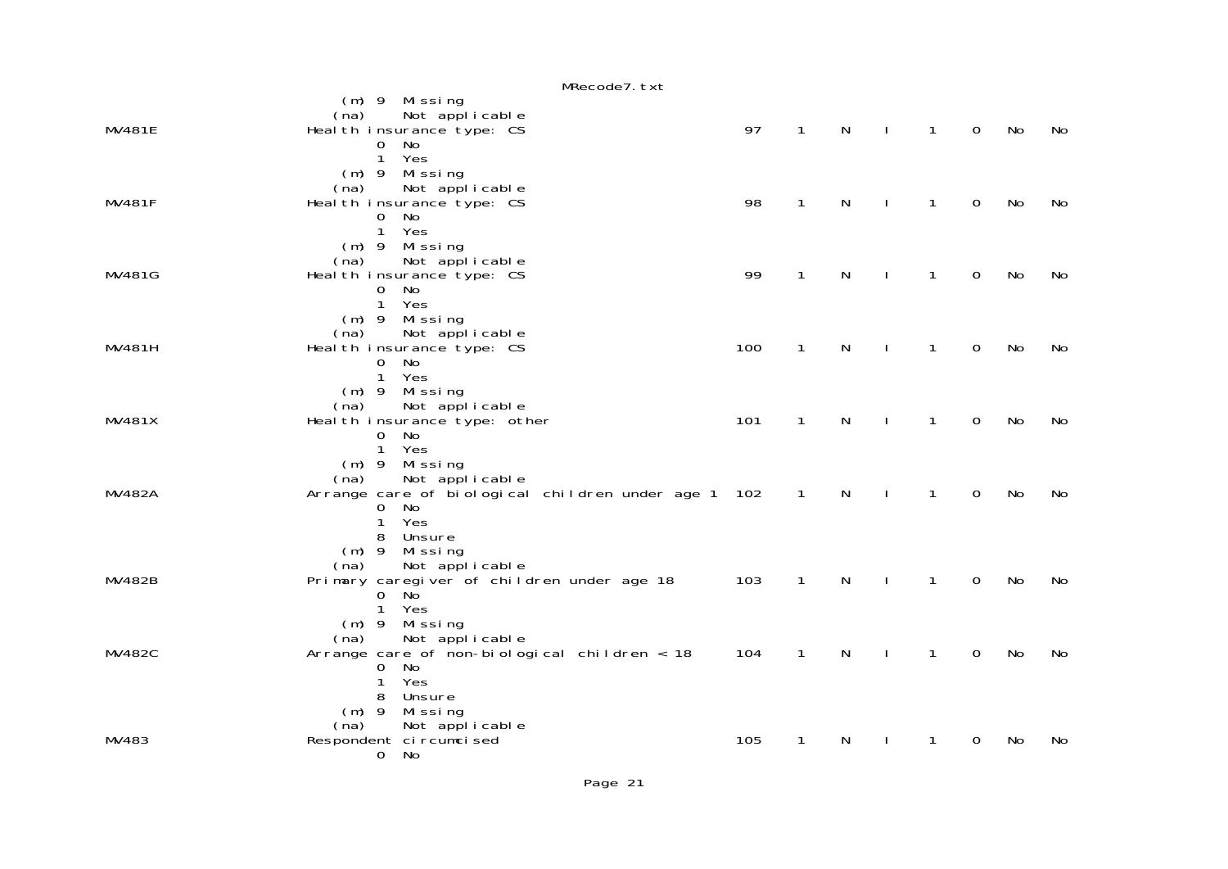|               | MRecode7.txt                                        |     |              |   |              |              |                |    |    |
|---------------|-----------------------------------------------------|-----|--------------|---|--------------|--------------|----------------|----|----|
|               | $(m)$ 9 Missing                                     |     |              |   |              |              |                |    |    |
|               | Not applicable<br>(na)                              |     |              |   |              |              |                |    |    |
| <b>MV481E</b> | Heal th insurance type: CS                          | 97  | $\mathbf 1$  | N | $\mathbf{I}$ | $\mathbf{1}$ | $\mathbf 0$    | No | No |
|               | $\overline{0}$<br>No<br>$\mathbf{1}$<br>Yes         |     |              |   |              |              |                |    |    |
|               | $(m)$ 9 Missing                                     |     |              |   |              |              |                |    |    |
|               | Not applicable<br>(na)                              |     |              |   |              |              |                |    |    |
| <b>MV481F</b> | Heal th insurance type: CS                          | 98  | 1            | N |              | $\mathbf{1}$ | 0              | No | No |
|               | $\overline{O}$<br>No                                |     |              |   |              |              |                |    |    |
|               | Yes<br>$\mathbf{1}$                                 |     |              |   |              |              |                |    |    |
|               | $(m)$ 9 Missing                                     |     |              |   |              |              |                |    |    |
|               | Not applicable<br>(na)                              |     |              |   |              |              |                |    |    |
| MV481G        | Heal th insurance type: CS                          | 99  | $\mathbf 1$  | N | J.           | 1            | 0              | No | No |
|               | $\overline{O}$<br>No                                |     |              |   |              |              |                |    |    |
|               | $\mathbf{1}$<br>Yes                                 |     |              |   |              |              |                |    |    |
|               | (m) 9 Missing<br>Not applicable<br>(na)             |     |              |   |              |              |                |    |    |
| MV481H        | Heal th insurance type: CS                          | 100 | $\mathbf 1$  | N | J.           | 1            | 0              | No | No |
|               | 0 No                                                |     |              |   |              |              |                |    |    |
|               | $\mathbf{1}$<br>Yes                                 |     |              |   |              |              |                |    |    |
|               | (m) 9 Missing                                       |     |              |   |              |              |                |    |    |
|               | Not applicable<br>(na)                              |     |              |   |              |              |                |    |    |
| <b>MV481X</b> | Heal th insurance type: other                       | 101 | $\mathbf 1$  | N | J.           | 1            | 0              | No | No |
|               | 0 No                                                |     |              |   |              |              |                |    |    |
|               | Yes<br>$\mathbf{1}$<br>$(m)$ 9 Missing              |     |              |   |              |              |                |    |    |
|               | Not applicable<br>(na)                              |     |              |   |              |              |                |    |    |
| <b>MV482A</b> | Arrange care of biological children under age 1 102 |     | $\mathbf{1}$ | N |              | $\mathbf{1}$ | $\overline{0}$ | No | No |
|               | 0 No                                                |     |              |   |              |              |                |    |    |
|               | Yes<br>$\mathbf{1}$                                 |     |              |   |              |              |                |    |    |
|               | 8 Unsure                                            |     |              |   |              |              |                |    |    |
|               | (m) 9 Missing                                       |     |              |   |              |              |                |    |    |
|               | Not applicable<br>(na)                              |     |              |   |              |              |                |    |    |
| <b>MV482B</b> | Primary caregiver of children under age 18          | 103 | $\mathbf{1}$ | N |              | 1            | $\mathbf 0$    | No | No |
|               | $0$ No<br>Yes                                       |     |              |   |              |              |                |    |    |
|               | $\mathbf{1}$<br>$(m)$ 9 Missing                     |     |              |   |              |              |                |    |    |
|               | Not applicable<br>(na)                              |     |              |   |              |              |                |    |    |
| <b>MV482C</b> | Arrange care of non-bi ol ogi cal children $<$ 18   | 104 | $\mathbf{1}$ | N |              | 1            | 0              | No | No |
|               | 0 No                                                |     |              |   |              |              |                |    |    |
|               | Yes<br>$\mathbf{1}$                                 |     |              |   |              |              |                |    |    |
|               | 8 Unsure                                            |     |              |   |              |              |                |    |    |
|               | (m) 9 Missing                                       |     |              |   |              |              |                |    |    |
|               | Not applicable<br>(na)                              |     |              |   |              |              |                |    |    |
| MV483         | Respondent ci rcumci sed<br>0 No                    | 105 | 1            | N |              | 1            | 0              | No | No |
|               |                                                     |     |              |   |              |              |                |    |    |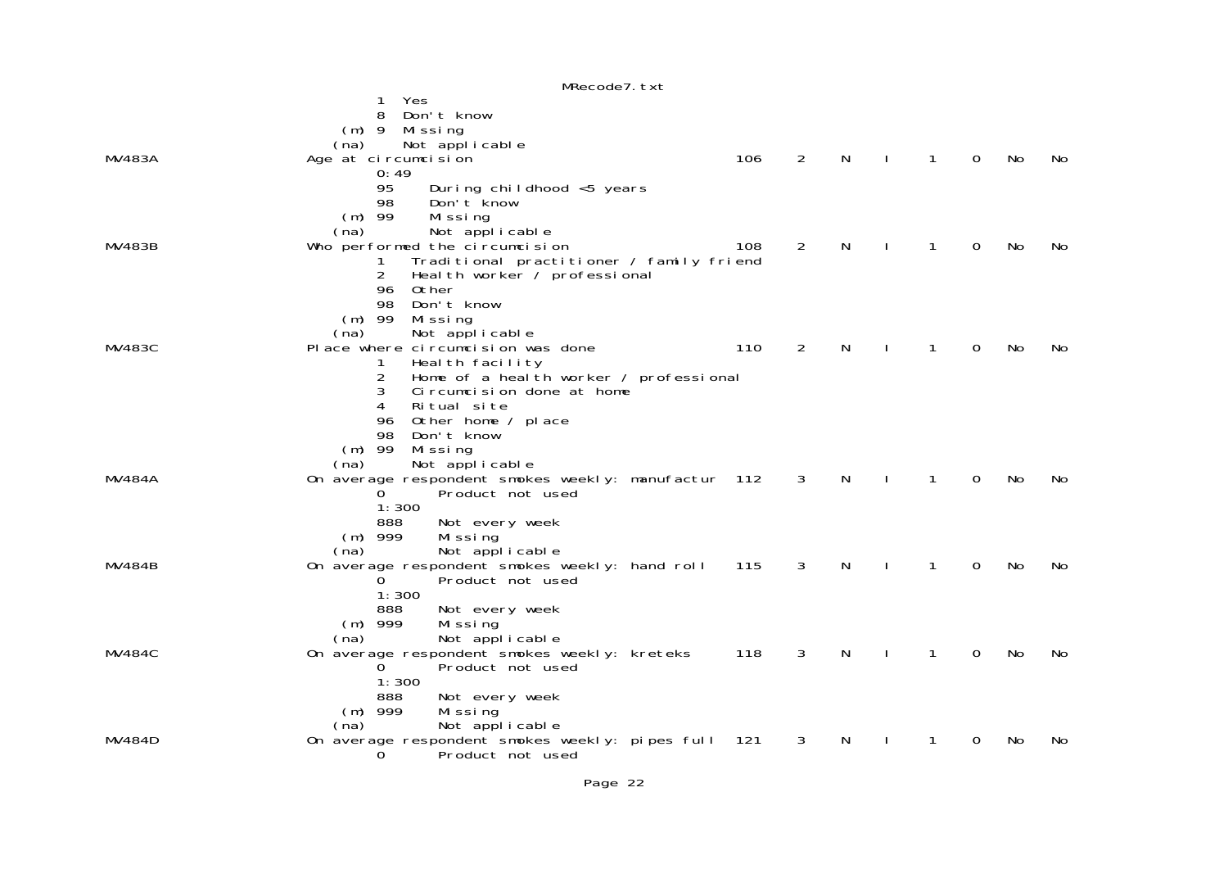|               | MRecode7. txt                                                           |     |                |   |   |             |    |     |
|---------------|-------------------------------------------------------------------------|-----|----------------|---|---|-------------|----|-----|
|               | Yes<br>1                                                                |     |                |   |   |             |    |     |
|               | Don't know<br>8<br>$(m)$ 9                                              |     |                |   |   |             |    |     |
|               | Mi ssi ng<br>Not applicable<br>(na)                                     |     |                |   |   |             |    |     |
| MV483A        | Age at circumcision                                                     | 106 | $\overline{2}$ | N | 1 | $\mathbf 0$ | No | No  |
|               | 0:49                                                                    |     |                |   |   |             |    |     |
|               | 95<br>During childhood <5 years                                         |     |                |   |   |             |    |     |
|               | 98<br>Don't know<br>$(m)$ 99<br>Missing                                 |     |                |   |   |             |    |     |
|               | (na)<br>Not applicable                                                  |     |                |   |   |             |    |     |
| MV483B        | Who performed the circumcision                                          | 108 | $\overline{2}$ | N | 1 | 0           | No | No  |
|               | Traditional practitioner / family friend<br>Ŧ                           |     |                |   |   |             |    |     |
|               | $\overline{2}$<br>Heal th worker / professional<br>Other<br>96          |     |                |   |   |             |    |     |
|               | 98<br>Don't know                                                        |     |                |   |   |             |    |     |
|               | $(m)$ 99<br>Mi ssi ng                                                   |     |                |   |   |             |    |     |
|               | (na)<br>Not applicable                                                  |     |                |   |   |             |    |     |
| MV483C        | Pl ace where circumcision was done<br>Heal th facility<br>1             | 110 | 2              | N | 1 | 0           | No | No. |
|               | 2<br>Home of a heal th worker / professional                            |     |                |   |   |             |    |     |
|               | 3<br>Circumcision done at home                                          |     |                |   |   |             |    |     |
|               | Ritual site<br>4                                                        |     |                |   |   |             |    |     |
|               | Other home / place<br>96<br>98<br>Don't know                            |     |                |   |   |             |    |     |
|               | $(m)$ 99<br>Missing                                                     |     |                |   |   |             |    |     |
|               | Not applicable<br>(na)                                                  |     |                |   |   |             |    |     |
| <b>MV484A</b> | On average respondent smokes weekly: manufactur 112                     |     | 3              | N | 1 | 0           | No | No. |
|               | 0<br>Product not used<br>1:300                                          |     |                |   |   |             |    |     |
|               | 888<br>Not every week                                                   |     |                |   |   |             |    |     |
|               | $(m)$ 999<br>Missing                                                    |     |                |   |   |             |    |     |
|               | Not applicable<br>(na)                                                  |     |                | N |   |             |    |     |
| MV484B        | On average respondent smokes weekly: hand roll<br>Product not used<br>O | 115 | 3              |   |   | 0           | No | No. |
|               | 1:300                                                                   |     |                |   |   |             |    |     |
|               | 888<br>Not every week                                                   |     |                |   |   |             |    |     |
|               | $(m)$ 999<br>Mi ssi ng                                                  |     |                |   |   |             |    |     |
| <b>MV484C</b> | Not applicable<br>(na)<br>On average respondent smokes weekly: kreteks  | 118 | 3              | N |   | 0           | No | No. |
|               | Ō<br>Product not used                                                   |     |                |   |   |             |    |     |
|               | 1:300                                                                   |     |                |   |   |             |    |     |
|               | 888<br>Not every week<br>$(m)$ 999                                      |     |                |   |   |             |    |     |
|               | Mi ssi ng<br>Not applicable<br>(na)                                     |     |                |   |   |             |    |     |
| MV484D        | On average respondent smokes weekly: pipes full 121                     |     | 3              | N |   | 0           | No | No  |
|               | Product not used<br>O                                                   |     |                |   |   |             |    |     |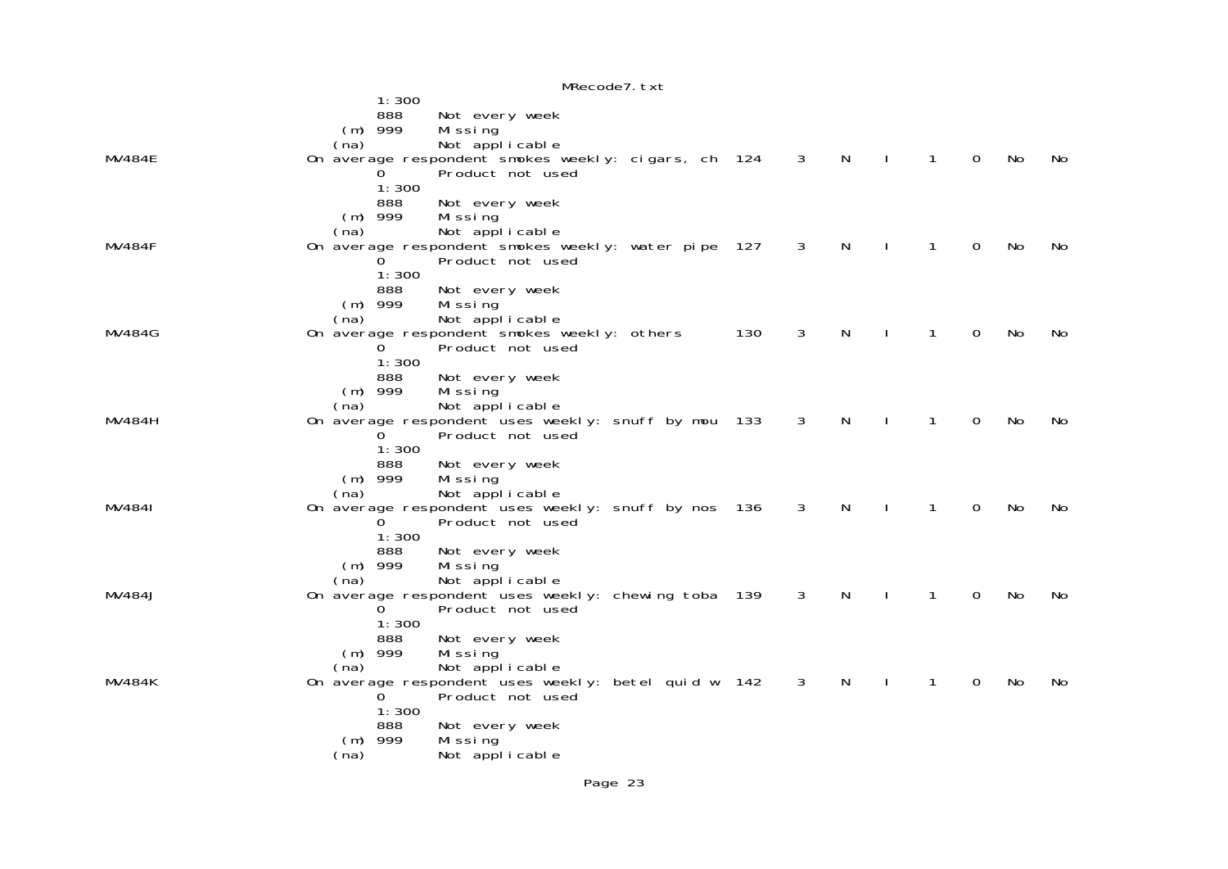|               |                                                             | MRecode7. txt                                                                                                                                       |     |              |   |              |              |          |    |     |
|---------------|-------------------------------------------------------------|-----------------------------------------------------------------------------------------------------------------------------------------------------|-----|--------------|---|--------------|--------------|----------|----|-----|
|               | 1:300<br>888                                                | Not every week                                                                                                                                      |     |              |   |              |              |          |    |     |
| <b>MV484E</b> | $(m)$ 999<br>(na)<br>$\Omega$<br>1:300                      | Missing<br>Not applicable<br>On average respondent smokes weekly: cigars, ch 124<br>Product not used                                                |     | 3            | N |              | 1            | 0        | No | No  |
| <b>MV484F</b> | 888<br>$(m)$ 999<br>(na)<br>0<br>1:300                      | Not every week<br>Mi ssi ng<br>Not applicable<br>On average respondent smokes weekly: water pipe 127<br>Product not used                            |     | 3            | N |              | 1            | 0        | No | No  |
| <b>MV484G</b> | 888<br>$(m)$ 999<br>(na)<br>1:300                           | Not every week<br>Missing<br>Not applicable<br>On average respondent smokes weekly: others<br>Product not used                                      | 130 | 3            | N |              | 1            | 0        | No | No. |
| MV484H        | 888<br>$(m)$ 999<br>(na)<br>0<br>1:300                      | Not every week<br>Mi ssi ng<br>Not applicable<br>On average respondent uses weekly: snuff by mou<br>Product not used                                | 133 | 3            | N |              | 1            | $\Omega$ | No | No. |
| MV4841        | 888<br>$(m)$ 999<br>(na)<br>0<br>1:300                      | Not every week<br>Missing<br>Not applicable<br>On average respondent uses weekly: snuff by nos 136<br>Product not used                              |     | 3            | N |              | 1            | 0        | No | No  |
| <b>MV484J</b> | 888<br>$(m)$ 999<br>(na)<br>0<br>1:300                      | Not every week<br>Missing<br>Not applicable<br>On average respondent uses weekly: chewing toba 139<br>Product not used                              |     | $\mathbf{3}$ | N | $\mathbf{I}$ | $\mathbf{1}$ | 0        | No | No  |
| MV484K        | 888<br>$(m)$ 999<br>(na)<br>0.<br>1:300<br>888<br>$(m)$ 999 | Not every week<br>Missing<br>Not applicable<br>On average respondent uses weekly: betel quid w 142<br>Product not used<br>Not every week<br>Missing |     | 3            | N |              | 1            | 0        | No | No. |
|               | (na)                                                        | Not applicable                                                                                                                                      |     |              |   |              |              |          |    |     |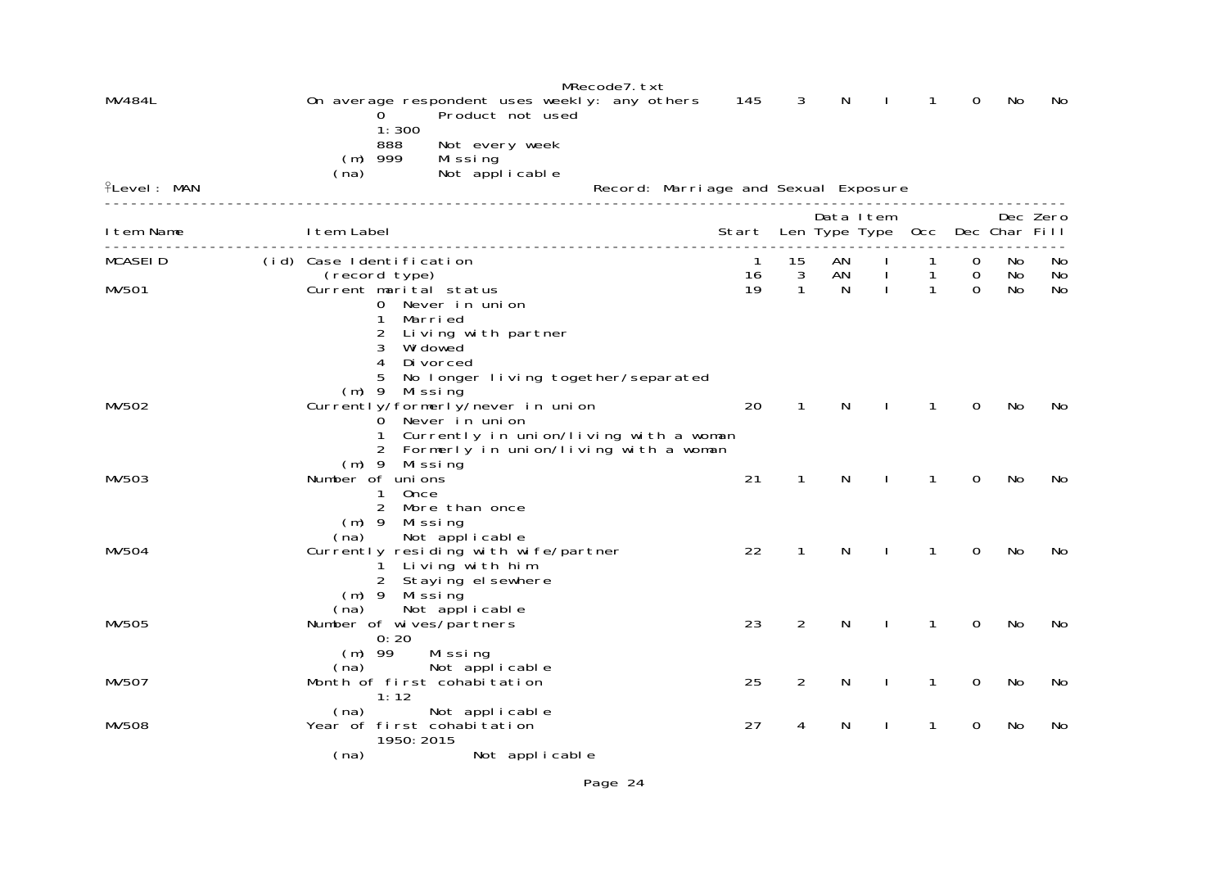|                    |                          |                                        |                                                                                     | MRecode7.txt                          |              |                   |         |                                |                   |                               |               |          |
|--------------------|--------------------------|----------------------------------------|-------------------------------------------------------------------------------------|---------------------------------------|--------------|-------------------|---------|--------------------------------|-------------------|-------------------------------|---------------|----------|
| MV484L             |                          |                                        | On average respondent uses weekly: any others<br>Product not used                   |                                       | 145          | 3                 | N       |                                | 1                 | 0                             | No            | No       |
|                    |                          | 1:300<br>888                           | Not every week                                                                      |                                       |              |                   |         |                                |                   |                               |               |          |
|                    |                          | $(m)$ 999                              | Missing                                                                             |                                       |              |                   |         |                                |                   |                               |               |          |
| <b>ILevel: MAN</b> | (na)                     |                                        | Not applicable                                                                      | Record: Marri age and Sexual Exposure |              |                   |         |                                |                   |                               |               |          |
|                    |                          |                                        |                                                                                     |                                       |              |                   |         |                                |                   |                               |               |          |
| I tem Name         | I tem Label              |                                        |                                                                                     |                                       | Start        |                   |         | Data Item<br>Len Type Type Occ |                   |                               | Dec Char Fill | Dec Zero |
|                    |                          |                                        |                                                                                     |                                       |              |                   |         |                                |                   |                               |               |          |
| <b>MCASEID</b>     | (id) Case Identification |                                        |                                                                                     |                                       | $\mathbf{1}$ | 15                | AN      |                                | $\mathbf{1}$      | 0                             | No            | No       |
| MV501              |                          | (record type)                          | Current marital status                                                              |                                       | 16<br>19     | 3<br>$\mathbf{1}$ | AN<br>N | $\mathbf{I}$<br>$\mathbf{I}$   | 1<br>$\mathbf{1}$ | $\mathbf 0$<br>$\overline{0}$ | No<br>No      | No<br>No |
|                    |                          |                                        | 0 Never in union                                                                    |                                       |              |                   |         |                                |                   |                               |               |          |
|                    |                          | 1                                      | Marri ed                                                                            |                                       |              |                   |         |                                |                   |                               |               |          |
|                    |                          | 2<br>3                                 | Living with partner<br>Wi dowed                                                     |                                       |              |                   |         |                                |                   |                               |               |          |
|                    |                          | 4                                      | Di vorced                                                                           |                                       |              |                   |         |                                |                   |                               |               |          |
|                    |                          | 5<br>$(m)$ 9 Missing                   | No longer living together/separated                                                 |                                       |              |                   |         |                                |                   |                               |               |          |
| MV502              |                          |                                        | Currently/formerly/never in union                                                   |                                       | 20           | $\mathbf{1}$      | N       |                                | $\mathbf{1}$      | $\Omega$                      | No            | No.      |
|                    |                          |                                        | O Never in union                                                                    |                                       |              |                   |         |                                |                   |                               |               |          |
|                    |                          |                                        | 1 Currently in union/living with a woman<br>2 Formerly in union/living with a woman |                                       |              |                   |         |                                |                   |                               |               |          |
|                    |                          | $(m)$ 9 Missing                        |                                                                                     |                                       |              |                   |         |                                |                   |                               |               |          |
| MV503              | Number of unions         |                                        |                                                                                     |                                       | 21           | 1                 | N       |                                | 1                 | 0                             | No            | No       |
|                    |                          | Once<br>$\mathbf{1}$<br>$\overline{2}$ | More than once                                                                      |                                       |              |                   |         |                                |                   |                               |               |          |
|                    |                          | $(m)$ 9 Missing                        |                                                                                     |                                       |              |                   |         |                                |                   |                               |               |          |
|                    | (na)                     |                                        | Not applicable                                                                      |                                       |              |                   |         |                                |                   |                               |               |          |
| MV504              |                          |                                        | Currently residing with wife/partner<br>Living with him                             |                                       | 22           | $\mathbf{1}$      | N       |                                | 1                 | 0                             | No            | No       |
|                    |                          |                                        | 2 Staying el sewhere                                                                |                                       |              |                   |         |                                |                   |                               |               |          |
|                    |                          | $(m)$ 9 Missing                        |                                                                                     |                                       |              |                   |         |                                |                   |                               |               |          |
| <b>MV505</b>       | (na)                     |                                        | Not applicable<br>Number of wives/partners                                          |                                       | 23           | $\overline{2}$    | N       |                                | 1                 | 0                             | No            | No       |
|                    |                          | 0:20                                   |                                                                                     |                                       |              |                   |         |                                |                   |                               |               |          |
|                    | $(m)$ 99                 |                                        | Missing                                                                             |                                       |              |                   |         |                                |                   |                               |               |          |
| MV507              | (na)                     |                                        | Not applicable<br>Month of first cohabitation                                       |                                       | 25           | $\overline{2}$    | N       |                                | 1                 | 0                             | No            | No       |
|                    |                          | 1:12                                   |                                                                                     |                                       |              |                   |         |                                |                   |                               |               |          |
|                    | (na)                     |                                        | Not applicable                                                                      |                                       |              |                   |         |                                |                   |                               |               |          |
| <b>MV508</b>       |                          | 1950: 2015                             | Year of first cohabitation                                                          |                                       | 27           | 4                 | N       |                                | 1                 | $\Omega$                      | No            | No.      |
|                    | (na)                     |                                        | Not applicable                                                                      |                                       |              |                   |         |                                |                   |                               |               |          |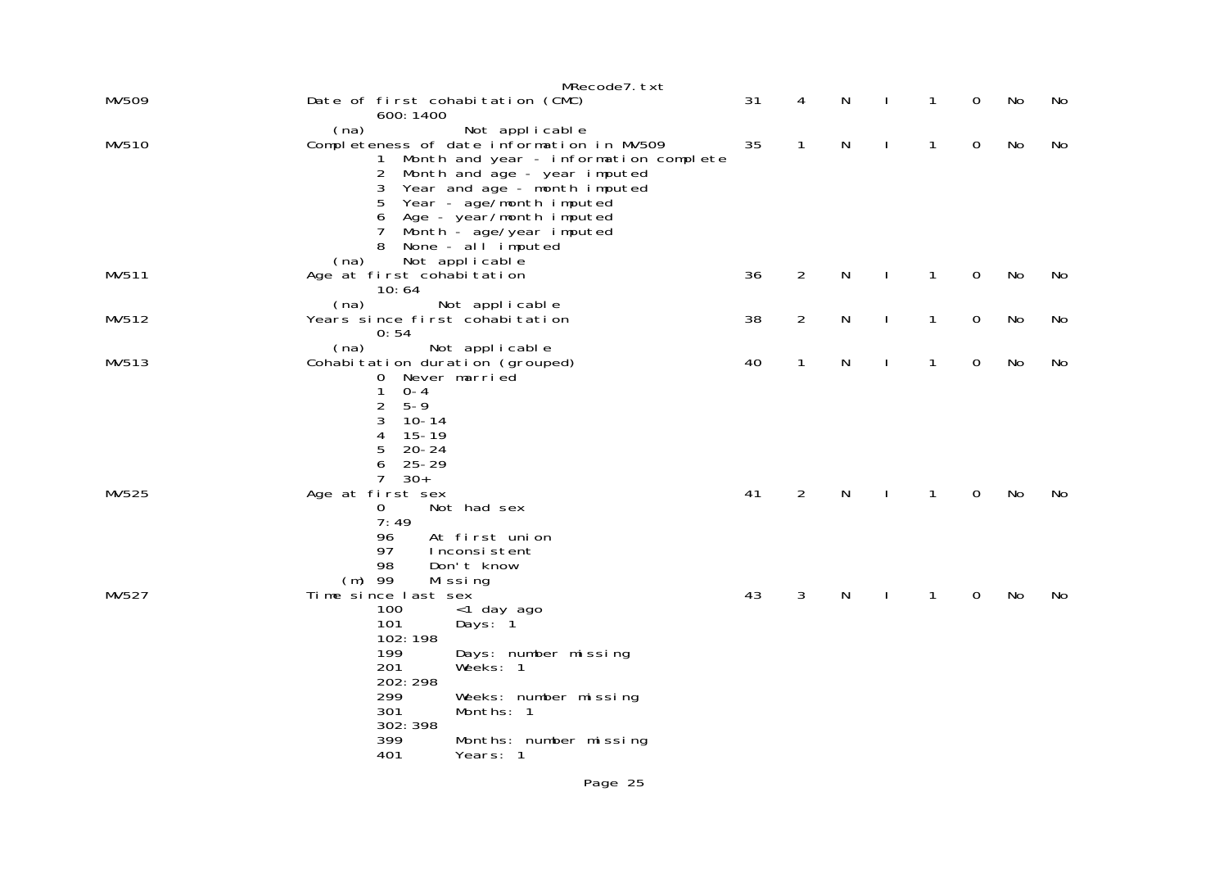| 1            | 0           | No        | No |
|--------------|-------------|-----------|----|
| $\mathbf{1}$ | $\mathbf 0$ | No        | No |
| $\mathbf{1}$ | $\mathbf 0$ | <b>No</b> | No |
| $\mathbf{1}$ | $\mathbf 0$ | No        | No |
| $\mathbf{1}$ | $\mathbf 0$ | No        | No |
| $\mathbf{1}$ | 0           | No        | No |
| 1            | 0           | No        | No |
|              |             |           |    |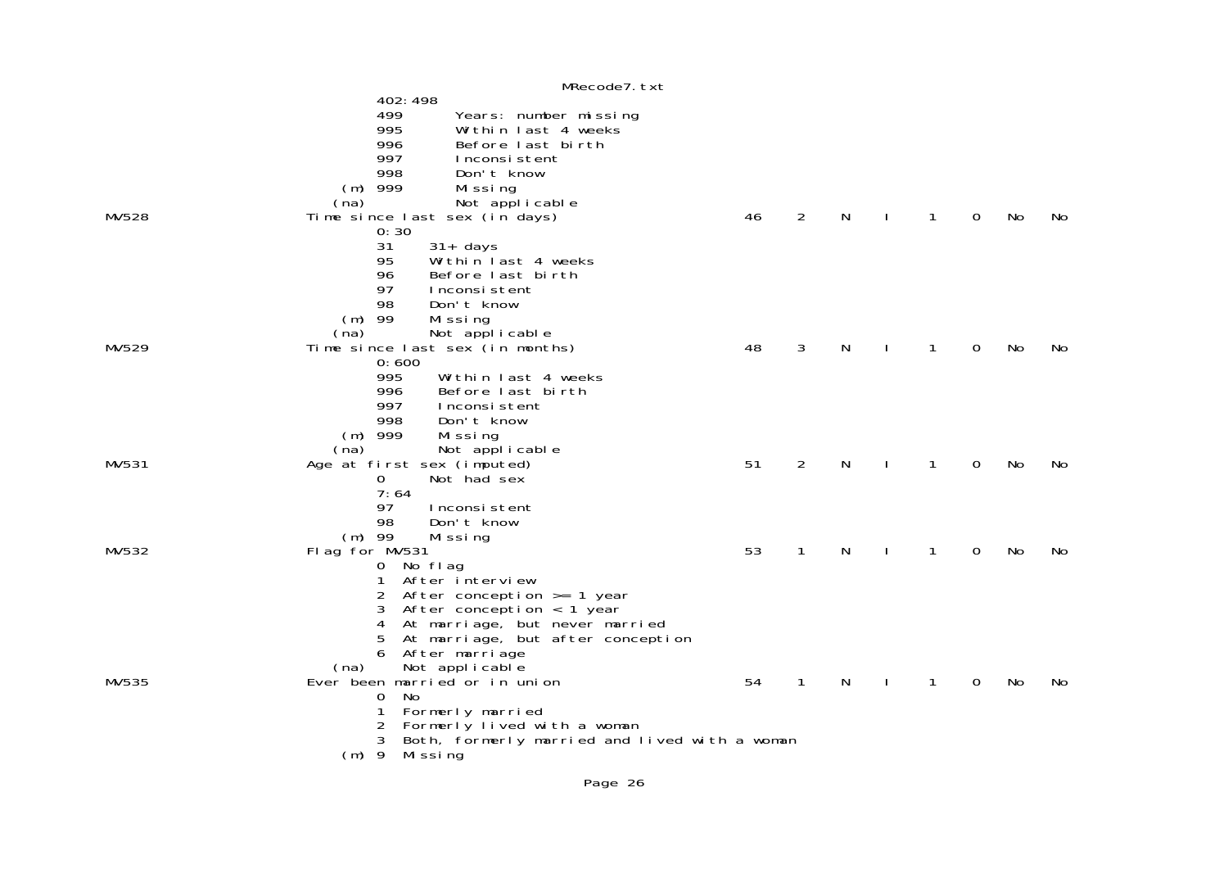|       | MRecode7. txt                                      |    |                |   |              |              |   |           |    |
|-------|----------------------------------------------------|----|----------------|---|--------------|--------------|---|-----------|----|
|       | 402: 498                                           |    |                |   |              |              |   |           |    |
|       | 499<br>Years: number missing                       |    |                |   |              |              |   |           |    |
|       | 995<br>Within last 4 weeks                         |    |                |   |              |              |   |           |    |
|       | 996<br>Before last birth                           |    |                |   |              |              |   |           |    |
|       | 997<br>Inconsistent                                |    |                |   |              |              |   |           |    |
|       | 998<br>Don't know                                  |    |                |   |              |              |   |           |    |
|       | $(m)$ 999<br>Mi ssi ng                             |    |                |   |              |              |   |           |    |
|       | Not applicable<br>(na)                             |    |                |   |              |              |   |           |    |
| MV528 | Time since last sex (in days)                      | 46 | $\overline{2}$ | N |              | $\mathbf{1}$ | 0 | No        | No |
|       | 0:30                                               |    |                |   |              |              |   |           |    |
|       | 31<br>$31+$ days                                   |    |                |   |              |              |   |           |    |
|       | 95<br>Within last 4 weeks                          |    |                |   |              |              |   |           |    |
|       | 96<br>Before last birth                            |    |                |   |              |              |   |           |    |
|       | 97<br>Inconsistent                                 |    |                |   |              |              |   |           |    |
|       | 98<br>Don't know                                   |    |                |   |              |              |   |           |    |
|       | $(m)$ 99<br>Missing                                |    |                |   |              |              |   |           |    |
|       | Not applicable<br>(na)                             |    |                |   |              |              |   |           |    |
| MV529 | Time since last sex (in months)                    | 48 | 3              | N | $\mathbf{I}$ | 1            | 0 | <b>No</b> | No |
|       | 0:600                                              |    |                |   |              |              |   |           |    |
|       | 995<br>Within last 4 weeks                         |    |                |   |              |              |   |           |    |
|       | 996<br>Before last birth                           |    |                |   |              |              |   |           |    |
|       | 997<br>Inconsistent                                |    |                |   |              |              |   |           |    |
|       | 998<br>Don't know                                  |    |                |   |              |              |   |           |    |
|       | $(m)$ 999<br>Missing                               |    |                |   |              |              |   |           |    |
|       | Not applicable<br>(na)                             |    |                |   |              |              |   |           |    |
| MV531 | Age at first sex (imputed)                         | 51 | $\overline{2}$ | N |              | $\mathbf{1}$ | 0 | No        | No |
|       | Not had sex<br>0                                   |    |                |   |              |              |   |           |    |
|       | 7:64                                               |    |                |   |              |              |   |           |    |
|       | 97<br>Inconsistent                                 |    |                |   |              |              |   |           |    |
|       | 98<br>Don't know                                   |    |                |   |              |              |   |           |    |
|       | $(m)$ 99<br>Missing                                |    |                |   |              |              |   |           |    |
| MV532 | Flag for MV531                                     | 53 | 1              | N |              | 1            | 0 | No        | No |
|       | 0 No flag                                          |    |                |   |              |              |   |           |    |
|       | After interview<br>1                               |    |                |   |              |              |   |           |    |
|       | 2                                                  |    |                |   |              |              |   |           |    |
|       | After conception $>= 1$ year<br>3                  |    |                |   |              |              |   |           |    |
|       | After conception $\langle$ 1 year                  |    |                |   |              |              |   |           |    |
|       | At marriage, but never married<br>4                |    |                |   |              |              |   |           |    |
|       | 5<br>At marriage, but after conception<br>6        |    |                |   |              |              |   |           |    |
|       | After marriage                                     |    |                |   |              |              |   |           |    |
|       | Not applicable<br>(na)                             |    |                |   |              |              |   |           |    |
| MV535 | Ever been married or in union                      | 54 | $\mathbf{1}$   | N |              | 1            | 0 | No        | No |
|       | No<br>0                                            |    |                |   |              |              |   |           |    |
|       | 1<br>Formerly married                              |    |                |   |              |              |   |           |    |
|       | Formerly lived with a woman                        |    |                |   |              |              |   |           |    |
|       | 3<br>Both, formerly married and lived with a woman |    |                |   |              |              |   |           |    |
|       | $(m)$ 9<br>Missing                                 |    |                |   |              |              |   |           |    |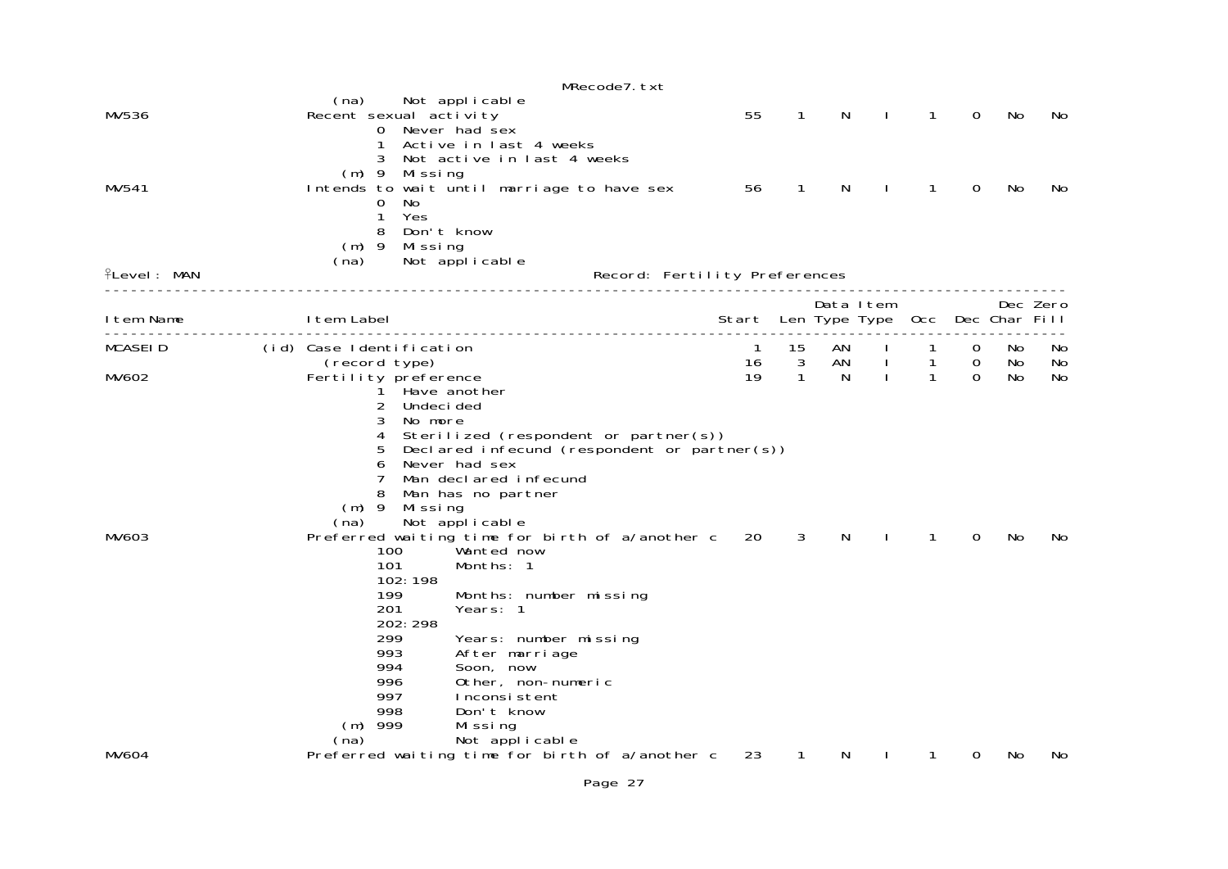|                    | MRecode7. txt                                                                                                                                                                                                                                                                                                                                                               |                               |                   |         |                              |                   |                  |               |          |
|--------------------|-----------------------------------------------------------------------------------------------------------------------------------------------------------------------------------------------------------------------------------------------------------------------------------------------------------------------------------------------------------------------------|-------------------------------|-------------------|---------|------------------------------|-------------------|------------------|---------------|----------|
| MV536              | Not applicable<br>(na)<br>Recent sexual activity<br>Never had sex<br>0<br>Active in last 4 weeks                                                                                                                                                                                                                                                                            | 55                            | $\mathbf{1}$      | N       | $\mathbf{I}$                 | $\mathbf{1}$      | 0                | No            | No.      |
| MV541              | Not active in last 4 weeks<br>$(m)$ 9<br>Mi ssi ng<br>Intends to wait until marriage to have sex<br>0<br>No.<br>Yes<br>1<br>8<br>Don't know<br>$(m)$ 9<br>Mi ssi ng                                                                                                                                                                                                         | 56                            | 1                 | N       | J.                           | 1                 | 0                | No            | No.      |
| <b>ILevel: MAN</b> | Not applicable<br>(na)                                                                                                                                                                                                                                                                                                                                                      | Record: Fertility Preferences |                   |         |                              |                   |                  |               |          |
| Item Name          | I tem Label                                                                                                                                                                                                                                                                                                                                                                 | Start Len Type Type           |                   |         | Data Item                    | 0cc               |                  | Dec Char Fill | Dec Zero |
| <b>MCASEID</b>     | (id) Case Identification                                                                                                                                                                                                                                                                                                                                                    | 1                             | 15                | AN      |                              | 1                 | $\Omega$         | No.           | No.      |
| MV602              | (record type)<br>Fertility preference<br>Have another<br>2<br>Undeci ded<br>3<br>No more<br>Sterilized (respondent or partner(s))<br>4<br>5<br>Declared infecund (respondent or partner $(s)$ )<br>Never had sex<br>6<br>Man declared infecund<br>8<br>Man has no partner<br>$(m)$ 9<br>Missing<br>Not applicable<br>(na)                                                   | 16<br>19                      | 3<br>$\mathbf{1}$ | AN<br>N | $\mathbf{I}$<br>$\mathbf{I}$ | 1<br>$\mathbf{1}$ | $\mathbf 0$<br>0 | No<br>No      | No<br>No |
| MV603              | Preferred waiting time for birth of a/another c<br>100<br>Wanted now<br>101<br>Months: 1<br>102:198<br>199<br>Months: number missing<br>201<br>Years: 1<br>202: 298<br>299<br>Years: number missing<br>993<br>After marriage<br>994<br>Soon, now<br>996<br>Other, non-numeric<br>997<br>Inconsistent<br>998<br>Don't know<br>$(m)$ 999<br>Missing<br>Not applicable<br>(na) | 20                            | 3                 | N       |                              | 1                 | 0                | No            | No.      |
| <b>MV604</b>       | Preferred waiting time for birth of a/another c                                                                                                                                                                                                                                                                                                                             | 23                            | $\mathbf{1}$      | N       |                              |                   | 0                | No            | No.      |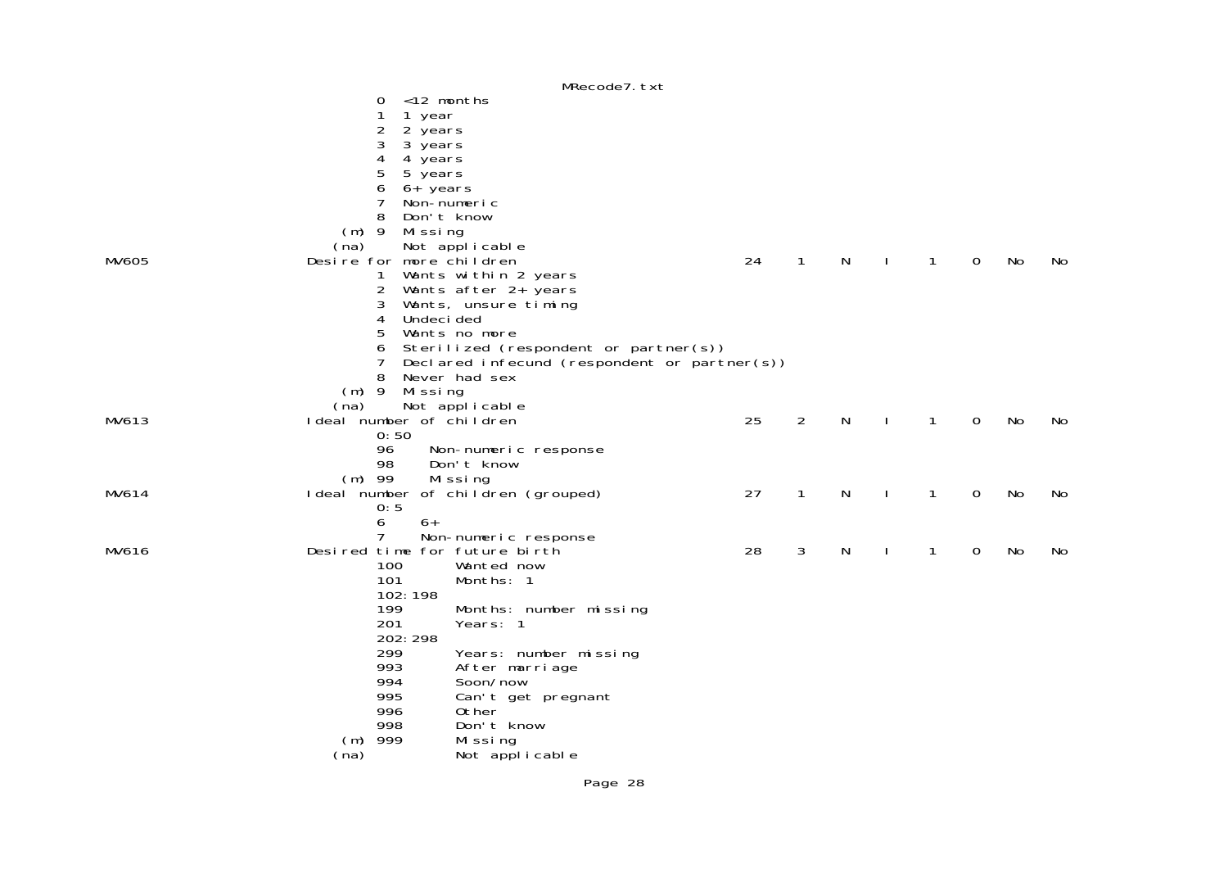|              |                               | MRecode7.txt                                 |    |                |   |              |   |    |     |
|--------------|-------------------------------|----------------------------------------------|----|----------------|---|--------------|---|----|-----|
|              | 0                             | $<$ 12 months                                |    |                |   |              |   |    |     |
|              | 1<br>1 year                   |                                              |    |                |   |              |   |    |     |
|              | 2<br>2 years                  |                                              |    |                |   |              |   |    |     |
|              | $\sqrt{3}$<br>3 years         |                                              |    |                |   |              |   |    |     |
|              | 4<br>4 years                  |                                              |    |                |   |              |   |    |     |
|              | 5<br>5 years                  |                                              |    |                |   |              |   |    |     |
|              | 6<br>6+ years                 |                                              |    |                |   |              |   |    |     |
|              | 7                             | Non-numeric                                  |    |                |   |              |   |    |     |
|              | 8                             | Don't know                                   |    |                |   |              |   |    |     |
|              | $(m)$ 9<br>Missing            |                                              |    |                |   |              |   |    |     |
|              | (na)                          | Not applicable                               |    |                |   |              |   |    |     |
| <b>MV605</b> | Desire for more children      |                                              | 24 | $\mathbf{1}$   | N | 1            | 0 | No | No. |
|              | 1                             | Wants within 2 years                         |    |                |   |              |   |    |     |
|              | 2                             | Wants after 2+ years                         |    |                |   |              |   |    |     |
|              | 3                             | Wants, unsure timing                         |    |                |   |              |   |    |     |
|              | Undeci ded<br>4               |                                              |    |                |   |              |   |    |     |
|              | 5                             | Wants no more                                |    |                |   |              |   |    |     |
|              | 6                             | Sterilized (respondent or partner(s))        |    |                |   |              |   |    |     |
|              | 7                             | Declared infecund (respondent or partner(s)) |    |                |   |              |   |    |     |
|              | 8                             | Never had sex                                |    |                |   |              |   |    |     |
|              | $(m)$ 9<br>Missing            |                                              |    |                |   |              |   |    |     |
|              | (na)                          | Not applicable                               |    |                |   |              |   |    |     |
| MV613        | I deal number of children     |                                              | 25 | $\overline{2}$ | N | $\mathbf{1}$ | 0 | No | No  |
|              | 0:50                          |                                              |    |                |   |              |   |    |     |
|              | 96                            | Non-numeric response                         |    |                |   |              |   |    |     |
|              | 98                            | Don't know                                   |    |                |   |              |   |    |     |
|              | $(m)$ 99                      | Mi ssi ng                                    |    |                |   |              |   |    |     |
| MV614        | Ideal number                  | of children (grouped)                        | 27 | $\mathbf{1}$   | N | $\mathbf{1}$ | 0 | No | No  |
|              | 0:5                           |                                              |    |                |   |              |   |    |     |
|              | 6<br>$6+$                     |                                              |    |                |   |              |   |    |     |
|              | 7                             | Non-numeric response                         |    |                |   |              |   |    |     |
| MV616        | Desired time for future birth |                                              | 28 | 3              | N | 1            | 0 | No | No  |
|              | 100                           | Wanted now                                   |    |                |   |              |   |    |     |
|              | 101                           | Months: 1                                    |    |                |   |              |   |    |     |
|              | 102:198                       |                                              |    |                |   |              |   |    |     |
|              | 199                           | Months: number missing                       |    |                |   |              |   |    |     |
|              | 201                           | Years: 1                                     |    |                |   |              |   |    |     |
|              | 202: 298                      |                                              |    |                |   |              |   |    |     |
|              | 299                           | Years: number missing                        |    |                |   |              |   |    |     |
|              | 993                           | After marriage                               |    |                |   |              |   |    |     |
|              | 994                           | Soon/now                                     |    |                |   |              |   |    |     |
|              | 995                           | Can't get pregnant                           |    |                |   |              |   |    |     |
|              | 996                           | 0ther                                        |    |                |   |              |   |    |     |
|              | 998                           | Don't know                                   |    |                |   |              |   |    |     |
|              | 999<br>(m)                    | Mi ssi ng                                    |    |                |   |              |   |    |     |
|              | (na)                          | Not applicable                               |    |                |   |              |   |    |     |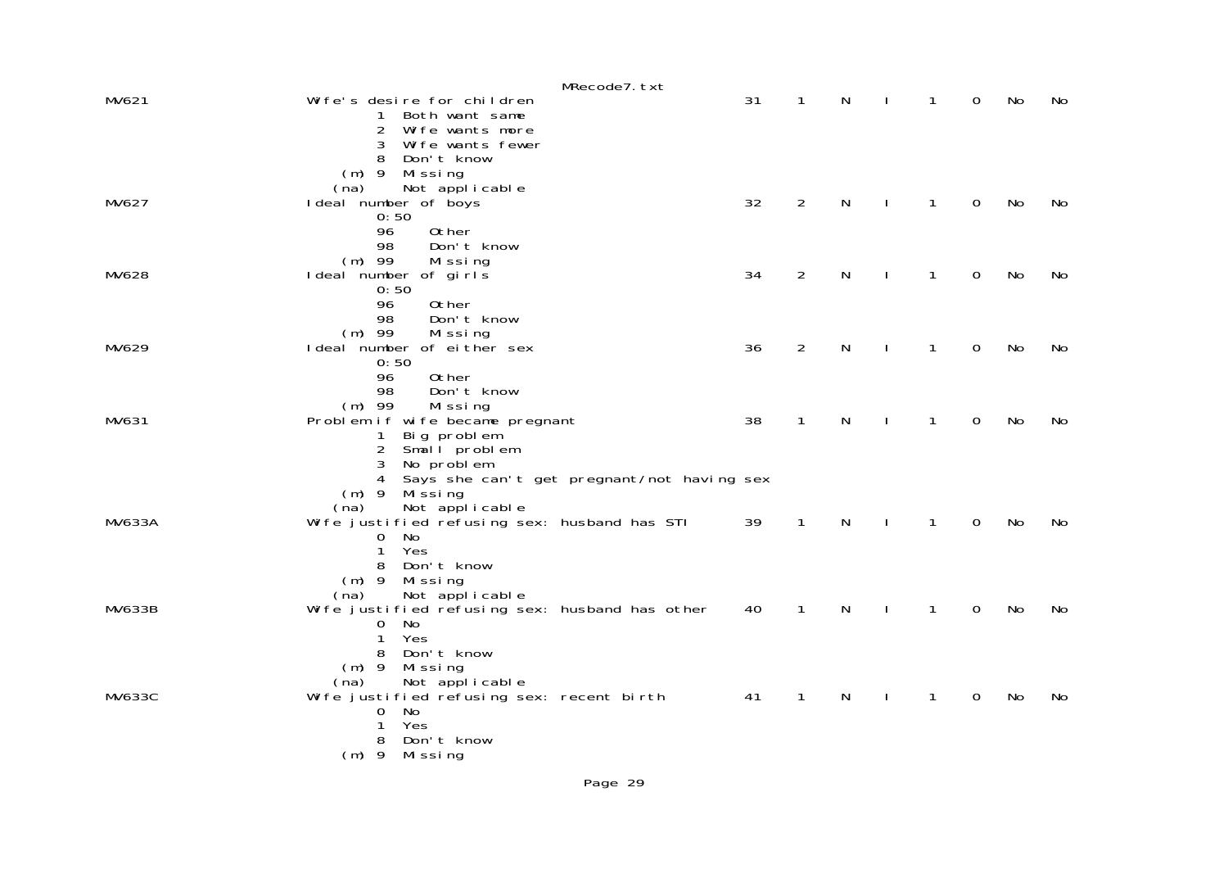|               | MRecode7.txt                                                                                      |    |                |   |              |              |             |           |     |
|---------------|---------------------------------------------------------------------------------------------------|----|----------------|---|--------------|--------------|-------------|-----------|-----|
| MV621         | Wife's desire for children<br>Both want same<br>1<br>2<br>Wife wants more                         | 31 | 1              | N |              | 1            | 0           | No        | No. |
|               | 3<br>Wife wants fewer<br>8<br>Don't know<br>$(m)$ 9 Missing                                       |    |                |   |              |              |             |           |     |
| MV627         | Not applicable<br>(na)<br>I deal number of boys<br>0:50                                           | 32 | $\overline{2}$ | N | J.           | 1            | $\Omega$    | No        | No  |
|               | 96<br>0ther<br>98<br>Don't know<br>$(m)$ 99<br>Missing                                            |    |                |   |              |              |             |           |     |
| MV628         | I deal number of girls<br>0:50<br>96<br>0ther                                                     | 34 | $\overline{2}$ | N |              | 1            | $\mathbf 0$ | No        | No  |
|               | 98<br>Don't know<br>$(m)$ 99<br>Missing                                                           |    | $\overline{2}$ |   |              |              |             |           |     |
| MV629         | I deal number of either sex<br>0:50<br>0ther<br>96                                                | 36 |                | N |              | 1            | 0           | No        | No  |
| MV631         | 98<br>Don't know<br>$(m)$ 99<br>Missing<br>Problem if wife became pregnant                        | 38 | 1              | N | $\mathbf{I}$ | 1            | $\Omega$    | <b>No</b> | No  |
|               | Big problem<br>$\mathbf{1}$<br>Small problem<br>2<br>3<br>No problem                              |    |                |   |              |              |             |           |     |
|               | Says she can't get pregnant/not having sex<br>4<br>Mi ssi ng<br>$(m)$ 9<br>Not applicable<br>(na) |    |                |   |              |              |             |           |     |
| <b>MV633A</b> | Wife justified refusing sex: husband has STI<br>No<br>0                                           | 39 | $\mathbf{1}$   | N | $\mathbf{I}$ | $\mathbf{1}$ | $\mathbf 0$ | No        | No  |
|               | Yes<br>1<br>Don't know<br>8<br>$(m)$ 9<br>Mi ssi ng                                               |    |                |   |              |              |             |           |     |
| <b>MV633B</b> | Not applicable<br>(na)<br>Wife justified refusing sex: husband has other<br>No<br>$\sigma$        | 40 | 1              | N |              | 1            | 0           | No        | No  |
|               | Yes<br>$\mathbf{1}$<br>Don't know<br>8<br>$(m)$ 9<br>Missing                                      |    |                |   |              |              |             |           |     |
| <b>MV633C</b> | Not applicable<br>(na)<br>Wife justified refusing sex: recent birth<br>No<br>0                    | 41 | 1              | N |              | 1            | 0           | No        | No. |
|               | Yes<br>1<br>8<br>Don't know<br>$(m)$ 9<br>Missing                                                 |    |                |   |              |              |             |           |     |
|               |                                                                                                   |    |                |   |              |              |             |           |     |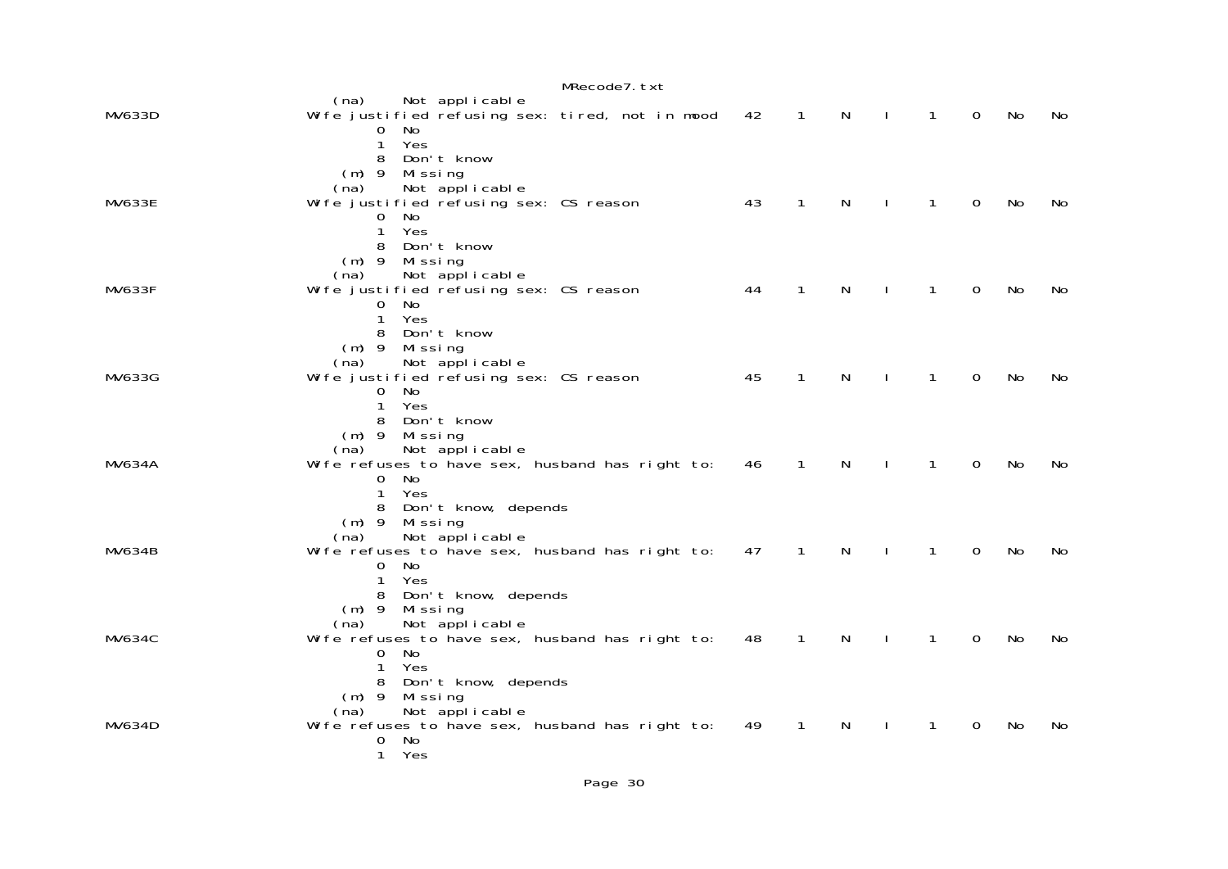|               |                                                                                                                                                      | MRecode7. txt |    |                |                              |              |             |    |     |
|---------------|------------------------------------------------------------------------------------------------------------------------------------------------------|---------------|----|----------------|------------------------------|--------------|-------------|----|-----|
| MV633D        | Not applicable<br>(na)<br>Wife justified refusing sex: tired, not in mood<br>0 No<br>Yes<br>$\mathbf{1}$                                             |               | 42 | $\overline{1}$ | N<br>$\mathbf{L}$            | $\mathbf{1}$ | $\Omega$    | No | No  |
| <b>MV633E</b> | Don't know<br>8<br>$(m)$ 9 Missing<br>Not applicable<br>(na)<br>Wife justified refusing sex: CS reason<br>No<br>0<br>Yes<br>1<br>Don't know<br>8     |               | 43 | $\mathbf{1}$   | N<br>$\mathbf{L}$            | $\mathbf{1}$ | $\mathbf 0$ | No | No  |
| <b>MV633F</b> | $(m)$ 9<br>Mi ssi ng<br>Not applicable<br>(na)<br>Wife justified refusing sex: CS reason<br>$\Omega$<br>No<br>Yes<br>1<br>8 Don't know               |               | 44 | 1              | N                            | 1            | 0           | No | No. |
| MV633G        | $(m)$ 9 Missing<br>Not applicable<br>(na)<br>Wife justified refusing sex: CS reason<br>No<br>0<br>Yes<br>$\mathbf{1}$<br>8 Don't know                |               | 45 | $\mathbf{1}$   | N                            | $\mathbf{1}$ | $\Omega$    | No | No  |
| <b>MV634A</b> | $(m)$ 9<br>Mi ssi ng<br>Not applicable<br>(na)<br>Wife refuses to have sex, husband has right to:<br>0 No<br>Yes<br>1<br>8 Don't know, depends       |               | 46 | $\mathbf{1}$   | N<br>$\mathbf{I}$            | $\mathbf{1}$ | $\Omega$    | No | No. |
| <b>MV634B</b> | $(m)$ 9 Missing<br>Not applicable<br>(na)<br>Wife refuses to have sex, husband has right to:<br>0 No<br>Yes<br>$\mathbf{1}$<br>8 Don't know, depends |               | 47 | $\overline{1}$ | $\mathsf{N}$<br>$\mathbf{I}$ | $\mathbf{1}$ | $\Omega$    | No | No. |
| <b>MV634C</b> | $(m)$ 9<br>Mi ssi ng<br>Not applicable<br>(na)<br>Wi fe refuses to have sex, husband has right to:<br>0 No<br>Yes<br>1<br>8 Don't know, depends      |               | 48 | 1              | N                            | 1            | 0           | No | No  |
| MV634D        | $(m)$ 9 Missing<br>Not applicable<br>(na)<br>Wife refuses to have sex, husband has right to:<br><b>No</b><br>0<br>1 Yes                              |               | 49 | $\mathbf{1}$   | N                            | 1            | 0           | No | No  |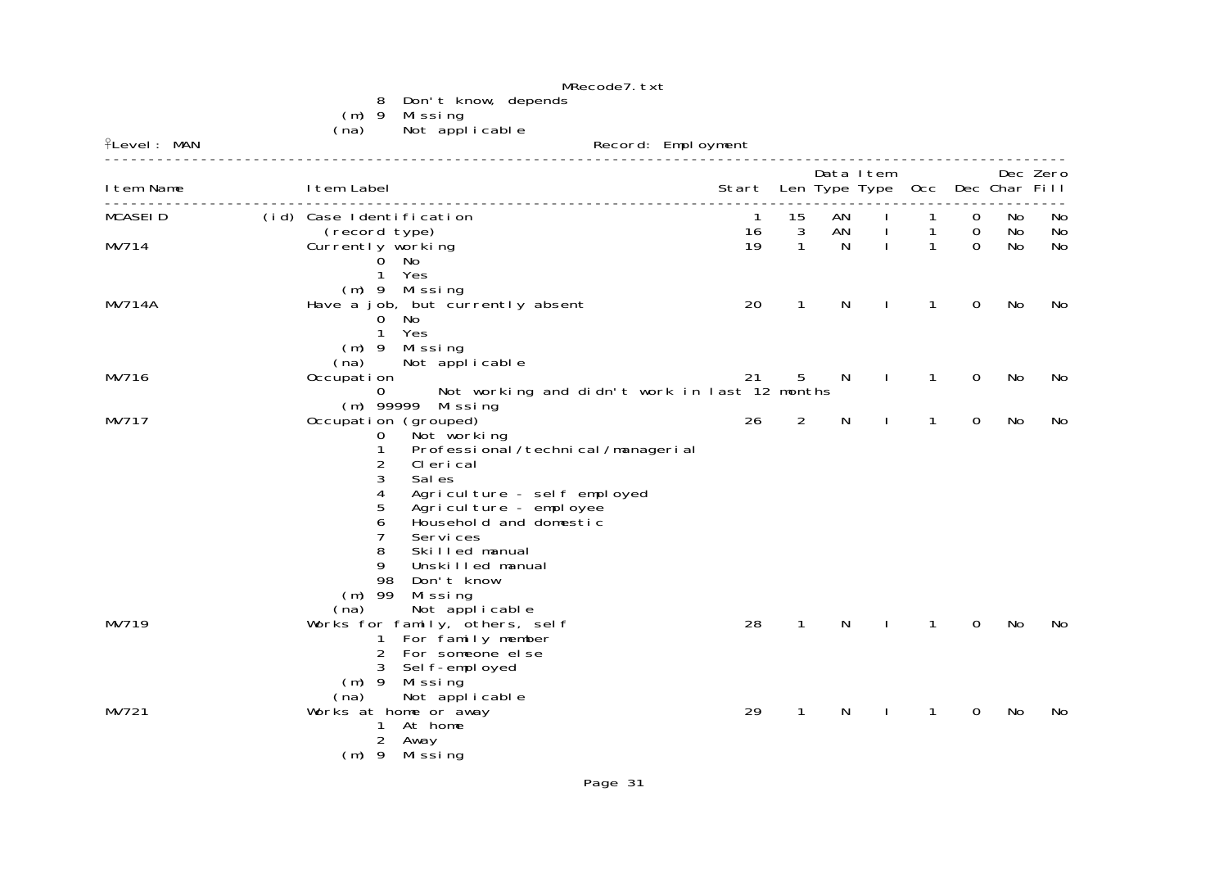|                    | MRecode7.txt                                                                                                                                                                                                                                                                                                                                                               |                                       |              |              |              |                   |                            |          |          |
|--------------------|----------------------------------------------------------------------------------------------------------------------------------------------------------------------------------------------------------------------------------------------------------------------------------------------------------------------------------------------------------------------------|---------------------------------------|--------------|--------------|--------------|-------------------|----------------------------|----------|----------|
|                    | 8<br>Don't know, depends<br>(m) 9 Missing<br>Not applicable<br>(na)                                                                                                                                                                                                                                                                                                        |                                       |              |              |              |                   |                            |          |          |
| <b>flevel: MAN</b> | Record: Employment                                                                                                                                                                                                                                                                                                                                                         |                                       |              |              |              |                   |                            |          |          |
| I tem Name         | I tem Label                                                                                                                                                                                                                                                                                                                                                                | Start Len Type Type Occ Dec Char Fill |              |              | Data Item    |                   |                            |          | Dec Zero |
| <b>MCASEID</b>     | (id) Case Identification<br>(record type)                                                                                                                                                                                                                                                                                                                                  | $\overline{1}$<br>16                  | 15<br>3      | AN<br>AN     | $\mathbf{I}$ | $\mathbf{1}$<br>1 | $\mathbf 0$<br>$\mathbf 0$ | No<br>No | No<br>No |
| MV714              | Currently working<br>0 No<br>1 Yes<br>(m) 9 Missing                                                                                                                                                                                                                                                                                                                        | 19                                    | $\mathbf{1}$ | <sup>N</sup> | $\mathbf{I}$ | 1                 | $\Omega$                   | No       | No       |
| <b>MV714A</b>      | Have a job, but currently absent<br>0 No<br>1 Yes<br>$(m)$ 9 Missing                                                                                                                                                                                                                                                                                                       | 20                                    | $\mathbf{1}$ | N            | $\mathbf{I}$ | $\mathbf{1}$      | $\mathbf 0$                | No       | No       |
| MV716              | (na)<br>Not applicable<br>Occupation<br>Not working and didn't work in last 12 months<br>$\Omega$<br>(m) 99999 Missing                                                                                                                                                                                                                                                     | 21                                    | 5            | N            | $\mathbf{I}$ | $\mathbf{1}$      | 0                          | No       | No       |
| MV717              | Occupation (grouped)<br>$\mathbf 0$<br>Not working<br>Professional / technical / managerial<br>1<br>2<br>CI eri cal<br>3<br>Sal es<br>4<br>Agriculture - self employed<br>5<br>Agriculture - employee<br>6<br>Household and domestic<br>7<br>Services<br>8<br>Skilled manual<br>9<br>Unskilled manual<br>98<br>Don't know<br>$(m)$ 99<br>Missing<br>Not applicable<br>(na) | 26                                    | 2            | $\mathsf{N}$ | $\mathbf{I}$ | $\mathbf{1}$      | $\mathbf 0$                | No       | No       |
| MV719              | Works for family, others, self<br>For family member<br>1<br>2 For someone el se<br>3 Sel f-empl oyed<br>$(m)$ 9 Missing<br>Not applicable<br>(na)                                                                                                                                                                                                                          | 28                                    | $\mathbf{1}$ | N            | $\mathbf{I}$ | 1                 | $\Omega$                   | No       | No       |
| MV721              | Works at home or away<br>1 At home<br>2 Away<br>$(m)$ 9 Missing                                                                                                                                                                                                                                                                                                            | 29                                    | $\mathbf{1}$ | N            |              | 1                 | 0                          | No       | No       |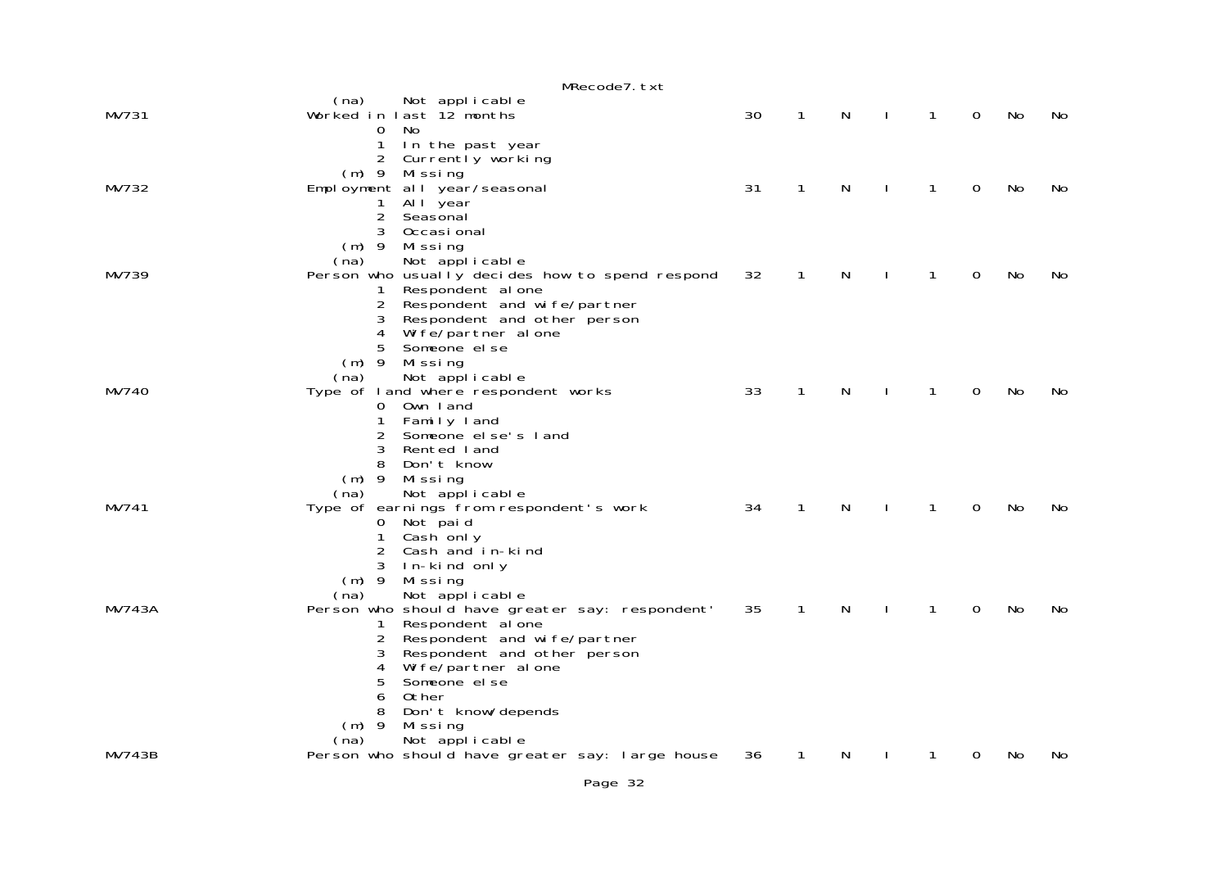|               | MRecode7.txt                                                                           |    |              |   |   |   |    |     |
|---------------|----------------------------------------------------------------------------------------|----|--------------|---|---|---|----|-----|
| MV731         | (na)<br>Not applicable<br>Worked in last 12 months<br>0<br>No.                         | 30 | 1            | N | 1 | 0 | No | No  |
|               | 1<br>In the past year<br>2 Currently working                                           |    |              |   |   |   |    |     |
| MV732         | (m) 9 Missing<br>Employment all year/seasonal                                          | 31 | 1            | N | 1 | 0 | No | No  |
|               | All year<br>1<br>$\overline{2}$<br>Seasonal<br>3<br>Occasi onal<br>$(m)$ 9             |    |              |   |   |   |    |     |
| MV739         | Mi ssi ng<br>Not applicable<br>(na)<br>Person who usually decides how to spend respond | 32 | 1            | N | 1 | 0 | No | No  |
|               | Respondent al one<br>1<br>2<br>Respondent and wife/partner                             |    |              |   |   |   |    |     |
|               | 3<br>Respondent and other person<br>4<br>Wife/partner alone                            |    |              |   |   |   |    |     |
|               | 5<br>Someone el se<br>$(m)$ 9<br>Missing                                               |    |              |   |   |   |    |     |
| MV740         | Not applicable<br>(na)<br>Type of land where respondent works                          | 33 | $\mathbf{1}$ | N | 1 | 0 | No | No. |
|               | Own land<br>$\mathbf{O}$<br>Family land<br>1                                           |    |              |   |   |   |    |     |
|               | 2<br>Someone el se's l and<br>3<br>Rented land                                         |    |              |   |   |   |    |     |
|               | 8<br>Don't know<br>$(m)$ 9<br>Missing                                                  |    |              |   |   |   |    |     |
|               | Not applicable<br>(na)                                                                 |    |              |   |   |   |    |     |
| MV741         | Type of earnings from respondent's work<br>Not paid<br>$\mathbf{O}$                    | 34 | $\mathbf{1}$ | N | 1 | 0 | No | No  |
|               | 1<br>Cash only<br>2<br>Cash and in-kind                                                |    |              |   |   |   |    |     |
|               | 3<br>In-kind only<br>$(m)$ 9<br>Mi ssi ng                                              |    |              |   |   |   |    |     |
| <b>MV743A</b> | Not applicable<br>(na)<br>Person who should have greater say: respondent'              | 35 | 1            | N | 1 | 0 | No | No  |
|               | Respondent al one<br>1<br>2<br>Respondent and wife/partner                             |    |              |   |   |   |    |     |
|               | 3<br>Respondent and other person<br>4<br>Wife/partner alone                            |    |              |   |   |   |    |     |
|               | 5<br>Someone el se                                                                     |    |              |   |   |   |    |     |
|               | 6<br>0ther<br>8<br>Don't know/depends                                                  |    |              |   |   |   |    |     |
|               | $(m)$ 9<br>Missing<br>Not applicable<br>(na)                                           |    |              |   |   |   |    |     |
| MV743B        | Person who should have greater say: large house                                        | 36 | 1            | N |   | 0 | No | No  |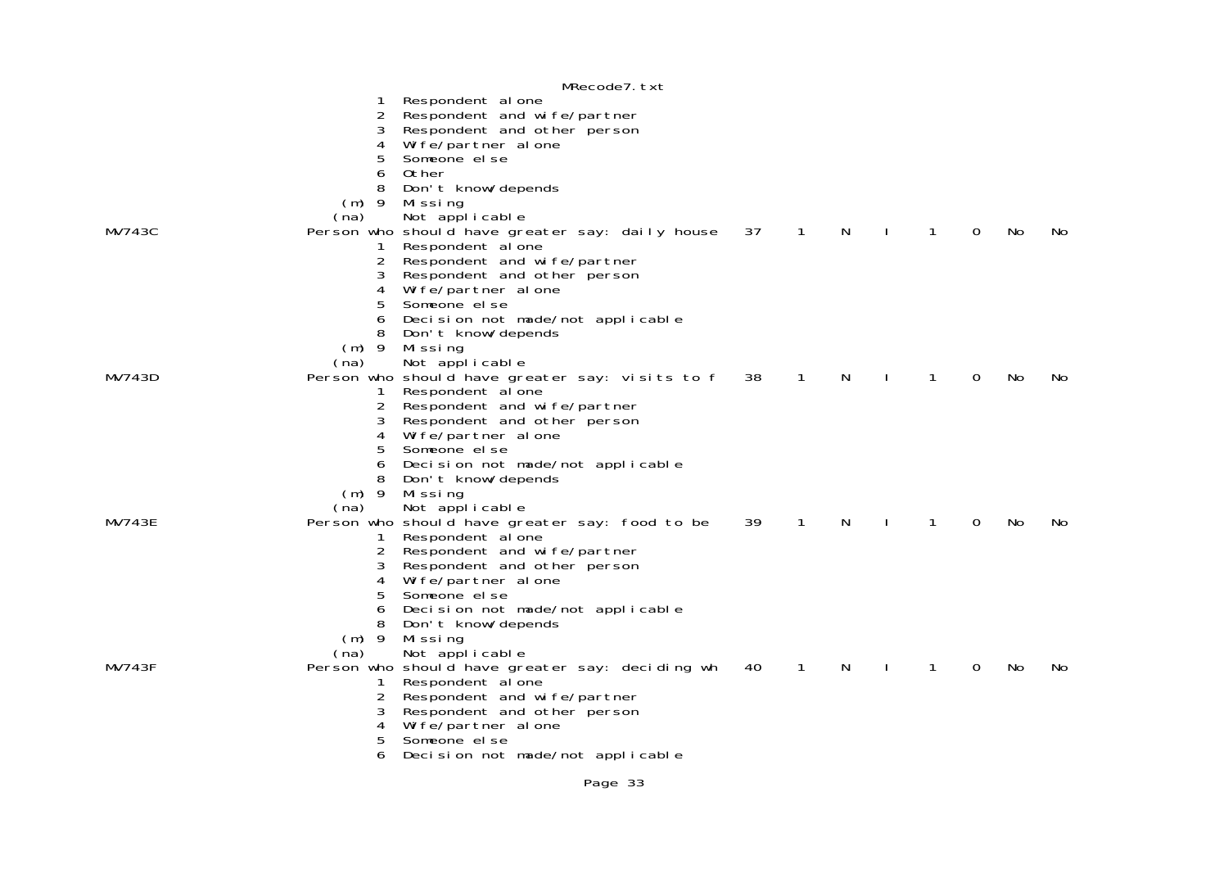|               |           | MRecode7.txt                                    |    |              |   |              |   |          |    |     |
|---------------|-----------|-------------------------------------------------|----|--------------|---|--------------|---|----------|----|-----|
|               |           | Respondent al one                               |    |              |   |              |   |          |    |     |
|               | 2         | Respondent and wife/partner                     |    |              |   |              |   |          |    |     |
|               | 3         | Respondent and other person                     |    |              |   |              |   |          |    |     |
|               | 4         | Wife/partner alone                              |    |              |   |              |   |          |    |     |
|               | 5         | Someone el se                                   |    |              |   |              |   |          |    |     |
|               | 6         | Other                                           |    |              |   |              |   |          |    |     |
|               | 8         |                                                 |    |              |   |              |   |          |    |     |
|               |           | Don't know/depends                              |    |              |   |              |   |          |    |     |
|               | -9<br>(m) | Mi ssi ng                                       |    |              |   |              |   |          |    |     |
|               | (na)      | Not applicable                                  |    |              |   |              |   |          |    |     |
| <b>MV743C</b> |           | Person who should have greater say: daily house | 37 | $\mathbf{1}$ | N |              | 1 | $\Omega$ | No | No. |
|               | 1         | Respondent al one                               |    |              |   |              |   |          |    |     |
|               | 2         | Respondent and wife/partner                     |    |              |   |              |   |          |    |     |
|               | 3         | Respondent and other person                     |    |              |   |              |   |          |    |     |
|               | 4         | Wife/partner alone                              |    |              |   |              |   |          |    |     |
|               | 5         | Someone el se                                   |    |              |   |              |   |          |    |     |
|               | 6         | Decision not made/not applicable                |    |              |   |              |   |          |    |     |
|               | 8         | Don't know/depends                              |    |              |   |              |   |          |    |     |
|               | $(m)$ 9   | Mi ssi ng                                       |    |              |   |              |   |          |    |     |
|               | (na)      | Not applicable                                  |    |              |   |              |   |          |    |     |
| MV743D        |           | Person who should have greater say: visits to f | 38 | $\mathbf{1}$ | N | $\mathbf{I}$ | 1 | 0        | No | No  |
|               | 1         | Respondent al one                               |    |              |   |              |   |          |    |     |
|               | 2         | Respondent and wife/partner                     |    |              |   |              |   |          |    |     |
|               | 3         | Respondent and other person                     |    |              |   |              |   |          |    |     |
|               | 4         | Wife/partner alone                              |    |              |   |              |   |          |    |     |
|               | 5         | Someone el se                                   |    |              |   |              |   |          |    |     |
|               | 6         |                                                 |    |              |   |              |   |          |    |     |
|               |           | Decision not made/not applicable                |    |              |   |              |   |          |    |     |
|               | 8         | Don't know/depends                              |    |              |   |              |   |          |    |     |
|               |           | (m) 9 Missing                                   |    |              |   |              |   |          |    |     |
|               | (na)      | Not applicable                                  |    |              |   |              |   |          |    |     |
| MV743E        |           | Person who should have greater say: food to be  | 39 | $\mathbf{1}$ | N |              | 1 | 0        | No | No. |
|               | 1         | Respondent al one                               |    |              |   |              |   |          |    |     |
|               | 2         | Respondent and wife/partner                     |    |              |   |              |   |          |    |     |
|               | 3         | Respondent and other person                     |    |              |   |              |   |          |    |     |
|               | 4         | Wife/partner alone                              |    |              |   |              |   |          |    |     |
|               | 5         | Someone el se                                   |    |              |   |              |   |          |    |     |
|               | 6         | Decision not made/not applicable                |    |              |   |              |   |          |    |     |
|               | 8         | Don't know/depends                              |    |              |   |              |   |          |    |     |
|               | $(m)$ 9   | Mi ssi ng                                       |    |              |   |              |   |          |    |     |
|               | (na)      | Not applicable                                  |    |              |   |              |   |          |    |     |
| <b>MV743F</b> |           | Person who should have greater say: deciding wh | 40 | $\mathbf{1}$ | N |              | 1 | 0        | No | No. |
|               | 1         | Respondent al one                               |    |              |   |              |   |          |    |     |
|               | 2         | Respondent and wife/partner                     |    |              |   |              |   |          |    |     |
|               | 3         | Respondent and other person                     |    |              |   |              |   |          |    |     |
|               | 4         | Wife/partner alone                              |    |              |   |              |   |          |    |     |
|               | 5         | Someone el se                                   |    |              |   |              |   |          |    |     |
|               | 6         | Decision not made/not applicable                |    |              |   |              |   |          |    |     |
|               |           |                                                 |    |              |   |              |   |          |    |     |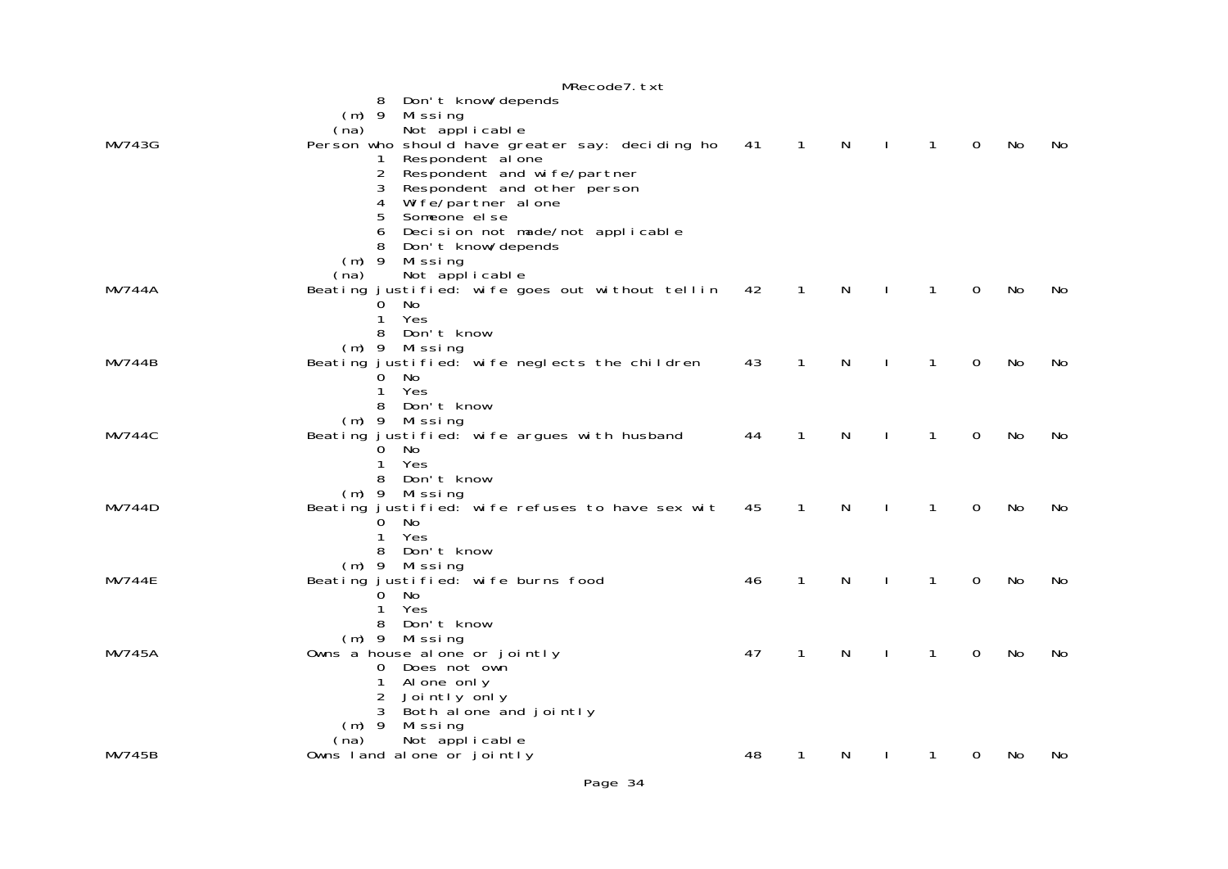|               | MRecode7. txt                                                          |    |              |   |              |             |           |     |
|---------------|------------------------------------------------------------------------|----|--------------|---|--------------|-------------|-----------|-----|
|               | Don't know/depends<br>8                                                |    |              |   |              |             |           |     |
|               | $(m)$ 9<br>Mi ssi ng                                                   |    |              |   |              |             |           |     |
|               | (na) Not applicable<br>Person who should have greater say: deciding ho |    |              |   |              |             |           |     |
| MV743G        |                                                                        | 41 | $\mathbf 1$  | N | 1            | 0           | No        | No  |
|               | Respondent al one<br>1<br>2<br>Respondent and wife/partner             |    |              |   |              |             |           |     |
|               | 3<br>Respondent and other person                                       |    |              |   |              |             |           |     |
|               | 4<br>Wife/partner alone                                                |    |              |   |              |             |           |     |
|               | 5<br>Someone el se                                                     |    |              |   |              |             |           |     |
|               | Decision not made/not applicable<br>6                                  |    |              |   |              |             |           |     |
|               | Don't know/depends<br>8                                                |    |              |   |              |             |           |     |
|               | $(m)$ 9<br>Missing<br>Not applicable<br>(na)                           |    |              |   |              |             |           |     |
| MV744A        | Beating justified: wife goes out without tellin                        | 42 | $\mathbf{1}$ | N | 1            | $\Omega$    | No        | No  |
|               | No<br>0                                                                |    |              |   |              |             |           |     |
|               | Yes<br>1                                                               |    |              |   |              |             |           |     |
|               | 8<br>Don't know                                                        |    |              |   |              |             |           |     |
|               | (m) 9 Missing                                                          |    |              |   | 1            |             |           |     |
| MV744B        | Beating justified: wife neglects the children<br>$0$ No                | 43 | 1            | N |              | 0           | No        | No. |
|               | Yes<br>1                                                               |    |              |   |              |             |           |     |
|               | Don't know<br>8                                                        |    |              |   |              |             |           |     |
|               | $(m)$ 9 Missing                                                        |    |              |   |              |             |           |     |
| <b>MV744C</b> | Beating justified: wife argues with husband                            | 44 | 1            | N | 1            | $\mathbf 0$ | No        | No. |
|               | $0$ No<br>Yes<br>1                                                     |    |              |   |              |             |           |     |
|               | 8 Don't know                                                           |    |              |   |              |             |           |     |
|               | $(m)$ 9 Missing                                                        |    |              |   |              |             |           |     |
| MV744D        | Beating justified: wife refuses to have sex wit                        | 45 | $\mathbf 1$  | N | 1            | 0           | No        | No  |
|               | $0$ No                                                                 |    |              |   |              |             |           |     |
|               | Yes<br>1<br>8 Don't know                                               |    |              |   |              |             |           |     |
|               | $(m)$ 9 Missing                                                        |    |              |   |              |             |           |     |
| <b>MV744E</b> | Beating justified: wife burns food                                     | 46 | $\mathbf{1}$ | N | 1            | 0           | <b>No</b> | No  |
|               | No<br>$\Omega$                                                         |    |              |   |              |             |           |     |
|               | Yes<br>1                                                               |    |              |   |              |             |           |     |
|               | Don't know<br>8                                                        |    |              |   |              |             |           |     |
| <b>MV745A</b> | (m) 9 Missing<br>Owns a house alone or jointly                         | 47 | $\mathbf{1}$ | N | $\mathbf{1}$ | 0           | <b>No</b> | No  |
|               | Does not own<br>0                                                      |    |              |   |              |             |           |     |
|               | 1<br>Al one only                                                       |    |              |   |              |             |           |     |
|               | 2<br>Jointly only                                                      |    |              |   |              |             |           |     |
|               | 3<br>Both alone and jointly                                            |    |              |   |              |             |           |     |
|               | $(m)$ 9 Missing                                                        |    |              |   |              |             |           |     |
| <b>MV745B</b> | Not applicable<br>(na)<br>Owns land alone or jointly                   | 48 | 1            | N | 1            | 0           | No        | No  |
|               |                                                                        |    |              |   |              |             |           |     |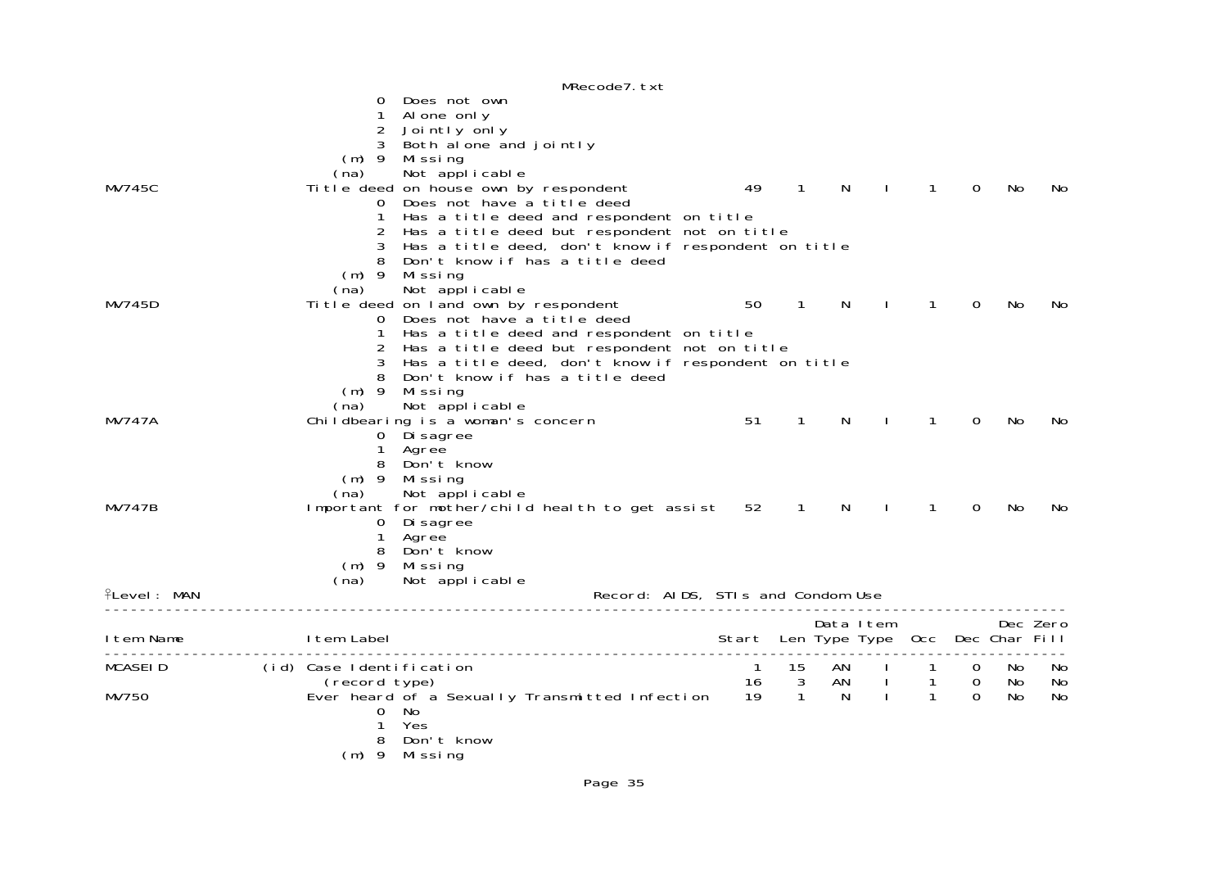|                  | MRecode7. txt                                                                                                                                                                                                                                                                                                                                                                  |                                       |                |                |                          |                                      |                                              |                 |                  |
|------------------|--------------------------------------------------------------------------------------------------------------------------------------------------------------------------------------------------------------------------------------------------------------------------------------------------------------------------------------------------------------------------------|---------------------------------------|----------------|----------------|--------------------------|--------------------------------------|----------------------------------------------|-----------------|------------------|
| <b>MV745C</b>    | Does not own<br>Al one only<br>$\overline{2}$<br>Jointly only<br>3<br>Both alone and jointly<br>$(m)$ 9 Missing<br>Not applicable<br>(na)<br>Ti tle deed on house own by respondent<br>Does not have a title deed<br>0<br>Has a title deed and respondent on title<br>Has a title deed but respondent not on title<br>2<br>Has a title deed, don't know if respondent on title | 49                                    | $\overline{1}$ | N              | $\sim$ 1.                | $\mathbf{1}$                         | $\Omega$                                     | No              | No.              |
| MV745D           | Don't know if has a title deed<br>$(m)$ 9 Missing<br>Not applicable<br>(na)<br>Title deed on land own by respondent<br>Does not have a title deed<br>O<br>Has a title deed and respondent on title<br>Has a title deed but respondent not on title<br>2                                                                                                                        | 50                                    | $\overline{1}$ | N.             | $\sim$ 1.                | $\mathbf{1}$                         | $\Omega$                                     | No              | No.              |
| <b>MV747A</b>    | Has a title deed, don't know if respondent on title<br>3<br>Don't know if has a title deed<br>$(m)$ 9<br>Mi ssi ng<br>(na)<br>Not applicable<br>Childbearing is a woman's concern<br>0 Di sagree<br>1 Agree                                                                                                                                                                    | 51                                    | $\overline{1}$ | N              |                          | $\mathbf{1}$                         | $\Omega$                                     | No              | No.              |
| MV747B           | Don't know<br>8<br>$(m)$ 9 Missing<br>(na)<br>Not applicable<br>Important for mother/child health to get assist<br>0 Di sagree<br>1<br>Agree<br>8 Don't know                                                                                                                                                                                                                   | 52                                    | $\sim$ 1       | N              | $\sim$ 1                 | $\mathbf{1}$                         | $\Omega$                                     | No.             | No.              |
| $PL$ evel: MAN   | $(m)$ 9 Missing<br>Not applicable<br>(na)<br>Record: AIDS, STIs and Condom Use                                                                                                                                                                                                                                                                                                 |                                       |                |                |                          |                                      |                                              |                 |                  |
| I tem Name       | I tem Label                                                                                                                                                                                                                                                                                                                                                                    | Start Len Type Type Occ Dec Char Fill |                | Data Item      |                          |                                      |                                              |                 | Dec Zero         |
| MCASEID<br>MV750 | ------------------------------<br>(id) Case Identification<br>0<br>- No<br>$\mathbf{1}$<br>Yes<br>Don't know<br>8<br>$(m)$ 9 Missing                                                                                                                                                                                                                                           | $\overline{1}$                        | 15             | AN<br>AN<br>N. | $\sim 1$<br>$\mathbf{I}$ | -1<br>$\overline{1}$<br>$\mathbf{1}$ | $\overline{O}$<br>$\overline{0}$<br>$\Omega$ | No.<br>No<br>No | - No<br>No<br>No |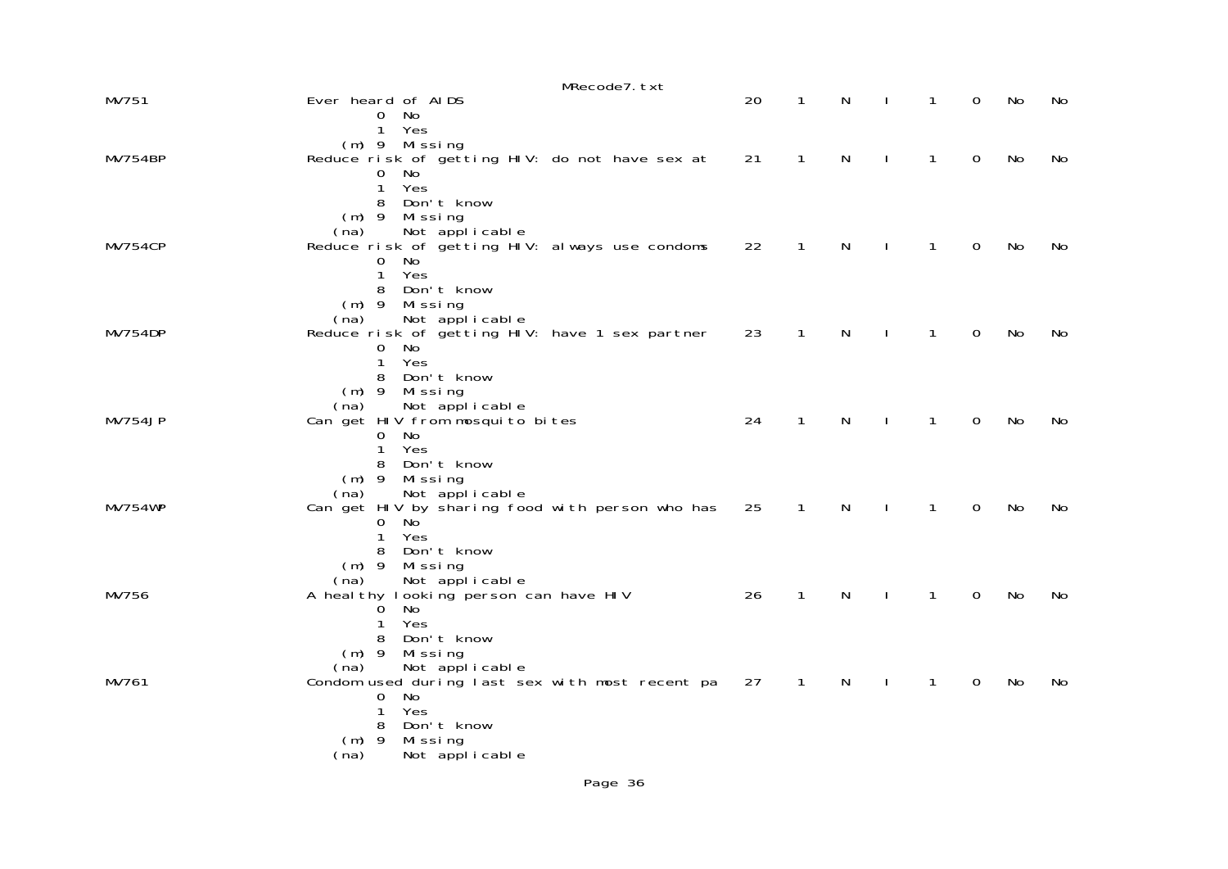|                | MRecode7.txt                                                            |    |              |   |              |              |             |    |    |
|----------------|-------------------------------------------------------------------------|----|--------------|---|--------------|--------------|-------------|----|----|
| MV751          | Ever heard of AIDS<br>No<br>0                                           | 20 | 1            | N | $\mathbf{I}$ | 1            | 0           | No | No |
|                | Yes<br>1<br>$(m)$ 9 Missing                                             |    |              |   |              |              |             |    |    |
| MV754BP        | Reduce risk of getting HIV: do not have sex at<br>No.<br>0              | 21 | 1            | N | ı            | $\mathbf{1}$ | $\mathbf 0$ | No | No |
|                | Yes<br>$\mathbf{1}$<br>Don't know<br>8                                  |    |              |   |              |              |             |    |    |
|                | $(m)$ 9 Missing<br>Not applicable<br>(na)                               |    |              |   |              |              |             |    |    |
| MV754CP        | Reduce risk of getting HIV: always use condoms<br>No<br>0               | 22 | $\mathbf{1}$ | N | $\mathbf{I}$ | $\mathbf{1}$ | $\mathbf 0$ | No | No |
|                | Yes<br>$\mathbf{1}$<br>Don't know<br>8                                  |    |              |   |              |              |             |    |    |
|                | Missing<br>$(m)$ 9<br>Not applicable<br>(na)                            |    |              |   |              |              |             |    |    |
| MV754DP        | Reduce risk of getting HIV: have 1 sex partner<br>0<br>No.              | 23 | 1            | N |              | 1            | $\mathbf 0$ | No | No |
|                | $\mathbf{1}$<br>Yes<br>Don't know<br>8                                  |    |              |   |              |              |             |    |    |
|                | $(m)$ 9 Missing<br>Not applicable<br>(na)                               |    |              |   |              |              |             |    |    |
| MV754JP        | Can get HIV from mosquito bites<br>No<br>$\Omega$                       | 24 | 1            | N |              | $\mathbf{1}$ | 0           | No | No |
|                | Yes<br>1<br>Don't know<br>8                                             |    |              |   |              |              |             |    |    |
|                | $(m)$ 9<br>Missing<br>Not applicable<br>(na)                            |    |              |   |              |              |             |    |    |
| <b>MV754WP</b> | Can get HIV by sharing food with person who has<br>0<br>No.             | 25 | $\mathbf{1}$ | N | ı            | $\mathbf{1}$ | $\mathbf 0$ | No | No |
|                | Yes<br>$\mathbf{1}$<br>Don't know<br>8                                  |    |              |   |              |              |             |    |    |
|                | $(m)$ 9 Missing<br>(na)<br>Not applicable                               |    |              |   |              |              |             |    |    |
| MV756          | A heal thy looking person can have HIV<br>No<br>0                       | 26 | $\mathbf{1}$ | N | $\mathbf{I}$ | $\mathbf{1}$ | 0           | No | No |
|                | Yes<br>1<br>8<br>Don't know                                             |    |              |   |              |              |             |    |    |
|                | $(m)$ 9<br>Missing<br>Not applicable<br>(na)                            |    |              |   |              |              |             |    |    |
| MV761          | Condom used during last sex with most recent pa<br>$\overline{0}$<br>No | 27 | $\mathbf{1}$ | N |              | 1            | 0           | No | No |
|                | 1<br>Yes<br>Don't know<br>8                                             |    |              |   |              |              |             |    |    |
|                | $(m)$ 9<br>Mi ssi ng<br>Not applicable<br>(na)                          |    |              |   |              |              |             |    |    |
|                |                                                                         |    |              |   |              |              |             |    |    |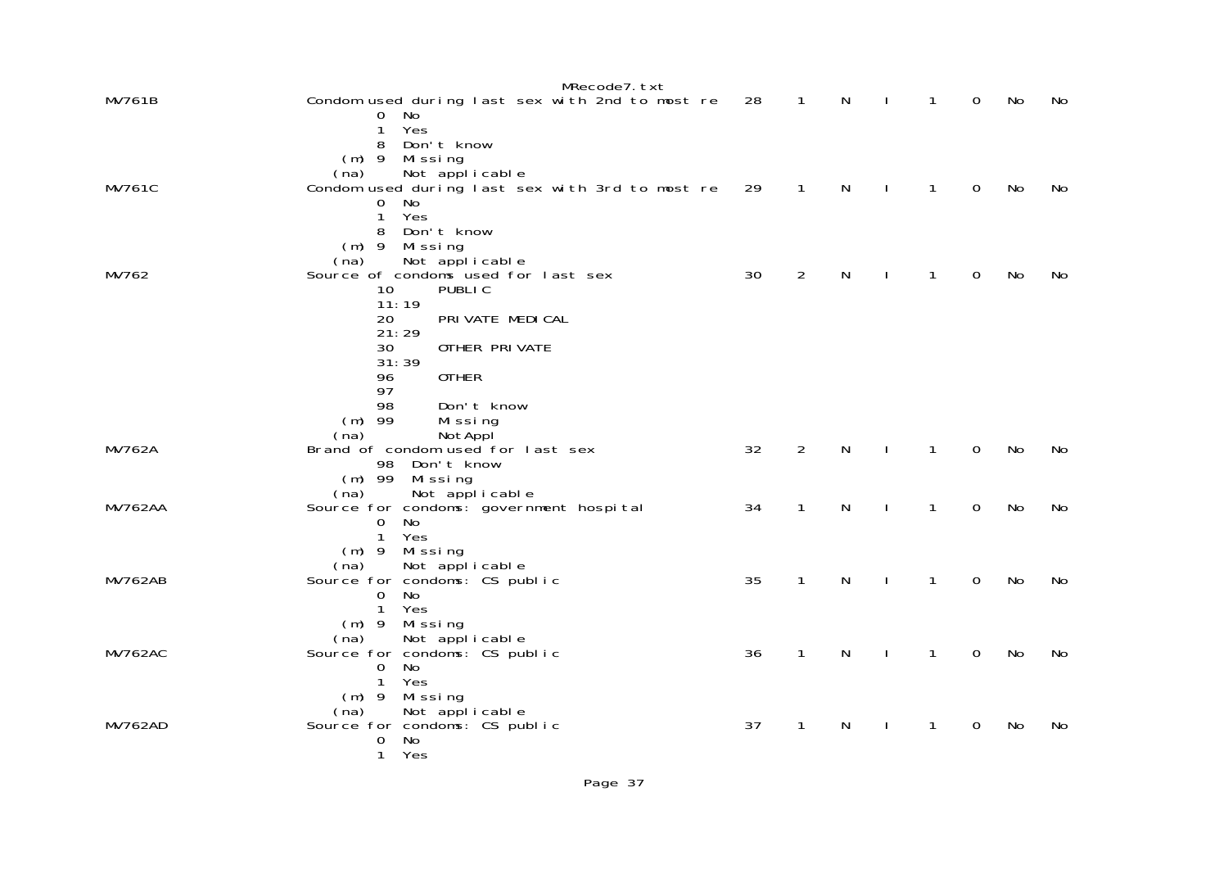|                | MRecode7.txt                                                |    |                |   |              |             |    |    |
|----------------|-------------------------------------------------------------|----|----------------|---|--------------|-------------|----|----|
| <b>MV761B</b>  | Condom used during last sex with 2nd to most re<br>No.<br>0 | 28 | $\mathbf{1}$   | N | $\mathbf{1}$ | 0           | No | No |
|                | Yes<br>1<br>Don't know<br>8                                 |    |                |   |              |             |    |    |
|                | $(m)$ 9 Missing                                             |    |                |   |              |             |    |    |
|                | Not applicable<br>(na)                                      |    |                |   |              |             |    |    |
| <b>MV761C</b>  | Condom used during last sex with 3rd to most re<br>No<br>0  | 29 | $\mathbf{1}$   | N | $\mathbf{1}$ | $\mathbf 0$ | No | No |
|                | Yes<br>$\mathbf{1}$                                         |    |                |   |              |             |    |    |
|                | 8<br>Don't know                                             |    |                |   |              |             |    |    |
|                | $(m)$ 9<br>Missing<br>Not applicable<br>(na)                |    |                |   |              |             |    |    |
| MV762          | Source of condoms used for last sex                         | 30 | 2              | N | 1            | 0           | No | No |
|                | 10 <sup>°</sup><br>PUBLIC                                   |    |                |   |              |             |    |    |
|                | 11:19<br>PRI VATE MEDI CAL<br>20                            |    |                |   |              |             |    |    |
|                | 21:29                                                       |    |                |   |              |             |    |    |
|                | 30<br>OTHER PRIVATE                                         |    |                |   |              |             |    |    |
|                | 31:39<br><b>OTHER</b><br>96                                 |    |                |   |              |             |    |    |
|                | 97                                                          |    |                |   |              |             |    |    |
|                | 98<br>Don't know                                            |    |                |   |              |             |    |    |
|                | $(m)$ 99<br>Missing<br>NotAppl<br>(na)                      |    |                |   |              |             |    |    |
| <b>MV762A</b>  | Brand of condom used for last sex                           | 32 | $\overline{2}$ | N | $\mathbf{1}$ | $\mathbf 0$ | No | No |
|                | 98<br>Don't know                                            |    |                |   |              |             |    |    |
|                | $(m)$ 99<br>Mi ssi ng<br>Not applicable<br>(na)             |    |                |   |              |             |    |    |
| <b>MV762AA</b> | Source for condoms: government hospital                     | 34 | $\mathbf{1}$   | N | $\mathbf{1}$ | $\mathbf 0$ | No | No |
|                | <b>No</b><br>0                                              |    |                |   |              |             |    |    |
|                | Yes<br>$\mathbf{1}$<br>$(m)$ 9 Missing                      |    |                |   |              |             |    |    |
|                | Not applicable<br>(na)                                      |    |                |   |              |             |    |    |
| <b>MV762AB</b> | Source for condoms: CS public                               | 35 | $\mathbf{1}$   | N | $\mathbf{1}$ | $\mathbf 0$ | No | No |
|                | <b>No</b><br>0<br>Yes<br>$\mathbf{1}$                       |    |                |   |              |             |    |    |
|                | $(m)$ 9 Missing                                             |    |                |   |              |             |    |    |
|                | Not applicable<br>(na)                                      |    |                |   |              |             |    |    |
| <b>MV762AC</b> | Source for condoms: CS public<br><b>No</b><br>0             | 36 | $\mathbf{1}$   | N | $\mathbf{1}$ | $\mathbf 0$ | No | No |
|                | Yes<br>$\mathbf{1}$                                         |    |                |   |              |             |    |    |
|                | $(m)$ 9 Missing                                             |    |                |   |              |             |    |    |
| <b>MV762AD</b> | Not applicable<br>(na)<br>Source for condoms: CS public     | 37 | 1              | N | 1            | 0           | No | No |
|                | 0<br>No                                                     |    |                |   |              |             |    |    |
|                | $\mathbf{1}$<br>Yes                                         |    |                |   |              |             |    |    |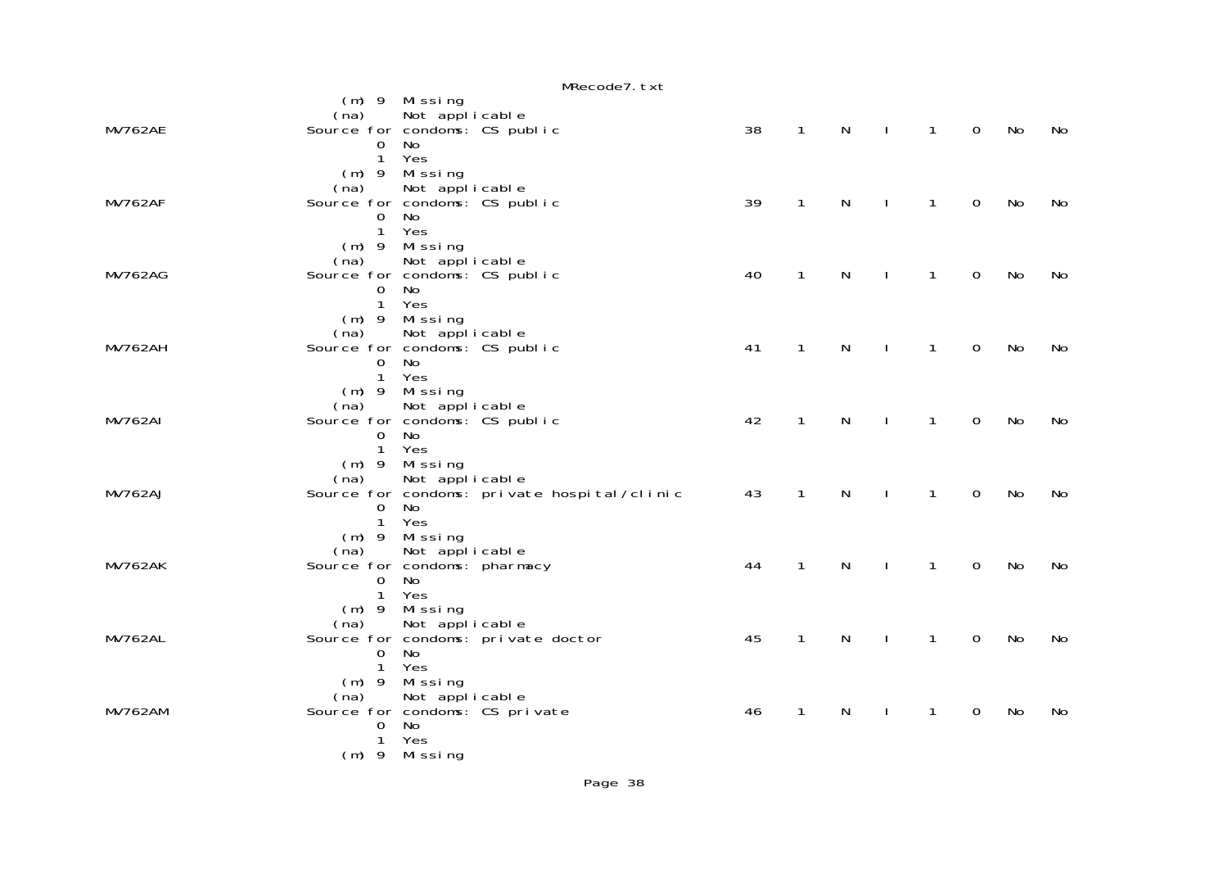|                |                                                 |                 | MRecode7.txt                                |    |              |   |              |              |                |    |    |
|----------------|-------------------------------------------------|-----------------|---------------------------------------------|----|--------------|---|--------------|--------------|----------------|----|----|
|                |                                                 | $(m)$ 9 Missing |                                             |    |              |   |              |              |                |    |    |
|                | (na)                                            | Not applicable  |                                             |    |              |   |              |              |                |    |    |
| MV762AE        | Source for condoms: CS public                   |                 |                                             | 38 | $\mathbf{1}$ | N | $\perp$      | $\mathbf{1}$ | $\overline{0}$ | No | No |
|                | $\overline{0}$                                  | No              |                                             |    |              |   |              |              |                |    |    |
|                | $\mathbf{1}$                                    | Yes             |                                             |    |              |   |              |              |                |    |    |
|                |                                                 | (m) 9 Missing   |                                             |    |              |   |              |              |                |    |    |
|                | (na)                                            | Not applicable  |                                             | 39 | $\mathbf{1}$ | N | $\mathbf{I}$ |              | $\Omega$       |    |    |
| MV762AF        | Source for condoms: CS public<br>$\mathbf 0$    | No              |                                             |    |              |   |              | 1            |                | No | No |
|                | $\mathbf{1}$                                    | Yes             |                                             |    |              |   |              |              |                |    |    |
|                |                                                 | (m) 9 Missing   |                                             |    |              |   |              |              |                |    |    |
|                | (na)                                            | Not applicable  |                                             |    |              |   |              |              |                |    |    |
| <b>MV762AG</b> | Source for condoms: CS public                   |                 |                                             | 40 | $\mathbf{1}$ | N | $\perp$      | $\mathbf{1}$ | $\mathbf 0$    | No | No |
|                | $\overline{0}$                                  | No              |                                             |    |              |   |              |              |                |    |    |
|                |                                                 | 1 Yes           |                                             |    |              |   |              |              |                |    |    |
|                |                                                 | (m) 9 Missing   |                                             |    |              |   |              |              |                |    |    |
|                | (na)                                            | Not applicable  |                                             |    |              |   |              |              |                |    |    |
| <b>MV762AH</b> | Source for condoms: CS public                   |                 |                                             | 41 | $\mathbf{1}$ | N | $\mathbf{I}$ | $\mathbf{1}$ | $\mathbf 0$    | No | No |
|                | $\overline{0}$                                  | No              |                                             |    |              |   |              |              |                |    |    |
|                | $\mathbf{1}$                                    | Yes             |                                             |    |              |   |              |              |                |    |    |
|                |                                                 | (m) 9 Missing   |                                             |    |              |   |              |              |                |    |    |
|                | (na)                                            | Not applicable  |                                             | 42 | $\mathbf{1}$ | N |              |              |                |    |    |
| <b>MV762AI</b> | Source for condoms: CS public<br>$\overline{0}$ | No              |                                             |    |              |   | $\mathbf{I}$ | $\mathbf{1}$ | $\mathbf 0$    | No | No |
|                | $\mathbf{1}$                                    | Yes             |                                             |    |              |   |              |              |                |    |    |
|                |                                                 | (m) 9 Missing   |                                             |    |              |   |              |              |                |    |    |
|                | (na)                                            | Not applicable  |                                             |    |              |   |              |              |                |    |    |
| <b>MV762AJ</b> |                                                 |                 | Source for condoms: private hospital/clinic | 43 | $\mathbf{1}$ | N | $\mathbf{I}$ | $\mathbf{1}$ | $\mathbf 0$    | No | No |
|                | $\overline{0}$                                  | No              |                                             |    |              |   |              |              |                |    |    |
|                | $\mathbf{1}$                                    | Yes             |                                             |    |              |   |              |              |                |    |    |
|                |                                                 | (m) 9 Missing   |                                             |    |              |   |              |              |                |    |    |
|                | (na)                                            | Not applicable  |                                             |    |              |   |              |              |                |    |    |
| <b>MV762AK</b> | Source for condoms: pharmacy                    |                 |                                             | 44 | $\mathbf{1}$ | N | $\mathbf{I}$ | $\mathbf{1}$ | $\mathbf 0$    | No | No |
|                | $\overline{0}$                                  | No              |                                             |    |              |   |              |              |                |    |    |
|                | $\mathbf{1}$                                    | Yes             |                                             |    |              |   |              |              |                |    |    |
|                |                                                 | $(m)$ 9 Missing |                                             |    |              |   |              |              |                |    |    |
|                | (na)                                            | Not applicable  |                                             |    |              |   |              |              |                |    |    |
| <b>MV762AL</b> | Source for condoms: private doctor<br>$\Omega$  | No              |                                             | 45 | $\mathbf{1}$ | N | $\mathbf{I}$ | $\mathbf{1}$ | $\mathbf 0$    | No | No |
|                | $\mathbf{1}$                                    | Yes             |                                             |    |              |   |              |              |                |    |    |
|                |                                                 | $(m)$ 9 Missing |                                             |    |              |   |              |              |                |    |    |
|                | (na)                                            | Not applicable  |                                             |    |              |   |              |              |                |    |    |
| <b>MV762AM</b> | Source for condoms: CS private                  |                 |                                             | 46 | $\mathbf{1}$ | N | $\mathbf{I}$ | 1            | $\mathbf 0$    | No | No |
|                | 0                                               | No              |                                             |    |              |   |              |              |                |    |    |
|                | 1                                               | Yes             |                                             |    |              |   |              |              |                |    |    |
|                |                                                 | (m) 9 Missing   |                                             |    |              |   |              |              |                |    |    |
|                |                                                 |                 |                                             |    |              |   |              |              |                |    |    |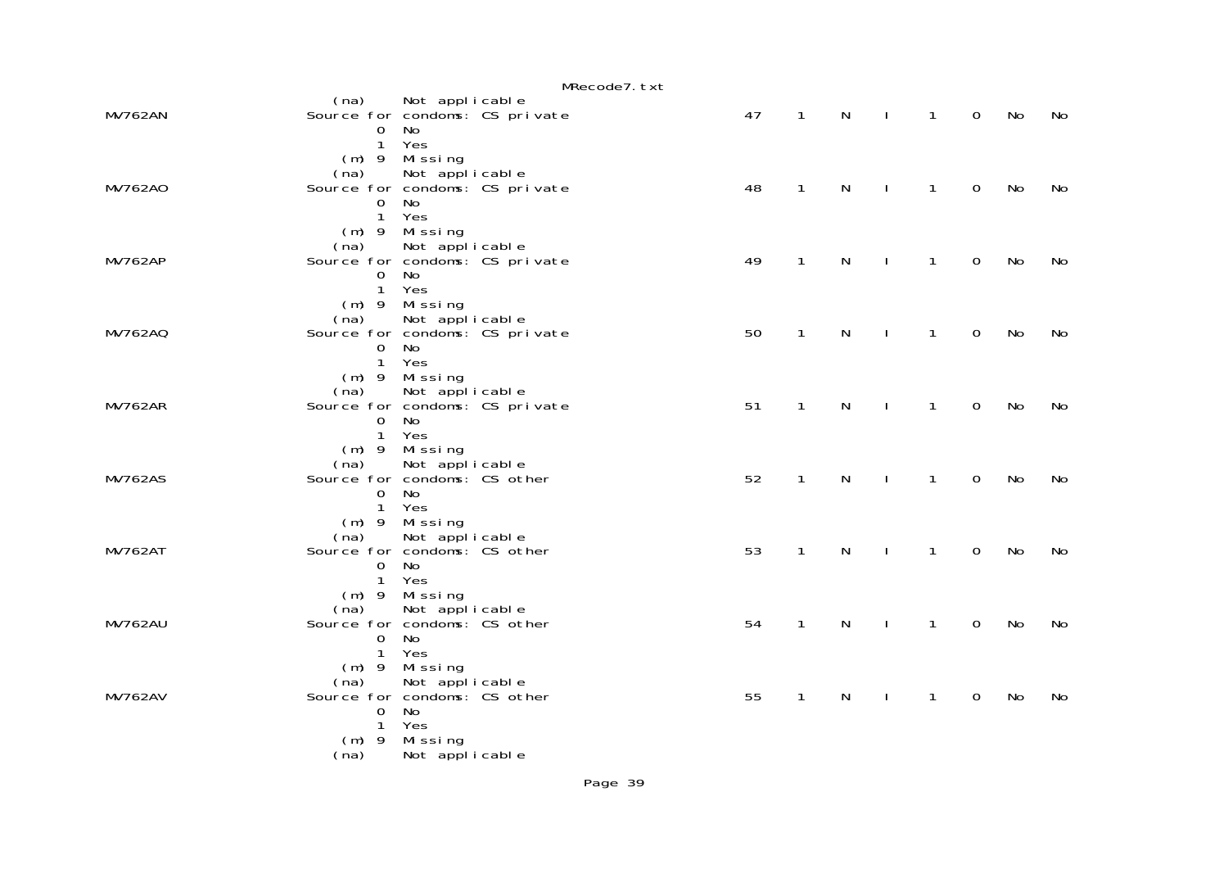|                |                                                                                       |                                                |                                | MRecode7.txt |    |              |              |              |              |                |    |    |
|----------------|---------------------------------------------------------------------------------------|------------------------------------------------|--------------------------------|--------------|----|--------------|--------------|--------------|--------------|----------------|----|----|
| <b>MV762AN</b> | (na)<br>$\Omega$<br>$\mathbf{1}$                                                      | Not applicable<br>No<br>Yes                    | Source for condoms: CS private |              | 47 | $\mathbf{1}$ | $\mathsf{N}$ | $\mathbf{I}$ | $\mathbf{1}$ | $\overline{0}$ | No | No |
| MV762A0        | $(m)$ 9<br>(na)<br>$\mathbf 0$<br>$\mathbf{1}$<br>$(m)$ 9                             | Mi ssi ng<br>Not applicable<br>No<br>Yes       | Source for condoms: CS private |              | 48 | $\mathbf{1}$ | $\mathsf{N}$ | J.           | $\mathbf{1}$ | $\mathbf 0$    | No | No |
| <b>MV762AP</b> | (na)<br>$\overline{0}$<br>$\mathbf{1}$                                                | Missing<br>Not applicable<br>No<br>Yes         | Source for condoms: CS private |              | 49 | $\mathbf{1}$ | $\mathsf{N}$ |              | 1            | $\mathbf 0$    | No | No |
| <b>MV762AQ</b> | $(m)$ 9<br>(na)<br>$\overline{0}$<br>$\mathbf{1}$                                     | Missing<br>Not applicable<br>No<br>Yes         | Source for condoms: CS private |              | 50 | $\mathbf{1}$ | $\mathsf{N}$ |              | 1            | $\Omega$       | No | No |
| <b>MV762AR</b> | $(m)$ 9<br>(na)<br>$\mathbf 0$<br>$\mathbf{1}$                                        | Missing<br>Not applicable<br>No<br>Yes         | Source for condoms: CS private |              | 51 | 1            | $\mathsf{N}$ |              | 1            | $\mathbf 0$    | No | No |
| <b>MV762AS</b> | (na)<br>Source for condoms: CS other<br>$\overline{0}$<br>$\mathbf{1}$                | $(m)$ 9 Missing<br>Not applicable<br>No<br>Yes |                                |              | 52 | $\mathbf{1}$ | $\mathsf{N}$ | $\mathbf{I}$ | $\mathbf{1}$ | $\Omega$       | No | No |
| <b>MV762AT</b> | (na)<br>Source for condoms: CS other<br>$\overline{0}$<br>$\mathbf{1}$                | $(m)$ 9 Missing<br>Not applicable<br>No<br>Yes |                                |              | 53 | $\mathbf{1}$ | $\mathsf{N}$ | $\mathbf{I}$ | 1            | $\mathbf 0$    | No | No |
| <b>MV762AU</b> | (na) Not applicable<br>Source for condoms: CS other<br>$\overline{O}$<br>$\mathbf{1}$ | $(m)$ 9 Missing<br>No<br>Yes                   |                                |              | 54 | $\mathbf{1}$ | $\mathsf{N}$ | J.           | 1            | $\mathbf 0$    | No | No |
| <b>MV762AV</b> | $(m)$ 9<br>(na) Not applicable<br>Source for condoms: CS other<br>0<br>$\mathbf{1}$   | Missing<br><b>No</b><br>Yes                    |                                |              | 55 | $\mathbf{1}$ | N            | J.           | 1            | $\mathbf 0$    | No | No |
|                | $(m)$ 9<br>(na)                                                                       | Missing<br>Not applicable                      |                                |              |    |              |              |              |              |                |    |    |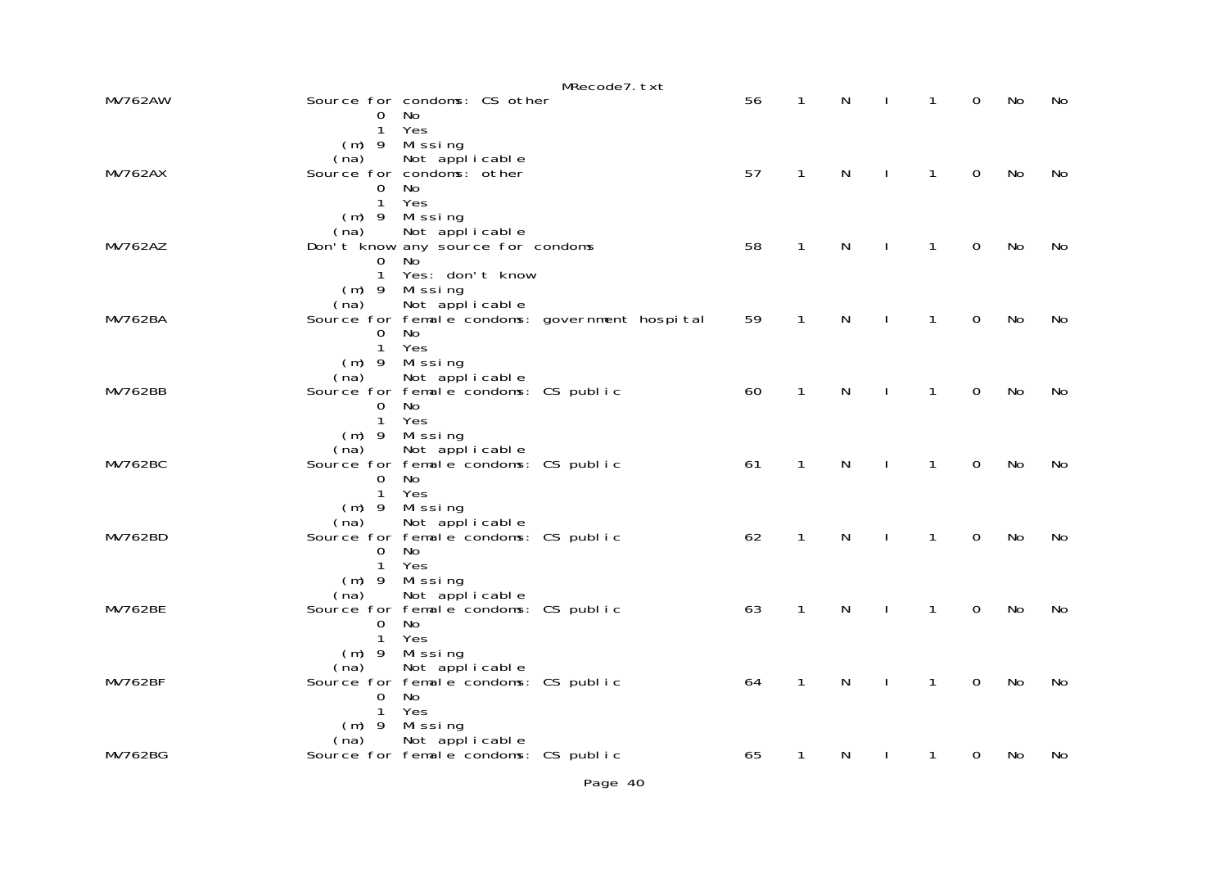|                |                                  |                                                                     | MRecode7.txt                                   |    |              |                                |              |              |                |    |    |
|----------------|----------------------------------|---------------------------------------------------------------------|------------------------------------------------|----|--------------|--------------------------------|--------------|--------------|----------------|----|----|
| <b>MV762AW</b> | 0                                | Source for condoms: CS other<br>No.                                 |                                                | 56 | $\mathbf{1}$ | N                              | $\mathbf{I}$ | $\mathbf{1}$ | 0              | No | No |
|                | $\mathbf{1}$                     | Yes<br>(m) 9 Missing                                                |                                                |    |              |                                |              |              |                |    |    |
| <b>MV762AX</b> |                                  | (na) Not applicable<br>Source for condoms: other                    |                                                | 57 | $\mathbf{1}$ | $\mathsf{N}$<br>$\mathbb{R}^n$ |              | $\mathbf{1}$ | $\overline{O}$ | No | No |
|                | $0-1$<br>1                       | No<br>Yes                                                           |                                                |    |              |                                |              |              |                |    |    |
|                | $(m)$ 9                          | Missing<br>(na) Not applicable<br>Don't know any source for condoms |                                                | 58 | $\mathbf{1}$ |                                |              | $\mathbf{1}$ | $\overline{O}$ |    |    |
| <b>MV762AZ</b> | $\Omega$<br>1                    | No.<br>Yes: don't know                                              |                                                |    |              | N<br>$\sim$ 1.                 |              |              |                | No | No |
|                | (na)                             | $(m)$ 9 Missing<br>Not applicable                                   |                                                |    |              |                                |              |              |                |    |    |
| <b>MV762BA</b> | $\Omega$                         | No                                                                  | Source for female condoms: government hospital | 59 | $\mathbf{1}$ | N                              | $\mathbf{I}$ | $\mathbf{1}$ | $\mathbf 0$    | No | No |
|                | 1 <sup>1</sup>                   | Yes<br>(m) 9 Missing                                                |                                                |    |              |                                |              |              |                |    |    |
| <b>MV762BB</b> | (na)                             | Not applicable<br>Source for female condoms: CS public              |                                                | 60 | $\mathbf{1}$ | $\mathsf{N}$                   | $\mathbf{I}$ | $\mathbf{1}$ | $\mathbf 0$    | No | No |
|                | $\overline{0}$<br>1 <sup>1</sup> | No<br>Yes                                                           |                                                |    |              |                                |              |              |                |    |    |
|                | (na)                             | $(m)$ 9 Missing<br>Not applicable                                   |                                                |    |              |                                |              |              |                |    |    |
| <b>MV762BC</b> | $\Omega$                         | Source for female condoms: CS public<br>No                          |                                                | 61 | $\mathbf{1}$ | $\mathsf{N}$<br>$\sim$ 1.      |              | $\mathbf{1}$ | $\mathbf 0$    | No | No |
|                | $(m)$ 9                          | 1 Yes<br>Missing                                                    |                                                |    |              |                                |              |              |                |    |    |
| <b>MV762BD</b> | (na)                             | Not applicable<br>Source for female condoms: CS public              |                                                | 62 | $\mathbf{1}$ | $\mathsf{N}$                   | $\mathbf{I}$ | $\mathbf{1}$ | $\mathbf 0$    | No | No |
|                | $\Omega$                         | No.<br>1 Yes                                                        |                                                |    |              |                                |              |              |                |    |    |
| <b>MV762BE</b> | $(m)$ 9<br>(na)                  | Missing<br>Not applicable                                           |                                                | 63 | $\mathbf{1}$ | $\mathsf{N}$                   | $\mathbf{I}$ | $\mathbf{1}$ | $\mathbf 0$    | No | No |
|                | $\mathbf{0}$<br>1                | Source for female condoms: CS public<br>No.<br>Yes                  |                                                |    |              |                                |              |              |                |    |    |
|                | $(m)$ 9<br>(na)                  | Missing<br>Not applicable                                           |                                                |    |              |                                |              |              |                |    |    |
| <b>MV762BF</b> | $\overline{0}$                   | Source for female condoms: CS public<br>No                          |                                                | 64 | $\mathbf{1}$ | $\mathsf{N}$                   | $\mathbf{I}$ | $\mathbf{1}$ | $\mathbf 0$    | No | No |
|                | $\mathbf{1}$<br>$(m)$ 9          | Yes<br>Missing                                                      |                                                |    |              |                                |              |              |                |    |    |
| <b>MV762BG</b> | (na)                             | Not applicable<br>Source for female condoms: CS public              |                                                | 65 | 1            | N                              |              | 1            | 0              | No | No |
|                |                                  |                                                                     |                                                |    |              |                                |              |              |                |    |    |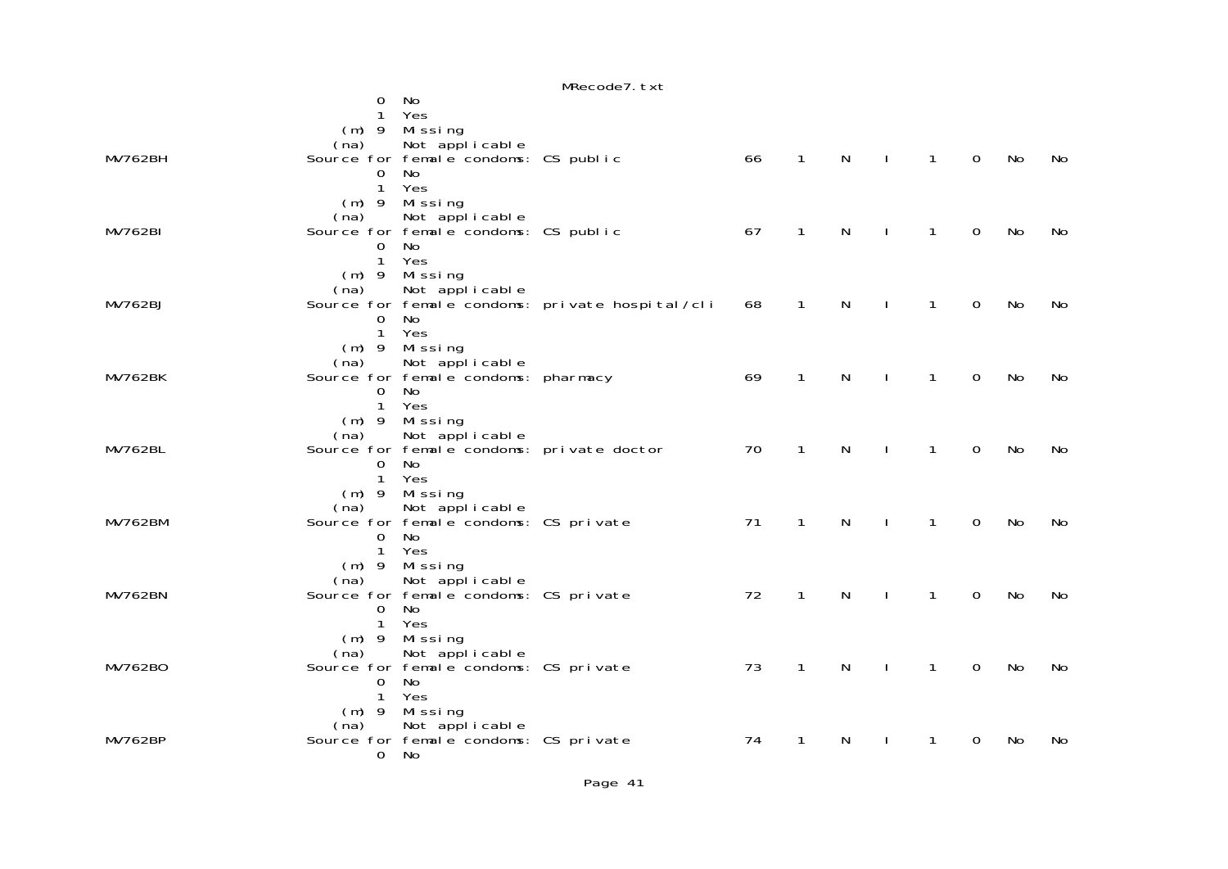|                |                          |                                           | MRecode7.txt                                    |    |              |              |              |              |             |    |    |
|----------------|--------------------------|-------------------------------------------|-------------------------------------------------|----|--------------|--------------|--------------|--------------|-------------|----|----|
|                | 0                        | No                                        |                                                 |    |              |              |              |              |             |    |    |
|                | 1                        | Yes                                       |                                                 |    |              |              |              |              |             |    |    |
|                |                          | (m) 9 Missing                             |                                                 |    |              |              |              |              |             |    |    |
|                | (na)                     | Not applicable                            |                                                 |    |              |              |              |              |             |    |    |
| <b>MV762BH</b> |                          | Source for female condoms: CS public      |                                                 | 66 | $\mathbf{1}$ | $\mathsf{N}$ | $\sim$ 1     | $\mathbf{1}$ | $\mathbf 0$ | No | No |
|                | $\Omega$<br>$\mathbf{1}$ | No<br>Yes                                 |                                                 |    |              |              |              |              |             |    |    |
|                |                          |                                           |                                                 |    |              |              |              |              |             |    |    |
|                | (na)                     | (m) 9 Missing<br>Not applicable           |                                                 |    |              |              |              |              |             |    |    |
| <b>MV762BI</b> |                          | Source for female condoms: CS public      |                                                 | 67 | $\mathbf{1}$ | $\mathsf{N}$ | $\mathbf{I}$ | $\mathbf{1}$ | $\mathbf 0$ | No | No |
|                | 0                        | No                                        |                                                 |    |              |              |              |              |             |    |    |
|                | $\mathbf{1}$             | Yes                                       |                                                 |    |              |              |              |              |             |    |    |
|                |                          | $(m)$ 9 Missing                           |                                                 |    |              |              |              |              |             |    |    |
|                | (na)                     | Not applicable                            |                                                 |    |              |              |              |              |             |    |    |
| <b>MV762BJ</b> |                          |                                           | Source for female condoms: private hospital/cli | 68 | $\mathbf{1}$ | $\mathsf{N}$ |              | $\mathbf{1}$ | $\Omega$    | No | No |
|                | 0                        | No                                        |                                                 |    |              |              |              |              |             |    |    |
|                | $\mathbf{1}$             | Yes                                       |                                                 |    |              |              |              |              |             |    |    |
|                |                          | $(m)$ 9 Missing                           |                                                 |    |              |              |              |              |             |    |    |
| <b>MV762BK</b> | (na)                     | Not applicable                            |                                                 |    | $\mathbf{1}$ | $\mathsf{N}$ |              |              |             |    |    |
|                | 0                        | Source for female condoms: pharmacy<br>No |                                                 | 69 |              |              | $\mathbf{I}$ | $\mathbf{1}$ | $\mathbf 0$ | No | No |
|                | $\mathbf{1}$             | Yes                                       |                                                 |    |              |              |              |              |             |    |    |
|                |                          | $(m)$ 9 Missing                           |                                                 |    |              |              |              |              |             |    |    |
|                | (na)                     | Not applicable                            |                                                 |    |              |              |              |              |             |    |    |
| <b>MV762BL</b> |                          | Source for female condoms: private doctor |                                                 | 70 | $\mathbf{1}$ | $\mathsf{N}$ | $\mathbf{I}$ | $\mathbf{1}$ | $\Omega$    | No | No |
|                | $\Omega$                 | No                                        |                                                 |    |              |              |              |              |             |    |    |
|                |                          | 1 Yes                                     |                                                 |    |              |              |              |              |             |    |    |
|                |                          | $(m)$ 9 Missing                           |                                                 |    |              |              |              |              |             |    |    |
|                | (na)                     | Not applicable                            |                                                 |    |              |              |              |              |             |    |    |
| <b>MV762BM</b> |                          | Source for female condoms: CS private     |                                                 | 71 | $\mathbf{1}$ | $\mathsf{N}$ | $\mathbf{I}$ | $\mathbf{1}$ | $\mathbf 0$ | No | No |
|                | $\Omega$                 | No<br>1 Yes                               |                                                 |    |              |              |              |              |             |    |    |
|                |                          | $(m)$ 9 Missing                           |                                                 |    |              |              |              |              |             |    |    |
|                | (na)                     | Not applicable                            |                                                 |    |              |              |              |              |             |    |    |
| <b>MV762BN</b> |                          | Source for female condoms: CS private     |                                                 | 72 | $\mathbf{1}$ | $\mathsf{N}$ |              | $\mathbf{1}$ | $\Omega$    | No | No |
|                | $\Omega$                 | No                                        |                                                 |    |              |              |              |              |             |    |    |
|                |                          | 1 Yes                                     |                                                 |    |              |              |              |              |             |    |    |
|                | $(m)$ 9                  | Missing                                   |                                                 |    |              |              |              |              |             |    |    |
|                | (na)                     | Not applicable                            |                                                 |    |              |              |              |              |             |    |    |
| MV762B0        |                          | Source for female condoms: CS private     |                                                 | 73 | $\mathbf{1}$ | N            |              | $\mathbf{1}$ | $\Omega$    | No | No |
|                | $\Omega$                 | No                                        |                                                 |    |              |              |              |              |             |    |    |
|                | $\mathbf{1}$             | Yes                                       |                                                 |    |              |              |              |              |             |    |    |
|                | $(m)$ 9<br>(na)          | Missing<br>Not applicable                 |                                                 |    |              |              |              |              |             |    |    |
| MV762BP        |                          | Source for female condoms: CS private     |                                                 | 74 | 1            | N            |              | 1            | 0           | No | No |
|                | $\Omega$                 | No                                        |                                                 |    |              |              |              |              |             |    |    |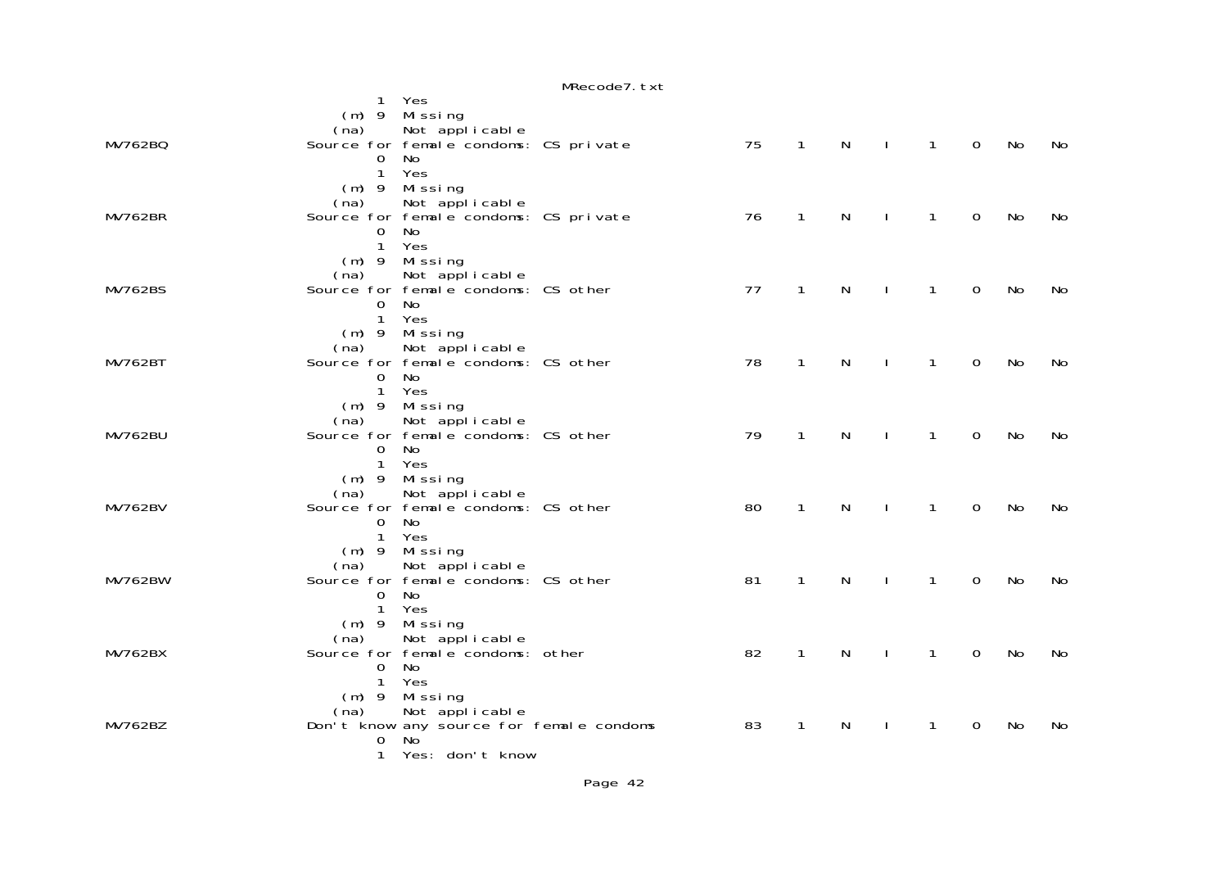|                |                |                                                                 | MRecode7. txt |    |              |   |              |              |                |    |    |
|----------------|----------------|-----------------------------------------------------------------|---------------|----|--------------|---|--------------|--------------|----------------|----|----|
|                |                | 1 Yes                                                           |               |    |              |   |              |              |                |    |    |
|                |                | $(m)$ 9 Missing                                                 |               |    |              |   |              |              |                |    |    |
|                | (na)           | Not applicable                                                  |               |    |              |   |              |              |                |    |    |
| MV762BQ        |                | Source for female condoms: CS private                           |               | 75 | $\mathbf{1}$ | N | $\mathbf{I}$ | $\mathbf{1}$ | $\mathbf 0$    | No | No |
|                | $\overline{0}$ | No                                                              |               |    |              |   |              |              |                |    |    |
|                | 1              | Yes                                                             |               |    |              |   |              |              |                |    |    |
|                |                | (m) 9 Missing                                                   |               |    |              |   |              |              |                |    |    |
|                | (na)           | Not applicable                                                  |               |    |              |   |              |              |                |    |    |
| <b>MV762BR</b> |                | Source for female condoms: CS private                           |               | 76 | $\mathbf{1}$ | N | $\mathbf{L}$ | 1            | $\mathbf 0$    | No | No |
|                | $\overline{O}$ | No                                                              |               |    |              |   |              |              |                |    |    |
|                | $1 -$          | Yes                                                             |               |    |              |   |              |              |                |    |    |
|                |                | (m) 9 Missing                                                   |               |    |              |   |              |              |                |    |    |
| <b>MV762BS</b> |                | (na) Not applicable<br>Source for female condoms: CS other      |               | 77 | $\mathbf{1}$ | N | $\mathbf{L}$ | $\mathbf{1}$ | $\Omega$       | No | No |
|                | $\overline{0}$ | <b>No</b>                                                       |               |    |              |   |              |              |                |    |    |
|                | $\mathbf{1}$   | Yes                                                             |               |    |              |   |              |              |                |    |    |
|                |                | $(m)$ 9 Missing                                                 |               |    |              |   |              |              |                |    |    |
|                | (na)           | Not applicable                                                  |               |    |              |   |              |              |                |    |    |
| <b>MV762BT</b> |                | Source for female condoms: CS other                             |               | 78 | $\mathbf{1}$ | N | $\mathbf{L}$ | $\mathbf{1}$ | $\mathbf 0$    | No | No |
|                | $\Omega$       | No                                                              |               |    |              |   |              |              |                |    |    |
|                | $\mathbf{1}$   | Yes                                                             |               |    |              |   |              |              |                |    |    |
|                |                | $(m)$ 9 Missing                                                 |               |    |              |   |              |              |                |    |    |
|                | (na)           | Not applicable                                                  |               |    |              |   |              |              |                |    |    |
| <b>MV762BU</b> |                | Source for female condoms: CS other                             |               | 79 | $\mathbf{1}$ | N | $\mathbf{L}$ | $\mathbf{1}$ | $\overline{0}$ | No | No |
|                | $\Omega$       | No                                                              |               |    |              |   |              |              |                |    |    |
|                | $\mathbf{1}$   | Yes                                                             |               |    |              |   |              |              |                |    |    |
|                |                | (m) 9 Missing                                                   |               |    |              |   |              |              |                |    |    |
|                | (na)           | Not applicable                                                  |               |    |              |   |              |              |                |    |    |
| <b>MV762BV</b> |                | Source for femal e condoms: CS other                            |               | 80 | $\mathbf{1}$ | N | $\mathbf{L}$ | $\mathbf{1}$ | $\mathbf 0$    | No | No |
|                | $\overline{0}$ | No                                                              |               |    |              |   |              |              |                |    |    |
|                | $\mathbf{1}$   | Yes                                                             |               |    |              |   |              |              |                |    |    |
|                |                | $(m)$ 9 Missing                                                 |               |    |              |   |              |              |                |    |    |
| <b>MV762BW</b> | (na)           | Not applicable<br>Source for female condoms: CS other           |               | 81 | $\mathbf{1}$ | N | $\mathbf{L}$ | $\mathbf{1}$ | $\overline{0}$ | No | No |
|                | $\mathbf{0}$   | No                                                              |               |    |              |   |              |              |                |    |    |
|                | $\mathbf{1}$   | Yes                                                             |               |    |              |   |              |              |                |    |    |
|                |                | (m) 9 Missing                                                   |               |    |              |   |              |              |                |    |    |
|                | (na)           | Not applicable                                                  |               |    |              |   |              |              |                |    |    |
| <b>MV762BX</b> |                | Source for femal e condoms: other                               |               | 82 | $\mathbf{1}$ | N | $\mathbf{I}$ | $\mathbf{1}$ | $\mathbf 0$    | No | No |
|                | $\Omega$       | No                                                              |               |    |              |   |              |              |                |    |    |
|                | $\mathbf{1}$   | Yes                                                             |               |    |              |   |              |              |                |    |    |
|                |                | $(m)$ 9 Missing                                                 |               |    |              |   |              |              |                |    |    |
|                |                |                                                                 |               |    |              |   |              |              |                |    |    |
| <b>MV762BZ</b> |                | (na) Not applicable<br>Don't know any source for female condoms |               | 83 | $\mathbf{1}$ | N |              | 1            | $\Omega$       | No | No |
|                | 0              | No.                                                             |               |    |              |   |              |              |                |    |    |
|                | 1              | Yes: don't know                                                 |               |    |              |   |              |              |                |    |    |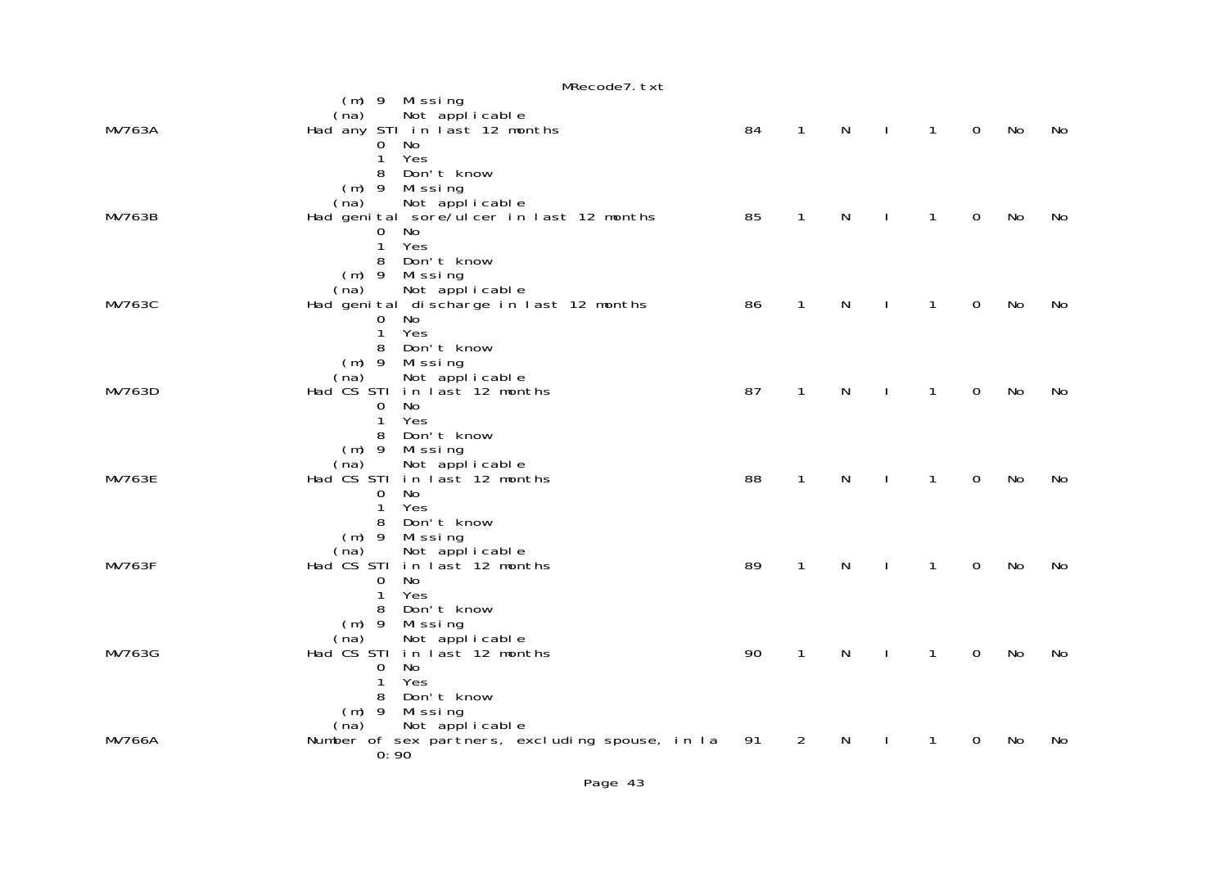|               | MRecode7.txt                                                                                                                                |    |              |              |              |              |             |           |    |
|---------------|---------------------------------------------------------------------------------------------------------------------------------------------|----|--------------|--------------|--------------|--------------|-------------|-----------|----|
| MV763A        | $(m)$ 9 Missing<br>Not applicable<br>(na)<br>Had any STI in last 12 months<br>No<br>0<br>Yes<br>1<br>8<br>Don't know                        | 84 | $\mathbf{1}$ | $\mathsf{N}$ | $\mathbf{I}$ | $\mathbf{1}$ | $\mathbf 0$ | <b>No</b> | No |
| <b>MV763B</b> | $(m)$ 9<br>Missing<br>Not applicable<br>(na)<br>Had genital sore/ulcer in last 12 months<br><b>No</b><br>$\overline{O}$<br>Yes<br>1         | 85 | $\mathbf{1}$ | N            |              | 1            | 0           | No        | No |
| <b>MV763C</b> | 8<br>Don't know<br>$(m)$ 9 Missing<br>Not applicable<br>(na)<br>Had genital discharge in last 12 months<br>0<br>No<br>$\mathbf{1}$<br>Yes   | 86 | $\mathbf{1}$ | N            |              | 1            | $\mathbf 0$ | No        | No |
| MV763D        | 8<br>Don't know<br>Missing<br>$(m)$ 9<br>Not applicable<br>(na)<br>Had CS STI in last 12 months<br>No<br>$\mathbf 0$<br>Yes<br>$\mathbf{1}$ | 87 | $\mathbf{1}$ | $\mathsf{N}$ | $\mathbf{I}$ | $\mathbf{1}$ | $\mathbf 0$ | No        | No |
| <b>MV763E</b> | Don't know<br>8<br>$(m)$ 9<br>Mi ssi ng<br>(na) Not applicable<br>Had CS STI in last 12 months<br>No<br>0<br>Yes<br>$\mathbf{1}$            | 88 | $\mathbf{1}$ | $\mathsf{N}$ | $\mathbf{I}$ | $\mathbf{1}$ | $\mathbf 0$ | No        | No |
| <b>MV763F</b> | Don't know<br>8<br>$(m)$ 9<br>Missing<br>Not applicable<br>(na)<br>Had CS STI in last 12 months<br>No<br>0<br>Yes<br>$\mathbf{1}$           | 89 | $\mathbf{1}$ | N            | J.           | 1            | $\mathbf 0$ | No        | No |
| MV763G        | Don't know<br>8<br>$(m)$ 9<br>Missing<br>(na) Not applicable<br>Had CS STI in last 12 months<br>No<br>0<br>Yes<br>1                         | 90 | 1            | N            |              | 1            | $\mathbf 0$ | No        | No |
| <b>MV766A</b> | Don't know<br>8<br>$(m)$ 9<br>Missing<br>Not applicable<br>(na)<br>Number of sex partners, excluding spouse, in la<br>0:90                  | 91 | 2            | N            |              | 1            | 0           | No        | No |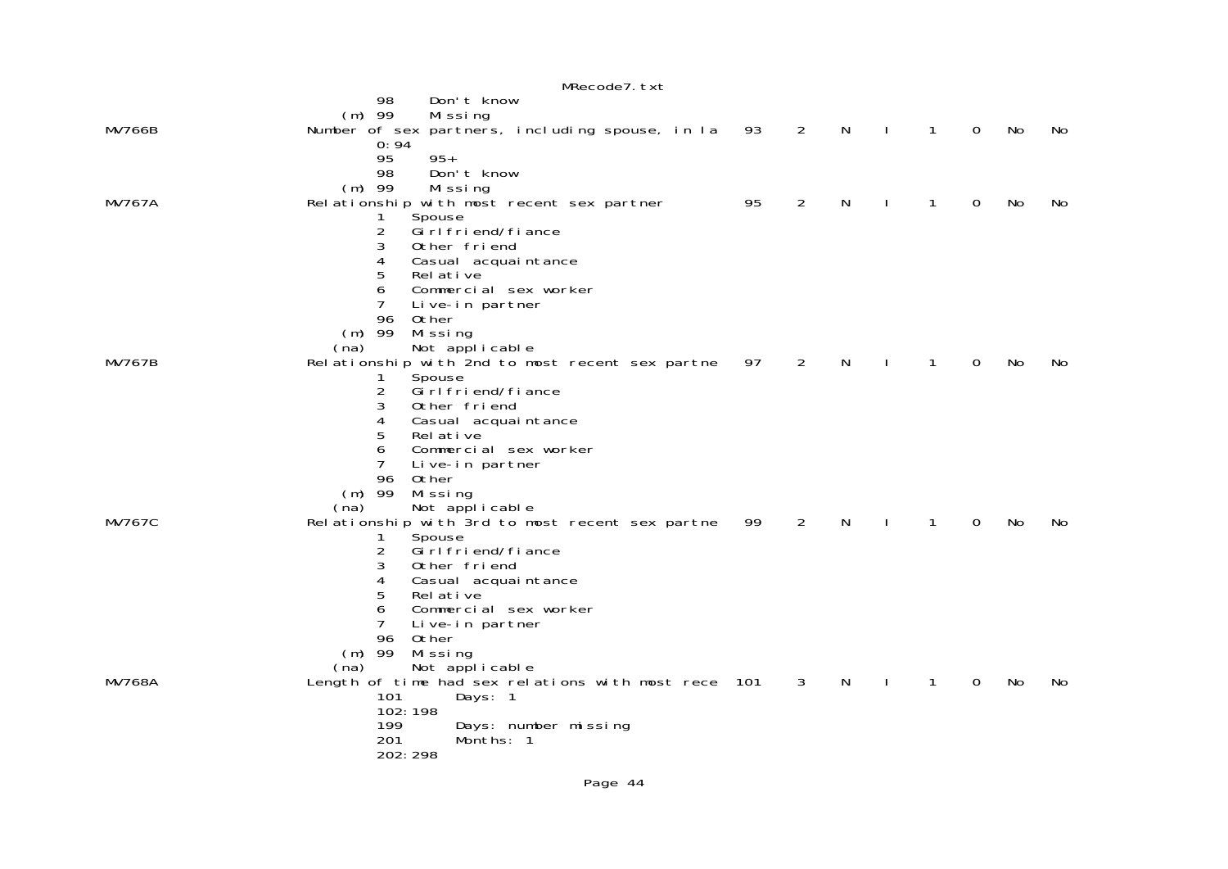| MRecode7. txt |                                                         |    |                |   |              |              |             |    |     |  |  |
|---------------|---------------------------------------------------------|----|----------------|---|--------------|--------------|-------------|----|-----|--|--|
|               | 98<br>Don't know                                        |    |                |   |              |              |             |    |     |  |  |
|               | $(m)$ 99<br>Missing                                     |    |                |   |              |              |             |    |     |  |  |
| <b>MV766B</b> | Number of sex partners, including spouse, in la<br>0:94 | 93 | 2              | N | $\mathbf{I}$ | $\mathbf{1}$ | $\mathbf 0$ | No | No. |  |  |
|               | 95<br>$95+$                                             |    |                |   |              |              |             |    |     |  |  |
|               | 98<br>Don't know                                        |    |                |   |              |              |             |    |     |  |  |
|               | $(m)$ 99<br>Missing                                     |    |                |   |              |              |             |    |     |  |  |
| <b>MV767A</b> | Relationship with most recent sex partner               | 95 | $\overline{2}$ | N |              | 1            | 0           | No | No. |  |  |
|               | Spouse<br>1<br>$\overline{c}$<br>Gi rl fri end/fi ance  |    |                |   |              |              |             |    |     |  |  |
|               | 3<br>Other friend                                       |    |                |   |              |              |             |    |     |  |  |
|               | 4<br>Casual acquaintance                                |    |                |   |              |              |             |    |     |  |  |
|               | 5<br>Rel ative                                          |    |                |   |              |              |             |    |     |  |  |
|               | 6<br>Commercial sex worker                              |    |                |   |              |              |             |    |     |  |  |
|               | $\overline{7}$<br>Live-in partner<br>Other<br>96        |    |                |   |              |              |             |    |     |  |  |
|               | $(m)$ 99<br>Missing                                     |    |                |   |              |              |             |    |     |  |  |
|               | Not applicable<br>(na)                                  |    |                |   |              |              |             |    |     |  |  |
| <b>MV767B</b> | Relationship with 2nd to most recent sex partne         | 97 | 2              | N |              | $\mathbf{1}$ | 0           | No | No. |  |  |
|               | Spouse<br>1.<br>2<br>Gi rl fri end/fi ance              |    |                |   |              |              |             |    |     |  |  |
|               | 3<br>Other friend                                       |    |                |   |              |              |             |    |     |  |  |
|               | 4<br>Casual acquaintance                                |    |                |   |              |              |             |    |     |  |  |
|               | 5<br>Rel ative                                          |    |                |   |              |              |             |    |     |  |  |
|               | 6<br>Commercial sex worker<br>7                         |    |                |   |              |              |             |    |     |  |  |
|               | Live-in partner<br>96<br>Other                          |    |                |   |              |              |             |    |     |  |  |
|               | $(m)$ 99<br>Missing                                     |    |                |   |              |              |             |    |     |  |  |
|               | Not applicable<br>(na)                                  |    |                |   |              |              |             |    |     |  |  |
| <b>MV767C</b> | Relationship with 3rd to most recent sex partne         | 99 | 2              | N |              | $\mathbf{1}$ | $\mathbf 0$ | No | No  |  |  |
|               | 1<br>Spouse<br>2<br>Gi rl fri end/fi ance               |    |                |   |              |              |             |    |     |  |  |
|               | 3<br>Other friend                                       |    |                |   |              |              |             |    |     |  |  |
|               | 4<br>Casual acquaintance                                |    |                |   |              |              |             |    |     |  |  |
|               | 5<br>Rel ative                                          |    |                |   |              |              |             |    |     |  |  |
|               | 6<br>Commercial sex worker<br>7                         |    |                |   |              |              |             |    |     |  |  |
|               | Live-in partner<br>96<br>Other                          |    |                |   |              |              |             |    |     |  |  |
|               | $(m)$ 99<br>Missing                                     |    |                |   |              |              |             |    |     |  |  |
|               | Not applicable<br>(na)                                  |    |                |   |              |              |             |    |     |  |  |
| <b>MV768A</b> | Length of time had sex relations with most rece 101     |    | $\mathbf{3}$   | N | $\mathbf{I}$ | $\mathbf{1}$ | $\mathbf 0$ | No | No. |  |  |
|               | 101<br>Days: 1<br>102:198                               |    |                |   |              |              |             |    |     |  |  |
|               | 199<br>Days: number missing                             |    |                |   |              |              |             |    |     |  |  |
|               | Months: 1<br>201                                        |    |                |   |              |              |             |    |     |  |  |
|               | 202: 298                                                |    |                |   |              |              |             |    |     |  |  |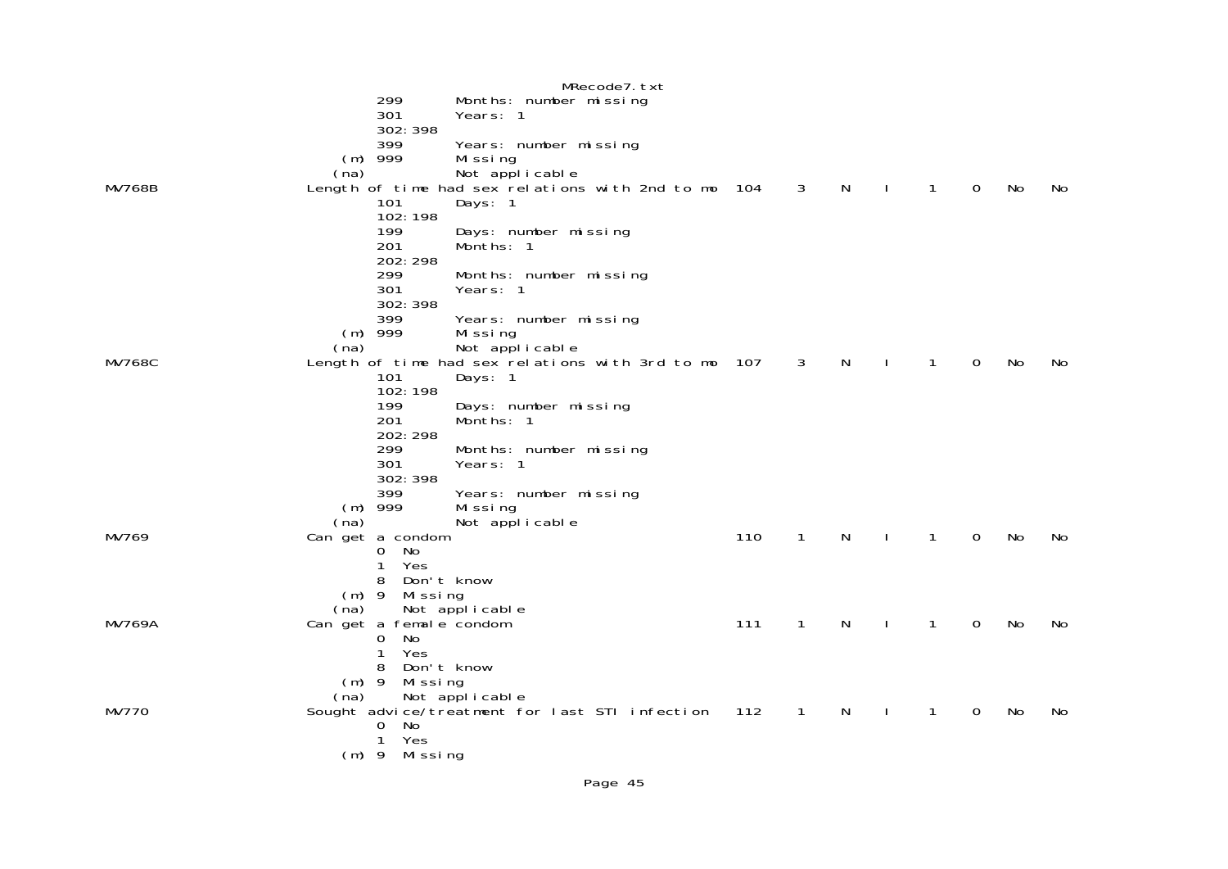MRecode7.txt 299 Months: number missing Years: 1 302:398 399 Years: number missing (m) 999 Missing Not applicable MV768B Length of time had sex relations with 2nd to mo 104 3 N I 1 0 No No Days: 1 102:198 199 Days: number missing<br>201 Months: 1 Months: 1 202:298 299 Months: number missing Years: 1 302:398 399 Years: number missing<br>(m) 999 Missing (m) 999 Missing<br>Missing (na) Not applicable<br>MV768C Length of time had sex relations Length of time had sex relations with 3rd to mo 107 3 N I 1 0 No No No Days: 1 102:198 199 Days: number missing<br>201 Months: 1 201 Months: 1 202:298 299 Months: number missing Years: 1 302:398 399 Years: number missing<br>(m) 999 Missing (m) 999 Missing<br>(na) Not applicable<br>MV769 MV769 Can get a condom Can get a condom the state of the condom the state of the state of the state of the state of the state of the state of the state of the state of the state of the state of the state of the state of the state of the state of 0 No 1 Yes 8 Don't know m) 9 Missing<br>(ma) Not applicable<br>MV769A Can get a female condom Can get a female condom and the condom that the condom in the set of the condom that the condom in the condom t 0 No 1 Yes 8 Don't know (m) 9 Missing (na) Not applicable MV770 Sought advice/treatment for last STI infection 112 1 N I 1 0 No No 0 No 1 Yes(m) 9 Missing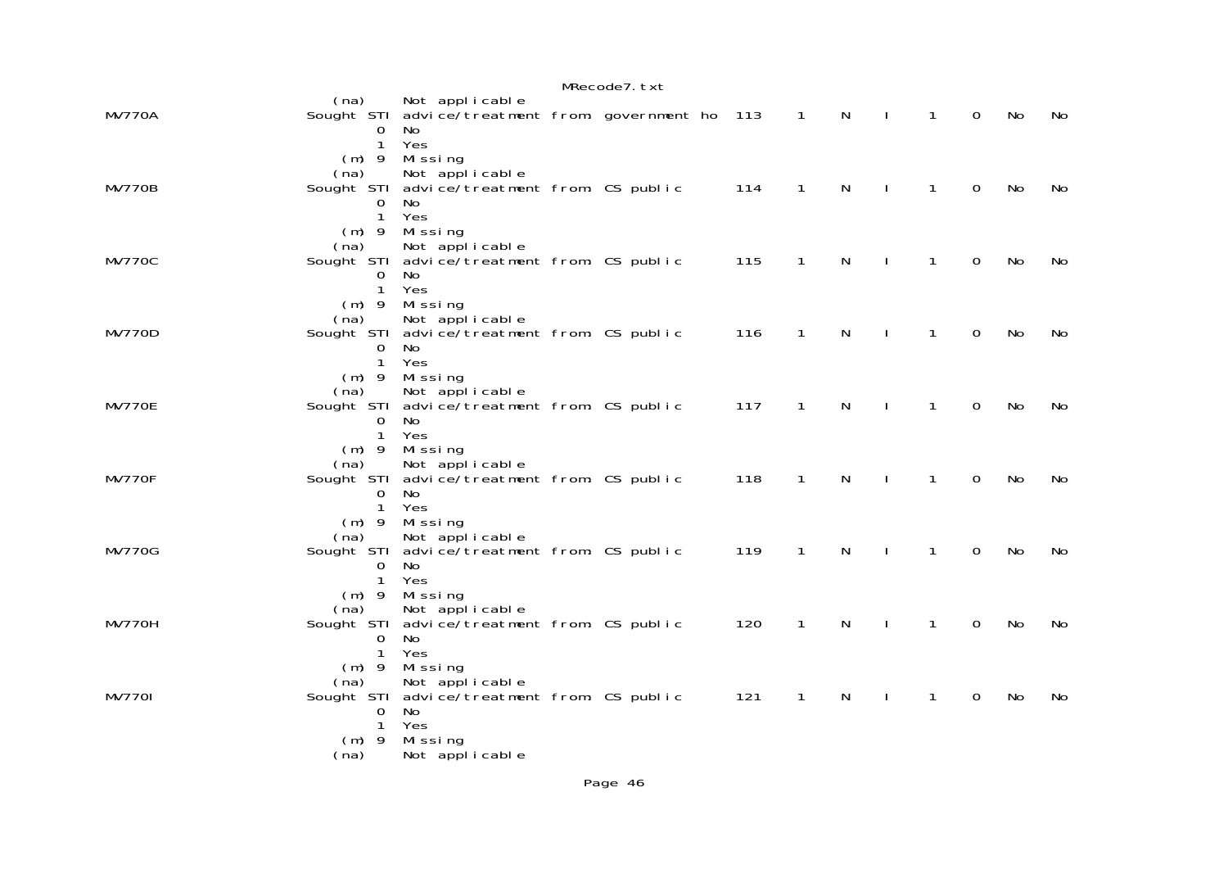| MRecode7.txt  |                                                           |                                                                                                                    |  |  |     |                |              |              |              |             |    |    |
|---------------|-----------------------------------------------------------|--------------------------------------------------------------------------------------------------------------------|--|--|-----|----------------|--------------|--------------|--------------|-------------|----|----|
| <b>MV770A</b> | (na)<br>$\mathbf 0$<br>$\mathbf{1}$                       | Not applicable<br>Sought STI advice/treatment from: government ho 113<br>No<br>Yes                                 |  |  |     | $\overline{1}$ | N            | $\sim$ 1     | $\mathbf{1}$ | $\mathbf 0$ | No | No |
| <b>MV770B</b> | $(m)$ 9<br>(na)<br>0<br>$\mathbf{1}$                      | Missing<br>Not applicable<br>Sought STI advice/treatment from: CS public<br>No.<br>Yes                             |  |  | 114 | $\mathbf{1}$   | $\mathsf{N}$ | $\mathbf{I}$ | $\mathbf{1}$ | $\mathbf 0$ | No | No |
| <b>MV770C</b> | $(m)$ 9<br>(na)<br>0<br>$\mathbf{1}$                      | Missing<br>Not applicable<br>Sought STI advice/treatment from: CS public<br>No.<br>Yes                             |  |  | 115 | $\mathbf{1}$   | N            | $\perp$      | $\mathbf{1}$ | $\mathbf 0$ | No | No |
| <b>MV770D</b> | $(m)$ 9<br>(na)<br>$\Omega$<br>$\mathbf{1}$               | Missing<br>Not applicable<br>Sought STI advice/treatment from: CS public<br>No<br>Yes                              |  |  | 116 | $\mathbf{1}$   | N            | $\mathbf{I}$ | $\mathbf{1}$ | $\mathbf 0$ | No | No |
| MV770E        | $(m)$ 9<br>(na)<br>0<br>$\mathbf{1}$                      | Missing<br>Not applicable<br>Sought STI advice/treatment from: CS public<br>No.<br>Yes                             |  |  | 117 | $\mathbf{1}$   | N            | $\mathbf{I}$ | $\mathbf{1}$ | 0           | No | No |
| MV770F        | $(m)$ 9<br>(na)<br>0<br>$\mathbf{1}$                      | Missing<br>Not applicable<br>Sought STI advice/treatment from: CS public<br>No<br>Yes                              |  |  | 118 | $\mathbf{1}$   | N            | $\mathbf{I}$ | $\mathbf{1}$ | $\mathbf 0$ | No | No |
| <b>MV770G</b> | $(m)$ 9<br>(na)<br>0<br>$\mathbf{1}$                      | Missing<br>Not applicable<br>Sought STI advice/treatment from: CS public<br>No<br>Yes                              |  |  | 119 | $\mathbf{1}$   | N            |              | 1            | $\mathbf 0$ | No | No |
| MV770H        | $(m)$ 9<br>(na)<br>$\Omega$<br>1                          | Missing<br>Not applicable<br>Sought STI advice/treatment from: CS public<br>No<br>Yes                              |  |  | 120 | $\mathbf{1}$   | N            |              | 1            | 0           | No | No |
| <b>MV7701</b> | $(m)$ 9<br>(na)<br>$\overline{0}$<br>1<br>$(m)$ 9<br>(na) | Missing<br>Not applicable<br>Sought STI advice/treatment from: CS public<br>No<br>Yes<br>Missing<br>Not applicable |  |  | 121 | 1              | N            |              | 1            | 0           | No | No |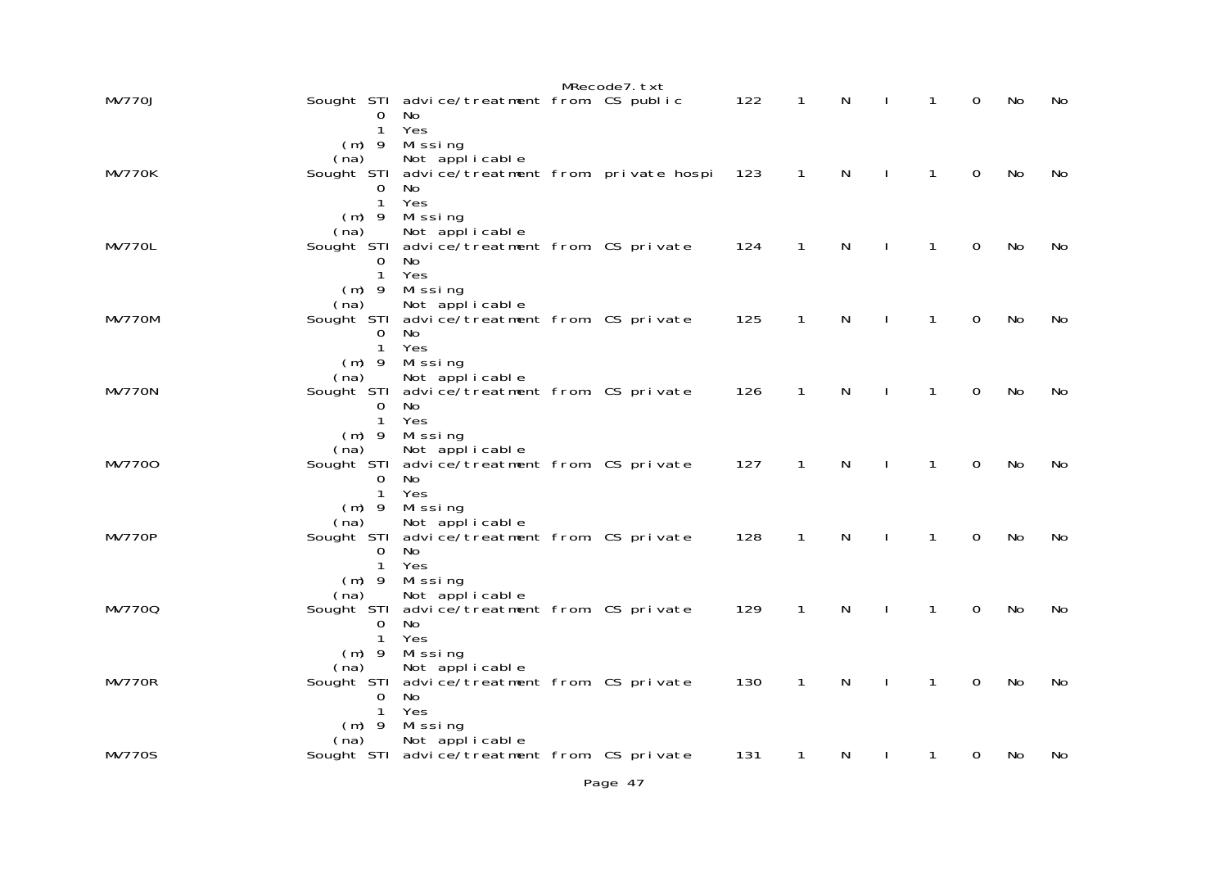|               |                                 |                                                                   | MRecode7. txt |     |              |              |              |              |             |    |    |
|---------------|---------------------------------|-------------------------------------------------------------------|---------------|-----|--------------|--------------|--------------|--------------|-------------|----|----|
| <b>MV770J</b> | 0                               | Sought STI advice/treatment from: CS public<br>No.                |               | 122 | $\mathbf{1}$ | N            |              | $\mathbf{1}$ | 0           | No | No |
|               | 1<br>$(m)$ 9                    | Yes<br>Missing                                                    |               |     |              |              |              |              |             |    |    |
| MV770K        | (na)                            | Not applicable<br>Sought STI advice/treatment from: private hospi |               | 123 | $\mathbf{1}$ | N            | $\mathbf{I}$ | $\mathbf{1}$ | $\mathbf 0$ | No | No |
|               | 0<br>$\mathbf{1}$               | No.<br>Yes                                                        |               |     |              |              |              |              |             |    |    |
|               | $(m)$ 9<br>(na)                 | Missing<br>Not applicable                                         |               |     |              |              |              |              |             |    |    |
| MV770L        | 0<br>$\mathbf{1}$               | Sought STI advice/treatment from: CS private<br>No.<br>Yes        |               | 124 | $\mathbf{1}$ | $\mathsf{N}$ | $\mathbf{I}$ | $\mathbf{1}$ | $\mathbf 0$ | No | No |
|               | $(m)$ 9<br>(na)                 | Missing<br>Not applicable                                         |               |     |              |              |              |              |             |    |    |
| MV770M        | 0                               | Sought STI advice/treatment from: CS private<br>No.               |               | 125 | $\mathbf{1}$ | $\mathsf{N}$ | $\mathbf{I}$ | $\mathbf{1}$ | $\mathbf 0$ | No | No |
|               | $\mathbf{1}$<br>$(m)$ 9         | Yes<br>Missing                                                    |               |     |              |              |              |              |             |    |    |
| MV770N        | (na)                            | Not applicable<br>Sought STI advice/treatment from: CS private    |               | 126 | $\mathbf{1}$ | N            | $\mathbf{I}$ | $\mathbf{1}$ | $\mathbf 0$ | No | No |
|               | 0<br>$\mathbf{1}$               | No.<br>Yes                                                        |               |     |              |              |              |              |             |    |    |
|               | $(m)$ 9<br>(na)                 | Missing<br>Not applicable                                         |               |     |              |              |              |              |             |    |    |
| MV7700        | 0<br>$\mathbf{1}$               | Sought STI advice/treatment from: CS private<br>No.<br>Yes        |               | 127 | $\mathbf{1}$ | N            | <sup>1</sup> | $\mathbf{1}$ | 0           | No | No |
|               | $(m)$ 9<br>(na)                 | Missing<br>Not applicable                                         |               |     |              |              |              |              |             |    |    |
| <b>MV770P</b> | 0                               | Sought STI advice/treatment from: CS private<br>No.               |               | 128 | $\mathbf{1}$ | N            |              | $\mathbf{1}$ | 0           | No | No |
|               | $\mathbf{1}$<br>$(m)$ 9         | Yes<br>Missing                                                    |               |     |              |              |              |              |             |    |    |
| MV7700        | (na)                            | Not applicable<br>Sought STI advice/treatment from: CS private    |               | 129 | $\mathbf{1}$ | N            |              | $\mathbf{1}$ | 0           | No | No |
|               | $\Omega$<br>$\mathbf{1}$        | No.<br>Yes                                                        |               |     |              |              |              |              |             |    |    |
|               | $(m)$ 9<br>(na)                 | Missing<br>Not applicable                                         |               |     |              |              |              |              |             |    |    |
| MV770R        | 0                               | Sought STI advice/treatment from: CS private<br>No.               |               | 130 | $\mathbf{1}$ | N            |              | $\mathbf{1}$ | 0           | No | No |
|               | $\mathbf{1}$<br>$(m)$ 9<br>(na) | Yes<br>Missing<br>Not applicable                                  |               |     |              |              |              |              |             |    |    |
| <b>MV770S</b> |                                 | Sought STI advice/treatment from: CS private                      |               | 131 | 1            | N            |              | 1            | 0           | No | No |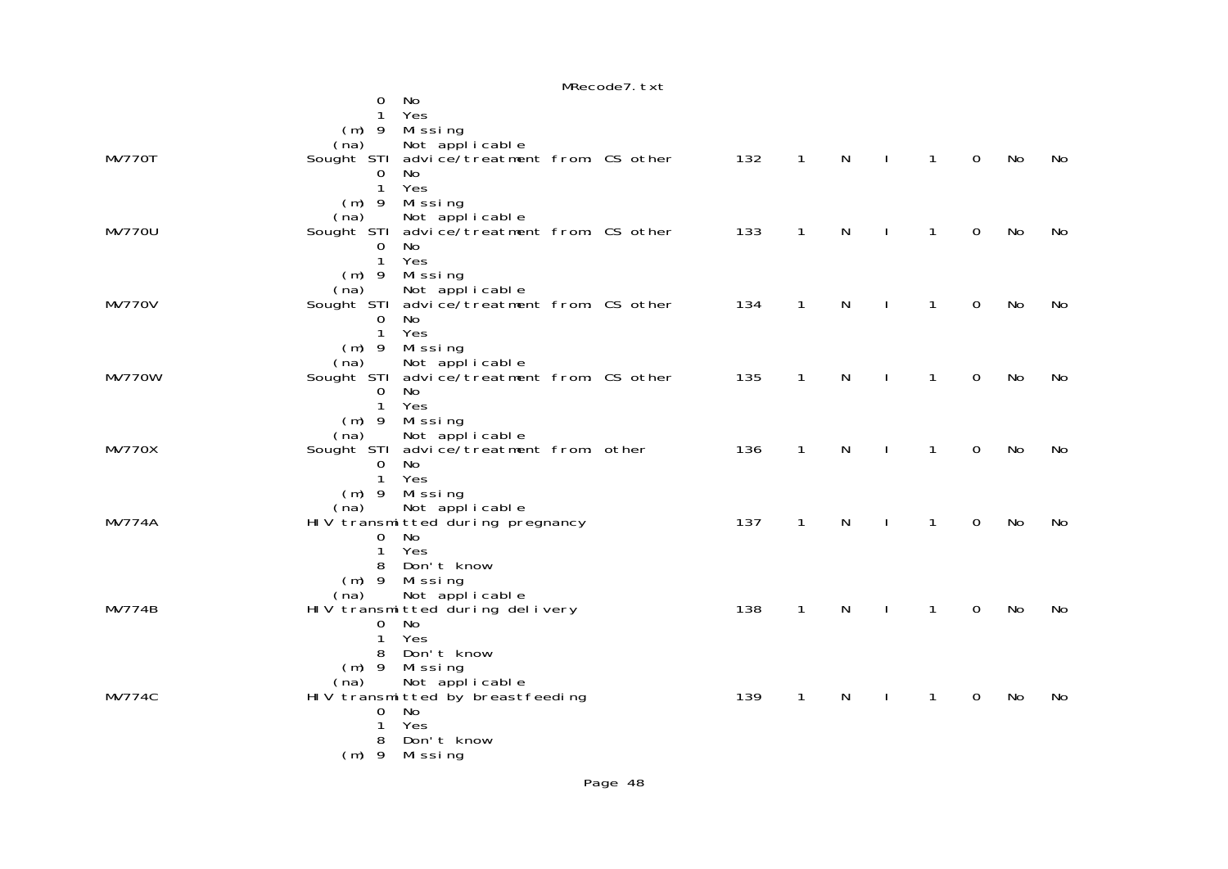|               |                         |                                                         | MRecode7.txt |     |                |              |              |              |             |    |    |
|---------------|-------------------------|---------------------------------------------------------|--------------|-----|----------------|--------------|--------------|--------------|-------------|----|----|
|               | 0                       | No                                                      |              |     |                |              |              |              |             |    |    |
|               | $\mathbf{1}$            | Yes                                                     |              |     |                |              |              |              |             |    |    |
|               |                         | $(m)$ 9 Missing                                         |              |     |                |              |              |              |             |    |    |
|               | (na)                    | Not applicable                                          |              |     |                |              |              |              |             |    |    |
| MV770T        |                         | Sought STI advice/treatment from: CS other              |              | 132 | $\overline{1}$ | $\mathsf{N}$ | $\mathbf{I}$ | $\mathbf{1}$ | $\mathbf 0$ | No | No |
|               | $\overline{0}$          | No                                                      |              |     |                |              |              |              |             |    |    |
|               | $\mathbf{1}$            | Yes                                                     |              |     |                |              |              |              |             |    |    |
|               | (na)                    | $(m)$ 9 Missing<br>Not applicable                       |              |     |                |              |              |              |             |    |    |
| <b>MV770U</b> |                         | Sought STI advice/treatment from: CS other              |              | 133 | $\mathbf{1}$   | $\mathsf{N}$ | $\mathbf{I}$ | $\mathbf{1}$ | $\mathbf 0$ | No | No |
|               | 0                       | No                                                      |              |     |                |              |              |              |             |    |    |
|               | $\mathbf{1}$            | Yes                                                     |              |     |                |              |              |              |             |    |    |
|               |                         | $(m)$ 9 Missing                                         |              |     |                |              |              |              |             |    |    |
|               | (na)                    | Not applicable                                          |              |     |                |              |              |              |             |    |    |
| <b>MV770V</b> |                         | Sought STI advice/treatment from: CS other              |              | 134 | $\mathbf{1}$   | $\mathsf{N}$ | $\mathbf{I}$ | $\mathbf{1}$ | $\mathbf 0$ | No | No |
|               | $\mathbf 0$             | No                                                      |              |     |                |              |              |              |             |    |    |
|               | $\mathbf{1}$            | Yes                                                     |              |     |                |              |              |              |             |    |    |
|               | $(m)$ 9                 | Missing                                                 |              |     |                |              |              |              |             |    |    |
|               | (na)                    | Not applicable                                          |              |     |                |              |              |              |             |    |    |
| MV770W        |                         | Sought STI advice/treatment from: CS other              |              | 135 | $\mathbf{1}$   | $\mathsf{N}$ | $\mathbf{I}$ | $\mathbf{1}$ | 0           | No | No |
|               | 0                       | No                                                      |              |     |                |              |              |              |             |    |    |
|               | $\mathbf{1}$<br>$(m)$ 9 | Yes                                                     |              |     |                |              |              |              |             |    |    |
|               | (na)                    | Mi ssi ng<br>Not applicable                             |              |     |                |              |              |              |             |    |    |
| <b>MV770X</b> |                         | Sought STI advice/treatment from: other                 |              | 136 | $\mathbf{1}$   | $\mathsf{N}$ | $\mathbf{I}$ | $\mathbf{1}$ | $\mathbf 0$ | No | No |
|               | 0                       | No                                                      |              |     |                |              |              |              |             |    |    |
|               | $\mathbf{1}$            | Yes                                                     |              |     |                |              |              |              |             |    |    |
|               | $(m)$ 9                 | Mi ssi ng                                               |              |     |                |              |              |              |             |    |    |
|               | (na)                    | Not applicable                                          |              |     |                |              |              |              |             |    |    |
| <b>MV774A</b> |                         | HIV transmitted during pregnancy                        |              | 137 | $\mathbf{1}$   | $\mathsf{N}$ | $\mathbf{L}$ | $\mathbf{1}$ | $\mathbf 0$ | No | No |
|               | $\mathsf{O}$            | No                                                      |              |     |                |              |              |              |             |    |    |
|               | $\mathbf{1}$            | Yes                                                     |              |     |                |              |              |              |             |    |    |
|               | 8                       | Don't know                                              |              |     |                |              |              |              |             |    |    |
|               |                         | (m) 9 Missing                                           |              |     |                |              |              |              |             |    |    |
|               | (na)                    | Not applicable                                          |              |     | $\mathbf{1}$   | $\mathsf{N}$ |              | $\mathbf{1}$ | $\mathbf 0$ | No |    |
| <b>MV774B</b> | $\mathbf 0$             | HIV transmitted during delivery<br>No                   |              | 138 |                |              | $\mathbf{I}$ |              |             |    | No |
|               | 1                       | Yes                                                     |              |     |                |              |              |              |             |    |    |
|               | 8                       | Don't know                                              |              |     |                |              |              |              |             |    |    |
|               | $(m)$ 9                 | Missing                                                 |              |     |                |              |              |              |             |    |    |
|               |                         |                                                         |              |     |                |              |              |              |             |    |    |
| <b>MV774C</b> |                         | (na) Not applicable<br>HIV transmitted by breastfeeding |              | 139 | $\mathbf{1}$   | N            |              | 1            | $\mathbf 0$ | No | No |
|               | $\mathbf 0$             | No                                                      |              |     |                |              |              |              |             |    |    |
|               | $\mathbf{1}$            | Yes                                                     |              |     |                |              |              |              |             |    |    |
|               | 8                       | Don't know                                              |              |     |                |              |              |              |             |    |    |
|               |                         | $(m)$ 9 Missing                                         |              |     |                |              |              |              |             |    |    |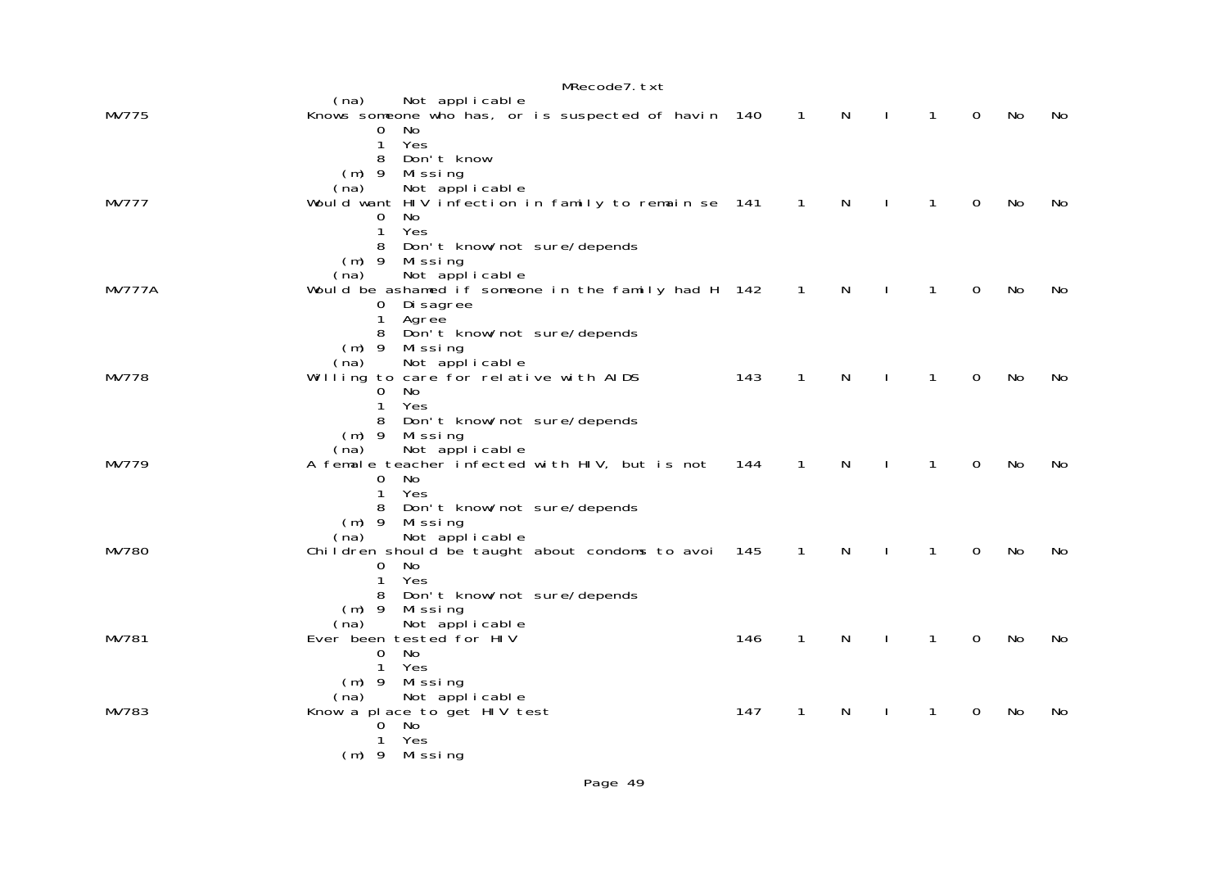|               | MRecode7. txt                                                                                   |     |                            |              |              |              |             |    |     |
|---------------|-------------------------------------------------------------------------------------------------|-----|----------------------------|--------------|--------------|--------------|-------------|----|-----|
| MV775         | Not applicable<br>(na)<br>Knows someone who has, or is suspected of havin 140                   |     | $\overline{1}$             | $\mathsf{N}$ | $\sim$ 1     | $\mathbf{1}$ | $\mathbf 0$ | No | No. |
|               | No<br>0<br>1<br>Yes<br>Don't know<br>8                                                          |     |                            |              |              |              |             |    |     |
|               | $(m)$ 9<br>Missing<br>Not applicable<br>(na)                                                    |     |                            |              |              |              |             |    |     |
| <b>MV777</b>  | Would want HIV infection in family to remain se 141<br>0<br>No.<br>$\mathbf{1}$<br>Yes          |     | $\overline{\phantom{1}}$ 1 | N            | $\mathbf{I}$ | $\mathbf{1}$ | $\mathbf 0$ | No | No  |
|               | Don't know/not sure/depends<br>8<br>$(m)$ 9<br>Missing                                          |     |                            |              |              |              |             |    |     |
| <b>MV777A</b> | Not applicable<br>(na)<br>Would be ashamed if someone in the family had H 142<br>$\mathbf{O}$   |     | $\overline{1}$             | $\mathsf{N}$ | $\mathbf{I}$ | $\mathbf{1}$ | $\mathbf 0$ | No | No  |
|               | Di sagree<br>1<br>Agree<br>8<br>Don't know/not sure/depends                                     |     |                            |              |              |              |             |    |     |
|               | $(m)$ 9<br>Missing<br>Not applicable<br>(na)                                                    |     |                            |              |              |              |             |    |     |
| MV778         | Willing to care for relative with AIDS<br>No<br>$\overline{0}$<br>Yes<br>1                      | 143 | $\mathbf{1}$               | $\mathsf{N}$ | $\perp$      | $\mathbf{1}$ | $\mathbf 0$ | No | No  |
|               | 8<br>Don't know/not sure/depends<br>$(m)$ 9 Missing                                             |     |                            |              |              |              |             |    |     |
| MV779         | Not applicable<br>(na)<br>A female teacher infected with HIV, but is not<br>No<br>$\Omega$      | 144 | $\mathbf{1}$               | N            | $\sim$ 1     | $\mathbf{1}$ | $\mathbf 0$ | No | No  |
|               | 1<br>Yes<br>Don't know/not sure/depends<br>8                                                    |     |                            |              |              |              |             |    |     |
| MV780         | $(m)$ 9<br>Missing<br>Not applicable<br>(na)<br>Children should be taught about condoms to avoi | 145 | $\mathbf{1}$               | $\mathsf{N}$ |              | $\mathbf{1}$ | $\Omega$    | No | No  |
|               | No<br>$\overline{0}$<br>Yes<br>$\mathbf{1}$                                                     |     |                            |              |              |              |             |    |     |
|               | Don't know/not sure/depends<br>8<br>$(m)$ 9<br>Missing<br>Not applicable<br>(na)                |     |                            |              |              |              |             |    |     |
| MV781         | Ever been tested for HIV<br>No<br>0                                                             | 146 | $\mathbf{1}$               | N            |              | $\mathbf{1}$ | $\mathbf 0$ | No | No  |
|               | Yes<br>$\mathbf{1}$<br>$(m)$ 9<br>Missing                                                       |     |                            |              |              |              |             |    |     |
| MV783         | Not applicable<br>(na)<br>Know a place to get HIV test<br>No<br>0                               | 147 | 1                          | N            |              | 1            | 0           | No | No  |
|               | Yes<br>1<br>$(m)$ 9 Missing                                                                     |     |                            |              |              |              |             |    |     |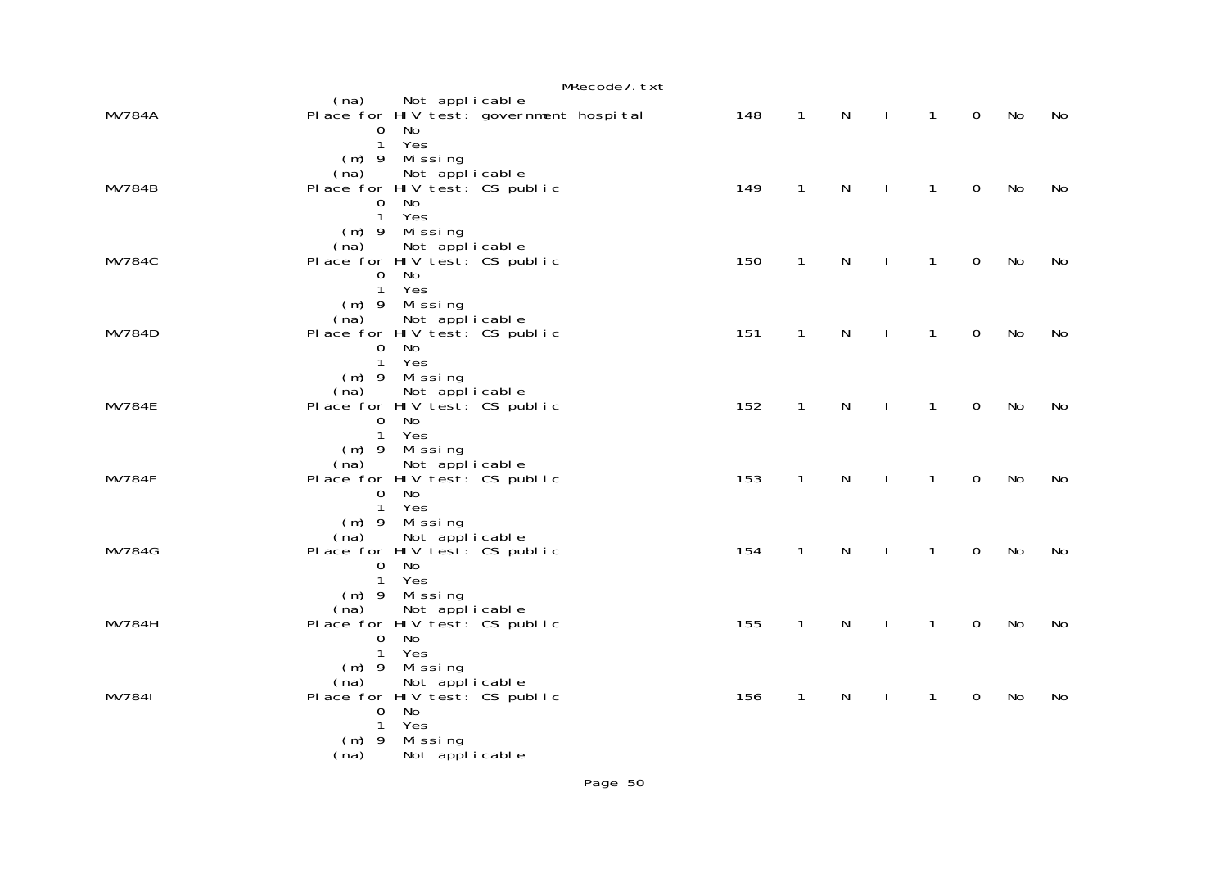|               | MRecode7.txt                                                                                                                 |     |              |              |              |              |                |    |    |
|---------------|------------------------------------------------------------------------------------------------------------------------------|-----|--------------|--------------|--------------|--------------|----------------|----|----|
| <b>MV784A</b> | (na)<br>Not applicable<br>Place for HIV test: government hospital<br>No<br>0<br>1 Yes                                        | 148 | $\mathbf{1}$ | $\mathsf{N}$ | $\sim$ 1     | $\mathbf{1}$ | $\overline{0}$ | No | No |
| <b>MV784B</b> | $(m)$ 9 Missing<br>Not applicable<br>(na)<br>Place for HIV test: CS public<br>$\overline{0}$<br>No<br>1 Yes                  | 149 | $\mathbf{1}$ | $\mathsf{N}$ | $\mathbf{I}$ | $\mathbf{1}$ | $\mathbf 0$    | No | No |
| <b>MV784C</b> | $(m)$ 9 Missing<br>Not applicable<br>(na)<br>Place for HIV test: CS public<br>No<br>0<br>1 Yes                               | 150 | $\mathbf{1}$ | $\mathsf{N}$ | $\mathbf{I}$ | $\mathbf{1}$ | $\mathbf 0$    | No | No |
| <b>MV784D</b> | $(m)$ 9 Missing<br>Not applicable<br>(na)<br>Place for HIV test: CS public<br>No<br>0<br>1 Yes                               | 151 | $\mathbf{1}$ | $\mathsf{N}$ | $\mathbf{I}$ | $\mathbf{1}$ | $\mathbf 0$    | No | No |
| <b>MV784E</b> | $(m)$ 9 Missing<br>Not applicable<br>(na)<br>Place for HIV test: CS public<br>No<br>0<br>1 Yes                               | 152 | $\mathbf{1}$ | N            | $\mathbf{I}$ | $\mathbf{1}$ | $\mathbf 0$    | No | No |
| <b>MV784F</b> | $(m)$ 9 Missing<br>Not applicable<br>(na)<br>Place for HIV test: CS public<br>No<br>0<br>1 Yes                               | 153 | $\mathbf{1}$ | $\mathsf{N}$ | $\mathbf{I}$ | 1            | $\mathbf 0$    | No | No |
| <b>MV784G</b> | $(m)$ 9 Missing<br>Not applicable<br>(na)<br>Place for HIV test: CS public<br>No.<br>0<br>1 Yes                              | 154 | $\mathbf{1}$ | N            | $\mathbf{I}$ | 1            | $\mathbf 0$    | No | No |
| <b>MV784H</b> | $(m)$ 9 Missing<br>Not applicable<br>(na)<br>Place for HIV test: CS public<br>$\overline{0}$<br>No.<br>1 Yes                 | 155 | $\mathbf{1}$ | N            | $\mathbf{I}$ | 1            | $\mathbf 0$    | No | No |
| MV7841        | $(m)$ 9<br>Missing<br>Not applicable<br>(na)<br>Place for HIV test: CS public<br>No<br>$\overline{0}$<br>$\mathbf{1}$<br>Yes | 156 | $\mathbf{1}$ | N            | $\mathbf{I}$ | 1            | $\mathbf 0$    | No | No |
|               | Missing<br>$(m)$ 9<br>Not applicable<br>(na)                                                                                 |     |              |              |              |              |                |    |    |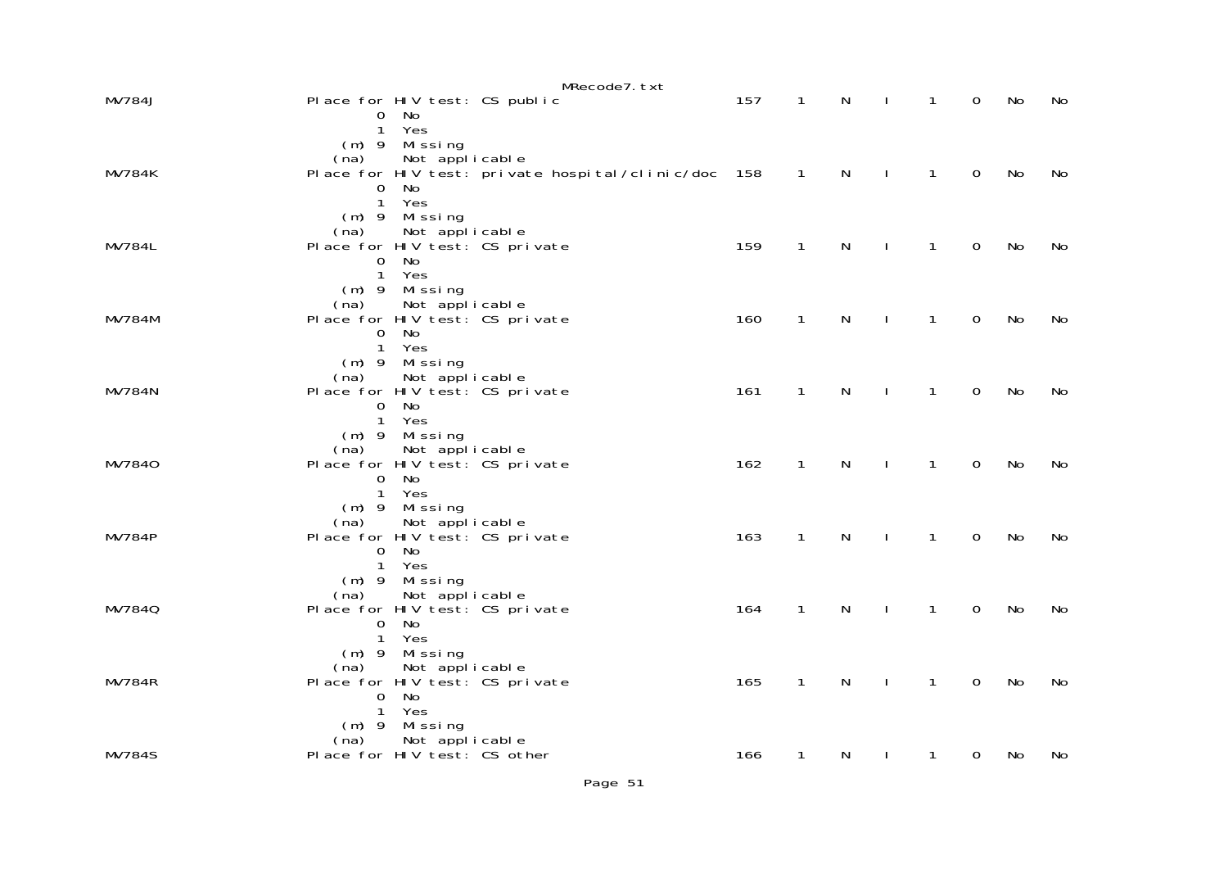|               | MRecode7.txt                                                                  |     |                |              |              |              |                |    |    |
|---------------|-------------------------------------------------------------------------------|-----|----------------|--------------|--------------|--------------|----------------|----|----|
| <b>MV784J</b> | Place for HIV test: CS public<br>No.<br>0                                     | 157 | $\overline{1}$ | N            | $\perp$      | $\mathbf{1}$ | $\overline{0}$ | No | No |
|               | 1 Yes<br>$(m)$ 9 Missing                                                      |     |                |              |              |              |                |    |    |
| <b>MV784K</b> | Not applicable<br>(na)<br>Place for HIV test: private hospital/clinic/doc 158 |     | $\sim$ 1       | $\mathsf{N}$ | $\sim$ 1.    | $\mathbf{1}$ | $\overline{O}$ | No | No |
|               | No<br>0<br>1 Yes                                                              |     |                |              |              |              |                |    |    |
|               | $(m)$ 9 Missing<br>(na) Not applicable<br>Place for HIV test: CS private      |     |                |              |              |              |                |    |    |
| <b>MV784L</b> | $\mathbf{0}$<br>No                                                            | 159 | $\mathbf{1}$   | $\mathsf{N}$ | $\sim$ 1     | $\mathbf{1}$ | $\overline{0}$ | No | No |
|               | 1 Yes<br>$(m)$ 9 Missing                                                      |     |                |              |              |              |                |    |    |
| <b>MV784M</b> | (na) Not applicable<br>Place for HIV test: CS private<br>$\overline{0}$<br>No | 160 | $\mathbf{1}$   | N            | $\sim$ 1     | $\mathbf{1}$ | $\overline{0}$ | No | No |
|               | 1 Yes<br>(m) 9 Missing                                                        |     |                |              |              |              |                |    |    |
| <b>MV784N</b> | Not applicable<br>(na)<br>Place for HIV test: CS private                      | 161 | $\mathbf{1}$   | $\mathsf{N}$ | $\mathbf{I}$ | $\mathbf{1}$ | $\overline{0}$ | No | No |
|               | No<br>$\overline{0}$<br>1 Yes                                                 |     |                |              |              |              |                |    |    |
|               | (m) 9 Missing<br>Not applicable<br>(na)                                       |     |                |              |              |              |                |    |    |
| MV7840        | Place for HIV test: CS private<br>No<br>$\overline{0}$                        | 162 | $\mathbf{1}$   | $\mathsf{N}$ | $\mathbf{I}$ | $\mathbf{1}$ | $\mathbf 0$    | No | No |
|               | 1 Yes<br>$(m)$ 9 Missing                                                      |     |                |              |              |              |                |    |    |
| <b>MV784P</b> | Not applicable<br>(na)<br>Place for HIV test: CS private                      | 163 | $\mathbf{1}$   | $\mathsf{N}$ | $\sim$ 1     | $\mathbf{1}$ | $\mathbf 0$    | No | No |
|               | No<br>$\overline{0}$<br>1 Yes                                                 |     |                |              |              |              |                |    |    |
| MV7840        | $(m)$ 9 Missing<br>Not applicable<br>(na)<br>Place for HIV test: CS private   | 164 | $\mathbf{1}$   | $\mathsf{N}$ | $\mathbf{I}$ | $\mathbf{1}$ | $\mathbf 0$    | No | No |
|               | $\Omega$<br>No<br>1 Yes                                                       |     |                |              |              |              |                |    |    |
|               | $(m)$ 9 Missing<br>Not applicable<br>(na)                                     |     |                |              |              |              |                |    |    |
| <b>MV784R</b> | Place for HIV test: CS private<br>$\mathsf{O}$<br>No                          | 165 | $\mathbf{1}$   | $\mathsf{N}$ | $\mathbf{I}$ | $\mathbf{1}$ | $\mathbf 0$    | No | No |
|               | $\mathbf{1}$<br>Yes<br>Missing<br>$(m)$ 9                                     |     |                |              |              |              |                |    |    |
| <b>MV784S</b> | Not applicable<br>(na)<br>Place for HIV test: CS other                        | 166 | $\mathbf{1}$   | N            | $\mathbf{I}$ | $\mathbf{1}$ | $\mathbf 0$    | No | No |
|               |                                                                               |     |                |              |              |              |                |    |    |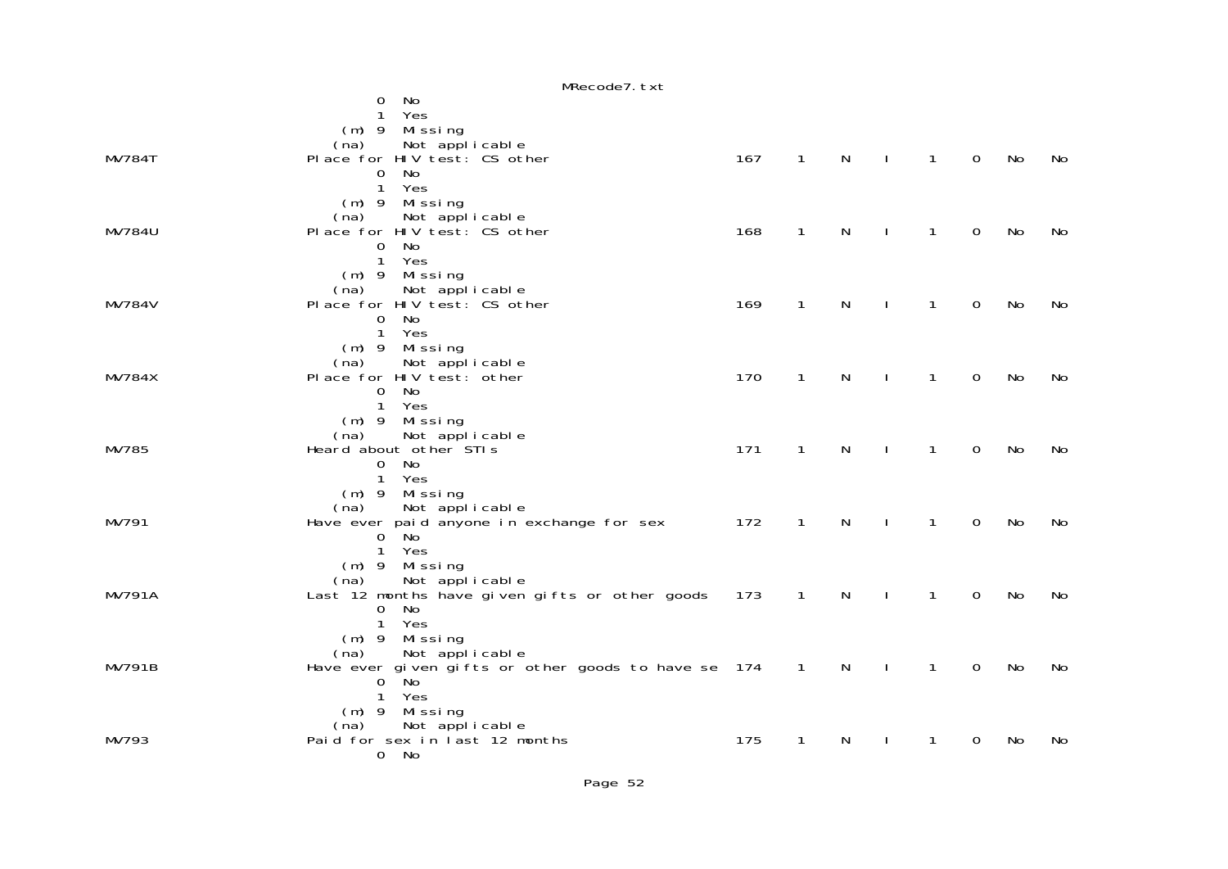|               | MRecode7. txt                                                       |     |                |              |              |                |                |    |    |
|---------------|---------------------------------------------------------------------|-----|----------------|--------------|--------------|----------------|----------------|----|----|
|               | $\Omega$<br>No                                                      |     |                |              |              |                |                |    |    |
|               | Yes<br>1                                                            |     |                |              |              |                |                |    |    |
|               | (m) 9 Missing<br>na) Not applicable                                 |     |                |              |              |                |                |    |    |
| <b>MV784T</b> | (na)<br>Place for HIV test: CS other                                | 167 | $\overline{1}$ | $\mathsf{N}$ | $\sim 1$     | $\overline{1}$ | $\overline{0}$ | No | No |
|               | <b>No</b><br>0                                                      |     |                |              |              |                |                |    |    |
|               | $\mathbf{1}$<br>Yes                                                 |     |                |              |              |                |                |    |    |
|               | (m) 9 Missing                                                       |     |                |              |              |                |                |    |    |
|               | (na) Not applicable<br>Place for HIV test: CS other                 |     |                |              |              |                |                |    |    |
| <b>MV784U</b> | <b>No</b><br>$\mathsf{O}$                                           | 168 | $\mathbf{1}$   | N            | $\mathbf{I}$ | $\mathbf{1}$   | $\mathbf 0$    | No | No |
|               | $\mathbf{1}$<br>Yes                                                 |     |                |              |              |                |                |    |    |
|               | $(m)$ 9 Missing                                                     |     |                |              |              |                |                |    |    |
|               | Not applicable<br>(na)                                              |     |                |              |              |                |                |    |    |
| <b>MV784V</b> | Place for HIV test: CS other                                        | 169 | $\mathbf{1}$   | N            | $\mathbf{I}$ | $\mathbf{1}$   | $\mathbf 0$    | No | No |
|               | No<br>$\mathsf{O}$<br>Yes                                           |     |                |              |              |                |                |    |    |
|               | $\mathbf{1}$<br>$(m)$ 9 Missing                                     |     |                |              |              |                |                |    |    |
|               | Not applicable<br>(na)                                              |     |                |              |              |                |                |    |    |
| <b>MV784X</b> | Place for HIV test: other                                           | 170 | $\mathbf{1}$   | N            | $\mathbf{I}$ | $\mathbf{1}$   | $\mathbf 0$    | No | No |
|               | No<br>$\overline{0}$                                                |     |                |              |              |                |                |    |    |
|               | $\mathbf{1}$<br>Yes                                                 |     |                |              |              |                |                |    |    |
|               | $(m)$ 9 Missing<br>Not applicable<br>(na)                           |     |                |              |              |                |                |    |    |
| MV785         | Heard about other STIs                                              | 171 | $\mathbf{1}$   | N            | $\mathbf{I}$ | $\mathbf{1}$   | $\mathbf 0$    | No | No |
|               | No<br>$\overline{0}$                                                |     |                |              |              |                |                |    |    |
|               | $\mathbf{1}$<br>Yes                                                 |     |                |              |              |                |                |    |    |
|               | $(m)$ 9 Missing                                                     |     |                |              |              |                |                |    |    |
| MV791         | Not applicable<br>(na)<br>Have ever paid anyone in exchange for sex | 172 | $\overline{1}$ | N            | $\mathbf{I}$ | $\mathbf{1}$   | $\Omega$       | No | No |
|               | $0$ No                                                              |     |                |              |              |                |                |    |    |
|               | Yes<br>$\mathbf{1}$                                                 |     |                |              |              |                |                |    |    |
|               | $(m)$ 9 Missing                                                     |     |                |              |              |                |                |    |    |
| <b>MV791A</b> | Not applicable<br>(na)                                              |     | $\overline{1}$ | $\mathsf{N}$ |              | $\mathbf{1}$   | $\overline{0}$ | No |    |
|               | Last 12 months have given gifts or other goods 173<br>No<br>0       |     |                |              | $\mathbf{I}$ |                |                |    | No |
|               | $\mathbf{1}$<br>Yes                                                 |     |                |              |              |                |                |    |    |
|               | $(m)$ 9 Missing                                                     |     |                |              |              |                |                |    |    |
|               | Not applicable<br>(na)                                              |     |                |              |              |                |                |    |    |
| <b>MV791B</b> | Have ever given gifts or other goods to have se 174<br>No           |     | $\overline{1}$ | N            | $\mathbf{I}$ | $\mathbf{1}$   | $\overline{0}$ | No | No |
|               | 0<br>$\mathbf{1}$<br>Yes                                            |     |                |              |              |                |                |    |    |
|               | (m) 9 Missing                                                       |     |                |              |              |                |                |    |    |
|               | (na) Not applicable<br>Paid for sex in last 12 months               |     |                |              |              |                |                |    |    |
| MV793         |                                                                     | 175 | $\mathbf{1}$   | N            |              | $\mathbf{1}$   | 0              | No | No |
|               | 0 No                                                                |     |                |              |              |                |                |    |    |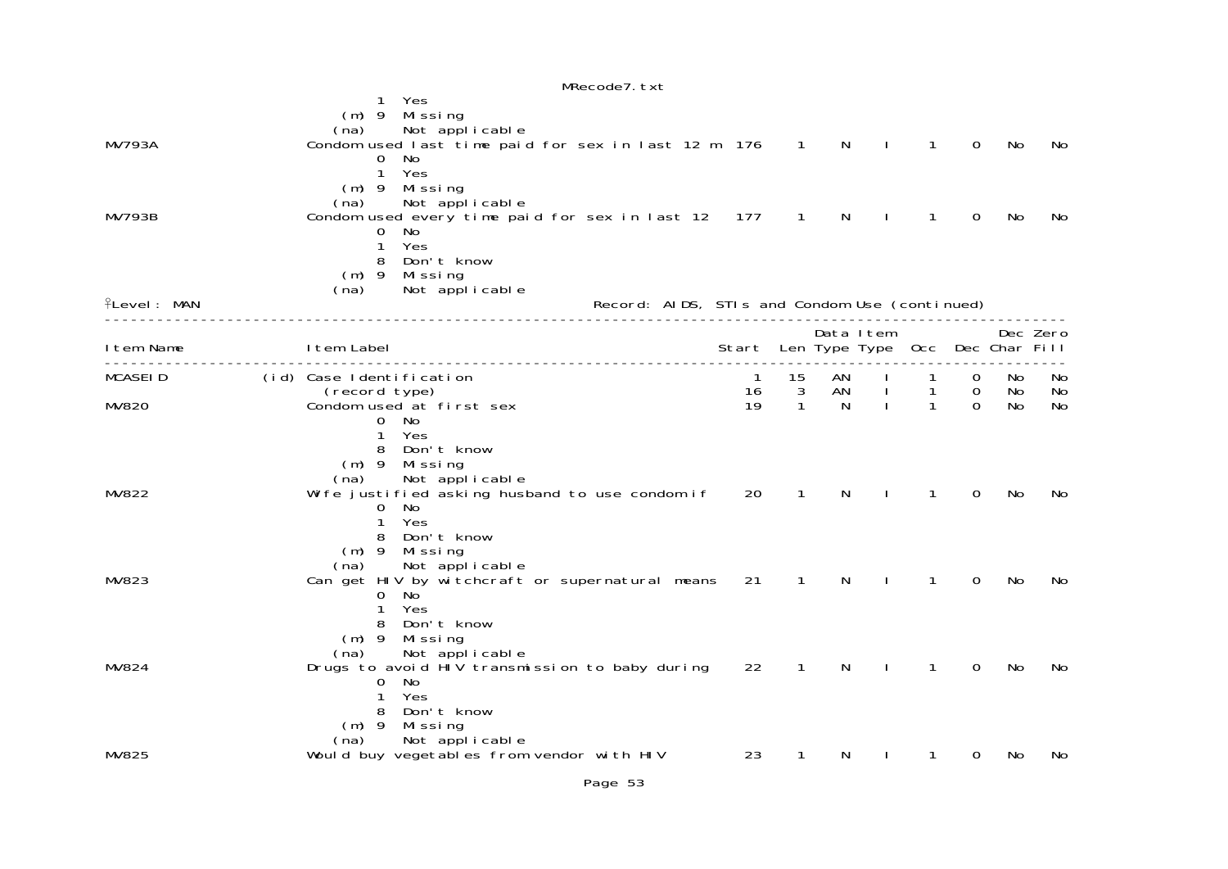|                    | MRecode7. txt                                                                                                                                        |                                       |              |              |              |                     |                                  |          |           |
|--------------------|------------------------------------------------------------------------------------------------------------------------------------------------------|---------------------------------------|--------------|--------------|--------------|---------------------|----------------------------------|----------|-----------|
| <b>MV793A</b>      | Yes<br>Missing<br>$(m)$ 9<br>Not applicable<br>(na)<br>Condom used last time paid for sex in last 12 m 176 1                                         |                                       |              | $\mathsf{N}$ | $\sim$ 1     | $\mathbf{1}$        | $\mathbf 0$                      | No       | No        |
|                    | 0<br>No<br>$\mathbf{1}$<br>Yes<br>$(m)$ 9 Missing<br>Not applicable<br>(na)                                                                          |                                       |              |              |              |                     |                                  |          |           |
| <b>MV793B</b>      | Condom used every time paid for sex in last 12 177<br>0<br>No<br>Yes<br>$\mathbf{1}$<br>8<br>Don't know<br>(m) 9 Missing<br>Not applicable<br>(na)   |                                       | $\mathbf{1}$ | N            |              | $\mathbf{1}$        | $\Omega$                         | No       | No        |
| <b>flevel: MAN</b> | Record: AIDS, STIs and Condom Use (continued)                                                                                                        |                                       |              |              |              |                     |                                  |          |           |
| I tem Name         | I tem Label<br>________________                                                                                                                      | Start Len Type Type Occ Dec Char Fill |              |              | Data Item    |                     |                                  |          | Dec Zero  |
| <b>MCASEID</b>     | (id) Case Identification<br>(record type)                                                                                                            | $\overline{1}$<br>16                  | 15<br>3      | AN<br>AN     | $\mathbf{I}$ | $\overline{1}$<br>1 | $\overline{0}$<br>$\overline{0}$ | No<br>No | No.<br>No |
| MV820              | Condom used at first sex<br>0 No<br>Yes<br>$\mathbf{1}$<br>Don't know<br>8<br>$(m)$ 9<br>Mi ssi ng<br>Not applicable<br>(na)                         | 19                                    | $\mathbf{1}$ | N            | $\mathbf{I}$ | $\mathbf{1}$        | $\Omega$                         | No       | No        |
| MV822              | Wife justified asking husband to use condom if<br>$\Omega$<br>No<br>Yes<br>1<br>Don't know<br>8<br>$(m)$ 9 Missing<br>Not applicable<br>(na)         | 20                                    | 1            | N            |              | 1                   | 0                                | No       | No.       |
| MV823              | Can get HIV by witchcraft or supernatural means<br>No<br>0<br>Yes<br>$\mathbf{1}$<br>Don't know<br>8<br>$(m)$ 9<br>Missing<br>Not applicable<br>(na) | 21                                    | $\mathbf{1}$ | N            |              | 1                   | 0                                | No       | No.       |
| MV824              | Drugs to avoid HIV transmission to baby during<br>No<br>0<br>Yes<br>1<br>Don't know<br>8<br>$(m)$ 9 Missing<br>Not applicable<br>(na)                | 22                                    | $\mathbf{1}$ | N            |              | $\mathbf{1}$        | $\mathbf 0$                      | No       | No        |
| MV825              | Would buy vegetables from vendor with HIV                                                                                                            | 23                                    | $\mathbf{1}$ | N            |              | 1                   | 0                                | No       | No        |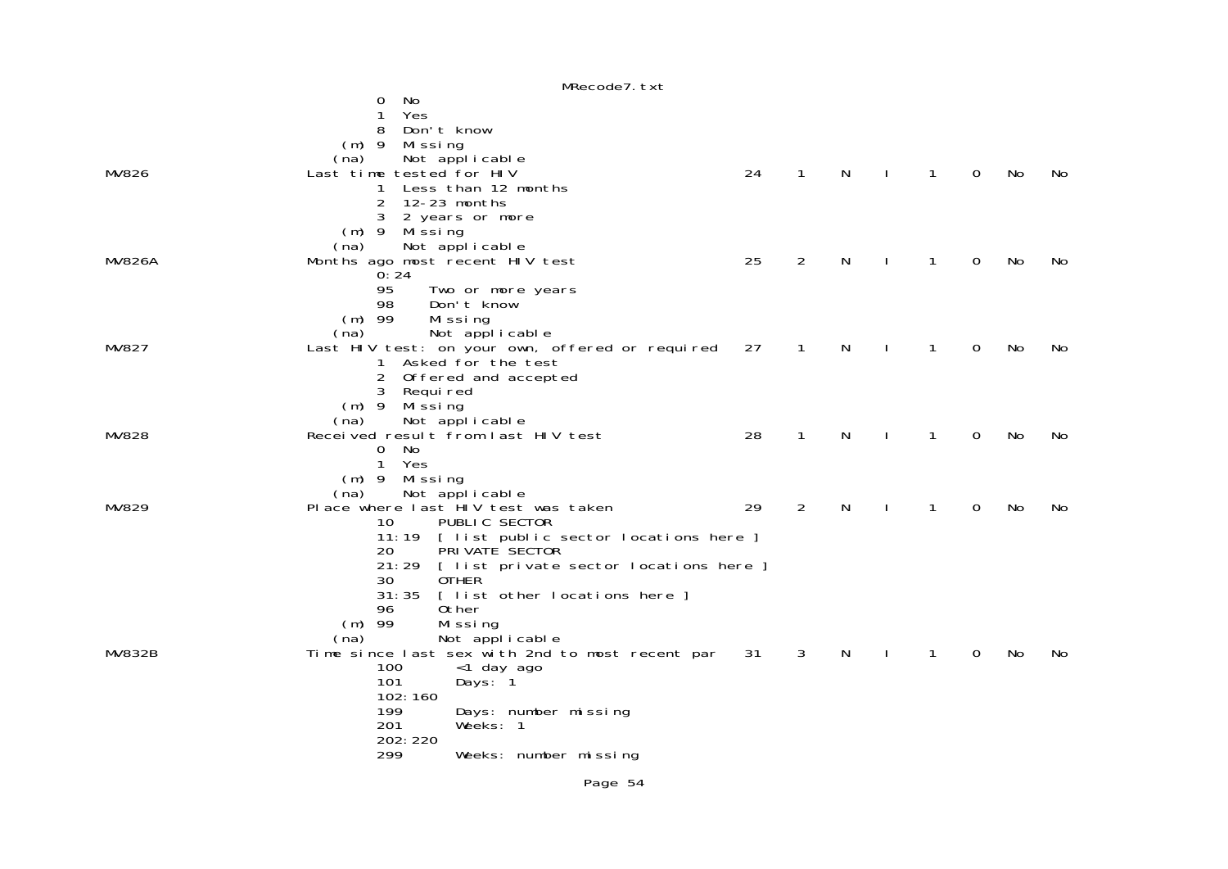|               | MRecode7.txt                                    |    |              |              |              |              |             |    |     |
|---------------|-------------------------------------------------|----|--------------|--------------|--------------|--------------|-------------|----|-----|
|               | No.<br>0                                        |    |              |              |              |              |             |    |     |
|               | Yes<br>1                                        |    |              |              |              |              |             |    |     |
|               | 8<br>Don't know                                 |    |              |              |              |              |             |    |     |
|               | $(m)$ 9 Missing                                 |    |              |              |              |              |             |    |     |
|               | Not applicable<br>(na)                          |    |              |              |              |              |             |    |     |
| MV826         | Last time tested for HIV                        | 24 | $\mathbf{1}$ | $\mathsf{N}$ | $\mathbf{I}$ | $\mathbf{1}$ | $\mathbf 0$ | No | No  |
|               |                                                 |    |              |              |              |              |             |    |     |
|               | Less than 12 months<br>1                        |    |              |              |              |              |             |    |     |
|               | 12-23 months<br>2                               |    |              |              |              |              |             |    |     |
|               | 3<br>2 years or more                            |    |              |              |              |              |             |    |     |
|               | (m) 9 Missing                                   |    |              |              |              |              |             |    |     |
|               | Not applicable<br>(na)                          |    |              |              |              |              |             |    |     |
| <b>MV826A</b> | Months ago most recent HIV test                 | 25 | 2            | N            |              | $\mathbf{1}$ | 0           | No | No  |
|               | 0:24                                            |    |              |              |              |              |             |    |     |
|               | 95<br>Two or more years                         |    |              |              |              |              |             |    |     |
|               | 98<br>Don't know                                |    |              |              |              |              |             |    |     |
|               | $(m)$ 99<br>Missing                             |    |              |              |              |              |             |    |     |
|               | Not applicable<br>(na)                          |    |              |              |              |              |             |    |     |
| MV827         | Last HIV test: on your own, offered or required | 27 | $\mathbf{1}$ | N            |              | $\mathbf{1}$ | 0           | No | No  |
|               | 1 Asked for the test                            |    |              |              |              |              |             |    |     |
|               | Offered and accepted<br>2                       |    |              |              |              |              |             |    |     |
|               | 3 Required                                      |    |              |              |              |              |             |    |     |
|               |                                                 |    |              |              |              |              |             |    |     |
|               | (m) 9 Missing                                   |    |              |              |              |              |             |    |     |
|               | Not applicable<br>(na)                          |    |              |              |              |              |             |    |     |
| <b>MV828</b>  | Received result from last HIV test              | 28 | $\mathbf{1}$ | N            | $\mathbf{I}$ | $\mathbf{1}$ | $\Omega$    | No | No. |
|               | - No<br>0                                       |    |              |              |              |              |             |    |     |
|               | Yes<br>$\mathbf{1}$                             |    |              |              |              |              |             |    |     |
|               | $(m)$ 9 Missing                                 |    |              |              |              |              |             |    |     |
|               | Not applicable<br>(na)                          |    |              |              |              |              |             |    |     |
| MV829         | Place where last HIV test was taken             | 29 | 2            | N            |              | $\mathbf{1}$ | 0           | No | No  |
|               | PUBLIC SECTOR<br>10                             |    |              |              |              |              |             |    |     |
|               | 11:19 [ list public sector locations here ]     |    |              |              |              |              |             |    |     |
|               | PRI VATE SECTOR<br>20                           |    |              |              |              |              |             |    |     |
|               | 21:29<br>[ list private sector locations here ] |    |              |              |              |              |             |    |     |
|               | 30<br><b>OTHER</b>                              |    |              |              |              |              |             |    |     |
|               | 31:35<br>[ list other locations here ]          |    |              |              |              |              |             |    |     |
|               | Other<br>96                                     |    |              |              |              |              |             |    |     |
|               | $(m)$ 99<br>Missing                             |    |              |              |              |              |             |    |     |
|               | Not applicable<br>(na)                          |    |              |              |              |              |             |    |     |
| MV832B        | Time since last sex with 2nd to most recent par | 31 | 3            | N            |              | $\mathbf{1}$ | 0           | No | No. |
|               | 100                                             |    |              |              |              |              |             |    |     |
|               | <1 day ago<br>101                               |    |              |              |              |              |             |    |     |
|               | Days: 1                                         |    |              |              |              |              |             |    |     |
|               | 102:160                                         |    |              |              |              |              |             |    |     |
|               | 199<br>Days: number missing                     |    |              |              |              |              |             |    |     |
|               | 201<br>Weeks: 1                                 |    |              |              |              |              |             |    |     |
|               | 202: 220                                        |    |              |              |              |              |             |    |     |
|               | 299<br>Weeks: number missing                    |    |              |              |              |              |             |    |     |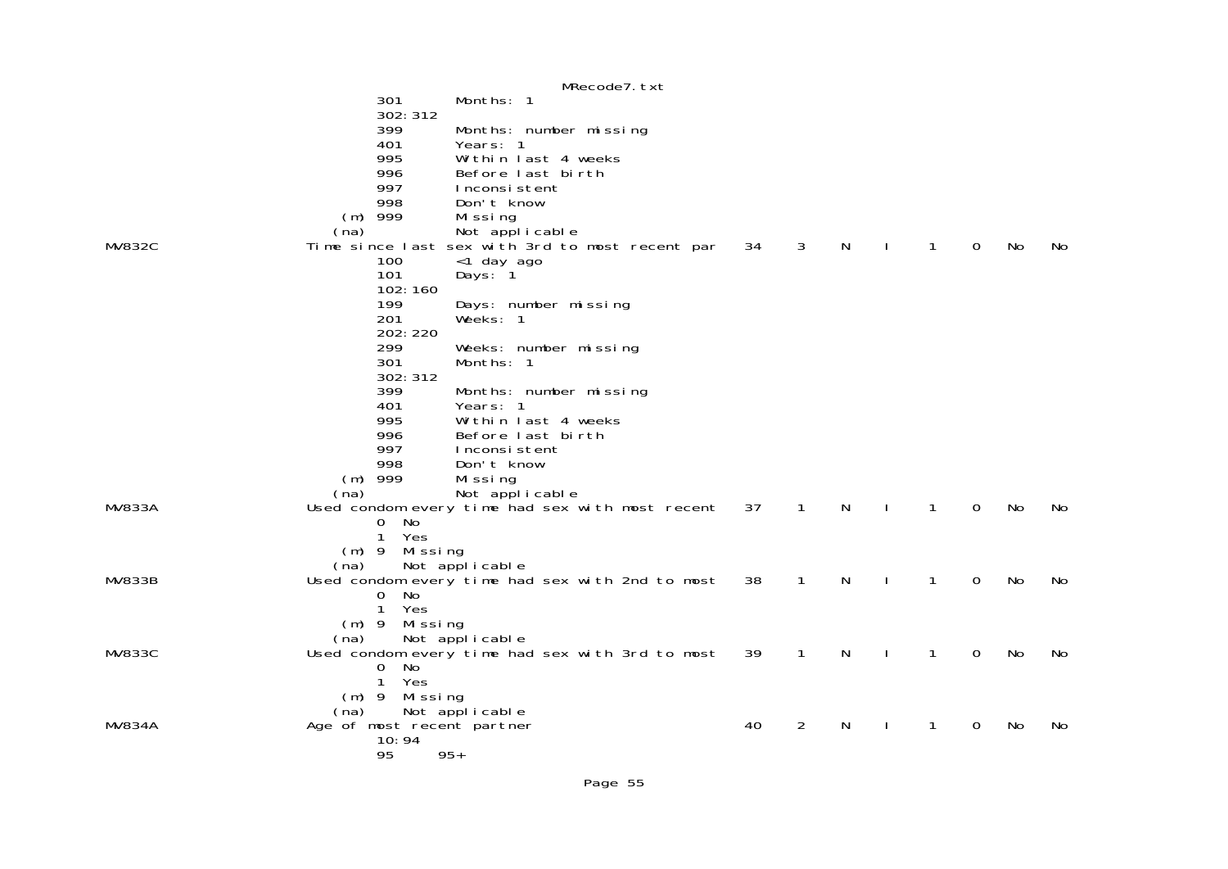|               |                            | MRecode7. txt                                   |    |              |   |              |              |             |    |    |
|---------------|----------------------------|-------------------------------------------------|----|--------------|---|--------------|--------------|-------------|----|----|
|               | 301                        | Months: 1                                       |    |              |   |              |              |             |    |    |
|               | 302: 312                   |                                                 |    |              |   |              |              |             |    |    |
|               | 399                        | Months: number missing                          |    |              |   |              |              |             |    |    |
|               | 401                        | Years: 1                                        |    |              |   |              |              |             |    |    |
|               | 995                        | Within last 4 weeks                             |    |              |   |              |              |             |    |    |
|               | 996                        | Before last birth                               |    |              |   |              |              |             |    |    |
|               | 997                        | Inconsistent                                    |    |              |   |              |              |             |    |    |
|               | 998                        | Don't know                                      |    |              |   |              |              |             |    |    |
|               | $(m)$ 999                  | Missing                                         |    |              |   |              |              |             |    |    |
|               | (na)                       | Not applicable                                  |    |              |   |              |              |             |    |    |
| <b>MV832C</b> |                            | Time since last sex with 3rd to most recent par | 34 | $\mathbf{3}$ | N | $\mathbf{I}$ | $\mathbf{1}$ | $\mathbf 0$ | No | No |
|               | 100                        | <1 day ago                                      |    |              |   |              |              |             |    |    |
|               | 101                        | Days: 1                                         |    |              |   |              |              |             |    |    |
|               | 102:160                    |                                                 |    |              |   |              |              |             |    |    |
|               | 199                        | Days: number missing                            |    |              |   |              |              |             |    |    |
|               | 201                        | Weeks: 1                                        |    |              |   |              |              |             |    |    |
|               | 202: 220                   |                                                 |    |              |   |              |              |             |    |    |
|               | 299                        | Weeks: number missing                           |    |              |   |              |              |             |    |    |
|               | 301                        | Months: 1                                       |    |              |   |              |              |             |    |    |
|               | 302: 312                   |                                                 |    |              |   |              |              |             |    |    |
|               | 399                        | Months: number missing                          |    |              |   |              |              |             |    |    |
|               | 401                        | Years: 1                                        |    |              |   |              |              |             |    |    |
|               | 995                        | Within last 4 weeks                             |    |              |   |              |              |             |    |    |
|               | 996                        | Before last birth                               |    |              |   |              |              |             |    |    |
|               | 997                        | Inconsistent                                    |    |              |   |              |              |             |    |    |
|               | 998                        | Don't know                                      |    |              |   |              |              |             |    |    |
|               | $(m)$ 999                  | Mi ssi ng                                       |    |              |   |              |              |             |    |    |
|               | (na)                       | Not applicable                                  |    |              |   |              |              |             |    |    |
| <b>MV833A</b> |                            | Used condom every time had sex with most recent | 37 | $\mathbf{1}$ | N |              | $\mathbf{1}$ | $\mathbf 0$ | No | No |
|               | 0 No                       |                                                 |    |              |   |              |              |             |    |    |
|               | $\mathbf{1}$<br>Yes        |                                                 |    |              |   |              |              |             |    |    |
|               | $(m)$ 9 Missing            |                                                 |    |              |   |              |              |             |    |    |
|               | (na)                       | Not applicable                                  |    |              |   |              |              |             |    |    |
| <b>MV833B</b> |                            | Used condom every time had sex with 2nd to most | 38 | $\mathbf{1}$ | N | $\mathbf{I}$ | 1            | 0           | No | No |
|               | No<br>$\mathbf{O}$         |                                                 |    |              |   |              |              |             |    |    |
|               | $\mathbf{1}$<br>Yes        |                                                 |    |              |   |              |              |             |    |    |
|               | $(m)$ 9 Missing            |                                                 |    |              |   |              |              |             |    |    |
|               | (na)                       | Not applicable                                  |    |              |   |              |              |             |    |    |
| <b>MV833C</b> |                            | Used condom every time had sex with 3rd to most | 39 | $\mathbf{1}$ | N | $\mathbf{I}$ | 1            | $\Omega$    | No | No |
|               | No<br>0                    |                                                 |    |              |   |              |              |             |    |    |
|               | Yes<br>$\mathbf{1}$        |                                                 |    |              |   |              |              |             |    |    |
|               |                            |                                                 |    |              |   |              |              |             |    |    |
|               | (m) 9 Missing<br>(na)      |                                                 |    |              |   |              |              |             |    |    |
| <b>MV834A</b> | Age of most recent partner | Not applicable                                  | 40 | 2            | N | J.           | 1            | 0           | No | No |
|               | 10:94                      |                                                 |    |              |   |              |              |             |    |    |
|               | 95                         | $95+$                                           |    |              |   |              |              |             |    |    |
|               |                            |                                                 |    |              |   |              |              |             |    |    |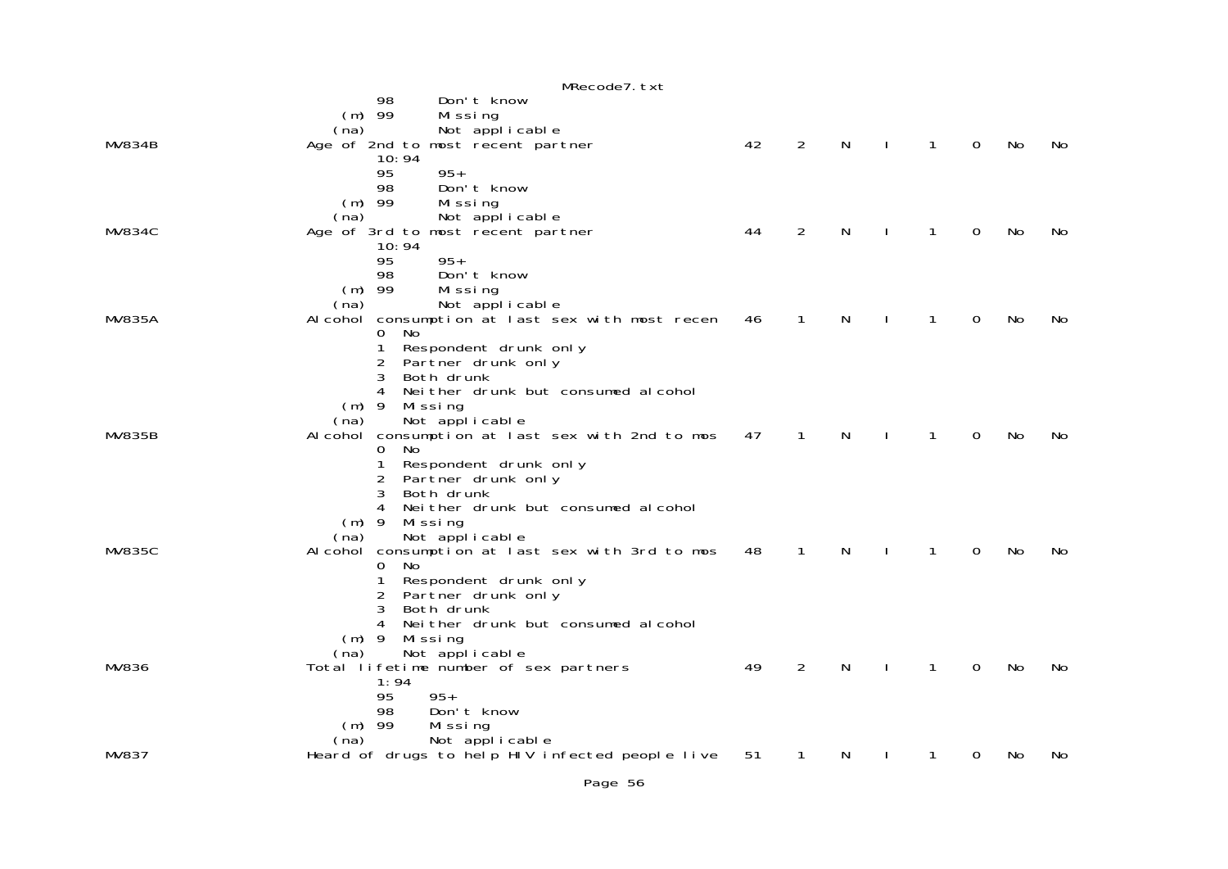|               | MRecode7. txt                                                             |    |                |   |              |             |           |     |
|---------------|---------------------------------------------------------------------------|----|----------------|---|--------------|-------------|-----------|-----|
|               | Don't know<br>98                                                          |    |                |   |              |             |           |     |
|               | $(m)$ 99<br>Missing<br>Not applicable<br>(na)                             |    |                |   |              |             |           |     |
| <b>MV834B</b> | Age of 2nd to most recent partner                                         | 42 | $\overline{2}$ | N | 1            | $\mathbf 0$ | No        | No  |
|               | 10:94                                                                     |    |                |   |              |             |           |     |
|               | 95<br>$95+$<br>98<br>Don't know                                           |    |                |   |              |             |           |     |
|               | $(m)$ 99<br>Missing                                                       |    |                |   |              |             |           |     |
|               | (na)<br>Not applicable                                                    |    |                |   |              |             |           |     |
| <b>MV834C</b> | Age of 3rd to most recent partner<br>10:94                                | 44 | $\overline{2}$ | N | $\mathbf{1}$ | $\Omega$    | <b>No</b> | No. |
|               | 95<br>$95+$                                                               |    |                |   |              |             |           |     |
|               | 98<br>Don't know                                                          |    |                |   |              |             |           |     |
|               | $(m)$ 99<br>Missing<br>(na)                                               |    |                |   |              |             |           |     |
| <b>MV835A</b> | Not applicable<br>Alcohol consumption at last sex with most recen         | 46 | 1              | N | 1            | 0           | No        | No  |
|               | 0<br>No.                                                                  |    |                |   |              |             |           |     |
|               | $\mathbf{1}$<br>Respondent drunk only<br>2<br>Partner drunk only          |    |                |   |              |             |           |     |
|               | 3<br>Both drunk                                                           |    |                |   |              |             |           |     |
|               | 4<br>Neither drunk but consumed alcohol                                   |    |                |   |              |             |           |     |
|               | $(m)$ 9<br>Mi ssi ng<br>Not applicable<br>(na)                            |    |                |   |              |             |           |     |
| <b>MV835B</b> | Alcohol consumption at last sex with 2nd to mos                           | 47 | $\mathbf{1}$   | N | 1            | $\Omega$    | <b>No</b> | No  |
|               | No<br>0                                                                   |    |                |   |              |             |           |     |
|               | 1<br>Respondent drunk only<br>Partner drunk only<br>2                     |    |                |   |              |             |           |     |
|               | 3<br>Both drunk                                                           |    |                |   |              |             |           |     |
|               | Neither drunk but consumed alcohol                                        |    |                |   |              |             |           |     |
|               | $(m)$ 9<br>Mi ssi ng<br>Not applicable<br>(na)                            |    |                |   |              |             |           |     |
| <b>MV835C</b> | Alcohol consumption at last sex with 3rd to mos                           | 48 | 1              | N | 1            | 0           | No        | No. |
|               | $\Omega$<br>No                                                            |    |                |   |              |             |           |     |
|               | Respondent drunk only<br>1<br>2<br>Partner drunk only                     |    |                |   |              |             |           |     |
|               | 3<br>Both drunk                                                           |    |                |   |              |             |           |     |
|               | Neither drunk but consumed alcohol<br>4<br>$(m)$ 9<br>Missing             |    |                |   |              |             |           |     |
|               | Not applicable<br>(na)                                                    |    |                |   |              |             |           |     |
| MV836         | Total lifetime number of sex partners                                     | 49 | $\overline{a}$ | N | 1            | $\Omega$    | No        | No. |
|               | 1:94<br>95<br>$95+$                                                       |    |                |   |              |             |           |     |
|               | Don't know<br>98                                                          |    |                |   |              |             |           |     |
|               | $(m)$ 99<br>Missing                                                       |    |                |   |              |             |           |     |
| MV837         | (na)<br>Not applicable<br>Heard of drugs to help HIV infected people live | 51 |                | N | 1            | 0           | No        | No  |
|               |                                                                           |    |                |   |              |             |           |     |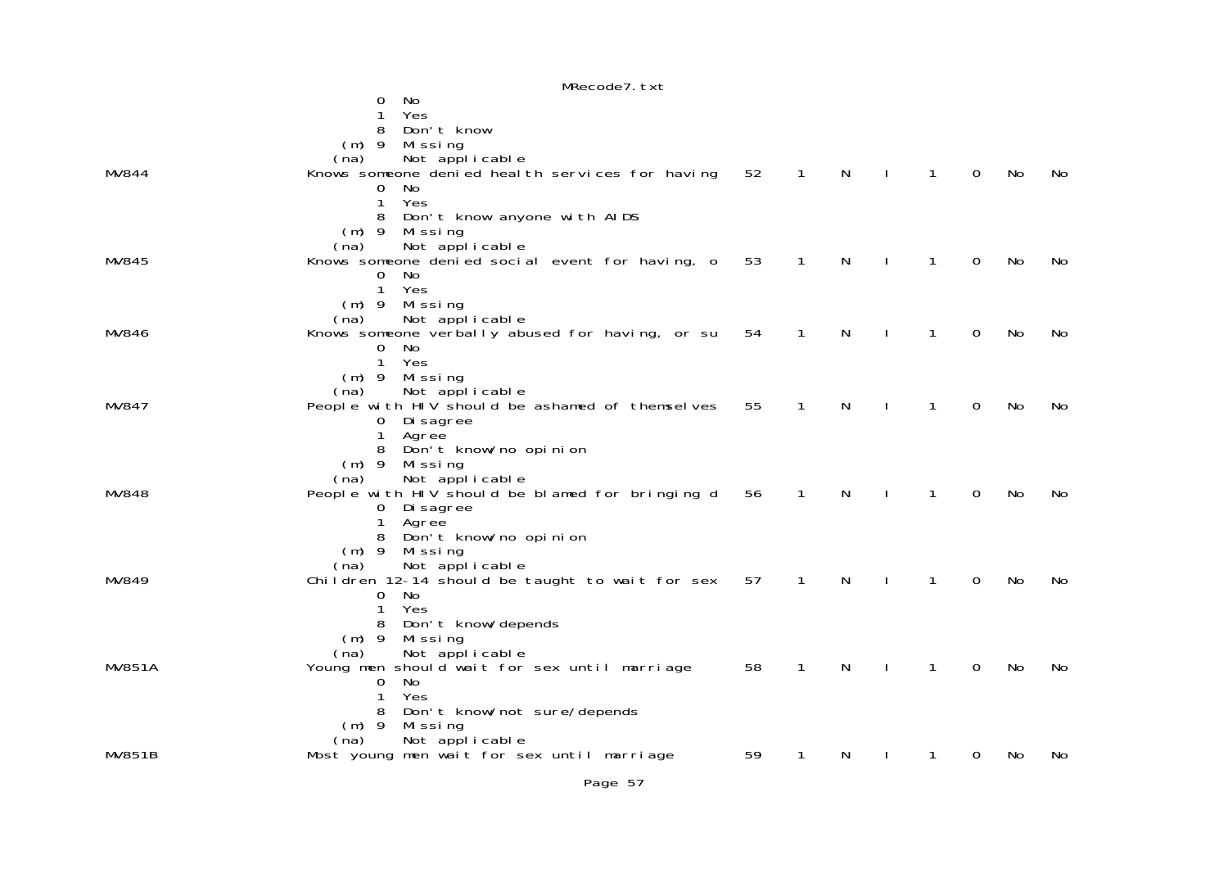|               | MRecode7. txt                                       |    |              |   |    |              |          |           |     |
|---------------|-----------------------------------------------------|----|--------------|---|----|--------------|----------|-----------|-----|
|               | No<br>0                                             |    |              |   |    |              |          |           |     |
|               | Yes<br>1                                            |    |              |   |    |              |          |           |     |
|               | 8<br>Don't know                                     |    |              |   |    |              |          |           |     |
|               | $(m)$ 9<br>Missing                                  |    |              |   |    |              |          |           |     |
|               | Not applicable<br>(na)                              |    |              |   |    |              |          |           |     |
| MV844         | Knows someone denied heal th services for having    | 52 | $\mathbf{1}$ | N |    | $\mathbf{1}$ | 0        | No        | No  |
|               | No<br>0                                             |    |              |   |    |              |          |           |     |
|               | Yes<br>1<br>8                                       |    |              |   |    |              |          |           |     |
|               | Don't know anyone with AIDS<br>$(m)$ 9<br>Mi ssi ng |    |              |   |    |              |          |           |     |
|               | Not applicable<br>(na)                              |    |              |   |    |              |          |           |     |
| MV845         | Knows someone denied social event for having, o     | 53 | $\mathbf{1}$ | N |    | $\mathbf{1}$ | 0        | No        | No  |
|               | No.<br>0                                            |    |              |   |    |              |          |           |     |
|               | Yes<br>$\mathbf{1}$                                 |    |              |   |    |              |          |           |     |
|               | $(m)$ 9<br>Missing                                  |    |              |   |    |              |          |           |     |
|               | Not applicable<br>(na)                              |    |              |   |    |              |          |           |     |
| MV846         | Knows someone verbally abused for having, or su     | 54 | $\mathbf{1}$ | N |    | $\mathbf{1}$ | 0        | No        | No  |
|               | No.<br>0                                            |    |              |   |    |              |          |           |     |
|               | $\mathbf{1}$<br>Yes                                 |    |              |   |    |              |          |           |     |
|               | $(m)$ 9<br>Mi ssi ng                                |    |              |   |    |              |          |           |     |
|               | Not applicable<br>(na)                              |    |              |   |    |              |          |           |     |
| MV847         | People with HIV should be ashamed of themselves     | 55 | $\mathbf{1}$ | N |    | 1            | 0        | No        | No  |
|               | 0 Disagree<br>1<br>Agree                            |    |              |   |    |              |          |           |     |
|               | Don't know/no opinion<br>8                          |    |              |   |    |              |          |           |     |
|               | $(m)$ 9<br>Missing                                  |    |              |   |    |              |          |           |     |
|               | Not applicable<br>(na)                              |    |              |   |    |              |          |           |     |
| MV848         | People with HIV should be blamed for bringing d     | 56 | 1            | N |    | 1            | 0        | No        | No. |
|               | 0 Di sagree                                         |    |              |   |    |              |          |           |     |
|               | Agree<br>1                                          |    |              |   |    |              |          |           |     |
|               | Don't know/no opinion<br>8                          |    |              |   |    |              |          |           |     |
|               | $(m)$ 9<br>Missing                                  |    |              |   |    |              |          |           |     |
|               | Not applicable<br>(na)                              |    |              |   |    |              |          |           |     |
| MV849         | Children 12-14 should be taught to wait for sex     | 57 | 1            | N |    | 1            | 0        | No        | No  |
|               | 0 No                                                |    |              |   |    |              |          |           |     |
|               | Yes<br>1<br>Don't know/depends<br>8                 |    |              |   |    |              |          |           |     |
|               | $(m)$ 9<br>Missing                                  |    |              |   |    |              |          |           |     |
|               | Not applicable<br>(na)                              |    |              |   |    |              |          |           |     |
| <b>MV851A</b> | Young men should wait for sex until marriage        | 58 | $\mathbf{1}$ | N | J. | $\mathbf{1}$ | $\Omega$ | <b>No</b> | No  |
|               | No<br>0                                             |    |              |   |    |              |          |           |     |
|               | Yes<br>1                                            |    |              |   |    |              |          |           |     |
|               | Don't know/not sure/depends<br>8                    |    |              |   |    |              |          |           |     |
|               | $(m)$ 9<br>Mi ssi ng                                |    |              |   |    |              |          |           |     |
|               | Not applicable<br>(na)                              |    |              |   |    |              |          |           |     |
| <b>MV851B</b> | Most young men wait for sex until marriage          | 59 | 1            | N | J. | 1            | 0        | No        | No  |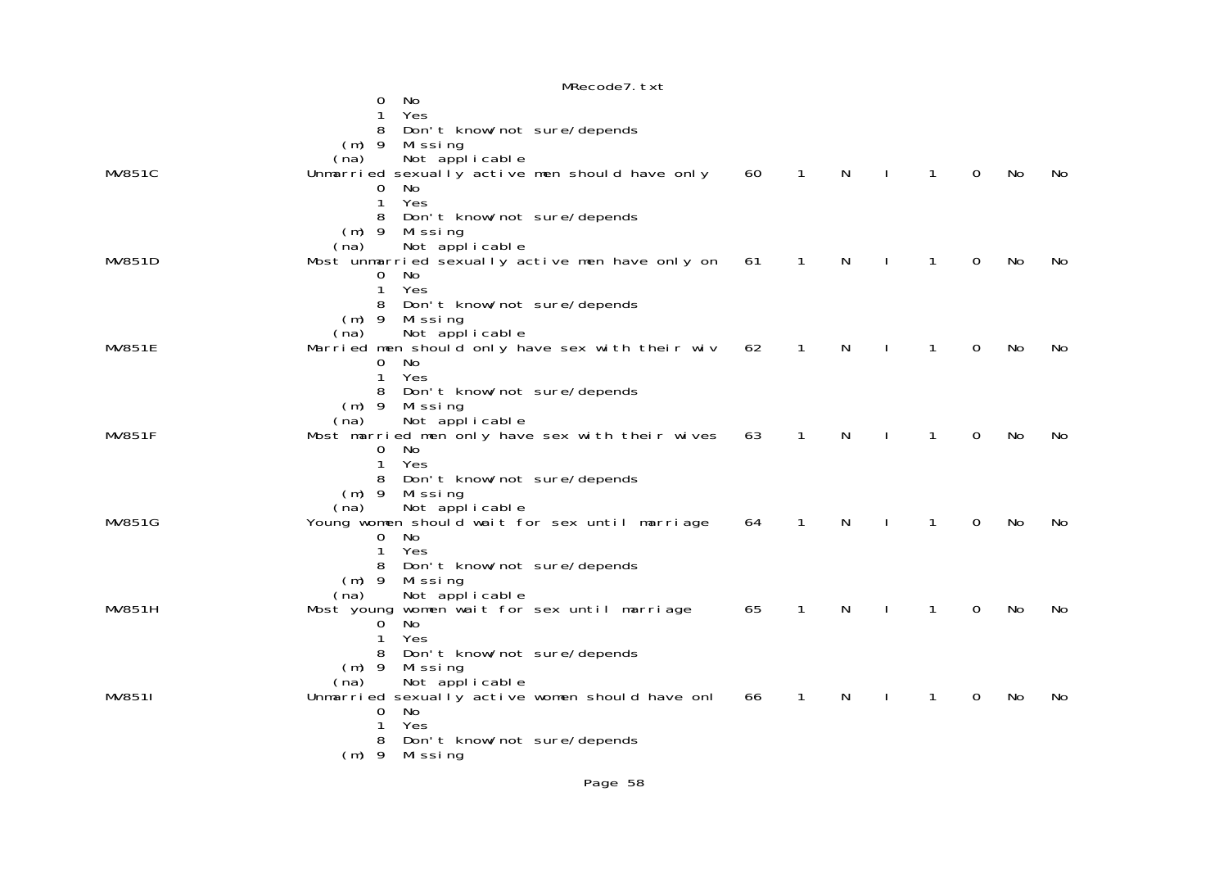|               | MRecode7. txt                                                            |    |              |   |              |              |          |           |     |
|---------------|--------------------------------------------------------------------------|----|--------------|---|--------------|--------------|----------|-----------|-----|
|               | No<br>0                                                                  |    |              |   |              |              |          |           |     |
|               | Yes                                                                      |    |              |   |              |              |          |           |     |
|               | 8<br>Don't know/not sure/depends                                         |    |              |   |              |              |          |           |     |
|               | $(m)$ 9<br>Missing                                                       |    |              |   |              |              |          |           |     |
| <b>MV851C</b> | Not applicable<br>(na)<br>Unmarried sexually active men should have only | 60 | $\mathbf{1}$ | N |              | $\mathbf{1}$ | $\Omega$ | No        | No. |
|               | No<br>0                                                                  |    |              |   |              |              |          |           |     |
|               | $\mathbf{1}$<br>Yes                                                      |    |              |   |              |              |          |           |     |
|               | Don't know/not sure/depends<br>8                                         |    |              |   |              |              |          |           |     |
|               | $(m)$ 9 Missing                                                          |    |              |   |              |              |          |           |     |
|               | Not applicable<br>(na)                                                   |    |              |   |              |              |          |           |     |
| <b>MV851D</b> | Most unmarried sexually active men have only on                          | 61 | $\mathbf{1}$ | N |              | $\mathbf{1}$ | 0        | No        | No. |
|               | No<br>0                                                                  |    |              |   |              |              |          |           |     |
|               | Yes<br>$\mathbf{1}$                                                      |    |              |   |              |              |          |           |     |
|               | Don't know/not sure/depends<br>8<br>$(m)$ 9<br>Missing                   |    |              |   |              |              |          |           |     |
|               | Not applicable<br>(na)                                                   |    |              |   |              |              |          |           |     |
| <b>MV851E</b> | Married men should only have sex with their wiv                          | 62 | 1            | N |              | 1            | $\Omega$ | No        | No. |
|               | 0<br>No                                                                  |    |              |   |              |              |          |           |     |
|               | Yes<br>1                                                                 |    |              |   |              |              |          |           |     |
|               | Don't know/not sure/depends<br>8                                         |    |              |   |              |              |          |           |     |
|               | $(m)$ 9 Missing                                                          |    |              |   |              |              |          |           |     |
|               | Not applicable<br>(na)                                                   |    |              |   |              |              |          |           |     |
| <b>MV851F</b> | Most married men only have sex with their wives<br>0<br>No               | 63 | $\mathbf{1}$ | N |              | 1            | $\Omega$ | <b>No</b> | No. |
|               | $\mathbf{1}$<br>Yes                                                      |    |              |   |              |              |          |           |     |
|               | Don't know/not sure/depends<br>8                                         |    |              |   |              |              |          |           |     |
|               | $(m)$ 9<br>Mi ssi ng                                                     |    |              |   |              |              |          |           |     |
|               | Not applicable<br>(na)                                                   |    |              |   |              |              |          |           |     |
| MV851G        | Young women should wait for sex until marriage                           | 64 | $\mathbf{1}$ | N | $\mathbf{I}$ | $\mathbf{1}$ | $\Omega$ | No        | No  |
|               | No<br>0                                                                  |    |              |   |              |              |          |           |     |
|               | 1<br>Yes                                                                 |    |              |   |              |              |          |           |     |
|               | Don't know/not sure/depends<br>8                                         |    |              |   |              |              |          |           |     |
|               | $(m)$ 9 Missing<br>Not applicable<br>(na)                                |    |              |   |              |              |          |           |     |
| MV851H        | Most young women wait for sex until marriage                             | 65 | $\mathbf{1}$ | N |              | 1            | 0        | No        | No  |
|               | No<br>0                                                                  |    |              |   |              |              |          |           |     |
|               | $\mathbf{1}$<br>Yes                                                      |    |              |   |              |              |          |           |     |
|               | Don't know/not sure/depends<br>8                                         |    |              |   |              |              |          |           |     |
|               | $(m)$ 9<br>Mi ssi ng                                                     |    |              |   |              |              |          |           |     |
|               | Not applicable<br>(na)                                                   |    |              |   |              |              |          |           |     |
| MV8511        | Unmarried sexually active women should have onl<br>No                    | 66 | 1            | N |              |              | 0        | No        | No. |
|               | 0<br>Yes<br>1                                                            |    |              |   |              |              |          |           |     |
|               | 8<br>Don't know/not sure/depends                                         |    |              |   |              |              |          |           |     |
|               | Mi ssi ng<br>$(m)$ 9                                                     |    |              |   |              |              |          |           |     |
|               |                                                                          |    |              |   |              |              |          |           |     |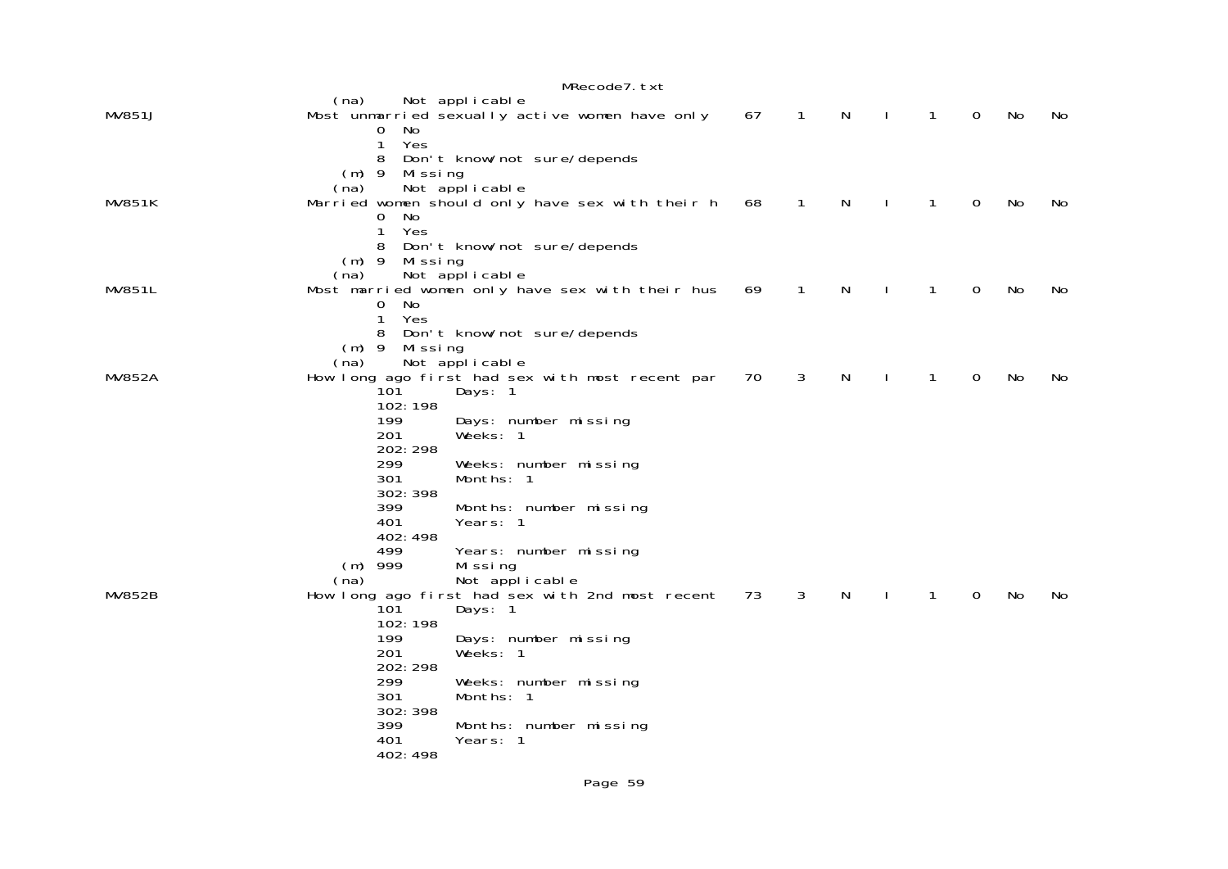|               |                                                                                                                                                                                                 | MRecode7. txt                                                                                                                                                                                                                                                                                                            |    |                |              |              |              |             |    |    |
|---------------|-------------------------------------------------------------------------------------------------------------------------------------------------------------------------------------------------|--------------------------------------------------------------------------------------------------------------------------------------------------------------------------------------------------------------------------------------------------------------------------------------------------------------------------|----|----------------|--------------|--------------|--------------|-------------|----|----|
| <b>MV851J</b> | (na)<br>Not applicable<br>No.<br>0                                                                                                                                                              | Most unmarried sexually active women have only                                                                                                                                                                                                                                                                           | 67 | $\overline{1}$ | $\mathsf{N}$ | - 1          | $\mathbf{1}$ | $\mathbf 0$ | No | No |
| <b>MV851K</b> | 1<br>Yes<br>8<br>$(m)$ 9<br>Mi ssi ng<br>Not applicable<br>(na)<br>No<br>0<br>1<br>Yes<br>8                                                                                                     | Don't know/not sure/depends<br>Married women should only have sex with their h<br>Don't know/not sure/depends                                                                                                                                                                                                            | 68 | 1              | N            | $\mathbf{I}$ | 1            | 0           | No | No |
| MV851L        | $(m)$ 9<br>Missing<br>Not applicable<br>(na)<br>0<br>No<br>1<br>Yes                                                                                                                             | Most married women only have sex with their hus                                                                                                                                                                                                                                                                          | 69 | 1              | N            | $\mathbf{I}$ | 1            | $\mathbf 0$ | No | No |
| <b>MV852A</b> | 8<br>$(m)$ 9<br>Missing<br>Not applicable<br>(na)<br>10Ī<br>102:198<br>199                                                                                                                      | Don't know/not sure/depends<br>How long ago first had sex with most recent par<br>Days: 1<br>Days: number missing                                                                                                                                                                                                        | 70 | 3              | N            |              | 1            | $\Omega$    | No | No |
| <b>MV852B</b> | 201<br>202: 298<br>299<br>301<br>302: 398<br>399<br>401<br>402: 498<br>499<br>$(m)$ 999<br>(na)<br>101<br>102:198<br>199<br>201<br>202: 298<br>299<br>301<br>302: 398<br>399<br>401<br>402: 498 | Weeks: 1<br>Weeks: number missing<br>Months: 1<br>Months: number missing<br>Years: 1<br>Years: number missing<br>Missing<br>Not applicable<br>How long ago first had sex with 2nd most recent<br>Days: 1<br>Days: number missing<br>Weeks: 1<br>Weeks: number missing<br>Months: 1<br>Months: number missing<br>Years: 1 | 73 | 3              | $\mathsf{N}$ | $\mathbf{I}$ | $\mathbf{1}$ | $\mathbf 0$ | No | No |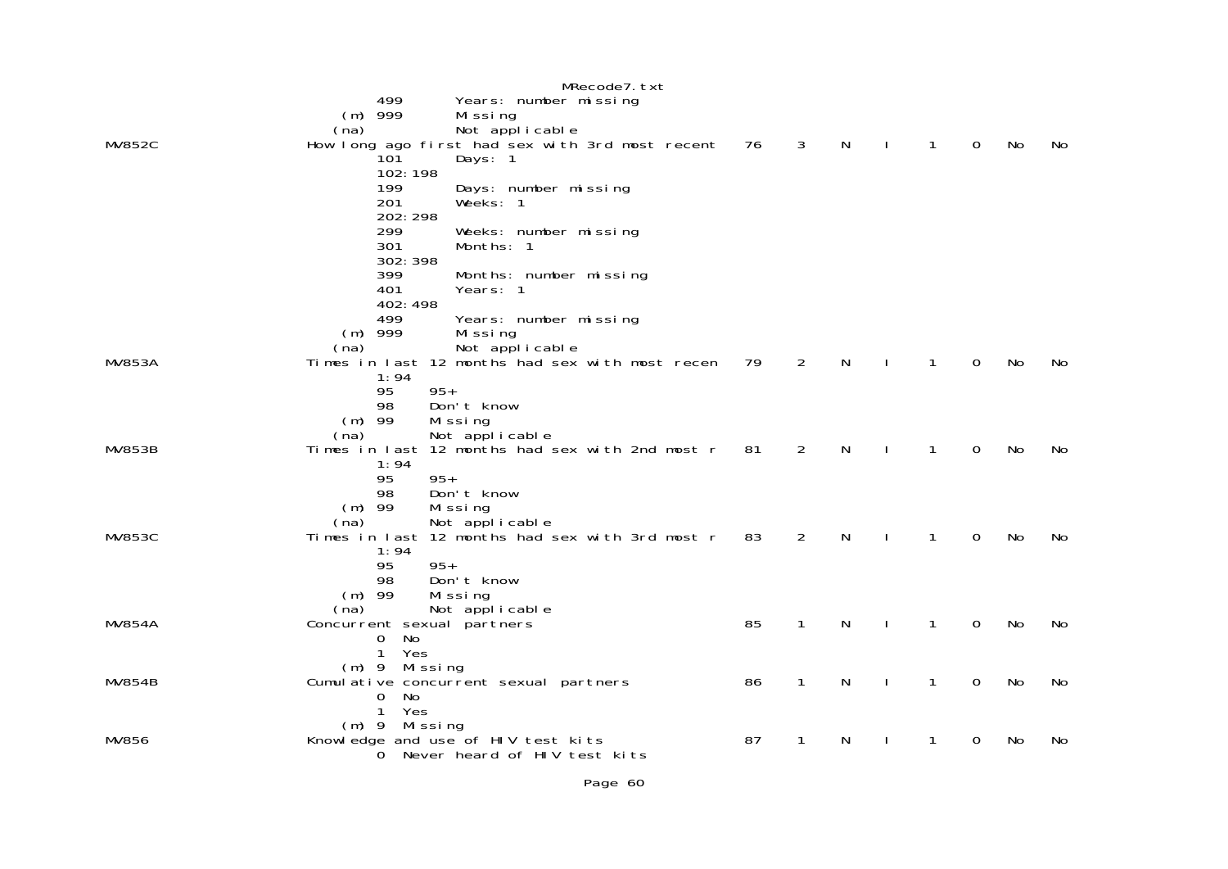|               | MRecode7.txt                                                              |    |              |   |              |              |             |           |    |
|---------------|---------------------------------------------------------------------------|----|--------------|---|--------------|--------------|-------------|-----------|----|
|               | 499<br>Years: number missing                                              |    |              |   |              |              |             |           |    |
|               | $(m)$ 999<br>Missing                                                      |    |              |   |              |              |             |           |    |
|               | Not applicable<br>(na)                                                    |    |              |   |              |              |             |           |    |
| <b>MV852C</b> | How long ago first had sex with 3rd most recent                           | 76 | 3            | N |              | $\mathbf{1}$ | 0           | No        | No |
|               | 101<br>Days: 1                                                            |    |              |   |              |              |             |           |    |
|               | 102:198                                                                   |    |              |   |              |              |             |           |    |
|               | 199<br>Days: number missing                                               |    |              |   |              |              |             |           |    |
|               | 201<br>Weeks: 1                                                           |    |              |   |              |              |             |           |    |
|               | 202:298                                                                   |    |              |   |              |              |             |           |    |
|               | 299<br>Weeks: number missing                                              |    |              |   |              |              |             |           |    |
|               | 301<br>Months: 1                                                          |    |              |   |              |              |             |           |    |
|               | 302: 398                                                                  |    |              |   |              |              |             |           |    |
|               | 399<br>Months: number missing<br>401<br>Years: 1                          |    |              |   |              |              |             |           |    |
|               | 402: 498                                                                  |    |              |   |              |              |             |           |    |
|               | 499<br>Years: number missing                                              |    |              |   |              |              |             |           |    |
|               | $(m)$ 999<br>Missing                                                      |    |              |   |              |              |             |           |    |
|               | Not applicable<br>(na)                                                    |    |              |   |              |              |             |           |    |
| <b>MV853A</b> | Times in last 12 months had sex with most recen                           | 79 | 2            | N |              | 1            | $\Omega$    | <b>No</b> | No |
|               | 1:94                                                                      |    |              |   |              |              |             |           |    |
|               | $95+$<br>95                                                               |    |              |   |              |              |             |           |    |
|               | 98<br>Don't know                                                          |    |              |   |              |              |             |           |    |
|               | $(m)$ 99<br>Missing                                                       |    |              |   |              |              |             |           |    |
|               | Not applicable<br>(na)                                                    |    |              |   |              |              |             |           |    |
| <b>MV853B</b> | Times in last 12 months had sex with 2nd most r                           | 81 | 2            | N |              | 1            | $\Omega$    | No        | No |
|               | 1:94                                                                      |    |              |   |              |              |             |           |    |
|               | $95+$<br>95                                                               |    |              |   |              |              |             |           |    |
|               | Don't know<br>98                                                          |    |              |   |              |              |             |           |    |
|               | $(m)$ 99<br>Missing                                                       |    |              |   |              |              |             |           |    |
| <b>MV853C</b> | Not applicable<br>(na)<br>Times in last 12 months had sex with 3rd most r | 83 | 2            | N | $\mathbf{I}$ | $\mathbf{1}$ | $\mathbf 0$ | No        | No |
|               | 1:94                                                                      |    |              |   |              |              |             |           |    |
|               | $95+$<br>95                                                               |    |              |   |              |              |             |           |    |
|               | Don't know<br>98                                                          |    |              |   |              |              |             |           |    |
|               | $(m)$ 99<br>Missing                                                       |    |              |   |              |              |             |           |    |
|               | (na)<br>Not applicable                                                    |    |              |   |              |              |             |           |    |
| <b>MV854A</b> | Concurrent sexual partners                                                | 85 | 1            | N | $\mathbf{I}$ | $\mathbf{1}$ | 0           | No        | No |
|               | No<br>0                                                                   |    |              |   |              |              |             |           |    |
|               | $\mathbf{1}$<br>Yes                                                       |    |              |   |              |              |             |           |    |
|               | $(m)$ 9 Missing                                                           |    |              |   |              |              |             |           |    |
| <b>MV854B</b> | Cumulative concurrent sexual partners                                     | 86 | $\mathbf{1}$ | N | $\mathbf{I}$ | $\mathbf{1}$ | $\mathbf 0$ | <b>No</b> | No |
|               | 0<br>No                                                                   |    |              |   |              |              |             |           |    |
|               | 1<br>Yes                                                                  |    |              |   |              |              |             |           |    |
| MV856         | Mi ssi ng<br>$(m)$ 9<br>Knowledge and use of HIV test kits                | 87 | 1            | N |              | 1            | 0           | No        | No |
|               | Never heard of HIV test kits<br>0                                         |    |              |   |              |              |             |           |    |
|               |                                                                           |    |              |   |              |              |             |           |    |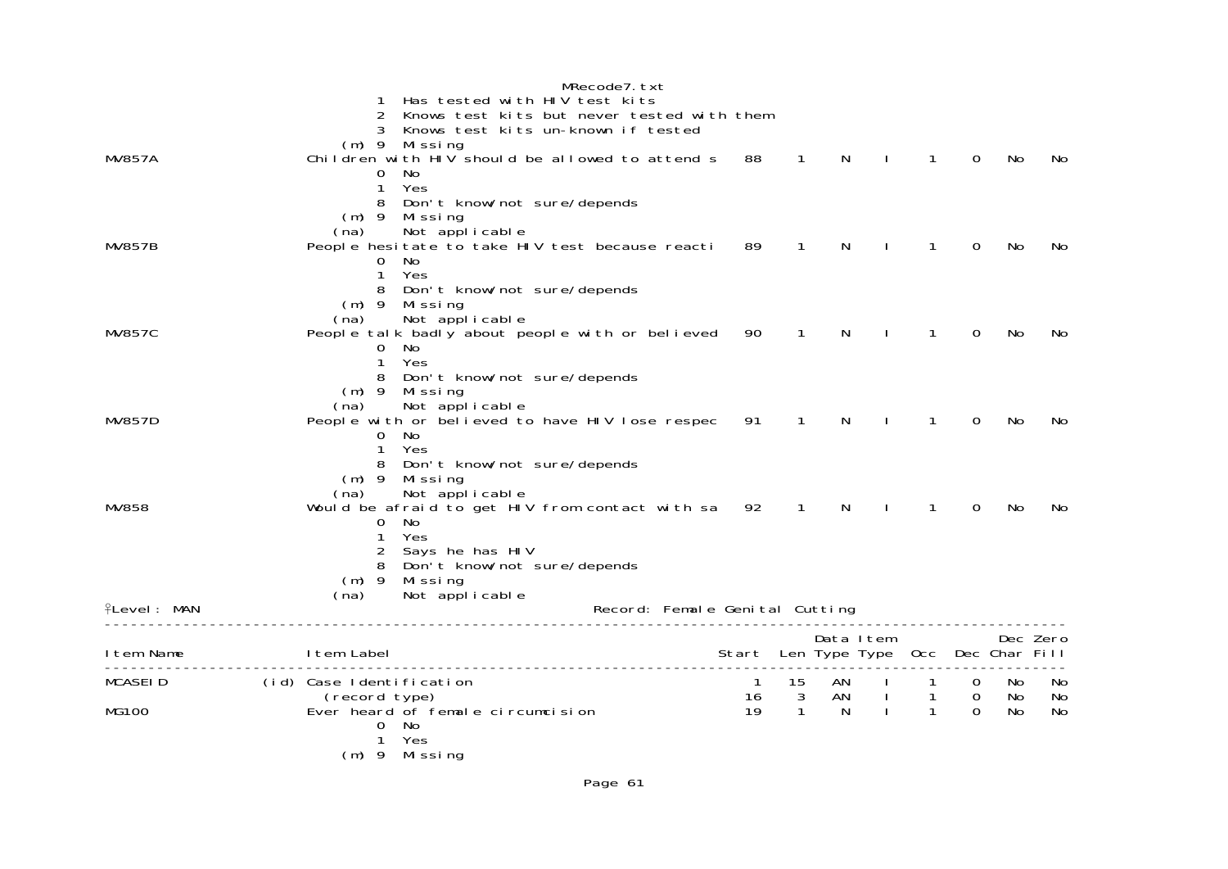|                    |                          |                                                                   | MRecode7.txt                   |                                       |              |              |              |                |                |     |          |
|--------------------|--------------------------|-------------------------------------------------------------------|--------------------------------|---------------------------------------|--------------|--------------|--------------|----------------|----------------|-----|----------|
|                    | 1                        | Has tested with HIV test kits                                     |                                |                                       |              |              |              |                |                |     |          |
|                    | $\overline{2}$           | Knows test kits but never tested with them                        |                                |                                       |              |              |              |                |                |     |          |
|                    |                          | 3 Knows test kits un-known if tested                              |                                |                                       |              |              |              |                |                |     |          |
|                    |                          | $(m)$ 9 Missing                                                   |                                |                                       |              |              |              |                |                |     |          |
| <b>MV857A</b>      |                          | Children with HIV should be allowed to attend s 88                |                                |                                       | $\mathbf{1}$ | N            | $\perp$      | $\mathbf{1}$   | $\Omega$       | No  | No.      |
|                    | $\overline{0}$           | No                                                                |                                |                                       |              |              |              |                |                |     |          |
|                    | $\mathbf{1}$             | Yes                                                               |                                |                                       |              |              |              |                |                |     |          |
|                    |                          | 8 Don't know/not sure/depends                                     |                                |                                       |              |              |              |                |                |     |          |
|                    | $(m)$ 9                  | Mi ssi ng                                                         |                                |                                       |              |              |              |                |                |     |          |
| <b>MV857B</b>      | (na)                     | Not applicable<br>People hesitate to take HIV test because reacti |                                | 89                                    | $\mathbf{1}$ | N            | $\mathbf{I}$ | $\mathbf{1}$   | $\Omega$       | No  | No       |
|                    |                          | 0 No                                                              |                                |                                       |              |              |              |                |                |     |          |
|                    | 1                        | Yes                                                               |                                |                                       |              |              |              |                |                |     |          |
|                    |                          | 8 Don't know/not sure/depends                                     |                                |                                       |              |              |              |                |                |     |          |
|                    |                          | $(m)$ 9 Missing                                                   |                                |                                       |              |              |              |                |                |     |          |
|                    | (na)                     | Not applicable                                                    |                                |                                       |              |              |              |                |                |     |          |
| <b>MV857C</b>      |                          | People talk badly about people with or believed                   |                                | 90                                    | $\mathbf{1}$ | N            | $\mathbf{I}$ | $\mathbf{1}$   | 0              | No  | No.      |
|                    | 0                        | No                                                                |                                |                                       |              |              |              |                |                |     |          |
|                    | 1                        | Yes                                                               |                                |                                       |              |              |              |                |                |     |          |
|                    |                          | 8 Don't know/not sure/depends                                     |                                |                                       |              |              |              |                |                |     |          |
|                    |                          | $(m)$ 9 Missing                                                   |                                |                                       |              |              |              |                |                |     |          |
|                    | (na)                     | Not applicable                                                    |                                |                                       |              |              |              |                |                |     |          |
| <b>MV857D</b>      |                          | People with or believed to have HIV lose respec                   |                                | 91                                    | $\mathbf{1}$ | N            |              | 1              | 0              | No  | No       |
|                    | $\Omega$<br>$\mathbf{1}$ | No<br>Yes                                                         |                                |                                       |              |              |              |                |                |     |          |
|                    |                          | 8 Don't know/not sure/depends                                     |                                |                                       |              |              |              |                |                |     |          |
|                    |                          | $(m)$ 9 Missing                                                   |                                |                                       |              |              |              |                |                |     |          |
|                    | (na)                     | Not applicable                                                    |                                |                                       |              |              |              |                |                |     |          |
| MV858              |                          | Would be afraid to get HIV from contact with sa                   |                                | 92                                    | $\mathbf{1}$ | N            | $\sim$ 1.    | $\mathbf{1}$   | $\Omega$       | No. | No.      |
|                    | 0                        | No                                                                |                                |                                       |              |              |              |                |                |     |          |
|                    | 1                        | Yes                                                               |                                |                                       |              |              |              |                |                |     |          |
|                    |                          | 2 Says he has HIV                                                 |                                |                                       |              |              |              |                |                |     |          |
|                    |                          | 8 Don't know/not sure/depends                                     |                                |                                       |              |              |              |                |                |     |          |
|                    | $(m)$ 9                  | Missing                                                           |                                |                                       |              |              |              |                |                |     |          |
|                    | (na)                     | Not applicable                                                    |                                |                                       |              |              |              |                |                |     |          |
| <b>flevel: MAN</b> |                          |                                                                   | Record: Female Genital Cutting |                                       |              |              |              |                |                |     |          |
|                    |                          |                                                                   |                                |                                       |              | Data Item    |              |                |                |     | Dec Zero |
| I tem Name         | I tem Label              |                                                                   | ------------------------------ | Start Len Type Type Occ Dec Char Fill |              |              |              |                |                |     |          |
| <b>MCASEID</b>     | (id) Case Identification |                                                                   |                                | $\overline{1}$                        | 15           | AN           | $\mathbf{I}$ | $\mathbf{1}$   | $\mathbf 0$    | No  | No       |
|                    | (record type)            |                                                                   |                                | 16                                    | $\mathbf{3}$ | AN           | $\mathbf{1}$ | $\overline{1}$ | $\overline{0}$ | No  | No       |
| <b>MG100</b>       |                          | Ever heard of female circumcision                                 |                                | 19                                    | $\mathbf{1}$ | <sup>N</sup> | $\mathbf{I}$ | $\mathbf{1}$   | $\Omega$       | No  | No       |
|                    |                          | $0$ No                                                            |                                |                                       |              |              |              |                |                |     |          |
|                    | 1                        | Yes                                                               |                                |                                       |              |              |              |                |                |     |          |
|                    |                          | (m) 9 Missing                                                     |                                |                                       |              |              |              |                |                |     |          |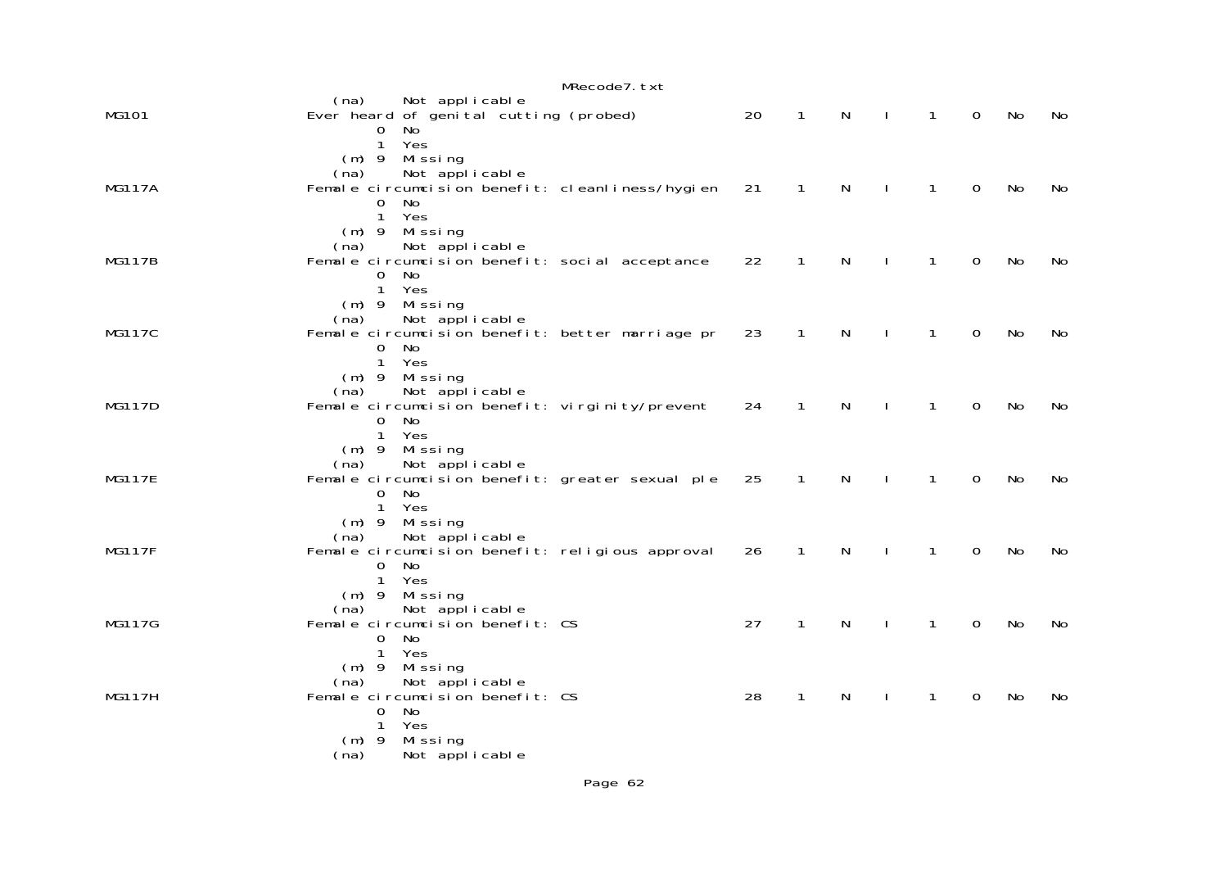|               | MRecode7.txt                                                                                                                                    |    |              |   |              |   |             |    |    |
|---------------|-------------------------------------------------------------------------------------------------------------------------------------------------|----|--------------|---|--------------|---|-------------|----|----|
| MG101         | (na)<br>Not applicable<br>Ever heard of genital cutting (probed)<br>0<br>No<br>Yes<br>$\mathbf{1}$                                              | 20 | $\mathbf{1}$ | N | $\mathbf{I}$ | 1 | $\mathbf 0$ | No | No |
| <b>MG117A</b> | $(m)$ 9<br>Mi ssi ng<br>Not applicable<br>(na)<br>Female circumcision benefit: cleanliness/hygien<br>No<br>0<br>Yes<br>$\mathbf{1}$             | 21 | $\mathbf{1}$ | N | $\mathbf{I}$ | 1 | $\mathbf 0$ | No | No |
| <b>MG117B</b> | $(m)$ 9<br>Mi ssi ng<br>Not applicable<br>(na)<br>Female circumcision benefit: social acceptance<br>No<br>0<br>Yes<br>$\mathbf{1}$              | 22 | $\mathbf{1}$ | N | $\mathbf{I}$ | 1 | $\mathbf 0$ | No | No |
| <b>MG117C</b> | $(m)$ 9<br>Mi ssi ng<br>Not applicable<br>(na)<br>Female circumcision benefit: better marriage pr<br>No<br>0<br>$\mathbf{1}$<br>Yes             | 23 | $\mathbf{1}$ | N |              | 1 | $\mathbf 0$ | No | No |
| <b>MG117D</b> | Missing<br>$(m)$ 9<br>Not applicable<br>(na)<br>Female circumcision benefit: virginity/prevent<br>0<br>No<br>Yes<br>$\mathbf{1}$                | 24 | $\mathbf{1}$ | N |              | 1 | 0           | No | No |
| <b>MG117E</b> | Missing<br>$(m)$ 9<br>Not applicable<br>(na)<br>Female circumcision benefit: greater sexual ple<br><b>No</b><br>$\Omega$<br>$\mathbf{1}$<br>Yes | 25 | 1            | N |              | 1 | 0           | No | No |
| <b>MG117F</b> | Missing<br>$(m)$ 9<br>Not applicable<br>(na)<br>Female circumcision benefit: religious approval<br>No<br>$\mathbf 0$<br>Yes<br>$\mathbf{1}$     | 26 | 1            | N |              | 1 | 0           | No | No |
| MG117G        | Missing<br>$(m)$ 9<br>Not applicable<br>(na)<br>Female circumcision benefit: CS<br>No<br>$\overline{O}$<br>Yes<br>1                             | 27 | 1            | N |              | 1 | 0           | No | No |
| <b>MG117H</b> | Missing<br>$(m)$ 9<br>Not applicable<br>(na)<br>Female circumcision benefit: CS<br>$\mathsf{O}$<br>No<br>Yes<br>1<br>Missing<br>$(m)$ 9         | 28 | 1            | N | $\mathbf{I}$ | 1 | 0           | No | No |
|               | Not applicable<br>(na)                                                                                                                          |    |              |   |              |   |             |    |    |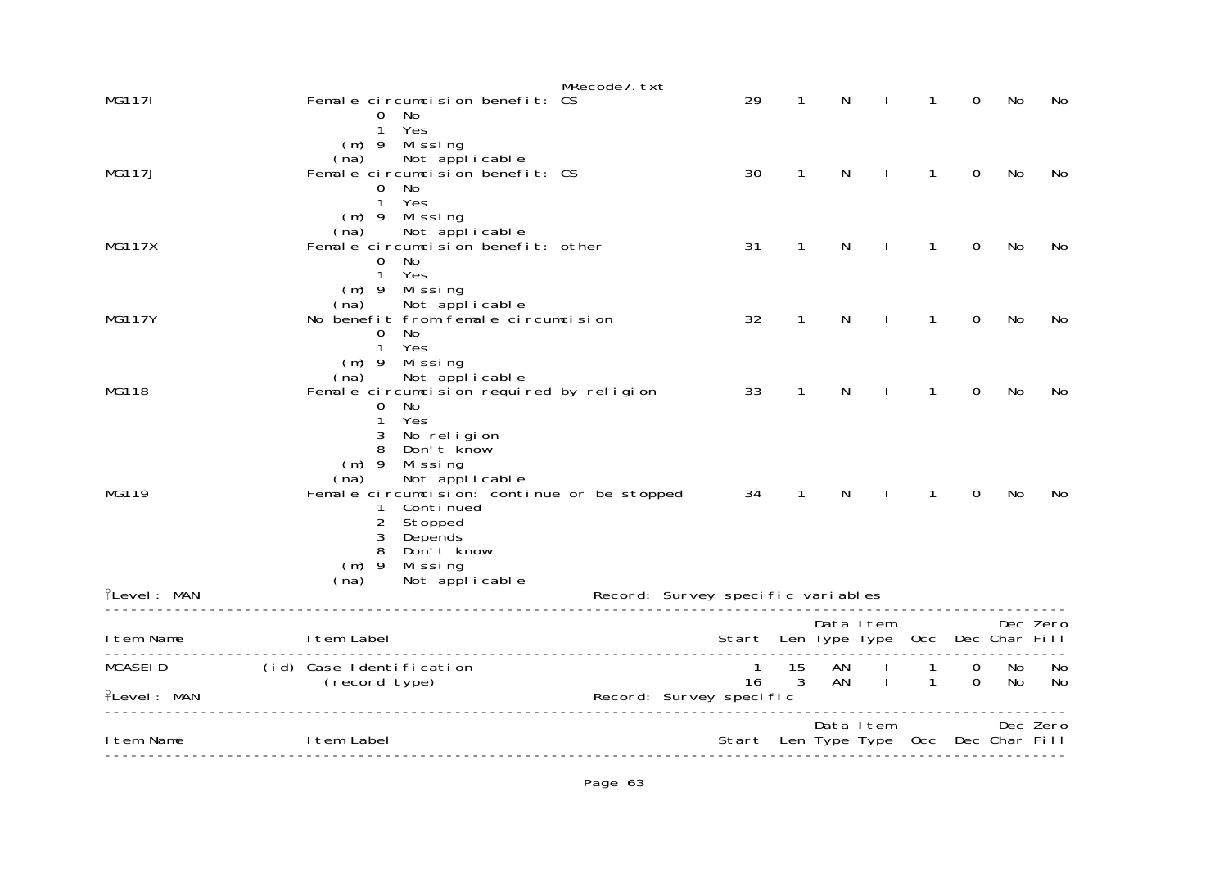|                                      |                                                       |                                                                                                                                          | MRecode7. txt                     |         |                    |          |                                                    |                   |               |          |          |
|--------------------------------------|-------------------------------------------------------|------------------------------------------------------------------------------------------------------------------------------------------|-----------------------------------|---------|--------------------|----------|----------------------------------------------------|-------------------|---------------|----------|----------|
| MG1171                               | $\mathbf{O}$                                          | Female circumcision benefit: CS<br>No                                                                                                    |                                   | 29      | 1                  | N        |                                                    | 1                 | 0             | No       | No       |
| <b>MG117J</b>                        | 1<br>$(m)$ 9<br>$\mathbf{O}$<br>$\mathbf{1}$          | Yes<br>Missing<br>(na) Not applicable<br>Female circumcision benefit: CS<br>No<br>Yes                                                    |                                   | 30      | $\mathbf 1$        | N        | ı                                                  | $\mathbf{1}$      | 0             | No       | No       |
| <b>MG117X</b>                        | $(m)$ 9<br>(na)<br>$\overline{0}$<br>$\mathbf{1}$     | Missing<br>Not applicable<br>Female circumcision benefit: other<br>No<br>Yes                                                             |                                   | 31      | $\mathbf{1}$       | N        | $\mathbf{I}$                                       | $\mathbf{1}$      | 0             | No       | No       |
| <b>MG117Y</b>                        | (na)<br>0<br>$\mathbf{1}$                             | (m) 9 Missing<br>Not applicable<br>No benefit from female circumcision<br>No<br>Yes                                                      |                                   | 32      | $\mathbf{1}$       | N        |                                                    | 1                 | $\Omega$      | No       | No       |
| MG118                                | (na)<br>0<br>1<br>3                                   | $(m)$ 9 Missing<br>Not applicable<br>Female circumcision required by religion<br>No<br>Yes<br>No religion                                |                                   | 33      | $\mathbf{1}$       | N        |                                                    | 1                 | 0             | No       | No       |
| MG119                                | 8<br>$(m)$ 9<br>(na)<br>1<br>$\overline{c}$<br>3<br>8 | Don't know<br>Missing<br>Not applicable<br>Female circumcision: continue or be stopped<br>Conti nued<br>Stopped<br>Depends<br>Don't know |                                   | 34      | $\mathbf{1}$       | N        | $\mathbf{I}$                                       | 1                 | $\Omega$      | No       | No       |
| <b>ILevel: MAN</b>                   | $(m)$ 9<br>(na)                                       | Missing<br>Not applicable                                                                                                                | Record: Survey specific variables |         |                    |          |                                                    |                   |               |          |          |
| I tem Name                           | I tem Label                                           |                                                                                                                                          |                                   |         |                    |          | Data Item<br>Start Len Type Type Occ Dec Char Fill |                   |               |          | Dec Zero |
| <b>MCASEID</b><br><b>ILevel: MAN</b> | (id) Case Identification<br>(record type)             |                                                                                                                                          | Record: Survey specific           | 1<br>16 | 15<br>$\mathbf{3}$ | AN<br>AN | $\mathbf{I}$                                       | 1<br>$\mathbf{1}$ | 0<br>$\Omega$ | No<br>No | No<br>No |
| I tem Name                           | I tem Label                                           |                                                                                                                                          |                                   |         |                    |          | Data Item<br>Start Len Type Type Occ Dec Char Fill |                   |               |          | Dec Zero |